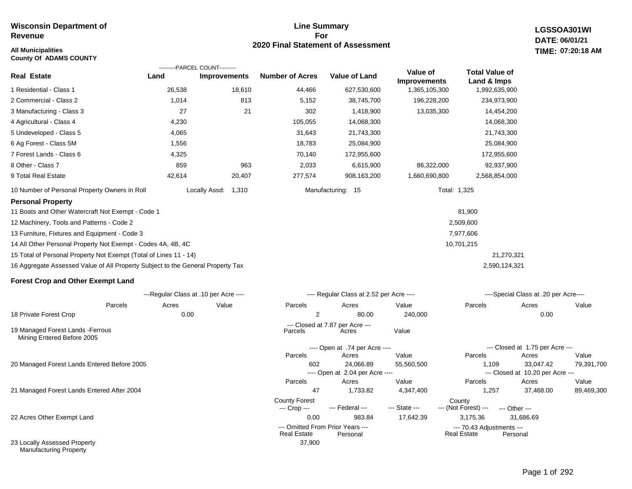### **All Municipalities TIME: County Of ADAMS COUNTY**

## **Line Summary For 2020 Final Statement of Assessment**

**LGSSOA301WI DATE: 06/01/21 07:20:18 AM**

|                                                                                 | ---------PARCEL COUNT---------        |                        |                                  |                                          |                                 |                                      |                                           |       |
|---------------------------------------------------------------------------------|---------------------------------------|------------------------|----------------------------------|------------------------------------------|---------------------------------|--------------------------------------|-------------------------------------------|-------|
| <b>Real Estate</b>                                                              | Land                                  | <b>Improvements</b>    | <b>Number of Acres</b>           | <b>Value of Land</b>                     | Value of<br><b>Improvements</b> | <b>Total Value of</b><br>Land & Imps |                                           |       |
| 1 Residential - Class 1                                                         | 26,538                                | 18,610                 | 44,466                           | 627,530,600                              | 1,365,105,300                   | 1,992,635,900                        |                                           |       |
| 2 Commercial - Class 2                                                          | 1,014                                 | 813                    | 5,152                            | 38,745,700                               | 196,228,200                     | 234,973,900                          |                                           |       |
| 3 Manufacturing - Class 3                                                       | 27                                    | 21                     | 302                              | 1,418,900                                | 13,035,300                      | 14,454,200                           |                                           |       |
| 4 Agricultural - Class 4                                                        | 4,230                                 |                        | 105,055                          | 14,068,300                               |                                 | 14,068,300                           |                                           |       |
| 5 Undeveloped - Class 5                                                         | 4,065                                 |                        | 31,643                           | 21,743,300                               |                                 | 21,743,300                           |                                           |       |
| 6 Ag Forest - Class 5M                                                          | 1,556                                 |                        | 18,783                           | 25,084,900                               |                                 | 25,084,900                           |                                           |       |
| 7 Forest Lands - Class 6                                                        | 4,325                                 |                        | 70,140                           | 172,955,600                              |                                 | 172,955,600                          |                                           |       |
| 8 Other - Class 7                                                               | 859                                   | 963                    | 2,033                            | 6,615,900                                | 86,322,000                      | 92,937,900                           |                                           |       |
| 9 Total Real Estate                                                             | 42,614                                | 20,407                 | 277,574                          | 908,163,200                              | 1,660,690,800                   | 2,568,854,000                        |                                           |       |
| 10 Number of Personal Property Owners in Roll                                   |                                       | Locally Assd:<br>1,310 |                                  | Manufacturing: 15                        |                                 | Total: 1,325                         |                                           |       |
| <b>Personal Property</b>                                                        |                                       |                        |                                  |                                          |                                 |                                      |                                           |       |
| 11 Boats and Other Watercraft Not Exempt - Code 1                               |                                       |                        |                                  |                                          |                                 | 81,900                               |                                           |       |
| 12 Machinery, Tools and Patterns - Code 2                                       |                                       |                        |                                  |                                          |                                 | 2,509,600                            |                                           |       |
| 13 Furniture, Fixtures and Equipment - Code 3                                   |                                       |                        |                                  |                                          |                                 | 7,977,606                            |                                           |       |
| 14 All Other Personal Property Not Exempt - Codes 4A, 4B, 4C                    |                                       |                        |                                  |                                          |                                 | 10,701,215                           |                                           |       |
| 15 Total of Personal Property Not Exempt (Total of Lines 11 - 14)               |                                       |                        |                                  |                                          |                                 | 21,270,321                           |                                           |       |
| 16 Aggregate Assessed Value of All Property Subject to the General Property Tax |                                       |                        |                                  |                                          |                                 | 2,590,124,321                        |                                           |       |
| <b>Forest Crop and Other Exempt Land</b>                                        |                                       |                        |                                  |                                          |                                 |                                      |                                           |       |
|                                                                                 | ---Regular Class at .10 per Acre ---- |                        |                                  | ---- Regular Class at 2.52 per Acre ---- |                                 |                                      | ----Special Class at .20 per Acre----     |       |
| Parcels                                                                         | Acres                                 | Value                  | Parcels                          | Acres                                    | Value                           | Parcels                              | Acres                                     | Value |
| 18 Private Forest Crop                                                          | 0.00                                  |                        | $\overline{2}$                   | 80.00                                    | 240,000                         |                                      | 0.00                                      |       |
| 19 Managed Forest Lands - Ferrous<br>Mining Entered Before 2005                 |                                       |                        | Parcels                          | --- Closed at 7.87 per Acre ---<br>Acres | Value                           |                                      |                                           |       |
|                                                                                 |                                       |                        |                                  | ---- Open at .74 per Acre ----           |                                 |                                      | --- Closed at 1.75 per Acre ---           |       |
|                                                                                 |                                       |                        | Parcels                          | Acres                                    | Value                           | Parcels                              | Acres                                     | Value |
| 20 Managed Forest Lands Entered Before 2005                                     |                                       |                        | 602                              | 24,066.89                                | 55,560,500                      | 1,109                                | 33,047.42                                 | 79,39 |
|                                                                                 |                                       |                        | Parcels                          | ---- Open at 2.04 per Acre ----<br>Acres | Value                           | Parcels                              | --- Closed at 10.20 per Acre ---<br>Acres | Value |
| 21 Managed Forest Lands Entered After 2004                                      |                                       |                        | 47                               | 1,733.82                                 | 4,347,400                       | 1,257                                | 37,468.00                                 | 89,46 |
|                                                                                 |                                       |                        | <b>County Forest</b>             | --- Federal ---                          | --- State ---                   | County                               |                                           |       |
| 22 Acres Other Exempt Land                                                      |                                       |                        | --- Crop ---<br>0.00             | 983.84                                   | 17,642.39                       | --- (Not Forest) ---<br>3,175.36     | --- Other ---<br>31,686.69                |       |
|                                                                                 |                                       |                        | --- Omitted From Prior Years --- |                                          |                                 | --- 70.43 Adjustments ---            |                                           |       |
| 23 Locally Assessed Property                                                    |                                       |                        | <b>Real Estate</b><br>37,900     | Personal                                 |                                 | <b>Real Estate</b>                   | Personal                                  |       |

Manufacturing Property

79,391,700

89,469,300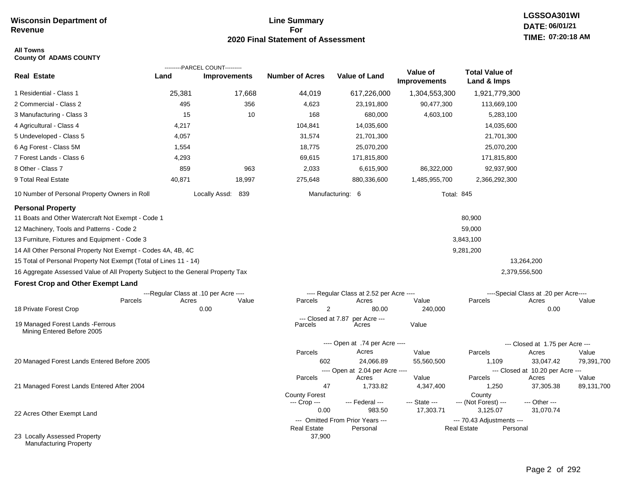## **Line Summary For 2020 Final Statement of Assessment**

## **All Towns County Of ADAMS COUNTY**

|                                                                                 |        | ---------PARCEL COUNT---------        |                        |                                              |                                 |                                                             |                                           |            |
|---------------------------------------------------------------------------------|--------|---------------------------------------|------------------------|----------------------------------------------|---------------------------------|-------------------------------------------------------------|-------------------------------------------|------------|
| <b>Real Estate</b>                                                              | Land   | <b>Improvements</b>                   | <b>Number of Acres</b> | Value of Land                                | Value of<br><b>Improvements</b> | <b>Total Value of</b><br>Land & Imps                        |                                           |            |
| 1 Residential - Class 1                                                         | 25,381 | 17,668                                | 44,019                 | 617,226,000                                  | 1,304,553,300                   | 1,921,779,300                                               |                                           |            |
| 2 Commercial - Class 2                                                          | 495    | 356                                   | 4,623                  | 23,191,800                                   | 90,477,300                      | 113,669,100                                                 |                                           |            |
| 3 Manufacturing - Class 3                                                       | 15     | 10                                    | 168                    | 680,000                                      | 4,603,100                       | 5,283,100                                                   |                                           |            |
| 4 Agricultural - Class 4                                                        | 4,217  |                                       | 104,841                | 14,035,600                                   |                                 | 14,035,600                                                  |                                           |            |
| 5 Undeveloped - Class 5                                                         | 4,057  |                                       | 31,574                 | 21,701,300                                   |                                 | 21,701,300                                                  |                                           |            |
| 6 Ag Forest - Class 5M                                                          | 1,554  |                                       | 18,775                 | 25,070,200                                   |                                 | 25,070,200                                                  |                                           |            |
| 7 Forest Lands - Class 6                                                        | 4,293  |                                       | 69,615                 | 171,815,800                                  |                                 | 171,815,800                                                 |                                           |            |
| 8 Other - Class 7                                                               | 859    | 963                                   | 2,033                  | 6,615,900                                    | 86,322,000                      | 92,937,900                                                  |                                           |            |
| 9 Total Real Estate                                                             | 40,871 | 18,997                                | 275,648                | 880,336,600                                  | 1,485,955,700                   | 2,366,292,300                                               |                                           |            |
| 10 Number of Personal Property Owners in Roll                                   |        | Locally Assd: 839                     |                        | Manufacturing: 6                             | <b>Total: 845</b>               |                                                             |                                           |            |
| <b>Personal Property</b>                                                        |        |                                       |                        |                                              |                                 |                                                             |                                           |            |
| 11 Boats and Other Watercraft Not Exempt - Code 1                               |        |                                       |                        |                                              |                                 | 80,900                                                      |                                           |            |
| 12 Machinery, Tools and Patterns - Code 2                                       |        |                                       |                        |                                              |                                 | 59,000                                                      |                                           |            |
| 13 Furniture, Fixtures and Equipment - Code 3                                   |        |                                       |                        |                                              |                                 | 3,843,100                                                   |                                           |            |
| 14 All Other Personal Property Not Exempt - Codes 4A, 4B, 4C                    |        |                                       |                        |                                              |                                 | 9,281,200                                                   |                                           |            |
| 15 Total of Personal Property Not Exempt (Total of Lines 11 - 14)               |        |                                       |                        |                                              |                                 |                                                             | 13,264,200                                |            |
| 16 Aggregate Assessed Value of All Property Subject to the General Property Tax |        |                                       |                        |                                              |                                 |                                                             | 2,379,556,500                             |            |
| <b>Forest Crop and Other Exempt Land</b>                                        |        |                                       |                        |                                              |                                 |                                                             |                                           |            |
|                                                                                 |        | ---Regular Class at .10 per Acre ---- |                        | ---- Regular Class at 2.52 per Acre ----     |                                 |                                                             | ----Special Class at .20 per Acre----     |            |
| Parcels<br>18 Private Forest Crop                                               | Acres  | Value<br>0.00                         | Parcels<br>2           | Acres<br>80.00                               | Value<br>240,000                | Parcels                                                     | Acres<br>0.00                             | Value      |
|                                                                                 |        |                                       | --- Closed at 7.87     | per Acre ---                                 |                                 |                                                             |                                           |            |
| 19 Managed Forest Lands - Ferrous<br>Mining Entered Before 2005                 |        |                                       | Parcels                | Acres                                        | Value                           |                                                             |                                           |            |
|                                                                                 |        |                                       |                        | ---- Open at .74 per Acre ----               |                                 |                                                             | --- Closed at 1.75 per Acre ---           |            |
|                                                                                 |        |                                       | Parcels                | Acres                                        | Value                           | Parcels                                                     | Acres                                     | Value      |
| 20 Managed Forest Lands Entered Before 2005                                     |        |                                       | 602                    | 24,066.89                                    | 55,560,500                      | 1,109                                                       | 33,047.42                                 | 79,391,700 |
|                                                                                 |        |                                       | Parcels                | ---- Open at 2.04 per Acre ----<br>Acres     | Value                           | Parcels                                                     | --- Closed at 10.20 per Acre ---<br>Acres | Value      |
| 21 Managed Forest Lands Entered After 2004                                      |        |                                       | 47                     | 1,733.82                                     | 4,347,400                       | 1,250                                                       | 37,305.38                                 | 89,131,700 |
|                                                                                 |        |                                       | <b>County Forest</b>   |                                              |                                 | County                                                      |                                           |            |
|                                                                                 |        |                                       | --- Crop ---           | --- Federal ---                              | --- State ---                   | --- (Not Forest) ---                                        | --- Other ---                             |            |
| 22 Acres Other Exempt Land                                                      |        |                                       | 0.00                   | 983.50                                       | 17,303.71                       | 3,125.07                                                    | 31,070.74                                 |            |
|                                                                                 |        |                                       | <b>Real Estate</b>     | --- Omitted From Prior Years ---<br>Personal |                                 | --- 70.43 Adjustments ---<br><b>Real Estate</b><br>Personal |                                           |            |
| 23 Locally Assessed Property<br>Manufacturing Property                          |        |                                       | 37,900                 |                                              |                                 |                                                             |                                           |            |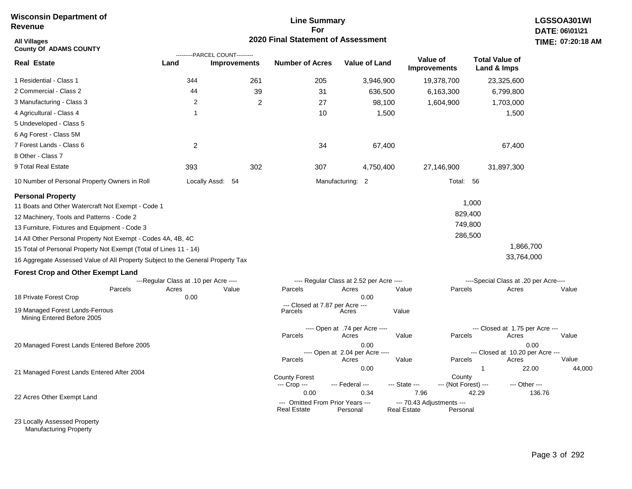## **Line Summary For 2020 Final Statement of Assessment**

| <b>All Villages</b><br><b>County Of ADAMS COUNTY</b>                            |                                       |                                                       | 2020 Final Statement of Assessment                     |                                          |                    |                                       |                                           | TIME: 07:20:18  |
|---------------------------------------------------------------------------------|---------------------------------------|-------------------------------------------------------|--------------------------------------------------------|------------------------------------------|--------------------|---------------------------------------|-------------------------------------------|-----------------|
| <b>Real Estate</b>                                                              | Land                                  | ---------PARCEL COUNT---------<br><b>Improvements</b> | <b>Number of Acres</b>                                 | <b>Value of Land</b>                     |                    | Value of<br><b>Improvements</b>       | <b>Total Value of</b><br>Land & Imps      |                 |
| 1 Residential - Class 1                                                         | 344                                   | 261                                                   | 205                                                    | 3,946,900                                |                    | 19,378,700                            | 23,325,600                                |                 |
| 2 Commercial - Class 2                                                          | 44                                    | 39                                                    | 31                                                     |                                          | 636,500            | 6,163,300                             | 6,799,800                                 |                 |
| 3 Manufacturing - Class 3                                                       | 2                                     | $\overline{2}$                                        | 27                                                     |                                          | 98,100             | 1,604,900                             | 1,703,000                                 |                 |
| 4 Agricultural - Class 4                                                        | -1                                    |                                                       | 10                                                     |                                          | 1,500              |                                       | 1,500                                     |                 |
| 5 Undeveloped - Class 5                                                         |                                       |                                                       |                                                        |                                          |                    |                                       |                                           |                 |
| 6 Ag Forest - Class 5M                                                          |                                       |                                                       |                                                        |                                          |                    |                                       |                                           |                 |
| 7 Forest Lands - Class 6                                                        | 2                                     |                                                       | 34                                                     |                                          | 67,400             |                                       | 67,400                                    |                 |
| 8 Other - Class 7                                                               |                                       |                                                       |                                                        |                                          |                    |                                       |                                           |                 |
| 9 Total Real Estate                                                             | 393                                   | 302                                                   | 307                                                    | 4,750,400                                |                    | 27,146,900                            | 31,897,300                                |                 |
| 10 Number of Personal Property Owners in Roll                                   |                                       | Locally Assd: 54                                      |                                                        | Manufacturing: 2                         |                    | Total: 56                             |                                           |                 |
| <b>Personal Property</b>                                                        |                                       |                                                       |                                                        |                                          |                    |                                       |                                           |                 |
| 11 Boats and Other Watercraft Not Exempt - Code 1                               |                                       |                                                       |                                                        |                                          |                    |                                       | 1,000                                     |                 |
| 12 Machinery, Tools and Patterns - Code 2                                       |                                       |                                                       |                                                        |                                          |                    | 829,400                               |                                           |                 |
| 13 Furniture, Fixtures and Equipment - Code 3                                   |                                       |                                                       |                                                        |                                          |                    | 749,800                               |                                           |                 |
| 14 All Other Personal Property Not Exempt - Codes 4A, 4B, 4C                    |                                       |                                                       |                                                        |                                          |                    | 286,500                               |                                           |                 |
| 15 Total of Personal Property Not Exempt (Total of Lines 11 - 14)               |                                       |                                                       |                                                        |                                          |                    |                                       | 1,866,700                                 |                 |
| 16 Aggregate Assessed Value of All Property Subject to the General Property Tax |                                       |                                                       |                                                        |                                          |                    |                                       | 33,764,000                                |                 |
| <b>Forest Crop and Other Exempt Land</b>                                        |                                       |                                                       |                                                        |                                          |                    |                                       |                                           |                 |
|                                                                                 | ---Regular Class at .10 per Acre ---- |                                                       |                                                        | ---- Regular Class at 2.52 per Acre ---- |                    |                                       | ----Special Class at .20 per Acre----     |                 |
| Parcels                                                                         | Acres                                 | Value                                                 | Parcels                                                | Acres                                    | Value              | Parcels                               | Acres                                     | Value           |
| 18 Private Forest Crop                                                          | 0.00                                  |                                                       | --- Closed at 7.87 per Acre ---                        | 0.00                                     |                    |                                       |                                           |                 |
| 19 Managed Forest Lands-Ferrous<br>Mining Entered Before 2005                   |                                       |                                                       | Parcels                                                | Acres                                    | Value              |                                       |                                           |                 |
|                                                                                 |                                       |                                                       | Parcels                                                | ---- Open at .74 per Acre ----<br>Acres  | Value              | Parcels                               | --- Closed at 1.75 per Acre ---<br>Acres  | Value           |
| 20 Managed Forest Lands Entered Before 2005                                     |                                       |                                                       |                                                        | 0.00                                     |                    |                                       |                                           | 0.00            |
|                                                                                 |                                       |                                                       | Parcels                                                | ---- Open at 2.04 per Acre ----<br>Acres | Value              | Parcels                               | --- Closed at 10.20 per Acre ---<br>Acres | Value           |
|                                                                                 |                                       |                                                       |                                                        | 0.00                                     |                    |                                       | $\mathbf 1$                               | 44,000<br>22.00 |
| 21 Managed Forest Lands Entered After 2004                                      |                                       |                                                       | <b>County Forest</b><br>--- Crop ---                   | --- Federal ---                          | --- State ---      | County<br>--- (Not Forest) ---        | --- Other ---                             |                 |
| 22 Acres Other Exempt Land                                                      |                                       |                                                       | 0.00                                                   | 0.34                                     | 7.96               |                                       | 42.29                                     | 136.76          |
|                                                                                 |                                       |                                                       | --- Omitted From Prior Years ---<br><b>Real Estate</b> | Personal                                 | <b>Real Estate</b> | --- 70.43 Adjustments ---<br>Personal |                                           |                 |

23 Locally Assessed Property Manufacturing Property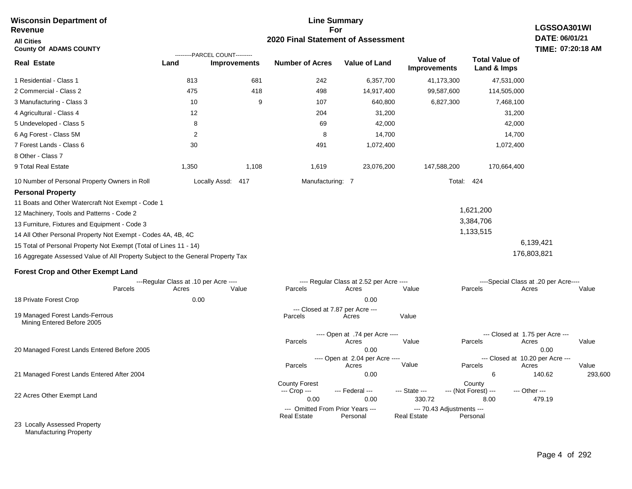#### **Line Summary For 2020 Final Statement of Assessment Wisconsin Department of Revenue All Cities County Of ADAMS COUNTY LGSSOA301WI DATE: 06/01/21 TIME: 07:20:18 AM Real Estate** 1 Residential - Class 1 2 Commercial - Class 2 3 Manufacturing - Class 3 4 Agricultural - Class 4 5 Undeveloped - Class 5 6 Ag Forest - Class 5M 7 Forest Lands - Class 6 8 Other - Class 7 9 Total Real Estate 10 Number of Personal Property Owners in Roll 813 681 242 6,357,700 41,173,300 47,531,000 **Land Improvements Number of Acres Value of Land Value of Improvements Total Value of Land & Imps** 475 10 12 8 2 30 1,350 418 9 1,108 498 107 204 69 8 491 1,619 14,917,400 640,800 31,200 42,000 14,700 1,072,400 23,076,200 99,587,600 6,827,300 147,588,200 114,505,000 7,468,100 31,200 42,000 14,700 1,072,400 170,664,400 Locally Assd: 417 **Manufacturing: 7** Manufacturing: 7 Total: 424 **Personal Property** 11 Boats and Other Watercraft Not Exempt - Code 1 12 Machinery, Tools and Patterns - Code 2 13 Furniture, Fixtures and Equipment - Code 3 14 All Other Personal Property Not Exempt - Codes 4A, 4B, 4C 15 Total of Personal Property Not Exempt (Total of Lines 11 - 14) 16 Aggregate Assessed Value of All Property Subject to the General Property Tax 1,621,200 3,384,706 1,133,515 6,139,421 176,803,821 **Forest Crop and Other Exempt Land** ---Regular Class at .10 per Acre ---- ---- Regular Class at 2.52 per Acre ---- ----Special Class at .20 per Acre---- 18 Private Forest Crop 20 Managed Forest Lands Entered Before 2005 21 Managed Forest Lands Entered After 2004 Parcels 0.00 0.00 Acres Value Parcels Acres Value Parcels Acres Value ---- Open at .74 per Acre ----<br>Acres Parcels 0.00 0.00 Acres Value Parcels Acres Value --- Closed at 1.75 per Acre --- ---- Open at 2.04 per Acre ---- --- Closed at 10.20 per Acre --- Parcels 0.00 6 140.62 293,600 Acres **Value Parcels Acres Value** County Forest County County --- Crop --- 0.00 0.00 330.72 8.00 479.19 --- Federal --- - --- State --- --- (Not Forest) --- --- Other ---22 Acres Other Exempt Land 23 Locally Assessed Property --- Omitted From Prior Years ---<br>Real Estate Personal Personal Real Estate Personal **Real Estate** ---------PARCEL COUNT--------- 19 Managed Forest Lands-Ferrous Mining Entered Before 2005 --- Closed at 7.87 per Acre ---<br>rcels Acres Parcels **Acres** Value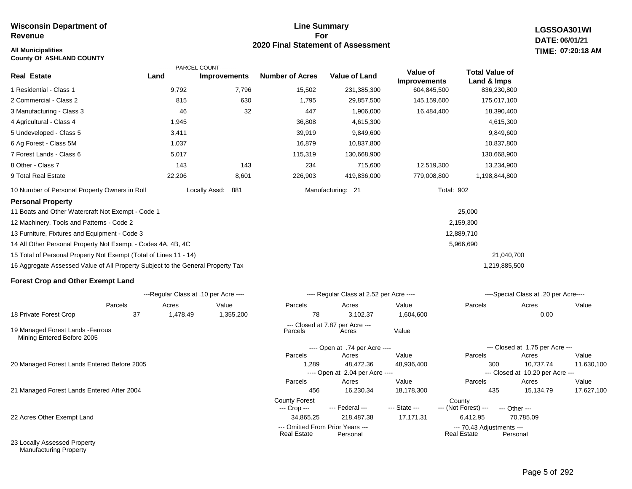## **All Municipalities TIME:**

**County Of ASHLAND COUNTY**

## **Line Summary For 2020 Final Statement of Assessment**

**LGSSOA301WI DATE: 06/01/21 07:20:18 AM**

|                                                                                 |          | ---------PARCEL COUNT---------        |                        |                                              |                                 |                                      |                                               |            |
|---------------------------------------------------------------------------------|----------|---------------------------------------|------------------------|----------------------------------------------|---------------------------------|--------------------------------------|-----------------------------------------------|------------|
| <b>Real Estate</b>                                                              | Land     | <b>Improvements</b>                   | <b>Number of Acres</b> | <b>Value of Land</b>                         | Value of<br><b>Improvements</b> | <b>Total Value of</b><br>Land & Imps |                                               |            |
| 1 Residential - Class 1                                                         | 9,792    | 7,796                                 | 15,502                 | 231,385,300                                  | 604,845,500                     | 836,230,800                          |                                               |            |
| 2 Commercial - Class 2                                                          | 815      | 630                                   | 1,795                  | 29,857,500                                   | 145,159,600                     | 175,017,100                          |                                               |            |
| 3 Manufacturing - Class 3                                                       | 46       | 32                                    | 447                    | 1,906,000                                    | 16,484,400                      | 18,390,400                           |                                               |            |
| 4 Agricultural - Class 4                                                        | 1,945    |                                       | 36,808                 | 4,615,300                                    |                                 | 4,615,300                            |                                               |            |
| 5 Undeveloped - Class 5                                                         | 3,411    |                                       | 39,919                 | 9,849,600                                    |                                 | 9,849,600                            |                                               |            |
| 6 Ag Forest - Class 5M                                                          | 1,037    |                                       | 16,879                 | 10,837,800                                   |                                 | 10,837,800                           |                                               |            |
| 7 Forest Lands - Class 6                                                        | 5,017    |                                       | 115,319                | 130,668,900                                  |                                 | 130,668,900                          |                                               |            |
| 8 Other - Class 7                                                               | 143      | 143                                   | 234                    | 715,600                                      | 12,519,300                      | 13,234,900                           |                                               |            |
| 9 Total Real Estate                                                             | 22,206   | 8,601                                 | 226,903                | 419,836,000                                  | 779,008,800                     | 1,198,844,800                        |                                               |            |
| 10 Number of Personal Property Owners in Roll                                   |          | Locally Assd:<br>881                  |                        | Manufacturing: 21                            | <b>Total: 902</b>               |                                      |                                               |            |
| <b>Personal Property</b>                                                        |          |                                       |                        |                                              |                                 |                                      |                                               |            |
| 11 Boats and Other Watercraft Not Exempt - Code 1                               |          |                                       |                        |                                              |                                 | 25,000                               |                                               |            |
| 12 Machinery, Tools and Patterns - Code 2                                       |          |                                       |                        |                                              |                                 | 2,159,300                            |                                               |            |
| 13 Furniture, Fixtures and Equipment - Code 3                                   |          |                                       |                        |                                              |                                 | 12,889,710                           |                                               |            |
| 14 All Other Personal Property Not Exempt - Codes 4A, 4B, 4C                    |          |                                       |                        |                                              |                                 | 5,966,690                            |                                               |            |
| 15 Total of Personal Property Not Exempt (Total of Lines 11 - 14)               |          |                                       |                        |                                              |                                 | 21,040,700                           |                                               |            |
| 16 Aggregate Assessed Value of All Property Subject to the General Property Tax |          |                                       |                        |                                              |                                 | 1,219,885,500                        |                                               |            |
| <b>Forest Crop and Other Exempt Land</b>                                        |          |                                       |                        |                                              |                                 |                                      |                                               |            |
|                                                                                 |          | ---Regular Class at .10 per Acre ---- |                        | ---- Regular Class at 2.52 per Acre ----     |                                 |                                      | ----Special Class at .20 per Acre----         |            |
| Parcels                                                                         | Acres    | Value                                 | Parcels                | Acres                                        | Value                           | Parcels                              | Acres                                         | Value      |
| 18 Private Forest Crop<br>37                                                    | 1,478.49 | 1,355,200                             | 78                     | 3.102.37                                     | 1,604,600                       |                                      | 0.00                                          |            |
| 19 Managed Forest Lands - Ferrous<br>Mining Entered Before 2005                 |          |                                       | Parcels                | --- Closed at 7.87 per Acre ---<br>Acres     | Value                           |                                      |                                               |            |
|                                                                                 |          |                                       |                        | ---- Open at .74 per Acre ----               |                                 |                                      | --- Closed at 1.75 per Acre ---               |            |
|                                                                                 |          |                                       | Parcels                | Acres                                        | Value                           | Parcels                              | Acres                                         | Value      |
| 20 Managed Forest Lands Entered Before 2005                                     |          |                                       | 1,289                  | 48,472.36<br>---- Open at 2.04 per Acre ---- | 48,936,400                      | 300                                  | 10,737.74<br>--- Closed at 10.20 per Acre --- | 11,630,100 |
|                                                                                 |          |                                       | Parcels                | Acres                                        | Value                           | Parcels                              | Acres                                         | Value      |

21 Managed Forest Lands Entered After 2004

22 Acres Other Exempt Land

23 Locally Assessed Property Manufacturing Property

456 16,230.34 18,178,300 435 15,134.79 17,627,100

Real Estate

--- (Not Forest) --- --- Other ---

34,865.25 218,487.38 17,171.31 6,412.95 70,785.09

--- Omitted From Prior Years ---<br>Real Estate Personal Real Estate Personal Real Estate Personal

County Forest County<br>--- Crop --- --- Federal --- --- State --- --- (Not Fore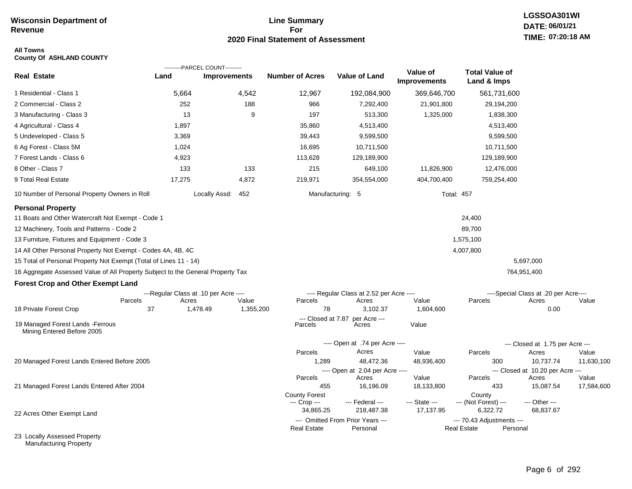## **Line Summary For 2020 Final Statement of Assessment**

# **LGSSOA301WI DATE: 06/01/21 TIME: 07:20:18 AM**

### **All Towns County Of ASHLAND COUNTY**

|                                                                                 |                                                           | ---------PARCEL COUNT--------- |                           |                                                   |                                 |                                      |                                                |            |
|---------------------------------------------------------------------------------|-----------------------------------------------------------|--------------------------------|---------------------------|---------------------------------------------------|---------------------------------|--------------------------------------|------------------------------------------------|------------|
| <b>Real Estate</b>                                                              | Land                                                      | <b>Improvements</b>            | <b>Number of Acres</b>    | <b>Value of Land</b>                              | Value of<br><b>Improvements</b> | <b>Total Value of</b><br>Land & Imps |                                                |            |
| 1 Residential - Class 1                                                         | 5,664                                                     | 4,542                          | 12,967                    | 192,084,900                                       | 369,646,700                     | 561,731,600                          |                                                |            |
| 2 Commercial - Class 2                                                          | 252                                                       | 188                            | 966                       | 7,292,400                                         | 21,901,800                      | 29,194,200                           |                                                |            |
| 3 Manufacturing - Class 3                                                       | 13                                                        | 9                              | 197                       | 513,300                                           | 1,325,000                       | 1,838,300                            |                                                |            |
| 4 Agricultural - Class 4                                                        | 1,897                                                     |                                | 35,860                    | 4,513,400                                         |                                 | 4,513,400                            |                                                |            |
| 5 Undeveloped - Class 5                                                         | 3,369                                                     |                                | 39,443                    | 9,599,500                                         |                                 | 9,599,500                            |                                                |            |
| 6 Ag Forest - Class 5M                                                          | 1,024                                                     |                                | 16,695                    | 10,711,500                                        |                                 | 10,711,500                           |                                                |            |
| 7 Forest Lands - Class 6                                                        | 4,923                                                     |                                | 113,628                   | 129,189,900                                       |                                 | 129,189,900                          |                                                |            |
| 8 Other - Class 7                                                               | 133                                                       | 133                            | 215                       | 649,100                                           | 11,826,900                      | 12,476,000                           |                                                |            |
| 9 Total Real Estate                                                             | 17,275                                                    | 4,872                          | 219,971                   | 354,554,000                                       | 404,700,400                     | 759,254,400                          |                                                |            |
| 10 Number of Personal Property Owners in Roll                                   |                                                           | Locally Assd:<br>452           |                           | Manufacturing: 5                                  |                                 | <b>Total: 457</b>                    |                                                |            |
| <b>Personal Property</b>                                                        |                                                           |                                |                           |                                                   |                                 |                                      |                                                |            |
| 11 Boats and Other Watercraft Not Exempt - Code 1                               |                                                           |                                |                           |                                                   |                                 | 24,400                               |                                                |            |
| 12 Machinery, Tools and Patterns - Code 2                                       |                                                           |                                |                           |                                                   |                                 | 89,700                               |                                                |            |
| 13 Furniture, Fixtures and Equipment - Code 3                                   |                                                           |                                |                           |                                                   |                                 | 1,575,100                            |                                                |            |
| 14 All Other Personal Property Not Exempt - Codes 4A, 4B, 4C                    |                                                           |                                |                           |                                                   |                                 | 4,007,800                            |                                                |            |
| 15 Total of Personal Property Not Exempt (Total of Lines 11 - 14)               |                                                           |                                |                           |                                                   |                                 |                                      | 5,697,000                                      |            |
| 16 Aggregate Assessed Value of All Property Subject to the General Property Tax |                                                           |                                |                           |                                                   |                                 |                                      | 764,951,400                                    |            |
| <b>Forest Crop and Other Exempt Land</b>                                        |                                                           |                                |                           |                                                   |                                 |                                      |                                                |            |
|                                                                                 | ---Regular Class at .10 per Acre ----<br>Parcels<br>Acres | Value                          | Parcels                   | ---- Regular Class at 2.52 per Acre ----<br>Acres | Value                           | Parcels                              | ----Special Class at .20 per Acre----<br>Acres | Value      |
| 18 Private Forest Crop                                                          | 37                                                        | 1,478.49<br>1,355,200          | 78                        | 3.102.37                                          | 1,604,600                       |                                      | 0.00                                           |            |
|                                                                                 |                                                           |                                |                           | --- Closed at 7.87 per Acre ---                   |                                 |                                      |                                                |            |
| 19 Managed Forest Lands - Ferrous<br>Mining Entered Before 2005                 |                                                           |                                | Parcels                   | Acres                                             | Value                           |                                      |                                                |            |
|                                                                                 |                                                           |                                |                           | ---- Open at .74 per Acre ----                    |                                 |                                      | --- Closed at 1.75 per Acre ---                |            |
|                                                                                 |                                                           |                                | Parcels                   | Acres                                             | Value                           | Parcels                              | Acres                                          | Value      |
| 20 Managed Forest Lands Entered Before 2005                                     |                                                           |                                | 1,289                     | 48,472.36                                         | 48,936,400                      | 300                                  | 10,737.74                                      | 11,630,100 |
|                                                                                 |                                                           |                                | Parcels                   | ---- Open at 2.04 per Acre ----<br>Acres          | Value                           | Parcels                              | --- Closed at 10.20 per Acre ---<br>Acres      | Value      |
| 21 Managed Forest Lands Entered After 2004                                      |                                                           |                                | 455                       | 16,196.09                                         | 18,133,800                      | 433                                  | 15,087.54                                      | 17,584,600 |
|                                                                                 |                                                           |                                | <b>County Forest</b>      |                                                   |                                 | County                               |                                                |            |
|                                                                                 |                                                           |                                | --- Crop ---<br>34,865.25 | --- Federal ---<br>218,487.38                     | --- State ---<br>17,137.95      | --- (Not Forest) ---<br>6,322.72     | --- Other ---<br>68,837.67                     |            |
| 22 Acres Other Exempt Land                                                      |                                                           |                                |                           | --- Omitted From Prior Years ---                  |                                 | --- 70.43 Adjustments ---            |                                                |            |
|                                                                                 |                                                           |                                | Real Estate               | Personal                                          |                                 | <b>Real Estate</b>                   | Personal                                       |            |
| 23 Locally Assessed Property                                                    |                                                           |                                |                           |                                                   |                                 |                                      |                                                |            |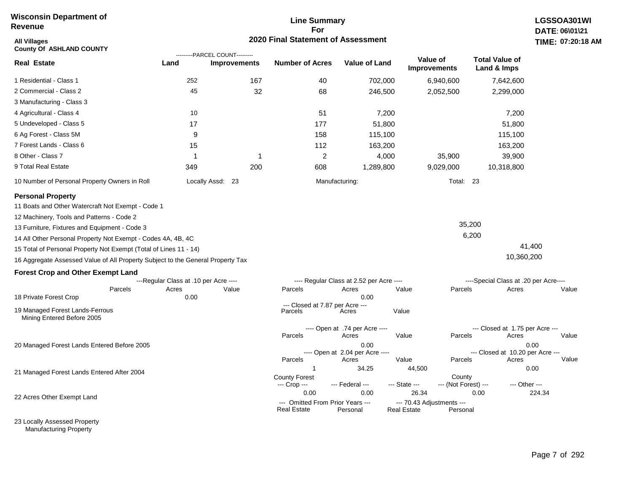## **Line Summary For 2020 Final Statement of Assessment**

| All Villages<br><b>County Of ASHLAND COUNTY</b>                                 |                                       | ---------PARCEL COUNT--------- | 2020 Final Statement of Assessment              |                                          |                                                 |                                 |                                          | <b>TIME: 07:20</b> |
|---------------------------------------------------------------------------------|---------------------------------------|--------------------------------|-------------------------------------------------|------------------------------------------|-------------------------------------------------|---------------------------------|------------------------------------------|--------------------|
| Real Estate                                                                     | Land                                  | <b>Improvements</b>            | <b>Number of Acres</b>                          | <b>Value of Land</b>                     |                                                 | Value of<br><b>Improvements</b> | <b>Total Value of</b><br>Land & Imps     |                    |
| 1 Residential - Class 1                                                         | 252                                   | 167                            | 40                                              | 702,000                                  |                                                 | 6,940,600                       | 7,642,600                                |                    |
| 2 Commercial - Class 2                                                          | 45                                    | 32                             | 68                                              | 246,500                                  |                                                 | 2,052,500                       | 2,299,000                                |                    |
| 3 Manufacturing - Class 3                                                       |                                       |                                |                                                 |                                          |                                                 |                                 |                                          |                    |
| 4 Agricultural - Class 4                                                        | 10                                    |                                | 51                                              |                                          | 7,200                                           |                                 | 7,200                                    |                    |
| 5 Undeveloped - Class 5                                                         | 17                                    |                                | 177                                             |                                          | 51,800                                          |                                 | 51,800                                   |                    |
| 6 Ag Forest - Class 5M                                                          | 9                                     |                                | 158                                             | 115,100                                  |                                                 |                                 | 115,100                                  |                    |
| 7 Forest Lands - Class 6                                                        | 15                                    |                                | 112                                             | 163,200                                  |                                                 |                                 | 163,200                                  |                    |
| 8 Other - Class 7                                                               |                                       | $\mathbf{1}$                   | $\overline{2}$                                  |                                          | 4,000                                           | 35,900                          | 39,900                                   |                    |
| 9 Total Real Estate                                                             | 349                                   | 200                            | 608                                             | 1,289,800                                |                                                 | 9,029,000                       | 10,318,800                               |                    |
| 10 Number of Personal Property Owners in Roll                                   |                                       | Locally Assd: 23               |                                                 | Manufacturing:                           |                                                 | Total: 23                       |                                          |                    |
| <b>Personal Property</b>                                                        |                                       |                                |                                                 |                                          |                                                 |                                 |                                          |                    |
| 11 Boats and Other Watercraft Not Exempt - Code 1                               |                                       |                                |                                                 |                                          |                                                 |                                 |                                          |                    |
| 12 Machinery, Tools and Patterns - Code 2                                       |                                       |                                |                                                 |                                          |                                                 |                                 |                                          |                    |
| 13 Furniture, Fixtures and Equipment - Code 3                                   |                                       |                                |                                                 |                                          |                                                 | 35,200                          |                                          |                    |
| 14 All Other Personal Property Not Exempt - Codes 4A, 4B, 4C                    |                                       |                                |                                                 |                                          |                                                 | 6,200                           |                                          |                    |
| 15 Total of Personal Property Not Exempt (Total of Lines 11 - 14)               |                                       |                                |                                                 |                                          |                                                 |                                 |                                          | 41,400             |
| 16 Aggregate Assessed Value of All Property Subject to the General Property Tax |                                       |                                |                                                 |                                          |                                                 |                                 | 10,360,200                               |                    |
| <b>Forest Crop and Other Exempt Land</b>                                        |                                       |                                |                                                 |                                          |                                                 |                                 |                                          |                    |
|                                                                                 | ---Regular Class at .10 per Acre ---- |                                |                                                 | ---- Regular Class at 2.52 per Acre ---- |                                                 |                                 | ----Special Class at .20 per Acre----    |                    |
| Parcels<br>18 Private Forest Crop                                               | Acres<br>0.00                         | Value                          | Parcels                                         | Acres<br>0.00                            | Value                                           | Parcels                         | Acres                                    | Value              |
| 19 Managed Forest Lands-Ferrous<br>Mining Entered Before 2005                   |                                       |                                | --- Closed at 7.87 per Acre ---<br>Parcels      | Acres                                    | Value                                           |                                 |                                          |                    |
|                                                                                 |                                       |                                | Parcels                                         | ---- Open at .74 per Acre ----<br>Acres  | Value                                           | Parcels                         | --- Closed at 1.75 per Acre ---<br>Acres | Value              |
| 20 Managed Forest Lands Entered Before 2005                                     |                                       |                                |                                                 | 0.00<br>---- Open at 2.04 per Acre ----  |                                                 |                                 | --- Closed at 10.20 per Acre ---         | 0.00               |
|                                                                                 |                                       |                                | Parcels                                         | Acres                                    | Value                                           | Parcels                         | Acres                                    | Value              |
| 21 Managed Forest Lands Entered After 2004                                      |                                       |                                | $\mathbf{1}$                                    | 34.25                                    | 44,500                                          |                                 |                                          | 0.00               |
|                                                                                 |                                       |                                | <b>County Forest</b><br>--- Crop ---            | --- Federal ---                          | --- State ---                                   | County<br>--- (Not Forest) ---  | --- Other ---                            |                    |
|                                                                                 |                                       |                                | 0.00                                            | 0.00                                     | 26.34                                           |                                 | 0.00                                     | 224.34             |
| 22 Acres Other Exempt Land                                                      |                                       |                                | --- Omitted From Prior Years ---<br>Real Estate | Personal                                 | --- 70.43 Adjustments ---<br><b>Real Estate</b> | Personal                        |                                          |                    |

23 Locally Assessed Property Manufacturing Property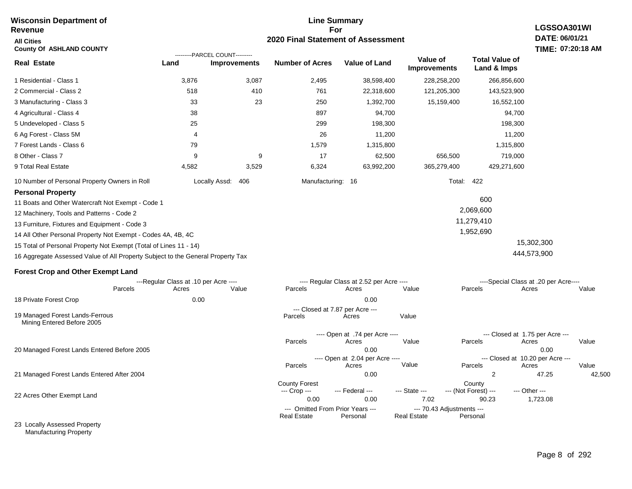#### **Line Summary For 2020 Final Statement of Assessment Wisconsin Department of Revenue All Cities County Of ASHLAND COUNTY LGSSOA301WI DATE: 06/01/21 TIME: 07:20:18 AM Real Estate** 1 Residential - Class 1 2 Commercial - Class 2 3 Manufacturing - Class 3 4 Agricultural - Class 4 5 Undeveloped - Class 5 6 Ag Forest - Class 5M 7 Forest Lands - Class 6 8 Other - Class 7 9 Total Real Estate 10 Number of Personal Property Owners in Roll 3,876 3,087 2,495 38,598,400 228,258,200 266,856,600 **Land Improvements Number of Acres Value of Land Value of Improvements Total Value of Land & Imps** 518 33 38 25 4 79 9 4,582 410 23 9 3,529 761 250 897 299 26 1,579 17 6,324 22,318,600 1,392,700 94,700 198,300 11,200 1,315,800 62,500 63,992,200 121,205,300 15,159,400 656,500 365,279,400 143,523,900 16,552,100 94,700 198,300 11,200 1,315,800 719,000 429,271,600 Locally Assd: 406 **Manufacturing: 16** Manufacturing: 16 **Personal Property** 11 Boats and Other Watercraft Not Exempt - Code 1 12 Machinery, Tools and Patterns - Code 2 13 Furniture, Fixtures and Equipment - Code 3 14 All Other Personal Property Not Exempt - Codes 4A, 4B, 4C 15 Total of Personal Property Not Exempt (Total of Lines 11 - 14) 16 Aggregate Assessed Value of All Property Subject to the General Property Tax 600 2,069,600 11,279,410 1,952,690 15,302,300 444,573,900 **Forest Crop and Other Exempt Land** ---------PARCEL COUNT---------

|                                                               |         | ---Regular Class at .10 per Acre ---- |       |                                | ---- Regular Class at 2.52 per Acre ---- |                    |                                 | ----Special Class at .20 per Acre---- |        |
|---------------------------------------------------------------|---------|---------------------------------------|-------|--------------------------------|------------------------------------------|--------------------|---------------------------------|---------------------------------------|--------|
|                                                               | Parcels | Acres                                 | Value | Parcels                        | Acres                                    | Value              | Parcels                         | Acres                                 | Value  |
| 18 Private Forest Crop                                        |         | 0.00                                  |       |                                | 0.00                                     |                    |                                 |                                       |        |
|                                                               |         |                                       |       |                                | --- Closed at 7.87 per Acre ---          |                    |                                 |                                       |        |
| 19 Managed Forest Lands-Ferrous<br>Mining Entered Before 2005 |         |                                       |       | Parcels                        | Acres                                    | Value              |                                 |                                       |        |
|                                                               |         |                                       |       | ---- Open at .74 per Acre ---- |                                          |                    | --- Closed at 1.75 per Acre --- |                                       |        |
|                                                               |         |                                       |       | Parcels                        | Acres                                    | Value              | <b>Parcels</b>                  | Acres                                 | Value  |
| 20 Managed Forest Lands Entered Before 2005                   |         |                                       |       | 0.00                           |                                          |                    | 0.00                            |                                       |        |
|                                                               |         |                                       |       |                                | ---- Open at 2.04 per Acre ----          |                    |                                 | --- Closed at 10.20 per Acre ---      |        |
|                                                               |         |                                       |       | Parcels                        | Acres                                    | Value              | Parcels                         | Acres                                 | Value  |
| 21 Managed Forest Lands Entered After 2004                    |         |                                       |       |                                | 0.00                                     |                    | 2                               | 47.25                                 | 42,500 |
|                                                               |         |                                       |       | <b>County Forest</b>           |                                          |                    | County                          |                                       |        |
|                                                               |         |                                       |       | --- Crop ---                   | $-$ Federal $-$                          | --- State ---      | --- (Not Forest) ---            | --- Other ---                         |        |
| 22 Acres Other Exempt Land                                    |         |                                       |       | 0.00                           | 0.00                                     | 7.02               | 90.23                           | 1,723.08                              |        |
|                                                               |         |                                       |       |                                | --- Omitted From Prior Years ---         |                    | --- 70.43 Adjustments ---       |                                       |        |
|                                                               |         |                                       |       | <b>Real Estate</b>             | Personal                                 | <b>Real Estate</b> | Personal                        |                                       |        |
| 23 Locally Assessed Property                                  |         |                                       |       |                                |                                          |                    |                                 |                                       |        |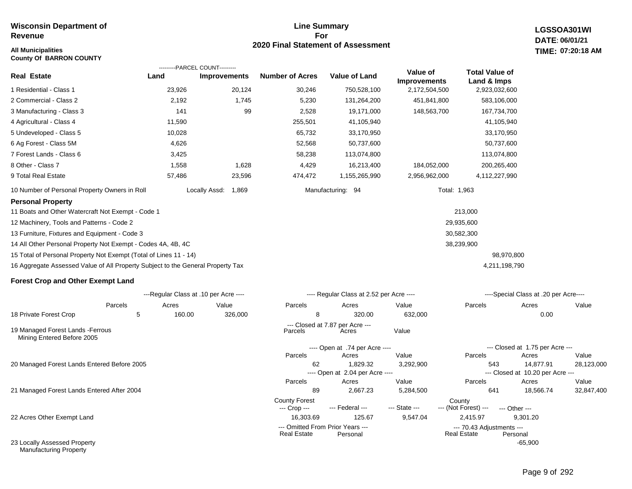# **All Municipalities TIME:**

**County Of BARRON COUNTY**

## **Line Summary For 2020 Final Statement of Assessment**

---- Open at 2.04 per Acre ----

County Forest County<br>--- Crop --- --- Federal --- --- State --- --- (Not Fore

62 1,829.32 3,292,900 543 14,877.91 28,123,000

89 2,667.23 5,284,500 641 18,566.74 32,847,400

**Real Estate** 

Parcels Acres Value Parcels Acres Value

--- (Not Forest) --- --- Other ---

16,303.69 125.67 9,547.04 2,415.97 9,301.20

--- Omitted From Prior Years ---<br>Real Estate Personal Real Estate Personal Real Estate Personal

**LGSSOA301WI DATE: 06/01/21 07:20:18 AM**

|                                                                                 |        | ---------PARCEL COUNT---------        |                        |                                          |                                 |                                      |                                       |       |
|---------------------------------------------------------------------------------|--------|---------------------------------------|------------------------|------------------------------------------|---------------------------------|--------------------------------------|---------------------------------------|-------|
| <b>Real Estate</b>                                                              | Land   | <b>Improvements</b>                   | <b>Number of Acres</b> | <b>Value of Land</b>                     | Value of<br><b>Improvements</b> | <b>Total Value of</b><br>Land & Imps |                                       |       |
| 1 Residential - Class 1                                                         | 23,926 | 20,124                                | 30,246                 | 750,528,100                              | 2,172,504,500                   | 2,923,032,600                        |                                       |       |
| 2 Commercial - Class 2                                                          | 2,192  | 1,745                                 | 5,230                  | 131,264,200                              | 451,841,800                     | 583,106,000                          |                                       |       |
| 3 Manufacturing - Class 3                                                       | 141    | 99                                    | 2,528                  | 19,171,000                               | 148,563,700                     | 167,734,700                          |                                       |       |
| 4 Agricultural - Class 4                                                        | 11,590 |                                       | 255,501                | 41,105,940                               |                                 | 41,105,940                           |                                       |       |
| 5 Undeveloped - Class 5                                                         | 10,028 |                                       | 65,732                 | 33,170,950                               |                                 | 33,170,950                           |                                       |       |
| 6 Ag Forest - Class 5M                                                          | 4,626  |                                       | 52,568                 | 50,737,600                               |                                 | 50,737,600                           |                                       |       |
| 7 Forest Lands - Class 6                                                        | 3,425  |                                       | 58,238                 | 113,074,800                              |                                 | 113,074,800                          |                                       |       |
| 8 Other - Class 7                                                               | 1,558  | 1,628                                 | 4,429                  | 16,213,400                               | 184,052,000                     | 200,265,400                          |                                       |       |
| 9 Total Real Estate                                                             | 57,486 | 23,596                                | 474,472                | 1,155,265,990                            | 2,956,962,000                   | 4,112,227,990                        |                                       |       |
| 10 Number of Personal Property Owners in Roll                                   |        | Locally Assd:<br>1,869                |                        | Manufacturing: 94                        |                                 | Total: 1,963                         |                                       |       |
| <b>Personal Property</b>                                                        |        |                                       |                        |                                          |                                 |                                      |                                       |       |
| 11 Boats and Other Watercraft Not Exempt - Code 1                               |        |                                       |                        |                                          |                                 | 213,000                              |                                       |       |
| 12 Machinery, Tools and Patterns - Code 2                                       |        |                                       |                        |                                          |                                 | 29,935,600                           |                                       |       |
| 13 Furniture, Fixtures and Equipment - Code 3                                   |        |                                       |                        |                                          |                                 | 30,582,300                           |                                       |       |
| 14 All Other Personal Property Not Exempt - Codes 4A, 4B, 4C                    |        |                                       |                        |                                          |                                 | 38,239,900                           |                                       |       |
| 15 Total of Personal Property Not Exempt (Total of Lines 11 - 14)               |        |                                       |                        |                                          |                                 | 98,970,800                           |                                       |       |
| 16 Aggregate Assessed Value of All Property Subject to the General Property Tax |        |                                       |                        |                                          |                                 | 4,211,198,790                        |                                       |       |
| <b>Forest Crop and Other Exempt Land</b>                                        |        |                                       |                        |                                          |                                 |                                      |                                       |       |
|                                                                                 |        | ---Regular Class at .10 per Acre ---- |                        | ---- Regular Class at 2.52 per Acre ---- |                                 |                                      | ----Special Class at .20 per Acre---- |       |
| Parcels                                                                         | Acres  | Value                                 | Parcels                | Acres                                    | Value                           | Parcels                              | Acres                                 | Value |
| 18 Private Forest Crop<br>5                                                     | 160.00 | 326,000                               | 8                      | 320.00                                   | 632,000                         |                                      | 0.00                                  |       |
| 19 Managed Forest Lands - Ferrous<br>Mining Entered Before 2005                 |        |                                       | Parcels                | --- Closed at 7.87 per Acre ---<br>Acres | Value                           |                                      |                                       |       |
|                                                                                 |        |                                       |                        | ---- Open at .74 per Acre ----           |                                 |                                      | --- Closed at 1.75 per Acre ---       |       |
|                                                                                 |        |                                       | Parcels                | Acres                                    | Value                           | Parcels                              | Acres                                 | Value |

20 Managed Forest Lands Entered Before 2005

21 Managed Forest Lands Entered After 2004

22 Acres Other Exempt Land

23 Locally Assessed Property Manufacturing Property

-65,900

--- Closed at 10.20 per Acre ---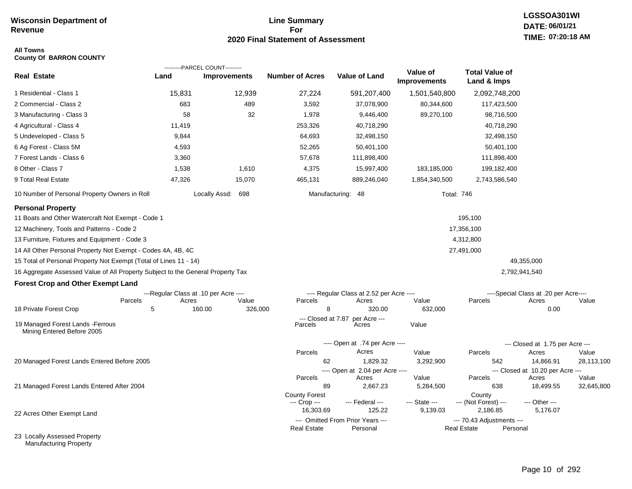Manufacturing Property

## **Line Summary For 2020 Final Statement of Assessment**

# **LGSSOA301WI DATE: 06/01/21 TIME: 07:20:18 AM**

### **All Towns County Of BARRON COUNTY**

|                                                                                 |                                       | ---------PARCEL COUNT--------- |                               |                                              |                                 |                                                 |                                           |            |
|---------------------------------------------------------------------------------|---------------------------------------|--------------------------------|-------------------------------|----------------------------------------------|---------------------------------|-------------------------------------------------|-------------------------------------------|------------|
| <b>Real Estate</b>                                                              | Land                                  | <b>Improvements</b>            | <b>Number of Acres</b>        | <b>Value of Land</b>                         | Value of<br><b>Improvements</b> | <b>Total Value of</b><br>Land & Imps            |                                           |            |
| 1 Residential - Class 1                                                         | 15,831                                | 12,939                         | 27,224                        | 591,207,400                                  | 1,501,540,800                   | 2,092,748,200                                   |                                           |            |
| 2 Commercial - Class 2                                                          | 683                                   | 489                            | 3,592                         | 37,078,900                                   | 80,344,600                      | 117,423,500                                     |                                           |            |
| 3 Manufacturing - Class 3                                                       | 58                                    | 32                             | 1,978                         | 9,446,400                                    | 89,270,100                      | 98,716,500                                      |                                           |            |
| 4 Agricultural - Class 4                                                        | 11,419                                |                                | 253,326                       | 40,718,290                                   |                                 | 40,718,290                                      |                                           |            |
| 5 Undeveloped - Class 5                                                         | 9,844                                 |                                | 64,693                        | 32,498,150                                   |                                 | 32,498,150                                      |                                           |            |
| 6 Ag Forest - Class 5M                                                          | 4,593                                 |                                | 52,265                        | 50,401,100                                   |                                 | 50,401,100                                      |                                           |            |
| 7 Forest Lands - Class 6                                                        | 3,360                                 |                                | 57,678                        | 111,898,400                                  |                                 | 111,898,400                                     |                                           |            |
| 8 Other - Class 7                                                               | 1,538                                 | 1,610                          | 4,375                         | 15,997,400                                   | 183,185,000                     | 199,182,400                                     |                                           |            |
| 9 Total Real Estate                                                             | 47,326                                | 15,070                         | 465,131                       | 889,246,040                                  | 1,854,340,500                   | 2,743,586,540                                   |                                           |            |
| 10 Number of Personal Property Owners in Roll                                   |                                       | Locally Assd: 698              |                               | Manufacturing:<br>-48                        |                                 | <b>Total: 746</b>                               |                                           |            |
| <b>Personal Property</b>                                                        |                                       |                                |                               |                                              |                                 |                                                 |                                           |            |
| 11 Boats and Other Watercraft Not Exempt - Code 1                               |                                       |                                |                               |                                              |                                 | 195,100                                         |                                           |            |
| 12 Machinery, Tools and Patterns - Code 2                                       |                                       |                                |                               |                                              |                                 | 17,356,100                                      |                                           |            |
| 13 Furniture, Fixtures and Equipment - Code 3                                   |                                       |                                |                               |                                              |                                 | 4,312,800                                       |                                           |            |
| 14 All Other Personal Property Not Exempt - Codes 4A, 4B, 4C                    |                                       |                                |                               |                                              |                                 | 27,491,000                                      |                                           |            |
| 15 Total of Personal Property Not Exempt (Total of Lines 11 - 14)               |                                       |                                |                               |                                              |                                 |                                                 | 49,355,000                                |            |
| 16 Aggregate Assessed Value of All Property Subject to the General Property Tax |                                       |                                |                               |                                              |                                 |                                                 | 2,792,941,540                             |            |
| <b>Forest Crop and Other Exempt Land</b>                                        |                                       |                                |                               |                                              |                                 |                                                 |                                           |            |
|                                                                                 | ---Regular Class at .10 per Acre ---- |                                |                               | ---- Regular Class at 2.52 per Acre ----     |                                 |                                                 | ----Special Class at .20 per Acre----     |            |
| Parcels                                                                         | Acres                                 | Value                          | Parcels                       | Acres                                        | Value                           | Parcels                                         | Acres                                     | Value      |
| 18 Private Forest Crop                                                          | 5                                     | 160.00<br>326,000              | 8                             | 320.00                                       | 632,000                         |                                                 | 0.00                                      |            |
| 19 Managed Forest Lands - Ferrous<br>Mining Entered Before 2005                 |                                       |                                | --- Closed at 7.87<br>Parcels | per Acre ---<br>Acres                        | Value                           |                                                 |                                           |            |
|                                                                                 |                                       |                                |                               | ---- Open at .74 per Acre ----               |                                 |                                                 | --- Closed at 1.75 per Acre ---           |            |
|                                                                                 |                                       |                                | Parcels                       | Acres                                        | Value                           | Parcels                                         | Acres                                     | Value      |
| 20 Managed Forest Lands Entered Before 2005                                     |                                       |                                | 62                            | 1,829.32                                     | 3,292,900                       | 542                                             | 14,866.91                                 | 28,113,100 |
|                                                                                 |                                       |                                | Parcels                       | ---- Open at 2.04 per Acre ----<br>Acres     | Value                           | Parcels                                         | --- Closed at 10.20 per Acre ---<br>Acres | Value      |
| 21 Managed Forest Lands Entered After 2004                                      |                                       |                                | 89                            | 2,667.23                                     | 5,284,500                       | 638                                             | 18,499.55                                 | 32,645,800 |
|                                                                                 |                                       |                                | <b>County Forest</b>          |                                              |                                 | County                                          |                                           |            |
|                                                                                 |                                       |                                | --- Crop ---                  | --- Federal ---                              | --- State ---                   | --- (Not Forest) ---                            | --- Other ---                             |            |
| 22 Acres Other Exempt Land                                                      |                                       |                                | 16,303.69                     | 125.22                                       | 9,139.03                        | 2,186.85                                        | 5,176.07                                  |            |
|                                                                                 |                                       |                                | <b>Real Estate</b>            | --- Omitted From Prior Years ---<br>Personal |                                 | --- 70.43 Adjustments ---<br><b>Real Estate</b> | Personal                                  |            |
| 23 Locally Assessed Property                                                    |                                       |                                |                               |                                              |                                 |                                                 |                                           |            |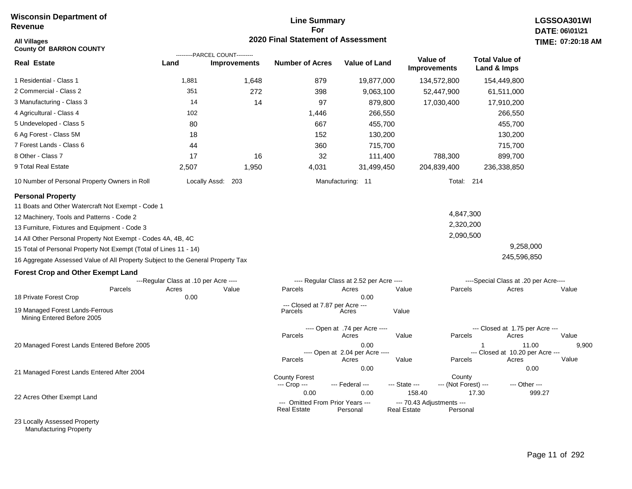## **Line Summary For 2020 Final Statement of Assessment**

| All Villages<br><b>County Of BARRON COUNTY</b>                                  |                                       |                                                       | 2020 Final Statement of Assessment              |                                          |                                                 |                                |                                       | TIME: 07:20:18 |
|---------------------------------------------------------------------------------|---------------------------------------|-------------------------------------------------------|-------------------------------------------------|------------------------------------------|-------------------------------------------------|--------------------------------|---------------------------------------|----------------|
| <b>Real Estate</b>                                                              | Land                                  | ---------PARCEL COUNT---------<br><b>Improvements</b> | <b>Number of Acres</b>                          | <b>Value of Land</b>                     | Value of<br><b>Improvements</b>                 |                                | <b>Total Value of</b><br>Land & Imps  |                |
| 1 Residential - Class 1                                                         | 1,881                                 | 1,648                                                 | 879                                             | 19,877,000                               | 134,572,800                                     |                                | 154,449,800                           |                |
| 2 Commercial - Class 2                                                          | 351                                   | 272                                                   | 398                                             | 9,063,100                                |                                                 | 52,447,900                     | 61,511,000                            |                |
| 3 Manufacturing - Class 3                                                       | 14                                    | 14                                                    | 97                                              | 879,800                                  |                                                 | 17,030,400                     | 17,910,200                            |                |
| 4 Agricultural - Class 4                                                        | 102                                   |                                                       | 1,446                                           | 266,550                                  |                                                 |                                | 266,550                               |                |
| 5 Undeveloped - Class 5                                                         | 80                                    |                                                       | 667                                             | 455,700                                  |                                                 |                                | 455,700                               |                |
| 6 Ag Forest - Class 5M                                                          | 18                                    |                                                       | 152                                             | 130,200                                  |                                                 |                                | 130,200                               |                |
| 7 Forest Lands - Class 6                                                        | 44                                    |                                                       | 360                                             | 715,700                                  |                                                 |                                | 715,700                               |                |
| 8 Other - Class 7                                                               | 17                                    | 16                                                    | 32                                              | 111,400                                  |                                                 | 788,300                        | 899,700                               |                |
| 9 Total Real Estate                                                             | 2,507                                 | 1,950                                                 | 4,031                                           | 31,499,450                               | 204,839,400                                     |                                | 236,338,850                           |                |
| 10 Number of Personal Property Owners in Roll                                   |                                       | Locally Assd: 203                                     |                                                 | Manufacturing: 11                        |                                                 | Total: 214                     |                                       |                |
| <b>Personal Property</b>                                                        |                                       |                                                       |                                                 |                                          |                                                 |                                |                                       |                |
| 11 Boats and Other Watercraft Not Exempt - Code 1                               |                                       |                                                       |                                                 |                                          |                                                 |                                |                                       |                |
| 12 Machinery, Tools and Patterns - Code 2                                       |                                       |                                                       |                                                 |                                          |                                                 | 4,847,300                      |                                       |                |
| 13 Furniture, Fixtures and Equipment - Code 3                                   |                                       |                                                       |                                                 |                                          |                                                 | 2,320,200                      |                                       |                |
| 14 All Other Personal Property Not Exempt - Codes 4A, 4B, 4C                    |                                       |                                                       |                                                 |                                          |                                                 | 2,090,500                      |                                       |                |
| 15 Total of Personal Property Not Exempt (Total of Lines 11 - 14)               |                                       |                                                       |                                                 |                                          |                                                 |                                | 9,258,000                             |                |
| 16 Aggregate Assessed Value of All Property Subject to the General Property Tax |                                       |                                                       |                                                 |                                          |                                                 |                                | 245,596,850                           |                |
| <b>Forest Crop and Other Exempt Land</b>                                        |                                       |                                                       |                                                 |                                          |                                                 |                                |                                       |                |
|                                                                                 | ---Regular Class at .10 per Acre ---- |                                                       |                                                 | ---- Regular Class at 2.52 per Acre ---- |                                                 |                                | ----Special Class at .20 per Acre---- |                |
| Parcels<br>18 Private Forest Crop                                               | Acres<br>0.00                         | Value                                                 | Parcels                                         | Acres<br>0.00                            | Value                                           | Parcels                        | Acres                                 | Value          |
|                                                                                 |                                       |                                                       | --- Closed at 7.87 per Acre ---                 |                                          |                                                 |                                |                                       |                |
| 19 Managed Forest Lands-Ferrous<br>Mining Entered Before 2005                   |                                       |                                                       | Parcels                                         | Acres                                    | Value                                           |                                |                                       |                |
|                                                                                 |                                       |                                                       |                                                 | ---- Open at .74 per Acre ----           |                                                 |                                | --- Closed at 1.75 per Acre ---       |                |
|                                                                                 |                                       |                                                       | Parcels                                         | Acres<br>0.00                            | Value                                           | Parcels<br>$\mathbf 1$         | Acres<br>11.00                        | Value          |
| 20 Managed Forest Lands Entered Before 2005                                     |                                       |                                                       |                                                 | ---- Open at 2.04 per Acre ----          |                                                 |                                | --- Closed at 10.20 per Acre ---      | 9,900          |
|                                                                                 |                                       |                                                       | Parcels                                         | Acres                                    | Value                                           | Parcels                        | Acres                                 | Value          |
| 21 Managed Forest Lands Entered After 2004                                      |                                       |                                                       |                                                 | 0.00                                     |                                                 |                                | 0.00                                  |                |
|                                                                                 |                                       |                                                       | <b>County Forest</b><br>--- Crop ---            | --- Federal ---                          | --- State ---                                   | County<br>--- (Not Forest) --- | --- Other ---                         |                |
| 22 Acres Other Exempt Land                                                      |                                       |                                                       | 0.00                                            | 0.00                                     | 158.40                                          | 17.30                          |                                       | 999.27         |
|                                                                                 |                                       |                                                       | --- Omitted From Prior Years ---<br>Real Estate | Personal                                 | --- 70.43 Adjustments ---<br><b>Real Estate</b> | Personal                       |                                       |                |

23 Locally Assessed Property Manufacturing Property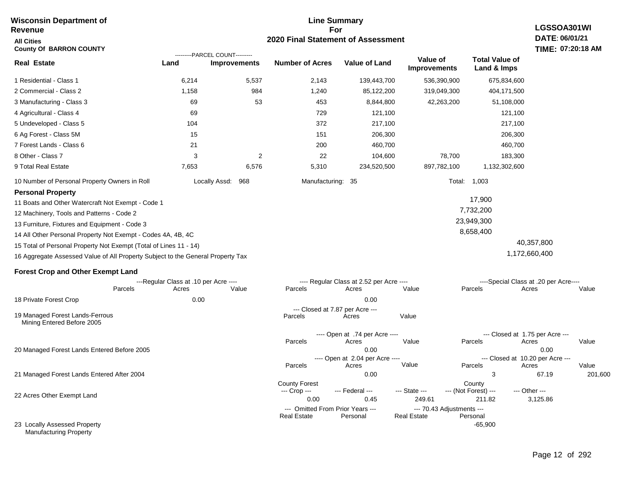#### **Line Summary For 2020 Final Statement of Assessment Wisconsin Department of Revenue All Cities County Of BARRON COUNTY LGSSOA301WI DATE: 06/01/21 TIME: 07:20:18 AM Real Estate** 1 Residential - Class 1 2 Commercial - Class 2 3 Manufacturing - Class 3 4 Agricultural - Class 4 5 Undeveloped - Class 5 6 Ag Forest - Class 5M 7 Forest Lands - Class 6 8 Other - Class 7 9 Total Real Estate 10 Number of Personal Property Owners in Roll 6,214 5,537 2,143 139,443,700 536,390,900 675,834,600 **Land Improvements Number of Acres Value of Land Value of Improvements Total Value of Land & Imps** 1,158 69 69 104 15 21 3 7,653 984 53 2 6,576 1,240 453 729 372 151 200 22 5,310 85,122,200 8,844,800 121,100 217,100 206,300 460,700 104,600 234,520,500 319,049,300 42,263,200 78,700 897,782,100 404,171,500 51,108,000 121,100 217,100 206,300 460,700 183,300 1,132,302,600 Locally Assd: 968 Manufacturing: 35 Total: 1,003 **Personal Property** 11 Boats and Other Watercraft Not Exempt - Code 1 12 Machinery, Tools and Patterns - Code 2 13 Furniture, Fixtures and Equipment - Code 3 14 All Other Personal Property Not Exempt - Codes 4A, 4B, 4C 15 Total of Personal Property Not Exempt (Total of Lines 11 - 14) 16 Aggregate Assessed Value of All Property Subject to the General Property Tax 17,900 7,732,200 23,949,300 8,658,400 40,357,800 1,172,660,400 **Forest Crop and Other Exempt Land** ---Regular Class at .10 per Acre ---- ---- Regular Class at 2.52 per Acre ---- ----Special Class at .20 per Acre---- 18 Private Forest Crop Parcels 0.00 0.00 Acres Value Parcels Acres Value Parcels Acres Value --- Closed at 1.75 per Acre --- ---------PARCEL COUNT--------- 19 Managed Forest Lands-Ferrous Mining Entered Before 2005 --- Closed at 7.87 per Acre ---<br>rcels Acres Parcels **Acres** Value

20 Managed Forest Lands Entered Before 2005 21 Managed Forest Lands Entered After 2004 ---- Open at .74 per Acre<br>Acres Parcels 0.00 0.00 Acres Value Parcels Acres Value ---- Open at 2.04 per Acre ---<br>Acres Value Parcels Parcels Acres Acres Parcels 0.00 3 67.19 201,600 Acres **Value Parcels Acres Value** County Forest County County --- Crop --- 0.00 0.45 249.61 211.82 3,125.86 --- Federal --- - --- State --- --- (Not Forest) --- --- Other ---22 Acres Other Exempt Land 23 Locally Assessed Property --- Omitted From Prior Years --- --- --- 70.43 Adjustments ---<br>eal Estate --- --- --- Real Estate --- Personal -65,900 **Real Estate**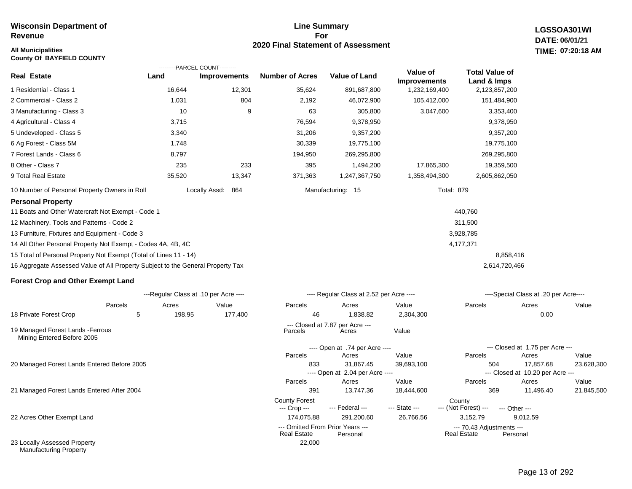**County Of BAYFIELD COUNTY**

## **Line Summary For 2020 Final Statement of Assessment**

**LGSSOA301WI DATE: 06/01/21 All Municipalities TIME: 07:20:18 AM**

|                                                                                 |        | ---------PARCEL COUNT--------- |                        |                      |                                 |                                      |
|---------------------------------------------------------------------------------|--------|--------------------------------|------------------------|----------------------|---------------------------------|--------------------------------------|
| Real Estate                                                                     | Land   | <b>Improvements</b>            | <b>Number of Acres</b> | <b>Value of Land</b> | Value of<br><b>Improvements</b> | <b>Total Value of</b><br>Land & Imps |
| 1 Residential - Class 1                                                         | 16,644 | 12,301                         | 35,624                 | 891,687,800          | 1,232,169,400                   | 2,123,857,200                        |
| 2 Commercial - Class 2                                                          | 1,031  | 804                            | 2,192                  | 46,072,900           | 105,412,000                     | 151,484,900                          |
| 3 Manufacturing - Class 3                                                       | 10     | 9                              | 63                     | 305,800              | 3,047,600                       | 3,353,400                            |
| 4 Agricultural - Class 4                                                        | 3,715  |                                | 76,594                 | 9,378,950            |                                 | 9,378,950                            |
| 5 Undeveloped - Class 5                                                         | 3,340  |                                | 31,206                 | 9,357,200            |                                 | 9,357,200                            |
| 6 Ag Forest - Class 5M                                                          | 1,748  |                                | 30,339                 | 19,775,100           |                                 | 19,775,100                           |
| 7 Forest Lands - Class 6                                                        | 8,797  |                                | 194,950                | 269,295,800          |                                 | 269,295,800                          |
| 8 Other - Class 7                                                               | 235    | 233                            | 395                    | 1,494,200            | 17,865,300                      | 19,359,500                           |
| 9 Total Real Estate                                                             | 35,520 | 13,347                         | 371,363                | 1,247,367,750        | 1,358,494,300                   | 2,605,862,050                        |
| 10 Number of Personal Property Owners in Roll                                   |        | Locally Assd:<br>864           |                        | Manufacturing: 15    | <b>Total: 879</b>               |                                      |
| <b>Personal Property</b>                                                        |        |                                |                        |                      |                                 |                                      |
| 11 Boats and Other Watercraft Not Exempt - Code 1                               |        |                                |                        |                      |                                 | 440,760                              |
| 12 Machinery, Tools and Patterns - Code 2                                       |        |                                |                        |                      |                                 | 311,500                              |
| 13 Furniture, Fixtures and Equipment - Code 3                                   |        |                                |                        |                      |                                 | 3,928,785                            |
| 14 All Other Personal Property Not Exempt - Codes 4A, 4B, 4C                    |        |                                |                        |                      |                                 | 4,177,371                            |
| 15 Total of Personal Property Not Exempt (Total of Lines 11 - 14)               |        |                                |                        |                      |                                 | 8,858,416                            |
| 16 Aggregate Assessed Value of All Property Subject to the General Property Tax |        |                                |                        |                      |                                 | 2,614,720,466                        |
|                                                                                 |        |                                |                        |                      |                                 |                                      |

## **Forest Crop and Other Exempt Land**

|                                                                 |         | ---Regular Class at .10 per Acre ---- |         |                                                        | ---- Regular Class at 2.52 per Acre ---- |               |                                                 | ----Special Class at .20 per Acre---- |            |  |  |  |
|-----------------------------------------------------------------|---------|---------------------------------------|---------|--------------------------------------------------------|------------------------------------------|---------------|-------------------------------------------------|---------------------------------------|------------|--|--|--|
|                                                                 | Parcels | Acres                                 | Value   | Parcels                                                | Acres                                    | Value         | Parcels                                         | Acres                                 | Value      |  |  |  |
| 18 Private Forest Crop                                          | 5       | 198.95                                | 177,400 | 46                                                     | 838.82.                                  | 2,304,300     |                                                 | 0.00                                  |            |  |  |  |
| 19 Managed Forest Lands - Ferrous<br>Mining Entered Before 2005 |         |                                       |         | Parcels                                                | --- Closed at 7.87 per Acre ---<br>Acres | Value         |                                                 |                                       |            |  |  |  |
|                                                                 |         |                                       |         |                                                        | ---- Open at .74 per Acre ----           |               |                                                 | --- Closed at 1.75 per Acre ---       |            |  |  |  |
|                                                                 |         |                                       |         | Parcels                                                | Acres                                    | Value         | Parcels                                         | Acres                                 | Value      |  |  |  |
| 20 Managed Forest Lands Entered Before 2005                     |         |                                       |         | 833                                                    | 31,867.45                                | 39,693,100    | 504                                             | 17,857.68                             | 23,628,300 |  |  |  |
|                                                                 |         |                                       |         |                                                        | ---- Open at 2.04 per Acre ----          |               |                                                 | --- Closed at 10.20 per Acre ---      |            |  |  |  |
|                                                                 |         |                                       |         | Parcels                                                | Acres                                    | Value         | Parcels                                         | Acres                                 | Value      |  |  |  |
| 21 Managed Forest Lands Entered After 2004                      |         |                                       |         | 391                                                    | 13,747.36                                | 18,444,600    | 369                                             | 11,496.40                             | 21,845,500 |  |  |  |
|                                                                 |         |                                       |         | <b>County Forest</b><br>--- Crop ---                   | --- Federal ---                          | --- State --- | County<br>--- (Not Forest) ---                  | --- Other ---                         |            |  |  |  |
| 22 Acres Other Exempt Land                                      |         |                                       |         | 174,075.88                                             | 291,200.60                               | 26,766.56     | 3,152.79                                        | 9,012.59                              |            |  |  |  |
|                                                                 |         |                                       |         | --- Omitted From Prior Years ---<br><b>Real Estate</b> | Personal                                 |               | --- 70.43 Adjustments ---<br><b>Real Estate</b> | Personal                              |            |  |  |  |
| 23 Locally Assessed Property<br><b>Manufacturing Property</b>   |         |                                       |         | 22,000                                                 |                                          |               |                                                 |                                       |            |  |  |  |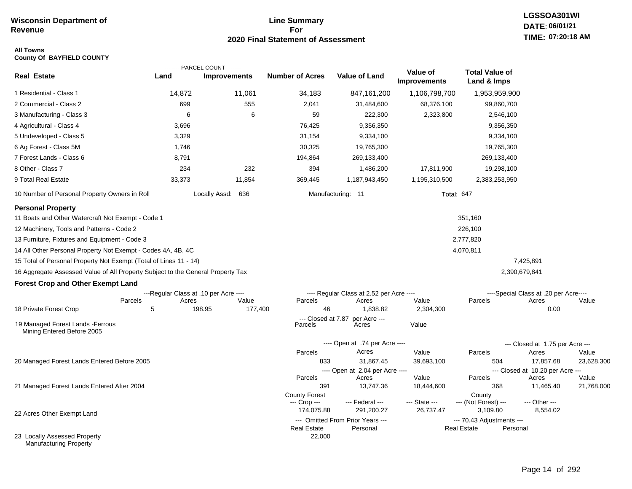## **Line Summary For 2020 Final Statement of Assessment**

## **All Towns County Of BAYFIELD COUNTY**

|                                                                                 |                                       | ---------PARCEL COUNT--------- |                               |                                              |                                 |                                          |                                           |            |
|---------------------------------------------------------------------------------|---------------------------------------|--------------------------------|-------------------------------|----------------------------------------------|---------------------------------|------------------------------------------|-------------------------------------------|------------|
| <b>Real Estate</b>                                                              | Land                                  | <b>Improvements</b>            | <b>Number of Acres</b>        | <b>Value of Land</b>                         | Value of<br><b>Improvements</b> | <b>Total Value of</b><br>Land & Imps     |                                           |            |
| 1 Residential - Class 1                                                         | 14,872                                | 11,061                         | 34,183                        | 847,161,200                                  | 1,106,798,700                   | 1,953,959,900                            |                                           |            |
| 2 Commercial - Class 2                                                          | 699                                   | 555                            | 2,041                         | 31,484,600                                   | 68,376,100                      | 99,860,700                               |                                           |            |
| 3 Manufacturing - Class 3                                                       | 6                                     | 6                              | 59                            | 222,300                                      | 2,323,800                       | 2,546,100                                |                                           |            |
| 4 Agricultural - Class 4                                                        | 3,696                                 |                                | 76,425                        | 9,356,350                                    |                                 | 9,356,350                                |                                           |            |
| 5 Undeveloped - Class 5                                                         | 3,329                                 |                                | 31,154                        | 9,334,100                                    |                                 | 9,334,100                                |                                           |            |
| 6 Ag Forest - Class 5M                                                          | 1,746                                 |                                | 30,325                        | 19,765,300                                   |                                 | 19,765,300                               |                                           |            |
| 7 Forest Lands - Class 6                                                        | 8,791                                 |                                | 194,864                       | 269,133,400                                  |                                 | 269,133,400                              |                                           |            |
| 8 Other - Class 7                                                               | 234                                   | 232                            | 394                           | 1,486,200                                    | 17,811,900                      | 19,298,100                               |                                           |            |
| 9 Total Real Estate                                                             | 33,373                                | 11,854                         | 369,445                       | 1,187,943,450                                | 1,195,310,500                   | 2,383,253,950                            |                                           |            |
| 10 Number of Personal Property Owners in Roll                                   |                                       | Locally Assd: 636              |                               | Manufacturing: 11                            |                                 | Total: 647                               |                                           |            |
| <b>Personal Property</b>                                                        |                                       |                                |                               |                                              |                                 |                                          |                                           |            |
| 11 Boats and Other Watercraft Not Exempt - Code 1                               |                                       |                                |                               |                                              |                                 | 351,160                                  |                                           |            |
| 12 Machinery, Tools and Patterns - Code 2                                       |                                       |                                |                               |                                              |                                 | 226,100                                  |                                           |            |
| 13 Furniture, Fixtures and Equipment - Code 3                                   |                                       |                                |                               |                                              |                                 | 2,777,820                                |                                           |            |
| 14 All Other Personal Property Not Exempt - Codes 4A, 4B, 4C                    |                                       |                                |                               |                                              |                                 | 4,070,811                                |                                           |            |
| 15 Total of Personal Property Not Exempt (Total of Lines 11 - 14)               |                                       |                                |                               |                                              |                                 |                                          | 7,425,891                                 |            |
| 16 Aggregate Assessed Value of All Property Subject to the General Property Tax |                                       |                                |                               |                                              |                                 |                                          | 2,390,679,841                             |            |
| <b>Forest Crop and Other Exempt Land</b>                                        |                                       |                                |                               |                                              |                                 |                                          |                                           |            |
|                                                                                 | ---Regular Class at .10 per Acre ---- |                                |                               | ---- Regular Class at 2.52 per Acre ----     |                                 |                                          | ----Special Class at .20 per Acre----     |            |
|                                                                                 | Parcels<br>Acres                      | Value                          | Parcels                       | Acres                                        | Value                           | Parcels                                  | Acres                                     | Value      |
| 18 Private Forest Crop                                                          | 5                                     | 198.95<br>177,400              | 46                            | 1,838.82                                     | 2,304,300                       |                                          | 0.00                                      |            |
| 19 Managed Forest Lands - Ferrous<br>Mining Entered Before 2005                 |                                       |                                | --- Closed at 7.87<br>Parcels | per Acre ---<br>Acres                        | Value                           |                                          |                                           |            |
|                                                                                 |                                       |                                |                               | ---- Open at .74 per Acre ----               |                                 |                                          | --- Closed at 1.75 per Acre ---           |            |
|                                                                                 |                                       |                                | Parcels                       | Acres                                        | Value                           | Parcels                                  | Acres                                     | Value      |
| 20 Managed Forest Lands Entered Before 2005                                     |                                       |                                | 833                           | 31,867.45                                    | 39,693,100                      | 504                                      | 17,857.68                                 | 23,628,300 |
|                                                                                 |                                       |                                | Parcels                       | ---- Open at 2.04 per Acre ----<br>Acres     | Value                           | Parcels                                  | --- Closed at 10.20 per Acre ---<br>Acres | Value      |
| 21 Managed Forest Lands Entered After 2004                                      |                                       |                                | 391                           | 13,747.36                                    | 18,444,600                      | 368                                      | 11,465.40                                 | 21,768,000 |
|                                                                                 |                                       |                                | <b>County Forest</b>          |                                              |                                 | County                                   |                                           |            |
|                                                                                 |                                       |                                | --- Crop ---                  | --- Federal ---                              | --- State ---                   | --- (Not Forest) ---                     | --- Other ---                             |            |
| 22 Acres Other Exempt Land                                                      |                                       |                                | 174,075.88                    | 291,200.27                                   | 26,737.47                       | 3,109.80                                 | 8,554.02                                  |            |
|                                                                                 |                                       |                                | <b>Real Estate</b>            | --- Omitted From Prior Years ---<br>Personal |                                 | --- 70.43 Adjustments ---<br>Real Estate | Personal                                  |            |
| 23 Locally Assessed Property<br><b>Manufacturing Property</b>                   |                                       |                                | 22,000                        |                                              |                                 |                                          |                                           |            |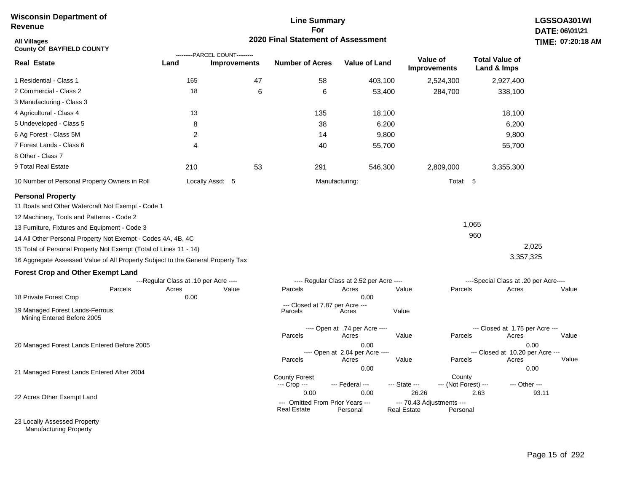## **Line Summary For 2020 Final Statement of Assessment**

| All Villages<br><b>County Of BAYFIELD COUNTY</b>                                |                                       | ---------PARCEL COUNT--------- | 2020 Final Statement of Assessment   |                                          |                    |                                 |                                       | TIME: 07:20   |
|---------------------------------------------------------------------------------|---------------------------------------|--------------------------------|--------------------------------------|------------------------------------------|--------------------|---------------------------------|---------------------------------------|---------------|
| Real Estate                                                                     | Land                                  | <b>Improvements</b>            | <b>Number of Acres</b>               | <b>Value of Land</b>                     |                    | Value of<br><b>Improvements</b> | <b>Total Value of</b><br>Land & Imps  |               |
| 1 Residential - Class 1                                                         | 165                                   | 47                             | 58                                   |                                          | 403,100            | 2,524,300                       | 2,927,400                             |               |
| 2 Commercial - Class 2                                                          | 18                                    | 6                              | 6                                    |                                          | 53,400             | 284,700                         | 338,100                               |               |
| 3 Manufacturing - Class 3                                                       |                                       |                                |                                      |                                          |                    |                                 |                                       |               |
| 4 Agricultural - Class 4                                                        | 13                                    |                                | 135                                  |                                          | 18,100             |                                 | 18,100                                |               |
| 5 Undeveloped - Class 5                                                         | 8                                     |                                | 38                                   |                                          | 6,200              |                                 | 6,200                                 |               |
| 6 Ag Forest - Class 5M                                                          | 2                                     |                                | 14                                   |                                          | 9,800              |                                 | 9,800                                 |               |
| 7 Forest Lands - Class 6                                                        | $\overline{4}$                        |                                | 40                                   |                                          | 55,700             |                                 | 55,700                                |               |
| 8 Other - Class 7                                                               |                                       |                                |                                      |                                          |                    |                                 |                                       |               |
| 9 Total Real Estate                                                             | 210                                   | 53                             | 291                                  |                                          | 546,300            | 2,809,000                       | 3,355,300                             |               |
| 10 Number of Personal Property Owners in Roll                                   |                                       | Locally Assd: 5                |                                      | Manufacturing:                           |                    | Total: 5                        |                                       |               |
| <b>Personal Property</b>                                                        |                                       |                                |                                      |                                          |                    |                                 |                                       |               |
| 11 Boats and Other Watercraft Not Exempt - Code 1                               |                                       |                                |                                      |                                          |                    |                                 |                                       |               |
| 12 Machinery, Tools and Patterns - Code 2                                       |                                       |                                |                                      |                                          |                    |                                 |                                       |               |
| 13 Furniture, Fixtures and Equipment - Code 3                                   |                                       |                                |                                      |                                          |                    |                                 | 1,065                                 |               |
| 14 All Other Personal Property Not Exempt - Codes 4A, 4B, 4C                    |                                       |                                |                                      |                                          |                    |                                 | 960                                   |               |
| 15 Total of Personal Property Not Exempt (Total of Lines 11 - 14)               |                                       |                                |                                      |                                          |                    |                                 |                                       | 2,025         |
| 16 Aggregate Assessed Value of All Property Subject to the General Property Tax |                                       |                                |                                      |                                          |                    |                                 | 3,357,325                             |               |
| <b>Forest Crop and Other Exempt Land</b>                                        |                                       |                                |                                      |                                          |                    |                                 |                                       |               |
|                                                                                 | ---Regular Class at .10 per Acre ---- |                                |                                      | ---- Regular Class at 2.52 per Acre ---- |                    |                                 | ----Special Class at .20 per Acre---- |               |
| Parcels                                                                         | Acres                                 | Value                          | Parcels                              | Acres<br>0.00                            | Value              | Parcels                         | Acres                                 | Value         |
| 18 Private Forest Crop                                                          | 0.00                                  |                                | --- Closed at 7.87 per Acre ---      |                                          |                    |                                 |                                       |               |
| 19 Managed Forest Lands-Ferrous<br>Mining Entered Before 2005                   |                                       |                                | Parcels                              | Acres                                    | Value              |                                 |                                       |               |
|                                                                                 |                                       |                                |                                      | ---- Open at .74 per Acre ----           |                    |                                 | --- Closed at 1.75 per Acre ---       |               |
| 20 Managed Forest Lands Entered Before 2005                                     |                                       |                                | Parcels                              | Acres<br>0.00                            | Value              | Parcels                         | Acres                                 | Value<br>0.00 |
|                                                                                 |                                       |                                |                                      | ---- Open at 2.04 per Acre ----          |                    |                                 | --- Closed at 10.20 per Acre ---      |               |
|                                                                                 |                                       |                                | Parcels                              | Acres                                    | Value              | Parcels                         | Acres                                 | Value         |
| 21 Managed Forest Lands Entered After 2004                                      |                                       |                                |                                      | 0.00                                     |                    |                                 |                                       | 0.00          |
|                                                                                 |                                       |                                | <b>County Forest</b><br>--- Crop --- | --- Federal ---                          | --- State ---      | County<br>--- (Not Forest) ---  |                                       | --- Other --- |
|                                                                                 |                                       |                                | 0.00                                 | 0.00                                     | 26.26              |                                 | 2.63                                  | 93.11         |
| 22 Acres Other Exempt Land                                                      |                                       |                                | --- Omitted From Prior Years ---     |                                          |                    | --- 70.43 Adjustments ---       |                                       |               |
|                                                                                 |                                       |                                | Real Estate                          | Personal                                 | <b>Real Estate</b> | Personal                        |                                       |               |

23 Locally Assessed Property Manufacturing Property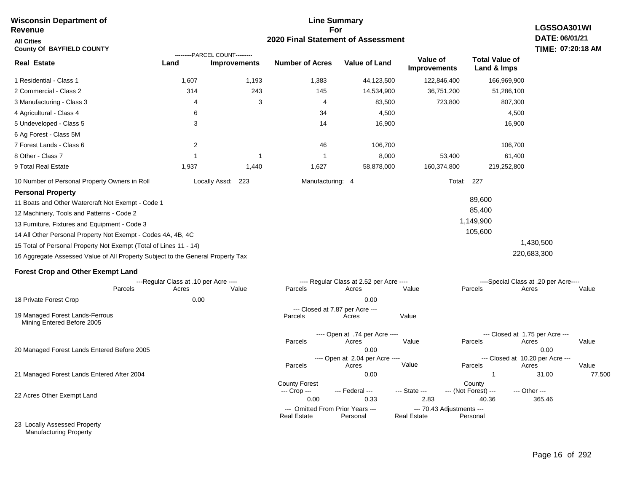#### **Line Summary For 2020 Final Statement of Assessment Wisconsin Department of Revenue All Cities County Of BAYFIELD COUNTY LGSSOA301WI DATE: 06/01/21 TIME: 07:20:18 AM Real Estate** 1 Residential - Class 1 2 Commercial - Class 2 3 Manufacturing - Class 3 4 Agricultural - Class 4 5 Undeveloped - Class 5 6 Ag Forest - Class 5M 7 Forest Lands - Class 6 8 Other - Class 7 9 Total Real Estate 10 Number of Personal Property Owners in Roll 1,607 1,193 1,383 44,123,500 122,846,400 166,969,900 **Land Improvements Number of Acres Value of Land Value of Improvements Total Value of Land & Imps** 314 4 6 3 2 1 1,937 243 3 1 1,440 145 4 34 14 46 1 1,627 14,534,900 83,500 4,500 16,900 106,700 8,000 58,878,000 36,751,200 723,800 53,400 160,374,800 51,286,100 807,300 4,500 16,900 106,700 61,400 219,252,800 Locally Assd: 223 Manufacturing: 4 Total: 227 **Personal Property** 11 Boats and Other Watercraft Not Exempt - Code 1 12 Machinery, Tools and Patterns - Code 2 13 Furniture, Fixtures and Equipment - Code 3 14 All Other Personal Property Not Exempt - Codes 4A, 4B, 4C 15 Total of Personal Property Not Exempt (Total of Lines 11 - 14) 16 Aggregate Assessed Value of All Property Subject to the General Property Tax 89,600 85,400 1,149,900 105,600 1,430,500 220,683,300 **Forest Crop and Other Exempt Land** ---Regular Class at .10 per Acre ---- ---- Regular Class at 2.52 per Acre ---- ----Special Class at .20 per Acre---- 18 Private Forest Crop 20 Managed Forest Lands Entered Before 2005 21 Managed Forest Lands Entered After 2004 Parcels 0.00 0.00 Acres Value Parcels Acres Value Parcels Acres Value ---- Open at .74 per Acre<br>Acres Parcels 0.00 0.00 Acres Value Parcels Acres Value --- Closed at 1.75 per Acre --- ---- Open at 2.04 per Acre ---- --- Closed at 10.20 per Acre --- Parcels 0.00 1 31.00 77,500 Acres **Value Parcels Acres Value** County Forest County County --- Crop --- 0.00 0.33 2.83 40.36 365.46 --- Federal --- - --- State --- --- (Not Forest) --- --- Other ---22 Acres Other Exempt Land 23 Locally Assessed Property --- Omitted From Prior Years ---<br>Real Estate Personal Personal Real Estate Personal **Real Estate** ---------PARCEL COUNT--------- 19 Managed Forest Lands-Ferrous Mining Entered Before 2005 --- Closed at 7.87 per Acre ---<br>rcels Acres Parcels **Acres** Value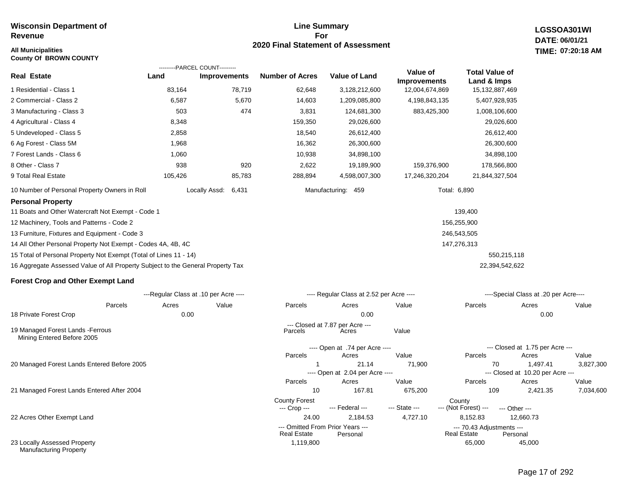## **All Municipalities TIME:**

**County Of BROWN COUNTY**

## **Line Summary For 2020 Final Statement of Assessment**

1,119,800 65,000

--- Omitted From Prior Years --- --- 70.43 Adjustments ---

**LGSSOA301WI DATE: 06/01/21 07:20:18 AM**

|                                                                                 | ---------PARCEL COUNT---------        |                     |                                      |                                          |                                 |                                      |                                              |           |
|---------------------------------------------------------------------------------|---------------------------------------|---------------------|--------------------------------------|------------------------------------------|---------------------------------|--------------------------------------|----------------------------------------------|-----------|
| <b>Real Estate</b>                                                              | Land                                  | <b>Improvements</b> | <b>Number of Acres</b>               | <b>Value of Land</b>                     | Value of<br><b>Improvements</b> | <b>Total Value of</b><br>Land & Imps |                                              |           |
| 1 Residential - Class 1                                                         | 83,164                                | 78,719              | 62,648                               | 3,128,212,600                            | 12,004,674,869                  | 15,132,887,469                       |                                              |           |
| 2 Commercial - Class 2                                                          | 6,587                                 | 5,670               | 14,603                               | 1,209,085,800                            | 4,198,843,135                   | 5,407,928,935                        |                                              |           |
| 3 Manufacturing - Class 3                                                       | 503                                   | 474                 | 3,831                                | 124,681,300                              | 883,425,300                     | 1,008,106,600                        |                                              |           |
| 4 Agricultural - Class 4                                                        | 8,348                                 |                     | 159,350                              | 29,026,600                               |                                 | 29,026,600                           |                                              |           |
| 5 Undeveloped - Class 5                                                         | 2,858                                 |                     | 18,540                               | 26,612,400                               |                                 | 26,612,400                           |                                              |           |
| 6 Ag Forest - Class 5M                                                          | 1,968                                 |                     | 16,362                               | 26,300,600                               |                                 | 26,300,600                           |                                              |           |
| 7 Forest Lands - Class 6                                                        | 1,060                                 |                     | 10,938                               | 34,898,100                               |                                 | 34,898,100                           |                                              |           |
| 8 Other - Class 7                                                               | 938                                   | 920                 | 2,622                                | 19,189,900                               | 159,376,900                     | 178,566,800                          |                                              |           |
| 9 Total Real Estate                                                             | 105,426                               | 85,783              | 288,894                              | 4,598,007,300                            | 17,246,320,204                  | 21,844,327,504                       |                                              |           |
| 10 Number of Personal Property Owners in Roll                                   | Locally Assd:                         | 6,431               |                                      | Manufacturing: 459                       |                                 | Total: 6,890                         |                                              |           |
| <b>Personal Property</b>                                                        |                                       |                     |                                      |                                          |                                 |                                      |                                              |           |
| 11 Boats and Other Watercraft Not Exempt - Code 1                               |                                       |                     |                                      |                                          |                                 | 139,400                              |                                              |           |
| 12 Machinery, Tools and Patterns - Code 2                                       |                                       |                     |                                      |                                          |                                 | 156,255,900                          |                                              |           |
| 13 Furniture, Fixtures and Equipment - Code 3                                   |                                       |                     |                                      |                                          |                                 | 246,543,505                          |                                              |           |
| 14 All Other Personal Property Not Exempt - Codes 4A, 4B, 4C                    |                                       |                     |                                      |                                          |                                 | 147,276,313                          |                                              |           |
| 15 Total of Personal Property Not Exempt (Total of Lines 11 - 14)               |                                       |                     |                                      |                                          |                                 | 550,215,118                          |                                              |           |
| 16 Aggregate Assessed Value of All Property Subject to the General Property Tax |                                       |                     |                                      |                                          |                                 | 22,394,542,622                       |                                              |           |
| <b>Forest Crop and Other Exempt Land</b>                                        |                                       |                     |                                      |                                          |                                 |                                      |                                              |           |
|                                                                                 | ---Regular Class at .10 per Acre ---- |                     |                                      | ---- Regular Class at 2.52 per Acre ---- |                                 |                                      | ----Special Class at .20 per Acre----        |           |
| Parcels                                                                         | Acres                                 | Value               | Parcels                              | Acres                                    | Value                           | Parcels                              | Acres                                        | Value     |
| 18 Private Forest Crop                                                          | 0.00                                  |                     |                                      | 0.00                                     |                                 |                                      | 0.00                                         |           |
| 19 Managed Forest Lands - Ferrous<br>Mining Entered Before 2005                 |                                       |                     | Parcels                              | --- Closed at 7.87 per Acre ---<br>Acres | Value                           |                                      |                                              |           |
|                                                                                 |                                       |                     |                                      | ---- Open at .74 per Acre ----           |                                 |                                      | --- Closed at 1.75 per Acre ---              |           |
|                                                                                 |                                       |                     | Parcels                              | Acres                                    | Value                           | Parcels                              | Acres                                        | Value     |
| 20 Managed Forest Lands Entered Before 2005                                     |                                       |                     |                                      | 21.14                                    | 71,900                          | 70                                   | 1,497.41<br>--- Closed at 10.20 per Acre --- | 3,827,300 |
|                                                                                 |                                       |                     | Parcels                              | ---- Open at 2.04 per Acre ----<br>Acres | Value                           | Parcels                              | Acres                                        | Value     |
| 21 Managed Forest Lands Entered After 2004                                      |                                       |                     | 10                                   | 167.81                                   | 675,200                         | 109                                  | 2,421.35                                     | 7,034,600 |
|                                                                                 |                                       |                     | <b>County Forest</b><br>--- Crop --- | --- Federal ---                          | --- State ---                   | County<br>--- (Not Forest) ---       | --- Other ---                                |           |
| 22 Acres Other Exempt Land                                                      |                                       |                     | 24.00                                | 2,184.53                                 | 4,727.10                        | 8,152.83                             | 12,660.73                                    |           |

Real Estate

23 Locally Assessed Property Manufacturing Property

45,000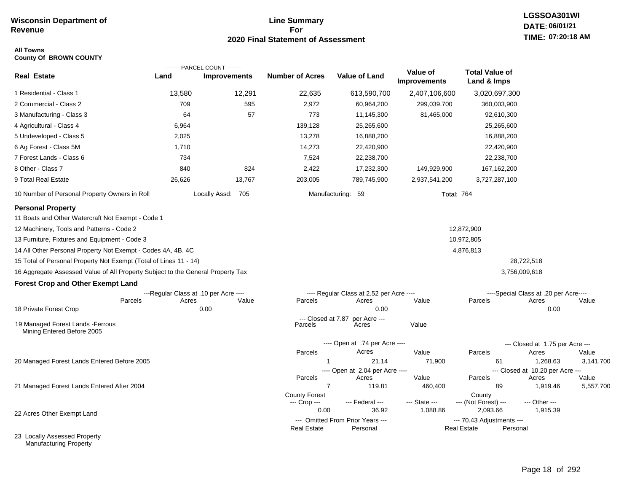Manufacturing Property

## **Line Summary For 2020 Final Statement of Assessment**

# **LGSSOA301WI DATE: 06/01/21 TIME: 07:20:18 AM**

### **All Towns County Of BROWN COUNTY**

|                                                                                 |                                       | ---------PARCEL COUNT--------- |                        |                                              |                                 |                                                 |                                           |           |
|---------------------------------------------------------------------------------|---------------------------------------|--------------------------------|------------------------|----------------------------------------------|---------------------------------|-------------------------------------------------|-------------------------------------------|-----------|
| <b>Real Estate</b>                                                              | Land                                  | <b>Improvements</b>            | <b>Number of Acres</b> | <b>Value of Land</b>                         | Value of<br><b>Improvements</b> | <b>Total Value of</b><br>Land & Imps            |                                           |           |
| 1 Residential - Class 1                                                         | 13,580                                | 12,291                         | 22,635                 | 613,590,700                                  | 2,407,106,600                   | 3,020,697,300                                   |                                           |           |
| 2 Commercial - Class 2                                                          | 709                                   | 595                            | 2,972                  | 60,964,200                                   | 299,039,700                     | 360,003,900                                     |                                           |           |
| 3 Manufacturing - Class 3                                                       | 64                                    | 57                             | 773                    | 11,145,300                                   | 81,465,000                      | 92,610,300                                      |                                           |           |
| 4 Agricultural - Class 4                                                        | 6,964                                 |                                | 139,128                | 25,265,600                                   |                                 | 25,265,600                                      |                                           |           |
| 5 Undeveloped - Class 5                                                         | 2,025                                 |                                | 13,278                 | 16,888,200                                   |                                 | 16,888,200                                      |                                           |           |
| 6 Ag Forest - Class 5M                                                          | 1,710                                 |                                | 14,273                 | 22,420,900                                   |                                 | 22,420,900                                      |                                           |           |
| 7 Forest Lands - Class 6                                                        | 734                                   |                                | 7,524                  | 22,238,700                                   |                                 | 22,238,700                                      |                                           |           |
| 8 Other - Class 7                                                               | 840                                   | 824                            | 2,422                  | 17,232,300                                   | 149,929,900                     | 167, 162, 200                                   |                                           |           |
| 9 Total Real Estate                                                             | 26,626                                | 13,767                         | 203,005                | 789,745,900                                  | 2,937,541,200                   | 3,727,287,100                                   |                                           |           |
| 10 Number of Personal Property Owners in Roll                                   |                                       | Locally Assd: 705              |                        | Manufacturing: 59                            | <b>Total: 764</b>               |                                                 |                                           |           |
| <b>Personal Property</b>                                                        |                                       |                                |                        |                                              |                                 |                                                 |                                           |           |
| 11 Boats and Other Watercraft Not Exempt - Code 1                               |                                       |                                |                        |                                              |                                 |                                                 |                                           |           |
| 12 Machinery, Tools and Patterns - Code 2                                       |                                       |                                |                        |                                              |                                 | 12,872,900                                      |                                           |           |
| 13 Furniture, Fixtures and Equipment - Code 3                                   |                                       |                                |                        |                                              |                                 | 10,972,805                                      |                                           |           |
| 14 All Other Personal Property Not Exempt - Codes 4A, 4B, 4C                    |                                       |                                |                        |                                              |                                 | 4,876,813                                       |                                           |           |
| 15 Total of Personal Property Not Exempt (Total of Lines 11 - 14)               |                                       |                                |                        |                                              |                                 |                                                 | 28,722,518                                |           |
| 16 Aggregate Assessed Value of All Property Subject to the General Property Tax |                                       |                                |                        |                                              |                                 |                                                 | 3,756,009,618                             |           |
| <b>Forest Crop and Other Exempt Land</b>                                        |                                       |                                |                        |                                              |                                 |                                                 |                                           |           |
|                                                                                 | ---Regular Class at .10 per Acre ---- |                                |                        | ---- Regular Class at 2.52 per Acre ----     |                                 |                                                 | ----Special Class at .20 per Acre----     |           |
| Parcels                                                                         | Acres                                 | Value                          | Parcels                | Acres                                        | Value                           | Parcels                                         | Acres                                     | Value     |
| 18 Private Forest Crop                                                          |                                       | 0.00                           |                        | 0.00<br>--- Closed at 7.87 per Acre ---      |                                 |                                                 | 0.00                                      |           |
| 19 Managed Forest Lands - Ferrous<br>Mining Entered Before 2005                 |                                       |                                | Parcels                | Acres                                        | Value                           |                                                 |                                           |           |
|                                                                                 |                                       |                                |                        | ---- Open at .74 per Acre ----               |                                 |                                                 | --- Closed at 1.75 per Acre ---           |           |
|                                                                                 |                                       |                                | Parcels                | Acres                                        | Value                           | Parcels                                         | Acres                                     | Value     |
| 20 Managed Forest Lands Entered Before 2005                                     |                                       |                                |                        | 21.14                                        | 71,900                          | 61                                              | 1,268.63                                  | 3,141,700 |
|                                                                                 |                                       |                                | Parcels                | ---- Open at 2.04 per Acre ----<br>Acres     | Value                           | Parcels                                         | --- Closed at 10.20 per Acre ---<br>Acres | Value     |
| 21 Managed Forest Lands Entered After 2004                                      |                                       |                                | $\overline{7}$         | 119.81                                       | 460,400                         | 89                                              | 1,919.46                                  | 5,557,700 |
|                                                                                 |                                       |                                | <b>County Forest</b>   |                                              |                                 | County                                          |                                           |           |
|                                                                                 |                                       |                                | --- Crop ---           | --- Federal ---                              | --- State ---                   | --- (Not Forest) ---                            | --- Other ---                             |           |
| 22 Acres Other Exempt Land                                                      |                                       |                                | 0.00                   | 36.92                                        | 1,088.86                        | 2,093.66                                        | 1,915.39                                  |           |
|                                                                                 |                                       |                                | <b>Real Estate</b>     | --- Omitted From Prior Years ---<br>Personal |                                 | --- 70.43 Adjustments ---<br><b>Real Estate</b> | Personal                                  |           |
| 23 Locally Assessed Property                                                    |                                       |                                |                        |                                              |                                 |                                                 |                                           |           |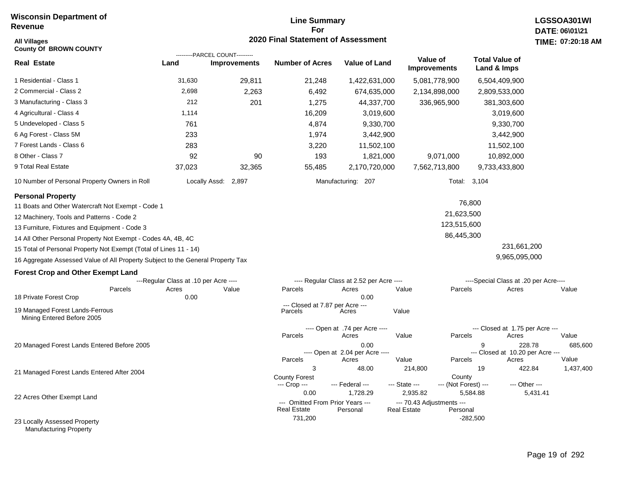# **Line Summary For 2020 Final Statement of Assessment All Villages TIME:**

| <b>All Villages</b>                                                             |                                       |                                | 2020 Final Statement of Assessment                     |                                          |                                                 |                                      |                                           | TIME: 07:20:18 |
|---------------------------------------------------------------------------------|---------------------------------------|--------------------------------|--------------------------------------------------------|------------------------------------------|-------------------------------------------------|--------------------------------------|-------------------------------------------|----------------|
| <b>County Of BROWN COUNTY</b>                                                   |                                       | ---------PARCEL COUNT--------- |                                                        |                                          |                                                 |                                      |                                           |                |
| <b>Real Estate</b>                                                              | Land                                  | <b>Improvements</b>            | <b>Number of Acres</b>                                 | <b>Value of Land</b>                     | Value of<br><b>Improvements</b>                 | <b>Total Value of</b><br>Land & Imps |                                           |                |
| 1 Residential - Class 1                                                         | 31,630                                | 29,811                         | 21,248                                                 | 1,422,631,000                            | 5,081,778,900                                   | 6,504,409,900                        |                                           |                |
| 2 Commercial - Class 2                                                          | 2,698                                 | 2,263                          | 6,492                                                  | 674,635,000                              | 2,134,898,000                                   | 2,809,533,000                        |                                           |                |
| 3 Manufacturing - Class 3                                                       | 212                                   | 201                            | 1,275                                                  | 44,337,700                               | 336,965,900                                     | 381,303,600                          |                                           |                |
| 4 Agricultural - Class 4                                                        | 1,114                                 |                                | 16,209                                                 | 3,019,600                                |                                                 |                                      | 3,019,600                                 |                |
| 5 Undeveloped - Class 5                                                         | 761                                   |                                | 4,874                                                  | 9,330,700                                |                                                 |                                      | 9,330,700                                 |                |
| 6 Ag Forest - Class 5M                                                          | 233                                   |                                | 1,974                                                  | 3,442,900                                |                                                 |                                      | 3,442,900                                 |                |
| 7 Forest Lands - Class 6                                                        | 283                                   |                                | 3,220                                                  | 11,502,100                               |                                                 |                                      | 11,502,100                                |                |
| 8 Other - Class 7                                                               | 92                                    | 90                             | 193                                                    | 1,821,000                                | 9,071,000                                       |                                      | 10,892,000                                |                |
| 9 Total Real Estate                                                             | 37,023                                | 32,365                         | 55,485                                                 | 2,170,720,000                            | 7,562,713,800                                   | 9,733,433,800                        |                                           |                |
| 10 Number of Personal Property Owners in Roll                                   |                                       | Locally Assd:<br>2,897         |                                                        | Manufacturing: 207                       |                                                 | Total: 3,104                         |                                           |                |
| <b>Personal Property</b>                                                        |                                       |                                |                                                        |                                          |                                                 | 76,800                               |                                           |                |
| 11 Boats and Other Watercraft Not Exempt - Code 1                               |                                       |                                |                                                        |                                          |                                                 | 21,623,500                           |                                           |                |
| 12 Machinery, Tools and Patterns - Code 2                                       |                                       |                                |                                                        |                                          |                                                 | 123,515,600                          |                                           |                |
| 13 Furniture, Fixtures and Equipment - Code 3                                   |                                       |                                |                                                        |                                          |                                                 |                                      |                                           |                |
| 14 All Other Personal Property Not Exempt - Codes 4A, 4B, 4C                    |                                       |                                |                                                        |                                          |                                                 | 86,445,300                           |                                           |                |
| 15 Total of Personal Property Not Exempt (Total of Lines 11 - 14)               |                                       |                                |                                                        |                                          |                                                 |                                      | 231,661,200                               |                |
| 16 Aggregate Assessed Value of All Property Subject to the General Property Tax |                                       |                                |                                                        |                                          |                                                 |                                      | 9,965,095,000                             |                |
| <b>Forest Crop and Other Exempt Land</b>                                        |                                       |                                |                                                        |                                          |                                                 |                                      |                                           |                |
|                                                                                 | ---Regular Class at .10 per Acre ---- |                                |                                                        | ---- Regular Class at 2.52 per Acre ---- |                                                 |                                      | ----Special Class at .20 per Acre----     |                |
| Parcels<br>18 Private Forest Crop                                               | Acres<br>0.00                         | Value                          | Parcels                                                | Acres<br>0.00                            | Value                                           | Parcels                              | Acres                                     | Value          |
| 19 Managed Forest Lands-Ferrous<br>Mining Entered Before 2005                   |                                       |                                | --- Closed at 7.87 per Acre ---<br>Parcels             | Acres                                    | Value                                           |                                      |                                           |                |
|                                                                                 |                                       |                                | Parcels                                                | ---- Open at .74 per Acre ----<br>Acres  | Value                                           | Parcels                              | --- Closed at 1.75 per Acre ---<br>Acres  | Value          |
| 20 Managed Forest Lands Entered Before 2005                                     |                                       |                                |                                                        | 0.00                                     |                                                 | 9                                    | 228.78                                    | 685,600        |
|                                                                                 |                                       |                                | Parcels                                                | ---- Open at 2.04 per Acre ----<br>Acres | Value                                           | Parcels                              | --- Closed at 10.20 per Acre ---<br>Acres | Value          |
|                                                                                 |                                       |                                | 3                                                      | 48.00                                    | 214,800                                         | 19                                   | 422.84                                    | 1,437,400      |
| 21 Managed Forest Lands Entered After 2004                                      |                                       |                                | <b>County Forest</b>                                   |                                          |                                                 | County                               |                                           |                |
|                                                                                 |                                       |                                | --- Crop ---                                           | --- Federal ---                          | --- State ---                                   | --- (Not Forest) ---                 | --- Other ---                             |                |
| 22 Acres Other Exempt Land                                                      |                                       |                                | 0.00                                                   | 1,728.29                                 | 2,935.82                                        | 5,584.88                             | 5,431.41                                  |                |
|                                                                                 |                                       |                                | --- Omitted From Prior Years ---<br><b>Real Estate</b> | Personal                                 | --- 70.43 Adjustments ---<br><b>Real Estate</b> | Personal                             |                                           |                |
| 23 Locally Assessed Property                                                    |                                       |                                | 731,200                                                |                                          |                                                 | $-282,500$                           |                                           |                |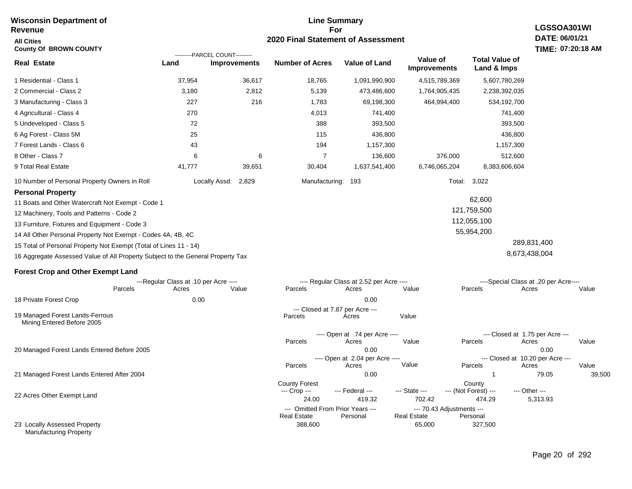#### **Line Summary For 2020 Final Statement of Assessment Wisconsin Department of Revenue All Cities County Of BROWN COUNTY Real Estate** 1 Residential - Class 1 2 Commercial - Class 2 3 Manufacturing - Class 3 37,954 36,617 18,765 1,091,990,900 4,515,789,369 5,607,780,269 **Land Improvements Number of Acres Value of Land Value of Improvements Total Value of Land & Imps** 3,180 227 2,812 216 5,139 1,783 473,486,600 69,198,300 1,764,905,435 464,994,400 2,238,392,035 534,192,700 ---------PARCEL COUNT---------

6

| 9 Total Real Estate                                                             | 41.777        | 39.651 | 30.404         | 1,637,541,400 | 6.746.065.204 | 8,383,606,604 |  |  |  |
|---------------------------------------------------------------------------------|---------------|--------|----------------|---------------|---------------|---------------|--|--|--|
| 10 Number of Personal Property Owners in Roll                                   | Locally Assd: | 2.829  | Manufacturing: | 193           | Total: 3.022  |               |  |  |  |
| <b>Personal Property</b>                                                        |               |        |                |               |               |               |  |  |  |
| 11 Boats and Other Watercraft Not Exempt - Code 1                               |               |        |                |               |               | 62,600        |  |  |  |
| 121,759,500<br>12 Machinery, Tools and Patterns - Code 2                        |               |        |                |               |               |               |  |  |  |
| 13 Furniture, Fixtures and Equipment - Code 3                                   |               |        |                |               |               | 112.055.100   |  |  |  |
| 14 All Other Personal Property Not Exempt - Codes 4A, 4B, 4C                    |               |        |                |               |               | 55,954,200    |  |  |  |
| 15 Total of Personal Property Not Exempt (Total of Lines 11 - 14)               |               |        |                |               |               | 289.831.400   |  |  |  |
| 16 Aggregate Assessed Value of All Property Subject to the General Property Tax |               |        |                |               |               | 8,673,438,004 |  |  |  |

 741,400 393,500 436,800 1,157,300 136,600

376,000

## **Forest Crop and Other Exempt Land**

4 Agricultural - Class 4 5 Undeveloped - Class 5 6 Ag Forest - Class 5M 7 Forest Lands - Class 6 8 Other - Class 7

|                                                               |         | ---Regular Class at .10 per Acre ---- |       |                      | ---- Regular Class at 2.52 per Acre ---- |                    |                           | ----Special Class at .20 per Acre---- |        |
|---------------------------------------------------------------|---------|---------------------------------------|-------|----------------------|------------------------------------------|--------------------|---------------------------|---------------------------------------|--------|
|                                                               | Parcels | Acres                                 | Value | Parcels              | Acres                                    | Value              | Parcels                   | Acres                                 | Value  |
| 18 Private Forest Crop                                        |         | 0.00                                  |       |                      | 0.00                                     |                    |                           |                                       |        |
|                                                               |         |                                       |       |                      | --- Closed at 7.87 per Acre ---          |                    |                           |                                       |        |
| 19 Managed Forest Lands-Ferrous<br>Mining Entered Before 2005 |         |                                       |       | Parcels              | Acres                                    | Value              |                           |                                       |        |
|                                                               |         |                                       |       |                      | ---- Open at .74 per Acre ----           |                    |                           | --- Closed at 1.75 per Acre ---       |        |
|                                                               |         |                                       |       | Parcels              | Acres                                    | Value              | Parcels                   | Acres                                 | Value  |
| 20 Managed Forest Lands Entered Before 2005                   |         |                                       |       |                      | 0.00                                     |                    |                           | 0.00                                  |        |
|                                                               |         |                                       |       |                      | ---- Open at 2.04 per Acre ----          |                    |                           | --- Closed at 10.20 per Acre ---      |        |
|                                                               |         |                                       |       | Parcels              | Acres                                    | Value              | Parcels                   | Acres                                 | Value  |
| 21 Managed Forest Lands Entered After 2004                    |         |                                       |       |                      | 0.00                                     |                    |                           | 79.05                                 | 39,500 |
|                                                               |         |                                       |       | <b>County Forest</b> |                                          |                    | County                    |                                       |        |
|                                                               |         |                                       |       | --- Crop ---         | --- Federal ---                          | --- State ---      | --- (Not Forest) ---      | --- Other ---                         |        |
| 22 Acres Other Exempt Land                                    |         |                                       |       | 24.00                | 419.32                                   | 702.42             | 474.29                    | 5,313.93                              |        |
|                                                               |         |                                       |       |                      | --- Omitted From Prior Years ---         |                    | --- 70.43 Adjustments --- |                                       |        |
|                                                               |         |                                       |       | <b>Real Estate</b>   | Personal                                 | <b>Real Estate</b> | Personal                  |                                       |        |
| 23 Locally Assessed Property<br><b>Manufacturing Property</b> |         |                                       |       | 388,600              |                                          | 65,000             | 327,500                   |                                       |        |

 741,400 393,500 436,800 1,157,300 512,600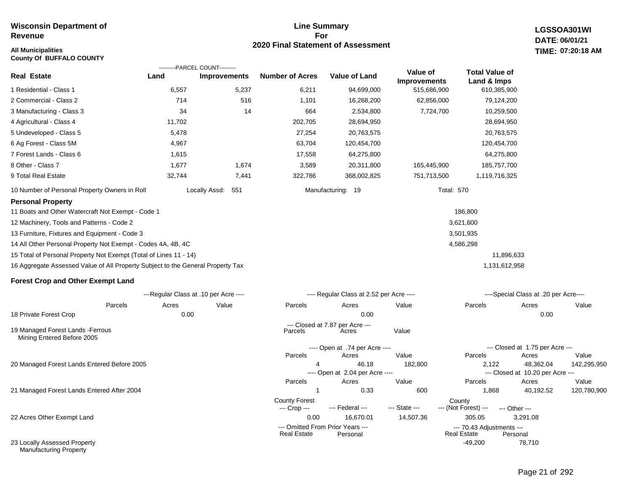**County Of BUFFALO COUNTY**

# **2020 Final Statement of Assessment All Municipalities TIME:**

**LGSSOA301WI DATE: 06/01/21 07:20:18 AM**

|                                                                                 |        | ---------PARCEL COUNT---------        |                        |                                          |                                 |                                      |                                       |       |
|---------------------------------------------------------------------------------|--------|---------------------------------------|------------------------|------------------------------------------|---------------------------------|--------------------------------------|---------------------------------------|-------|
| <b>Real Estate</b>                                                              | Land   | <b>Improvements</b>                   | <b>Number of Acres</b> | <b>Value of Land</b>                     | Value of<br><b>Improvements</b> | <b>Total Value of</b><br>Land & Imps |                                       |       |
| 1 Residential - Class 1                                                         | 6,557  | 5,237                                 | 6,211                  | 94,699,000                               | 515,686,900                     | 610,385,900                          |                                       |       |
| 2 Commercial - Class 2                                                          | 714    | 516                                   | 1,101                  | 16,268,200                               | 62,856,000                      | 79,124,200                           |                                       |       |
| 3 Manufacturing - Class 3                                                       | 34     | 14                                    | 664                    | 2,534,800                                | 7,724,700                       | 10,259,500                           |                                       |       |
| 4 Agricultural - Class 4                                                        | 11,702 |                                       | 202,705                | 28,694,950                               |                                 | 28,694,950                           |                                       |       |
| 5 Undeveloped - Class 5                                                         | 5,478  |                                       | 27,254                 | 20,763,575                               |                                 | 20,763,575                           |                                       |       |
| 6 Ag Forest - Class 5M                                                          | 4,967  |                                       | 63,704                 | 120,454,700                              |                                 | 120,454,700                          |                                       |       |
| 7 Forest Lands - Class 6                                                        | 1,615  |                                       | 17,558                 | 64,275,800                               |                                 | 64,275,800                           |                                       |       |
| 8 Other - Class 7                                                               | 1,677  | 1,674                                 | 3,589                  | 20,311,800                               | 165,445,900                     | 185,757,700                          |                                       |       |
| 9 Total Real Estate                                                             | 32,744 | 7,441                                 | 322,786                | 368,002,825                              | 751,713,500                     | 1,119,716,325                        |                                       |       |
| 10 Number of Personal Property Owners in Roll                                   |        | Locally Assd:<br>551                  |                        | Manufacturing: 19                        | <b>Total: 570</b>               |                                      |                                       |       |
| <b>Personal Property</b>                                                        |        |                                       |                        |                                          |                                 |                                      |                                       |       |
| 11 Boats and Other Watercraft Not Exempt - Code 1                               |        |                                       |                        |                                          |                                 | 186,800                              |                                       |       |
| 12 Machinery, Tools and Patterns - Code 2                                       |        |                                       |                        |                                          |                                 | 3,621,600                            |                                       |       |
| 13 Furniture, Fixtures and Equipment - Code 3                                   |        |                                       |                        |                                          |                                 | 3,501,935                            |                                       |       |
| 14 All Other Personal Property Not Exempt - Codes 4A, 4B, 4C                    |        |                                       |                        |                                          |                                 | 4,586,298                            |                                       |       |
| 15 Total of Personal Property Not Exempt (Total of Lines 11 - 14)               |        |                                       |                        |                                          |                                 |                                      | 11,896,633                            |       |
| 16 Aggregate Assessed Value of All Property Subject to the General Property Tax |        |                                       |                        |                                          |                                 | 1,131,612,958                        |                                       |       |
| <b>Forest Crop and Other Exempt Land</b>                                        |        |                                       |                        |                                          |                                 |                                      |                                       |       |
|                                                                                 |        | ---Regular Class at .10 per Acre ---- |                        | ---- Regular Class at 2.52 per Acre ---- |                                 |                                      | ----Special Class at .20 per Acre---- |       |
| Parcels                                                                         | Acres  | Value                                 | Parcels                | Acres                                    | Value                           | Parcels                              | Acres                                 | Value |
| 18 Private Forest Crop                                                          | 0.00   |                                       |                        | 0.00                                     |                                 |                                      | 0.00                                  |       |

**Line Summary For**

---- Open at .74 per Acre ----

Parcels Acres Value

--- Closed at 7.87 per Acre ---<br>Parcels Parces

---- Open at 2.04 per Acre ----

19 Managed Forest Lands -Ferrous Mining Entered Before 2005

20 Managed Forest Lands Entered Before 2005

21 Managed Forest Lands Entered After 2004

22 Acres Other Exempt Land

23 Locally Assessed Property Manufacturing Property

## 4 46.18 182,800 2,122 48,362.04 142,295,950 1 0.33 600 1,868 40,192.52 120,780,900 0.00 16,670.01 14,507.36 305.05 3,291.08 -49,200 78,710 County Forest County<br>--- Crop --- --- Federal --- --- State --- --- (Not Fore --- (Not Forest) --- --- Other ------ Omitted From Prior Years ---<br>Real Estate Personal Real Estate Personal Real Estate Personal Parcels Acres Value Parcels Acres Value --- Closed at 10.20 per Acre --- Parcels Acres Value Parcels Acres Value **Real Estate** --- Closed at 1.75 per Acre ---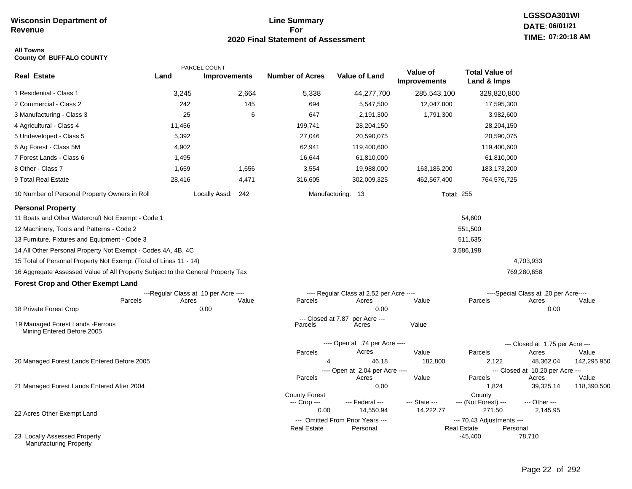## **Line Summary For 2020 Final Statement of Assessment**

## **All Towns County Of BUFFALO COUNTY**

|                                                                                 |        | ---------PARCEL COUNT---------        |                        |                               |                                              |                          |                                                 |                                           |             |
|---------------------------------------------------------------------------------|--------|---------------------------------------|------------------------|-------------------------------|----------------------------------------------|--------------------------|-------------------------------------------------|-------------------------------------------|-------------|
| <b>Real Estate</b>                                                              | Land   | <b>Improvements</b>                   | <b>Number of Acres</b> |                               | Value of Land                                | Value of<br>Improvements | <b>Total Value of</b><br>Land & Imps            |                                           |             |
| 1 Residential - Class 1                                                         | 3,245  | 2,664                                 |                        | 5,338                         | 44,277,700                                   | 285,543,100              | 329,820,800                                     |                                           |             |
| 2 Commercial - Class 2                                                          | 242    | 145                                   |                        | 694                           | 5,547,500                                    | 12,047,800               | 17,595,300                                      |                                           |             |
| 3 Manufacturing - Class 3                                                       | 25     |                                       | 6                      | 647                           | 2,191,300                                    | 1,791,300                | 3,982,600                                       |                                           |             |
| 4 Agricultural - Class 4                                                        | 11,456 |                                       |                        | 199,741                       | 28,204,150                                   |                          | 28,204,150                                      |                                           |             |
| 5 Undeveloped - Class 5                                                         | 5,392  |                                       |                        | 27,046                        | 20,590,075                                   |                          | 20,590,075                                      |                                           |             |
| 6 Ag Forest - Class 5M                                                          | 4,902  |                                       |                        | 62,941                        | 119,400,600                                  |                          | 119,400,600                                     |                                           |             |
| 7 Forest Lands - Class 6                                                        | 1,495  |                                       |                        | 16,644                        | 61,810,000                                   |                          | 61,810,000                                      |                                           |             |
| 8 Other - Class 7                                                               | 1,659  | 1,656                                 |                        | 3,554                         | 19,988,000                                   | 163,185,200              | 183, 173, 200                                   |                                           |             |
| 9 Total Real Estate                                                             | 28,416 | 4,471                                 |                        | 316,605                       | 302,009,325                                  | 462,567,400              | 764,576,725                                     |                                           |             |
| 10 Number of Personal Property Owners in Roll                                   |        | Locally Assd: 242                     |                        | Manufacturing: 13             |                                              |                          | <b>Total: 255</b>                               |                                           |             |
| <b>Personal Property</b>                                                        |        |                                       |                        |                               |                                              |                          |                                                 |                                           |             |
| 11 Boats and Other Watercraft Not Exempt - Code 1                               |        |                                       |                        |                               |                                              |                          | 54,600                                          |                                           |             |
| 12 Machinery, Tools and Patterns - Code 2                                       |        |                                       |                        |                               |                                              |                          | 551,500                                         |                                           |             |
| 13 Furniture, Fixtures and Equipment - Code 3                                   |        |                                       |                        |                               |                                              |                          | 511,635                                         |                                           |             |
| 14 All Other Personal Property Not Exempt - Codes 4A, 4B, 4C                    |        |                                       |                        |                               |                                              |                          | 3,586,198                                       |                                           |             |
| 15 Total of Personal Property Not Exempt (Total of Lines 11 - 14)               |        |                                       |                        |                               |                                              |                          |                                                 | 4,703,933                                 |             |
| 16 Aggregate Assessed Value of All Property Subject to the General Property Tax |        |                                       |                        |                               |                                              |                          |                                                 | 769,280,658                               |             |
| <b>Forest Crop and Other Exempt Land</b>                                        |        |                                       |                        |                               |                                              |                          |                                                 |                                           |             |
|                                                                                 |        | ---Regular Class at .10 per Acre ---- |                        |                               | ---- Regular Class at 2.52 per Acre ----     |                          |                                                 | ----Special Class at .20 per Acre----     |             |
| Parcels                                                                         | Acres  | Value                                 |                        | Parcels                       | Acres                                        | Value                    | Parcels                                         | Acres                                     | Value       |
| 18 Private Forest Crop                                                          |        | 0.00                                  |                        |                               | 0.00                                         |                          |                                                 | 0.00                                      |             |
| 19 Managed Forest Lands - Ferrous<br>Mining Entered Before 2005                 |        |                                       |                        | --- Closed at 7.87<br>Parcels | per Acre ---<br>Acres                        | Value                    |                                                 |                                           |             |
|                                                                                 |        |                                       |                        |                               | ---- Open at .74 per Acre ----               |                          |                                                 | --- Closed at 1.75 per Acre ---           |             |
|                                                                                 |        |                                       |                        | Parcels                       | Acres                                        | Value                    | Parcels                                         | Acres                                     | Value       |
| 20 Managed Forest Lands Entered Before 2005                                     |        |                                       |                        | 4                             | 46.18                                        | 182,800                  | 2,122                                           | 48,362.04                                 | 142,295,950 |
|                                                                                 |        |                                       |                        | Parcels                       | ---- Open at 2.04 per Acre ----<br>Acres     | Value                    | Parcels                                         | --- Closed at 10.20 per Acre ---<br>Acres | Value       |
| 21 Managed Forest Lands Entered After 2004                                      |        |                                       |                        |                               | 0.00                                         |                          | 1,824                                           | 39,325.14                                 | 118,390,500 |
|                                                                                 |        |                                       |                        | <b>County Forest</b>          |                                              |                          | County                                          |                                           |             |
|                                                                                 |        |                                       |                        | --- Crop ---                  | --- Federal ---                              | --- State ---            | --- (Not Forest) ---                            | --- Other ---                             |             |
| 22 Acres Other Exempt Land                                                      |        |                                       |                        | 0.00                          | 14,550.94                                    | 14,222.77                | 271.50                                          | 2,145.95                                  |             |
|                                                                                 |        |                                       |                        | <b>Real Estate</b>            | --- Omitted From Prior Years ---<br>Personal |                          | --- 70.43 Adjustments ---<br><b>Real Estate</b> | Personal                                  |             |
| 23 Locally Assessed Property<br><b>Manufacturing Property</b>                   |        |                                       |                        |                               |                                              |                          | $-45,400$                                       | 78,710                                    |             |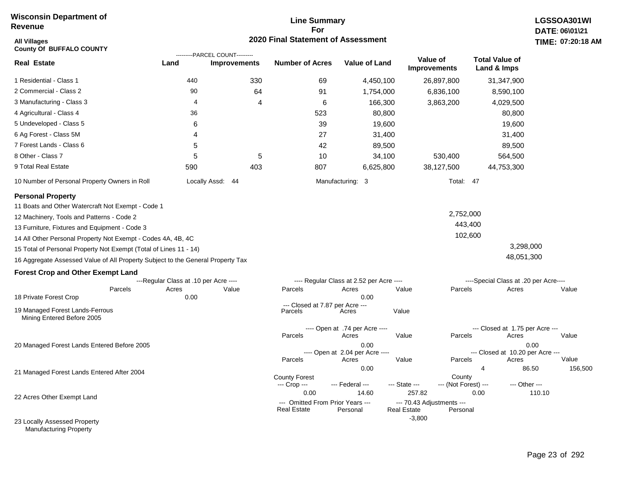## **Line Summary For 2020 Final Statement of Assessment**

| <b>All Villages</b><br><b>County Of BUFFALO COUNTY</b>                          |                                       |                                                       | <b>2020 Final Statement of Assessment</b>                      |                                                  |                                                           |                                                      | TIME: 07:20:18   |
|---------------------------------------------------------------------------------|---------------------------------------|-------------------------------------------------------|----------------------------------------------------------------|--------------------------------------------------|-----------------------------------------------------------|------------------------------------------------------|------------------|
| <b>Real Estate</b>                                                              | Land                                  | ---------PARCEL COUNT---------<br><b>Improvements</b> | <b>Number of Acres</b>                                         | <b>Value of Land</b>                             | Value of<br>Improvements                                  | <b>Total Value of</b><br>Land & Imps                 |                  |
| 1 Residential - Class 1                                                         | 440                                   | 330                                                   | 69                                                             | 4,450,100                                        | 26,897,800                                                | 31,347,900                                           |                  |
| 2 Commercial - Class 2                                                          | 90                                    | 64                                                    | 91                                                             | 1,754,000                                        | 6,836,100                                                 | 8,590,100                                            |                  |
| 3 Manufacturing - Class 3                                                       | 4                                     | 4                                                     | 6                                                              | 166,300                                          | 3,863,200                                                 | 4,029,500                                            |                  |
| 4 Agricultural - Class 4                                                        | 36                                    |                                                       | 523                                                            | 80,800                                           |                                                           | 80,800                                               |                  |
| 5 Undeveloped - Class 5                                                         | 6                                     |                                                       | 39                                                             | 19,600                                           |                                                           | 19,600                                               |                  |
| 6 Ag Forest - Class 5M                                                          | 4                                     |                                                       | 27                                                             | 31,400                                           |                                                           | 31,400                                               |                  |
| 7 Forest Lands - Class 6                                                        | 5                                     |                                                       | 42                                                             | 89,500                                           |                                                           | 89,500                                               |                  |
| 8 Other - Class 7                                                               | 5                                     | 5                                                     | 10                                                             | 34,100                                           | 530,400                                                   | 564,500                                              |                  |
| 9 Total Real Estate                                                             | 590                                   | 403                                                   | 807                                                            | 6,625,800                                        | 38,127,500                                                | 44,753,300                                           |                  |
| 10 Number of Personal Property Owners in Roll                                   |                                       | Locally Assd: 44                                      |                                                                | Manufacturing: 3                                 |                                                           | Total: 47                                            |                  |
| <b>Personal Property</b><br>11 Boats and Other Watercraft Not Exempt - Code 1   |                                       |                                                       |                                                                |                                                  |                                                           |                                                      |                  |
| 12 Machinery, Tools and Patterns - Code 2                                       |                                       |                                                       |                                                                |                                                  |                                                           | 2,752,000                                            |                  |
| 13 Furniture, Fixtures and Equipment - Code 3                                   |                                       |                                                       |                                                                |                                                  |                                                           | 443,400                                              |                  |
| 14 All Other Personal Property Not Exempt - Codes 4A, 4B, 4C                    |                                       |                                                       |                                                                |                                                  |                                                           | 102,600                                              |                  |
| 15 Total of Personal Property Not Exempt (Total of Lines 11 - 14)               |                                       |                                                       |                                                                |                                                  |                                                           | 3,298,000                                            |                  |
| 16 Aggregate Assessed Value of All Property Subject to the General Property Tax |                                       |                                                       |                                                                |                                                  |                                                           | 48,051,300                                           |                  |
| <b>Forest Crop and Other Exempt Land</b>                                        |                                       |                                                       |                                                                |                                                  |                                                           |                                                      |                  |
|                                                                                 | ---Regular Class at .10 per Acre ---- |                                                       |                                                                | ---- Regular Class at 2.52 per Acre ----         |                                                           | ----Special Class at .20 per Acre----                |                  |
| Parcels<br>18 Private Forest Crop                                               | Acres<br>0.00                         | Value                                                 | Parcels                                                        | Acres<br>0.00                                    | Value                                                     | Parcels<br>Acres                                     | Value            |
| 19 Managed Forest Lands-Ferrous<br>Mining Entered Before 2005                   |                                       |                                                       | --- Closed at 7.87 per Acre ---<br>Parcels                     | Acres                                            | Value                                                     |                                                      |                  |
|                                                                                 |                                       |                                                       | Parcels                                                        | ---- Open at .74 per Acre ----<br>Acres          | Value                                                     | --- Closed at 1.75 per Acre ---<br>Parcels<br>Acres  | Value            |
| 20 Managed Forest Lands Entered Before 2005                                     |                                       |                                                       | Parcels                                                        | 0.00<br>---- Open at 2.04 per Acre ----<br>Acres | Value                                                     | --- Closed at 10.20 per Acre ---<br>Parcels<br>Acres | 0.00<br>Value    |
| 21 Managed Forest Lands Entered After 2004                                      |                                       |                                                       | <b>County Forest</b><br>--- Crop ---                           | 0.00<br>--- Federal ---                          | --- State ---                                             | 4<br>County<br>--- (Not Forest) ---<br>--- Other --- | 86.50<br>156,500 |
| 22 Acres Other Exempt Land                                                      |                                       |                                                       | 0.00<br>--- Omitted From Prior Years ---<br><b>Real Estate</b> | 14.60<br>Personal                                | 257.82<br>--- 70.43 Adjustments ---<br><b>Real Estate</b> | 0.00<br>Personal                                     | 110.10           |
| 23 Locally Assessed Property                                                    |                                       |                                                       |                                                                |                                                  | $-3,800$                                                  |                                                      |                  |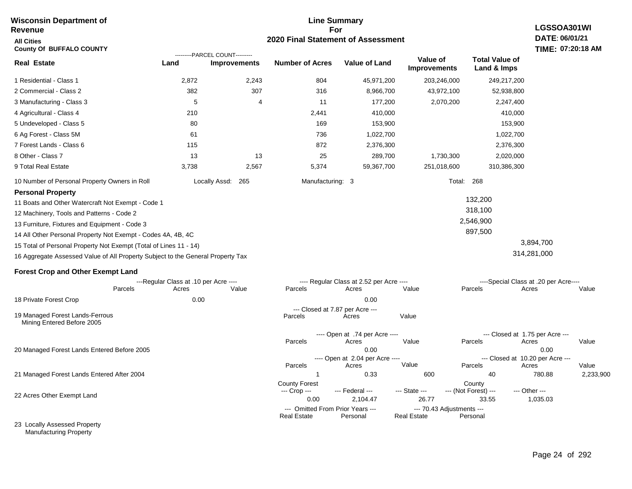#### **Line Summary For 2020 Final Statement of Assessment Wisconsin Department of Revenue All Cities County Of BUFFALO COUNTY LGSSOA301WI DATE: 06/01/21 TIME: 07:20:18 AM Real Estate** 1 Residential - Class 1 2 Commercial - Class 2 3 Manufacturing - Class 3 4 Agricultural - Class 4 5 Undeveloped - Class 5 6 Ag Forest - Class 5M 7 Forest Lands - Class 6 8 Other - Class 7 9 Total Real Estate 10 Number of Personal Property Owners in Roll 2,872 2,243 804 45,971,200 203,246,000 249,217,200 **Land Improvements Number of Acres Value of Land Value of Improvements Total Value of Land & Imps** 382 5 210 80 61 115 13 3,738 307 4 13 2,567 316 11 2,441 169 736 872 25 5,374 8,966,700 177,200 410,000 153,900 1,022,700 2,376,300 289,700 59,367,700 43,972,100 2,070,200 1,730,300 251,018,600 52,938,800 2,247,400 410,000 153,900 1,022,700 2,376,300 2,020,000 310,386,300 Locally Assd: 265 Manufacturing: 3 Total: 268 **Personal Property** 11 Boats and Other Watercraft Not Exempt - Code 1 12 Machinery, Tools and Patterns - Code 2 13 Furniture, Fixtures and Equipment - Code 3 14 All Other Personal Property Not Exempt - Codes 4A, 4B, 4C 15 Total of Personal Property Not Exempt (Total of Lines 11 - 14) 16 Aggregate Assessed Value of All Property Subject to the General Property Tax 132,200 318,100 2,546,900 897,500 3,894,700 314,281,000 **Forest Crop and Other Exempt Land** ---Regular Class at .10 per Acre ---- ---- Regular Class at 2.52 per Acre ---- ----Special Class at .20 per Acre---- 18 Private Forest Crop Parcels 0.00 0.00 Acres Value Parcels Acres Value Parcels Acres Value ---- Open at .74 per Acre ---- --- Closed at 1.75 per Acre --- ---------PARCEL COUNT--------- 19 Managed Forest Lands-Ferrous Mining Entered Before 2005 --- Closed at 7.87 per Acre ---<br>rcels Acres Parcels **Acres** Value

|                                             | Parcels              | Acres                            | Value         | Parcels                   | Acres                            | Value     |  |  |
|---------------------------------------------|----------------------|----------------------------------|---------------|---------------------------|----------------------------------|-----------|--|--|
| 20 Managed Forest Lands Entered Before 2005 |                      | 0.00                             |               |                           | 0.00                             |           |  |  |
| 21 Managed Forest Lands Entered After 2004  |                      | ---- Open at 2.04 per Acre ----  |               |                           | --- Closed at 10.20 per Acre --- |           |  |  |
|                                             | Parcels              | Acres                            | Value         | Parcels                   | Acres                            | Value     |  |  |
|                                             |                      | 0.33                             | 600           | 40                        | 780.88                           | 2,233,900 |  |  |
|                                             | <b>County Forest</b> |                                  |               | County                    |                                  |           |  |  |
|                                             | --- Crop ---         | --- Federal ---                  | $-$ State $-$ | --- (Not Forest) ---      | --- Other ---                    |           |  |  |
| 22 Acres Other Exempt Land                  | 0.00                 | 2.104.47                         | 26.77         | 33.55                     | 1,035.03                         |           |  |  |
|                                             |                      | --- Omitted From Prior Years --- |               | --- 70.43 Adjustments --- |                                  |           |  |  |
|                                             | <b>Real Estate</b>   | Personal                         | Real Estate   | Personal                  |                                  |           |  |  |

23 Locally Assessed Property Manufacturing Property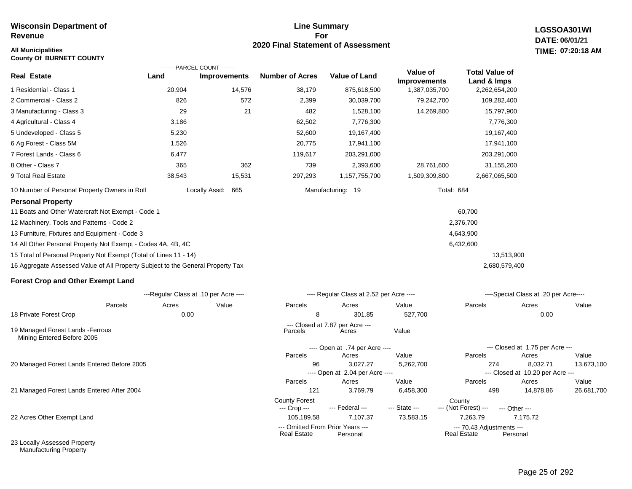# **All Municipalities TIME:**

**County Of BURNETT COUNTY**

## **Line Summary For 2020 Final Statement of Assessment**

---- Open at 2.04 per Acre ----

County Forest<br>
--- Crop --- --- Federal --- --- State --- --- (Not Fore

**LGSSOA301WI DATE: 06/01/21 07:20:18 AM**

|                                                                                 |        | ---------PARCEL COUNT---------        |                        |                                          |                                 |                                      |                                       |            |
|---------------------------------------------------------------------------------|--------|---------------------------------------|------------------------|------------------------------------------|---------------------------------|--------------------------------------|---------------------------------------|------------|
| <b>Real Estate</b>                                                              | Land   | <b>Improvements</b>                   | <b>Number of Acres</b> | <b>Value of Land</b>                     | Value of<br><b>Improvements</b> | <b>Total Value of</b><br>Land & Imps |                                       |            |
| 1 Residential - Class 1                                                         | 20,904 | 14,576                                | 38,179                 | 875,618,500                              | 1,387,035,700                   | 2,262,654,200                        |                                       |            |
| 2 Commercial - Class 2                                                          | 826    | 572                                   | 2,399                  | 30,039,700                               | 79,242,700                      | 109,282,400                          |                                       |            |
| 3 Manufacturing - Class 3                                                       | 29     | 21                                    | 482                    | 1,528,100                                | 14,269,800                      | 15,797,900                           |                                       |            |
| 4 Agricultural - Class 4                                                        | 3,186  |                                       | 62,502                 | 7,776,300                                |                                 | 7,776,300                            |                                       |            |
| 5 Undeveloped - Class 5                                                         | 5,230  |                                       | 52,600                 | 19,167,400                               |                                 | 19,167,400                           |                                       |            |
| 6 Ag Forest - Class 5M                                                          | 1,526  |                                       | 20,775                 | 17,941,100                               |                                 | 17,941,100                           |                                       |            |
| 7 Forest Lands - Class 6                                                        | 6,477  |                                       | 119,617                | 203,291,000                              |                                 | 203,291,000                          |                                       |            |
| 8 Other - Class 7                                                               | 365    | 362                                   | 739                    | 2,393,600                                | 28,761,600                      | 31,155,200                           |                                       |            |
| 9 Total Real Estate                                                             | 38,543 | 15,531                                | 297,293                | 1,157,755,700                            | 1,509,309,800                   | 2,667,065,500                        |                                       |            |
| 10 Number of Personal Property Owners in Roll                                   |        | Locally Assd:<br>665                  |                        | Manufacturing: 19                        | Total: 684                      |                                      |                                       |            |
| <b>Personal Property</b>                                                        |        |                                       |                        |                                          |                                 |                                      |                                       |            |
| 11 Boats and Other Watercraft Not Exempt - Code 1                               |        |                                       |                        |                                          |                                 | 60,700                               |                                       |            |
| 12 Machinery, Tools and Patterns - Code 2                                       |        |                                       |                        |                                          |                                 | 2,376,700                            |                                       |            |
| 13 Furniture, Fixtures and Equipment - Code 3                                   |        |                                       |                        |                                          |                                 | 4,643,900                            |                                       |            |
| 14 All Other Personal Property Not Exempt - Codes 4A, 4B, 4C                    |        |                                       |                        |                                          |                                 | 6,432,600                            |                                       |            |
| 15 Total of Personal Property Not Exempt (Total of Lines 11 - 14)               |        |                                       |                        |                                          |                                 | 13,513,900                           |                                       |            |
| 16 Aggregate Assessed Value of All Property Subject to the General Property Tax |        |                                       |                        |                                          |                                 | 2,680,579,400                        |                                       |            |
| <b>Forest Crop and Other Exempt Land</b>                                        |        |                                       |                        |                                          |                                 |                                      |                                       |            |
|                                                                                 |        | ---Regular Class at .10 per Acre ---- |                        | ---- Regular Class at 2.52 per Acre ---- |                                 |                                      | ----Special Class at .20 per Acre---- |            |
| Parcels                                                                         | Acres  | Value                                 | Parcels                | Acres                                    | Value                           | Parcels                              | Acres                                 | Value      |
| 18 Private Forest Crop                                                          | 0.00   |                                       | 8                      | 301.85                                   | 527,700                         |                                      | 0.00                                  |            |
| 19 Managed Forest Lands - Ferrous<br>Mining Entered Before 2005                 |        |                                       | Parcels                | --- Closed at 7.87 per Acre ---<br>Acres | Value                           |                                      |                                       |            |
|                                                                                 |        |                                       |                        | ---- Open at .74 per Acre ----           |                                 |                                      | --- Closed at 1.75 per Acre ---       |            |
|                                                                                 |        |                                       | Parcels                | Acres                                    | Value                           | Parcels                              | Acres                                 | Value      |
| 20 Managed Forest Lands Entered Before 2005                                     |        |                                       | 96                     | 3,027.27                                 | 5,262,700                       | 274                                  | 8,032.71                              | 13,673,100 |

21 Managed Forest Lands Entered After 2004

22 Acres Other Exempt Land

23 Locally Assessed Property Manufacturing Property

--- Closed at 10.20 per Acre ---

121 3,769.79 6,458,300 498 14,878.86 26,681,700

**Real Estate** 

Parcels Acres Value Parcels Acres Value

--- (Not Forest) --- --- Other ---

105,189.58 7,107.37 73,583.15 7,263.79 7,175.72

--- Omitted From Prior Years ---<br>Real Estate Personal Real Estate Personal Real Estate Personal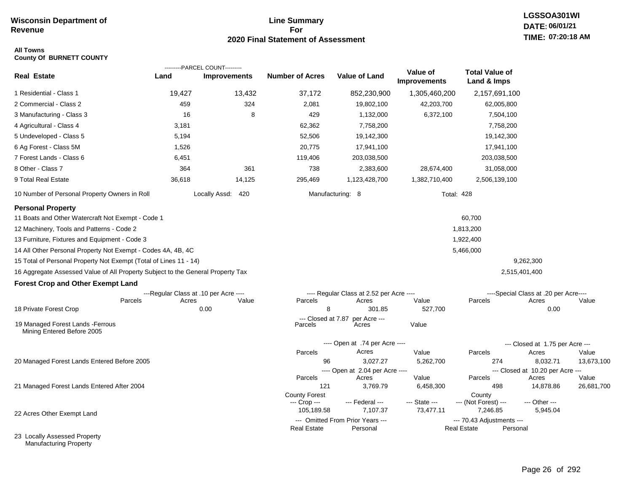## **Line Summary For 2020 Final Statement of Assessment**

# **LGSSOA301WI DATE: 06/01/21 TIME: 07:20:18 AM**

### **All Towns County Of BURNETT COUNTY**

| <b>Real Estate</b>                                                                                                                                                          | Land                                           | ---------PARCEL COUNT---------<br><b>Improvements</b> | <b>Number of Acres</b>                             | <b>Value of Land</b>                              | Value of<br>Improvements   | <b>Total Value of</b><br>Land & Imps       |                                                |            |
|-----------------------------------------------------------------------------------------------------------------------------------------------------------------------------|------------------------------------------------|-------------------------------------------------------|----------------------------------------------------|---------------------------------------------------|----------------------------|--------------------------------------------|------------------------------------------------|------------|
| 1 Residential - Class 1                                                                                                                                                     | 19,427                                         | 13,432                                                | 37,172                                             | 852,230,900                                       | 1,305,460,200              | 2,157,691,100                              |                                                |            |
| 2 Commercial - Class 2                                                                                                                                                      | 459                                            | 324                                                   | 2,081                                              | 19,802,100                                        | 42,203,700                 | 62,005,800                                 |                                                |            |
| 3 Manufacturing - Class 3                                                                                                                                                   | 16                                             | 8                                                     | 429                                                | 1,132,000                                         | 6,372,100                  | 7,504,100                                  |                                                |            |
| 4 Agricultural - Class 4                                                                                                                                                    | 3,181                                          |                                                       | 62,362                                             | 7,758,200                                         |                            | 7,758,200                                  |                                                |            |
| 5 Undeveloped - Class 5                                                                                                                                                     | 5,194                                          |                                                       | 52,506                                             | 19,142,300                                        |                            | 19,142,300                                 |                                                |            |
| 6 Ag Forest - Class 5M                                                                                                                                                      | 1,526                                          |                                                       | 20,775                                             | 17,941,100                                        |                            | 17,941,100                                 |                                                |            |
| 7 Forest Lands - Class 6                                                                                                                                                    | 6,451                                          |                                                       | 119,406                                            | 203,038,500                                       |                            | 203,038,500                                |                                                |            |
| 8 Other - Class 7                                                                                                                                                           | 364                                            | 361                                                   | 738                                                | 2,383,600                                         | 28,674,400                 | 31,058,000                                 |                                                |            |
| 9 Total Real Estate                                                                                                                                                         | 36,618                                         | 14,125                                                | 295,469                                            | 1,123,428,700                                     | 1,382,710,400              | 2,506,139,100                              |                                                |            |
| 10 Number of Personal Property Owners in Roll                                                                                                                               |                                                | Locally Assd: 420                                     |                                                    | Manufacturing: 8                                  |                            | <b>Total: 428</b>                          |                                                |            |
| <b>Personal Property</b><br>11 Boats and Other Watercraft Not Exempt - Code 1<br>12 Machinery, Tools and Patterns - Code 2<br>13 Furniture, Fixtures and Equipment - Code 3 |                                                |                                                       |                                                    |                                                   |                            | 60,700<br>1,813,200<br>1,922,400           |                                                |            |
|                                                                                                                                                                             |                                                |                                                       |                                                    |                                                   |                            |                                            |                                                |            |
| 14 All Other Personal Property Not Exempt - Codes 4A, 4B, 4C<br>15 Total of Personal Property Not Exempt (Total of Lines 11 - 14)                                           |                                                |                                                       |                                                    |                                                   |                            | 5,466,000                                  | 9,262,300                                      |            |
|                                                                                                                                                                             |                                                |                                                       |                                                    |                                                   |                            |                                            |                                                |            |
| 16 Aggregate Assessed Value of All Property Subject to the General Property Tax                                                                                             |                                                |                                                       |                                                    |                                                   |                            |                                            | 2,515,401,400                                  |            |
| <b>Forest Crop and Other Exempt Land</b>                                                                                                                                    |                                                |                                                       |                                                    |                                                   |                            |                                            |                                                |            |
| Parcels                                                                                                                                                                     | ---Regular Class at .10 per Acre ----<br>Acres | Value                                                 | Parcels                                            | ---- Regular Class at 2.52 per Acre ----<br>Acres | Value                      | Parcels                                    | ----Special Class at .20 per Acre----<br>Acres | Value      |
| 18 Private Forest Crop                                                                                                                                                      |                                                | 0.00                                                  | 8                                                  | 301.85                                            | 527,700                    |                                            | 0.00                                           |            |
| 19 Managed Forest Lands - Ferrous<br>Mining Entered Before 2005                                                                                                             |                                                |                                                       | --- Closed at 7.87<br>Parcels                      | per Acre ---<br>Acres                             | Value                      |                                            |                                                |            |
|                                                                                                                                                                             |                                                |                                                       |                                                    | ---- Open at .74 per Acre ----                    |                            |                                            | --- Closed at 1.75 per Acre ---                |            |
|                                                                                                                                                                             |                                                |                                                       | Parcels                                            | Acres                                             | Value                      | Parcels                                    | Acres                                          | Value      |
| 20 Managed Forest Lands Entered Before 2005                                                                                                                                 |                                                |                                                       | 96                                                 | 3,027.27                                          | 5,262,700                  | 274                                        | 8,032.71                                       | 13,673,100 |
|                                                                                                                                                                             |                                                |                                                       | Parcels                                            | ---- Open at 2.04 per Acre ----<br>Acres          | Value                      | Parcels                                    | --- Closed at 10.20 per Acre ---<br>Acres      | Value      |
| 21 Managed Forest Lands Entered After 2004                                                                                                                                  |                                                |                                                       | 121                                                | 3,769.79                                          | 6,458,300                  | 498                                        | 14,878.86                                      | 26,681,700 |
| 22 Acres Other Exempt Land                                                                                                                                                  |                                                |                                                       | <b>County Forest</b><br>--- Crop ---<br>105,189.58 | --- Federal ---<br>7,107.37                       | --- State ---<br>73,477.11 | County<br>--- (Not Forest) ---<br>7,246.85 | --- Other ---<br>5,945.04                      |            |
|                                                                                                                                                                             |                                                |                                                       |                                                    | --- Omitted From Prior Years ---                  |                            | --- 70.43 Adjustments ---                  |                                                |            |
| 23 Locally Assessed Property                                                                                                                                                |                                                |                                                       | <b>Real Estate</b>                                 | Personal                                          |                            | <b>Real Estate</b>                         | Personal                                       |            |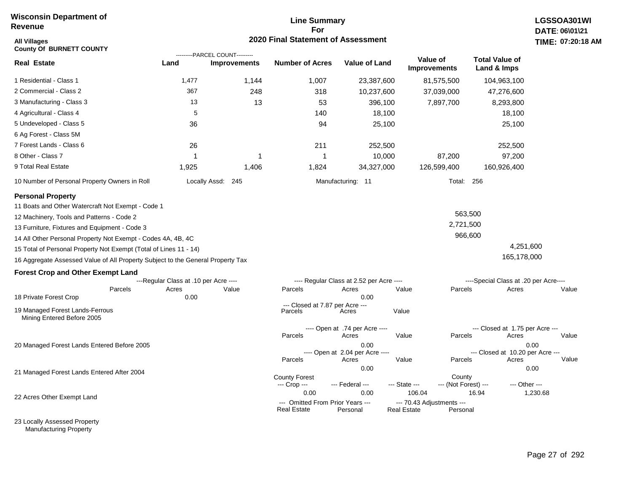## **Line Summary For 2020 Final Statement of Assessment**

| All Villages<br><b>County Of BURNETT COUNTY</b>                                 |                                       | ---------PARCEL COUNT--------- | <b>2020 Final Statement of Assessment</b>              |                                          |                                                 |                                |                                       | <b>TIME: 07:20</b> |
|---------------------------------------------------------------------------------|---------------------------------------|--------------------------------|--------------------------------------------------------|------------------------------------------|-------------------------------------------------|--------------------------------|---------------------------------------|--------------------|
| <b>Real Estate</b>                                                              | Land                                  | <b>Improvements</b>            | <b>Number of Acres</b>                                 | <b>Value of Land</b>                     | Value of<br><b>Improvements</b>                 |                                | <b>Total Value of</b><br>Land & Imps  |                    |
| 1 Residential - Class 1                                                         | 1,477                                 | 1,144                          | 1,007                                                  | 23,387,600                               |                                                 | 81,575,500                     | 104,963,100                           |                    |
| 2 Commercial - Class 2                                                          | 367                                   | 248                            | 318                                                    | 10,237,600                               |                                                 | 37,039,000                     | 47,276,600                            |                    |
| 3 Manufacturing - Class 3                                                       | 13                                    | 13                             | 53                                                     | 396,100                                  |                                                 | 7,897,700                      | 8,293,800                             |                    |
| 4 Agricultural - Class 4                                                        | 5                                     |                                | 140                                                    | 18,100                                   |                                                 |                                | 18,100                                |                    |
| 5 Undeveloped - Class 5                                                         | 36                                    |                                | 94                                                     | 25,100                                   |                                                 |                                | 25,100                                |                    |
| 6 Ag Forest - Class 5M                                                          |                                       |                                |                                                        |                                          |                                                 |                                |                                       |                    |
| 7 Forest Lands - Class 6                                                        | 26                                    |                                | 211                                                    | 252,500                                  |                                                 |                                | 252,500                               |                    |
| 8 Other - Class 7                                                               | 1                                     | 1                              | -1                                                     | 10,000                                   |                                                 | 87,200                         | 97,200                                |                    |
| 9 Total Real Estate                                                             | 1,925                                 | 1,406                          | 1,824                                                  | 34,327,000                               |                                                 | 126,599,400                    | 160,926,400                           |                    |
| 10 Number of Personal Property Owners in Roll                                   |                                       | Locally Assd: 245              |                                                        | Manufacturing: 11                        |                                                 | Total: 256                     |                                       |                    |
| <b>Personal Property</b>                                                        |                                       |                                |                                                        |                                          |                                                 |                                |                                       |                    |
| 11 Boats and Other Watercraft Not Exempt - Code 1                               |                                       |                                |                                                        |                                          |                                                 |                                |                                       |                    |
| 12 Machinery, Tools and Patterns - Code 2                                       |                                       |                                |                                                        |                                          |                                                 | 563,500                        |                                       |                    |
| 13 Furniture, Fixtures and Equipment - Code 3                                   |                                       |                                |                                                        |                                          |                                                 | 2,721,500                      |                                       |                    |
| 14 All Other Personal Property Not Exempt - Codes 4A, 4B, 4C                    |                                       |                                |                                                        |                                          |                                                 | 966,600                        |                                       |                    |
| 15 Total of Personal Property Not Exempt (Total of Lines 11 - 14)               |                                       |                                |                                                        |                                          |                                                 |                                | 4,251,600                             |                    |
| 16 Aggregate Assessed Value of All Property Subject to the General Property Tax |                                       |                                |                                                        |                                          |                                                 |                                | 165,178,000                           |                    |
| <b>Forest Crop and Other Exempt Land</b>                                        |                                       |                                |                                                        |                                          |                                                 |                                |                                       |                    |
|                                                                                 | ---Regular Class at .10 per Acre ---- |                                |                                                        | ---- Regular Class at 2.52 per Acre ---- |                                                 |                                | ----Special Class at .20 per Acre---- |                    |
| Parcels                                                                         | Acres                                 | Value                          | Parcels                                                | Acres                                    | Value                                           | Parcels                        | Acres                                 | Value              |
| 18 Private Forest Crop                                                          | 0.00                                  |                                | --- Closed at 7.87 per Acre ---                        | 0.00                                     |                                                 |                                |                                       |                    |
| 19 Managed Forest Lands-Ferrous<br>Mining Entered Before 2005                   |                                       |                                | Parcels                                                | Acres                                    | Value                                           |                                |                                       |                    |
|                                                                                 |                                       |                                |                                                        | ---- Open at .74 per Acre ----           |                                                 |                                | --- Closed at 1.75 per Acre ---       |                    |
|                                                                                 |                                       |                                | Parcels                                                | Acres                                    | Value                                           | Parcels                        | Acres                                 | Value              |
| 20 Managed Forest Lands Entered Before 2005                                     |                                       |                                |                                                        | 0.00<br>---- Open at 2.04 per Acre ----  |                                                 |                                | --- Closed at 10.20 per Acre ---      | 0.00               |
|                                                                                 |                                       |                                | Parcels                                                | Acres                                    | Value                                           | Parcels                        | Acres                                 | Value              |
| 21 Managed Forest Lands Entered After 2004                                      |                                       |                                |                                                        | 0.00                                     |                                                 |                                |                                       | 0.00               |
|                                                                                 |                                       |                                | <b>County Forest</b><br>--- Crop ---                   | --- Federal ---                          | --- State ---                                   | County<br>--- (Not Forest) --- | --- Other ---                         |                    |
|                                                                                 |                                       |                                | 0.00                                                   | 0.00                                     | 106.04                                          |                                | 16.94                                 | 1,230.68           |
| 22 Acres Other Exempt Land                                                      |                                       |                                | --- Omitted From Prior Years ---<br><b>Real Estate</b> | Personal                                 | --- 70.43 Adjustments ---<br><b>Real Estate</b> | Personal                       |                                       |                    |

23 Locally Assessed Property Manufacturing Property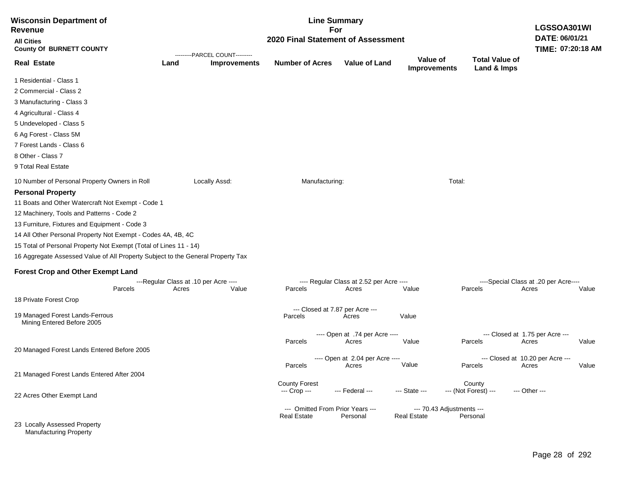| <b>Wisconsin Department of</b><br><b>Revenue</b>                                |       | <b>Line Summary</b><br>For<br>2020 Final Statement of Assessment<br>---------PARCEL COUNT--------- |                                                        |                                          |                                                 |                                      |                                       |       |
|---------------------------------------------------------------------------------|-------|----------------------------------------------------------------------------------------------------|--------------------------------------------------------|------------------------------------------|-------------------------------------------------|--------------------------------------|---------------------------------------|-------|
| <b>All Cities</b><br><b>County Of BURNETT COUNTY</b>                            |       |                                                                                                    |                                                        |                                          |                                                 |                                      |                                       |       |
| <b>Real Estate</b>                                                              | Land  | <b>Improvements</b>                                                                                | <b>Number of Acres</b>                                 | <b>Value of Land</b>                     | Value of<br><b>Improvements</b>                 | <b>Total Value of</b><br>Land & Imps |                                       |       |
| 1 Residential - Class 1                                                         |       |                                                                                                    |                                                        |                                          |                                                 |                                      |                                       |       |
| 2 Commercial - Class 2                                                          |       |                                                                                                    |                                                        |                                          |                                                 |                                      |                                       |       |
| 3 Manufacturing - Class 3                                                       |       |                                                                                                    |                                                        |                                          |                                                 |                                      |                                       |       |
| 4 Agricultural - Class 4                                                        |       |                                                                                                    |                                                        |                                          |                                                 |                                      |                                       |       |
| 5 Undeveloped - Class 5                                                         |       |                                                                                                    |                                                        |                                          |                                                 |                                      |                                       |       |
| 6 Ag Forest - Class 5M                                                          |       |                                                                                                    |                                                        |                                          |                                                 |                                      |                                       |       |
| 7 Forest Lands - Class 6                                                        |       |                                                                                                    |                                                        |                                          |                                                 |                                      |                                       |       |
| 8 Other - Class 7                                                               |       |                                                                                                    |                                                        |                                          |                                                 |                                      |                                       |       |
| 9 Total Real Estate                                                             |       |                                                                                                    |                                                        |                                          |                                                 |                                      |                                       |       |
| 10 Number of Personal Property Owners in Roll                                   |       | Locally Assd:                                                                                      | Manufacturing:                                         |                                          | Total:                                          |                                      |                                       |       |
| <b>Personal Property</b>                                                        |       |                                                                                                    |                                                        |                                          |                                                 |                                      |                                       |       |
| 11 Boats and Other Watercraft Not Exempt - Code 1                               |       |                                                                                                    |                                                        |                                          |                                                 |                                      |                                       |       |
| 12 Machinery, Tools and Patterns - Code 2                                       |       |                                                                                                    |                                                        |                                          |                                                 |                                      |                                       |       |
| 13 Furniture, Fixtures and Equipment - Code 3                                   |       |                                                                                                    |                                                        |                                          |                                                 |                                      |                                       |       |
| 14 All Other Personal Property Not Exempt - Codes 4A, 4B, 4C                    |       |                                                                                                    |                                                        |                                          |                                                 |                                      |                                       |       |
| 15 Total of Personal Property Not Exempt (Total of Lines 11 - 14)               |       |                                                                                                    |                                                        |                                          |                                                 |                                      |                                       |       |
| 16 Aggregate Assessed Value of All Property Subject to the General Property Tax |       |                                                                                                    |                                                        |                                          |                                                 |                                      |                                       |       |
| <b>Forest Crop and Other Exempt Land</b>                                        |       |                                                                                                    |                                                        |                                          |                                                 |                                      |                                       |       |
|                                                                                 |       | ---Regular Class at .10 per Acre ----                                                              |                                                        | ---- Regular Class at 2.52 per Acre ---- |                                                 |                                      | ----Special Class at .20 per Acre---- |       |
| Parcels                                                                         | Acres | Value                                                                                              | Parcels                                                | Acres                                    | Value                                           | Parcels                              | Acres                                 | Value |
| 18 Private Forest Crop                                                          |       |                                                                                                    |                                                        |                                          |                                                 |                                      |                                       |       |
| 19 Managed Forest Lands-Ferrous                                                 |       |                                                                                                    | --- Closed at 7.87 per Acre ---<br>Parcels             | Acres                                    | Value                                           |                                      |                                       |       |
| Mining Entered Before 2005                                                      |       |                                                                                                    |                                                        |                                          |                                                 |                                      |                                       |       |
|                                                                                 |       |                                                                                                    |                                                        | ---- Open at .74 per Acre ----           |                                                 |                                      | --- Closed at 1.75 per Acre ---       |       |
| 20 Managed Forest Lands Entered Before 2005                                     |       |                                                                                                    | Parcels                                                | Acres                                    | Value                                           | Parcels                              | Acres                                 | Value |
|                                                                                 |       |                                                                                                    |                                                        | ---- Open at 2.04 per Acre ----          |                                                 |                                      | --- Closed at 10.20 per Acre ---      |       |
|                                                                                 |       |                                                                                                    | Parcels                                                | Acres                                    | Value                                           | Parcels                              | Acres                                 | Value |
| 21 Managed Forest Lands Entered After 2004                                      |       |                                                                                                    | <b>County Forest</b>                                   |                                          |                                                 | County                               |                                       |       |
|                                                                                 |       |                                                                                                    | --- Crop ---                                           | --- Federal ---                          | --- State ---                                   | --- (Not Forest) ---                 | --- Other ---                         |       |
| 22 Acres Other Exempt Land                                                      |       |                                                                                                    |                                                        |                                          |                                                 |                                      |                                       |       |
|                                                                                 |       |                                                                                                    | --- Omitted From Prior Years ---<br><b>Real Estate</b> | Personal                                 | --- 70.43 Adjustments ---<br><b>Real Estate</b> | Personal                             |                                       |       |
| 23 Locally Assessed Property<br><b>Manufacturing Property</b>                   |       |                                                                                                    |                                                        |                                          |                                                 |                                      |                                       |       |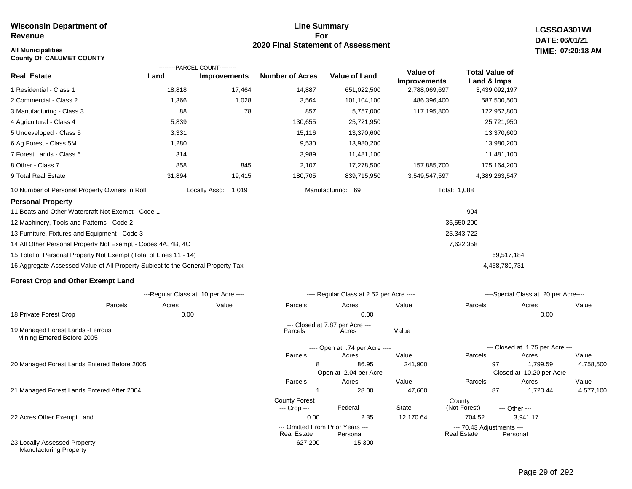# **All Municipalities TIME:**

**County Of CALUMET COUNTY**

Manufacturing Property

## **Line Summary For 2020 Final Statement of Assessment**

**LGSSOA301WI DATE: 06/01/21 07:20:18 AM**

|                                                                                 |        | ---------PARCEL COUNT---------        |                                      |                                              |                                 |                                          |                                              |           |
|---------------------------------------------------------------------------------|--------|---------------------------------------|--------------------------------------|----------------------------------------------|---------------------------------|------------------------------------------|----------------------------------------------|-----------|
| <b>Real Estate</b>                                                              | Land   | <b>Improvements</b>                   | <b>Number of Acres</b>               | <b>Value of Land</b>                         | Value of<br><b>Improvements</b> | <b>Total Value of</b><br>Land & Imps     |                                              |           |
| 1 Residential - Class 1                                                         | 18,818 | 17,464                                | 14,887                               | 651,022,500                                  | 2,788,069,697                   | 3,439,092,197                            |                                              |           |
| 2 Commercial - Class 2                                                          | 1,366  | 1,028                                 | 3,564                                | 101,104,100                                  | 486,396,400                     | 587,500,500                              |                                              |           |
| 3 Manufacturing - Class 3                                                       | 88     | 78                                    | 857                                  | 5,757,000                                    | 117,195,800                     | 122,952,800                              |                                              |           |
| 4 Agricultural - Class 4                                                        | 5,839  |                                       | 130,655                              | 25,721,950                                   |                                 | 25,721,950                               |                                              |           |
| 5 Undeveloped - Class 5                                                         | 3,331  |                                       | 15,116                               | 13,370,600                                   |                                 | 13,370,600                               |                                              |           |
| 6 Ag Forest - Class 5M                                                          | 1,280  |                                       | 9,530                                | 13,980,200                                   |                                 | 13,980,200                               |                                              |           |
| 7 Forest Lands - Class 6                                                        | 314    |                                       | 3,989                                | 11,481,100                                   |                                 | 11,481,100                               |                                              |           |
| 8 Other - Class 7                                                               | 858    | 845                                   | 2,107                                | 17,278,500                                   | 157,885,700                     | 175,164,200                              |                                              |           |
| 9 Total Real Estate                                                             | 31,894 | 19,415                                | 180,705                              | 839,715,950                                  | 3,549,547,597                   | 4,389,263,547                            |                                              |           |
| 10 Number of Personal Property Owners in Roll                                   |        | Locally Assd:<br>1,019                |                                      | Manufacturing: 69                            |                                 | Total: 1,088                             |                                              |           |
| <b>Personal Property</b>                                                        |        |                                       |                                      |                                              |                                 |                                          |                                              |           |
| 11 Boats and Other Watercraft Not Exempt - Code 1                               |        |                                       |                                      |                                              |                                 | 904                                      |                                              |           |
| 12 Machinery, Tools and Patterns - Code 2                                       |        |                                       |                                      |                                              |                                 | 36,550,200                               |                                              |           |
| 13 Furniture, Fixtures and Equipment - Code 3                                   |        |                                       |                                      |                                              |                                 | 25,343,722                               |                                              |           |
| 14 All Other Personal Property Not Exempt - Codes 4A, 4B, 4C                    |        |                                       |                                      |                                              |                                 | 7,622,358                                |                                              |           |
| 15 Total of Personal Property Not Exempt (Total of Lines 11 - 14)               |        |                                       |                                      |                                              |                                 |                                          | 69,517,184                                   |           |
| 16 Aggregate Assessed Value of All Property Subject to the General Property Tax |        |                                       |                                      |                                              |                                 |                                          | 4,458,780,731                                |           |
| <b>Forest Crop and Other Exempt Land</b>                                        |        |                                       |                                      |                                              |                                 |                                          |                                              |           |
|                                                                                 |        | ---Regular Class at .10 per Acre ---- |                                      | ---- Regular Class at 2.52 per Acre ----     |                                 |                                          | ----Special Class at .20 per Acre----        |           |
| Parcels                                                                         | Acres  | Value                                 | Parcels                              | Acres                                        | Value                           | Parcels                                  | Acres                                        | Value     |
| 18 Private Forest Crop                                                          | 0.00   |                                       |                                      | 0.00                                         |                                 |                                          | 0.00                                         |           |
| 19 Managed Forest Lands - Ferrous<br>Mining Entered Before 2005                 |        |                                       | Parcels                              | --- Closed at 7.87 per Acre ---<br>Acres     | Value                           |                                          |                                              |           |
|                                                                                 |        |                                       |                                      | ---- Open at .74 per Acre ----               |                                 |                                          | --- Closed at 1.75 per Acre ---              |           |
|                                                                                 |        |                                       | Parcels                              | Acres                                        | Value                           | Parcels                                  | Acres                                        | Value     |
| 20 Managed Forest Lands Entered Before 2005                                     |        |                                       | 8                                    | 86.95<br>---- Open at 2.04 per Acre ----     | 241,900                         | 97                                       | 1,799.59<br>--- Closed at 10.20 per Acre --- | 4,758,500 |
|                                                                                 |        |                                       | Parcels                              | Acres                                        | Value                           | Parcels                                  | Acres                                        | Value     |
| 21 Managed Forest Lands Entered After 2004                                      |        |                                       | $\mathbf{1}$                         | 28.00                                        | 47,600                          | 87                                       | 1,720.44                                     | 4,577,100 |
|                                                                                 |        |                                       | <b>County Forest</b><br>--- Crop --- | --- Federal ---                              | --- State ---                   | County<br>--- (Not Forest) ---           | --- Other ---                                |           |
| 22 Acres Other Exempt Land                                                      |        |                                       | 0.00                                 | 2.35                                         | 12,170.64                       | 704.52                                   | 3,941.17                                     |           |
|                                                                                 |        |                                       | <b>Real Estate</b>                   | --- Omitted From Prior Years ---<br>Personal |                                 | --- 70.43 Adjustments ---<br>Real Estate | Personal                                     |           |
| 23 Locally Assessed Property                                                    |        |                                       | 627,200                              | 15,300                                       |                                 |                                          |                                              |           |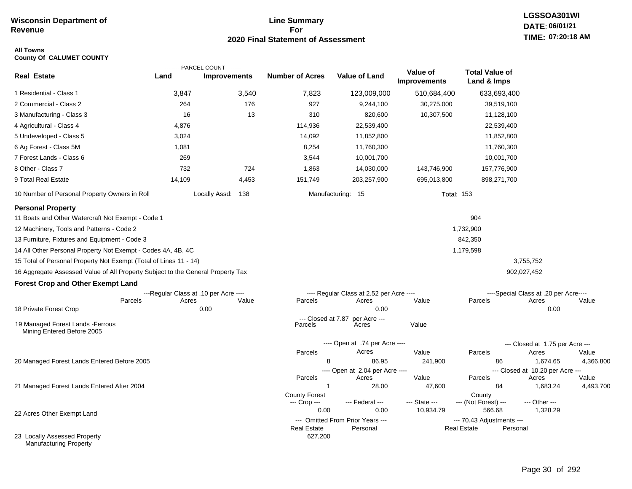## **Line Summary For 2020 Final Statement of Assessment**

### **All Towns County Of CALUMET COUNTY**

|                                                                                                                                                                             |        | ---------PARCEL COUNT---------                         |                                              |                                                           |                                 | <b>Total Value of</b>                    |                                                        |           |
|-----------------------------------------------------------------------------------------------------------------------------------------------------------------------------|--------|--------------------------------------------------------|----------------------------------------------|-----------------------------------------------------------|---------------------------------|------------------------------------------|--------------------------------------------------------|-----------|
| <b>Real Estate</b>                                                                                                                                                          | Land   | <b>Improvements</b>                                    | <b>Number of Acres</b>                       | <b>Value of Land</b>                                      | Value of<br><b>Improvements</b> | Land & Imps                              |                                                        |           |
| 1 Residential - Class 1                                                                                                                                                     | 3,847  | 3,540                                                  | 7,823                                        | 123,009,000                                               | 510,684,400                     | 633,693,400                              |                                                        |           |
| 2 Commercial - Class 2                                                                                                                                                      | 264    | 176                                                    | 927                                          | 9,244,100                                                 | 30,275,000                      | 39,519,100                               |                                                        |           |
| 3 Manufacturing - Class 3                                                                                                                                                   | 16     | 13                                                     | 310                                          | 820,600                                                   | 10,307,500                      | 11,128,100                               |                                                        |           |
| 4 Agricultural - Class 4                                                                                                                                                    | 4,876  |                                                        | 114,936                                      | 22,539,400                                                |                                 | 22,539,400                               |                                                        |           |
| 5 Undeveloped - Class 5                                                                                                                                                     | 3,024  |                                                        | 14,092                                       | 11,852,800                                                |                                 | 11,852,800                               |                                                        |           |
| 6 Ag Forest - Class 5M                                                                                                                                                      | 1,081  |                                                        | 8,254                                        | 11,760,300                                                |                                 | 11,760,300                               |                                                        |           |
| 7 Forest Lands - Class 6                                                                                                                                                    | 269    |                                                        | 3,544                                        | 10,001,700                                                |                                 | 10,001,700                               |                                                        |           |
| 8 Other - Class 7                                                                                                                                                           | 732    | 724                                                    | 1,863                                        | 14,030,000                                                | 143,746,900                     | 157,776,900                              |                                                        |           |
| 9 Total Real Estate                                                                                                                                                         | 14,109 | 4,453                                                  | 151,749                                      | 203,257,900                                               | 695,013,800                     | 898,271,700                              |                                                        |           |
| 10 Number of Personal Property Owners in Roll                                                                                                                               |        | Locally Assd: 138                                      |                                              | Manufacturing: 15                                         | <b>Total: 153</b>               |                                          |                                                        |           |
| <b>Personal Property</b><br>11 Boats and Other Watercraft Not Exempt - Code 1<br>12 Machinery, Tools and Patterns - Code 2<br>13 Furniture, Fixtures and Equipment - Code 3 |        |                                                        |                                              |                                                           |                                 | 904<br>1,732,900<br>842,350              |                                                        |           |
| 14 All Other Personal Property Not Exempt - Codes 4A, 4B, 4C                                                                                                                |        |                                                        |                                              |                                                           |                                 | 1,179,598                                |                                                        |           |
| 15 Total of Personal Property Not Exempt (Total of Lines 11 - 14)                                                                                                           |        |                                                        |                                              |                                                           |                                 |                                          | 3,755,752                                              |           |
| 16 Aggregate Assessed Value of All Property Subject to the General Property Tax                                                                                             |        |                                                        |                                              |                                                           |                                 |                                          | 902,027,452                                            |           |
| <b>Forest Crop and Other Exempt Land</b>                                                                                                                                    |        |                                                        |                                              |                                                           |                                 |                                          |                                                        |           |
| Parcels<br>18 Private Forest Crop                                                                                                                                           | Acres  | ---Regular Class at .10 per Acre ----<br>Value<br>0.00 | Parcels                                      | ---- Regular Class at 2.52 per Acre ----<br>Acres<br>0.00 | Value                           | Parcels                                  | ----Special Class at .20 per Acre----<br>Acres<br>0.00 | Value     |
| 19 Managed Forest Lands - Ferrous<br>Mining Entered Before 2005                                                                                                             |        |                                                        | --- Closed at 7.87<br>Parcels                | per Acre ---<br>Acres                                     | Value                           |                                          |                                                        |           |
|                                                                                                                                                                             |        |                                                        |                                              | ---- Open at .74 per Acre ----                            |                                 |                                          | --- Closed at 1.75 per Acre ---                        |           |
|                                                                                                                                                                             |        |                                                        | Parcels                                      | Acres                                                     | Value                           | Parcels                                  | Acres                                                  | Value     |
| 20 Managed Forest Lands Entered Before 2005                                                                                                                                 |        |                                                        | 8                                            | 86.95                                                     | 241,900                         | 86                                       | 1,674.65                                               | 4,366,800 |
|                                                                                                                                                                             |        |                                                        | Parcels                                      | ---- Open at 2.04 per Acre ----<br>Acres                  | Value                           | Parcels                                  | --- Closed at 10.20 per Acre ---<br>Acres              | Value     |
| 21 Managed Forest Lands Entered After 2004                                                                                                                                  |        |                                                        | $\overline{1}$                               | 28.00                                                     | 47,600                          | 84                                       | 1,683.24                                               | 4,493,700 |
|                                                                                                                                                                             |        |                                                        | <b>County Forest</b><br>--- Crop ---<br>0.00 | --- Federal ---<br>0.00                                   | --- State ---<br>10,934.79      | County<br>--- (Not Forest) ---<br>566.68 | --- Other ---<br>1,328.29                              |           |
| 22 Acres Other Exempt Land                                                                                                                                                  |        |                                                        |                                              | --- Omitted From Prior Years ---                          |                                 | --- 70.43 Adjustments ---                |                                                        |           |
| 23 Locally Assessed Property<br><b>Manufacturing Property</b>                                                                                                               |        |                                                        | <b>Real Estate</b><br>627,200                | Personal                                                  |                                 | <b>Real Estate</b><br>Personal           |                                                        |           |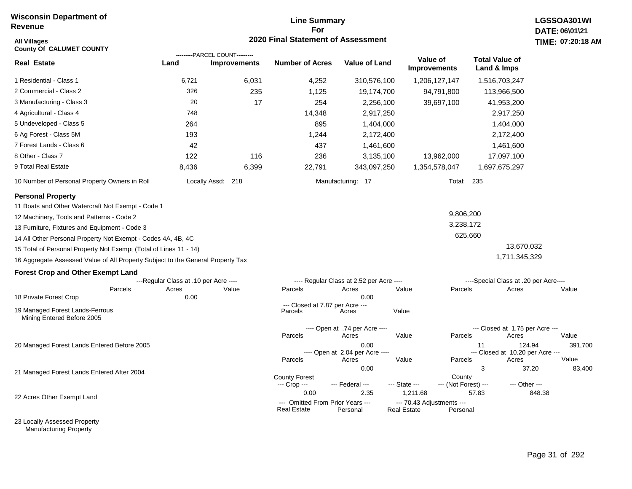# **Line Summary For 2020 Final Statement of Assessment**

| <b>All Villages</b><br><b>County Of CALUMET COUNTY</b>                                                                                                                                                                                                                                                                                                                                                                                                                                                                                                |                                                        |                                                       | 2020 Final Statement of Assessment                                                                     |                                                                                                     |                                                                                                    |                                                                                                                    | TIME: 07:20:18                                         |
|-------------------------------------------------------------------------------------------------------------------------------------------------------------------------------------------------------------------------------------------------------------------------------------------------------------------------------------------------------------------------------------------------------------------------------------------------------------------------------------------------------------------------------------------------------|--------------------------------------------------------|-------------------------------------------------------|--------------------------------------------------------------------------------------------------------|-----------------------------------------------------------------------------------------------------|----------------------------------------------------------------------------------------------------|--------------------------------------------------------------------------------------------------------------------|--------------------------------------------------------|
| <b>Real Estate</b>                                                                                                                                                                                                                                                                                                                                                                                                                                                                                                                                    | Land                                                   | ---------PARCEL COUNT---------<br><b>Improvements</b> | <b>Number of Acres</b>                                                                                 | <b>Value of Land</b>                                                                                | Value of<br><b>Improvements</b>                                                                    | <b>Total Value of</b><br>Land & Imps                                                                               |                                                        |
| 1 Residential - Class 1                                                                                                                                                                                                                                                                                                                                                                                                                                                                                                                               | 6,721                                                  | 6,031                                                 | 4,252                                                                                                  | 310,576,100                                                                                         | 1,206,127,147                                                                                      | 1,516,703,247                                                                                                      |                                                        |
| 2 Commercial - Class 2                                                                                                                                                                                                                                                                                                                                                                                                                                                                                                                                | 326                                                    | 235                                                   | 1,125                                                                                                  | 19,174,700                                                                                          | 94,791,800                                                                                         | 113,966,500                                                                                                        |                                                        |
| 3 Manufacturing - Class 3                                                                                                                                                                                                                                                                                                                                                                                                                                                                                                                             | 20                                                     | 17                                                    | 254                                                                                                    | 2,256,100                                                                                           | 39,697,100                                                                                         | 41,953,200                                                                                                         |                                                        |
| 4 Agricultural - Class 4                                                                                                                                                                                                                                                                                                                                                                                                                                                                                                                              | 748                                                    |                                                       | 14,348                                                                                                 | 2,917,250                                                                                           |                                                                                                    | 2,917,250                                                                                                          |                                                        |
| 5 Undeveloped - Class 5                                                                                                                                                                                                                                                                                                                                                                                                                                                                                                                               | 264                                                    |                                                       | 895                                                                                                    | 1,404,000                                                                                           |                                                                                                    | 1,404,000                                                                                                          |                                                        |
| 6 Ag Forest - Class 5M                                                                                                                                                                                                                                                                                                                                                                                                                                                                                                                                | 193                                                    |                                                       | 1,244                                                                                                  | 2,172,400                                                                                           |                                                                                                    | 2,172,400                                                                                                          |                                                        |
| 7 Forest Lands - Class 6                                                                                                                                                                                                                                                                                                                                                                                                                                                                                                                              | 42                                                     |                                                       | 437                                                                                                    | 1,461,600                                                                                           |                                                                                                    | 1,461,600                                                                                                          |                                                        |
| 8 Other - Class 7                                                                                                                                                                                                                                                                                                                                                                                                                                                                                                                                     | 122                                                    | 116                                                   | 236                                                                                                    | 3,135,100                                                                                           | 13,962,000                                                                                         | 17,097,100                                                                                                         |                                                        |
| 9 Total Real Estate                                                                                                                                                                                                                                                                                                                                                                                                                                                                                                                                   | 8,436                                                  | 6,399                                                 | 22,791                                                                                                 | 343,097,250                                                                                         | 1,354,578,047                                                                                      | 1,697,675,297                                                                                                      |                                                        |
| 10 Number of Personal Property Owners in Roll                                                                                                                                                                                                                                                                                                                                                                                                                                                                                                         |                                                        | Locally Assd: 218                                     |                                                                                                        | Manufacturing: 17                                                                                   |                                                                                                    | Total: 235                                                                                                         |                                                        |
| <b>Personal Property</b><br>11 Boats and Other Watercraft Not Exempt - Code 1<br>12 Machinery, Tools and Patterns - Code 2<br>13 Furniture, Fixtures and Equipment - Code 3<br>14 All Other Personal Property Not Exempt - Codes 4A, 4B, 4C<br>15 Total of Personal Property Not Exempt (Total of Lines 11 - 14)<br>16 Aggregate Assessed Value of All Property Subject to the General Property Tax<br><b>Forest Crop and Other Exempt Land</b><br>Parcels<br>18 Private Forest Crop<br>19 Managed Forest Lands-Ferrous<br>Mining Entered Before 2005 | ---Regular Class at .10 per Acre ----<br>Acres<br>0.00 | Value                                                 | Parcels<br>--- Closed at 7.87 per Acre ---<br>Parcels                                                  | ---- Regular Class at 2.52 per Acre ----<br>Acres<br>0.00<br>Acres                                  | Value<br>Parcels<br>Value                                                                          | 9,806,200<br>3,238,172<br>625,660<br>13,670,032<br>1,711,345,329<br>----Special Class at .20 per Acre----<br>Acres | Value                                                  |
| 20 Managed Forest Lands Entered Before 2005<br>21 Managed Forest Lands Entered After 2004                                                                                                                                                                                                                                                                                                                                                                                                                                                             |                                                        |                                                       | Parcels<br>Parcels                                                                                     | ---- Open at .74 per Acre ----<br>Acres<br>0.00<br>---- Open at 2.04 per Acre ----<br>Acres<br>0.00 | Value<br>Parcels<br>Value<br>Parcels                                                               | --- Closed at 1.75 per Acre ---<br>Acres<br>11<br>--- Closed at 10.20 per Acre ---<br>Acres<br>3                   | Value<br>391,700<br>124.94<br>Value<br>37.20<br>83,400 |
| 22 Acres Other Exempt Land                                                                                                                                                                                                                                                                                                                                                                                                                                                                                                                            |                                                        |                                                       | <b>County Forest</b><br>--- Crop ---<br>0.00<br>--- Omitted From Prior Years ---<br><b>Real Estate</b> | --- Federal ---<br>2.35<br>Personal                                                                 | County<br>--- State ---<br>1,211.68<br>--- 70.43 Adjustments ---<br><b>Real Estate</b><br>Personal | --- (Not Forest) ---<br>--- Other ---<br>57.83                                                                     | 848.38                                                 |

23 Locally Assessed Property Manufacturing Property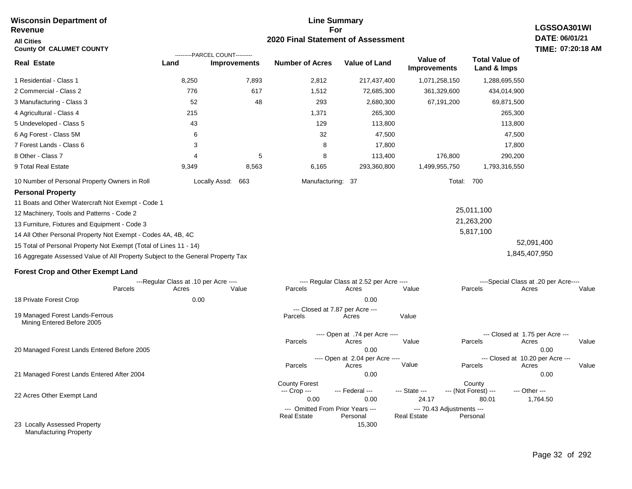#### **For 2020 Final Statement of Assessment Revenue All Cities County Of CALUMET COUNTY LGSSOA301WI DATE: 06/01/21 TIME: 07:20:18 AM Real Estate** 1 Residential - Class 1 2 Commercial - Class 2 3 Manufacturing - Class 3 4 Agricultural - Class 4 5 Undeveloped - Class 5 6 Ag Forest - Class 5M 7 Forest Lands - Class 6 8 Other - Class 7 9 Total Real Estate 10 Number of Personal Property Owners in Roll 8,250 7,893 2,812 217,437,400 1,071,258,150 1,288,695,550 **Land Improvements Number of Acres Value of Land Value of Improvements Total Value of Land & Imps** 776 52 215 43 6 3 4 9,349 617 48 5 8,563 1,512 293 1,371 129 32 8 8 6,165 72,685,300 2,680,300 265,300 113,800 47,500 17,800 113,400 293,360,800 361,329,600 67,191,200 176,800 1,499,955,750 434,014,900 69,871,500 265,300 113,800 47,500 17,800 290,200 1,793,316,550 Locally Assd: 663 Manufacturing: 37 Total: 700 **Personal Property** 11 Boats and Other Watercraft Not Exempt - Code 1 12 Machinery, Tools and Patterns - Code 2 13 Furniture, Fixtures and Equipment - Code 3 14 All Other Personal Property Not Exempt - Codes 4A, 4B, 4C 15 Total of Personal Property Not Exempt (Total of Lines 11 - 14) 16 Aggregate Assessed Value of All Property Subject to the General Property Tax 25,011,100 21,263,200 5,817,100 52,091,400 1,845,407,950 **Forest Crop and Other Exempt Land** ---Regular Class at .10 per Acre ---- ---- Regular Class at 2.52 per Acre ---- ----Special Class at .20 per Acre---- 18 Private Forest Crop 20 Managed Forest Lands Entered Before 2005 21 Managed Forest Lands Entered After 2004 Parcels 0.00 0.00 Acres Value Parcels Acres Value Parcels Acres Value ---- Open at .74 per Acre ----<br>Acres Parcels 0.00 0.00 Acres Value Parcels Acres Value --- Closed at 1.75 per Acre --- ---- Open at 2.04 per Acre ---- --- Closed at 10.20 per Acre --- Parcels 0.00 0.00 Acres **Value Parcels Acres Value** County Forest County County --- Crop --- 0.00 0.00 24.17 80.01 1,764.50 --- Federal --- - --- State --- --- (Not Forest) --- --- Other ---22 Acres Other Exempt Land 23 Locally Assessed Property --- Omitted From Prior Years ---<br>Real Estate Personal Personal Real Estate Personal 15,300 **Real Estate** ---------PARCEL COUNT--------- 19 Managed Forest Lands-Ferrous Mining Entered Before 2005 --- Closed at 7.87 per Acre ---<br>rcels Acres Parcels **Acres** Value

**Line Summary**

Manufacturing Property

**Wisconsin Department of**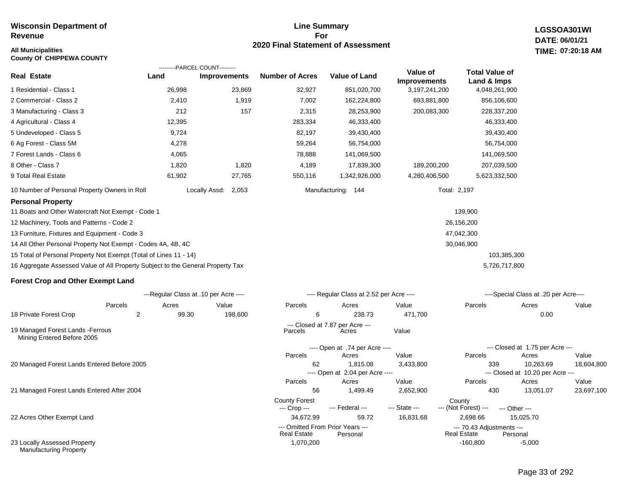## **Line Summary For 2020 Final Statement of Assessment All Municipalities TIME:**

**LGSSOA301WI DATE: 06/01/21 07:20:18 AM**

| <b>County Of CHIPPEWA COUNTY</b>                                                |            |                                                |                        |                                             |                                 |                              |                                               |            |
|---------------------------------------------------------------------------------|------------|------------------------------------------------|------------------------|---------------------------------------------|---------------------------------|------------------------------|-----------------------------------------------|------------|
| <b>Real Estate</b>                                                              | Land       | ---------PARCEL COUNT---------<br>Improvements | <b>Number of Acres</b> | <b>Value of Land</b>                        | Value of<br><b>Improvements</b> | <b>Total Value of</b>        |                                               |            |
| 1 Residential - Class 1                                                         | 26,998     | 23,869                                         | 32,927                 | 851,020,700                                 | 3, 197, 241, 200                | Land & Imps<br>4,048,261,900 |                                               |            |
| 2 Commercial - Class 2                                                          | 2,410      | 1,919                                          | 7,002                  | 162,224,800                                 | 693,881,800                     | 856,106,600                  |                                               |            |
| 3 Manufacturing - Class 3                                                       | 212        | 157                                            | 2,315                  | 28,253,900                                  | 200,083,300                     | 228,337,200                  |                                               |            |
| 4 Agricultural - Class 4                                                        | 12,395     |                                                | 283,334                | 46,333,400                                  |                                 | 46,333,400                   |                                               |            |
| 5 Undeveloped - Class 5                                                         | 9,724      |                                                | 82,197                 | 39,430,400                                  |                                 | 39,430,400                   |                                               |            |
| 6 Ag Forest - Class 5M                                                          | 4,278      |                                                | 59,264                 | 56,754,000                                  |                                 | 56,754,000                   |                                               |            |
| 7 Forest Lands - Class 6                                                        | 4,065      |                                                | 78,888                 | 141,069,500                                 |                                 | 141,069,500                  |                                               |            |
| 8 Other - Class 7                                                               | 1,820      | 1,820                                          | 4,189                  | 17,839,300                                  | 189,200,200                     | 207,039,500                  |                                               |            |
| 9 Total Real Estate                                                             | 61,902     | 27,765                                         | 550,116                | 1,342,926,000                               | 4,280,406,500                   | 5,623,332,500                |                                               |            |
| 10 Number of Personal Property Owners in Roll                                   |            | Locally Assd:<br>2,053                         |                        | Manufacturing: 144                          |                                 | Total: 2,197                 |                                               |            |
| <b>Personal Property</b>                                                        |            |                                                |                        |                                             |                                 |                              |                                               |            |
| 11 Boats and Other Watercraft Not Exempt - Code 1                               |            |                                                |                        |                                             |                                 | 139,900                      |                                               |            |
| 12 Machinery, Tools and Patterns - Code 2                                       |            |                                                |                        |                                             |                                 | 26,156,200                   |                                               |            |
| 13 Furniture, Fixtures and Equipment - Code 3                                   |            |                                                |                        |                                             |                                 | 47,042,300                   |                                               |            |
| 14 All Other Personal Property Not Exempt - Codes 4A, 4B, 4C                    |            |                                                |                        |                                             |                                 | 30,046,900                   |                                               |            |
| 15 Total of Personal Property Not Exempt (Total of Lines 11 - 14)               |            |                                                |                        |                                             |                                 | 103,385,300                  |                                               |            |
| 16 Aggregate Assessed Value of All Property Subject to the General Property Tax |            |                                                |                        |                                             |                                 | 5,726,717,800                |                                               |            |
| <b>Forest Crop and Other Exempt Land</b>                                        |            |                                                |                        |                                             |                                 |                              |                                               |            |
|                                                                                 |            | ---Regular Class at .10 per Acre ----          |                        | ---- Regular Class at 2.52 per Acre ----    |                                 |                              | ----Special Class at .20 per Acre----         |            |
| Parcels                                                                         | Acres      | Value                                          | Parcels                | Acres                                       | Value                           | Parcels                      | Acres                                         | Value      |
| 18 Private Forest Crop                                                          | 2<br>99.30 | 198,600                                        | 6                      | 238.73                                      | 471,700                         |                              | 0.00                                          |            |
| 19 Managed Forest Lands - Ferrous<br>Mining Entered Before 2005                 |            |                                                | Parcels                | --- Closed at 7.87 per Acre ---<br>Acres    | Value                           |                              |                                               |            |
|                                                                                 |            |                                                |                        | ---- Open at .74 per Acre ----              |                                 |                              | --- Closed at 1.75 per Acre ---               |            |
|                                                                                 |            |                                                | Parcels                | Acres                                       | Value                           | Parcels                      | Acres                                         | Value      |
| 20 Managed Forest Lands Entered Before 2005                                     |            |                                                | 62                     | 1,815.08<br>---- Open at 2.04 per Acre ---- | 3,433,800                       | 339                          | 10,263.69<br>--- Closed at 10.20 per Acre --- | 18,604,800 |

21 Managed Forest Lands Entered After 2004

22 Acres Other Exempt Land

23 Locally Assessed Property Manufacturing Property

 56 1,499.49 2,652,900 430 13,051.07 23,697,100 34,672.99 59.72 16,831.68 2,698.66 15,025.70 County Forest County<br>--- Crop --- --- Federal --- --- State --- --- (Not Fore --- (Not Forest) --- --- Other ------ Omitted From Prior Years ---<br>Real Estate Personal Real Estate Personal Real Estate Personal Parcels Acres Value Parcels Acres Value **Real Estate** 

1,070,200 -160,800 -160,800 -5,000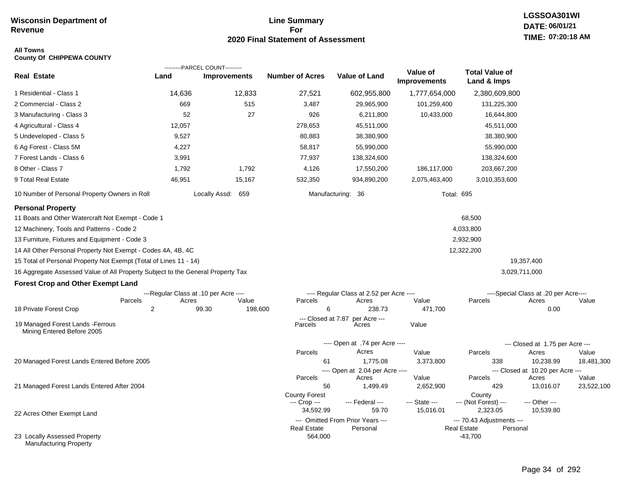## **Line Summary For 2020 Final Statement of Assessment**

### **All Towns County Of CHIPPEWA COUNTY**

|                                                                                 |                                       | ---------PARCEL COUNT--------- |                               |                                              |                                 |                                                             |                                       |                     |
|---------------------------------------------------------------------------------|---------------------------------------|--------------------------------|-------------------------------|----------------------------------------------|---------------------------------|-------------------------------------------------------------|---------------------------------------|---------------------|
| <b>Real Estate</b>                                                              | Land                                  | <b>Improvements</b>            | <b>Number of Acres</b>        | <b>Value of Land</b>                         | Value of<br><b>Improvements</b> | <b>Total Value of</b><br>Land & Imps                        |                                       |                     |
| 1 Residential - Class 1                                                         | 14,636                                | 12,833                         | 27,521                        | 602,955,800                                  | 1,777,654,000                   | 2,380,609,800                                               |                                       |                     |
| 2 Commercial - Class 2                                                          | 669                                   | 515                            | 3,487                         | 29,965,900                                   | 101,259,400                     | 131,225,300                                                 |                                       |                     |
| 3 Manufacturing - Class 3                                                       | 52                                    | 27                             | 926                           | 6,211,800                                    | 10,433,000                      | 16,644,800                                                  |                                       |                     |
| 4 Agricultural - Class 4                                                        | 12,057                                |                                | 278,653                       | 45,511,000                                   |                                 | 45,511,000                                                  |                                       |                     |
| 5 Undeveloped - Class 5                                                         | 9,527                                 |                                | 80,883                        | 38,380,900                                   |                                 | 38,380,900                                                  |                                       |                     |
| 6 Ag Forest - Class 5M                                                          | 4,227                                 |                                | 58,817                        | 55,990,000                                   |                                 | 55,990,000                                                  |                                       |                     |
| 7 Forest Lands - Class 6                                                        | 3,991                                 |                                | 77,937                        | 138,324,600                                  |                                 | 138,324,600                                                 |                                       |                     |
| 8 Other - Class 7                                                               | 1,792                                 | 1,792                          | 4,126                         | 17,550,200                                   | 186,117,000                     | 203,667,200                                                 |                                       |                     |
| 9 Total Real Estate                                                             | 46,951                                | 15,167                         | 532,350                       | 934,890,200                                  | 2,075,463,400                   | 3,010,353,600                                               |                                       |                     |
| 10 Number of Personal Property Owners in Roll                                   |                                       | Locally Assd: 659              |                               | Manufacturing: 36                            | <b>Total: 695</b>               |                                                             |                                       |                     |
| <b>Personal Property</b>                                                        |                                       |                                |                               |                                              |                                 |                                                             |                                       |                     |
| 11 Boats and Other Watercraft Not Exempt - Code 1                               |                                       |                                |                               |                                              |                                 | 68,500                                                      |                                       |                     |
| 12 Machinery, Tools and Patterns - Code 2                                       |                                       |                                |                               |                                              |                                 | 4,033,800                                                   |                                       |                     |
| 13 Furniture, Fixtures and Equipment - Code 3                                   |                                       |                                |                               |                                              |                                 | 2,932,900                                                   |                                       |                     |
| 14 All Other Personal Property Not Exempt - Codes 4A, 4B, 4C                    |                                       |                                |                               |                                              |                                 | 12,322,200                                                  |                                       |                     |
| 15 Total of Personal Property Not Exempt (Total of Lines 11 - 14)               |                                       |                                |                               |                                              |                                 |                                                             | 19,357,400                            |                     |
| 16 Aggregate Assessed Value of All Property Subject to the General Property Tax |                                       |                                |                               |                                              |                                 |                                                             | 3,029,711,000                         |                     |
| <b>Forest Crop and Other Exempt Land</b>                                        |                                       |                                |                               |                                              |                                 |                                                             |                                       |                     |
|                                                                                 | ---Regular Class at .10 per Acre ---- |                                |                               | ---- Regular Class at 2.52 per Acre ----     |                                 |                                                             | ----Special Class at .20 per Acre---- |                     |
| Parcels                                                                         | Acres                                 | Value                          | Parcels                       | Acres                                        | Value                           | Parcels                                                     | Acres                                 | Value               |
| 18 Private Forest Crop                                                          | $\overline{2}$                        | 99.30<br>198,600               | 6                             | 238.73                                       | 471,700                         |                                                             | 0.00                                  |                     |
| 19 Managed Forest Lands - Ferrous<br>Mining Entered Before 2005                 |                                       |                                | --- Closed at 7.87<br>Parcels | per Acre ---<br>Acres                        | Value                           |                                                             |                                       |                     |
|                                                                                 |                                       |                                |                               | ---- Open at .74 per Acre ----               |                                 |                                                             | --- Closed at 1.75 per Acre ---       |                     |
|                                                                                 |                                       |                                | Parcels                       | Acres                                        | Value                           | Parcels                                                     | Acres                                 | Value               |
| 20 Managed Forest Lands Entered Before 2005                                     |                                       |                                | 61                            | 1,775.08                                     | 3,373,800                       | 338                                                         | 10,238.99                             | 18,481,300          |
|                                                                                 |                                       |                                |                               | ---- Open at 2.04 per Acre ----              |                                 |                                                             | --- Closed at 10.20 per Acre ---      |                     |
| 21 Managed Forest Lands Entered After 2004                                      |                                       |                                | Parcels<br>56                 | Acres<br>1,499.49                            | Value<br>2,652,900              | Parcels<br>429                                              | Acres<br>13,016.07                    | Value<br>23,522,100 |
|                                                                                 |                                       |                                | <b>County Forest</b>          |                                              |                                 | County                                                      |                                       |                     |
|                                                                                 |                                       |                                | --- Crop ---                  | --- Federal ---                              | --- State ---                   | --- (Not Forest) ---                                        | --- Other ---                         |                     |
| 22 Acres Other Exempt Land                                                      |                                       |                                | 34,592.99                     | 59.70                                        | 15,016.01                       | 2,323.05                                                    | 10,539.80                             |                     |
|                                                                                 |                                       |                                | <b>Real Estate</b>            | --- Omitted From Prior Years ---<br>Personal |                                 | --- 70.43 Adjustments ---<br><b>Real Estate</b><br>Personal |                                       |                     |
| 23 Locally Assessed Property<br><b>Manufacturing Property</b>                   |                                       |                                | 564,000                       |                                              |                                 | $-43,700$                                                   |                                       |                     |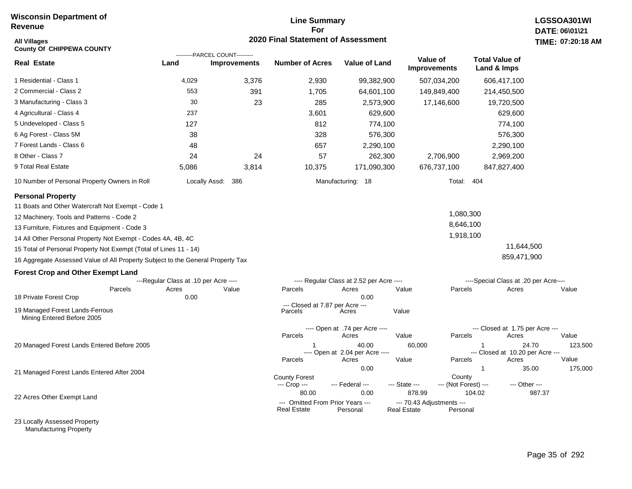# **Line Summary For 2020 Final Statement of Assessment**

| <b>All Villages</b><br><b>County Of CHIPPEWA COUNTY</b>                         |                                       | ---------PARCEL COUNT--------- | 2020 Final Statement of Assessment                     |                                          |                                                 |                                |                                        | TIME: 07:20:18   |
|---------------------------------------------------------------------------------|---------------------------------------|--------------------------------|--------------------------------------------------------|------------------------------------------|-------------------------------------------------|--------------------------------|----------------------------------------|------------------|
| <b>Real Estate</b>                                                              | Land                                  | <b>Improvements</b>            | <b>Number of Acres</b>                                 | <b>Value of Land</b>                     | Value of<br><b>Improvements</b>                 |                                | <b>Total Value of</b><br>Land & Imps   |                  |
| 1 Residential - Class 1                                                         | 4,029                                 | 3,376                          | 2,930                                                  | 99,382,900                               |                                                 | 507,034,200                    | 606,417,100                            |                  |
| 2 Commercial - Class 2                                                          | 553                                   | 391                            | 1,705                                                  | 64,601,100                               |                                                 | 149,849,400                    | 214,450,500                            |                  |
| 3 Manufacturing - Class 3                                                       | 30                                    | 23                             | 285                                                    | 2,573,900                                |                                                 | 17,146,600                     | 19,720,500                             |                  |
| 4 Agricultural - Class 4                                                        | 237                                   |                                | 3,601                                                  | 629,600                                  |                                                 |                                | 629,600                                |                  |
| 5 Undeveloped - Class 5                                                         | 127                                   |                                | 812                                                    | 774,100                                  |                                                 |                                | 774,100                                |                  |
| 6 Ag Forest - Class 5M                                                          | 38                                    |                                | 328                                                    | 576,300                                  |                                                 |                                | 576,300                                |                  |
| 7 Forest Lands - Class 6                                                        | 48                                    |                                | 657                                                    | 2,290,100                                |                                                 |                                | 2,290,100                              |                  |
| 8 Other - Class 7                                                               | 24                                    | 24                             | 57                                                     | 262,300                                  |                                                 | 2,706,900                      | 2,969,200                              |                  |
| 9 Total Real Estate                                                             | 5,086                                 | 3,814                          | 10,375                                                 | 171,090,300                              |                                                 | 676,737,100                    | 847,827,400                            |                  |
| 10 Number of Personal Property Owners in Roll                                   |                                       | Locally Assd: 386              |                                                        | Manufacturing: 18                        |                                                 | Total: 404                     |                                        |                  |
| <b>Personal Property</b>                                                        |                                       |                                |                                                        |                                          |                                                 |                                |                                        |                  |
| 11 Boats and Other Watercraft Not Exempt - Code 1                               |                                       |                                |                                                        |                                          |                                                 |                                |                                        |                  |
| 12 Machinery, Tools and Patterns - Code 2                                       |                                       |                                |                                                        |                                          |                                                 | 1,080,300                      |                                        |                  |
| 13 Furniture, Fixtures and Equipment - Code 3                                   |                                       |                                |                                                        |                                          |                                                 | 8,646,100                      |                                        |                  |
| 14 All Other Personal Property Not Exempt - Codes 4A, 4B, 4C                    |                                       |                                |                                                        |                                          |                                                 | 1,918,100                      |                                        |                  |
| 15 Total of Personal Property Not Exempt (Total of Lines 11 - 14)               |                                       |                                |                                                        |                                          |                                                 |                                | 11,644,500                             |                  |
| 16 Aggregate Assessed Value of All Property Subject to the General Property Tax |                                       |                                |                                                        |                                          |                                                 |                                | 859,471,900                            |                  |
| <b>Forest Crop and Other Exempt Land</b>                                        |                                       |                                |                                                        |                                          |                                                 |                                |                                        |                  |
|                                                                                 | ---Regular Class at .10 per Acre ---- |                                |                                                        | ---- Regular Class at 2.52 per Acre ---- |                                                 |                                | ----Special Class at .20 per Acre----  |                  |
| Parcels<br>18 Private Forest Crop                                               | Acres<br>0.00                         | Value                          | Parcels                                                | Acres<br>0.00                            | Value                                           | Parcels                        | Acres                                  | Value            |
|                                                                                 |                                       |                                | --- Closed at 7.87 per Acre ---                        |                                          |                                                 |                                |                                        |                  |
| 19 Managed Forest Lands-Ferrous<br>Mining Entered Before 2005                   |                                       |                                | Parcels                                                | Acres                                    | Value                                           |                                |                                        |                  |
|                                                                                 |                                       |                                |                                                        | ---- Open at .74 per Acre ----           |                                                 |                                | --- Closed at 1.75 per Acre ---        |                  |
|                                                                                 |                                       |                                | Parcels                                                | Acres                                    | Value                                           | Parcels                        | Acres                                  | Value            |
| 20 Managed Forest Lands Entered Before 2005                                     |                                       |                                |                                                        | 40.00<br>---- Open at 2.04 per Acre ---- | 60,000                                          |                                | -1<br>--- Closed at 10.20 per Acre --- | 24.70<br>123,500 |
|                                                                                 |                                       |                                | Parcels                                                | Acres                                    | Value                                           | Parcels                        | Acres                                  | Value            |
| 21 Managed Forest Lands Entered After 2004                                      |                                       |                                |                                                        | 0.00                                     |                                                 |                                | $\mathbf{1}$                           | 35.00<br>175,000 |
|                                                                                 |                                       |                                | <b>County Forest</b><br>--- Crop ---                   | --- Federal ---                          | --- State ---                                   | County<br>--- (Not Forest) --- | --- Other ---                          |                  |
|                                                                                 |                                       |                                | 80.00                                                  | 0.00                                     | 878.99                                          |                                | 104.02                                 | 987.37           |
| 22 Acres Other Exempt Land                                                      |                                       |                                | --- Omitted From Prior Years ---<br><b>Real Estate</b> | Personal                                 | --- 70.43 Adjustments ---<br><b>Real Estate</b> | Personal                       |                                        |                  |

23 Locally Assessed Property Manufacturing Property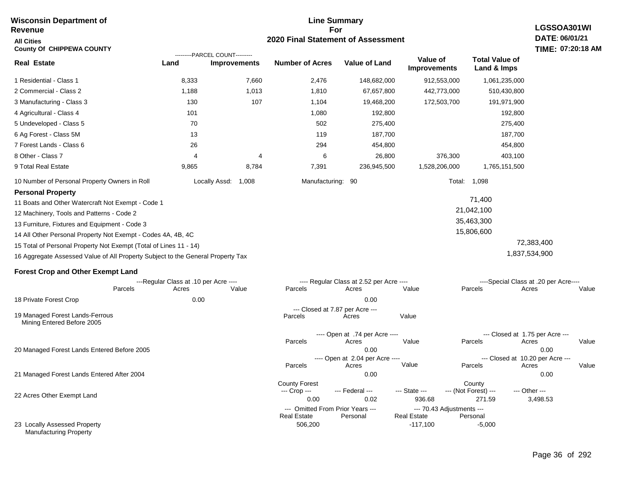#### **Line Summary For 2020 Final Statement of Assessment Wisconsin Department of Revenue All Cities County Of CHIPPEWA COUNTY LGSSOA301WI DATE: 06/01/21 TIME: 07:20:18 AM Real Estate** 1 Residential - Class 1 2 Commercial - Class 2 3 Manufacturing - Class 3 4 Agricultural - Class 4 5 Undeveloped - Class 5 6 Ag Forest - Class 5M 7 Forest Lands - Class 6 8 Other - Class 7 9 Total Real Estate 10 Number of Personal Property Owners in Roll 8,333 7,660 2,476 148,682,000 912,553,000 1,061,235,000 **Land Improvements Number of Acres Value of Land Value of Improvements Total Value of Land & Imps** 1,188 130 101 70 13 26 4 9,865 1,013 107 4 8,784 1,810 1,104 1,080 502 119 294 6 7,391 67,657,800 19,468,200 192,800 275,400 187,700 454,800 26,800 236,945,500 442,773,000 172,503,700 376,300 1,528,206,000 510,430,800 191,971,900 192,800 275,400 187,700 454,800 403,100 1,765,151,500 Locally Assd: 1,008 Manufacturing: 90 Total: 1,098 **Personal Property** 11 Boats and Other Watercraft Not Exempt - Code 1 12 Machinery, Tools and Patterns - Code 2 13 Furniture, Fixtures and Equipment - Code 3 14 All Other Personal Property Not Exempt - Codes 4A, 4B, 4C 15 Total of Personal Property Not Exempt (Total of Lines 11 - 14) 16 Aggregate Assessed Value of All Property Subject to the General Property Tax 71,400 21,042,100 35,463,300 15,806,600 72,383,400 1,837,534,900 **Forest Crop and Other Exempt Land** ---Regular Class at .10 per Acre ---- ---- Regular Class at 2.52 per Acre ---- ----Special Class at .20 per Acre---- 18 Private Forest Crop 20 Managed Forest Lands Entered Before 2005 21 Managed Forest Lands Entered After 2004 Parcels 0.00 0.00 Acres Value Parcels Acres Value Parcels Acres Value ---- Open at .74 per Acre<br>Acres Parcels 0.00 0.00 Acres Value Parcels Acres Value --- Closed at 1.75 per Acre --- ---- Open at 2.04 per Acre ---- --- Closed at 10.20 per Acre --- Parcels 0.00 0.00 Acres **Value Parcels Acres Value** County Forest County County --- Crop --- 0.00 0.02 936.68 271.59 3,498.53 --- Federal --- - --- State --- --- (Not Forest) --- --- Other ---22 Acres Other Exempt Land --- Omitted From Prior Years ---<br>Real Estate Personal Personal Real Estate Personal ---------PARCEL COUNT--------- 19 Managed Forest Lands-Ferrous Mining Entered Before 2005 --- Closed at 7.87 per Acre ---<br>rcels Acres Parcels **Acres** Value

506,200 -117,100 -5,000

**Real Estate** 

23 Locally Assessed Property Manufacturing Property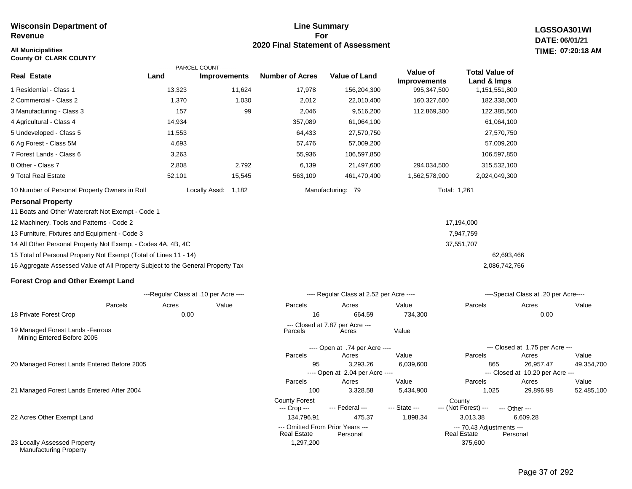#### **All Municipalities TIME:**

**County Of CLARK COUNTY**

#### **Line Summary For 2020 Final Statement of Assessment**

**LGSSOA301WI DATE: 06/01/21 07:20:18 AM**

|                                                                                 |                                       | ---------PARCEL COUNT--------- |                                  |                                          |                                 |                                      |                                           |       |
|---------------------------------------------------------------------------------|---------------------------------------|--------------------------------|----------------------------------|------------------------------------------|---------------------------------|--------------------------------------|-------------------------------------------|-------|
| <b>Real Estate</b>                                                              | Land                                  | <b>Improvements</b>            | <b>Number of Acres</b>           | <b>Value of Land</b>                     | Value of<br><b>Improvements</b> | <b>Total Value of</b><br>Land & Imps |                                           |       |
| 1 Residential - Class 1                                                         | 13,323                                | 11,624                         | 17,978                           | 156,204,300                              | 995,347,500                     | 1,151,551,800                        |                                           |       |
| 2 Commercial - Class 2                                                          | 1,370                                 | 1,030                          | 2,012                            | 22,010,400                               | 160,327,600                     | 182,338,000                          |                                           |       |
| 3 Manufacturing - Class 3                                                       | 157                                   | 99                             | 2,046                            | 9,516,200                                | 112,869,300                     | 122,385,500                          |                                           |       |
| 4 Agricultural - Class 4                                                        | 14,934                                |                                | 357,089                          | 61,064,100                               |                                 | 61,064,100                           |                                           |       |
| 5 Undeveloped - Class 5                                                         | 11,553                                |                                | 64,433                           | 27,570,750                               |                                 | 27,570,750                           |                                           |       |
| 6 Ag Forest - Class 5M                                                          | 4,693                                 |                                | 57,476                           | 57,009,200                               |                                 | 57,009,200                           |                                           |       |
| 7 Forest Lands - Class 6                                                        | 3,263                                 |                                | 55,936                           | 106,597,850                              |                                 | 106,597,850                          |                                           |       |
| 8 Other - Class 7                                                               | 2,808                                 | 2,792                          | 6,139                            | 21,497,600                               | 294,034,500                     | 315,532,100                          |                                           |       |
| 9 Total Real Estate                                                             | 52,101                                | 15,545                         | 563,109                          | 461,470,400                              | 1,562,578,900                   | 2,024,049,300                        |                                           |       |
| 10 Number of Personal Property Owners in Roll                                   |                                       | Locally Assd: 1,182            |                                  | Manufacturing: 79                        |                                 | Total: 1,261                         |                                           |       |
| <b>Personal Property</b>                                                        |                                       |                                |                                  |                                          |                                 |                                      |                                           |       |
| 11 Boats and Other Watercraft Not Exempt - Code 1                               |                                       |                                |                                  |                                          |                                 |                                      |                                           |       |
| 12 Machinery, Tools and Patterns - Code 2                                       |                                       |                                |                                  |                                          |                                 | 17,194,000                           |                                           |       |
| 13 Furniture, Fixtures and Equipment - Code 3                                   |                                       |                                |                                  |                                          |                                 | 7,947,759                            |                                           |       |
| 14 All Other Personal Property Not Exempt - Codes 4A, 4B, 4C                    |                                       |                                |                                  |                                          |                                 | 37,551,707                           |                                           |       |
| 15 Total of Personal Property Not Exempt (Total of Lines 11 - 14)               |                                       |                                |                                  |                                          |                                 | 62,693,466                           |                                           |       |
| 16 Aggregate Assessed Value of All Property Subject to the General Property Tax |                                       |                                |                                  |                                          |                                 | 2,086,742,766                        |                                           |       |
| <b>Forest Crop and Other Exempt Land</b>                                        |                                       |                                |                                  |                                          |                                 |                                      |                                           |       |
|                                                                                 | ---Regular Class at .10 per Acre ---- |                                |                                  | ---- Regular Class at 2.52 per Acre ---- |                                 |                                      | ----Special Class at .20 per Acre----     |       |
| Parcels                                                                         | Acres                                 | Value                          | Parcels                          | Acres                                    | Value                           | Parcels                              | Acres                                     | Value |
| 18 Private Forest Crop                                                          | 0.00                                  |                                | 16                               | 664.59                                   | 734,300                         |                                      | 0.00                                      |       |
| 19 Managed Forest Lands - Ferrous<br>Mining Entered Before 2005                 |                                       |                                | Parcels                          | --- Closed at 7.87 per Acre ---<br>Acres | Value                           |                                      |                                           |       |
|                                                                                 |                                       |                                |                                  | ---- Open at .74 per Acre ----           |                                 |                                      | --- Closed at 1.75 per Acre ---           |       |
|                                                                                 |                                       |                                | Parcels                          | Acres                                    | Value                           | Parcels                              | Acres                                     | Value |
| 20 Managed Forest Lands Entered Before 2005                                     |                                       |                                | 95                               | 3,293.26                                 | 6,039,600                       | 865                                  | 26,957.47                                 | 49,35 |
|                                                                                 |                                       |                                | Parcels                          | ---- Open at 2.04 per Acre ----<br>Acres | Value                           | Parcels                              | --- Closed at 10.20 per Acre ---<br>Acres | Value |
| 21 Managed Forest Lands Entered After 2004                                      |                                       |                                | 100                              | 3,328.58                                 | 5,434,900                       | 1,025                                | 29,896.98                                 | 52,48 |
|                                                                                 |                                       |                                | <b>County Forest</b>             |                                          |                                 | County                               |                                           |       |
| 22 Acres Other Exempt Land                                                      |                                       |                                | --- Crop ---<br>134,796.91       | --- Federal ---<br>475.37                | --- State ---<br>1,898.34       | --- (Not Forest) ---<br>3,013.38     | --- Other ---<br>6,609.28                 |       |
|                                                                                 |                                       |                                | --- Omitted From Prior Years --- |                                          |                                 | --- 70.43 Adjustments ---            |                                           |       |
|                                                                                 |                                       |                                | <b>Real Estate</b>               | Personal                                 |                                 | <b>Real Estate</b>                   | Personal                                  |       |
| 23 Locally Assessed Property                                                    |                                       |                                | 1,297,200                        |                                          |                                 | 375,600                              |                                           |       |

Manufacturing Property

49,354,700

52,485,100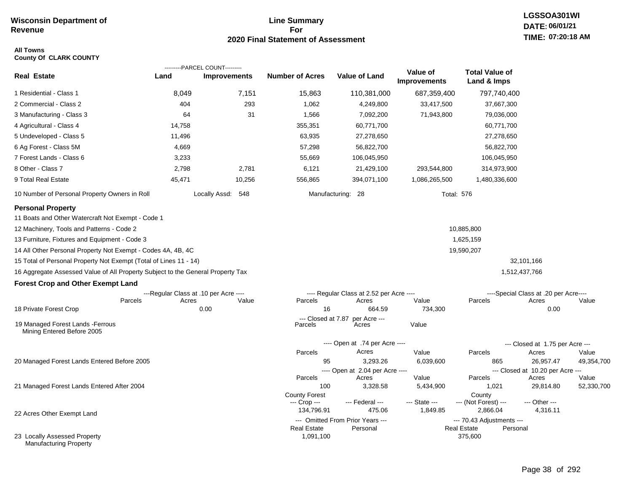#### **Line Summary For 2020 Final Statement of Assessment**

#### **All Towns County Of CLARK COUNTY**

|                                                                                 |        | ---------PARCEL COUNT---------        |                            |                                          |                                 |                                      |                                           |            |
|---------------------------------------------------------------------------------|--------|---------------------------------------|----------------------------|------------------------------------------|---------------------------------|--------------------------------------|-------------------------------------------|------------|
| <b>Real Estate</b>                                                              | Land   | <b>Improvements</b>                   | <b>Number of Acres</b>     | <b>Value of Land</b>                     | Value of<br><b>Improvements</b> | <b>Total Value of</b><br>Land & Imps |                                           |            |
| 1 Residential - Class 1                                                         | 8,049  | 7,151                                 | 15,863                     | 110,381,000                              | 687,359,400                     | 797,740,400                          |                                           |            |
| 2 Commercial - Class 2                                                          | 404    | 293                                   | 1,062                      | 4,249,800                                | 33,417,500                      | 37,667,300                           |                                           |            |
| 3 Manufacturing - Class 3                                                       | 64     | 31                                    | 1,566                      | 7,092,200                                | 71,943,800                      | 79,036,000                           |                                           |            |
| 4 Agricultural - Class 4                                                        | 14,758 |                                       | 355,351                    | 60,771,700                               |                                 | 60,771,700                           |                                           |            |
| 5 Undeveloped - Class 5                                                         | 11,496 |                                       | 63,935                     | 27,278,650                               |                                 | 27,278,650                           |                                           |            |
| 6 Ag Forest - Class 5M                                                          | 4,669  |                                       | 57,298                     | 56,822,700                               |                                 | 56,822,700                           |                                           |            |
| 7 Forest Lands - Class 6                                                        | 3,233  |                                       | 55,669                     | 106,045,950                              |                                 | 106,045,950                          |                                           |            |
| 8 Other - Class 7                                                               | 2,798  | 2,781                                 | 6,121                      | 21,429,100                               | 293,544,800                     | 314,973,900                          |                                           |            |
| 9 Total Real Estate                                                             | 45,471 | 10,256                                | 556,865                    | 394,071,100                              | 1,086,265,500                   | 1,480,336,600                        |                                           |            |
| 10 Number of Personal Property Owners in Roll                                   |        | Locally Assd: 548                     |                            | Manufacturing: 28                        | <b>Total: 576</b>               |                                      |                                           |            |
| <b>Personal Property</b>                                                        |        |                                       |                            |                                          |                                 |                                      |                                           |            |
| 11 Boats and Other Watercraft Not Exempt - Code 1                               |        |                                       |                            |                                          |                                 |                                      |                                           |            |
| 12 Machinery, Tools and Patterns - Code 2                                       |        |                                       |                            |                                          |                                 | 10,885,800                           |                                           |            |
| 13 Furniture, Fixtures and Equipment - Code 3                                   |        |                                       |                            |                                          |                                 | 1,625,159                            |                                           |            |
| 14 All Other Personal Property Not Exempt - Codes 4A, 4B, 4C                    |        |                                       |                            |                                          |                                 | 19,590,207                           |                                           |            |
| 15 Total of Personal Property Not Exempt (Total of Lines 11 - 14)               |        |                                       |                            |                                          |                                 |                                      | 32,101,166                                |            |
| 16 Aggregate Assessed Value of All Property Subject to the General Property Tax |        |                                       |                            |                                          |                                 |                                      | 1,512,437,766                             |            |
| <b>Forest Crop and Other Exempt Land</b>                                        |        |                                       |                            |                                          |                                 |                                      |                                           |            |
|                                                                                 |        | ---Regular Class at .10 per Acre ---- |                            | ---- Regular Class at 2.52 per Acre ---- |                                 |                                      | ----Special Class at .20 per Acre----     |            |
| Parcels                                                                         | Acres  | Value                                 | Parcels                    | Acres                                    | Value                           | Parcels                              | Acres                                     | Value      |
| 18 Private Forest Crop                                                          |        | 0.00                                  | 16<br>--- Closed at 7.87   | 664.59<br>per Acre ---                   | 734,300                         |                                      | 0.00                                      |            |
| 19 Managed Forest Lands - Ferrous<br>Mining Entered Before 2005                 |        |                                       | Parcels                    | Acres                                    | Value                           |                                      |                                           |            |
|                                                                                 |        |                                       |                            | ---- Open at .74 per Acre ----           |                                 |                                      | --- Closed at 1.75 per Acre ---           |            |
|                                                                                 |        |                                       | Parcels                    | Acres                                    | Value                           | Parcels                              | Acres                                     | Value      |
| 20 Managed Forest Lands Entered Before 2005                                     |        |                                       | 95                         | 3,293.26                                 | 6,039,600                       | 865                                  | 26,957.47                                 | 49,354,700 |
|                                                                                 |        |                                       | Parcels                    | ---- Open at 2.04 per Acre ----<br>Acres | Value                           | Parcels                              | --- Closed at 10.20 per Acre ---<br>Acres | Value      |
| 21 Managed Forest Lands Entered After 2004                                      |        |                                       | 100                        | 3,328.58                                 | 5,434,900                       | 1,021                                | 29,814.80                                 | 52,330,700 |
|                                                                                 |        |                                       | <b>County Forest</b>       |                                          |                                 | County                               |                                           |            |
|                                                                                 |        |                                       | --- Crop ---<br>134,796.91 | --- Federal ---<br>475.06                | --- State ---<br>1,849.85       | --- (Not Forest) ---<br>2,866.04     | --- Other ---<br>4,316.11                 |            |
| 22 Acres Other Exempt Land                                                      |        |                                       |                            | --- Omitted From Prior Years ---         |                                 | --- 70.43 Adjustments ---            |                                           |            |
|                                                                                 |        |                                       | <b>Real Estate</b>         | Personal                                 |                                 | <b>Real Estate</b><br>Personal       |                                           |            |
| 23 Locally Assessed Property<br>Manufacturing Property                          |        |                                       | 1,091,100                  |                                          |                                 | 375,600                              |                                           |            |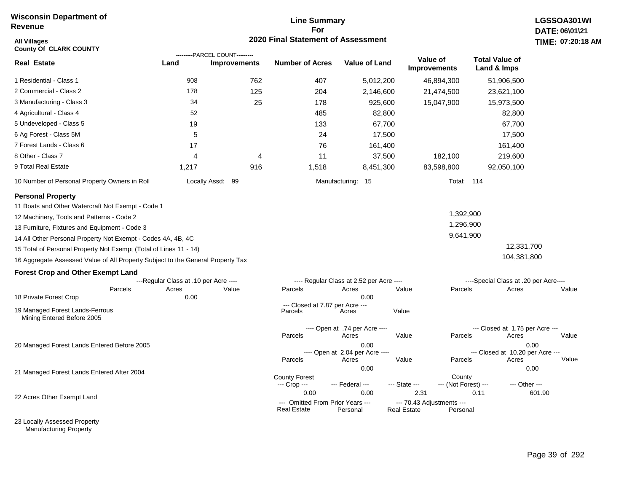#### **Line Summary For 2020 Final Statement of Assessment**

| All Villages<br><b>County Of CLARK COUNTY</b>                                   |                                       | <b>TIME: 07:20</b>                                    |                                                        |                                          |                                                 |                                 |                                          |        |
|---------------------------------------------------------------------------------|---------------------------------------|-------------------------------------------------------|--------------------------------------------------------|------------------------------------------|-------------------------------------------------|---------------------------------|------------------------------------------|--------|
| <b>Real Estate</b>                                                              | Land                                  | ---------PARCEL COUNT---------<br><b>Improvements</b> | <b>Number of Acres</b>                                 | <b>Value of Land</b>                     |                                                 | Value of<br><b>Improvements</b> | <b>Total Value of</b><br>Land & Imps     |        |
| 1 Residential - Class 1                                                         | 908                                   | 762                                                   | 407                                                    | 5,012,200                                |                                                 | 46,894,300                      | 51,906,500                               |        |
| 2 Commercial - Class 2                                                          | 178                                   | 125                                                   | 204                                                    | 2,146,600                                |                                                 | 21,474,500                      | 23,621,100                               |        |
| 3 Manufacturing - Class 3                                                       | 34                                    | 25                                                    | 178                                                    | 925,600                                  |                                                 | 15,047,900                      | 15,973,500                               |        |
| 4 Agricultural - Class 4                                                        | 52                                    |                                                       | 485                                                    | 82,800                                   |                                                 |                                 | 82,800                                   |        |
| 5 Undeveloped - Class 5                                                         | 19                                    |                                                       | 133                                                    | 67,700                                   |                                                 |                                 | 67,700                                   |        |
| 6 Ag Forest - Class 5M                                                          | 5                                     |                                                       | 24                                                     | 17,500                                   |                                                 |                                 | 17,500                                   |        |
| 7 Forest Lands - Class 6                                                        | 17                                    |                                                       | 76                                                     | 161,400                                  |                                                 |                                 | 161,400                                  |        |
| 8 Other - Class 7                                                               | 4                                     | 4                                                     | 11                                                     | 37,500                                   |                                                 | 182,100                         | 219,600                                  |        |
| 9 Total Real Estate                                                             | 1,217                                 | 916                                                   | 1,518                                                  | 8,451,300                                |                                                 | 83,598,800                      | 92,050,100                               |        |
| 10 Number of Personal Property Owners in Roll                                   |                                       | Locally Assd: 99                                      |                                                        | Manufacturing: 15                        |                                                 | Total: 114                      |                                          |        |
| <b>Personal Property</b>                                                        |                                       |                                                       |                                                        |                                          |                                                 |                                 |                                          |        |
| 11 Boats and Other Watercraft Not Exempt - Code 1                               |                                       |                                                       |                                                        |                                          |                                                 |                                 |                                          |        |
| 12 Machinery, Tools and Patterns - Code 2                                       |                                       |                                                       |                                                        |                                          |                                                 | 1,392,900                       |                                          |        |
| 13 Furniture, Fixtures and Equipment - Code 3                                   |                                       |                                                       |                                                        |                                          |                                                 | 1,296,900                       |                                          |        |
| 14 All Other Personal Property Not Exempt - Codes 4A, 4B, 4C                    |                                       |                                                       |                                                        |                                          |                                                 | 9,641,900                       |                                          |        |
| 15 Total of Personal Property Not Exempt (Total of Lines 11 - 14)               |                                       |                                                       |                                                        |                                          |                                                 |                                 | 12,331,700                               |        |
| 16 Aggregate Assessed Value of All Property Subject to the General Property Tax |                                       |                                                       |                                                        |                                          |                                                 |                                 | 104,381,800                              |        |
| <b>Forest Crop and Other Exempt Land</b>                                        |                                       |                                                       |                                                        |                                          |                                                 |                                 |                                          |        |
|                                                                                 | ---Regular Class at .10 per Acre ---- |                                                       |                                                        | ---- Regular Class at 2.52 per Acre ---- |                                                 |                                 | ----Special Class at .20 per Acre----    |        |
| Parcels<br>18 Private Forest Crop                                               | Acres<br>0.00                         | Value                                                 | Parcels                                                | Acres<br>0.00                            | Value                                           | Parcels                         | Acres                                    | Value  |
| 19 Managed Forest Lands-Ferrous<br>Mining Entered Before 2005                   |                                       |                                                       | --- Closed at 7.87 per Acre ---<br>Parcels             | Acres                                    | Value                                           |                                 |                                          |        |
|                                                                                 |                                       |                                                       | Parcels                                                | ---- Open at .74 per Acre ----<br>Acres  | Value                                           | Parcels                         | --- Closed at 1.75 per Acre ---<br>Acres | Value  |
| 20 Managed Forest Lands Entered Before 2005                                     |                                       |                                                       |                                                        | 0.00<br>---- Open at 2.04 per Acre ----  |                                                 |                                 | --- Closed at 10.20 per Acre ---         | 0.00   |
|                                                                                 |                                       |                                                       | Parcels                                                | Acres                                    | Value                                           | Parcels                         | Acres                                    | Value  |
| 21 Managed Forest Lands Entered After 2004                                      |                                       |                                                       |                                                        | 0.00                                     |                                                 |                                 |                                          | 0.00   |
|                                                                                 |                                       |                                                       | <b>County Forest</b><br>--- Crop ---                   | --- Federal ---                          | --- State ---                                   | County<br>--- (Not Forest) ---  | --- Other ---                            |        |
| 22 Acres Other Exempt Land                                                      |                                       |                                                       | 0.00                                                   | 0.00                                     | 2.31                                            |                                 | 0.11                                     | 601.90 |
|                                                                                 |                                       |                                                       | --- Omitted From Prior Years ---<br><b>Real Estate</b> | Personal                                 | --- 70.43 Adjustments ---<br><b>Real Estate</b> | Personal                        |                                          |        |

23 Locally Assessed Property Manufacturing Property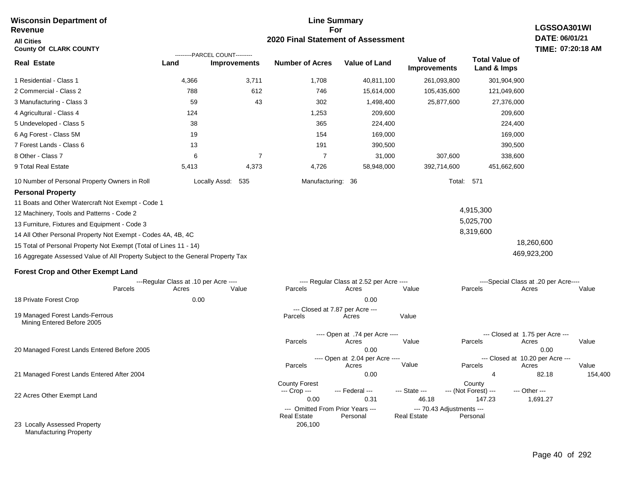#### **For 2020 Final Statement of Assessment Revenue All Cities County Of CLARK COUNTY LGSSOA301WI DATE: 06/01/21 TIME: 07:20:18 AM Real Estate** 1 Residential - Class 1 2 Commercial - Class 2 3 Manufacturing - Class 3 4 Agricultural - Class 4 5 Undeveloped - Class 5 6 Ag Forest - Class 5M 7 Forest Lands - Class 6 8 Other - Class 7 9 Total Real Estate 10 Number of Personal Property Owners in Roll 4,366 3,711 1,708 40,811,100 261,093,800 301,904,900 **Land Improvements Number of Acres Value of Land Value of Improvements Total Value of Land & Imps** 788 59 124 38 19 13 6 5,413 612 43 7 4,373 746 302 1,253 365 154 191 7 4,726 15,614,000 1,498,400 209,600 224,400 169,000 390,500 31,000 58,948,000 105,435,600 25,877,600 307,600 392,714,600 121,049,600 27,376,000 209,600 224,400 169,000 390,500 338,600 451,662,600 Locally Assd: 535 Manufacturing: 36 Total: 571 **Personal Property** 11 Boats and Other Watercraft Not Exempt - Code 1 12 Machinery, Tools and Patterns - Code 2 13 Furniture, Fixtures and Equipment - Code 3 14 All Other Personal Property Not Exempt - Codes 4A, 4B, 4C 15 Total of Personal Property Not Exempt (Total of Lines 11 - 14) 16 Aggregate Assessed Value of All Property Subject to the General Property Tax 4,915,300 5,025,700 8,319,600 18,260,600 469,923,200 **Forest Crop and Other Exempt Land** ---Regular Class at .10 per Acre ---- ---- Regular Class at 2.52 per Acre ---- ----Special Class at .20 per Acre---- 18 Private Forest Crop 20 Managed Forest Lands Entered Before 2005 21 Managed Forest Lands Entered After 2004 Parcels 0.00 0.00 Acres Value Parcels Acres Value Parcels Acres Value ---- Open at .74 per Acre ----<br>Acres Parcels 0.00 0.00 Acres Value Parcels Acres Value --- Closed at 1.75 per Acre --- ---- Open at 2.04 per Acre ---<br>Acres Value Parcels Parcels Acres Acres Parcels 0.00 4 82.18 154,400 Acres **Value Parcels Acres Value** County Forest County County --- Crop --- 0.00 0.31 46.18 147.23 1,691.27 --- Federal --- - --- State --- --- (Not Forest) --- --- Other ---22 Acres Other Exempt Land --- Omitted From Prior Years ---<br>Real Estate Personal Personal Real Estate Personal 206,100 **Real Estate** ---------PARCEL COUNT--------- 19 Managed Forest Lands-Ferrous Mining Entered Before 2005 --- Closed at 7.87 per Acre ---<br>rcels Acres Parcels **Acres** Value

**Line Summary**

23 Locally Assessed Property Manufacturing Property

**Wisconsin Department of**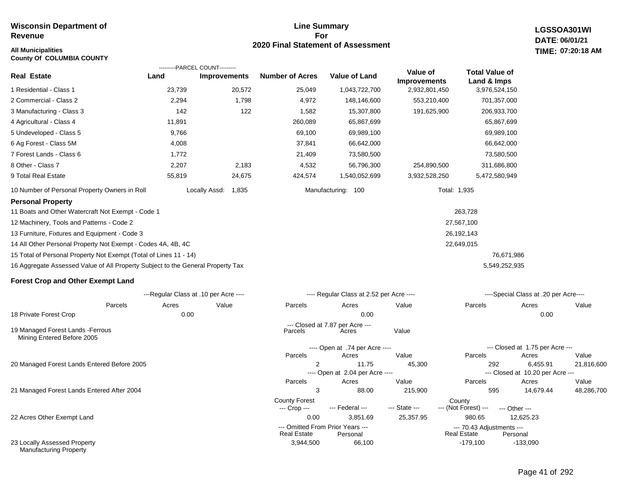## **All Municipalities TIME:**

**County Of COLUMBIA COUNTY**

#### **Line Summary For 2020 Final Statement of Assessment**

**LGSSOA301WI DATE: 06/01/21 07:20:18 AM**

|                                                                                 |                                       | ---------PARCEL COUNT--------- |                        |                                              |                                 |                                          |                                           |            |
|---------------------------------------------------------------------------------|---------------------------------------|--------------------------------|------------------------|----------------------------------------------|---------------------------------|------------------------------------------|-------------------------------------------|------------|
| Real Estate                                                                     | Land                                  | <b>Improvements</b>            | <b>Number of Acres</b> | <b>Value of Land</b>                         | Value of<br><b>Improvements</b> | <b>Total Value of</b><br>Land & Imps     |                                           |            |
| 1 Residential - Class 1                                                         | 23,739                                | 20,572                         | 25,049                 | 1,043,722,700                                | 2,932,801,450                   | 3,976,524,150                            |                                           |            |
| 2 Commercial - Class 2                                                          | 2,294                                 | 1,798                          | 4,972                  | 148,146,600                                  | 553,210,400                     | 701,357,000                              |                                           |            |
| 3 Manufacturing - Class 3                                                       | 142                                   | 122                            | 1,582                  | 15,307,800                                   | 191,625,900                     | 206,933,700                              |                                           |            |
| 4 Agricultural - Class 4                                                        | 11,891                                |                                | 260,089                | 65,867,699                                   |                                 | 65,867,699                               |                                           |            |
| 5 Undeveloped - Class 5                                                         | 9,766                                 |                                | 69,100                 | 69,989,100                                   |                                 | 69,989,100                               |                                           |            |
| 6 Ag Forest - Class 5M                                                          | 4,008                                 |                                | 37,841                 | 66,642,000                                   |                                 | 66,642,000                               |                                           |            |
| 7 Forest Lands - Class 6                                                        | 1,772                                 |                                | 21,409                 | 73,580,500                                   |                                 | 73,580,500                               |                                           |            |
| 8 Other - Class 7                                                               | 2,207                                 | 2,183                          | 4,532                  | 56,796,300                                   | 254,890,500                     | 311,686,800                              |                                           |            |
| 9 Total Real Estate                                                             | 55,819                                | 24,675                         | 424,574                | 1,540,052,699                                | 3,932,528,250                   | 5,472,580,949                            |                                           |            |
| 10 Number of Personal Property Owners in Roll                                   |                                       | Locally Assd: 1,835            |                        | Manufacturing: 100                           |                                 | Total: 1,935                             |                                           |            |
| <b>Personal Property</b>                                                        |                                       |                                |                        |                                              |                                 |                                          |                                           |            |
| 11 Boats and Other Watercraft Not Exempt - Code 1                               |                                       |                                |                        |                                              |                                 | 263,728                                  |                                           |            |
| 12 Machinery, Tools and Patterns - Code 2                                       |                                       |                                |                        |                                              |                                 | 27,567,100                               |                                           |            |
| 13 Furniture, Fixtures and Equipment - Code 3                                   |                                       |                                |                        |                                              |                                 | 26,192,143                               |                                           |            |
| 14 All Other Personal Property Not Exempt - Codes 4A, 4B, 4C                    |                                       |                                |                        |                                              |                                 | 22,649,015                               |                                           |            |
| 15 Total of Personal Property Not Exempt (Total of Lines 11 - 14)               |                                       |                                |                        |                                              |                                 | 76,671,986                               |                                           |            |
| 16 Aggregate Assessed Value of All Property Subject to the General Property Tax |                                       |                                |                        |                                              |                                 | 5,549,252,935                            |                                           |            |
| <b>Forest Crop and Other Exempt Land</b>                                        |                                       |                                |                        |                                              |                                 |                                          |                                           |            |
|                                                                                 | ---Regular Class at .10 per Acre ---- |                                |                        | ---- Regular Class at 2.52 per Acre ----     |                                 |                                          | ----Special Class at .20 per Acre----     |            |
| Parcels                                                                         | Acres                                 | Value                          | Parcels                | Acres                                        | Value                           | Parcels                                  | Acres                                     | Value      |
| 18 Private Forest Crop                                                          | 0.00                                  |                                |                        | 0.00                                         |                                 |                                          | 0.00                                      |            |
| 19 Managed Forest Lands - Ferrous<br>Mining Entered Before 2005                 |                                       |                                | Parcels                | --- Closed at 7.87 per Acre ---<br>Acres     | Value                           |                                          |                                           |            |
|                                                                                 |                                       |                                |                        | ---- Open at .74 per Acre ----               |                                 |                                          | --- Closed at 1.75 per Acre ---           |            |
|                                                                                 |                                       |                                | Parcels                | Acres                                        | Value                           | Parcels                                  | Acres                                     | Value      |
| 20 Managed Forest Lands Entered Before 2005                                     |                                       |                                | 2                      | 11.75                                        | 45,300                          | 292                                      | 6,455.91                                  | 21,816,600 |
|                                                                                 |                                       |                                | Parcels                | ---- Open at 2.04 per Acre ----<br>Acres     | Value                           | Parcels                                  | --- Closed at 10.20 per Acre ---<br>Acres | Value      |
| 21 Managed Forest Lands Entered After 2004                                      |                                       |                                | 3                      | 88.00                                        | 215,900                         | 595                                      | 14,679.44                                 | 48,286,700 |
|                                                                                 |                                       |                                | <b>County Forest</b>   |                                              |                                 | County                                   |                                           |            |
|                                                                                 |                                       |                                | --- Crop ---           | --- Federal ---                              | --- State ---                   | --- (Not Forest) ---                     | --- Other ---                             |            |
| 22 Acres Other Exempt Land                                                      |                                       |                                | 0.00                   | 3,851.69                                     | 25,357.95                       | 980.65                                   | 12,625.23                                 |            |
|                                                                                 |                                       |                                | <b>Real Estate</b>     | --- Omitted From Prior Years ---<br>Personal |                                 | --- 70.43 Adjustments ---<br>Real Estate | Personal                                  |            |
| 23 Locally Assessed Property                                                    |                                       |                                | 3.944.500              | 66.100                                       |                                 | $-179.100$                               | $-133.090$                                |            |

23 Locally Assessed Property Manufacturing Property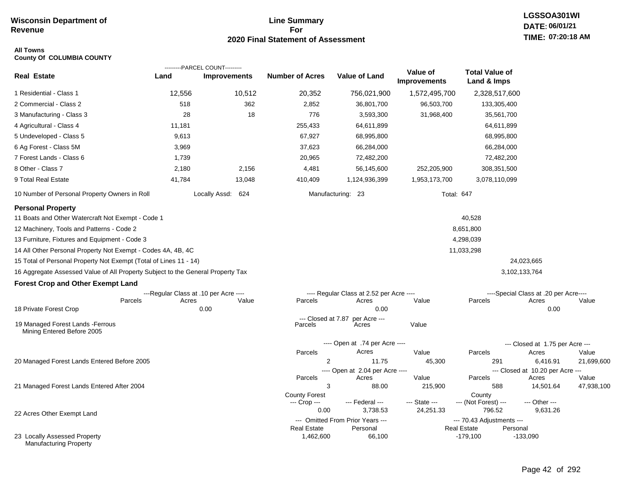#### **Line Summary For 2020 Final Statement of Assessment**

#### **All Towns County Of COLUMBIA COUNTY**

|                                                                                 |                                       | ---------PARCEL COUNT--------- |                                 |                                          |                                 |                                      |                                       |                     |
|---------------------------------------------------------------------------------|---------------------------------------|--------------------------------|---------------------------------|------------------------------------------|---------------------------------|--------------------------------------|---------------------------------------|---------------------|
| <b>Real Estate</b>                                                              | Land                                  | <b>Improvements</b>            | <b>Number of Acres</b>          | <b>Value of Land</b>                     | Value of<br><b>Improvements</b> | <b>Total Value of</b><br>Land & Imps |                                       |                     |
| 1 Residential - Class 1                                                         | 12,556                                | 10,512                         | 20,352                          | 756,021,900                              | 1,572,495,700                   | 2,328,517,600                        |                                       |                     |
| 2 Commercial - Class 2                                                          | 518                                   | 362                            | 2,852                           | 36,801,700                               | 96,503,700                      | 133,305,400                          |                                       |                     |
| 3 Manufacturing - Class 3                                                       | 28                                    | 18                             | 776                             | 3,593,300                                | 31,968,400                      | 35,561,700                           |                                       |                     |
| 4 Agricultural - Class 4                                                        | 11,181                                |                                | 255,433                         | 64,611,899                               |                                 | 64,611,899                           |                                       |                     |
| 5 Undeveloped - Class 5                                                         | 9,613                                 |                                | 67,927                          | 68,995,800                               |                                 | 68,995,800                           |                                       |                     |
| 6 Ag Forest - Class 5M                                                          | 3,969                                 |                                | 37,623                          | 66,284,000                               |                                 | 66,284,000                           |                                       |                     |
| 7 Forest Lands - Class 6                                                        | 1,739                                 |                                | 20,965                          | 72,482,200                               |                                 | 72,482,200                           |                                       |                     |
| 8 Other - Class 7                                                               | 2,180                                 | 2,156                          | 4,481                           | 56,145,600                               | 252,205,900                     | 308,351,500                          |                                       |                     |
| 9 Total Real Estate                                                             | 41,784                                | 13,048                         | 410,409                         | 1,124,936,399                            | 1,953,173,700                   | 3,078,110,099                        |                                       |                     |
| 10 Number of Personal Property Owners in Roll                                   |                                       | Locally Assd: 624              |                                 | Manufacturing: 23                        | <b>Total: 647</b>               |                                      |                                       |                     |
| <b>Personal Property</b>                                                        |                                       |                                |                                 |                                          |                                 |                                      |                                       |                     |
| 11 Boats and Other Watercraft Not Exempt - Code 1                               |                                       |                                |                                 |                                          |                                 | 40,528                               |                                       |                     |
| 12 Machinery, Tools and Patterns - Code 2                                       |                                       |                                |                                 |                                          |                                 | 8,651,800                            |                                       |                     |
| 13 Furniture, Fixtures and Equipment - Code 3                                   |                                       |                                |                                 |                                          |                                 | 4,298,039                            |                                       |                     |
| 14 All Other Personal Property Not Exempt - Codes 4A, 4B, 4C                    |                                       |                                |                                 |                                          |                                 | 11,033,298                           |                                       |                     |
| 15 Total of Personal Property Not Exempt (Total of Lines 11 - 14)               |                                       |                                |                                 |                                          |                                 |                                      | 24,023,665                            |                     |
| 16 Aggregate Assessed Value of All Property Subject to the General Property Tax |                                       |                                |                                 |                                          |                                 |                                      | 3,102,133,764                         |                     |
| <b>Forest Crop and Other Exempt Land</b>                                        |                                       |                                |                                 |                                          |                                 |                                      |                                       |                     |
|                                                                                 | ---Regular Class at .10 per Acre ---- |                                |                                 | ---- Regular Class at 2.52 per Acre ---- |                                 |                                      | ----Special Class at .20 per Acre---- |                     |
| Parcels                                                                         | Acres                                 | Value                          | Parcels                         | Acres                                    | Value                           | Parcels                              | Acres                                 | Value               |
| 18 Private Forest Crop                                                          |                                       | 0.00                           | --- Closed at 7.87              | 0.00                                     |                                 |                                      | 0.00                                  |                     |
| 19 Managed Forest Lands - Ferrous<br>Mining Entered Before 2005                 |                                       |                                | Parcels                         | per Acre ---<br>Acres                    | Value                           |                                      |                                       |                     |
|                                                                                 |                                       |                                |                                 | ---- Open at .74 per Acre ----           |                                 |                                      | --- Closed at 1.75 per Acre ---       |                     |
|                                                                                 |                                       |                                | Parcels                         | Acres                                    | Value                           | Parcels                              | Acres                                 | Value               |
| 20 Managed Forest Lands Entered Before 2005                                     |                                       |                                | 2                               | 11.75                                    | 45,300                          | 291                                  | 6,416.91                              | 21,699,600          |
|                                                                                 |                                       |                                |                                 | ---- Open at 2.04 per Acre ----          |                                 |                                      | --- Closed at 10.20 per Acre ---      |                     |
| 21 Managed Forest Lands Entered After 2004                                      |                                       |                                | Parcels<br>3                    | Acres<br>88.00                           | Value<br>215,900                | Parcels<br>588                       | Acres<br>14,501.64                    | Value<br>47,938,100 |
|                                                                                 |                                       |                                | <b>County Forest</b>            |                                          |                                 | County                               |                                       |                     |
|                                                                                 |                                       |                                | --- Crop ---                    | --- Federal ---                          | --- State ---                   | --- (Not Forest) ---                 | --- Other ---                         |                     |
| 22 Acres Other Exempt Land                                                      |                                       |                                | 0.00                            | 3,738.53                                 | 24,251.33                       | 796.52                               | 9,631.26                              |                     |
|                                                                                 |                                       |                                |                                 | --- Omitted From Prior Years ---         |                                 | --- 70.43 Adjustments ---            |                                       |                     |
| 23 Locally Assessed Property                                                    |                                       |                                | <b>Real Estate</b><br>1,462,600 | Personal<br>66,100                       |                                 | <b>Real Estate</b><br>$-179,100$     | Personal<br>$-133,090$                |                     |
| <b>Manufacturing Property</b>                                                   |                                       |                                |                                 |                                          |                                 |                                      |                                       |                     |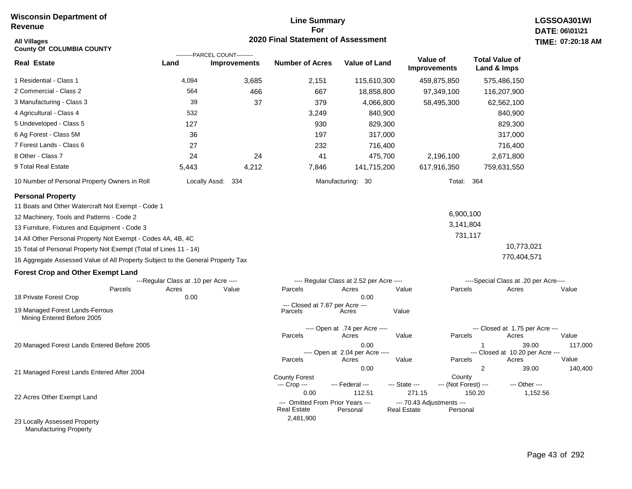#### **Line Summary For 2020 Final Statement of Assessment**

| <b>All Villages</b><br><b>County Of COLUMBIA COUNTY</b>                         |                                       |                                                       | 2020 Final Statement of Assessment                     |                                          |                                                 |                      |                                       |                                           | TIME: 07:20:18 |
|---------------------------------------------------------------------------------|---------------------------------------|-------------------------------------------------------|--------------------------------------------------------|------------------------------------------|-------------------------------------------------|----------------------|---------------------------------------|-------------------------------------------|----------------|
| <b>Real Estate</b>                                                              | Land                                  | ---------PARCEL COUNT---------<br><b>Improvements</b> | <b>Number of Acres</b>                                 | <b>Value of Land</b>                     | Value of<br><b>Improvements</b>                 |                      | <b>Total Value of</b><br>Land & Imps  |                                           |                |
| 1 Residential - Class 1                                                         | 4,094                                 | 3,685                                                 | 2,151                                                  | 115,610,300                              |                                                 | 459,875,850          | 575,486,150                           |                                           |                |
| 2 Commercial - Class 2                                                          | 564                                   | 466                                                   | 667                                                    | 18,858,800                               |                                                 | 97,349,100           | 116,207,900                           |                                           |                |
| 3 Manufacturing - Class 3                                                       | 39                                    | 37                                                    | 379                                                    | 4,066,800                                |                                                 | 58,495,300           | 62,562,100                            |                                           |                |
| 4 Agricultural - Class 4                                                        | 532                                   |                                                       | 3,249                                                  | 840,900                                  |                                                 |                      |                                       | 840,900                                   |                |
| 5 Undeveloped - Class 5                                                         | 127                                   |                                                       | 930                                                    | 829,300                                  |                                                 |                      |                                       | 829,300                                   |                |
| 6 Ag Forest - Class 5M                                                          | 36                                    |                                                       | 197                                                    | 317,000                                  |                                                 |                      |                                       | 317,000                                   |                |
| 7 Forest Lands - Class 6                                                        | 27                                    |                                                       | 232                                                    | 716,400                                  |                                                 |                      |                                       | 716,400                                   |                |
| 8 Other - Class 7                                                               | 24                                    | 24                                                    | 41                                                     | 475,700                                  |                                                 | 2,196,100            |                                       | 2,671,800                                 |                |
| 9 Total Real Estate                                                             | 5,443                                 | 4,212                                                 | 7,846                                                  | 141,715,200                              |                                                 | 617,916,350          | 759,631,550                           |                                           |                |
| 10 Number of Personal Property Owners in Roll                                   |                                       | Locally Assd: 334                                     |                                                        | Manufacturing: 30                        |                                                 | Total: 364           |                                       |                                           |                |
| <b>Personal Property</b><br>11 Boats and Other Watercraft Not Exempt - Code 1   |                                       |                                                       |                                                        |                                          |                                                 |                      |                                       |                                           |                |
| 12 Machinery, Tools and Patterns - Code 2                                       |                                       |                                                       |                                                        |                                          |                                                 | 6,900,100            |                                       |                                           |                |
| 13 Furniture, Fixtures and Equipment - Code 3                                   |                                       |                                                       |                                                        |                                          |                                                 | 3,141,804            |                                       |                                           |                |
| 14 All Other Personal Property Not Exempt - Codes 4A, 4B, 4C                    |                                       |                                                       |                                                        |                                          |                                                 | 731,117              |                                       |                                           |                |
| 15 Total of Personal Property Not Exempt (Total of Lines 11 - 14)               |                                       |                                                       |                                                        |                                          |                                                 |                      |                                       | 10,773,021                                |                |
| 16 Aggregate Assessed Value of All Property Subject to the General Property Tax |                                       |                                                       |                                                        |                                          |                                                 |                      |                                       | 770,404,571                               |                |
| <b>Forest Crop and Other Exempt Land</b>                                        |                                       |                                                       |                                                        |                                          |                                                 |                      |                                       |                                           |                |
|                                                                                 | ---Regular Class at .10 per Acre ---- |                                                       |                                                        | ---- Regular Class at 2.52 per Acre ---- |                                                 |                      | ----Special Class at .20 per Acre---- |                                           |                |
| Parcels<br>18 Private Forest Crop                                               | Acres<br>0.00                         | Value                                                 | Parcels                                                | Acres<br>0.00                            | Value                                           | Parcels              |                                       | Acres                                     | Value          |
| 19 Managed Forest Lands-Ferrous<br>Mining Entered Before 2005                   |                                       |                                                       | --- Closed at 7.87 per Acre ---<br>Parcels             | Acres                                    | Value                                           |                      |                                       |                                           |                |
|                                                                                 |                                       |                                                       |                                                        | ---- Open at .74 per Acre ----           |                                                 |                      |                                       | --- Closed at 1.75 per Acre ---           |                |
|                                                                                 |                                       |                                                       | Parcels                                                | Acres                                    | Value                                           | Parcels              |                                       | Acres                                     | Value          |
| 20 Managed Forest Lands Entered Before 2005                                     |                                       |                                                       |                                                        | 0.00<br>---- Open at 2.04 per Acre ----  |                                                 |                      |                                       | 39.00<br>--- Closed at 10.20 per Acre --- | 117,000        |
|                                                                                 |                                       |                                                       | Parcels                                                | Acres                                    | Value                                           | Parcels              |                                       | Acres                                     | Value          |
| 21 Managed Forest Lands Entered After 2004                                      |                                       |                                                       | <b>County Forest</b>                                   | 0.00                                     |                                                 | County               | 2                                     | 39.00                                     | 140,400        |
|                                                                                 |                                       |                                                       | --- Crop ---<br>0.00                                   | --- Federal ---<br>112.51                | --- State ---<br>271.15                         | --- (Not Forest) --- | 150.20                                | --- Other ---<br>1,152.56                 |                |
| 22 Acres Other Exempt Land                                                      |                                       |                                                       | --- Omitted From Prior Years ---<br><b>Real Estate</b> | Personal                                 | --- 70.43 Adjustments ---<br><b>Real Estate</b> | Personal             |                                       |                                           |                |
| 23 Locally Assessed Property                                                    |                                       |                                                       | 2,481,900                                              |                                          |                                                 |                      |                                       |                                           |                |

Manufacturing Property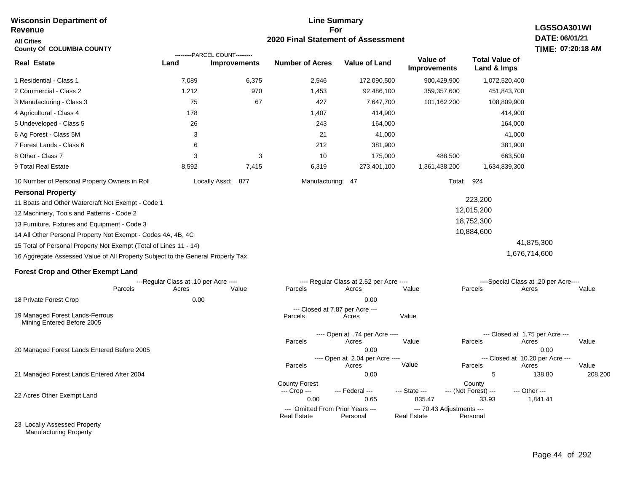#### **Line Summary For 2020 Final Statement of Assessment Wisconsin Department of Revenue All Cities County Of COLUMBIA COUNTY LGSSOA301WI DATE: 06/01/21 TIME: 07:20:18 AM Real Estate** 1 Residential - Class 1 2 Commercial - Class 2 3 Manufacturing - Class 3 4 Agricultural - Class 4 5 Undeveloped - Class 5 6 Ag Forest - Class 5M 7 Forest Lands - Class 6 8 Other - Class 7 9 Total Real Estate 10 Number of Personal Property Owners in Roll 7,089 6,375 2,546 172,090,500 900,429,900 1,072,520,400 **Land Improvements Number of Acres Value of Land Value of Improvements Total Value of Land & Imps** 1,212 75 178 26 3 6 3 8,592 970 67 3 7,415 1,453 427 1,407 243 21 212 10 6,319 92,486,100 7,647,700 414,900 164,000 41,000 381,900 175,000 273,401,100 359,357,600 101,162,200 488,500 1,361,438,200 451,843,700 108,809,900 414,900 164,000 41,000 381,900 663,500 1,634,839,300 Locally Assd: 877 Manufacturing: 47 Total: 924 **Personal Property** 11 Boats and Other Watercraft Not Exempt - Code 1 12 Machinery, Tools and Patterns - Code 2 13 Furniture, Fixtures and Equipment - Code 3 14 All Other Personal Property Not Exempt - Codes 4A, 4B, 4C 15 Total of Personal Property Not Exempt (Total of Lines 11 - 14) 16 Aggregate Assessed Value of All Property Subject to the General Property Tax 223,200 12,015,200 18,752,300 10,884,600 41,875,300 1,676,714,600 **Forest Crop and Other Exempt Land** ---Regular Class at .10 per Acre ---- ---- Regular Class at 2.52 per Acre ---- ----Special Class at .20 per Acre---- 18 Private Forest Crop 20 Managed Forest Lands Entered Before 2005 21 Managed Forest Lands Entered After 2004 Parcels 0.00 0.00 Acres Value Parcels Acres Value Parcels Acres Value ---- Open at .74 per Acre ----<br>Acres Parcels 0.00 0.00 Acres Value Parcels Acres Value --- Closed at 1.75 per Acre --- ---- Open at 2.04 per Acre ---<br>Acres Value Parcels Parcels Acres Acres Parcels 0.00 5 138.80 208,200 Acres **Value Parcels Acres Value** County Forest County County --- Crop --- 0.00 0.65 835.47 33.93 1,841.41 --- Federal --- - --- State --- --- (Not Forest) --- --- Other ---22 Acres Other Exempt Land --- Omitted From Prior Years --- --- --- 70.43 Adjustments ---<br>eal Estate --- --- --- Real Estate --- Personal **Real Estate** ---------PARCEL COUNT--------- 19 Managed Forest Lands-Ferrous Mining Entered Before 2005 --- Closed at 7.87 per Acre ---<br>rcels Acres Parcels **Acres** Value

23 Locally Assessed Property Manufacturing Property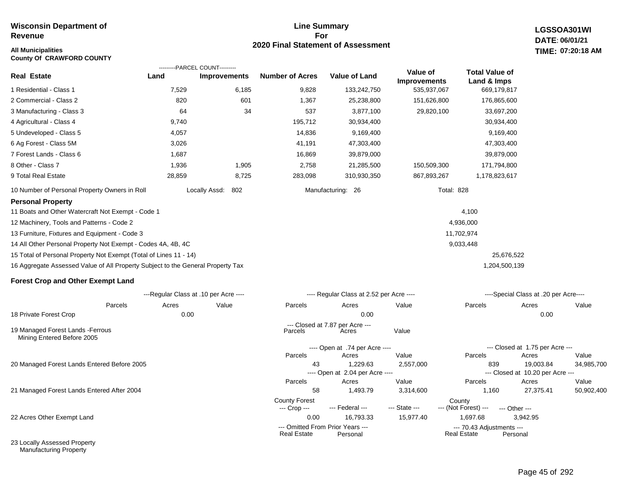#### **Line Summary For 2020 Final Statement of Assessment**

**LGSSOA301WI DATE: 06/01/21 All Municipalities TIME: 07:20:18 AM**

| <b>County Of CRAWFORD COUNTY</b>                                                |                                       |                                |                                      |                                              |               |                                                 |                                               |            |
|---------------------------------------------------------------------------------|---------------------------------------|--------------------------------|--------------------------------------|----------------------------------------------|---------------|-------------------------------------------------|-----------------------------------------------|------------|
|                                                                                 |                                       | ---------PARCEL COUNT--------- |                                      |                                              | Value of      | <b>Total Value of</b>                           |                                               |            |
| <b>Real Estate</b>                                                              | Land                                  | <b>Improvements</b>            | <b>Number of Acres</b>               | <b>Value of Land</b>                         | Improvements  | Land & Imps                                     |                                               |            |
| 1 Residential - Class 1                                                         | 7,529                                 | 6,185                          | 9,828                                | 133,242,750                                  | 535,937,067   | 669,179,817                                     |                                               |            |
| 2 Commercial - Class 2                                                          | 820                                   | 601                            | 1,367                                | 25,238,800                                   | 151,626,800   | 176,865,600                                     |                                               |            |
| 3 Manufacturing - Class 3                                                       | 64                                    | 34                             | 537                                  | 3,877,100                                    | 29,820,100    | 33,697,200                                      |                                               |            |
| 4 Agricultural - Class 4                                                        | 9,740                                 |                                | 195,712                              | 30,934,400                                   |               | 30,934,400                                      |                                               |            |
| 5 Undeveloped - Class 5                                                         | 4,057                                 |                                | 14,836                               | 9,169,400                                    |               | 9,169,400                                       |                                               |            |
| 6 Ag Forest - Class 5M                                                          | 3,026                                 |                                | 41,191                               | 47,303,400                                   |               | 47,303,400                                      |                                               |            |
| 7 Forest Lands - Class 6                                                        | 1,687                                 |                                | 16,869                               | 39,879,000                                   |               | 39,879,000                                      |                                               |            |
| 8 Other - Class 7                                                               | 1,936                                 | 1,905                          | 2,758                                | 21,285,500                                   | 150,509,300   | 171,794,800                                     |                                               |            |
| 9 Total Real Estate                                                             | 28,859                                | 8,725                          | 283,098                              | 310,930,350                                  | 867,893,267   | 1,178,823,617                                   |                                               |            |
| 10 Number of Personal Property Owners in Roll                                   |                                       | Locally Assd:<br>802           |                                      | Manufacturing: 26                            |               | <b>Total: 828</b>                               |                                               |            |
| <b>Personal Property</b>                                                        |                                       |                                |                                      |                                              |               |                                                 |                                               |            |
| 11 Boats and Other Watercraft Not Exempt - Code 1                               |                                       |                                |                                      |                                              |               | 4,100                                           |                                               |            |
| 12 Machinery, Tools and Patterns - Code 2                                       |                                       |                                |                                      |                                              |               | 4,936,000                                       |                                               |            |
| 13 Furniture, Fixtures and Equipment - Code 3                                   |                                       |                                |                                      |                                              |               | 11,702,974                                      |                                               |            |
| 14 All Other Personal Property Not Exempt - Codes 4A, 4B, 4C                    |                                       |                                |                                      |                                              |               | 9,033,448                                       |                                               |            |
| 15 Total of Personal Property Not Exempt (Total of Lines 11 - 14)               |                                       |                                |                                      |                                              |               | 25,676,522                                      |                                               |            |
| 16 Aggregate Assessed Value of All Property Subject to the General Property Tax |                                       |                                |                                      |                                              |               | 1,204,500,139                                   |                                               |            |
| <b>Forest Crop and Other Exempt Land</b>                                        |                                       |                                |                                      |                                              |               |                                                 |                                               |            |
|                                                                                 | ---Regular Class at .10 per Acre ---- |                                |                                      | ---- Regular Class at 2.52 per Acre ----     |               |                                                 | ----Special Class at .20 per Acre----         |            |
| Parcels                                                                         | Acres                                 | Value                          | Parcels                              | Acres                                        | Value         | Parcels                                         | Acres                                         | Value      |
| 18 Private Forest Crop                                                          | 0.00                                  |                                |                                      | 0.00                                         |               |                                                 | 0.00                                          |            |
| 19 Managed Forest Lands - Ferrous<br>Mining Entered Before 2005                 |                                       |                                | Parcels                              | --- Closed at 7.87 per Acre ---<br>Acres     | Value         |                                                 |                                               |            |
|                                                                                 |                                       |                                |                                      | ---- Open at .74 per Acre ----               |               |                                                 | --- Closed at 1.75 per Acre ---               |            |
|                                                                                 |                                       |                                | Parcels                              | Acres                                        | Value         | Parcels                                         | Acres                                         | Value      |
| 20 Managed Forest Lands Entered Before 2005                                     |                                       |                                | 43                                   | 1,229.63<br>---- Open at 2.04 per Acre ----  | 2,557,000     | 839                                             | 19,003.84<br>--- Closed at 10.20 per Acre --- | 34,985,700 |
|                                                                                 |                                       |                                | Parcels                              | Acres                                        | Value         | Parcels                                         | Acres                                         | Value      |
| 21 Managed Forest Lands Entered After 2004                                      |                                       |                                | 58                                   | 1,493.79                                     | 3,314,600     | 1,160                                           | 27,375.41                                     | 50,902,400 |
|                                                                                 |                                       |                                | <b>County Forest</b><br>--- Crop --- | --- Federal ---                              | --- State --- | County<br>--- (Not Forest) ---                  | --- Other ---                                 |            |
| 22 Acres Other Exempt Land                                                      |                                       |                                | 0.00                                 | 16,793.33                                    | 15,977.40     | 1,697.68                                        | 3,942.95                                      |            |
|                                                                                 |                                       |                                | Real Estate                          | --- Omitted From Prior Years ---<br>Personal |               | --- 70.43 Adjustments ---<br><b>Real Estate</b> | Personal                                      |            |

23 Locally Assessed Property Manufacturing Property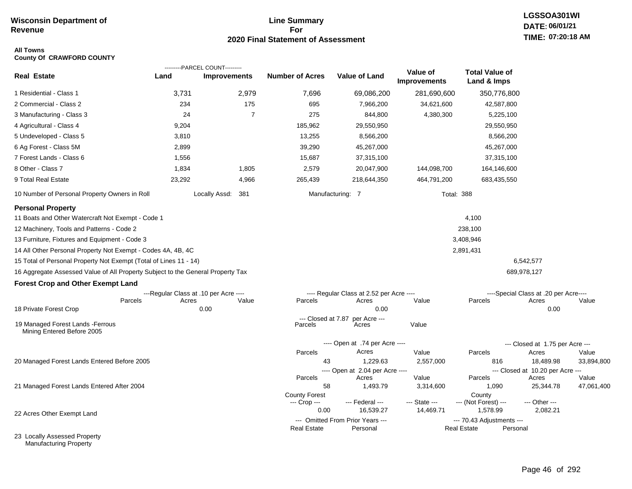#### **Line Summary For 2020 Final Statement of Assessment**

## **LGSSOA301WI DATE: 06/01/21 TIME: 07:20:18 AM**

#### **All Towns County Of CRAWFORD COUNTY**

|                                                                                 |                                       | ---------PARCEL COUNT--------- |                        |                                          |                                 |                                      |                                           |            |
|---------------------------------------------------------------------------------|---------------------------------------|--------------------------------|------------------------|------------------------------------------|---------------------------------|--------------------------------------|-------------------------------------------|------------|
| <b>Real Estate</b>                                                              | Land                                  | <b>Improvements</b>            | <b>Number of Acres</b> | Value of Land                            | Value of<br><b>Improvements</b> | <b>Total Value of</b><br>Land & Imps |                                           |            |
| 1 Residential - Class 1                                                         | 3,731                                 | 2,979                          | 7,696                  | 69,086,200                               | 281,690,600                     | 350,776,800                          |                                           |            |
| 2 Commercial - Class 2                                                          | 234                                   | 175                            | 695                    | 7,966,200                                | 34,621,600                      | 42,587,800                           |                                           |            |
| 3 Manufacturing - Class 3                                                       | 24                                    | $\overline{7}$                 | 275                    | 844,800                                  | 4,380,300                       | 5,225,100                            |                                           |            |
| 4 Agricultural - Class 4                                                        | 9,204                                 |                                | 185,962                | 29,550,950                               |                                 | 29,550,950                           |                                           |            |
| 5 Undeveloped - Class 5                                                         | 3,810                                 |                                | 13,255                 | 8,566,200                                |                                 | 8,566,200                            |                                           |            |
| 6 Ag Forest - Class 5M                                                          | 2,899                                 |                                | 39,290                 | 45,267,000                               |                                 | 45,267,000                           |                                           |            |
| 7 Forest Lands - Class 6                                                        | 1,556                                 |                                | 15,687                 | 37,315,100                               |                                 | 37,315,100                           |                                           |            |
| 8 Other - Class 7                                                               | 1,834                                 | 1,805                          | 2,579                  | 20,047,900                               | 144,098,700                     | 164,146,600                          |                                           |            |
| 9 Total Real Estate                                                             | 23,292                                | 4,966                          | 265,439                | 218,644,350                              | 464,791,200                     | 683,435,550                          |                                           |            |
| 10 Number of Personal Property Owners in Roll                                   |                                       | Locally Assd: 381              |                        | Manufacturing: 7                         |                                 | <b>Total: 388</b>                    |                                           |            |
| <b>Personal Property</b>                                                        |                                       |                                |                        |                                          |                                 |                                      |                                           |            |
| 11 Boats and Other Watercraft Not Exempt - Code 1                               |                                       |                                |                        |                                          |                                 | 4,100                                |                                           |            |
| 12 Machinery, Tools and Patterns - Code 2                                       |                                       |                                |                        |                                          |                                 | 238,100                              |                                           |            |
| 13 Furniture, Fixtures and Equipment - Code 3                                   |                                       |                                |                        |                                          |                                 | 3,408,946                            |                                           |            |
| 14 All Other Personal Property Not Exempt - Codes 4A, 4B, 4C                    |                                       |                                |                        |                                          |                                 | 2,891,431                            |                                           |            |
| 15 Total of Personal Property Not Exempt (Total of Lines 11 - 14)               |                                       |                                |                        |                                          |                                 |                                      | 6,542,577                                 |            |
| 16 Aggregate Assessed Value of All Property Subject to the General Property Tax |                                       |                                |                        |                                          |                                 |                                      | 689,978,127                               |            |
| <b>Forest Crop and Other Exempt Land</b>                                        |                                       |                                |                        |                                          |                                 |                                      |                                           |            |
|                                                                                 | ---Regular Class at .10 per Acre ---- |                                |                        | ---- Regular Class at 2.52 per Acre ---- |                                 |                                      | ----Special Class at .20 per Acre----     |            |
| Parcels                                                                         | Acres                                 | Value                          | Parcels                | Acres<br>0.00                            | Value                           | Parcels                              | Acres                                     | Value      |
| 18 Private Forest Crop                                                          |                                       | 0.00                           | --- Closed at 7.87     | per Acre ---                             |                                 |                                      | 0.00                                      |            |
| 19 Managed Forest Lands - Ferrous<br>Mining Entered Before 2005                 |                                       |                                | Parcels                | Acres                                    | Value                           |                                      |                                           |            |
|                                                                                 |                                       |                                |                        | ---- Open at .74 per Acre ----           |                                 |                                      | --- Closed at 1.75 per Acre ---           |            |
|                                                                                 |                                       |                                | Parcels                | Acres                                    | Value                           | Parcels                              | Acres                                     | Value      |
| 20 Managed Forest Lands Entered Before 2005                                     |                                       |                                | 43                     | 1,229.63                                 | 2,557,000                       | 816                                  | 18,489.98                                 | 33,894,800 |
|                                                                                 |                                       |                                | Parcels                | ---- Open at 2.04 per Acre ----<br>Acres | Value                           | Parcels                              | --- Closed at 10.20 per Acre ---<br>Acres | Value      |
| 21 Managed Forest Lands Entered After 2004                                      |                                       |                                | 58                     | 1,493.79                                 | 3,314,600                       | 1,090                                | 25,344.78                                 | 47,061,400 |
|                                                                                 |                                       |                                | <b>County Forest</b>   |                                          |                                 | County                               |                                           |            |
|                                                                                 |                                       |                                | --- Crop ---<br>0.00   | --- Federal ---<br>16,539.27             | --- State ---<br>14,469.71      | --- (Not Forest) ---<br>1,578.99     | --- Other ---<br>2,082.21                 |            |
| 22 Acres Other Exempt Land                                                      |                                       |                                |                        | --- Omitted From Prior Years ---         |                                 | --- 70.43 Adjustments ---            |                                           |            |
|                                                                                 |                                       |                                | <b>Real Estate</b>     | Personal                                 |                                 | <b>Real Estate</b>                   | Personal                                  |            |
| 22 Locally Accordod Draporty                                                    |                                       |                                |                        |                                          |                                 |                                      |                                           |            |

23 Locally Assessed Property Manufacturing Property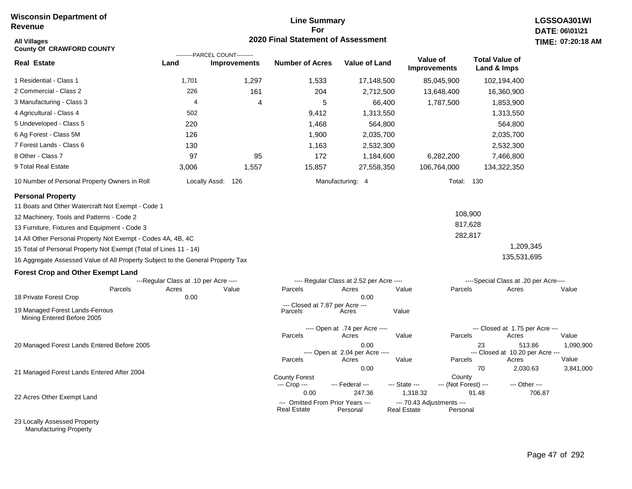#### **Line Summary For 2020 Final Statement of Assessment**

| <b>All Villages</b><br><b>County Of CRAWFORD COUNTY</b>                         |                                       |                                                       | 2020 Final Statement of Assessment                       |                                                  |                                                        |                               |                                                           |        | TIME: 07:20:18     |
|---------------------------------------------------------------------------------|---------------------------------------|-------------------------------------------------------|----------------------------------------------------------|--------------------------------------------------|--------------------------------------------------------|-------------------------------|-----------------------------------------------------------|--------|--------------------|
| <b>Real Estate</b>                                                              | Land                                  | ---------PARCEL COUNT---------<br><b>Improvements</b> | <b>Number of Acres</b>                                   | Value of Land                                    | Value of<br><b>Improvements</b>                        |                               | <b>Total Value of</b><br>Land & Imps                      |        |                    |
| 1 Residential - Class 1                                                         | 1,701                                 | 1,297                                                 | 1,533                                                    | 17,148,500                                       | 85,045,900                                             |                               | 102,194,400                                               |        |                    |
| 2 Commercial - Class 2                                                          | 226                                   | 161                                                   | 204                                                      | 2,712,500                                        | 13,648,400                                             |                               | 16,360,900                                                |        |                    |
| 3 Manufacturing - Class 3                                                       | $\overline{4}$                        | 4                                                     | 5                                                        | 66,400                                           |                                                        | 1,787,500                     | 1,853,900                                                 |        |                    |
| 4 Agricultural - Class 4                                                        | 502                                   |                                                       | 9,412                                                    | 1,313,550                                        |                                                        |                               | 1,313,550                                                 |        |                    |
| 5 Undeveloped - Class 5                                                         | 220                                   |                                                       | 1,468                                                    | 564,800                                          |                                                        |                               | 564,800                                                   |        |                    |
| 6 Ag Forest - Class 5M                                                          | 126                                   |                                                       | 1,900                                                    | 2,035,700                                        |                                                        |                               | 2,035,700                                                 |        |                    |
| 7 Forest Lands - Class 6                                                        | 130                                   |                                                       | 1,163                                                    | 2,532,300                                        |                                                        |                               | 2,532,300                                                 |        |                    |
| 8 Other - Class 7                                                               | 97                                    | 95                                                    | 172                                                      | 1,184,600                                        |                                                        | 6,282,200                     | 7,466,800                                                 |        |                    |
| 9 Total Real Estate                                                             | 3,006                                 | 1,557                                                 | 15,857                                                   | 27,558,350                                       | 106,764,000                                            |                               | 134,322,350                                               |        |                    |
| 10 Number of Personal Property Owners in Roll                                   |                                       | Locally Assd: 126                                     |                                                          | Manufacturing: 4                                 |                                                        | <b>Total: 130</b>             |                                                           |        |                    |
| <b>Personal Property</b>                                                        |                                       |                                                       |                                                          |                                                  |                                                        |                               |                                                           |        |                    |
| 11 Boats and Other Watercraft Not Exempt - Code 1                               |                                       |                                                       |                                                          |                                                  |                                                        |                               |                                                           |        |                    |
| 12 Machinery, Tools and Patterns - Code 2                                       |                                       |                                                       |                                                          |                                                  |                                                        | 108,900                       |                                                           |        |                    |
| 13 Furniture, Fixtures and Equipment - Code 3                                   |                                       |                                                       |                                                          |                                                  |                                                        | 817,628                       |                                                           |        |                    |
| 14 All Other Personal Property Not Exempt - Codes 4A, 4B, 4C                    |                                       |                                                       |                                                          |                                                  |                                                        | 282,817                       |                                                           |        |                    |
| 15 Total of Personal Property Not Exempt (Total of Lines 11 - 14)               |                                       |                                                       |                                                          |                                                  |                                                        |                               | 1,209,345                                                 |        |                    |
| 16 Aggregate Assessed Value of All Property Subject to the General Property Tax |                                       |                                                       |                                                          |                                                  |                                                        |                               | 135,531,695                                               |        |                    |
| <b>Forest Crop and Other Exempt Land</b>                                        |                                       |                                                       |                                                          |                                                  |                                                        |                               |                                                           |        |                    |
|                                                                                 | ---Regular Class at .10 per Acre ---- |                                                       |                                                          | ---- Regular Class at 2.52 per Acre ----         |                                                        |                               | ----Special Class at .20 per Acre----                     |        |                    |
| Parcels<br>18 Private Forest Crop                                               | Acres<br>0.00                         | Value                                                 | Parcels                                                  | Acres<br>0.00                                    | Value                                                  | Parcels                       | Acres                                                     |        | Value              |
| 19 Managed Forest Lands-Ferrous<br>Mining Entered Before 2005                   |                                       |                                                       | --- Closed at 7.87 per Acre ---<br>Parcels               | Acres                                            | Value                                                  |                               |                                                           |        |                    |
|                                                                                 |                                       |                                                       | Parcels                                                  | ---- Open at .74 per Acre ----<br>Acres          | Value                                                  | Parcels                       | --- Closed at 1.75 per Acre ---<br>Acres                  |        | Value              |
| 20 Managed Forest Lands Entered Before 2005                                     |                                       |                                                       | Parcels                                                  | 0.00<br>---- Open at 2.04 per Acre ----<br>Acres | Value                                                  | Parcels                       | 23<br>513.86<br>--- Closed at 10.20 per Acre ---<br>Acres |        | 1,090,900<br>Value |
| 21 Managed Forest Lands Entered After 2004                                      |                                       |                                                       | <b>County Forest</b>                                     | 0.00                                             |                                                        | County                        | 70<br>2,030.63                                            |        | 3,841,000          |
| 22 Acres Other Exempt Land                                                      |                                       |                                                       | --- Crop ---<br>0.00<br>--- Omitted From Prior Years --- | --- Federal ---<br>247.36                        | --- State ---<br>1,318.32<br>--- 70.43 Adjustments --- | --- (Not Forest) ---<br>91.48 | --- Other ---                                             | 706.87 |                    |
|                                                                                 |                                       |                                                       | <b>Real Estate</b>                                       | Personal                                         | <b>Real Estate</b>                                     | Personal                      |                                                           |        |                    |

23 Locally Assessed Property Manufacturing Property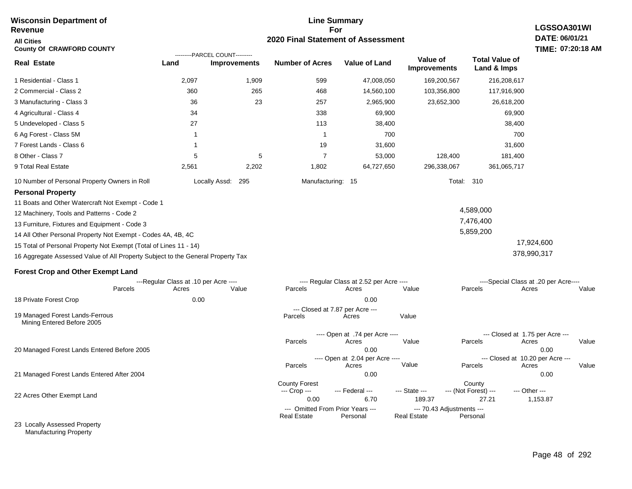| <b>Wisconsin Department of</b><br><b>Revenue</b>                                |                                                |                                                       |                                      | <b>Line Summary</b><br>For                        |                                                 |                                            | LGSSOA301WI                                             |
|---------------------------------------------------------------------------------|------------------------------------------------|-------------------------------------------------------|--------------------------------------|---------------------------------------------------|-------------------------------------------------|--------------------------------------------|---------------------------------------------------------|
| <b>All Cities</b><br><b>County Of CRAWFORD COUNTY</b>                           |                                                |                                                       |                                      | 2020 Final Statement of Assessment                |                                                 |                                            | DATE: 06/01/21<br>TIME: 07:20:18 AM                     |
| <b>Real Estate</b>                                                              | Land                                           | ---------PARCEL COUNT---------<br><b>Improvements</b> | <b>Number of Acres</b>               | <b>Value of Land</b>                              | Value of<br><b>Improvements</b>                 | <b>Total Value of</b><br>Land & Imps       |                                                         |
| 1 Residential - Class 1                                                         | 2,097                                          | 1,909                                                 | 599                                  | 47,008,050                                        | 169,200,567                                     | 216,208,617                                |                                                         |
| 2 Commercial - Class 2                                                          | 360                                            | 265                                                   | 468                                  | 14,560,100                                        | 103,356,800                                     | 117,916,900                                |                                                         |
| 3 Manufacturing - Class 3                                                       | 36                                             | 23                                                    | 257                                  | 2,965,900                                         | 23,652,300                                      | 26,618,200                                 |                                                         |
| 4 Agricultural - Class 4                                                        | 34                                             |                                                       | 338                                  | 69,900                                            |                                                 | 69,900                                     |                                                         |
| 5 Undeveloped - Class 5                                                         | 27                                             |                                                       | 113                                  | 38,400                                            |                                                 | 38,400                                     |                                                         |
| 6 Ag Forest - Class 5M                                                          | -1                                             |                                                       | $\mathbf{1}$                         | 700                                               |                                                 | 700                                        |                                                         |
| 7 Forest Lands - Class 6                                                        | 1                                              |                                                       | 19                                   | 31,600                                            |                                                 | 31,600                                     |                                                         |
| 8 Other - Class 7                                                               | 5                                              | 5                                                     | $\overline{7}$                       | 53,000                                            | 128,400                                         | 181,400                                    |                                                         |
| 9 Total Real Estate                                                             | 2,561                                          | 2,202                                                 | 1,802                                | 64,727,650                                        | 296,338,067                                     | 361,065,717                                |                                                         |
| 10 Number of Personal Property Owners in Roll                                   |                                                | Locally Assd: 295                                     | Manufacturing: 15                    |                                                   |                                                 | <b>Total: 310</b>                          |                                                         |
| <b>Personal Property</b><br>11 Boats and Other Watercraft Not Exempt - Code 1   |                                                |                                                       |                                      |                                                   |                                                 |                                            |                                                         |
| 12 Machinery, Tools and Patterns - Code 2                                       |                                                |                                                       |                                      |                                                   |                                                 | 4,589,000                                  |                                                         |
| 13 Furniture, Fixtures and Equipment - Code 3                                   |                                                |                                                       |                                      |                                                   |                                                 | 7,476,400                                  |                                                         |
| 14 All Other Personal Property Not Exempt - Codes 4A, 4B, 4C                    |                                                |                                                       |                                      |                                                   |                                                 | 5,859,200                                  |                                                         |
| 15 Total of Personal Property Not Exempt (Total of Lines 11 - 14)               |                                                |                                                       |                                      |                                                   |                                                 |                                            | 17,924,600                                              |
| 16 Aggregate Assessed Value of All Property Subject to the General Property Tax |                                                |                                                       |                                      |                                                   |                                                 |                                            | 378,990,317                                             |
| <b>Forest Crop and Other Exempt Land</b>                                        |                                                |                                                       |                                      |                                                   |                                                 |                                            |                                                         |
| Parcels                                                                         | ---Regular Class at .10 per Acre ----<br>Acres | Value                                                 | Parcels                              | ---- Regular Class at 2.52 per Acre ----<br>Acres | Value                                           | Parcels                                    | ----Special Class at .20 per Acre----<br>Acres<br>Value |
| 18 Private Forest Crop                                                          | 0.00                                           |                                                       |                                      | 0.00                                              |                                                 |                                            |                                                         |
| 19 Managed Forest Lands-Ferrous<br>Mining Entered Before 2005                   |                                                |                                                       | Parcels                              | --- Closed at 7.87 per Acre ---<br>Acres          | Value                                           |                                            |                                                         |
|                                                                                 |                                                |                                                       | Parcels                              | ---- Open at .74 per Acre ----<br>Acres           | Value                                           | --- Closed at 1.75 per Acre ---<br>Parcels | Acres<br>Value                                          |
| 20 Managed Forest Lands Entered Before 2005                                     |                                                |                                                       |                                      | 0.00<br>---- Open at 2.04 per Acre ----           |                                                 | --- Closed at 10.20 per Acre ---           | 0.00                                                    |
|                                                                                 |                                                |                                                       | Parcels                              | Acres                                             | Value                                           | Parcels                                    | Acres<br>Value                                          |
| 21 Managed Forest Lands Entered After 2004                                      |                                                |                                                       |                                      | 0.00                                              |                                                 |                                            | 0.00                                                    |
|                                                                                 |                                                |                                                       | <b>County Forest</b><br>--- Crop --- | --- Federal ---                                   | --- State ---                                   | County<br>--- (Not Forest) ---             | --- Other ---                                           |
| 22 Acres Other Exempt Land                                                      |                                                |                                                       | 0.00                                 | 6.70                                              | 189.37                                          | 27.21                                      | 1,153.87                                                |
|                                                                                 |                                                |                                                       | <b>Real Estate</b>                   | --- Omitted From Prior Years ---<br>Personal      | --- 70.43 Adjustments ---<br><b>Real Estate</b> | Personal                                   |                                                         |
| 23 Locally Assessed Property                                                    |                                                |                                                       |                                      |                                                   |                                                 |                                            |                                                         |

Manufacturing Property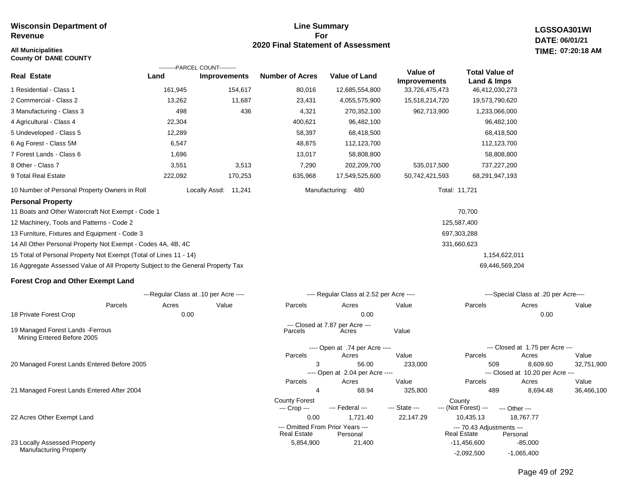#### **All Municipalities TIME: County Of DANE COUNTY**

#### **Line Summary For 2020 Final Statement of Assessment**

**LGSSOA301WI DATE: 06/01/21 07:20:18 AM**

|                                                                                 |         | ---------PARCEL COUNT---------        |                        |                                          |                                 |                                      |                                       |       |
|---------------------------------------------------------------------------------|---------|---------------------------------------|------------------------|------------------------------------------|---------------------------------|--------------------------------------|---------------------------------------|-------|
| <b>Real Estate</b>                                                              | Land    | <b>Improvements</b>                   | <b>Number of Acres</b> | <b>Value of Land</b>                     | Value of<br><b>Improvements</b> | <b>Total Value of</b><br>Land & Imps |                                       |       |
| 1 Residential - Class 1                                                         | 161,945 | 154,617                               | 80,016                 | 12,685,554,800                           | 33,726,475,473                  | 46,412,030,273                       |                                       |       |
| 2 Commercial - Class 2                                                          | 13,262  | 11,687                                | 23,431                 | 4,055,575,900                            | 15,518,214,720                  | 19,573,790,620                       |                                       |       |
| 3 Manufacturing - Class 3                                                       | 498     | 436                                   | 4,321                  | 270,352,100                              | 962,713,900                     | 1,233,066,000                        |                                       |       |
| 4 Agricultural - Class 4                                                        | 22,304  |                                       | 400,621                | 96,482,100                               |                                 | 96,482,100                           |                                       |       |
| 5 Undeveloped - Class 5                                                         | 12,289  |                                       | 58,397                 | 68,418,500                               |                                 | 68,418,500                           |                                       |       |
| 6 Ag Forest - Class 5M                                                          | 6,547   |                                       | 48,875                 | 112,123,700                              |                                 | 112,123,700                          |                                       |       |
| 7 Forest Lands - Class 6                                                        | 1,696   |                                       | 13,017                 | 58,808,800                               |                                 | 58,808,800                           |                                       |       |
| 8 Other - Class 7                                                               | 3,551   | 3,513                                 | 7,290                  | 202,209,700                              | 535,017,500                     | 737,227,200                          |                                       |       |
| 9 Total Real Estate                                                             | 222,092 | 170,253                               | 635,968                | 17,549,525,600                           | 50,742,421,593                  | 68,291,947,193                       |                                       |       |
| 10 Number of Personal Property Owners in Roll                                   |         | Locally Assd:<br>11,241               |                        | Manufacturing: 480                       |                                 | Total: 11,721                        |                                       |       |
| <b>Personal Property</b>                                                        |         |                                       |                        |                                          |                                 |                                      |                                       |       |
| 11 Boats and Other Watercraft Not Exempt - Code 1                               |         |                                       |                        |                                          |                                 | 70,700                               |                                       |       |
| 12 Machinery, Tools and Patterns - Code 2                                       |         |                                       |                        |                                          |                                 | 125,587,400                          |                                       |       |
| 13 Furniture, Fixtures and Equipment - Code 3                                   |         |                                       |                        |                                          |                                 | 697,303,288                          |                                       |       |
| 14 All Other Personal Property Not Exempt - Codes 4A, 4B, 4C                    |         |                                       |                        |                                          |                                 | 331,660,623                          |                                       |       |
| 15 Total of Personal Property Not Exempt (Total of Lines 11 - 14)               |         |                                       |                        |                                          |                                 |                                      | 1,154,622,011                         |       |
| 16 Aggregate Assessed Value of All Property Subject to the General Property Tax |         |                                       |                        |                                          |                                 | 69,446,569,204                       |                                       |       |
| <b>Forest Crop and Other Exempt Land</b>                                        |         |                                       |                        |                                          |                                 |                                      |                                       |       |
|                                                                                 |         | ---Regular Class at .10 per Acre ---- |                        | ---- Regular Class at 2.52 per Acre ---- |                                 |                                      | ----Special Class at .20 per Acre---- |       |
| Parcels                                                                         | Acres   | Value                                 | Parcels                | Acres                                    | Value                           | Parcels                              | Acres                                 | Value |
| 18 Private Forest Crop                                                          | 0.00    |                                       |                        | 0.00                                     |                                 |                                      | 0.00                                  |       |

| 19 Managed Forest Lands - Ferrous |
|-----------------------------------|
|                                   |
| Mining Entered Before 2005        |

20 Managed Forest Lands Entered Before 2005

21 Managed Forest Lands Entered After 2004

22 Acres Other Exempt Land

23 Locally Assessed Property Manufacturing Property

| $- - - -$ |                                                        | ---- Regular Class at 2.52 per Acre ---- |               | ----Special Class at .20 per Acre----           |                                  |            |  |  |  |
|-----------|--------------------------------------------------------|------------------------------------------|---------------|-------------------------------------------------|----------------------------------|------------|--|--|--|
|           | Parcels                                                | Acres                                    | Value         | Parcels                                         | Acres                            | Value      |  |  |  |
|           |                                                        | 0.00                                     |               |                                                 | 0.00                             |            |  |  |  |
|           | Parcels                                                | --- Closed at 7.87 per Acre ---<br>Acres | Value         |                                                 |                                  |            |  |  |  |
|           |                                                        |                                          |               |                                                 |                                  |            |  |  |  |
|           |                                                        | ---- Open at .74 per Acre ----           |               |                                                 | --- Closed at 1.75 per Acre ---  |            |  |  |  |
|           | Parcels                                                | Acres                                    | Value         | Parcels                                         | Acres                            | Value      |  |  |  |
|           | 3                                                      | 56.00                                    | 233,000       | 509                                             | 8,609.60                         | 32,751,900 |  |  |  |
|           |                                                        | ---- Open at 2.04 per Acre ----          |               |                                                 | --- Closed at 10.20 per Acre --- |            |  |  |  |
|           | Parcels                                                | Acres                                    | Value         | Parcels                                         | Acres                            | Value      |  |  |  |
|           | 4                                                      | 68.94                                    | 325,800       | 489                                             | 8,694.48                         | 36,466,100 |  |  |  |
|           | <b>County Forest</b>                                   |                                          |               | County                                          |                                  |            |  |  |  |
|           | --- Crop ---                                           | --- Federal ---                          | --- State --- | --- (Not Forest) ---                            | --- Other ---                    |            |  |  |  |
|           | 0.00                                                   | 1.721.40                                 | 22,147.29     | 10,435.13                                       | 18,767.77                        |            |  |  |  |
|           | --- Omitted From Prior Years ---<br><b>Real Estate</b> | Personal                                 |               | --- 70.43 Adjustments ---<br><b>Real Estate</b> | Personal                         |            |  |  |  |
|           | 5,854,900                                              | 21,400                                   |               | $-11,456,600$                                   | $-85,000$                        |            |  |  |  |
|           |                                                        |                                          |               | $-2,092,500$                                    | $-1,065,400$                     |            |  |  |  |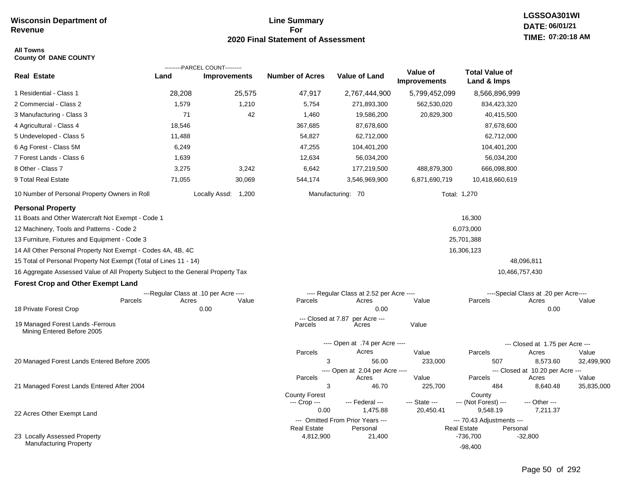#### **Line Summary For 2020 Final Statement of Assessment**

#### **All Towns County Of DANE COUNTY**

|                                                                                 |                                       | ---------PARCEL COUNT--------- |                                      |                                              |                                 |                                                             |                                           |            |
|---------------------------------------------------------------------------------|---------------------------------------|--------------------------------|--------------------------------------|----------------------------------------------|---------------------------------|-------------------------------------------------------------|-------------------------------------------|------------|
| <b>Real Estate</b>                                                              | Land                                  | <b>Improvements</b>            | <b>Number of Acres</b>               | <b>Value of Land</b>                         | Value of<br><b>Improvements</b> | <b>Total Value of</b><br>Land & Imps                        |                                           |            |
| 1 Residential - Class 1                                                         | 28,208                                | 25,575                         | 47,917                               | 2,767,444,900                                | 5,799,452,099                   | 8,566,896,999                                               |                                           |            |
| 2 Commercial - Class 2                                                          | 1,579                                 | 1,210                          | 5,754                                | 271,893,300                                  | 562,530,020                     | 834,423,320                                                 |                                           |            |
| 3 Manufacturing - Class 3                                                       | 71                                    | 42                             | 1,460                                | 19,586,200                                   | 20,829,300                      | 40,415,500                                                  |                                           |            |
| 4 Agricultural - Class 4                                                        | 18,546                                |                                | 367,685                              | 87,678,600                                   |                                 | 87,678,600                                                  |                                           |            |
| 5 Undeveloped - Class 5                                                         | 11,488                                |                                | 54,827                               | 62,712,000                                   |                                 | 62,712,000                                                  |                                           |            |
| 6 Ag Forest - Class 5M                                                          | 6,249                                 |                                | 47,255                               | 104,401,200                                  |                                 | 104,401,200                                                 |                                           |            |
| 7 Forest Lands - Class 6                                                        | 1,639                                 |                                | 12,634                               | 56,034,200                                   |                                 | 56,034,200                                                  |                                           |            |
| 8 Other - Class 7                                                               | 3,275                                 | 3,242                          | 6,642                                | 177,219,500                                  | 488,879,300                     | 666,098,800                                                 |                                           |            |
| 9 Total Real Estate                                                             | 71,055                                | 30,069                         | 544,174                              | 3,546,969,900                                | 6,871,690,719                   | 10,418,660,619                                              |                                           |            |
| 10 Number of Personal Property Owners in Roll                                   |                                       | Locally Assd: 1,200            |                                      | Manufacturing: 70                            |                                 | Total: 1,270                                                |                                           |            |
| <b>Personal Property</b>                                                        |                                       |                                |                                      |                                              |                                 |                                                             |                                           |            |
| 11 Boats and Other Watercraft Not Exempt - Code 1                               |                                       |                                |                                      |                                              |                                 | 16,300                                                      |                                           |            |
| 12 Machinery, Tools and Patterns - Code 2                                       |                                       |                                |                                      |                                              |                                 | 6,073,000                                                   |                                           |            |
| 13 Furniture, Fixtures and Equipment - Code 3                                   |                                       |                                |                                      |                                              |                                 | 25,701,388                                                  |                                           |            |
| 14 All Other Personal Property Not Exempt - Codes 4A, 4B, 4C                    |                                       |                                |                                      |                                              |                                 | 16,306,123                                                  |                                           |            |
| 15 Total of Personal Property Not Exempt (Total of Lines 11 - 14)               |                                       |                                |                                      |                                              |                                 |                                                             | 48,096,811                                |            |
| 16 Aggregate Assessed Value of All Property Subject to the General Property Tax |                                       |                                |                                      |                                              |                                 |                                                             | 10,466,757,430                            |            |
| <b>Forest Crop and Other Exempt Land</b>                                        |                                       |                                |                                      |                                              |                                 |                                                             |                                           |            |
|                                                                                 | ---Regular Class at .10 per Acre ---- |                                |                                      | ---- Regular Class at 2.52 per Acre ----     |                                 |                                                             | ----Special Class at .20 per Acre----     |            |
| Parcels<br>18 Private Forest Crop                                               | Acres                                 | Value<br>0.00                  | Parcels                              | Acres<br>0.00                                | Value                           | Parcels                                                     | Acres<br>0.00                             | Value      |
|                                                                                 |                                       |                                | --- Closed at 7.87                   | per Acre ---                                 |                                 |                                                             |                                           |            |
| 19 Managed Forest Lands - Ferrous<br>Mining Entered Before 2005                 |                                       |                                | Parcels                              | Acres                                        | Value                           |                                                             |                                           |            |
|                                                                                 |                                       |                                |                                      | ---- Open at .74 per Acre ----               |                                 |                                                             | --- Closed at 1.75 per Acre ---           |            |
|                                                                                 |                                       |                                | Parcels                              | Acres                                        | Value                           | Parcels                                                     | Acres                                     | Value      |
| 20 Managed Forest Lands Entered Before 2005                                     |                                       |                                | 3                                    | 56.00                                        | 233,000                         | 507                                                         | 8,573.60                                  | 32,499,900 |
|                                                                                 |                                       |                                | Parcels                              | ---- Open at 2.04 per Acre ----<br>Acres     | Value                           | Parcels                                                     | --- Closed at 10.20 per Acre ---<br>Acres | Value      |
| 21 Managed Forest Lands Entered After 2004                                      |                                       |                                | 3                                    | 46.70                                        | 225,700                         | 484                                                         | 8,640.48                                  | 35,835,000 |
|                                                                                 |                                       |                                | <b>County Forest</b><br>--- Crop --- | --- Federal ---                              | --- State ---                   | County<br>--- (Not Forest) ---                              | --- Other ---                             |            |
| 22 Acres Other Exempt Land                                                      |                                       |                                | 0.00                                 | 1,475.88                                     | 20,450.41                       | 9,548.19                                                    | 7,211.37                                  |            |
|                                                                                 |                                       |                                | Real Estate                          | --- Omitted From Prior Years ---<br>Personal |                                 | --- 70.43 Adjustments ---<br><b>Real Estate</b><br>Personal |                                           |            |
| 23 Locally Assessed Property                                                    |                                       |                                | 4,812,900                            | 21,400                                       |                                 | -736,700                                                    | -32,800                                   |            |
| <b>Manufacturing Property</b>                                                   |                                       |                                |                                      |                                              |                                 | $-98,400$                                                   |                                           |            |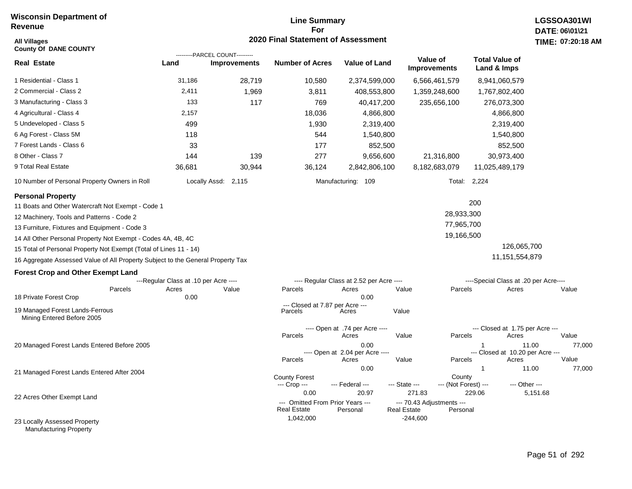## **Line Summary For 2020 Final Statement of Assessment All Villages TIME:**

| <b>County Of DANE COUNTY</b>                                                    |                                       | ---------PARCEL COUNT--------- |                                            |                                          |                                                 |                                       |                                           |                 |
|---------------------------------------------------------------------------------|---------------------------------------|--------------------------------|--------------------------------------------|------------------------------------------|-------------------------------------------------|---------------------------------------|-------------------------------------------|-----------------|
| Real Estate                                                                     | Land                                  | <b>Improvements</b>            | <b>Number of Acres</b>                     | <b>Value of Land</b>                     | Value of<br><b>Improvements</b>                 | <b>Total Value of</b><br>Land & Imps  |                                           |                 |
| 1 Residential - Class 1                                                         | 31,186                                | 28,719                         | 10,580                                     | 2,374,599,000                            | 6,566,461,579                                   | 8,941,060,579                         |                                           |                 |
| 2 Commercial - Class 2                                                          | 2,411                                 | 1,969                          | 3,811                                      | 408,553,800                              | 1,359,248,600                                   | 1,767,802,400                         |                                           |                 |
| 3 Manufacturing - Class 3                                                       | 133                                   | 117                            | 769                                        | 40,417,200                               | 235,656,100                                     | 276,073,300                           |                                           |                 |
| 4 Agricultural - Class 4                                                        | 2,157                                 |                                | 18,036                                     | 4,866,800                                |                                                 | 4,866,800                             |                                           |                 |
| 5 Undeveloped - Class 5                                                         | 499                                   |                                | 1,930                                      | 2,319,400                                |                                                 | 2,319,400                             |                                           |                 |
| 6 Ag Forest - Class 5M                                                          | 118                                   |                                | 544                                        | 1,540,800                                |                                                 | 1,540,800                             |                                           |                 |
| 7 Forest Lands - Class 6                                                        | 33                                    |                                | 177                                        | 852,500                                  |                                                 |                                       | 852,500                                   |                 |
| 8 Other - Class 7                                                               | 144                                   | 139                            | 277                                        | 9,656,600                                | 21,316,800                                      | 30,973,400                            |                                           |                 |
| 9 Total Real Estate                                                             | 36,681                                | 30,944                         | 36,124                                     | 2,842,806,100                            | 8,182,683,079                                   | 11,025,489,179                        |                                           |                 |
| 10 Number of Personal Property Owners in Roll                                   |                                       | Locally Assd: 2,115            |                                            | Manufacturing: 109                       |                                                 | Total: 2,224                          |                                           |                 |
| <b>Personal Property</b><br>11 Boats and Other Watercraft Not Exempt - Code 1   |                                       |                                |                                            |                                          |                                                 | 200                                   |                                           |                 |
| 12 Machinery, Tools and Patterns - Code 2                                       |                                       |                                |                                            |                                          | 28,933,300                                      |                                       |                                           |                 |
| 13 Furniture, Fixtures and Equipment - Code 3                                   |                                       |                                |                                            |                                          | 77,965,700                                      |                                       |                                           |                 |
| 14 All Other Personal Property Not Exempt - Codes 4A, 4B, 4C                    |                                       |                                |                                            |                                          | 19,166,500                                      |                                       |                                           |                 |
| 15 Total of Personal Property Not Exempt (Total of Lines 11 - 14)               |                                       |                                |                                            |                                          |                                                 |                                       | 126,065,700                               |                 |
| 16 Aggregate Assessed Value of All Property Subject to the General Property Tax |                                       |                                |                                            |                                          |                                                 |                                       | 11, 151, 554, 879                         |                 |
| <b>Forest Crop and Other Exempt Land</b>                                        |                                       |                                |                                            |                                          |                                                 |                                       |                                           |                 |
|                                                                                 | ---Regular Class at .10 per Acre ---- |                                |                                            | ---- Regular Class at 2.52 per Acre ---- |                                                 | ----Special Class at .20 per Acre---- |                                           |                 |
| Parcels<br>18 Private Forest Crop                                               | Acres<br>0.00                         | Value                          | Parcels                                    | Acres<br>0.00                            | Parcels<br>Value                                |                                       | Acres                                     | Value           |
| 19 Managed Forest Lands-Ferrous<br>Mining Entered Before 2005                   |                                       |                                | --- Closed at 7.87 per Acre ---<br>Parcels | Acres                                    | Value                                           |                                       |                                           |                 |
|                                                                                 |                                       |                                | Parcels                                    | ---- Open at .74 per Acre ----<br>Acres  | Value<br>Parcels                                |                                       | --- Closed at 1.75 per Acre ---<br>Acres  | Value           |
| 20 Managed Forest Lands Entered Before 2005                                     |                                       |                                |                                            | 0.00<br>---- Open at 2.04 per Acre ----  |                                                 |                                       | 11.00<br>--- Closed at 10.20 per Acre --- | 77,000<br>Value |
| 21 Managed Forest Lands Entered After 2004                                      |                                       |                                | Parcels                                    | Acres<br>0.00                            | Value<br>Parcels                                | 1                                     | Acres<br>11.00                            | 77,000          |
|                                                                                 |                                       |                                | <b>County Forest</b><br>--- Crop ---       | --- Federal ---                          | County<br>--- State ---<br>--- (Not Forest) --- |                                       | --- Other ---                             |                 |
| 22 Acres Other Exempt Land                                                      |                                       |                                | 0.00<br>--- Omitted From Prior Years ---   | 20.97                                    | 271.83<br>--- 70.43 Adjustments ---             | 229.06                                | 5,151.68                                  |                 |
| 23 Locally Assessed Property                                                    |                                       |                                | <b>Real Estate</b><br>1,042,000            | Personal                                 | <b>Real Estate</b><br>Personal<br>$-244,600$    |                                       |                                           |                 |

Manufacturing Property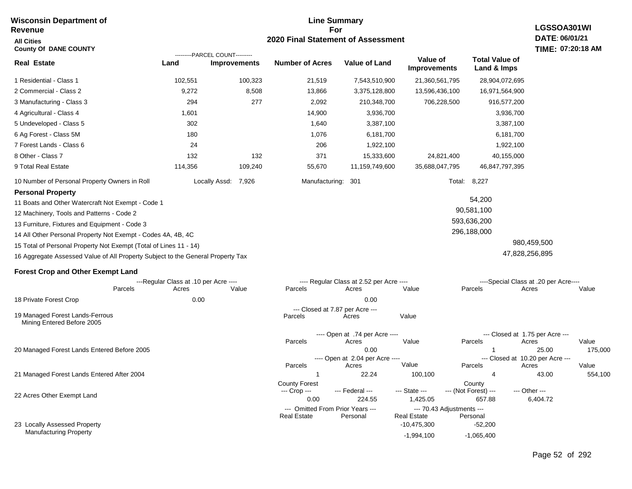#### **Wisconsin Department of Revenue All Cities County Of DANE COUNTY**

#### **Line Summary For 2020 Final Statement of Assessment**

## **LGSSOA301WI DATE: 06/01/21 TIME: 07:20:18 AM**

|                                                                                 | ---------PARCEL COUNT---------        |                     |                                            |                                          |                                 |                                      |                                           |         |
|---------------------------------------------------------------------------------|---------------------------------------|---------------------|--------------------------------------------|------------------------------------------|---------------------------------|--------------------------------------|-------------------------------------------|---------|
| <b>Real Estate</b>                                                              | Land                                  | <b>Improvements</b> | <b>Number of Acres</b>                     | <b>Value of Land</b>                     | Value of<br><b>Improvements</b> | <b>Total Value of</b><br>Land & Imps |                                           |         |
| 1 Residential - Class 1                                                         | 102,551                               | 100,323             | 21,519                                     | 7,543,510,900                            | 21,360,561,795                  | 28,904,072,695                       |                                           |         |
| 2 Commercial - Class 2                                                          | 9,272                                 | 8,508               | 13,866                                     | 3,375,128,800                            | 13,596,436,100                  | 16,971,564,900                       |                                           |         |
| 3 Manufacturing - Class 3                                                       | 294                                   | 277                 | 2,092                                      | 210,348,700                              | 706,228,500                     | 916,577,200                          |                                           |         |
| 4 Agricultural - Class 4                                                        | 1,601                                 |                     | 14,900                                     | 3,936,700                                |                                 | 3,936,700                            |                                           |         |
| 5 Undeveloped - Class 5                                                         | 302                                   |                     | 1,640                                      | 3,387,100                                |                                 | 3,387,100                            |                                           |         |
| 6 Ag Forest - Class 5M                                                          | 180                                   |                     | 1,076                                      | 6,181,700                                |                                 | 6,181,700                            |                                           |         |
| 7 Forest Lands - Class 6                                                        | 24                                    |                     | 206                                        | 1,922,100                                |                                 | 1,922,100                            |                                           |         |
| 8 Other - Class 7                                                               | 132                                   | 132                 | 371                                        | 15,333,600                               | 24,821,400                      | 40,155,000                           |                                           |         |
| 9 Total Real Estate                                                             | 114,356                               | 109,240             | 55,670                                     | 11,159,749,600                           | 35,688,047,795                  | 46,847,797,395                       |                                           |         |
| 10 Number of Personal Property Owners in Roll                                   | Locally Assd:                         | 7,926               | Manufacturing:                             | 301                                      | Total:                          | 8,227                                |                                           |         |
| <b>Personal Property</b>                                                        |                                       |                     |                                            |                                          |                                 |                                      |                                           |         |
| 11 Boats and Other Watercraft Not Exempt - Code 1                               |                                       |                     |                                            |                                          |                                 | 54,200                               |                                           |         |
| 12 Machinery, Tools and Patterns - Code 2                                       |                                       |                     |                                            |                                          |                                 | 90,581,100                           |                                           |         |
| 13 Furniture, Fixtures and Equipment - Code 3                                   |                                       |                     |                                            |                                          |                                 | 593,636,200                          |                                           |         |
| 14 All Other Personal Property Not Exempt - Codes 4A, 4B, 4C                    |                                       |                     |                                            |                                          |                                 | 296,188,000                          |                                           |         |
| 15 Total of Personal Property Not Exempt (Total of Lines 11 - 14)               |                                       |                     |                                            |                                          |                                 |                                      | 980,459,500                               |         |
| 16 Aggregate Assessed Value of All Property Subject to the General Property Tax |                                       |                     |                                            |                                          |                                 |                                      | 47,828,256,895                            |         |
| <b>Forest Crop and Other Exempt Land</b>                                        |                                       |                     |                                            |                                          |                                 |                                      |                                           |         |
|                                                                                 | ---Regular Class at .10 per Acre ---- |                     |                                            | ---- Regular Class at 2.52 per Acre ---- |                                 |                                      | ----Special Class at .20 per Acre----     |         |
| Parcels                                                                         | Acres                                 | Value               | Parcels                                    | Acres                                    | Value                           | Parcels                              | Acres                                     | Value   |
| 18 Private Forest Crop                                                          | 0.00                                  |                     |                                            | 0.00                                     |                                 |                                      |                                           |         |
| 19 Managed Forest Lands-Ferrous<br>Mining Entered Before 2005                   |                                       |                     | --- Closed at 7.87 per Acre ---<br>Parcels | Acres                                    | Value                           |                                      |                                           |         |
|                                                                                 |                                       |                     |                                            | ---- Open at .74 per Acre ----           |                                 |                                      | --- Closed at 1.75 per Acre ---           |         |
|                                                                                 |                                       |                     | Parcels                                    | Acres                                    | Value                           | Parcels                              | Acres                                     | Value   |
| 20 Managed Forest Lands Entered Before 2005                                     |                                       |                     |                                            | 0.00<br>---- Open at 2.04 per Acre ----  |                                 |                                      | 25.00<br>--- Closed at 10.20 per Acre --- | 175,000 |
|                                                                                 |                                       |                     | Parcels                                    | Acres                                    | Value                           | Parcels                              | Acres                                     | Value   |

--- Crop ---

21 Managed Forest Lands Entered After 2004

22 Acres Other Exempt Land

23 Locally Assessed Property Manufacturing Property

Page 52 of 292

1 22.24 100,100 4 43.00 554,100

 0.00 224.55 1,425.05 657.88 6,404.72 --- Federal --- - --- State --- --- (Not Forest) --- --- Other ---

**Real Estate** 

-10,475,300 -52,200 -1,994,100 -1,065,400

County Forest **County** County

--- Omitted From Prior Years --- --- 70.43 Adjustments ---<br>Real Estate Personal Real Estate Personal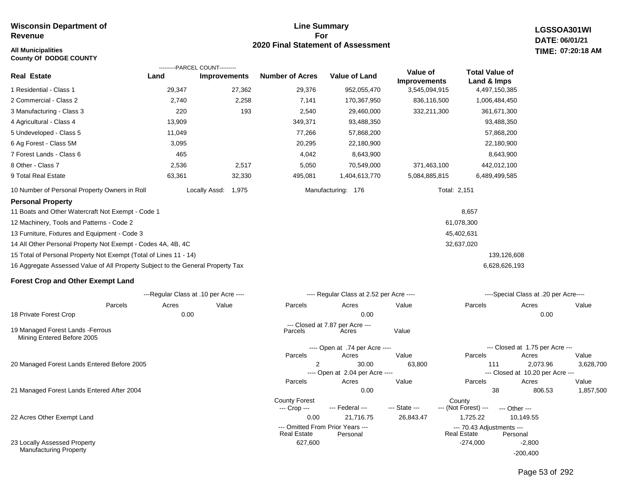#### **All Municipalities TIME:**

**County Of DODGE COUNTY**

#### **Line Summary For 2020 Final Statement of Assessment**

**LGSSOA301WI DATE: 06/01/21 07:20:18 AM**

|                                                                                 | ---------PARCEL COUNT---------        |                     |                                  |                                          |                                 |                                       |                                       |                    |
|---------------------------------------------------------------------------------|---------------------------------------|---------------------|----------------------------------|------------------------------------------|---------------------------------|---------------------------------------|---------------------------------------|--------------------|
| <b>Real Estate</b>                                                              | Land                                  | <b>Improvements</b> | <b>Number of Acres</b>           | <b>Value of Land</b>                     | Value of<br><b>Improvements</b> | <b>Total Value of</b><br>Land & Imps  |                                       |                    |
| 1 Residential - Class 1                                                         | 29,347                                | 27,362              | 29,376                           | 952,055,470                              | 3,545,094,915                   | 4,497,150,385                         |                                       |                    |
| 2 Commercial - Class 2                                                          | 2,740                                 | 2,258               | 7,141                            | 170,367,950                              | 836,116,500                     | 1,006,484,450                         |                                       |                    |
| 3 Manufacturing - Class 3                                                       | 220                                   | 193                 | 2,540                            | 29,460,000                               | 332,211,300                     |                                       | 361,671,300                           |                    |
| 4 Agricultural - Class 4                                                        | 13,909                                |                     | 349,371                          | 93,488,350                               |                                 |                                       | 93,488,350                            |                    |
| 5 Undeveloped - Class 5                                                         | 11,049                                |                     | 77,266                           | 57,868,200                               |                                 |                                       | 57,868,200                            |                    |
| 6 Ag Forest - Class 5M                                                          | 3,095                                 |                     | 20,295                           | 22,180,900                               |                                 |                                       | 22,180,900                            |                    |
| 7 Forest Lands - Class 6                                                        | 465                                   |                     | 4,042                            | 8,643,900                                |                                 |                                       | 8,643,900                             |                    |
| 8 Other - Class 7                                                               | 2,536                                 | 2,517               | 5,050                            | 70,549,000                               | 371,463,100                     |                                       | 442,012,100                           |                    |
| 9 Total Real Estate                                                             | 63,361                                | 32,330              | 495,081                          | 1,404,613,770                            | 5,084,885,815                   | 6,489,499,585                         |                                       |                    |
| 10 Number of Personal Property Owners in Roll                                   |                                       | Locally Assd: 1,975 |                                  | Manufacturing: 176                       |                                 | Total: 2,151                          |                                       |                    |
| <b>Personal Property</b>                                                        |                                       |                     |                                  |                                          |                                 |                                       |                                       |                    |
| 11 Boats and Other Watercraft Not Exempt - Code 1                               |                                       |                     |                                  |                                          |                                 | 8,657                                 |                                       |                    |
| 12 Machinery, Tools and Patterns - Code 2                                       |                                       |                     |                                  |                                          |                                 | 61,078,300                            |                                       |                    |
| 13 Furniture, Fixtures and Equipment - Code 3                                   |                                       |                     |                                  |                                          |                                 | 45,402,631                            |                                       |                    |
| 14 All Other Personal Property Not Exempt - Codes 4A, 4B, 4C                    |                                       |                     |                                  |                                          |                                 | 32,637,020                            |                                       |                    |
| 15 Total of Personal Property Not Exempt (Total of Lines 11 - 14)               |                                       |                     |                                  |                                          |                                 |                                       | 139,126,608                           |                    |
| 16 Aggregate Assessed Value of All Property Subject to the General Property Tax |                                       |                     |                                  |                                          |                                 |                                       | 6,628,626,193                         |                    |
| <b>Forest Crop and Other Exempt Land</b>                                        |                                       |                     |                                  |                                          |                                 |                                       |                                       |                    |
|                                                                                 | ---Regular Class at .10 per Acre ---- |                     |                                  | ---- Regular Class at 2.52 per Acre ---- |                                 |                                       | ----Special Class at .20 per Acre---- |                    |
| Parcels                                                                         | Acres                                 | Value               | Parcels                          | Acres                                    | Value                           | Parcels                               | Acres                                 | Value              |
| 18 Private Forest Crop                                                          | 0.00                                  |                     |                                  | 0.00                                     |                                 |                                       | 0.00                                  |                    |
| 19 Managed Forest Lands -Ferrous<br>Mining Entered Before 2005                  |                                       |                     | Parcels                          | --- Closed at 7.87 per Acre ---<br>Acres | Value                           |                                       |                                       |                    |
|                                                                                 |                                       |                     |                                  | ---- Open at .74 per Acre ----           |                                 |                                       | --- Closed at 1.75 per Acre ---       |                    |
|                                                                                 |                                       |                     | Parcels                          | Acres                                    | Value                           | Parcels                               | Acres                                 | Value              |
| 20 Managed Forest Lands Entered Before 2005                                     |                                       |                     | 2                                | 30.00                                    | 63,800                          | 111                                   | 2,073.96                              | 3,628,700          |
|                                                                                 |                                       |                     |                                  | ---- Open at 2.04 per Acre ----          |                                 |                                       | --- Closed at 10.20 per Acre ---      |                    |
| 21 Managed Forest Lands Entered After 2004                                      |                                       |                     | Parcels                          | Acres<br>0.00                            | Value                           | Parcels<br>38                         | Acres<br>806.53                       | Value<br>1,857,500 |
|                                                                                 |                                       |                     | <b>County Forest</b>             |                                          |                                 | County                                |                                       |                    |
|                                                                                 |                                       |                     | --- Crop ---<br>0.00             | --- Federal ---                          | --- State ---                   | --- (Not Forest) ---                  | --- Other ---                         |                    |
| 22 Acres Other Exempt Land                                                      |                                       |                     | --- Omitted From Prior Years --- | 21,716.75                                | 26,843.47                       | 1,725.22<br>--- 70.43 Adjustments --- | 10,149.55                             |                    |
|                                                                                 |                                       |                     | <b>Real Estate</b>               | Personal                                 |                                 | <b>Real Estate</b>                    | Personal                              |                    |
| 23 Locally Assessed Property                                                    |                                       |                     | 627,600                          |                                          |                                 | $-274,000$                            | -2,800                                |                    |

Manufacturing Property

Page 53 of 292

-200,400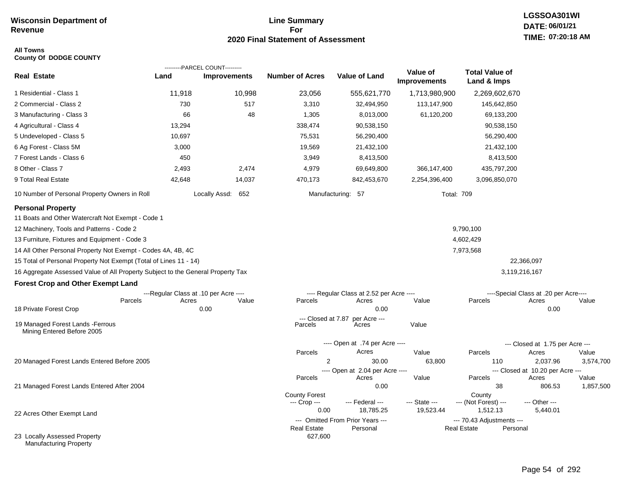#### **Line Summary For 2020 Final Statement of Assessment**

#### **All Towns County Of DODGE COUNTY**

|                                                                                 |        | ---------PARCEL COUNT---------        |                        |                                          |                                 |                                      |                                           |           |
|---------------------------------------------------------------------------------|--------|---------------------------------------|------------------------|------------------------------------------|---------------------------------|--------------------------------------|-------------------------------------------|-----------|
| <b>Real Estate</b>                                                              | Land   | <b>Improvements</b>                   | <b>Number of Acres</b> | Value of Land                            | Value of<br><b>Improvements</b> | <b>Total Value of</b><br>Land & Imps |                                           |           |
| 1 Residential - Class 1                                                         | 11,918 | 10,998                                | 23,056                 | 555,621,770                              | 1,713,980,900                   | 2,269,602,670                        |                                           |           |
| 2 Commercial - Class 2                                                          | 730    | 517                                   | 3,310                  | 32,494,950                               | 113,147,900                     | 145,642,850                          |                                           |           |
| 3 Manufacturing - Class 3                                                       | 66     | 48                                    | 1,305                  | 8,013,000                                | 61,120,200                      | 69,133,200                           |                                           |           |
| 4 Agricultural - Class 4                                                        | 13,294 |                                       | 338,474                | 90,538,150                               |                                 | 90,538,150                           |                                           |           |
| 5 Undeveloped - Class 5                                                         | 10,697 |                                       | 75,531                 | 56,290,400                               |                                 | 56,290,400                           |                                           |           |
| 6 Ag Forest - Class 5M                                                          | 3,000  |                                       | 19,569                 | 21,432,100                               |                                 | 21,432,100                           |                                           |           |
| 7 Forest Lands - Class 6                                                        | 450    |                                       | 3,949                  | 8,413,500                                |                                 | 8,413,500                            |                                           |           |
| 8 Other - Class 7                                                               | 2,493  | 2,474                                 | 4,979                  | 69,649,800                               | 366, 147, 400                   | 435,797,200                          |                                           |           |
| 9 Total Real Estate                                                             | 42,648 | 14,037                                | 470,173                | 842,453,670                              | 2,254,396,400                   | 3,096,850,070                        |                                           |           |
| 10 Number of Personal Property Owners in Roll                                   |        | Locally Assd: 652                     |                        | Manufacturing: 57                        |                                 | <b>Total: 709</b>                    |                                           |           |
| <b>Personal Property</b><br>11 Boats and Other Watercraft Not Exempt - Code 1   |        |                                       |                        |                                          |                                 |                                      |                                           |           |
| 12 Machinery, Tools and Patterns - Code 2                                       |        |                                       |                        |                                          |                                 | 9,790,100                            |                                           |           |
| 13 Furniture, Fixtures and Equipment - Code 3                                   |        |                                       |                        |                                          |                                 | 4,602,429                            |                                           |           |
| 14 All Other Personal Property Not Exempt - Codes 4A, 4B, 4C                    |        |                                       |                        |                                          |                                 | 7,973,568                            |                                           |           |
| 15 Total of Personal Property Not Exempt (Total of Lines 11 - 14)               |        |                                       |                        |                                          |                                 |                                      | 22,366,097                                |           |
| 16 Aggregate Assessed Value of All Property Subject to the General Property Tax |        |                                       |                        |                                          |                                 |                                      | 3,119,216,167                             |           |
| <b>Forest Crop and Other Exempt Land</b>                                        |        |                                       |                        |                                          |                                 |                                      |                                           |           |
|                                                                                 |        | ---Regular Class at .10 per Acre ---- |                        | ---- Regular Class at 2.52 per Acre ---- |                                 |                                      | ----Special Class at .20 per Acre----     |           |
| Parcels                                                                         | Acres  | Value                                 | Parcels                | Acres                                    | Value                           | Parcels                              | Acres                                     | Value     |
| 18 Private Forest Crop                                                          |        | 0.00                                  | --- Closed at 7.87     | 0.00                                     |                                 |                                      | 0.00                                      |           |
| 19 Managed Forest Lands - Ferrous<br>Mining Entered Before 2005                 |        |                                       | Parcels                | per Acre ---<br>Acres                    | Value                           |                                      |                                           |           |
|                                                                                 |        |                                       |                        | ---- Open at .74 per Acre ----           |                                 |                                      | --- Closed at 1.75 per Acre ---           |           |
|                                                                                 |        |                                       | Parcels                | Acres                                    | Value                           | Parcels                              | Acres                                     | Value     |
| 20 Managed Forest Lands Entered Before 2005                                     |        |                                       | 2                      | 30.00                                    | 63,800                          | 110                                  | 2,037.96                                  | 3,574,700 |
|                                                                                 |        |                                       | Parcels                | ---- Open at 2.04 per Acre ----<br>Acres | Value                           | Parcels                              | --- Closed at 10.20 per Acre ---<br>Acres | Value     |
| 21 Managed Forest Lands Entered After 2004                                      |        |                                       |                        | 0.00                                     |                                 | 38                                   | 806.53                                    | 1,857,500 |
|                                                                                 |        |                                       | <b>County Forest</b>   |                                          |                                 | County                               |                                           |           |
|                                                                                 |        |                                       | --- Crop ---<br>0.00   | --- Federal ---<br>18,785.25             | --- State ---<br>19,523.44      | --- (Not Forest) ---<br>1,512.13     | --- Other ---<br>5,440.01                 |           |
| 22 Acres Other Exempt Land                                                      |        |                                       |                        | --- Omitted From Prior Years ---         |                                 | --- 70.43 Adjustments ---            |                                           |           |
|                                                                                 |        |                                       | <b>Real Estate</b>     | Personal                                 |                                 | <b>Real Estate</b><br>Personal       |                                           |           |
| 23 Locally Assessed Property<br>Manufacturing Property                          |        |                                       | 627,600                |                                          |                                 |                                      |                                           |           |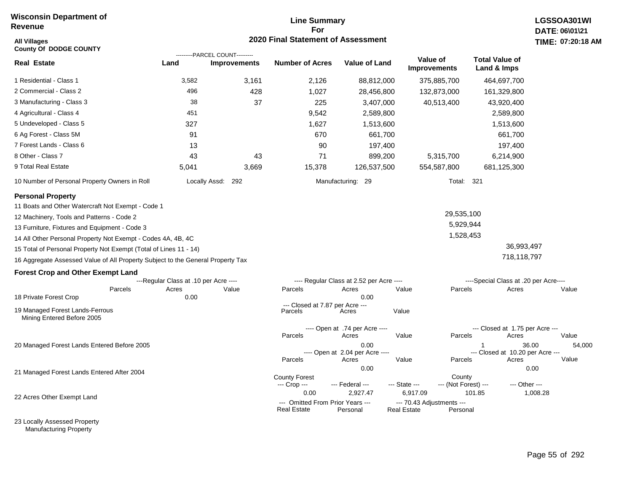#### **Line Summary For 2020 Final Statement of Assessment**

| <b>All Villages</b><br><b>County Of DODGE COUNTY</b>                            |                                       |                                                       | <b>2020 Final Statement of Assessment</b>              |                                          |                                                 |                                       | TIME: 07:20:18  |
|---------------------------------------------------------------------------------|---------------------------------------|-------------------------------------------------------|--------------------------------------------------------|------------------------------------------|-------------------------------------------------|---------------------------------------|-----------------|
| <b>Real Estate</b>                                                              | Land                                  | ---------PARCEL COUNT---------<br><b>Improvements</b> | <b>Number of Acres</b>                                 | <b>Value of Land</b>                     | Value of<br><b>Improvements</b>                 | <b>Total Value of</b><br>Land & Imps  |                 |
| 1 Residential - Class 1                                                         | 3,582                                 | 3,161                                                 | 2,126                                                  | 88,812,000                               | 375,885,700                                     | 464,697,700                           |                 |
| 2 Commercial - Class 2                                                          | 496                                   | 428                                                   | 1,027                                                  | 28,456,800                               | 132,873,000                                     | 161,329,800                           |                 |
| 3 Manufacturing - Class 3                                                       | 38                                    | 37                                                    | 225                                                    | 3,407,000                                | 40,513,400                                      | 43,920,400                            |                 |
| 4 Agricultural - Class 4                                                        | 451                                   |                                                       | 9,542                                                  | 2,589,800                                |                                                 | 2,589,800                             |                 |
| 5 Undeveloped - Class 5                                                         | 327                                   |                                                       | 1,627                                                  | 1,513,600                                |                                                 | 1,513,600                             |                 |
| 6 Ag Forest - Class 5M                                                          | 91                                    |                                                       | 670                                                    | 661,700                                  |                                                 | 661,700                               |                 |
| 7 Forest Lands - Class 6                                                        | 13                                    |                                                       | 90                                                     | 197,400                                  |                                                 | 197,400                               |                 |
| 8 Other - Class 7                                                               | 43                                    | 43                                                    | 71                                                     | 899,200                                  | 5,315,700                                       | 6,214,900                             |                 |
| 9 Total Real Estate                                                             | 5,041                                 | 3,669                                                 | 15,378                                                 | 126,537,500                              | 554,587,800                                     | 681,125,300                           |                 |
| 10 Number of Personal Property Owners in Roll                                   |                                       | Locally Assd: 292                                     |                                                        | Manufacturing: 29                        |                                                 | Total: 321                            |                 |
| <b>Personal Property</b>                                                        |                                       |                                                       |                                                        |                                          |                                                 |                                       |                 |
| 11 Boats and Other Watercraft Not Exempt - Code 1                               |                                       |                                                       |                                                        |                                          |                                                 |                                       |                 |
| 12 Machinery, Tools and Patterns - Code 2                                       |                                       |                                                       |                                                        |                                          |                                                 | 29,535,100                            |                 |
| 13 Furniture, Fixtures and Equipment - Code 3                                   |                                       |                                                       |                                                        |                                          |                                                 | 5,929,944                             |                 |
| 14 All Other Personal Property Not Exempt - Codes 4A, 4B, 4C                    |                                       |                                                       |                                                        |                                          |                                                 | 1,528,453                             |                 |
| 15 Total of Personal Property Not Exempt (Total of Lines 11 - 14)               |                                       |                                                       |                                                        |                                          |                                                 |                                       | 36,993,497      |
| 16 Aggregate Assessed Value of All Property Subject to the General Property Tax |                                       |                                                       |                                                        |                                          |                                                 |                                       | 718,118,797     |
| <b>Forest Crop and Other Exempt Land</b>                                        |                                       |                                                       |                                                        |                                          |                                                 |                                       |                 |
|                                                                                 | ---Regular Class at .10 per Acre ---- |                                                       |                                                        | ---- Regular Class at 2.52 per Acre ---- |                                                 | ----Special Class at .20 per Acre---- |                 |
| Parcels                                                                         | Acres                                 | Value                                                 | Parcels                                                | Acres<br>0.00                            | Value                                           | Parcels<br>Acres                      | Value           |
| 18 Private Forest Crop                                                          | 0.00                                  |                                                       | --- Closed at 7.87 per Acre ---                        |                                          |                                                 |                                       |                 |
| 19 Managed Forest Lands-Ferrous<br>Mining Entered Before 2005                   |                                       |                                                       | Parcels                                                | Acres                                    | Value                                           |                                       |                 |
|                                                                                 |                                       |                                                       |                                                        | ---- Open at .74 per Acre ----           |                                                 | --- Closed at 1.75 per Acre ---       |                 |
|                                                                                 |                                       |                                                       | Parcels                                                | Acres                                    | Value                                           | Parcels<br>Acres                      | Value           |
| 20 Managed Forest Lands Entered Before 2005                                     |                                       |                                                       |                                                        | 0.00<br>---- Open at 2.04 per Acre ----  |                                                 | --- Closed at 10.20 per Acre ---      | 36.00<br>54,000 |
|                                                                                 |                                       |                                                       | Parcels                                                | Acres                                    | Value                                           | Parcels<br>Acres                      | Value           |
| 21 Managed Forest Lands Entered After 2004                                      |                                       |                                                       |                                                        | 0.00                                     |                                                 |                                       | 0.00            |
|                                                                                 |                                       |                                                       | <b>County Forest</b><br>--- Crop ---                   | --- Federal ---                          | --- State ---                                   | County<br>--- (Not Forest) ---        | --- Other ---   |
| 22 Acres Other Exempt Land                                                      |                                       |                                                       | 0.00                                                   | 2,927.47                                 | 6,917.09                                        | 101.85                                | 1,008.28        |
|                                                                                 |                                       |                                                       | --- Omitted From Prior Years ---<br><b>Real Estate</b> | Personal                                 | --- 70.43 Adjustments ---<br><b>Real Estate</b> | Personal                              |                 |

23 Locally Assessed Property Manufacturing Property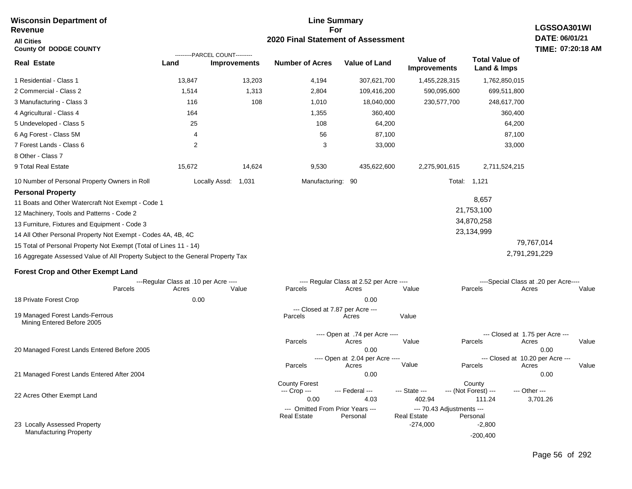| Revenue                                                                                                                                                                                                                                                                                                                                                                                             | movullanı bupurunun ur                         |                                                       |                                              |                                                   | ∟nno oannnar y<br>For                                         |                                                 |                                                         |  |  |  |
|-----------------------------------------------------------------------------------------------------------------------------------------------------------------------------------------------------------------------------------------------------------------------------------------------------------------------------------------------------------------------------------------------------|------------------------------------------------|-------------------------------------------------------|----------------------------------------------|---------------------------------------------------|---------------------------------------------------------------|-------------------------------------------------|---------------------------------------------------------|--|--|--|
| <b>All Cities</b>                                                                                                                                                                                                                                                                                                                                                                                   |                                                |                                                       | 2020 Final Statement of Assessment           |                                                   |                                                               |                                                 | LGSSOA301WI<br>DATE: 06/01/21                           |  |  |  |
| <b>County Of DODGE COUNTY</b>                                                                                                                                                                                                                                                                                                                                                                       |                                                |                                                       |                                              |                                                   |                                                               |                                                 | TIME: 07:20:18 AM                                       |  |  |  |
| <b>Real Estate</b>                                                                                                                                                                                                                                                                                                                                                                                  | Land                                           | ---------PARCEL COUNT---------<br><b>Improvements</b> | <b>Number of Acres</b>                       | <b>Value of Land</b>                              | Value of<br><b>Improvements</b>                               | <b>Total Value of</b><br>Land & Imps            |                                                         |  |  |  |
| 1 Residential - Class 1                                                                                                                                                                                                                                                                                                                                                                             | 13,847                                         | 13,203                                                | 4,194                                        | 307,621,700                                       | 1,455,228,315                                                 | 1,762,850,015                                   |                                                         |  |  |  |
| 2 Commercial - Class 2                                                                                                                                                                                                                                                                                                                                                                              | 1,514                                          | 1,313                                                 | 2,804                                        | 109,416,200                                       | 590,095,600                                                   | 699,511,800                                     |                                                         |  |  |  |
| 3 Manufacturing - Class 3                                                                                                                                                                                                                                                                                                                                                                           | 116                                            | 108                                                   | 1,010                                        | 18,040,000                                        | 230,577,700                                                   | 248,617,700                                     |                                                         |  |  |  |
| 4 Agricultural - Class 4                                                                                                                                                                                                                                                                                                                                                                            | 164                                            |                                                       | 1,355                                        | 360,400                                           |                                                               | 360,400                                         |                                                         |  |  |  |
| 5 Undeveloped - Class 5                                                                                                                                                                                                                                                                                                                                                                             | 25                                             |                                                       | 108                                          | 64,200                                            |                                                               | 64,200                                          |                                                         |  |  |  |
| 6 Ag Forest - Class 5M                                                                                                                                                                                                                                                                                                                                                                              | 4                                              |                                                       | 56                                           | 87,100                                            |                                                               | 87,100                                          |                                                         |  |  |  |
| 7 Forest Lands - Class 6<br>8 Other - Class 7                                                                                                                                                                                                                                                                                                                                                       | 2                                              |                                                       | 3                                            | 33,000                                            |                                                               | 33,000                                          |                                                         |  |  |  |
| 9 Total Real Estate                                                                                                                                                                                                                                                                                                                                                                                 | 15,672                                         | 14,624                                                | 9,530                                        | 435,622,600                                       | 2,275,901,615                                                 | 2,711,524,215                                   |                                                         |  |  |  |
| 10 Number of Personal Property Owners in Roll                                                                                                                                                                                                                                                                                                                                                       |                                                | Locally Assd:<br>1,031                                | Manufacturing: 90                            |                                                   |                                                               | Total: 1,121                                    |                                                         |  |  |  |
| <b>Personal Property</b><br>11 Boats and Other Watercraft Not Exempt - Code 1<br>12 Machinery, Tools and Patterns - Code 2<br>13 Furniture, Fixtures and Equipment - Code 3<br>14 All Other Personal Property Not Exempt - Codes 4A, 4B, 4C<br>15 Total of Personal Property Not Exempt (Total of Lines 11 - 14)<br>16 Aggregate Assessed Value of All Property Subject to the General Property Tax |                                                |                                                       |                                              |                                                   |                                                               | 8,657<br>21,753,100<br>34,870,258<br>23,134,999 | 79,767,014<br>2,791,291,229                             |  |  |  |
| <b>Forest Crop and Other Exempt Land</b>                                                                                                                                                                                                                                                                                                                                                            |                                                |                                                       |                                              |                                                   |                                                               |                                                 |                                                         |  |  |  |
| Parcels                                                                                                                                                                                                                                                                                                                                                                                             | ---Regular Class at .10 per Acre ----<br>Acres | Value                                                 | Parcels                                      | ---- Regular Class at 2.52 per Acre ----<br>Acres | Value                                                         | Parcels                                         | ----Special Class at .20 per Acre----<br>Value<br>Acres |  |  |  |
| 18 Private Forest Crop                                                                                                                                                                                                                                                                                                                                                                              | 0.00                                           |                                                       |                                              | 0.00                                              |                                                               |                                                 |                                                         |  |  |  |
| 19 Managed Forest Lands-Ferrous<br>Mining Entered Before 2005                                                                                                                                                                                                                                                                                                                                       |                                                |                                                       | Parcels                                      | --- Closed at 7.87 per Acre ---<br>Acres          | Value                                                         |                                                 |                                                         |  |  |  |
| 20 Managed Forest Lands Entered Before 2005                                                                                                                                                                                                                                                                                                                                                         |                                                |                                                       | Parcels                                      | ---- Open at .74 per Acre ----<br>Acres<br>0.00   | Value                                                         | --- Closed at 1.75 per Acre ---<br>Parcels      | Acres<br>Value<br>0.00                                  |  |  |  |
|                                                                                                                                                                                                                                                                                                                                                                                                     |                                                |                                                       | Parcels                                      | ---- Open at 2.04 per Acre ----<br>Acres          | Value                                                         | --- Closed at 10.20 per Acre ---<br>Parcels     | Value<br>Acres                                          |  |  |  |
| 21 Managed Forest Lands Entered After 2004                                                                                                                                                                                                                                                                                                                                                          |                                                |                                                       |                                              | 0.00                                              |                                                               |                                                 | 0.00                                                    |  |  |  |
| 22 Acres Other Exempt Land                                                                                                                                                                                                                                                                                                                                                                          |                                                |                                                       | <b>County Forest</b><br>--- Crop ---<br>0.00 | --- Federal ---<br>4.03                           | --- State ---<br>402.94                                       | County<br>--- (Not Forest) ---<br>111.24        | --- Other ---<br>3,701.26                               |  |  |  |
| 23 Locally Assessed Property<br><b>Manufacturing Property</b>                                                                                                                                                                                                                                                                                                                                       |                                                |                                                       | <b>Real Estate</b>                           | --- Omitted From Prior Years ---<br>Personal      | --- 70.43 Adjustments ---<br><b>Real Estate</b><br>$-274,000$ | Personal<br>$-2,800$<br>$-200,400$              |                                                         |  |  |  |

**Line Summary**

**Wisconsin Department of** 

Page 56 of 292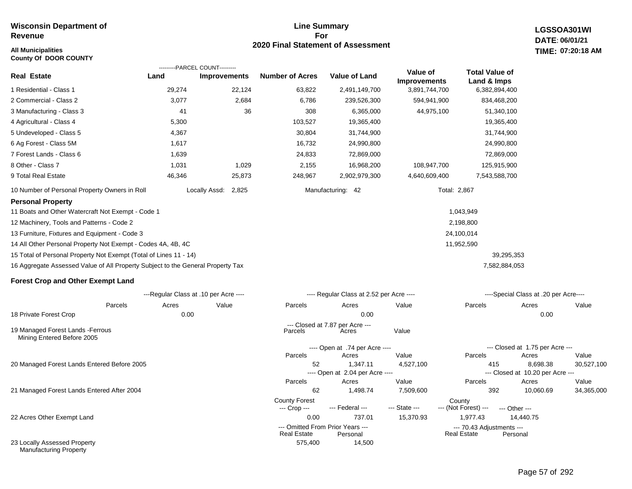#### **All Municipalities TIME:**

**County Of DOOR COUNTY**

#### **Line Summary For 2020 Final Statement of Assessment**

**LGSSOA301WI DATE: 06/01/21 07:20:18 AM**

|                                                                                 | ---------PARCEL COUNT---------        |                     |                        |                                          |                                 |                                      |                                           |            |
|---------------------------------------------------------------------------------|---------------------------------------|---------------------|------------------------|------------------------------------------|---------------------------------|--------------------------------------|-------------------------------------------|------------|
| <b>Real Estate</b>                                                              | Land                                  | <b>Improvements</b> | <b>Number of Acres</b> | <b>Value of Land</b>                     | Value of<br><b>Improvements</b> | <b>Total Value of</b><br>Land & Imps |                                           |            |
| 1 Residential - Class 1                                                         | 29,274                                | 22,124              | 63,822                 | 2,491,149,700                            | 3,891,744,700                   | 6,382,894,400                        |                                           |            |
| 2 Commercial - Class 2                                                          | 3,077                                 | 2,684               | 6,786                  | 239,526,300                              | 594,941,900                     | 834,468,200                          |                                           |            |
| 3 Manufacturing - Class 3                                                       | 41                                    | 36                  | 308                    | 6,365,000                                | 44,975,100                      | 51,340,100                           |                                           |            |
| 4 Agricultural - Class 4                                                        | 5,300                                 |                     | 103,527                | 19,365,400                               |                                 | 19,365,400                           |                                           |            |
| 5 Undeveloped - Class 5                                                         | 4,367                                 |                     | 30,804                 | 31,744,900                               |                                 | 31,744,900                           |                                           |            |
| 6 Ag Forest - Class 5M                                                          | 1,617                                 |                     | 16,732                 | 24,990,800                               |                                 | 24,990,800                           |                                           |            |
| 7 Forest Lands - Class 6                                                        | 1,639                                 |                     | 24,833                 | 72,869,000                               |                                 | 72,869,000                           |                                           |            |
| 8 Other - Class 7                                                               | 1,031                                 | 1,029               | 2,155                  | 16,968,200                               | 108,947,700                     | 125,915,900                          |                                           |            |
| 9 Total Real Estate                                                             | 46,346                                | 25,873              | 248,967                | 2,902,979,300                            | 4,640,609,400                   | 7,543,588,700                        |                                           |            |
| 10 Number of Personal Property Owners in Roll                                   | Locally Assd:                         | 2,825               |                        | Manufacturing: 42                        |                                 | Total: 2,867                         |                                           |            |
| <b>Personal Property</b>                                                        |                                       |                     |                        |                                          |                                 |                                      |                                           |            |
| 11 Boats and Other Watercraft Not Exempt - Code 1                               |                                       |                     |                        |                                          |                                 | 1,043,949                            |                                           |            |
| 12 Machinery, Tools and Patterns - Code 2                                       |                                       |                     |                        |                                          |                                 | 2,198,800                            |                                           |            |
| 13 Furniture, Fixtures and Equipment - Code 3                                   |                                       |                     |                        |                                          |                                 | 24,100,014                           |                                           |            |
| 14 All Other Personal Property Not Exempt - Codes 4A, 4B, 4C                    |                                       |                     |                        |                                          |                                 | 11,952,590                           |                                           |            |
| 15 Total of Personal Property Not Exempt (Total of Lines 11 - 14)               |                                       |                     |                        |                                          |                                 |                                      | 39,295,353                                |            |
| 16 Aggregate Assessed Value of All Property Subject to the General Property Tax |                                       |                     |                        |                                          |                                 | 7,582,884,053                        |                                           |            |
| <b>Forest Crop and Other Exempt Land</b>                                        |                                       |                     |                        |                                          |                                 |                                      |                                           |            |
|                                                                                 | ---Regular Class at .10 per Acre ---- |                     |                        | ---- Regular Class at 2.52 per Acre ---- |                                 |                                      | ----Special Class at .20 per Acre----     |            |
| Parcels                                                                         | Acres                                 | Value               | Parcels                | Acres                                    | Value                           | Parcels                              | Acres                                     | Value      |
| 18 Private Forest Crop                                                          | 0.00                                  |                     |                        | 0.00                                     |                                 |                                      | 0.00                                      |            |
| 19 Managed Forest Lands - Ferrous<br>Mining Entered Before 2005                 |                                       |                     | Parcels                | --- Closed at 7.87 per Acre ---<br>Acres | Value                           |                                      |                                           |            |
|                                                                                 |                                       |                     |                        | ---- Open at .74 per Acre ----           |                                 |                                      | --- Closed at 1.75 per Acre ---           |            |
|                                                                                 |                                       |                     | Parcels                | Acres                                    | Value                           | Parcels                              | Acres                                     | Value      |
| 20 Managed Forest Lands Entered Before 2005                                     |                                       |                     | 52                     | 1,347.11                                 | 4,527,100                       | 415                                  | 8,698.38                                  | 30,527,100 |
|                                                                                 |                                       |                     | Parcels                | ---- Open at 2.04 per Acre ----<br>Acres | Value                           | Parcels                              | --- Closed at 10.20 per Acre ---<br>Acres | Value      |
| 21 Managed Forest Lands Entered After 2004                                      |                                       |                     | 62                     | 1,498.74                                 | 7,509,600                       | 392                                  | 10,060.69                                 | 34,365,000 |
|                                                                                 |                                       |                     | <b>County Forest</b>   | --- Federal ---                          | --- State ---                   | County<br>--- (Not Forest) ---       |                                           |            |
| 22 Acres Other Exempt Land                                                      |                                       |                     | --- Crop ---<br>0.00   | 737.01                                   | 15,370.93                       | 1,977.43                             | --- Other ---<br>14,440.75                |            |
|                                                                                 |                                       |                     |                        |                                          |                                 |                                      |                                           |            |

575,400 14,500

--- Omitted From Prior Years --- --- 70.43 Adjustments ---

Real Estate

22 Acres Other Exempt Land

23 Locally Assessed Property Manufacturing Property

# Page 57 of 292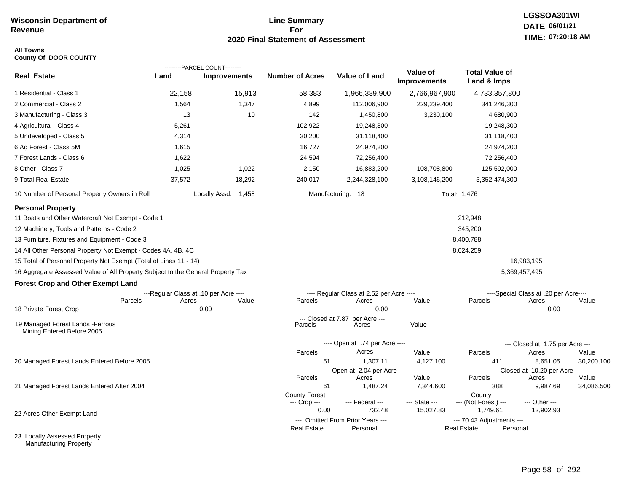#### **Line Summary For 2020 Final Statement of Assessment**

#### **All Towns County Of DOOR COUNTY**

|                                                                                 |                                       | ---------PARCEL COUNT--------- |                               |                                              |                                 |                                                 |                                           |            |
|---------------------------------------------------------------------------------|---------------------------------------|--------------------------------|-------------------------------|----------------------------------------------|---------------------------------|-------------------------------------------------|-------------------------------------------|------------|
| <b>Real Estate</b>                                                              | Land                                  | <b>Improvements</b>            | <b>Number of Acres</b>        | Value of Land                                | Value of<br><b>Improvements</b> | <b>Total Value of</b><br>Land & Imps            |                                           |            |
| 1 Residential - Class 1                                                         | 22,158                                | 15,913                         | 58,383                        | 1,966,389,900                                | 2,766,967,900                   | 4,733,357,800                                   |                                           |            |
| 2 Commercial - Class 2                                                          | 1,564                                 | 1,347                          | 4,899                         | 112,006,900                                  | 229,239,400                     | 341,246,300                                     |                                           |            |
| 3 Manufacturing - Class 3                                                       | 13                                    | 10                             | 142                           | 1,450,800                                    | 3,230,100                       | 4,680,900                                       |                                           |            |
| 4 Agricultural - Class 4                                                        | 5,261                                 |                                | 102,922                       | 19,248,300                                   |                                 | 19,248,300                                      |                                           |            |
| 5 Undeveloped - Class 5                                                         | 4,314                                 |                                | 30,200                        | 31,118,400                                   |                                 | 31,118,400                                      |                                           |            |
| 6 Ag Forest - Class 5M                                                          | 1,615                                 |                                | 16,727                        | 24,974,200                                   |                                 | 24,974,200                                      |                                           |            |
| 7 Forest Lands - Class 6                                                        | 1,622                                 |                                | 24,594                        | 72,256,400                                   |                                 | 72,256,400                                      |                                           |            |
| 8 Other - Class 7                                                               | 1,025                                 | 1,022                          | 2,150                         | 16,883,200                                   | 108,708,800                     | 125,592,000                                     |                                           |            |
| 9 Total Real Estate                                                             | 37,572                                | 18,292                         | 240,017                       | 2,244,328,100                                | 3,108,146,200                   | 5,352,474,300                                   |                                           |            |
| 10 Number of Personal Property Owners in Roll                                   |                                       | Locally Assd: 1,458            |                               | Manufacturing: 18                            |                                 | Total: 1,476                                    |                                           |            |
| <b>Personal Property</b>                                                        |                                       |                                |                               |                                              |                                 |                                                 |                                           |            |
| 11 Boats and Other Watercraft Not Exempt - Code 1                               |                                       |                                |                               |                                              |                                 | 212,948                                         |                                           |            |
| 12 Machinery, Tools and Patterns - Code 2                                       |                                       |                                |                               |                                              |                                 | 345,200                                         |                                           |            |
| 13 Furniture, Fixtures and Equipment - Code 3                                   |                                       |                                |                               |                                              |                                 | 8,400,788                                       |                                           |            |
| 14 All Other Personal Property Not Exempt - Codes 4A, 4B, 4C                    |                                       |                                |                               |                                              |                                 | 8,024,259                                       |                                           |            |
| 15 Total of Personal Property Not Exempt (Total of Lines 11 - 14)               |                                       |                                |                               |                                              |                                 |                                                 | 16,983,195                                |            |
| 16 Aggregate Assessed Value of All Property Subject to the General Property Tax |                                       |                                |                               |                                              |                                 |                                                 | 5,369,457,495                             |            |
| <b>Forest Crop and Other Exempt Land</b>                                        |                                       |                                |                               |                                              |                                 |                                                 |                                           |            |
|                                                                                 | ---Regular Class at .10 per Acre ---- |                                |                               | ---- Regular Class at 2.52 per Acre ----     |                                 |                                                 | ----Special Class at .20 per Acre----     |            |
|                                                                                 | Parcels<br>Acres                      | Value                          | Parcels                       | Acres                                        | Value                           | Parcels                                         | Acres                                     | Value      |
| 18 Private Forest Crop                                                          |                                       | 0.00                           |                               | 0.00                                         |                                 |                                                 | 0.00                                      |            |
| 19 Managed Forest Lands - Ferrous<br>Mining Entered Before 2005                 |                                       |                                | --- Closed at 7.87<br>Parcels | per Acre ---<br>Acres                        | Value                           |                                                 |                                           |            |
|                                                                                 |                                       |                                |                               | ---- Open at .74 per Acre ----               |                                 |                                                 | --- Closed at 1.75 per Acre ---           |            |
|                                                                                 |                                       |                                | Parcels                       | Acres                                        | Value                           | Parcels                                         | Acres                                     | Value      |
| 20 Managed Forest Lands Entered Before 2005                                     |                                       |                                | 51                            | 1,307.11                                     | 4,127,100                       | 411                                             | 8,651.05                                  | 30,200,100 |
|                                                                                 |                                       |                                | Parcels                       | ---- Open at 2.04 per Acre ----<br>Acres     | Value                           | Parcels                                         | --- Closed at 10.20 per Acre ---<br>Acres | Value      |
| 21 Managed Forest Lands Entered After 2004                                      |                                       |                                | 61                            | 1,487.24                                     | 7,344,600                       | 388                                             | 9,987.69                                  | 34,086,500 |
|                                                                                 |                                       |                                | <b>County Forest</b>          |                                              |                                 | County                                          |                                           |            |
|                                                                                 |                                       |                                | --- Crop ---                  | --- Federal ---                              | --- State ---                   | --- (Not Forest) ---                            | --- Other ---                             |            |
| 22 Acres Other Exempt Land                                                      |                                       |                                | 0.00                          | 732.48                                       | 15,027.83                       | 1,749.61                                        | 12,902.93                                 |            |
|                                                                                 |                                       |                                | <b>Real Estate</b>            | --- Omitted From Prior Years ---<br>Personal |                                 | --- 70.43 Adjustments ---<br><b>Real Estate</b> | Personal                                  |            |
| 23 Locally Accassed Property                                                    |                                       |                                |                               |                                              |                                 |                                                 |                                           |            |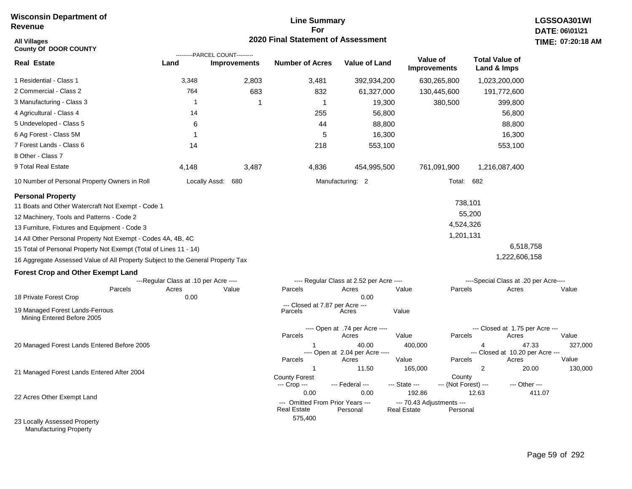## **Line Summary For 2020 Final Statement of Assessment All Villages TIME:**

| <b>All Villages</b><br><b>County Of DOOR COUNTY</b>                                                                                                                         |                                       |                                                       | 2020 Final Statement of Assessment                             |                                                   |                                                           |                                                                   |        | TIME: 07:20:18   |
|-----------------------------------------------------------------------------------------------------------------------------------------------------------------------------|---------------------------------------|-------------------------------------------------------|----------------------------------------------------------------|---------------------------------------------------|-----------------------------------------------------------|-------------------------------------------------------------------|--------|------------------|
| <b>Real Estate</b>                                                                                                                                                          | Land                                  | ---------PARCEL COUNT---------<br><b>Improvements</b> | <b>Number of Acres</b>                                         | <b>Value of Land</b>                              | Value of<br><b>Improvements</b>                           | <b>Total Value of</b><br>Land & Imps                              |        |                  |
| 1 Residential - Class 1                                                                                                                                                     | 3,348                                 | 2,803                                                 | 3,481                                                          | 392,934,200                                       | 630,265,800                                               | 1,023,200,000                                                     |        |                  |
| 2 Commercial - Class 2                                                                                                                                                      | 764                                   | 683                                                   | 832                                                            | 61,327,000                                        | 130,445,600                                               | 191,772,600                                                       |        |                  |
| 3 Manufacturing - Class 3                                                                                                                                                   | $\mathbf 1$                           |                                                       | $\mathbf 1$                                                    | 19,300                                            | 380,500                                                   | 399,800                                                           |        |                  |
| 4 Agricultural - Class 4                                                                                                                                                    | 14                                    |                                                       | 255                                                            | 56,800                                            |                                                           | 56,800                                                            |        |                  |
| 5 Undeveloped - Class 5                                                                                                                                                     | 6                                     |                                                       | 44                                                             | 88,800                                            |                                                           | 88,800                                                            |        |                  |
| 6 Ag Forest - Class 5M                                                                                                                                                      | 1                                     |                                                       | 5                                                              | 16,300                                            |                                                           | 16,300                                                            |        |                  |
| 7 Forest Lands - Class 6                                                                                                                                                    | 14                                    |                                                       | 218                                                            | 553,100                                           |                                                           | 553,100                                                           |        |                  |
| 8 Other - Class 7                                                                                                                                                           |                                       |                                                       |                                                                |                                                   |                                                           |                                                                   |        |                  |
| 9 Total Real Estate                                                                                                                                                         | 4,148                                 | 3,487                                                 | 4,836                                                          | 454,995,500                                       | 761,091,900                                               | 1,216,087,400                                                     |        |                  |
| 10 Number of Personal Property Owners in Roll                                                                                                                               |                                       | Locally Assd: 680                                     |                                                                | Manufacturing: 2                                  |                                                           | Total: 682                                                        |        |                  |
| <b>Personal Property</b><br>11 Boats and Other Watercraft Not Exempt - Code 1<br>12 Machinery, Tools and Patterns - Code 2<br>13 Furniture, Fixtures and Equipment - Code 3 |                                       |                                                       |                                                                |                                                   |                                                           | 738,101<br>55,200<br>4,524,326                                    |        |                  |
| 14 All Other Personal Property Not Exempt - Codes 4A, 4B, 4C                                                                                                                |                                       |                                                       |                                                                |                                                   |                                                           | 1,201,131                                                         |        |                  |
| 15 Total of Personal Property Not Exempt (Total of Lines 11 - 14)                                                                                                           |                                       |                                                       |                                                                |                                                   |                                                           | 6,518,758                                                         |        |                  |
| 16 Aggregate Assessed Value of All Property Subject to the General Property Tax                                                                                             |                                       |                                                       |                                                                |                                                   |                                                           | 1,222,606,158                                                     |        |                  |
| <b>Forest Crop and Other Exempt Land</b>                                                                                                                                    |                                       |                                                       |                                                                |                                                   |                                                           |                                                                   |        |                  |
|                                                                                                                                                                             | ---Regular Class at .10 per Acre ---- |                                                       |                                                                | ---- Regular Class at 2.52 per Acre ----          |                                                           | ----Special Class at .20 per Acre----                             |        |                  |
| Parcels<br>18 Private Forest Crop                                                                                                                                           | Acres<br>0.00                         | Value                                                 | Parcels                                                        | Acres<br>0.00                                     | Value                                                     | Parcels<br>Acres                                                  |        | Value            |
| 19 Managed Forest Lands-Ferrous<br>Mining Entered Before 2005                                                                                                               |                                       |                                                       | --- Closed at 7.87 per Acre ---<br>Parcels                     | Acres                                             | Value                                                     |                                                                   |        |                  |
|                                                                                                                                                                             |                                       |                                                       | Parcels                                                        | ---- Open at .74 per Acre ----<br>Acres           | Value                                                     | --- Closed at 1.75 per Acre ---<br>Parcels<br>Acres               |        | Value            |
| 20 Managed Forest Lands Entered Before 2005                                                                                                                                 |                                       |                                                       | 1<br>Parcels                                                   | 40.00<br>---- Open at 2.04 per Acre ----<br>Acres | 400,000<br>Value                                          | 4<br>--- Closed at 10.20 per Acre ---<br>Parcels<br>Acres         | 47.33  | 327,000<br>Value |
| 21 Managed Forest Lands Entered After 2004                                                                                                                                  |                                       |                                                       | $\mathbf{1}$<br><b>County Forest</b><br>--- Crop ---           | 11.50<br>--- Federal ---                          | 165,000<br>--- State ---                                  | $\overline{2}$<br>County<br>--- (Not Forest) ---<br>--- Other --- | 20.00  | 130,000          |
| 22 Acres Other Exempt Land                                                                                                                                                  |                                       |                                                       | 0.00<br>--- Omitted From Prior Years ---<br><b>Real Estate</b> | 0.00<br>Personal                                  | 192.86<br>--- 70.43 Adjustments ---<br><b>Real Estate</b> | 12.63<br>Personal                                                 | 411.07 |                  |
| 23 Locally Assessed Property                                                                                                                                                |                                       |                                                       | 575,400                                                        |                                                   |                                                           |                                                                   |        |                  |

Manufacturing Property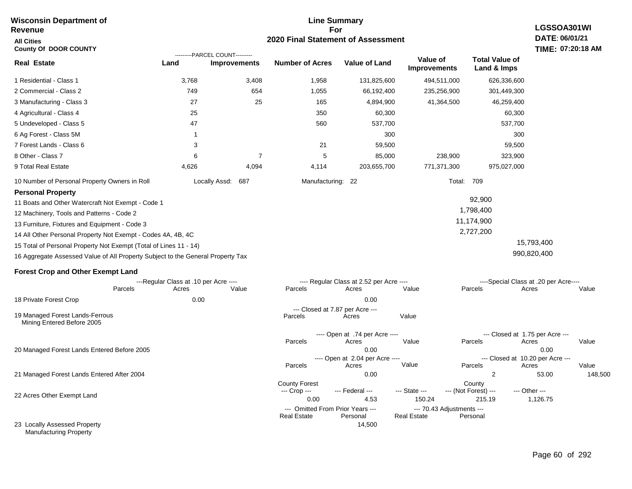#### **Line Summary For 2020 Final Statement of Assessment Wisconsin Department of Revenue All Cities County Of DOOR COUNTY LGSSOA301WI DATE: 06/01/21 TIME: 07:20:18 AM Real Estate** 1 Residential - Class 1 2 Commercial - Class 2 3 Manufacturing - Class 3 4 Agricultural - Class 4 5 Undeveloped - Class 5 6 Ag Forest - Class 5M 7 Forest Lands - Class 6 8 Other - Class 7 9 Total Real Estate 10 Number of Personal Property Owners in Roll 3,768 3,408 1,958 131,825,600 494,511,000 626,336,600 **Land Improvements Number of Acres Value of Land Value of Improvements Total Value of Land & Imps** 749 27 25 47 1 3 6 4,626 654 25 7 4,094 1,055 165 350 560 21 5 4,114 66,192,400 4,894,900 60,300 537,700 300 59,500 85,000 203,655,700 235,256,900 41,364,500 238,900 771,371,300 301,449,300 46,259,400 60,300 537,700 300 59,500 323,900 975,027,000 Locally Assd: 687 Manufacturing: 22 Total: 709 **Personal Property** 11 Boats and Other Watercraft Not Exempt - Code 1 12 Machinery, Tools and Patterns - Code 2 13 Furniture, Fixtures and Equipment - Code 3 14 All Other Personal Property Not Exempt - Codes 4A, 4B, 4C 15 Total of Personal Property Not Exempt (Total of Lines 11 - 14) 92,900 1,798,400 11,174,900 2,727,200 15,793,400 ---------PARCEL COUNT---------

16 Aggregate Assessed Value of All Property Subject to the General Property Tax

#### **Forest Crop and Other Exempt Land**

|                                                               |         | ---Regular Class at .10 per Acre ---- |       |                      | ---- Regular Class at 2.52 per Acre ---- |                    |                           | ----Special Class at .20 per Acre---- |         |
|---------------------------------------------------------------|---------|---------------------------------------|-------|----------------------|------------------------------------------|--------------------|---------------------------|---------------------------------------|---------|
|                                                               | Parcels | Acres                                 | Value | Parcels              | Acres                                    | Value              | Parcels                   | Acres                                 | Value   |
| 18 Private Forest Crop                                        |         | 0.00                                  |       |                      | 0.00                                     |                    |                           |                                       |         |
|                                                               |         |                                       |       |                      | --- Closed at 7.87 per Acre ---          |                    |                           |                                       |         |
| 19 Managed Forest Lands-Ferrous<br>Mining Entered Before 2005 |         |                                       |       | Parcels              | Acres                                    | Value              |                           |                                       |         |
|                                                               |         |                                       |       |                      | ---- Open at .74 per Acre ----           |                    |                           | --- Closed at 1.75 per Acre ---       |         |
|                                                               |         |                                       |       | Parcels              | Acres                                    | Value              | Parcels                   | Acres                                 | Value   |
| 20 Managed Forest Lands Entered Before 2005<br>0.00           |         | 0.00                                  |       |                      |                                          |                    |                           |                                       |         |
|                                                               |         |                                       |       |                      | ---- Open at 2.04 per Acre ----          |                    |                           | --- Closed at 10.20 per Acre ---      |         |
|                                                               |         |                                       |       | Parcels              | Acres                                    | Value              | Parcels                   | Acres                                 | Value   |
| 21 Managed Forest Lands Entered After 2004                    |         |                                       |       |                      | 0.00                                     |                    | $\overline{2}$            | 53.00                                 | 148,500 |
|                                                               |         |                                       |       | <b>County Forest</b> |                                          |                    | County                    |                                       |         |
|                                                               |         |                                       |       | --- Crop ---         | --- Federal ---                          | --- State ---      | --- (Not Forest) ---      | --- Other ---                         |         |
| 22 Acres Other Exempt Land                                    |         |                                       |       | 0.00                 | 4.53                                     | 150.24             | 215.19                    | 1,126.75                              |         |
|                                                               |         |                                       |       |                      | --- Omitted From Prior Years ---         |                    | --- 70.43 Adjustments --- |                                       |         |
|                                                               |         |                                       |       | <b>Real Estate</b>   | Personal                                 | <b>Real Estate</b> | Personal                  |                                       |         |
| 23 Locally Assessed Property<br><b>Manufacturing Property</b> |         |                                       |       |                      | 14,500                                   |                    |                           |                                       |         |

990,820,400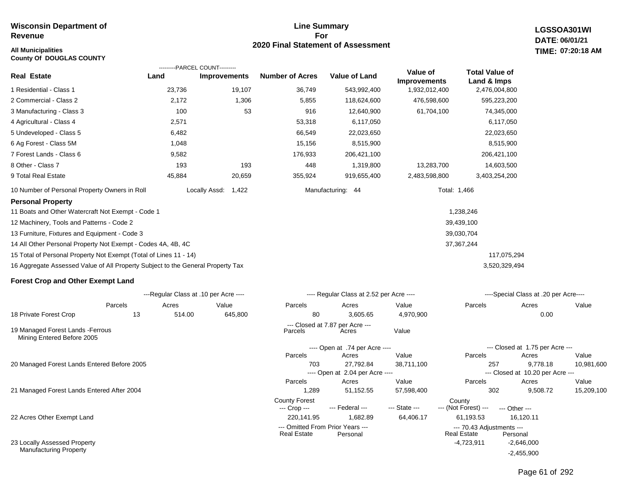### **All Municipalities TIME:**

**County Of DOUGLAS COUNTY**

#### **Line Summary For 2020 Final Statement of Assessment**

**LGSSOA301WI DATE: 06/01/21 07:20:18 AM**

|                                                                                 |        | ---------PARCEL COUNT---------        |                        |                                              |                                 |                                      |                                              |            |
|---------------------------------------------------------------------------------|--------|---------------------------------------|------------------------|----------------------------------------------|---------------------------------|--------------------------------------|----------------------------------------------|------------|
| <b>Real Estate</b>                                                              | Land   | <b>Improvements</b>                   | <b>Number of Acres</b> | <b>Value of Land</b>                         | Value of<br><b>Improvements</b> | <b>Total Value of</b><br>Land & Imps |                                              |            |
| 1 Residential - Class 1                                                         | 23,736 | 19,107                                | 36,749                 | 543,992,400                                  | 1,932,012,400                   | 2,476,004,800                        |                                              |            |
| 2 Commercial - Class 2                                                          | 2,172  | 1,306                                 | 5,855                  | 118,624,600                                  | 476,598,600                     | 595,223,200                          |                                              |            |
| 3 Manufacturing - Class 3                                                       | 100    | 53                                    | 916                    | 12,640,900                                   | 61,704,100                      | 74,345,000                           |                                              |            |
| 4 Agricultural - Class 4                                                        | 2,571  |                                       | 53,318                 | 6,117,050                                    |                                 | 6,117,050                            |                                              |            |
| 5 Undeveloped - Class 5                                                         | 6,482  |                                       | 66,549                 | 22,023,650                                   |                                 | 22,023,650                           |                                              |            |
| 6 Ag Forest - Class 5M                                                          | 1,048  |                                       | 15,156                 | 8,515,900                                    |                                 | 8,515,900                            |                                              |            |
| 7 Forest Lands - Class 6                                                        | 9,582  |                                       | 176,933                | 206,421,100                                  |                                 | 206,421,100                          |                                              |            |
| 8 Other - Class 7                                                               | 193    | 193                                   | 448                    | 1,319,800                                    | 13,283,700                      | 14,603,500                           |                                              |            |
| 9 Total Real Estate                                                             | 45,884 | 20,659                                | 355,924                | 919,655,400                                  | 2,483,598,800                   | 3,403,254,200                        |                                              |            |
| 10 Number of Personal Property Owners in Roll                                   |        | Locally Assd:<br>1,422                |                        | Manufacturing: 44                            |                                 | Total: 1,466                         |                                              |            |
| <b>Personal Property</b>                                                        |        |                                       |                        |                                              |                                 |                                      |                                              |            |
| 11 Boats and Other Watercraft Not Exempt - Code 1                               |        |                                       |                        |                                              |                                 | 1,238,246                            |                                              |            |
| 12 Machinery, Tools and Patterns - Code 2                                       |        |                                       |                        |                                              |                                 | 39,439,100                           |                                              |            |
| 13 Furniture, Fixtures and Equipment - Code 3                                   |        |                                       |                        |                                              |                                 | 39,030,704                           |                                              |            |
| 14 All Other Personal Property Not Exempt - Codes 4A, 4B, 4C                    |        |                                       |                        |                                              |                                 | 37, 367, 244                         |                                              |            |
| 15 Total of Personal Property Not Exempt (Total of Lines 11 - 14)               |        |                                       |                        |                                              |                                 | 117,075,294                          |                                              |            |
| 16 Aggregate Assessed Value of All Property Subject to the General Property Tax |        |                                       |                        |                                              |                                 | 3,520,329,494                        |                                              |            |
| <b>Forest Crop and Other Exempt Land</b>                                        |        |                                       |                        |                                              |                                 |                                      |                                              |            |
|                                                                                 |        | ---Regular Class at .10 per Acre ---- |                        | ---- Regular Class at 2.52 per Acre ----     |                                 |                                      | ----Special Class at .20 per Acre----        |            |
| Parcels                                                                         | Acres  | Value                                 | Parcels                | Acres                                        | Value                           | Parcels                              | Acres                                        | Value      |
| 18 Private Forest Crop<br>13                                                    | 514.00 | 645,800                               | 80                     | 3,605.65                                     | 4,970,900                       |                                      | 0.00                                         |            |
| 19 Managed Forest Lands - Ferrous<br>Mining Entered Before 2005                 |        |                                       | Parcels                | --- Closed at 7.87 per Acre ---<br>Acres     | Value                           |                                      |                                              |            |
|                                                                                 |        |                                       |                        | ---- Open at .74 per Acre ----               |                                 |                                      | --- Closed at 1.75 per Acre ---              |            |
|                                                                                 |        |                                       | Parcels                | Acres                                        | Value                           | Parcels                              | Acres                                        | Value      |
| 20 Managed Forest Lands Entered Before 2005                                     |        |                                       | 703                    | 27,792.84<br>---- Open at 2.04 per Acre ---- | 38,711,100                      | 257                                  | 9,778.18<br>--- Closed at 10.20 per Acre --- | 10,981,600 |

21 Managed Forest Lands Entered After 2004

22 Acres Other Exempt Land

23 Locally Assessed Property Manufacturing Property

 1,289 51,152.55 57,598,400 302 9,508.72 15,209,100 220,141.95 1,682.89 64,406.17 61,193.53 16,120.11 -4,723,911 -2,646,000 -2,455,900 County Forest<br>
--- Crop --- --- Federal --- --- State --- --- (Not Fore --- (Not Forest) --- --- Other ------ Omitted From Prior Years ---<br>Real Estate Personal Real Estate Personal Real Estate Personal Parcels Acres Value Parcels Acres Value er Acre ---**Real Estate** Acre ---

Page 61 of 292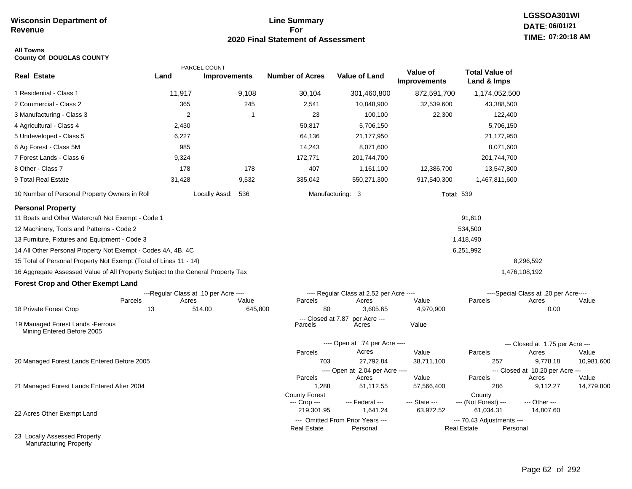#### **Line Summary For 2020 Final Statement of Assessment**

## **All Towns**

|  | <b>County Of DOUGLAS COUNTY</b> |  |
|--|---------------------------------|--|
|--|---------------------------------|--|

|                                                                                 |                                       | ---------PARCEL COUNT--------- |                               |                                          |                                 |                                      |                                       |                     |
|---------------------------------------------------------------------------------|---------------------------------------|--------------------------------|-------------------------------|------------------------------------------|---------------------------------|--------------------------------------|---------------------------------------|---------------------|
| <b>Real Estate</b>                                                              | Land                                  | <b>Improvements</b>            | <b>Number of Acres</b>        | <b>Value of Land</b>                     | Value of<br><b>Improvements</b> | <b>Total Value of</b><br>Land & Imps |                                       |                     |
| 1 Residential - Class 1                                                         | 11,917                                | 9,108                          | 30,104                        | 301,460,800                              | 872,591,700                     | 1,174,052,500                        |                                       |                     |
| 2 Commercial - Class 2                                                          | 365                                   | 245                            | 2,541                         | 10,848,900                               | 32,539,600                      | 43,388,500                           |                                       |                     |
| 3 Manufacturing - Class 3                                                       | 2                                     | 1                              | 23                            | 100,100                                  | 22,300                          | 122,400                              |                                       |                     |
| 4 Agricultural - Class 4                                                        | 2,430                                 |                                | 50,817                        | 5,706,150                                |                                 | 5,706,150                            |                                       |                     |
| 5 Undeveloped - Class 5                                                         | 6,227                                 |                                | 64,136                        | 21,177,950                               |                                 | 21,177,950                           |                                       |                     |
| 6 Ag Forest - Class 5M                                                          | 985                                   |                                | 14,243                        | 8,071,600                                |                                 | 8,071,600                            |                                       |                     |
| 7 Forest Lands - Class 6                                                        | 9,324                                 |                                | 172,771                       | 201,744,700                              |                                 | 201,744,700                          |                                       |                     |
| 8 Other - Class 7                                                               | 178                                   | 178                            | 407                           | 1,161,100                                | 12,386,700                      | 13,547,800                           |                                       |                     |
| 9 Total Real Estate                                                             | 31,428                                | 9,532                          | 335,042                       | 550,271,300                              | 917,540,300                     | 1,467,811,600                        |                                       |                     |
| 10 Number of Personal Property Owners in Roll                                   |                                       | Locally Assd: 536              |                               | Manufacturing: 3                         | <b>Total: 539</b>               |                                      |                                       |                     |
| <b>Personal Property</b>                                                        |                                       |                                |                               |                                          |                                 |                                      |                                       |                     |
| 11 Boats and Other Watercraft Not Exempt - Code 1                               |                                       |                                |                               |                                          |                                 | 91,610                               |                                       |                     |
| 12 Machinery, Tools and Patterns - Code 2                                       |                                       |                                |                               |                                          |                                 | 534,500                              |                                       |                     |
| 13 Furniture, Fixtures and Equipment - Code 3                                   |                                       |                                |                               |                                          |                                 | 1,418,490                            |                                       |                     |
| 14 All Other Personal Property Not Exempt - Codes 4A, 4B, 4C                    |                                       |                                |                               |                                          |                                 | 6,251,992                            |                                       |                     |
| 15 Total of Personal Property Not Exempt (Total of Lines 11 - 14)               |                                       |                                |                               |                                          |                                 |                                      | 8,296,592                             |                     |
| 16 Aggregate Assessed Value of All Property Subject to the General Property Tax |                                       |                                |                               |                                          |                                 |                                      | 1,476,108,192                         |                     |
| <b>Forest Crop and Other Exempt Land</b>                                        |                                       |                                |                               |                                          |                                 |                                      |                                       |                     |
|                                                                                 | ---Regular Class at .10 per Acre ---- |                                |                               | ---- Regular Class at 2.52 per Acre ---- |                                 |                                      | ----Special Class at .20 per Acre---- |                     |
| Parcels                                                                         | Acres                                 | Value                          | Parcels                       | Acres                                    | Value                           | Parcels                              | Acres                                 | Value               |
| 18 Private Forest Crop                                                          | 13                                    | 514.00                         | 80<br>645,800                 | 3,605.65                                 | 4,970,900                       |                                      | 0.00                                  |                     |
| 19 Managed Forest Lands - Ferrous<br>Mining Entered Before 2005                 |                                       |                                | --- Closed at 7.87<br>Parcels | per Acre ---<br>Acres                    | Value                           |                                      |                                       |                     |
|                                                                                 |                                       |                                |                               | ---- Open at .74 per Acre ----           |                                 |                                      | --- Closed at 1.75 per Acre ---       |                     |
|                                                                                 |                                       |                                | Parcels                       | Acres                                    | Value                           | Parcels                              | Acres                                 | Value               |
| 20 Managed Forest Lands Entered Before 2005                                     |                                       |                                | 703                           | 27,792.84                                | 38,711,100                      | 257                                  | 9,778.18                              | 10,981,600          |
|                                                                                 |                                       |                                |                               | ---- Open at 2.04 per Acre ----          |                                 |                                      | --- Closed at 10.20 per Acre ---      |                     |
| 21 Managed Forest Lands Entered After 2004                                      |                                       |                                | Parcels<br>1,288              | Acres<br>51,112.55                       | Value<br>57,566,400             | Parcels<br>286                       | Acres<br>9,112.27                     | Value<br>14,779,800 |
|                                                                                 |                                       |                                | <b>County Forest</b>          |                                          |                                 | County                               |                                       |                     |
|                                                                                 |                                       |                                | --- Crop ---                  | --- Federal ---                          | --- State ---                   | --- (Not Forest) ---                 | --- Other ---                         |                     |
| 22 Acres Other Exempt Land                                                      |                                       |                                | 219,301.95                    | 1,641.24                                 | 63,972.52                       | 61,034.31                            | 14,807.60                             |                     |
|                                                                                 |                                       |                                |                               | --- Omitted From Prior Years ---         |                                 | --- 70.43 Adjustments ---            |                                       |                     |
| 23 Locally Assessed Property                                                    |                                       |                                | <b>Real Estate</b>            | Personal                                 |                                 | <b>Real Estate</b>                   | Personal                              |                     |
|                                                                                 |                                       |                                |                               |                                          |                                 |                                      |                                       |                     |

Manufacturing Property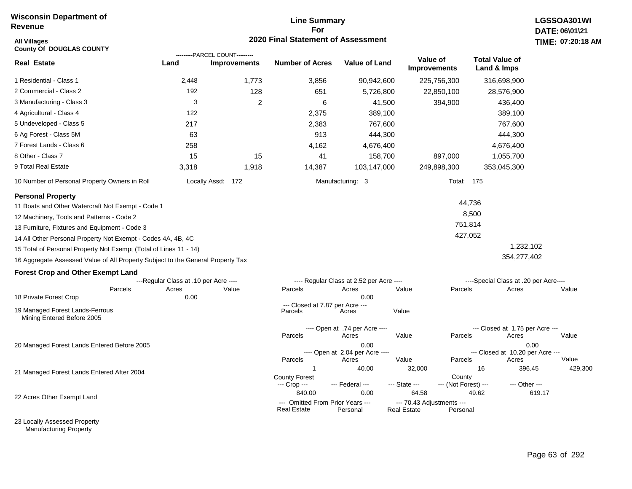## **Line Summary For 2020 Final Statement of Assessment All Villages TIME:**

| <b>All Villages</b><br><b>County Of DOUGLAS COUNTY</b>                          |                                       |                                                       | 2020 Final Statement of Assessment                     |                                          |                                                 |                                 |                                       |               | TIME: 07:20:18 |
|---------------------------------------------------------------------------------|---------------------------------------|-------------------------------------------------------|--------------------------------------------------------|------------------------------------------|-------------------------------------------------|---------------------------------|---------------------------------------|---------------|----------------|
| <b>Real Estate</b>                                                              | Land                                  | ---------PARCEL COUNT---------<br><b>Improvements</b> | <b>Number of Acres</b>                                 | <b>Value of Land</b>                     |                                                 | Value of<br><b>Improvements</b> | <b>Total Value of</b><br>Land & Imps  |               |                |
| 1 Residential - Class 1                                                         | 2,448                                 | 1,773                                                 | 3,856                                                  | 90,942,600                               |                                                 | 225,756,300                     | 316,698,900                           |               |                |
| 2 Commercial - Class 2                                                          | 192                                   | 128                                                   | 651                                                    | 5,726,800                                |                                                 | 22,850,100                      | 28,576,900                            |               |                |
| 3 Manufacturing - Class 3                                                       | 3                                     | 2                                                     | 6                                                      | 41,500                                   |                                                 | 394,900                         | 436,400                               |               |                |
| 4 Agricultural - Class 4                                                        | 122                                   |                                                       | 2,375                                                  | 389,100                                  |                                                 |                                 | 389,100                               |               |                |
| 5 Undeveloped - Class 5                                                         | 217                                   |                                                       | 2,383                                                  | 767,600                                  |                                                 |                                 | 767,600                               |               |                |
| 6 Ag Forest - Class 5M                                                          | 63                                    |                                                       | 913                                                    | 444,300                                  |                                                 |                                 | 444,300                               |               |                |
| 7 Forest Lands - Class 6                                                        | 258                                   |                                                       | 4,162                                                  | 4,676,400                                |                                                 |                                 | 4,676,400                             |               |                |
| 8 Other - Class 7                                                               | 15                                    | 15                                                    | 41                                                     | 158,700                                  |                                                 | 897,000                         | 1,055,700                             |               |                |
| 9 Total Real Estate                                                             | 3,318                                 | 1,918                                                 | 14,387                                                 | 103,147,000                              |                                                 | 249,898,300                     | 353,045,300                           |               |                |
| 10 Number of Personal Property Owners in Roll                                   |                                       | Locally Assd: 172                                     |                                                        | Manufacturing: 3                         |                                                 | Total: 175                      |                                       |               |                |
| <b>Personal Property</b>                                                        |                                       |                                                       |                                                        |                                          |                                                 |                                 |                                       |               |                |
| 11 Boats and Other Watercraft Not Exempt - Code 1                               |                                       |                                                       |                                                        |                                          |                                                 |                                 | 44,736                                |               |                |
| 12 Machinery, Tools and Patterns - Code 2                                       |                                       |                                                       |                                                        |                                          |                                                 |                                 | 8,500                                 |               |                |
| 13 Furniture, Fixtures and Equipment - Code 3                                   |                                       |                                                       |                                                        |                                          |                                                 | 751,814                         |                                       |               |                |
| 14 All Other Personal Property Not Exempt - Codes 4A, 4B, 4C                    |                                       |                                                       |                                                        |                                          |                                                 | 427,052                         |                                       |               |                |
| 15 Total of Personal Property Not Exempt (Total of Lines 11 - 14)               |                                       |                                                       |                                                        |                                          |                                                 |                                 |                                       | 1,232,102     |                |
| 16 Aggregate Assessed Value of All Property Subject to the General Property Tax |                                       |                                                       |                                                        |                                          |                                                 |                                 | 354,277,402                           |               |                |
| <b>Forest Crop and Other Exempt Land</b>                                        |                                       |                                                       |                                                        |                                          |                                                 |                                 |                                       |               |                |
|                                                                                 | ---Regular Class at .10 per Acre ---- |                                                       |                                                        | ---- Regular Class at 2.52 per Acre ---- |                                                 |                                 | ----Special Class at .20 per Acre---- |               |                |
| Parcels<br>18 Private Forest Crop                                               | Acres<br>0.00                         | Value                                                 | Parcels                                                | Acres<br>0.00                            | Value                                           | Parcels                         | Acres                                 |               | Value          |
| 19 Managed Forest Lands-Ferrous<br>Mining Entered Before 2005                   |                                       |                                                       | --- Closed at 7.87 per Acre ---<br>Parcels             | Acres                                    | Value                                           |                                 |                                       |               |                |
|                                                                                 |                                       |                                                       |                                                        | ---- Open at .74 per Acre ----           |                                                 |                                 | --- Closed at 1.75 per Acre ---       |               |                |
|                                                                                 |                                       |                                                       | Parcels                                                | Acres                                    | Value                                           | Parcels                         | Acres                                 |               | Value          |
| 20 Managed Forest Lands Entered Before 2005                                     |                                       |                                                       |                                                        | 0.00<br>---- Open at 2.04 per Acre ----  |                                                 |                                 | --- Closed at 10.20 per Acre ---      | 0.00          |                |
|                                                                                 |                                       |                                                       | Parcels                                                | Acres                                    | Value                                           | Parcels                         | Acres                                 |               | Value          |
| 21 Managed Forest Lands Entered After 2004                                      |                                       |                                                       | $\overline{1}$                                         | 40.00                                    | 32,000                                          |                                 | 16                                    | 396.45        | 429,300        |
|                                                                                 |                                       |                                                       | <b>County Forest</b><br>--- Crop ---                   | --- Federal ---                          | --- State ---                                   | County<br>--- (Not Forest) ---  |                                       | --- Other --- |                |
| 22 Acres Other Exempt Land                                                      |                                       |                                                       | 840.00                                                 | 0.00                                     | 64.58                                           |                                 | 49.62                                 | 619.17        |                |
|                                                                                 |                                       |                                                       | --- Omitted From Prior Years ---<br><b>Real Estate</b> | Personal                                 | --- 70.43 Adjustments ---<br><b>Real Estate</b> | Personal                        |                                       |               |                |

23 Locally Assessed Property Manufacturing Property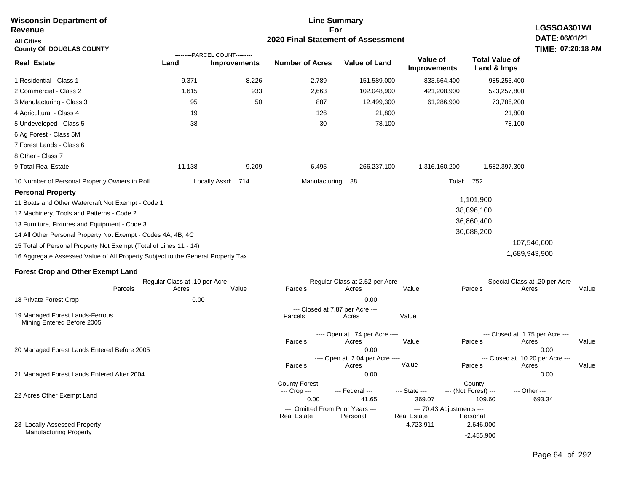| <b>Wisconsin Department of</b><br>Revenue                                       |                                                |                                                       |                                              | <b>Line Summary</b><br>For                        |                                        |                                          | LGSSOA301WI                                      |                   |  |
|---------------------------------------------------------------------------------|------------------------------------------------|-------------------------------------------------------|----------------------------------------------|---------------------------------------------------|----------------------------------------|------------------------------------------|--------------------------------------------------|-------------------|--|
| <b>All Cities</b>                                                               |                                                | 2020 Final Statement of Assessment                    |                                              |                                                   |                                        |                                          |                                                  |                   |  |
| <b>County Of DOUGLAS COUNTY</b>                                                 |                                                |                                                       |                                              |                                                   |                                        |                                          | DATE: 06/01/21                                   | TIME: 07:20:18 AM |  |
| <b>Real Estate</b>                                                              | Land                                           | ---------PARCEL COUNT---------<br><b>Improvements</b> | <b>Number of Acres</b>                       | <b>Value of Land</b>                              | <b>Value of</b><br><b>Improvements</b> | <b>Total Value of</b><br>Land & Imps     |                                                  |                   |  |
| 1 Residential - Class 1                                                         | 9,371                                          | 8,226                                                 | 2,789                                        | 151,589,000                                       | 833,664,400                            | 985,253,400                              |                                                  |                   |  |
| 2 Commercial - Class 2                                                          | 1,615                                          | 933                                                   | 2,663                                        | 102,048,900                                       | 421,208,900                            | 523,257,800                              |                                                  |                   |  |
| 3 Manufacturing - Class 3                                                       | 95                                             | 50                                                    | 887                                          | 12,499,300                                        |                                        | 61,286,900                               | 73,786,200                                       |                   |  |
| 4 Agricultural - Class 4                                                        | 19                                             |                                                       | 126                                          | 21,800                                            |                                        |                                          | 21,800                                           |                   |  |
| 5 Undeveloped - Class 5<br>6 Ag Forest - Class 5M                               | 38                                             |                                                       | 30                                           |                                                   | 78,100                                 |                                          | 78,100                                           |                   |  |
| 7 Forest Lands - Class 6                                                        |                                                |                                                       |                                              |                                                   |                                        |                                          |                                                  |                   |  |
| 8 Other - Class 7                                                               |                                                |                                                       |                                              |                                                   |                                        |                                          |                                                  |                   |  |
| 9 Total Real Estate                                                             | 11,138                                         | 9,209                                                 | 6,495                                        | 266,237,100                                       | 1,316,160,200                          | 1,582,397,300                            |                                                  |                   |  |
| 10 Number of Personal Property Owners in Roll                                   |                                                | Locally Assd: 714                                     |                                              | Manufacturing: 38                                 |                                        | Total: 752                               |                                                  |                   |  |
| <b>Personal Property</b>                                                        |                                                |                                                       |                                              |                                                   |                                        |                                          |                                                  |                   |  |
| 11 Boats and Other Watercraft Not Exempt - Code 1                               |                                                |                                                       |                                              |                                                   |                                        | 1,101,900                                |                                                  |                   |  |
| 12 Machinery, Tools and Patterns - Code 2                                       |                                                |                                                       |                                              |                                                   |                                        | 38,896,100                               |                                                  |                   |  |
| 13 Furniture, Fixtures and Equipment - Code 3                                   |                                                |                                                       |                                              |                                                   |                                        | 36,860,400                               |                                                  |                   |  |
| 14 All Other Personal Property Not Exempt - Codes 4A, 4B, 4C                    |                                                |                                                       |                                              |                                                   |                                        | 30,688,200                               |                                                  |                   |  |
| 15 Total of Personal Property Not Exempt (Total of Lines 11 - 14)               |                                                |                                                       |                                              |                                                   |                                        |                                          | 107,546,600                                      |                   |  |
| 16 Aggregate Assessed Value of All Property Subject to the General Property Tax |                                                |                                                       |                                              |                                                   |                                        |                                          | 1,689,943,900                                    |                   |  |
| <b>Forest Crop and Other Exempt Land</b>                                        |                                                |                                                       |                                              |                                                   |                                        |                                          |                                                  |                   |  |
| Parcels                                                                         | ---Regular Class at .10 per Acre ----<br>Acres | Value                                                 | Parcels                                      | ---- Regular Class at 2.52 per Acre ----<br>Acres | Value                                  | Parcels                                  | ----Special Class at .20 per Acre----<br>Acres   | Value             |  |
| 18 Private Forest Crop                                                          | 0.00                                           |                                                       |                                              | 0.00                                              |                                        |                                          |                                                  |                   |  |
| 19 Managed Forest Lands-Ferrous<br>Mining Entered Before 2005                   |                                                |                                                       | Parcels                                      | --- Closed at 7.87 per Acre ---<br>Acres          | Value                                  |                                          |                                                  |                   |  |
| 20 Managed Forest Lands Entered Before 2005                                     |                                                |                                                       | Parcels                                      | ---- Open at .74 per Acre ----<br>Acres<br>0.00   | Value                                  | Parcels                                  | --- Closed at 1.75 per Acre ---<br>Acres<br>0.00 | Value             |  |
|                                                                                 |                                                |                                                       |                                              | ---- Open at 2.04 per Acre ----                   |                                        |                                          | --- Closed at 10.20 per Acre ---                 |                   |  |
|                                                                                 |                                                |                                                       | Parcels                                      | Acres                                             | Value                                  | Parcels                                  | Acres                                            | Value             |  |
| 21 Managed Forest Lands Entered After 2004                                      |                                                |                                                       |                                              | 0.00                                              |                                        |                                          | 0.00                                             |                   |  |
| 22 Acres Other Exempt Land                                                      |                                                |                                                       | <b>County Forest</b><br>--- Crop ---<br>0.00 | --- Federal ---<br>41.65                          | --- State ---<br>369.07                | County<br>--- (Not Forest) ---<br>109.60 | --- Other ---<br>693.34                          |                   |  |
|                                                                                 |                                                |                                                       |                                              | --- Omitted From Prior Years ---                  |                                        | --- 70.43 Adjustments ---                |                                                  |                   |  |
| 23 Locally Assessed Property                                                    |                                                |                                                       | <b>Real Estate</b>                           | Personal                                          | <b>Real Estate</b><br>$-4,723,911$     | Personal<br>$-2,646,000$                 |                                                  |                   |  |
| <b>Manufacturing Property</b>                                                   |                                                |                                                       |                                              |                                                   |                                        | $-2,455,900$                             |                                                  |                   |  |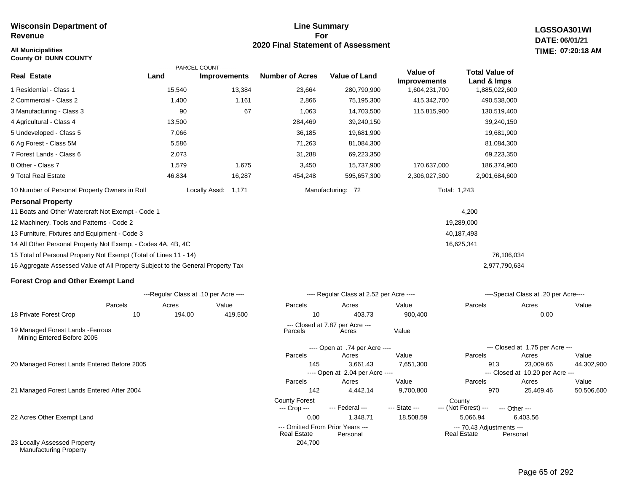#### **All Municipalities TIME: County Of DUNN COUNTY**

#### **Line Summary For 2020 Final Statement of Assessment**

**LGSSOA301WI DATE: 06/01/21 07:20:18 AM**

|                                                                                 |        | ---------PARCEL COUNT---------        |                                      |                                          |                                 |                                      |                                           |            |
|---------------------------------------------------------------------------------|--------|---------------------------------------|--------------------------------------|------------------------------------------|---------------------------------|--------------------------------------|-------------------------------------------|------------|
| <b>Real Estate</b>                                                              | Land   | <b>Improvements</b>                   | <b>Number of Acres</b>               | <b>Value of Land</b>                     | Value of<br><b>Improvements</b> | <b>Total Value of</b><br>Land & Imps |                                           |            |
| 1 Residential - Class 1                                                         | 15,540 | 13,384                                | 23,664                               | 280,790,900                              | 1,604,231,700                   | 1,885,022,600                        |                                           |            |
| 2 Commercial - Class 2                                                          | 1,400  | 1,161                                 | 2,866                                | 75,195,300                               | 415,342,700                     | 490,538,000                          |                                           |            |
| 3 Manufacturing - Class 3                                                       | 90     | 67                                    | 1,063                                | 14,703,500                               | 115,815,900                     | 130,519,400                          |                                           |            |
| 4 Agricultural - Class 4                                                        | 13,500 |                                       | 284,469                              | 39,240,150                               |                                 | 39,240,150                           |                                           |            |
| 5 Undeveloped - Class 5                                                         | 7,066  |                                       | 36,185                               | 19,681,900                               |                                 | 19,681,900                           |                                           |            |
| 6 Ag Forest - Class 5M                                                          | 5,586  |                                       | 71,263                               | 81,084,300                               |                                 | 81,084,300                           |                                           |            |
| 7 Forest Lands - Class 6                                                        | 2,073  |                                       | 31,288                               | 69,223,350                               |                                 | 69,223,350                           |                                           |            |
| 8 Other - Class 7                                                               | 1,579  | 1,675                                 | 3,450                                | 15,737,900                               | 170,637,000                     | 186,374,900                          |                                           |            |
| 9 Total Real Estate                                                             | 46,834 | 16,287                                | 454,248                              | 595,657,300                              | 2,306,027,300                   | 2,901,684,600                        |                                           |            |
| 10 Number of Personal Property Owners in Roll                                   |        | Locally Assd:<br>1,171                |                                      | Manufacturing: 72                        |                                 | Total: 1,243                         |                                           |            |
| <b>Personal Property</b>                                                        |        |                                       |                                      |                                          |                                 |                                      |                                           |            |
| 11 Boats and Other Watercraft Not Exempt - Code 1                               |        |                                       |                                      |                                          |                                 | 4,200                                |                                           |            |
| 12 Machinery, Tools and Patterns - Code 2                                       |        |                                       |                                      |                                          |                                 | 19,289,000                           |                                           |            |
| 13 Furniture, Fixtures and Equipment - Code 3                                   |        |                                       |                                      |                                          |                                 | 40,187,493                           |                                           |            |
| 14 All Other Personal Property Not Exempt - Codes 4A, 4B, 4C                    |        |                                       |                                      |                                          |                                 | 16,625,341                           |                                           |            |
| 15 Total of Personal Property Not Exempt (Total of Lines 11 - 14)               |        |                                       |                                      |                                          |                                 | 76,106,034                           |                                           |            |
| 16 Aggregate Assessed Value of All Property Subject to the General Property Tax |        |                                       |                                      |                                          |                                 | 2,977,790,634                        |                                           |            |
| <b>Forest Crop and Other Exempt Land</b>                                        |        |                                       |                                      |                                          |                                 |                                      |                                           |            |
|                                                                                 |        | ---Regular Class at .10 per Acre ---- |                                      | ---- Regular Class at 2.52 per Acre ---- |                                 |                                      | ----Special Class at .20 per Acre----     |            |
| Parcels                                                                         | Acres  | Value                                 | Parcels                              | Acres                                    | Value                           | Parcels                              | Acres                                     | Value      |
| 18 Private Forest Crop<br>10                                                    | 194.00 | 419,500                               | 10                                   | 403.73                                   | 900,400                         |                                      | 0.00                                      |            |
| 19 Managed Forest Lands - Ferrous<br>Mining Entered Before 2005                 |        |                                       | Parcels                              | --- Closed at 7.87 per Acre ---<br>Acres | Value                           |                                      |                                           |            |
|                                                                                 |        |                                       |                                      | ---- Open at .74 per Acre ----           |                                 |                                      | --- Closed at 1.75 per Acre ---           |            |
|                                                                                 |        |                                       | Parcels                              | Acres                                    | Value                           | Parcels                              | Acres                                     | Value      |
| 20 Managed Forest Lands Entered Before 2005                                     |        |                                       | 145                                  | 3.661.43                                 | 7,651,300                       | 913                                  | 23,009.66                                 | 44,302,900 |
|                                                                                 |        |                                       | Parcels                              | ---- Open at 2.04 per Acre ----<br>Acres | Value                           | Parcels                              | --- Closed at 10.20 per Acre ---<br>Acres | Value      |
| 21 Managed Forest Lands Entered After 2004                                      |        |                                       | 142                                  | 4,442.14                                 | 9,700,800                       | 970                                  | 25,469.46                                 | 50,506,600 |
|                                                                                 |        |                                       | <b>County Forest</b><br>--- Crop --- | --- Federal ---                          | --- State ---                   | County<br>--- (Not Forest) ---       | --- Other ---                             |            |

204,700

22 Acres Other Exempt Land

23 Locally Assessed Property Manufacturing Property

| Parcels        | Acres                           | Value |
|----------------|---------------------------------|-------|
|                | 0.00                            |       |
|                |                                 |       |
|                |                                 |       |
|                | --- Closed at 1.75 per Acre --- |       |
| <b>Doroolo</b> | $\Lambda$                       | 1/n!  |

50,506,600 0.00 1,348.71 18,508.59 5,066.94 6,403.56 Acre ---

--- Omitted From Prior Years --- ---- ---- ---- ---- --- 70.43 Adjustments ---

Real Estate Personal **Real Estate** Personal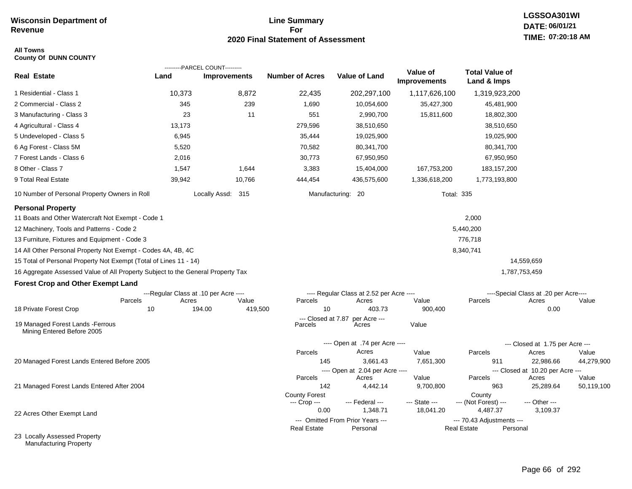#### **Line Summary For 2020 Final Statement of Assessment**

#### **All Towns County Of DUNN COUNTY**

|                                                                                 |                                       | ---------PARCEL COUNT--------- |                               |                                              | Value of            | <b>Total Value of</b>                           |                                           |            |
|---------------------------------------------------------------------------------|---------------------------------------|--------------------------------|-------------------------------|----------------------------------------------|---------------------|-------------------------------------------------|-------------------------------------------|------------|
| <b>Real Estate</b>                                                              | Land                                  | <b>Improvements</b>            | <b>Number of Acres</b>        | <b>Value of Land</b>                         | <b>Improvements</b> | Land & Imps                                     |                                           |            |
| 1 Residential - Class 1                                                         | 10,373                                | 8,872                          | 22,435                        | 202,297,100                                  | 1,117,626,100       | 1,319,923,200                                   |                                           |            |
| 2 Commercial - Class 2                                                          | 345                                   | 239                            | 1,690                         | 10,054,600                                   | 35,427,300          | 45,481,900                                      |                                           |            |
| 3 Manufacturing - Class 3                                                       | 23                                    | 11                             | 551                           | 2,990,700                                    | 15,811,600          | 18,802,300                                      |                                           |            |
| 4 Agricultural - Class 4                                                        | 13,173                                |                                | 279,596                       | 38,510,650                                   |                     | 38,510,650                                      |                                           |            |
| 5 Undeveloped - Class 5                                                         | 6,945                                 |                                | 35,444                        | 19,025,900                                   |                     | 19,025,900                                      |                                           |            |
| 6 Ag Forest - Class 5M                                                          | 5,520                                 |                                | 70,582                        | 80,341,700                                   |                     | 80,341,700                                      |                                           |            |
| 7 Forest Lands - Class 6                                                        | 2,016                                 |                                | 30,773                        | 67,950,950                                   |                     | 67,950,950                                      |                                           |            |
| 8 Other - Class 7                                                               | 1,547                                 | 1,644                          | 3,383                         | 15,404,000                                   | 167,753,200         | 183, 157, 200                                   |                                           |            |
| 9 Total Real Estate                                                             | 39,942                                | 10,766                         | 444,454                       | 436,575,600                                  | 1,336,618,200       | 1,773,193,800                                   |                                           |            |
| 10 Number of Personal Property Owners in Roll                                   |                                       | Locally Assd: 315              |                               | Manufacturing:<br>- 20                       | <b>Total: 335</b>   |                                                 |                                           |            |
| <b>Personal Property</b>                                                        |                                       |                                |                               |                                              |                     |                                                 |                                           |            |
| 11 Boats and Other Watercraft Not Exempt - Code 1                               |                                       |                                |                               |                                              |                     | 2,000                                           |                                           |            |
| 12 Machinery, Tools and Patterns - Code 2                                       |                                       |                                |                               |                                              |                     | 5,440,200                                       |                                           |            |
| 13 Furniture, Fixtures and Equipment - Code 3                                   |                                       |                                |                               |                                              |                     | 776,718                                         |                                           |            |
| 14 All Other Personal Property Not Exempt - Codes 4A, 4B, 4C                    |                                       |                                |                               |                                              |                     | 8,340,741                                       |                                           |            |
| 15 Total of Personal Property Not Exempt (Total of Lines 11 - 14)               |                                       |                                |                               |                                              |                     |                                                 | 14,559,659                                |            |
| 16 Aggregate Assessed Value of All Property Subject to the General Property Tax |                                       |                                |                               |                                              |                     |                                                 | 1,787,753,459                             |            |
| <b>Forest Crop and Other Exempt Land</b>                                        |                                       |                                |                               |                                              |                     |                                                 |                                           |            |
|                                                                                 | ---Regular Class at .10 per Acre ---- |                                |                               | ---- Regular Class at 2.52 per Acre ----     |                     |                                                 | ----Special Class at .20 per Acre----     |            |
|                                                                                 | Parcels<br>Acres                      | Value                          | Parcels                       | Acres                                        | Value               | Parcels                                         | Acres                                     | Value      |
| 18 Private Forest Crop                                                          | 10                                    | 194.00<br>419,500              | 10                            | 403.73                                       | 900,400             |                                                 | 0.00                                      |            |
| 19 Managed Forest Lands - Ferrous<br>Mining Entered Before 2005                 |                                       |                                | --- Closed at 7.87<br>Parcels | per Acre ---<br>Acres                        | Value               |                                                 |                                           |            |
|                                                                                 |                                       |                                |                               | ---- Open at .74 per Acre ----               |                     |                                                 | --- Closed at 1.75 per Acre ---           |            |
|                                                                                 |                                       |                                | Parcels                       | Acres                                        | Value               | Parcels                                         | Acres                                     | Value      |
| 20 Managed Forest Lands Entered Before 2005                                     |                                       |                                | 145                           | 3,661.43                                     | 7,651,300           | 911                                             | 22,986.66                                 | 44,279,900 |
|                                                                                 |                                       |                                | Parcels                       | ---- Open at 2.04 per Acre ----<br>Acres     | Value               | Parcels                                         | --- Closed at 10.20 per Acre ---<br>Acres | Value      |
| 21 Managed Forest Lands Entered After 2004                                      |                                       |                                | 142                           | 4,442.14                                     | 9,700,800           | 963                                             | 25,289.64                                 | 50,119,100 |
|                                                                                 |                                       |                                | <b>County Forest</b>          |                                              |                     | County                                          |                                           |            |
|                                                                                 |                                       |                                | --- Crop ---                  | --- Federal ---                              | --- State ---       | --- (Not Forest) ---                            | --- Other ---                             |            |
| 22 Acres Other Exempt Land                                                      |                                       |                                | 0.00                          | 1,348.71                                     | 18,041.20           | 4,487.37                                        | 3,109.37                                  |            |
|                                                                                 |                                       |                                | <b>Real Estate</b>            | --- Omitted From Prior Years ---<br>Personal |                     | --- 70.43 Adjustments ---<br><b>Real Estate</b> | Personal                                  |            |
| 23 Locally Assessed Property                                                    |                                       |                                |                               |                                              |                     |                                                 |                                           |            |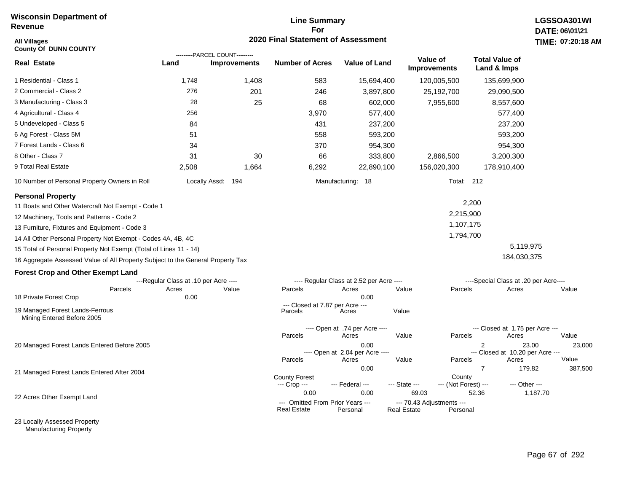#### **Line Summary For 2020 Final Statement of Assessment**

| <b>All Villages</b><br><b>County Of DUNN COUNTY</b>                             |                                       |                                                       | <b>2020 Final Statement of Assessment</b>              |                                          |                                                 |                                |                                       |          | TIME: 07:20:18 |
|---------------------------------------------------------------------------------|---------------------------------------|-------------------------------------------------------|--------------------------------------------------------|------------------------------------------|-------------------------------------------------|--------------------------------|---------------------------------------|----------|----------------|
| <b>Real Estate</b>                                                              | Land                                  | ---------PARCEL COUNT---------<br><b>Improvements</b> | <b>Number of Acres</b>                                 | <b>Value of Land</b>                     | Value of<br><b>Improvements</b>                 |                                | <b>Total Value of</b><br>Land & Imps  |          |                |
| 1 Residential - Class 1                                                         | 1,748                                 | 1,408                                                 | 583                                                    | 15,694,400                               |                                                 | 120,005,500                    | 135,699,900                           |          |                |
| 2 Commercial - Class 2                                                          | 276                                   | 201                                                   | 246                                                    | 3,897,800                                |                                                 | 25,192,700                     | 29,090,500                            |          |                |
| 3 Manufacturing - Class 3                                                       | 28                                    | 25                                                    | 68                                                     | 602,000                                  |                                                 | 7,955,600                      | 8,557,600                             |          |                |
| 4 Agricultural - Class 4                                                        | 256                                   |                                                       | 3,970                                                  | 577,400                                  |                                                 |                                | 577,400                               |          |                |
| 5 Undeveloped - Class 5                                                         | 84                                    |                                                       | 431                                                    | 237,200                                  |                                                 |                                | 237,200                               |          |                |
| 6 Ag Forest - Class 5M                                                          | 51                                    |                                                       | 558                                                    | 593,200                                  |                                                 |                                | 593,200                               |          |                |
| 7 Forest Lands - Class 6                                                        | 34                                    |                                                       | 370                                                    | 954,300                                  |                                                 |                                | 954,300                               |          |                |
| 8 Other - Class 7                                                               | 31                                    | 30                                                    | 66                                                     | 333,800                                  |                                                 | 2,866,500                      | 3,200,300                             |          |                |
| 9 Total Real Estate                                                             | 2,508                                 | 1.664                                                 | 6,292                                                  | 22,890,100                               |                                                 | 156,020,300                    | 178,910,400                           |          |                |
| 10 Number of Personal Property Owners in Roll                                   |                                       | Locally Assd: 194                                     |                                                        | Manufacturing: 18                        |                                                 | Total: 212                     |                                       |          |                |
| <b>Personal Property</b>                                                        |                                       |                                                       |                                                        |                                          |                                                 |                                |                                       |          |                |
| 11 Boats and Other Watercraft Not Exempt - Code 1                               |                                       |                                                       |                                                        |                                          |                                                 |                                | 2,200                                 |          |                |
| 12 Machinery, Tools and Patterns - Code 2                                       |                                       |                                                       |                                                        |                                          |                                                 | 2,215,900                      |                                       |          |                |
| 13 Furniture, Fixtures and Equipment - Code 3                                   |                                       |                                                       |                                                        |                                          |                                                 | 1,107,175                      |                                       |          |                |
| 14 All Other Personal Property Not Exempt - Codes 4A, 4B, 4C                    |                                       |                                                       |                                                        |                                          |                                                 | 1,794,700                      |                                       |          |                |
| 15 Total of Personal Property Not Exempt (Total of Lines 11 - 14)               |                                       |                                                       |                                                        |                                          |                                                 |                                | 5,119,975                             |          |                |
| 16 Aggregate Assessed Value of All Property Subject to the General Property Tax |                                       |                                                       |                                                        |                                          |                                                 |                                | 184,030,375                           |          |                |
| <b>Forest Crop and Other Exempt Land</b>                                        |                                       |                                                       |                                                        |                                          |                                                 |                                |                                       |          |                |
|                                                                                 | ---Regular Class at .10 per Acre ---- |                                                       |                                                        | ---- Regular Class at 2.52 per Acre ---- |                                                 |                                | ----Special Class at .20 per Acre---- |          |                |
| Parcels                                                                         | Acres                                 | Value                                                 | Parcels                                                | Acres<br>0.00                            | Value                                           | Parcels                        | Acres                                 |          | Value          |
| 18 Private Forest Crop                                                          | 0.00                                  |                                                       | --- Closed at 7.87 per Acre ---                        |                                          |                                                 |                                |                                       |          |                |
| 19 Managed Forest Lands-Ferrous<br>Mining Entered Before 2005                   |                                       |                                                       | Parcels                                                | Acres                                    | Value                                           |                                |                                       |          |                |
|                                                                                 |                                       |                                                       |                                                        | ---- Open at .74 per Acre ----           |                                                 |                                | --- Closed at 1.75 per Acre ---       |          |                |
|                                                                                 |                                       |                                                       | Parcels                                                | Acres                                    | Value                                           | Parcels                        | Acres                                 |          | Value          |
| 20 Managed Forest Lands Entered Before 2005                                     |                                       |                                                       |                                                        | 0.00<br>---- Open at 2.04 per Acre ----  |                                                 |                                | 2<br>--- Closed at 10.20 per Acre --- | 23.00    | 23,000         |
|                                                                                 |                                       |                                                       | Parcels                                                | Acres                                    | Value                                           | Parcels                        | Acres                                 |          | Value          |
| 21 Managed Forest Lands Entered After 2004                                      |                                       |                                                       |                                                        | 0.00                                     |                                                 |                                | $\overline{7}$                        | 179.82   | 387,500        |
|                                                                                 |                                       |                                                       | <b>County Forest</b><br>--- Crop ---                   | --- Federal ---                          | --- State ---                                   | County<br>--- (Not Forest) --- | --- Other ---                         |          |                |
| 22 Acres Other Exempt Land                                                      |                                       |                                                       | 0.00                                                   | 0.00                                     | 69.03                                           |                                | 52.36                                 | 1,187.70 |                |
|                                                                                 |                                       |                                                       | --- Omitted From Prior Years ---<br><b>Real Estate</b> | Personal                                 | --- 70.43 Adjustments ---<br><b>Real Estate</b> | Personal                       |                                       |          |                |

23 Locally Assessed Property Manufacturing Property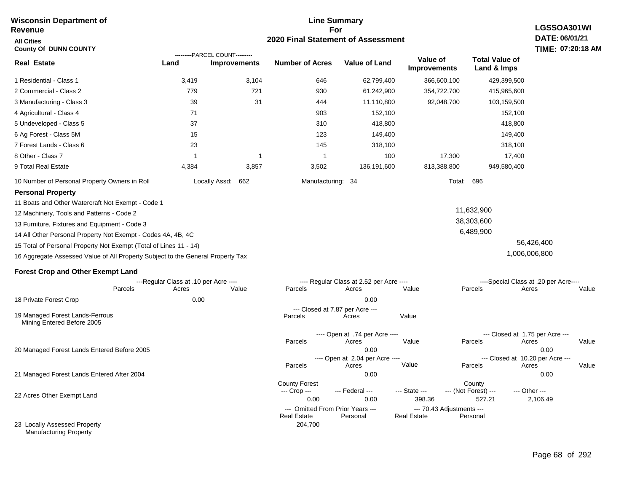#### **For 2020 Final Statement of Assessment Revenue All Cities County Of DUNN COUNTY LGSSOA301WI DATE: 06/01/21 TIME: 07:20:18 AM Real Estate** 1 Residential - Class 1 2 Commercial - Class 2 3 Manufacturing - Class 3 4 Agricultural - Class 4 5 Undeveloped - Class 5 6 Ag Forest - Class 5M 7 Forest Lands - Class 6 8 Other - Class 7 9 Total Real Estate 10 Number of Personal Property Owners in Roll 3,419 3,104 646 62,799,400 366,600,100 429,399,500 **Land Improvements Number of Acres Value of Land Value of Improvements Total Value of Land & Imps** 779 39 71 37 15 23 1 4,384 721 31 1 3,857 930 444 903 310 123 145 1 3,502 61,242,900 11,110,800 152,100 418,800 149,400 318,100 100 136,191,600 354,722,700 92,048,700 17,300 813,388,800 415,965,600 103,159,500 152,100 418,800 149,400 318,100 17,400 949,580,400 Locally Assd: 662 Manufacturing: 34 Total: 696 **Personal Property** 11 Boats and Other Watercraft Not Exempt - Code 1 12 Machinery, Tools and Patterns - Code 2 13 Furniture, Fixtures and Equipment - Code 3 14 All Other Personal Property Not Exempt - Codes 4A, 4B, 4C 15 Total of Personal Property Not Exempt (Total of Lines 11 - 14) 16 Aggregate Assessed Value of All Property Subject to the General Property Tax 11,632,900 38,303,600 6,489,900 56,426,400 1,006,006,800 **Forest Crop and Other Exempt Land** ---Regular Class at .10 per Acre ---- ---- Regular Class at 2.52 per Acre ---- ----Special Class at .20 per Acre---- 18 Private Forest Crop 20 Managed Forest Lands Entered Before 2005 21 Managed Forest Lands Entered After 2004 Parcels 0.00 0.00 Acres Value Parcels Acres Value Parcels Acres Value ---- Open at .74 per Acre<br>Acres Parcels 0.00 0.00 Acres Value Parcels Acres Value --- Closed at 1.75 per Acre --- ---- Open at 2.04 per Acre ---- --- Closed at 10.20 per Acre --- Parcels 0.00 0.00 Acres **Value Parcels Acres Value** County Forest County County --- Crop --- 0.00 0.00 398.36 527.21 2,106.49 --- Federal --- - --- State --- --- (Not Forest) --- --- Other ---22 Acres Other Exempt Land --- Omitted From Prior Years ---<br>Real Estate Personal Personal Real Estate Personal 204,700 **Real Estate** ---------PARCEL COUNT--------- 19 Managed Forest Lands-Ferrous Mining Entered Before 2005 --- Closed at 7.87 per Acre ---<br>rcels Acres Parcels **Acres** Value

**Line Summary**

23 Locally Assessed Property Manufacturing Property

**Wisconsin Department of**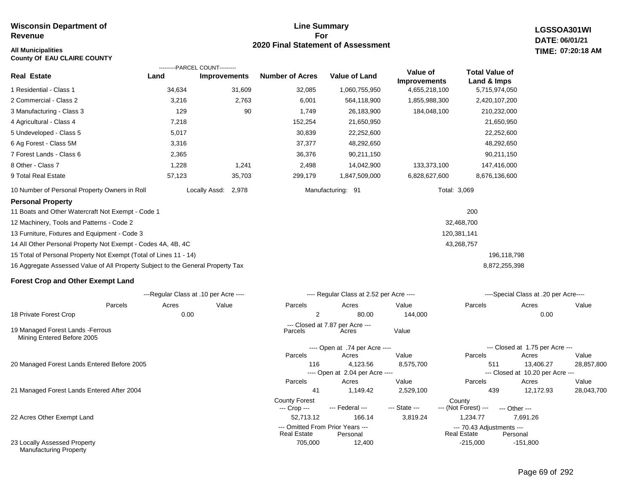Manufacturing Property

#### **Line Summary For 2020 Final Statement of Assessment All Municipalities TIME:**

**LGSSOA301WI DATE: 06/01/21 07:20:18 AM**

| <b>County Of EAU CLAIRE COUNTY</b>                                              |                                       |                                                       |                        |                                              |                                      |                                          |                                               |            |
|---------------------------------------------------------------------------------|---------------------------------------|-------------------------------------------------------|------------------------|----------------------------------------------|--------------------------------------|------------------------------------------|-----------------------------------------------|------------|
| <b>Real Estate</b>                                                              | Land                                  | ---------PARCEL COUNT---------<br><b>Improvements</b> | <b>Number of Acres</b> | <b>Value of Land</b>                         | Value of                             | <b>Total Value of</b>                    |                                               |            |
| 1 Residential - Class 1                                                         | 34,634                                | 31,609                                                | 32,085                 | 1,060,755,950                                | <b>Improvements</b><br>4,655,218,100 | Land & Imps<br>5,715,974,050             |                                               |            |
| 2 Commercial - Class 2                                                          | 3,216                                 | 2,763                                                 | 6,001                  | 564,118,900                                  | 1,855,988,300                        | 2,420,107,200                            |                                               |            |
| 3 Manufacturing - Class 3                                                       | 129                                   | 90                                                    | 1,749                  | 26,183,900                                   | 184,048,100                          | 210,232,000                              |                                               |            |
| 4 Agricultural - Class 4                                                        | 7,218                                 |                                                       | 152,254                | 21,650,950                                   |                                      | 21,650,950                               |                                               |            |
| 5 Undeveloped - Class 5                                                         | 5,017                                 |                                                       | 30,839                 | 22,252,600                                   |                                      | 22,252,600                               |                                               |            |
| 6 Ag Forest - Class 5M                                                          | 3,316                                 |                                                       | 37,377                 | 48,292,650                                   |                                      | 48,292,650                               |                                               |            |
| 7 Forest Lands - Class 6                                                        | 2,365                                 |                                                       | 36,376                 | 90,211,150                                   |                                      | 90,211,150                               |                                               |            |
| 8 Other - Class 7                                                               | 1,228                                 | 1,241                                                 | 2,498                  | 14,042,900                                   | 133,373,100                          | 147,416,000                              |                                               |            |
| 9 Total Real Estate                                                             | 57,123                                | 35,703                                                | 299,179                | 1,847,509,000                                | 6,828,627,600                        | 8,676,136,600                            |                                               |            |
| 10 Number of Personal Property Owners in Roll                                   |                                       | Locally Assd: 2,978                                   |                        | Manufacturing: 91                            |                                      | Total: 3,069                             |                                               |            |
| <b>Personal Property</b>                                                        |                                       |                                                       |                        |                                              |                                      |                                          |                                               |            |
| 11 Boats and Other Watercraft Not Exempt - Code 1                               |                                       |                                                       |                        |                                              |                                      | 200                                      |                                               |            |
| 12 Machinery, Tools and Patterns - Code 2                                       |                                       |                                                       |                        |                                              |                                      | 32,468,700                               |                                               |            |
| 13 Furniture, Fixtures and Equipment - Code 3                                   |                                       |                                                       |                        |                                              |                                      | 120,381,141                              |                                               |            |
| 14 All Other Personal Property Not Exempt - Codes 4A, 4B, 4C                    |                                       |                                                       |                        |                                              |                                      | 43,268,757                               |                                               |            |
| 15 Total of Personal Property Not Exempt (Total of Lines 11 - 14)               |                                       |                                                       |                        |                                              |                                      |                                          | 196,118,798                                   |            |
| 16 Aggregate Assessed Value of All Property Subject to the General Property Tax |                                       |                                                       |                        |                                              |                                      |                                          | 8,872,255,398                                 |            |
| <b>Forest Crop and Other Exempt Land</b>                                        |                                       |                                                       |                        |                                              |                                      |                                          |                                               |            |
|                                                                                 | ---Regular Class at .10 per Acre ---- |                                                       |                        | ---- Regular Class at 2.52 per Acre ----     |                                      |                                          | ----Special Class at .20 per Acre----         |            |
| Parcels                                                                         | Acres                                 | Value                                                 | Parcels                | Acres                                        | Value                                | Parcels                                  | Acres                                         | Value      |
| 18 Private Forest Crop                                                          | 0.00                                  |                                                       | $\overline{2}$         | 80.00                                        | 144,000                              |                                          | 0.00                                          |            |
| 19 Managed Forest Lands - Ferrous<br>Mining Entered Before 2005                 |                                       |                                                       | Parcels                | --- Closed at 7.87 per Acre ---<br>Acres     | Value                                |                                          |                                               |            |
|                                                                                 |                                       |                                                       |                        | ---- Open at .74 per Acre ----               |                                      |                                          | --- Closed at 1.75 per Acre ---               |            |
|                                                                                 |                                       |                                                       | Parcels                | Acres                                        | Value                                | Parcels                                  | Acres                                         | Value      |
| 20 Managed Forest Lands Entered Before 2005                                     |                                       |                                                       | 116                    | 4,123.56<br>---- Open at 2.04 per Acre ----  | 8,575,700                            | 511                                      | 13,406.27<br>--- Closed at 10.20 per Acre --- | 28,857,800 |
|                                                                                 |                                       |                                                       | Parcels                | Acres                                        | Value                                | Parcels                                  | Acres                                         | Value      |
| 21 Managed Forest Lands Entered After 2004                                      |                                       |                                                       | 41                     | 1,149.42                                     | 2,529,100                            | 439                                      | 12,172.93                                     | 28,043,700 |
|                                                                                 |                                       |                                                       | <b>County Forest</b>   |                                              |                                      | County                                   |                                               |            |
|                                                                                 |                                       |                                                       | --- Crop ---           | --- Federal ---                              | --- State ---                        | --- (Not Forest) ---                     | --- Other ---                                 |            |
| 22 Acres Other Exempt Land                                                      |                                       |                                                       | 52,713.12              | 166.14                                       | 3,819.24                             | 1,234.77                                 | 7,691.26                                      |            |
|                                                                                 |                                       |                                                       | <b>Real Estate</b>     | --- Omitted From Prior Years ---<br>Personal |                                      | --- 70.43 Adjustments ---<br>Real Estate | Personal                                      |            |
| 23 Locally Assessed Property                                                    |                                       |                                                       | 705,000                | 12,400                                       |                                      | $-215.000$                               | $-151,800$                                    |            |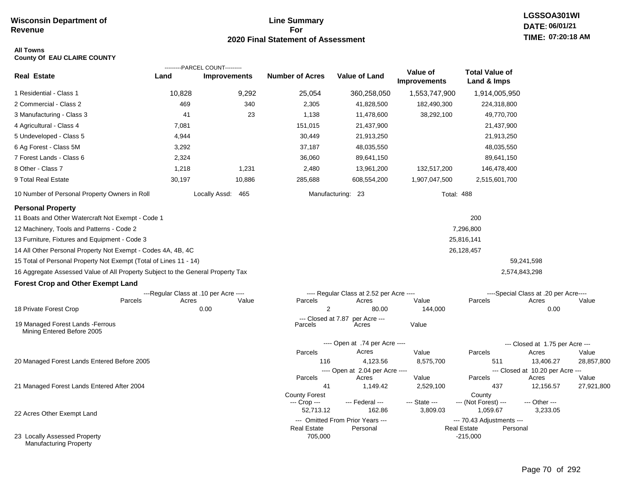#### **Line Summary For 2020 Final Statement of Assessment**

#### **All Towns County Of EAU CLAIRE COUNTY**

|                                                                                                                                                                                                                                                                                                                  |        | ---------PARCEL COUNT---------        |                                                   |                                              |                                 |                                              |                                           |            |
|------------------------------------------------------------------------------------------------------------------------------------------------------------------------------------------------------------------------------------------------------------------------------------------------------------------|--------|---------------------------------------|---------------------------------------------------|----------------------------------------------|---------------------------------|----------------------------------------------|-------------------------------------------|------------|
| <b>Real Estate</b>                                                                                                                                                                                                                                                                                               | Land   | <b>Improvements</b>                   | <b>Number of Acres</b>                            | <b>Value of Land</b>                         | Value of<br><b>Improvements</b> | <b>Total Value of</b><br>Land & Imps         |                                           |            |
| 1 Residential - Class 1                                                                                                                                                                                                                                                                                          | 10,828 | 9,292                                 | 25,054                                            | 360,258,050                                  | 1,553,747,900                   | 1,914,005,950                                |                                           |            |
| 2 Commercial - Class 2                                                                                                                                                                                                                                                                                           | 469    | 340                                   | 2,305                                             | 41,828,500                                   | 182,490,300                     | 224,318,800                                  |                                           |            |
| 3 Manufacturing - Class 3                                                                                                                                                                                                                                                                                        | 41     | 23                                    | 1,138                                             | 11,478,600                                   | 38,292,100                      | 49,770,700                                   |                                           |            |
| 4 Agricultural - Class 4                                                                                                                                                                                                                                                                                         | 7,081  |                                       | 151,015                                           | 21,437,900                                   |                                 | 21,437,900                                   |                                           |            |
| 5 Undeveloped - Class 5                                                                                                                                                                                                                                                                                          | 4,944  |                                       | 30,449                                            | 21,913,250                                   |                                 | 21,913,250                                   |                                           |            |
| 6 Ag Forest - Class 5M                                                                                                                                                                                                                                                                                           | 3,292  |                                       | 37,187                                            | 48,035,550                                   |                                 | 48,035,550                                   |                                           |            |
| 7 Forest Lands - Class 6                                                                                                                                                                                                                                                                                         | 2,324  |                                       | 36,060                                            | 89,641,150                                   |                                 | 89,641,150                                   |                                           |            |
| 8 Other - Class 7                                                                                                                                                                                                                                                                                                | 1,218  | 1,231                                 | 2,480                                             | 13,961,200                                   | 132,517,200                     | 146,478,400                                  |                                           |            |
| 9 Total Real Estate                                                                                                                                                                                                                                                                                              | 30,197 | 10,886                                | 285,688                                           | 608,554,200                                  | 1,907,047,500                   | 2,515,601,700                                |                                           |            |
| 10 Number of Personal Property Owners in Roll                                                                                                                                                                                                                                                                    |        | Locally Assd: 465                     |                                                   | Manufacturing: 23                            |                                 | <b>Total: 488</b>                            |                                           |            |
| <b>Personal Property</b><br>11 Boats and Other Watercraft Not Exempt - Code 1<br>12 Machinery, Tools and Patterns - Code 2<br>13 Furniture, Fixtures and Equipment - Code 3<br>14 All Other Personal Property Not Exempt - Codes 4A, 4B, 4C<br>15 Total of Personal Property Not Exempt (Total of Lines 11 - 14) |        |                                       |                                                   |                                              |                                 | 200<br>7,296,800<br>25,816,141<br>26,128,457 | 59,241,598                                |            |
| 16 Aggregate Assessed Value of All Property Subject to the General Property Tax                                                                                                                                                                                                                                  |        |                                       |                                                   |                                              |                                 |                                              | 2,574,843,298                             |            |
| <b>Forest Crop and Other Exempt Land</b>                                                                                                                                                                                                                                                                         |        |                                       |                                                   |                                              |                                 |                                              |                                           |            |
|                                                                                                                                                                                                                                                                                                                  |        | ---Regular Class at .10 per Acre ---- |                                                   | ---- Regular Class at 2.52 per Acre ----     |                                 |                                              | ----Special Class at .20 per Acre----     |            |
| Parcels                                                                                                                                                                                                                                                                                                          | Acres  | Value                                 | Parcels                                           | Acres                                        | Value                           | Parcels                                      | Acres                                     | Value      |
| 18 Private Forest Crop                                                                                                                                                                                                                                                                                           |        | 0.00                                  | $\overline{2}$                                    | 80.00                                        | 144,000                         |                                              | 0.00                                      |            |
| 19 Managed Forest Lands - Ferrous<br>Mining Entered Before 2005                                                                                                                                                                                                                                                  |        |                                       | --- Closed at 7.87<br>Parcels                     | per Acre ---<br>Acres                        | Value                           |                                              |                                           |            |
|                                                                                                                                                                                                                                                                                                                  |        |                                       |                                                   | ---- Open at .74 per Acre ----               |                                 |                                              | --- Closed at 1.75 per Acre ---           |            |
|                                                                                                                                                                                                                                                                                                                  |        |                                       | Parcels                                           | Acres                                        | Value                           | Parcels                                      | Acres                                     | Value      |
| 20 Managed Forest Lands Entered Before 2005                                                                                                                                                                                                                                                                      |        |                                       | 116                                               | 4,123.56                                     | 8,575,700                       | 511                                          | 13,406.27                                 | 28,857,800 |
|                                                                                                                                                                                                                                                                                                                  |        |                                       | Parcels                                           | ---- Open at 2.04 per Acre ----<br>Acres     | Value                           | Parcels                                      | --- Closed at 10.20 per Acre ---<br>Acres | Value      |
| 21 Managed Forest Lands Entered After 2004                                                                                                                                                                                                                                                                       |        |                                       | 41                                                | 1,149.42                                     | 2,529,100                       | 437                                          | 12,156.57                                 | 27,921,800 |
| 22 Acres Other Exempt Land                                                                                                                                                                                                                                                                                       |        |                                       | <b>County Forest</b><br>--- Crop ---<br>52,713.12 | --- Federal ---<br>162.86                    | --- State ---<br>3,809.03       | County<br>--- (Not Forest) ---<br>1,059.67   | --- Other ---<br>3,233.05                 |            |
|                                                                                                                                                                                                                                                                                                                  |        |                                       | <b>Real Estate</b>                                | --- Omitted From Prior Years ---<br>Personal |                                 | --- 70.43 Adjustments ---<br>Real Estate     | Personal                                  |            |
| 23 Locally Assessed Property<br>Manufacturing Property                                                                                                                                                                                                                                                           |        |                                       | 705,000                                           |                                              |                                 | $-215,000$                                   |                                           |            |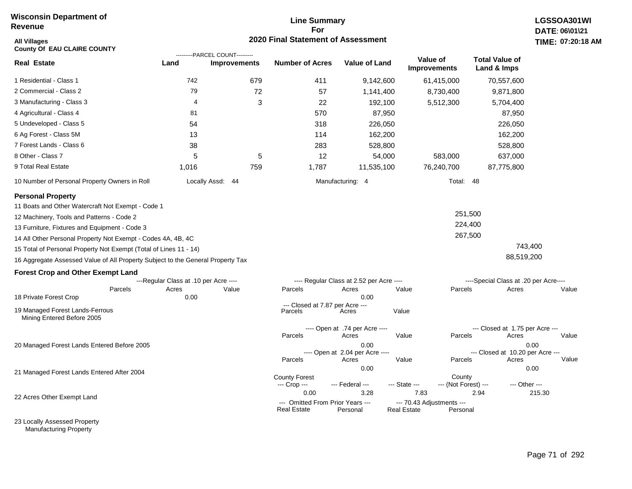#### **Line Summary For 2020 Final Statement of Assessment**

| <b>All Villages</b><br><b>County Of EAU CLAIRE COUNTY</b>                       |                                       |                                                       | 2020 Final Statement of Assessment                     |                                          |                                                             |                                          | <b>TIME: 07:20</b> |
|---------------------------------------------------------------------------------|---------------------------------------|-------------------------------------------------------|--------------------------------------------------------|------------------------------------------|-------------------------------------------------------------|------------------------------------------|--------------------|
| <b>Real Estate</b>                                                              | Land                                  | ---------PARCEL COUNT---------<br><b>Improvements</b> | <b>Number of Acres</b>                                 | <b>Value of Land</b>                     | Value of<br><b>Improvements</b>                             | <b>Total Value of</b><br>Land & Imps     |                    |
| 1 Residential - Class 1                                                         | 742                                   | 679                                                   | 411                                                    | 9,142,600                                | 61,415,000                                                  | 70,557,600                               |                    |
| 2 Commercial - Class 2                                                          | 79                                    | 72                                                    | 57                                                     | 1,141,400                                | 8,730,400                                                   | 9,871,800                                |                    |
| 3 Manufacturing - Class 3                                                       | $\overline{4}$                        | 3                                                     | 22                                                     | 192,100                                  | 5,512,300                                                   | 5,704,400                                |                    |
| 4 Agricultural - Class 4                                                        | 81                                    |                                                       | 570                                                    | 87,950                                   |                                                             | 87,950                                   |                    |
| 5 Undeveloped - Class 5                                                         | 54                                    |                                                       | 318                                                    | 226,050                                  |                                                             | 226,050                                  |                    |
| 6 Ag Forest - Class 5M                                                          | 13                                    |                                                       | 114                                                    | 162,200                                  |                                                             | 162,200                                  |                    |
| 7 Forest Lands - Class 6                                                        | 38                                    |                                                       | 283                                                    | 528,800                                  |                                                             | 528,800                                  |                    |
| 8 Other - Class 7                                                               | 5                                     | 5                                                     | 12                                                     | 54,000                                   | 583,000                                                     | 637,000                                  |                    |
| 9 Total Real Estate                                                             | 1,016                                 | 759                                                   | 1,787                                                  | 11,535,100                               | 76,240,700                                                  | 87,775,800                               |                    |
| 10 Number of Personal Property Owners in Roll                                   |                                       | Locally Assd: 44                                      |                                                        | Manufacturing: 4                         | Total: 48                                                   |                                          |                    |
| <b>Personal Property</b>                                                        |                                       |                                                       |                                                        |                                          |                                                             |                                          |                    |
| 11 Boats and Other Watercraft Not Exempt - Code 1                               |                                       |                                                       |                                                        |                                          |                                                             |                                          |                    |
| 12 Machinery, Tools and Patterns - Code 2                                       |                                       |                                                       |                                                        |                                          |                                                             | 251,500                                  |                    |
| 13 Furniture, Fixtures and Equipment - Code 3                                   |                                       |                                                       |                                                        |                                          |                                                             | 224,400                                  |                    |
| 14 All Other Personal Property Not Exempt - Codes 4A, 4B, 4C                    |                                       |                                                       |                                                        |                                          |                                                             | 267,500                                  |                    |
| 15 Total of Personal Property Not Exempt (Total of Lines 11 - 14)               |                                       |                                                       |                                                        |                                          |                                                             | 743,400                                  |                    |
| 16 Aggregate Assessed Value of All Property Subject to the General Property Tax |                                       |                                                       |                                                        |                                          |                                                             | 88,519,200                               |                    |
| <b>Forest Crop and Other Exempt Land</b>                                        |                                       |                                                       |                                                        |                                          |                                                             |                                          |                    |
|                                                                                 | ---Regular Class at .10 per Acre ---- |                                                       |                                                        | ---- Regular Class at 2.52 per Acre ---- |                                                             | ----Special Class at .20 per Acre----    |                    |
| Parcels<br>18 Private Forest Crop                                               | Acres<br>0.00                         | Value                                                 | Parcels                                                | Acres<br>0.00                            | Value<br>Parcels                                            | Acres                                    | Value              |
|                                                                                 |                                       |                                                       | --- Closed at 7.87 per Acre ---                        |                                          |                                                             |                                          |                    |
| 19 Managed Forest Lands-Ferrous<br>Mining Entered Before 2005                   |                                       |                                                       | Parcels                                                | Acres                                    | Value                                                       |                                          |                    |
|                                                                                 |                                       |                                                       | Parcels                                                | ---- Open at .74 per Acre ----<br>Acres  | Value<br>Parcels                                            | --- Closed at 1.75 per Acre ---<br>Acres | Value              |
| 20 Managed Forest Lands Entered Before 2005                                     |                                       |                                                       |                                                        | 0.00<br>---- Open at 2.04 per Acre ----  |                                                             | --- Closed at 10.20 per Acre ---         | 0.00               |
|                                                                                 |                                       |                                                       | Parcels                                                | Acres                                    | Value<br>Parcels                                            | Acres                                    | Value              |
| 21 Managed Forest Lands Entered After 2004                                      |                                       |                                                       |                                                        | 0.00                                     |                                                             |                                          | 0.00               |
|                                                                                 |                                       |                                                       | <b>County Forest</b><br>--- Crop ---                   | --- Federal ---                          | County<br>--- (Not Forest) ---<br>--- State ---             | --- Other ---                            |                    |
| 22 Acres Other Exempt Land                                                      |                                       |                                                       | 0.00                                                   | 3.28                                     | 7.83                                                        | 2.94                                     | 215.30             |
|                                                                                 |                                       |                                                       | --- Omitted From Prior Years ---<br><b>Real Estate</b> | Personal                                 | --- 70.43 Adjustments ---<br><b>Real Estate</b><br>Personal |                                          |                    |

23 Locally Assessed Property Manufacturing Property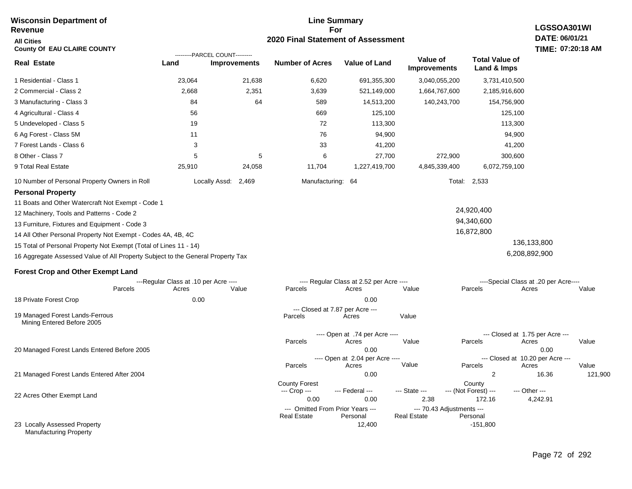#### **For 2020 Final Statement of Assessment Revenue All Cities County Of EAU CLAIRE COUNTY LGSSOA301WI DATE: 06/01/21 TIME: 07:20:18 AM Real Estate** 1 Residential - Class 1 2 Commercial - Class 2 3 Manufacturing - Class 3 4 Agricultural - Class 4 5 Undeveloped - Class 5 6 Ag Forest - Class 5M 7 Forest Lands - Class 6 8 Other - Class 7 9 Total Real Estate 10 Number of Personal Property Owners in Roll 23,064 21,638 6,620 691,355,300 3,040,055,200 3,731,410,500 **Land Improvements Number of Acres Value of Land Value of Improvements Total Value of Land & Imps** 2,668 84 56 19 11 3 5 25,910 2,351 64 5 24,058 3,639 589 669 72 76 33 6 11,704 521,149,000 14,513,200 125,100 113,300 94,900 41,200 27,700 1,227,419,700 1,664,767,600 140,243,700 272,900 4,845,339,400 2,185,916,600 154,756,900 125,100 113,300 94,900 41,200 300,600 6,072,759,100 Locally Assd: 2,469 Manufacturing: 64 Total: 2,533 **Personal Property** 11 Boats and Other Watercraft Not Exempt - Code 1 12 Machinery, Tools and Patterns - Code 2 13 Furniture, Fixtures and Equipment - Code 3 14 All Other Personal Property Not Exempt - Codes 4A, 4B, 4C 15 Total of Personal Property Not Exempt (Total of Lines 11 - 14) 16 Aggregate Assessed Value of All Property Subject to the General Property Tax 24,920,400 94,340,600 16,872,800 136,133,800 6,208,892,900 **Forest Crop and Other Exempt Land** ---Regular Class at .10 per Acre ---- ---- Regular Class at 2.52 per Acre ---- ----Special Class at .20 per Acre---- 18 Private Forest Crop 20 Managed Forest Lands Entered Before 2005 21 Managed Forest Lands Entered After 2004 Parcels 0.00 0.00 Acres Value Parcels Acres Value Parcels Acres Value ---- Open at .74 per Acre<br>Acres Parcels 0.00 0.00 Acres Value Parcels Acres Value --- Closed at 1.75 per Acre --- ---- Open at 2.04 per Acre ---<br>Acres Value Parcels Parcels Acres Acres Parcels 0.00 2 16.36 121,900 Acres **Value Parcels Acres Value** County Forest County County --- Crop --- 0.00 0.00 2.38 172.16 4,242.91 --- Federal --- - --- State --- --- (Not Forest) --- --- Other ---22 Acres Other Exempt Land 23 Locally Assessed Property Manufacturing Property --- Omitted From Prior Years ---<br>Real Estate Personal Real Estate Personal Real Estate Personal 12,400 -151,800 **Real Estate** ---------PARCEL COUNT--------- 19 Managed Forest Lands-Ferrous Mining Entered Before 2005 --- Closed at 7.87 per Acre ---<br>rcels Acres Parcels **Acres** Value

# **Wisconsin Department of**

# **Line Summary**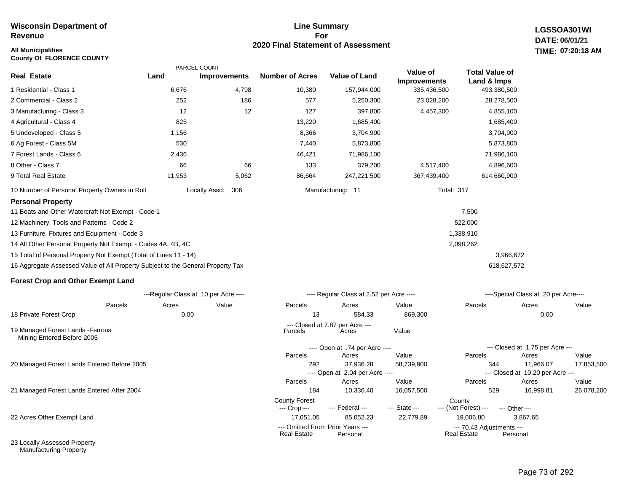# **All Municipalities TIME:**

**County Of FLORENCE COUNTY**

#### **Line Summary For 2020 Final Statement of Assessment**

**LGSSOA301WI DATE: 06/01/21 07:20:18 AM**

| <b>Real Estate</b>                                                              | ---------PARCEL COUNT---------<br>Land | <b>Improvements</b>  | <b>Number of Acres</b> | <b>Value of Land</b> | Value of<br><b>Improvements</b> | <b>Total Value of</b><br>Land & Imps |
|---------------------------------------------------------------------------------|----------------------------------------|----------------------|------------------------|----------------------|---------------------------------|--------------------------------------|
| 1 Residential - Class 1                                                         | 6,676                                  | 4,798                | 10,380                 | 157,944,000          | 335,436,500                     | 493,380,500                          |
| 2 Commercial - Class 2                                                          | 252                                    | 186                  | 577                    | 5,250,300            | 23,028,200                      | 28,278,500                           |
| 3 Manufacturing - Class 3                                                       | 12                                     | 12                   | 127                    | 397,800              | 4,457,300                       | 4,855,100                            |
| 4 Agricultural - Class 4                                                        | 825                                    |                      | 13,220                 | 1,685,400            |                                 | 1,685,400                            |
| 5 Undeveloped - Class 5                                                         | 1,156                                  |                      | 8,366                  | 3,704,900            |                                 | 3,704,900                            |
| 6 Ag Forest - Class 5M                                                          | 530                                    |                      | 7,440                  | 5,873,800            |                                 | 5,873,800                            |
| 7 Forest Lands - Class 6                                                        | 2,436                                  |                      | 46,421                 | 71,986,100           |                                 | 71,986,100                           |
| 8 Other - Class 7                                                               | 66                                     | 66                   | 133                    | 379,200              | 4,517,400                       | 4,896,600                            |
| 9 Total Real Estate                                                             | 11,953                                 | 5,062                | 86,664                 | 247,221,500          | 367,439,400                     | 614,660,900                          |
| 10 Number of Personal Property Owners in Roll                                   |                                        | Locally Assd:<br>306 |                        | Manufacturing: 11    | <b>Total: 317</b>               |                                      |
| <b>Personal Property</b>                                                        |                                        |                      |                        |                      |                                 |                                      |
| 11 Boats and Other Watercraft Not Exempt - Code 1                               |                                        |                      |                        |                      |                                 | 7,500                                |
| 12 Machinery, Tools and Patterns - Code 2                                       |                                        |                      |                        |                      |                                 | 522,000                              |
| 13 Furniture, Fixtures and Equipment - Code 3                                   |                                        |                      |                        |                      |                                 | 1,338,910                            |
| 14 All Other Personal Property Not Exempt - Codes 4A, 4B, 4C                    |                                        |                      |                        |                      |                                 | 2,098,262                            |
| 15 Total of Personal Property Not Exempt (Total of Lines 11 - 14)               |                                        |                      |                        |                      |                                 | 3,966,672                            |
| 16 Aggregate Assessed Value of All Property Subject to the General Property Tax |                                        |                      |                        |                      |                                 | 618,627,572                          |
| <b>Forest Crop and Other Exempt Land</b>                                        |                                        |                      |                        |                      |                                 |                                      |

|                                                                 |         | ---Regular Class at .10 per Acre ---- |       |                                      | ---- Regular Class at 2.52 per Acre ----     |               |                                                 | ----Special Class at .20 per Acre---- |            |
|-----------------------------------------------------------------|---------|---------------------------------------|-------|--------------------------------------|----------------------------------------------|---------------|-------------------------------------------------|---------------------------------------|------------|
|                                                                 | Parcels | Acres                                 | Value | Parcels                              | Acres                                        | Value         | Parcels                                         | Acres                                 | Value      |
| 18 Private Forest Crop                                          |         | 0.00                                  |       | 13                                   | 584.33                                       | 869,300       |                                                 | 0.00                                  |            |
| 19 Managed Forest Lands - Ferrous<br>Mining Entered Before 2005 |         |                                       |       | Parcels                              | --- Closed at 7.87 per Acre ---<br>Acres     | Value         |                                                 |                                       |            |
|                                                                 |         |                                       |       |                                      | ---- Open at .74 per Acre ----               |               |                                                 | --- Closed at 1.75 per Acre ---       |            |
|                                                                 |         |                                       |       | Parcels                              | Acres                                        | Value         | Parcels                                         | Acres                                 | Value      |
| 20 Managed Forest Lands Entered Before 2005                     |         |                                       |       | 292                                  | 37,936.28                                    | 58,739,900    | 344                                             | 11.966.07                             | 17,853,500 |
|                                                                 |         |                                       |       |                                      | ---- Open at 2.04 per Acre ----              |               |                                                 | $-$ -Closed at 10.20 per Acre $-$     |            |
|                                                                 |         |                                       |       | Parcels                              | Acres                                        | Value         | Parcels                                         | Acres                                 | Value      |
| 21 Managed Forest Lands Entered After 2004                      |         |                                       |       | 184                                  | 10,336.40                                    | 16,057,500    | 529                                             | 16,998.81                             | 26,078,200 |
|                                                                 |         |                                       |       | <b>County Forest</b><br>--- Crop --- | --- Federal ---                              | --- State --- | County<br>--- (Not Forest) ---                  | $-$ Other $-$                         |            |
| 22 Acres Other Exempt Land                                      |         |                                       |       | 17,051.05                            | 85,052.23                                    | 22,779.89     | 19,006.80                                       | 3,867.65                              |            |
|                                                                 |         |                                       |       | <b>Real Estate</b>                   | --- Omitted From Prior Years ---<br>Personal |               | --- 70.43 Adjustments ---<br><b>Real Estate</b> | Personal                              |            |
| 23 Locally Assessed Property                                    |         |                                       |       |                                      |                                              |               |                                                 |                                       |            |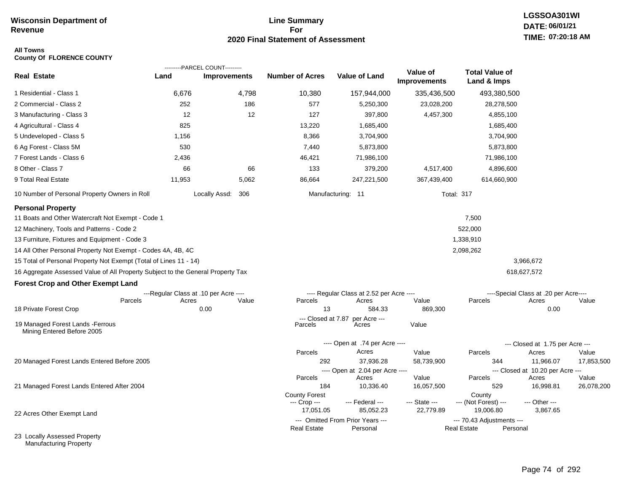# **Line Summary For 2020 Final Statement of Assessment**

#### **All Towns County Of FLORENCE COUNTY**

|                                                                                 |                                       | ---------PARCEL COUNT--------- |                               |                                              |                                        |                                                 |                                           |            |
|---------------------------------------------------------------------------------|---------------------------------------|--------------------------------|-------------------------------|----------------------------------------------|----------------------------------------|-------------------------------------------------|-------------------------------------------|------------|
| <b>Real Estate</b>                                                              | Land                                  | <b>Improvements</b>            | <b>Number of Acres</b>        | <b>Value of Land</b>                         | <b>Value of</b><br><b>Improvements</b> | <b>Total Value of</b><br>Land & Imps            |                                           |            |
| 1 Residential - Class 1                                                         | 6,676                                 | 4,798                          | 10,380                        | 157,944,000                                  | 335,436,500                            | 493,380,500                                     |                                           |            |
| 2 Commercial - Class 2                                                          | 252                                   | 186                            | 577                           | 5,250,300                                    | 23,028,200                             | 28,278,500                                      |                                           |            |
| 3 Manufacturing - Class 3                                                       | 12                                    | 12                             | 127                           | 397,800                                      | 4,457,300                              | 4,855,100                                       |                                           |            |
| 4 Agricultural - Class 4                                                        | 825                                   |                                | 13,220                        | 1,685,400                                    |                                        | 1,685,400                                       |                                           |            |
| 5 Undeveloped - Class 5                                                         | 1,156                                 |                                | 8,366                         | 3,704,900                                    |                                        | 3,704,900                                       |                                           |            |
| 6 Ag Forest - Class 5M                                                          | 530                                   |                                | 7,440                         | 5,873,800                                    |                                        | 5,873,800                                       |                                           |            |
| 7 Forest Lands - Class 6                                                        | 2,436                                 |                                | 46,421                        | 71,986,100                                   |                                        | 71,986,100                                      |                                           |            |
| 8 Other - Class 7                                                               | 66                                    | 66                             | 133                           | 379,200                                      | 4,517,400                              | 4,896,600                                       |                                           |            |
| 9 Total Real Estate                                                             | 11,953                                | 5,062                          | 86,664                        | 247,221,500                                  | 367,439,400                            | 614,660,900                                     |                                           |            |
| 10 Number of Personal Property Owners in Roll                                   |                                       | Locally Assd: 306              |                               | Manufacturing: 11                            | <b>Total: 317</b>                      |                                                 |                                           |            |
| <b>Personal Property</b><br>11 Boats and Other Watercraft Not Exempt - Code 1   |                                       |                                |                               |                                              |                                        | 7,500                                           |                                           |            |
| 12 Machinery, Tools and Patterns - Code 2                                       |                                       |                                |                               |                                              |                                        | 522,000                                         |                                           |            |
| 13 Furniture, Fixtures and Equipment - Code 3                                   |                                       |                                |                               |                                              |                                        | 1,338,910                                       |                                           |            |
| 14 All Other Personal Property Not Exempt - Codes 4A, 4B, 4C                    |                                       |                                |                               |                                              |                                        | 2,098,262                                       |                                           |            |
| 15 Total of Personal Property Not Exempt (Total of Lines 11 - 14)               |                                       |                                |                               |                                              |                                        |                                                 | 3,966,672                                 |            |
| 16 Aggregate Assessed Value of All Property Subject to the General Property Tax |                                       |                                |                               |                                              |                                        |                                                 | 618,627,572                               |            |
| <b>Forest Crop and Other Exempt Land</b>                                        |                                       |                                |                               |                                              |                                        |                                                 |                                           |            |
|                                                                                 | ---Regular Class at .10 per Acre ---- |                                |                               | ---- Regular Class at 2.52 per Acre ----     |                                        |                                                 | ----Special Class at .20 per Acre----     |            |
| Parcels                                                                         | Acres                                 | Value                          | Parcels                       | Acres                                        | Value                                  | Parcels                                         | Acres                                     | Value      |
| 18 Private Forest Crop                                                          |                                       | 0.00                           | 13                            | 584.33                                       | 869,300                                |                                                 | 0.00                                      |            |
| 19 Managed Forest Lands - Ferrous<br>Mining Entered Before 2005                 |                                       |                                | --- Closed at 7.87<br>Parcels | per Acre ---<br>Acres                        | Value                                  |                                                 |                                           |            |
|                                                                                 |                                       |                                |                               | ---- Open at .74 per Acre ----               |                                        |                                                 | --- Closed at 1.75 per Acre ---           |            |
|                                                                                 |                                       |                                | Parcels                       | Acres                                        | Value                                  | Parcels                                         | Acres                                     | Value      |
| 20 Managed Forest Lands Entered Before 2005                                     |                                       |                                | 292                           | 37,936.28                                    | 58,739,900                             | 344                                             | 11,966.07                                 | 17,853,500 |
|                                                                                 |                                       |                                | Parcels                       | ---- Open at 2.04 per Acre ----<br>Acres     | Value                                  | Parcels                                         | --- Closed at 10.20 per Acre ---<br>Acres | Value      |
| 21 Managed Forest Lands Entered After 2004                                      |                                       |                                | 184                           | 10,336.40                                    | 16,057,500                             | 529                                             | 16,998.81                                 | 26,078,200 |
|                                                                                 |                                       |                                | <b>County Forest</b>          |                                              |                                        | County                                          |                                           |            |
|                                                                                 |                                       |                                | --- Crop ---                  | --- Federal ---                              | --- State ---                          | --- (Not Forest) ---                            | --- Other ---                             |            |
| 22 Acres Other Exempt Land                                                      |                                       |                                | 17,051.05                     | 85,052.23                                    | 22,779.89                              | 19,006.80                                       | 3,867.65                                  |            |
|                                                                                 |                                       |                                | <b>Real Estate</b>            | --- Omitted From Prior Years ---<br>Personal |                                        | --- 70.43 Adjustments ---<br><b>Real Estate</b> | Personal                                  |            |
| 23 Locally Assessed Property                                                    |                                       |                                |                               |                                              |                                        |                                                 |                                           |            |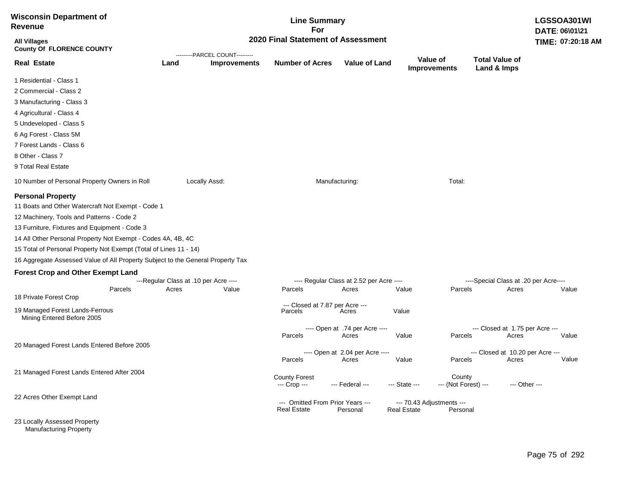| <b>Wisconsin Department of</b><br><b>Revenue</b>                                                                                                                                                                                                                                                                                                                                                                                                |                                       |                                | <b>Line Summary</b><br>For                             |                                          |                                          |                                |                                           | LGSSOA301WI<br>DATE: 06\01\21 |
|-------------------------------------------------------------------------------------------------------------------------------------------------------------------------------------------------------------------------------------------------------------------------------------------------------------------------------------------------------------------------------------------------------------------------------------------------|---------------------------------------|--------------------------------|--------------------------------------------------------|------------------------------------------|------------------------------------------|--------------------------------|-------------------------------------------|-------------------------------|
| <b>All Villages</b><br><b>County Of FLORENCE COUNTY</b>                                                                                                                                                                                                                                                                                                                                                                                         |                                       | ---------PARCEL COUNT--------- | 2020 Final Statement of Assessment                     |                                          |                                          |                                |                                           | TIME: 07:20:18 AM             |
| <b>Real Estate</b>                                                                                                                                                                                                                                                                                                                                                                                                                              | Land                                  | <b>Improvements</b>            | <b>Number of Acres</b>                                 | <b>Value of Land</b>                     | Value of                                 | <b>Improvements</b>            | <b>Total Value of</b><br>Land & Imps      |                               |
| 1 Residential - Class 1                                                                                                                                                                                                                                                                                                                                                                                                                         |                                       |                                |                                                        |                                          |                                          |                                |                                           |                               |
| 2 Commercial - Class 2                                                                                                                                                                                                                                                                                                                                                                                                                          |                                       |                                |                                                        |                                          |                                          |                                |                                           |                               |
| 3 Manufacturing - Class 3                                                                                                                                                                                                                                                                                                                                                                                                                       |                                       |                                |                                                        |                                          |                                          |                                |                                           |                               |
| 4 Agricultural - Class 4                                                                                                                                                                                                                                                                                                                                                                                                                        |                                       |                                |                                                        |                                          |                                          |                                |                                           |                               |
| 5 Undeveloped - Class 5                                                                                                                                                                                                                                                                                                                                                                                                                         |                                       |                                |                                                        |                                          |                                          |                                |                                           |                               |
| 6 Ag Forest - Class 5M                                                                                                                                                                                                                                                                                                                                                                                                                          |                                       |                                |                                                        |                                          |                                          |                                |                                           |                               |
| 7 Forest Lands - Class 6                                                                                                                                                                                                                                                                                                                                                                                                                        |                                       |                                |                                                        |                                          |                                          |                                |                                           |                               |
| 8 Other - Class 7                                                                                                                                                                                                                                                                                                                                                                                                                               |                                       |                                |                                                        |                                          |                                          |                                |                                           |                               |
| 9 Total Real Estate                                                                                                                                                                                                                                                                                                                                                                                                                             |                                       |                                |                                                        |                                          |                                          |                                |                                           |                               |
| 10 Number of Personal Property Owners in Roll                                                                                                                                                                                                                                                                                                                                                                                                   |                                       | Locally Assd:                  |                                                        | Manufacturing:                           |                                          | Total:                         |                                           |                               |
| <b>Personal Property</b><br>11 Boats and Other Watercraft Not Exempt - Code 1<br>12 Machinery, Tools and Patterns - Code 2<br>13 Furniture, Fixtures and Equipment - Code 3<br>14 All Other Personal Property Not Exempt - Codes 4A, 4B, 4C<br>15 Total of Personal Property Not Exempt (Total of Lines 11 - 14)<br>16 Aggregate Assessed Value of All Property Subject to the General Property Tax<br><b>Forest Crop and Other Exempt Land</b> | ---Regular Class at .10 per Acre ---- |                                |                                                        | ---- Regular Class at 2.52 per Acre ---- |                                          |                                | ----Special Class at .20 per Acre----     |                               |
| Parcels<br>18 Private Forest Crop                                                                                                                                                                                                                                                                                                                                                                                                               | Acres                                 | Value                          | Parcels                                                | Acres                                    | Value                                    | Parcels                        | Acres                                     | Value                         |
| 19 Managed Forest Lands-Ferrous<br>Mining Entered Before 2005                                                                                                                                                                                                                                                                                                                                                                                   |                                       |                                | --- Closed at 7.87 per Acre ---<br>Parcels             | Acres                                    | Value                                    |                                |                                           |                               |
|                                                                                                                                                                                                                                                                                                                                                                                                                                                 |                                       |                                |                                                        | ---- Open at .74 per Acre ----           |                                          |                                | --- Closed at 1.75 per Acre ---           |                               |
|                                                                                                                                                                                                                                                                                                                                                                                                                                                 |                                       |                                | Parcels                                                | Acres                                    | Value                                    | Parcels                        | Acres                                     | Value                         |
| 20 Managed Forest Lands Entered Before 2005                                                                                                                                                                                                                                                                                                                                                                                                     |                                       |                                | Parcels                                                | ---- Open at 2.04 per Acre ----<br>Acres | Value                                    | Parcels                        | --- Closed at 10.20 per Acre ---<br>Acres | Value                         |
| 21 Managed Forest Lands Entered After 2004                                                                                                                                                                                                                                                                                                                                                                                                      |                                       |                                | <b>County Forest</b><br>--- Crop ---                   | --- Federal ---                          | --- State ---                            | County<br>--- (Not Forest) --- |                                           | --- Other ---                 |
| 22 Acres Other Exempt Land                                                                                                                                                                                                                                                                                                                                                                                                                      |                                       |                                | --- Omitted From Prior Years ---<br><b>Real Estate</b> | Personal                                 | --- 70.43 Adjustments ---<br>Real Estate | Personal                       |                                           |                               |
| 23 Locally Assessed Property                                                                                                                                                                                                                                                                                                                                                                                                                    |                                       |                                |                                                        |                                          |                                          |                                |                                           |                               |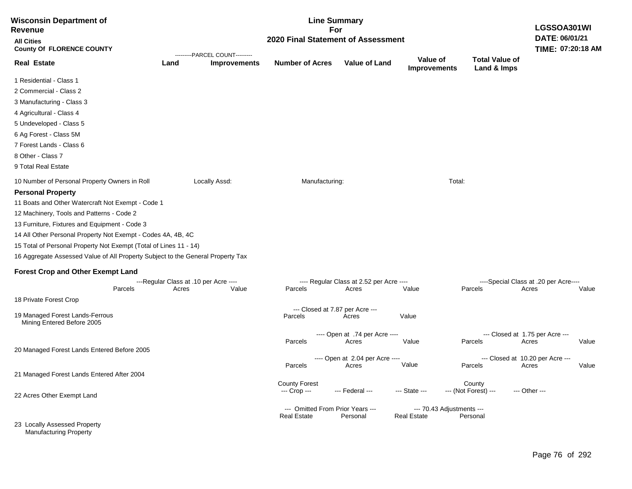| <b>Wisconsin Department of</b><br>Revenue                                       |       | <b>Line Summary</b><br>For                            |                                            |                                          |                                 |                                      |                                       |       |
|---------------------------------------------------------------------------------|-------|-------------------------------------------------------|--------------------------------------------|------------------------------------------|---------------------------------|--------------------------------------|---------------------------------------|-------|
| <b>All Cities</b><br><b>County Of FLORENCE COUNTY</b>                           |       |                                                       | 2020 Final Statement of Assessment         |                                          |                                 |                                      | DATE: 06/01/21<br>TIME: 07:20:18 AM   |       |
| <b>Real Estate</b>                                                              | Land  | ---------PARCEL COUNT---------<br><b>Improvements</b> | <b>Number of Acres</b>                     | <b>Value of Land</b>                     | Value of<br><b>Improvements</b> | <b>Total Value of</b><br>Land & Imps |                                       |       |
| 1 Residential - Class 1                                                         |       |                                                       |                                            |                                          |                                 |                                      |                                       |       |
| 2 Commercial - Class 2                                                          |       |                                                       |                                            |                                          |                                 |                                      |                                       |       |
| 3 Manufacturing - Class 3                                                       |       |                                                       |                                            |                                          |                                 |                                      |                                       |       |
| 4 Agricultural - Class 4                                                        |       |                                                       |                                            |                                          |                                 |                                      |                                       |       |
| 5 Undeveloped - Class 5                                                         |       |                                                       |                                            |                                          |                                 |                                      |                                       |       |
| 6 Ag Forest - Class 5M                                                          |       |                                                       |                                            |                                          |                                 |                                      |                                       |       |
| 7 Forest Lands - Class 6                                                        |       |                                                       |                                            |                                          |                                 |                                      |                                       |       |
| 8 Other - Class 7                                                               |       |                                                       |                                            |                                          |                                 |                                      |                                       |       |
| 9 Total Real Estate                                                             |       |                                                       |                                            |                                          |                                 |                                      |                                       |       |
| 10 Number of Personal Property Owners in Roll                                   |       | Locally Assd:                                         | Manufacturing:                             |                                          | Total:                          |                                      |                                       |       |
| <b>Personal Property</b>                                                        |       |                                                       |                                            |                                          |                                 |                                      |                                       |       |
| 11 Boats and Other Watercraft Not Exempt - Code 1                               |       |                                                       |                                            |                                          |                                 |                                      |                                       |       |
| 12 Machinery, Tools and Patterns - Code 2                                       |       |                                                       |                                            |                                          |                                 |                                      |                                       |       |
| 13 Furniture, Fixtures and Equipment - Code 3                                   |       |                                                       |                                            |                                          |                                 |                                      |                                       |       |
| 14 All Other Personal Property Not Exempt - Codes 4A, 4B, 4C                    |       |                                                       |                                            |                                          |                                 |                                      |                                       |       |
| 15 Total of Personal Property Not Exempt (Total of Lines 11 - 14)               |       |                                                       |                                            |                                          |                                 |                                      |                                       |       |
| 16 Aggregate Assessed Value of All Property Subject to the General Property Tax |       |                                                       |                                            |                                          |                                 |                                      |                                       |       |
| <b>Forest Crop and Other Exempt Land</b>                                        |       |                                                       |                                            |                                          |                                 |                                      |                                       |       |
|                                                                                 |       | ---Regular Class at .10 per Acre ----                 |                                            | ---- Regular Class at 2.52 per Acre ---- |                                 |                                      | ----Special Class at .20 per Acre---- |       |
| Parcels                                                                         | Acres | Value                                                 | Parcels                                    | Acres                                    | Value                           | Parcels                              | Acres                                 | Value |
| 18 Private Forest Crop                                                          |       |                                                       |                                            |                                          |                                 |                                      |                                       |       |
| 19 Managed Forest Lands-Ferrous<br>Mining Entered Before 2005                   |       |                                                       | --- Closed at 7.87 per Acre ---<br>Parcels | Acres                                    | Value                           |                                      |                                       |       |
|                                                                                 |       |                                                       |                                            | ---- Open at .74 per Acre ----           |                                 |                                      | --- Closed at 1.75 per Acre ---       |       |
|                                                                                 |       |                                                       | Parcels                                    | Acres                                    | Value                           | Parcels                              | Acres                                 | Value |
| 20 Managed Forest Lands Entered Before 2005                                     |       |                                                       |                                            | ---- Open at 2.04 per Acre ----          |                                 |                                      | --- Closed at 10.20 per Acre ---      |       |
|                                                                                 |       |                                                       | Parcels                                    | Acres                                    | Value                           | Parcels                              | Acres                                 | Value |
| 21 Managed Forest Lands Entered After 2004                                      |       |                                                       |                                            |                                          |                                 |                                      |                                       |       |
|                                                                                 |       |                                                       | <b>County Forest</b>                       |                                          |                                 | County                               |                                       |       |
| 22 Acres Other Exempt Land                                                      |       |                                                       | --- Crop ---                               | --- Federal ---                          | --- State ---                   | --- (Not Forest) ---                 | --- Other ---                         |       |
|                                                                                 |       |                                                       | --- Omitted From Prior Years ---           |                                          | --- 70.43 Adjustments ---       |                                      |                                       |       |
| 23 Locally Assessed Property<br><b>Manufacturing Property</b>                   |       |                                                       | <b>Real Estate</b>                         | Personal                                 | <b>Real Estate</b>              | Personal                             |                                       |       |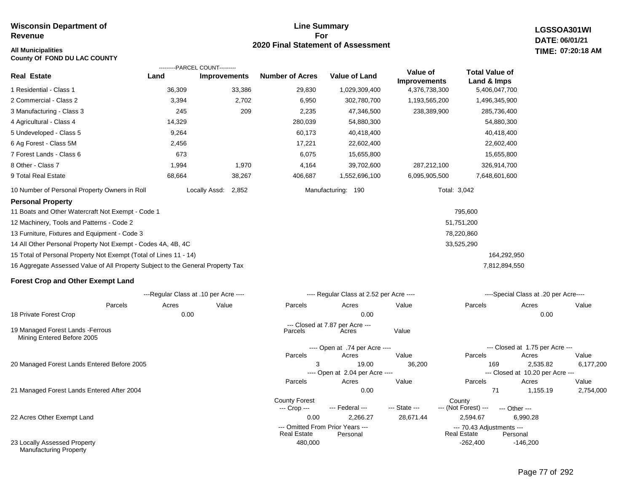# **Line Summary For 2020 Final Statement of Assessment**

**LGSSOA301WI DATE: 06/01/21 All Municipalities TIME: 07:20:18 AM**

| County Of FOND DU LAC COUNTY                                                    |                                       |                     |                                                        |                                          |                     |                                          |                                              |           |
|---------------------------------------------------------------------------------|---------------------------------------|---------------------|--------------------------------------------------------|------------------------------------------|---------------------|------------------------------------------|----------------------------------------------|-----------|
|                                                                                 | ---------PARCEL COUNT---------        |                     |                                                        |                                          | Value of            | <b>Total Value of</b>                    |                                              |           |
| <b>Real Estate</b>                                                              | Land                                  | <b>Improvements</b> | <b>Number of Acres</b>                                 | <b>Value of Land</b>                     | <b>Improvements</b> | Land & Imps                              |                                              |           |
| 1 Residential - Class 1                                                         | 36,309                                | 33,386              | 29,830                                                 | 1,029,309,400                            | 4,376,738,300       | 5,406,047,700                            |                                              |           |
| 2 Commercial - Class 2                                                          | 3,394                                 | 2,702               | 6,950                                                  | 302,780,700                              | 1,193,565,200       | 1,496,345,900                            |                                              |           |
| 3 Manufacturing - Class 3                                                       | 245                                   | 209                 | 2,235                                                  | 47,346,500                               | 238,389,900         | 285,736,400                              |                                              |           |
| 4 Agricultural - Class 4                                                        | 14,329                                |                     | 280,039                                                | 54,880,300                               |                     | 54,880,300                               |                                              |           |
| 5 Undeveloped - Class 5                                                         | 9,264                                 |                     | 60,173                                                 | 40,418,400                               |                     | 40,418,400                               |                                              |           |
| 6 Ag Forest - Class 5M                                                          | 2,456                                 |                     | 17,221                                                 | 22,602,400                               |                     | 22,602,400                               |                                              |           |
| 7 Forest Lands - Class 6                                                        | 673                                   |                     | 6,075                                                  | 15,655,800                               |                     | 15,655,800                               |                                              |           |
| 8 Other - Class 7                                                               | 1,994                                 | 1,970               | 4,164                                                  | 39,702,600                               | 287,212,100         | 326,914,700                              |                                              |           |
| 9 Total Real Estate                                                             | 68,664                                | 38,267              | 406,687                                                | 1,552,696,100                            | 6,095,905,500       | 7,648,601,600                            |                                              |           |
| 10 Number of Personal Property Owners in Roll                                   | Locally Assd:                         | 2,852               |                                                        | Manufacturing: 190                       |                     | Total: 3,042                             |                                              |           |
| <b>Personal Property</b>                                                        |                                       |                     |                                                        |                                          |                     |                                          |                                              |           |
| 11 Boats and Other Watercraft Not Exempt - Code 1                               |                                       |                     |                                                        |                                          |                     | 795,600                                  |                                              |           |
| 12 Machinery, Tools and Patterns - Code 2                                       |                                       |                     |                                                        |                                          |                     | 51,751,200                               |                                              |           |
| 13 Furniture, Fixtures and Equipment - Code 3                                   |                                       |                     |                                                        |                                          |                     | 78,220,860                               |                                              |           |
| 14 All Other Personal Property Not Exempt - Codes 4A, 4B, 4C                    |                                       |                     |                                                        |                                          |                     | 33,525,290                               |                                              |           |
| 15 Total of Personal Property Not Exempt (Total of Lines 11 - 14)               |                                       |                     |                                                        |                                          |                     | 164,292,950                              |                                              |           |
| 16 Aggregate Assessed Value of All Property Subject to the General Property Tax |                                       |                     |                                                        |                                          |                     | 7,812,894,550                            |                                              |           |
| <b>Forest Crop and Other Exempt Land</b>                                        |                                       |                     |                                                        |                                          |                     |                                          |                                              |           |
|                                                                                 | ---Regular Class at .10 per Acre ---- |                     |                                                        | ---- Regular Class at 2.52 per Acre ---- |                     |                                          | ----Special Class at .20 per Acre----        |           |
| Parcels                                                                         | Acres                                 | Value               | Parcels                                                | Acres                                    | Value               | Parcels                                  | Acres                                        | Value     |
| 18 Private Forest Crop                                                          | 0.00                                  |                     |                                                        | 0.00                                     |                     |                                          | 0.00                                         |           |
| 19 Managed Forest Lands - Ferrous<br>Mining Entered Before 2005                 |                                       |                     | Parcels                                                | --- Closed at 7.87 per Acre ---<br>Acres | Value               |                                          |                                              |           |
|                                                                                 |                                       |                     |                                                        | ---- Open at .74 per Acre ----           |                     |                                          | --- Closed at 1.75 per Acre ---              |           |
|                                                                                 |                                       |                     | Parcels                                                | Acres                                    | Value               | Parcels                                  | Acres                                        | Value     |
| 20 Managed Forest Lands Entered Before 2005                                     |                                       |                     | 3                                                      | 19.00<br>---- Open at 2.04 per Acre ---- | 36,200              | 169                                      | 2,535.82<br>--- Closed at 10.20 per Acre --- | 6,177,200 |
|                                                                                 |                                       |                     | Parcels                                                | Acres                                    | Value               | Parcels                                  | Acres                                        | Value     |
| 21 Managed Forest Lands Entered After 2004                                      |                                       |                     |                                                        | 0.00                                     |                     | 71                                       | 1,155.19                                     | 2,754,000 |
|                                                                                 |                                       |                     | <b>County Forest</b><br>--- Crop ---                   | --- Federal ---                          | --- State ---       | County<br>--- (Not Forest) ---           | --- Other ---                                |           |
| 22 Acres Other Exempt Land                                                      |                                       |                     | 0.00                                                   | 2,266.27                                 | 28,671.44           | 2,594.67                                 | 6,990.28                                     |           |
|                                                                                 |                                       |                     | --- Omitted From Prior Years ---<br><b>Real Estate</b> | Personal                                 |                     | --- 70.43 Adjustments ---<br>Real Estate | Personal                                     |           |

480,000 -262,400

23 Locally Assessed Property Manufacturing Property

-146,200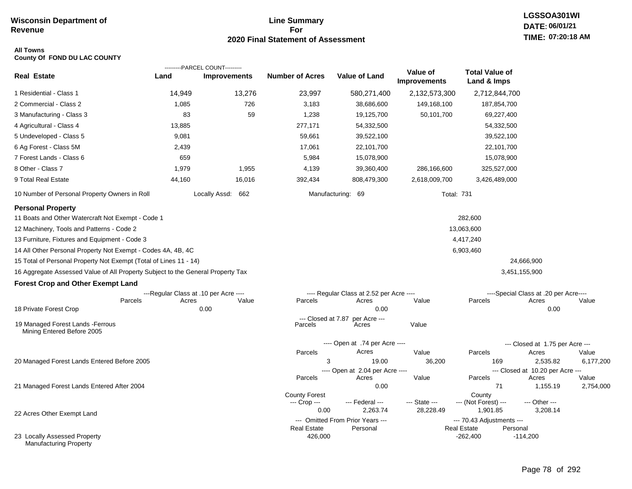# **Line Summary For 2020 Final Statement of Assessment**

#### **All Towns County Of FOND DU LAC COUNTY**

|                                                                                 |                                       | ---------PARCEL COUNT--------- |                        |                                              |                                 |                                                             |                                           |                    |
|---------------------------------------------------------------------------------|---------------------------------------|--------------------------------|------------------------|----------------------------------------------|---------------------------------|-------------------------------------------------------------|-------------------------------------------|--------------------|
| <b>Real Estate</b>                                                              | Land                                  | <b>Improvements</b>            | <b>Number of Acres</b> | <b>Value of Land</b>                         | Value of<br><b>Improvements</b> | <b>Total Value of</b><br>Land & Imps                        |                                           |                    |
| 1 Residential - Class 1                                                         | 14,949                                | 13,276                         | 23,997                 | 580,271,400                                  | 2,132,573,300                   | 2,712,844,700                                               |                                           |                    |
| 2 Commercial - Class 2                                                          | 1,085                                 | 726                            | 3,183                  | 38,686,600                                   | 149,168,100                     | 187,854,700                                                 |                                           |                    |
| 3 Manufacturing - Class 3                                                       | 83                                    | 59                             | 1,238                  | 19,125,700                                   | 50,101,700                      | 69,227,400                                                  |                                           |                    |
| 4 Agricultural - Class 4                                                        | 13,885                                |                                | 277,171                | 54,332,500                                   |                                 | 54,332,500                                                  |                                           |                    |
| 5 Undeveloped - Class 5                                                         | 9,081                                 |                                | 59,661                 | 39,522,100                                   |                                 | 39,522,100                                                  |                                           |                    |
| 6 Ag Forest - Class 5M                                                          | 2,439                                 |                                | 17,061                 | 22,101,700                                   |                                 | 22,101,700                                                  |                                           |                    |
| 7 Forest Lands - Class 6                                                        | 659                                   |                                | 5,984                  | 15,078,900                                   |                                 | 15,078,900                                                  |                                           |                    |
| 8 Other - Class 7                                                               | 1,979                                 | 1,955                          | 4,139                  | 39,360,400                                   | 286,166,600                     | 325,527,000                                                 |                                           |                    |
| 9 Total Real Estate                                                             | 44,160                                | 16,016                         | 392,434                | 808,479,300                                  | 2,618,009,700                   | 3,426,489,000                                               |                                           |                    |
| 10 Number of Personal Property Owners in Roll                                   |                                       | Locally Assd: 662              |                        | Manufacturing: 69                            | <b>Total: 731</b>               |                                                             |                                           |                    |
| <b>Personal Property</b>                                                        |                                       |                                |                        |                                              |                                 |                                                             |                                           |                    |
| 11 Boats and Other Watercraft Not Exempt - Code 1                               |                                       |                                |                        |                                              |                                 | 282,600                                                     |                                           |                    |
| 12 Machinery, Tools and Patterns - Code 2                                       |                                       |                                |                        |                                              |                                 | 13,063,600                                                  |                                           |                    |
| 13 Furniture, Fixtures and Equipment - Code 3                                   |                                       |                                |                        |                                              |                                 | 4,417,240                                                   |                                           |                    |
| 14 All Other Personal Property Not Exempt - Codes 4A, 4B, 4C                    |                                       |                                |                        |                                              |                                 | 6,903,460                                                   |                                           |                    |
| 15 Total of Personal Property Not Exempt (Total of Lines 11 - 14)               |                                       |                                |                        |                                              |                                 |                                                             | 24,666,900                                |                    |
| 16 Aggregate Assessed Value of All Property Subject to the General Property Tax |                                       |                                |                        |                                              |                                 |                                                             | 3,451,155,900                             |                    |
| <b>Forest Crop and Other Exempt Land</b>                                        |                                       |                                |                        |                                              |                                 |                                                             |                                           |                    |
|                                                                                 | ---Regular Class at .10 per Acre ---- |                                |                        | ---- Regular Class at 2.52 per Acre ----     |                                 |                                                             | ----Special Class at .20 per Acre----     |                    |
| Parcels                                                                         | Acres                                 | Value                          | Parcels                | Acres<br>0.00                                | Value                           | Parcels                                                     | Acres                                     | Value              |
| 18 Private Forest Crop                                                          |                                       | 0.00                           | --- Closed at 7.87     | per Acre ---                                 |                                 |                                                             | 0.00                                      |                    |
| 19 Managed Forest Lands - Ferrous<br>Mining Entered Before 2005                 |                                       |                                | Parcels                | Acres                                        | Value                           |                                                             |                                           |                    |
|                                                                                 |                                       |                                |                        | ---- Open at .74 per Acre ----               |                                 |                                                             | --- Closed at 1.75 per Acre ---           |                    |
|                                                                                 |                                       |                                | Parcels                | Acres                                        | Value                           | Parcels                                                     | Acres                                     | Value              |
| 20 Managed Forest Lands Entered Before 2005                                     |                                       |                                | 3                      | 19.00                                        | 36,200                          | 169                                                         | 2,535.82                                  | 6,177,200          |
|                                                                                 |                                       |                                | Parcels                | ---- Open at 2.04 per Acre ----<br>Acres     |                                 | Parcels                                                     | --- Closed at 10.20 per Acre ---<br>Acres |                    |
| 21 Managed Forest Lands Entered After 2004                                      |                                       |                                |                        | 0.00                                         | Value                           | 71                                                          | 1,155.19                                  | Value<br>2,754,000 |
|                                                                                 |                                       |                                | <b>County Forest</b>   |                                              |                                 | County                                                      |                                           |                    |
|                                                                                 |                                       |                                | --- Crop ---           | --- Federal ---                              | --- State ---                   | --- (Not Forest) ---                                        | --- Other ---                             |                    |
| 22 Acres Other Exempt Land                                                      |                                       |                                | 0.00                   | 2,263.74                                     | 28,228.49                       | 1,901.85                                                    | 3,208.14                                  |                    |
|                                                                                 |                                       |                                | <b>Real Estate</b>     | --- Omitted From Prior Years ---<br>Personal |                                 | --- 70.43 Adjustments ---<br><b>Real Estate</b><br>Personal |                                           |                    |
| 23 Locally Assessed Property<br><b>Manufacturing Property</b>                   |                                       |                                | 426,000                |                                              |                                 | $-262,400$                                                  | $-114,200$                                |                    |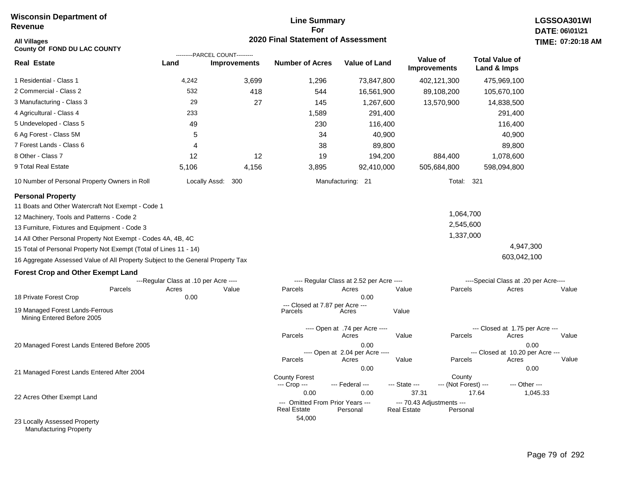# **Line Summary For 2020 Final Statement of Assessment**

| <b>All Villages</b><br>County Of FOND DU LAC COUNTY                             |                                       |                                                       | 2020 Final Statement of Assessment                             |                                          |                             |                                       |                                          | TIME: 07:20   |
|---------------------------------------------------------------------------------|---------------------------------------|-------------------------------------------------------|----------------------------------------------------------------|------------------------------------------|-----------------------------|---------------------------------------|------------------------------------------|---------------|
| <b>Real Estate</b>                                                              | Land                                  | ---------PARCEL COUNT---------<br><b>Improvements</b> | <b>Number of Acres</b>                                         | <b>Value of Land</b>                     |                             | Value of<br><b>Improvements</b>       | <b>Total Value of</b><br>Land & Imps     |               |
| 1 Residential - Class 1                                                         | 4,242                                 | 3,699                                                 | 1,296                                                          | 73,847,800                               |                             | 402,121,300                           | 475,969,100                              |               |
| 2 Commercial - Class 2                                                          | 532                                   | 418                                                   | 544                                                            | 16,561,900                               |                             | 89,108,200                            | 105,670,100                              |               |
| 3 Manufacturing - Class 3                                                       | 29                                    | 27                                                    | 145                                                            | 1,267,600                                |                             | 13,570,900                            | 14,838,500                               |               |
| 4 Agricultural - Class 4                                                        | 233                                   |                                                       | 1,589                                                          | 291,400                                  |                             |                                       | 291,400                                  |               |
| 5 Undeveloped - Class 5                                                         | 49                                    |                                                       | 230                                                            | 116,400                                  |                             |                                       | 116,400                                  |               |
| 6 Ag Forest - Class 5M                                                          | 5                                     |                                                       | 34                                                             | 40,900                                   |                             |                                       | 40,900                                   |               |
| 7 Forest Lands - Class 6                                                        | 4                                     |                                                       | 38                                                             | 89,800                                   |                             |                                       | 89,800                                   |               |
| 8 Other - Class 7                                                               | 12                                    | 12                                                    | 19                                                             | 194,200                                  |                             | 884,400                               | 1,078,600                                |               |
| 9 Total Real Estate                                                             | 5,106                                 | 4,156                                                 | 3,895                                                          | 92,410,000                               |                             | 505,684,800                           | 598,094,800                              |               |
| 10 Number of Personal Property Owners in Roll                                   |                                       | Locally Assd:<br>300                                  |                                                                | Manufacturing: 21                        |                             | Total: 321                            |                                          |               |
| <b>Personal Property</b><br>11 Boats and Other Watercraft Not Exempt - Code 1   |                                       |                                                       |                                                                |                                          |                             |                                       |                                          |               |
| 12 Machinery, Tools and Patterns - Code 2                                       |                                       |                                                       |                                                                |                                          |                             | 1,064,700                             |                                          |               |
| 13 Furniture, Fixtures and Equipment - Code 3                                   |                                       |                                                       |                                                                |                                          |                             | 2,545,600                             |                                          |               |
| 14 All Other Personal Property Not Exempt - Codes 4A, 4B, 4C                    |                                       |                                                       |                                                                |                                          |                             | 1,337,000                             |                                          |               |
| 15 Total of Personal Property Not Exempt (Total of Lines 11 - 14)               |                                       |                                                       |                                                                |                                          |                             |                                       | 4,947,300                                |               |
| 16 Aggregate Assessed Value of All Property Subject to the General Property Tax |                                       |                                                       |                                                                |                                          |                             |                                       | 603,042,100                              |               |
| <b>Forest Crop and Other Exempt Land</b>                                        |                                       |                                                       |                                                                |                                          |                             |                                       |                                          |               |
|                                                                                 | ---Regular Class at .10 per Acre ---- |                                                       |                                                                | ---- Regular Class at 2.52 per Acre ---- |                             |                                       | ----Special Class at .20 per Acre----    |               |
| Parcels<br>18 Private Forest Crop                                               | Acres<br>0.00                         | Value                                                 | Parcels                                                        | Acres<br>0.00                            | Value                       | Parcels                               | Acres                                    | Value         |
| 19 Managed Forest Lands-Ferrous<br>Mining Entered Before 2005                   |                                       |                                                       | --- Closed at 7.87 per Acre ---<br>Parcels                     | Acres                                    | Value                       |                                       |                                          |               |
|                                                                                 |                                       |                                                       | Parcels                                                        | ---- Open at .74 per Acre ----<br>Acres  | Value                       | Parcels                               | --- Closed at 1.75 per Acre ---<br>Acres | Value         |
| 20 Managed Forest Lands Entered Before 2005                                     |                                       |                                                       |                                                                | 0.00<br>---- Open at 2.04 per Acre ----  |                             |                                       | --- Closed at 10.20 per Acre ---         | 0.00          |
| 21 Managed Forest Lands Entered After 2004                                      |                                       |                                                       | Parcels                                                        | Acres<br>0.00                            | Value                       | Parcels                               | Acres                                    | Value<br>0.00 |
|                                                                                 |                                       |                                                       | <b>County Forest</b><br>--- Crop ---                           | --- Federal ---                          | --- State ---               | County<br>--- (Not Forest) ---        | --- Other ---                            |               |
| 22 Acres Other Exempt Land                                                      |                                       |                                                       | 0.00<br>--- Omitted From Prior Years ---<br><b>Real Estate</b> | 0.00<br>Personal                         | 37.31<br><b>Real Estate</b> | --- 70.43 Adjustments ---<br>Personal | 17.64                                    | 1,045.33      |
| 23 Locally Assessed Property                                                    |                                       |                                                       | 54,000                                                         |                                          |                             |                                       |                                          |               |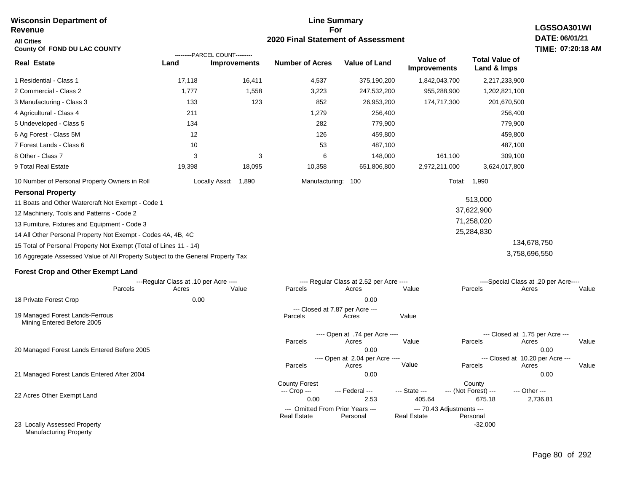#### **Line Summary For 2020 Final Statement of Assessment Wisconsin Department of Revenue All Cities County Of FOND DU LAC COUNTY LGSSOA301WI DATE: 06/01/21 TIME: 07:20:18 AM Real Estate** 1 Residential - Class 1 2 Commercial - Class 2 3 Manufacturing - Class 3 4 Agricultural - Class 4 5 Undeveloped - Class 5 6 Ag Forest - Class 5M 7 Forest Lands - Class 6 8 Other - Class 7 9 Total Real Estate 10 Number of Personal Property Owners in Roll 17,118 16,411 4,537 375,190,200 1,842,043,700 2,217,233,900 **Land Improvements Number of Acres Value of Land Value of Improvements Total Value of Land & Imps** 1,777 133 211 134 12 10 3 19,398 1,558 123 3 18,095 3,223 852 1,279 282 126 53 6 10,358 247,532,200 26,953,200 256,400 779,900 459,800 487,100 148,000 651,806,800 955,288,900 174,717,300 161,100 2,972,211,000 1,202,821,100 201,670,500 256,400 779,900 459,800 487,100 309,100 3,624,017,800 Locally Assd: 1,890 Manufacturing: 100 Total: 1,990 **Personal Property** 11 Boats and Other Watercraft Not Exempt - Code 1 12 Machinery, Tools and Patterns - Code 2 13 Furniture, Fixtures and Equipment - Code 3 14 All Other Personal Property Not Exempt - Codes 4A, 4B, 4C 15 Total of Personal Property Not Exempt (Total of Lines 11 - 14) 16 Aggregate Assessed Value of All Property Subject to the General Property Tax 513,000 37,622,900 71,258,020 25,284,830 134,678,750 3,758,696,550 **Forest Crop and Other Exempt Land** ---Regular Class at .10 per Acre ---- ---- Regular Class at 2.52 per Acre ---- ----Special Class at .20 per Acre---- 18 Private Forest Crop 20 Managed Forest Lands Entered Before 2005 21 Managed Forest Lands Entered After 2004 Parcels 0.00 0.00 Acres Value Parcels Acres Value Parcels Acres Value ---- Open at .74 per Acre<br>Acres Parcels 0.00 0.00 Acres Value Parcels Acres Value --- Closed at 1.75 per Acre --- ---- Open at 2.04 per Acre ---<br>Acres Value Parcels Parcels Acres Acres Parcels 0.00 0.00 Acres **Value Parcels Acres Value** County Forest County County --- Crop --- 0.00 2.53 405.64 675.18 2,736.81 --- Federal --- - --- State --- --- (Not Forest) --- --- Other ---22 Acres Other Exempt Land 23 Locally Assessed Property Manufacturing Property --- Omitted From Prior Years ---<br>Real Estate Personal Personal Real Estate Personal -32,000 **Real Estate** ---------PARCEL COUNT--------- 19 Managed Forest Lands-Ferrous Mining Entered Before 2005 --- Closed at 7.87 per Acre ---<br>rcels Acres Parcels **Acres** Value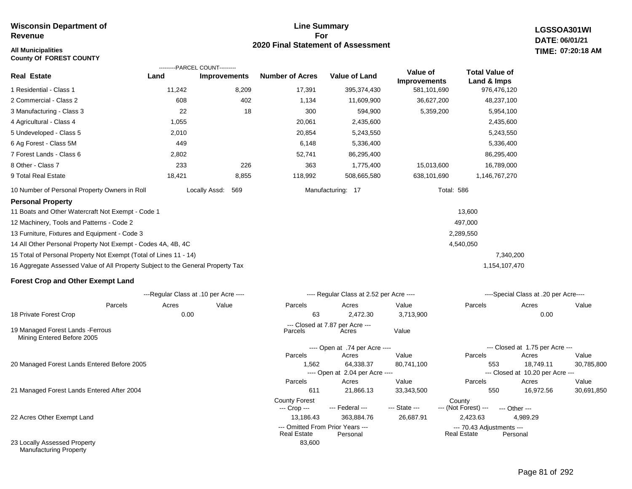# **All Municipalities TIME:**

**County Of FOREST COUNTY**

#### **Line Summary For 2020 Final Statement of Assessment**

83,600

**LGSSOA301WI DATE: 06/01/21 07:20:18 AM**

|                                                                                 |        | ---------PARCEL COUNT---------        |                        |                                          |                                 |                                      |                                       |       |
|---------------------------------------------------------------------------------|--------|---------------------------------------|------------------------|------------------------------------------|---------------------------------|--------------------------------------|---------------------------------------|-------|
| <b>Real Estate</b>                                                              | Land   | <b>Improvements</b>                   | <b>Number of Acres</b> | <b>Value of Land</b>                     | Value of<br><b>Improvements</b> | <b>Total Value of</b><br>Land & Imps |                                       |       |
| 1 Residential - Class 1                                                         | 11,242 | 8,209                                 | 17,391                 | 395,374,430                              | 581,101,690                     | 976,476,120                          |                                       |       |
| 2 Commercial - Class 2                                                          | 608    | 402                                   | 1,134                  | 11,609,900                               | 36,627,200                      | 48,237,100                           |                                       |       |
| 3 Manufacturing - Class 3                                                       | 22     | 18                                    | 300                    | 594,900                                  | 5,359,200                       | 5,954,100                            |                                       |       |
| 4 Agricultural - Class 4                                                        | 1,055  |                                       | 20,061                 | 2,435,600                                |                                 | 2,435,600                            |                                       |       |
| 5 Undeveloped - Class 5                                                         | 2,010  |                                       | 20,854                 | 5,243,550                                |                                 | 5,243,550                            |                                       |       |
| 6 Ag Forest - Class 5M                                                          | 449    |                                       | 6,148                  | 5,336,400                                |                                 | 5,336,400                            |                                       |       |
| 7 Forest Lands - Class 6                                                        | 2,802  |                                       | 52,741                 | 86,295,400                               |                                 | 86,295,400                           |                                       |       |
| 8 Other - Class 7                                                               | 233    | 226                                   | 363                    | 1,775,400                                | 15,013,600                      | 16,789,000                           |                                       |       |
| 9 Total Real Estate                                                             | 18,421 | 8,855                                 | 118,992                | 508,665,580                              | 638,101,690                     | 1,146,767,270                        |                                       |       |
| 10 Number of Personal Property Owners in Roll                                   |        | Locally Assd:<br>569                  |                        | Manufacturing: 17                        | <b>Total: 586</b>               |                                      |                                       |       |
| <b>Personal Property</b>                                                        |        |                                       |                        |                                          |                                 |                                      |                                       |       |
| 11 Boats and Other Watercraft Not Exempt - Code 1                               |        |                                       |                        |                                          |                                 | 13,600                               |                                       |       |
| 12 Machinery, Tools and Patterns - Code 2                                       |        |                                       |                        |                                          |                                 | 497,000                              |                                       |       |
| 13 Furniture, Fixtures and Equipment - Code 3                                   |        |                                       |                        |                                          |                                 | 2,289,550                            |                                       |       |
| 14 All Other Personal Property Not Exempt - Codes 4A, 4B, 4C                    |        |                                       |                        |                                          |                                 | 4,540,050                            |                                       |       |
| 15 Total of Personal Property Not Exempt (Total of Lines 11 - 14)               |        |                                       |                        |                                          |                                 |                                      | 7,340,200                             |       |
| 16 Aggregate Assessed Value of All Property Subject to the General Property Tax |        |                                       |                        |                                          |                                 | 1,154,107,470                        |                                       |       |
| <b>Forest Crop and Other Exempt Land</b>                                        |        |                                       |                        |                                          |                                 |                                      |                                       |       |
|                                                                                 |        | ---Regular Class at .10 per Acre ---- |                        | ---- Regular Class at 2.52 per Acre ---- |                                 |                                      | ----Special Class at .20 per Acre---- |       |
| Parcels                                                                         | Acres  | Value                                 | Parcels                | Acres                                    | Value                           | Parcels                              | Acres                                 | Value |
| 18 Private Forest Crop                                                          | 0.00   |                                       | 63                     | 2,472.30                                 | 3,713,900                       |                                      | 0.00                                  |       |
| 19 Managed Forest Lands - Ferrous<br>Mining Entered Before 2005                 |        |                                       | Parcels                | --- Closed at 7.87 per Acre ---<br>Acres | Value                           |                                      |                                       |       |
|                                                                                 |        |                                       |                        | ---- Open at .74 per Acre ----           |                                 |                                      | --- Closed at 1.75 per Acre ---       |       |

20 Managed Forest Lands Entered Before 2005

21 Managed Forest Lands Entered After 2004

22 Acres Other Exempt Land

23 Locally Assessed Property Manufacturing Property

| 63                                                     | 2.472.30                                 | 3,713,900     |                                                 | 0.00                             |            |
|--------------------------------------------------------|------------------------------------------|---------------|-------------------------------------------------|----------------------------------|------------|
| Parcels                                                | --- Closed at 7.87 per Acre ---<br>Acres | Value         |                                                 |                                  |            |
|                                                        | ---- Open at .74 per Acre ----           |               |                                                 | --- Closed at 1.75 per Acre ---  |            |
| <b>Parcels</b>                                         | Acres                                    | Value         | <b>Parcels</b>                                  | Acres                            | Value      |
| 1.562                                                  | 64,338.37                                | 80.741.100    | 553                                             | 18.749.11                        | 30.785.800 |
|                                                        | ---- Open at 2.04 per Acre ----          |               |                                                 | --- Closed at 10.20 per Acre --- |            |
| Parcels                                                | Acres                                    | Value         | <b>Parcels</b>                                  | Acres                            | Value      |
| 611                                                    | 21.866.13                                | 33.343.500    | 550                                             | 16.972.56                        | 30,691,850 |
| <b>County Forest</b><br>$-$ Crop $-$                   | --- Federal ---                          | --- State --- | County<br>--- (Not Forest) ---                  | --- Other ---                    |            |
| 13.186.43                                              | 363.884.76                               | 26.687.91     | 2.423.63                                        | 4.989.29                         |            |
| --- Omitted From Prior Years ---<br><b>Real Estate</b> | Personal                                 |               | --- 70.43 Adjustments ---<br><b>Real Estate</b> | Personal                         |            |
| oo coo                                                 |                                          |               |                                                 |                                  |            |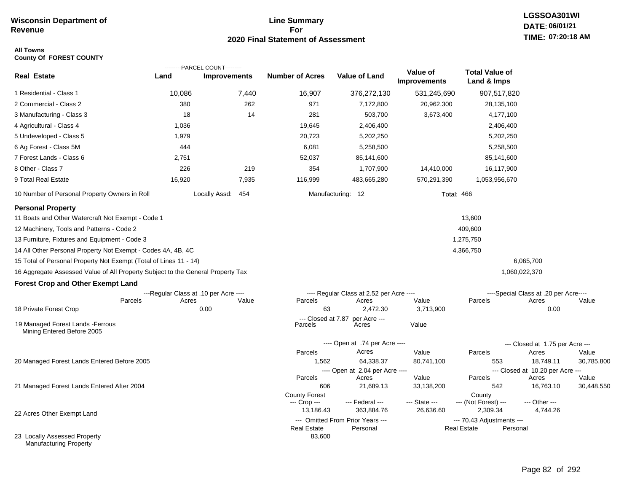# **Line Summary For 2020 Final Statement of Assessment**

#### **All Towns County Of FOREST COUNTY**

|                                                                                 |        | ---------PARCEL COUNT---------        |                               |                                                |                                 |                                      |                                           |            |
|---------------------------------------------------------------------------------|--------|---------------------------------------|-------------------------------|------------------------------------------------|---------------------------------|--------------------------------------|-------------------------------------------|------------|
| <b>Real Estate</b>                                                              | Land   | <b>Improvements</b>                   | <b>Number of Acres</b>        | <b>Value of Land</b>                           | Value of<br><b>Improvements</b> | <b>Total Value of</b><br>Land & Imps |                                           |            |
| 1 Residential - Class 1                                                         | 10,086 | 7,440                                 | 16,907                        | 376,272,130                                    | 531,245,690                     | 907,517,820                          |                                           |            |
| 2 Commercial - Class 2                                                          | 380    | 262                                   | 971                           | 7,172,800                                      | 20,962,300                      | 28,135,100                           |                                           |            |
| 3 Manufacturing - Class 3                                                       | 18     | 14                                    | 281                           | 503,700                                        | 3,673,400                       | 4,177,100                            |                                           |            |
| 4 Agricultural - Class 4                                                        | 1,036  |                                       | 19,645                        | 2,406,400                                      |                                 | 2,406,400                            |                                           |            |
| 5 Undeveloped - Class 5                                                         | 1,979  |                                       | 20,723                        | 5,202,250                                      |                                 | 5,202,250                            |                                           |            |
| 6 Ag Forest - Class 5M                                                          | 444    |                                       | 6,081                         | 5,258,500                                      |                                 | 5,258,500                            |                                           |            |
| 7 Forest Lands - Class 6                                                        | 2,751  |                                       | 52,037                        | 85,141,600                                     |                                 | 85,141,600                           |                                           |            |
| 8 Other - Class 7                                                               | 226    | 219                                   | 354                           | 1,707,900                                      | 14,410,000                      | 16,117,900                           |                                           |            |
| 9 Total Real Estate                                                             | 16,920 | 7,935                                 | 116,999                       | 483,665,280                                    | 570,291,390                     | 1,053,956,670                        |                                           |            |
| 10 Number of Personal Property Owners in Roll                                   |        | Locally Assd: 454                     |                               | Manufacturing: 12                              | <b>Total: 466</b>               |                                      |                                           |            |
| <b>Personal Property</b>                                                        |        |                                       |                               |                                                |                                 |                                      |                                           |            |
| 11 Boats and Other Watercraft Not Exempt - Code 1                               |        |                                       |                               |                                                |                                 | 13,600                               |                                           |            |
| 12 Machinery, Tools and Patterns - Code 2                                       |        |                                       |                               |                                                |                                 | 409,600                              |                                           |            |
| 13 Furniture, Fixtures and Equipment - Code 3                                   |        |                                       |                               |                                                |                                 | 1,275,750                            |                                           |            |
| 14 All Other Personal Property Not Exempt - Codes 4A, 4B, 4C                    |        |                                       |                               |                                                |                                 | 4,366,750                            |                                           |            |
| 15 Total of Personal Property Not Exempt (Total of Lines 11 - 14)               |        |                                       |                               |                                                |                                 |                                      | 6,065,700                                 |            |
| 16 Aggregate Assessed Value of All Property Subject to the General Property Tax |        |                                       |                               |                                                |                                 |                                      | 1,060,022,370                             |            |
| <b>Forest Crop and Other Exempt Land</b>                                        |        |                                       |                               |                                                |                                 |                                      |                                           |            |
|                                                                                 |        | ---Regular Class at .10 per Acre ---- |                               | ---- Regular Class at 2.52 per Acre ----       |                                 |                                      | ----Special Class at .20 per Acre----     |            |
| Parcels                                                                         | Acres  | Value                                 | Parcels                       | Acres                                          | Value                           | Parcels                              | Acres                                     | Value      |
| 18 Private Forest Crop                                                          |        | 0.00                                  | 63                            | 2,472.30                                       | 3,713,900                       |                                      | 0.00                                      |            |
| 19 Managed Forest Lands - Ferrous<br>Mining Entered Before 2005                 |        |                                       | --- Closed at 7.87<br>Parcels | per Acre ---<br>Acres                          | Value                           |                                      |                                           |            |
|                                                                                 |        |                                       |                               | ---- Open at .74 per Acre ----                 |                                 |                                      | --- Closed at 1.75 per Acre ---           |            |
|                                                                                 |        |                                       | Parcels                       | Acres                                          | Value                           | Parcels                              | Acres                                     | Value      |
| 20 Managed Forest Lands Entered Before 2005                                     |        |                                       | 1,562                         | 64,338.37                                      | 80,741,100                      | 553                                  | 18,749.11                                 | 30,785,800 |
|                                                                                 |        |                                       | Parcels                       | ---- Open at 2.04 per Acre ----<br>Acres       | Value                           | Parcels                              | --- Closed at 10.20 per Acre ---<br>Acres | Value      |
| 21 Managed Forest Lands Entered After 2004                                      |        |                                       | 606                           | 21,689.13                                      | 33,138,200                      | 542                                  | 16,763.10                                 | 30,448,550 |
|                                                                                 |        |                                       | <b>County Forest</b>          |                                                |                                 | County                               |                                           |            |
|                                                                                 |        |                                       | --- Crop ---                  | --- Federal ---                                | --- State ---                   | --- (Not Forest) ---<br>2,309.34     | --- Other ---                             |            |
| 22 Acres Other Exempt Land                                                      |        |                                       | 13,186.43                     | 363,884.76<br>--- Omitted From Prior Years --- | 26,636.60                       | --- 70.43 Adjustments ---            | 4,744.26                                  |            |
|                                                                                 |        |                                       | <b>Real Estate</b>            | Personal                                       |                                 | <b>Real Estate</b><br>Personal       |                                           |            |
| 23 Locally Assessed Property<br>Manufacturing Property                          |        |                                       | 83,600                        |                                                |                                 |                                      |                                           |            |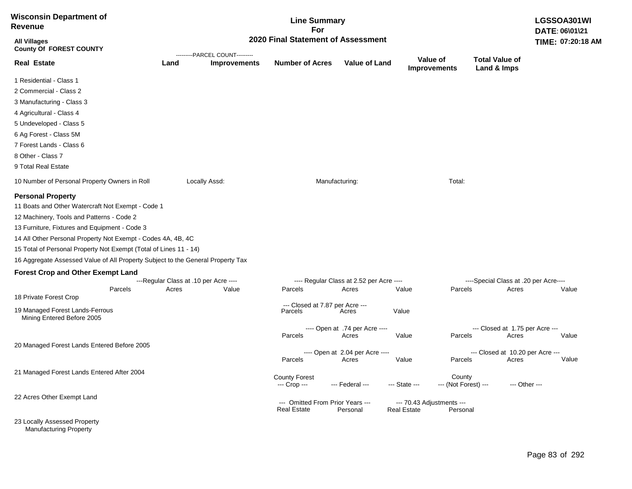| <b>Wisconsin Department of</b><br><b>Revenue</b>                                                                                                                                                                                                                                                                                                                                                                                                                                                                        |                                                |                                | <b>Line Summary</b><br>For                             |                                                            |                                          |                                |                                                |               | LGSSOA301WI<br>DATE: 06\01\21 |
|-------------------------------------------------------------------------------------------------------------------------------------------------------------------------------------------------------------------------------------------------------------------------------------------------------------------------------------------------------------------------------------------------------------------------------------------------------------------------------------------------------------------------|------------------------------------------------|--------------------------------|--------------------------------------------------------|------------------------------------------------------------|------------------------------------------|--------------------------------|------------------------------------------------|---------------|-------------------------------|
| <b>All Villages</b><br><b>County Of FOREST COUNTY</b>                                                                                                                                                                                                                                                                                                                                                                                                                                                                   |                                                | ---------PARCEL COUNT--------- | 2020 Final Statement of Assessment                     |                                                            |                                          |                                |                                                |               | TIME: 07:20:18 AM             |
| <b>Real Estate</b>                                                                                                                                                                                                                                                                                                                                                                                                                                                                                                      | Land                                           | <b>Improvements</b>            | <b>Number of Acres</b>                                 | <b>Value of Land</b>                                       | Value of                                 | <b>Improvements</b>            | <b>Total Value of</b><br>Land & Imps           |               |                               |
| 1 Residential - Class 1                                                                                                                                                                                                                                                                                                                                                                                                                                                                                                 |                                                |                                |                                                        |                                                            |                                          |                                |                                                |               |                               |
| 2 Commercial - Class 2                                                                                                                                                                                                                                                                                                                                                                                                                                                                                                  |                                                |                                |                                                        |                                                            |                                          |                                |                                                |               |                               |
| 3 Manufacturing - Class 3                                                                                                                                                                                                                                                                                                                                                                                                                                                                                               |                                                |                                |                                                        |                                                            |                                          |                                |                                                |               |                               |
| 4 Agricultural - Class 4                                                                                                                                                                                                                                                                                                                                                                                                                                                                                                |                                                |                                |                                                        |                                                            |                                          |                                |                                                |               |                               |
| 5 Undeveloped - Class 5                                                                                                                                                                                                                                                                                                                                                                                                                                                                                                 |                                                |                                |                                                        |                                                            |                                          |                                |                                                |               |                               |
| 6 Ag Forest - Class 5M                                                                                                                                                                                                                                                                                                                                                                                                                                                                                                  |                                                |                                |                                                        |                                                            |                                          |                                |                                                |               |                               |
| 7 Forest Lands - Class 6                                                                                                                                                                                                                                                                                                                                                                                                                                                                                                |                                                |                                |                                                        |                                                            |                                          |                                |                                                |               |                               |
| 8 Other - Class 7                                                                                                                                                                                                                                                                                                                                                                                                                                                                                                       |                                                |                                |                                                        |                                                            |                                          |                                |                                                |               |                               |
| 9 Total Real Estate                                                                                                                                                                                                                                                                                                                                                                                                                                                                                                     |                                                |                                |                                                        |                                                            |                                          |                                |                                                |               |                               |
| 10 Number of Personal Property Owners in Roll                                                                                                                                                                                                                                                                                                                                                                                                                                                                           |                                                | Locally Assd:                  |                                                        | Manufacturing:                                             |                                          | Total:                         |                                                |               |                               |
| <b>Personal Property</b><br>11 Boats and Other Watercraft Not Exempt - Code 1<br>12 Machinery, Tools and Patterns - Code 2<br>13 Furniture, Fixtures and Equipment - Code 3<br>14 All Other Personal Property Not Exempt - Codes 4A, 4B, 4C<br>15 Total of Personal Property Not Exempt (Total of Lines 11 - 14)<br>16 Aggregate Assessed Value of All Property Subject to the General Property Tax<br><b>Forest Crop and Other Exempt Land</b><br>Parcels<br>18 Private Forest Crop<br>19 Managed Forest Lands-Ferrous | ---Regular Class at .10 per Acre ----<br>Acres | Value                          | Parcels<br>--- Closed at 7.87 per Acre ---<br>Parcels  | ---- Regular Class at 2.52 per Acre ----<br>Acres<br>Acres | Value<br>Value                           | Parcels                        | ----Special Class at .20 per Acre----<br>Acres |               | Value                         |
| Mining Entered Before 2005                                                                                                                                                                                                                                                                                                                                                                                                                                                                                              |                                                |                                |                                                        |                                                            |                                          |                                |                                                |               |                               |
|                                                                                                                                                                                                                                                                                                                                                                                                                                                                                                                         |                                                |                                | Parcels                                                | ---- Open at .74 per Acre ----<br>Acres                    | Value                                    | Parcels                        | --- Closed at 1.75 per Acre ---<br>Acres       |               | Value                         |
| 20 Managed Forest Lands Entered Before 2005                                                                                                                                                                                                                                                                                                                                                                                                                                                                             |                                                |                                |                                                        |                                                            |                                          |                                |                                                |               |                               |
|                                                                                                                                                                                                                                                                                                                                                                                                                                                                                                                         |                                                |                                |                                                        | ---- Open at 2.04 per Acre ----                            |                                          |                                | --- Closed at 10.20 per Acre ---               |               |                               |
|                                                                                                                                                                                                                                                                                                                                                                                                                                                                                                                         |                                                |                                | Parcels                                                | Acres                                                      | Value                                    | Parcels                        | Acres                                          |               | Value                         |
| 21 Managed Forest Lands Entered After 2004                                                                                                                                                                                                                                                                                                                                                                                                                                                                              |                                                |                                | <b>County Forest</b><br>--- Crop ---                   | --- Federal ---                                            | --- State ---                            | County<br>--- (Not Forest) --- |                                                | --- Other --- |                               |
| 22 Acres Other Exempt Land                                                                                                                                                                                                                                                                                                                                                                                                                                                                                              |                                                |                                | --- Omitted From Prior Years ---<br><b>Real Estate</b> | Personal                                                   | --- 70.43 Adjustments ---<br>Real Estate | Personal                       |                                                |               |                               |
| 23 Locally Assessed Property                                                                                                                                                                                                                                                                                                                                                                                                                                                                                            |                                                |                                |                                                        |                                                            |                                          |                                |                                                |               |                               |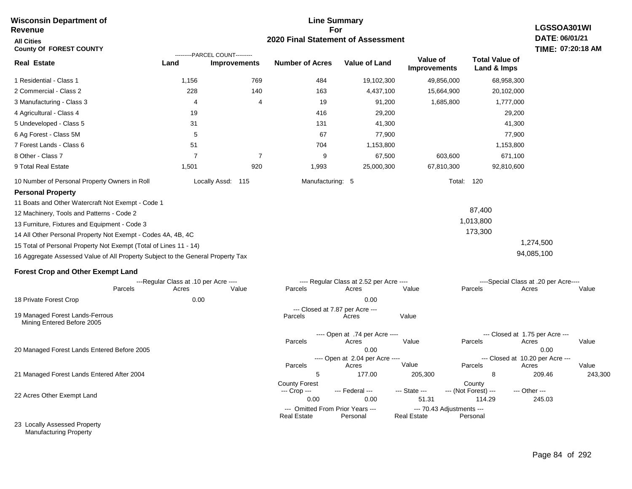#### **Line Summary For 2020 Final Statement of Assessment Wisconsin Department of Revenue All Cities County Of FOREST COUNTY LGSSOA301WI DATE: 06/01/21 TIME: 07:20:18 AM Real Estate** 1 Residential - Class 1 2 Commercial - Class 2 3 Manufacturing - Class 3 4 Agricultural - Class 4 5 Undeveloped - Class 5 6 Ag Forest - Class 5M 7 Forest Lands - Class 6 8 Other - Class 7 9 Total Real Estate 10 Number of Personal Property Owners in Roll 1,156 769 484 19,102,300 49,856,000 68,958,300 **Land Improvements Number of Acres Value of Land Value of Improvements Total Value of Land & Imps** 228 4 19 31 5 51 7 1,501 140 4 7 920 163 19 416 131 67 704 9 1,993 4,437,100 91,200 29,200 41,300 77,900 1,153,800 67,500 25,000,300 15,664,900 1,685,800 603,600 67,810,300 20,102,000 1,777,000 29,200 41,300 77,900 1,153,800 671,100 92,810,600 Locally Assd: 115 Manufacturing: 5 Total: 120 **Personal Property** 11 Boats and Other Watercraft Not Exempt - Code 1 12 Machinery, Tools and Patterns - Code 2 13 Furniture, Fixtures and Equipment - Code 3 14 All Other Personal Property Not Exempt - Codes 4A, 4B, 4C 15 Total of Personal Property Not Exempt (Total of Lines 11 - 14) 16 Aggregate Assessed Value of All Property Subject to the General Property Tax 87,400 1,013,800 173,300 1,274,500 94,085,100 **Forest Crop and Other Exempt Land** ---Regular Class at .10 per Acre ---- ---- Regular Class at 2.52 per Acre ---- ----Special Class at .20 per Acre---- 18 Private Forest Crop 20 Managed Forest Lands Entered Before 2005 21 Managed Forest Lands Entered After 2004 Parcels 0.00 0.00 Acres Value Parcels Acres Value Parcels Acres Value ---- Open at .74 per Acre<br>Acres Parcels 0.00 0.00 Acres Value Parcels Acres Value --- Closed at 1.75 per Acre --- ---- Open at 2.04 per Acre ---- --- Closed at 10.20 per Acre --- Parcels 5 177.00 205,300 8 209.46 243,300 Acres **Value Parcels Acres Value** County Forest County County ---------PARCEL COUNT--------- 19 Managed Forest Lands-Ferrous Mining Entered Before 2005 --- Closed at 7.87 per Acre ---<br>rcels Acres Parcels **Acres** Value

--- Crop ---

 0.00 0.00 51.31 114.29 245.03 --- Federal --- - --- State --- --- (Not Forest) --- --- Other ---

**Real Estate** 

--- Omitted From Prior Years ---<br>Real Estate Personal Personal Real Estate Personal

22 Acres Other Exempt Land

23 Locally Assessed Property Manufacturing Property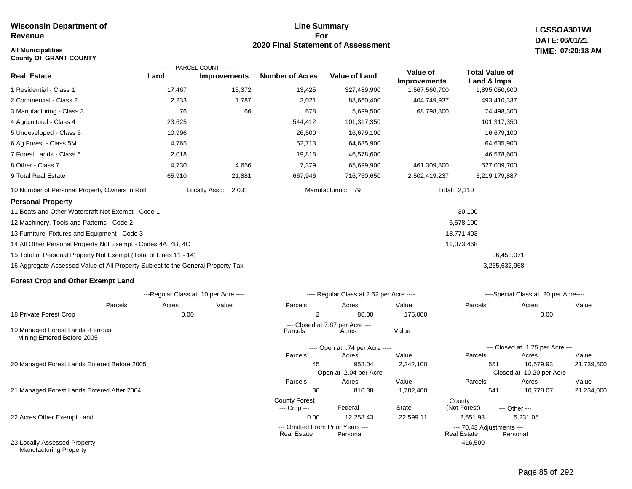## **All Municipalities TIME:**

**County Of GRANT COUNTY**

# **Line Summary For 2020 Final Statement of Assessment**

**LGSSOA301WI DATE: 06/01/21 07:20:18 AM**

|                                                                                 | ---------PARCEL COUNT---------        |                     |                                                        |                                          |                                        |                                                 |                                           |       |
|---------------------------------------------------------------------------------|---------------------------------------|---------------------|--------------------------------------------------------|------------------------------------------|----------------------------------------|-------------------------------------------------|-------------------------------------------|-------|
| <b>Real Estate</b>                                                              | Land                                  | <b>Improvements</b> | <b>Number of Acres</b>                                 | <b>Value of Land</b>                     | <b>Value of</b><br><b>Improvements</b> | <b>Total Value of</b><br>Land & Imps            |                                           |       |
| 1 Residential - Class 1                                                         | 17,467                                | 15,372              | 13,425                                                 | 327,489,900                              | 1,567,560,700                          | 1,895,050,600                                   |                                           |       |
| 2 Commercial - Class 2                                                          | 2,233                                 | 1,787               | 3,021                                                  | 88,660,400                               | 404,749,937                            | 493,410,337                                     |                                           |       |
| 3 Manufacturing - Class 3                                                       | 76                                    | 66                  | 678                                                    | 5,699,500                                | 68,798,800                             | 74,498,300                                      |                                           |       |
| 4 Agricultural - Class 4                                                        | 23,625                                |                     | 544,412                                                | 101,317,350                              |                                        | 101,317,350                                     |                                           |       |
| 5 Undeveloped - Class 5                                                         | 10,996                                |                     | 26,500                                                 | 16,679,100                               |                                        | 16,679,100                                      |                                           |       |
| 6 Ag Forest - Class 5M                                                          | 4,765                                 |                     | 52,713                                                 | 64,635,900                               |                                        | 64,635,900                                      |                                           |       |
| 7 Forest Lands - Class 6                                                        | 2,018                                 |                     | 19,818                                                 | 46,578,600                               |                                        | 46,578,600                                      |                                           |       |
| 8 Other - Class 7                                                               | 4,730                                 | 4,656               | 7,379                                                  | 65,699,900                               | 461,309,800                            | 527,009,700                                     |                                           |       |
| 9 Total Real Estate                                                             | 65,910                                | 21,881              | 667,946                                                | 716,760,650                              | 2,502,419,237                          | 3,219,179,887                                   |                                           |       |
| 10 Number of Personal Property Owners in Roll                                   |                                       | Locally Assd: 2,031 |                                                        | Manufacturing: 79                        |                                        | Total: 2,110                                    |                                           |       |
| <b>Personal Property</b>                                                        |                                       |                     |                                                        |                                          |                                        |                                                 |                                           |       |
| 11 Boats and Other Watercraft Not Exempt - Code 1                               |                                       |                     |                                                        |                                          |                                        | 30,100                                          |                                           |       |
| 12 Machinery, Tools and Patterns - Code 2                                       |                                       |                     |                                                        |                                          |                                        | 6,578,100                                       |                                           |       |
| 13 Furniture, Fixtures and Equipment - Code 3                                   |                                       |                     |                                                        |                                          |                                        | 18,771,403                                      |                                           |       |
| 14 All Other Personal Property Not Exempt - Codes 4A, 4B, 4C                    |                                       |                     |                                                        |                                          |                                        | 11,073,468                                      |                                           |       |
| 15 Total of Personal Property Not Exempt (Total of Lines 11 - 14)               |                                       |                     |                                                        |                                          |                                        |                                                 | 36,453,071                                |       |
| 16 Aggregate Assessed Value of All Property Subject to the General Property Tax |                                       |                     |                                                        |                                          |                                        | 3,255,632,958                                   |                                           |       |
| <b>Forest Crop and Other Exempt Land</b>                                        |                                       |                     |                                                        |                                          |                                        |                                                 |                                           |       |
|                                                                                 | ---Regular Class at .10 per Acre ---- |                     |                                                        | ---- Regular Class at 2.52 per Acre ---- |                                        |                                                 | ----Special Class at .20 per Acre----     |       |
| Parcels                                                                         | Acres                                 | Value               | Parcels                                                | Acres                                    | Value                                  | Parcels                                         | Acres                                     | Value |
| 18 Private Forest Crop                                                          | 0.00                                  |                     | 2                                                      | 80.00                                    | 176,000                                |                                                 | 0.00                                      |       |
| 19 Managed Forest Lands - Ferrous<br>Mining Entered Before 2005                 |                                       |                     | Parcels                                                | --- Closed at 7.87 per Acre ---<br>Acres | Value                                  |                                                 |                                           |       |
|                                                                                 |                                       |                     |                                                        | ---- Open at .74 per Acre ----           |                                        |                                                 | --- Closed at 1.75 per Acre ---           |       |
|                                                                                 |                                       |                     | Parcels                                                | Acres                                    | Value                                  | Parcels                                         | Acres                                     | Value |
| 20 Managed Forest Lands Entered Before 2005                                     |                                       |                     | 45                                                     | 958.04                                   | 2,242,100                              | 551                                             | 10,579.93                                 | 21,73 |
|                                                                                 |                                       |                     | Parcels                                                | ---- Open at 2.04 per Acre ----<br>Acres | Value                                  | Parcels                                         | --- Closed at 10.20 per Acre ---<br>Acres | Value |
| 21 Managed Forest Lands Entered After 2004                                      |                                       |                     | 30                                                     | 810.38                                   | 1,782,400                              | 541                                             | 10,778.07                                 | 21,23 |
|                                                                                 |                                       |                     | <b>County Forest</b>                                   |                                          |                                        | County                                          |                                           |       |
|                                                                                 |                                       |                     | --- Crop ---                                           | --- Federal ---                          | --- State ---                          | --- (Not Forest) ---                            | --- Other ---                             |       |
| 22 Acres Other Exempt Land                                                      |                                       |                     | 0.00                                                   | 12,258.43                                | 22,599.11                              | 2,651.93                                        | 5,231.05                                  |       |
|                                                                                 |                                       |                     | --- Omitted From Prior Years ---<br><b>Real Estate</b> | Personal                                 |                                        | --- 70.43 Adjustments ---<br><b>Real Estate</b> | Personal                                  |       |

23 Locally Assessed Property Manufacturing Property

-416,500

21,739,500

21,234,000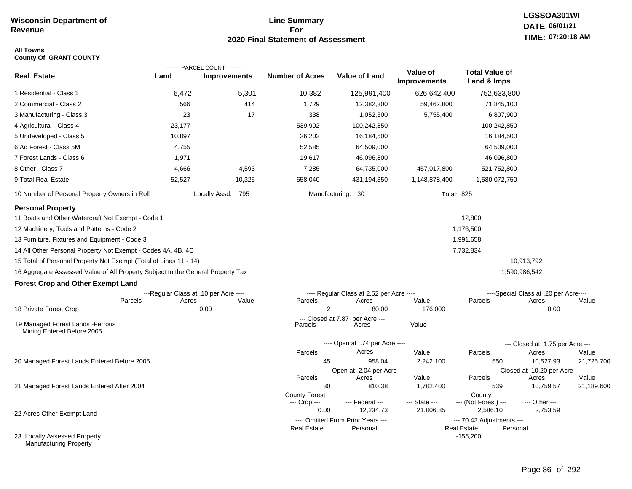# **Line Summary For 2020 Final Statement of Assessment**

#### **All Towns County Of GRANT COUNTY**

| <b>Real Estate</b>                                                                                                                                                          | Land   | ---------PARCEL COUNT---------<br><b>Improvements</b> | <b>Number of Acres</b> | <b>Value of Land</b>                     | Value of            | <b>Total Value of</b>                        |                                       |                     |
|-----------------------------------------------------------------------------------------------------------------------------------------------------------------------------|--------|-------------------------------------------------------|------------------------|------------------------------------------|---------------------|----------------------------------------------|---------------------------------------|---------------------|
|                                                                                                                                                                             |        |                                                       |                        |                                          | <b>Improvements</b> | Land & Imps                                  |                                       |                     |
| 1 Residential - Class 1                                                                                                                                                     | 6,472  | 5,301                                                 | 10,382                 | 125,991,400                              | 626,642,400         | 752,633,800                                  |                                       |                     |
| 2 Commercial - Class 2                                                                                                                                                      | 566    | 414                                                   | 1,729                  | 12,382,300                               | 59,462,800          | 71,845,100                                   |                                       |                     |
| 3 Manufacturing - Class 3                                                                                                                                                   | 23     | 17                                                    | 338                    | 1,052,500                                | 5,755,400           | 6,807,900                                    |                                       |                     |
| 4 Agricultural - Class 4                                                                                                                                                    | 23,177 |                                                       | 539,902                | 100,242,850                              |                     | 100,242,850                                  |                                       |                     |
| 5 Undeveloped - Class 5                                                                                                                                                     | 10,897 |                                                       | 26,202                 | 16,184,500                               |                     | 16,184,500                                   |                                       |                     |
| 6 Ag Forest - Class 5M                                                                                                                                                      | 4,755  |                                                       | 52,585                 | 64,509,000                               |                     | 64,509,000                                   |                                       |                     |
| 7 Forest Lands - Class 6                                                                                                                                                    | 1,971  |                                                       | 19,617                 | 46,096,800                               |                     | 46,096,800                                   |                                       |                     |
| 8 Other - Class 7                                                                                                                                                           | 4,666  | 4,593                                                 | 7,285                  | 64,735,000                               | 457,017,800         | 521,752,800                                  |                                       |                     |
| 9 Total Real Estate                                                                                                                                                         | 52,527 | 10,325                                                | 658,040                | 431,194,350                              | 1,148,878,400       | 1,580,072,750                                |                                       |                     |
| 10 Number of Personal Property Owners in Roll                                                                                                                               |        | Locally Assd: 795                                     |                        | Manufacturing: 30                        | <b>Total: 825</b>   |                                              |                                       |                     |
| <b>Personal Property</b><br>11 Boats and Other Watercraft Not Exempt - Code 1<br>12 Machinery, Tools and Patterns - Code 2<br>13 Furniture, Fixtures and Equipment - Code 3 |        |                                                       |                        |                                          |                     | 12,800<br>1,176,500<br>1,991,658             |                                       |                     |
| 14 All Other Personal Property Not Exempt - Codes 4A, 4B, 4C                                                                                                                |        |                                                       |                        |                                          |                     | 7,732,834                                    |                                       |                     |
| 15 Total of Personal Property Not Exempt (Total of Lines 11 - 14)                                                                                                           |        |                                                       |                        |                                          |                     |                                              | 10,913,792                            |                     |
| 16 Aggregate Assessed Value of All Property Subject to the General Property Tax                                                                                             |        |                                                       |                        |                                          |                     |                                              | 1,590,986,542                         |                     |
| <b>Forest Crop and Other Exempt Land</b>                                                                                                                                    |        |                                                       |                        |                                          |                     |                                              |                                       |                     |
|                                                                                                                                                                             |        | ---Regular Class at .10 per Acre ----                 |                        | ---- Regular Class at 2.52 per Acre ---- |                     |                                              | ----Special Class at .20 per Acre---- |                     |
| Parcels<br>18 Private Forest Crop                                                                                                                                           | Acres  | Value<br>0.00                                         | Parcels<br>2           | Acres<br>80.00                           | Value<br>176,000    | Parcels                                      | Acres<br>0.00                         | Value               |
|                                                                                                                                                                             |        |                                                       | --- Closed at 7.87     | per Acre ---                             |                     |                                              |                                       |                     |
| 19 Managed Forest Lands - Ferrous<br>Mining Entered Before 2005                                                                                                             |        |                                                       | Parcels                | Acres                                    | Value               |                                              |                                       |                     |
|                                                                                                                                                                             |        |                                                       |                        | ---- Open at .74 per Acre ----           |                     |                                              | --- Closed at 1.75 per Acre ---       |                     |
|                                                                                                                                                                             |        |                                                       | Parcels                | Acres                                    | Value               | Parcels                                      | Acres                                 | Value               |
| 20 Managed Forest Lands Entered Before 2005                                                                                                                                 |        |                                                       | 45                     | 958.04                                   | 2,242,100           | 550                                          | 10,527.93                             | 21,725,700          |
|                                                                                                                                                                             |        |                                                       |                        | ---- Open at 2.04 per Acre ----          |                     |                                              | --- Closed at 10.20 per Acre ---      |                     |
| 21 Managed Forest Lands Entered After 2004                                                                                                                                  |        |                                                       | Parcels<br>30          | Acres<br>810.38                          | Value<br>1,782,400  | Parcels<br>539                               | Acres<br>10,759.57                    | Value<br>21,189,600 |
|                                                                                                                                                                             |        |                                                       | <b>County Forest</b>   |                                          |                     | County                                       |                                       |                     |
|                                                                                                                                                                             |        |                                                       | --- Crop ---           | --- Federal ---                          | --- State ---       | --- (Not Forest) ---                         | --- Other ---                         |                     |
| 22 Acres Other Exempt Land                                                                                                                                                  |        |                                                       | 0.00                   | 12,234.73                                | 21,806.85           | 2,586.10                                     | 2,753.59                              |                     |
|                                                                                                                                                                             |        |                                                       |                        | --- Omitted From Prior Years ---         |                     | --- 70.43 Adjustments ---                    |                                       |                     |
| 23 Locally Assessed Property<br><b>Manufacturing Property</b>                                                                                                               |        |                                                       | <b>Real Estate</b>     | Personal                                 |                     | <b>Real Estate</b><br>Personal<br>$-155,200$ |                                       |                     |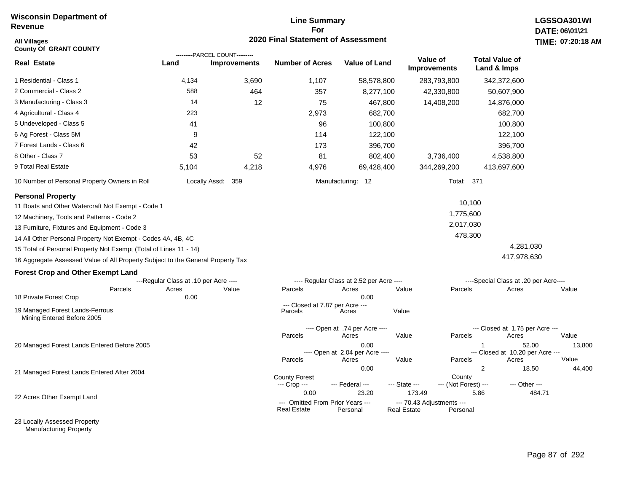# **Line Summary For 2020 Final Statement of Assessment**

| <b>All Villages</b><br><b>County Of GRANT COUNTY</b>                            |                                       | ---------PARCEL COUNT--------- | 2020 Final Statement of Assessment                      |                                                  |                                                           |                                |                                      |                                                    | TIME: 07:20:18  |
|---------------------------------------------------------------------------------|---------------------------------------|--------------------------------|---------------------------------------------------------|--------------------------------------------------|-----------------------------------------------------------|--------------------------------|--------------------------------------|----------------------------------------------------|-----------------|
| <b>Real Estate</b>                                                              | Land                                  | <b>Improvements</b>            | <b>Number of Acres</b>                                  | <b>Value of Land</b>                             | Value of<br><b>Improvements</b>                           |                                | <b>Total Value of</b><br>Land & Imps |                                                    |                 |
| 1 Residential - Class 1                                                         | 4,134                                 | 3,690                          | 1,107                                                   | 58,578,800                                       |                                                           | 283,793,800                    | 342,372,600                          |                                                    |                 |
| 2 Commercial - Class 2                                                          | 588                                   | 464                            | 357                                                     | 8,277,100                                        |                                                           | 42,330,800                     | 50,607,900                           |                                                    |                 |
| 3 Manufacturing - Class 3                                                       | 14                                    | 12                             | 75                                                      | 467,800                                          |                                                           | 14,408,200                     | 14,876,000                           |                                                    |                 |
| 4 Agricultural - Class 4                                                        | 223                                   |                                | 2,973                                                   | 682,700                                          |                                                           |                                |                                      | 682,700                                            |                 |
| 5 Undeveloped - Class 5                                                         | 41                                    |                                | 96                                                      | 100,800                                          |                                                           |                                |                                      | 100,800                                            |                 |
| 6 Ag Forest - Class 5M                                                          | 9                                     |                                | 114                                                     | 122,100                                          |                                                           |                                |                                      | 122,100                                            |                 |
| 7 Forest Lands - Class 6                                                        | 42                                    |                                | 173                                                     | 396,700                                          |                                                           |                                |                                      | 396,700                                            |                 |
| 8 Other - Class 7                                                               | 53                                    | 52                             | 81                                                      | 802,400                                          |                                                           | 3,736,400                      | 4,538,800                            |                                                    |                 |
| 9 Total Real Estate                                                             | 5,104                                 | 4,218                          | 4,976                                                   | 69,428,400                                       |                                                           | 344,269,200                    | 413,697,600                          |                                                    |                 |
| 10 Number of Personal Property Owners in Roll                                   |                                       | Locally Assd: 359              |                                                         | Manufacturing: 12                                |                                                           | <b>Total: 371</b>              |                                      |                                                    |                 |
| <b>Personal Property</b>                                                        |                                       |                                |                                                         |                                                  |                                                           |                                |                                      |                                                    |                 |
| 11 Boats and Other Watercraft Not Exempt - Code 1                               |                                       |                                |                                                         |                                                  |                                                           |                                | 10,100                               |                                                    |                 |
| 12 Machinery, Tools and Patterns - Code 2                                       |                                       |                                |                                                         |                                                  |                                                           | 1,775,600                      |                                      |                                                    |                 |
| 13 Furniture, Fixtures and Equipment - Code 3                                   |                                       |                                |                                                         |                                                  |                                                           | 2,017,030                      |                                      |                                                    |                 |
| 14 All Other Personal Property Not Exempt - Codes 4A, 4B, 4C                    |                                       |                                |                                                         |                                                  |                                                           | 478,300                        |                                      |                                                    |                 |
| 15 Total of Personal Property Not Exempt (Total of Lines 11 - 14)               |                                       |                                |                                                         |                                                  |                                                           |                                |                                      | 4,281,030                                          |                 |
| 16 Aggregate Assessed Value of All Property Subject to the General Property Tax |                                       |                                |                                                         |                                                  |                                                           |                                |                                      | 417,978,630                                        |                 |
| <b>Forest Crop and Other Exempt Land</b>                                        |                                       |                                |                                                         |                                                  |                                                           |                                |                                      |                                                    |                 |
|                                                                                 | ---Regular Class at .10 per Acre ---- |                                |                                                         | ---- Regular Class at 2.52 per Acre ----         |                                                           |                                |                                      | ----Special Class at .20 per Acre----              |                 |
| Parcels                                                                         | Acres                                 | Value                          | Parcels                                                 | Acres<br>0.00                                    | Value                                                     | Parcels                        |                                      | Acres                                              | Value           |
| 18 Private Forest Crop                                                          | 0.00                                  |                                | --- Closed at 7.87 per Acre ---                         |                                                  |                                                           |                                |                                      |                                                    |                 |
| 19 Managed Forest Lands-Ferrous<br>Mining Entered Before 2005                   |                                       |                                | Parcels                                                 | Acres                                            | Value                                                     |                                |                                      |                                                    |                 |
|                                                                                 |                                       |                                |                                                         | ---- Open at .74 per Acre ----                   |                                                           |                                |                                      | --- Closed at 1.75 per Acre ---                    |                 |
|                                                                                 |                                       |                                | Parcels                                                 | Acres                                            | Value                                                     | Parcels                        |                                      | Acres                                              | Value           |
| 20 Managed Forest Lands Entered Before 2005                                     |                                       |                                | Parcels                                                 | 0.00<br>---- Open at 2.04 per Acre ----<br>Acres | Value                                                     | Parcels                        | 1                                    | 52.00<br>--- Closed at 10.20 per Acre ---<br>Acres | 13,800<br>Value |
|                                                                                 |                                       |                                |                                                         | 0.00                                             |                                                           |                                | 2                                    | 18.50                                              | 44,400          |
| 21 Managed Forest Lands Entered After 2004                                      |                                       |                                | <b>County Forest</b><br>--- Crop ---                    | --- Federal ---                                  | --- State ---                                             | County<br>--- (Not Forest) --- |                                      | --- Other ---                                      |                 |
| 22 Acres Other Exempt Land                                                      |                                       |                                | 0.00<br>--- Omitted From Prior Years ---<br>Real Estate | 23.20<br>Personal                                | 173.49<br>--- 70.43 Adjustments ---<br><b>Real Estate</b> | Personal                       | 5.86                                 | 484.71                                             |                 |

23 Locally Assessed Property Manufacturing Property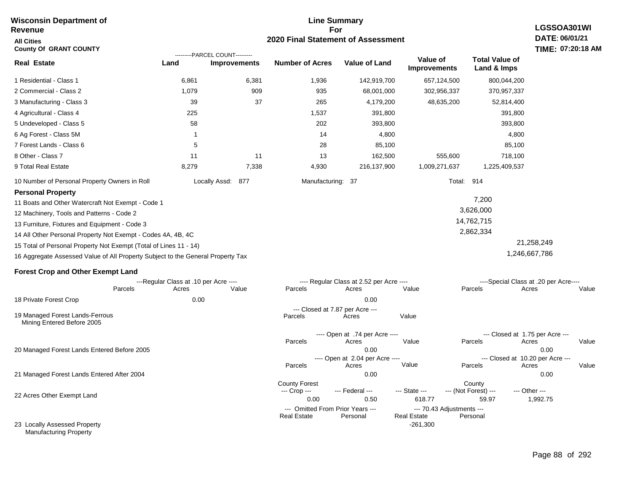#### **Line Summary For 2020 Final Statement of Assessment Revenue All Cities County Of GRANT COUNTY LGSSOA301WI DATE: 06/01/21 Real Estate** 1 Residential - Class 1 2 Commercial - Class 2 3 Manufacturing - Class 3 4 Agricultural - Class 4 5 Undeveloped - Class 5 6 Ag Forest - Class 5M 7 Forest Lands - Class 6 8 Other - Class 7 9 Total Real Estate 10 Number of Personal Property Owners in Roll 6,861 6,381 1,936 142,919,700 657,124,500 800,044,200 **Land Improvements Number of Acres Value of Land Value of Improvements Total Value of Land & Imps** 1,079 39 225 58 1 5 11 8,279 909 37 11 7,338 935 265 1,537 202 14 28 13 4,930 68,001,000 4,179,200 391,800 393,800 4,800 85,100 162,500 216,137,900 302,956,337 48,635,200 555,600 1,009,271,637 370,957,337 52,814,400 391,800 393,800 4,800 85,100 718,100 1,225,409,537 Locally Assd: 877 Manufacturing: 37 Total: 914 **Personal Property** 11 Boats and Other Watercraft Not Exempt - Code 1 12 Machinery, Tools and Patterns - Code 2 13 Furniture, Fixtures and Equipment - Code 3 14 All Other Personal Property Not Exempt - Codes 4A, 4B, 4C 7,200 3,626,000 14,762,715 2,862,334 21,258,249 ---------PARCEL COUNT---------

15 Total of Personal Property Not Exempt (Total of Lines 11 - 14)

16 Aggregate Assessed Value of All Property Subject to the General Property Tax

#### **Forest Crop and Other Exempt Land**

|                                                               | ---Regular Class at .10 per Acre ---- |       |                                  |                                                              | ---- Regular Class at 2.52 per Acre ---- |                                  |                                         | ----Special Class at .20 per Acre---- |       |  |
|---------------------------------------------------------------|---------------------------------------|-------|----------------------------------|--------------------------------------------------------------|------------------------------------------|----------------------------------|-----------------------------------------|---------------------------------------|-------|--|
|                                                               | Parcels                               | Acres | Value                            | Parcels                                                      | Acres                                    | Value                            | Parcels                                 | Acres                                 | Value |  |
| 18 Private Forest Crop                                        |                                       | 0.00  |                                  |                                                              | 0.00                                     |                                  |                                         |                                       |       |  |
| 19 Managed Forest Lands-Ferrous<br>Mining Entered Before 2005 |                                       |       |                                  | --- Closed at 7.87 per Acre ---<br>Value<br>Parcels<br>Acres |                                          |                                  |                                         |                                       |       |  |
|                                                               |                                       |       |                                  |                                                              | ---- Open at .74 per Acre ----           |                                  | --- Closed at 1.75 per Acre ---         |                                       |       |  |
|                                                               |                                       |       |                                  | Parcels                                                      | Acres                                    | Value                            | Parcels                                 | Acres                                 | Value |  |
| 20 Managed Forest Lands Entered Before 2005                   |                                       |       | 0.00                             |                                                              |                                          | 0.00                             |                                         |                                       |       |  |
|                                                               |                                       |       |                                  | ---- Open at 2.04 per Acre ----                              |                                          |                                  | --- Closed at 10.20 per Acre ---        |                                       |       |  |
|                                                               |                                       |       |                                  | Parcels                                                      | Acres                                    | Value                            | Parcels                                 | Acres                                 | Value |  |
| 21 Managed Forest Lands Entered After 2004                    |                                       |       |                                  |                                                              | 0.00                                     |                                  |                                         | 0.00                                  |       |  |
| 22 Acres Other Exempt Land                                    |                                       |       |                                  | <b>County Forest</b><br>--- Crop ---<br>0.00                 | --- Federal ---<br>0.50                  | --- State ---<br>618.77          | County<br>--- (Not Forest) ---<br>59.97 | --- Other ---<br>1,992.75             |       |  |
|                                                               |                                       |       | --- Omitted From Prior Years --- |                                                              |                                          | --- 70.43 Adjustments ---        |                                         |                                       |       |  |
| 23 Locally Assessed Property<br><b>Manufacturing Property</b> |                                       |       |                                  | <b>Real Estate</b>                                           | Personal                                 | <b>Real Estate</b><br>$-261,300$ | Personal                                |                                       |       |  |

1,246,667,786

# **TIME: 07:20:18 AM**

# **Wisconsin Department of**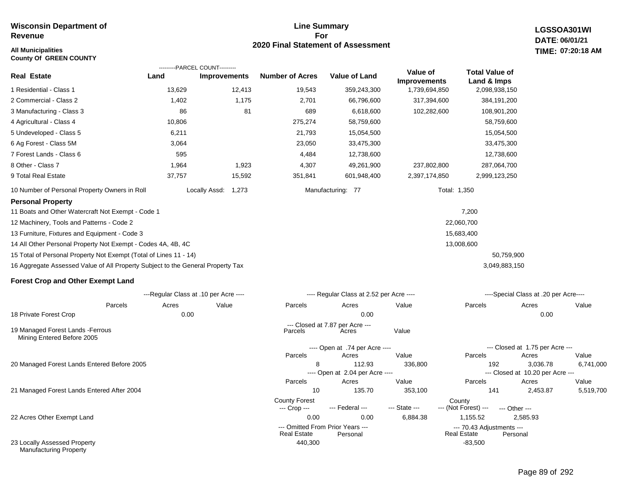# **All Municipalities TIME:**

**County Of GREEN COUNTY**

#### **Line Summary For 2020 Final Statement of Assessment**

**LGSSOA301WI DATE: 06/01/21 07:20:18 AM**

|                                                                                 |                                       | ---------PARCEL COUNT--------- |                                                        |                                           |                                 |                                                 |                                              |       |
|---------------------------------------------------------------------------------|---------------------------------------|--------------------------------|--------------------------------------------------------|-------------------------------------------|---------------------------------|-------------------------------------------------|----------------------------------------------|-------|
| Real Estate                                                                     | Land                                  | <b>Improvements</b>            | <b>Number of Acres</b>                                 | <b>Value of Land</b>                      | Value of<br><b>Improvements</b> | <b>Total Value of</b><br>Land & Imps            |                                              |       |
| 1 Residential - Class 1                                                         | 13,629                                | 12,413                         | 19,543                                                 | 359,243,300                               | 1,739,694,850                   | 2,098,938,150                                   |                                              |       |
| 2 Commercial - Class 2                                                          | 1,402                                 | 1,175                          | 2,701                                                  | 66,796,600                                | 317,394,600                     | 384,191,200                                     |                                              |       |
| 3 Manufacturing - Class 3                                                       | 86                                    | 81                             | 689                                                    | 6,618,600                                 | 102,282,600                     | 108,901,200                                     |                                              |       |
| 4 Agricultural - Class 4                                                        | 10,806                                |                                | 275,274                                                | 58,759,600                                |                                 | 58,759,600                                      |                                              |       |
| 5 Undeveloped - Class 5                                                         | 6,211                                 |                                | 21,793                                                 | 15,054,500                                |                                 | 15,054,500                                      |                                              |       |
| 6 Ag Forest - Class 5M                                                          | 3,064                                 |                                | 23,050                                                 | 33,475,300                                |                                 | 33,475,300                                      |                                              |       |
| 7 Forest Lands - Class 6                                                        | 595                                   |                                | 4,484                                                  | 12,738,600                                |                                 | 12,738,600                                      |                                              |       |
| 8 Other - Class 7                                                               | 1,964                                 | 1,923                          | 4,307                                                  | 49,261,900                                | 237,802,800                     | 287,064,700                                     |                                              |       |
| 9 Total Real Estate                                                             | 37,757                                | 15,592                         | 351,841                                                | 601,948,400                               | 2,397,174,850                   | 2,999,123,250                                   |                                              |       |
| 10 Number of Personal Property Owners in Roll                                   |                                       | Locally Assd: 1,273            |                                                        | Manufacturing: 77                         |                                 | Total: 1,350                                    |                                              |       |
| <b>Personal Property</b>                                                        |                                       |                                |                                                        |                                           |                                 |                                                 |                                              |       |
| 11 Boats and Other Watercraft Not Exempt - Code 1                               |                                       |                                |                                                        |                                           |                                 | 7,200                                           |                                              |       |
| 12 Machinery, Tools and Patterns - Code 2                                       |                                       |                                |                                                        |                                           |                                 | 22,060,700                                      |                                              |       |
| 13 Furniture, Fixtures and Equipment - Code 3                                   |                                       |                                |                                                        |                                           |                                 | 15,683,400                                      |                                              |       |
| 14 All Other Personal Property Not Exempt - Codes 4A, 4B, 4C                    |                                       |                                |                                                        |                                           |                                 | 13,008,600                                      |                                              |       |
| 15 Total of Personal Property Not Exempt (Total of Lines 11 - 14)               |                                       |                                |                                                        |                                           |                                 | 50,759,900                                      |                                              |       |
| 16 Aggregate Assessed Value of All Property Subject to the General Property Tax |                                       |                                |                                                        |                                           |                                 | 3,049,883,150                                   |                                              |       |
| <b>Forest Crop and Other Exempt Land</b>                                        |                                       |                                |                                                        |                                           |                                 |                                                 |                                              |       |
|                                                                                 | ---Regular Class at .10 per Acre ---- |                                |                                                        | ---- Regular Class at 2.52 per Acre ----  |                                 |                                                 | ----Special Class at .20 per Acre----        |       |
| Parcels                                                                         | Acres                                 | Value                          | Parcels                                                | Acres                                     | Value                           | Parcels                                         | Acres                                        | Value |
| 18 Private Forest Crop                                                          | 0.00                                  |                                |                                                        | 0.00                                      |                                 |                                                 | 0.00                                         |       |
| 19 Managed Forest Lands - Ferrous<br>Mining Entered Before 2005                 |                                       |                                | Parcels                                                | --- Closed at 7.87 per Acre ---<br>Acres  | Value                           |                                                 |                                              |       |
|                                                                                 |                                       |                                |                                                        | ---- Open at .74 per Acre ----            |                                 |                                                 | --- Closed at 1.75 per Acre ---              |       |
|                                                                                 |                                       |                                | Parcels                                                | Acres                                     | Value                           | Parcels                                         | Acres                                        | Value |
| 20 Managed Forest Lands Entered Before 2005                                     |                                       |                                | 8                                                      | 112.93<br>---- Open at 2.04 per Acre ---- | 336,800                         | 192                                             | 3,036.78<br>--- Closed at 10.20 per Acre --- | 6,74  |
|                                                                                 |                                       |                                | Parcels                                                | Acres                                     | Value                           | Parcels                                         | Acres                                        | Value |
| 21 Managed Forest Lands Entered After 2004                                      |                                       |                                | 10                                                     | 135.70                                    | 353,100                         | 141                                             | 2,453.87                                     | 5,51  |
|                                                                                 |                                       |                                | <b>County Forest</b><br>--- Crop ---                   | --- Federal ---                           | --- State ---                   | County<br>--- (Not Forest) ---                  | --- Other ---                                |       |
| 22 Acres Other Exempt Land                                                      |                                       |                                | 0.00                                                   | 0.00                                      | 6,884.38                        | 1,155.52                                        | 2,585.93                                     |       |
|                                                                                 |                                       |                                | --- Omitted From Prior Years ---<br><b>Real Estate</b> | Personal                                  |                                 | --- 70.43 Adjustments ---<br><b>Real Estate</b> | Personal                                     |       |
| 23 Locally Assessed Property                                                    |                                       |                                | 440,300                                                |                                           |                                 | $-83.500$                                       |                                              |       |

Manufacturing Property

6,741,000

5,519,700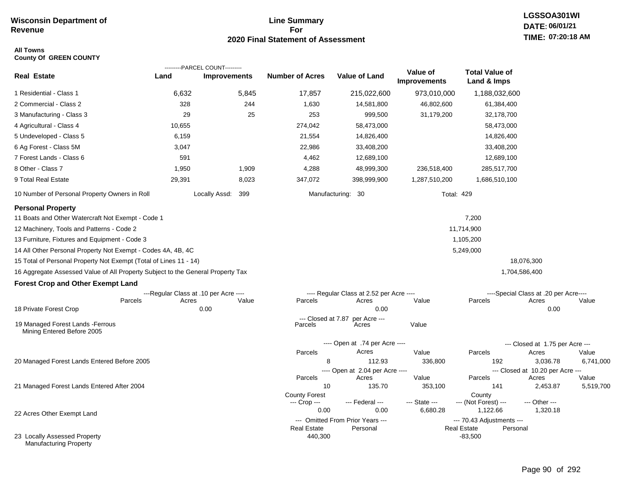# **Line Summary For 2020 Final Statement of Assessment**

#### **All Towns County Of GREEN COUNTY**

|                                                                                 |                                       | ---------PARCEL COUNT--------- |                               |                                              |                                 |                                                             |                                       |                    |
|---------------------------------------------------------------------------------|---------------------------------------|--------------------------------|-------------------------------|----------------------------------------------|---------------------------------|-------------------------------------------------------------|---------------------------------------|--------------------|
| <b>Real Estate</b>                                                              | Land                                  | <b>Improvements</b>            | <b>Number of Acres</b>        | <b>Value of Land</b>                         | Value of<br><b>Improvements</b> | <b>Total Value of</b><br>Land & Imps                        |                                       |                    |
| 1 Residential - Class 1                                                         | 6,632                                 | 5,845                          | 17,857                        | 215,022,600                                  | 973,010,000                     | 1,188,032,600                                               |                                       |                    |
| 2 Commercial - Class 2                                                          | 328                                   | 244                            | 1,630                         | 14,581,800                                   | 46,802,600                      | 61,384,400                                                  |                                       |                    |
| 3 Manufacturing - Class 3                                                       | 29                                    | 25                             | 253                           | 999,500                                      | 31,179,200                      | 32,178,700                                                  |                                       |                    |
| 4 Agricultural - Class 4                                                        | 10,655                                |                                | 274,042                       | 58,473,000                                   |                                 | 58,473,000                                                  |                                       |                    |
| 5 Undeveloped - Class 5                                                         | 6,159                                 |                                | 21,554                        | 14,826,400                                   |                                 | 14,826,400                                                  |                                       |                    |
| 6 Ag Forest - Class 5M                                                          | 3,047                                 |                                | 22,986                        | 33,408,200                                   |                                 | 33,408,200                                                  |                                       |                    |
| 7 Forest Lands - Class 6                                                        | 591                                   |                                | 4,462                         | 12,689,100                                   |                                 | 12,689,100                                                  |                                       |                    |
| 8 Other - Class 7                                                               | 1,950                                 | 1,909                          | 4,288                         | 48,999,300                                   | 236,518,400                     | 285,517,700                                                 |                                       |                    |
| 9 Total Real Estate                                                             | 29,391                                | 8,023                          | 347,072                       | 398,999,900                                  | 1,287,510,200                   | 1,686,510,100                                               |                                       |                    |
| 10 Number of Personal Property Owners in Roll                                   |                                       | 399<br>Locally Assd:           |                               | Manufacturing: 30                            | <b>Total: 429</b>               |                                                             |                                       |                    |
| <b>Personal Property</b>                                                        |                                       |                                |                               |                                              |                                 |                                                             |                                       |                    |
| 11 Boats and Other Watercraft Not Exempt - Code 1                               |                                       |                                |                               |                                              |                                 | 7,200                                                       |                                       |                    |
| 12 Machinery, Tools and Patterns - Code 2                                       |                                       |                                |                               |                                              |                                 | 11,714,900                                                  |                                       |                    |
| 13 Furniture, Fixtures and Equipment - Code 3                                   |                                       |                                |                               |                                              |                                 | 1,105,200                                                   |                                       |                    |
| 14 All Other Personal Property Not Exempt - Codes 4A, 4B, 4C                    |                                       |                                |                               |                                              |                                 | 5,249,000                                                   |                                       |                    |
| 15 Total of Personal Property Not Exempt (Total of Lines 11 - 14)               |                                       |                                |                               |                                              |                                 |                                                             | 18,076,300                            |                    |
| 16 Aggregate Assessed Value of All Property Subject to the General Property Tax |                                       |                                |                               |                                              |                                 |                                                             | 1,704,586,400                         |                    |
| <b>Forest Crop and Other Exempt Land</b>                                        |                                       |                                |                               |                                              |                                 |                                                             |                                       |                    |
|                                                                                 | ---Regular Class at .10 per Acre ---- |                                |                               | ---- Regular Class at 2.52 per Acre ----     |                                 |                                                             | ----Special Class at .20 per Acre---- |                    |
| Parcels                                                                         | Acres                                 | Value                          | Parcels                       | Acres                                        | Value                           | Parcels                                                     | Acres                                 | Value              |
| 18 Private Forest Crop                                                          |                                       | 0.00                           |                               | 0.00                                         |                                 |                                                             | 0.00                                  |                    |
| 19 Managed Forest Lands - Ferrous<br>Mining Entered Before 2005                 |                                       |                                | --- Closed at 7.87<br>Parcels | per Acre ---<br>Acres                        | Value                           |                                                             |                                       |                    |
|                                                                                 |                                       |                                |                               | ---- Open at .74 per Acre ----               |                                 |                                                             | --- Closed at 1.75 per Acre ---       |                    |
|                                                                                 |                                       |                                | Parcels                       | Acres                                        | Value                           | Parcels                                                     | Acres                                 | Value              |
| 20 Managed Forest Lands Entered Before 2005                                     |                                       |                                | 8                             | 112.93                                       | 336,800                         | 192                                                         | 3,036.78                              | 6,741,000          |
|                                                                                 |                                       |                                |                               | ---- Open at 2.04 per Acre ----              |                                 |                                                             | --- Closed at 10.20 per Acre ---      |                    |
| 21 Managed Forest Lands Entered After 2004                                      |                                       |                                | Parcels<br>10                 | Acres<br>135.70                              | Value<br>353,100                | Parcels<br>141                                              | Acres<br>2,453.87                     | Value<br>5,519,700 |
|                                                                                 |                                       |                                | <b>County Forest</b>          |                                              |                                 | County                                                      |                                       |                    |
|                                                                                 |                                       |                                | --- Crop ---                  | --- Federal ---                              | --- State ---                   | --- (Not Forest) ---                                        | --- Other ---                         |                    |
| 22 Acres Other Exempt Land                                                      |                                       |                                | 0.00                          | 0.00                                         | 6,680.28                        | 1,122.66                                                    | 1,320.18                              |                    |
|                                                                                 |                                       |                                | <b>Real Estate</b>            | --- Omitted From Prior Years ---<br>Personal |                                 | --- 70.43 Adjustments ---<br><b>Real Estate</b><br>Personal |                                       |                    |
| 23 Locally Assessed Property<br><b>Manufacturing Property</b>                   |                                       |                                | 440,300                       |                                              |                                 | $-83,500$                                                   |                                       |                    |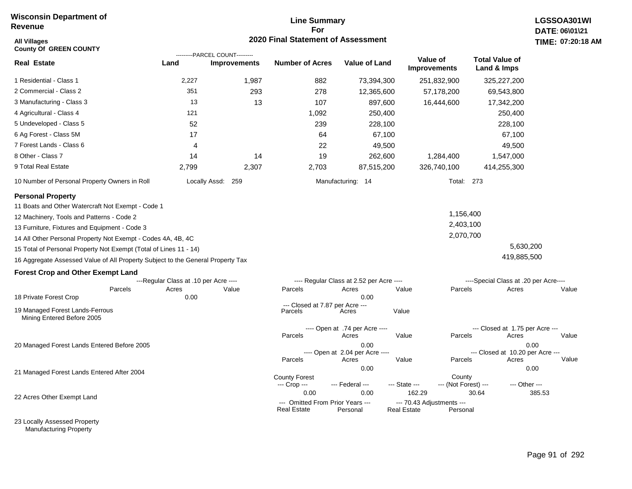# **Line Summary For 2020 Final Statement of Assessment**

| All Villages<br><b>County Of GREEN COUNTY</b>                                   |                                       | ---------PARCEL COUNT--------- | <b>2020 Final Statement of Assessment</b>              |                                          |                                          |                                |                                          | <b>TIME: 07:20</b> |
|---------------------------------------------------------------------------------|---------------------------------------|--------------------------------|--------------------------------------------------------|------------------------------------------|------------------------------------------|--------------------------------|------------------------------------------|--------------------|
| <b>Real Estate</b>                                                              | Land                                  | <b>Improvements</b>            | <b>Number of Acres</b>                                 | <b>Value of Land</b>                     | Value of<br><b>Improvements</b>          |                                | <b>Total Value of</b><br>Land & Imps     |                    |
| 1 Residential - Class 1                                                         | 2,227                                 | 1,987                          | 882                                                    | 73,394,300                               |                                          | 251,832,900                    | 325,227,200                              |                    |
| 2 Commercial - Class 2                                                          | 351                                   | 293                            | 278                                                    | 12,365,600                               |                                          | 57,178,200                     | 69,543,800                               |                    |
| 3 Manufacturing - Class 3                                                       | 13                                    | 13                             | 107                                                    | 897,600                                  |                                          | 16,444,600                     | 17,342,200                               |                    |
| 4 Agricultural - Class 4                                                        | 121                                   |                                | 1,092                                                  | 250,400                                  |                                          |                                | 250,400                                  |                    |
| 5 Undeveloped - Class 5                                                         | 52                                    |                                | 239                                                    | 228,100                                  |                                          |                                | 228,100                                  |                    |
| 6 Ag Forest - Class 5M                                                          | 17                                    |                                | 64                                                     | 67,100                                   |                                          |                                | 67,100                                   |                    |
| 7 Forest Lands - Class 6                                                        | 4                                     |                                | 22                                                     | 49,500                                   |                                          |                                | 49,500                                   |                    |
| 8 Other - Class 7                                                               | 14                                    | 14                             | 19                                                     | 262,600                                  |                                          | 1,284,400                      | 1,547,000                                |                    |
| 9 Total Real Estate                                                             | 2,799                                 | 2,307                          | 2,703                                                  | 87,515,200                               |                                          | 326,740,100                    | 414,255,300                              |                    |
| 10 Number of Personal Property Owners in Roll                                   |                                       | Locally Assd: 259              |                                                        | Manufacturing: 14                        |                                          | Total: 273                     |                                          |                    |
| <b>Personal Property</b>                                                        |                                       |                                |                                                        |                                          |                                          |                                |                                          |                    |
| 11 Boats and Other Watercraft Not Exempt - Code 1                               |                                       |                                |                                                        |                                          |                                          |                                |                                          |                    |
| 12 Machinery, Tools and Patterns - Code 2                                       |                                       |                                |                                                        |                                          |                                          | 1,156,400                      |                                          |                    |
| 13 Furniture, Fixtures and Equipment - Code 3                                   |                                       |                                |                                                        |                                          |                                          | 2,403,100                      |                                          |                    |
| 14 All Other Personal Property Not Exempt - Codes 4A, 4B, 4C                    |                                       |                                |                                                        |                                          |                                          | 2,070,700                      |                                          |                    |
| 15 Total of Personal Property Not Exempt (Total of Lines 11 - 14)               |                                       |                                |                                                        |                                          |                                          |                                | 5,630,200                                |                    |
| 16 Aggregate Assessed Value of All Property Subject to the General Property Tax |                                       |                                |                                                        |                                          |                                          |                                | 419,885,500                              |                    |
| <b>Forest Crop and Other Exempt Land</b>                                        |                                       |                                |                                                        |                                          |                                          |                                |                                          |                    |
|                                                                                 | ---Regular Class at .10 per Acre ---- |                                |                                                        | ---- Regular Class at 2.52 per Acre ---- |                                          |                                | ----Special Class at .20 per Acre----    |                    |
| Parcels                                                                         | Acres                                 | Value                          | Parcels                                                | Acres                                    | Value                                    | Parcels                        | Acres                                    | Value              |
| 18 Private Forest Crop                                                          | 0.00                                  |                                | --- Closed at 7.87 per Acre ---                        | 0.00                                     |                                          |                                |                                          |                    |
| 19 Managed Forest Lands-Ferrous<br>Mining Entered Before 2005                   |                                       |                                | Parcels                                                | Acres                                    | Value                                    |                                |                                          |                    |
|                                                                                 |                                       |                                |                                                        | ---- Open at .74 per Acre ----           |                                          |                                | --- Closed at 1.75 per Acre ---          |                    |
|                                                                                 |                                       |                                | Parcels                                                | Acres                                    | Value                                    | Parcels                        | Acres                                    | Value              |
| 20 Managed Forest Lands Entered Before 2005                                     |                                       |                                |                                                        | 0.00<br>---- Open at 2.04 per Acre ----  |                                          |                                | 0.00<br>--- Closed at 10.20 per Acre --- |                    |
|                                                                                 |                                       |                                | Parcels                                                | Acres                                    | Value                                    | Parcels                        | Acres                                    | Value              |
| 21 Managed Forest Lands Entered After 2004                                      |                                       |                                |                                                        | 0.00                                     |                                          |                                | 0.00                                     |                    |
|                                                                                 |                                       |                                | <b>County Forest</b><br>--- Crop ---                   | --- Federal ---                          | --- State ---                            | County<br>--- (Not Forest) --- | --- Other ---                            |                    |
| 22 Acres Other Exempt Land                                                      |                                       |                                | 0.00                                                   | 0.00                                     | 162.29                                   | 30.64                          |                                          | 385.53             |
|                                                                                 |                                       |                                | --- Omitted From Prior Years ---<br><b>Real Estate</b> | Personal                                 | --- 70.43 Adjustments ---<br>Real Estate | Personal                       |                                          |                    |

23 Locally Assessed Property Manufacturing Property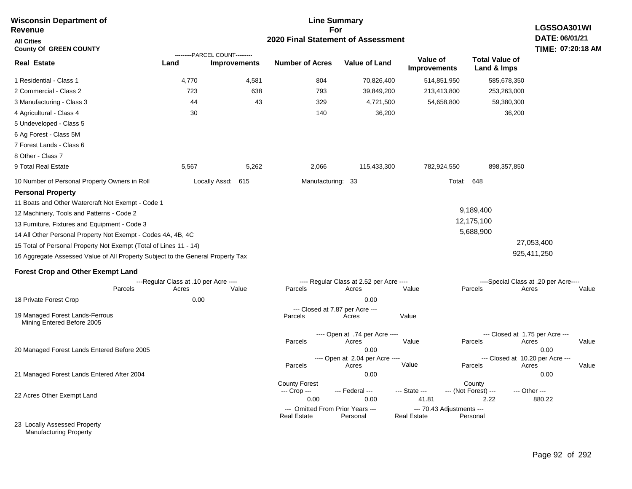| <b>Wisconsin Department of</b>                                                                                                                                                                                                                                                                                                                                                                                                                                                                                                                        | <b>Line Summary</b>                                    |                                                       |                                              |                                                                                                       |                                 |                                                 |                                                                                      |  |
|-------------------------------------------------------------------------------------------------------------------------------------------------------------------------------------------------------------------------------------------------------------------------------------------------------------------------------------------------------------------------------------------------------------------------------------------------------------------------------------------------------------------------------------------------------|--------------------------------------------------------|-------------------------------------------------------|----------------------------------------------|-------------------------------------------------------------------------------------------------------|---------------------------------|-------------------------------------------------|--------------------------------------------------------------------------------------|--|
| Revenue                                                                                                                                                                                                                                                                                                                                                                                                                                                                                                                                               |                                                        |                                                       | 2020 Final Statement of Assessment           | For                                                                                                   |                                 |                                                 | LGSSOA301WI<br>DATE: 06/01/21                                                        |  |
| <b>All Cities</b><br><b>County Of GREEN COUNTY</b>                                                                                                                                                                                                                                                                                                                                                                                                                                                                                                    |                                                        |                                                       |                                              |                                                                                                       |                                 |                                                 | TIME: 07:20:18 AM                                                                    |  |
| <b>Real Estate</b>                                                                                                                                                                                                                                                                                                                                                                                                                                                                                                                                    | Land                                                   | ---------PARCEL COUNT---------<br><b>Improvements</b> | <b>Number of Acres</b>                       | <b>Value of Land</b>                                                                                  | Value of<br><b>Improvements</b> | <b>Total Value of</b><br>Land & Imps            |                                                                                      |  |
| 1 Residential - Class 1                                                                                                                                                                                                                                                                                                                                                                                                                                                                                                                               | 4,770                                                  | 4,581                                                 | 804                                          | 70,826,400                                                                                            | 514,851,950                     | 585,678,350                                     |                                                                                      |  |
| 2 Commercial - Class 2                                                                                                                                                                                                                                                                                                                                                                                                                                                                                                                                | 723                                                    | 638                                                   | 793                                          | 39,849,200                                                                                            | 213,413,800                     | 253,263,000                                     |                                                                                      |  |
| 3 Manufacturing - Class 3                                                                                                                                                                                                                                                                                                                                                                                                                                                                                                                             | 44                                                     | 43                                                    | 329                                          | 4,721,500                                                                                             | 54,658,800                      | 59,380,300                                      |                                                                                      |  |
| 4 Agricultural - Class 4                                                                                                                                                                                                                                                                                                                                                                                                                                                                                                                              | 30                                                     |                                                       | 140                                          | 36,200                                                                                                |                                 | 36,200                                          |                                                                                      |  |
| 5 Undeveloped - Class 5                                                                                                                                                                                                                                                                                                                                                                                                                                                                                                                               |                                                        |                                                       |                                              |                                                                                                       |                                 |                                                 |                                                                                      |  |
| 6 Ag Forest - Class 5M                                                                                                                                                                                                                                                                                                                                                                                                                                                                                                                                |                                                        |                                                       |                                              |                                                                                                       |                                 |                                                 |                                                                                      |  |
| 7 Forest Lands - Class 6                                                                                                                                                                                                                                                                                                                                                                                                                                                                                                                              |                                                        |                                                       |                                              |                                                                                                       |                                 |                                                 |                                                                                      |  |
| 8 Other - Class 7                                                                                                                                                                                                                                                                                                                                                                                                                                                                                                                                     |                                                        |                                                       |                                              |                                                                                                       |                                 |                                                 |                                                                                      |  |
| 9 Total Real Estate                                                                                                                                                                                                                                                                                                                                                                                                                                                                                                                                   | 5,567                                                  | 5,262                                                 | 2,066                                        | 115,433,300                                                                                           | 782,924,550                     | 898, 357, 850                                   |                                                                                      |  |
| 10 Number of Personal Property Owners in Roll                                                                                                                                                                                                                                                                                                                                                                                                                                                                                                         |                                                        | Locally Assd: 615                                     | Manufacturing: 33                            |                                                                                                       |                                 | Total:<br>648                                   |                                                                                      |  |
| <b>Personal Property</b><br>11 Boats and Other Watercraft Not Exempt - Code 1<br>12 Machinery, Tools and Patterns - Code 2<br>13 Furniture, Fixtures and Equipment - Code 3<br>14 All Other Personal Property Not Exempt - Codes 4A, 4B, 4C<br>15 Total of Personal Property Not Exempt (Total of Lines 11 - 14)<br>16 Aggregate Assessed Value of All Property Subject to the General Property Tax<br><b>Forest Crop and Other Exempt Land</b><br>Parcels<br>18 Private Forest Crop<br>19 Managed Forest Lands-Ferrous<br>Mining Entered Before 2005 | ---Regular Class at .10 per Acre ----<br>Acres<br>0.00 | Value                                                 | Parcels<br>Parcels                           | ---- Regular Class at 2.52 per Acre ----<br>Acres<br>0.00<br>--- Closed at 7.87 per Acre ---<br>Acres | Value<br>Value                  | 9,189,400<br>12,175,100<br>5,688,900<br>Parcels | 27,053,400<br>925,411,250<br>----Special Class at .20 per Acre----<br>Acres<br>Value |  |
|                                                                                                                                                                                                                                                                                                                                                                                                                                                                                                                                                       |                                                        |                                                       |                                              | ---- Open at .74 per Acre ----                                                                        |                                 |                                                 | --- Closed at 1.75 per Acre ---                                                      |  |
| 20 Managed Forest Lands Entered Before 2005                                                                                                                                                                                                                                                                                                                                                                                                                                                                                                           |                                                        |                                                       | Parcels<br>Parcels                           | Acres<br>0.00<br>---- Open at 2.04 per Acre ----<br>Acres                                             | Value<br>Value                  | Parcels<br>Parcels                              | Acres<br>Value<br>0.00<br>--- Closed at 10.20 per Acre ---<br>Acres<br>Value         |  |
| 21 Managed Forest Lands Entered After 2004                                                                                                                                                                                                                                                                                                                                                                                                                                                                                                            |                                                        |                                                       |                                              | 0.00                                                                                                  |                                 |                                                 | 0.00                                                                                 |  |
| 22 Acres Other Exempt Land                                                                                                                                                                                                                                                                                                                                                                                                                                                                                                                            |                                                        |                                                       | <b>County Forest</b><br>--- Crop ---<br>0.00 | --- Federal ---<br>0.00                                                                               | --- State ---<br>41.81          | County<br>--- (Not Forest) ---<br>2.22          | --- Other ---<br>880.22                                                              |  |
|                                                                                                                                                                                                                                                                                                                                                                                                                                                                                                                                                       |                                                        |                                                       | --- Omitted From Prior Years ---             |                                                                                                       | --- 70.43 Adjustments ---       |                                                 |                                                                                      |  |
| 23 Locally Assessed Property                                                                                                                                                                                                                                                                                                                                                                                                                                                                                                                          |                                                        |                                                       | <b>Real Estate</b>                           | Personal                                                                                              | <b>Real Estate</b>              | Personal                                        |                                                                                      |  |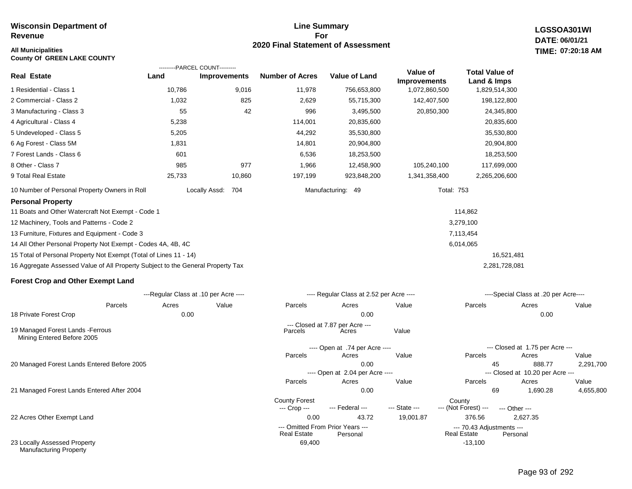# **Line Summary For 2020 Final Statement of Assessment**

**LGSSOA301WI DATE: 06/01/21 07:20:18 AM**

| <b>All Municipalities</b><br><b>County Of GREEN LAKE COUNTY</b>                 |        |                                                       |                                      |                                          |                     |                                 |                                       | TIME: 07:20:18 AM |
|---------------------------------------------------------------------------------|--------|-------------------------------------------------------|--------------------------------------|------------------------------------------|---------------------|---------------------------------|---------------------------------------|-------------------|
| <b>Real Estate</b>                                                              | Land   | ---------PARCEL COUNT---------<br><b>Improvements</b> | <b>Number of Acres</b>               | <b>Value of Land</b>                     | Value of            | <b>Total Value of</b>           |                                       |                   |
|                                                                                 |        |                                                       |                                      |                                          | <b>Improvements</b> | Land & Imps                     |                                       |                   |
| 1 Residential - Class 1                                                         | 10,786 | 9,016                                                 | 11,978                               | 756,653,800                              | 1,072,860,500       | 1,829,514,300                   |                                       |                   |
| 2 Commercial - Class 2                                                          | 1,032  | 825                                                   | 2,629                                | 55,715,300                               | 142,407,500         | 198,122,800                     |                                       |                   |
| 3 Manufacturing - Class 3                                                       | 55     | 42                                                    | 996                                  | 3,495,500                                | 20,850,300          | 24,345,800                      |                                       |                   |
| 4 Agricultural - Class 4                                                        | 5,238  |                                                       | 114,001                              | 20,835,600                               |                     | 20,835,600                      |                                       |                   |
| 5 Undeveloped - Class 5                                                         | 5,205  |                                                       | 44,292                               | 35,530,800                               |                     | 35,530,800                      |                                       |                   |
| 6 Ag Forest - Class 5M                                                          | 1,831  |                                                       | 14,801                               | 20,904,800                               |                     | 20,904,800                      |                                       |                   |
| 7 Forest Lands - Class 6                                                        | 601    |                                                       | 6,536                                | 18,253,500                               |                     | 18,253,500                      |                                       |                   |
| 8 Other - Class 7                                                               | 985    | 977                                                   | 1,966                                | 12,458,900                               | 105,240,100         | 117,699,000                     |                                       |                   |
| 9 Total Real Estate                                                             | 25,733 | 10,860                                                | 197,199                              | 923,848,200                              | 1,341,358,400       | 2,265,206,600                   |                                       |                   |
| 10 Number of Personal Property Owners in Roll                                   |        | Locally Assd: 704                                     |                                      | Manufacturing: 49                        |                     | <b>Total: 753</b>               |                                       |                   |
| <b>Personal Property</b>                                                        |        |                                                       |                                      |                                          |                     |                                 |                                       |                   |
| 11 Boats and Other Watercraft Not Exempt - Code 1                               |        |                                                       |                                      |                                          |                     | 114,862                         |                                       |                   |
| 12 Machinery, Tools and Patterns - Code 2                                       |        |                                                       |                                      |                                          |                     | 3,279,100                       |                                       |                   |
| 13 Furniture, Fixtures and Equipment - Code 3                                   |        |                                                       |                                      |                                          |                     | 7,113,454                       |                                       |                   |
| 14 All Other Personal Property Not Exempt - Codes 4A, 4B, 4C                    |        |                                                       |                                      |                                          |                     | 6,014,065                       |                                       |                   |
| 15 Total of Personal Property Not Exempt (Total of Lines 11 - 14)               |        |                                                       |                                      |                                          |                     |                                 | 16,521,481                            |                   |
| 16 Aggregate Assessed Value of All Property Subject to the General Property Tax |        |                                                       |                                      |                                          |                     | 2,281,728,081                   |                                       |                   |
| <b>Forest Crop and Other Exempt Land</b>                                        |        |                                                       |                                      |                                          |                     |                                 |                                       |                   |
|                                                                                 |        | ---Regular Class at .10 per Acre ----                 |                                      | ---- Regular Class at 2.52 per Acre ---- |                     |                                 | ----Special Class at .20 per Acre---- |                   |
| Parcels                                                                         | Acres  | Value                                                 | Parcels                              | Acres                                    | Value               | Parcels                         | Acres                                 | Value             |
| 18 Private Forest Crop                                                          | 0.00   |                                                       |                                      | 0.00                                     |                     |                                 | 0.00                                  |                   |
| 19 Managed Forest Lands - Ferrous<br>Mining Entered Before 2005                 |        |                                                       | Parcels                              | --- Closed at 7.87 per Acre ---<br>Acres | Value               |                                 |                                       |                   |
|                                                                                 |        |                                                       |                                      | ---- Open at .74 per Acre ----           |                     |                                 | --- Closed at 1.75 per Acre ---       |                   |
|                                                                                 |        |                                                       | Parcels                              | Acres                                    | Value               | Parcels                         | Acres                                 | Value             |
| 20 Managed Forest Lands Entered Before 2005                                     |        |                                                       |                                      | 0.00                                     |                     | 45                              | 888.77                                | 2,291,700         |
|                                                                                 |        |                                                       |                                      | ---- Open at 2.04 per Acre ----          |                     |                                 | --- Closed at 10.20 per Acre ---      |                   |
|                                                                                 |        |                                                       | Parcels                              | Acres                                    | Value               | Parcels                         | Acres                                 | Value             |
| 21 Managed Forest Lands Entered After 2004                                      |        |                                                       |                                      | 0.00                                     |                     | 69                              | 1,690.28                              | 4,655,800         |
|                                                                                 |        |                                                       | <b>County Forest</b><br>--- Crop --- | --- Federal ---                          | --- State ---       | County<br>--- (Not Forest) ---  | --- Other ---                         |                   |
| 22 Acres Other Exempt Land                                                      |        |                                                       | 0.00                                 | 43.72                                    | 19,001.87           | 376.56                          | 2,627.35                              |                   |
|                                                                                 |        |                                                       |                                      | --- Omitted From Prior Years ---         |                     | --- 70.43 Adjustments ---       |                                       |                   |
|                                                                                 |        |                                                       | <b>Real Estate</b>                   | Personal                                 |                     | <b>Real Estate</b><br>$-13,100$ | Personal                              |                   |
| 23 Locally Assessed Property<br><b>Manufacturing Property</b>                   |        |                                                       | 69,400                               |                                          |                     |                                 |                                       |                   |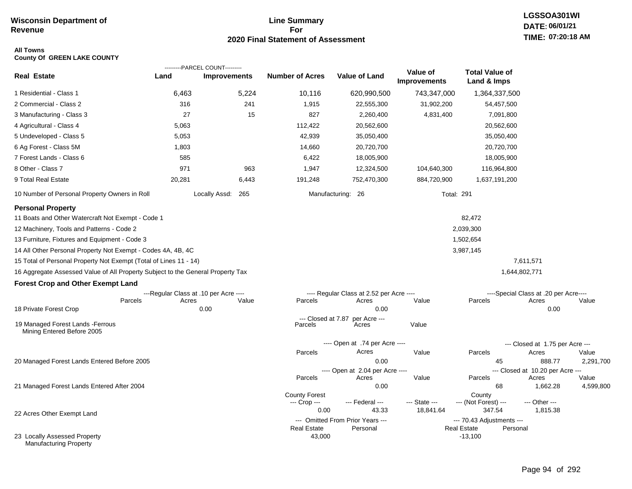# **Line Summary For 2020 Final Statement of Assessment**

#### **All Towns County Of GREEN LAKE COUNTY**

|                                                                                 |        | ---------PARCEL COUNT---------        |                               |                                              |                                 |                                                             |                                       |                    |
|---------------------------------------------------------------------------------|--------|---------------------------------------|-------------------------------|----------------------------------------------|---------------------------------|-------------------------------------------------------------|---------------------------------------|--------------------|
| Real Estate                                                                     | Land   | <b>Improvements</b>                   | <b>Number of Acres</b>        | <b>Value of Land</b>                         | Value of<br><b>Improvements</b> | <b>Total Value of</b><br>Land & Imps                        |                                       |                    |
| 1 Residential - Class 1                                                         | 6,463  | 5,224                                 | 10,116                        | 620,990,500                                  | 743,347,000                     | 1,364,337,500                                               |                                       |                    |
| 2 Commercial - Class 2                                                          | 316    | 241                                   | 1,915                         | 22,555,300                                   | 31,902,200                      | 54,457,500                                                  |                                       |                    |
| 3 Manufacturing - Class 3                                                       | 27     | 15                                    | 827                           | 2,260,400                                    | 4,831,400                       | 7,091,800                                                   |                                       |                    |
| 4 Agricultural - Class 4                                                        | 5,063  |                                       | 112,422                       | 20,562,600                                   |                                 | 20,562,600                                                  |                                       |                    |
| 5 Undeveloped - Class 5                                                         | 5,053  |                                       | 42,939                        | 35,050,400                                   |                                 | 35,050,400                                                  |                                       |                    |
| 6 Ag Forest - Class 5M                                                          | 1,803  |                                       | 14,660                        | 20,720,700                                   |                                 | 20,720,700                                                  |                                       |                    |
| 7 Forest Lands - Class 6                                                        | 585    |                                       | 6,422                         | 18,005,900                                   |                                 | 18,005,900                                                  |                                       |                    |
| 8 Other - Class 7                                                               | 971    | 963                                   | 1,947                         | 12,324,500                                   | 104,640,300                     | 116,964,800                                                 |                                       |                    |
| 9 Total Real Estate                                                             | 20,281 | 6,443                                 | 191,248                       | 752,470,300                                  | 884,720,900                     | 1,637,191,200                                               |                                       |                    |
| 10 Number of Personal Property Owners in Roll                                   |        | Locally Assd: 265                     |                               | Manufacturing: 26                            |                                 | <b>Total: 291</b>                                           |                                       |                    |
| <b>Personal Property</b>                                                        |        |                                       |                               |                                              |                                 |                                                             |                                       |                    |
| 11 Boats and Other Watercraft Not Exempt - Code 1                               |        |                                       |                               |                                              |                                 | 82,472                                                      |                                       |                    |
| 12 Machinery, Tools and Patterns - Code 2                                       |        |                                       |                               |                                              |                                 | 2,039,300                                                   |                                       |                    |
| 13 Furniture, Fixtures and Equipment - Code 3                                   |        |                                       |                               |                                              |                                 | 1,502,654                                                   |                                       |                    |
| 14 All Other Personal Property Not Exempt - Codes 4A, 4B, 4C                    |        |                                       |                               |                                              |                                 | 3,987,145                                                   |                                       |                    |
| 15 Total of Personal Property Not Exempt (Total of Lines 11 - 14)               |        |                                       |                               |                                              |                                 |                                                             | 7,611,571                             |                    |
| 16 Aggregate Assessed Value of All Property Subject to the General Property Tax |        |                                       |                               |                                              |                                 |                                                             | 1,644,802,771                         |                    |
| <b>Forest Crop and Other Exempt Land</b>                                        |        |                                       |                               |                                              |                                 |                                                             |                                       |                    |
|                                                                                 |        | ---Regular Class at .10 per Acre ---- |                               | ---- Regular Class at 2.52 per Acre ----     |                                 |                                                             | ----Special Class at .20 per Acre---- |                    |
| Parcels                                                                         | Acres  | Value                                 | Parcels                       | Acres                                        | Value                           | Parcels                                                     | Acres                                 | Value              |
| 18 Private Forest Crop                                                          |        | 0.00                                  |                               | 0.00                                         |                                 |                                                             | 0.00                                  |                    |
| 19 Managed Forest Lands - Ferrous<br>Mining Entered Before 2005                 |        |                                       | --- Closed at 7.87<br>Parcels | per Acre ---<br>Acres                        | Value                           |                                                             |                                       |                    |
|                                                                                 |        |                                       |                               | ---- Open at .74 per Acre ----               |                                 |                                                             | --- Closed at 1.75 per Acre ---       |                    |
|                                                                                 |        |                                       | Parcels                       | Acres                                        | Value                           | Parcels                                                     | Acres                                 | Value              |
| 20 Managed Forest Lands Entered Before 2005                                     |        |                                       |                               | 0.00                                         |                                 | 45                                                          | 888.77                                | 2,291,700          |
|                                                                                 |        |                                       | Parcels                       | ---- Open at 2.04 per Acre ----              | Value                           | Parcels                                                     | --- Closed at 10.20 per Acre ---      |                    |
| 21 Managed Forest Lands Entered After 2004                                      |        |                                       |                               | Acres<br>0.00                                |                                 | 68                                                          | Acres<br>1,662.28                     | Value<br>4,599,800 |
|                                                                                 |        |                                       | <b>County Forest</b>          |                                              |                                 | County                                                      |                                       |                    |
|                                                                                 |        |                                       | --- Crop ---                  | --- Federal ---                              | --- State ---                   | --- (Not Forest) ---                                        | --- Other ---                         |                    |
| 22 Acres Other Exempt Land                                                      |        |                                       | 0.00                          | 43.33                                        | 18,841.64                       | 347.54                                                      | 1,815.38                              |                    |
|                                                                                 |        |                                       | <b>Real Estate</b>            | --- Omitted From Prior Years ---<br>Personal |                                 | --- 70.43 Adjustments ---<br><b>Real Estate</b><br>Personal |                                       |                    |
| 23 Locally Assessed Property<br><b>Manufacturing Property</b>                   |        |                                       | 43,000                        |                                              |                                 | $-13,100$                                                   |                                       |                    |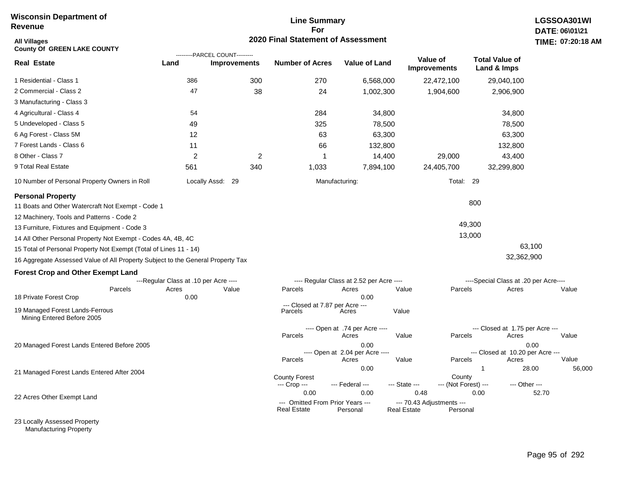# **Line Summary For 2020 Final Statement of Assessment**

| All Villages<br><b>County Of GREEN LAKE COUNTY</b>                              |                                       | ---------PARCEL COUNT--------- | 2020 Final Statement of Assessment                     |                                          |               |                                       |                                       | TIME: 07:20:18  |
|---------------------------------------------------------------------------------|---------------------------------------|--------------------------------|--------------------------------------------------------|------------------------------------------|---------------|---------------------------------------|---------------------------------------|-----------------|
| Real Estate                                                                     | Land                                  | <b>Improvements</b>            | <b>Number of Acres</b>                                 | <b>Value of Land</b>                     |               | Value of<br><b>Improvements</b>       | <b>Total Value of</b><br>Land & Imps  |                 |
| 1 Residential - Class 1                                                         | 386                                   | 300                            | 270                                                    | 6,568,000                                |               | 22,472,100                            | 29,040,100                            |                 |
| 2 Commercial - Class 2                                                          | 47                                    | 38                             | 24                                                     | 1,002,300                                |               | 1,904,600                             | 2,906,900                             |                 |
| 3 Manufacturing - Class 3                                                       |                                       |                                |                                                        |                                          |               |                                       |                                       |                 |
| 4 Agricultural - Class 4                                                        | 54                                    |                                | 284                                                    | 34,800                                   |               |                                       | 34,800                                |                 |
| 5 Undeveloped - Class 5                                                         | 49                                    |                                | 325                                                    | 78,500                                   |               |                                       | 78,500                                |                 |
| 6 Ag Forest - Class 5M                                                          | 12                                    |                                | 63                                                     | 63,300                                   |               |                                       | 63,300                                |                 |
| 7 Forest Lands - Class 6                                                        | 11                                    |                                | 66                                                     | 132,800                                  |               |                                       | 132,800                               |                 |
| 8 Other - Class 7                                                               | 2                                     | $\overline{2}$                 | 1                                                      | 14,400                                   |               | 29,000                                | 43,400                                |                 |
| 9 Total Real Estate                                                             | 561                                   | 340                            | 1,033                                                  | 7,894,100                                |               | 24,405,700                            | 32,299,800                            |                 |
| 10 Number of Personal Property Owners in Roll                                   |                                       | Locally Assd: 29               |                                                        | Manufacturing:                           |               | Total: 29                             |                                       |                 |
| <b>Personal Property</b>                                                        |                                       |                                |                                                        |                                          |               |                                       |                                       |                 |
| 11 Boats and Other Watercraft Not Exempt - Code 1                               |                                       |                                |                                                        |                                          |               |                                       | 800                                   |                 |
| 12 Machinery, Tools and Patterns - Code 2                                       |                                       |                                |                                                        |                                          |               |                                       |                                       |                 |
| 13 Furniture, Fixtures and Equipment - Code 3                                   |                                       |                                |                                                        |                                          |               |                                       | 49,300                                |                 |
| 14 All Other Personal Property Not Exempt - Codes 4A, 4B, 4C                    |                                       |                                |                                                        |                                          |               |                                       | 13,000                                |                 |
| 15 Total of Personal Property Not Exempt (Total of Lines 11 - 14)               |                                       |                                |                                                        |                                          |               |                                       |                                       | 63,100          |
| 16 Aggregate Assessed Value of All Property Subject to the General Property Tax |                                       |                                |                                                        |                                          |               |                                       | 32,362,900                            |                 |
| <b>Forest Crop and Other Exempt Land</b>                                        |                                       |                                |                                                        |                                          |               |                                       |                                       |                 |
|                                                                                 | ---Regular Class at .10 per Acre ---- |                                |                                                        | ---- Regular Class at 2.52 per Acre ---- |               |                                       | ----Special Class at .20 per Acre---- |                 |
| Parcels<br>18 Private Forest Crop                                               | Acres<br>0.00                         | Value                          | Parcels                                                | Acres<br>0.00                            | Value         | Parcels                               | Acres                                 | Value           |
| 19 Managed Forest Lands-Ferrous<br>Mining Entered Before 2005                   |                                       |                                | --- Closed at 7.87 per Acre ---<br>Parcels             | Acres                                    | Value         |                                       |                                       |                 |
|                                                                                 |                                       |                                |                                                        | ---- Open at .74 per Acre ----           |               |                                       | --- Closed at 1.75 per Acre ---       |                 |
| 20 Managed Forest Lands Entered Before 2005                                     |                                       |                                | Parcels                                                | Acres<br>0.00                            | Value         | Parcels                               | Acres                                 | Value<br>0.00   |
|                                                                                 |                                       |                                |                                                        | ---- Open at 2.04 per Acre ----          |               |                                       | --- Closed at 10.20 per Acre ---      |                 |
|                                                                                 |                                       |                                | Parcels                                                | Acres                                    | Value         | Parcels                               | Acres                                 | Value           |
| 21 Managed Forest Lands Entered After 2004                                      |                                       |                                |                                                        | 0.00                                     |               |                                       | $\mathbf{1}$                          | 56,000<br>28.00 |
|                                                                                 |                                       |                                | <b>County Forest</b><br>--- Crop ---                   | --- Federal ---                          | --- State --- | County<br>--- (Not Forest) ---        | --- Other ---                         |                 |
| 22 Acres Other Exempt Land                                                      |                                       |                                | 0.00                                                   | 0.00                                     | 0.48          |                                       | 0.00                                  | 52.70           |
|                                                                                 |                                       |                                | --- Omitted From Prior Years ---<br><b>Real Estate</b> | Personal                                 | Real Estate   | --- 70.43 Adjustments ---<br>Personal |                                       |                 |

23 Locally Assessed Property Manufacturing Property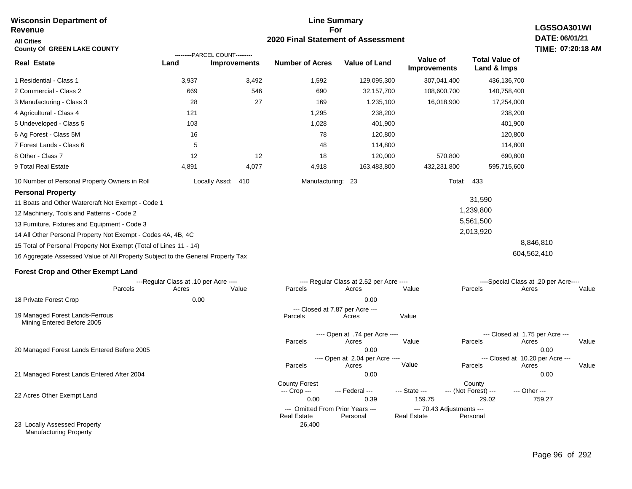#### **For 2020 Final Statement of Assessment Wisconsin Department of Revenue All Cities County Of GREEN LAKE COUNTY LGSSOA301WI DATE: 06/01/21 TIME: 07:20:18 AM Real Estate** 1 Residential - Class 1 2 Commercial - Class 2 3 Manufacturing - Class 3 4 Agricultural - Class 4 5 Undeveloped - Class 5 6 Ag Forest - Class 5M 7 Forest Lands - Class 6 8 Other - Class 7 9 Total Real Estate 10 Number of Personal Property Owners in Roll 3,937 3,492 1,592 129,095,300 307,041,400 436,136,700 **Land Improvements Number of Acres Value of Land Value of Improvements Total Value of Land & Imps** 669 28 121 103 16 5 12 4,891 546 27 12 4,077 690 169 1,295 1,028 78 48 18 4,918 32,157,700 1,235,100 238,200 401,900 120,800 114,800 120,000 163,483,800 108,600,700 16,018,900 570,800 432,231,800 140,758,400 17,254,000 238,200 401,900 120,800 114,800 690,800 595,715,600 Locally Assd: 410 Manufacturing: 23 Total: 433 **Personal Property** 11 Boats and Other Watercraft Not Exempt - Code 1 12 Machinery, Tools and Patterns - Code 2 13 Furniture, Fixtures and Equipment - Code 3 14 All Other Personal Property Not Exempt - Codes 4A, 4B, 4C 15 Total of Personal Property Not Exempt (Total of Lines 11 - 14) 16 Aggregate Assessed Value of All Property Subject to the General Property Tax 31,590 1,239,800 5,561,500 2,013,920 8,846,810 604,562,410 **Forest Crop and Other Exempt Land** ---Regular Class at .10 per Acre ---- ---- Regular Class at 2.52 per Acre ---- ----Special Class at .20 per Acre---- 18 Private Forest Crop 20 Managed Forest Lands Entered Before 2005 21 Managed Forest Lands Entered After 2004 Parcels 0.00 0.00 Acres Value Parcels Acres Value Parcels Acres Value ---- Open at .74 per Acre<br>Acres Parcels 0.00 0.00 Acres Value Parcels Acres Value --- Closed at 1.75 per Acre --- ---- Open at 2.04 per Acre ---- --- Closed at 10.20 per Acre --- Parcels 0.00 0.00 Acres **Value Parcels Acres Value** County Forest County County --- Crop --- 0.00 0.39 159.75 29.02 759.27 --- Federal --- - --- State --- --- (Not Forest) --- --- Other ---22 Acres Other Exempt Land 23 Locally Assessed Property --- Omitted From Prior Years ---<br>Real Estate Personal Personal Real Estate Personal 26,400 **Real Estate** ---------PARCEL COUNT--------- 19 Managed Forest Lands-Ferrous Mining Entered Before 2005 --- Closed at 7.87 per Acre ---<br>rcels Acres Parcels **Acres** Value

Manufacturing Property

# **Line Summary**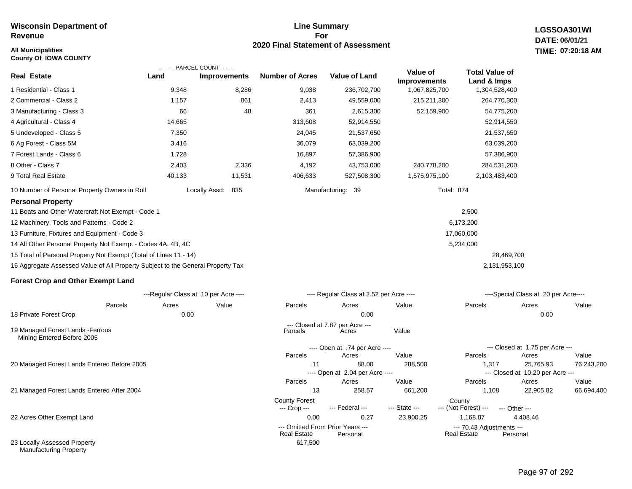#### **All Municipalities TIME: County Of IOWA COUNTY**

#### **Line Summary For 2020 Final Statement of Assessment**

**LGSSOA301WI DATE: 06/01/21 07:20:18 AM**

|                                                                                 |        | ---------PARCEL COUNT---------        |                                                        |                                          |                                 |                                                 |                                               |            |  |  |
|---------------------------------------------------------------------------------|--------|---------------------------------------|--------------------------------------------------------|------------------------------------------|---------------------------------|-------------------------------------------------|-----------------------------------------------|------------|--|--|
| <b>Real Estate</b>                                                              | Land   | <b>Improvements</b>                   | <b>Number of Acres</b>                                 | <b>Value of Land</b>                     | Value of<br><b>Improvements</b> | <b>Total Value of</b><br>Land & Imps            |                                               |            |  |  |
| 1 Residential - Class 1                                                         | 9,348  | 8,286                                 | 9,038                                                  | 236,702,700                              | 1,067,825,700                   | 1,304,528,400                                   |                                               |            |  |  |
| 2 Commercial - Class 2                                                          | 1,157  | 861                                   | 2,413                                                  | 49,559,000                               | 215,211,300                     | 264,770,300                                     |                                               |            |  |  |
| 3 Manufacturing - Class 3                                                       | 66     | 48                                    | 361                                                    | 2,615,300                                | 52,159,900                      | 54,775,200                                      |                                               |            |  |  |
| 4 Agricultural - Class 4                                                        | 14,665 |                                       | 313,608                                                | 52,914,550                               |                                 | 52,914,550                                      |                                               |            |  |  |
| 5 Undeveloped - Class 5                                                         | 7,350  |                                       | 24,045                                                 | 21,537,650                               |                                 | 21,537,650                                      |                                               |            |  |  |
| 6 Ag Forest - Class 5M                                                          | 3,416  |                                       | 36,079                                                 | 63,039,200                               |                                 | 63,039,200                                      |                                               |            |  |  |
| 7 Forest Lands - Class 6                                                        | 1,728  |                                       | 16,897                                                 | 57,386,900                               |                                 | 57,386,900                                      |                                               |            |  |  |
| 8 Other - Class 7                                                               | 2,403  | 2,336                                 | 4,192                                                  | 43,753,000                               | 240,778,200                     | 284,531,200                                     |                                               |            |  |  |
| 9 Total Real Estate                                                             | 40,133 | 11,531                                | 406,633                                                | 527,508,300                              | 1,575,975,100                   | 2,103,483,400                                   |                                               |            |  |  |
| 10 Number of Personal Property Owners in Roll                                   |        | 835<br>Locally Assd:                  |                                                        | Manufacturing: 39                        |                                 | <b>Total: 874</b>                               |                                               |            |  |  |
| <b>Personal Property</b>                                                        |        |                                       |                                                        |                                          |                                 |                                                 |                                               |            |  |  |
| 11 Boats and Other Watercraft Not Exempt - Code 1                               |        |                                       |                                                        |                                          |                                 | 2,500                                           |                                               |            |  |  |
| 12 Machinery, Tools and Patterns - Code 2                                       |        |                                       |                                                        |                                          |                                 | 6,173,200                                       |                                               |            |  |  |
| 13 Furniture, Fixtures and Equipment - Code 3                                   |        |                                       |                                                        |                                          |                                 | 17,060,000                                      |                                               |            |  |  |
| 14 All Other Personal Property Not Exempt - Codes 4A, 4B, 4C                    |        |                                       |                                                        |                                          |                                 | 5,234,000                                       |                                               |            |  |  |
| 15 Total of Personal Property Not Exempt (Total of Lines 11 - 14)               |        |                                       |                                                        |                                          |                                 |                                                 | 28,469,700                                    |            |  |  |
| 16 Aggregate Assessed Value of All Property Subject to the General Property Tax |        |                                       |                                                        |                                          |                                 |                                                 | 2,131,953,100                                 |            |  |  |
| <b>Forest Crop and Other Exempt Land</b>                                        |        |                                       |                                                        |                                          |                                 |                                                 |                                               |            |  |  |
|                                                                                 |        | ---Regular Class at .10 per Acre ---- |                                                        | ---- Regular Class at 2.52 per Acre ---- |                                 |                                                 | ----Special Class at .20 per Acre----         |            |  |  |
| Parcels                                                                         | Acres  | Value                                 | Parcels                                                | Acres                                    | Value                           | Parcels                                         | Acres                                         | Value      |  |  |
| 18 Private Forest Crop                                                          | 0.00   |                                       |                                                        | 0.00                                     |                                 |                                                 | 0.00                                          |            |  |  |
| 19 Managed Forest Lands - Ferrous<br>Mining Entered Before 2005                 |        |                                       | Parcels                                                | --- Closed at 7.87 per Acre ---<br>Acres | Value                           |                                                 |                                               |            |  |  |
|                                                                                 |        |                                       |                                                        | ---- Open at .74 per Acre ----           |                                 |                                                 | --- Closed at 1.75 per Acre ---               |            |  |  |
|                                                                                 |        |                                       | Parcels                                                | Acres                                    | Value                           | Parcels                                         | Acres                                         | Value      |  |  |
| 20 Managed Forest Lands Entered Before 2005                                     |        |                                       | 11                                                     | 88.00<br>---- Open at 2.04 per Acre ---- | 288,500                         | 1,317                                           | 25,765.93<br>--- Closed at 10.20 per Acre --- | 76,243,200 |  |  |
|                                                                                 |        |                                       | Parcels                                                | Acres                                    | Value                           | Parcels                                         | Acres                                         | Value      |  |  |
| 21 Managed Forest Lands Entered After 2004                                      |        |                                       | 13                                                     | 258.57                                   | 661,200                         | 1,108                                           | 22,905.82                                     | 66,694,400 |  |  |
|                                                                                 |        |                                       | <b>County Forest</b><br>--- Crop ---                   | --- Federal ---                          | --- State ---                   | County<br>--- (Not Forest) ---                  | --- Other ---                                 |            |  |  |
| 22 Acres Other Exempt Land                                                      |        |                                       | 0.00                                                   | 0.27                                     | 23,900.25                       | 1,168.87                                        | 4,408.46                                      |            |  |  |
|                                                                                 |        |                                       | --- Omitted From Prior Years ---<br><b>Real Estate</b> | Personal                                 |                                 | --- 70.43 Adjustments ---<br><b>Real Estate</b> | Personal                                      |            |  |  |
| 23 Locally Assessed Property<br><b>Manufacturing Property</b>                   |        |                                       | 617,500                                                |                                          |                                 |                                                 |                                               |            |  |  |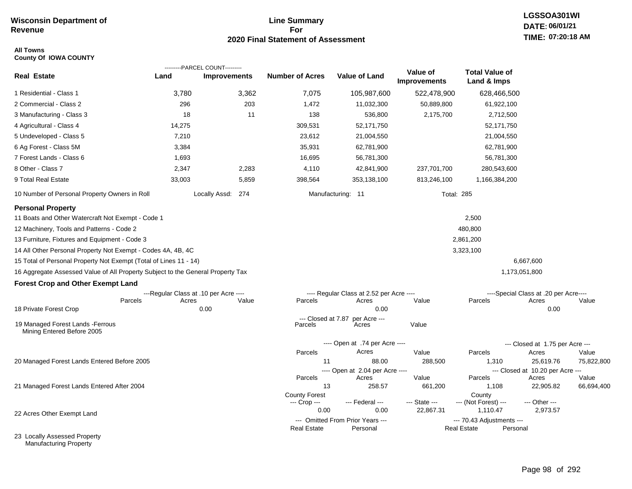# **Line Summary For 2020 Final Statement of Assessment**

#### **All Towns County Of IOWA COUNTY**

|                                                                                 |                                       | ---------PARCEL COUNT--------- |                               |                                          |                                 |                                      |                                           |            |
|---------------------------------------------------------------------------------|---------------------------------------|--------------------------------|-------------------------------|------------------------------------------|---------------------------------|--------------------------------------|-------------------------------------------|------------|
| <b>Real Estate</b>                                                              | Land                                  | <b>Improvements</b>            | <b>Number of Acres</b>        | <b>Value of Land</b>                     | Value of<br><b>Improvements</b> | <b>Total Value of</b><br>Land & Imps |                                           |            |
| 1 Residential - Class 1                                                         | 3,780                                 | 3,362                          | 7,075                         | 105,987,600                              | 522,478,900                     | 628,466,500                          |                                           |            |
| 2 Commercial - Class 2                                                          | 296                                   | 203                            | 1,472                         | 11,032,300                               | 50,889,800                      | 61,922,100                           |                                           |            |
| 3 Manufacturing - Class 3                                                       | 18                                    | 11                             | 138                           | 536,800                                  | 2,175,700                       | 2,712,500                            |                                           |            |
| 4 Agricultural - Class 4                                                        | 14,275                                |                                | 309,531                       | 52,171,750                               |                                 | 52,171,750                           |                                           |            |
| 5 Undeveloped - Class 5                                                         | 7,210                                 |                                | 23,612                        | 21,004,550                               |                                 | 21,004,550                           |                                           |            |
| 6 Ag Forest - Class 5M                                                          | 3,384                                 |                                | 35,931                        | 62,781,900                               |                                 | 62,781,900                           |                                           |            |
| 7 Forest Lands - Class 6                                                        | 1,693                                 |                                | 16,695                        | 56,781,300                               |                                 | 56,781,300                           |                                           |            |
| 8 Other - Class 7                                                               | 2,347                                 | 2,283                          | 4,110                         | 42,841,900                               | 237,701,700                     | 280,543,600                          |                                           |            |
| 9 Total Real Estate                                                             | 33,003                                | 5,859                          | 398,564                       | 353,138,100                              | 813,246,100                     | 1,166,384,200                        |                                           |            |
| 10 Number of Personal Property Owners in Roll                                   |                                       | Locally Assd: 274              |                               | Manufacturing: 11                        | <b>Total: 285</b>               |                                      |                                           |            |
| <b>Personal Property</b><br>11 Boats and Other Watercraft Not Exempt - Code 1   |                                       |                                |                               |                                          |                                 | 2,500                                |                                           |            |
| 12 Machinery, Tools and Patterns - Code 2                                       |                                       |                                |                               |                                          |                                 | 480,800                              |                                           |            |
| 13 Furniture, Fixtures and Equipment - Code 3                                   |                                       |                                |                               |                                          |                                 | 2,861,200                            |                                           |            |
| 14 All Other Personal Property Not Exempt - Codes 4A, 4B, 4C                    |                                       |                                |                               |                                          |                                 | 3,323,100                            |                                           |            |
| 15 Total of Personal Property Not Exempt (Total of Lines 11 - 14)               |                                       |                                |                               |                                          |                                 |                                      | 6,667,600                                 |            |
| 16 Aggregate Assessed Value of All Property Subject to the General Property Tax |                                       |                                |                               |                                          |                                 |                                      | 1,173,051,800                             |            |
| <b>Forest Crop and Other Exempt Land</b>                                        |                                       |                                |                               |                                          |                                 |                                      |                                           |            |
|                                                                                 | ---Regular Class at .10 per Acre ---- |                                |                               | ---- Regular Class at 2.52 per Acre ---- |                                 |                                      | ----Special Class at .20 per Acre----     |            |
| Parcels                                                                         | Acres                                 | Value                          | Parcels                       | Acres                                    | Value                           | Parcels                              | Acres                                     | Value      |
| 18 Private Forest Crop                                                          |                                       | 0.00                           |                               | 0.00                                     |                                 |                                      | 0.00                                      |            |
| 19 Managed Forest Lands - Ferrous<br>Mining Entered Before 2005                 |                                       |                                | --- Closed at 7.87<br>Parcels | per Acre ---<br>Acres                    | Value                           |                                      |                                           |            |
|                                                                                 |                                       |                                |                               | ---- Open at .74 per Acre ----           |                                 |                                      | --- Closed at 1.75 per Acre ---           |            |
|                                                                                 |                                       |                                | Parcels                       | Acres                                    | Value                           | Parcels                              | Acres                                     | Value      |
| 20 Managed Forest Lands Entered Before 2005                                     |                                       |                                | 11                            | 88.00                                    | 288,500                         | 1,310                                | 25,619.76                                 | 75,822,800 |
|                                                                                 |                                       |                                | Parcels                       | ---- Open at 2.04 per Acre ----<br>Acres | Value                           | Parcels                              | --- Closed at 10.20 per Acre ---<br>Acres | Value      |
| 21 Managed Forest Lands Entered After 2004                                      |                                       |                                | 13                            | 258.57                                   | 661,200                         | 1,108                                | 22,905.82                                 | 66,694,400 |
|                                                                                 |                                       |                                | <b>County Forest</b>          |                                          |                                 | County                               |                                           |            |
|                                                                                 |                                       |                                | --- Crop ---<br>0.00          | --- Federal ---<br>0.00                  | --- State ---<br>22,867.31      | --- (Not Forest) ---<br>1,110.47     | --- Other ---<br>2,973.57                 |            |
| 22 Acres Other Exempt Land                                                      |                                       |                                |                               | --- Omitted From Prior Years ---         |                                 | --- 70.43 Adjustments ---            |                                           |            |
|                                                                                 |                                       |                                | <b>Real Estate</b>            | Personal                                 |                                 | <b>Real Estate</b>                   | Personal                                  |            |
| 23 Locally Assessed Property                                                    |                                       |                                |                               |                                          |                                 |                                      |                                           |            |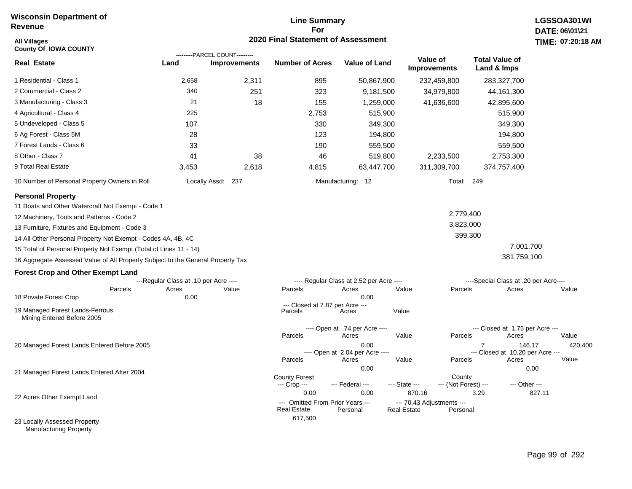# **Line Summary For 2020 Final Statement of Assessment All Villages TIME:**

| <b>All Villages</b><br><b>County Of IOWA COUNTY</b>                             |                                       |                                                       | 2020 Final Statement of Assessment                             |                                                 |                       |                                       |                                               |        | TIME: 07:20:18   |
|---------------------------------------------------------------------------------|---------------------------------------|-------------------------------------------------------|----------------------------------------------------------------|-------------------------------------------------|-----------------------|---------------------------------------|-----------------------------------------------|--------|------------------|
| <b>Real Estate</b>                                                              | Land                                  | ---------PARCEL COUNT---------<br><b>Improvements</b> | <b>Number of Acres</b>                                         | <b>Value of Land</b>                            |                       | Value of<br><b>Improvements</b>       | <b>Total Value of</b><br>Land & Imps          |        |                  |
| 1 Residential - Class 1                                                         | 2,658                                 | 2,311                                                 | 895                                                            | 50,867,900                                      |                       | 232,459,800                           | 283,327,700                                   |        |                  |
| 2 Commercial - Class 2                                                          | 340                                   | 251                                                   | 323                                                            | 9,181,500                                       |                       | 34,979,800                            | 44, 161, 300                                  |        |                  |
| 3 Manufacturing - Class 3                                                       | 21                                    | 18                                                    | 155                                                            | 1,259,000                                       |                       | 41,636,600                            | 42,895,600                                    |        |                  |
| 4 Agricultural - Class 4                                                        | 225                                   |                                                       | 2,753                                                          |                                                 | 515,900               |                                       | 515,900                                       |        |                  |
| 5 Undeveloped - Class 5                                                         | 107                                   |                                                       | 330                                                            |                                                 | 349,300               |                                       | 349,300                                       |        |                  |
| 6 Ag Forest - Class 5M                                                          | 28                                    |                                                       | 123                                                            |                                                 | 194,800               |                                       | 194,800                                       |        |                  |
| 7 Forest Lands - Class 6                                                        | 33                                    |                                                       | 190                                                            |                                                 | 559,500               |                                       | 559,500                                       |        |                  |
| 8 Other - Class 7                                                               | 41                                    | 38                                                    | 46                                                             |                                                 | 519,800               | 2,233,500                             | 2,753,300                                     |        |                  |
| 9 Total Real Estate                                                             | 3,453                                 | 2,618                                                 | 4,815                                                          | 63,447,700                                      |                       | 311,309,700                           | 374,757,400                                   |        |                  |
| 10 Number of Personal Property Owners in Roll                                   |                                       | Locally Assd: 237                                     |                                                                | Manufacturing: 12                               |                       | Total: 249                            |                                               |        |                  |
| <b>Personal Property</b><br>11 Boats and Other Watercraft Not Exempt - Code 1   |                                       |                                                       |                                                                |                                                 |                       |                                       |                                               |        |                  |
| 12 Machinery, Tools and Patterns - Code 2                                       |                                       |                                                       |                                                                |                                                 |                       | 2,779,400                             |                                               |        |                  |
| 13 Furniture, Fixtures and Equipment - Code 3                                   |                                       |                                                       |                                                                |                                                 |                       | 3,823,000                             |                                               |        |                  |
| 14 All Other Personal Property Not Exempt - Codes 4A, 4B, 4C                    |                                       |                                                       |                                                                |                                                 |                       |                                       | 399,300                                       |        |                  |
| 15 Total of Personal Property Not Exempt (Total of Lines 11 - 14)               |                                       |                                                       |                                                                |                                                 |                       |                                       | 7,001,700                                     |        |                  |
| 16 Aggregate Assessed Value of All Property Subject to the General Property Tax |                                       |                                                       |                                                                |                                                 |                       |                                       | 381,759,100                                   |        |                  |
| <b>Forest Crop and Other Exempt Land</b>                                        |                                       |                                                       |                                                                |                                                 |                       |                                       |                                               |        |                  |
|                                                                                 | ---Regular Class at .10 per Acre ---- |                                                       |                                                                | ---- Regular Class at 2.52 per Acre ----        |                       |                                       | ----Special Class at .20 per Acre----         |        |                  |
| Parcels<br>18 Private Forest Crop                                               | Acres<br>0.00                         | Value                                                 | Parcels                                                        | Acres<br>0.00                                   | Value                 | Parcels                               | Acres                                         |        | Value            |
| 19 Managed Forest Lands-Ferrous<br>Mining Entered Before 2005                   |                                       |                                                       | --- Closed at 7.87 per Acre ---<br>Parcels                     | Acres                                           | Value                 |                                       |                                               |        |                  |
| 20 Managed Forest Lands Entered Before 2005                                     |                                       |                                                       | Parcels                                                        | ---- Open at .74 per Acre ----<br>Acres<br>0.00 | Value                 | Parcels                               | --- Closed at 1.75 per Acre ---<br>Acres<br>7 | 146.17 | Value<br>420,400 |
|                                                                                 |                                       |                                                       | Parcels                                                        | ---- Open at 2.04 per Acre ----<br>Acres        | Value                 | Parcels                               | --- Closed at 10.20 per Acre ---<br>Acres     |        | Value            |
| 21 Managed Forest Lands Entered After 2004                                      |                                       |                                                       | <b>County Forest</b><br>--- Crop ---                           | 0.00<br>--- Federal ---                         | --- State ---         | County<br>--- (Not Forest) ---        | --- Other ---                                 | 0.00   |                  |
| 22 Acres Other Exempt Land                                                      |                                       |                                                       | 0.00<br>--- Omitted From Prior Years ---<br><b>Real Estate</b> | 0.00<br>Personal                                | 870.16<br>Real Estate | --- 70.43 Adjustments ---<br>Personal | 3.29                                          | 827.11 |                  |
| 23 Locally Assessed Property                                                    |                                       |                                                       | 617,500                                                        |                                                 |                       |                                       |                                               |        |                  |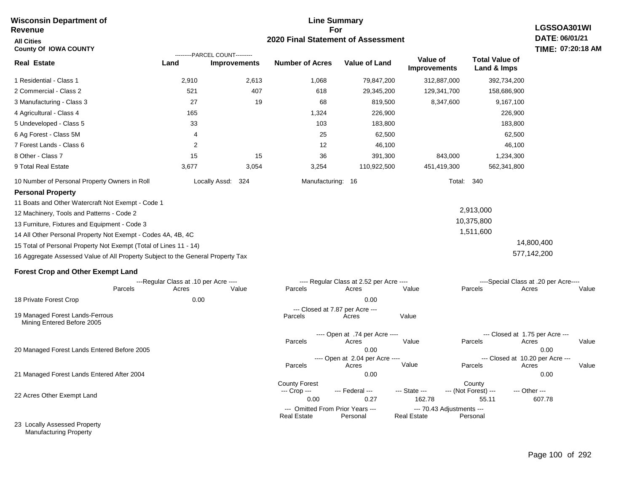#### **For 2020 Final Statement of Assessment Revenue All Cities County Of IOWA COUNTY LGSSOA301WI DATE: 06/01/21 TIME: 07:20:18 AM Real Estate** 1 Residential - Class 1 2 Commercial - Class 2 3 Manufacturing - Class 3 4 Agricultural - Class 4 5 Undeveloped - Class 5 6 Ag Forest - Class 5M 7 Forest Lands - Class 6 8 Other - Class 7 9 Total Real Estate 10 Number of Personal Property Owners in Roll 2,910 2,613 1,068 79,847,200 312,887,000 392,734,200 **Land Improvements Number of Acres Value of Land Value of Improvements Total Value of Land & Imps** 521 27 165 33 4 2 15 3,677 407 19 15 3,054 618 68 1,324 103 25 12 36 3,254 29,345,200 819,500 226,900 183,800 62,500 46,100 391,300 110,922,500 129,341,700 8,347,600 843,000 451,419,300 158,686,900 9,167,100 226,900 183,800 62,500 46,100 1,234,300 562,341,800 Locally Assd: 324 Manufacturing: 16 Total: 340 **Personal Property** 11 Boats and Other Watercraft Not Exempt - Code 1 12 Machinery, Tools and Patterns - Code 2 13 Furniture, Fixtures and Equipment - Code 3 14 All Other Personal Property Not Exempt - Codes 4A, 4B, 4C 15 Total of Personal Property Not Exempt (Total of Lines 11 - 14) 16 Aggregate Assessed Value of All Property Subject to the General Property Tax 2,913,000 10,375,800 1,511,600 14,800,400 577,142,200 **Forest Crop and Other Exempt Land** ---Regular Class at .10 per Acre ---- ---- Regular Class at 2.52 per Acre ---- ----Special Class at .20 per Acre---- 18 Private Forest Crop 20 Managed Forest Lands Entered Before 2005 21 Managed Forest Lands Entered After 2004 Parcels 0.00 0.00 Acres Value Parcels Acres Value Parcels Acres Value ---- Open at .74 per Acre<br>Acres Parcels 0.00 0.00 Acres Value Parcels Acres Value --- Closed at 1.75 per Acre --- ---- Open at 2.04 per Acre ---- --- Closed at 10.20 per Acre --- Parcels 0.00 0.00 Acres **Value Parcels Acres Value** County Forest County County --- Crop --- 0.00 0.27 162.78 55.11 607.78 --- Federal --- - --- State --- --- (Not Forest) --- --- Other ---22 Acres Other Exempt Land --- Omitted From Prior Years --- --- --- 70.43 Adjustments ---<br>eal Estate --- --- --- Real Estate --- Personal **Real Estate** ---------PARCEL COUNT--------- 19 Managed Forest Lands-Ferrous Mining Entered Before 2005 --- Closed at 7.87 per Acre ---<br>rcels Acres Parcels **Acres** Value

**Line Summary**

23 Locally Assessed Property Manufacturing Property

**Wisconsin Department of**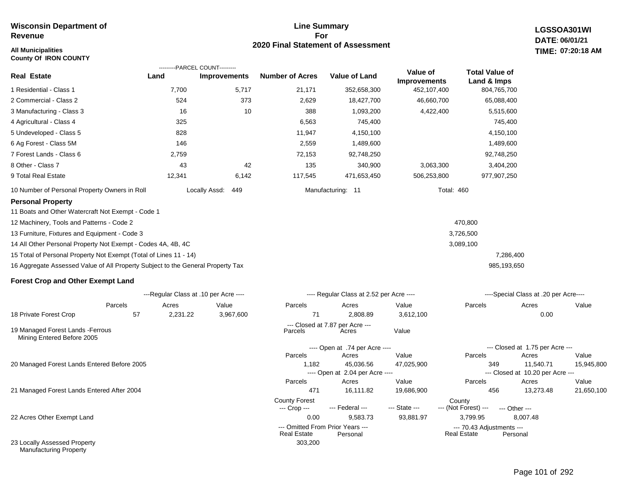#### **All Municipalities TIME: County Of IRON COUNTY**

#### **Line Summary For 2020 Final Statement of Assessment**

**LGSSOA301WI DATE: 06/01/21 07:20:18 AM**

|                                                                                 |          | ---------PARCEL COUNT---------        |                        |                                              |                          |                                      |                                               |            |
|---------------------------------------------------------------------------------|----------|---------------------------------------|------------------------|----------------------------------------------|--------------------------|--------------------------------------|-----------------------------------------------|------------|
| <b>Real Estate</b>                                                              | Land     | <b>Improvements</b>                   | <b>Number of Acres</b> | <b>Value of Land</b>                         | Value of<br>Improvements | <b>Total Value of</b><br>Land & Imps |                                               |            |
| 1 Residential - Class 1                                                         | 7,700    | 5,717                                 | 21,171                 | 352,658,300                                  | 452,107,400              | 804,765,700                          |                                               |            |
| 2 Commercial - Class 2                                                          | 524      | 373                                   | 2,629                  | 18,427,700                                   | 46,660,700               | 65,088,400                           |                                               |            |
| 3 Manufacturing - Class 3                                                       | 16       | 10                                    | 388                    | 1,093,200                                    | 4,422,400                | 5,515,600                            |                                               |            |
| 4 Agricultural - Class 4                                                        | 325      |                                       | 6,563                  | 745,400                                      |                          | 745,400                              |                                               |            |
| 5 Undeveloped - Class 5                                                         | 828      |                                       | 11,947                 | 4,150,100                                    |                          | 4,150,100                            |                                               |            |
| 6 Ag Forest - Class 5M                                                          | 146      |                                       | 2,559                  | 1,489,600                                    |                          | 1,489,600                            |                                               |            |
| 7 Forest Lands - Class 6                                                        | 2,759    |                                       | 72,153                 | 92,748,250                                   |                          | 92,748,250                           |                                               |            |
| 8 Other - Class 7                                                               | 43       | 42                                    | 135                    | 340,900                                      | 3,063,300                | 3,404,200                            |                                               |            |
| 9 Total Real Estate                                                             | 12,341   | 6,142                                 | 117,545                | 471,653,450                                  | 506,253,800              | 977,907,250                          |                                               |            |
| 10 Number of Personal Property Owners in Roll                                   |          | Locally Assd:<br>449                  |                        | Manufacturing: 11                            | <b>Total: 460</b>        |                                      |                                               |            |
| <b>Personal Property</b>                                                        |          |                                       |                        |                                              |                          |                                      |                                               |            |
| 11 Boats and Other Watercraft Not Exempt - Code 1                               |          |                                       |                        |                                              |                          |                                      |                                               |            |
| 12 Machinery, Tools and Patterns - Code 2                                       |          |                                       |                        |                                              |                          | 470,800                              |                                               |            |
| 13 Furniture, Fixtures and Equipment - Code 3                                   |          |                                       |                        |                                              |                          | 3,726,500                            |                                               |            |
| 14 All Other Personal Property Not Exempt - Codes 4A, 4B, 4C                    |          |                                       |                        |                                              |                          | 3,089,100                            |                                               |            |
| 15 Total of Personal Property Not Exempt (Total of Lines 11 - 14)               |          |                                       |                        |                                              |                          | 7,286,400                            |                                               |            |
| 16 Aggregate Assessed Value of All Property Subject to the General Property Tax |          |                                       |                        |                                              |                          | 985,193,650                          |                                               |            |
| <b>Forest Crop and Other Exempt Land</b>                                        |          |                                       |                        |                                              |                          |                                      |                                               |            |
|                                                                                 |          | ---Regular Class at .10 per Acre ---- |                        | ---- Regular Class at 2.52 per Acre ----     |                          |                                      | ----Special Class at .20 per Acre----         |            |
| Parcels                                                                         | Acres    | Value                                 | Parcels                | Acres                                        | Value                    | Parcels                              | Acres                                         | Value      |
| 18 Private Forest Crop<br>57                                                    | 2,231.22 | 3,967,600                             | 71                     | 2,808.89                                     | 3,612,100                |                                      | 0.00                                          |            |
| 19 Managed Forest Lands - Ferrous<br>Mining Entered Before 2005                 |          |                                       | Parcels                | --- Closed at 7.87 per Acre ---<br>Acres     | Value                    |                                      |                                               |            |
|                                                                                 |          |                                       |                        | ---- Open at .74 per Acre ----               |                          |                                      | --- Closed at 1.75 per Acre ---               |            |
|                                                                                 |          |                                       | Parcels                | Acres                                        | Value                    | Parcels                              | Acres                                         | Value      |
| 20 Managed Forest Lands Entered Before 2005                                     |          |                                       | 1,182                  | 45,036.56<br>---- Open at 2.04 per Acre ---- | 47,025,900               | 349                                  | 11,540.71<br>--- Closed at 10.20 per Acre --- | 15,945,800 |

303,200

21 Managed Forest Lands Entered After 2004

22 Acres Other Exempt Land

23 Locally Assessed Property Manufacturing Property

471 16,111.82 19,686,900 456 13,273.48 21,650,100

**Real Estate** 

Parcels Acres Value Parcels Acres Value

--- (Not Forest) --- --- Other ---

0.00 9,583.73 93,881.97 3,799.95 8,007.48

--- Omitted From Prior Years ---<br>Real Estate Personal Real Estate Personal Real Estate Personal

County Forest County<br>--- Crop --- --- Federal --- --- State --- --- (Not Fore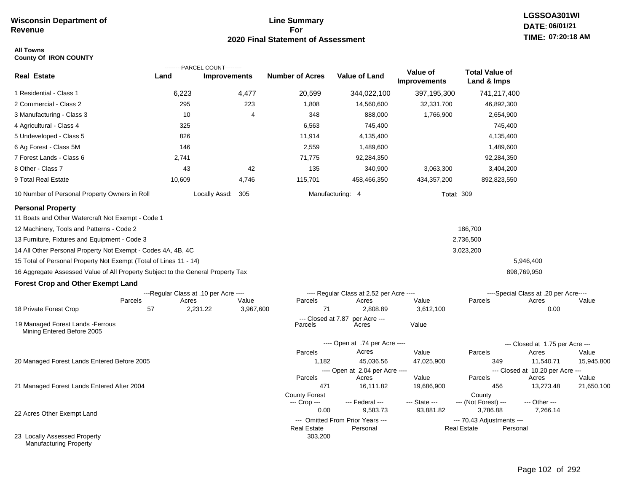# **Line Summary For 2020 Final Statement of Assessment**

#### **All Towns County Of IRON COUNTY**

|                                                                                                                                                                                                                                                                                                                                                                                                                                                                           |                                                                 | ---------PARCEL COUNT--------- |                                      |                                                                                                  |                                 |                                                 |                                                                                    |            |
|---------------------------------------------------------------------------------------------------------------------------------------------------------------------------------------------------------------------------------------------------------------------------------------------------------------------------------------------------------------------------------------------------------------------------------------------------------------------------|-----------------------------------------------------------------|--------------------------------|--------------------------------------|--------------------------------------------------------------------------------------------------|---------------------------------|-------------------------------------------------|------------------------------------------------------------------------------------|------------|
| <b>Real Estate</b>                                                                                                                                                                                                                                                                                                                                                                                                                                                        | Land                                                            | <b>Improvements</b>            | <b>Number of Acres</b>               | <b>Value of Land</b>                                                                             | Value of<br><b>Improvements</b> | <b>Total Value of</b><br>Land & Imps            |                                                                                    |            |
| 1 Residential - Class 1                                                                                                                                                                                                                                                                                                                                                                                                                                                   | 6,223                                                           | 4,477                          | 20,599                               | 344,022,100                                                                                      | 397,195,300                     | 741,217,400                                     |                                                                                    |            |
| 2 Commercial - Class 2                                                                                                                                                                                                                                                                                                                                                                                                                                                    | 295                                                             | 223                            | 1,808                                | 14,560,600                                                                                       | 32,331,700                      | 46,892,300                                      |                                                                                    |            |
| 3 Manufacturing - Class 3                                                                                                                                                                                                                                                                                                                                                                                                                                                 | 10                                                              | 4                              | 348                                  | 888,000                                                                                          | 1,766,900                       | 2,654,900                                       |                                                                                    |            |
| 4 Agricultural - Class 4                                                                                                                                                                                                                                                                                                                                                                                                                                                  | 325                                                             |                                | 6,563                                | 745,400                                                                                          |                                 | 745,400                                         |                                                                                    |            |
| 5 Undeveloped - Class 5                                                                                                                                                                                                                                                                                                                                                                                                                                                   | 826                                                             |                                | 11,914                               | 4,135,400                                                                                        |                                 | 4,135,400                                       |                                                                                    |            |
| 6 Ag Forest - Class 5M                                                                                                                                                                                                                                                                                                                                                                                                                                                    | 146                                                             |                                | 2,559                                | 1,489,600                                                                                        |                                 | 1,489,600                                       |                                                                                    |            |
| 7 Forest Lands - Class 6                                                                                                                                                                                                                                                                                                                                                                                                                                                  | 2,741                                                           |                                | 71,775                               | 92,284,350                                                                                       |                                 | 92,284,350                                      |                                                                                    |            |
| 8 Other - Class 7                                                                                                                                                                                                                                                                                                                                                                                                                                                         | 43                                                              | 42                             | 135                                  | 340,900                                                                                          | 3,063,300                       | 3,404,200                                       |                                                                                    |            |
| 9 Total Real Estate                                                                                                                                                                                                                                                                                                                                                                                                                                                       | 10,609                                                          | 4,746                          | 115,701                              | 458,466,350                                                                                      | 434,357,200                     | 892,823,550                                     |                                                                                    |            |
| 10 Number of Personal Property Owners in Roll                                                                                                                                                                                                                                                                                                                                                                                                                             |                                                                 | Locally Assd: 305              |                                      | Manufacturing: 4                                                                                 |                                 | <b>Total: 309</b>                               |                                                                                    |            |
| <b>Personal Property</b><br>11 Boats and Other Watercraft Not Exempt - Code 1<br>12 Machinery, Tools and Patterns - Code 2<br>13 Furniture, Fixtures and Equipment - Code 3<br>14 All Other Personal Property Not Exempt - Codes 4A, 4B, 4C<br>15 Total of Personal Property Not Exempt (Total of Lines 11 - 14)<br>16 Aggregate Assessed Value of All Property Subject to the General Property Tax<br><b>Forest Crop and Other Exempt Land</b><br>18 Private Forest Crop | ---Regular Class at .10 per Acre ----<br>Parcels<br>Acres<br>57 | Value<br>2,231.22<br>3,967,600 | Parcels<br>71                        | ---- Regular Class at 2.52 per Acre ----<br>Acres<br>2,808.89<br>--- Closed at 7.87 per Acre --- | Value<br>3,612,100              | 186,700<br>2,736,500<br>3,023,200<br>Parcels    | 5,946,400<br>898,769,950<br>----Special Class at .20 per Acre----<br>Acres<br>0.00 | Value      |
| 19 Managed Forest Lands - Ferrous<br>Mining Entered Before 2005                                                                                                                                                                                                                                                                                                                                                                                                           |                                                                 |                                | Parcels                              | Acres                                                                                            | Value                           |                                                 |                                                                                    |            |
|                                                                                                                                                                                                                                                                                                                                                                                                                                                                           |                                                                 |                                |                                      | ---- Open at .74 per Acre ----                                                                   |                                 |                                                 | --- Closed at 1.75 per Acre ---                                                    |            |
|                                                                                                                                                                                                                                                                                                                                                                                                                                                                           |                                                                 |                                | Parcels                              | Acres                                                                                            | Value                           | Parcels                                         | Acres                                                                              | Value      |
| 20 Managed Forest Lands Entered Before 2005                                                                                                                                                                                                                                                                                                                                                                                                                               |                                                                 |                                | 1,182                                | 45,036.56<br>---- Open at 2.04 per Acre ----                                                     | 47,025,900                      | 349                                             | 11,540.71<br>--- Closed at 10.20 per Acre ---                                      | 15,945,800 |
|                                                                                                                                                                                                                                                                                                                                                                                                                                                                           |                                                                 |                                | Parcels                              | Acres                                                                                            | Value                           | Parcels                                         | Acres                                                                              | Value      |
| 21 Managed Forest Lands Entered After 2004                                                                                                                                                                                                                                                                                                                                                                                                                                |                                                                 |                                | 471                                  | 16,111.82                                                                                        | 19,686,900                      | 456                                             | 13,273.48                                                                          | 21,650,100 |
|                                                                                                                                                                                                                                                                                                                                                                                                                                                                           |                                                                 |                                | <b>County Forest</b><br>--- Crop --- | --- Federal ---                                                                                  | --- State ---                   | County<br>--- (Not Forest) ---                  | --- Other ---                                                                      |            |
| 22 Acres Other Exempt Land                                                                                                                                                                                                                                                                                                                                                                                                                                                |                                                                 |                                | 0.00                                 | 9,583.73                                                                                         | 93,881.82                       | 3,786.88                                        | 7,266.14                                                                           |            |
|                                                                                                                                                                                                                                                                                                                                                                                                                                                                           |                                                                 |                                | <b>Real Estate</b>                   | --- Omitted From Prior Years ---<br>Personal                                                     |                                 | --- 70.43 Adjustments ---<br><b>Real Estate</b> | Personal                                                                           |            |
| 23 Locally Assessed Property<br><b>Manufacturing Property</b>                                                                                                                                                                                                                                                                                                                                                                                                             |                                                                 |                                | 303,200                              |                                                                                                  |                                 |                                                 |                                                                                    |            |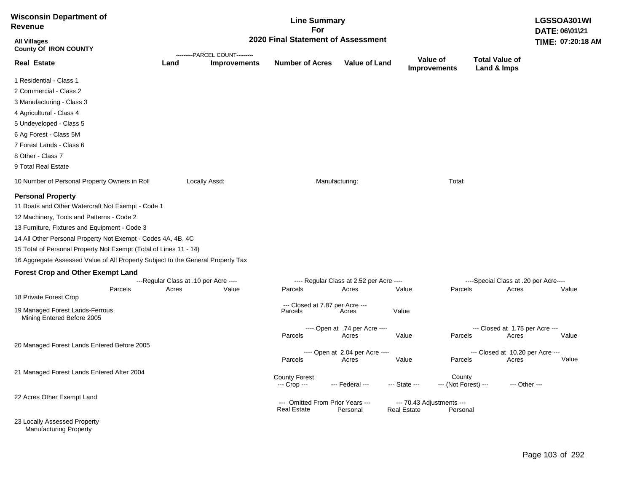| <b>Wisconsin Department of</b><br>Revenue                                                                                                                                                                                                                                                                                                                                                                                                                                                                                                  |         |                                                                      |                     | <b>Line Summary</b><br>For                             |                                                                                              |                    |                                       |                                                                                   | DATE: 06\01\21 | LGSSOA301WI       |
|--------------------------------------------------------------------------------------------------------------------------------------------------------------------------------------------------------------------------------------------------------------------------------------------------------------------------------------------------------------------------------------------------------------------------------------------------------------------------------------------------------------------------------------------|---------|----------------------------------------------------------------------|---------------------|--------------------------------------------------------|----------------------------------------------------------------------------------------------|--------------------|---------------------------------------|-----------------------------------------------------------------------------------|----------------|-------------------|
| <b>All Villages</b><br><b>County Of IRON COUNTY</b>                                                                                                                                                                                                                                                                                                                                                                                                                                                                                        |         | 2020 Final Statement of Assessment<br>---------PARCEL COUNT--------- |                     |                                                        |                                                                                              |                    |                                       |                                                                                   |                | TIME: 07:20:18 AM |
| <b>Real Estate</b>                                                                                                                                                                                                                                                                                                                                                                                                                                                                                                                         |         | Land                                                                 | <b>Improvements</b> | <b>Number of Acres</b>                                 | <b>Value of Land</b>                                                                         |                    | Value of<br><b>Improvements</b>       | <b>Total Value of</b><br>Land & Imps                                              |                |                   |
| 1 Residential - Class 1                                                                                                                                                                                                                                                                                                                                                                                                                                                                                                                    |         |                                                                      |                     |                                                        |                                                                                              |                    |                                       |                                                                                   |                |                   |
| 2 Commercial - Class 2                                                                                                                                                                                                                                                                                                                                                                                                                                                                                                                     |         |                                                                      |                     |                                                        |                                                                                              |                    |                                       |                                                                                   |                |                   |
| 3 Manufacturing - Class 3                                                                                                                                                                                                                                                                                                                                                                                                                                                                                                                  |         |                                                                      |                     |                                                        |                                                                                              |                    |                                       |                                                                                   |                |                   |
| 4 Agricultural - Class 4                                                                                                                                                                                                                                                                                                                                                                                                                                                                                                                   |         |                                                                      |                     |                                                        |                                                                                              |                    |                                       |                                                                                   |                |                   |
| 5 Undeveloped - Class 5                                                                                                                                                                                                                                                                                                                                                                                                                                                                                                                    |         |                                                                      |                     |                                                        |                                                                                              |                    |                                       |                                                                                   |                |                   |
| 6 Ag Forest - Class 5M                                                                                                                                                                                                                                                                                                                                                                                                                                                                                                                     |         |                                                                      |                     |                                                        |                                                                                              |                    |                                       |                                                                                   |                |                   |
| 7 Forest Lands - Class 6                                                                                                                                                                                                                                                                                                                                                                                                                                                                                                                   |         |                                                                      |                     |                                                        |                                                                                              |                    |                                       |                                                                                   |                |                   |
| 8 Other - Class 7                                                                                                                                                                                                                                                                                                                                                                                                                                                                                                                          |         |                                                                      |                     |                                                        |                                                                                              |                    |                                       |                                                                                   |                |                   |
| 9 Total Real Estate                                                                                                                                                                                                                                                                                                                                                                                                                                                                                                                        |         |                                                                      |                     |                                                        |                                                                                              |                    |                                       |                                                                                   |                |                   |
| 10 Number of Personal Property Owners in Roll                                                                                                                                                                                                                                                                                                                                                                                                                                                                                              |         |                                                                      | Locally Assd:       |                                                        | Manufacturing:                                                                               |                    | Total:                                |                                                                                   |                |                   |
| <b>Personal Property</b><br>11 Boats and Other Watercraft Not Exempt - Code 1<br>12 Machinery, Tools and Patterns - Code 2<br>13 Furniture, Fixtures and Equipment - Code 3<br>14 All Other Personal Property Not Exempt - Codes 4A, 4B, 4C<br>15 Total of Personal Property Not Exempt (Total of Lines 11 - 14)<br>16 Aggregate Assessed Value of All Property Subject to the General Property Tax<br><b>Forest Crop and Other Exempt Land</b><br>18 Private Forest Crop<br>19 Managed Forest Lands-Ferrous<br>Mining Entered Before 2005 | Parcels | ---Regular Class at .10 per Acre ----<br>Acres                       | Value               | Parcels<br>--- Closed at 7.87 per Acre ---<br>Parcels  | ---- Regular Class at 2.52 per Acre ----<br>Acres<br>Acres<br>---- Open at .74 per Acre ---- | Value<br>Value     | Parcels                               | ----Special Class at .20 per Acre----<br>Acres<br>--- Closed at 1.75 per Acre --- |                | Value             |
|                                                                                                                                                                                                                                                                                                                                                                                                                                                                                                                                            |         |                                                                      |                     | Parcels                                                | Acres                                                                                        | Value              | Parcels                               | Acres                                                                             |                | Value             |
| 20 Managed Forest Lands Entered Before 2005                                                                                                                                                                                                                                                                                                                                                                                                                                                                                                |         |                                                                      |                     | Parcels                                                | ---- Open at 2.04 per Acre ----<br>Acres                                                     | Value              | Parcels                               | --- Closed at 10.20 per Acre ---<br>Acres                                         |                | Value             |
| 21 Managed Forest Lands Entered After 2004                                                                                                                                                                                                                                                                                                                                                                                                                                                                                                 |         |                                                                      |                     | <b>County Forest</b><br>--- Crop ---                   | --- Federal ---                                                                              | --- State ---      | County<br>--- (Not Forest) ---        |                                                                                   | --- Other ---  |                   |
| 22 Acres Other Exempt Land                                                                                                                                                                                                                                                                                                                                                                                                                                                                                                                 |         |                                                                      |                     | --- Omitted From Prior Years ---<br><b>Real Estate</b> | Personal                                                                                     | <b>Real Estate</b> | --- 70.43 Adjustments ---<br>Personal |                                                                                   |                |                   |
| 23 Locally Assessed Property                                                                                                                                                                                                                                                                                                                                                                                                                                                                                                               |         |                                                                      |                     |                                                        |                                                                                              |                    |                                       |                                                                                   |                |                   |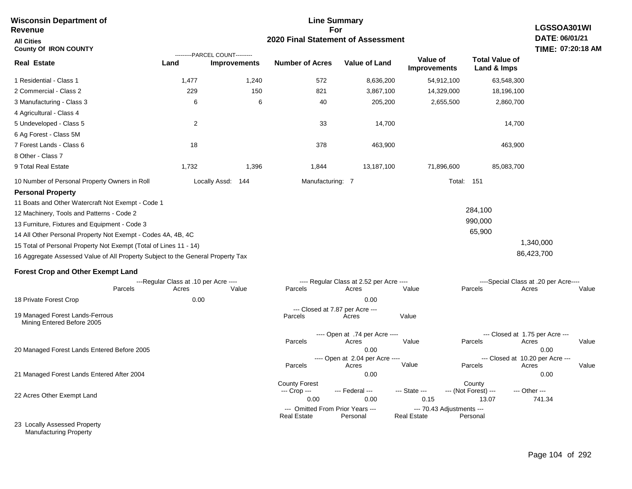| Revenue                                                                         |                                       |                                                       | For                                                    |                                          |                                          |                                      | LGSSOA301WI                           |  |  |  |  |
|---------------------------------------------------------------------------------|---------------------------------------|-------------------------------------------------------|--------------------------------------------------------|------------------------------------------|------------------------------------------|--------------------------------------|---------------------------------------|--|--|--|--|
| <b>All Cities</b>                                                               |                                       | 2020 Final Statement of Assessment                    |                                                        |                                          |                                          |                                      |                                       |  |  |  |  |
| <b>County Of IRON COUNTY</b>                                                    |                                       |                                                       |                                                        |                                          |                                          |                                      | TIME: 07:20:18 AM                     |  |  |  |  |
| <b>Real Estate</b>                                                              | Land                                  | ---------PARCEL COUNT---------<br><b>Improvements</b> | <b>Number of Acres</b>                                 | <b>Value of Land</b>                     | Value of<br><b>Improvements</b>          | <b>Total Value of</b><br>Land & Imps |                                       |  |  |  |  |
| 1 Residential - Class 1                                                         | 1,477                                 | 1,240                                                 | 572                                                    | 8,636,200                                | 54,912,100                               | 63,548,300                           |                                       |  |  |  |  |
| 2 Commercial - Class 2                                                          | 229                                   | 150                                                   | 821                                                    | 3,867,100                                | 14,329,000                               | 18,196,100                           |                                       |  |  |  |  |
| 3 Manufacturing - Class 3                                                       | 6                                     | 6                                                     | 40                                                     | 205,200                                  | 2,655,500                                | 2,860,700                            |                                       |  |  |  |  |
| 4 Agricultural - Class 4                                                        |                                       |                                                       |                                                        |                                          |                                          |                                      |                                       |  |  |  |  |
| 5 Undeveloped - Class 5                                                         | $\overline{c}$                        |                                                       | 33                                                     | 14,700                                   |                                          | 14,700                               |                                       |  |  |  |  |
| 6 Ag Forest - Class 5M                                                          |                                       |                                                       |                                                        |                                          |                                          |                                      |                                       |  |  |  |  |
| 7 Forest Lands - Class 6                                                        | 18                                    |                                                       | 378                                                    | 463,900                                  |                                          | 463,900                              |                                       |  |  |  |  |
| 8 Other - Class 7                                                               |                                       |                                                       |                                                        |                                          |                                          |                                      |                                       |  |  |  |  |
| 9 Total Real Estate                                                             | 1,732                                 | 1,396                                                 | 1,844                                                  | 13,187,100                               | 71,896,600                               | 85,083,700                           |                                       |  |  |  |  |
| 10 Number of Personal Property Owners in Roll                                   |                                       | Locally Assd: 144                                     | Manufacturing: 7                                       |                                          |                                          | Total: 151                           |                                       |  |  |  |  |
| <b>Personal Property</b>                                                        |                                       |                                                       |                                                        |                                          |                                          |                                      |                                       |  |  |  |  |
| 11 Boats and Other Watercraft Not Exempt - Code 1                               |                                       |                                                       |                                                        |                                          |                                          |                                      |                                       |  |  |  |  |
| 12 Machinery, Tools and Patterns - Code 2                                       |                                       |                                                       |                                                        |                                          |                                          | 284,100                              |                                       |  |  |  |  |
| 13 Furniture, Fixtures and Equipment - Code 3                                   |                                       |                                                       |                                                        |                                          |                                          | 990,000                              |                                       |  |  |  |  |
| 14 All Other Personal Property Not Exempt - Codes 4A, 4B, 4C                    |                                       |                                                       |                                                        |                                          |                                          | 65,900                               |                                       |  |  |  |  |
| 15 Total of Personal Property Not Exempt (Total of Lines 11 - 14)               |                                       |                                                       |                                                        |                                          |                                          |                                      | 1,340,000                             |  |  |  |  |
| 16 Aggregate Assessed Value of All Property Subject to the General Property Tax |                                       |                                                       |                                                        |                                          |                                          |                                      | 86,423,700                            |  |  |  |  |
| <b>Forest Crop and Other Exempt Land</b>                                        |                                       |                                                       |                                                        |                                          |                                          |                                      |                                       |  |  |  |  |
|                                                                                 | ---Regular Class at .10 per Acre ---- |                                                       |                                                        | ---- Regular Class at 2.52 per Acre ---- |                                          |                                      | ----Special Class at .20 per Acre---- |  |  |  |  |
| Parcels                                                                         | Acres                                 | Value                                                 | Parcels                                                | Acres                                    | Value                                    | Parcels                              | Acres<br>Value                        |  |  |  |  |
| 18 Private Forest Crop                                                          | 0.00                                  |                                                       |                                                        | 0.00                                     |                                          |                                      |                                       |  |  |  |  |
| 19 Managed Forest Lands-Ferrous<br>Mining Entered Before 2005                   |                                       |                                                       | --- Closed at 7.87 per Acre ---<br>Parcels             | Acres                                    | Value                                    |                                      |                                       |  |  |  |  |
|                                                                                 |                                       |                                                       |                                                        | ---- Open at .74 per Acre ----           |                                          | --- Closed at 1.75 per Acre ---      |                                       |  |  |  |  |
|                                                                                 |                                       |                                                       | Parcels                                                | Acres                                    | Value                                    | Parcels                              | Acres<br>Value                        |  |  |  |  |
| 20 Managed Forest Lands Entered Before 2005                                     |                                       |                                                       |                                                        | 0.00<br>---- Open at 2.04 per Acre ----  |                                          | --- Closed at 10.20 per Acre ---     | 0.00                                  |  |  |  |  |
|                                                                                 |                                       |                                                       | Parcels                                                | Acres                                    | Value                                    | Parcels                              | Acres<br>Value                        |  |  |  |  |
| 21 Managed Forest Lands Entered After 2004                                      |                                       |                                                       |                                                        | 0.00                                     |                                          |                                      | 0.00                                  |  |  |  |  |
|                                                                                 |                                       |                                                       | <b>County Forest</b><br>--- Crop ---                   | --- Federal ---                          | --- State ---                            | County<br>--- (Not Forest) ---       | --- Other ---                         |  |  |  |  |
| 22 Acres Other Exempt Land                                                      |                                       |                                                       | 0.00                                                   | 0.00                                     | 0.15                                     | 13.07                                | 741.34                                |  |  |  |  |
|                                                                                 |                                       |                                                       | --- Omitted From Prior Years ---<br><b>Real Estate</b> | Personal                                 | --- 70.43 Adjustments ---<br>Real Estate | Personal                             |                                       |  |  |  |  |
| 23 Locally Assessed Property                                                    |                                       |                                                       |                                                        |                                          |                                          |                                      |                                       |  |  |  |  |

**Line Summary**

## Manufacturing Property

**Wisconsin Department of**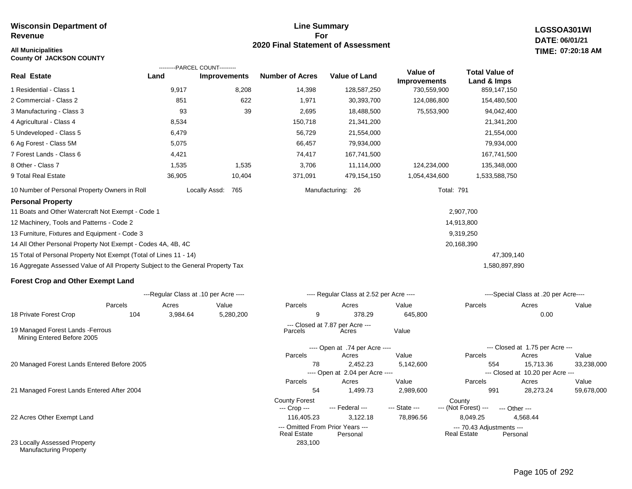## **All Municipalities TIME:**

**County Of JACKSON COUNTY**

#### **Line Summary For 2020 Final Statement of Assessment**

**LGSSOA301WI DATE: 06/01/21 07:20:18 AM**

|                                                                                 |          | ---------PARCEL COUNT---------        |                        |                                             |                                 |                                      |                                               |            |
|---------------------------------------------------------------------------------|----------|---------------------------------------|------------------------|---------------------------------------------|---------------------------------|--------------------------------------|-----------------------------------------------|------------|
| <b>Real Estate</b>                                                              | Land     | <b>Improvements</b>                   | <b>Number of Acres</b> | <b>Value of Land</b>                        | Value of<br><b>Improvements</b> | <b>Total Value of</b><br>Land & Imps |                                               |            |
| 1 Residential - Class 1                                                         | 9,917    | 8,208                                 | 14,398                 | 128,587,250                                 | 730,559,900                     | 859,147,150                          |                                               |            |
| 2 Commercial - Class 2                                                          | 851      | 622                                   | 1,971                  | 30,393,700                                  | 124,086,800                     | 154,480,500                          |                                               |            |
| 3 Manufacturing - Class 3                                                       | 93       | 39                                    | 2,695                  | 18,488,500                                  | 75,553,900                      | 94,042,400                           |                                               |            |
| 4 Agricultural - Class 4                                                        | 8,534    |                                       | 150,718                | 21,341,200                                  |                                 | 21,341,200                           |                                               |            |
| 5 Undeveloped - Class 5                                                         | 6,479    |                                       | 56,729                 | 21,554,000                                  |                                 | 21,554,000                           |                                               |            |
| 6 Ag Forest - Class 5M                                                          | 5,075    |                                       | 66,457                 | 79,934,000                                  |                                 | 79,934,000                           |                                               |            |
| 7 Forest Lands - Class 6                                                        | 4,421    |                                       | 74,417                 | 167,741,500                                 |                                 | 167,741,500                          |                                               |            |
| 8 Other - Class 7                                                               | 1,535    | 1,535                                 | 3,706                  | 11,114,000                                  | 124,234,000                     | 135,348,000                          |                                               |            |
| 9 Total Real Estate                                                             | 36,905   | 10,404                                | 371,091                | 479,154,150                                 | 1,054,434,600                   | 1,533,588,750                        |                                               |            |
| 10 Number of Personal Property Owners in Roll                                   |          | Locally Assd:<br>765                  |                        | Manufacturing: 26                           | <b>Total: 791</b>               |                                      |                                               |            |
| <b>Personal Property</b>                                                        |          |                                       |                        |                                             |                                 |                                      |                                               |            |
| 11 Boats and Other Watercraft Not Exempt - Code 1                               |          |                                       |                        |                                             |                                 | 2,907,700                            |                                               |            |
| 12 Machinery, Tools and Patterns - Code 2                                       |          |                                       |                        |                                             |                                 | 14,913,800                           |                                               |            |
| 13 Furniture, Fixtures and Equipment - Code 3                                   |          |                                       |                        |                                             |                                 | 9,319,250                            |                                               |            |
| 14 All Other Personal Property Not Exempt - Codes 4A, 4B, 4C                    |          |                                       |                        |                                             |                                 | 20,168,390                           |                                               |            |
| 15 Total of Personal Property Not Exempt (Total of Lines 11 - 14)               |          |                                       |                        |                                             |                                 | 47,309,140                           |                                               |            |
| 16 Aggregate Assessed Value of All Property Subject to the General Property Tax |          |                                       |                        |                                             |                                 | 1,580,897,890                        |                                               |            |
| <b>Forest Crop and Other Exempt Land</b>                                        |          |                                       |                        |                                             |                                 |                                      |                                               |            |
|                                                                                 |          | ---Regular Class at .10 per Acre ---- |                        | ---- Regular Class at 2.52 per Acre ----    |                                 |                                      | ----Special Class at .20 per Acre----         |            |
| Parcels                                                                         | Acres    | Value                                 | Parcels                | Acres                                       | Value                           | Parcels                              | Acres                                         | Value      |
| 18 Private Forest Crop<br>104                                                   | 3,984.64 | 5,280,200                             | 9                      | 378.29                                      | 645,800                         |                                      | 0.00                                          |            |
| 19 Managed Forest Lands - Ferrous<br>Mining Entered Before 2005                 |          |                                       | Parcels                | --- Closed at 7.87 per Acre ---<br>Acres    | Value                           |                                      |                                               |            |
|                                                                                 |          |                                       |                        | ---- Open at .74 per Acre ----              |                                 |                                      | --- Closed at 1.75 per Acre ---               |            |
|                                                                                 |          |                                       | Parcels                | Acres                                       | Value                           | Parcels                              | Acres                                         | Value      |
| 20 Managed Forest Lands Entered Before 2005                                     |          |                                       | 78                     | 2,452.23<br>---- Open at 2.04 per Acre ---- | 5,142,600                       | 554                                  | 15,713.36<br>--- Closed at 10.20 per Acre --- | 33,238,000 |
|                                                                                 |          |                                       | Parcels                | Acres                                       | Value                           | Parcels                              | Acres                                         | Value      |
| 21 Managed Forest Lands Entered After 2004                                      |          |                                       | 54                     | 1,499.73                                    | 2,989,600                       | 991                                  | 28,273.24                                     | 59,678,000 |

283,100

22 Acres Other Exempt Land

23 Locally Assessed Property Manufacturing Property

Page 105 of 292

--- (Not Forest) --- --- Other ---

Real Estate

116,405.23 3,122.18 78,896.56 8,049.25 4,568.44

--- Omitted From Prior Years --- --- 70.43 Adjustments ---

County Forest<br>--- Crop --- --- Federal --- --- State --- --- (Not Fore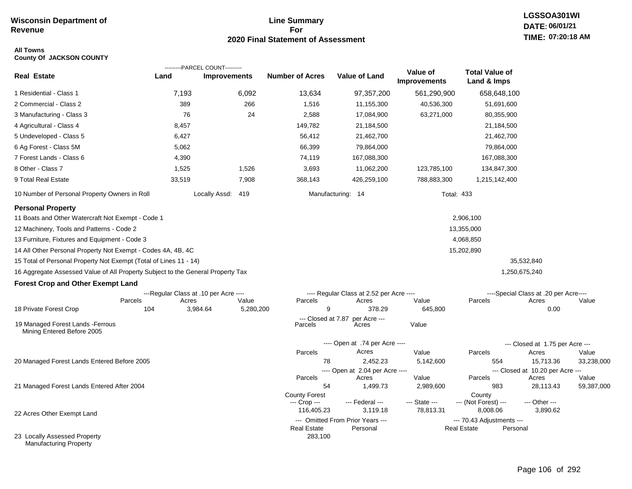# **Line Summary For 2020 Final Statement of Assessment**

#### **All Towns County Of JACKSON COUNTY**

|                                                                                 |                                       | ---------PARCEL COUNT--------- |                               |                                              |                                 |                                                 |                                       |                     |
|---------------------------------------------------------------------------------|---------------------------------------|--------------------------------|-------------------------------|----------------------------------------------|---------------------------------|-------------------------------------------------|---------------------------------------|---------------------|
| <b>Real Estate</b>                                                              | Land                                  | <b>Improvements</b>            | <b>Number of Acres</b>        | Value of Land                                | Value of<br><b>Improvements</b> | <b>Total Value of</b><br>Land & Imps            |                                       |                     |
| 1 Residential - Class 1                                                         | 7,193                                 | 6,092                          | 13,634                        | 97,357,200                                   | 561,290,900                     | 658,648,100                                     |                                       |                     |
| 2 Commercial - Class 2                                                          | 389                                   | 266                            | 1,516                         | 11,155,300                                   | 40,536,300                      | 51,691,600                                      |                                       |                     |
| 3 Manufacturing - Class 3                                                       | 76                                    | 24                             | 2,588                         | 17,084,900                                   | 63,271,000                      | 80,355,900                                      |                                       |                     |
| 4 Agricultural - Class 4                                                        | 8,457                                 |                                | 149,782                       | 21,184,500                                   |                                 | 21,184,500                                      |                                       |                     |
| 5 Undeveloped - Class 5                                                         | 6,427                                 |                                | 56,412                        | 21,462,700                                   |                                 | 21,462,700                                      |                                       |                     |
| 6 Ag Forest - Class 5M                                                          | 5,062                                 |                                | 66,399                        | 79,864,000                                   |                                 | 79,864,000                                      |                                       |                     |
| 7 Forest Lands - Class 6                                                        | 4,390                                 |                                | 74,119                        | 167,088,300                                  |                                 | 167,088,300                                     |                                       |                     |
| 8 Other - Class 7                                                               | 1,525                                 | 1,526                          | 3,693                         | 11,062,200                                   | 123,785,100                     | 134,847,300                                     |                                       |                     |
| 9 Total Real Estate                                                             | 33,519                                | 7,908                          | 368,143                       | 426,259,100                                  | 788,883,300                     | 1,215,142,400                                   |                                       |                     |
| 10 Number of Personal Property Owners in Roll                                   |                                       | Locally Assd: 419              |                               | Manufacturing: 14                            |                                 | <b>Total: 433</b>                               |                                       |                     |
| <b>Personal Property</b>                                                        |                                       |                                |                               |                                              |                                 |                                                 |                                       |                     |
| 11 Boats and Other Watercraft Not Exempt - Code 1                               |                                       |                                |                               |                                              |                                 | 2,906,100                                       |                                       |                     |
| 12 Machinery, Tools and Patterns - Code 2                                       |                                       |                                |                               |                                              |                                 | 13,355,000                                      |                                       |                     |
| 13 Furniture, Fixtures and Equipment - Code 3                                   |                                       |                                |                               |                                              |                                 | 4,068,850                                       |                                       |                     |
| 14 All Other Personal Property Not Exempt - Codes 4A, 4B, 4C                    |                                       |                                |                               |                                              |                                 | 15,202,890                                      |                                       |                     |
| 15 Total of Personal Property Not Exempt (Total of Lines 11 - 14)               |                                       |                                |                               |                                              |                                 |                                                 | 35,532,840                            |                     |
| 16 Aggregate Assessed Value of All Property Subject to the General Property Tax |                                       |                                |                               |                                              |                                 |                                                 | 1,250,675,240                         |                     |
| <b>Forest Crop and Other Exempt Land</b>                                        |                                       |                                |                               |                                              |                                 |                                                 |                                       |                     |
|                                                                                 | ---Regular Class at .10 per Acre ---- |                                |                               | ---- Regular Class at 2.52 per Acre ----     |                                 |                                                 | ----Special Class at .20 per Acre---- |                     |
| Parcels                                                                         | Acres                                 | Value                          | Parcels                       | Acres                                        | Value                           | Parcels                                         | Acres                                 | Value               |
| 18 Private Forest Crop                                                          | 104                                   | 3,984.64<br>5,280,200          | 9                             | 378.29                                       | 645,800                         |                                                 | 0.00                                  |                     |
| 19 Managed Forest Lands - Ferrous<br>Mining Entered Before 2005                 |                                       |                                | --- Closed at 7.87<br>Parcels | per Acre ---<br>Acres                        | Value                           |                                                 |                                       |                     |
|                                                                                 |                                       |                                |                               | ---- Open at .74 per Acre ----               |                                 |                                                 | --- Closed at 1.75 per Acre ---       |                     |
|                                                                                 |                                       |                                | Parcels                       | Acres                                        | Value                           | Parcels                                         | Acres                                 | Value               |
| 20 Managed Forest Lands Entered Before 2005                                     |                                       |                                | 78                            | 2,452.23                                     | 5,142,600                       | 554                                             | 15,713.36                             | 33,238,000          |
|                                                                                 |                                       |                                |                               | ---- Open at 2.04 per Acre ----              |                                 |                                                 | --- Closed at 10.20 per Acre ---      |                     |
| 21 Managed Forest Lands Entered After 2004                                      |                                       |                                | Parcels<br>54                 | Acres<br>1,499.73                            | Value<br>2,989,600              | Parcels<br>983                                  | Acres<br>28,113.43                    | Value<br>59,387,000 |
|                                                                                 |                                       |                                | County Forest                 |                                              |                                 | County                                          |                                       |                     |
|                                                                                 |                                       |                                | --- Crop ---                  | --- Federal ---                              | --- State ---                   | --- (Not Forest) ---                            | --- Other ---                         |                     |
| 22 Acres Other Exempt Land                                                      |                                       |                                | 116,405.23                    | 3,119.18                                     | 78,813.31                       | 8,008.06                                        | 3,890.62                              |                     |
|                                                                                 |                                       |                                | <b>Real Estate</b>            | --- Omitted From Prior Years ---<br>Personal |                                 | --- 70.43 Adjustments ---<br><b>Real Estate</b> | Personal                              |                     |
| 23 Locally Assessed Property<br><b>Manufacturing Property</b>                   |                                       |                                | 283,100                       |                                              |                                 |                                                 |                                       |                     |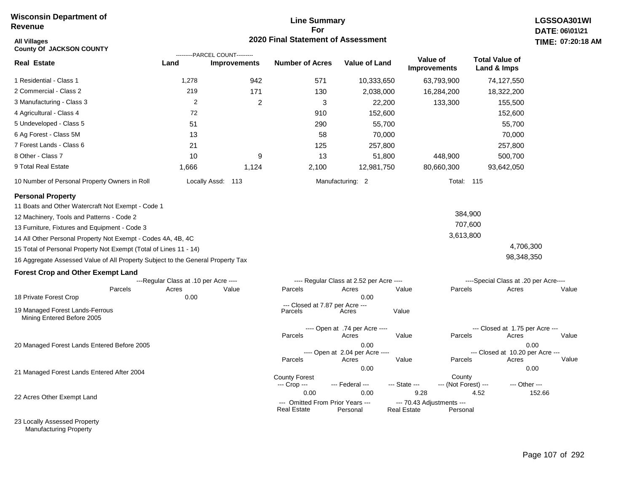# **Line Summary For 2020 Final Statement of Assessment**

| All Villages<br><b>County Of JACKSON COUNTY</b>                                 |                                       | ---------PARCEL COUNT--------- | <b>2020 Final Statement of Assessment</b>              |                                          |                                          |                                 |                                       | <b>TIME: 07:20</b> |
|---------------------------------------------------------------------------------|---------------------------------------|--------------------------------|--------------------------------------------------------|------------------------------------------|------------------------------------------|---------------------------------|---------------------------------------|--------------------|
| <b>Real Estate</b>                                                              | Land                                  | <b>Improvements</b>            | <b>Number of Acres</b>                                 | <b>Value of Land</b>                     |                                          | Value of<br><b>Improvements</b> | <b>Total Value of</b><br>Land & Imps  |                    |
| 1 Residential - Class 1                                                         | 1,278                                 | 942                            | 571                                                    | 10,333,650                               |                                          | 63,793,900                      | 74,127,550                            |                    |
| 2 Commercial - Class 2                                                          | 219                                   | 171                            | 130                                                    | 2,038,000                                |                                          | 16,284,200                      | 18,322,200                            |                    |
| 3 Manufacturing - Class 3                                                       | $\overline{2}$                        | 2                              | 3                                                      | 22,200                                   |                                          | 133,300                         | 155,500                               |                    |
| 4 Agricultural - Class 4                                                        | 72                                    |                                | 910                                                    | 152,600                                  |                                          |                                 | 152,600                               |                    |
| 5 Undeveloped - Class 5                                                         | 51                                    |                                | 290                                                    | 55,700                                   |                                          |                                 | 55,700                                |                    |
| 6 Ag Forest - Class 5M                                                          | 13                                    |                                | 58                                                     | 70,000                                   |                                          |                                 | 70,000                                |                    |
| 7 Forest Lands - Class 6                                                        | 21                                    |                                | 125                                                    | 257,800                                  |                                          |                                 | 257,800                               |                    |
| 8 Other - Class 7                                                               | 10                                    | 9                              | 13                                                     | 51,800                                   |                                          | 448,900                         | 500,700                               |                    |
| 9 Total Real Estate                                                             | 1,666                                 | 1,124                          | 2,100                                                  | 12,981,750                               |                                          | 80,660,300                      | 93,642,050                            |                    |
| 10 Number of Personal Property Owners in Roll                                   |                                       | Locally Assd: 113              |                                                        | Manufacturing: 2                         |                                          | <b>Total: 115</b>               |                                       |                    |
| <b>Personal Property</b>                                                        |                                       |                                |                                                        |                                          |                                          |                                 |                                       |                    |
| 11 Boats and Other Watercraft Not Exempt - Code 1                               |                                       |                                |                                                        |                                          |                                          |                                 |                                       |                    |
| 12 Machinery, Tools and Patterns - Code 2                                       |                                       |                                |                                                        |                                          |                                          | 384,900                         |                                       |                    |
| 13 Furniture, Fixtures and Equipment - Code 3                                   |                                       |                                |                                                        |                                          |                                          | 707,600                         |                                       |                    |
| 14 All Other Personal Property Not Exempt - Codes 4A, 4B, 4C                    |                                       |                                |                                                        |                                          |                                          | 3,613,800                       |                                       |                    |
| 15 Total of Personal Property Not Exempt (Total of Lines 11 - 14)               |                                       |                                |                                                        |                                          |                                          |                                 | 4,706,300                             |                    |
| 16 Aggregate Assessed Value of All Property Subject to the General Property Tax |                                       |                                |                                                        |                                          |                                          |                                 | 98,348,350                            |                    |
| <b>Forest Crop and Other Exempt Land</b>                                        |                                       |                                |                                                        |                                          |                                          |                                 |                                       |                    |
|                                                                                 | ---Regular Class at .10 per Acre ---- |                                |                                                        | ---- Regular Class at 2.52 per Acre ---- |                                          |                                 | ----Special Class at .20 per Acre---- |                    |
| Parcels                                                                         | Acres                                 | Value                          | Parcels                                                | Acres                                    | Value                                    | Parcels                         | Acres                                 | Value              |
| 18 Private Forest Crop                                                          | 0.00                                  |                                | --- Closed at 7.87 per Acre ---                        | 0.00                                     |                                          |                                 |                                       |                    |
| 19 Managed Forest Lands-Ferrous<br>Mining Entered Before 2005                   |                                       |                                | Parcels                                                | Acres                                    | Value                                    |                                 |                                       |                    |
|                                                                                 |                                       |                                |                                                        | ---- Open at .74 per Acre ----           |                                          |                                 | --- Closed at 1.75 per Acre ---       |                    |
|                                                                                 |                                       |                                | Parcels                                                | Acres                                    | Value                                    | Parcels                         | Acres                                 | Value              |
| 20 Managed Forest Lands Entered Before 2005                                     |                                       |                                |                                                        | 0.00<br>---- Open at 2.04 per Acre ----  |                                          |                                 | --- Closed at 10.20 per Acre ---      | 0.00               |
|                                                                                 |                                       |                                | Parcels                                                | Acres                                    | Value                                    | Parcels                         | Acres                                 | Value              |
| 21 Managed Forest Lands Entered After 2004                                      |                                       |                                |                                                        | 0.00                                     |                                          |                                 |                                       | 0.00               |
|                                                                                 |                                       |                                | <b>County Forest</b><br>--- Crop ---                   | --- Federal ---                          | --- State ---                            | County<br>--- (Not Forest) ---  | --- Other ---                         |                    |
| 22 Acres Other Exempt Land                                                      |                                       |                                | 0.00                                                   | 0.00                                     | 9.28                                     |                                 | 4.52                                  | 152.66             |
|                                                                                 |                                       |                                | --- Omitted From Prior Years ---<br><b>Real Estate</b> | Personal                                 | --- 70.43 Adjustments ---<br>Real Estate | Personal                        |                                       |                    |

23 Locally Assessed Property Manufacturing Property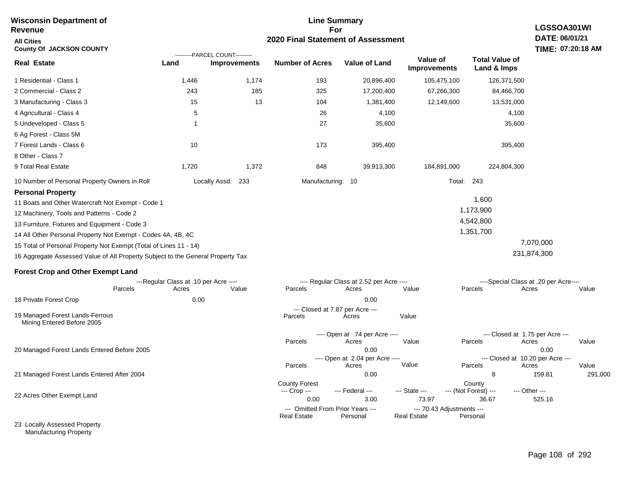| Revenue                                                                         |                                       |                                    | For                                        |                                          |                                 |                                      | LGSSOA301WI                              |                   |  |  |
|---------------------------------------------------------------------------------|---------------------------------------|------------------------------------|--------------------------------------------|------------------------------------------|---------------------------------|--------------------------------------|------------------------------------------|-------------------|--|--|
| <b>All Cities</b>                                                               |                                       | 2020 Final Statement of Assessment |                                            |                                          |                                 |                                      |                                          |                   |  |  |
| <b>County Of JACKSON COUNTY</b>                                                 |                                       | ---------PARCEL COUNT---------     |                                            |                                          |                                 |                                      |                                          | TIME: 07:20:18 AM |  |  |
| <b>Real Estate</b>                                                              | Land                                  | <b>Improvements</b>                | <b>Number of Acres</b>                     | <b>Value of Land</b>                     | Value of<br><b>Improvements</b> | <b>Total Value of</b><br>Land & Imps |                                          |                   |  |  |
| 1 Residential - Class 1                                                         | 1,446                                 | 1,174                              | 193                                        | 20,896,400                               | 105,475,100                     | 126,371,500                          |                                          |                   |  |  |
| 2 Commercial - Class 2                                                          | 243                                   | 185                                | 325                                        | 17,200,400                               | 67,266,300                      | 84,466,700                           |                                          |                   |  |  |
| 3 Manufacturing - Class 3                                                       | 15                                    | 13                                 | 104                                        | 1,381,400                                | 12,149,600                      | 13,531,000                           |                                          |                   |  |  |
| 4 Agricultural - Class 4                                                        | 5                                     |                                    | 26                                         | 4,100                                    |                                 |                                      | 4,100                                    |                   |  |  |
| 5 Undeveloped - Class 5                                                         | $\mathbf{1}$                          |                                    | 27                                         | 35,600                                   |                                 | 35,600                               |                                          |                   |  |  |
| 6 Ag Forest - Class 5M                                                          |                                       |                                    |                                            |                                          |                                 |                                      |                                          |                   |  |  |
| 7 Forest Lands - Class 6                                                        | 10                                    |                                    | 173                                        | 395,400                                  |                                 | 395,400                              |                                          |                   |  |  |
| 8 Other - Class 7                                                               |                                       |                                    |                                            |                                          |                                 |                                      |                                          |                   |  |  |
| 9 Total Real Estate                                                             | 1,720                                 | 1,372                              | 848                                        | 39,913,300                               | 184,891,000                     | 224,804,300                          |                                          |                   |  |  |
| 10 Number of Personal Property Owners in Roll                                   |                                       | 233<br>Locally Assd:               | Manufacturing: 10                          |                                          |                                 | Total: 243                           |                                          |                   |  |  |
| <b>Personal Property</b>                                                        |                                       |                                    |                                            |                                          |                                 |                                      |                                          |                   |  |  |
| 11 Boats and Other Watercraft Not Exempt - Code 1                               |                                       |                                    |                                            |                                          |                                 | 1,600                                |                                          |                   |  |  |
| 12 Machinery, Tools and Patterns - Code 2                                       |                                       |                                    |                                            |                                          |                                 | 1,173,900                            |                                          |                   |  |  |
| 13 Furniture, Fixtures and Equipment - Code 3                                   |                                       |                                    |                                            |                                          |                                 | 4,542,800                            |                                          |                   |  |  |
| 14 All Other Personal Property Not Exempt - Codes 4A, 4B, 4C                    |                                       |                                    |                                            |                                          |                                 | 1,351,700                            |                                          |                   |  |  |
| 15 Total of Personal Property Not Exempt (Total of Lines 11 - 14)               |                                       |                                    |                                            |                                          |                                 |                                      | 7,070,000                                |                   |  |  |
| 16 Aggregate Assessed Value of All Property Subject to the General Property Tax |                                       |                                    |                                            |                                          |                                 |                                      | 231,874,300                              |                   |  |  |
| <b>Forest Crop and Other Exempt Land</b>                                        |                                       |                                    |                                            |                                          |                                 |                                      |                                          |                   |  |  |
|                                                                                 | ---Regular Class at .10 per Acre ---- |                                    |                                            | ---- Regular Class at 2.52 per Acre ---- |                                 |                                      | ----Special Class at .20 per Acre----    |                   |  |  |
| Parcels                                                                         | Acres                                 | Value                              | Parcels                                    | Acres                                    | Value                           | Parcels                              | Acres                                    | Value             |  |  |
| 18 Private Forest Crop                                                          | 0.00                                  |                                    |                                            | 0.00                                     |                                 |                                      |                                          |                   |  |  |
| 19 Managed Forest Lands-Ferrous<br>Mining Entered Before 2005                   |                                       |                                    | --- Closed at 7.87 per Acre ---<br>Parcels | Acres                                    | Value                           |                                      |                                          |                   |  |  |
|                                                                                 |                                       |                                    |                                            | ---- Open at .74 per Acre ----           |                                 |                                      | --- Closed at 1.75 per Acre ---          |                   |  |  |
|                                                                                 |                                       |                                    | Parcels                                    | Acres                                    | Value                           | Parcels                              | Acres                                    | Value             |  |  |
| 20 Managed Forest Lands Entered Before 2005                                     |                                       |                                    |                                            | 0.00<br>---- Open at 2.04 per Acre ----  |                                 |                                      | 0.00<br>--- Closed at 10.20 per Acre --- |                   |  |  |
|                                                                                 |                                       |                                    | Parcels                                    | Acres                                    | Value                           | Parcels                              | Acres                                    | Value             |  |  |
| 21 Managed Forest Lands Entered After 2004                                      |                                       |                                    |                                            | 0.00                                     |                                 | 8                                    | 159.81                                   | 291,000           |  |  |
|                                                                                 |                                       |                                    | <b>County Forest</b>                       |                                          |                                 | County                               |                                          |                   |  |  |
| 22 Acres Other Exempt Land                                                      |                                       |                                    | --- Crop ---<br>0.00                       | --- Federal ---<br>3.00                  | --- State ---<br>73.97          | --- (Not Forest) ---<br>36.67        | --- Other ---<br>525.16                  |                   |  |  |
|                                                                                 |                                       |                                    | --- Omitted From Prior Years ---           |                                          | --- 70.43 Adjustments ---       |                                      |                                          |                   |  |  |
|                                                                                 |                                       |                                    | <b>Real Estate</b>                         | Personal                                 | <b>Real Estate</b>              | Personal                             |                                          |                   |  |  |
| 23 Locally Assessed Property                                                    |                                       |                                    |                                            |                                          |                                 |                                      |                                          |                   |  |  |

**Line Summary**

Manufacturing Property

**Wisconsin Department of**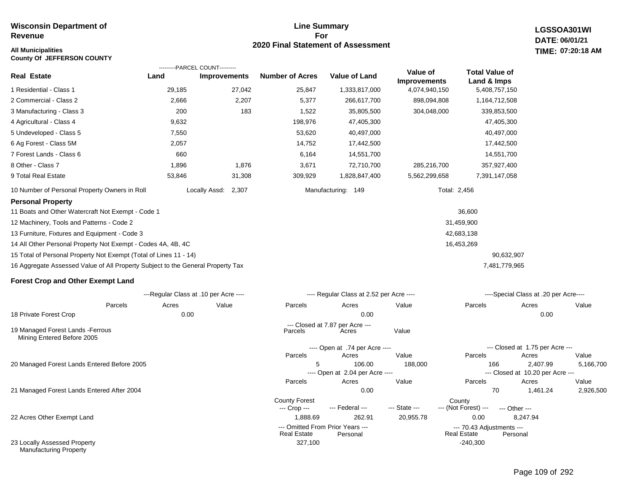23 Locally Assessed Property Manufacturing Property

#### **Line Summary For 2020 Final Statement of Assessment**

**LGSSOA301WI DATE: 06/01/21 All Municipalities TIME: 07:20:18 AM**

| <b>County Of JEFFERSON COUNTY</b>                                               |                                        |                        |                        |                                              |                                 |                                                 |                                           |               |
|---------------------------------------------------------------------------------|----------------------------------------|------------------------|------------------------|----------------------------------------------|---------------------------------|-------------------------------------------------|-------------------------------------------|---------------|
| <b>Real Estate</b>                                                              | ---------PARCEL COUNT---------<br>Land | <b>Improvements</b>    | <b>Number of Acres</b> | <b>Value of Land</b>                         | Value of<br><b>Improvements</b> | <b>Total Value of</b><br>Land & Imps            |                                           |               |
| 1 Residential - Class 1                                                         | 29,185                                 | 27,042                 | 25,847                 | 1,333,817,000                                | 4,074,940,150                   | 5,408,757,150                                   |                                           |               |
| 2 Commercial - Class 2                                                          | 2,666                                  | 2,207                  | 5,377                  | 266,617,700                                  | 898,094,808                     | 1,164,712,508                                   |                                           |               |
| 3 Manufacturing - Class 3                                                       | 200                                    | 183                    | 1,522                  | 35,805,500                                   | 304,048,000                     | 339,853,500                                     |                                           |               |
| 4 Agricultural - Class 4                                                        | 9,632                                  |                        | 198,976                | 47,405,300                                   |                                 | 47,405,300                                      |                                           |               |
| 5 Undeveloped - Class 5                                                         | 7,550                                  |                        | 53,620                 | 40,497,000                                   |                                 | 40,497,000                                      |                                           |               |
| 6 Ag Forest - Class 5M                                                          | 2,057                                  |                        | 14,752                 | 17,442,500                                   |                                 | 17,442,500                                      |                                           |               |
| 7 Forest Lands - Class 6                                                        | 660                                    |                        | 6,164                  | 14,551,700                                   |                                 | 14,551,700                                      |                                           |               |
| 8 Other - Class 7                                                               | 1,896                                  | 1,876                  | 3,671                  | 72,710,700                                   | 285,216,700                     | 357,927,400                                     |                                           |               |
| 9 Total Real Estate                                                             | 53,846                                 | 31,308                 | 309,929                | 1,828,847,400                                | 5,562,299,658                   | 7,391,147,058                                   |                                           |               |
| 10 Number of Personal Property Owners in Roll                                   |                                        | Locally Assd:<br>2,307 |                        | Manufacturing: 149                           |                                 | Total: 2,456                                    |                                           |               |
| <b>Personal Property</b>                                                        |                                        |                        |                        |                                              |                                 |                                                 |                                           |               |
| 11 Boats and Other Watercraft Not Exempt - Code 1                               |                                        |                        |                        |                                              |                                 | 36,600                                          |                                           |               |
| 12 Machinery, Tools and Patterns - Code 2                                       |                                        |                        |                        |                                              |                                 | 31,459,900                                      |                                           |               |
| 13 Furniture, Fixtures and Equipment - Code 3                                   |                                        |                        |                        |                                              |                                 | 42,683,138                                      |                                           |               |
| 14 All Other Personal Property Not Exempt - Codes 4A, 4B, 4C                    |                                        |                        |                        |                                              |                                 | 16,453,269                                      |                                           |               |
| 15 Total of Personal Property Not Exempt (Total of Lines 11 - 14)               |                                        |                        |                        |                                              |                                 |                                                 | 90,632,907                                |               |
| 16 Aggregate Assessed Value of All Property Subject to the General Property Tax |                                        |                        |                        |                                              |                                 | 7,481,779,965                                   |                                           |               |
| <b>Forest Crop and Other Exempt Land</b>                                        |                                        |                        |                        |                                              |                                 |                                                 |                                           |               |
|                                                                                 | ---Regular Class at .10 per Acre ----  |                        |                        | ---- Regular Class at 2.52 per Acre ----     |                                 |                                                 | ----Special Class at .20 per Acre----     |               |
| Parcels                                                                         | Acres                                  | Value                  | Parcels                | Acres                                        | Value                           | Parcels                                         | Acres                                     | Value         |
| 18 Private Forest Crop                                                          | 0.00                                   |                        |                        | 0.00                                         |                                 |                                                 | 0.00                                      |               |
| 19 Managed Forest Lands - Ferrous<br>Mining Entered Before 2005                 |                                        |                        | Parcels                | --- Closed at 7.87 per Acre ---<br>Acres     | Value                           |                                                 |                                           |               |
|                                                                                 |                                        |                        |                        | ---- Open at .74 per Acre ----               |                                 |                                                 | --- Closed at 1.75 per Acre ---           |               |
|                                                                                 |                                        |                        | Parcels                | Acres                                        | Value                           | Parcels                                         | Acres                                     | Value         |
| 20 Managed Forest Lands Entered Before 2005                                     |                                        |                        | 5                      | 106.00                                       | 188,000                         | 166                                             | 2,407.99                                  | 5,16          |
|                                                                                 |                                        |                        | Parcels                | ---- Open at 2.04 per Acre ----<br>Acres     | Value                           |                                                 | --- Closed at 10.20 per Acre ---<br>Acres |               |
| 21 Managed Forest Lands Entered After 2004                                      |                                        |                        |                        | 0.00                                         |                                 | Parcels<br>70                                   | 1,461.24                                  | Value<br>2,92 |
|                                                                                 |                                        |                        | <b>County Forest</b>   |                                              |                                 | County                                          |                                           |               |
|                                                                                 |                                        |                        | --- Crop ---           | --- Federal ---                              | --- State ---                   | --- (Not Forest) ---                            | --- Other ---                             |               |
| 22 Acres Other Exempt Land                                                      |                                        |                        | 1,888.69               | 262.91                                       | 20,955.78                       | 0.00                                            | 8,247.94                                  |               |
|                                                                                 |                                        |                        | <b>Real Estate</b>     | --- Omitted From Prior Years ---<br>Personal |                                 | --- 70.43 Adjustments ---<br><b>Real Estate</b> | Personal                                  |               |

327,100 -240,300

5,166,700

2,926,500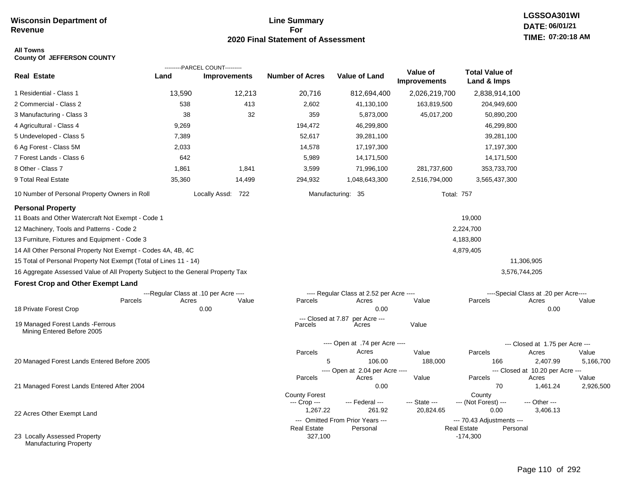#### **Line Summary For 2020 Final Statement of Assessment**

## **LGSSOA301WI DATE: 06/01/21 TIME: 07:20:18 AM**

#### **All Towns County Of JEFFERSON COUNTY**

|                                                                                 |        | ---------PARCEL COUNT---------        |                               |                                              |                                 |                                                             |                                       |                    |
|---------------------------------------------------------------------------------|--------|---------------------------------------|-------------------------------|----------------------------------------------|---------------------------------|-------------------------------------------------------------|---------------------------------------|--------------------|
| <b>Real Estate</b>                                                              | Land   | <b>Improvements</b>                   | <b>Number of Acres</b>        | <b>Value of Land</b>                         | Value of<br><b>Improvements</b> | <b>Total Value of</b><br>Land & Imps                        |                                       |                    |
| 1 Residential - Class 1                                                         | 13,590 | 12,213                                | 20,716                        | 812,694,400                                  | 2,026,219,700                   | 2,838,914,100                                               |                                       |                    |
| 2 Commercial - Class 2                                                          | 538    | 413                                   | 2,602                         | 41,130,100                                   | 163,819,500                     | 204,949,600                                                 |                                       |                    |
| 3 Manufacturing - Class 3                                                       | 38     | 32                                    | 359                           | 5,873,000                                    | 45,017,200                      | 50,890,200                                                  |                                       |                    |
| 4 Agricultural - Class 4                                                        | 9,269  |                                       | 194,472                       | 46,299,800                                   |                                 | 46,299,800                                                  |                                       |                    |
| 5 Undeveloped - Class 5                                                         | 7,389  |                                       | 52,617                        | 39,281,100                                   |                                 | 39,281,100                                                  |                                       |                    |
| 6 Ag Forest - Class 5M                                                          | 2,033  |                                       | 14,578                        | 17,197,300                                   |                                 | 17,197,300                                                  |                                       |                    |
| 7 Forest Lands - Class 6                                                        | 642    |                                       | 5,989                         | 14,171,500                                   |                                 | 14,171,500                                                  |                                       |                    |
| 8 Other - Class 7                                                               | 1,861  | 1,841                                 | 3,599                         | 71,996,100                                   | 281,737,600                     | 353,733,700                                                 |                                       |                    |
| 9 Total Real Estate                                                             | 35,360 | 14,499                                | 294,932                       | 1,048,643,300                                | 2,516,794,000                   | 3,565,437,300                                               |                                       |                    |
| 10 Number of Personal Property Owners in Roll                                   |        | Locally Assd: 722                     |                               | Manufacturing: 35                            | <b>Total: 757</b>               |                                                             |                                       |                    |
| <b>Personal Property</b>                                                        |        |                                       |                               |                                              |                                 |                                                             |                                       |                    |
| 11 Boats and Other Watercraft Not Exempt - Code 1                               |        |                                       |                               |                                              |                                 | 19,000                                                      |                                       |                    |
| 12 Machinery, Tools and Patterns - Code 2                                       |        |                                       |                               |                                              |                                 | 2,224,700                                                   |                                       |                    |
| 13 Furniture, Fixtures and Equipment - Code 3                                   |        |                                       |                               |                                              |                                 | 4,183,800                                                   |                                       |                    |
| 14 All Other Personal Property Not Exempt - Codes 4A, 4B, 4C                    |        |                                       |                               |                                              |                                 | 4,879,405                                                   |                                       |                    |
| 15 Total of Personal Property Not Exempt (Total of Lines 11 - 14)               |        |                                       |                               |                                              |                                 |                                                             | 11,306,905                            |                    |
| 16 Aggregate Assessed Value of All Property Subject to the General Property Tax |        |                                       |                               |                                              |                                 |                                                             | 3,576,744,205                         |                    |
| <b>Forest Crop and Other Exempt Land</b>                                        |        |                                       |                               |                                              |                                 |                                                             |                                       |                    |
|                                                                                 |        | ---Regular Class at .10 per Acre ---- |                               | ---- Regular Class at 2.52 per Acre ----     |                                 |                                                             | ----Special Class at .20 per Acre---- |                    |
| Parcels                                                                         | Acres  | Value                                 | Parcels                       | Acres                                        | Value                           | Parcels                                                     | Acres                                 | Value              |
| 18 Private Forest Crop                                                          |        | 0.00                                  |                               | 0.00                                         |                                 |                                                             | 0.00                                  |                    |
| 19 Managed Forest Lands - Ferrous<br>Mining Entered Before 2005                 |        |                                       | --- Closed at 7.87<br>Parcels | per Acre ---<br>Acres                        | Value                           |                                                             |                                       |                    |
|                                                                                 |        |                                       |                               | ---- Open at .74 per Acre ----               |                                 |                                                             | --- Closed at 1.75 per Acre ---       |                    |
|                                                                                 |        |                                       | Parcels                       | Acres                                        | Value                           | Parcels                                                     | Acres                                 | Value              |
| 20 Managed Forest Lands Entered Before 2005                                     |        |                                       | 5                             | 106.00                                       | 188,000                         | 166                                                         | 2,407.99                              | 5,166,700          |
|                                                                                 |        |                                       | Parcels                       | ---- Open at 2.04 per Acre ----              |                                 | Parcels                                                     | --- Closed at 10.20 per Acre ---      |                    |
| 21 Managed Forest Lands Entered After 2004                                      |        |                                       |                               | Acres<br>0.00                                | Value                           | 70                                                          | Acres<br>1,461.24                     | Value<br>2,926,500 |
|                                                                                 |        |                                       | <b>County Forest</b>          |                                              |                                 | County                                                      |                                       |                    |
|                                                                                 |        |                                       | --- Crop ---                  | --- Federal ---                              | --- State ---                   | --- (Not Forest) ---                                        | --- Other ---                         |                    |
| 22 Acres Other Exempt Land                                                      |        |                                       | 1,267.22                      | 261.92                                       | 20,824.65                       | 0.00                                                        | 3,406.13                              |                    |
|                                                                                 |        |                                       | <b>Real Estate</b>            | --- Omitted From Prior Years ---<br>Personal |                                 | --- 70.43 Adjustments ---<br><b>Real Estate</b><br>Personal |                                       |                    |
| 23 Locally Assessed Property<br><b>Manufacturing Property</b>                   |        |                                       | 327,100                       |                                              |                                 | $-174,300$                                                  |                                       |                    |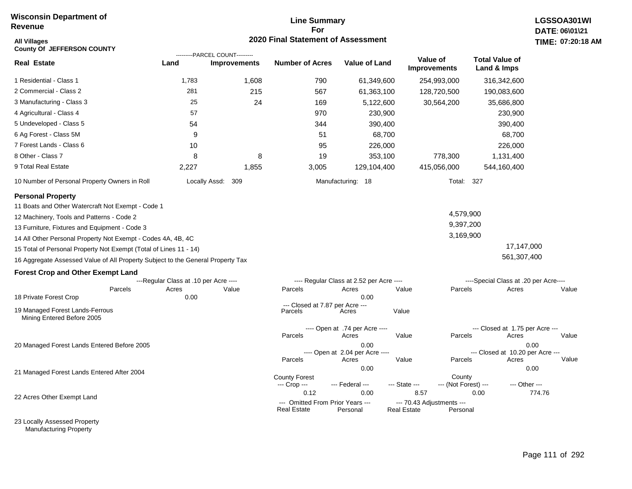#### **Line Summary For 2020 Final Statement of Assessment**

| All Villages<br><b>County Of JEFFERSON COUNTY</b>                               |                                       |                                                       | 2020 Final Statement of Assessment                     |                                          |                    |                                       |                                          | TIME: 07:20 |
|---------------------------------------------------------------------------------|---------------------------------------|-------------------------------------------------------|--------------------------------------------------------|------------------------------------------|--------------------|---------------------------------------|------------------------------------------|-------------|
| <b>Real Estate</b>                                                              | Land                                  | ---------PARCEL COUNT---------<br><b>Improvements</b> | <b>Number of Acres</b>                                 | Value of Land                            |                    | Value of<br><b>Improvements</b>       | <b>Total Value of</b><br>Land & Imps     |             |
| 1 Residential - Class 1                                                         | 1,783                                 | 1,608                                                 | 790                                                    | 61,349,600                               |                    | 254,993,000                           | 316,342,600                              |             |
| 2 Commercial - Class 2                                                          | 281                                   | 215                                                   | 567                                                    | 61,363,100                               |                    | 128,720,500                           | 190,083,600                              |             |
| 3 Manufacturing - Class 3                                                       | 25                                    | 24                                                    | 169                                                    | 5,122,600                                |                    | 30,564,200                            | 35,686,800                               |             |
| 4 Agricultural - Class 4                                                        | 57                                    |                                                       | 970                                                    | 230,900                                  |                    |                                       | 230,900                                  |             |
| 5 Undeveloped - Class 5                                                         | 54                                    |                                                       | 344                                                    | 390,400                                  |                    |                                       | 390,400                                  |             |
| 6 Ag Forest - Class 5M                                                          | 9                                     |                                                       | 51                                                     |                                          | 68,700             |                                       | 68,700                                   |             |
| 7 Forest Lands - Class 6                                                        | 10                                    |                                                       | 95                                                     | 226,000                                  |                    |                                       | 226,000                                  |             |
| 8 Other - Class 7                                                               | 8                                     | 8                                                     | 19                                                     | 353,100                                  |                    | 778,300                               | 1,131,400                                |             |
| 9 Total Real Estate                                                             | 2.227                                 | 1,855                                                 | 3,005                                                  | 129,104,400                              |                    | 415,056,000                           | 544,160,400                              |             |
| 10 Number of Personal Property Owners in Roll                                   |                                       | Locally Assd:<br>309                                  |                                                        | Manufacturing: 18                        |                    | Total: 327                            |                                          |             |
| <b>Personal Property</b>                                                        |                                       |                                                       |                                                        |                                          |                    |                                       |                                          |             |
| 11 Boats and Other Watercraft Not Exempt - Code 1                               |                                       |                                                       |                                                        |                                          |                    |                                       |                                          |             |
| 12 Machinery, Tools and Patterns - Code 2                                       |                                       |                                                       |                                                        |                                          |                    | 4,579,900                             |                                          |             |
| 13 Furniture, Fixtures and Equipment - Code 3                                   |                                       |                                                       |                                                        |                                          |                    | 9,397,200                             |                                          |             |
| 14 All Other Personal Property Not Exempt - Codes 4A, 4B, 4C                    |                                       |                                                       |                                                        |                                          |                    | 3,169,900                             |                                          |             |
| 15 Total of Personal Property Not Exempt (Total of Lines 11 - 14)               |                                       |                                                       |                                                        |                                          |                    |                                       | 17,147,000                               |             |
| 16 Aggregate Assessed Value of All Property Subject to the General Property Tax |                                       |                                                       |                                                        |                                          |                    |                                       | 561,307,400                              |             |
| <b>Forest Crop and Other Exempt Land</b>                                        |                                       |                                                       |                                                        |                                          |                    |                                       |                                          |             |
|                                                                                 | ---Regular Class at .10 per Acre ---- |                                                       |                                                        | ---- Regular Class at 2.52 per Acre ---- |                    |                                       | ----Special Class at .20 per Acre----    |             |
| Parcels                                                                         | Acres                                 | Value                                                 | Parcels                                                | Acres                                    | Value              | Parcels                               | Acres                                    | Value       |
| 18 Private Forest Crop                                                          | 0.00                                  |                                                       | --- Closed at 7.87 per Acre ---                        | 0.00                                     |                    |                                       |                                          |             |
| 19 Managed Forest Lands-Ferrous<br>Mining Entered Before 2005                   |                                       |                                                       | Parcels                                                | Acres                                    | Value              |                                       |                                          |             |
|                                                                                 |                                       |                                                       |                                                        | ---- Open at .74 per Acre ----           |                    |                                       | --- Closed at 1.75 per Acre ---          |             |
|                                                                                 |                                       |                                                       | Parcels                                                | Acres                                    | Value              | Parcels                               | Acres                                    | Value       |
| 20 Managed Forest Lands Entered Before 2005                                     |                                       |                                                       |                                                        | 0.00<br>---- Open at 2.04 per Acre ----  |                    |                                       | 0.00<br>--- Closed at 10.20 per Acre --- |             |
|                                                                                 |                                       |                                                       | Parcels                                                | Acres                                    | Value              | Parcels                               | Acres                                    | Value       |
| 21 Managed Forest Lands Entered After 2004                                      |                                       |                                                       |                                                        | 0.00                                     |                    |                                       | 0.00                                     |             |
|                                                                                 |                                       |                                                       | <b>County Forest</b><br>--- Crop ---                   | --- Federal ---                          | --- State ---      | County<br>--- (Not Forest) ---        | --- Other ---                            |             |
|                                                                                 |                                       |                                                       | 0.12                                                   | 0.00                                     | 8.57               |                                       | 0.00                                     | 774.76      |
| 22 Acres Other Exempt Land                                                      |                                       |                                                       | --- Omitted From Prior Years ---<br><b>Real Estate</b> | Personal                                 | <b>Real Estate</b> | --- 70.43 Adjustments ---<br>Personal |                                          |             |

23 Locally Assessed Property Manufacturing Property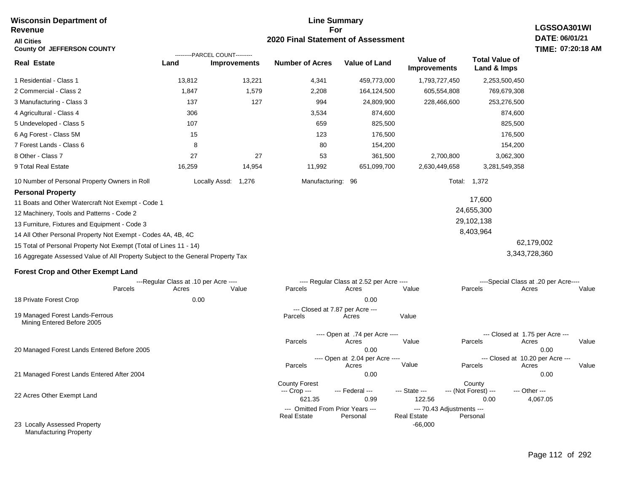#### **Line Summary For 2020 Final Statement of Assessment Wisconsin Department of Revenue All Cities County Of JEFFERSON COUNTY LGSSOA301WI DATE: 06/01/21 TIME: 07:20:18 AM Real Estate** 1 Residential - Class 1 2 Commercial - Class 2 3 Manufacturing - Class 3 4 Agricultural - Class 4 5 Undeveloped - Class 5 6 Ag Forest - Class 5M 7 Forest Lands - Class 6 8 Other - Class 7 9 Total Real Estate 10 Number of Personal Property Owners in Roll 13,812 13,221 4,341 459,773,000 1,793,727,450 2,253,500,450 **Land Improvements Number of Acres Value of Land Value of Improvements Total Value of Land & Imps** 1,847 137 306 107 15 8 27 16,259 1,579 127 27 14,954 2,208 994 3,534 659 123 80 53 11,992 164,124,500 24,809,900 874,600 825,500 176,500 154,200 361,500 651,099,700 605,554,808 228,466,600 2,700,800 2,630,449,658 769,679,308 253,276,500 874,600 825,500 176,500 154,200 3,062,300 3,281,549,358 Locally Assd: 1,276 Manufacturing: 96 Total: 1,372 **Personal Property** 11 Boats and Other Watercraft Not Exempt - Code 1 12 Machinery, Tools and Patterns - Code 2 13 Furniture, Fixtures and Equipment - Code 3 14 All Other Personal Property Not Exempt - Codes 4A, 4B, 4C 15 Total of Personal Property Not Exempt (Total of Lines 11 - 14) 16 Aggregate Assessed Value of All Property Subject to the General Property Tax 17,600 24,655,300 29,102,138 8,403,964 62,179,002 3,343,728,360 **Forest Crop and Other Exempt Land** ---Regular Class at .10 per Acre ---- ---- Regular Class at 2.52 per Acre ---- ----Special Class at .20 per Acre---- 18 Private Forest Crop 20 Managed Forest Lands Entered Before 2005 21 Managed Forest Lands Entered After 2004 Parcels 0.00 0.00 Acres Value Parcels Acres Value Parcels Acres Value ---- Open at .74 per Acre<br>Acres Parcels 0.00 0.00 Acres Value Parcels Acres Value --- Closed at 1.75 per Acre --- ---- Open at 2.04 per Acre ---<br>Acres Value Parcels Parcels Acres Acres Parcels 0.00 0.00 Acres **Value Parcels Acres Value** County Forest County County --- Crop --- 621.35 0.99 122.56 0.00 4,067.05 --- Federal --- - --- State --- --- (Not Forest) --- --- Other ---22 Acres Other Exempt Land --- Omitted From Prior Years --- --- --- 70.43 Adjustments ---<br>eal Estate --- --- --- Real Estate --- Personal -66,000 **Real Estate** ---------PARCEL COUNT--------- 19 Managed Forest Lands-Ferrous Mining Entered Before 2005 --- Closed at 7.87 per Acre ---<br>rcels Acres Parcels **Acres** Value

23 Locally Assessed Property Manufacturing Property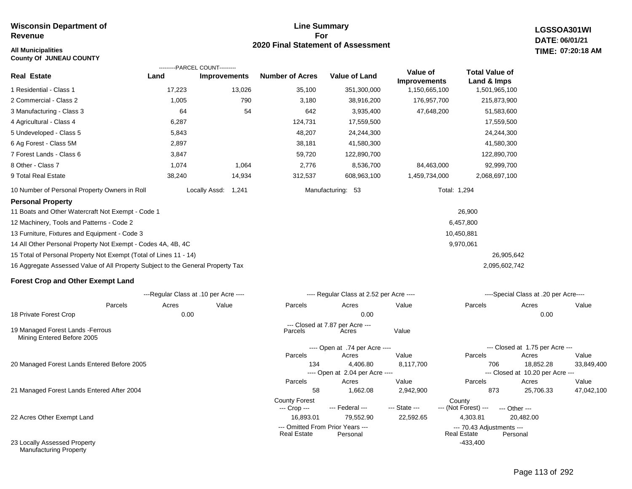#### **All Municipalities TIME:**

**County Of JUNEAU COUNTY**

#### **Line Summary For 2020 Final Statement of Assessment**

**LGSSOA301WI DATE: 06/01/21 07:20:18 AM**

|                                                                                 | ---------PARCEL COUNT---------        |                     |                           |                                          |                                 |                                      |                                           |            |
|---------------------------------------------------------------------------------|---------------------------------------|---------------------|---------------------------|------------------------------------------|---------------------------------|--------------------------------------|-------------------------------------------|------------|
| <b>Real Estate</b>                                                              | Land                                  | <b>Improvements</b> | <b>Number of Acres</b>    | <b>Value of Land</b>                     | Value of<br><b>Improvements</b> | <b>Total Value of</b><br>Land & Imps |                                           |            |
| 1 Residential - Class 1                                                         | 17,223                                | 13,026              | 35,100                    | 351,300,000                              | 1,150,665,100                   | 1,501,965,100                        |                                           |            |
| 2 Commercial - Class 2                                                          | 1,005                                 | 790                 | 3,180                     | 38,916,200                               | 176,957,700                     | 215,873,900                          |                                           |            |
| 3 Manufacturing - Class 3                                                       | 64                                    | 54                  | 642                       | 3,935,400                                | 47,648,200                      | 51,583,600                           |                                           |            |
| 4 Agricultural - Class 4                                                        | 6,287                                 |                     | 124,731                   | 17,559,500                               |                                 | 17,559,500                           |                                           |            |
| 5 Undeveloped - Class 5                                                         | 5,843                                 |                     | 48,207                    | 24,244,300                               |                                 | 24,244,300                           |                                           |            |
| 6 Ag Forest - Class 5M                                                          | 2,897                                 |                     | 38,181                    | 41,580,300                               |                                 | 41,580,300                           |                                           |            |
| 7 Forest Lands - Class 6                                                        | 3,847                                 |                     | 59,720                    | 122,890,700                              |                                 | 122,890,700                          |                                           |            |
| 8 Other - Class 7                                                               | 1,074                                 | 1,064               | 2,776                     | 8,536,700                                | 84,463,000                      | 92,999,700                           |                                           |            |
| 9 Total Real Estate                                                             | 38,240                                | 14,934              | 312,537                   | 608,963,100                              | 1,459,734,000                   | 2,068,697,100                        |                                           |            |
| 10 Number of Personal Property Owners in Roll                                   |                                       | Locally Assd: 1,241 |                           | Manufacturing: 53                        |                                 | Total: 1,294                         |                                           |            |
| <b>Personal Property</b>                                                        |                                       |                     |                           |                                          |                                 |                                      |                                           |            |
| 11 Boats and Other Watercraft Not Exempt - Code 1                               |                                       |                     |                           |                                          |                                 | 26,900                               |                                           |            |
| 12 Machinery, Tools and Patterns - Code 2                                       |                                       |                     |                           |                                          |                                 | 6,457,800                            |                                           |            |
| 13 Furniture, Fixtures and Equipment - Code 3                                   |                                       |                     |                           |                                          |                                 | 10,450,881                           |                                           |            |
| 14 All Other Personal Property Not Exempt - Codes 4A, 4B, 4C                    |                                       |                     |                           |                                          |                                 | 9,970,061                            |                                           |            |
| 15 Total of Personal Property Not Exempt (Total of Lines 11 - 14)               |                                       |                     |                           |                                          |                                 |                                      | 26,905,642                                |            |
| 16 Aggregate Assessed Value of All Property Subject to the General Property Tax |                                       |                     |                           |                                          |                                 | 2,095,602,742                        |                                           |            |
| <b>Forest Crop and Other Exempt Land</b>                                        |                                       |                     |                           |                                          |                                 |                                      |                                           |            |
|                                                                                 | ---Regular Class at .10 per Acre ---- |                     |                           | ---- Regular Class at 2.52 per Acre ---- |                                 |                                      | ----Special Class at .20 per Acre----     |            |
| Parcels                                                                         | Acres                                 | Value               | Parcels                   | Acres                                    | Value                           | Parcels                              | Acres                                     | Value      |
| 18 Private Forest Crop                                                          | 0.00                                  |                     |                           | 0.00                                     |                                 |                                      | 0.00                                      |            |
| 19 Managed Forest Lands - Ferrous<br>Mining Entered Before 2005                 |                                       |                     | Parcels                   | --- Closed at 7.87 per Acre ---<br>Acres | Value                           |                                      |                                           |            |
|                                                                                 |                                       |                     |                           | ---- Open at .74 per Acre ----           |                                 |                                      | --- Closed at 1.75 per Acre ---           |            |
|                                                                                 |                                       |                     | Parcels                   | Acres                                    | Value                           | Parcels                              | Acres                                     | Value      |
| 20 Managed Forest Lands Entered Before 2005                                     |                                       |                     | 134                       | 4,406.80                                 | 8,117,700                       | 706                                  | 18,852.28                                 | 33,849,400 |
|                                                                                 |                                       |                     | Parcels                   | ---- Open at 2.04 per Acre ----<br>Acres | Value                           | Parcels                              | --- Closed at 10.20 per Acre ---<br>Acres | Value      |
| 21 Managed Forest Lands Entered After 2004                                      |                                       |                     | 58                        | 1,662.08                                 | 2,942,900                       | 873                                  | 25,706.33                                 | 47,042,100 |
|                                                                                 |                                       |                     | <b>County Forest</b>      | --- Federal ---                          | --- State ---                   | County<br>--- (Not Forest) ---       |                                           |            |
| 22 Acres Other Exempt Land                                                      |                                       |                     | --- Crop ---<br>16,893.01 | 79,552.90                                | 22,592.65                       | 4,303.81                             | --- Other ---<br>20,482.00                |            |
|                                                                                 |                                       |                     |                           | --- Omitted From Prior Years ---         |                                 | --- 70.43 Adjustments ---            |                                           |            |
| 23 Locally Assessed Property                                                    |                                       |                     | <b>Real Estate</b>        | Personal                                 |                                 | <b>Real Estate</b><br>$-433.400$     | Personal                                  |            |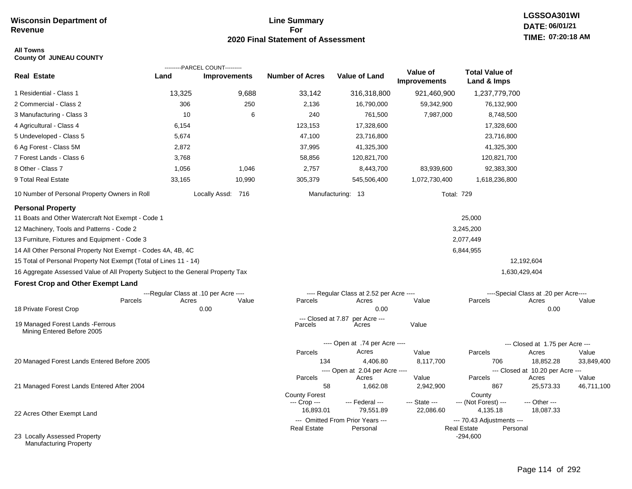#### **Line Summary For 2020 Final Statement of Assessment**

## **All Towns**

| <b>County Of JUNEAU COUNTY</b> |  |  |
|--------------------------------|--|--|
|--------------------------------|--|--|

|                                                                                 |        | ---------PARCEL COUNT---------        |                                  |                                              |                                 |                                                             |                                       |                     |
|---------------------------------------------------------------------------------|--------|---------------------------------------|----------------------------------|----------------------------------------------|---------------------------------|-------------------------------------------------------------|---------------------------------------|---------------------|
| <b>Real Estate</b>                                                              | Land   | <b>Improvements</b>                   | <b>Number of Acres</b>           | <b>Value of Land</b>                         | Value of<br><b>Improvements</b> | <b>Total Value of</b><br>Land & Imps                        |                                       |                     |
| 1 Residential - Class 1                                                         | 13,325 | 9,688                                 | 33,142                           | 316,318,800                                  | 921,460,900                     | 1,237,779,700                                               |                                       |                     |
| 2 Commercial - Class 2                                                          | 306    | 250                                   | 2,136                            | 16,790,000                                   | 59,342,900                      | 76,132,900                                                  |                                       |                     |
| 3 Manufacturing - Class 3                                                       | 10     | 6                                     | 240                              | 761,500                                      | 7,987,000                       | 8,748,500                                                   |                                       |                     |
| 4 Agricultural - Class 4                                                        | 6,154  |                                       | 123,153                          | 17,328,600                                   |                                 | 17,328,600                                                  |                                       |                     |
| 5 Undeveloped - Class 5                                                         | 5,674  |                                       | 47,100                           | 23,716,800                                   |                                 | 23,716,800                                                  |                                       |                     |
| 6 Ag Forest - Class 5M                                                          | 2,872  |                                       | 37,995                           | 41,325,300                                   |                                 | 41,325,300                                                  |                                       |                     |
| 7 Forest Lands - Class 6                                                        | 3,768  |                                       | 58,856                           | 120,821,700                                  |                                 | 120,821,700                                                 |                                       |                     |
| 8 Other - Class 7                                                               | 1,056  | 1,046                                 | 2,757                            | 8,443,700                                    | 83,939,600                      | 92,383,300                                                  |                                       |                     |
| 9 Total Real Estate                                                             | 33,165 | 10,990                                | 305,379                          | 545,506,400                                  | 1,072,730,400                   | 1,618,236,800                                               |                                       |                     |
| 10 Number of Personal Property Owners in Roll                                   |        | Locally Assd: 716                     |                                  | Manufacturing: 13                            | <b>Total: 729</b>               |                                                             |                                       |                     |
| <b>Personal Property</b>                                                        |        |                                       |                                  |                                              |                                 |                                                             |                                       |                     |
| 11 Boats and Other Watercraft Not Exempt - Code 1                               |        |                                       |                                  |                                              |                                 | 25,000                                                      |                                       |                     |
| 12 Machinery, Tools and Patterns - Code 2                                       |        |                                       |                                  |                                              |                                 | 3,245,200                                                   |                                       |                     |
| 13 Furniture, Fixtures and Equipment - Code 3                                   |        |                                       |                                  |                                              |                                 | 2,077,449                                                   |                                       |                     |
| 14 All Other Personal Property Not Exempt - Codes 4A, 4B, 4C                    |        |                                       |                                  |                                              |                                 | 6,844,955                                                   |                                       |                     |
| 15 Total of Personal Property Not Exempt (Total of Lines 11 - 14)               |        |                                       |                                  |                                              |                                 |                                                             | 12,192,604                            |                     |
| 16 Aggregate Assessed Value of All Property Subject to the General Property Tax |        |                                       |                                  |                                              |                                 |                                                             | 1,630,429,404                         |                     |
| <b>Forest Crop and Other Exempt Land</b>                                        |        |                                       |                                  |                                              |                                 |                                                             |                                       |                     |
|                                                                                 |        | ---Regular Class at .10 per Acre ---- |                                  | ---- Regular Class at 2.52 per Acre ----     |                                 |                                                             | ----Special Class at .20 per Acre---- |                     |
| Parcels                                                                         | Acres  | Value                                 | Parcels                          | Acres                                        | Value                           | Parcels                                                     | Acres                                 | Value               |
| 18 Private Forest Crop                                                          |        | 0.00                                  |                                  | 0.00                                         |                                 |                                                             | 0.00                                  |                     |
| 19 Managed Forest Lands - Ferrous<br>Mining Entered Before 2005                 |        |                                       | $-$ -Closed at $7.87$<br>Parcels | per Acre ---<br>Acres                        | Value                           |                                                             |                                       |                     |
|                                                                                 |        |                                       |                                  | ---- Open at .74 per Acre ----               |                                 |                                                             | --- Closed at 1.75 per Acre ---       |                     |
|                                                                                 |        |                                       | Parcels                          | Acres                                        | Value                           | Parcels                                                     | Acres                                 | Value               |
| 20 Managed Forest Lands Entered Before 2005                                     |        |                                       | 134                              | 4,406.80                                     | 8,117,700                       | 706                                                         | 18,852.28                             | 33,849,400          |
|                                                                                 |        |                                       |                                  | ---- Open at 2.04 per Acre ----              |                                 |                                                             | --- Closed at 10.20 per Acre ---      |                     |
| 21 Managed Forest Lands Entered After 2004                                      |        |                                       | Parcels<br>58                    | Acres<br>1,662.08                            | Value<br>2,942,900              | Parcels<br>867                                              | Acres<br>25,573.33                    | Value<br>46,711,100 |
|                                                                                 |        |                                       | <b>County Forest</b>             |                                              |                                 | County                                                      |                                       |                     |
|                                                                                 |        |                                       | --- Crop ---                     | --- Federal ---                              | --- State ---                   | --- (Not Forest) ---                                        | --- Other ---                         |                     |
| 22 Acres Other Exempt Land                                                      |        |                                       | 16,893.01                        | 79,551.89                                    | 22,086.60                       | 4,135.18                                                    | 18,087.33                             |                     |
|                                                                                 |        |                                       | <b>Real Estate</b>               | --- Omitted From Prior Years ---<br>Personal |                                 | --- 70.43 Adjustments ---<br><b>Real Estate</b><br>Personal |                                       |                     |
| 23 Locally Assessed Property<br><b>Manufacturing Property</b>                   |        |                                       |                                  |                                              |                                 | $-294,600$                                                  |                                       |                     |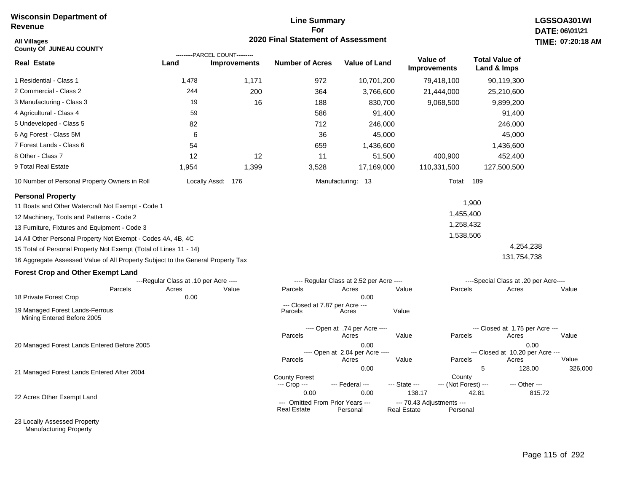#### **Line Summary For 2020 Final Statement of Assessment**

| <b>All Villages</b><br><b>County Of JUNEAU COUNTY</b>                           |                                       | ---------PARCEL COUNT--------- | 2020 Final Statement of Assessment                     |                                          |                                                 |                                |                                       |               | TIME: 07:20:18 |
|---------------------------------------------------------------------------------|---------------------------------------|--------------------------------|--------------------------------------------------------|------------------------------------------|-------------------------------------------------|--------------------------------|---------------------------------------|---------------|----------------|
| <b>Real Estate</b>                                                              | Land                                  | <b>Improvements</b>            | <b>Number of Acres</b>                                 | <b>Value of Land</b>                     | Value of<br><b>Improvements</b>                 |                                | <b>Total Value of</b><br>Land & Imps  |               |                |
| 1 Residential - Class 1                                                         | 1,478                                 | 1,171                          | 972                                                    | 10,701,200                               |                                                 | 79,418,100                     | 90,119,300                            |               |                |
| 2 Commercial - Class 2                                                          | 244                                   | 200                            | 364                                                    | 3,766,600                                |                                                 | 21,444,000                     | 25,210,600                            |               |                |
| 3 Manufacturing - Class 3                                                       | 19                                    | 16                             | 188                                                    | 830,700                                  |                                                 | 9,068,500                      | 9,899,200                             |               |                |
| 4 Agricultural - Class 4                                                        | 59                                    |                                | 586                                                    | 91,400                                   |                                                 |                                | 91,400                                |               |                |
| 5 Undeveloped - Class 5                                                         | 82                                    |                                | 712                                                    | 246,000                                  |                                                 |                                | 246,000                               |               |                |
| 6 Ag Forest - Class 5M                                                          | 6                                     |                                | 36                                                     | 45,000                                   |                                                 |                                | 45,000                                |               |                |
| 7 Forest Lands - Class 6                                                        | 54                                    |                                | 659                                                    | 1,436,600                                |                                                 |                                | 1,436,600                             |               |                |
| 8 Other - Class 7                                                               | 12                                    | 12                             | 11                                                     | 51,500                                   |                                                 | 400,900                        | 452,400                               |               |                |
| 9 Total Real Estate                                                             | 1,954                                 | 1,399                          | 3,528                                                  | 17,169,000                               |                                                 | 110,331,500                    | 127,500,500                           |               |                |
| 10 Number of Personal Property Owners in Roll                                   |                                       | Locally Assd: 176              |                                                        | Manufacturing: 13                        |                                                 | <b>Total: 189</b>              |                                       |               |                |
| <b>Personal Property</b>                                                        |                                       |                                |                                                        |                                          |                                                 |                                |                                       |               |                |
| 11 Boats and Other Watercraft Not Exempt - Code 1                               |                                       |                                |                                                        |                                          |                                                 |                                | 1,900                                 |               |                |
| 12 Machinery, Tools and Patterns - Code 2                                       |                                       |                                |                                                        |                                          |                                                 | 1,455,400                      |                                       |               |                |
| 13 Furniture, Fixtures and Equipment - Code 3                                   |                                       |                                |                                                        |                                          |                                                 | 1,258,432                      |                                       |               |                |
| 14 All Other Personal Property Not Exempt - Codes 4A, 4B, 4C                    |                                       |                                |                                                        |                                          |                                                 | 1,538,506                      |                                       |               |                |
| 15 Total of Personal Property Not Exempt (Total of Lines 11 - 14)               |                                       |                                |                                                        |                                          |                                                 |                                |                                       | 4,254,238     |                |
| 16 Aggregate Assessed Value of All Property Subject to the General Property Tax |                                       |                                |                                                        |                                          |                                                 |                                |                                       | 131,754,738   |                |
| <b>Forest Crop and Other Exempt Land</b>                                        |                                       |                                |                                                        |                                          |                                                 |                                |                                       |               |                |
|                                                                                 | ---Regular Class at .10 per Acre ---- |                                |                                                        | ---- Regular Class at 2.52 per Acre ---- |                                                 |                                | ----Special Class at .20 per Acre---- |               |                |
| Parcels                                                                         | Acres                                 | Value                          | Parcels                                                | Acres<br>0.00                            | Value                                           | Parcels                        | Acres                                 |               | Value          |
| 18 Private Forest Crop                                                          | 0.00                                  |                                | --- Closed at 7.87 per Acre ---                        |                                          |                                                 |                                |                                       |               |                |
| 19 Managed Forest Lands-Ferrous<br>Mining Entered Before 2005                   |                                       |                                | Parcels                                                | Acres                                    | Value                                           |                                |                                       |               |                |
|                                                                                 |                                       |                                |                                                        | ---- Open at .74 per Acre ----           |                                                 |                                | --- Closed at 1.75 per Acre ---       |               |                |
|                                                                                 |                                       |                                | Parcels                                                | Acres                                    | Value                                           | Parcels                        | Acres                                 |               | Value          |
| 20 Managed Forest Lands Entered Before 2005                                     |                                       |                                |                                                        | 0.00<br>---- Open at 2.04 per Acre ----  |                                                 |                                | --- Closed at 10.20 per Acre ---      | 0.00          |                |
|                                                                                 |                                       |                                | Parcels                                                | Acres                                    | Value                                           | Parcels                        | Acres                                 |               | Value          |
| 21 Managed Forest Lands Entered After 2004                                      |                                       |                                |                                                        | 0.00                                     |                                                 |                                | 5                                     | 128.00        | 326,000        |
|                                                                                 |                                       |                                | <b>County Forest</b><br>--- Crop ---                   | --- Federal ---                          | --- State ---                                   | County<br>--- (Not Forest) --- |                                       | --- Other --- |                |
| 22 Acres Other Exempt Land                                                      |                                       |                                | 0.00                                                   | 0.00                                     | 138.17                                          |                                | 42.81                                 | 815.72        |                |
|                                                                                 |                                       |                                | --- Omitted From Prior Years ---<br><b>Real Estate</b> | Personal                                 | --- 70.43 Adjustments ---<br><b>Real Estate</b> | Personal                       |                                       |               |                |

23 Locally Assessed Property Manufacturing Property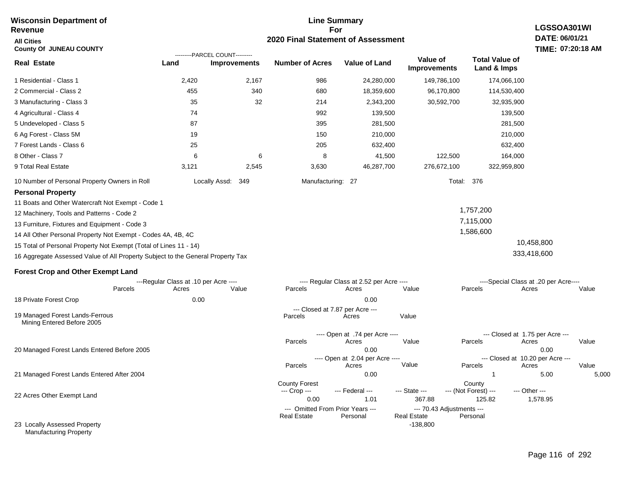#### **Line Summary For 2020 Final Statement of Assessment Wisconsin Department of Revenue All Cities County Of JUNEAU COUNTY LGSSOA301WI DATE: 06/01/21 TIME: 07:20:18 AM Real Estate** 1 Residential - Class 1 2 Commercial - Class 2 3 Manufacturing - Class 3 4 Agricultural - Class 4 5 Undeveloped - Class 5 6 Ag Forest - Class 5M 7 Forest Lands - Class 6 8 Other - Class 7 9 Total Real Estate 10 Number of Personal Property Owners in Roll 2,420 2,167 986 24,280,000 149,786,100 174,066,100 **Land Improvements Number of Acres Value of Land Value of Improvements Total Value of Land & Imps** 455 35 74 87 19 25 6 3,121 340 32 6 2,545 680 214 992 395 150 205 8 3,630 18,359,600 2,343,200 139,500 281,500 210,000 632,400 41,500 46,287,700 96,170,800 30,592,700 122,500 276,672,100 114,530,400 32,935,900 139,500 281,500 210,000 632,400 164,000 322,959,800 Locally Assd: 349 Manufacturing: 27 Total: 376 **Personal Property** 11 Boats and Other Watercraft Not Exempt - Code 1 12 Machinery, Tools and Patterns - Code 2 13 Furniture, Fixtures and Equipment - Code 3 14 All Other Personal Property Not Exempt - Codes 4A, 4B, 4C 15 Total of Personal Property Not Exempt (Total of Lines 11 - 14) 16 Aggregate Assessed Value of All Property Subject to the General Property Tax 1,757,200 7,115,000 1,586,600 10,458,800 333,418,600 **Forest Crop and Other Exempt Land** ---Regular Class at .10 per Acre ---- ---- Regular Class at 2.52 per Acre ---- ----Special Class at .20 per Acre---- 18 Private Forest Crop 20 Managed Forest Lands Entered Before 2005 21 Managed Forest Lands Entered After 2004 Parcels 0.00 0.00 Acres Value Parcels Acres Value Parcels Acres Value ---- Open at .74 per Acre<br>Acres Parcels 0.00 0.00 Acres Value Parcels Acres Value --- Closed at 1.75 per Acre --- ---- Open at 2.04 per Acre ---<br>Acres Value Parcels Parcels Acres Acres Parcels 0.00 1 5.00 5,000 Acres **Value Parcels Acres Value** ---------PARCEL COUNT--------- 19 Managed Forest Lands-Ferrous Mining Entered Before 2005 --- Closed at 7.87 per Acre ---<br>rcels Acres Parcels **Acres** Value

County Forest County County --- Crop --- 0.00 1.01 367.88 125.82 1,578.95 --- Federal --- - --- State --- --- (Not Forest) --- --- Other ------ Omitted From Prior Years ---<br>Real Estate Personal Personal Real Estate Personal -138,800 **Real Estate** 

23 Locally Assessed Property Manufacturing Property

22 Acres Other Exempt Land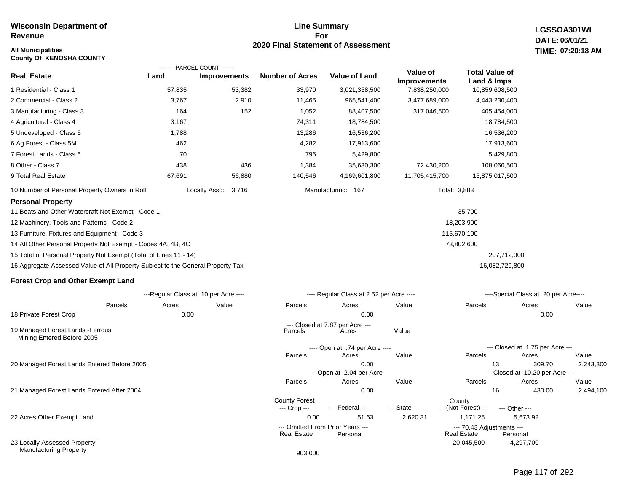## **All Municipalities TIME:**

**County Of KENOSHA COUNTY**

#### **Line Summary For 2020 Final Statement of Assessment**

**LGSSOA301WI DATE: 06/01/21 07:20:18 AM**

|                                                                                 |        | ---------PARCEL COUNT---------        |        |                                      |                                          |                                 |                                      |                                           |           |
|---------------------------------------------------------------------------------|--------|---------------------------------------|--------|--------------------------------------|------------------------------------------|---------------------------------|--------------------------------------|-------------------------------------------|-----------|
| <b>Real Estate</b>                                                              | Land   | <b>Improvements</b>                   |        | <b>Number of Acres</b>               | <b>Value of Land</b>                     | Value of<br><b>Improvements</b> | <b>Total Value of</b><br>Land & Imps |                                           |           |
| 1 Residential - Class 1                                                         | 57,835 |                                       | 53,382 | 33,970                               | 3,021,358,500                            | 7,838,250,000                   | 10,859,608,500                       |                                           |           |
| 2 Commercial - Class 2                                                          | 3,767  |                                       | 2,910  | 11,465                               | 965,541,400                              | 3,477,689,000                   | 4,443,230,400                        |                                           |           |
| 3 Manufacturing - Class 3                                                       | 164    |                                       | 152    | 1,052                                | 88,407,500                               | 317,046,500                     | 405,454,000                          |                                           |           |
| 4 Agricultural - Class 4                                                        | 3,167  |                                       |        | 74,311                               | 18,784,500                               |                                 | 18,784,500                           |                                           |           |
| 5 Undeveloped - Class 5                                                         | 1,788  |                                       |        | 13,286                               | 16,536,200                               |                                 | 16,536,200                           |                                           |           |
| 6 Ag Forest - Class 5M                                                          | 462    |                                       |        | 4,282                                | 17,913,600                               |                                 | 17,913,600                           |                                           |           |
| 7 Forest Lands - Class 6                                                        | 70     |                                       |        | 796                                  | 5,429,800                                |                                 | 5,429,800                            |                                           |           |
| 8 Other - Class 7                                                               | 438    |                                       | 436    | 1,384                                | 35,630,300                               | 72,430,200                      | 108,060,500                          |                                           |           |
| 9 Total Real Estate                                                             | 67,691 | 56,880                                |        | 140,546                              | 4,169,601,800                            | 11,705,415,700                  | 15,875,017,500                       |                                           |           |
| 10 Number of Personal Property Owners in Roll                                   |        | Locally Assd:<br>3,716                |        |                                      | Manufacturing: 167                       |                                 | Total: 3,883                         |                                           |           |
| <b>Personal Property</b>                                                        |        |                                       |        |                                      |                                          |                                 |                                      |                                           |           |
| 11 Boats and Other Watercraft Not Exempt - Code 1                               |        |                                       |        |                                      |                                          |                                 | 35,700                               |                                           |           |
| 12 Machinery, Tools and Patterns - Code 2                                       |        |                                       |        |                                      |                                          |                                 | 18,203,900                           |                                           |           |
| 13 Furniture, Fixtures and Equipment - Code 3                                   |        |                                       |        |                                      |                                          |                                 | 115,670,100                          |                                           |           |
| 14 All Other Personal Property Not Exempt - Codes 4A, 4B, 4C                    |        |                                       |        |                                      |                                          |                                 | 73,802,600                           |                                           |           |
| 15 Total of Personal Property Not Exempt (Total of Lines 11 - 14)               |        |                                       |        |                                      |                                          |                                 | 207,712,300                          |                                           |           |
| 16 Aggregate Assessed Value of All Property Subject to the General Property Tax |        |                                       |        |                                      |                                          |                                 | 16,082,729,800                       |                                           |           |
| <b>Forest Crop and Other Exempt Land</b>                                        |        |                                       |        |                                      |                                          |                                 |                                      |                                           |           |
|                                                                                 |        | ---Regular Class at .10 per Acre ---- |        |                                      | ---- Regular Class at 2.52 per Acre ---- |                                 |                                      | ----Special Class at .20 per Acre----     |           |
| Parcels                                                                         | Acres  | Value                                 |        | Parcels                              | Acres                                    | Value                           | Parcels                              | Acres                                     | Value     |
| 18 Private Forest Crop                                                          | 0.00   |                                       |        |                                      | 0.00                                     |                                 |                                      | 0.00                                      |           |
| 19 Managed Forest Lands - Ferrous<br>Mining Entered Before 2005                 |        |                                       |        | Parcels                              | --- Closed at 7.87 per Acre ---<br>Acres | Value                           |                                      |                                           |           |
|                                                                                 |        |                                       |        |                                      | ---- Open at .74 per Acre ----           |                                 |                                      | --- Closed at 1.75 per Acre ---           |           |
|                                                                                 |        |                                       |        | Parcels                              | Acres                                    | Value                           | Parcels                              | Acres                                     | Value     |
| 20 Managed Forest Lands Entered Before 2005                                     |        |                                       |        |                                      | 0.00                                     |                                 | 13                                   | 309.70                                    | 2,243,300 |
|                                                                                 |        |                                       |        | Parcels                              | ---- Open at 2.04 per Acre ----<br>Acres | Value                           | Parcels                              | --- Closed at 10.20 per Acre ---<br>Acres | Value     |
| 21 Managed Forest Lands Entered After 2004                                      |        |                                       |        |                                      | 0.00                                     |                                 | 16                                   | 430.00                                    | 2,494,100 |
|                                                                                 |        |                                       |        | <b>County Forest</b><br>--- Crop --- | --- Federal ---                          | --- State ---                   | County<br>--- (Not Forest) ---       | --- Other ---                             |           |

22 Acres Other Exempt Land

23 Locally Assessed Property Manufacturing Property

0.00 51.63 2,620.31 1,171.25 5,673.92

--- Omitted From Prior Years --- --- 70.43 Adjustments ---

-20,045,500

**Real Estate** 

-4,297,700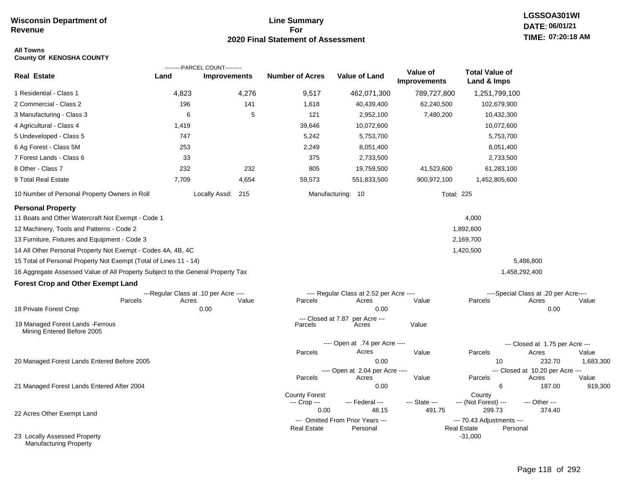#### **Line Summary For 2020 Final Statement of Assessment**

## **LGSSOA301WI DATE: 06/01/21 TIME: 07:20:18 AM**

#### **All Towns County Of KENOSHA COUNTY**

| <b>Real Estate</b><br><b>Number of Acres</b><br><b>Value of Land</b><br>Land<br><b>Improvements</b><br>Land & Imps<br><b>Improvements</b><br>4,823<br>4,276<br>9,517<br>1 Residential - Class 1<br>462,071,300<br>789,727,800<br>1,251,799,100<br>196<br>141<br>2 Commercial - Class 2<br>1,618<br>40,439,400<br>62,240,500<br>102,679,900<br>6<br>5<br>121<br>3 Manufacturing - Class 3<br>2,952,100<br>7,480,200<br>10,432,300<br>4 Agricultural - Class 4<br>1,419<br>39,646<br>10,072,600<br>10,072,600<br>747<br>5,242<br>5 Undeveloped - Class 5<br>5,753,700<br>5,753,700<br>253<br>6 Ag Forest - Class 5M<br>2,249<br>8,051,400<br>8,051,400<br>7 Forest Lands - Class 6<br>33<br>375<br>2,733,500<br>2,733,500<br>8 Other - Class 7<br>232<br>232<br>805<br>19,759,500<br>41,523,600<br>61,283,100<br>9 Total Real Estate<br>7,709<br>4,654<br>59,573<br>551,833,500<br>900,972,100<br>1,452,805,600<br>10 Number of Personal Property Owners in Roll<br>Locally Assd: 215<br>Manufacturing: 10<br><b>Total: 225</b><br><b>Personal Property</b><br>11 Boats and Other Watercraft Not Exempt - Code 1<br>4,000<br>12 Machinery, Tools and Patterns - Code 2<br>1,892,600<br>13 Furniture, Fixtures and Equipment - Code 3<br>2,169,700<br>1,420,500<br>14 All Other Personal Property Not Exempt - Codes 4A, 4B, 4C<br>15 Total of Personal Property Not Exempt (Total of Lines 11 - 14)<br>5,486,800<br>16 Aggregate Assessed Value of All Property Subject to the General Property Tax<br>1,458,292,400<br><b>Forest Crop and Other Exempt Land</b><br>---Regular Class at .10 per Acre ----<br>---- Regular Class at 2.52 per Acre ----<br>----Special Class at .20 per Acre----<br>Acres<br>Value<br>Parcels<br>Acres<br>Value<br>Parcels<br>Value<br>Parcels<br>Acres<br>0.00<br>18 Private Forest Crop<br>0.00<br>0.00<br>--- Closed at 7.87<br>per Acre ---<br>19 Managed Forest Lands - Ferrous<br>Value<br>Parcels<br>Acres<br>Mining Entered Before 2005<br>---- Open at .74 per Acre ----<br>--- Closed at 1.75 per Acre ---<br>Acres<br>Value<br>Parcels<br>Acres<br>Value<br>Parcels<br>20 Managed Forest Lands Entered Before 2005<br>0.00<br>232.70<br>10<br>---- Open at 2.04 per Acre ----<br>--- Closed at 10.20 per Acre ---<br>Parcels<br>Acres<br>Value<br>Parcels<br>Acres<br>Value<br>0.00<br>6<br>187.00<br>21 Managed Forest Lands Entered After 2004<br><b>County Forest</b><br>County<br>--- (Not Forest) ---<br>--- Crop ---<br>--- Federal ---<br>--- State ---<br>--- Other ---<br>299.73<br>0.00<br>48.15<br>491.75<br>374.40<br>22 Acres Other Exempt Land<br>--- Omitted From Prior Years ---<br>--- 70.43 Adjustments ---<br><b>Real Estate</b><br>Personal<br>Real Estate<br>Personal |                              | ---------PARCEL COUNT--------- |  |          |                       |                      |
|-----------------------------------------------------------------------------------------------------------------------------------------------------------------------------------------------------------------------------------------------------------------------------------------------------------------------------------------------------------------------------------------------------------------------------------------------------------------------------------------------------------------------------------------------------------------------------------------------------------------------------------------------------------------------------------------------------------------------------------------------------------------------------------------------------------------------------------------------------------------------------------------------------------------------------------------------------------------------------------------------------------------------------------------------------------------------------------------------------------------------------------------------------------------------------------------------------------------------------------------------------------------------------------------------------------------------------------------------------------------------------------------------------------------------------------------------------------------------------------------------------------------------------------------------------------------------------------------------------------------------------------------------------------------------------------------------------------------------------------------------------------------------------------------------------------------------------------------------------------------------------------------------------------------------------------------------------------------------------------------------------------------------------------------------------------------------------------------------------------------------------------------------------------------------------------------------------------------------------------------------------------------------------------------------------------------------------------------------------------------------------------------------------------------------------------------------------------------------------------------------------------------------------------------------------------------------------------------------------------------------------------------------------------------------------------------------------------------------------------|------------------------------|--------------------------------|--|----------|-----------------------|----------------------|
|                                                                                                                                                                                                                                                                                                                                                                                                                                                                                                                                                                                                                                                                                                                                                                                                                                                                                                                                                                                                                                                                                                                                                                                                                                                                                                                                                                                                                                                                                                                                                                                                                                                                                                                                                                                                                                                                                                                                                                                                                                                                                                                                                                                                                                                                                                                                                                                                                                                                                                                                                                                                                                                                                                                                   |                              |                                |  | Value of | <b>Total Value of</b> |                      |
|                                                                                                                                                                                                                                                                                                                                                                                                                                                                                                                                                                                                                                                                                                                                                                                                                                                                                                                                                                                                                                                                                                                                                                                                                                                                                                                                                                                                                                                                                                                                                                                                                                                                                                                                                                                                                                                                                                                                                                                                                                                                                                                                                                                                                                                                                                                                                                                                                                                                                                                                                                                                                                                                                                                                   |                              |                                |  |          |                       |                      |
|                                                                                                                                                                                                                                                                                                                                                                                                                                                                                                                                                                                                                                                                                                                                                                                                                                                                                                                                                                                                                                                                                                                                                                                                                                                                                                                                                                                                                                                                                                                                                                                                                                                                                                                                                                                                                                                                                                                                                                                                                                                                                                                                                                                                                                                                                                                                                                                                                                                                                                                                                                                                                                                                                                                                   |                              |                                |  |          |                       |                      |
|                                                                                                                                                                                                                                                                                                                                                                                                                                                                                                                                                                                                                                                                                                                                                                                                                                                                                                                                                                                                                                                                                                                                                                                                                                                                                                                                                                                                                                                                                                                                                                                                                                                                                                                                                                                                                                                                                                                                                                                                                                                                                                                                                                                                                                                                                                                                                                                                                                                                                                                                                                                                                                                                                                                                   |                              |                                |  |          |                       |                      |
|                                                                                                                                                                                                                                                                                                                                                                                                                                                                                                                                                                                                                                                                                                                                                                                                                                                                                                                                                                                                                                                                                                                                                                                                                                                                                                                                                                                                                                                                                                                                                                                                                                                                                                                                                                                                                                                                                                                                                                                                                                                                                                                                                                                                                                                                                                                                                                                                                                                                                                                                                                                                                                                                                                                                   |                              |                                |  |          |                       |                      |
|                                                                                                                                                                                                                                                                                                                                                                                                                                                                                                                                                                                                                                                                                                                                                                                                                                                                                                                                                                                                                                                                                                                                                                                                                                                                                                                                                                                                                                                                                                                                                                                                                                                                                                                                                                                                                                                                                                                                                                                                                                                                                                                                                                                                                                                                                                                                                                                                                                                                                                                                                                                                                                                                                                                                   |                              |                                |  |          |                       |                      |
|                                                                                                                                                                                                                                                                                                                                                                                                                                                                                                                                                                                                                                                                                                                                                                                                                                                                                                                                                                                                                                                                                                                                                                                                                                                                                                                                                                                                                                                                                                                                                                                                                                                                                                                                                                                                                                                                                                                                                                                                                                                                                                                                                                                                                                                                                                                                                                                                                                                                                                                                                                                                                                                                                                                                   |                              |                                |  |          |                       |                      |
|                                                                                                                                                                                                                                                                                                                                                                                                                                                                                                                                                                                                                                                                                                                                                                                                                                                                                                                                                                                                                                                                                                                                                                                                                                                                                                                                                                                                                                                                                                                                                                                                                                                                                                                                                                                                                                                                                                                                                                                                                                                                                                                                                                                                                                                                                                                                                                                                                                                                                                                                                                                                                                                                                                                                   |                              |                                |  |          |                       |                      |
|                                                                                                                                                                                                                                                                                                                                                                                                                                                                                                                                                                                                                                                                                                                                                                                                                                                                                                                                                                                                                                                                                                                                                                                                                                                                                                                                                                                                                                                                                                                                                                                                                                                                                                                                                                                                                                                                                                                                                                                                                                                                                                                                                                                                                                                                                                                                                                                                                                                                                                                                                                                                                                                                                                                                   |                              |                                |  |          |                       |                      |
|                                                                                                                                                                                                                                                                                                                                                                                                                                                                                                                                                                                                                                                                                                                                                                                                                                                                                                                                                                                                                                                                                                                                                                                                                                                                                                                                                                                                                                                                                                                                                                                                                                                                                                                                                                                                                                                                                                                                                                                                                                                                                                                                                                                                                                                                                                                                                                                                                                                                                                                                                                                                                                                                                                                                   |                              |                                |  |          |                       |                      |
|                                                                                                                                                                                                                                                                                                                                                                                                                                                                                                                                                                                                                                                                                                                                                                                                                                                                                                                                                                                                                                                                                                                                                                                                                                                                                                                                                                                                                                                                                                                                                                                                                                                                                                                                                                                                                                                                                                                                                                                                                                                                                                                                                                                                                                                                                                                                                                                                                                                                                                                                                                                                                                                                                                                                   |                              |                                |  |          |                       |                      |
|                                                                                                                                                                                                                                                                                                                                                                                                                                                                                                                                                                                                                                                                                                                                                                                                                                                                                                                                                                                                                                                                                                                                                                                                                                                                                                                                                                                                                                                                                                                                                                                                                                                                                                                                                                                                                                                                                                                                                                                                                                                                                                                                                                                                                                                                                                                                                                                                                                                                                                                                                                                                                                                                                                                                   |                              |                                |  |          |                       |                      |
|                                                                                                                                                                                                                                                                                                                                                                                                                                                                                                                                                                                                                                                                                                                                                                                                                                                                                                                                                                                                                                                                                                                                                                                                                                                                                                                                                                                                                                                                                                                                                                                                                                                                                                                                                                                                                                                                                                                                                                                                                                                                                                                                                                                                                                                                                                                                                                                                                                                                                                                                                                                                                                                                                                                                   |                              |                                |  |          |                       | 1,683,300<br>919,300 |
| Manufacturing Property                                                                                                                                                                                                                                                                                                                                                                                                                                                                                                                                                                                                                                                                                                                                                                                                                                                                                                                                                                                                                                                                                                                                                                                                                                                                                                                                                                                                                                                                                                                                                                                                                                                                                                                                                                                                                                                                                                                                                                                                                                                                                                                                                                                                                                                                                                                                                                                                                                                                                                                                                                                                                                                                                                            | 23 Locally Assessed Property |                                |  |          | $-31,000$             |                      |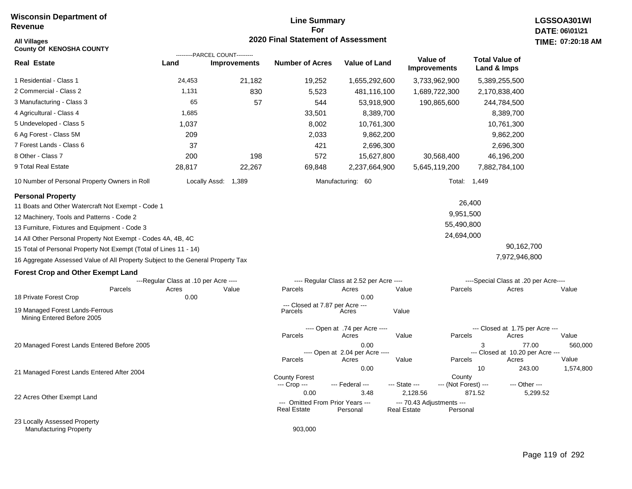## **Line Summary For 2020 Final Statement of Assessment All Villages TIME:**

| <b>County Of KENOSHA COUNTY</b>                                                 |                                       | ---------PARCEL COUNT--------- |                                                        |                                          |                                                 |                                |                                      |                                           |                    |
|---------------------------------------------------------------------------------|---------------------------------------|--------------------------------|--------------------------------------------------------|------------------------------------------|-------------------------------------------------|--------------------------------|--------------------------------------|-------------------------------------------|--------------------|
| <b>Real Estate</b>                                                              | Land                                  | <b>Improvements</b>            | <b>Number of Acres</b>                                 | <b>Value of Land</b>                     | Value of<br><b>Improvements</b>                 |                                | <b>Total Value of</b><br>Land & Imps |                                           |                    |
| 1 Residential - Class 1                                                         | 24,453                                | 21,182                         | 19,252                                                 | 1,655,292,600                            | 3,733,962,900                                   |                                |                                      | 5,389,255,500                             |                    |
| 2 Commercial - Class 2                                                          | 1,131                                 | 830                            | 5,523                                                  | 481,116,100                              | 1,689,722,300                                   |                                |                                      | 2,170,838,400                             |                    |
| 3 Manufacturing - Class 3                                                       | 65                                    | 57                             | 544                                                    | 53,918,900                               |                                                 | 190,865,600                    |                                      | 244,784,500                               |                    |
| 4 Agricultural - Class 4                                                        | 1,685                                 |                                | 33,501                                                 | 8,389,700                                |                                                 |                                |                                      | 8,389,700                                 |                    |
| 5 Undeveloped - Class 5                                                         | 1,037                                 |                                | 8,002                                                  | 10,761,300                               |                                                 |                                |                                      | 10,761,300                                |                    |
| 6 Ag Forest - Class 5M                                                          | 209                                   |                                | 2,033                                                  | 9,862,200                                |                                                 |                                |                                      | 9,862,200                                 |                    |
| 7 Forest Lands - Class 6                                                        | 37                                    |                                | 421                                                    | 2,696,300                                |                                                 |                                |                                      | 2,696,300                                 |                    |
| 8 Other - Class 7                                                               | 200                                   | 198                            | 572                                                    | 15,627,800                               |                                                 | 30,568,400                     |                                      | 46,196,200                                |                    |
| 9 Total Real Estate                                                             | 28,817                                | 22,267                         | 69,848                                                 | 2,237,664,900                            | 5,645,119,200                                   |                                |                                      | 7,882,784,100                             |                    |
| 10 Number of Personal Property Owners in Roll                                   |                                       | Locally Assd:<br>1,389         |                                                        | Manufacturing: 60                        |                                                 |                                | Total: 1,449                         |                                           |                    |
| <b>Personal Property</b>                                                        |                                       |                                |                                                        |                                          |                                                 |                                |                                      |                                           |                    |
| 11 Boats and Other Watercraft Not Exempt - Code 1                               |                                       |                                |                                                        |                                          |                                                 |                                | 26,400                               |                                           |                    |
| 12 Machinery, Tools and Patterns - Code 2                                       |                                       |                                |                                                        |                                          |                                                 | 9,951,500                      |                                      |                                           |                    |
| 13 Furniture, Fixtures and Equipment - Code 3                                   |                                       |                                |                                                        |                                          |                                                 | 55,490,800                     |                                      |                                           |                    |
| 14 All Other Personal Property Not Exempt - Codes 4A, 4B, 4C                    |                                       |                                |                                                        |                                          |                                                 | 24,694,000                     |                                      |                                           |                    |
| 15 Total of Personal Property Not Exempt (Total of Lines 11 - 14)               |                                       |                                |                                                        |                                          |                                                 |                                |                                      | 90,162,700                                |                    |
| 16 Aggregate Assessed Value of All Property Subject to the General Property Tax |                                       |                                |                                                        |                                          |                                                 |                                |                                      | 7,972,946,800                             |                    |
| <b>Forest Crop and Other Exempt Land</b>                                        |                                       |                                |                                                        |                                          |                                                 |                                |                                      |                                           |                    |
|                                                                                 | ---Regular Class at .10 per Acre ---- |                                |                                                        | ---- Regular Class at 2.52 per Acre ---- |                                                 |                                |                                      | ----Special Class at .20 per Acre----     |                    |
| Parcels<br>18 Private Forest Crop                                               | Acres<br>0.00                         | Value                          | Parcels                                                | Acres<br>0.00                            | Value                                           | Parcels                        |                                      | Acres                                     | Value              |
|                                                                                 |                                       |                                | --- Closed at 7.87 per Acre ---                        |                                          |                                                 |                                |                                      |                                           |                    |
| 19 Managed Forest Lands-Ferrous<br>Mining Entered Before 2005                   |                                       |                                | Parcels                                                | Acres                                    | Value                                           |                                |                                      |                                           |                    |
|                                                                                 |                                       |                                |                                                        | ---- Open at .74 per Acre ----           |                                                 |                                |                                      | --- Closed at 1.75 per Acre ---           |                    |
|                                                                                 |                                       |                                | Parcels                                                | Acres                                    | Value                                           | Parcels                        |                                      | Acres                                     | Value              |
| 20 Managed Forest Lands Entered Before 2005                                     |                                       |                                |                                                        | 0.00<br>---- Open at 2.04 per Acre ----  |                                                 |                                | 3                                    | 77.00<br>--- Closed at 10.20 per Acre --- | 560,000            |
|                                                                                 |                                       |                                | Parcels                                                | Acres<br>0.00                            | Value                                           | Parcels                        | 10                                   | Acres<br>243.00                           | Value<br>1,574,800 |
| 21 Managed Forest Lands Entered After 2004                                      |                                       |                                | <b>County Forest</b><br>--- Crop ---                   | --- Federal ---                          | --- State ---                                   | County<br>--- (Not Forest) --- |                                      | --- Other ---                             |                    |
| 22 Acres Other Exempt Land                                                      |                                       |                                | 0.00                                                   | 3.48                                     | 2,128.56                                        |                                | 871.52                               | 5,299.52                                  |                    |
|                                                                                 |                                       |                                | --- Omitted From Prior Years ---<br><b>Real Estate</b> | Personal                                 | --- 70.43 Adjustments ---<br><b>Real Estate</b> | Personal                       |                                      |                                           |                    |
| 23 Locally Assessed Property<br><b>Manufacturing Property</b>                   |                                       |                                | 903,000                                                |                                          |                                                 |                                |                                      |                                           |                    |

1,574,800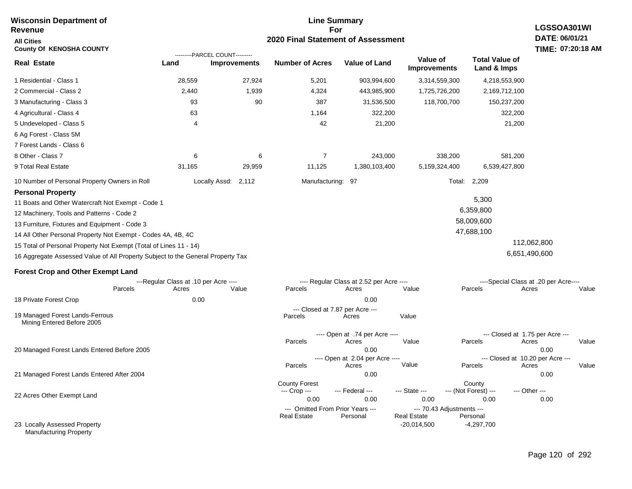| <b>Wisconsin Department of</b>                                                  |                                       |                                                       | <b>Line Summary</b>                        |                                          |                                 |                                            | LGSSOA301WI                           |
|---------------------------------------------------------------------------------|---------------------------------------|-------------------------------------------------------|--------------------------------------------|------------------------------------------|---------------------------------|--------------------------------------------|---------------------------------------|
| Revenue                                                                         |                                       |                                                       | For<br>2020 Final Statement of Assessment  |                                          |                                 |                                            | DATE: 06/01/21                        |
| <b>All Cities</b><br><b>County Of KENOSHA COUNTY</b>                            |                                       |                                                       |                                            |                                          |                                 |                                            | TIME: 07:20:18 AM                     |
| <b>Real Estate</b>                                                              | Land                                  | ---------PARCEL COUNT---------<br><b>Improvements</b> | <b>Number of Acres</b>                     | Value of Land                            | Value of<br><b>Improvements</b> | <b>Total Value of</b><br>Land & Imps       |                                       |
| 1 Residential - Class 1                                                         | 28,559                                | 27,924                                                | 5,201                                      | 903,994,600                              | 3,314,559,300                   | 4,218,553,900                              |                                       |
| 2 Commercial - Class 2                                                          | 2,440                                 | 1,939                                                 | 4,324                                      | 443,985,900                              | 1,725,726,200                   | 2,169,712,100                              |                                       |
| 3 Manufacturing - Class 3                                                       | 93                                    | 90                                                    | 387                                        | 31,536,500                               | 118,700,700                     | 150,237,200                                |                                       |
| 4 Agricultural - Class 4                                                        | 63                                    |                                                       | 1,164                                      | 322,200                                  |                                 | 322,200                                    |                                       |
| 5 Undeveloped - Class 5                                                         | 4                                     |                                                       | 42                                         | 21,200                                   |                                 | 21,200                                     |                                       |
| 6 Ag Forest - Class 5M                                                          |                                       |                                                       |                                            |                                          |                                 |                                            |                                       |
| 7 Forest Lands - Class 6                                                        |                                       |                                                       |                                            |                                          |                                 |                                            |                                       |
| 8 Other - Class 7                                                               | 6                                     | 6                                                     | $\overline{7}$                             | 243,000                                  | 338,200                         | 581,200                                    |                                       |
| 9 Total Real Estate                                                             | 31,165                                | 29,959                                                | 11,125                                     | 1,380,103,400                            | 5,159,324,400                   | 6,539,427,800                              |                                       |
| 10 Number of Personal Property Owners in Roll                                   |                                       | Locally Assd:<br>2,112                                | Manufacturing:                             | 97                                       | Total:                          | 2,209                                      |                                       |
| <b>Personal Property</b>                                                        |                                       |                                                       |                                            |                                          |                                 |                                            |                                       |
| 11 Boats and Other Watercraft Not Exempt - Code 1                               |                                       |                                                       |                                            |                                          |                                 | 5,300                                      |                                       |
| 12 Machinery, Tools and Patterns - Code 2                                       |                                       |                                                       |                                            |                                          |                                 | 6,359,800                                  |                                       |
| 13 Furniture, Fixtures and Equipment - Code 3                                   |                                       |                                                       |                                            |                                          |                                 | 58,009,600                                 |                                       |
| 14 All Other Personal Property Not Exempt - Codes 4A, 4B, 4C                    |                                       |                                                       |                                            |                                          |                                 | 47,688,100                                 |                                       |
| 15 Total of Personal Property Not Exempt (Total of Lines 11 - 14)               |                                       |                                                       |                                            |                                          |                                 |                                            | 112,062,800                           |
| 16 Aggregate Assessed Value of All Property Subject to the General Property Tax |                                       |                                                       |                                            |                                          |                                 |                                            | 6,651,490,600                         |
| <b>Forest Crop and Other Exempt Land</b>                                        |                                       |                                                       |                                            |                                          |                                 |                                            |                                       |
|                                                                                 | ---Regular Class at .10 per Acre ---- |                                                       |                                            | ---- Regular Class at 2.52 per Acre ---- |                                 |                                            | ----Special Class at .20 per Acre---- |
| Parcels                                                                         | Acres                                 | Value                                                 | Parcels                                    | Acres                                    | Value                           | Parcels                                    | Acres<br>Value                        |
| 18 Private Forest Crop                                                          | 0.00                                  |                                                       |                                            | 0.00                                     |                                 |                                            |                                       |
| 19 Managed Forest Lands-Ferrous<br>Mining Entered Before 2005                   |                                       |                                                       | --- Closed at 7.87 per Acre ---<br>Parcels | Acres                                    | Value                           |                                            |                                       |
|                                                                                 |                                       |                                                       | Parcels                                    | ---- Open at .74 per Acre ----<br>Acres  | Value                           | --- Closed at 1.75 per Acre ---<br>Parcels | Acres<br>Value                        |
| 20 Managed Forest Lands Entered Before 2005                                     |                                       |                                                       |                                            | 0.00                                     |                                 | --- Closed at 10.20 per Acre ---           | 0.00                                  |
|                                                                                 |                                       |                                                       | Parcels                                    | ---- Open at 2.04 per Acre ----<br>Acres | Value                           | Parcels                                    | Value<br>Acres                        |
| 21 Managed Forest Lands Entered After 2004                                      |                                       |                                                       |                                            | 0.00                                     |                                 |                                            | 0.00                                  |
|                                                                                 |                                       |                                                       | <b>County Forest</b>                       |                                          |                                 | County                                     |                                       |
| 22 Acres Other Exempt Land                                                      |                                       |                                                       | --- Crop ---<br>0.00                       | --- Federal ---<br>0.00                  | --- State ---<br>0.00           | --- (Not Forest) ---<br>0.00               | --- Other ---<br>0.00                 |
|                                                                                 |                                       |                                                       | --- Omitted From Prior Years ---           |                                          | --- 70.43 Adjustments ---       |                                            |                                       |
|                                                                                 |                                       |                                                       | <b>Real Estate</b>                         | Personal                                 | <b>Real Estate</b>              | Personal                                   |                                       |
| 23 Locally Assessed Property<br><b>Manufacturing Property</b>                   |                                       |                                                       |                                            |                                          | $-20,014,500$                   | $-4,297,700$                               |                                       |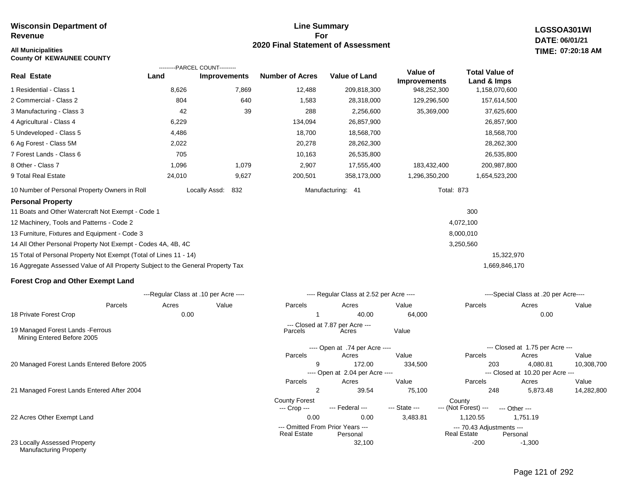#### **Line Summary For 2020 Final Statement of Assessment All Municipalities TIME:**

**LGSSOA301WI DATE: 06/01/21 07:20:18 AM**

| <b>County Of KEWAUNEE COUNTY</b>                                                |                                       |                      |                        |                                           |                     |                       |                                              |            |
|---------------------------------------------------------------------------------|---------------------------------------|----------------------|------------------------|-------------------------------------------|---------------------|-----------------------|----------------------------------------------|------------|
|                                                                                 | ---------PARCEL COUNT---------        |                      |                        |                                           | Value of            | <b>Total Value of</b> |                                              |            |
| <b>Real Estate</b>                                                              | Land                                  | <b>Improvements</b>  | <b>Number of Acres</b> | <b>Value of Land</b>                      | <b>Improvements</b> | Land & Imps           |                                              |            |
| 1 Residential - Class 1                                                         | 8,626                                 | 7,869                | 12,488                 | 209,818,300                               | 948,252,300         | 1,158,070,600         |                                              |            |
| 2 Commercial - Class 2                                                          | 804                                   | 640                  | 1,583                  | 28,318,000                                | 129,296,500         | 157,614,500           |                                              |            |
| 3 Manufacturing - Class 3                                                       | 42                                    | 39                   | 288                    | 2,256,600                                 | 35,369,000          | 37,625,600            |                                              |            |
| 4 Agricultural - Class 4                                                        | 6,229                                 |                      | 134,094                | 26,857,900                                |                     | 26,857,900            |                                              |            |
| 5 Undeveloped - Class 5                                                         | 4,486                                 |                      | 18,700                 | 18,568,700                                |                     | 18,568,700            |                                              |            |
| 6 Ag Forest - Class 5M                                                          | 2,022                                 |                      | 20,278                 | 28,262,300                                |                     | 28,262,300            |                                              |            |
| 7 Forest Lands - Class 6                                                        | 705                                   |                      | 10,163                 | 26,535,800                                |                     | 26,535,800            |                                              |            |
| 8 Other - Class 7                                                               | 1,096                                 | 1,079                | 2,907                  | 17,555,400                                | 183,432,400         | 200,987,800           |                                              |            |
| 9 Total Real Estate                                                             | 24,010                                | 9,627                | 200,501                | 358,173,000                               | 1,296,350,200       | 1,654,523,200         |                                              |            |
| 10 Number of Personal Property Owners in Roll                                   |                                       | Locally Assd:<br>832 |                        | Manufacturing: 41                         | <b>Total: 873</b>   |                       |                                              |            |
| <b>Personal Property</b>                                                        |                                       |                      |                        |                                           |                     |                       |                                              |            |
| 11 Boats and Other Watercraft Not Exempt - Code 1                               |                                       |                      |                        |                                           |                     | 300                   |                                              |            |
| 12 Machinery, Tools and Patterns - Code 2                                       |                                       |                      |                        |                                           |                     | 4,072,100             |                                              |            |
| 13 Furniture, Fixtures and Equipment - Code 3                                   |                                       |                      |                        |                                           |                     | 8,000,010             |                                              |            |
| 14 All Other Personal Property Not Exempt - Codes 4A, 4B, 4C                    |                                       |                      |                        |                                           |                     | 3,250,560             |                                              |            |
| 15 Total of Personal Property Not Exempt (Total of Lines 11 - 14)               |                                       |                      |                        |                                           |                     | 15,322,970            |                                              |            |
| 16 Aggregate Assessed Value of All Property Subject to the General Property Tax |                                       |                      |                        |                                           |                     | 1,669,846,170         |                                              |            |
| <b>Forest Crop and Other Exempt Land</b>                                        |                                       |                      |                        |                                           |                     |                       |                                              |            |
|                                                                                 | ---Regular Class at .10 per Acre ---- |                      |                        | ---- Regular Class at 2.52 per Acre ----  |                     |                       | ----Special Class at .20 per Acre----        |            |
| Parcels                                                                         | Acres                                 | Value                | Parcels                | Acres                                     | Value               | Parcels               | Acres                                        | Value      |
| 18 Private Forest Crop                                                          | 0.00                                  |                      | 1                      | 40.00                                     | 64,000              |                       | 0.00                                         |            |
| 19 Managed Forest Lands - Ferrous<br>Mining Entered Before 2005                 |                                       |                      | Parcels                | --- Closed at 7.87 per Acre ---<br>Acres  | Value               |                       |                                              |            |
|                                                                                 |                                       |                      |                        | ---- Open at .74 per Acre ----            |                     |                       | --- Closed at 1.75 per Acre ---              |            |
|                                                                                 |                                       |                      | Parcels                | Acres                                     | Value               | Parcels               | Acres                                        | Value      |
| 20 Managed Forest Lands Entered Before 2005                                     |                                       |                      | 9                      | 172.00<br>---- Open at 2.04 per Acre ---- | 334,500             | 203                   | 4,080.81<br>--- Closed at 10.20 per Acre --- | 10,308,700 |
|                                                                                 |                                       |                      | Parcels                | Acres                                     | Value               | Parcels               | Acres                                        | Value      |
| 21 Managed Forest Lands Entered After 2004                                      |                                       |                      | 2                      | 39.54                                     | 75,100              | 248                   | 5,873.48                                     | 14,282,800 |

22 Acres Other Exempt Land

23 Locally Assessed Property Manufacturing Property

Page 121 of 292

-1,300

--- (Not Forest) --- --- Other ---

Real Estate

0.00 0.00 3,483.81 1,120.55 1,751.19

County Forest County<br>--- Crop --- --- Federal --- --- State --- --- (Not Fore

32,100 -200

--- Omitted From Prior Years ---<br>Real Estate Personal Real Estate Personal Real Estate Personal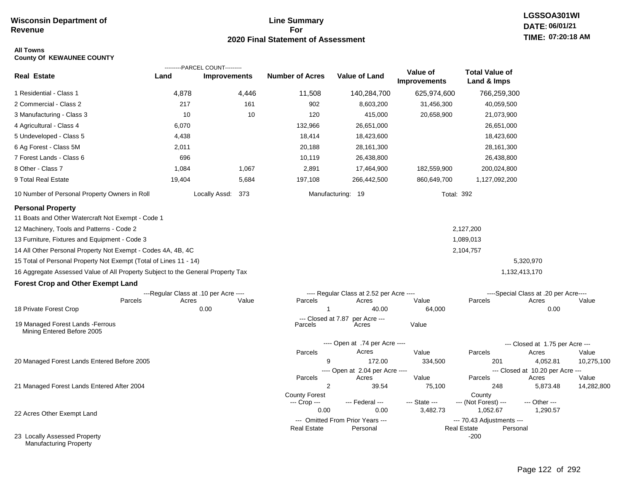#### **Line Summary For 2020 Final Statement of Assessment**

## **LGSSOA301WI DATE: 06/01/21 TIME: 07:20:18 AM**

#### **All Towns County Of KEWAUNEE COUNTY**

| <b>Real Estate</b>                                                              | Land                                  | ---------PARCEL COUNT---------<br><b>Improvements</b> |       | <b>Number of Acres</b>        | <b>Value of Land</b>                     | Value of            | <b>Total Value of</b>        |                                       |                     |
|---------------------------------------------------------------------------------|---------------------------------------|-------------------------------------------------------|-------|-------------------------------|------------------------------------------|---------------------|------------------------------|---------------------------------------|---------------------|
|                                                                                 |                                       |                                                       |       |                               |                                          | <b>Improvements</b> | Land & Imps                  |                                       |                     |
| 1 Residential - Class 1                                                         | 4,878                                 |                                                       | 4,446 | 11,508                        | 140,284,700                              | 625,974,600         | 766,259,300                  |                                       |                     |
| 2 Commercial - Class 2                                                          | 217                                   |                                                       | 161   | 902                           | 8,603,200                                | 31,456,300          | 40,059,500                   |                                       |                     |
| 3 Manufacturing - Class 3                                                       | 10                                    |                                                       | 10    | 120                           | 415,000                                  | 20,658,900          | 21,073,900                   |                                       |                     |
| 4 Agricultural - Class 4                                                        | 6,070                                 |                                                       |       | 132,966                       | 26,651,000                               |                     | 26,651,000                   |                                       |                     |
| 5 Undeveloped - Class 5                                                         | 4,438                                 |                                                       |       | 18,414                        | 18,423,600                               |                     | 18,423,600                   |                                       |                     |
| 6 Ag Forest - Class 5M                                                          | 2,011                                 |                                                       |       | 20,188                        | 28,161,300                               |                     | 28,161,300                   |                                       |                     |
| 7 Forest Lands - Class 6                                                        | 696                                   |                                                       |       | 10,119                        | 26,438,800                               |                     | 26,438,800                   |                                       |                     |
| 8 Other - Class 7                                                               | 1,084                                 |                                                       | 1,067 | 2,891                         | 17,464,900                               | 182,559,900         | 200,024,800                  |                                       |                     |
| 9 Total Real Estate                                                             | 19,404                                |                                                       | 5,684 | 197,108                       | 266,442,500                              | 860,649,700         | 1,127,092,200                |                                       |                     |
| 10 Number of Personal Property Owners in Roll                                   |                                       | Locally Assd: 373                                     |       |                               | Manufacturing: 19                        | <b>Total: 392</b>   |                              |                                       |                     |
| <b>Personal Property</b>                                                        |                                       |                                                       |       |                               |                                          |                     |                              |                                       |                     |
| 11 Boats and Other Watercraft Not Exempt - Code 1                               |                                       |                                                       |       |                               |                                          |                     |                              |                                       |                     |
| 12 Machinery, Tools and Patterns - Code 2                                       |                                       |                                                       |       |                               |                                          |                     | 2,127,200                    |                                       |                     |
| 13 Furniture, Fixtures and Equipment - Code 3                                   |                                       |                                                       |       |                               |                                          |                     | 1,089,013                    |                                       |                     |
| 14 All Other Personal Property Not Exempt - Codes 4A, 4B, 4C                    |                                       |                                                       |       |                               |                                          |                     | 2,104,757                    |                                       |                     |
| 15 Total of Personal Property Not Exempt (Total of Lines 11 - 14)               |                                       |                                                       |       |                               |                                          |                     |                              | 5,320,970                             |                     |
| 16 Aggregate Assessed Value of All Property Subject to the General Property Tax |                                       |                                                       |       |                               |                                          |                     |                              | 1,132,413,170                         |                     |
| <b>Forest Crop and Other Exempt Land</b>                                        |                                       |                                                       |       |                               |                                          |                     |                              |                                       |                     |
|                                                                                 | ---Regular Class at .10 per Acre ---- |                                                       |       |                               | ---- Regular Class at 2.52 per Acre ---- |                     |                              | ----Special Class at .20 per Acre---- |                     |
| Parcels                                                                         | Acres                                 |                                                       | Value | Parcels                       | Acres                                    | Value               | Parcels                      | Acres                                 | Value               |
| 18 Private Forest Crop                                                          |                                       | 0.00                                                  |       | -1                            | 40.00                                    | 64,000              |                              | 0.00                                  |                     |
| 19 Managed Forest Lands - Ferrous<br>Mining Entered Before 2005                 |                                       |                                                       |       | --- Closed at 7.87<br>Parcels | per Acre ---<br>Acres                    | Value               |                              |                                       |                     |
|                                                                                 |                                       |                                                       |       |                               | ---- Open at .74 per Acre ----           |                     |                              | $-$ -Closed at 1.75 per Acre $-$ --   |                     |
|                                                                                 |                                       |                                                       |       | Parcels                       | Acres                                    | Value               | Parcels                      | Acres                                 | Value               |
| 20 Managed Forest Lands Entered Before 2005                                     |                                       |                                                       |       | 9                             | 172.00                                   | 334,500             | 201                          | 4,052.81                              | 10,275,100          |
|                                                                                 |                                       |                                                       |       |                               | ---- Open at 2.04 per Acre ----          |                     |                              | --- Closed at 10.20 per Acre ---      |                     |
| 21 Managed Forest Lands Entered After 2004                                      |                                       |                                                       |       | Parcels<br>$\overline{2}$     | Acres<br>39.54                           | Value<br>75,100     | Parcels<br>248               | Acres<br>5,873.48                     | Value<br>14,282,800 |
|                                                                                 |                                       |                                                       |       | <b>County Forest</b>          |                                          |                     | County                       |                                       |                     |
|                                                                                 |                                       |                                                       |       | --- Crop ---                  | --- Federal ---                          | --- State ---       | --- (Not Forest) ---         | --- Other ---                         |                     |
| 22 Acres Other Exempt Land                                                      |                                       |                                                       |       | 0.00                          | 0.00                                     | 3,482.73            | 1,052.67                     | 1,290.57                              |                     |
|                                                                                 |                                       |                                                       |       |                               | --- Omitted From Prior Years ---         |                     | --- 70.43 Adjustments ---    |                                       |                     |
| 23 Locally Assessed Property<br>Manufacturing Property                          |                                       |                                                       |       | <b>Real Estate</b>            | Personal                                 |                     | <b>Real Estate</b><br>$-200$ | Personal                              |                     |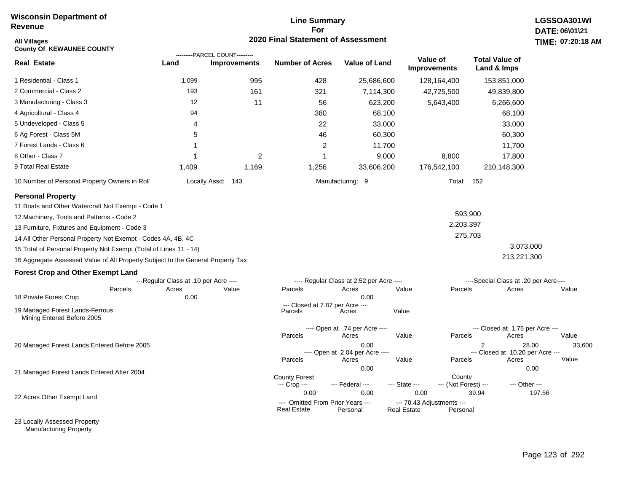#### **Line Summary For 2020 Final Statement of Assessment**

| <b>All Villages</b><br><b>County Of KEWAUNEE COUNTY</b>                         |                                       | ---------PARCEL COUNT--------- | 2020 Final Statement of Assessment                     |                                                  |                                                 |                                 |                                                | TIME: 07:20:18           |
|---------------------------------------------------------------------------------|---------------------------------------|--------------------------------|--------------------------------------------------------|--------------------------------------------------|-------------------------------------------------|---------------------------------|------------------------------------------------|--------------------------|
| <b>Real Estate</b>                                                              | Land                                  | <b>Improvements</b>            | <b>Number of Acres</b>                                 | <b>Value of Land</b>                             |                                                 | Value of<br><b>Improvements</b> | <b>Total Value of</b><br>Land & Imps           |                          |
| 1 Residential - Class 1                                                         | 1,099                                 | 995                            | 428                                                    | 25,686,600                                       |                                                 | 128,164,400                     | 153,851,000                                    |                          |
| 2 Commercial - Class 2                                                          | 193                                   | 161                            | 321                                                    | 7,114,300                                        |                                                 | 42,725,500                      | 49,839,800                                     |                          |
| 3 Manufacturing - Class 3                                                       | 12                                    | 11                             | 56                                                     | 623,200                                          |                                                 | 5,643,400                       | 6,266,600                                      |                          |
| 4 Agricultural - Class 4                                                        | 94                                    |                                | 380                                                    | 68,100                                           |                                                 |                                 | 68,100                                         |                          |
| 5 Undeveloped - Class 5                                                         | 4                                     |                                | 22                                                     | 33,000                                           |                                                 |                                 | 33,000                                         |                          |
| 6 Ag Forest - Class 5M                                                          | 5                                     |                                | 46                                                     | 60,300                                           |                                                 |                                 | 60,300                                         |                          |
| 7 Forest Lands - Class 6                                                        |                                       |                                | $\overline{2}$                                         | 11,700                                           |                                                 |                                 | 11,700                                         |                          |
| 8 Other - Class 7                                                               |                                       | 2                              | 1                                                      | 9,000                                            |                                                 | 8,800                           | 17,800                                         |                          |
| 9 Total Real Estate                                                             | 1,409                                 | 1,169                          | 1,256                                                  | 33,606,200                                       |                                                 | 176,542,100                     | 210,148,300                                    |                          |
| 10 Number of Personal Property Owners in Roll                                   |                                       | Locally Assd: 143              |                                                        | Manufacturing: 9                                 |                                                 | Total: 152                      |                                                |                          |
| <b>Personal Property</b>                                                        |                                       |                                |                                                        |                                                  |                                                 |                                 |                                                |                          |
| 11 Boats and Other Watercraft Not Exempt - Code 1                               |                                       |                                |                                                        |                                                  |                                                 |                                 |                                                |                          |
| 12 Machinery, Tools and Patterns - Code 2                                       |                                       |                                |                                                        |                                                  |                                                 | 593,900                         |                                                |                          |
| 13 Furniture, Fixtures and Equipment - Code 3                                   |                                       |                                |                                                        |                                                  |                                                 | 2,203,397                       |                                                |                          |
| 14 All Other Personal Property Not Exempt - Codes 4A, 4B, 4C                    |                                       |                                |                                                        |                                                  |                                                 | 275,703                         |                                                |                          |
| 15 Total of Personal Property Not Exempt (Total of Lines 11 - 14)               |                                       |                                |                                                        |                                                  |                                                 |                                 | 3,073,000                                      |                          |
| 16 Aggregate Assessed Value of All Property Subject to the General Property Tax |                                       |                                |                                                        |                                                  |                                                 |                                 | 213,221,300                                    |                          |
| <b>Forest Crop and Other Exempt Land</b>                                        |                                       |                                |                                                        |                                                  |                                                 |                                 |                                                |                          |
|                                                                                 | ---Regular Class at .10 per Acre ---- |                                |                                                        | ---- Regular Class at 2.52 per Acre ----         |                                                 |                                 | ----Special Class at .20 per Acre----          |                          |
| Parcels                                                                         | Acres                                 | Value                          | Parcels                                                | Acres                                            | Value                                           | Parcels                         | Acres                                          | Value                    |
| 18 Private Forest Crop                                                          | 0.00                                  |                                | --- Closed at 7.87 per Acre ---                        | 0.00                                             |                                                 |                                 |                                                |                          |
| 19 Managed Forest Lands-Ferrous<br>Mining Entered Before 2005                   |                                       |                                | Parcels                                                | Acres                                            | Value                                           |                                 |                                                |                          |
|                                                                                 |                                       |                                | Parcels                                                | ---- Open at .74 per Acre ----<br>Acres          | Value                                           | Parcels                         | --- Closed at 1.75 per Acre ---<br>Acres       | Value                    |
| 20 Managed Forest Lands Entered Before 2005                                     |                                       |                                | Parcels                                                | 0.00<br>---- Open at 2.04 per Acre ----<br>Acres | Value                                           | Parcels                         | 2<br>--- Closed at 10.20 per Acre ---<br>Acres | 28.00<br>33,600<br>Value |
| 21 Managed Forest Lands Entered After 2004                                      |                                       |                                |                                                        | 0.00                                             |                                                 |                                 |                                                | 0.00                     |
|                                                                                 |                                       |                                | <b>County Forest</b><br>--- Crop ---                   | --- Federal ---                                  | --- State ---                                   | County<br>--- (Not Forest) ---  | --- Other ---                                  |                          |
| 22 Acres Other Exempt Land                                                      |                                       |                                | 0.00                                                   | 0.00                                             | 0.00                                            |                                 | 39.94                                          | 197.56                   |
|                                                                                 |                                       |                                | --- Omitted From Prior Years ---<br><b>Real Estate</b> | Personal                                         | --- 70.43 Adjustments ---<br><b>Real Estate</b> | Personal                        |                                                |                          |

23 Locally Assessed Property Manufacturing Property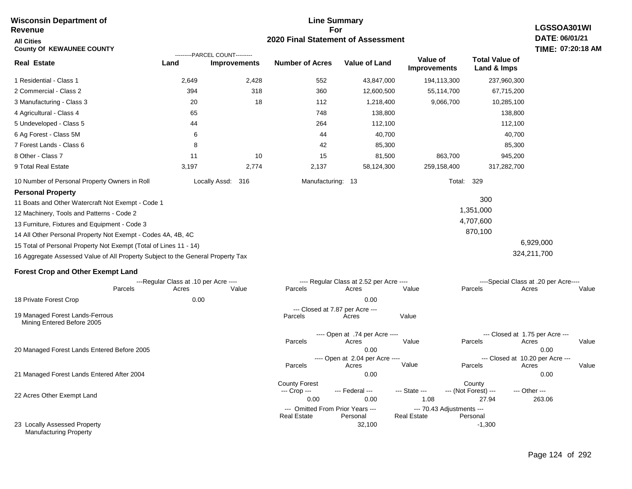#### **Line Summary For 2020 Final Statement of Assessment Wisconsin Department of Revenue All Cities County Of KEWAUNEE COUNTY LGSSOA301WI DATE: 06/01/21 TIME: 07:20:18 AM Real Estate** 1 Residential - Class 1 2 Commercial - Class 2 3 Manufacturing - Class 3 4 Agricultural - Class 4 5 Undeveloped - Class 5 6 Ag Forest - Class 5M 7 Forest Lands - Class 6 8 Other - Class 7 9 Total Real Estate 10 Number of Personal Property Owners in Roll 2,649 2,428 552 43,847,000 194,113,300 237,960,300 **Land Improvements Number of Acres Value of Land Value of Improvements Total Value of Land & Imps** 394 20 65 44 6 8 11 3,197 318 18 10 2,774 360 112 748 264 44 42 15 2,137 12,600,500 1,218,400 138,800 112,100 40,700 85,300 81,500 58,124,300 55,114,700 9,066,700 863,700 259,158,400 67,715,200 10,285,100 138,800 112,100 40,700 85,300 945,200 317,282,700 Locally Assd: 316 Manufacturing: 13 Total: 329 **Personal Property** 11 Boats and Other Watercraft Not Exempt - Code 1 12 Machinery, Tools and Patterns - Code 2 13 Furniture, Fixtures and Equipment - Code 3 14 All Other Personal Property Not Exempt - Codes 4A, 4B, 4C 15 Total of Personal Property Not Exempt (Total of Lines 11 - 14) 16 Aggregate Assessed Value of All Property Subject to the General Property Tax 300 1,351,000 4,707,600 870,100 6,929,000 324,211,700 **Forest Crop and Other Exempt Land** ---Regular Class at .10 per Acre ---- ---- Regular Class at 2.52 per Acre ---- ----Special Class at .20 per Acre---- 18 Private Forest Crop 20 Managed Forest Lands Entered Before 2005 21 Managed Forest Lands Entered After 2004 Parcels 0.00 0.00 Acres Value Parcels Acres Value Parcels Acres Value ---- Open at .74 per Acre ----<br>Acres Parcels 0.00 0.00 Acres Value Parcels Acres Value --- Closed at 1.75 per Acre --- ---- Open at 2.04 per Acre ---- --- Closed at 10.20 per Acre --- Parcels 0.00 0.00 Acres **Value Parcels Acres Value** County Forest County County --- Crop --- 0.00 0.00 1.08 27.94 263.06 --- Federal --- - --- State --- --- (Not Forest) --- --- Other ---22 Acres Other Exempt Land 23 Locally Assessed Property --- Omitted From Prior Years ---<br>Real Estate Personal Personal Real Estate Personal 32,100 -1,300 **Real Estate** ---------PARCEL COUNT--------- 19 Managed Forest Lands-Ferrous Mining Entered Before 2005 --- Closed at 7.87 per Acre ---<br>rcels Acres Parcels **Acres** Value

Manufacturing Property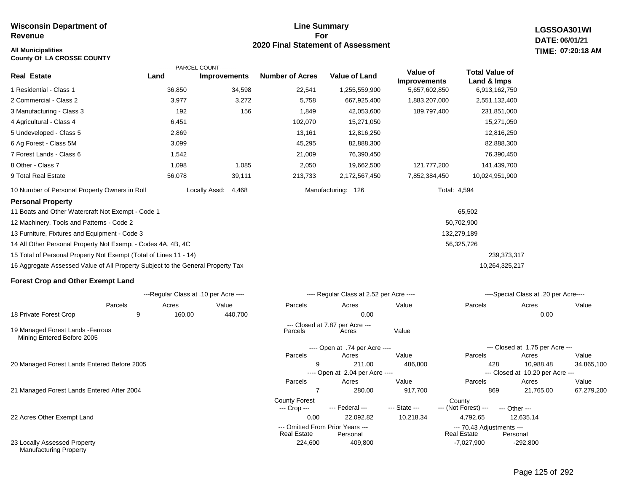#### **Line Summary For 2020 Final Statement of Assessment All Municipalities TIME:**

---- Open at 2.04 per Acre ----

County Forest County<br>--- Crop --- --- Federal --- --- State --- --- (Not Fore

**LGSSOA301WI DATE: 06/01/21 07:20:18 AM**

| <b>County Of LA CROSSE COUNTY</b>                                               |        |                                       |                        |                                          |                     |                       |                                       |       |
|---------------------------------------------------------------------------------|--------|---------------------------------------|------------------------|------------------------------------------|---------------------|-----------------------|---------------------------------------|-------|
|                                                                                 |        | ---------PARCEL COUNT---------        |                        |                                          | Value of            | <b>Total Value of</b> |                                       |       |
| <b>Real Estate</b>                                                              | Land   | <b>Improvements</b>                   | <b>Number of Acres</b> | <b>Value of Land</b>                     | <b>Improvements</b> | Land & Imps           |                                       |       |
| 1 Residential - Class 1                                                         | 36,850 | 34,598                                | 22,541                 | 1,255,559,900                            | 5,657,602,850       | 6,913,162,750         |                                       |       |
| 2 Commercial - Class 2                                                          | 3,977  | 3,272                                 | 5,758                  | 667,925,400                              | 1,883,207,000       | 2,551,132,400         |                                       |       |
| 3 Manufacturing - Class 3                                                       | 192    | 156                                   | 1,849                  | 42,053,600                               | 189,797,400         | 231,851,000           |                                       |       |
| 4 Agricultural - Class 4                                                        | 6,451  |                                       | 102,070                | 15,271,050                               |                     | 15,271,050            |                                       |       |
| 5 Undeveloped - Class 5                                                         | 2,869  |                                       | 13,161                 | 12,816,250                               |                     | 12,816,250            |                                       |       |
| 6 Ag Forest - Class 5M                                                          | 3,099  |                                       | 45,295                 | 82,888,300                               |                     | 82,888,300            |                                       |       |
| 7 Forest Lands - Class 6                                                        | 1,542  |                                       | 21,009                 | 76,390,450                               |                     | 76,390,450            |                                       |       |
| 8 Other - Class 7                                                               | 1,098  | 1,085                                 | 2,050                  | 19,662,500                               | 121,777,200         | 141,439,700           |                                       |       |
| 9 Total Real Estate                                                             | 56,078 | 39,111                                | 213,733                | 2,172,567,450                            | 7,852,384,450       | 10,024,951,900        |                                       |       |
| 10 Number of Personal Property Owners in Roll                                   |        | Locally Assd:<br>4,468                |                        | Manufacturing: 126                       | Total: 4,594        |                       |                                       |       |
| <b>Personal Property</b>                                                        |        |                                       |                        |                                          |                     |                       |                                       |       |
| 11 Boats and Other Watercraft Not Exempt - Code 1                               |        |                                       |                        |                                          |                     | 65,502                |                                       |       |
| 12 Machinery, Tools and Patterns - Code 2                                       |        |                                       |                        |                                          |                     | 50,702,900            |                                       |       |
| 13 Furniture, Fixtures and Equipment - Code 3                                   |        |                                       |                        |                                          |                     | 132,279,189           |                                       |       |
| 14 All Other Personal Property Not Exempt - Codes 4A, 4B, 4C                    |        |                                       |                        |                                          |                     | 56,325,726            |                                       |       |
| 15 Total of Personal Property Not Exempt (Total of Lines 11 - 14)               |        |                                       |                        |                                          |                     | 239,373,317           |                                       |       |
| 16 Aggregate Assessed Value of All Property Subject to the General Property Tax |        |                                       |                        |                                          |                     | 10,264,325,217        |                                       |       |
| <b>Forest Crop and Other Exempt Land</b>                                        |        |                                       |                        |                                          |                     |                       |                                       |       |
|                                                                                 |        | ---Regular Class at .10 per Acre ---- |                        | ---- Regular Class at 2.52 per Acre ---- |                     |                       | ----Special Class at .20 per Acre---- |       |
| Parcels                                                                         | Acres  | Value                                 | Parcels                | Acres                                    | Value               | Parcels               | Acres                                 | Value |
| 18 Private Forest Crop<br>9                                                     | 160.00 | 440,700                               |                        | 0.00                                     |                     |                       | 0.00                                  |       |
| 19 Managed Forest Lands - Ferrous<br>Mining Entered Before 2005                 |        |                                       | Parcels                | --- Closed at 7.87 per Acre ---<br>Acres | Value               |                       |                                       |       |
|                                                                                 |        |                                       |                        | ---- Open at .74 per Acre ----           |                     |                       | --- Closed at 1.75 per Acre ---       |       |
|                                                                                 |        |                                       | Parcels                | Acres                                    | Value               | Parcels               | Acres                                 | Value |
| 20 Managed Forest Lands Entered Before 2005                                     |        |                                       | 9                      | 211.00                                   | 486,800             | 428                   | 10,988.48                             | 34,86 |

21 Managed Forest Lands Entered After 2004

22 Acres Other Exempt Land

23 Locally Assessed Property Manufacturing Property

 0.00 22,092.82 10,218.34 4,792.65 12,635.14 --- (Not Forest) --- --- Other ---

224,600 409,800 -7,027,900 -292,800 --- Omitted From Prior Years --- --- 70.43 Adjustments --- Real Estate

9 211.00 486,800 428 10,988.48 34,865,100

7 280.00 917,700 869 21,765.00 67,279,200

Parcels Acres Value Parcels Acres Value

--- Closed at 10.20 per Acre ---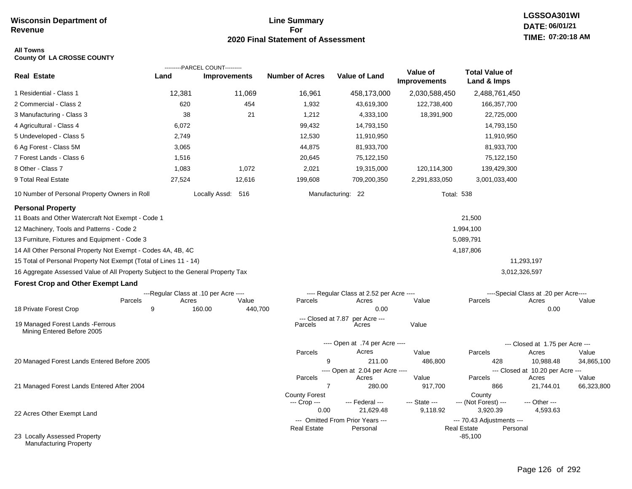#### **Line Summary For 2020 Final Statement of Assessment**

#### **All Towns County Of LA CROSSE COUNTY**

|                                                                                 |                                       | ---------PARCEL COUNT--------- |                               |                                              |                                 |                                                             |                                           |            |
|---------------------------------------------------------------------------------|---------------------------------------|--------------------------------|-------------------------------|----------------------------------------------|---------------------------------|-------------------------------------------------------------|-------------------------------------------|------------|
| <b>Real Estate</b>                                                              | Land                                  | Improvements                   | <b>Number of Acres</b>        | <b>Value of Land</b>                         | Value of<br><b>Improvements</b> | <b>Total Value of</b><br>Land & Imps                        |                                           |            |
| 1 Residential - Class 1                                                         | 12,381                                | 11,069                         | 16,961                        | 458,173,000                                  | 2,030,588,450                   | 2,488,761,450                                               |                                           |            |
| 2 Commercial - Class 2                                                          | 620                                   | 454                            | 1,932                         | 43,619,300                                   | 122,738,400                     | 166,357,700                                                 |                                           |            |
| 3 Manufacturing - Class 3                                                       | 38                                    | 21                             | 1,212                         | 4,333,100                                    | 18,391,900                      | 22,725,000                                                  |                                           |            |
| 4 Agricultural - Class 4                                                        | 6,072                                 |                                | 99,432                        | 14,793,150                                   |                                 | 14,793,150                                                  |                                           |            |
| 5 Undeveloped - Class 5                                                         | 2,749                                 |                                | 12,530                        | 11,910,950                                   |                                 | 11,910,950                                                  |                                           |            |
| 6 Ag Forest - Class 5M                                                          | 3,065                                 |                                | 44,875                        | 81,933,700                                   |                                 | 81,933,700                                                  |                                           |            |
| 7 Forest Lands - Class 6                                                        | 1,516                                 |                                | 20,645                        | 75,122,150                                   |                                 | 75,122,150                                                  |                                           |            |
| 8 Other - Class 7                                                               | 1,083                                 | 1,072                          | 2,021                         | 19,315,000                                   | 120,114,300                     | 139,429,300                                                 |                                           |            |
| 9 Total Real Estate                                                             | 27,524                                | 12,616                         | 199,608                       | 709,200,350                                  | 2,291,833,050                   | 3,001,033,400                                               |                                           |            |
| 10 Number of Personal Property Owners in Roll                                   |                                       | Locally Assd: 516              |                               | Manufacturing: 22                            | <b>Total: 538</b>               |                                                             |                                           |            |
| <b>Personal Property</b>                                                        |                                       |                                |                               |                                              |                                 |                                                             |                                           |            |
| 11 Boats and Other Watercraft Not Exempt - Code 1                               |                                       |                                |                               |                                              |                                 | 21,500                                                      |                                           |            |
| 12 Machinery, Tools and Patterns - Code 2                                       |                                       |                                |                               |                                              |                                 | 1,994,100                                                   |                                           |            |
| 13 Furniture, Fixtures and Equipment - Code 3                                   |                                       |                                |                               |                                              |                                 | 5,089,791                                                   |                                           |            |
| 14 All Other Personal Property Not Exempt - Codes 4A, 4B, 4C                    |                                       |                                |                               |                                              |                                 | 4,187,806                                                   |                                           |            |
| 15 Total of Personal Property Not Exempt (Total of Lines 11 - 14)               |                                       |                                |                               |                                              |                                 |                                                             | 11,293,197                                |            |
| 16 Aggregate Assessed Value of All Property Subject to the General Property Tax |                                       |                                |                               |                                              |                                 |                                                             | 3,012,326,597                             |            |
| <b>Forest Crop and Other Exempt Land</b>                                        |                                       |                                |                               |                                              |                                 |                                                             |                                           |            |
|                                                                                 | ---Regular Class at .10 per Acre ---- |                                |                               | ---- Regular Class at 2.52 per Acre ----     |                                 |                                                             | ----Special Class at .20 per Acre----     |            |
| Parcels                                                                         | Acres                                 | Value                          | Parcels                       | Acres                                        | Value                           | Parcels                                                     | Acres                                     | Value      |
| 18 Private Forest Crop                                                          | 9                                     | 160.00<br>440,700              |                               | 0.00                                         |                                 |                                                             | 0.00                                      |            |
| 19 Managed Forest Lands - Ferrous<br>Mining Entered Before 2005                 |                                       |                                | --- Closed at 7.87<br>Parcels | per Acre ---<br>Acres                        | Value                           |                                                             |                                           |            |
|                                                                                 |                                       |                                |                               | ---- Open at .74 per Acre ----               |                                 |                                                             | --- Closed at 1.75 per Acre ---           |            |
|                                                                                 |                                       |                                | Parcels                       | Acres                                        | Value                           | Parcels                                                     | Acres                                     | Value      |
| 20 Managed Forest Lands Entered Before 2005                                     |                                       |                                | 9                             | 211.00                                       | 486,800                         | 428                                                         | 10,988.48                                 | 34,865,100 |
|                                                                                 |                                       |                                | Parcels                       | ---- Open at 2.04 per Acre ----<br>Acres     | Value                           | Parcels                                                     | --- Closed at 10.20 per Acre ---<br>Acres | Value      |
| 21 Managed Forest Lands Entered After 2004                                      |                                       |                                | $\overline{7}$                | 280.00                                       | 917,700                         | 866                                                         | 21,744.01                                 | 66,323,800 |
|                                                                                 |                                       |                                | <b>County Forest</b>          |                                              |                                 | County                                                      |                                           |            |
|                                                                                 |                                       |                                | --- Crop ---                  | --- Federal ---                              | --- State ---                   | --- (Not Forest) ---                                        | --- Other ---                             |            |
| 22 Acres Other Exempt Land                                                      |                                       |                                | 0.00                          | 21,629.48                                    | 9,118.92                        | 3,920.39                                                    | 4,593.63                                  |            |
|                                                                                 |                                       |                                | <b>Real Estate</b>            | --- Omitted From Prior Years ---<br>Personal |                                 | --- 70.43 Adjustments ---<br><b>Real Estate</b><br>Personal |                                           |            |
| 23 Locally Assessed Property<br><b>Manufacturing Property</b>                   |                                       |                                |                               |                                              |                                 | $-85,100$                                                   |                                           |            |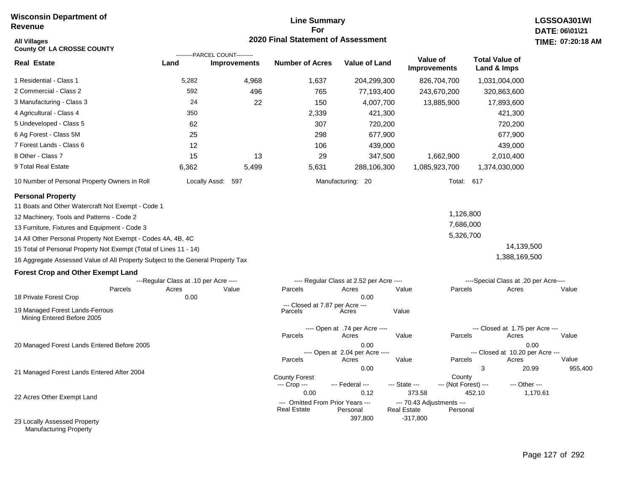#### **Line Summary For 2020 Final Statement of Assessment**

| <b>All Villages</b><br><b>County Of LA CROSSE COUNTY</b>                        |                                       |                                                       | 2020 Final Statement of Assessment         |                                                  |                                                 |                                           | TIME: 07:20:18   |
|---------------------------------------------------------------------------------|---------------------------------------|-------------------------------------------------------|--------------------------------------------|--------------------------------------------------|-------------------------------------------------|-------------------------------------------|------------------|
| <b>Real Estate</b>                                                              | Land                                  | ---------PARCEL COUNT---------<br><b>Improvements</b> | <b>Number of Acres</b>                     | <b>Value of Land</b>                             | Value of<br>Improvements                        | <b>Total Value of</b><br>Land & Imps      |                  |
| 1 Residential - Class 1                                                         | 5,282                                 | 4,968                                                 | 1,637                                      | 204,299,300                                      | 826,704,700                                     | 1,031,004,000                             |                  |
| 2 Commercial - Class 2                                                          | 592                                   | 496                                                   | 765                                        | 77,193,400                                       | 243,670,200                                     | 320,863,600                               |                  |
| 3 Manufacturing - Class 3                                                       | 24                                    | 22                                                    | 150                                        | 4,007,700                                        | 13,885,900                                      | 17,893,600                                |                  |
| 4 Agricultural - Class 4                                                        | 350                                   |                                                       | 2,339                                      | 421,300                                          |                                                 | 421,300                                   |                  |
| 5 Undeveloped - Class 5                                                         | 62                                    |                                                       | 307                                        | 720,200                                          |                                                 | 720,200                                   |                  |
| 6 Ag Forest - Class 5M                                                          | 25                                    |                                                       | 298                                        | 677,900                                          |                                                 | 677,900                                   |                  |
| 7 Forest Lands - Class 6                                                        | 12                                    |                                                       | 106                                        | 439,000                                          |                                                 | 439,000                                   |                  |
| 8 Other - Class 7                                                               | 15                                    | 13                                                    | 29                                         | 347,500                                          | 1,662,900                                       | 2,010,400                                 |                  |
| 9 Total Real Estate                                                             | 6,362                                 | 5,499                                                 | 5,631                                      | 288,106,300                                      | 1,085,923,700                                   | 1,374,030,000                             |                  |
| 10 Number of Personal Property Owners in Roll                                   |                                       | Locally Assd: 597                                     |                                            | Manufacturing: 20                                |                                                 | Total: 617                                |                  |
| <b>Personal Property</b><br>11 Boats and Other Watercraft Not Exempt - Code 1   |                                       |                                                       |                                            |                                                  |                                                 |                                           |                  |
| 12 Machinery, Tools and Patterns - Code 2                                       |                                       |                                                       |                                            |                                                  | 1,126,800                                       |                                           |                  |
| 13 Furniture, Fixtures and Equipment - Code 3                                   |                                       |                                                       |                                            |                                                  | 7,686,000                                       |                                           |                  |
| 14 All Other Personal Property Not Exempt - Codes 4A, 4B, 4C                    |                                       |                                                       |                                            |                                                  | 5,326,700                                       |                                           |                  |
| 15 Total of Personal Property Not Exempt (Total of Lines 11 - 14)               |                                       |                                                       |                                            |                                                  |                                                 | 14,139,500                                |                  |
| 16 Aggregate Assessed Value of All Property Subject to the General Property Tax |                                       |                                                       |                                            |                                                  |                                                 | 1,388,169,500                             |                  |
| <b>Forest Crop and Other Exempt Land</b>                                        |                                       |                                                       |                                            |                                                  |                                                 |                                           |                  |
|                                                                                 | ---Regular Class at .10 per Acre ---- |                                                       |                                            | ---- Regular Class at 2.52 per Acre ----         |                                                 | ----Special Class at .20 per Acre----     |                  |
| Parcels<br>18 Private Forest Crop                                               | Acres<br>0.00                         | Value                                                 | Parcels                                    | Acres<br>0.00                                    | Value<br>Parcels                                | Acres                                     | Value            |
| 19 Managed Forest Lands-Ferrous<br>Mining Entered Before 2005                   |                                       |                                                       | --- Closed at 7.87 per Acre ---<br>Parcels | Acres                                            | Value                                           |                                           |                  |
|                                                                                 |                                       |                                                       | Parcels                                    | ---- Open at .74 per Acre ----<br>Acres          | Value<br>Parcels                                | --- Closed at 1.75 per Acre ---<br>Acres  | Value            |
| 20 Managed Forest Lands Entered Before 2005                                     |                                       |                                                       | Parcels                                    | 0.00<br>---- Open at 2.04 per Acre ----<br>Acres | Value<br>Parcels                                | --- Closed at 10.20 per Acre ---<br>Acres | 0.00<br>Value    |
| 21 Managed Forest Lands Entered After 2004                                      |                                       |                                                       | <b>County Forest</b><br>--- Crop ---       | 0.00<br>--- Federal ---                          | County<br>--- State ---<br>--- (Not Forest) --- | 3<br>--- Other ---                        | 20.99<br>955,400 |
| 22 Acres Other Exempt Land                                                      |                                       |                                                       | 0.00<br>--- Omitted From Prior Years ---   | 0.12                                             | 373.58<br>--- 70.43 Adjustments ---             | 452.10                                    | 1,170.61         |
| 23 Locally Assessed Property                                                    |                                       |                                                       | <b>Real Estate</b>                         | Personal<br>397,800                              | <b>Real Estate</b><br>Personal<br>$-317,800$    |                                           |                  |

Manufacturing Property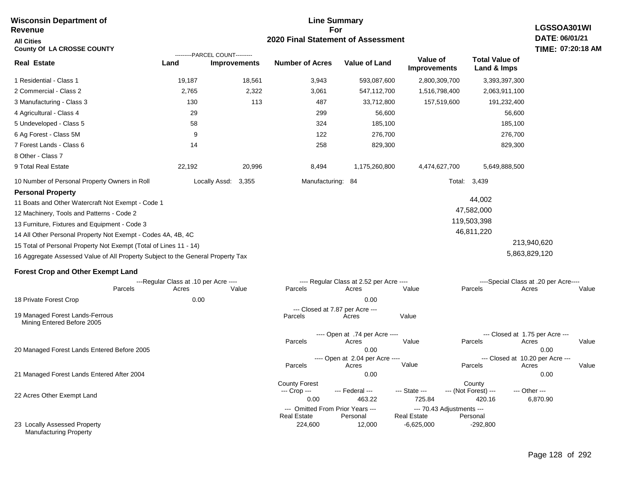| <b>Wisconsin Department of</b><br><b>Revenue</b>                                | <b>Line Summary</b><br>LGSSOA301WI<br>For |                                                       |                                      |                                              |                                                 |                                      |                                       |
|---------------------------------------------------------------------------------|-------------------------------------------|-------------------------------------------------------|--------------------------------------|----------------------------------------------|-------------------------------------------------|--------------------------------------|---------------------------------------|
| <b>All Cities</b><br><b>County Of LA CROSSE COUNTY</b>                          |                                           |                                                       |                                      | 2020 Final Statement of Assessment           |                                                 |                                      | DATE: 06/01/21<br>TIME: 07:20:18 AM   |
| <b>Real Estate</b>                                                              | Land                                      | ---------PARCEL COUNT---------<br><b>Improvements</b> | <b>Number of Acres</b>               | <b>Value of Land</b>                         | Value of<br><b>Improvements</b>                 | <b>Total Value of</b><br>Land & Imps |                                       |
| 1 Residential - Class 1                                                         | 19,187                                    | 18,561                                                | 3,943                                | 593,087,600                                  | 2,800,309,700                                   | 3,393,397,300                        |                                       |
| 2 Commercial - Class 2                                                          | 2,765                                     | 2,322                                                 | 3,061                                | 547,112,700                                  | 1,516,798,400                                   | 2,063,911,100                        |                                       |
| 3 Manufacturing - Class 3                                                       | 130                                       | 113                                                   | 487                                  | 33,712,800                                   | 157,519,600                                     | 191,232,400                          |                                       |
| 4 Agricultural - Class 4                                                        | 29                                        |                                                       | 299                                  | 56,600                                       |                                                 | 56,600                               |                                       |
| 5 Undeveloped - Class 5                                                         | 58                                        |                                                       | 324                                  | 185,100                                      |                                                 | 185,100                              |                                       |
| 6 Ag Forest - Class 5M                                                          | 9                                         |                                                       | 122                                  | 276,700                                      |                                                 | 276,700                              |                                       |
| 7 Forest Lands - Class 6                                                        | 14                                        |                                                       | 258                                  | 829,300                                      |                                                 | 829,300                              |                                       |
| 8 Other - Class 7                                                               |                                           |                                                       |                                      |                                              |                                                 |                                      |                                       |
| 9 Total Real Estate                                                             | 22,192                                    | 20,996                                                | 8,494                                | 1,175,260,800                                | 4,474,627,700                                   | 5,649,888,500                        |                                       |
| 10 Number of Personal Property Owners in Roll                                   |                                           | Locally Assd:<br>3,355                                | Manufacturing: 84                    |                                              | Total:                                          | 3,439                                |                                       |
| <b>Personal Property</b>                                                        |                                           |                                                       |                                      |                                              |                                                 |                                      |                                       |
| 11 Boats and Other Watercraft Not Exempt - Code 1                               |                                           |                                                       |                                      |                                              |                                                 | 44,002                               |                                       |
| 12 Machinery, Tools and Patterns - Code 2                                       |                                           |                                                       |                                      |                                              |                                                 | 47,582,000                           |                                       |
| 13 Furniture, Fixtures and Equipment - Code 3                                   |                                           |                                                       |                                      |                                              |                                                 | 119,503,398                          |                                       |
| 14 All Other Personal Property Not Exempt - Codes 4A, 4B, 4C                    |                                           |                                                       |                                      |                                              |                                                 | 46,811,220                           |                                       |
| 15 Total of Personal Property Not Exempt (Total of Lines 11 - 14)               |                                           |                                                       |                                      |                                              |                                                 |                                      | 213,940,620                           |
| 16 Aggregate Assessed Value of All Property Subject to the General Property Tax |                                           |                                                       |                                      |                                              |                                                 |                                      | 5,863,829,120                         |
| <b>Forest Crop and Other Exempt Land</b>                                        |                                           |                                                       |                                      |                                              |                                                 |                                      |                                       |
|                                                                                 | ---Regular Class at .10 per Acre ----     |                                                       |                                      | ---- Regular Class at 2.52 per Acre ----     |                                                 |                                      | ----Special Class at .20 per Acre---- |
| Parcels                                                                         | Acres                                     | Value                                                 | Parcels                              | Acres                                        | Value                                           | Parcels                              | Acres<br>Value                        |
| 18 Private Forest Crop                                                          | 0.00                                      |                                                       |                                      | 0.00                                         |                                                 |                                      |                                       |
| 19 Managed Forest Lands-Ferrous<br>Mining Entered Before 2005                   |                                           |                                                       | Parcels                              | --- Closed at 7.87 per Acre ---<br>Acres     | Value                                           |                                      |                                       |
|                                                                                 |                                           |                                                       |                                      | ---- Open at .74 per Acre ----               |                                                 | --- Closed at 1.75 per Acre ---      |                                       |
| 20 Managed Forest Lands Entered Before 2005                                     |                                           |                                                       | Parcels                              | Acres<br>0.00                                | Value                                           | Parcels                              | Acres<br>Value<br>0.00                |
|                                                                                 |                                           |                                                       |                                      | ---- Open at 2.04 per Acre ----              |                                                 | --- Closed at 10.20 per Acre ---     |                                       |
|                                                                                 |                                           |                                                       | Parcels                              | Acres                                        | Value                                           | Parcels                              | Acres<br>Value                        |
| 21 Managed Forest Lands Entered After 2004                                      |                                           |                                                       |                                      | 0.00                                         |                                                 |                                      | 0.00                                  |
|                                                                                 |                                           |                                                       | <b>County Forest</b><br>--- Crop --- | --- Federal ---                              | --- State ---                                   | County<br>--- (Not Forest) ---       | --- Other ---                         |
| 22 Acres Other Exempt Land                                                      |                                           |                                                       | 0.00                                 | 463.22                                       | 725.84                                          | 420.16                               | 6,870.90                              |
|                                                                                 |                                           |                                                       | <b>Real Estate</b>                   | --- Omitted From Prior Years ---<br>Personal | --- 70.43 Adjustments ---<br><b>Real Estate</b> | Personal                             |                                       |
| 23 Locally Assessed Property<br><b>Manufacturing Property</b>                   |                                           |                                                       | 224,600                              | 12,000                                       | $-6,625,000$                                    | $-292,800$                           |                                       |

**Wisconsin Department of**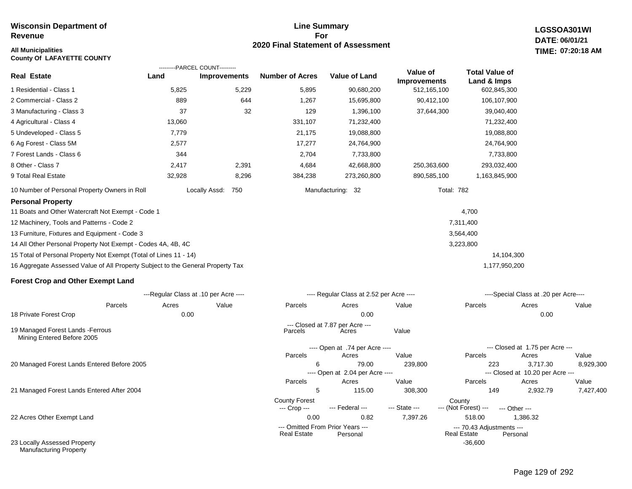#### **Line Summary For 2020 Final Statement of Assessment**

**LGSSOA301WI DATE: 06/01/21 All Municipalities TIME: 07:20:18 AM**

| <b>County Of LAFAYETTE COUNTY</b>                                               |                                       |                      |                                      |                                              |                     |                                          |                                              |           |
|---------------------------------------------------------------------------------|---------------------------------------|----------------------|--------------------------------------|----------------------------------------------|---------------------|------------------------------------------|----------------------------------------------|-----------|
|                                                                                 | ---------PARCEL COUNT---------        |                      |                                      |                                              | Value of            | <b>Total Value of</b>                    |                                              |           |
| <b>Real Estate</b>                                                              | Land                                  | <b>Improvements</b>  | <b>Number of Acres</b>               | <b>Value of Land</b>                         | <b>Improvements</b> | Land & Imps                              |                                              |           |
| 1 Residential - Class 1                                                         | 5,825                                 | 5,229                | 5,895                                | 90,680,200                                   | 512, 165, 100       | 602,845,300                              |                                              |           |
| 2 Commercial - Class 2                                                          | 889                                   | 644                  | 1,267                                | 15,695,800                                   | 90,412,100          | 106,107,900                              |                                              |           |
| 3 Manufacturing - Class 3                                                       | 37                                    | 32                   | 129                                  | 1,396,100                                    | 37,644,300          | 39,040,400                               |                                              |           |
| 4 Agricultural - Class 4                                                        | 13,060                                |                      | 331,107                              | 71,232,400                                   |                     | 71,232,400                               |                                              |           |
| 5 Undeveloped - Class 5                                                         | 7,779                                 |                      | 21,175                               | 19,088,800                                   |                     | 19,088,800                               |                                              |           |
| 6 Ag Forest - Class 5M                                                          | 2,577                                 |                      | 17,277                               | 24,764,900                                   |                     | 24,764,900                               |                                              |           |
| 7 Forest Lands - Class 6                                                        | 344                                   |                      | 2,704                                | 7,733,800                                    |                     | 7,733,800                                |                                              |           |
| 8 Other - Class 7                                                               | 2,417                                 | 2,391                | 4,684                                | 42,668,800                                   | 250,363,600         | 293,032,400                              |                                              |           |
| 9 Total Real Estate                                                             | 32,928                                | 8,296                | 384,238                              | 273,260,800                                  | 890,585,100         | 1,163,845,900                            |                                              |           |
| 10 Number of Personal Property Owners in Roll                                   |                                       | Locally Assd:<br>750 |                                      | Manufacturing: 32                            |                     | <b>Total: 782</b>                        |                                              |           |
| <b>Personal Property</b>                                                        |                                       |                      |                                      |                                              |                     |                                          |                                              |           |
| 11 Boats and Other Watercraft Not Exempt - Code 1                               |                                       |                      |                                      |                                              |                     | 4,700                                    |                                              |           |
| 12 Machinery, Tools and Patterns - Code 2                                       |                                       |                      |                                      |                                              |                     | 7,311,400                                |                                              |           |
| 13 Furniture, Fixtures and Equipment - Code 3                                   |                                       |                      |                                      |                                              |                     | 3,564,400                                |                                              |           |
| 14 All Other Personal Property Not Exempt - Codes 4A, 4B, 4C                    |                                       |                      |                                      |                                              |                     | 3,223,800                                |                                              |           |
| 15 Total of Personal Property Not Exempt (Total of Lines 11 - 14)               |                                       |                      |                                      |                                              |                     |                                          | 14,104,300                                   |           |
| 16 Aggregate Assessed Value of All Property Subject to the General Property Tax |                                       |                      |                                      |                                              |                     | 1,177,950,200                            |                                              |           |
| <b>Forest Crop and Other Exempt Land</b>                                        |                                       |                      |                                      |                                              |                     |                                          |                                              |           |
|                                                                                 | ---Regular Class at .10 per Acre ---- |                      |                                      | ---- Regular Class at 2.52 per Acre ----     |                     |                                          | ----Special Class at .20 per Acre----        |           |
| Parcels                                                                         | Acres                                 | Value                | Parcels                              | Acres                                        | Value               | Parcels                                  | Acres                                        | Value     |
| 18 Private Forest Crop                                                          | 0.00                                  |                      |                                      | 0.00                                         |                     |                                          | 0.00                                         |           |
| 19 Managed Forest Lands - Ferrous<br>Mining Entered Before 2005                 |                                       |                      | Parcels                              | --- Closed at 7.87 per Acre ---<br>Acres     | Value               |                                          |                                              |           |
|                                                                                 |                                       |                      |                                      | ---- Open at .74 per Acre ----               |                     |                                          | --- Closed at 1.75 per Acre ---              |           |
|                                                                                 |                                       |                      | Parcels                              | Acres                                        | Value               | Parcels                                  | Acres                                        | Value     |
| 20 Managed Forest Lands Entered Before 2005                                     |                                       |                      | 6                                    | 79.00<br>---- Open at 2.04 per Acre ----     | 239,800             | 223                                      | 3,717.30<br>--- Closed at 10.20 per Acre --- | 8,929,300 |
|                                                                                 |                                       |                      | Parcels                              | Acres                                        | Value               | Parcels                                  | Acres                                        | Value     |
| 21 Managed Forest Lands Entered After 2004                                      |                                       |                      | 5                                    | 115.00                                       | 308,300             | 149                                      | 2,932.79                                     | 7,427,400 |
|                                                                                 |                                       |                      | <b>County Forest</b><br>--- Crop --- | --- Federal ---                              | --- State ---       | County<br>--- (Not Forest) ---           | --- Other ---                                |           |
| 22 Acres Other Exempt Land                                                      |                                       |                      | 0.00                                 | 0.82                                         | 7,397.26            | 518.00                                   | 1,386.32                                     |           |
|                                                                                 |                                       |                      | Real Estate                          | --- Omitted From Prior Years ---<br>Personal |                     | --- 70.43 Adjustments ---<br>Real Estate | Personal                                     |           |

23 Locally Assessed Property Manufacturing Property

-36,600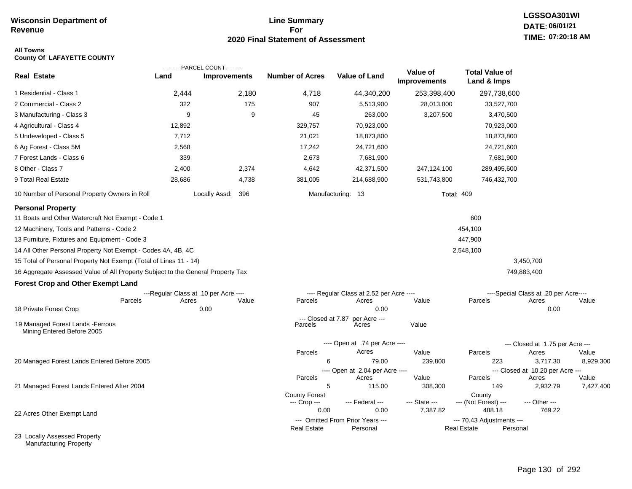#### **Line Summary For 2020 Final Statement of Assessment**

## **LGSSOA301WI DATE: 06/01/21 TIME: 07:20:18 AM**

#### **All Towns County Of LAFAYETTE COUNTY**

|                                                                                 |                                       | ---------PARCEL COUNT--------- |                               |                                          |                                 |                                      |                                           |           |
|---------------------------------------------------------------------------------|---------------------------------------|--------------------------------|-------------------------------|------------------------------------------|---------------------------------|--------------------------------------|-------------------------------------------|-----------|
| <b>Real Estate</b>                                                              | Land                                  | <b>Improvements</b>            | <b>Number of Acres</b>        | Value of Land                            | Value of<br><b>Improvements</b> | <b>Total Value of</b><br>Land & Imps |                                           |           |
| 1 Residential - Class 1                                                         | 2,444                                 | 2,180                          | 4,718                         | 44,340,200                               | 253,398,400                     | 297,738,600                          |                                           |           |
| 2 Commercial - Class 2                                                          | 322                                   | 175                            | 907                           | 5,513,900                                | 28,013,800                      | 33,527,700                           |                                           |           |
| 3 Manufacturing - Class 3                                                       | 9                                     | 9                              | 45                            | 263,000                                  | 3,207,500                       | 3,470,500                            |                                           |           |
| 4 Agricultural - Class 4                                                        | 12,892                                |                                | 329,757                       | 70,923,000                               |                                 | 70,923,000                           |                                           |           |
| 5 Undeveloped - Class 5                                                         | 7,712                                 |                                | 21,021                        | 18,873,800                               |                                 | 18,873,800                           |                                           |           |
| 6 Ag Forest - Class 5M                                                          | 2,568                                 |                                | 17,242                        | 24,721,600                               |                                 | 24,721,600                           |                                           |           |
| 7 Forest Lands - Class 6                                                        | 339                                   |                                | 2,673                         | 7,681,900                                |                                 | 7,681,900                            |                                           |           |
| 8 Other - Class 7                                                               | 2,400                                 | 2,374                          | 4,642                         | 42,371,500                               | 247,124,100                     | 289,495,600                          |                                           |           |
| 9 Total Real Estate                                                             | 28,686                                | 4,738                          | 381,005                       | 214,688,900                              | 531,743,800                     | 746,432,700                          |                                           |           |
| 10 Number of Personal Property Owners in Roll                                   |                                       | Locally Assd: 396              |                               | Manufacturing: 13                        | <b>Total: 409</b>               |                                      |                                           |           |
| <b>Personal Property</b><br>11 Boats and Other Watercraft Not Exempt - Code 1   |                                       |                                |                               |                                          |                                 | 600                                  |                                           |           |
| 12 Machinery, Tools and Patterns - Code 2                                       |                                       |                                |                               |                                          |                                 | 454,100                              |                                           |           |
| 13 Furniture, Fixtures and Equipment - Code 3                                   |                                       |                                |                               |                                          |                                 | 447,900                              |                                           |           |
| 14 All Other Personal Property Not Exempt - Codes 4A, 4B, 4C                    |                                       |                                |                               |                                          |                                 | 2,548,100                            |                                           |           |
| 15 Total of Personal Property Not Exempt (Total of Lines 11 - 14)               |                                       |                                |                               |                                          |                                 |                                      | 3,450,700                                 |           |
| 16 Aggregate Assessed Value of All Property Subject to the General Property Tax |                                       |                                |                               |                                          |                                 |                                      | 749,883,400                               |           |
| <b>Forest Crop and Other Exempt Land</b>                                        |                                       |                                |                               |                                          |                                 |                                      |                                           |           |
|                                                                                 | ---Regular Class at .10 per Acre ---- |                                |                               | ---- Regular Class at 2.52 per Acre ---- |                                 |                                      | ----Special Class at .20 per Acre----     |           |
| Parcels                                                                         | Acres                                 | Value                          | Parcels                       | Acres                                    | Value                           | Parcels                              | Acres                                     | Value     |
| 18 Private Forest Crop                                                          |                                       | 0.00                           |                               | 0.00                                     |                                 |                                      | 0.00                                      |           |
| 19 Managed Forest Lands - Ferrous<br>Mining Entered Before 2005                 |                                       |                                | --- Closed at 7.87<br>Parcels | per Acre ---<br>Acres                    | Value                           |                                      |                                           |           |
|                                                                                 |                                       |                                |                               | ---- Open at .74 per Acre ----           |                                 |                                      | --- Closed at 1.75 per Acre ---           |           |
|                                                                                 |                                       |                                | Parcels                       | Acres                                    | Value                           | Parcels                              | Acres                                     | Value     |
| 20 Managed Forest Lands Entered Before 2005                                     |                                       |                                | 6                             | 79.00                                    | 239,800                         | 223                                  | 3,717.30                                  | 8,929,300 |
|                                                                                 |                                       |                                | Parcels                       | ---- Open at 2.04 per Acre ----<br>Acres | Value                           | Parcels                              | --- Closed at 10.20 per Acre ---<br>Acres | Value     |
| 21 Managed Forest Lands Entered After 2004                                      |                                       |                                | 5                             | 115.00                                   | 308,300                         | 149                                  | 2,932.79                                  | 7,427,400 |
|                                                                                 |                                       |                                | <b>County Forest</b>          |                                          |                                 | County                               |                                           |           |
|                                                                                 |                                       |                                | --- Crop ---<br>0.00          | --- Federal ---<br>0.00                  | --- State ---<br>7,387.82       | --- (Not Forest) ---<br>488.18       | --- Other ---<br>769.22                   |           |
| 22 Acres Other Exempt Land                                                      |                                       |                                |                               | --- Omitted From Prior Years ---         |                                 | --- 70.43 Adjustments ---            |                                           |           |
|                                                                                 |                                       |                                | <b>Real Estate</b>            | Personal                                 |                                 | <b>Real Estate</b>                   | Personal                                  |           |
| 23 Locally Assessed Property                                                    |                                       |                                |                               |                                          |                                 |                                      |                                           |           |

Manufacturing Property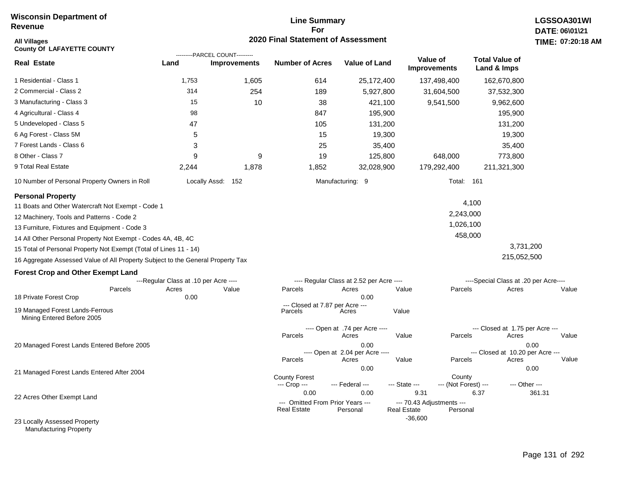#### **Line Summary For 2020 Final Statement of Assessment**

| <b>All Villages</b><br><b>County Of LAFAYETTE COUNTY</b>                        |                                       |                                | 2020 Final Statement of Assessment              |                                          |                                                 |                      |                                       | TIME: 07:20 |
|---------------------------------------------------------------------------------|---------------------------------------|--------------------------------|-------------------------------------------------|------------------------------------------|-------------------------------------------------|----------------------|---------------------------------------|-------------|
|                                                                                 |                                       | ---------PARCEL COUNT--------- |                                                 |                                          | Value of                                        |                      | <b>Total Value of</b>                 |             |
| <b>Real Estate</b>                                                              | Land                                  | <b>Improvements</b>            | <b>Number of Acres</b>                          | <b>Value of Land</b>                     |                                                 | <b>Improvements</b>  | Land & Imps                           |             |
| 1 Residential - Class 1                                                         | 1,753                                 | 1,605                          | 614                                             | 25,172,400                               |                                                 | 137,498,400          | 162,670,800                           |             |
| 2 Commercial - Class 2                                                          | 314                                   | 254                            | 189                                             | 5,927,800                                |                                                 | 31,604,500           | 37,532,300                            |             |
| 3 Manufacturing - Class 3                                                       | 15                                    | 10                             | 38                                              | 421,100                                  |                                                 | 9,541,500            | 9,962,600                             |             |
| 4 Agricultural - Class 4                                                        | 98                                    |                                | 847                                             | 195,900                                  |                                                 |                      | 195,900                               |             |
| 5 Undeveloped - Class 5                                                         | 47                                    |                                | 105                                             | 131,200                                  |                                                 |                      | 131,200                               |             |
| 6 Ag Forest - Class 5M                                                          | 5                                     |                                | 15                                              | 19,300                                   |                                                 |                      | 19,300                                |             |
| 7 Forest Lands - Class 6                                                        | 3                                     |                                | 25                                              | 35,400                                   |                                                 |                      | 35,400                                |             |
| 8 Other - Class 7                                                               | 9                                     | 9                              | 19                                              | 125,800                                  |                                                 | 648,000              | 773,800                               |             |
| 9 Total Real Estate                                                             | 2,244                                 | 1,878                          | 1,852                                           | 32,028,900                               |                                                 | 179,292,400          | 211,321,300                           |             |
| 10 Number of Personal Property Owners in Roll                                   |                                       | Locally Assd: 152              |                                                 | Manufacturing: 9                         |                                                 | Total: 161           |                                       |             |
| <b>Personal Property</b>                                                        |                                       |                                |                                                 |                                          |                                                 |                      |                                       |             |
| 11 Boats and Other Watercraft Not Exempt - Code 1                               |                                       |                                |                                                 |                                          |                                                 |                      | 4,100                                 |             |
| 12 Machinery, Tools and Patterns - Code 2                                       |                                       |                                |                                                 |                                          |                                                 | 2,243,000            |                                       |             |
| 13 Furniture, Fixtures and Equipment - Code 3                                   |                                       |                                |                                                 |                                          |                                                 | 1,026,100            |                                       |             |
| 14 All Other Personal Property Not Exempt - Codes 4A, 4B, 4C                    |                                       |                                |                                                 |                                          |                                                 | 458,000              |                                       |             |
| 15 Total of Personal Property Not Exempt (Total of Lines 11 - 14)               |                                       |                                |                                                 |                                          |                                                 |                      | 3,731,200                             |             |
| 16 Aggregate Assessed Value of All Property Subject to the General Property Tax |                                       |                                |                                                 |                                          |                                                 |                      | 215,052,500                           |             |
| <b>Forest Crop and Other Exempt Land</b>                                        |                                       |                                |                                                 |                                          |                                                 |                      |                                       |             |
|                                                                                 | ---Regular Class at .10 per Acre ---- |                                |                                                 | ---- Regular Class at 2.52 per Acre ---- |                                                 |                      | ----Special Class at .20 per Acre---- |             |
| Parcels<br>18 Private Forest Crop                                               | Acres<br>0.00                         | Value                          | Parcels                                         | Acres<br>0.00                            | Value                                           | Parcels              | Acres                                 | Value       |
| 19 Managed Forest Lands-Ferrous<br>Mining Entered Before 2005                   |                                       |                                | --- Closed at 7.87 per Acre ---<br>Parcels      | Acres                                    | Value                                           |                      |                                       |             |
|                                                                                 |                                       |                                |                                                 | ---- Open at .74 per Acre ----           |                                                 |                      | --- Closed at 1.75 per Acre ---       |             |
|                                                                                 |                                       |                                | Parcels                                         | Acres                                    | Value                                           | Parcels              | Acres                                 | Value       |
| 20 Managed Forest Lands Entered Before 2005                                     |                                       |                                |                                                 | 0.00<br>---- Open at 2.04 per Acre ----  |                                                 |                      | --- Closed at 10.20 per Acre ---      | 0.00        |
|                                                                                 |                                       |                                | Parcels                                         | Acres                                    | Value                                           | Parcels              | Acres                                 | Value       |
| 21 Managed Forest Lands Entered After 2004                                      |                                       |                                | <b>County Forest</b>                            | 0.00                                     |                                                 | County               |                                       | 0.00        |
|                                                                                 |                                       |                                | --- Crop ---<br>0.00                            | --- Federal ---<br>0.00                  | --- State ---<br>9.31                           | --- (Not Forest) --- | --- Other ---<br>6.37                 | 361.31      |
| 22 Acres Other Exempt Land                                                      |                                       |                                | --- Omitted From Prior Years ---<br>Real Estate | Personal                                 | --- 70.43 Adjustments ---<br><b>Real Estate</b> | Personal             |                                       |             |
| 23 Locally Assessed Property                                                    |                                       |                                |                                                 |                                          | $-36,600$                                       |                      |                                       |             |

Manufacturing Property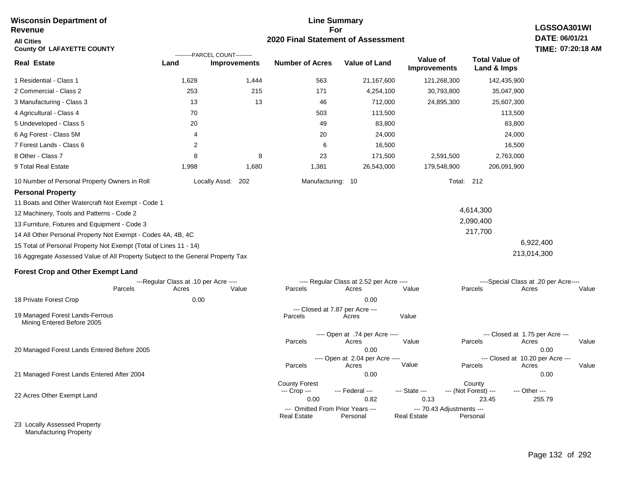#### **For 2020 Final Statement of Assessment Revenue All Cities County Of LAFAYETTE COUNTY LGSSOA301WI DATE: 06/01/21 Real Estate** 1 Residential - Class 1 2 Commercial - Class 2 3 Manufacturing - Class 3 4 Agricultural - Class 4 5 Undeveloped - Class 5 6 Ag Forest - Class 5M 7 Forest Lands - Class 6 8 Other - Class 7 9 Total Real Estate 10 Number of Personal Property Owners in Roll 1,628 1,444 563 21,167,600 121,268,300 142,435,900 **Land Improvements Number of Acres Value of Land Value of Improvements Total Value of Land & Imps** 253 13 70 20 4 2 8 1,998 215 13 8 1,680 171 46 503 49 20 6 23 1,381 4,254,100 712,000 113,500 83,800 24,000 16,500 171,500 26,543,000 30,793,800 24,895,300 2,591,500 179,548,900 35,047,900 25,607,300 113,500 83,800 24,000 16,500 2,763,000 206,091,900 Locally Assd: 202 Manufacturing: 10 Total: 212 **Personal Property** 11 Boats and Other Watercraft Not Exempt - Code 1 12 Machinery, Tools and Patterns - Code 2 13 Furniture, Fixtures and Equipment - Code 3 14 All Other Personal Property Not Exempt - Codes 4A, 4B, 4C 15 Total of Personal Property Not Exempt (Total of Lines 11 - 14) 16 Aggregate Assessed Value of All Property Subject to the General Property Tax 4,614,300 2,090,400 217,700 6,922,400 213,014,300 **Forest Crop and Other Exempt Land** ---Regular Class at .10 per Acre ---- ---- Regular Class at 2.52 per Acre ---- ----Special Class at .20 per Acre---- 18 Private Forest Crop 20 Managed Forest Lands Entered Before 2005 21 Managed Forest Lands Entered After 2004 Parcels 0.00 0.00 Acres Value Parcels Acres Value Parcels Acres Value ---- Open at .74 per Acre ----<br>Acres Parcels 0.00 0.00 Acres Value Parcels Acres Value --- Closed at 1.75 per Acre --- ---- Open at 2.04 per Acre ---- --- Closed at 10.20 per Acre --- Parcels 0.00 0.00 Acres **Value Parcels Acres Value** County Forest County County --- Crop --- 0.00 0.82 0.13 23.45 255.79 --- Federal --- - --- State --- --- (Not Forest) --- --- Other ---22 Acres Other Exempt Land --- Omitted From Prior Years ---<br>Real Estate Personal Personal Real Estate Personal **Real Estate** ---------PARCEL COUNT--------- 19 Managed Forest Lands-Ferrous Mining Entered Before 2005 --- Closed at 7.87 per Acre ---<br>rcels Acres Parcels **Acres** Value

23 Locally Assessed Property Manufacturing Property

## **Line Summary**

# **TIME: 07:20:18 AM**

## **Wisconsin Department of**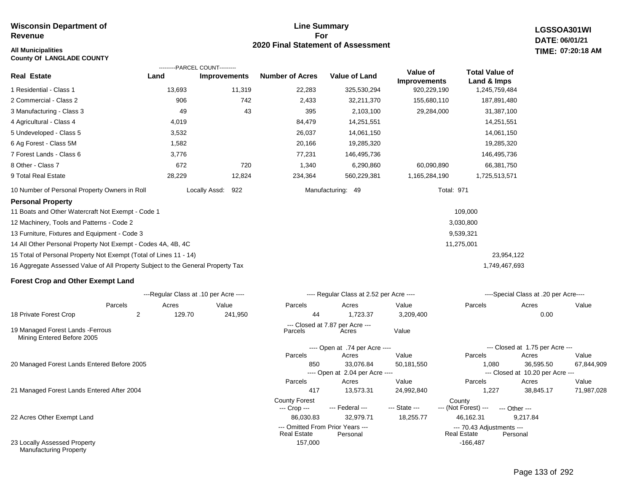#### **All Municipalities TIME:**

**County Of LANGLADE COUNTY**

#### **Line Summary For 2020 Final Statement of Assessment**

**LGSSOA301WI DATE: 06/01/21 07:20:18 AM**

|                                                                                 |                                       | ---------PARCEL COUNT--------- |                                      |                                          | Value of            | <b>Total Value of</b>          |                                           |            |
|---------------------------------------------------------------------------------|---------------------------------------|--------------------------------|--------------------------------------|------------------------------------------|---------------------|--------------------------------|-------------------------------------------|------------|
| Real Estate                                                                     | Land                                  | <b>Improvements</b>            | <b>Number of Acres</b>               | <b>Value of Land</b>                     | <b>Improvements</b> | Land & Imps                    |                                           |            |
| 1 Residential - Class 1                                                         | 13,693                                | 11,319                         | 22,283                               | 325,530,294                              | 920,229,190         | 1,245,759,484                  |                                           |            |
| 2 Commercial - Class 2                                                          | 906                                   | 742                            | 2,433                                | 32,211,370                               | 155,680,110         | 187,891,480                    |                                           |            |
| 3 Manufacturing - Class 3                                                       | 49                                    | 43                             | 395                                  | 2,103,100                                | 29,284,000          | 31,387,100                     |                                           |            |
| 4 Agricultural - Class 4                                                        | 4,019                                 |                                | 84,479                               | 14,251,551                               |                     | 14,251,551                     |                                           |            |
| 5 Undeveloped - Class 5                                                         | 3,532                                 |                                | 26,037                               | 14,061,150                               |                     | 14,061,150                     |                                           |            |
| 6 Ag Forest - Class 5M                                                          | 1,582                                 |                                | 20,166                               | 19,285,320                               |                     | 19,285,320                     |                                           |            |
| 7 Forest Lands - Class 6                                                        | 3,776                                 |                                | 77,231                               | 146,495,736                              |                     | 146,495,736                    |                                           |            |
| 8 Other - Class 7                                                               | 672                                   | 720                            | 1,340                                | 6,290,860                                | 60,090,890          | 66,381,750                     |                                           |            |
| 9 Total Real Estate                                                             | 28,229                                | 12,824                         | 234,364                              | 560,229,381                              | 1,165,284,190       | 1,725,513,571                  |                                           |            |
| 10 Number of Personal Property Owners in Roll                                   |                                       | 922<br>Locally Assd:           |                                      | Manufacturing: 49                        |                     | <b>Total: 971</b>              |                                           |            |
| <b>Personal Property</b>                                                        |                                       |                                |                                      |                                          |                     |                                |                                           |            |
| 11 Boats and Other Watercraft Not Exempt - Code 1                               |                                       |                                |                                      |                                          |                     | 109,000                        |                                           |            |
| 12 Machinery, Tools and Patterns - Code 2                                       |                                       |                                |                                      |                                          |                     | 3,030,800                      |                                           |            |
| 13 Furniture, Fixtures and Equipment - Code 3                                   |                                       |                                |                                      |                                          |                     | 9,539,321                      |                                           |            |
| 14 All Other Personal Property Not Exempt - Codes 4A, 4B, 4C                    |                                       |                                |                                      |                                          |                     | 11,275,001                     |                                           |            |
| 15 Total of Personal Property Not Exempt (Total of Lines 11 - 14)               |                                       |                                |                                      |                                          |                     |                                | 23,954,122                                |            |
| 16 Aggregate Assessed Value of All Property Subject to the General Property Tax |                                       |                                |                                      |                                          |                     | 1,749,467,693                  |                                           |            |
| <b>Forest Crop and Other Exempt Land</b>                                        |                                       |                                |                                      |                                          |                     |                                |                                           |            |
|                                                                                 | ---Regular Class at .10 per Acre ---- |                                |                                      | ---- Regular Class at 2.52 per Acre ---- |                     |                                | ----Special Class at .20 per Acre----     |            |
| Parcels                                                                         | Acres                                 | Value                          | Parcels                              | Acres                                    | Value               | Parcels                        | Acres                                     | Value      |
| 18 Private Forest Crop<br>$\overline{2}$                                        | 129.70                                | 241,950                        | 44                                   | 1,723.37                                 | 3,209,400           |                                | 0.00                                      |            |
| 19 Managed Forest Lands - Ferrous<br>Mining Entered Before 2005                 |                                       |                                | Parcels                              | --- Closed at 7.87 per Acre ---<br>Acres | Value               |                                |                                           |            |
|                                                                                 |                                       |                                |                                      | ---- Open at .74 per Acre ----           |                     |                                | --- Closed at 1.75 per Acre ---           |            |
|                                                                                 |                                       |                                | Parcels                              | Acres                                    | Value               | Parcels                        | Acres                                     | Value      |
| 20 Managed Forest Lands Entered Before 2005                                     |                                       |                                | 850                                  | 33,076.84                                | 50,181,550          | 1,080                          | 36,595.50                                 | 67,844,909 |
|                                                                                 |                                       |                                | Parcels                              | ---- Open at 2.04 per Acre ----<br>Acres | Value               | Parcels                        | --- Closed at 10.20 per Acre ---<br>Acres | Value      |
| 21 Managed Forest Lands Entered After 2004                                      |                                       |                                | 417                                  | 13,573.31                                | 24,992,840          | 1,227                          | 38,845.17                                 | 71,987,028 |
|                                                                                 |                                       |                                | <b>County Forest</b><br>--- Crop --- | --- Federal ---                          | --- State ---       | County<br>--- (Not Forest) --- | --- Other ---                             |            |
| 22 Acres Other Exempt Land                                                      |                                       |                                | 86.030.83                            | 32,979.71                                | 18,255.77           | 46,162.31                      | 9,217.84                                  |            |

157,000 -166,487

--- Omitted From Prior Years --- --- 70.43 Adjustments ---

**Real Estate** 

23 Locally Assessed Property Manufacturing Property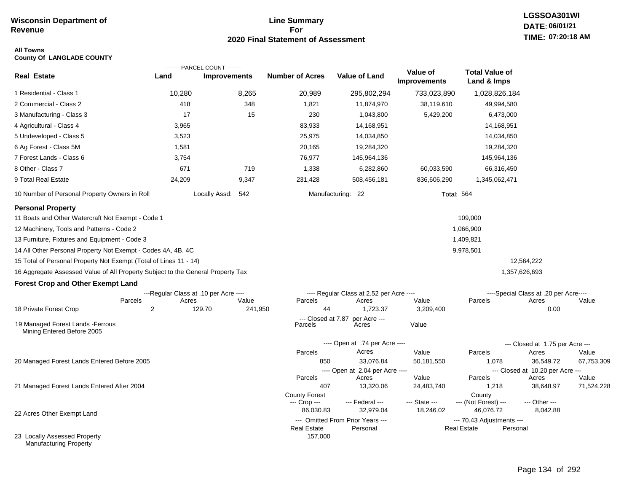#### **Line Summary For 2020 Final Statement of Assessment**

#### **All Towns County Of LANGLADE COUNTY**

|                                                                                                                                                                                                                                                                                                                                                                                                                                                 |                                                | ---------PARCEL COUNT--------- |                                      |                                                           |                                 |                                                              |                                                |            |
|-------------------------------------------------------------------------------------------------------------------------------------------------------------------------------------------------------------------------------------------------------------------------------------------------------------------------------------------------------------------------------------------------------------------------------------------------|------------------------------------------------|--------------------------------|--------------------------------------|-----------------------------------------------------------|---------------------------------|--------------------------------------------------------------|------------------------------------------------|------------|
| <b>Real Estate</b>                                                                                                                                                                                                                                                                                                                                                                                                                              | Land                                           | <b>Improvements</b>            | <b>Number of Acres</b>               | <b>Value of Land</b>                                      | Value of<br><b>Improvements</b> | <b>Total Value of</b><br>Land & Imps                         |                                                |            |
| 1 Residential - Class 1                                                                                                                                                                                                                                                                                                                                                                                                                         | 10,280                                         | 8,265                          | 20,989                               | 295,802,294                                               | 733,023,890                     | 1,028,826,184                                                |                                                |            |
| 2 Commercial - Class 2                                                                                                                                                                                                                                                                                                                                                                                                                          | 418                                            | 348                            | 1,821                                | 11,874,970                                                | 38,119,610                      | 49,994,580                                                   |                                                |            |
| 3 Manufacturing - Class 3                                                                                                                                                                                                                                                                                                                                                                                                                       | 17                                             | 15                             | 230                                  | 1,043,800                                                 | 5,429,200                       | 6,473,000                                                    |                                                |            |
| 4 Agricultural - Class 4                                                                                                                                                                                                                                                                                                                                                                                                                        | 3,965                                          |                                | 83,933                               | 14,168,951                                                |                                 | 14,168,951                                                   |                                                |            |
| 5 Undeveloped - Class 5                                                                                                                                                                                                                                                                                                                                                                                                                         | 3,523                                          |                                | 25,975                               | 14,034,850                                                |                                 | 14,034,850                                                   |                                                |            |
| 6 Ag Forest - Class 5M                                                                                                                                                                                                                                                                                                                                                                                                                          | 1,581                                          |                                | 20,165                               | 19,284,320                                                |                                 | 19,284,320                                                   |                                                |            |
| 7 Forest Lands - Class 6                                                                                                                                                                                                                                                                                                                                                                                                                        | 3,754                                          |                                | 76,977                               | 145,964,136                                               |                                 | 145,964,136                                                  |                                                |            |
| 8 Other - Class 7                                                                                                                                                                                                                                                                                                                                                                                                                               | 671                                            | 719                            | 1,338                                | 6,282,860                                                 | 60,033,590                      | 66,316,450                                                   |                                                |            |
| 9 Total Real Estate                                                                                                                                                                                                                                                                                                                                                                                                                             | 24,209                                         | 9,347                          | 231,428                              | 508,456,181                                               | 836,606,290                     | 1,345,062,471                                                |                                                |            |
| 10 Number of Personal Property Owners in Roll                                                                                                                                                                                                                                                                                                                                                                                                   |                                                | Locally Assd: 542              |                                      | Manufacturing: 22                                         |                                 | <b>Total: 564</b>                                            |                                                |            |
| <b>Personal Property</b><br>11 Boats and Other Watercraft Not Exempt - Code 1<br>12 Machinery, Tools and Patterns - Code 2<br>13 Furniture, Fixtures and Equipment - Code 3<br>14 All Other Personal Property Not Exempt - Codes 4A, 4B, 4C<br>15 Total of Personal Property Not Exempt (Total of Lines 11 - 14)<br>16 Aggregate Assessed Value of All Property Subject to the General Property Tax<br><b>Forest Crop and Other Exempt Land</b> |                                                |                                |                                      |                                                           |                                 | 109,000<br>1,066,900<br>1,409,821<br>9,978,501               | 12,564,222<br>1,357,626,693                    |            |
| Parcels                                                                                                                                                                                                                                                                                                                                                                                                                                         | ---Regular Class at .10 per Acre ----<br>Acres | Value                          | Parcels                              | ---- Regular Class at 2.52 per Acre ----<br>Acres         | Value                           | Parcels                                                      | ----Special Class at .20 per Acre----<br>Acres | Value      |
| 18 Private Forest Crop                                                                                                                                                                                                                                                                                                                                                                                                                          | 2                                              | 129.70<br>241,950              | 44                                   | 1,723.37                                                  | 3,209,400                       |                                                              | 0.00                                           |            |
| 19 Managed Forest Lands - Ferrous<br>Mining Entered Before 2005                                                                                                                                                                                                                                                                                                                                                                                 |                                                |                                | --- Closed at 7.87<br>Parcels        | per Acre ---<br>Acres                                     | Value                           |                                                              |                                                |            |
|                                                                                                                                                                                                                                                                                                                                                                                                                                                 |                                                |                                |                                      | ---- Open at .74 per Acre ----                            |                                 |                                                              | --- Closed at 1.75 per Acre ---                |            |
|                                                                                                                                                                                                                                                                                                                                                                                                                                                 |                                                |                                | Parcels                              | Acres                                                     | Value                           | Parcels                                                      | Acres                                          | Value      |
| 20 Managed Forest Lands Entered Before 2005                                                                                                                                                                                                                                                                                                                                                                                                     |                                                |                                | 850                                  | 33,076.84                                                 | 50,181,550                      | 1,078                                                        | 36,549.72                                      | 67,753,309 |
|                                                                                                                                                                                                                                                                                                                                                                                                                                                 |                                                |                                | Parcels                              | ---- Open at 2.04 per Acre ----<br>Acres                  | Value                           | Parcels                                                      | --- Closed at 10.20 per Acre ---<br>Acres      | Value      |
| 21 Managed Forest Lands Entered After 2004                                                                                                                                                                                                                                                                                                                                                                                                      |                                                |                                | 407                                  | 13,320.06                                                 | 24,483,740                      | 1,218                                                        | 38,648.97                                      | 71,524,228 |
|                                                                                                                                                                                                                                                                                                                                                                                                                                                 |                                                |                                | <b>County Forest</b><br>--- Crop --- | --- Federal ---                                           | --- State ---                   | County<br>--- (Not Forest) ---                               | --- Other ---                                  |            |
| 22 Acres Other Exempt Land                                                                                                                                                                                                                                                                                                                                                                                                                      |                                                |                                | 86,030.83<br><b>Real Estate</b>      | 32,979.04<br>--- Omitted From Prior Years ---<br>Personal | 18,246.02                       | 46,076.72<br>--- 70.43 Adjustments ---<br><b>Real Estate</b> | 8,042.88<br>Personal                           |            |
| 23 Locally Assessed Property<br><b>Manufacturing Property</b>                                                                                                                                                                                                                                                                                                                                                                                   |                                                |                                | 157,000                              |                                                           |                                 |                                                              |                                                |            |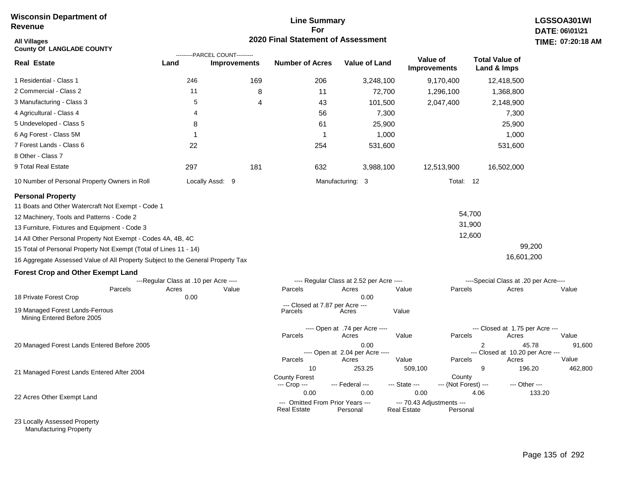#### **Line Summary For 2020 Final Statement of Assessment**

| All Villages<br><b>County Of LANGLADE COUNTY</b>                                |                                       | ---------PARCEL COUNT--------- | <b>2020 Final Statement of Assessment</b> |                                              |                    |                                       |                                          | TIME: 07:20:18    |
|---------------------------------------------------------------------------------|---------------------------------------|--------------------------------|-------------------------------------------|----------------------------------------------|--------------------|---------------------------------------|------------------------------------------|-------------------|
| <b>Real Estate</b>                                                              | Land                                  | <b>Improvements</b>            | <b>Number of Acres</b>                    | Value of Land                                |                    | Value of<br><b>Improvements</b>       | <b>Total Value of</b><br>Land & Imps     |                   |
| 1 Residential - Class 1                                                         | 246                                   | 169                            | 206                                       |                                              | 3,248,100          | 9,170,400                             | 12,418,500                               |                   |
| 2 Commercial - Class 2                                                          | 11                                    |                                | 8                                         | 11                                           | 72,700             | 1,296,100                             | 1,368,800                                |                   |
| 3 Manufacturing - Class 3                                                       | 5                                     |                                | 4                                         | 43                                           | 101,500            | 2,047,400                             | 2,148,900                                |                   |
| 4 Agricultural - Class 4                                                        | 4                                     |                                |                                           | 56                                           | 7,300              |                                       | 7,300                                    |                   |
| 5 Undeveloped - Class 5                                                         | 8                                     |                                |                                           | 61                                           | 25,900             |                                       | 25,900                                   |                   |
| 6 Ag Forest - Class 5M                                                          | 1                                     |                                |                                           | 1                                            | 1,000              |                                       | 1,000                                    |                   |
| 7 Forest Lands - Class 6                                                        | 22                                    |                                | 254                                       |                                              | 531,600            |                                       | 531,600                                  |                   |
| 8 Other - Class 7                                                               |                                       |                                |                                           |                                              |                    |                                       |                                          |                   |
| 9 Total Real Estate                                                             | 297                                   | 181                            | 632                                       |                                              | 3,988,100          | 12,513,900                            | 16,502,000                               |                   |
| 10 Number of Personal Property Owners in Roll                                   |                                       | Locally Assd: 9                |                                           | Manufacturing: 3                             |                    | Total: 12                             |                                          |                   |
| <b>Personal Property</b>                                                        |                                       |                                |                                           |                                              |                    |                                       |                                          |                   |
| 11 Boats and Other Watercraft Not Exempt - Code 1                               |                                       |                                |                                           |                                              |                    |                                       |                                          |                   |
| 12 Machinery, Tools and Patterns - Code 2                                       |                                       |                                |                                           |                                              |                    |                                       | 54,700                                   |                   |
| 13 Furniture, Fixtures and Equipment - Code 3                                   |                                       |                                |                                           |                                              |                    |                                       | 31,900                                   |                   |
| 14 All Other Personal Property Not Exempt - Codes 4A, 4B, 4C                    |                                       |                                |                                           |                                              |                    |                                       | 12,600                                   |                   |
| 15 Total of Personal Property Not Exempt (Total of Lines 11 - 14)               |                                       |                                |                                           |                                              |                    |                                       |                                          | 99,200            |
| 16 Aggregate Assessed Value of All Property Subject to the General Property Tax |                                       |                                |                                           |                                              |                    |                                       | 16,601,200                               |                   |
| <b>Forest Crop and Other Exempt Land</b>                                        |                                       |                                |                                           |                                              |                    |                                       |                                          |                   |
|                                                                                 | ---Regular Class at .10 per Acre ---- |                                |                                           | ---- Regular Class at 2.52 per Acre ----     |                    |                                       | ----Special Class at .20 per Acre----    |                   |
| Parcels                                                                         | Acres                                 | Value                          | Parcels                                   | Acres                                        | Value              | Parcels                               | Acres                                    | Value             |
| 18 Private Forest Crop                                                          | 0.00                                  |                                |                                           | 0.00                                         |                    |                                       |                                          |                   |
| 19 Managed Forest Lands-Ferrous<br>Mining Entered Before 2005                   |                                       |                                | Parcels                                   | --- Closed at 7.87 per Acre ---<br>Acres     | Value              |                                       |                                          |                   |
|                                                                                 |                                       |                                | Parcels                                   | ---- Open at .74 per Acre ----<br>Acres      | Value              | Parcels                               | --- Closed at 1.75 per Acre ---<br>Acres | Value             |
| 20 Managed Forest Lands Entered Before 2005                                     |                                       |                                |                                           | 0.00                                         |                    |                                       | 2                                        | 45.78<br>91,600   |
|                                                                                 |                                       |                                |                                           | ---- Open at 2.04 per Acre ----              |                    |                                       | --- Closed at 10.20 per Acre ---         | Value             |
|                                                                                 |                                       |                                | Parcels<br>10                             | Acres<br>253.25                              | Value              | Parcels<br>509,100                    | Acres<br>9                               | 196.20<br>462,800 |
| 21 Managed Forest Lands Entered After 2004                                      |                                       |                                | <b>County Forest</b><br>--- Crop ---      | --- Federal ---                              | --- State ---      | County<br>--- (Not Forest) ---        | --- Other ---                            |                   |
|                                                                                 |                                       |                                | 0.00                                      | 0.00                                         |                    | 0.00                                  | 4.06                                     | 133.20            |
| 22 Acres Other Exempt Land                                                      |                                       |                                | Real Estate                               | --- Omitted From Prior Years ---<br>Personal | <b>Real Estate</b> | --- 70.43 Adjustments ---<br>Personal |                                          |                   |

23 Locally Assessed Property Manufacturing Property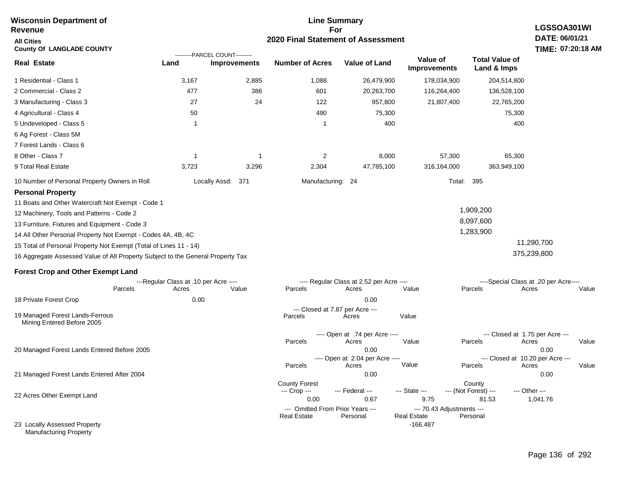| <b>Wisconsin Department of</b><br><b>Revenue</b>                                                                                                                                                                                                                                                                                                                                                                                                                                     | <b>Line Summary</b><br>For                             |                                                       |                                                                |                                                                                              |                                                                       |                                                |                                                                                      |  |  |
|--------------------------------------------------------------------------------------------------------------------------------------------------------------------------------------------------------------------------------------------------------------------------------------------------------------------------------------------------------------------------------------------------------------------------------------------------------------------------------------|--------------------------------------------------------|-------------------------------------------------------|----------------------------------------------------------------|----------------------------------------------------------------------------------------------|-----------------------------------------------------------------------|------------------------------------------------|--------------------------------------------------------------------------------------|--|--|
| <b>All Cities</b><br><b>County Of LANGLADE COUNTY</b>                                                                                                                                                                                                                                                                                                                                                                                                                                | 2020 Final Statement of Assessment                     |                                                       |                                                                |                                                                                              |                                                                       |                                                |                                                                                      |  |  |
| <b>Real Estate</b>                                                                                                                                                                                                                                                                                                                                                                                                                                                                   | Land                                                   | ---------PARCEL COUNT---------<br><b>Improvements</b> | <b>Number of Acres</b>                                         | <b>Value of Land</b>                                                                         | Value of<br><b>Improvements</b>                                       | <b>Total Value of</b><br>Land & Imps           | TIME: 07:20:18 AM                                                                    |  |  |
| 1 Residential - Class 1                                                                                                                                                                                                                                                                                                                                                                                                                                                              | 3,167                                                  | 2,885                                                 | 1,088                                                          | 26,479,900                                                                                   | 178,034,900                                                           | 204,514,800                                    |                                                                                      |  |  |
| 2 Commercial - Class 2                                                                                                                                                                                                                                                                                                                                                                                                                                                               | 477                                                    | 386                                                   | 601                                                            | 20,263,700                                                                                   | 116,264,400                                                           | 136,528,100                                    |                                                                                      |  |  |
| 3 Manufacturing - Class 3                                                                                                                                                                                                                                                                                                                                                                                                                                                            | 27                                                     | 24                                                    | 122                                                            | 957,800                                                                                      | 21,807,400                                                            | 22,765,200                                     |                                                                                      |  |  |
| 4 Agricultural - Class 4                                                                                                                                                                                                                                                                                                                                                                                                                                                             | 50                                                     |                                                       | 490                                                            | 75,300                                                                                       |                                                                       | 75,300                                         |                                                                                      |  |  |
| 5 Undeveloped - Class 5                                                                                                                                                                                                                                                                                                                                                                                                                                                              | -1                                                     |                                                       | -1                                                             | 400                                                                                          |                                                                       | 400                                            |                                                                                      |  |  |
| 6 Ag Forest - Class 5M                                                                                                                                                                                                                                                                                                                                                                                                                                                               |                                                        |                                                       |                                                                |                                                                                              |                                                                       |                                                |                                                                                      |  |  |
| 7 Forest Lands - Class 6                                                                                                                                                                                                                                                                                                                                                                                                                                                             |                                                        |                                                       |                                                                |                                                                                              |                                                                       |                                                |                                                                                      |  |  |
| 8 Other - Class 7                                                                                                                                                                                                                                                                                                                                                                                                                                                                    | -1                                                     | -1                                                    | 2                                                              | 8,000                                                                                        | 57,300                                                                | 65,300                                         |                                                                                      |  |  |
| 9 Total Real Estate                                                                                                                                                                                                                                                                                                                                                                                                                                                                  | 3,723                                                  | 3,296                                                 | 2,304                                                          | 47,785,100                                                                                   | 316,164,000                                                           | 363,949,100                                    |                                                                                      |  |  |
| 10 Number of Personal Property Owners in Roll                                                                                                                                                                                                                                                                                                                                                                                                                                        |                                                        | Locally Assd:<br>371                                  | Manufacturing: 24                                              |                                                                                              | Total:                                                                | 395                                            |                                                                                      |  |  |
| <b>Personal Property</b><br>11 Boats and Other Watercraft Not Exempt - Code 1<br>12 Machinery, Tools and Patterns - Code 2<br>13 Furniture, Fixtures and Equipment - Code 3<br>14 All Other Personal Property Not Exempt - Codes 4A, 4B, 4C<br>15 Total of Personal Property Not Exempt (Total of Lines 11 - 14)<br>16 Aggregate Assessed Value of All Property Subject to the General Property Tax<br><b>Forest Crop and Other Exempt Land</b><br>Parcels<br>18 Private Forest Crop | ---Regular Class at .10 per Acre ----<br>Acres<br>0.00 | Value                                                 | Parcels                                                        | ---- Regular Class at 2.52 per Acre ----<br>Acres<br>0.00<br>--- Closed at 7.87 per Acre --- | Value                                                                 | 1,909,200<br>8,097,600<br>1,283,900<br>Parcels | 11,290,700<br>375,239,800<br>----Special Class at .20 per Acre----<br>Acres<br>Value |  |  |
| 19 Managed Forest Lands-Ferrous<br>Mining Entered Before 2005                                                                                                                                                                                                                                                                                                                                                                                                                        |                                                        |                                                       | Parcels<br>Parcels                                             | Acres<br>---- Open at .74 per Acre ----<br>Acres                                             | Value<br>Value                                                        | Parcels                                        | --- Closed at 1.75 per Acre ---<br>Acres<br>Value                                    |  |  |
| 20 Managed Forest Lands Entered Before 2005                                                                                                                                                                                                                                                                                                                                                                                                                                          |                                                        |                                                       | Parcels                                                        | 0.00<br>---- Open at 2.04 per Acre ----<br>Acres                                             | Value                                                                 | --- Closed at 10.20 per Acre ---<br>Parcels    | 0.00<br>Acres<br>Value                                                               |  |  |
| 21 Managed Forest Lands Entered After 2004                                                                                                                                                                                                                                                                                                                                                                                                                                           |                                                        |                                                       | <b>County Forest</b><br>--- Crop ---                           | 0.00<br>--- Federal ---                                                                      | --- State ---                                                         | County<br>--- (Not Forest) ---                 | 0.00<br>--- Other ---                                                                |  |  |
| 22 Acres Other Exempt Land<br>23 Locally Assessed Property<br><b>Manufacturing Property</b>                                                                                                                                                                                                                                                                                                                                                                                          |                                                        |                                                       | 0.00<br>--- Omitted From Prior Years ---<br><b>Real Estate</b> | 0.67<br>Personal                                                                             | 9.75<br>--- 70.43 Adjustments ---<br><b>Real Estate</b><br>$-166,487$ | 81.53<br>Personal                              | 1,041.76                                                                             |  |  |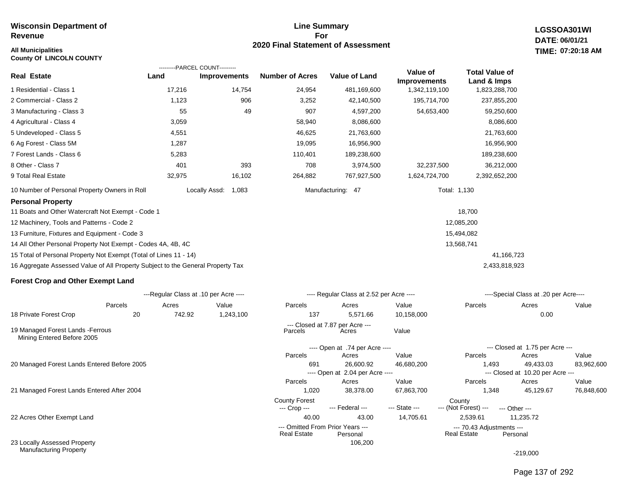#### **All Municipalities TIME:**

**County Of LINCOLN COUNTY**

#### **Line Summary For 2020 Final Statement of Assessment**

**LGSSOA301WI DATE: 06/01/21 07:20:18 AM**

|                                                                                 |                                       | ---------PARCEL COUNT--------- |                        |                                          |                                 |                                      |                                           |            |
|---------------------------------------------------------------------------------|---------------------------------------|--------------------------------|------------------------|------------------------------------------|---------------------------------|--------------------------------------|-------------------------------------------|------------|
| <b>Real Estate</b>                                                              | Land                                  | <b>Improvements</b>            | <b>Number of Acres</b> | Value of Land                            | Value of<br><b>Improvements</b> | <b>Total Value of</b><br>Land & Imps |                                           |            |
| 1 Residential - Class 1                                                         | 17,216                                | 14,754                         | 24,954                 | 481,169,600                              | 1,342,119,100                   | 1,823,288,700                        |                                           |            |
| 2 Commercial - Class 2                                                          | 1,123                                 | 906                            | 3,252                  | 42,140,500                               | 195,714,700                     | 237,855,200                          |                                           |            |
| 3 Manufacturing - Class 3                                                       | 55                                    | 49                             | 907                    | 4,597,200                                | 54,653,400                      | 59,250,600                           |                                           |            |
| 4 Agricultural - Class 4                                                        | 3,059                                 |                                | 58,940                 | 8,086,600                                |                                 | 8,086,600                            |                                           |            |
| 5 Undeveloped - Class 5                                                         | 4,551                                 |                                | 46,625                 | 21,763,600                               |                                 | 21,763,600                           |                                           |            |
| 6 Ag Forest - Class 5M                                                          | 1,287                                 |                                | 19,095                 | 16,956,900                               |                                 | 16,956,900                           |                                           |            |
| 7 Forest Lands - Class 6                                                        | 5,283                                 |                                | 110,401                | 189,238,600                              |                                 | 189,238,600                          |                                           |            |
| 8 Other - Class 7                                                               | 401                                   | 393                            | 708                    | 3,974,500                                | 32,237,500                      | 36,212,000                           |                                           |            |
| 9 Total Real Estate                                                             | 32,975                                | 16,102                         | 264,882                | 767,927,500                              | 1,624,724,700                   | 2,392,652,200                        |                                           |            |
| 10 Number of Personal Property Owners in Roll                                   |                                       | Locally Assd:<br>1,083         |                        | Manufacturing: 47                        |                                 | Total: 1,130                         |                                           |            |
| <b>Personal Property</b>                                                        |                                       |                                |                        |                                          |                                 |                                      |                                           |            |
| 11 Boats and Other Watercraft Not Exempt - Code 1                               |                                       |                                |                        |                                          |                                 | 18,700                               |                                           |            |
| 12 Machinery, Tools and Patterns - Code 2                                       |                                       |                                |                        |                                          |                                 | 12,085,200                           |                                           |            |
| 13 Furniture, Fixtures and Equipment - Code 3                                   |                                       |                                |                        |                                          |                                 | 15,494,082                           |                                           |            |
| 14 All Other Personal Property Not Exempt - Codes 4A, 4B, 4C                    |                                       |                                |                        |                                          |                                 | 13,568,741                           |                                           |            |
| 15 Total of Personal Property Not Exempt (Total of Lines 11 - 14)               |                                       |                                |                        |                                          |                                 |                                      | 41,166,723                                |            |
| 16 Aggregate Assessed Value of All Property Subject to the General Property Tax |                                       |                                |                        |                                          |                                 | 2,433,818,923                        |                                           |            |
| <b>Forest Crop and Other Exempt Land</b>                                        |                                       |                                |                        |                                          |                                 |                                      |                                           |            |
|                                                                                 | ---Regular Class at .10 per Acre ---- |                                |                        | ---- Regular Class at 2.52 per Acre ---- |                                 |                                      | ----Special Class at .20 per Acre----     |            |
| Parcels                                                                         | Acres                                 | Value                          | Parcels                | Acres                                    | Value                           | Parcels                              | Acres                                     | Value      |
| 18 Private Forest Crop                                                          | 20<br>742.92                          | 1,243,100                      | 137                    | 5,571.66                                 | 10,158,000                      |                                      | 0.00                                      |            |
| 19 Managed Forest Lands - Ferrous<br>Mining Entered Before 2005                 |                                       |                                | Parcels                | --- Closed at 7.87 per Acre ---<br>Acres | Value                           |                                      |                                           |            |
|                                                                                 |                                       |                                |                        | ---- Open at .74 per Acre ----           |                                 |                                      | --- Closed at 1.75 per Acre ---           |            |
|                                                                                 |                                       |                                | Parcels                | Acres                                    | Value                           | Parcels                              | Acres                                     | Value      |
| 20 Managed Forest Lands Entered Before 2005                                     |                                       |                                | 691                    | 26,600.92                                | 46,680,200                      | 1,493                                | 49,433.03                                 | 83,962,600 |
|                                                                                 |                                       |                                | Parcels                | ---- Open at 2.04 per Acre ----<br>Acres | Value                           | Parcels                              | --- Closed at 10.20 per Acre ---<br>Acres | Value      |
| 21 Managed Forest Lands Entered After 2004                                      |                                       |                                | 1,020                  | 38,378.00                                | 67,863,700                      | 1,348                                | 45,129.67                                 | 76,848,600 |
|                                                                                 |                                       |                                | <b>County Forest</b>   | --- Federal ---                          | --- State ---                   | County<br>--- (Not Forest) ---       |                                           |            |
| 22 Acres Other Exempt Land                                                      |                                       |                                | --- Crop ---<br>40.00  | 43.00                                    | 14,705.61                       | 2,539.61                             | --- Other ---<br>11,235.72                |            |
|                                                                                 |                                       |                                |                        |                                          |                                 |                                      |                                           |            |

106,200

--- Omitted From Prior Years --- --- 70.43 Adjustments ---

Real Estate

22 Acres Other Exempt Land

23 Locally Assessed Property Manufacturing Property

-219,000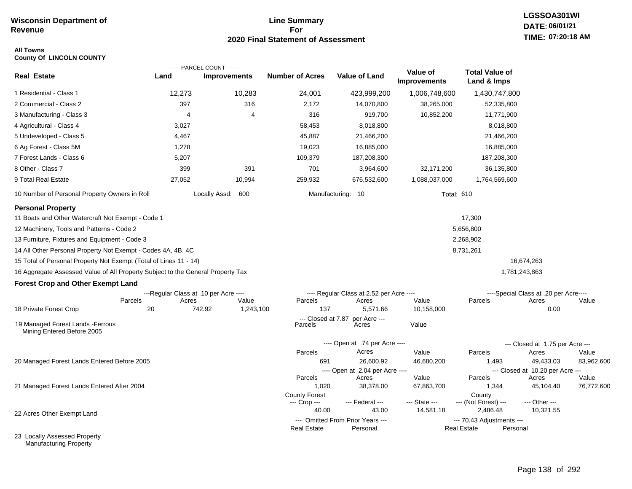#### **Line Summary For 2020 Final Statement of Assessment**

## **All Towns**

| <b>County Of LINCOLN COUNTY</b> |  |  |
|---------------------------------|--|--|
|---------------------------------|--|--|

|                                                                                 |                                       | ---------PARCEL COUNT--------- |                               |                                              |                          |                                                 |                                       |                     |  |
|---------------------------------------------------------------------------------|---------------------------------------|--------------------------------|-------------------------------|----------------------------------------------|--------------------------|-------------------------------------------------|---------------------------------------|---------------------|--|
| <b>Real Estate</b>                                                              | Land                                  | Improvements                   | <b>Number of Acres</b>        | <b>Value of Land</b>                         | Value of<br>Improvements | <b>Total Value of</b><br>Land & Imps            |                                       |                     |  |
| 1 Residential - Class 1                                                         | 12,273                                | 10,283                         | 24,001                        | 423,999,200                                  | 1,006,748,600            | 1,430,747,800                                   |                                       |                     |  |
| 2 Commercial - Class 2                                                          | 397                                   | 316                            | 2,172                         | 14,070,800                                   | 38,265,000               | 52,335,800                                      |                                       |                     |  |
| 3 Manufacturing - Class 3                                                       | 4                                     | 4                              | 316                           | 919,700                                      | 10,852,200               | 11,771,900                                      |                                       |                     |  |
| 4 Agricultural - Class 4                                                        | 3,027                                 |                                | 58,453                        | 8,018,800                                    |                          | 8,018,800                                       |                                       |                     |  |
| 5 Undeveloped - Class 5                                                         | 4,467                                 |                                | 45,887                        | 21,466,200                                   |                          | 21,466,200                                      |                                       |                     |  |
| 6 Ag Forest - Class 5M                                                          | 1,278                                 |                                | 19,023                        | 16,885,000                                   |                          | 16,885,000                                      |                                       |                     |  |
| 7 Forest Lands - Class 6                                                        | 5,207                                 |                                | 109,379                       | 187,208,300                                  |                          | 187,208,300                                     |                                       |                     |  |
| 8 Other - Class 7                                                               | 399                                   | 391                            | 701                           | 3,964,600                                    | 32,171,200               | 36,135,800                                      |                                       |                     |  |
| 9 Total Real Estate                                                             | 27,052                                | 10,994                         | 259,932                       | 676,532,600                                  | 1,088,037,000            | 1,764,569,600                                   |                                       |                     |  |
| 10 Number of Personal Property Owners in Roll                                   |                                       | Locally Assd: 600              |                               | Manufacturing: 10                            | <b>Total: 610</b>        |                                                 |                                       |                     |  |
| <b>Personal Property</b>                                                        |                                       |                                |                               |                                              |                          |                                                 |                                       |                     |  |
| 11 Boats and Other Watercraft Not Exempt - Code 1                               |                                       |                                |                               |                                              |                          | 17,300                                          |                                       |                     |  |
| 12 Machinery, Tools and Patterns - Code 2                                       |                                       |                                |                               |                                              |                          | 5,656,800                                       |                                       |                     |  |
| 13 Furniture, Fixtures and Equipment - Code 3                                   |                                       |                                |                               |                                              |                          | 2,268,902                                       |                                       |                     |  |
| 14 All Other Personal Property Not Exempt - Codes 4A, 4B, 4C                    |                                       |                                |                               |                                              |                          | 8,731,261                                       |                                       |                     |  |
| 15 Total of Personal Property Not Exempt (Total of Lines 11 - 14)               |                                       |                                |                               |                                              |                          |                                                 | 16,674,263                            |                     |  |
| 16 Aggregate Assessed Value of All Property Subject to the General Property Tax |                                       |                                |                               |                                              |                          |                                                 | 1,781,243,863                         |                     |  |
| <b>Forest Crop and Other Exempt Land</b>                                        |                                       |                                |                               |                                              |                          |                                                 |                                       |                     |  |
|                                                                                 | ---Regular Class at .10 per Acre ---- |                                |                               | ---- Regular Class at 2.52 per Acre ----     |                          |                                                 | ----Special Class at .20 per Acre---- |                     |  |
| Parcels                                                                         | Acres                                 | Value                          | Parcels                       | Acres                                        | Value                    | Parcels                                         | Acres                                 | Value               |  |
| 18 Private Forest Crop                                                          | 20                                    | 742.92<br>1,243,100            | 137                           | 5,571.66                                     | 10,158,000               |                                                 | 0.00                                  |                     |  |
| 19 Managed Forest Lands - Ferrous<br>Mining Entered Before 2005                 |                                       |                                | --- Closed at 7.87<br>Parcels | per Acre ---<br>Acres                        | Value                    |                                                 |                                       |                     |  |
|                                                                                 |                                       |                                |                               | ---- Open at .74 per Acre ----               |                          |                                                 | --- Closed at 1.75 per Acre ---       |                     |  |
|                                                                                 |                                       |                                | Parcels                       | Acres                                        | Value                    | Parcels                                         | Acres                                 | Value               |  |
| 20 Managed Forest Lands Entered Before 2005                                     |                                       |                                | 691                           | 26,600.92                                    | 46,680,200               | 1,493                                           | 49,433.03                             | 83,962,600          |  |
|                                                                                 |                                       |                                |                               | ---- Open at 2.04 per Acre ----              |                          |                                                 | --- Closed at 10.20 per Acre ---      |                     |  |
| 21 Managed Forest Lands Entered After 2004                                      |                                       |                                | Parcels<br>1,020              | Acres<br>38,378.00                           | Value<br>67,863,700      | Parcels<br>1,344                                | Acres<br>45,104.40                    | Value<br>76,772,600 |  |
|                                                                                 |                                       |                                | <b>County Forest</b>          |                                              |                          | County                                          |                                       |                     |  |
|                                                                                 |                                       |                                | --- Crop ---                  | --- Federal ---                              | --- State ---            | --- (Not Forest) ---                            | --- Other ---                         |                     |  |
| 22 Acres Other Exempt Land                                                      |                                       |                                | 40.00                         | 43.00                                        | 14,581.18                | 2,486.48                                        | 10,321.55                             |                     |  |
|                                                                                 |                                       |                                | <b>Real Estate</b>            | --- Omitted From Prior Years ---<br>Personal |                          | --- 70.43 Adjustments ---<br><b>Real Estate</b> | Personal                              |                     |  |
| 23 Locally Assessed Property                                                    |                                       |                                |                               |                                              |                          |                                                 |                                       |                     |  |

Manufacturing Property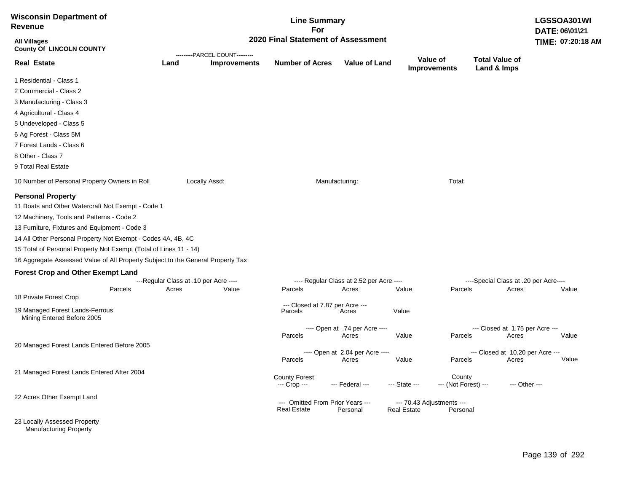| <b>Wisconsin Department of</b><br><b>Revenue</b>                                                                                                                                                                                                                                                                                                                                                    |                                       |                                                                      | <b>Line Summary</b><br>For                             |                                          |                    |                                       |                                       | LGSSOA301WI<br>DATE: 06\01\21 |  |  |
|-----------------------------------------------------------------------------------------------------------------------------------------------------------------------------------------------------------------------------------------------------------------------------------------------------------------------------------------------------------------------------------------------------|---------------------------------------|----------------------------------------------------------------------|--------------------------------------------------------|------------------------------------------|--------------------|---------------------------------------|---------------------------------------|-------------------------------|--|--|
| <b>All Villages</b><br><b>County Of LINCOLN COUNTY</b>                                                                                                                                                                                                                                                                                                                                              |                                       | 2020 Final Statement of Assessment<br>---------PARCEL COUNT--------- |                                                        |                                          |                    |                                       |                                       |                               |  |  |
| <b>Real Estate</b>                                                                                                                                                                                                                                                                                                                                                                                  | Land                                  | <b>Improvements</b>                                                  | <b>Number of Acres</b>                                 | <b>Value of Land</b>                     |                    | Value of<br><b>Improvements</b>       | <b>Total Value of</b><br>Land & Imps  |                               |  |  |
| 1 Residential - Class 1                                                                                                                                                                                                                                                                                                                                                                             |                                       |                                                                      |                                                        |                                          |                    |                                       |                                       |                               |  |  |
| 2 Commercial - Class 2                                                                                                                                                                                                                                                                                                                                                                              |                                       |                                                                      |                                                        |                                          |                    |                                       |                                       |                               |  |  |
| 3 Manufacturing - Class 3                                                                                                                                                                                                                                                                                                                                                                           |                                       |                                                                      |                                                        |                                          |                    |                                       |                                       |                               |  |  |
| 4 Agricultural - Class 4                                                                                                                                                                                                                                                                                                                                                                            |                                       |                                                                      |                                                        |                                          |                    |                                       |                                       |                               |  |  |
| 5 Undeveloped - Class 5                                                                                                                                                                                                                                                                                                                                                                             |                                       |                                                                      |                                                        |                                          |                    |                                       |                                       |                               |  |  |
| 6 Ag Forest - Class 5M                                                                                                                                                                                                                                                                                                                                                                              |                                       |                                                                      |                                                        |                                          |                    |                                       |                                       |                               |  |  |
| 7 Forest Lands - Class 6                                                                                                                                                                                                                                                                                                                                                                            |                                       |                                                                      |                                                        |                                          |                    |                                       |                                       |                               |  |  |
| 8 Other - Class 7                                                                                                                                                                                                                                                                                                                                                                                   |                                       |                                                                      |                                                        |                                          |                    |                                       |                                       |                               |  |  |
| 9 Total Real Estate                                                                                                                                                                                                                                                                                                                                                                                 |                                       |                                                                      |                                                        |                                          |                    |                                       |                                       |                               |  |  |
| 10 Number of Personal Property Owners in Roll                                                                                                                                                                                                                                                                                                                                                       |                                       | Locally Assd:                                                        |                                                        | Manufacturing:                           |                    | Total:                                |                                       |                               |  |  |
| <b>Personal Property</b><br>11 Boats and Other Watercraft Not Exempt - Code 1<br>12 Machinery, Tools and Patterns - Code 2<br>13 Furniture, Fixtures and Equipment - Code 3<br>14 All Other Personal Property Not Exempt - Codes 4A, 4B, 4C<br>15 Total of Personal Property Not Exempt (Total of Lines 11 - 14)<br>16 Aggregate Assessed Value of All Property Subject to the General Property Tax |                                       |                                                                      |                                                        |                                          |                    |                                       |                                       |                               |  |  |
| <b>Forest Crop and Other Exempt Land</b>                                                                                                                                                                                                                                                                                                                                                            | ---Regular Class at .10 per Acre ---- |                                                                      |                                                        | ---- Regular Class at 2.52 per Acre ---- |                    |                                       | ----Special Class at .20 per Acre---- |                               |  |  |
| Parcels                                                                                                                                                                                                                                                                                                                                                                                             | Acres                                 | Value                                                                | Parcels                                                | Acres                                    | Value              | Parcels                               | Acres                                 | Value                         |  |  |
| 18 Private Forest Crop                                                                                                                                                                                                                                                                                                                                                                              |                                       |                                                                      |                                                        |                                          |                    |                                       |                                       |                               |  |  |
| 19 Managed Forest Lands-Ferrous<br>Mining Entered Before 2005                                                                                                                                                                                                                                                                                                                                       |                                       |                                                                      | --- Closed at 7.87 per Acre ---<br>Parcels             | Acres                                    | Value              |                                       |                                       |                               |  |  |
|                                                                                                                                                                                                                                                                                                                                                                                                     |                                       |                                                                      |                                                        | ---- Open at .74 per Acre ----           |                    |                                       | --- Closed at 1.75 per Acre ---       |                               |  |  |
|                                                                                                                                                                                                                                                                                                                                                                                                     |                                       |                                                                      | Parcels                                                | Acres                                    | Value              | Parcels                               | Acres                                 | Value                         |  |  |
| 20 Managed Forest Lands Entered Before 2005                                                                                                                                                                                                                                                                                                                                                         |                                       |                                                                      |                                                        | ---- Open at 2.04 per Acre ----          |                    |                                       | --- Closed at 10.20 per Acre ---      |                               |  |  |
|                                                                                                                                                                                                                                                                                                                                                                                                     |                                       |                                                                      | Parcels                                                | Acres                                    | Value              | Parcels                               | Acres                                 | Value                         |  |  |
| 21 Managed Forest Lands Entered After 2004                                                                                                                                                                                                                                                                                                                                                          |                                       |                                                                      | <b>County Forest</b><br>--- Crop ---                   | --- Federal ---                          | --- State ---      | County<br>--- (Not Forest) ---        |                                       | --- Other ---                 |  |  |
| 22 Acres Other Exempt Land                                                                                                                                                                                                                                                                                                                                                                          |                                       |                                                                      | --- Omitted From Prior Years ---<br><b>Real Estate</b> | Personal                                 | <b>Real Estate</b> | --- 70.43 Adjustments ---<br>Personal |                                       |                               |  |  |
| 23 Locally Assessed Property                                                                                                                                                                                                                                                                                                                                                                        |                                       |                                                                      |                                                        |                                          |                    |                                       |                                       |                               |  |  |

Manufacturing Property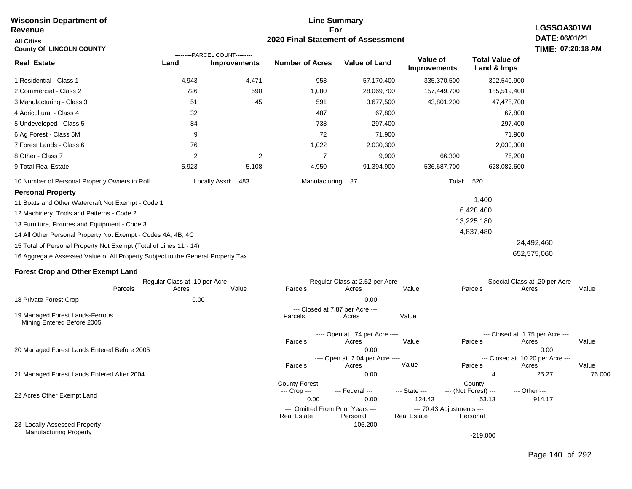#### **Line Summary For 2020 Final Statement of Assessment Wisconsin Department of Revenue All Cities County Of LINCOLN COUNTY LGSSOA301WI DATE: 06/01/21 TIME: 07:20:18 AM Real Estate** 1 Residential - Class 1 2 Commercial - Class 2 3 Manufacturing - Class 3 4 Agricultural - Class 4 5 Undeveloped - Class 5 6 Ag Forest - Class 5M 7 Forest Lands - Class 6 8 Other - Class 7 9 Total Real Estate 10 Number of Personal Property Owners in Roll 4,943 4,471 953 57,170,400 335,370,500 392,540,900 **Land Improvements Number of Acres Value of Land Value of Improvements Total Value of Land & Imps** 726 51 32 84 9 76 2 5,923 590 45 2 5,108 1,080 591 487 738 72 1,022 7 4,950 28,069,700 3,677,500 67,800 297,400 71,900 2,030,300 9,900 91,394,900 157,449,700 43,801,200 66,300 536,687,700 185,519,400 47,478,700 67,800 297,400 71,900 2,030,300 76,200 628,082,600 Locally Assd: 483 Manufacturing: 37 Total: 520 **Personal Property** 11 Boats and Other Watercraft Not Exempt - Code 1 12 Machinery, Tools and Patterns - Code 2 13 Furniture, Fixtures and Equipment - Code 3 1,400 6,428,400 13,225,180 ---------PARCEL COUNT---------

14 All Other Personal Property Not Exempt - Codes 4A, 4B, 4C

15 Total of Personal Property Not Exempt (Total of Lines 11 - 14)

16 Aggregate Assessed Value of All Property Subject to the General Property Tax

#### **Forest Crop and Other Exempt Land**

|                                                               | ---Regular Class at .10 per Acre ---- |       |       |                                      | ---- Regular Class at 2.52 per Acre ----     |                    |                                       | ----Special Class at .20 per Acre---- |        |  |
|---------------------------------------------------------------|---------------------------------------|-------|-------|--------------------------------------|----------------------------------------------|--------------------|---------------------------------------|---------------------------------------|--------|--|
|                                                               | Parcels                               | Acres | Value | Parcels                              | Acres                                        | Value              | Parcels                               | Acres                                 | Value  |  |
| 18 Private Forest Crop                                        |                                       | 0.00  |       |                                      | 0.00                                         |                    |                                       |                                       |        |  |
| 19 Managed Forest Lands-Ferrous<br>Mining Entered Before 2005 |                                       |       |       | Parcels                              | --- Closed at 7.87 per Acre ---<br>Acres     | Value              |                                       |                                       |        |  |
|                                                               |                                       |       |       |                                      | ---- Open at .74 per Acre ----               |                    |                                       | --- Closed at 1.75 per Acre ---       |        |  |
|                                                               |                                       |       |       | Parcels                              | Acres                                        | Value              | Parcels                               | Acres                                 | Value  |  |
| 20 Managed Forest Lands Entered Before 2005                   |                                       |       |       | 0.00                                 |                                              |                    | 0.00                                  |                                       |        |  |
|                                                               |                                       |       |       |                                      | ---- Open at 2.04 per Acre ----              |                    |                                       | --- Closed at 10.20 per Acre ---      |        |  |
|                                                               |                                       |       |       | Parcels                              | Acres                                        | Value              | Parcels                               | Acres                                 | Value  |  |
| 21 Managed Forest Lands Entered After 2004                    |                                       |       |       |                                      | 0.00                                         |                    | 4                                     | 25.27                                 | 76,000 |  |
|                                                               |                                       |       |       | <b>County Forest</b><br>--- Crop --- | --- Federal ---                              | --- State ---      | County<br>--- (Not Forest) ---        | --- Other ---                         |        |  |
| 22 Acres Other Exempt Land                                    |                                       |       |       | 0.00                                 | 0.00                                         | 124.43             | 53.13                                 | 914.17                                |        |  |
|                                                               |                                       |       |       | <b>Real Estate</b>                   | --- Omitted From Prior Years ---<br>Personal | <b>Real Estate</b> | --- 70.43 Adjustments ---<br>Personal |                                       |        |  |
| 23 Locally Assessed Property                                  |                                       |       |       |                                      | 106,200                                      |                    |                                       |                                       |        |  |
| <b>Manufacturing Property</b>                                 |                                       |       |       |                                      |                                              |                    | $-219,000$                            |                                       |        |  |

 24,492,460 652,575,060

4,837,480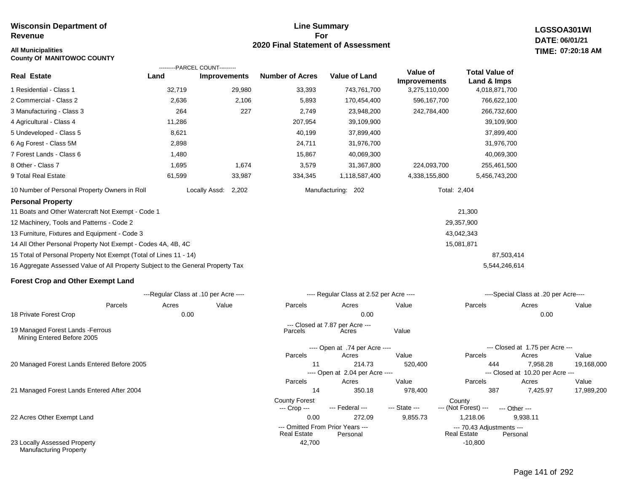#### **Line Summary For 2020 Final Statement of Assessment**

---- Open at .74 per Acre ----

---- Open at 2.04 per Acre ----

**LGSSOA301WI DATE: 06/01/21 All Municipalities TIME: 07:20:18 AM**

| <b>County Of MANITOWOC COUNTY</b>                                               |        |                                                       |                        |                                          |                                 |                                      |                                       |       |
|---------------------------------------------------------------------------------|--------|-------------------------------------------------------|------------------------|------------------------------------------|---------------------------------|--------------------------------------|---------------------------------------|-------|
| <b>Real Estate</b>                                                              | Land   | ---------PARCEL COUNT---------<br><b>Improvements</b> | <b>Number of Acres</b> | <b>Value of Land</b>                     | Value of<br><b>Improvements</b> | <b>Total Value of</b><br>Land & Imps |                                       |       |
| 1 Residential - Class 1                                                         | 32,719 | 29,980                                                | 33,393                 | 743,761,700                              | 3,275,110,000                   | 4,018,871,700                        |                                       |       |
| 2 Commercial - Class 2                                                          | 2,636  | 2,106                                                 | 5,893                  | 170,454,400                              | 596,167,700                     | 766,622,100                          |                                       |       |
| 3 Manufacturing - Class 3                                                       | 264    | 227                                                   | 2,749                  | 23,948,200                               | 242,784,400                     | 266,732,600                          |                                       |       |
| 4 Agricultural - Class 4                                                        | 11,286 |                                                       | 207,954                | 39,109,900                               |                                 | 39,109,900                           |                                       |       |
| 5 Undeveloped - Class 5                                                         | 8,621  |                                                       | 40,199                 | 37,899,400                               |                                 | 37,899,400                           |                                       |       |
| 6 Ag Forest - Class 5M                                                          | 2,898  |                                                       | 24,711                 | 31,976,700                               |                                 | 31,976,700                           |                                       |       |
| 7 Forest Lands - Class 6                                                        | 1,480  |                                                       | 15,867                 | 40,069,300                               |                                 | 40,069,300                           |                                       |       |
| 8 Other - Class 7                                                               | 1,695  | 1,674                                                 | 3,579                  | 31,367,800                               | 224,093,700                     | 255,461,500                          |                                       |       |
| 9 Total Real Estate                                                             | 61,599 | 33,987                                                | 334,345                | 1,118,587,400                            | 4,338,155,800                   | 5,456,743,200                        |                                       |       |
| 10 Number of Personal Property Owners in Roll                                   |        | Locally Assd:<br>2,202                                |                        | Manufacturing: 202                       |                                 | Total: 2,404                         |                                       |       |
| <b>Personal Property</b>                                                        |        |                                                       |                        |                                          |                                 |                                      |                                       |       |
| 11 Boats and Other Watercraft Not Exempt - Code 1                               |        |                                                       |                        |                                          |                                 | 21,300                               |                                       |       |
| 12 Machinery, Tools and Patterns - Code 2                                       |        |                                                       |                        |                                          |                                 | 29,357,900                           |                                       |       |
| 13 Furniture, Fixtures and Equipment - Code 3                                   |        |                                                       |                        | 43,042,343                               |                                 |                                      |                                       |       |
| 14 All Other Personal Property Not Exempt - Codes 4A, 4B, 4C                    |        |                                                       |                        |                                          |                                 | 15,081,871                           |                                       |       |
| 15 Total of Personal Property Not Exempt (Total of Lines 11 - 14)               |        |                                                       |                        |                                          | 87,503,414                      |                                      |                                       |       |
| 16 Aggregate Assessed Value of All Property Subject to the General Property Tax |        |                                                       |                        |                                          |                                 |                                      | 5,544,246,614                         |       |
| <b>Forest Crop and Other Exempt Land</b>                                        |        |                                                       |                        |                                          |                                 |                                      |                                       |       |
|                                                                                 |        | ---Regular Class at .10 per Acre ----                 |                        | ---- Regular Class at 2.52 per Acre ---- |                                 |                                      | ----Special Class at .20 per Acre---- |       |
| Parcels                                                                         | Acres  | Value                                                 | Parcels                | Acres                                    | Value                           | Parcels                              | Acres                                 | Value |
| 18 Private Forest Crop                                                          | 0.00   |                                                       |                        | 0.00                                     |                                 |                                      | 0.00                                  |       |
| 19 Managed Forest Lands - Ferrous                                               |        |                                                       | Parcels                | --- Closed at 7.87 per Acre ---<br>Acres | Value                           |                                      |                                       |       |

Mining Entered Before 2005

20 Managed Forest Lands Entered Before 2005

21 Managed Forest Lands Entered After 2004

22 Acres Other Exempt Land

23 Locally Assessed Property Manufacturing Property

 11 214.73 520,400 444 7,958.28 19,168,000 Parcels Acres Value Parcels Acres Value --- Closed at 1.75 per Acre ---

 14 350.18 978,400 387 7,425.97 17,989,200 Parcels Acres Value Parcels Acres Value --- Closed at 10.20 per Acre ---

County Forest County<br>--- Crop --- --- Federal --- --- State --- --- (Not Fore --- (Not Forest) --- --- Other ---

0.00 272.09 9,855.73 1,218.06 9,938.11

 42,700 -10,800 --- Omitted From Prior Years ---<br>Real Estate Personal Real Estate Personal Real Estate Personal Real Estate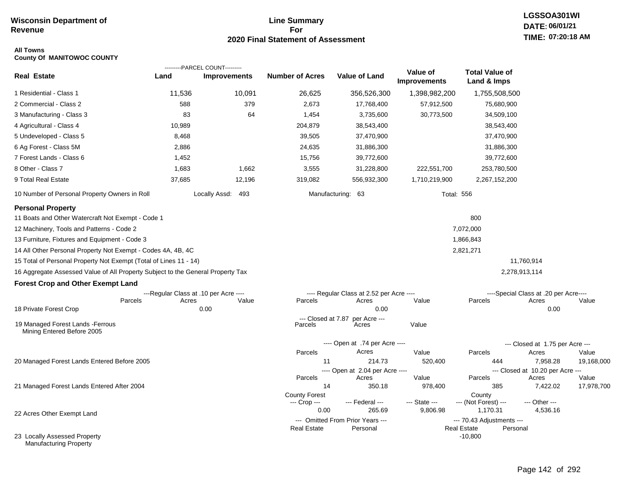#### **Line Summary For 2020 Final Statement of Assessment**

## **LGSSOA301WI DATE: 06/01/21 TIME: 07:20:18 AM**

#### **All Towns County Of MANITOWOC COUNTY**

|                                                                                 |        | ---------PARCEL COUNT---------        |                               |                                          |                                 |                                                 |                                       |                     |
|---------------------------------------------------------------------------------|--------|---------------------------------------|-------------------------------|------------------------------------------|---------------------------------|-------------------------------------------------|---------------------------------------|---------------------|
| <b>Real Estate</b>                                                              | Land   | <b>Improvements</b>                   | <b>Number of Acres</b>        | Value of Land                            | Value of<br><b>Improvements</b> | <b>Total Value of</b><br>Land & Imps            |                                       |                     |
| 1 Residential - Class 1                                                         | 11,536 | 10,091                                | 26,625                        | 356,526,300                              | 1,398,982,200                   | 1,755,508,500                                   |                                       |                     |
| 2 Commercial - Class 2                                                          | 588    | 379                                   | 2,673                         | 17,768,400                               | 57,912,500                      | 75,680,900                                      |                                       |                     |
| 3 Manufacturing - Class 3                                                       | 83     | 64                                    | 1,454                         | 3,735,600                                | 30,773,500                      | 34,509,100                                      |                                       |                     |
| 4 Agricultural - Class 4                                                        | 10,989 |                                       | 204,879                       | 38,543,400                               |                                 | 38,543,400                                      |                                       |                     |
| 5 Undeveloped - Class 5                                                         | 8,468  |                                       | 39,505                        | 37,470,900                               |                                 | 37,470,900                                      |                                       |                     |
| 6 Ag Forest - Class 5M                                                          | 2,886  |                                       | 24,635                        | 31,886,300                               |                                 | 31,886,300                                      |                                       |                     |
| 7 Forest Lands - Class 6                                                        | 1,452  |                                       | 15,756                        | 39,772,600                               |                                 | 39,772,600                                      |                                       |                     |
| 8 Other - Class 7                                                               | 1,683  | 1,662                                 | 3,555                         | 31,228,800                               | 222,551,700                     | 253,780,500                                     |                                       |                     |
| 9 Total Real Estate                                                             | 37,685 | 12,196                                | 319,082                       | 556,932,300                              | 1,710,219,900                   | 2,267,152,200                                   |                                       |                     |
| 10 Number of Personal Property Owners in Roll                                   |        | Locally Assd: 493                     |                               | Manufacturing: 63                        | <b>Total: 556</b>               |                                                 |                                       |                     |
| <b>Personal Property</b>                                                        |        |                                       |                               |                                          |                                 |                                                 |                                       |                     |
| 11 Boats and Other Watercraft Not Exempt - Code 1                               |        |                                       |                               |                                          |                                 | 800                                             |                                       |                     |
| 12 Machinery, Tools and Patterns - Code 2                                       |        |                                       |                               |                                          |                                 | 7,072,000                                       |                                       |                     |
| 13 Furniture, Fixtures and Equipment - Code 3                                   |        |                                       |                               |                                          |                                 | 1,866,843                                       |                                       |                     |
| 14 All Other Personal Property Not Exempt - Codes 4A, 4B, 4C                    |        |                                       |                               |                                          |                                 | 2,821,271                                       |                                       |                     |
| 15 Total of Personal Property Not Exempt (Total of Lines 11 - 14)               |        |                                       |                               |                                          |                                 |                                                 | 11,760,914                            |                     |
| 16 Aggregate Assessed Value of All Property Subject to the General Property Tax |        |                                       |                               |                                          |                                 |                                                 | 2,278,913,114                         |                     |
| <b>Forest Crop and Other Exempt Land</b>                                        |        |                                       |                               |                                          |                                 |                                                 |                                       |                     |
|                                                                                 |        | ---Regular Class at .10 per Acre ---- |                               | ---- Regular Class at 2.52 per Acre ---- |                                 |                                                 | ----Special Class at .20 per Acre---- |                     |
| Parcels                                                                         | Acres  | Value                                 | Parcels                       | Acres                                    | Value                           | Parcels                                         | Acres                                 | Value               |
| 18 Private Forest Crop                                                          |        | 0.00                                  |                               | 0.00                                     |                                 |                                                 | 0.00                                  |                     |
| 19 Managed Forest Lands - Ferrous<br>Mining Entered Before 2005                 |        |                                       | --- Closed at 7.87<br>Parcels | per Acre ---<br>Acres                    | Value                           |                                                 |                                       |                     |
|                                                                                 |        |                                       |                               | ---- Open at .74 per Acre ----           |                                 |                                                 | --- Closed at 1.75 per Acre ---       |                     |
|                                                                                 |        |                                       | Parcels                       | Acres                                    | Value                           | Parcels                                         | Acres                                 | Value               |
| 20 Managed Forest Lands Entered Before 2005                                     |        |                                       | 11                            | 214.73                                   | 520,400                         | 444                                             | 7,958.28                              | 19,168,000          |
|                                                                                 |        |                                       |                               | ---- Open at 2.04 per Acre ----          |                                 |                                                 | --- Closed at 10.20 per Acre ---      |                     |
| 21 Managed Forest Lands Entered After 2004                                      |        |                                       | Parcels<br>14                 | Acres<br>350.18                          | Value<br>978,400                | Parcels<br>385                                  | Acres<br>7,422.02                     | Value<br>17,978,700 |
|                                                                                 |        |                                       | <b>County Forest</b>          |                                          |                                 | County                                          |                                       |                     |
|                                                                                 |        |                                       | --- Crop ---                  | --- Federal ---                          | --- State ---                   | --- (Not Forest) ---                            | --- Other ---                         |                     |
| 22 Acres Other Exempt Land                                                      |        |                                       | 0.00                          | 265.69                                   | 9,806.98                        | 1,170.31                                        | 4,536.16                              |                     |
|                                                                                 |        |                                       |                               | --- Omitted From Prior Years ---         |                                 | --- 70.43 Adjustments ---<br><b>Real Estate</b> |                                       |                     |
| 23 Locally Assessed Property<br><b>Manufacturing Property</b>                   |        |                                       | <b>Real Estate</b>            | Personal                                 |                                 | Personal<br>$-10,800$                           |                                       |                     |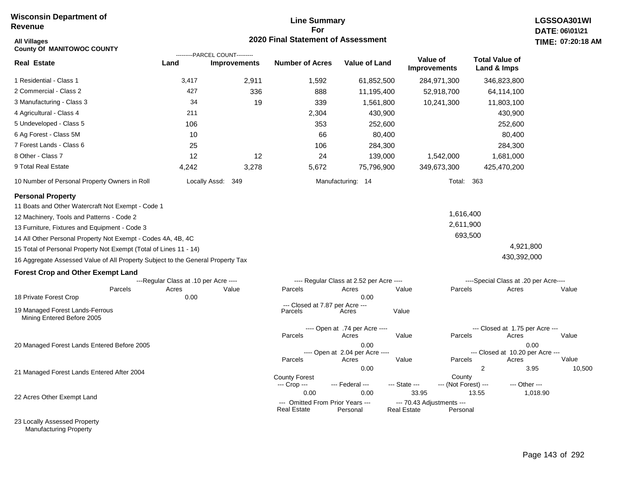#### **Line Summary For 2020 Final Statement of Assessment**

| <b>All Villages</b><br><b>County Of MANITOWOC COUNTY</b>                        |                                       |                                                       | 2020 Final Statement of Assessment                     |                                          |                                                 |                                      |                                           | TIME: 07:20:18 |
|---------------------------------------------------------------------------------|---------------------------------------|-------------------------------------------------------|--------------------------------------------------------|------------------------------------------|-------------------------------------------------|--------------------------------------|-------------------------------------------|----------------|
| <b>Real Estate</b>                                                              | Land                                  | ---------PARCEL COUNT---------<br><b>Improvements</b> | <b>Number of Acres</b>                                 | Value of Land                            | Value of<br><b>Improvements</b>                 | <b>Total Value of</b><br>Land & Imps |                                           |                |
| 1 Residential - Class 1                                                         | 3,417                                 | 2,911                                                 | 1,592                                                  | 61,852,500                               | 284,971,300                                     |                                      | 346,823,800                               |                |
| 2 Commercial - Class 2                                                          | 427                                   | 336                                                   | 888                                                    | 11,195,400                               | 52,918,700                                      |                                      | 64,114,100                                |                |
| 3 Manufacturing - Class 3                                                       | 34                                    | 19                                                    | 339                                                    | 1,561,800                                | 10,241,300                                      |                                      | 11,803,100                                |                |
| 4 Agricultural - Class 4                                                        | 211                                   |                                                       | 2,304                                                  | 430,900                                  |                                                 |                                      | 430,900                                   |                |
| 5 Undeveloped - Class 5                                                         | 106                                   |                                                       | 353                                                    | 252,600                                  |                                                 |                                      | 252,600                                   |                |
| 6 Ag Forest - Class 5M                                                          | 10                                    |                                                       | 66                                                     | 80,400                                   |                                                 |                                      | 80,400                                    |                |
| 7 Forest Lands - Class 6                                                        | 25                                    |                                                       | 106                                                    | 284,300                                  |                                                 |                                      | 284,300                                   |                |
| 8 Other - Class 7                                                               | 12                                    | 12                                                    | 24                                                     | 139,000                                  | 1,542,000                                       |                                      | 1,681,000                                 |                |
| 9 Total Real Estate                                                             | 4,242                                 | 3,278                                                 | 5,672                                                  | 75,796,900                               | 349,673,300                                     |                                      | 425,470,200                               |                |
| 10 Number of Personal Property Owners in Roll                                   |                                       | Locally Assd: 349                                     |                                                        | Manufacturing: 14                        |                                                 | <b>Total: 363</b>                    |                                           |                |
| <b>Personal Property</b>                                                        |                                       |                                                       |                                                        |                                          |                                                 |                                      |                                           |                |
| 11 Boats and Other Watercraft Not Exempt - Code 1                               |                                       |                                                       |                                                        |                                          |                                                 |                                      |                                           |                |
| 12 Machinery, Tools and Patterns - Code 2                                       |                                       |                                                       |                                                        |                                          |                                                 | 1,616,400                            |                                           |                |
| 13 Furniture, Fixtures and Equipment - Code 3                                   |                                       |                                                       |                                                        |                                          |                                                 | 2,611,900                            |                                           |                |
| 14 All Other Personal Property Not Exempt - Codes 4A, 4B, 4C                    |                                       |                                                       |                                                        |                                          |                                                 | 693,500                              |                                           |                |
| 15 Total of Personal Property Not Exempt (Total of Lines 11 - 14)               |                                       |                                                       |                                                        |                                          |                                                 |                                      | 4,921,800                                 |                |
| 16 Aggregate Assessed Value of All Property Subject to the General Property Tax |                                       |                                                       |                                                        |                                          |                                                 |                                      | 430,392,000                               |                |
| <b>Forest Crop and Other Exempt Land</b>                                        |                                       |                                                       |                                                        |                                          |                                                 |                                      |                                           |                |
|                                                                                 | ---Regular Class at .10 per Acre ---- |                                                       |                                                        | ---- Regular Class at 2.52 per Acre ---- |                                                 |                                      | ----Special Class at .20 per Acre----     |                |
| Parcels<br>18 Private Forest Crop                                               | Acres<br>0.00                         | Value                                                 | Parcels                                                | Acres<br>0.00                            | Value                                           | Parcels                              | Acres                                     | Value          |
| 19 Managed Forest Lands-Ferrous                                                 |                                       |                                                       | --- Closed at 7.87 per Acre ---                        | Acres                                    | Value                                           |                                      |                                           |                |
| Mining Entered Before 2005                                                      |                                       |                                                       | Parcels                                                |                                          |                                                 |                                      |                                           |                |
|                                                                                 |                                       |                                                       | Parcels                                                | ---- Open at .74 per Acre ----<br>Acres  | Value                                           | Parcels                              | --- Closed at 1.75 per Acre ---<br>Acres  | Value          |
| 20 Managed Forest Lands Entered Before 2005                                     |                                       |                                                       |                                                        | 0.00                                     |                                                 |                                      | 0.00                                      |                |
|                                                                                 |                                       |                                                       | Parcels                                                | ---- Open at 2.04 per Acre ----<br>Acres | Value                                           | Parcels                              | --- Closed at 10.20 per Acre ---<br>Acres | Value          |
| 21 Managed Forest Lands Entered After 2004                                      |                                       |                                                       |                                                        | 0.00                                     |                                                 | $\overline{2}$                       | 3.95                                      | 10,500         |
|                                                                                 |                                       |                                                       | <b>County Forest</b><br>--- Crop ---                   | --- Federal ---                          | --- State ---                                   | County<br>--- (Not Forest) ---       | --- Other ---                             |                |
| 22 Acres Other Exempt Land                                                      |                                       |                                                       | 0.00                                                   | 0.00                                     | 33.95                                           | 13.55                                | 1,018.90                                  |                |
|                                                                                 |                                       |                                                       | --- Omitted From Prior Years ---<br><b>Real Estate</b> | Personal                                 | --- 70.43 Adjustments ---<br><b>Real Estate</b> | Personal                             |                                           |                |

23 Locally Assessed Property Manufacturing Property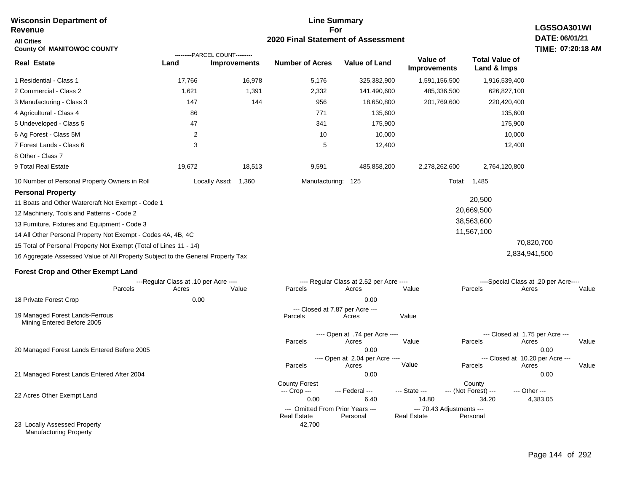| <b>Wisconsin Department of</b><br><b>Revenue</b>                                | <b>Line Summary</b><br>LGSSOA301WI<br>For |                                                       |                                                        |                                          |                                                 |                                            |                                       |  |  |
|---------------------------------------------------------------------------------|-------------------------------------------|-------------------------------------------------------|--------------------------------------------------------|------------------------------------------|-------------------------------------------------|--------------------------------------------|---------------------------------------|--|--|
| <b>All Cities</b><br><b>County Of MANITOWOC COUNTY</b>                          | 2020 Final Statement of Assessment        |                                                       |                                                        |                                          |                                                 |                                            |                                       |  |  |
| <b>Real Estate</b>                                                              | Land                                      | ---------PARCEL COUNT---------<br><b>Improvements</b> | <b>Number of Acres</b>                                 | <b>Value of Land</b>                     | Value of<br><b>Improvements</b>                 | <b>Total Value of</b><br>Land & Imps       |                                       |  |  |
| 1 Residential - Class 1                                                         | 17,766                                    | 16,978                                                | 5,176                                                  | 325,382,900                              | 1,591,156,500                                   | 1,916,539,400                              |                                       |  |  |
| 2 Commercial - Class 2                                                          | 1,621                                     | 1,391                                                 | 2,332                                                  | 141,490,600                              | 485,336,500                                     | 626,827,100                                |                                       |  |  |
| 3 Manufacturing - Class 3                                                       | 147                                       | 144                                                   | 956                                                    | 18,650,800                               | 201,769,600                                     | 220,420,400                                |                                       |  |  |
| 4 Agricultural - Class 4                                                        | 86                                        |                                                       | 771                                                    | 135,600                                  |                                                 | 135,600                                    |                                       |  |  |
| 5 Undeveloped - Class 5                                                         | 47                                        |                                                       | 341                                                    | 175,900                                  |                                                 | 175,900                                    |                                       |  |  |
| 6 Ag Forest - Class 5M                                                          | $\overline{c}$                            |                                                       | 10                                                     | 10,000                                   |                                                 | 10,000                                     |                                       |  |  |
| 7 Forest Lands - Class 6                                                        | 3                                         |                                                       | 5                                                      | 12,400                                   |                                                 | 12,400                                     |                                       |  |  |
| 8 Other - Class 7                                                               |                                           |                                                       |                                                        |                                          |                                                 |                                            |                                       |  |  |
| 9 Total Real Estate                                                             | 19,672                                    | 18,513                                                | 9,591                                                  | 485,858,200                              | 2,278,262,600                                   | 2,764,120,800                              |                                       |  |  |
| 10 Number of Personal Property Owners in Roll                                   |                                           | 1,360<br>Locally Assd:                                | Manufacturing: 125                                     |                                          | Total:                                          | 1,485                                      |                                       |  |  |
| <b>Personal Property</b>                                                        |                                           |                                                       |                                                        |                                          |                                                 |                                            |                                       |  |  |
| 11 Boats and Other Watercraft Not Exempt - Code 1                               |                                           |                                                       |                                                        |                                          |                                                 | 20,500                                     |                                       |  |  |
| 12 Machinery, Tools and Patterns - Code 2                                       |                                           |                                                       |                                                        | 20,669,500                               |                                                 |                                            |                                       |  |  |
| 38,563,600<br>13 Furniture, Fixtures and Equipment - Code 3                     |                                           |                                                       |                                                        |                                          |                                                 |                                            |                                       |  |  |
| 14 All Other Personal Property Not Exempt - Codes 4A, 4B, 4C                    |                                           |                                                       |                                                        |                                          |                                                 | 11,567,100                                 |                                       |  |  |
| 15 Total of Personal Property Not Exempt (Total of Lines 11 - 14)               |                                           |                                                       |                                                        |                                          |                                                 | 70,820,700                                 |                                       |  |  |
| 16 Aggregate Assessed Value of All Property Subject to the General Property Tax |                                           |                                                       |                                                        |                                          |                                                 |                                            | 2,834,941,500                         |  |  |
| <b>Forest Crop and Other Exempt Land</b>                                        |                                           |                                                       |                                                        |                                          |                                                 |                                            |                                       |  |  |
|                                                                                 | ---Regular Class at .10 per Acre ----     |                                                       |                                                        | ---- Regular Class at 2.52 per Acre ---- |                                                 |                                            | ----Special Class at .20 per Acre---- |  |  |
| Parcels                                                                         | Acres                                     | Value                                                 | Parcels                                                | Acres                                    | Value                                           | Parcels                                    | Acres<br>Value                        |  |  |
| 18 Private Forest Crop                                                          | 0.00                                      |                                                       |                                                        | 0.00                                     |                                                 |                                            |                                       |  |  |
| 19 Managed Forest Lands-Ferrous<br>Mining Entered Before 2005                   |                                           |                                                       | Parcels                                                | --- Closed at 7.87 per Acre ---<br>Acres | Value                                           |                                            |                                       |  |  |
|                                                                                 |                                           |                                                       | Parcels                                                | ---- Open at .74 per Acre ----<br>Acres  | Value                                           | --- Closed at 1.75 per Acre ---<br>Parcels | Acres<br>Value                        |  |  |
| 20 Managed Forest Lands Entered Before 2005                                     |                                           |                                                       |                                                        | 0.00                                     |                                                 |                                            | 0.00                                  |  |  |
|                                                                                 |                                           |                                                       |                                                        | ---- Open at 2.04 per Acre ----          | Value                                           | --- Closed at 10.20 per Acre ---           |                                       |  |  |
| 21 Managed Forest Lands Entered After 2004                                      |                                           |                                                       | Parcels                                                | Acres<br>0.00                            |                                                 | Parcels                                    | Acres<br>Value<br>0.00                |  |  |
|                                                                                 |                                           |                                                       | <b>County Forest</b>                                   |                                          |                                                 | County                                     |                                       |  |  |
| 22 Acres Other Exempt Land                                                      |                                           |                                                       | --- Crop ---                                           | --- Federal ---                          | --- State ---                                   | --- (Not Forest) ---                       | --- Other ---                         |  |  |
|                                                                                 |                                           |                                                       | 0.00                                                   | 6.40                                     | 14.80                                           | 34.20                                      | 4,383.05                              |  |  |
|                                                                                 |                                           |                                                       | --- Omitted From Prior Years ---<br><b>Real Estate</b> | Personal                                 | --- 70.43 Adjustments ---<br><b>Real Estate</b> | Personal                                   |                                       |  |  |
| 23 Locally Assessed Property<br><b>Manufacturing Property</b>                   |                                           |                                                       | 42,700                                                 |                                          |                                                 |                                            |                                       |  |  |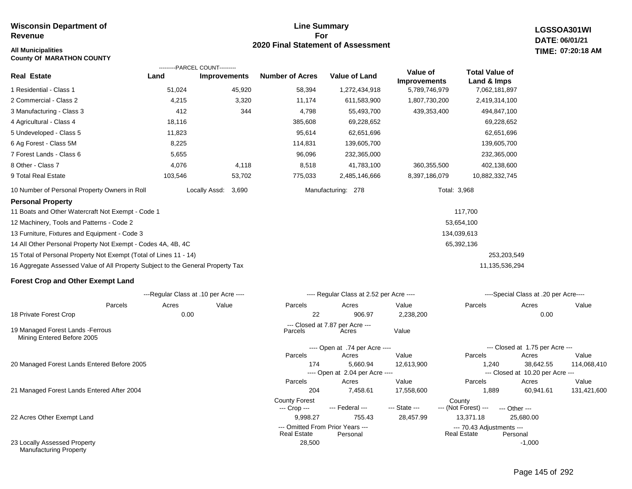**County Of MARATHON COUNTY**

#### **Line Summary For 2020 Final Statement of Assessment All Municipalities TIME:**

**LGSSOA301WI DATE: 06/01/21 07:20:18 AM**

|                                                                                 |         | ---------PARCEL COUNT---------        |                        |                                          |                                 |                                      |                                       |       |
|---------------------------------------------------------------------------------|---------|---------------------------------------|------------------------|------------------------------------------|---------------------------------|--------------------------------------|---------------------------------------|-------|
| <b>Real Estate</b>                                                              | Land    | <b>Improvements</b>                   | <b>Number of Acres</b> | <b>Value of Land</b>                     | Value of<br><b>Improvements</b> | <b>Total Value of</b><br>Land & Imps |                                       |       |
| 1 Residential - Class 1                                                         | 51,024  | 45,920                                | 58,394                 | 1,272,434,918                            | 5,789,746,979                   | 7,062,181,897                        |                                       |       |
| 2 Commercial - Class 2                                                          | 4,215   | 3,320                                 | 11,174                 | 611,583,900                              | 1,807,730,200                   | 2,419,314,100                        |                                       |       |
| 3 Manufacturing - Class 3                                                       | 412     | 344                                   | 4,798                  | 55,493,700                               | 439,353,400                     | 494,847,100                          |                                       |       |
| 4 Agricultural - Class 4                                                        | 18,116  |                                       | 385,608                | 69,228,652                               |                                 | 69,228,652                           |                                       |       |
| 5 Undeveloped - Class 5                                                         | 11,823  |                                       | 95,614                 | 62,651,696                               |                                 | 62,651,696                           |                                       |       |
| 6 Ag Forest - Class 5M                                                          | 8,225   |                                       | 114,831                | 139,605,700                              |                                 | 139,605,700                          |                                       |       |
| 7 Forest Lands - Class 6                                                        | 5,655   |                                       | 96,096                 | 232,365,000                              |                                 | 232,365,000                          |                                       |       |
| 8 Other - Class 7                                                               | 4,076   | 4,118                                 | 8,518                  | 41,783,100                               | 360,355,500                     | 402,138,600                          |                                       |       |
| 9 Total Real Estate                                                             | 103,546 | 53,702                                | 775,033                | 2,485,146,666                            | 8,397,186,079                   | 10,882,332,745                       |                                       |       |
| 10 Number of Personal Property Owners in Roll                                   |         | Locally Assd:<br>3,690                |                        | Manufacturing: 278                       |                                 | Total: 3,968                         |                                       |       |
| <b>Personal Property</b>                                                        |         |                                       |                        |                                          |                                 |                                      |                                       |       |
| 11 Boats and Other Watercraft Not Exempt - Code 1                               |         |                                       |                        |                                          |                                 | 117,700                              |                                       |       |
| 12 Machinery, Tools and Patterns - Code 2                                       |         |                                       |                        |                                          |                                 | 53,654,100                           |                                       |       |
| 13 Furniture, Fixtures and Equipment - Code 3                                   |         |                                       |                        |                                          |                                 | 134,039,613                          |                                       |       |
| 14 All Other Personal Property Not Exempt - Codes 4A, 4B, 4C                    |         |                                       |                        |                                          |                                 | 65,392,136                           |                                       |       |
| 15 Total of Personal Property Not Exempt (Total of Lines 11 - 14)               |         |                                       |                        |                                          |                                 | 253,203,549                          |                                       |       |
| 16 Aggregate Assessed Value of All Property Subject to the General Property Tax |         |                                       |                        |                                          |                                 | 11,135,536,294                       |                                       |       |
| <b>Forest Crop and Other Exempt Land</b>                                        |         |                                       |                        |                                          |                                 |                                      |                                       |       |
|                                                                                 |         | ---Regular Class at .10 per Acre ---- |                        | ---- Regular Class at 2.52 per Acre ---- |                                 |                                      | ----Special Class at .20 per Acre---- |       |
| Parcels                                                                         | Acres   | Value                                 | Parcels                | Acres                                    | Value                           | Parcels                              | Acres                                 | Value |
| 18 Private Forest Crop                                                          | 0.00    |                                       | 22                     | 906.97                                   | 2,238,200                       |                                      | 0.00                                  |       |
|                                                                                 |         |                                       |                        | --- Closed at 7.87 per Acre ---          |                                 |                                      |                                       |       |

19 Managed Forest Lands -Ferrous Mining Entered Before 2005

20 Managed Forest Lands Entered Before 2005

21 Managed Forest Lands Entered After 2004

22 Acres Other Exempt Land

23 Locally Assessed Property Manufacturing Property

| 22                                                     | 906.97                                   | 2,238,200     | 0.00                                            |                                  |             |  |  |
|--------------------------------------------------------|------------------------------------------|---------------|-------------------------------------------------|----------------------------------|-------------|--|--|
| Parcels                                                | --- Closed at 7.87 per Acre ---<br>Acres | Value         |                                                 |                                  |             |  |  |
|                                                        | ---- Open at .74 per Acre ----           |               |                                                 | --- Closed at 1.75 per Acre ---  |             |  |  |
| <b>Parcels</b>                                         | Acres                                    | Value         | <b>Parcels</b>                                  | Acres                            | Value       |  |  |
| 174                                                    | 5.660.94                                 | 12,613,900    | 1.240                                           | 38.642.55                        | 114,068,410 |  |  |
|                                                        | ---- Open at 2.04 per Acre ----          |               |                                                 | --- Closed at 10.20 per Acre --- |             |  |  |
| Parcels                                                | Acres                                    | Value         | Parcels                                         | Acres                            | Value       |  |  |
| 204                                                    | 7.458.61                                 | 17,558,600    | 1.889                                           | 60,941.61                        | 131,421,600 |  |  |
| <b>County Forest</b>                                   |                                          |               | County                                          |                                  |             |  |  |
| --- Crop --- --- Federal ---                           |                                          | --- State --- | --- (Not Forest) ---                            | --- Other ---                    |             |  |  |
| 9.998.27                                               | 755.43                                   | 28.457.99     | 13,371.18                                       | 25,680.00                        |             |  |  |
| --- Omitted From Prior Years ---<br><b>Real Estate</b> | Personal                                 |               | --- 70.43 Adjustments ---<br><b>Real Estate</b> | Personal                         |             |  |  |
| 28,500                                                 |                                          |               |                                                 | $-1.000$                         |             |  |  |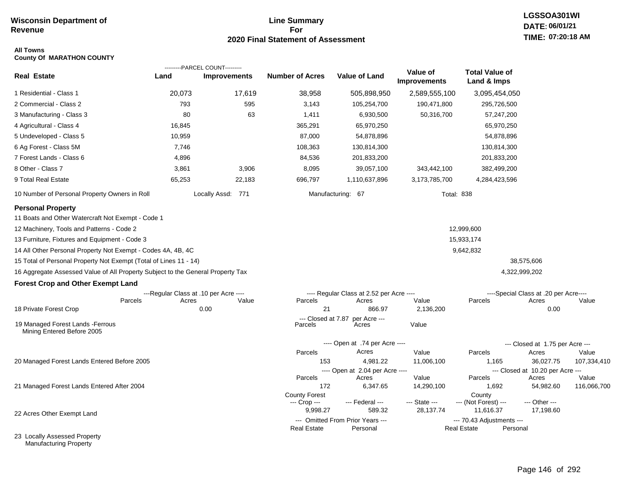### **Line Summary For 2020 Final Statement of Assessment**

# **LGSSOA301WI DATE: 06/01/21 TIME: 07:20:18 AM**

#### **All Towns County Of MARATHON COUNTY**

|                                                                                 |                                       | ---------PARCEL COUNT--------- |                        |                                          |                          |                                                 |                                           |             |
|---------------------------------------------------------------------------------|---------------------------------------|--------------------------------|------------------------|------------------------------------------|--------------------------|-------------------------------------------------|-------------------------------------------|-------------|
| <b>Real Estate</b>                                                              | Land                                  | <b>Improvements</b>            | <b>Number of Acres</b> | <b>Value of Land</b>                     | Value of<br>Improvements | <b>Total Value of</b><br>Land & Imps            |                                           |             |
| 1 Residential - Class 1                                                         | 20,073                                | 17,619                         | 38,958                 | 505,898,950                              | 2,589,555,100            | 3,095,454,050                                   |                                           |             |
| 2 Commercial - Class 2                                                          | 793                                   | 595                            | 3,143                  | 105,254,700                              | 190,471,800              | 295,726,500                                     |                                           |             |
| 3 Manufacturing - Class 3                                                       | 80                                    | 63                             | 1,411                  | 6,930,500                                | 50,316,700               | 57,247,200                                      |                                           |             |
| 4 Agricultural - Class 4                                                        | 16,845                                |                                | 365,291                | 65,970,250                               |                          | 65,970,250                                      |                                           |             |
| 5 Undeveloped - Class 5                                                         | 10,959                                |                                | 87,000                 | 54,878,896                               |                          | 54,878,896                                      |                                           |             |
| 6 Ag Forest - Class 5M                                                          | 7,746                                 |                                | 108,363                | 130,814,300                              |                          | 130,814,300                                     |                                           |             |
| 7 Forest Lands - Class 6                                                        | 4,896                                 |                                | 84,536                 | 201,833,200                              |                          | 201,833,200                                     |                                           |             |
| 8 Other - Class 7                                                               | 3,861                                 | 3,906                          | 8,095                  | 39,057,100                               | 343,442,100              | 382,499,200                                     |                                           |             |
| 9 Total Real Estate                                                             | 65,253                                | 22,183                         | 696,797                | 1,110,637,896                            | 3,173,785,700            | 4,284,423,596                                   |                                           |             |
| 10 Number of Personal Property Owners in Roll                                   |                                       | Locally Assd: 771              |                        | Manufacturing: 67                        |                          | <b>Total: 838</b>                               |                                           |             |
| <b>Personal Property</b><br>11 Boats and Other Watercraft Not Exempt - Code 1   |                                       |                                |                        |                                          |                          |                                                 |                                           |             |
| 12 Machinery, Tools and Patterns - Code 2                                       |                                       |                                |                        |                                          |                          | 12,999,600                                      |                                           |             |
| 13 Furniture, Fixtures and Equipment - Code 3                                   |                                       |                                |                        |                                          |                          | 15,933,174                                      |                                           |             |
| 14 All Other Personal Property Not Exempt - Codes 4A, 4B, 4C                    |                                       |                                |                        |                                          |                          | 9,642,832                                       |                                           |             |
| 15 Total of Personal Property Not Exempt (Total of Lines 11 - 14)               |                                       |                                |                        |                                          |                          |                                                 | 38,575,606                                |             |
| 16 Aggregate Assessed Value of All Property Subject to the General Property Tax |                                       |                                |                        |                                          |                          |                                                 | 4,322,999,202                             |             |
| <b>Forest Crop and Other Exempt Land</b>                                        |                                       |                                |                        |                                          |                          |                                                 |                                           |             |
|                                                                                 | ---Regular Class at .10 per Acre ---- |                                |                        | ---- Regular Class at 2.52 per Acre ---- |                          |                                                 | ----Special Class at .20 per Acre----     |             |
| Parcels                                                                         | Acres                                 | Value                          | Parcels<br>21          | Acres<br>866.97                          | Value<br>2,136,200       | Parcels                                         | Acres                                     | Value       |
| 18 Private Forest Crop                                                          |                                       | 0.00                           | --- Closed at 7.87     | per Acre ---                             |                          |                                                 | 0.00                                      |             |
| 19 Managed Forest Lands - Ferrous<br>Mining Entered Before 2005                 |                                       |                                | Parcels                | Acres                                    | Value                    |                                                 |                                           |             |
|                                                                                 |                                       |                                |                        | ---- Open at .74 per Acre ----           |                          |                                                 | --- Closed at 1.75 per Acre ---           |             |
|                                                                                 |                                       |                                | Parcels                | Acres                                    | Value                    | Parcels                                         | Acres                                     | Value       |
| 20 Managed Forest Lands Entered Before 2005                                     |                                       |                                | 153                    | 4,981.22                                 | 11,006,100               | 1,165                                           | 36,027.75                                 | 107,334,410 |
|                                                                                 |                                       |                                | Parcels                | ---- Open at 2.04 per Acre ----<br>Acres | Value                    | Parcels                                         | --- Closed at 10.20 per Acre ---<br>Acres | Value       |
| 21 Managed Forest Lands Entered After 2004                                      |                                       |                                | 172                    | 6,347.65                                 | 14,290,100               | 1,692                                           | 54,982.60                                 | 116,066,700 |
|                                                                                 |                                       |                                | <b>County Forest</b>   |                                          |                          | County                                          |                                           |             |
|                                                                                 |                                       |                                | --- Crop ---           | --- Federal ---<br>589.32                | --- State ---            | --- (Not Forest) ---                            | --- Other ---                             |             |
| 22 Acres Other Exempt Land                                                      |                                       |                                | 9,998.27               | --- Omitted From Prior Years ---         | 28,137.74                | 11,616.37                                       | 17,198.60                                 |             |
|                                                                                 |                                       |                                | <b>Real Estate</b>     | Personal                                 |                          | --- 70.43 Adjustments ---<br><b>Real Estate</b> | Personal                                  |             |
| 23 Locally Assessed Property                                                    |                                       |                                |                        |                                          |                          |                                                 |                                           |             |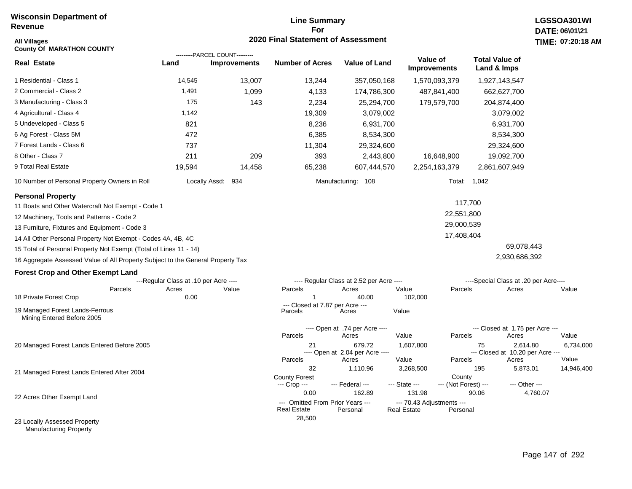### **Line Summary For 2020 Final Statement of Assessment**

| All Villages<br><b>County Of MARATHON COUNTY</b>                                |                                       |                                                       | 2020 Final Statement of Assessment       |                                          |                                                 |                                           | <b>TIME: 07:20</b> |
|---------------------------------------------------------------------------------|---------------------------------------|-------------------------------------------------------|------------------------------------------|------------------------------------------|-------------------------------------------------|-------------------------------------------|--------------------|
| <b>Real Estate</b>                                                              | Land                                  | ---------PARCEL COUNT---------<br><b>Improvements</b> | <b>Number of Acres</b>                   | <b>Value of Land</b>                     | Value of<br><b>Improvements</b>                 | <b>Total Value of</b><br>Land & Imps      |                    |
| 1 Residential - Class 1                                                         | 14,545                                | 13,007                                                | 13,244                                   | 357,050,168                              | 1,570,093,379                                   | 1,927,143,547                             |                    |
| 2 Commercial - Class 2                                                          | 1,491                                 | 1,099                                                 | 4,133                                    | 174,786,300                              | 487,841,400                                     | 662,627,700                               |                    |
| 3 Manufacturing - Class 3                                                       | 175                                   | 143                                                   | 2,234                                    | 25,294,700                               | 179,579,700                                     | 204,874,400                               |                    |
| 4 Agricultural - Class 4                                                        | 1,142                                 |                                                       | 19,309                                   | 3,079,002                                |                                                 | 3,079,002                                 |                    |
| 5 Undeveloped - Class 5                                                         | 821                                   |                                                       | 8,236                                    | 6,931,700                                |                                                 | 6,931,700                                 |                    |
| 6 Ag Forest - Class 5M                                                          | 472                                   |                                                       | 6,385                                    | 8,534,300                                |                                                 | 8,534,300                                 |                    |
| 7 Forest Lands - Class 6                                                        | 737                                   |                                                       | 11,304                                   | 29,324,600                               |                                                 | 29,324,600                                |                    |
| 8 Other - Class 7                                                               | 211                                   | 209                                                   | 393                                      | 2,443,800                                | 16,648,900                                      | 19,092,700                                |                    |
| 9 Total Real Estate                                                             | 19,594                                | 14,458                                                | 65,238                                   | 607,444,570                              | 2,254,163,379                                   | 2,861,607,949                             |                    |
| 10 Number of Personal Property Owners in Roll                                   |                                       | Locally Assd:<br>934                                  |                                          | Manufacturing: 108                       |                                                 | Total: 1,042                              |                    |
| <b>Personal Property</b><br>11 Boats and Other Watercraft Not Exempt - Code 1   |                                       |                                                       |                                          |                                          |                                                 | 117,700                                   |                    |
| 12 Machinery, Tools and Patterns - Code 2                                       |                                       |                                                       |                                          |                                          | 22,551,800                                      |                                           |                    |
| 13 Furniture, Fixtures and Equipment - Code 3                                   |                                       |                                                       |                                          |                                          | 29,000,539                                      |                                           |                    |
| 14 All Other Personal Property Not Exempt - Codes 4A, 4B, 4C                    |                                       |                                                       |                                          |                                          | 17,408,404                                      |                                           |                    |
| 15 Total of Personal Property Not Exempt (Total of Lines 11 - 14)               |                                       |                                                       |                                          |                                          |                                                 | 69,078,443                                |                    |
| 16 Aggregate Assessed Value of All Property Subject to the General Property Tax |                                       |                                                       |                                          |                                          |                                                 | 2,930,686,392                             |                    |
| <b>Forest Crop and Other Exempt Land</b>                                        |                                       |                                                       |                                          |                                          |                                                 |                                           |                    |
|                                                                                 | ---Regular Class at .10 per Acre ---- |                                                       |                                          | ---- Regular Class at 2.52 per Acre ---- |                                                 | ----Special Class at .20 per Acre----     |                    |
| Parcels                                                                         | Acres                                 | Value                                                 | Parcels                                  | Acres                                    | Value<br>Parcels                                | Acres                                     | Value              |
| 18 Private Forest Crop                                                          | 0.00                                  |                                                       | --- Closed at 7.87 per Acre ---          | 40.00                                    | 102,000                                         |                                           |                    |
| 19 Managed Forest Lands-Ferrous<br>Mining Entered Before 2005                   |                                       |                                                       | Parcels                                  | Acres                                    | Value                                           |                                           |                    |
|                                                                                 |                                       |                                                       |                                          | ---- Open at .74 per Acre ----           |                                                 | --- Closed at 1.75 per Acre ---           |                    |
| 20 Managed Forest Lands Entered Before 2005                                     |                                       |                                                       | Parcels<br>21                            | Acres<br>679.72                          | Value<br>Parcels<br>1,607,800                   | Acres<br>2,614.80<br>75                   | Value<br>6,73      |
|                                                                                 |                                       |                                                       | Parcels                                  | ---- Open at 2.04 per Acre ----<br>Acres | Value<br>Parcels                                | --- Closed at 10.20 per Acre ---<br>Acres | Value              |
|                                                                                 |                                       |                                                       | 32                                       | 1,110.96                                 | 3,268,500                                       | 195<br>5,873.01                           | 14,94              |
| 21 Managed Forest Lands Entered After 2004                                      |                                       |                                                       | <b>County Forest</b><br>--- Crop ---     | --- Federal ---                          | County<br>--- State ---<br>--- (Not Forest) --- | --- Other ---                             |                    |
| 22 Acres Other Exempt Land                                                      |                                       |                                                       | 0.00<br>--- Omitted From Prior Years --- | 162.89                                   | 131.98<br>--- 70.43 Adjustments ---             | 90.06                                     | 4,760.07           |
| 23 Locally Assessed Property                                                    |                                       |                                                       | <b>Real Estate</b><br>28,500             | Personal                                 | Personal<br><b>Real Estate</b>                  |                                           |                    |

Manufacturing Property

6,734,000

14,946,400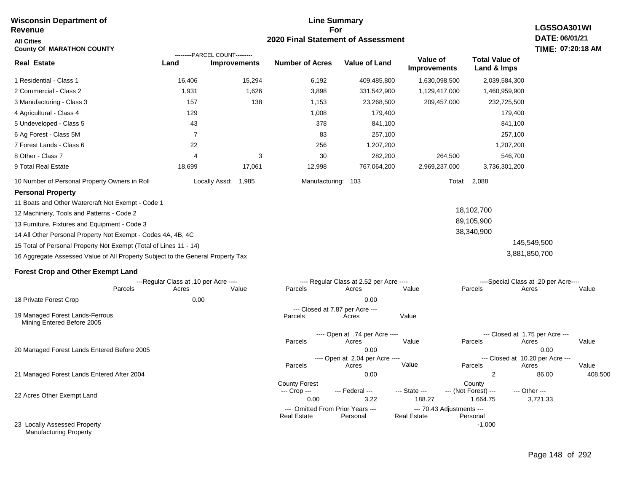#### **For 2020 Final Statement of Assessment Revenue All Cities County Of MARATHON COUNTY LGSSOA301WI DATE: 06/01/21 TIME: 07:20:18 AM Real Estate** 1 Residential - Class 1 2 Commercial - Class 2 3 Manufacturing - Class 3 4 Agricultural - Class 4 5 Undeveloped - Class 5 6 Ag Forest - Class 5M 7 Forest Lands - Class 6 8 Other - Class 7 9 Total Real Estate 10 Number of Personal Property Owners in Roll 16,406 15,294 6,192 409,485,800 1,630,098,500 2,039,584,300 **Land Improvements Number of Acres Value of Land Value of Improvements Total Value of Land & Imps** 1,931 157 129 43 7 22 4 18,699 1,626 138 3 17,061 3,898 1,153 1,008 378 83 256 30 12,998 331,542,900 23,268,500 179,400 841,100 257,100 1,207,200 282,200 767,064,200 1,129,417,000 209,457,000 264,500 2,969,237,000 1,460,959,900 232,725,500 179,400 841,100 257,100 1,207,200 546,700 3,736,301,200 Locally Assd: 1,985 Manufacturing: 103 Total: 2,088 **Personal Property** 11 Boats and Other Watercraft Not Exempt - Code 1 12 Machinery, Tools and Patterns - Code 2 13 Furniture, Fixtures and Equipment - Code 3 14 All Other Personal Property Not Exempt - Codes 4A, 4B, 4C 15 Total of Personal Property Not Exempt (Total of Lines 11 - 14) 16 Aggregate Assessed Value of All Property Subject to the General Property Tax 18,102,700 89,105,900 38,340,900 145,549,500 3,881,850,700 **Forest Crop and Other Exempt Land** ---Regular Class at .10 per Acre ---- ---- Regular Class at 2.52 per Acre ---- ----Special Class at .20 per Acre---- 18 Private Forest Crop 20 Managed Forest Lands Entered Before 2005 21 Managed Forest Lands Entered After 2004 Parcels 0.00 0.00 Acres Value Parcels Acres Value Parcels Acres Value ---- Open at .74 per Acre<br>Acres Parcels 0.00 0.00 Acres Value Parcels Acres Value --- Closed at 1.75 per Acre --- ---- Open at 2.04 per Acre ---<br>Acres Value Parcels Parcels Acres Acres Parcels 0.00 2 86.00 408,500 Acres **Value Parcels Acres Value** County Forest County County --- Crop --- 0.00 3.22 188.27 1,664.75 3,721.33 --- Federal --- - --- State --- --- (Not Forest) --- --- Other ---22 Acres Other Exempt Land 23 Locally Assessed Property --- Omitted From Prior Years --- --- --- 70.43 Adjustments ---<br>eal Estate --- --- --- Real Estate --- Personal -1,000 **Real Estate** ---------PARCEL COUNT--------- 19 Managed Forest Lands-Ferrous Mining Entered Before 2005 --- Closed at 7.87 per Acre ---<br>cels Acres Parcels **Acres** Value

**Line Summary**

Manufacturing Property

**Wisconsin Department of**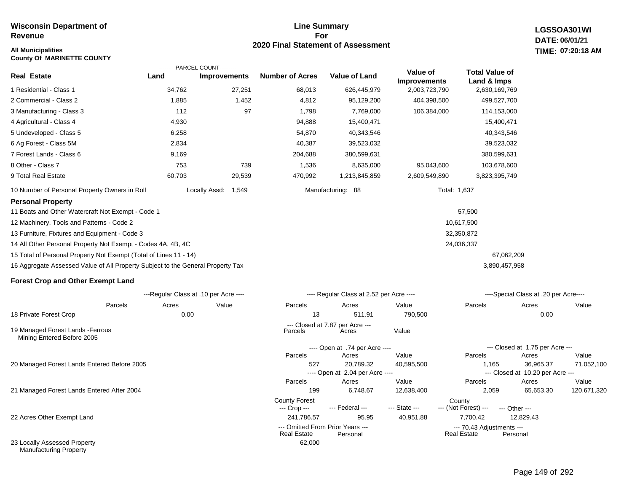**County Of MARINETTE COUNTY**

#### **Line Summary For 2020 Final Statement of Assessment**

**LGSSOA301WI DATE: 06/01/21 All Municipalities TIME: 07:20:18 AM**

#### **Real Estate** 1 Residential - Class 1 2 Commercial - Class 2 3 Manufacturing - Class 3 4 Agricultural - Class 4 5 Undeveloped - Class 5 6 Ag Forest - Class 5M 7 Forest Lands - Class 6 8 Other - Class 7 9 Total Real Estate 10 Number of Personal Property Owners in Roll **Personal Property** 11 Boats and Other Watercraft Not Exempt - Code 1 12 Machinery, Tools and Patterns - Code 2 13 Furniture, Fixtures and Equipment - Code 3 14 All Other Personal Property Not Exempt - Codes 4A, 4B, 4C 15 Total of Personal Property Not Exempt (Total of Lines 11 - 14) 16 Aggregate Assessed Value of All Property Subject to the General Property Tax **Forest Crop and Other Exempt Land** 34,762 27,251 68,013 626,445,979 2,003,723,790 2,630,169,769 1,885 112 4,930 6,258 2,834 9,169 753 60,703 1,452 97 739 29,539 4,812 1,798 94,888 54,870 40,387 204,688 1,536 470,992 95,129,200 7,769,000 15,400,471 40,343,546 39,523,032 380,599,631 8,635,000 1,213,845,859 404,398,500 106,384,000 95,043,600 2,609,549,890 499,527,700 114,153,000 15,400,471 40,343,546 39,523,032 380,599,631 103,678,600 3,823,395,749 Locally Assd: 1,549 Manufacturing: 88 57,500 10,617,500 32,350,872 24,036,337 67,062,209 3,890,457,958 Total: 1,637 **Land Improvements Number of Acres Value of Land Value of Improvements Total Value of Land & Imps** ---------PARCEL COUNT---------

|                                                                 |         | ---Regular Class at .10 per Acre ---- |       |                                                        | ---- Regular Class at 2.52 per Acre ---- |               |                                                 | ----Special Class at .20 per Acre---- |             |
|-----------------------------------------------------------------|---------|---------------------------------------|-------|--------------------------------------------------------|------------------------------------------|---------------|-------------------------------------------------|---------------------------------------|-------------|
|                                                                 | Parcels | Acres                                 | Value | Parcels                                                | Acres                                    | Value         | Parcels                                         | Acres                                 | Value       |
| 18 Private Forest Crop                                          |         | 0.00                                  |       | 13                                                     | 511.91                                   | 790,500       |                                                 | 0.00                                  |             |
|                                                                 |         |                                       |       |                                                        | --- Closed at 7.87 per Acre ---          |               |                                                 |                                       |             |
| 19 Managed Forest Lands - Ferrous<br>Mining Entered Before 2005 |         |                                       |       | Parcels                                                | Acres                                    | Value         |                                                 |                                       |             |
|                                                                 |         |                                       |       |                                                        | ---- Open at .74 per Acre ----           |               |                                                 | --- Closed at 1.75 per Acre ---       |             |
|                                                                 |         |                                       |       | Parcels                                                | Acres                                    | Value         | Parcels                                         | Acres                                 | Value       |
| 20 Managed Forest Lands Entered Before 2005                     |         |                                       |       | 527                                                    | 20,789.32                                | 40,595,500    | 1,165                                           | 36,965.37                             | 71,052,100  |
|                                                                 |         |                                       |       |                                                        | ---- Open at 2.04 per Acre ----          |               |                                                 | --- Closed at 10.20 per Acre ---      |             |
|                                                                 |         |                                       |       | Parcels                                                | Acres                                    | Value         | Parcels                                         | Acres                                 | Value       |
| 21 Managed Forest Lands Entered After 2004                      |         |                                       |       | 199                                                    | 6,748.67                                 | 12,638,400    | 2,059                                           | 65,653.30                             | 120,671,320 |
|                                                                 |         |                                       |       | <b>County Forest</b>                                   |                                          |               | County                                          |                                       |             |
|                                                                 |         |                                       |       | --- Crop ---                                           | --- Federal ---                          | --- State --- | --- (Not Forest) ---                            | --- Other ---                         |             |
| 22 Acres Other Exempt Land                                      |         |                                       |       | 241,786.57                                             | 95.95                                    | 40,951.88     | 7,700.42                                        | 12,829.43                             |             |
|                                                                 |         |                                       |       | --- Omitted From Prior Years ---<br><b>Real Estate</b> | Personal                                 |               | --- 70.43 Adjustments ---<br><b>Real Estate</b> | Personal                              |             |
| 23 Locally Assessed Property<br><b>Manufacturing Property</b>   |         |                                       |       | 62,000                                                 |                                          |               |                                                 |                                       |             |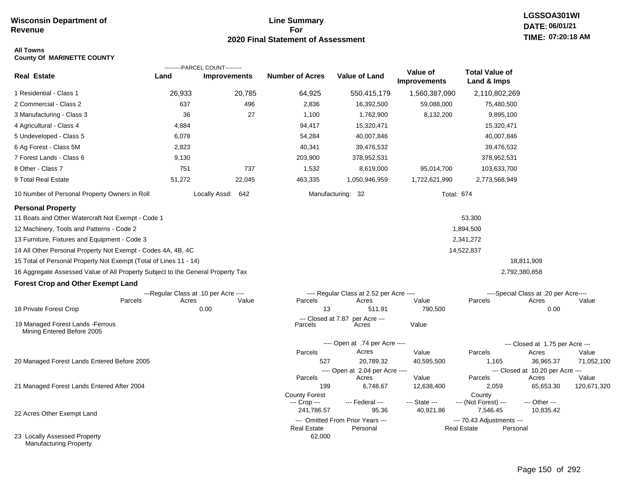### **Line Summary For 2020 Final Statement of Assessment**

# **LGSSOA301WI DATE: 06/01/21 TIME: 07:20:18 AM**

#### **All Towns County Of MARINETTE COUNTY**

|                                                                                 |        | ---------PARCEL COUNT---------        |                               |                                              |                                 |                                          |                                           |             |
|---------------------------------------------------------------------------------|--------|---------------------------------------|-------------------------------|----------------------------------------------|---------------------------------|------------------------------------------|-------------------------------------------|-------------|
| <b>Real Estate</b>                                                              | Land   | <b>Improvements</b>                   | <b>Number of Acres</b>        | <b>Value of Land</b>                         | Value of<br><b>Improvements</b> | <b>Total Value of</b><br>Land & Imps     |                                           |             |
| 1 Residential - Class 1                                                         | 26,933 | 20,785                                | 64,925                        | 550,415,179                                  | 1,560,387,090                   | 2,110,802,269                            |                                           |             |
| 2 Commercial - Class 2                                                          | 637    | 496                                   | 2,836                         | 16,392,500                                   | 59,088,000                      | 75,480,500                               |                                           |             |
| 3 Manufacturing - Class 3                                                       | 36     | 27                                    | 1,100                         | 1,762,900                                    | 8,132,200                       | 9,895,100                                |                                           |             |
| 4 Agricultural - Class 4                                                        | 4,884  |                                       | 94,417                        | 15,320,471                                   |                                 | 15,320,471                               |                                           |             |
| 5 Undeveloped - Class 5                                                         | 6,078  |                                       | 54,284                        | 40,007,846                                   |                                 | 40,007,846                               |                                           |             |
| 6 Ag Forest - Class 5M                                                          | 2,823  |                                       | 40,341                        | 39,476,532                                   |                                 | 39,476,532                               |                                           |             |
| 7 Forest Lands - Class 6                                                        | 9,130  |                                       | 203,900                       | 378,952,531                                  |                                 | 378,952,531                              |                                           |             |
| 8 Other - Class 7                                                               | 751    | 737                                   | 1,532                         | 8,619,000                                    | 95,014,700                      | 103,633,700                              |                                           |             |
| 9 Total Real Estate                                                             | 51,272 | 22,045                                | 463,335                       | 1,050,946,959                                | 1,722,621,990                   | 2,773,568,949                            |                                           |             |
| 10 Number of Personal Property Owners in Roll                                   |        | Locally Assd: 642                     |                               | Manufacturing: 32                            |                                 | <b>Total: 674</b>                        |                                           |             |
| <b>Personal Property</b>                                                        |        |                                       |                               |                                              |                                 |                                          |                                           |             |
| 11 Boats and Other Watercraft Not Exempt - Code 1                               |        |                                       |                               |                                              |                                 | 53,300                                   |                                           |             |
| 12 Machinery, Tools and Patterns - Code 2                                       |        |                                       |                               |                                              |                                 | 1,894,500                                |                                           |             |
| 13 Furniture, Fixtures and Equipment - Code 3                                   |        |                                       |                               |                                              |                                 | 2,341,272                                |                                           |             |
| 14 All Other Personal Property Not Exempt - Codes 4A, 4B, 4C                    |        |                                       |                               |                                              |                                 | 14,522,837                               |                                           |             |
| 15 Total of Personal Property Not Exempt (Total of Lines 11 - 14)               |        |                                       |                               |                                              |                                 |                                          | 18,811,909                                |             |
| 16 Aggregate Assessed Value of All Property Subject to the General Property Tax |        |                                       |                               |                                              |                                 |                                          | 2,792,380,858                             |             |
| <b>Forest Crop and Other Exempt Land</b>                                        |        |                                       |                               |                                              |                                 |                                          |                                           |             |
|                                                                                 |        | ---Regular Class at .10 per Acre ---- |                               | ---- Regular Class at 2.52 per Acre ----     |                                 |                                          | ----Special Class at .20 per Acre----     |             |
| Parcels                                                                         | Acres  | Value                                 | Parcels                       | Acres                                        | Value                           | Parcels                                  | Acres                                     | Value       |
| 18 Private Forest Crop                                                          |        | 0.00                                  | 13                            | 511.91                                       | 790,500                         |                                          | 0.00                                      |             |
| 19 Managed Forest Lands - Ferrous<br>Mining Entered Before 2005                 |        |                                       | --- Closed at 7.87<br>Parcels | per Acre ---<br>Acres                        | Value                           |                                          |                                           |             |
|                                                                                 |        |                                       |                               | ---- Open at .74 per Acre ----               |                                 |                                          | --- Closed at 1.75 per Acre ---           |             |
|                                                                                 |        |                                       | Parcels                       | Acres                                        | Value                           | Parcels                                  | Acres                                     | Value       |
| 20 Managed Forest Lands Entered Before 2005                                     |        |                                       | 527                           | 20,789.32                                    | 40,595,500                      | 1,165                                    | 36,965.37                                 | 71,052,100  |
|                                                                                 |        |                                       | Parcels                       | ---- Open at 2.04 per Acre ----<br>Acres     | Value                           | Parcels                                  | --- Closed at 10.20 per Acre ---<br>Acres | Value       |
| 21 Managed Forest Lands Entered After 2004                                      |        |                                       | 199                           | 6,748.67                                     | 12,638,400                      | 2,059                                    | 65,653.30                                 | 120,671,320 |
|                                                                                 |        |                                       | <b>County Forest</b>          |                                              |                                 | County                                   |                                           |             |
|                                                                                 |        |                                       | --- Crop ---                  | --- Federal ---                              | --- State ---                   | --- (Not Forest) ---                     | --- Other ---                             |             |
| 22 Acres Other Exempt Land                                                      |        |                                       | 241,786.57                    | 95.36                                        | 40,921.86                       | 7,546.45                                 | 10,835.42                                 |             |
|                                                                                 |        |                                       | <b>Real Estate</b>            | --- Omitted From Prior Years ---<br>Personal |                                 | --- 70.43 Adjustments ---<br>Real Estate | Personal                                  |             |
| 23 Locally Assessed Property                                                    |        |                                       | 62,000                        |                                              |                                 |                                          |                                           |             |
| <b>Manufacturing Property</b>                                                   |        |                                       |                               |                                              |                                 |                                          |                                           |             |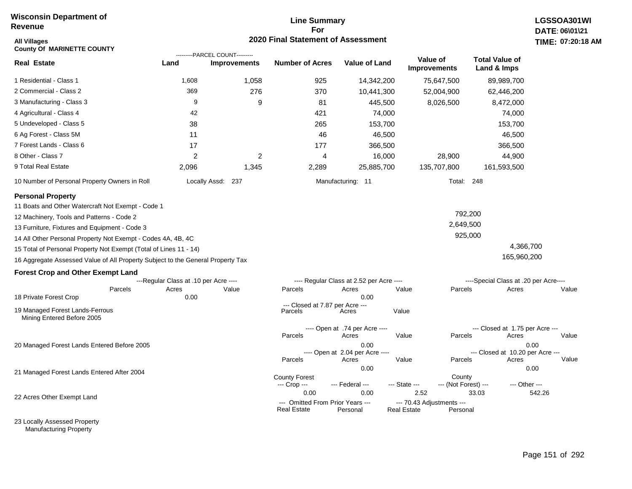#### **Line Summary For 2020 Final Statement of Assessment**

| All Villages<br><b>County Of MARINETTE COUNTY</b>                               |                                       | ---------PARCEL COUNT--------- | <b>2020 Final Statement of Assessment</b>              |                                          |                                          |                                |                                          | <b>TIME: 07:20</b> |
|---------------------------------------------------------------------------------|---------------------------------------|--------------------------------|--------------------------------------------------------|------------------------------------------|------------------------------------------|--------------------------------|------------------------------------------|--------------------|
| <b>Real Estate</b>                                                              | Land                                  | <b>Improvements</b>            | <b>Number of Acres</b>                                 | <b>Value of Land</b>                     | Value of<br><b>Improvements</b>          |                                | <b>Total Value of</b><br>Land & Imps     |                    |
| 1 Residential - Class 1                                                         | 1,608                                 | 1,058                          | 925                                                    | 14,342,200                               |                                          | 75,647,500                     | 89,989,700                               |                    |
| 2 Commercial - Class 2                                                          | 369                                   | 276                            | 370                                                    | 10,441,300                               |                                          | 52,004,900                     | 62,446,200                               |                    |
| 3 Manufacturing - Class 3                                                       | 9                                     | 9                              | 81                                                     | 445,500                                  |                                          | 8,026,500                      | 8,472,000                                |                    |
| 4 Agricultural - Class 4                                                        | 42                                    |                                | 421                                                    | 74,000                                   |                                          |                                | 74,000                                   |                    |
| 5 Undeveloped - Class 5                                                         | 38                                    |                                | 265                                                    | 153,700                                  |                                          |                                | 153,700                                  |                    |
| 6 Ag Forest - Class 5M                                                          | 11                                    |                                | 46                                                     | 46,500                                   |                                          |                                | 46,500                                   |                    |
| 7 Forest Lands - Class 6                                                        | 17                                    |                                | 177                                                    | 366,500                                  |                                          |                                | 366,500                                  |                    |
| 8 Other - Class 7                                                               | $\overline{2}$                        | 2                              | 4                                                      | 16,000                                   |                                          | 28,900                         | 44,900                                   |                    |
| 9 Total Real Estate                                                             | 2,096                                 | 1,345                          | 2,289                                                  | 25,885,700                               |                                          | 135,707,800                    | 161,593,500                              |                    |
| 10 Number of Personal Property Owners in Roll                                   |                                       | Locally Assd: 237              |                                                        | Manufacturing: 11                        |                                          | Total: 248                     |                                          |                    |
| <b>Personal Property</b>                                                        |                                       |                                |                                                        |                                          |                                          |                                |                                          |                    |
| 11 Boats and Other Watercraft Not Exempt - Code 1                               |                                       |                                |                                                        |                                          |                                          |                                |                                          |                    |
| 12 Machinery, Tools and Patterns - Code 2                                       |                                       |                                |                                                        |                                          |                                          | 792,200                        |                                          |                    |
| 13 Furniture, Fixtures and Equipment - Code 3                                   |                                       |                                |                                                        |                                          |                                          | 2,649,500                      |                                          |                    |
| 14 All Other Personal Property Not Exempt - Codes 4A, 4B, 4C                    |                                       |                                |                                                        |                                          |                                          | 925,000                        |                                          |                    |
| 15 Total of Personal Property Not Exempt (Total of Lines 11 - 14)               |                                       |                                |                                                        |                                          |                                          |                                | 4,366,700                                |                    |
| 16 Aggregate Assessed Value of All Property Subject to the General Property Tax |                                       |                                |                                                        |                                          |                                          |                                | 165,960,200                              |                    |
| <b>Forest Crop and Other Exempt Land</b>                                        |                                       |                                |                                                        |                                          |                                          |                                |                                          |                    |
|                                                                                 | ---Regular Class at .10 per Acre ---- |                                |                                                        | ---- Regular Class at 2.52 per Acre ---- |                                          |                                | ----Special Class at .20 per Acre----    |                    |
| Parcels                                                                         | Acres                                 | Value                          | Parcels                                                | Acres                                    | Value                                    | Parcels                        | Acres                                    | Value              |
| 18 Private Forest Crop                                                          | 0.00                                  |                                | --- Closed at 7.87 per Acre ---                        | 0.00                                     |                                          |                                |                                          |                    |
| 19 Managed Forest Lands-Ferrous<br>Mining Entered Before 2005                   |                                       |                                | Parcels                                                | Acres                                    | Value                                    |                                |                                          |                    |
|                                                                                 |                                       |                                |                                                        | ---- Open at .74 per Acre ----           |                                          |                                | --- Closed at 1.75 per Acre ---          |                    |
|                                                                                 |                                       |                                | Parcels                                                | Acres                                    | Value                                    | Parcels                        | Acres                                    | Value              |
| 20 Managed Forest Lands Entered Before 2005                                     |                                       |                                |                                                        | 0.00<br>---- Open at 2.04 per Acre ----  |                                          |                                | 0.00<br>--- Closed at 10.20 per Acre --- |                    |
|                                                                                 |                                       |                                | Parcels                                                | Acres                                    | Value                                    | Parcels                        | Acres                                    | Value              |
| 21 Managed Forest Lands Entered After 2004                                      |                                       |                                |                                                        | 0.00                                     |                                          |                                | 0.00                                     |                    |
|                                                                                 |                                       |                                | <b>County Forest</b><br>--- Crop ---                   | --- Federal ---                          | --- State ---                            | County<br>--- (Not Forest) --- | --- Other ---                            |                    |
| 22 Acres Other Exempt Land                                                      |                                       |                                | 0.00                                                   | 0.00                                     | 2.52                                     | 33.03                          |                                          | 542.26             |
|                                                                                 |                                       |                                | --- Omitted From Prior Years ---<br><b>Real Estate</b> | Personal                                 | --- 70.43 Adjustments ---<br>Real Estate | Personal                       |                                          |                    |

23 Locally Assessed Property Manufacturing Property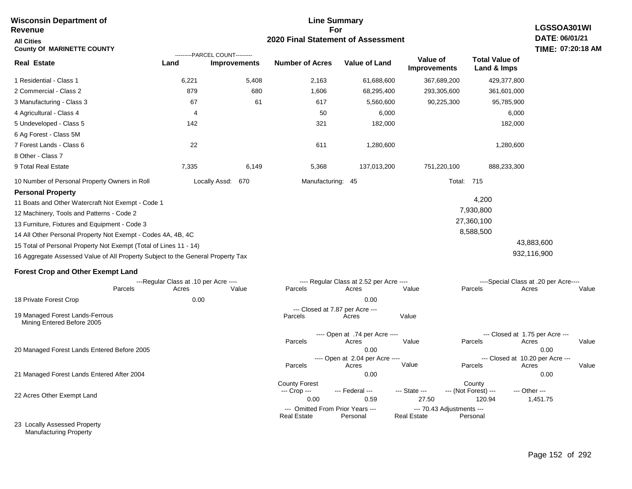| <b>Wisconsin Department of</b><br>Revenue                                                                                                                                                                                                                                                                                                                                                                                                       | <b>Line Summary</b><br>LGSSOA301WI<br>For |                                                       |                                                        |                                                  |                                                 |                                               |                                                            |  |
|-------------------------------------------------------------------------------------------------------------------------------------------------------------------------------------------------------------------------------------------------------------------------------------------------------------------------------------------------------------------------------------------------------------------------------------------------|-------------------------------------------|-------------------------------------------------------|--------------------------------------------------------|--------------------------------------------------|-------------------------------------------------|-----------------------------------------------|------------------------------------------------------------|--|
| <b>All Cities</b><br><b>County Of MARINETTE COUNTY</b>                                                                                                                                                                                                                                                                                                                                                                                          |                                           |                                                       | 2020 Final Statement of Assessment                     |                                                  |                                                 |                                               | DATE: 06/01/21<br>TIME: 07:20:18 AM                        |  |
| <b>Real Estate</b>                                                                                                                                                                                                                                                                                                                                                                                                                              | Land                                      | ---------PARCEL COUNT---------<br><b>Improvements</b> | <b>Number of Acres</b>                                 | <b>Value of Land</b>                             | Value of<br><b>Improvements</b>                 | <b>Total Value of</b><br>Land & Imps          |                                                            |  |
| 1 Residential - Class 1                                                                                                                                                                                                                                                                                                                                                                                                                         | 6,221                                     | 5,408                                                 | 2,163                                                  | 61,688,600                                       | 367,689,200                                     | 429,377,800                                   |                                                            |  |
| 2 Commercial - Class 2                                                                                                                                                                                                                                                                                                                                                                                                                          | 879                                       | 680                                                   | 1,606                                                  | 68,295,400                                       | 293,305,600                                     | 361,601,000                                   |                                                            |  |
| 3 Manufacturing - Class 3                                                                                                                                                                                                                                                                                                                                                                                                                       | 67                                        | 61                                                    | 617                                                    | 5,560,600                                        | 90,225,300                                      | 95,785,900                                    |                                                            |  |
| 4 Agricultural - Class 4                                                                                                                                                                                                                                                                                                                                                                                                                        | 4                                         |                                                       | 50                                                     | 6,000                                            |                                                 | 6,000                                         |                                                            |  |
| 5 Undeveloped - Class 5                                                                                                                                                                                                                                                                                                                                                                                                                         | 142                                       |                                                       | 321                                                    | 182,000                                          |                                                 | 182,000                                       |                                                            |  |
| 6 Ag Forest - Class 5M<br>7 Forest Lands - Class 6<br>8 Other - Class 7                                                                                                                                                                                                                                                                                                                                                                         | 22                                        |                                                       | 611                                                    | 1,280,600                                        |                                                 | 1,280,600                                     |                                                            |  |
| 9 Total Real Estate                                                                                                                                                                                                                                                                                                                                                                                                                             | 7,335                                     | 6,149                                                 | 5,368                                                  | 137,013,200                                      | 751,220,100                                     | 888,233,300                                   |                                                            |  |
| 10 Number of Personal Property Owners in Roll                                                                                                                                                                                                                                                                                                                                                                                                   |                                           | Locally Assd: 670                                     | Manufacturing: 45                                      |                                                  |                                                 | <b>Total: 715</b>                             |                                                            |  |
| <b>Personal Property</b><br>11 Boats and Other Watercraft Not Exempt - Code 1<br>12 Machinery, Tools and Patterns - Code 2<br>13 Furniture, Fixtures and Equipment - Code 3<br>14 All Other Personal Property Not Exempt - Codes 4A, 4B, 4C<br>15 Total of Personal Property Not Exempt (Total of Lines 11 - 14)<br>16 Aggregate Assessed Value of All Property Subject to the General Property Tax<br><b>Forest Crop and Other Exempt Land</b> |                                           |                                                       |                                                        |                                                  |                                                 | 4,200<br>7,930,800<br>27,360,100<br>8,588,500 | 43,883,600<br>932,116,900                                  |  |
|                                                                                                                                                                                                                                                                                                                                                                                                                                                 | ---Regular Class at .10 per Acre ----     |                                                       |                                                        | ---- Regular Class at 2.52 per Acre ----         |                                                 |                                               | ----Special Class at .20 per Acre----                      |  |
| Parcels                                                                                                                                                                                                                                                                                                                                                                                                                                         | Acres                                     | Value                                                 | Parcels                                                | Acres                                            | Value                                           | Parcels                                       | Acres<br>Value                                             |  |
| 18 Private Forest Crop                                                                                                                                                                                                                                                                                                                                                                                                                          | 0.00                                      |                                                       |                                                        | 0.00                                             |                                                 |                                               |                                                            |  |
| 19 Managed Forest Lands-Ferrous<br>Mining Entered Before 2005                                                                                                                                                                                                                                                                                                                                                                                   |                                           |                                                       | Parcels                                                | --- Closed at 7.87 per Acre ---<br>Acres         | Value                                           |                                               |                                                            |  |
|                                                                                                                                                                                                                                                                                                                                                                                                                                                 |                                           |                                                       | Parcels                                                | ---- Open at .74 per Acre ----<br>Acres          | Value                                           | Parcels                                       | --- Closed at 1.75 per Acre ---<br>Acres<br>Value          |  |
| 20 Managed Forest Lands Entered Before 2005                                                                                                                                                                                                                                                                                                                                                                                                     |                                           |                                                       | Parcels                                                | 0.00<br>---- Open at 2.04 per Acre ----<br>Acres | Value                                           | Parcels                                       | 0.00<br>--- Closed at 10.20 per Acre ---<br>Acres<br>Value |  |
| 21 Managed Forest Lands Entered After 2004                                                                                                                                                                                                                                                                                                                                                                                                      |                                           |                                                       |                                                        | 0.00                                             |                                                 |                                               | 0.00                                                       |  |
| 22 Acres Other Exempt Land                                                                                                                                                                                                                                                                                                                                                                                                                      |                                           |                                                       | <b>County Forest</b><br>--- Crop ---<br>0.00           | --- Federal ---<br>0.59                          | --- State ---<br>27.50                          | County<br>--- (Not Forest) ---<br>120.94      | --- Other ---<br>1,451.75                                  |  |
|                                                                                                                                                                                                                                                                                                                                                                                                                                                 |                                           |                                                       | --- Omitted From Prior Years ---<br><b>Real Estate</b> | Personal                                         | --- 70.43 Adjustments ---<br><b>Real Estate</b> | Personal                                      |                                                            |  |
| 23 Locally Assessed Property                                                                                                                                                                                                                                                                                                                                                                                                                    |                                           |                                                       |                                                        |                                                  |                                                 |                                               |                                                            |  |

Manufacturing Property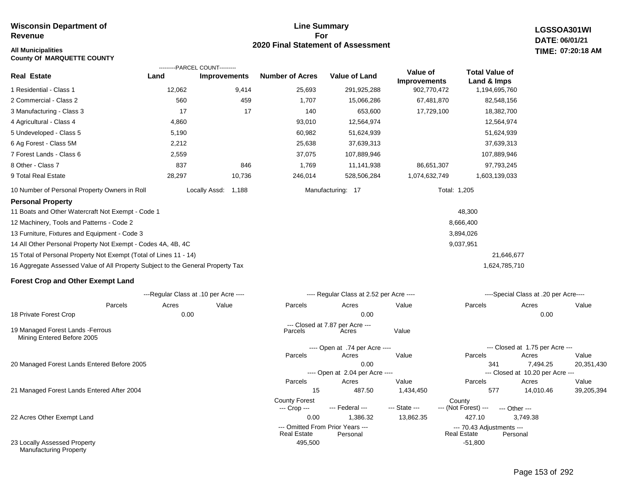#### **Line Summary For 2020 Final Statement of Assessment**

**LGSSOA301WI DATE: 06/01/21 All Municipalities TIME: 07:20:18 AM**

| <b>County Of MARQUETTE COUNTY</b>                                               |                                        |                        |                                      |                                              |                                    |                                                 |                                          |       |
|---------------------------------------------------------------------------------|----------------------------------------|------------------------|--------------------------------------|----------------------------------------------|------------------------------------|-------------------------------------------------|------------------------------------------|-------|
| <b>Real Estate</b>                                                              | ---------PARCEL COUNT---------<br>Land | <b>Improvements</b>    | <b>Number of Acres</b>               | <b>Value of Land</b>                         | Value of                           | <b>Total Value of</b>                           |                                          |       |
| 1 Residential - Class 1                                                         | 12,062                                 | 9,414                  | 25,693                               | 291,925,288                                  | <b>Improvements</b><br>902,770,472 | Land & Imps<br>1,194,695,760                    |                                          |       |
| 2 Commercial - Class 2                                                          | 560                                    | 459                    | 1,707                                | 15,066,286                                   | 67,481,870                         | 82,548,156                                      |                                          |       |
| 3 Manufacturing - Class 3                                                       | 17                                     | 17                     | 140                                  | 653,600                                      | 17,729,100                         | 18,382,700                                      |                                          |       |
| 4 Agricultural - Class 4                                                        | 4,860                                  |                        | 93,010                               | 12,564,974                                   |                                    | 12,564,974                                      |                                          |       |
| 5 Undeveloped - Class 5                                                         | 5,190                                  |                        | 60,982                               | 51,624,939                                   |                                    | 51,624,939                                      |                                          |       |
| 6 Ag Forest - Class 5M                                                          | 2,212                                  |                        | 25,638                               | 37,639,313                                   |                                    | 37,639,313                                      |                                          |       |
| 7 Forest Lands - Class 6                                                        | 2,559                                  |                        | 37,075                               | 107,889,946                                  |                                    | 107,889,946                                     |                                          |       |
| 8 Other - Class 7                                                               | 837                                    | 846                    | 1,769                                | 11,141,938                                   | 86,651,307                         | 97,793,245                                      |                                          |       |
| 9 Total Real Estate                                                             | 28,297                                 | 10,736                 | 246,014                              | 528,506,284                                  | 1,074,632,749                      | 1,603,139,033                                   |                                          |       |
| 10 Number of Personal Property Owners in Roll                                   |                                        | Locally Assd:<br>1,188 |                                      | Manufacturing: 17                            |                                    | Total: 1,205                                    |                                          |       |
| <b>Personal Property</b>                                                        |                                        |                        |                                      |                                              |                                    |                                                 |                                          |       |
| 11 Boats and Other Watercraft Not Exempt - Code 1                               |                                        |                        |                                      |                                              |                                    | 48,300                                          |                                          |       |
| 12 Machinery, Tools and Patterns - Code 2                                       |                                        |                        |                                      |                                              |                                    | 8,666,400                                       |                                          |       |
| 13 Furniture, Fixtures and Equipment - Code 3                                   |                                        |                        |                                      |                                              |                                    | 3,894,026                                       |                                          |       |
| 14 All Other Personal Property Not Exempt - Codes 4A, 4B, 4C                    |                                        |                        |                                      |                                              |                                    | 9,037,951                                       |                                          |       |
| 15 Total of Personal Property Not Exempt (Total of Lines 11 - 14)               |                                        |                        |                                      |                                              |                                    | 21,646,677                                      |                                          |       |
| 16 Aggregate Assessed Value of All Property Subject to the General Property Tax |                                        |                        |                                      |                                              |                                    | 1,624,785,710                                   |                                          |       |
| <b>Forest Crop and Other Exempt Land</b>                                        |                                        |                        |                                      |                                              |                                    |                                                 |                                          |       |
|                                                                                 | ---Regular Class at .10 per Acre ----  |                        |                                      | ---- Regular Class at 2.52 per Acre ----     |                                    |                                                 | ----Special Class at .20 per Acre----    |       |
| Parcels                                                                         | Acres                                  | Value                  | Parcels                              | Acres                                        | Value                              | Parcels                                         | Acres                                    | Value |
| 18 Private Forest Crop                                                          | 0.00                                   |                        |                                      | 0.00                                         |                                    |                                                 | 0.00                                     |       |
| 19 Managed Forest Lands - Ferrous<br>Mining Entered Before 2005                 |                                        |                        | Parcels                              | --- Closed at 7.87 per Acre ---<br>Acres     | Value                              |                                                 |                                          |       |
|                                                                                 |                                        |                        |                                      | ---- Open at .74 per Acre ----               |                                    |                                                 | --- Closed at 1.75 per Acre ---          |       |
|                                                                                 |                                        |                        | Parcels                              | Acres                                        | Value                              | Parcels                                         | Acres                                    | Value |
| 20 Managed Forest Lands Entered Before 2005                                     |                                        |                        |                                      | 0.00                                         |                                    | 341                                             | 7,494.25                                 | 20,35 |
|                                                                                 |                                        |                        | Parcels                              | ---- Open at 2.04 per Acre ----<br>Acres     | Value                              | Parcels                                         | --- Closed at 10.20 per Acre --<br>Acres | Value |
| 21 Managed Forest Lands Entered After 2004                                      |                                        |                        | 15                                   | 487.50                                       | 1,434,450                          | 577                                             | 14,010.46                                | 39,20 |
|                                                                                 |                                        |                        | <b>County Forest</b><br>--- Crop --- | --- Federal ---                              | --- State ---                      | County<br>--- (Not Forest) ---                  | --- Other ---                            |       |
| 22 Acres Other Exempt Land                                                      |                                        |                        | 0.00                                 | 1,386.32                                     | 13,862.35                          | 427.10                                          | 3,749.38                                 |       |
|                                                                                 |                                        |                        | <b>Real Estate</b>                   | --- Omitted From Prior Years ---<br>Personal |                                    | --- 70.43 Adjustments ---<br><b>Real Estate</b> | Personal                                 |       |
| 23 Locally Assessed Property<br><b>Manufacturing Property</b>                   |                                        |                        | 495,500                              |                                              |                                    | $-51,800$                                       |                                          |       |

20,351,430

39,205,394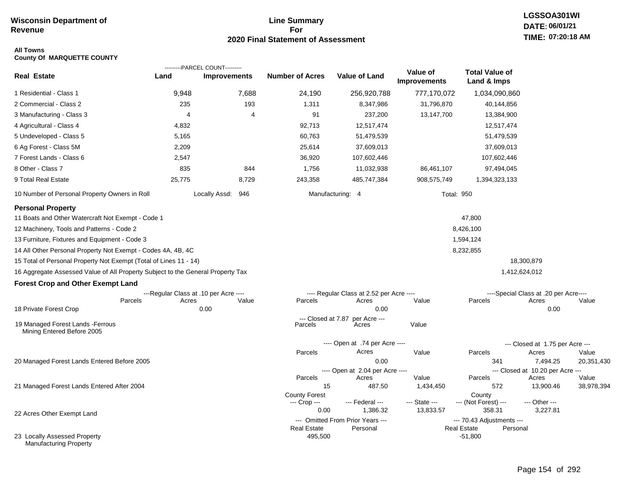### **Line Summary For 2020 Final Statement of Assessment**

# **LGSSOA301WI DATE: 06/01/21 TIME: 07:20:18 AM**

#### **All Towns County Of MARQUETTE COUNTY**

|                                                                                 |        | ---------PARCEL COUNT---------        |                               |                                              |                                 |                                                             |                                       |                     |
|---------------------------------------------------------------------------------|--------|---------------------------------------|-------------------------------|----------------------------------------------|---------------------------------|-------------------------------------------------------------|---------------------------------------|---------------------|
| <b>Real Estate</b>                                                              | Land   | <b>Improvements</b>                   | <b>Number of Acres</b>        | <b>Value of Land</b>                         | Value of<br><b>Improvements</b> | <b>Total Value of</b><br>Land & Imps                        |                                       |                     |
| 1 Residential - Class 1                                                         | 9,948  | 7,688                                 | 24,190                        | 256,920,788                                  | 777,170,072                     | 1,034,090,860                                               |                                       |                     |
| 2 Commercial - Class 2                                                          | 235    | 193                                   | 1,311                         | 8,347,986                                    | 31,796,870                      | 40,144,856                                                  |                                       |                     |
| 3 Manufacturing - Class 3                                                       | 4      | 4                                     | 91                            | 237,200                                      | 13,147,700                      | 13,384,900                                                  |                                       |                     |
| 4 Agricultural - Class 4                                                        | 4,832  |                                       | 92,713                        | 12,517,474                                   |                                 | 12,517,474                                                  |                                       |                     |
| 5 Undeveloped - Class 5                                                         | 5,165  |                                       | 60,763                        | 51,479,539                                   |                                 | 51,479,539                                                  |                                       |                     |
| 6 Ag Forest - Class 5M                                                          | 2,209  |                                       | 25,614                        | 37,609,013                                   |                                 | 37,609,013                                                  |                                       |                     |
| 7 Forest Lands - Class 6                                                        | 2,547  |                                       | 36,920                        | 107,602,446                                  |                                 | 107,602,446                                                 |                                       |                     |
| 8 Other - Class 7                                                               | 835    | 844                                   | 1,756                         | 11,032,938                                   | 86,461,107                      | 97,494,045                                                  |                                       |                     |
| 9 Total Real Estate                                                             | 25,775 | 8,729                                 | 243,358                       | 485,747,384                                  | 908,575,749                     | 1,394,323,133                                               |                                       |                     |
| 10 Number of Personal Property Owners in Roll                                   |        | Locally Assd: 946                     |                               | Manufacturing: 4                             | <b>Total: 950</b>               |                                                             |                                       |                     |
| <b>Personal Property</b>                                                        |        |                                       |                               |                                              |                                 |                                                             |                                       |                     |
| 11 Boats and Other Watercraft Not Exempt - Code 1                               |        |                                       |                               |                                              |                                 | 47,800                                                      |                                       |                     |
| 12 Machinery, Tools and Patterns - Code 2                                       |        |                                       |                               |                                              |                                 | 8,426,100                                                   |                                       |                     |
| 13 Furniture, Fixtures and Equipment - Code 3                                   |        |                                       |                               |                                              |                                 | 1,594,124                                                   |                                       |                     |
| 14 All Other Personal Property Not Exempt - Codes 4A, 4B, 4C                    |        |                                       |                               |                                              |                                 | 8,232,855                                                   |                                       |                     |
| 15 Total of Personal Property Not Exempt (Total of Lines 11 - 14)               |        |                                       |                               |                                              |                                 |                                                             | 18,300,879                            |                     |
| 16 Aggregate Assessed Value of All Property Subject to the General Property Tax |        |                                       |                               |                                              |                                 |                                                             | 1,412,624,012                         |                     |
| <b>Forest Crop and Other Exempt Land</b>                                        |        |                                       |                               |                                              |                                 |                                                             |                                       |                     |
|                                                                                 |        | ---Regular Class at .10 per Acre ---- |                               | ---- Regular Class at 2.52 per Acre ----     |                                 |                                                             | ----Special Class at .20 per Acre---- |                     |
| Parcels                                                                         | Acres  | Value                                 | Parcels                       | Acres                                        | Value                           | Parcels                                                     | Acres                                 | Value               |
| 18 Private Forest Crop                                                          |        | 0.00                                  |                               | 0.00                                         |                                 |                                                             | 0.00                                  |                     |
| 19 Managed Forest Lands - Ferrous<br>Mining Entered Before 2005                 |        |                                       | --- Closed at 7.87<br>Parcels | per Acre ---<br>Acres                        | Value                           |                                                             |                                       |                     |
|                                                                                 |        |                                       |                               | ---- Open at .74 per Acre ----               |                                 |                                                             | --- Closed at 1.75 per Acre ---       |                     |
|                                                                                 |        |                                       | Parcels                       | Acres                                        | Value                           | Parcels                                                     | Acres                                 | Value               |
| 20 Managed Forest Lands Entered Before 2005                                     |        |                                       |                               | 0.00                                         |                                 | 341                                                         | 7,494.25                              | 20,351,430          |
|                                                                                 |        |                                       |                               | ---- Open at 2.04 per Acre ----              |                                 |                                                             | --- Closed at 10.20 per Acre ---      |                     |
| 21 Managed Forest Lands Entered After 2004                                      |        |                                       | Parcels<br>15                 | Acres<br>487.50                              | Value<br>1,434,450              | Parcels<br>572                                              | Acres<br>13,900.46                    | Value<br>38,978,394 |
|                                                                                 |        |                                       | <b>County Forest</b>          |                                              |                                 | County                                                      |                                       |                     |
|                                                                                 |        |                                       | --- Crop ---                  | --- Federal ---                              | --- State ---                   | --- (Not Forest) ---                                        | --- Other ---                         |                     |
| 22 Acres Other Exempt Land                                                      |        |                                       | 0.00                          | 1,386.32                                     | 13,833.57                       | 358.31                                                      | 3,227.81                              |                     |
|                                                                                 |        |                                       | <b>Real Estate</b>            | --- Omitted From Prior Years ---<br>Personal |                                 | --- 70.43 Adjustments ---<br><b>Real Estate</b><br>Personal |                                       |                     |
| 23 Locally Assessed Property<br><b>Manufacturing Property</b>                   |        |                                       | 495,500                       |                                              |                                 | $-51,800$                                                   |                                       |                     |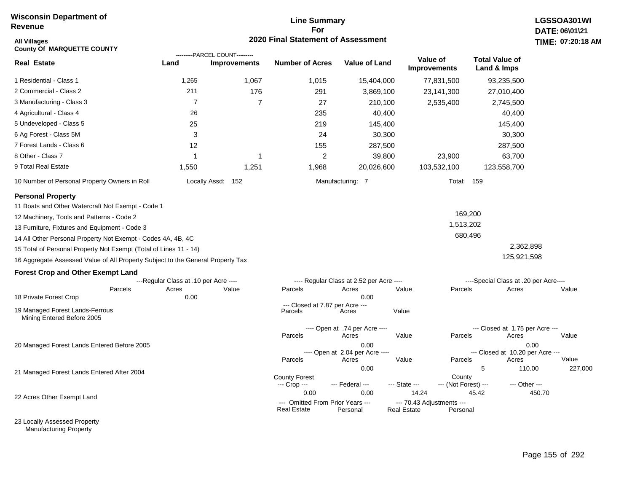#### **Line Summary For 2020 Final Statement of Assessment**

| All Villages<br><b>County Of MARQUETTE COUNTY</b>                               |                                       | ---------PARCEL COUNT--------- | <b>2020 Final Statement of Assessment</b>       |                                          |                                                 |                                |                                          | TIME: 07:20:18    |
|---------------------------------------------------------------------------------|---------------------------------------|--------------------------------|-------------------------------------------------|------------------------------------------|-------------------------------------------------|--------------------------------|------------------------------------------|-------------------|
| <b>Real Estate</b>                                                              | Land                                  | <b>Improvements</b>            | <b>Number of Acres</b>                          | Value of Land                            | Value of<br>Improvements                        |                                | <b>Total Value of</b><br>Land & Imps     |                   |
| 1 Residential - Class 1                                                         | 1,265                                 | 1,067                          | 1,015                                           | 15,404,000                               |                                                 | 77,831,500                     | 93,235,500                               |                   |
| 2 Commercial - Class 2                                                          | 211                                   | 176                            | 291                                             | 3,869,100                                |                                                 | 23,141,300                     | 27,010,400                               |                   |
| 3 Manufacturing - Class 3                                                       | $\overline{7}$                        | $\overline{7}$                 | 27                                              | 210,100                                  |                                                 | 2,535,400                      | 2,745,500                                |                   |
| 4 Agricultural - Class 4                                                        | 26                                    |                                | 235                                             | 40,400                                   |                                                 |                                | 40,400                                   |                   |
| 5 Undeveloped - Class 5                                                         | 25                                    |                                | 219                                             | 145,400                                  |                                                 |                                | 145,400                                  |                   |
| 6 Ag Forest - Class 5M                                                          | 3                                     |                                | 24                                              | 30,300                                   |                                                 |                                | 30,300                                   |                   |
| 7 Forest Lands - Class 6                                                        | 12                                    |                                | 155                                             | 287,500                                  |                                                 |                                | 287,500                                  |                   |
| 8 Other - Class 7                                                               | 1                                     | -1                             | $\overline{c}$                                  | 39,800                                   |                                                 | 23,900                         | 63,700                                   |                   |
| 9 Total Real Estate                                                             | 1,550                                 | 1,251                          | 1,968                                           | 20,026,600                               |                                                 | 103,532,100                    | 123,558,700                              |                   |
| 10 Number of Personal Property Owners in Roll                                   |                                       | Locally Assd: 152              |                                                 | Manufacturing: 7                         |                                                 | Total: 159                     |                                          |                   |
| <b>Personal Property</b>                                                        |                                       |                                |                                                 |                                          |                                                 |                                |                                          |                   |
| 11 Boats and Other Watercraft Not Exempt - Code 1                               |                                       |                                |                                                 |                                          |                                                 |                                |                                          |                   |
| 12 Machinery, Tools and Patterns - Code 2                                       |                                       |                                |                                                 |                                          |                                                 | 169,200                        |                                          |                   |
| 13 Furniture, Fixtures and Equipment - Code 3                                   |                                       |                                |                                                 |                                          |                                                 | 1,513,202                      |                                          |                   |
| 14 All Other Personal Property Not Exempt - Codes 4A, 4B, 4C                    |                                       |                                |                                                 |                                          |                                                 | 680,496                        |                                          |                   |
| 15 Total of Personal Property Not Exempt (Total of Lines 11 - 14)               |                                       |                                |                                                 |                                          |                                                 |                                | 2,362,898                                |                   |
| 16 Aggregate Assessed Value of All Property Subject to the General Property Tax |                                       |                                |                                                 |                                          |                                                 |                                | 125,921,598                              |                   |
| <b>Forest Crop and Other Exempt Land</b>                                        |                                       |                                |                                                 |                                          |                                                 |                                |                                          |                   |
|                                                                                 | ---Regular Class at .10 per Acre ---- |                                |                                                 | ---- Regular Class at 2.52 per Acre ---- |                                                 |                                | ----Special Class at .20 per Acre----    |                   |
| Parcels<br>18 Private Forest Crop                                               | Acres<br>0.00                         | Value                          | Parcels                                         | Acres<br>0.00                            | Value                                           | Parcels                        | Acres                                    | Value             |
| 19 Managed Forest Lands-Ferrous<br>Mining Entered Before 2005                   |                                       |                                | --- Closed at 7.87 per Acre ---<br>Parcels      | Acres                                    | Value                                           |                                |                                          |                   |
|                                                                                 |                                       |                                | Parcels                                         | ---- Open at .74 per Acre ----<br>Acres  | Value                                           | Parcels                        | --- Closed at 1.75 per Acre ---<br>Acres | Value             |
| 20 Managed Forest Lands Entered Before 2005                                     |                                       |                                |                                                 | 0.00<br>---- Open at 2.04 per Acre ----  |                                                 |                                | --- Closed at 10.20 per Acre ---         | 0.00              |
|                                                                                 |                                       |                                | Parcels                                         | Acres                                    | Value                                           | Parcels                        | Acres                                    | Value             |
| 21 Managed Forest Lands Entered After 2004                                      |                                       |                                |                                                 | 0.00                                     |                                                 |                                | 5                                        | 227,000<br>110.00 |
|                                                                                 |                                       |                                | <b>County Forest</b><br>--- Crop ---            | --- Federal ---                          | --- State ---                                   | County<br>--- (Not Forest) --- | --- Other ---                            |                   |
| 22 Acres Other Exempt Land                                                      |                                       |                                | 0.00                                            | 0.00                                     | 14.24                                           |                                | 45.42                                    | 450.70            |
|                                                                                 |                                       |                                | --- Omitted From Prior Years ---<br>Real Estate | Personal                                 | --- 70.43 Adjustments ---<br><b>Real Estate</b> | Personal                       |                                          |                   |

23 Locally Assessed Property Manufacturing Property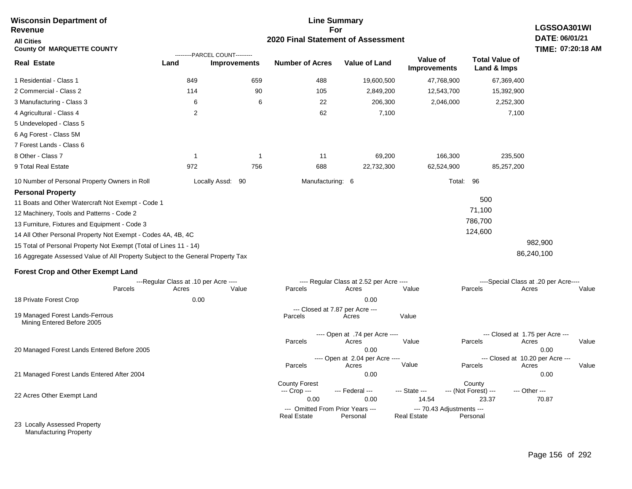| <b>Wisconsin Department of</b><br>Revenue                                       |       |                                                       | <b>Line Summary</b><br>For |                                            |                                          |                    |                                    | <b>LGSSOA301WI</b>                   |                                           |       |
|---------------------------------------------------------------------------------|-------|-------------------------------------------------------|----------------------------|--------------------------------------------|------------------------------------------|--------------------|------------------------------------|--------------------------------------|-------------------------------------------|-------|
| <b>All Cities</b><br><b>County Of MARQUETTE COUNTY</b>                          |       |                                                       |                            | 2020 Final Statement of Assessment         |                                          |                    |                                    |                                      | DATE: 06/01/21<br>TIME: 07:20:18 AM       |       |
| <b>Real Estate</b>                                                              | Land  | ---------PARCEL COUNT---------<br><b>Improvements</b> |                            | <b>Number of Acres</b>                     | <b>Value of Land</b>                     |                    | Value of<br><b>Improvements</b>    | <b>Total Value of</b><br>Land & Imps |                                           |       |
| 1 Residential - Class 1                                                         |       | 849                                                   | 659                        | 488                                        |                                          | 19,600,500         | 47,768,900                         | 67,369,400                           |                                           |       |
| 2 Commercial - Class 2                                                          |       | 114                                                   | 90                         | 105                                        |                                          | 2,849,200          | 12,543,700                         | 15,392,900                           |                                           |       |
| 3 Manufacturing - Class 3                                                       |       | 6                                                     | 6                          | 22                                         |                                          | 206,300            | 2,046,000                          | 2,252,300                            |                                           |       |
| 4 Agricultural - Class 4                                                        |       | $\overline{\mathbf{c}}$                               |                            | 62                                         |                                          | 7,100              |                                    |                                      | 7,100                                     |       |
| 5 Undeveloped - Class 5                                                         |       |                                                       |                            |                                            |                                          |                    |                                    |                                      |                                           |       |
| 6 Ag Forest - Class 5M                                                          |       |                                                       |                            |                                            |                                          |                    |                                    |                                      |                                           |       |
| 7 Forest Lands - Class 6                                                        |       |                                                       |                            |                                            |                                          |                    |                                    |                                      |                                           |       |
| 8 Other - Class 7                                                               |       | $\overline{1}$                                        | $\mathbf{1}$               | 11                                         |                                          | 69,200             | 166,300                            | 235,500                              |                                           |       |
| 9 Total Real Estate                                                             |       | 972                                                   | 756                        | 688                                        |                                          | 22,732,300         | 62,524,900                         | 85,257,200                           |                                           |       |
| 10 Number of Personal Property Owners in Roll                                   |       | Locally Assd: 90                                      |                            | Manufacturing: 6                           |                                          |                    | Total:                             | 96                                   |                                           |       |
| <b>Personal Property</b>                                                        |       |                                                       |                            |                                            |                                          |                    |                                    |                                      |                                           |       |
| 11 Boats and Other Watercraft Not Exempt - Code 1                               |       |                                                       |                            |                                            |                                          |                    |                                    | 500                                  |                                           |       |
| 12 Machinery, Tools and Patterns - Code 2                                       |       |                                                       |                            |                                            |                                          |                    |                                    | 71,100                               |                                           |       |
| 13 Furniture, Fixtures and Equipment - Code 3                                   |       |                                                       |                            |                                            |                                          |                    |                                    | 786,700                              |                                           |       |
| 14 All Other Personal Property Not Exempt - Codes 4A, 4B, 4C                    |       |                                                       |                            |                                            |                                          |                    |                                    | 124,600                              |                                           |       |
| 15 Total of Personal Property Not Exempt (Total of Lines 11 - 14)               |       |                                                       |                            |                                            |                                          |                    |                                    |                                      | 982,900                                   |       |
| 16 Aggregate Assessed Value of All Property Subject to the General Property Tax |       |                                                       |                            |                                            |                                          |                    |                                    |                                      | 86,240,100                                |       |
| <b>Forest Crop and Other Exempt Land</b>                                        |       |                                                       |                            |                                            |                                          |                    |                                    |                                      |                                           |       |
|                                                                                 |       | ---Regular Class at .10 per Acre ----                 |                            |                                            | ---- Regular Class at 2.52 per Acre ---- |                    |                                    |                                      | ----Special Class at .20 per Acre----     |       |
| Parcels                                                                         | Acres | Value                                                 |                            | Parcels                                    | Acres                                    | Value              |                                    | Parcels                              | Acres                                     | Value |
| 18 Private Forest Crop                                                          |       | 0.00                                                  |                            |                                            | 0.00                                     |                    |                                    |                                      |                                           |       |
| 19 Managed Forest Lands-Ferrous<br>Mining Entered Before 2005                   |       |                                                       |                            | --- Closed at 7.87 per Acre ---<br>Parcels | Acres                                    | Value              |                                    |                                      |                                           |       |
|                                                                                 |       |                                                       |                            | Parcels                                    | ---- Open at .74 per Acre ----<br>Acres  | Value              |                                    | Parcels                              | --- Closed at 1.75 per Acre ---<br>Acres  | Value |
| 20 Managed Forest Lands Entered Before 2005                                     |       |                                                       |                            |                                            | 0.00                                     |                    |                                    |                                      | 0.00                                      |       |
|                                                                                 |       |                                                       |                            | Parcels                                    | ---- Open at 2.04 per Acre ----<br>Acres | Value              |                                    | Parcels                              | --- Closed at 10.20 per Acre ---<br>Acres | Value |
| 21 Managed Forest Lands Entered After 2004                                      |       |                                                       |                            |                                            | 0.00                                     |                    |                                    |                                      | 0.00                                      |       |
|                                                                                 |       |                                                       |                            | <b>County Forest</b>                       |                                          |                    |                                    | County                               |                                           |       |
| 22 Acres Other Exempt Land                                                      |       |                                                       |                            | --- Crop ---                               | --- Federal ---                          | --- State ---      |                                    | --- (Not Forest) ---                 | --- Other ---                             |       |
|                                                                                 |       |                                                       |                            | 0.00<br>--- Omitted From Prior Years ---   | 0.00                                     |                    | 14.54<br>--- 70.43 Adjustments --- | 23.37                                | 70.87                                     |       |
|                                                                                 |       |                                                       |                            | <b>Real Estate</b>                         | Personal                                 | <b>Real Estate</b> |                                    | Personal                             |                                           |       |
| 23 Locally Assessed Property                                                    |       |                                                       |                            |                                            |                                          |                    |                                    |                                      |                                           |       |

Manufacturing Property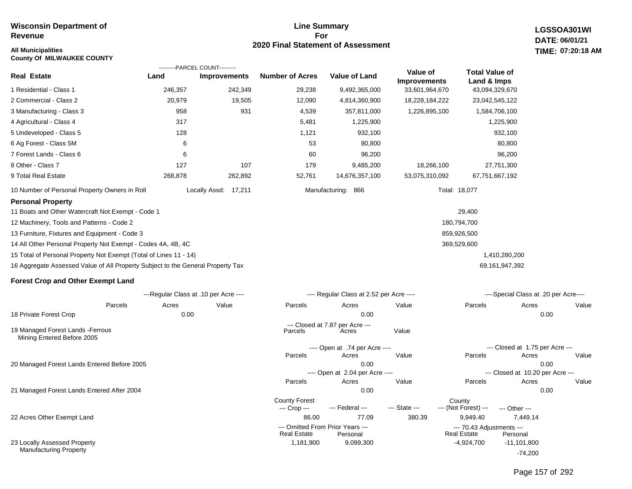**County Of MILWAUKEE COUNTY**

#### **Line Summary For 2020 Final Statement of Assessment All Municipalities TIME:**

---- Open at .74 per Acre ----

Parcels Acres Value

--- Closed at 7.87 per Acre ---<br>Parcels (Acres

---- Open at 2.04 per Acre ----

**LGSSOA301WI DATE: 06/01/21 07:20:18 AM**

|                                                                                 |         | ---------PARCEL COUNT---------        |                        |                                          |                                 |                                      |                                       |       |
|---------------------------------------------------------------------------------|---------|---------------------------------------|------------------------|------------------------------------------|---------------------------------|--------------------------------------|---------------------------------------|-------|
| <b>Real Estate</b>                                                              | Land    | <b>Improvements</b>                   | <b>Number of Acres</b> | <b>Value of Land</b>                     | Value of<br><b>Improvements</b> | <b>Total Value of</b><br>Land & Imps |                                       |       |
| 1 Residential - Class 1                                                         | 246,357 | 242,349                               | 29,238                 | 9,492,365,000                            | 33,601,964,670                  | 43,094,329,670                       |                                       |       |
| 2 Commercial - Class 2                                                          | 20,979  | 19,505                                | 12,090                 | 4,814,360,900                            | 18,228,184,222                  | 23,042,545,122                       |                                       |       |
| 3 Manufacturing - Class 3                                                       | 958     | 931                                   | 4,539                  | 357,811,000                              | 1,226,895,100                   | 1,584,706,100                        |                                       |       |
| 4 Agricultural - Class 4                                                        | 317     |                                       | 5,481                  | 1,225,900                                |                                 | 1,225,900                            |                                       |       |
| 5 Undeveloped - Class 5                                                         | 128     |                                       | 1,121                  | 932,100                                  |                                 |                                      | 932,100                               |       |
| 6 Ag Forest - Class 5M                                                          | 6       |                                       | 53                     | 80,800                                   |                                 |                                      | 80,800                                |       |
| 7 Forest Lands - Class 6                                                        | 6       |                                       | 60                     | 96,200                                   |                                 |                                      | 96,200                                |       |
| 8 Other - Class 7                                                               | 127     | 107                                   | 179                    | 9,485,200                                | 18,266,100                      | 27,751,300                           |                                       |       |
| 9 Total Real Estate                                                             | 268,878 | 262,892                               | 52,761                 | 14,676,357,100                           | 53,075,310,092                  | 67,751,667,192                       |                                       |       |
| 10 Number of Personal Property Owners in Roll                                   |         | Locally Assd: 17,211                  |                        | Manufacturing: 866                       |                                 | Total: 18,077                        |                                       |       |
| <b>Personal Property</b>                                                        |         |                                       |                        |                                          |                                 |                                      |                                       |       |
| 11 Boats and Other Watercraft Not Exempt - Code 1                               |         |                                       |                        |                                          |                                 | 29,400                               |                                       |       |
| 12 Machinery, Tools and Patterns - Code 2                                       |         |                                       |                        |                                          |                                 | 180,794,700                          |                                       |       |
| 13 Furniture, Fixtures and Equipment - Code 3                                   |         |                                       |                        |                                          |                                 | 859,926,500                          |                                       |       |
| 14 All Other Personal Property Not Exempt - Codes 4A, 4B, 4C                    |         |                                       |                        |                                          |                                 | 369,529,600                          |                                       |       |
| 15 Total of Personal Property Not Exempt (Total of Lines 11 - 14)               |         |                                       |                        |                                          |                                 |                                      | 1,410,280,200                         |       |
| 16 Aggregate Assessed Value of All Property Subject to the General Property Tax |         |                                       |                        |                                          |                                 | 69,161,947,392                       |                                       |       |
| <b>Forest Crop and Other Exempt Land</b>                                        |         |                                       |                        |                                          |                                 |                                      |                                       |       |
|                                                                                 |         | ---Regular Class at .10 per Acre ---- |                        | ---- Regular Class at 2.52 per Acre ---- |                                 |                                      | ----Special Class at .20 per Acre---- |       |
| Parcels                                                                         | Acres   | Value                                 | Parcels                | Acres                                    | Value                           | Parcels                              | Acres                                 | Value |
| 18 Private Forest Crop                                                          | 0.00    |                                       |                        | 0.00                                     |                                 |                                      | 0.00                                  |       |

19 Managed Forest Lands -Ferrous Mining Entered Before 2005

20 Managed Forest Lands Entered Before 2005

21 Managed Forest Lands Entered After 2004

22 Acres Other Exempt Land

23 Locally Assessed Property Manufacturing Property

 0.00 0.00 0.00 0.00 86.00 77.09 380.39 9,949.40 7,449.14 County Forest County<br>--- Crop --- --- Federal --- --- State --- --- (Not Fore --- (Not Forest) --- --- Other ------ Omitted From Prior Years ---<br>Real Estate Personal Real Estate Personal Real Estate Personal Parcels Acres Value Parcels Acres Value --- Closed at 10.20 per Acre --- Parcels Acres Value Parcels Acres Value **Real Estate** --- Closed at 1.75 per Acre ---

 1,181,900 9,099,300 -4,924,700 -11,101,800

-74,200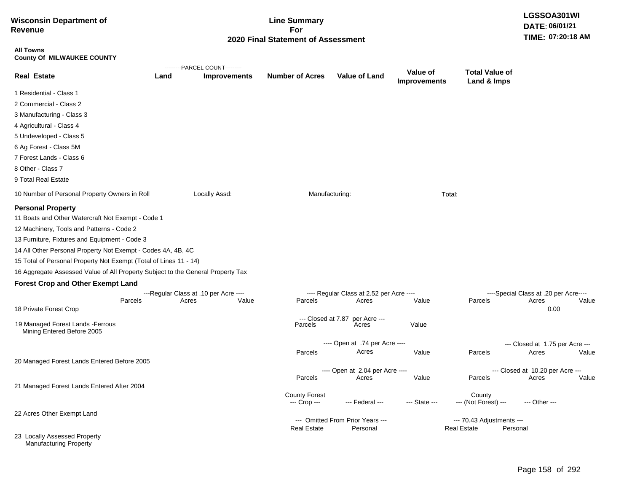| <b>Wisconsin Department of</b><br><b>Revenue</b>                                |      |                                                         | <b>Line Summary</b><br>For           |                                                   |                                        |                                      | LGSSOA301WI<br>DATE: 06/01/21                          |       |
|---------------------------------------------------------------------------------|------|---------------------------------------------------------|--------------------------------------|---------------------------------------------------|----------------------------------------|--------------------------------------|--------------------------------------------------------|-------|
|                                                                                 |      |                                                         | 2020 Final Statement of Assessment   |                                                   |                                        |                                      | TIME: 07:20:18 AM                                      |       |
| <b>All Towns</b><br><b>County Of MILWAUKEE COUNTY</b>                           |      |                                                         |                                      |                                                   |                                        |                                      |                                                        |       |
| <b>Real Estate</b>                                                              | Land | ---------PARCEL COUNT---------<br><b>Improvements</b>   | <b>Number of Acres</b>               | <b>Value of Land</b>                              | <b>Value of</b><br><b>Improvements</b> | <b>Total Value of</b><br>Land & Imps |                                                        |       |
| 1 Residential - Class 1                                                         |      |                                                         |                                      |                                                   |                                        |                                      |                                                        |       |
| 2 Commercial - Class 2                                                          |      |                                                         |                                      |                                                   |                                        |                                      |                                                        |       |
| 3 Manufacturing - Class 3                                                       |      |                                                         |                                      |                                                   |                                        |                                      |                                                        |       |
| 4 Agricultural - Class 4                                                        |      |                                                         |                                      |                                                   |                                        |                                      |                                                        |       |
| 5 Undeveloped - Class 5                                                         |      |                                                         |                                      |                                                   |                                        |                                      |                                                        |       |
| 6 Ag Forest - Class 5M                                                          |      |                                                         |                                      |                                                   |                                        |                                      |                                                        |       |
| 7 Forest Lands - Class 6                                                        |      |                                                         |                                      |                                                   |                                        |                                      |                                                        |       |
| 8 Other - Class 7                                                               |      |                                                         |                                      |                                                   |                                        |                                      |                                                        |       |
| 9 Total Real Estate                                                             |      |                                                         |                                      |                                                   |                                        |                                      |                                                        |       |
| 10 Number of Personal Property Owners in Roll                                   |      | Locally Assd:                                           | Manufacturing:                       |                                                   | Total:                                 |                                      |                                                        |       |
| <b>Personal Property</b>                                                        |      |                                                         |                                      |                                                   |                                        |                                      |                                                        |       |
| 11 Boats and Other Watercraft Not Exempt - Code 1                               |      |                                                         |                                      |                                                   |                                        |                                      |                                                        |       |
| 12 Machinery, Tools and Patterns - Code 2                                       |      |                                                         |                                      |                                                   |                                        |                                      |                                                        |       |
| 13 Furniture, Fixtures and Equipment - Code 3                                   |      |                                                         |                                      |                                                   |                                        |                                      |                                                        |       |
| 14 All Other Personal Property Not Exempt - Codes 4A, 4B, 4C                    |      |                                                         |                                      |                                                   |                                        |                                      |                                                        |       |
| 15 Total of Personal Property Not Exempt (Total of Lines 11 - 14)               |      |                                                         |                                      |                                                   |                                        |                                      |                                                        |       |
| 16 Aggregate Assessed Value of All Property Subject to the General Property Tax |      |                                                         |                                      |                                                   |                                        |                                      |                                                        |       |
| <b>Forest Crop and Other Exempt Land</b>                                        |      |                                                         |                                      |                                                   |                                        |                                      |                                                        |       |
| Parcels<br>18 Private Forest Crop                                               |      | ---Regular Class at .10 per Acre ----<br>Value<br>Acres | Parcels                              | ---- Regular Class at 2.52 per Acre ----<br>Acres | Value                                  | Parcels                              | ----Special Class at .20 per Acre----<br>Acres<br>0.00 | Value |
|                                                                                 |      |                                                         |                                      | --- Closed at 7.87 per Acre ---                   |                                        |                                      |                                                        |       |
| 19 Managed Forest Lands - Ferrous<br>Mining Entered Before 2005                 |      |                                                         | Parcels                              | Acres                                             | Value                                  |                                      |                                                        |       |
|                                                                                 |      |                                                         |                                      | ---- Open at .74 per Acre ----                    |                                        |                                      | --- Closed at 1.75 per Acre ---                        |       |
|                                                                                 |      |                                                         | Parcels                              | Acres                                             | Value                                  | Parcels                              | Acres                                                  | Value |
| 20 Managed Forest Lands Entered Before 2005                                     |      |                                                         |                                      | Open at 2.04 per Acre --                          |                                        |                                      | Closed at 10.20 per Acre ---                           |       |
|                                                                                 |      |                                                         | Parcels                              | Acres                                             | Value                                  | Parcels                              | Acres                                                  | Value |
| 21 Managed Forest Lands Entered After 2004                                      |      |                                                         |                                      |                                                   |                                        |                                      |                                                        |       |
|                                                                                 |      |                                                         | <b>County Forest</b><br>--- Crop --- | --- Federal ---                                   | --- State ---                          | County<br>--- (Not Forest) ---       | --- Other ---                                          |       |
| 22 Acres Other Exempt Land                                                      |      |                                                         |                                      |                                                   |                                        |                                      |                                                        |       |
|                                                                                 |      |                                                         |                                      | --- Omitted From Prior Years ---                  |                                        | --- 70.43 Adjustments ---            |                                                        |       |
| 23 Locally Assessed Property<br><b>Manufacturing Property</b>                   |      |                                                         | <b>Real Estate</b>                   | Personal                                          |                                        | Personal<br><b>Real Estate</b>       |                                                        |       |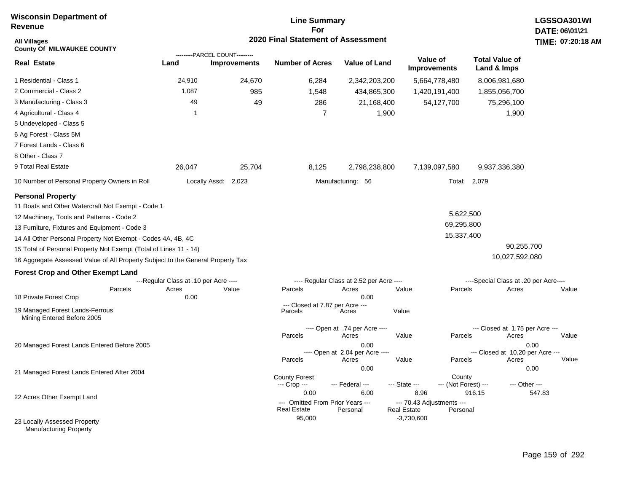### **Line Summary For 2020 Final Statement of Assessment**

| <b>All Villages</b><br><b>County Of MILWAUKEE COUNTY</b>                        |                                       |                                                       | 2020 Final Statement of Assessment         |                                          |                                    |                                |                                           | TIME: 07:20           |
|---------------------------------------------------------------------------------|---------------------------------------|-------------------------------------------------------|--------------------------------------------|------------------------------------------|------------------------------------|--------------------------------|-------------------------------------------|-----------------------|
| <b>Real Estate</b>                                                              | Land                                  | ---------PARCEL COUNT---------<br><b>Improvements</b> | <b>Number of Acres</b>                     | <b>Value of Land</b>                     | Value of                           | <b>Improvements</b>            | <b>Total Value of</b><br>Land & Imps      |                       |
| 1 Residential - Class 1                                                         | 24,910                                | 24,670                                                | 6,284                                      | 2,342,203,200                            |                                    | 5,664,778,480                  | 8,006,981,680                             |                       |
| 2 Commercial - Class 2                                                          | 1,087                                 | 985                                                   | 1,548                                      | 434,865,300                              |                                    | 1,420,191,400                  | 1,855,056,700                             |                       |
| 3 Manufacturing - Class 3                                                       | 49                                    | 49                                                    | 286                                        | 21,168,400                               |                                    | 54,127,700                     | 75,296,100                                |                       |
| 4 Agricultural - Class 4                                                        | $\mathbf{1}$                          |                                                       | $\overline{7}$                             | 1,900                                    |                                    |                                | 1,900                                     |                       |
| 5 Undeveloped - Class 5                                                         |                                       |                                                       |                                            |                                          |                                    |                                |                                           |                       |
| 6 Ag Forest - Class 5M                                                          |                                       |                                                       |                                            |                                          |                                    |                                |                                           |                       |
| 7 Forest Lands - Class 6                                                        |                                       |                                                       |                                            |                                          |                                    |                                |                                           |                       |
| 8 Other - Class 7                                                               |                                       |                                                       |                                            |                                          |                                    |                                |                                           |                       |
| 9 Total Real Estate                                                             | 26,047                                | 25,704                                                | 8,125                                      | 2,798,238,800                            |                                    | 7,139,097,580                  | 9,937,336,380                             |                       |
| 10 Number of Personal Property Owners in Roll                                   |                                       | Locally Assd: 2,023                                   |                                            | Manufacturing: 56                        |                                    |                                | Total: 2,079                              |                       |
| <b>Personal Property</b><br>11 Boats and Other Watercraft Not Exempt - Code 1   |                                       |                                                       |                                            |                                          |                                    |                                |                                           |                       |
| 12 Machinery, Tools and Patterns - Code 2                                       |                                       |                                                       |                                            |                                          |                                    | 5,622,500                      |                                           |                       |
| 13 Furniture, Fixtures and Equipment - Code 3                                   |                                       |                                                       |                                            |                                          |                                    | 69,295,800                     |                                           |                       |
| 14 All Other Personal Property Not Exempt - Codes 4A, 4B, 4C                    |                                       |                                                       |                                            |                                          |                                    | 15,337,400                     |                                           |                       |
| 15 Total of Personal Property Not Exempt (Total of Lines 11 - 14)               |                                       |                                                       |                                            |                                          |                                    |                                |                                           | 90,255,700            |
| 16 Aggregate Assessed Value of All Property Subject to the General Property Tax |                                       |                                                       |                                            |                                          |                                    |                                | 10,027,592,080                            |                       |
| <b>Forest Crop and Other Exempt Land</b>                                        |                                       |                                                       |                                            |                                          |                                    |                                |                                           |                       |
|                                                                                 | ---Regular Class at .10 per Acre ---- |                                                       |                                            | ---- Regular Class at 2.52 per Acre ---- |                                    |                                | ----Special Class at .20 per Acre----     |                       |
| Parcels<br>18 Private Forest Crop                                               | Acres<br>0.00                         | Value                                                 | Parcels                                    | Acres<br>0.00                            | Value                              | Parcels                        | Acres                                     | Value                 |
| 19 Managed Forest Lands-Ferrous<br>Mining Entered Before 2005                   |                                       |                                                       | --- Closed at 7.87 per Acre ---<br>Parcels | Acres                                    | Value                              |                                |                                           |                       |
|                                                                                 |                                       |                                                       | Parcels                                    | ---- Open at .74 per Acre ----<br>Acres  | Value                              | Parcels                        | --- Closed at 1.75 per Acre ---<br>Acres  | Value                 |
| 20 Managed Forest Lands Entered Before 2005                                     |                                       |                                                       |                                            | 0.00                                     |                                    |                                |                                           | 0.00                  |
|                                                                                 |                                       |                                                       | Parcels                                    | ---- Open at 2.04 per Acre ----<br>Acres | Value                              | Parcels                        | --- Closed at 10.20 per Acre ---<br>Acres | Value                 |
| 21 Managed Forest Lands Entered After 2004                                      |                                       |                                                       | <b>County Forest</b><br>--- Crop ---       | 0.00<br>--- Federal ---                  | --- State ---                      | County<br>--- (Not Forest) --- |                                           | 0.00<br>--- Other --- |
| 22 Acres Other Exempt Land                                                      |                                       |                                                       | 0.00<br>--- Omitted From Prior Years ---   | 6.00                                     | 8.96<br>--- 70.43 Adjustments ---  |                                | 916.15                                    | 547.83                |
| 23 Locally Assessed Property                                                    |                                       |                                                       | <b>Real Estate</b><br>95,000               | Personal                                 | <b>Real Estate</b><br>$-3,730,600$ | Personal                       |                                           |                       |

Manufacturing Property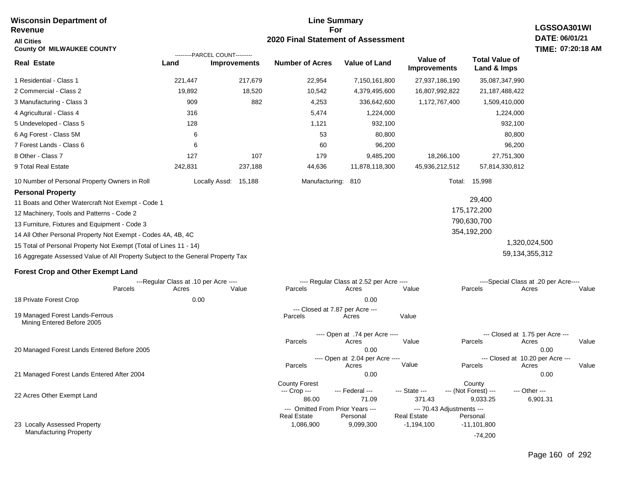#### **Line Summary For 2020 Final Statement of Assessment Wisconsin Department of Revenue All Cities County Of MILWAUKEE COUNTY LGSSOA301WI DATE: 06/01/21 TIME: 07:20:18 AM Real Estate** 1 Residential - Class 1 2 Commercial - Class 2 3 Manufacturing - Class 3 4 Agricultural - Class 4 5 Undeveloped - Class 5 6 Ag Forest - Class 5M 7 Forest Lands - Class 6 8 Other - Class 7 9 Total Real Estate 10 Number of Personal Property Owners in Roll 221,447 217,679 22,954 7,150,161,800 27,937,186,190 35,087,347,990 **Land Improvements Number of Acres Value of Land Value of Improvements Total Value of Land & Imps** 19,892 909 316 128 6 6 127 242,831 18,520 882 107 237,188 10,542 4,253 5,474 1,121 53 60 179 44,636 4,379,495,600 336,642,600 1,224,000 932,100 80,800 96,200 9,485,200 11,878,118,300 16,807,992,822 1,172,767,400 18,266,100 45,936,212,512 21,187,488,422 1,509,410,000 1,224,000 932,100 80,800 96,200 27,751,300 57,814,330,812 Locally Assd: 15,188 Manufacturing: 810 Manufacturing: 810 **Personal Property** 11 Boats and Other Watercraft Not Exempt - Code 1 12 Machinery, Tools and Patterns - Code 2 13 Furniture, Fixtures and Equipment - Code 3 14 All Other Personal Property Not Exempt - Codes 4A, 4B, 4C 15 Total of Personal Property Not Exempt (Total of Lines 11 - 14) 16 Aggregate Assessed Value of All Property Subject to the General Property Tax 29,400 175,172,200 790,630,700 354,192,200 1,320,024,500 59,134,355,312 **Forest Crop and Other Exempt Land** ---Regular Class at .10 per Acre ---- ---- Regular Class at 2.52 per Acre ---- ----Special Class at .20 per Acre---- 18 Private Forest Crop 20 Managed Forest Lands Entered Before 2005 21 Managed Forest Lands Entered After 2004 Parcels 0.00 0.00 Acres Value Parcels Acres Value Parcels Acres Value ---- Open at .74 per Acre<br>Acres Parcels 0.00 0.00 Acres Value Parcels Acres Value --- Closed at 1.75 per Acre --- ---- Open at 2.04 per Acre ---<br>Acres Value Parcels Parcels Acres Acres Parcels 0.00 0.00 Acres **Value Parcels Acres Value** County Forest County County ---------PARCEL COUNT--------- 19 Managed Forest Lands-Ferrous Mining Entered Before 2005 --- Closed at 7.87 per Acre ---<br>rcels Acres Parcels **Acres** Value

--- Crop ---

 86.00 71.09 371.43 9,033.25 6,901.31 --- Federal --- - --- State --- --- (Not Forest) --- --- Other ---

-74,200

--- Omitted From Prior Years ---<br>Real Estate Personal Personal Real Estate Personal

1,086,900 9,099,300 -1,194,100 -11,101,800

**Real Estate** 

22 Acres Other Exempt Land

23 Locally Assessed Property Manufacturing Property

Page 160 of 292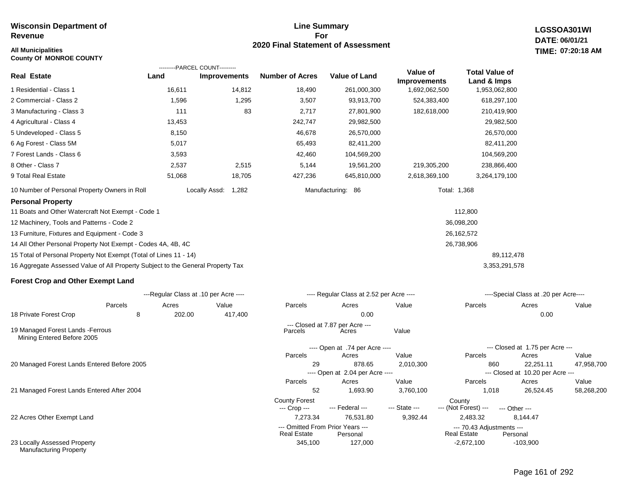#### **All Municipalities TIME:**

**County Of MONROE COUNTY**

#### **Line Summary For 2020 Final Statement of Assessment**

**LGSSOA301WI DATE: 06/01/21 07:20:18 AM**

| Real Estate                                                                     | Land   | ---------PARCEL COUNT---------<br><b>Improvements</b> | <b>Number of Acres</b>               | <b>Value of Land</b>                     | Value of<br><b>Improvements</b> | <b>Total Value of</b><br>Land & Imps |                                           |            |
|---------------------------------------------------------------------------------|--------|-------------------------------------------------------|--------------------------------------|------------------------------------------|---------------------------------|--------------------------------------|-------------------------------------------|------------|
| 1 Residential - Class 1                                                         | 16,611 | 14,812                                                | 18,490                               | 261,000,300                              | 1,692,062,500                   | 1,953,062,800                        |                                           |            |
| 2 Commercial - Class 2                                                          | 1,596  | 1,295                                                 | 3,507                                | 93,913,700                               | 524,383,400                     | 618,297,100                          |                                           |            |
| 3 Manufacturing - Class 3                                                       | 111    | 83                                                    | 2,717                                | 27,801,900                               | 182,618,000                     | 210,419,900                          |                                           |            |
| 4 Agricultural - Class 4                                                        | 13,453 |                                                       | 242,747                              | 29,982,500                               |                                 | 29,982,500                           |                                           |            |
| 5 Undeveloped - Class 5                                                         | 8,150  |                                                       | 46,678                               | 26,570,000                               |                                 | 26,570,000                           |                                           |            |
| 6 Ag Forest - Class 5M                                                          | 5,017  |                                                       | 65,493                               | 82,411,200                               |                                 | 82,411,200                           |                                           |            |
| 7 Forest Lands - Class 6                                                        | 3,593  |                                                       | 42,460                               | 104,569,200                              |                                 | 104,569,200                          |                                           |            |
| 8 Other - Class 7                                                               | 2,537  | 2,515                                                 | 5,144                                | 19,561,200                               | 219,305,200                     | 238,866,400                          |                                           |            |
| 9 Total Real Estate                                                             | 51,068 | 18,705                                                | 427,236                              | 645,810,000                              | 2,618,369,100                   | 3,264,179,100                        |                                           |            |
| 10 Number of Personal Property Owners in Roll                                   |        | Locally Assd:<br>1,282                                |                                      | Manufacturing: 86                        | Total: 1,368                    |                                      |                                           |            |
| <b>Personal Property</b>                                                        |        |                                                       |                                      |                                          |                                 |                                      |                                           |            |
| 11 Boats and Other Watercraft Not Exempt - Code 1                               |        |                                                       |                                      |                                          |                                 | 112,800                              |                                           |            |
| 12 Machinery, Tools and Patterns - Code 2                                       |        |                                                       |                                      |                                          |                                 | 36,098,200                           |                                           |            |
| 13 Furniture, Fixtures and Equipment - Code 3                                   |        |                                                       |                                      |                                          |                                 | 26,162,572                           |                                           |            |
| 14 All Other Personal Property Not Exempt - Codes 4A, 4B, 4C                    |        |                                                       |                                      |                                          |                                 | 26,738,906                           |                                           |            |
| 15 Total of Personal Property Not Exempt (Total of Lines 11 - 14)               |        |                                                       |                                      |                                          |                                 | 89,112,478                           |                                           |            |
| 16 Aggregate Assessed Value of All Property Subject to the General Property Tax |        |                                                       |                                      |                                          |                                 | 3,353,291,578                        |                                           |            |
| <b>Forest Crop and Other Exempt Land</b>                                        |        |                                                       |                                      |                                          |                                 |                                      |                                           |            |
|                                                                                 |        | ---Regular Class at .10 per Acre ----                 |                                      | ---- Regular Class at 2.52 per Acre ---- |                                 |                                      | ----Special Class at .20 per Acre----     |            |
| Parcels                                                                         | Acres  | Value                                                 | Parcels                              | Acres                                    | Value                           | Parcels                              | Acres                                     | Value      |
| 18 Private Forest Crop<br>8                                                     | 202.00 | 417,400                                               |                                      | 0.00                                     |                                 |                                      | 0.00                                      |            |
| 19 Managed Forest Lands - Ferrous<br>Mining Entered Before 2005                 |        |                                                       | Parcels                              | --- Closed at 7.87 per Acre ---<br>Acres | Value                           |                                      |                                           |            |
|                                                                                 |        |                                                       |                                      | ---- Open at .74 per Acre ----           |                                 |                                      | --- Closed at 1.75 per Acre ---           |            |
|                                                                                 |        |                                                       | Parcels                              | Acres                                    | Value                           | Parcels                              | Acres                                     | Value      |
| 20 Managed Forest Lands Entered Before 2005                                     |        |                                                       | 29                                   | 878.65                                   | 2,010,300                       | 860                                  | 22,251.11                                 | 47,958,700 |
|                                                                                 |        |                                                       | Parcels                              | ---- Open at 2.04 per Acre ----<br>Acres | Value                           | Parcels                              | --- Closed at 10.20 per Acre ---<br>Acres | Value      |
| 21 Managed Forest Lands Entered After 2004                                      |        |                                                       | 52                                   | 1,693.90                                 | 3,760,100                       | 1,018                                | 26,524.45                                 | 58,268,200 |
|                                                                                 |        |                                                       | <b>County Forest</b><br>--- Crop --- | --- Federal ---                          | --- State ---                   | County<br>--- (Not Forest) ---       | --- Other ---                             |            |

22 Acres Other Exempt Land

23 Locally Assessed Property Manufacturing Property

# Page 161 of 292

-103,900

7,273.34 76,531.80 9,392.44 2,483.32 8,144.47

**Real Estate** 

345,100 127,000 -2,672,100

--- Omitted From Prior Years --- --- 70.43 Adjustments ---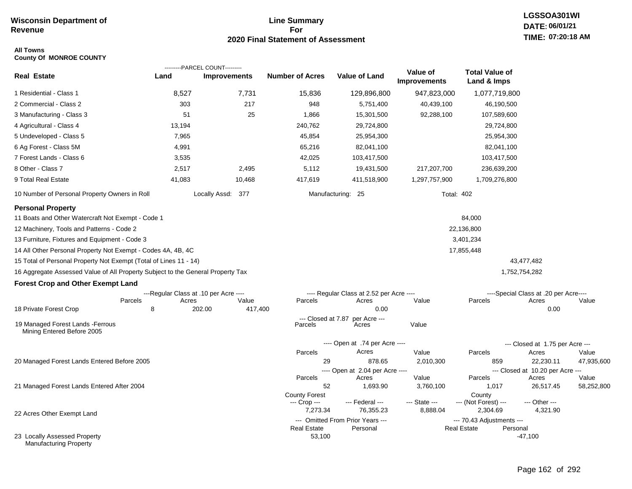### **Line Summary For 2020 Final Statement of Assessment**

#### **All Towns County Of MONROE COUNTY**

|                                                                                 |                                       | ---------PARCEL COUNT--------- |                               |                                              |                                 |                                                 |                                       |                     |  |
|---------------------------------------------------------------------------------|---------------------------------------|--------------------------------|-------------------------------|----------------------------------------------|---------------------------------|-------------------------------------------------|---------------------------------------|---------------------|--|
| <b>Real Estate</b>                                                              | Land                                  | <b>Improvements</b>            | <b>Number of Acres</b>        | <b>Value of Land</b>                         | Value of<br><b>Improvements</b> | <b>Total Value of</b><br>Land & Imps            |                                       |                     |  |
| 1 Residential - Class 1                                                         | 8,527                                 | 7,731                          | 15,836                        | 129,896,800                                  | 947,823,000                     | 1,077,719,800                                   |                                       |                     |  |
| 2 Commercial - Class 2                                                          | 303                                   | 217                            | 948                           | 5,751,400                                    | 40,439,100                      | 46,190,500                                      |                                       |                     |  |
| 3 Manufacturing - Class 3                                                       | 51                                    | 25                             | 1,866                         | 15,301,500                                   | 92,288,100                      | 107,589,600                                     |                                       |                     |  |
| 4 Agricultural - Class 4                                                        | 13,194                                |                                | 240,762                       | 29,724,800                                   |                                 | 29,724,800                                      |                                       |                     |  |
| 5 Undeveloped - Class 5                                                         | 7,965                                 |                                | 45,854                        | 25,954,300                                   |                                 | 25,954,300                                      |                                       |                     |  |
| 6 Ag Forest - Class 5M                                                          | 4,991                                 |                                | 65,216                        | 82,041,100                                   |                                 | 82,041,100                                      |                                       |                     |  |
| 7 Forest Lands - Class 6                                                        | 3,535                                 |                                | 42,025                        | 103,417,500                                  |                                 | 103,417,500                                     |                                       |                     |  |
| 8 Other - Class 7                                                               | 2,517                                 | 2,495                          | 5,112                         | 19,431,500                                   | 217,207,700                     | 236,639,200                                     |                                       |                     |  |
| 9 Total Real Estate                                                             | 41,083                                | 10,468                         | 417,619                       | 411,518,900                                  | 1,297,757,900                   | 1,709,276,800                                   |                                       |                     |  |
| 10 Number of Personal Property Owners in Roll                                   |                                       | Locally Assd: 377              |                               | Manufacturing: 25                            | <b>Total: 402</b>               |                                                 |                                       |                     |  |
| <b>Personal Property</b>                                                        |                                       |                                |                               |                                              |                                 |                                                 |                                       |                     |  |
| 11 Boats and Other Watercraft Not Exempt - Code 1                               |                                       |                                |                               |                                              |                                 | 84,000                                          |                                       |                     |  |
| 12 Machinery, Tools and Patterns - Code 2                                       |                                       |                                |                               |                                              |                                 | 22,136,800                                      |                                       |                     |  |
| 13 Furniture, Fixtures and Equipment - Code 3                                   |                                       |                                |                               |                                              |                                 | 3,401,234                                       |                                       |                     |  |
| 14 All Other Personal Property Not Exempt - Codes 4A, 4B, 4C                    |                                       |                                |                               |                                              |                                 | 17,855,448                                      |                                       |                     |  |
| 15 Total of Personal Property Not Exempt (Total of Lines 11 - 14)               |                                       |                                |                               |                                              |                                 |                                                 | 43,477,482                            |                     |  |
| 16 Aggregate Assessed Value of All Property Subject to the General Property Tax |                                       |                                |                               |                                              |                                 |                                                 | 1,752,754,282                         |                     |  |
| <b>Forest Crop and Other Exempt Land</b>                                        |                                       |                                |                               |                                              |                                 |                                                 |                                       |                     |  |
|                                                                                 | ---Regular Class at .10 per Acre ---- |                                |                               | ---- Regular Class at 2.52 per Acre ----     |                                 |                                                 | ----Special Class at .20 per Acre---- |                     |  |
| Parcels                                                                         | Acres                                 | Value                          | Parcels                       | Acres                                        | Value                           | Parcels                                         | Acres                                 | Value               |  |
| 18 Private Forest Crop                                                          | 8                                     | 202.00<br>417,400              |                               | 0.00                                         |                                 |                                                 | 0.00                                  |                     |  |
| 19 Managed Forest Lands - Ferrous<br>Mining Entered Before 2005                 |                                       |                                | --- Closed at 7.87<br>Parcels | per Acre ---<br>Acres                        | Value                           |                                                 |                                       |                     |  |
|                                                                                 |                                       |                                |                               | ---- Open at .74 per Acre ----               |                                 |                                                 | --- Closed at 1.75 per Acre ---       |                     |  |
|                                                                                 |                                       |                                | Parcels                       | Acres                                        | Value                           | Parcels                                         | Acres                                 | Value               |  |
| 20 Managed Forest Lands Entered Before 2005                                     |                                       |                                | 29                            | 878.65                                       | 2,010,300                       | 859                                             | 22,230.11                             | 47,935,600          |  |
|                                                                                 |                                       |                                |                               | ---- Open at 2.04 per Acre ----              |                                 |                                                 | --- Closed at 10.20 per Acre ---      |                     |  |
| 21 Managed Forest Lands Entered After 2004                                      |                                       |                                | Parcels<br>52                 | Acres<br>1,693.90                            | Value<br>3,760,100              | Parcels<br>1,017                                | Acres<br>26,517.45                    | Value<br>58,252,800 |  |
|                                                                                 |                                       |                                | <b>County Forest</b>          |                                              |                                 | County                                          |                                       |                     |  |
|                                                                                 |                                       |                                | --- Crop ---                  | --- Federal ---                              | --- State ---                   | --- (Not Forest) ---                            | --- Other ---                         |                     |  |
| 22 Acres Other Exempt Land                                                      |                                       |                                | 7,273.34                      | 76,355.23                                    | 8,888.04                        | 2,304.69                                        | 4,321.90                              |                     |  |
|                                                                                 |                                       |                                | <b>Real Estate</b>            | --- Omitted From Prior Years ---<br>Personal |                                 | --- 70.43 Adjustments ---<br><b>Real Estate</b> | Personal                              |                     |  |
| 23 Locally Assessed Property<br><b>Manufacturing Property</b>                   |                                       |                                | 53,100                        |                                              |                                 |                                                 | $-47,100$                             |                     |  |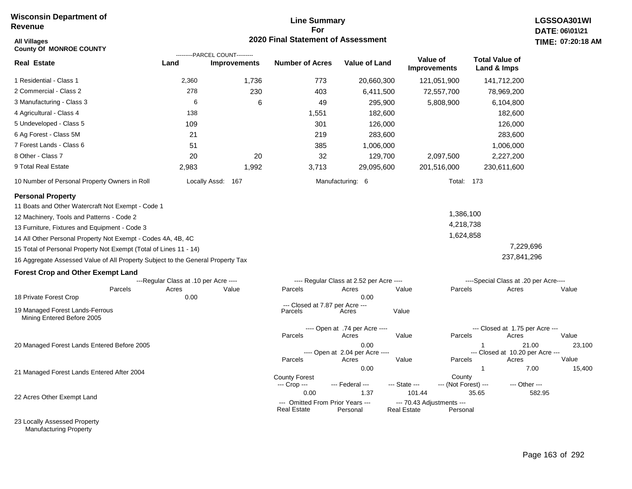## **Line Summary For 2020 Final Statement of Assessment**

| All Villages<br><b>County Of MONROE COUNTY</b>                                  |                                       |                                                       | 2020 Final Statement of Assessment              |                                          |                                                 |                                |                                           | TIME: 07:20:18  |
|---------------------------------------------------------------------------------|---------------------------------------|-------------------------------------------------------|-------------------------------------------------|------------------------------------------|-------------------------------------------------|--------------------------------|-------------------------------------------|-----------------|
| <b>Real Estate</b>                                                              | Land                                  | ---------PARCEL COUNT---------<br><b>Improvements</b> | <b>Number of Acres</b>                          | <b>Value of Land</b>                     | Value of<br><b>Improvements</b>                 |                                | <b>Total Value of</b><br>Land & Imps      |                 |
| 1 Residential - Class 1                                                         | 2,360                                 | 1,736                                                 | 773                                             | 20,660,300                               | 121,051,900                                     |                                | 141,712,200                               |                 |
| 2 Commercial - Class 2                                                          | 278                                   | 230                                                   | 403                                             | 6,411,500                                |                                                 | 72,557,700                     | 78,969,200                                |                 |
| 3 Manufacturing - Class 3                                                       | 6                                     | 6                                                     | 49                                              | 295,900                                  |                                                 | 5,808,900                      | 6,104,800                                 |                 |
| 4 Agricultural - Class 4                                                        | 138                                   |                                                       | 1,551                                           | 182,600                                  |                                                 |                                | 182,600                                   |                 |
| 5 Undeveloped - Class 5                                                         | 109                                   |                                                       | 301                                             | 126,000                                  |                                                 |                                | 126,000                                   |                 |
| 6 Ag Forest - Class 5M                                                          | 21                                    |                                                       | 219                                             | 283,600                                  |                                                 |                                | 283,600                                   |                 |
| 7 Forest Lands - Class 6                                                        | 51                                    |                                                       | 385                                             | 1,006,000                                |                                                 |                                | 1,006,000                                 |                 |
| 8 Other - Class 7                                                               | 20                                    | 20                                                    | 32                                              | 129,700                                  |                                                 | 2,097,500                      | 2,227,200                                 |                 |
| 9 Total Real Estate                                                             | 2,983                                 | 1,992                                                 | 3,713                                           | 29,095,600                               | 201,516,000                                     |                                | 230,611,600                               |                 |
| 10 Number of Personal Property Owners in Roll                                   |                                       | Locally Assd: 167                                     |                                                 | Manufacturing: 6                         |                                                 | Total: 173                     |                                           |                 |
| <b>Personal Property</b>                                                        |                                       |                                                       |                                                 |                                          |                                                 |                                |                                           |                 |
| 11 Boats and Other Watercraft Not Exempt - Code 1                               |                                       |                                                       |                                                 |                                          |                                                 |                                |                                           |                 |
| 12 Machinery, Tools and Patterns - Code 2                                       |                                       |                                                       |                                                 |                                          |                                                 | 1,386,100                      |                                           |                 |
| 13 Furniture, Fixtures and Equipment - Code 3                                   |                                       |                                                       |                                                 |                                          |                                                 | 4,218,738                      |                                           |                 |
| 14 All Other Personal Property Not Exempt - Codes 4A, 4B, 4C                    |                                       |                                                       |                                                 |                                          |                                                 | 1,624,858                      |                                           |                 |
| 15 Total of Personal Property Not Exempt (Total of Lines 11 - 14)               |                                       |                                                       |                                                 |                                          |                                                 |                                | 7,229,696                                 |                 |
| 16 Aggregate Assessed Value of All Property Subject to the General Property Tax |                                       |                                                       |                                                 |                                          |                                                 |                                | 237,841,296                               |                 |
| <b>Forest Crop and Other Exempt Land</b>                                        |                                       |                                                       |                                                 |                                          |                                                 |                                |                                           |                 |
|                                                                                 | ---Regular Class at .10 per Acre ---- |                                                       |                                                 | ---- Regular Class at 2.52 per Acre ---- |                                                 |                                | ----Special Class at .20 per Acre----     |                 |
| Parcels                                                                         | Acres                                 | Value                                                 | Parcels                                         | Acres                                    | Value                                           | Parcels                        | Acres                                     | Value           |
| 18 Private Forest Crop                                                          | 0.00                                  |                                                       | --- Closed at 7.87 per Acre ---                 | 0.00                                     |                                                 |                                |                                           |                 |
| 19 Managed Forest Lands-Ferrous<br>Mining Entered Before 2005                   |                                       |                                                       | Parcels                                         | Acres                                    | Value                                           |                                |                                           |                 |
|                                                                                 |                                       |                                                       |                                                 | ---- Open at .74 per Acre ----           |                                                 |                                | --- Closed at 1.75 per Acre ---           |                 |
|                                                                                 |                                       |                                                       | Parcels                                         | Acres                                    | Value                                           | Parcels                        | Acres                                     | Value           |
| 20 Managed Forest Lands Entered Before 2005                                     |                                       |                                                       |                                                 | 0.00<br>---- Open at 2.04 per Acre ----  | Value                                           | Parcels                        | 21.00<br>--- Closed at 10.20 per Acre --- | 23,100<br>Value |
|                                                                                 |                                       |                                                       | Parcels                                         | Acres<br>0.00                            |                                                 | $\mathbf{1}$                   | Acres<br>7.00                             | 15,400          |
| 21 Managed Forest Lands Entered After 2004                                      |                                       |                                                       | <b>County Forest</b><br>--- Crop ---            | --- Federal ---                          | --- State ---                                   | County<br>--- (Not Forest) --- | --- Other ---                             |                 |
|                                                                                 |                                       |                                                       | 0.00                                            | 1.37                                     | 101.44                                          | 35.65                          |                                           | 582.95          |
| 22 Acres Other Exempt Land                                                      |                                       |                                                       | --- Omitted From Prior Years ---<br>Real Estate | Personal                                 | --- 70.43 Adjustments ---<br><b>Real Estate</b> | Personal                       |                                           |                 |

23 Locally Assessed Property Manufacturing Property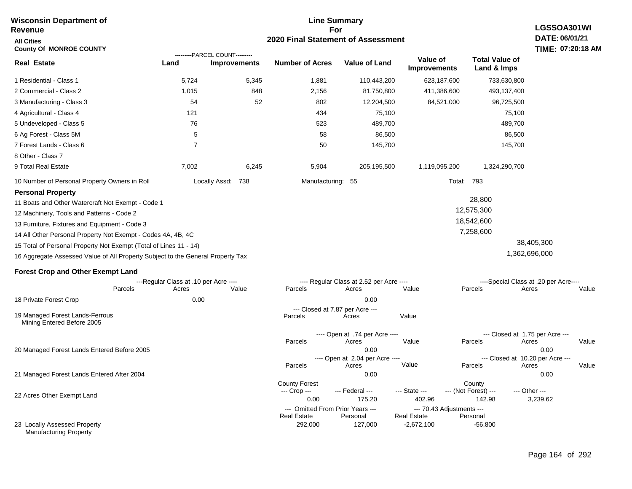#### **For 2020 Final Statement of Assessment Revenue All Cities County Of MONROE COUNTY LGSSOA301WI DATE: 06/01/21 TIME: 07:20:18 AM Real Estate** 1 Residential - Class 1 2 Commercial - Class 2 3 Manufacturing - Class 3 4 Agricultural - Class 4 5 Undeveloped - Class 5 6 Ag Forest - Class 5M 7 Forest Lands - Class 6 8 Other - Class 7 9 Total Real Estate 10 Number of Personal Property Owners in Roll 5,724 5,345 1,881 110,443,200 623,187,600 733,630,800 **Land Improvements Number of Acres Value of Land Value of Improvements Total Value of Land & Imps** 1,015 54 121 76 5 7 7,002 848 52 6,245 2,156 802 434 523 58 50 5,904 81,750,800 12,204,500 75,100 489,700 86,500 145,700 205,195,500 411,386,600 84,521,000 1,119,095,200 493,137,400 96,725,500 75,100 489,700 86,500 145,700 1,324,290,700 Locally Assd: 738 Manufacturing: 55 Total: 793 **Personal Property** 11 Boats and Other Watercraft Not Exempt - Code 1 12 Machinery, Tools and Patterns - Code 2 13 Furniture, Fixtures and Equipment - Code 3 14 All Other Personal Property Not Exempt - Codes 4A, 4B, 4C 15 Total of Personal Property Not Exempt (Total of Lines 11 - 14) 16 Aggregate Assessed Value of All Property Subject to the General Property Tax 28,800 12,575,300 18,542,600 7,258,600 38,405,300 1,362,696,000 **Forest Crop and Other Exempt Land** ---Regular Class at .10 per Acre ---- ---- Regular Class at 2.52 per Acre ---- ----Special Class at .20 per Acre---- 18 Private Forest Crop 20 Managed Forest Lands Entered Before 2005 21 Managed Forest Lands Entered After 2004 Parcels 0.00 0.00 Acres Value Parcels Acres Value Parcels Acres Value ---- Open at .74 per Acre ----<br>Acres Parcels 0.00 0.00 Acres Value Parcels Acres Value --- Closed at 1.75 per Acre --- ---- Open at 2.04 per Acre ---- --- Closed at 10.20 per Acre --- Parcels 0.00 0.00 Acres **Value Parcels Acres Value** County Forest County County --- Crop --- 0.00 175.20 402.96 142.98 3,239.62 --- Federal --- - --- State --- --- (Not Forest) --- --- Other ---22 Acres Other Exempt Land 23 Locally Assessed Property Manufacturing Property --- Omitted From Prior Years ---<br>Real Estate Personal Personal Real Estate Personal 292,000 127,000 -2,672,100 -56,800 **Real Estate** ---------PARCEL COUNT--------- 19 Managed Forest Lands-Ferrous Mining Entered Before 2005 --- Closed at 7.87 per Acre ---<br>rcels Acres Parcels **Acres** Value

**Line Summary**

**Wisconsin Department of**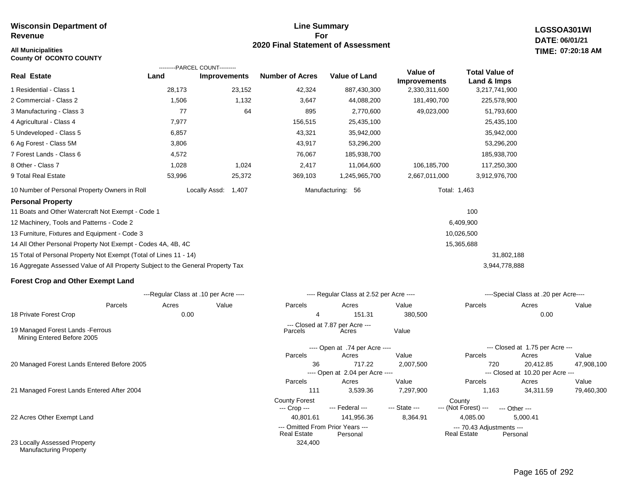# **All Municipalities TIME:**

**County Of OCONTO COUNTY**

#### **Line Summary For 2020 Final Statement of Assessment**

**LGSSOA301WI DATE: 06/01/21 07:20:18 AM**

|                                                                                 | ---------PARCEL COUNT---------        |                     |                                      |                                          |                                 |                                      |                                           |            |
|---------------------------------------------------------------------------------|---------------------------------------|---------------------|--------------------------------------|------------------------------------------|---------------------------------|--------------------------------------|-------------------------------------------|------------|
| Real Estate                                                                     | Land                                  | <b>Improvements</b> | <b>Number of Acres</b>               | <b>Value of Land</b>                     | Value of<br><b>Improvements</b> | <b>Total Value of</b><br>Land & Imps |                                           |            |
| 1 Residential - Class 1                                                         | 28,173                                | 23,152              | 42,324                               | 887,430,300                              | 2,330,311,600                   | 3,217,741,900                        |                                           |            |
| 2 Commercial - Class 2                                                          | 1,506                                 | 1,132               | 3,647                                | 44,088,200                               | 181,490,700                     | 225,578,900                          |                                           |            |
| 3 Manufacturing - Class 3                                                       | 77                                    | 64                  | 895                                  | 2,770,600                                | 49,023,000                      | 51,793,600                           |                                           |            |
| 4 Agricultural - Class 4                                                        | 7,977                                 |                     | 156,515                              | 25,435,100                               |                                 | 25,435,100                           |                                           |            |
| 5 Undeveloped - Class 5                                                         | 6,857                                 |                     | 43,321                               | 35,942,000                               |                                 | 35,942,000                           |                                           |            |
| 6 Ag Forest - Class 5M                                                          | 3,806                                 |                     | 43,917                               | 53,296,200                               |                                 | 53,296,200                           |                                           |            |
| 7 Forest Lands - Class 6                                                        | 4,572                                 |                     | 76,067                               | 185,938,700                              |                                 | 185,938,700                          |                                           |            |
| 8 Other - Class 7                                                               | 1,028                                 | 1,024               | 2,417                                | 11,064,600                               | 106,185,700                     | 117,250,300                          |                                           |            |
| 9 Total Real Estate                                                             | 53,996                                | 25,372              | 369,103                              | 1,245,965,700                            | 2,667,011,000                   | 3,912,976,700                        |                                           |            |
| 10 Number of Personal Property Owners in Roll                                   | Locally Assd:                         | 1,407               |                                      | Manufacturing: 56                        |                                 | Total: 1,463                         |                                           |            |
| <b>Personal Property</b>                                                        |                                       |                     |                                      |                                          |                                 |                                      |                                           |            |
| 11 Boats and Other Watercraft Not Exempt - Code 1                               |                                       |                     |                                      |                                          |                                 | 100                                  |                                           |            |
| 12 Machinery, Tools and Patterns - Code 2                                       |                                       |                     |                                      |                                          |                                 | 6,409,900                            |                                           |            |
| 13 Furniture, Fixtures and Equipment - Code 3                                   |                                       |                     |                                      |                                          |                                 | 10,026,500                           |                                           |            |
| 14 All Other Personal Property Not Exempt - Codes 4A, 4B, 4C                    |                                       |                     |                                      |                                          |                                 | 15,365,688                           |                                           |            |
| 15 Total of Personal Property Not Exempt (Total of Lines 11 - 14)               |                                       |                     |                                      |                                          |                                 | 31,802,188                           |                                           |            |
| 16 Aggregate Assessed Value of All Property Subject to the General Property Tax |                                       |                     |                                      |                                          |                                 | 3,944,778,888                        |                                           |            |
| Forest Crop and Other Exempt Land                                               |                                       |                     |                                      |                                          |                                 |                                      |                                           |            |
|                                                                                 | ---Regular Class at .10 per Acre ---- |                     |                                      | ---- Regular Class at 2.52 per Acre ---- |                                 |                                      | ----Special Class at .20 per Acre----     |            |
| Parcels                                                                         | Acres                                 | Value               | Parcels                              | Acres                                    | Value                           | Parcels                              | Acres                                     | Value      |
| 18 Private Forest Crop                                                          | 0.00                                  |                     | 4                                    | 151.31                                   | 380,500                         |                                      | 0.00                                      |            |
| 19 Managed Forest Lands - Ferrous<br>Mining Entered Before 2005                 |                                       |                     | Parcels                              | --- Closed at 7.87 per Acre ---<br>Acres | Value                           |                                      |                                           |            |
|                                                                                 |                                       |                     |                                      | ---- Open at .74 per Acre ----           |                                 |                                      | --- Closed at 1.75 per Acre ---           |            |
|                                                                                 |                                       |                     | Parcels                              | Acres                                    | Value                           | Parcels                              | Acres                                     | Value      |
| 20 Managed Forest Lands Entered Before 2005                                     |                                       |                     | 36                                   | 717.22                                   | 2,007,500                       | 720                                  | 20,412.85                                 | 47,908,100 |
|                                                                                 |                                       |                     | Parcels                              | ---- Open at 2.04 per Acre ----<br>Acres | Value                           | Parcels                              | --- Closed at 10.20 per Acre ---<br>Acres | Value      |
| 21 Managed Forest Lands Entered After 2004                                      |                                       |                     | 111                                  | 3,539.36                                 | 7,297,900                       | 1,163                                | 34,311.59                                 | 79,460,300 |
|                                                                                 |                                       |                     | <b>County Forest</b><br>--- Crop --- | --- Federal ---                          | --- State ---                   | County<br>--- (Not Forest) ---       | --- Other ---                             |            |
| 22 Acres Other Exempt Land                                                      |                                       |                     | 40,801.61                            | 141,956.36                               | 8,364.91                        | 4,085.00                             | 5,000.41                                  |            |

324,400

--- Omitted From Prior Years --- --- 70.43 Adjustments ---

**Real Estate** 

23 Locally Assessed Property Manufacturing Property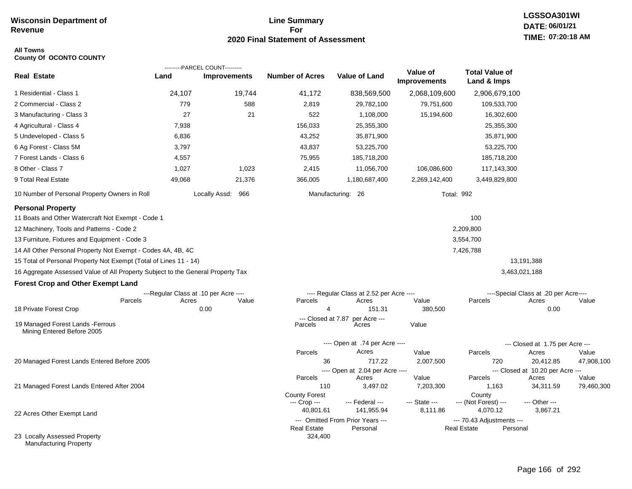### **Line Summary For 2020 Final Statement of Assessment**

# **All Towns**

**County Of OCONTO COUNTY**

|                                                                                 |        | ---------PARCEL COUNT---------        |                           |                                                |                                 |                                       |                                           |            |
|---------------------------------------------------------------------------------|--------|---------------------------------------|---------------------------|------------------------------------------------|---------------------------------|---------------------------------------|-------------------------------------------|------------|
| <b>Real Estate</b>                                                              | Land   | <b>Improvements</b>                   | <b>Number of Acres</b>    | <b>Value of Land</b>                           | Value of<br><b>Improvements</b> | <b>Total Value of</b><br>Land & Imps  |                                           |            |
| 1 Residential - Class 1                                                         | 24,107 | 19,744                                | 41,172                    | 838,569,500                                    | 2,068,109,600                   | 2,906,679,100                         |                                           |            |
| 2 Commercial - Class 2                                                          | 779    | 588                                   | 2,819                     | 29,782,100                                     | 79,751,600                      | 109,533,700                           |                                           |            |
| 3 Manufacturing - Class 3                                                       | 27     | 21                                    | 522                       | 1,108,000                                      | 15,194,600                      | 16,302,600                            |                                           |            |
| 4 Agricultural - Class 4                                                        | 7,938  |                                       | 156,033                   | 25,355,300                                     |                                 | 25,355,300                            |                                           |            |
| 5 Undeveloped - Class 5                                                         | 6,836  |                                       | 43,252                    | 35,871,900                                     |                                 | 35,871,900                            |                                           |            |
| 6 Ag Forest - Class 5M                                                          | 3,797  |                                       | 43,837                    | 53,225,700                                     |                                 | 53,225,700                            |                                           |            |
| 7 Forest Lands - Class 6                                                        | 4,557  |                                       | 75,955                    | 185,718,200                                    |                                 | 185,718,200                           |                                           |            |
| 8 Other - Class 7                                                               | 1,027  | 1,023                                 | 2,415                     | 11,056,700                                     | 106,086,600                     | 117,143,300                           |                                           |            |
| 9 Total Real Estate                                                             | 49,068 | 21,376                                | 366,005                   | 1,180,687,400                                  | 2,269,142,400                   | 3,449,829,800                         |                                           |            |
| 10 Number of Personal Property Owners in Roll                                   |        | Locally Assd: 966                     |                           | Manufacturing: 26                              | <b>Total: 992</b>               |                                       |                                           |            |
| <b>Personal Property</b>                                                        |        |                                       |                           |                                                |                                 |                                       |                                           |            |
| 11 Boats and Other Watercraft Not Exempt - Code 1                               |        |                                       |                           |                                                |                                 | 100                                   |                                           |            |
| 12 Machinery, Tools and Patterns - Code 2                                       |        |                                       |                           |                                                |                                 | 2,209,800                             |                                           |            |
| 13 Furniture, Fixtures and Equipment - Code 3                                   |        |                                       |                           |                                                |                                 | 3,554,700                             |                                           |            |
| 14 All Other Personal Property Not Exempt - Codes 4A, 4B, 4C                    |        |                                       |                           |                                                |                                 | 7,426,788                             |                                           |            |
| 15 Total of Personal Property Not Exempt (Total of Lines 11 - 14)               |        |                                       |                           |                                                |                                 |                                       | 13,191,388                                |            |
| 16 Aggregate Assessed Value of All Property Subject to the General Property Tax |        |                                       |                           |                                                |                                 |                                       | 3,463,021,188                             |            |
| <b>Forest Crop and Other Exempt Land</b>                                        |        |                                       |                           |                                                |                                 |                                       |                                           |            |
|                                                                                 |        | ---Regular Class at .10 per Acre ---- |                           | ---- Regular Class at 2.52 per Acre ----       |                                 |                                       | ----Special Class at .20 per Acre----     |            |
| Parcels                                                                         | Acres  | Value                                 | Parcels<br>$\overline{4}$ | Acres                                          | Value                           | Parcels                               | Acres                                     | Value      |
| 18 Private Forest Crop                                                          |        | 0.00                                  | --- Closed at 7.87        | 151.31<br>per Acre ---                         | 380,500                         |                                       | 0.00                                      |            |
| 19 Managed Forest Lands - Ferrous<br>Mining Entered Before 2005                 |        |                                       | Parcels                   | Acres                                          | Value                           |                                       |                                           |            |
|                                                                                 |        |                                       |                           | ---- Open at .74 per Acre ----                 |                                 |                                       | --- Closed at 1.75 per Acre ---           |            |
|                                                                                 |        |                                       | Parcels                   | Acres                                          | Value                           | Parcels                               | Acres                                     | Value      |
| 20 Managed Forest Lands Entered Before 2005                                     |        |                                       | 36                        | 717.22                                         | 2,007,500                       | 720                                   | 20,412.85                                 | 47,908,100 |
|                                                                                 |        |                                       | Parcels                   | ---- Open at 2.04 per Acre ----<br>Acres       | Value                           | Parcels                               | --- Closed at 10.20 per Acre ---<br>Acres | Value      |
| 21 Managed Forest Lands Entered After 2004                                      |        |                                       | 110                       | 3,497.02                                       | 7,203,300                       | 1,163                                 | 34,311.59                                 | 79,460,300 |
|                                                                                 |        |                                       | <b>County Forest</b>      |                                                |                                 | County                                |                                           |            |
|                                                                                 |        |                                       | --- Crop ---              | --- Federal ---                                | --- State ---                   | --- (Not Forest) ---                  | --- Other ---                             |            |
| 22 Acres Other Exempt Land                                                      |        |                                       | 40,801.61                 | 141,955.94<br>--- Omitted From Prior Years --- | 8,111.86                        | 4,070.12<br>--- 70.43 Adjustments --- | 3,867.21                                  |            |
|                                                                                 |        |                                       | <b>Real Estate</b>        | Personal                                       |                                 | <b>Real Estate</b><br>Personal        |                                           |            |
| 23 Locally Assessed Property<br>Manufacturing Property                          |        |                                       | 324,400                   |                                                |                                 |                                       |                                           |            |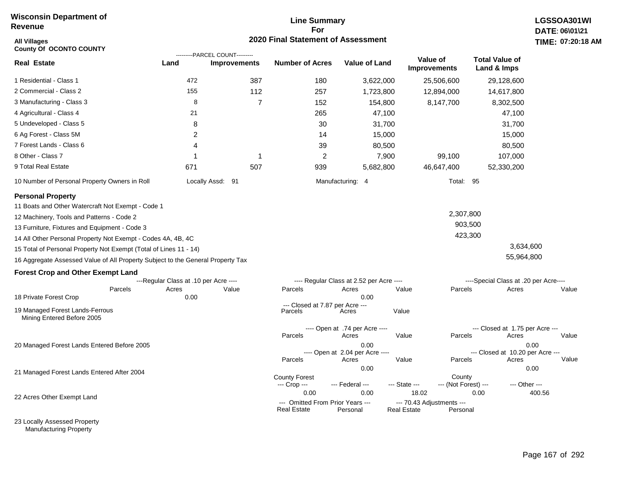# **Line Summary For 2020 Final Statement of Assessment All Villages TIME:**

| <b>All Villages</b><br>County Of OCONTO COUNTY                                                                                                                                                                                                                                                                                                                                                                                                                                                                                                        | 2020 Final Statement of Assessment                     |                                                       |                                                                |                                                                                             |                             |                                            |                                                                                       |                        |  |
|-------------------------------------------------------------------------------------------------------------------------------------------------------------------------------------------------------------------------------------------------------------------------------------------------------------------------------------------------------------------------------------------------------------------------------------------------------------------------------------------------------------------------------------------------------|--------------------------------------------------------|-------------------------------------------------------|----------------------------------------------------------------|---------------------------------------------------------------------------------------------|-----------------------------|--------------------------------------------|---------------------------------------------------------------------------------------|------------------------|--|
| Real Estate                                                                                                                                                                                                                                                                                                                                                                                                                                                                                                                                           | Land                                                   | ---------PARCEL COUNT---------<br><b>Improvements</b> | <b>Number of Acres</b>                                         | <b>Value of Land</b>                                                                        |                             | Value of<br><b>Improvements</b>            | <b>Total Value of</b><br>Land & Imps                                                  |                        |  |
| 1 Residential - Class 1                                                                                                                                                                                                                                                                                                                                                                                                                                                                                                                               | 472                                                    | 387                                                   | 180                                                            | 3,622,000                                                                                   |                             | 25,506,600                                 | 29,128,600                                                                            |                        |  |
| 2 Commercial - Class 2                                                                                                                                                                                                                                                                                                                                                                                                                                                                                                                                | 155                                                    | 112                                                   | 257                                                            | 1,723,800                                                                                   |                             | 12,894,000                                 | 14,617,800                                                                            |                        |  |
| 3 Manufacturing - Class 3                                                                                                                                                                                                                                                                                                                                                                                                                                                                                                                             | 8                                                      | 7                                                     | 152                                                            | 154,800                                                                                     |                             | 8,147,700                                  | 8,302,500                                                                             |                        |  |
| 4 Agricultural - Class 4                                                                                                                                                                                                                                                                                                                                                                                                                                                                                                                              | 21                                                     |                                                       | 265                                                            | 47,100                                                                                      |                             |                                            | 47,100                                                                                |                        |  |
| 5 Undeveloped - Class 5                                                                                                                                                                                                                                                                                                                                                                                                                                                                                                                               | 8                                                      |                                                       | 30                                                             | 31,700                                                                                      |                             |                                            | 31,700                                                                                |                        |  |
| 6 Ag Forest - Class 5M                                                                                                                                                                                                                                                                                                                                                                                                                                                                                                                                | $\overline{2}$                                         |                                                       | 14                                                             | 15,000                                                                                      |                             |                                            | 15,000                                                                                |                        |  |
| 7 Forest Lands - Class 6                                                                                                                                                                                                                                                                                                                                                                                                                                                                                                                              | 4                                                      |                                                       | 39                                                             | 80,500                                                                                      |                             |                                            | 80,500                                                                                |                        |  |
| 8 Other - Class 7                                                                                                                                                                                                                                                                                                                                                                                                                                                                                                                                     | -1                                                     | 1                                                     | 2                                                              |                                                                                             | 7,900                       | 99,100                                     | 107,000                                                                               |                        |  |
| 9 Total Real Estate                                                                                                                                                                                                                                                                                                                                                                                                                                                                                                                                   | 671                                                    | 507                                                   | 939                                                            | 5,682,800                                                                                   |                             | 46,647,400                                 | 52,330,200                                                                            |                        |  |
| 10 Number of Personal Property Owners in Roll                                                                                                                                                                                                                                                                                                                                                                                                                                                                                                         |                                                        | Locally Assd: 91                                      |                                                                | Manufacturing: 4                                                                            |                             | Total:                                     | 95                                                                                    |                        |  |
| <b>Personal Property</b><br>11 Boats and Other Watercraft Not Exempt - Code 1<br>12 Machinery, Tools and Patterns - Code 2<br>13 Furniture, Fixtures and Equipment - Code 3<br>14 All Other Personal Property Not Exempt - Codes 4A, 4B, 4C<br>15 Total of Personal Property Not Exempt (Total of Lines 11 - 14)<br>16 Aggregate Assessed Value of All Property Subject to the General Property Tax<br><b>Forest Crop and Other Exempt Land</b><br>Parcels<br>18 Private Forest Crop<br>19 Managed Forest Lands-Ferrous<br>Mining Entered Before 2005 | ---Regular Class at .10 per Acre ----<br>Acres<br>0.00 | Value                                                 | Parcels<br>--- Closed at 7.87 per Acre ---<br>Parcels          | ---- Regular Class at 2.52 per Acre ----<br>Acres<br>0.00<br>Acres                          | Value<br>Value              | 2,307,800<br>903,500<br>423,300<br>Parcels | 3,634,600<br>55,964,800<br>----Special Class at .20 per Acre----<br>Acres             | Value                  |  |
| 20 Managed Forest Lands Entered Before 2005                                                                                                                                                                                                                                                                                                                                                                                                                                                                                                           |                                                        |                                                       | Parcels<br>Parcels                                             | ---- Open at .74 per Acre ----<br>Acres<br>0.00<br>---- Open at 2.04 per Acre ----<br>Acres | Value<br>Value              | Parcels<br>Parcels                         | --- Closed at 1.75 per Acre ---<br>Acres<br>--- Closed at 10.20 per Acre ---<br>Acres | Value<br>0.00<br>Value |  |
| 21 Managed Forest Lands Entered After 2004                                                                                                                                                                                                                                                                                                                                                                                                                                                                                                            |                                                        |                                                       | <b>County Forest</b><br>--- Crop ---                           | 0.00<br>--- Federal ---                                                                     | --- State ---               | County<br>--- (Not Forest) ---             | --- Other ---                                                                         | 0.00                   |  |
| 22 Acres Other Exempt Land                                                                                                                                                                                                                                                                                                                                                                                                                                                                                                                            |                                                        |                                                       | 0.00<br>--- Omitted From Prior Years ---<br><b>Real Estate</b> | 0.00<br>Personal                                                                            | 18.02<br><b>Real Estate</b> | --- 70.43 Adjustments ---<br>Personal      | 0.00                                                                                  | 400.56                 |  |

23 Locally Assessed Property Manufacturing Property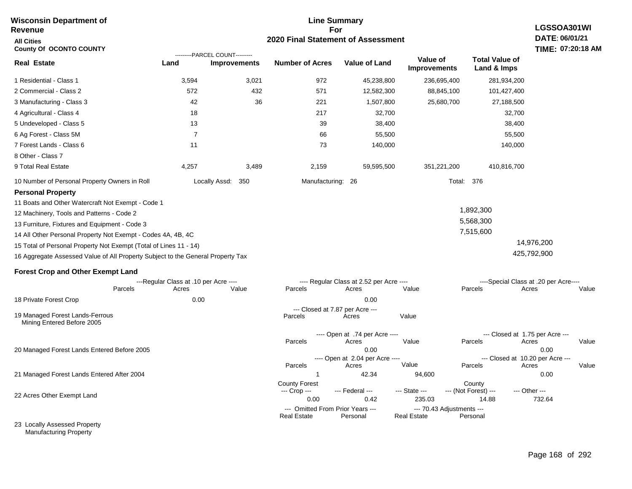#### **For 2020 Final Statement of Assessment Revenue All Cities County Of OCONTO COUNTY LGSSOA301WI DATE: 06/01/21 TIME: 07:20:18 AM Real Estate** 1 Residential - Class 1 2 Commercial - Class 2 3 Manufacturing - Class 3 4 Agricultural - Class 4 5 Undeveloped - Class 5 6 Ag Forest - Class 5M 7 Forest Lands - Class 6 8 Other - Class 7 9 Total Real Estate 10 Number of Personal Property Owners in Roll 3,594 3,021 972 45,238,800 236,695,400 281,934,200 **Land Improvements Number of Acres Value of Land Value of Improvements Total Value of Land & Imps** 572 42 18 13 7 11 4,257 432 36 3,489 571 221 217 39 66 73 2,159 12,582,300 1,507,800 32,700 38,400 55,500 140,000 59,595,500 88,845,100 25,680,700 351,221,200 101,427,400 27,188,500 32,700 38,400 55,500 140,000 410,816,700 Locally Assd: 350 **Manufacturing: 26** Total: 376 **Personal Property** 11 Boats and Other Watercraft Not Exempt - Code 1 12 Machinery, Tools and Patterns - Code 2 13 Furniture, Fixtures and Equipment - Code 3 14 All Other Personal Property Not Exempt - Codes 4A, 4B, 4C 15 Total of Personal Property Not Exempt (Total of Lines 11 - 14) 16 Aggregate Assessed Value of All Property Subject to the General Property Tax 1,892,300 5,568,300 7,515,600 14,976,200 425,792,900 **Forest Crop and Other Exempt Land** ---Regular Class at .10 per Acre ---- ---- Regular Class at 2.52 per Acre ---- ----Special Class at .20 per Acre---- 18 Private Forest Crop 20 Managed Forest Lands Entered Before 2005 21 Managed Forest Lands Entered After 2004 Parcels 0.00 0.00 Acres Value Parcels Acres Value Parcels Acres Value ---- Open at .74 per Acre<br>Acres Parcels 0.00 0.00 Acres Value Parcels Acres Value --- Closed at 1.75 per Acre --- ---- Open at 2.04 per Acre ---<br>Acres Value Parcels Parcels Acres Acres Parcels 1 42.34 94,600 0.00 Acres **Value Parcels Acres Value** County Forest County County --- Crop --- 0.00 0.42 235.03 14.88 732.64 --- Federal --- - --- State --- --- (Not Forest) --- --- Other ---22 Acres Other Exempt Land 23 Locally Assessed Property --- Omitted From Prior Years --- --- --- 70.43 Adjustments ---<br>eal Estate --- --- --- Real Estate --- Personal **Real Estate** ---------PARCEL COUNT--------- 19 Managed Forest Lands-Ferrous Mining Entered Before 2005 --- Closed at 7.87 per Acre ---<br>rcels Acres Parcels **Acres** Value

**Line Summary**

Manufacturing Property

**Wisconsin Department of**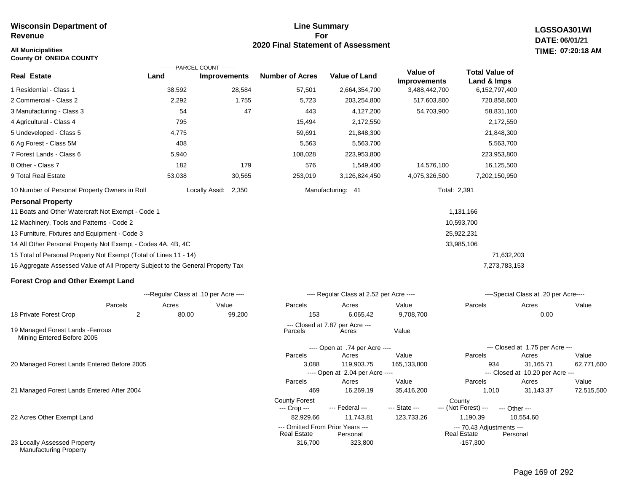#### **All Municipalities TIME:**

**County Of ONEIDA COUNTY**

#### **Line Summary For 2020 Final Statement of Assessment**

**LGSSOA301WI DATE: 06/01/21 07:20:18 AM**

|                                                                                 |                                       | ---------PARCEL COUNT--------- |                                      |                                          |                                 |                                      |                                           |            |
|---------------------------------------------------------------------------------|---------------------------------------|--------------------------------|--------------------------------------|------------------------------------------|---------------------------------|--------------------------------------|-------------------------------------------|------------|
| <b>Real Estate</b>                                                              | Land                                  | <b>Improvements</b>            | <b>Number of Acres</b>               | <b>Value of Land</b>                     | Value of<br><b>Improvements</b> | <b>Total Value of</b><br>Land & Imps |                                           |            |
| 1 Residential - Class 1                                                         | 38,592                                | 28,584                         | 57,501                               | 2,664,354,700                            | 3,488,442,700                   | 6,152,797,400                        |                                           |            |
| 2 Commercial - Class 2                                                          | 2,292                                 | 1,755                          | 5,723                                | 203,254,800                              | 517,603,800                     | 720,858,600                          |                                           |            |
| 3 Manufacturing - Class 3                                                       | 54                                    |                                | 47<br>443                            | 4,127,200                                | 54,703,900                      | 58,831,100                           |                                           |            |
| 4 Agricultural - Class 4                                                        | 795                                   |                                | 15,494                               | 2,172,550                                |                                 | 2,172,550                            |                                           |            |
| 5 Undeveloped - Class 5                                                         | 4,775                                 |                                | 59,691                               | 21,848,300                               |                                 | 21,848,300                           |                                           |            |
| 6 Ag Forest - Class 5M                                                          | 408                                   |                                | 5,563                                | 5,563,700                                |                                 | 5,563,700                            |                                           |            |
| 7 Forest Lands - Class 6                                                        | 5,940                                 |                                | 108,028                              | 223,953,800                              |                                 | 223,953,800                          |                                           |            |
| 8 Other - Class 7                                                               | 182                                   | 179                            | 576                                  | 1,549,400                                | 14,576,100                      | 16,125,500                           |                                           |            |
| 9 Total Real Estate                                                             | 53,038                                | 30,565                         | 253,019                              | 3,126,824,450                            | 4,075,326,500                   | 7,202,150,950                        |                                           |            |
| 10 Number of Personal Property Owners in Roll                                   |                                       | Locally Assd:<br>2,350         |                                      | Manufacturing: 41                        |                                 | Total: 2,391                         |                                           |            |
| <b>Personal Property</b>                                                        |                                       |                                |                                      |                                          |                                 |                                      |                                           |            |
| 11 Boats and Other Watercraft Not Exempt - Code 1                               |                                       |                                |                                      |                                          |                                 | 1,131,166                            |                                           |            |
| 12 Machinery, Tools and Patterns - Code 2                                       |                                       |                                |                                      |                                          |                                 | 10,593,700                           |                                           |            |
| 13 Furniture, Fixtures and Equipment - Code 3                                   |                                       |                                |                                      |                                          |                                 | 25,922,231                           |                                           |            |
| 14 All Other Personal Property Not Exempt - Codes 4A, 4B, 4C                    |                                       |                                |                                      |                                          |                                 | 33,985,106                           |                                           |            |
| 15 Total of Personal Property Not Exempt (Total of Lines 11 - 14)               |                                       |                                |                                      |                                          |                                 | 71,632,203                           |                                           |            |
| 16 Aggregate Assessed Value of All Property Subject to the General Property Tax |                                       |                                |                                      |                                          |                                 | 7,273,783,153                        |                                           |            |
| <b>Forest Crop and Other Exempt Land</b>                                        |                                       |                                |                                      |                                          |                                 |                                      |                                           |            |
|                                                                                 | ---Regular Class at .10 per Acre ---- |                                |                                      | ---- Regular Class at 2.52 per Acre ---- |                                 |                                      | ----Special Class at .20 per Acre----     |            |
| Parcels                                                                         | Acres                                 | Value                          | Parcels                              | Acres                                    | Value                           | Parcels                              | Acres                                     | Value      |
| 18 Private Forest Crop<br>2                                                     | 80.00                                 | 99,200                         | 153                                  | 6,065.42                                 | 9,708,700                       |                                      | 0.00                                      |            |
| 19 Managed Forest Lands - Ferrous<br>Mining Entered Before 2005                 |                                       |                                | Parcels                              | --- Closed at 7.87 per Acre ---<br>Acres | Value                           |                                      |                                           |            |
|                                                                                 |                                       |                                |                                      | ---- Open at .74 per Acre ----           |                                 |                                      | --- Closed at 1.75 per Acre ---           |            |
|                                                                                 |                                       |                                | Parcels                              | Acres                                    | Value                           | Parcels                              | Acres                                     | Value      |
| 20 Managed Forest Lands Entered Before 2005                                     |                                       |                                | 3.088                                | 119,903.75                               | 165,133,800                     | 934                                  | 31,165.71                                 | 62,771,600 |
|                                                                                 |                                       |                                | Parcels                              | ---- Open at 2.04 per Acre ----<br>Acres | Value                           | Parcels                              | --- Closed at 10.20 per Acre ---<br>Acres | Value      |
| 21 Managed Forest Lands Entered After 2004                                      |                                       |                                | 469                                  | 16,269.19                                | 35,416,200                      | 1,010                                | 31,143.37                                 | 72,515,500 |
|                                                                                 |                                       |                                | <b>County Forest</b><br>--- Crop --- | --- Federal ---                          | --- State ---                   | County<br>--- (Not Forest) ---       | --- Other ---                             |            |

22 Acres Other Exempt Land

23 Locally Assessed Property Manufacturing Property

82,929.66 11,743.81 123,733.26 1,190.39 10,554.60

Real Estate

--- Omitted From Prior Years --- --- 70.43 Adjustments ---

316,700 323,800 -157,300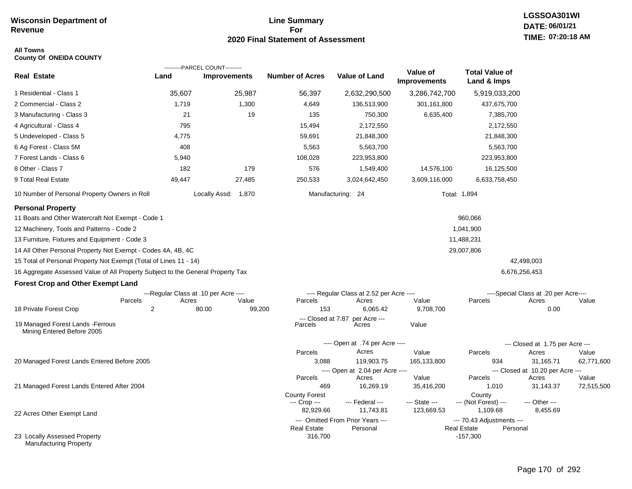### **Line Summary For 2020 Final Statement of Assessment**

#### **All Towns County Of ONEIDA COUNTY**

|                                                                                 |                | ---------PARCEL COUNT---------        |                               |                                              |                                 |                                                             |                                       |                     |
|---------------------------------------------------------------------------------|----------------|---------------------------------------|-------------------------------|----------------------------------------------|---------------------------------|-------------------------------------------------------------|---------------------------------------|---------------------|
| <b>Real Estate</b>                                                              | Land           | <b>Improvements</b>                   | <b>Number of Acres</b>        | <b>Value of Land</b>                         | Value of<br><b>Improvements</b> | <b>Total Value of</b><br>Land & Imps                        |                                       |                     |
| 1 Residential - Class 1                                                         | 35,607         | 25,987                                | 56,397                        | 2,632,290,500                                | 3,286,742,700                   | 5,919,033,200                                               |                                       |                     |
| 2 Commercial - Class 2                                                          | 1,719          | 1,300                                 | 4,649                         | 136,513,900                                  | 301,161,800                     | 437,675,700                                                 |                                       |                     |
| 3 Manufacturing - Class 3                                                       | 21             | 19                                    | 135                           | 750,300                                      | 6,635,400                       | 7,385,700                                                   |                                       |                     |
| 4 Agricultural - Class 4                                                        | 795            |                                       | 15,494                        | 2,172,550                                    |                                 | 2,172,550                                                   |                                       |                     |
| 5 Undeveloped - Class 5                                                         | 4,775          |                                       | 59,691                        | 21,848,300                                   |                                 | 21,848,300                                                  |                                       |                     |
| 6 Ag Forest - Class 5M                                                          | 408            |                                       | 5,563                         | 5,563,700                                    |                                 | 5,563,700                                                   |                                       |                     |
| 7 Forest Lands - Class 6                                                        | 5,940          |                                       | 108,028                       | 223,953,800                                  |                                 | 223,953,800                                                 |                                       |                     |
| 8 Other - Class 7                                                               | 182            | 179                                   | 576                           | 1,549,400                                    | 14,576,100                      | 16,125,500                                                  |                                       |                     |
| 9 Total Real Estate                                                             | 49,447         | 27,485                                | 250,533                       | 3,024,642,450                                | 3,609,116,000                   | 6,633,758,450                                               |                                       |                     |
| 10 Number of Personal Property Owners in Roll                                   |                | Locally Assd: 1,870                   |                               | Manufacturing: 24                            |                                 | Total: 1,894                                                |                                       |                     |
| <b>Personal Property</b>                                                        |                |                                       |                               |                                              |                                 |                                                             |                                       |                     |
| 11 Boats and Other Watercraft Not Exempt - Code 1                               |                |                                       |                               |                                              |                                 | 960,066                                                     |                                       |                     |
| 12 Machinery, Tools and Patterns - Code 2                                       |                |                                       |                               |                                              |                                 | 1,041,900                                                   |                                       |                     |
| 13 Furniture, Fixtures and Equipment - Code 3                                   |                |                                       |                               |                                              |                                 | 11,488,231                                                  |                                       |                     |
| 14 All Other Personal Property Not Exempt - Codes 4A, 4B, 4C                    |                |                                       |                               |                                              |                                 | 29,007,806                                                  |                                       |                     |
| 15 Total of Personal Property Not Exempt (Total of Lines 11 - 14)               |                |                                       |                               |                                              |                                 |                                                             | 42,498,003                            |                     |
| 16 Aggregate Assessed Value of All Property Subject to the General Property Tax |                |                                       |                               |                                              |                                 |                                                             | 6,676,256,453                         |                     |
| <b>Forest Crop and Other Exempt Land</b>                                        |                |                                       |                               |                                              |                                 |                                                             |                                       |                     |
|                                                                                 |                | ---Regular Class at .10 per Acre ---- |                               | ---- Regular Class at 2.52 per Acre ----     |                                 |                                                             | ----Special Class at .20 per Acre---- |                     |
| Parcels                                                                         | Acres          | Value                                 | Parcels                       | Acres                                        | Value                           | Parcels                                                     | Acres                                 | Value               |
| 18 Private Forest Crop                                                          | $\overline{2}$ | 80.00<br>99,200                       | 153                           | 6,065.42                                     | 9,708,700                       |                                                             | 0.00                                  |                     |
| 19 Managed Forest Lands - Ferrous<br>Mining Entered Before 2005                 |                |                                       | --- Closed at 7.87<br>Parcels | per Acre ---<br>Acres                        | Value                           |                                                             |                                       |                     |
|                                                                                 |                |                                       |                               | ---- Open at .74 per Acre ----               |                                 |                                                             | --- Closed at 1.75 per Acre ---       |                     |
|                                                                                 |                |                                       | Parcels                       | Acres                                        | Value                           | Parcels                                                     | Acres                                 | Value               |
| 20 Managed Forest Lands Entered Before 2005                                     |                |                                       | 3,088                         | 119,903.75                                   | 165,133,800                     | 934                                                         | 31,165.71                             | 62,771,600          |
|                                                                                 |                |                                       |                               | ---- Open at 2.04 per Acre ----              |                                 |                                                             | --- Closed at 10.20 per Acre ---      |                     |
| 21 Managed Forest Lands Entered After 2004                                      |                |                                       | Parcels<br>469                | Acres<br>16,269.19                           | Value<br>35,416,200             | Parcels<br>1,010                                            | Acres<br>31,143.37                    | Value<br>72,515,500 |
|                                                                                 |                |                                       | <b>County Forest</b>          |                                              |                                 | County                                                      |                                       |                     |
|                                                                                 |                |                                       | --- Crop ---                  | --- Federal ---                              | --- State ---                   | --- (Not Forest) ---                                        | --- Other ---                         |                     |
| 22 Acres Other Exempt Land                                                      |                |                                       | 82,929.66                     | 11,743.81                                    | 123,669.53                      | 1,109.68                                                    | 8,455.69                              |                     |
|                                                                                 |                |                                       | <b>Real Estate</b>            | --- Omitted From Prior Years ---<br>Personal |                                 | --- 70.43 Adjustments ---<br><b>Real Estate</b><br>Personal |                                       |                     |
| 23 Locally Assessed Property<br><b>Manufacturing Property</b>                   |                |                                       | 316,700                       |                                              |                                 | $-157,300$                                                  |                                       |                     |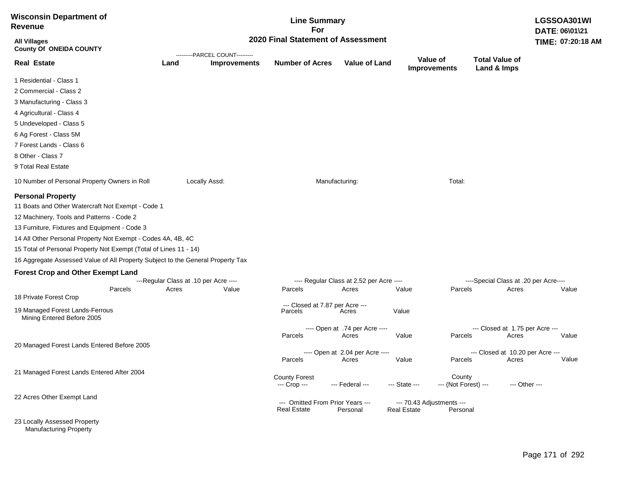| <b>Wisconsin Department of</b><br>Revenue                                                                                                                                                                                                                                                                                                                                                                                                                                            |                                                |                                | <b>Line Summary</b><br>For                             |                                                   |                    |                                       |                                                | LGSSOA301WI<br>DATE: 06\01\21 |
|--------------------------------------------------------------------------------------------------------------------------------------------------------------------------------------------------------------------------------------------------------------------------------------------------------------------------------------------------------------------------------------------------------------------------------------------------------------------------------------|------------------------------------------------|--------------------------------|--------------------------------------------------------|---------------------------------------------------|--------------------|---------------------------------------|------------------------------------------------|-------------------------------|
| <b>All Villages</b><br><b>County Of ONEIDA COUNTY</b>                                                                                                                                                                                                                                                                                                                                                                                                                                |                                                | ---------PARCEL COUNT--------- | 2020 Final Statement of Assessment                     |                                                   |                    |                                       |                                                | TIME: 07:20:18 AM             |
| <b>Real Estate</b>                                                                                                                                                                                                                                                                                                                                                                                                                                                                   | Land                                           | <b>Improvements</b>            | <b>Number of Acres</b>                                 | <b>Value of Land</b>                              |                    | Value of<br><b>Improvements</b>       | <b>Total Value of</b><br>Land & Imps           |                               |
| 1 Residential - Class 1                                                                                                                                                                                                                                                                                                                                                                                                                                                              |                                                |                                |                                                        |                                                   |                    |                                       |                                                |                               |
| 2 Commercial - Class 2                                                                                                                                                                                                                                                                                                                                                                                                                                                               |                                                |                                |                                                        |                                                   |                    |                                       |                                                |                               |
| 3 Manufacturing - Class 3                                                                                                                                                                                                                                                                                                                                                                                                                                                            |                                                |                                |                                                        |                                                   |                    |                                       |                                                |                               |
| 4 Agricultural - Class 4                                                                                                                                                                                                                                                                                                                                                                                                                                                             |                                                |                                |                                                        |                                                   |                    |                                       |                                                |                               |
| 5 Undeveloped - Class 5                                                                                                                                                                                                                                                                                                                                                                                                                                                              |                                                |                                |                                                        |                                                   |                    |                                       |                                                |                               |
| 6 Ag Forest - Class 5M                                                                                                                                                                                                                                                                                                                                                                                                                                                               |                                                |                                |                                                        |                                                   |                    |                                       |                                                |                               |
| 7 Forest Lands - Class 6                                                                                                                                                                                                                                                                                                                                                                                                                                                             |                                                |                                |                                                        |                                                   |                    |                                       |                                                |                               |
| 8 Other - Class 7                                                                                                                                                                                                                                                                                                                                                                                                                                                                    |                                                |                                |                                                        |                                                   |                    |                                       |                                                |                               |
| 9 Total Real Estate                                                                                                                                                                                                                                                                                                                                                                                                                                                                  |                                                |                                |                                                        |                                                   |                    |                                       |                                                |                               |
| 10 Number of Personal Property Owners in Roll                                                                                                                                                                                                                                                                                                                                                                                                                                        |                                                | Locally Assd:                  |                                                        | Manufacturing:                                    |                    | Total:                                |                                                |                               |
| <b>Personal Property</b><br>11 Boats and Other Watercraft Not Exempt - Code 1<br>12 Machinery, Tools and Patterns - Code 2<br>13 Furniture, Fixtures and Equipment - Code 3<br>14 All Other Personal Property Not Exempt - Codes 4A, 4B, 4C<br>15 Total of Personal Property Not Exempt (Total of Lines 11 - 14)<br>16 Aggregate Assessed Value of All Property Subject to the General Property Tax<br><b>Forest Crop and Other Exempt Land</b><br>Parcels<br>18 Private Forest Crop | ---Regular Class at .10 per Acre ----<br>Acres | Value                          | Parcels<br>--- Closed at 7.87 per Acre ---             | ---- Regular Class at 2.52 per Acre ----<br>Acres | Value              | Parcels                               | ----Special Class at .20 per Acre----<br>Acres | Value                         |
| 19 Managed Forest Lands-Ferrous<br>Mining Entered Before 2005                                                                                                                                                                                                                                                                                                                                                                                                                        |                                                |                                | Parcels                                                | Acres                                             | Value              |                                       |                                                |                               |
|                                                                                                                                                                                                                                                                                                                                                                                                                                                                                      |                                                |                                | Parcels                                                | ---- Open at .74 per Acre ----<br>Acres           | Value              | Parcels                               | --- Closed at 1.75 per Acre ---<br>Acres       | Value                         |
| 20 Managed Forest Lands Entered Before 2005                                                                                                                                                                                                                                                                                                                                                                                                                                          |                                                |                                |                                                        | ---- Open at 2.04 per Acre ----                   |                    |                                       | --- Closed at 10.20 per Acre ---               |                               |
|                                                                                                                                                                                                                                                                                                                                                                                                                                                                                      |                                                |                                | Parcels                                                | Acres                                             | Value              | Parcels                               | Acres                                          | Value                         |
| 21 Managed Forest Lands Entered After 2004                                                                                                                                                                                                                                                                                                                                                                                                                                           |                                                |                                | <b>County Forest</b><br>--- Crop ---                   | --- Federal ---                                   | --- State ---      | County<br>--- (Not Forest) ---        |                                                | --- Other ---                 |
| 22 Acres Other Exempt Land                                                                                                                                                                                                                                                                                                                                                                                                                                                           |                                                |                                | --- Omitted From Prior Years ---<br><b>Real Estate</b> | Personal                                          | <b>Real Estate</b> | --- 70.43 Adjustments ---<br>Personal |                                                |                               |
| 23 Locally Assessed Property                                                                                                                                                                                                                                                                                                                                                                                                                                                         |                                                |                                |                                                        |                                                   |                    |                                       |                                                |                               |

Manufacturing Property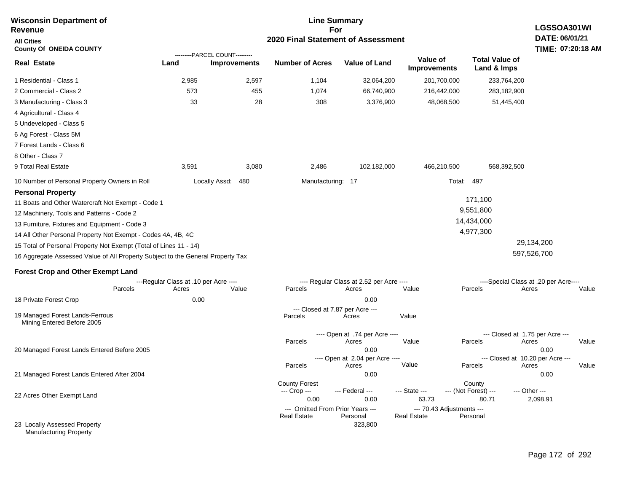| <b>Wisconsin Department of</b><br><b>Revenue</b>                                | <b>Line Summary</b><br>LGSSOA301WI<br>For |                                                       |                                                 |                                          |                                                 |                                      |                                       |  |  |  |
|---------------------------------------------------------------------------------|-------------------------------------------|-------------------------------------------------------|-------------------------------------------------|------------------------------------------|-------------------------------------------------|--------------------------------------|---------------------------------------|--|--|--|
| <b>All Cities</b><br><b>County Of ONEIDA COUNTY</b>                             | 2020 Final Statement of Assessment        |                                                       |                                                 |                                          |                                                 |                                      |                                       |  |  |  |
| <b>Real Estate</b>                                                              | Land                                      | ---------PARCEL COUNT---------<br><b>Improvements</b> | <b>Number of Acres</b>                          | <b>Value of Land</b>                     | Value of<br><b>Improvements</b>                 | <b>Total Value of</b><br>Land & Imps |                                       |  |  |  |
| 1 Residential - Class 1                                                         | 2,985                                     | 2,597                                                 | 1,104                                           | 32,064,200                               | 201,700,000                                     | 233,764,200                          |                                       |  |  |  |
| 2 Commercial - Class 2                                                          | 573                                       | 455                                                   | 1,074                                           | 66,740,900                               | 216,442,000                                     | 283,182,900                          |                                       |  |  |  |
| 3 Manufacturing - Class 3                                                       | 33                                        | 28                                                    | 308                                             | 3,376,900                                | 48,068,500                                      | 51,445,400                           |                                       |  |  |  |
| 4 Agricultural - Class 4                                                        |                                           |                                                       |                                                 |                                          |                                                 |                                      |                                       |  |  |  |
| 5 Undeveloped - Class 5                                                         |                                           |                                                       |                                                 |                                          |                                                 |                                      |                                       |  |  |  |
| 6 Ag Forest - Class 5M                                                          |                                           |                                                       |                                                 |                                          |                                                 |                                      |                                       |  |  |  |
| 7 Forest Lands - Class 6                                                        |                                           |                                                       |                                                 |                                          |                                                 |                                      |                                       |  |  |  |
| 8 Other - Class 7                                                               |                                           |                                                       |                                                 |                                          |                                                 |                                      |                                       |  |  |  |
| 9 Total Real Estate                                                             | 3,591                                     | 3,080                                                 | 2,486                                           | 102,182,000                              | 466,210,500                                     | 568,392,500                          |                                       |  |  |  |
| 10 Number of Personal Property Owners in Roll                                   |                                           | Locally Assd:<br>480                                  | Manufacturing: 17                               |                                          | Total:                                          | 497                                  |                                       |  |  |  |
| <b>Personal Property</b>                                                        |                                           |                                                       |                                                 |                                          |                                                 |                                      |                                       |  |  |  |
| 11 Boats and Other Watercraft Not Exempt - Code 1                               |                                           |                                                       |                                                 |                                          |                                                 | 171,100                              |                                       |  |  |  |
| 12 Machinery, Tools and Patterns - Code 2                                       |                                           |                                                       |                                                 |                                          |                                                 | 9,551,800                            |                                       |  |  |  |
| 13 Furniture, Fixtures and Equipment - Code 3                                   |                                           |                                                       |                                                 |                                          |                                                 | 14,434,000                           |                                       |  |  |  |
| 14 All Other Personal Property Not Exempt - Codes 4A, 4B, 4C                    |                                           |                                                       |                                                 |                                          |                                                 | 4,977,300                            |                                       |  |  |  |
| 15 Total of Personal Property Not Exempt (Total of Lines 11 - 14)               |                                           |                                                       |                                                 |                                          |                                                 |                                      | 29,134,200                            |  |  |  |
| 16 Aggregate Assessed Value of All Property Subject to the General Property Tax |                                           |                                                       |                                                 |                                          |                                                 |                                      | 597,526,700                           |  |  |  |
| <b>Forest Crop and Other Exempt Land</b>                                        |                                           |                                                       |                                                 |                                          |                                                 |                                      |                                       |  |  |  |
|                                                                                 | ---Regular Class at .10 per Acre ----     |                                                       |                                                 | ---- Regular Class at 2.52 per Acre ---- |                                                 |                                      | ----Special Class at .20 per Acre---- |  |  |  |
| Parcels                                                                         | Acres                                     | Value                                                 | Parcels                                         | Acres                                    | Value                                           | Parcels                              | Acres<br>Value                        |  |  |  |
| 18 Private Forest Crop                                                          | 0.00                                      |                                                       |                                                 | 0.00<br>--- Closed at 7.87 per Acre ---  |                                                 |                                      |                                       |  |  |  |
| 19 Managed Forest Lands-Ferrous<br>Mining Entered Before 2005                   |                                           |                                                       | Parcels                                         | Acres                                    | Value                                           |                                      |                                       |  |  |  |
|                                                                                 |                                           |                                                       |                                                 | ---- Open at .74 per Acre ----           |                                                 | --- Closed at 1.75 per Acre ---      |                                       |  |  |  |
| 20 Managed Forest Lands Entered Before 2005                                     |                                           |                                                       | Parcels                                         | Acres<br>0.00                            | Value                                           | Parcels                              | Acres<br>Value<br>0.00                |  |  |  |
|                                                                                 |                                           |                                                       |                                                 | ---- Open at 2.04 per Acre ----          |                                                 | --- Closed at 10.20 per Acre ---     |                                       |  |  |  |
|                                                                                 |                                           |                                                       | Parcels                                         | Acres                                    | Value                                           | Parcels                              | Value<br>Acres                        |  |  |  |
| 21 Managed Forest Lands Entered After 2004                                      |                                           |                                                       |                                                 | 0.00                                     |                                                 |                                      | 0.00                                  |  |  |  |
|                                                                                 |                                           |                                                       | <b>County Forest</b><br>--- Crop ---            | --- Federal ---                          | --- State ---                                   | County<br>--- (Not Forest) ---       | --- Other ---                         |  |  |  |
| 22 Acres Other Exempt Land                                                      |                                           |                                                       | 0.00                                            | 0.00                                     | 63.73                                           | 80.71                                | 2,098.91                              |  |  |  |
|                                                                                 |                                           |                                                       | --- Omitted From Prior Years ---<br>Real Estate | Personal                                 | --- 70.43 Adjustments ---<br><b>Real Estate</b> | Personal                             |                                       |  |  |  |
| 23 Locally Assessed Property<br><b>Manufacturing Property</b>                   |                                           |                                                       |                                                 | 323,800                                  |                                                 |                                      |                                       |  |  |  |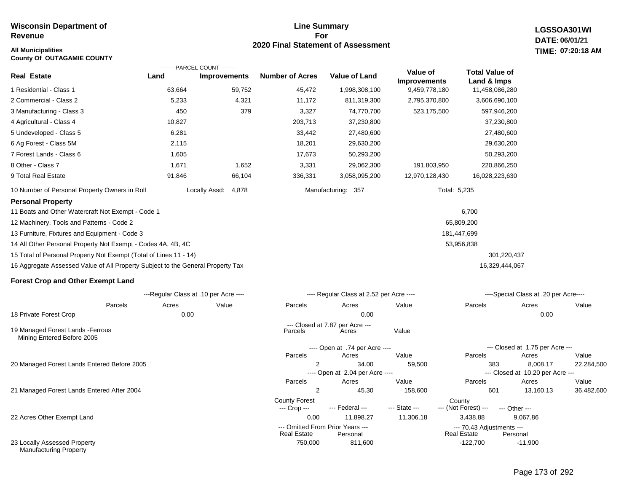#### **Line Summary For 2020 Final Statement of Assessment**

---- Open at 2.04 per Acre ----

**LGSSOA301WI DATE: 06/01/21 All Municipalities TIME: 07:20:18 AM**

| <b>County Of OUTAGAMIE COUNTY</b>                                               |        |                                       |                        |                                          |                     |                       |                                       |       |
|---------------------------------------------------------------------------------|--------|---------------------------------------|------------------------|------------------------------------------|---------------------|-----------------------|---------------------------------------|-------|
|                                                                                 |        | ---------PARCEL COUNT---------        |                        |                                          | Value of            | <b>Total Value of</b> |                                       |       |
| <b>Real Estate</b>                                                              | Land   | <b>Improvements</b>                   | <b>Number of Acres</b> | <b>Value of Land</b>                     | <b>Improvements</b> | Land & Imps           |                                       |       |
| 1 Residential - Class 1                                                         | 63,664 | 59,752                                | 45,472                 | 1,998,308,100                            | 9,459,778,180       | 11,458,086,280        |                                       |       |
| 2 Commercial - Class 2                                                          | 5,233  | 4,321                                 | 11,172                 | 811,319,300                              | 2,795,370,800       | 3,606,690,100         |                                       |       |
| 3 Manufacturing - Class 3                                                       | 450    | 379                                   | 3,327                  | 74,770,700                               | 523,175,500         | 597,946,200           |                                       |       |
| 4 Agricultural - Class 4                                                        | 10,827 |                                       | 203,713                | 37,230,800                               |                     | 37,230,800            |                                       |       |
| 5 Undeveloped - Class 5                                                         | 6,281  |                                       | 33,442                 | 27,480,600                               |                     | 27,480,600            |                                       |       |
| 6 Ag Forest - Class 5M                                                          | 2,115  |                                       | 18,201                 | 29,630,200                               |                     | 29,630,200            |                                       |       |
| 7 Forest Lands - Class 6                                                        | 1,605  |                                       | 17,673                 | 50,293,200                               |                     | 50,293,200            |                                       |       |
| 8 Other - Class 7                                                               | 1,671  | 1,652                                 | 3,331                  | 29,062,300                               | 191,803,950         | 220,866,250           |                                       |       |
| 9 Total Real Estate                                                             | 91,846 | 66,104                                | 336,331                | 3,058,095,200                            | 12,970,128,430      | 16,028,223,630        |                                       |       |
| 10 Number of Personal Property Owners in Roll                                   |        | Locally Assd:<br>4,878                |                        | Manufacturing: 357                       | Total: 5,235        |                       |                                       |       |
| <b>Personal Property</b>                                                        |        |                                       |                        |                                          |                     |                       |                                       |       |
| 11 Boats and Other Watercraft Not Exempt - Code 1                               |        |                                       |                        |                                          |                     | 6,700                 |                                       |       |
| 12 Machinery, Tools and Patterns - Code 2                                       |        |                                       |                        |                                          |                     | 65,809,200            |                                       |       |
| 13 Furniture, Fixtures and Equipment - Code 3                                   |        |                                       |                        |                                          |                     | 181,447,699           |                                       |       |
| 14 All Other Personal Property Not Exempt - Codes 4A, 4B, 4C                    |        |                                       |                        |                                          |                     | 53,956,838            |                                       |       |
| 15 Total of Personal Property Not Exempt (Total of Lines 11 - 14)               |        |                                       |                        |                                          |                     | 301,220,437           |                                       |       |
| 16 Aggregate Assessed Value of All Property Subject to the General Property Tax |        |                                       |                        |                                          |                     | 16,329,444,067        |                                       |       |
| <b>Forest Crop and Other Exempt Land</b>                                        |        |                                       |                        |                                          |                     |                       |                                       |       |
|                                                                                 |        | ---Regular Class at .10 per Acre ---- |                        | ---- Regular Class at 2.52 per Acre ---- |                     |                       | ----Special Class at .20 per Acre---- |       |
| Parcels                                                                         | Acres  | Value                                 | Parcels                | Acres                                    | Value               | Parcels               | Acres                                 | Value |
| 18 Private Forest Crop                                                          | 0.00   |                                       |                        | 0.00                                     |                     |                       | 0.00                                  |       |
| 19 Managed Forest Lands - Ferrous<br>Mining Entered Before 2005                 |        |                                       | Parcels                | --- Closed at 7.87 per Acre ---<br>Acres | Value               |                       |                                       |       |
|                                                                                 |        |                                       |                        | ---- Open at .74 per Acre ----           |                     |                       | --- Closed at 1.75 per Acre ---       |       |

20 Managed Forest Lands Entered Before 2005

21 Managed Forest Lands Entered After 2004

22 Acres Other Exempt Land

23 Locally Assessed Property Manufacturing Property

Page 173 of 292

-11,900

--- Closed at 10.20 per Acre ---

2 34.00 59,500 383 8,008.17 22,284,500

2 45.30 158,600 601 13,160.13 36,482,600

**Real Estate** 

--- (Not Forest) --- --- Other ---

0.00 11,898.27 11,306.18 3,438.88 9,067.86

Parcels Acres Value Parcels Acres Value

Parcels Acres Value Parcels Acres Value

750,000 811,600 -122,700

--- Omitted From Prior Years ---<br>Real Estate Personal Real Estate Personal Real Estate Personal

County Forest County<br>--- Crop --- --- Federal --- --- State --- --- (Not Fore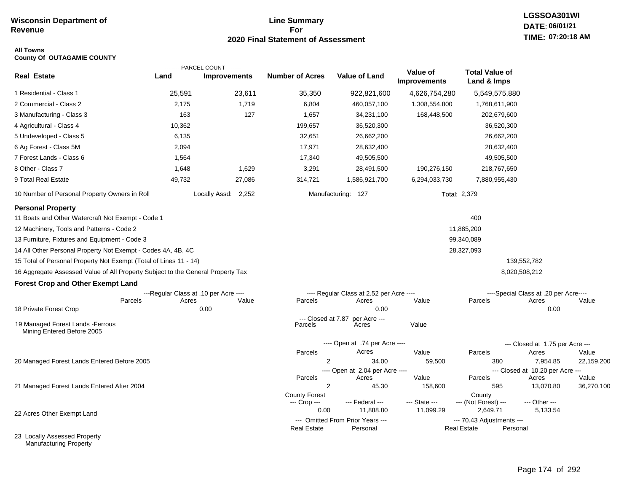### **Line Summary For 2020 Final Statement of Assessment**

# **LGSSOA301WI DATE: 06/01/21 TIME: 07:20:18 AM**

#### **All Towns County Of OUTAGAMIE COUNTY**

|                                                                                 |        | ---------PARCEL COUNT---------        |                                  |                                              |                          |                                                 |                                           |            |
|---------------------------------------------------------------------------------|--------|---------------------------------------|----------------------------------|----------------------------------------------|--------------------------|-------------------------------------------------|-------------------------------------------|------------|
| <b>Real Estate</b>                                                              | Land   | <b>Improvements</b>                   | <b>Number of Acres</b>           | <b>Value of Land</b>                         | Value of<br>Improvements | <b>Total Value of</b><br>Land & Imps            |                                           |            |
| 1 Residential - Class 1                                                         | 25,591 | 23,611                                | 35,350                           | 922,821,600                                  | 4,626,754,280            | 5,549,575,880                                   |                                           |            |
| 2 Commercial - Class 2                                                          | 2,175  | 1,719                                 | 6,804                            | 460,057,100                                  | 1,308,554,800            | 1,768,611,900                                   |                                           |            |
| 3 Manufacturing - Class 3                                                       | 163    | 127                                   | 1,657                            | 34,231,100                                   | 168,448,500              | 202,679,600                                     |                                           |            |
| 4 Agricultural - Class 4                                                        | 10,362 |                                       | 199,657                          | 36,520,300                                   |                          | 36,520,300                                      |                                           |            |
| 5 Undeveloped - Class 5                                                         | 6,135  |                                       | 32,651                           | 26,662,200                                   |                          | 26,662,200                                      |                                           |            |
| 6 Ag Forest - Class 5M                                                          | 2,094  |                                       | 17,971                           | 28,632,400                                   |                          | 28,632,400                                      |                                           |            |
| 7 Forest Lands - Class 6                                                        | 1,564  |                                       | 17,340                           | 49,505,500                                   |                          | 49,505,500                                      |                                           |            |
| 8 Other - Class 7                                                               | 1,648  | 1,629                                 | 3,291                            | 28,491,500                                   | 190,276,150              | 218,767,650                                     |                                           |            |
| 9 Total Real Estate                                                             | 49,732 | 27,086                                | 314,721                          | 1,586,921,700                                | 6,294,033,730            | 7,880,955,430                                   |                                           |            |
| 10 Number of Personal Property Owners in Roll                                   |        | Locally Assd: 2,252                   |                                  | Manufacturing: 127                           |                          | Total: 2,379                                    |                                           |            |
| <b>Personal Property</b>                                                        |        |                                       |                                  |                                              |                          |                                                 |                                           |            |
| 11 Boats and Other Watercraft Not Exempt - Code 1                               |        |                                       |                                  |                                              |                          | 400                                             |                                           |            |
| 12 Machinery, Tools and Patterns - Code 2                                       |        |                                       |                                  |                                              |                          | 11,885,200                                      |                                           |            |
| 13 Furniture, Fixtures and Equipment - Code 3                                   |        |                                       |                                  |                                              |                          | 99,340,089                                      |                                           |            |
| 14 All Other Personal Property Not Exempt - Codes 4A, 4B, 4C                    |        |                                       |                                  |                                              |                          | 28,327,093                                      |                                           |            |
| 15 Total of Personal Property Not Exempt (Total of Lines 11 - 14)               |        |                                       |                                  |                                              |                          |                                                 | 139,552,782                               |            |
| 16 Aggregate Assessed Value of All Property Subject to the General Property Tax |        |                                       |                                  |                                              |                          |                                                 | 8,020,508,212                             |            |
| <b>Forest Crop and Other Exempt Land</b>                                        |        |                                       |                                  |                                              |                          |                                                 |                                           |            |
|                                                                                 |        | ---Regular Class at .10 per Acre ---- |                                  | ---- Regular Class at 2.52 per Acre ----     |                          |                                                 | ----Special Class at .20 per Acre----     |            |
| Parcels                                                                         | Acres  | Value                                 | Parcels                          | Acres                                        | Value                    | Parcels                                         | Acres                                     | Value      |
| 18 Private Forest Crop                                                          |        | 0.00                                  |                                  | 0.00                                         |                          |                                                 | 0.00                                      |            |
| 19 Managed Forest Lands - Ferrous<br>Mining Entered Before 2005                 |        |                                       | $-$ -Closed at $7.87$<br>Parcels | per Acre ---<br>Acres                        | Value                    |                                                 |                                           |            |
|                                                                                 |        |                                       |                                  | ---- Open at .74 per Acre ----               |                          |                                                 | --- Closed at 1.75 per Acre ---           |            |
|                                                                                 |        |                                       | Parcels                          | Acres                                        | Value                    | Parcels                                         | Acres                                     | Value      |
| 20 Managed Forest Lands Entered Before 2005                                     |        |                                       | 2                                | 34.00                                        | 59,500                   | 380                                             | 7,954.85                                  | 22,159,200 |
|                                                                                 |        |                                       | Parcels                          | ---- Open at 2.04 per Acre ----<br>Acres     | Value                    | Parcels                                         | --- Closed at 10.20 per Acre ---<br>Acres | Value      |
| 21 Managed Forest Lands Entered After 2004                                      |        |                                       | $\overline{2}$                   | 45.30                                        | 158,600                  | 595                                             | 13,070.80                                 | 36,270,100 |
|                                                                                 |        |                                       | <b>County Forest</b>             |                                              |                          | County                                          |                                           |            |
|                                                                                 |        |                                       | --- Crop ---                     | --- Federal ---                              | --- State ---            | --- (Not Forest) ---                            | --- Other ---                             |            |
| 22 Acres Other Exempt Land                                                      |        |                                       | 0.00                             | 11,888.80                                    | 11,099.29                | 2,649.71                                        | 5,133.54                                  |            |
|                                                                                 |        |                                       | <b>Real Estate</b>               | --- Omitted From Prior Years ---<br>Personal |                          | --- 70.43 Adjustments ---<br><b>Real Estate</b> | Personal                                  |            |
| 23 Locally Assessed Property                                                    |        |                                       |                                  |                                              |                          |                                                 |                                           |            |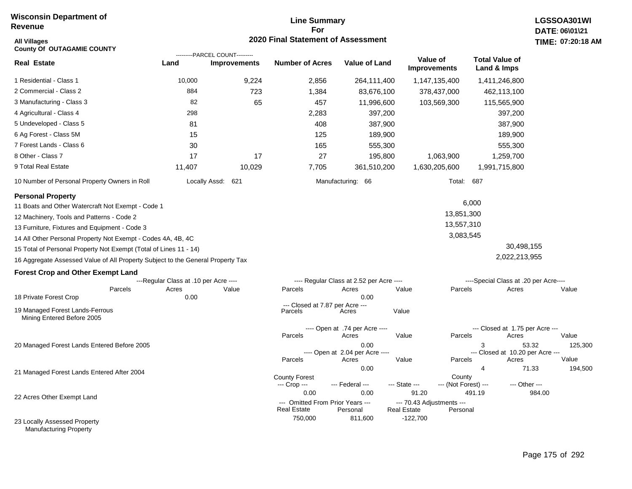## **Line Summary For 2020 Final Statement of Assessment**

| <b>All Villages</b><br><b>County Of OUTAGAMIE COUNTY</b>                        |                                                |                                                       | 2020 Final Statement of Assessment         |                                                   |                                    |                                |                                                         | TIME: 07:20:18   |
|---------------------------------------------------------------------------------|------------------------------------------------|-------------------------------------------------------|--------------------------------------------|---------------------------------------------------|------------------------------------|--------------------------------|---------------------------------------------------------|------------------|
| <b>Real Estate</b>                                                              | Land                                           | ---------PARCEL COUNT---------<br><b>Improvements</b> | <b>Number of Acres</b>                     | <b>Value of Land</b>                              | Value of<br><b>Improvements</b>    |                                | <b>Total Value of</b><br>Land & Imps                    |                  |
| 1 Residential - Class 1                                                         | 10,000                                         | 9,224                                                 | 2,856                                      | 264,111,400                                       | 1,147,135,400                      |                                | 1,411,246,800                                           |                  |
| 2 Commercial - Class 2                                                          | 884                                            | 723                                                   | 1,384                                      | 83,676,100                                        | 378,437,000                        |                                | 462,113,100                                             |                  |
| 3 Manufacturing - Class 3                                                       | 82                                             | 65                                                    | 457                                        | 11,996,600                                        | 103,569,300                        |                                | 115,565,900                                             |                  |
| 4 Agricultural - Class 4                                                        | 298                                            |                                                       | 2,283                                      | 397,200                                           |                                    |                                | 397,200                                                 |                  |
| 5 Undeveloped - Class 5                                                         | 81                                             |                                                       | 408                                        | 387,900                                           |                                    |                                | 387,900                                                 |                  |
| 6 Ag Forest - Class 5M                                                          | 15                                             |                                                       | 125                                        | 189,900                                           |                                    |                                | 189,900                                                 |                  |
| 7 Forest Lands - Class 6                                                        | 30                                             |                                                       | 165                                        | 555,300                                           |                                    |                                | 555,300                                                 |                  |
| 8 Other - Class 7                                                               | 17                                             | 17                                                    | 27                                         | 195,800                                           | 1,063,900                          |                                | 1,259,700                                               |                  |
| 9 Total Real Estate                                                             | 11,407                                         | 10,029                                                | 7,705                                      | 361,510,200                                       | 1,630,205,600                      |                                | 1,991,715,800                                           |                  |
| 10 Number of Personal Property Owners in Roll                                   |                                                | Locally Assd: 621                                     |                                            | Manufacturing: 66                                 |                                    | Total:<br>687                  |                                                         |                  |
| <b>Personal Property</b>                                                        |                                                |                                                       |                                            |                                                   |                                    | 6,000                          |                                                         |                  |
| 11 Boats and Other Watercraft Not Exempt - Code 1                               |                                                |                                                       |                                            |                                                   |                                    | 13,851,300                     |                                                         |                  |
| 12 Machinery, Tools and Patterns - Code 2                                       |                                                |                                                       |                                            |                                                   |                                    | 13,557,310                     |                                                         |                  |
| 13 Furniture, Fixtures and Equipment - Code 3                                   |                                                |                                                       |                                            |                                                   |                                    | 3,083,545                      |                                                         |                  |
| 14 All Other Personal Property Not Exempt - Codes 4A, 4B, 4C                    |                                                |                                                       |                                            |                                                   |                                    |                                | 30,498,155                                              |                  |
| 15 Total of Personal Property Not Exempt (Total of Lines 11 - 14)               |                                                |                                                       |                                            |                                                   |                                    |                                | 2,022,213,955                                           |                  |
| 16 Aggregate Assessed Value of All Property Subject to the General Property Tax |                                                |                                                       |                                            |                                                   |                                    |                                |                                                         |                  |
| <b>Forest Crop and Other Exempt Land</b>                                        |                                                |                                                       |                                            |                                                   |                                    |                                |                                                         |                  |
| Parcels                                                                         | ---Regular Class at .10 per Acre ----<br>Acres | Value                                                 | Parcels                                    | ---- Regular Class at 2.52 per Acre ----<br>Acres | Value                              | Parcels                        | ----Special Class at .20 per Acre----<br>Acres          | Value            |
| 18 Private Forest Crop                                                          | 0.00                                           |                                                       |                                            | 0.00                                              |                                    |                                |                                                         |                  |
| 19 Managed Forest Lands-Ferrous<br>Mining Entered Before 2005                   |                                                |                                                       | --- Closed at 7.87 per Acre ---<br>Parcels | Acres                                             | Value                              |                                |                                                         |                  |
|                                                                                 |                                                |                                                       | Parcels                                    | ---- Open at .74 per Acre ----<br>Acres           | Value                              | Parcels                        | --- Closed at 1.75 per Acre ---<br>Acres                | Value            |
| 20 Managed Forest Lands Entered Before 2005                                     |                                                |                                                       | Parcels                                    | 0.00<br>---- Open at 2.04 per Acre ----<br>Acres  | Value                              | Parcels                        | 3<br>53.32<br>--- Closed at 10.20 per Acre ---<br>Acres | 125,300<br>Value |
|                                                                                 |                                                |                                                       |                                            | 0.00                                              |                                    |                                | $\overline{4}$<br>71.33                                 | 194,500          |
| 21 Managed Forest Lands Entered After 2004                                      |                                                |                                                       | <b>County Forest</b><br>--- Crop ---       | --- Federal ---                                   | --- State ---                      | County<br>--- (Not Forest) --- | --- Other ---                                           |                  |
| 22 Acres Other Exempt Land                                                      |                                                |                                                       | 0.00<br>--- Omitted From Prior Years ---   | 0.00                                              | 91.20<br>--- 70.43 Adjustments --- | 491.19                         |                                                         | 984.00           |
| 23 Locally Assessed Property                                                    |                                                |                                                       | <b>Real Estate</b><br>750,000              | Personal<br>811,600                               | <b>Real Estate</b><br>$-122,700$   | Personal                       |                                                         |                  |

Manufacturing Property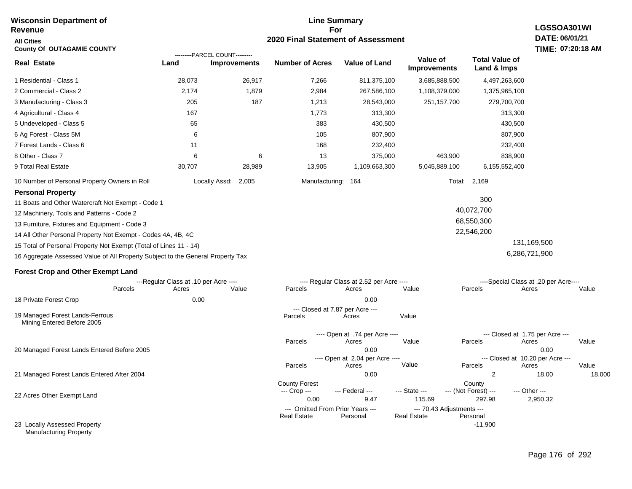#### **For 2020 Final Statement of Assessment Revenue All Cities County Of OUTAGAMIE COUNTY LGSSOA301WI DATE: 06/01/21 TIME: 07:20:18 AM Real Estate** 1 Residential - Class 1 2 Commercial - Class 2 3 Manufacturing - Class 3 4 Agricultural - Class 4 5 Undeveloped - Class 5 6 Ag Forest - Class 5M 7 Forest Lands - Class 6 8 Other - Class 7 9 Total Real Estate 10 Number of Personal Property Owners in Roll 28,073 26,917 7,266 811,375,100 3,685,888,500 4,497,263,600 **Land Improvements Number of Acres Value of Land Value of Improvements Total Value of Land & Imps** 2,174 205 167 65 6 11 6 30,707 1,879 187 6 28,989 2,984 1,213 1,773 383 105 168 13 13,905 267,586,100 28,543,000 313,300 430,500 807,900 232,400 375,000 1,109,663,300 1,108,379,000 251,157,700 463,900 5,045,889,100 1,375,965,100 279,700,700 313,300 430,500 807,900 232,400 838,900 6,155,552,400 Locally Assd: 2,005 Manufacturing: 164 Total: 2,169 **Personal Property** 11 Boats and Other Watercraft Not Exempt - Code 1 12 Machinery, Tools and Patterns - Code 2 13 Furniture, Fixtures and Equipment - Code 3 14 All Other Personal Property Not Exempt - Codes 4A, 4B, 4C 15 Total of Personal Property Not Exempt (Total of Lines 11 - 14) 16 Aggregate Assessed Value of All Property Subject to the General Property Tax 300 40,072,700 68,550,300 22,546,200 131,169,500 6,286,721,900 **Forest Crop and Other Exempt Land** ---Regular Class at .10 per Acre ---- ---- Regular Class at 2.52 per Acre ---- ----Special Class at .20 per Acre---- 18 Private Forest Crop 20 Managed Forest Lands Entered Before 2005 21 Managed Forest Lands Entered After 2004 Parcels 0.00 0.00 Acres Value Parcels Acres Value Parcels Acres Value ---- Open at .74 per Acre<br>Acres Parcels 0.00 0.00 Acres Value Parcels Acres Value --- Closed at 1.75 per Acre --- ---- Open at 2.04 per Acre ---<br>Acres Value Parcels Parcels Acres Acres Parcels 0.00 2 18.00 18,000 Acres **Value Parcels Acres Value** County Forest County County --- Crop --- 0.00 9.47 115.69 297.98 2,950.32 --- Federal --- - --- State --- --- (Not Forest) --- --- Other ---22 Acres Other Exempt Land 23 Locally Assessed Property Manufacturing Property --- Omitted From Prior Years ---<br>Real Estate Personal Personal Real Estate Personal -11,900 **Real Estate** ---------PARCEL COUNT--------- 19 Managed Forest Lands-Ferrous Mining Entered Before 2005 --- Closed at 7.87 per Acre ---<br>cels Acres Parcels **Acres** Value

**Line Summary**

**Wisconsin Department of**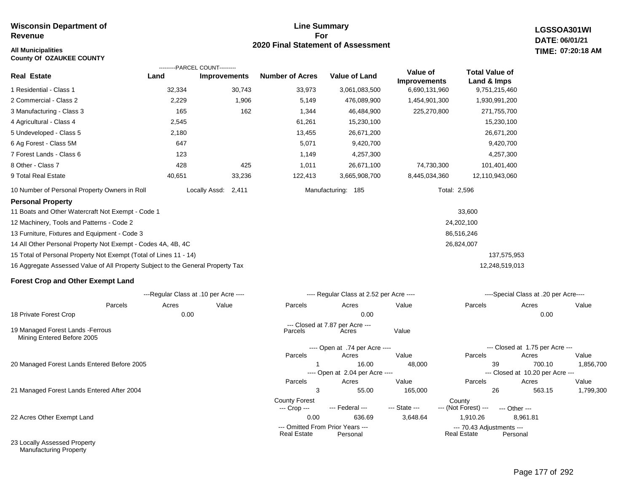#### **All Municipalities TIME:**

**County Of OZAUKEE COUNTY**

#### **Line Summary For 2020 Final Statement of Assessment**

**LGSSOA301WI DATE: 06/01/21 07:20:18 AM**

|                                                                                 |                                      | ---------PARCEL COUNT--------- |                                      |                                          |                          |                                      |                                       |                    |
|---------------------------------------------------------------------------------|--------------------------------------|--------------------------------|--------------------------------------|------------------------------------------|--------------------------|--------------------------------------|---------------------------------------|--------------------|
| <b>Real Estate</b>                                                              | Land                                 | <b>Improvements</b>            | <b>Number of Acres</b>               | <b>Value of Land</b>                     | Value of<br>Improvements | <b>Total Value of</b><br>Land & Imps |                                       |                    |
| 1 Residential - Class 1                                                         | 32,334                               | 30,743                         | 33,973                               | 3,061,083,500                            | 6,690,131,960            | 9,751,215,460                        |                                       |                    |
| 2 Commercial - Class 2                                                          | 2,229                                | 1,906                          | 5,149                                | 476,089,900                              | 1,454,901,300            | 1,930,991,200                        |                                       |                    |
| 3 Manufacturing - Class 3                                                       | 165                                  | 162                            | 1,344                                | 46,484,900                               | 225,270,800              | 271,755,700                          |                                       |                    |
| 4 Agricultural - Class 4                                                        | 2,545                                |                                | 61,261                               | 15,230,100                               |                          | 15,230,100                           |                                       |                    |
| 5 Undeveloped - Class 5                                                         | 2,180                                |                                | 13,455                               | 26,671,200                               |                          | 26,671,200                           |                                       |                    |
| 6 Ag Forest - Class 5M                                                          | 647                                  |                                | 5,071                                | 9,420,700                                |                          | 9,420,700                            |                                       |                    |
| 7 Forest Lands - Class 6                                                        | 123                                  |                                | 1,149                                | 4,257,300                                |                          | 4,257,300                            |                                       |                    |
| 8 Other - Class 7                                                               | 428                                  | 425                            | 1,011                                | 26,671,100                               | 74,730,300               | 101,401,400                          |                                       |                    |
| 9 Total Real Estate                                                             | 40,651                               | 33,236                         | 122,413                              | 3,665,908,700                            | 8,445,034,360            | 12,110,943,060                       |                                       |                    |
| 10 Number of Personal Property Owners in Roll                                   |                                      | Locally Assd: 2,411            |                                      | Manufacturing: 185                       |                          | Total: 2,596                         |                                       |                    |
| <b>Personal Property</b>                                                        |                                      |                                |                                      |                                          |                          |                                      |                                       |                    |
| 11 Boats and Other Watercraft Not Exempt - Code 1                               |                                      |                                |                                      |                                          |                          | 33,600                               |                                       |                    |
| 12 Machinery, Tools and Patterns - Code 2                                       |                                      |                                |                                      |                                          |                          | 24,202,100                           |                                       |                    |
| 13 Furniture, Fixtures and Equipment - Code 3                                   |                                      |                                |                                      |                                          |                          | 86,516,246                           |                                       |                    |
| 14 All Other Personal Property Not Exempt - Codes 4A, 4B, 4C                    |                                      |                                |                                      |                                          |                          | 26,824,007                           |                                       |                    |
| 15 Total of Personal Property Not Exempt (Total of Lines 11 - 14)               |                                      |                                |                                      |                                          |                          | 137,575,953                          |                                       |                    |
| 16 Aggregate Assessed Value of All Property Subject to the General Property Tax |                                      |                                |                                      |                                          |                          | 12,248,519,013                       |                                       |                    |
| <b>Forest Crop and Other Exempt Land</b>                                        |                                      |                                |                                      |                                          |                          |                                      |                                       |                    |
|                                                                                 | ---Regular Class at .10 per Acre --- |                                |                                      | ---- Regular Class at 2.52 per Acre ---- |                          |                                      | ----Special Class at .20 per Acre---- |                    |
| Parcels                                                                         | Acres                                | Value                          | Parcels                              | Acres                                    | Value                    | Parcels                              | Acres                                 | Value              |
| 18 Private Forest Crop                                                          | 0.00                                 |                                |                                      | 0.00                                     |                          |                                      | 0.00                                  |                    |
| 19 Managed Forest Lands - Ferrous<br>Mining Entered Before 2005                 |                                      |                                | Parcels                              | --- Closed at 7.87 per Acre ---<br>Acres | Value                    |                                      |                                       |                    |
|                                                                                 |                                      |                                |                                      | ---- Open at .74 per Acre ----           |                          |                                      | --- Closed at 1.75 per Acre ---       |                    |
|                                                                                 |                                      |                                | Parcels                              | Acres                                    | Value                    | Parcels                              | Acres                                 | Value              |
| 20 Managed Forest Lands Entered Before 2005                                     |                                      |                                | $\overline{1}$                       | 16.00                                    | 48,000                   | 39                                   | 700.10                                | 1,856,700          |
|                                                                                 |                                      |                                |                                      | ---- Open at 2.04 per Acre ----          |                          |                                      | --- Closed at 10.20 per Acre ---      |                    |
| 21 Managed Forest Lands Entered After 2004                                      |                                      |                                | Parcels<br>3                         | Acres<br>55.00                           | Value<br>165,000         | Parcels<br>26                        | Acres<br>563.15                       | Value<br>1,799,300 |
|                                                                                 |                                      |                                | <b>County Forest</b><br>--- Crop --- | --- Federal ---                          | --- State ---            | County<br>--- (Not Forest) ---       | --- Other ---                         |                    |

22 Acres Other Exempt Land

23 Locally Assessed Property Manufacturing Property

 0.00 636.69 3,648.64 1,910.26 8,961.81 --- Omitted From Prior Years --- --- 70.43 Adjustments -- er Acre ---Real Estate er Acre ---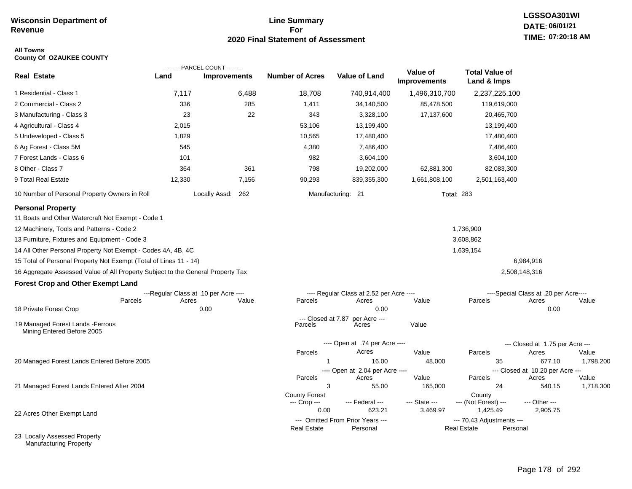### **Line Summary For 2020 Final Statement of Assessment**

# **LGSSOA301WI DATE: 06/01/21 TIME: 07:20:18 AM**

#### **All Towns County Of OZAUKEE COUNTY**

|                                                                                                                                                                                                                                                                                                                                                                                                     |        | ---------PARCEL COUNT---------        |                                      |                                          |                                 |                                      |                                           |           |
|-----------------------------------------------------------------------------------------------------------------------------------------------------------------------------------------------------------------------------------------------------------------------------------------------------------------------------------------------------------------------------------------------------|--------|---------------------------------------|--------------------------------------|------------------------------------------|---------------------------------|--------------------------------------|-------------------------------------------|-----------|
| <b>Real Estate</b>                                                                                                                                                                                                                                                                                                                                                                                  | Land   | <b>Improvements</b>                   | <b>Number of Acres</b>               | <b>Value of Land</b>                     | Value of<br><b>Improvements</b> | <b>Total Value of</b><br>Land & Imps |                                           |           |
| 1 Residential - Class 1                                                                                                                                                                                                                                                                                                                                                                             | 7,117  | 6,488                                 | 18,708                               | 740,914,400                              | 1,496,310,700                   | 2,237,225,100                        |                                           |           |
| 2 Commercial - Class 2                                                                                                                                                                                                                                                                                                                                                                              | 336    | 285                                   | 1,411                                | 34,140,500                               | 85,478,500                      | 119,619,000                          |                                           |           |
| 3 Manufacturing - Class 3                                                                                                                                                                                                                                                                                                                                                                           | 23     | 22                                    | 343                                  | 3,328,100                                | 17,137,600                      | 20,465,700                           |                                           |           |
| 4 Agricultural - Class 4                                                                                                                                                                                                                                                                                                                                                                            | 2,015  |                                       | 53,106                               | 13,199,400                               |                                 | 13,199,400                           |                                           |           |
| 5 Undeveloped - Class 5                                                                                                                                                                                                                                                                                                                                                                             | 1,829  |                                       | 10,565                               | 17,480,400                               |                                 | 17,480,400                           |                                           |           |
| 6 Ag Forest - Class 5M                                                                                                                                                                                                                                                                                                                                                                              | 545    |                                       | 4,380                                | 7,486,400                                |                                 | 7,486,400                            |                                           |           |
| 7 Forest Lands - Class 6                                                                                                                                                                                                                                                                                                                                                                            | 101    |                                       | 982                                  | 3,604,100                                |                                 | 3,604,100                            |                                           |           |
| 8 Other - Class 7                                                                                                                                                                                                                                                                                                                                                                                   | 364    | 361                                   | 798                                  | 19,202,000                               | 62,881,300                      | 82,083,300                           |                                           |           |
| 9 Total Real Estate                                                                                                                                                                                                                                                                                                                                                                                 | 12,330 | 7,156                                 | 90,293                               | 839,355,300                              | 1,661,808,100                   | 2,501,163,400                        |                                           |           |
| 10 Number of Personal Property Owners in Roll                                                                                                                                                                                                                                                                                                                                                       |        | Locally Assd: 262                     |                                      | Manufacturing: 21                        |                                 | <b>Total: 283</b>                    |                                           |           |
| <b>Personal Property</b><br>11 Boats and Other Watercraft Not Exempt - Code 1<br>12 Machinery, Tools and Patterns - Code 2<br>13 Furniture, Fixtures and Equipment - Code 3<br>14 All Other Personal Property Not Exempt - Codes 4A, 4B, 4C<br>15 Total of Personal Property Not Exempt (Total of Lines 11 - 14)<br>16 Aggregate Assessed Value of All Property Subject to the General Property Tax |        |                                       |                                      |                                          |                                 | 1,736,900<br>3,608,862<br>1,639,154  | 6,984,916<br>2,508,148,316                |           |
| <b>Forest Crop and Other Exempt Land</b>                                                                                                                                                                                                                                                                                                                                                            |        |                                       |                                      |                                          |                                 |                                      |                                           |           |
|                                                                                                                                                                                                                                                                                                                                                                                                     |        | ---Regular Class at .10 per Acre ---- |                                      | ---- Regular Class at 2.52 per Acre ---- |                                 |                                      | ----Special Class at .20 per Acre----     |           |
| Parcels<br>18 Private Forest Crop                                                                                                                                                                                                                                                                                                                                                                   | Acres  | Value<br>0.00                         | Parcels                              | Acres<br>0.00                            | Value                           | Parcels                              | Acres<br>0.00                             | Value     |
|                                                                                                                                                                                                                                                                                                                                                                                                     |        |                                       | $-$ -Closed at $7.87$                | per Acre ---                             |                                 |                                      |                                           |           |
| 19 Managed Forest Lands - Ferrous<br>Mining Entered Before 2005                                                                                                                                                                                                                                                                                                                                     |        |                                       | Parcels                              | Acres                                    | Value                           |                                      |                                           |           |
|                                                                                                                                                                                                                                                                                                                                                                                                     |        |                                       |                                      | ---- Open at .74 per Acre ----           |                                 |                                      | --- Closed at 1.75 per Acre ---           |           |
|                                                                                                                                                                                                                                                                                                                                                                                                     |        |                                       | Parcels                              | Acres                                    | Value                           | Parcels                              | Acres                                     | Value     |
| 20 Managed Forest Lands Entered Before 2005                                                                                                                                                                                                                                                                                                                                                         |        |                                       | $\overline{1}$                       | 16.00                                    | 48,000                          | 35                                   | 677.10                                    | 1,798,200 |
|                                                                                                                                                                                                                                                                                                                                                                                                     |        |                                       | Parcels                              | ---- Open at 2.04 per Acre ----<br>Acres | Value                           | Parcels                              | --- Closed at 10.20 per Acre ---<br>Acres | Value     |
| 21 Managed Forest Lands Entered After 2004                                                                                                                                                                                                                                                                                                                                                          |        |                                       | 3                                    | 55.00                                    | 165,000                         | 24                                   | 540.15                                    | 1,718,300 |
|                                                                                                                                                                                                                                                                                                                                                                                                     |        |                                       | <b>County Forest</b><br>--- Crop --- | --- Federal ---                          | --- State ---                   | County<br>--- (Not Forest) ---       | --- Other ---                             |           |
| 22 Acres Other Exempt Land                                                                                                                                                                                                                                                                                                                                                                          |        |                                       | 0.00                                 | 623.21                                   | 3,469.97                        | 1,425.49                             | 2,905.75                                  |           |
|                                                                                                                                                                                                                                                                                                                                                                                                     |        |                                       |                                      | --- Omitted From Prior Years ---         |                                 | --- 70.43 Adjustments ---            |                                           |           |
| 23 Locally Assessed Property<br>Manufacturing Property                                                                                                                                                                                                                                                                                                                                              |        |                                       | <b>Real Estate</b>                   | Personal                                 |                                 | <b>Real Estate</b><br>Personal       |                                           |           |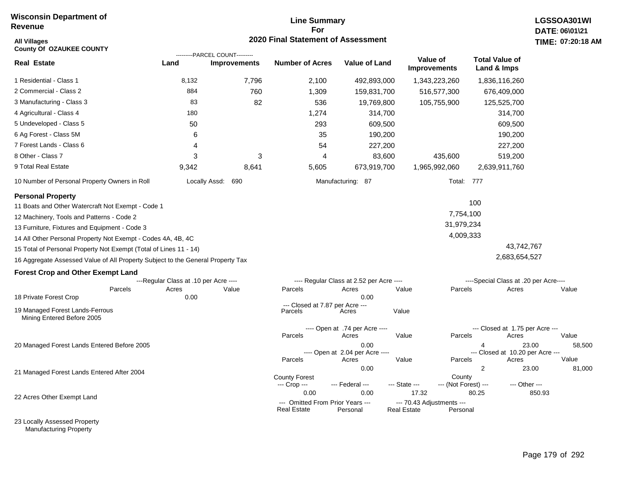#### **Line Summary For 2020 Final Statement of Assessment**

| All Villages<br><b>County Of OZAUKEE COUNTY</b>                                 |                                       |                                                       | 2020 Final Statement of Assessment                     |                                                  |                                          |                                      |                                                    | TIME: 07:20:18  |
|---------------------------------------------------------------------------------|---------------------------------------|-------------------------------------------------------|--------------------------------------------------------|--------------------------------------------------|------------------------------------------|--------------------------------------|----------------------------------------------------|-----------------|
| <b>Real Estate</b>                                                              | Land                                  | ---------PARCEL COUNT---------<br><b>Improvements</b> | <b>Number of Acres</b>                                 | Value of Land                                    | <b>Value of</b><br><b>Improvements</b>   | <b>Total Value of</b><br>Land & Imps |                                                    |                 |
| 1 Residential - Class 1                                                         | 8,132                                 | 7,796                                                 | 2,100                                                  | 492,893,000                                      | 1,343,223,260                            |                                      | 1,836,116,260                                      |                 |
| 2 Commercial - Class 2                                                          | 884                                   | 760                                                   | 1,309                                                  | 159,831,700                                      | 516,577,300                              |                                      | 676,409,000                                        |                 |
| 3 Manufacturing - Class 3                                                       | 83                                    | 82                                                    | 536                                                    | 19,769,800                                       | 105,755,900                              |                                      | 125,525,700                                        |                 |
| 4 Agricultural - Class 4                                                        | 180                                   |                                                       | 1,274                                                  | 314,700                                          |                                          |                                      | 314,700                                            |                 |
| 5 Undeveloped - Class 5                                                         | 50                                    |                                                       | 293                                                    | 609,500                                          |                                          |                                      | 609,500                                            |                 |
| 6 Ag Forest - Class 5M                                                          | 6                                     |                                                       | 35                                                     | 190,200                                          |                                          |                                      | 190,200                                            |                 |
| 7 Forest Lands - Class 6                                                        | 4                                     |                                                       | 54                                                     | 227,200                                          |                                          |                                      | 227,200                                            |                 |
| 8 Other - Class 7                                                               | 3                                     | 3                                                     | $\overline{4}$                                         | 83,600                                           |                                          | 435,600                              | 519,200                                            |                 |
| 9 Total Real Estate                                                             | 9,342                                 | 8,641                                                 | 5,605                                                  | 673,919,700                                      | 1,965,992,060                            |                                      | 2,639,911,760                                      |                 |
| 10 Number of Personal Property Owners in Roll                                   |                                       | Locally Assd: 690                                     |                                                        | Manufacturing: 87                                |                                          | Total: 777                           |                                                    |                 |
| <b>Personal Property</b>                                                        |                                       |                                                       |                                                        |                                                  |                                          |                                      |                                                    |                 |
| 11 Boats and Other Watercraft Not Exempt - Code 1                               |                                       |                                                       |                                                        |                                                  |                                          | 100                                  |                                                    |                 |
| 12 Machinery, Tools and Patterns - Code 2                                       |                                       |                                                       |                                                        |                                                  |                                          | 7,754,100                            |                                                    |                 |
| 13 Furniture, Fixtures and Equipment - Code 3                                   |                                       |                                                       |                                                        |                                                  |                                          | 31,979,234                           |                                                    |                 |
| 14 All Other Personal Property Not Exempt - Codes 4A, 4B, 4C                    |                                       |                                                       |                                                        |                                                  |                                          | 4,009,333                            |                                                    |                 |
| 15 Total of Personal Property Not Exempt (Total of Lines 11 - 14)               |                                       |                                                       |                                                        |                                                  |                                          |                                      | 43,742,767                                         |                 |
| 16 Aggregate Assessed Value of All Property Subject to the General Property Tax |                                       |                                                       |                                                        |                                                  |                                          |                                      | 2,683,654,527                                      |                 |
| <b>Forest Crop and Other Exempt Land</b>                                        |                                       |                                                       |                                                        |                                                  |                                          |                                      |                                                    |                 |
|                                                                                 | ---Regular Class at .10 per Acre ---- |                                                       |                                                        | ---- Regular Class at 2.52 per Acre ----         |                                          |                                      | ----Special Class at .20 per Acre----              |                 |
| Parcels                                                                         | Acres                                 | Value                                                 | Parcels                                                | Acres                                            | Value                                    | Parcels                              | Acres                                              | Value           |
| 18 Private Forest Crop                                                          | 0.00                                  |                                                       | --- Closed at 7.87 per Acre ---                        | 0.00                                             |                                          |                                      |                                                    |                 |
| 19 Managed Forest Lands-Ferrous<br>Mining Entered Before 2005                   |                                       |                                                       | Parcels                                                | Acres                                            | Value                                    |                                      |                                                    |                 |
|                                                                                 |                                       |                                                       |                                                        | ---- Open at .74 per Acre ----                   |                                          |                                      | --- Closed at 1.75 per Acre ---                    |                 |
|                                                                                 |                                       |                                                       | Parcels                                                | Acres                                            | Value                                    | Parcels                              | Acres                                              | Value           |
| 20 Managed Forest Lands Entered Before 2005                                     |                                       |                                                       | Parcels                                                | 0.00<br>---- Open at 2.04 per Acre ----<br>Acres | Value                                    | 4<br>Parcels                         | 23.00<br>--- Closed at 10.20 per Acre ---<br>Acres | 58,500<br>Value |
|                                                                                 |                                       |                                                       |                                                        | 0.00                                             |                                          | $\overline{2}$                       | 23.00                                              | 81,000          |
| 21 Managed Forest Lands Entered After 2004                                      |                                       |                                                       | <b>County Forest</b><br>--- Crop ---                   | --- Federal ---                                  | --- State ---                            | County<br>--- (Not Forest) ---       | --- Other ---                                      |                 |
| 22 Acres Other Exempt Land                                                      |                                       |                                                       | 0.00                                                   | 0.00                                             | 17.32                                    | 80.25                                | 850.93                                             |                 |
|                                                                                 |                                       |                                                       | --- Omitted From Prior Years ---<br><b>Real Estate</b> | Personal                                         | --- 70.43 Adjustments ---<br>Real Estate | Personal                             |                                                    |                 |

23 Locally Assessed Property Manufacturing Property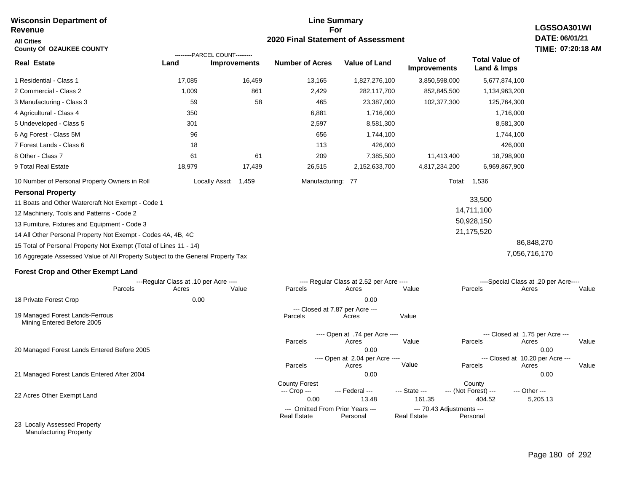#### **Line Summary For 2020 Final Statement of Assessment Wisconsin Department of Revenue All Cities County Of OZAUKEE COUNTY LGSSOA301WI DATE: 06/01/21 TIME: 07:20:18 AM Real Estate** 1 Residential - Class 1 2 Commercial - Class 2 3 Manufacturing - Class 3 4 Agricultural - Class 4 5 Undeveloped - Class 5 6 Ag Forest - Class 5M 7 Forest Lands - Class 6 8 Other - Class 7 9 Total Real Estate 10 Number of Personal Property Owners in Roll 17,085 16,459 13,165 1,827,276,100 3,850,598,000 5,677,874,100 **Land Improvements Number of Acres Value of Land Value of Improvements Total Value of Land & Imps** 1,009 59 350 301 96 18 61 18,979 861 58 61 17,439 2,429 465 6,881 2,597 656 113 209 26,515 282,117,700 23,387,000 1,716,000 8,581,300 1,744,100 426,000 7,385,500 2,152,633,700 852,845,500 102,377,300 11,413,400 4,817,234,200 1,134,963,200 125,764,300 1,716,000 8,581,300 1,744,100 426,000 18,798,900 6,969,867,900 Locally Assd: 1,459 Manufacturing: 77 Total: 1,536 **Personal Property** 11 Boats and Other Watercraft Not Exempt - Code 1 12 Machinery, Tools and Patterns - Code 2 13 Furniture, Fixtures and Equipment - Code 3 14 All Other Personal Property Not Exempt - Codes 4A, 4B, 4C 15 Total of Personal Property Not Exempt (Total of Lines 11 - 14) 16 Aggregate Assessed Value of All Property Subject to the General Property Tax 33,500 14,711,100 50,928,150 21,175,520 86,848,270 7,056,716,170 **Forest Crop and Other Exempt Land** ---Regular Class at .10 per Acre ---- ---- Regular Class at 2.52 per Acre ---- ----Special Class at .20 per Acre---- 18 Private Forest Crop Parcels 0.00 0.00 Acres Value Parcels Acres Value Parcels Acres Value ---- Open at .74 per Acre<br>Acres Parcels Acres Value Parcels Acres Value --- Closed at 1.75 per Acre --- ---------PARCEL COUNT--------- 19 Managed Forest Lands-Ferrous Mining Entered Before 2005 --- Closed at 7.87 per Acre ---<br>rcels Acres Parcels **Acres** Value

Parcels

--- Crop ---

21 Managed Forest Lands Entered After 2004

20 Managed Forest Lands Entered Before 2005

22 Acres Other Exempt Land

23 Locally Assessed Property Manufacturing Property

0.00 0.00

 0.00 0.00 Acres **Value Parcels Acres Value** 

---- Open at 2.04 per Acre ---- --- Closed at 10.20 per Acre ---

 0.00 13.48 161.35 404.52 5,205.13 --- Federal --- - --- State --- --- (Not Forest) --- --- Other ---

**Real Estate** 

County Forest County County

--- Omitted From Prior Years ---<br>Real Estate Personal Personal Real Estate Personal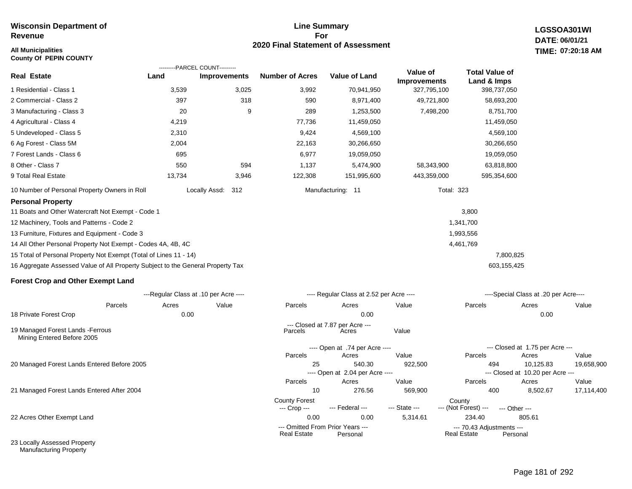### **All Municipalities TIME: County Of PEPIN COUNTY**

### **Line Summary For 2020 Final Statement of Assessment**

**LGSSOA301WI DATE: 06/01/21 07:20:18 AM**

|                                                                                 |        | ---------PARCEL COUNT---------        |                        |                                           |                                 |                                      |                                               |            |
|---------------------------------------------------------------------------------|--------|---------------------------------------|------------------------|-------------------------------------------|---------------------------------|--------------------------------------|-----------------------------------------------|------------|
| <b>Real Estate</b>                                                              | Land   | Improvements                          | <b>Number of Acres</b> | <b>Value of Land</b>                      | Value of<br><b>Improvements</b> | <b>Total Value of</b><br>Land & Imps |                                               |            |
| 1 Residential - Class 1                                                         | 3,539  | 3,025                                 | 3,992                  | 70,941,950                                | 327,795,100                     | 398,737,050                          |                                               |            |
| 2 Commercial - Class 2                                                          | 397    | 318                                   | 590                    | 8,971,400                                 | 49,721,800                      | 58,693,200                           |                                               |            |
| 3 Manufacturing - Class 3                                                       | 20     | 9                                     | 289                    | 1,253,500                                 | 7,498,200                       | 8,751,700                            |                                               |            |
| 4 Agricultural - Class 4                                                        | 4,219  |                                       | 77,736                 | 11,459,050                                |                                 | 11,459,050                           |                                               |            |
| 5 Undeveloped - Class 5                                                         | 2,310  |                                       | 9,424                  | 4,569,100                                 |                                 | 4,569,100                            |                                               |            |
| 6 Ag Forest - Class 5M                                                          | 2,004  |                                       | 22,163                 | 30,266,650                                |                                 | 30,266,650                           |                                               |            |
| 7 Forest Lands - Class 6                                                        | 695    |                                       | 6,977                  | 19,059,050                                |                                 | 19,059,050                           |                                               |            |
| 8 Other - Class 7                                                               | 550    | 594                                   | 1,137                  | 5,474,900                                 | 58,343,900                      | 63,818,800                           |                                               |            |
| 9 Total Real Estate                                                             | 13,734 | 3,946                                 | 122,308                | 151,995,600                               | 443,359,000                     | 595,354,600                          |                                               |            |
| 10 Number of Personal Property Owners in Roll                                   |        | Locally Assd:<br>312                  |                        | Manufacturing: 11                         | <b>Total: 323</b>               |                                      |                                               |            |
| <b>Personal Property</b>                                                        |        |                                       |                        |                                           |                                 |                                      |                                               |            |
| 11 Boats and Other Watercraft Not Exempt - Code 1                               |        |                                       |                        |                                           |                                 | 3,800                                |                                               |            |
| 12 Machinery, Tools and Patterns - Code 2                                       |        |                                       |                        |                                           |                                 | 1,341,700                            |                                               |            |
| 13 Furniture, Fixtures and Equipment - Code 3                                   |        |                                       |                        |                                           |                                 | 1,993,556                            |                                               |            |
| 14 All Other Personal Property Not Exempt - Codes 4A, 4B, 4C                    |        |                                       |                        |                                           |                                 | 4,461,769                            |                                               |            |
| 15 Total of Personal Property Not Exempt (Total of Lines 11 - 14)               |        |                                       |                        |                                           |                                 |                                      | 7,800,825                                     |            |
| 16 Aggregate Assessed Value of All Property Subject to the General Property Tax |        |                                       |                        |                                           |                                 |                                      | 603,155,425                                   |            |
| <b>Forest Crop and Other Exempt Land</b>                                        |        |                                       |                        |                                           |                                 |                                      |                                               |            |
|                                                                                 |        | ---Regular Class at .10 per Acre ---- |                        | ---- Regular Class at 2.52 per Acre ----  |                                 |                                      | ----Special Class at .20 per Acre----         |            |
| Parcels                                                                         | Acres  | Value                                 | Parcels                | Acres                                     | Value                           | Parcels                              | Acres                                         | Value      |
| 18 Private Forest Crop                                                          | 0.00   |                                       |                        | 0.00                                      |                                 |                                      | 0.00                                          |            |
| 19 Managed Forest Lands - Ferrous<br>Mining Entered Before 2005                 |        |                                       | Parcels                | --- Closed at 7.87 per Acre ---<br>Acres  | Value                           |                                      |                                               |            |
|                                                                                 |        |                                       |                        | ---- Open at .74 per Acre ----            |                                 |                                      | --- Closed at 1.75 per Acre ---               |            |
|                                                                                 |        |                                       | Parcels                | Acres                                     | Value                           | Parcels                              | Acres                                         | Value      |
| 20 Managed Forest Lands Entered Before 2005                                     |        |                                       | 25                     | 540.30<br>---- Open at 2.04 per Acre ---- | 922,500                         | 494                                  | 10,125.83<br>--- Closed at 10.20 per Acre --- | 19,658,900 |

21 Managed Forest Lands Entered After 2004

22 Acres Other Exempt Land

23 Locally Assessed Property Manufacturing Property

10 276.56 569,900 400 8,502.67 17,114,400

Real Estate

Parcels Acres Value Parcels Acres Value

--- (Not Forest) --- --- Other ---

0.00 0.00 5,314.61 234.40 805.61

--- Omitted From Prior Years ---<br>Real Estate Personal Real Estate Personal Real Estate Personal

County Forest County<br>--- Crop --- --- Federal --- --- State --- --- (Not Fore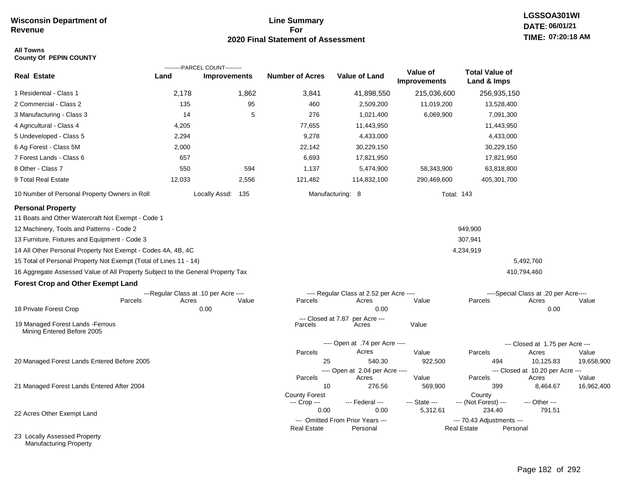### **Line Summary For 2020 Final Statement of Assessment**

### **All Towns County Of PEPIN COUNTY**

|                                                                                                                            |                                       | ---------PARCEL COUNT--------- |                                      |                                              |                                 |                                                 |                                           |            |
|----------------------------------------------------------------------------------------------------------------------------|---------------------------------------|--------------------------------|--------------------------------------|----------------------------------------------|---------------------------------|-------------------------------------------------|-------------------------------------------|------------|
| <b>Real Estate</b>                                                                                                         | Land                                  | <b>Improvements</b>            | <b>Number of Acres</b>               | <b>Value of Land</b>                         | Value of<br><b>Improvements</b> | <b>Total Value of</b><br>Land & Imps            |                                           |            |
| 1 Residential - Class 1                                                                                                    | 2,178                                 | 1,862                          | 3,841                                | 41,898,550                                   | 215,036,600                     | 256,935,150                                     |                                           |            |
| 2 Commercial - Class 2                                                                                                     | 135                                   | 95                             | 460                                  | 2,509,200                                    | 11,019,200                      | 13,528,400                                      |                                           |            |
| 3 Manufacturing - Class 3                                                                                                  | 14                                    | 5                              | 276                                  | 1,021,400                                    | 6,069,900                       | 7,091,300                                       |                                           |            |
| 4 Agricultural - Class 4                                                                                                   | 4,205                                 |                                | 77,655                               | 11,443,950                                   |                                 | 11,443,950                                      |                                           |            |
| 5 Undeveloped - Class 5                                                                                                    | 2,294                                 |                                | 9,278                                | 4,433,000                                    |                                 | 4,433,000                                       |                                           |            |
| 6 Ag Forest - Class 5M                                                                                                     | 2,000                                 |                                | 22,142                               | 30,229,150                                   |                                 | 30,229,150                                      |                                           |            |
| 7 Forest Lands - Class 6                                                                                                   | 657                                   |                                | 6,693                                | 17,821,950                                   |                                 | 17,821,950                                      |                                           |            |
| 8 Other - Class 7                                                                                                          | 550                                   | 594                            | 1,137                                | 5,474,900                                    | 58,343,900                      | 63,818,800                                      |                                           |            |
| 9 Total Real Estate                                                                                                        | 12,033                                | 2,556                          | 121,482                              | 114,832,100                                  | 290,469,600                     | 405,301,700                                     |                                           |            |
| 10 Number of Personal Property Owners in Roll                                                                              |                                       | Locally Assd: 135              |                                      | Manufacturing: 8                             | <b>Total: 143</b>               |                                                 |                                           |            |
| <b>Personal Property</b><br>11 Boats and Other Watercraft Not Exempt - Code 1<br>12 Machinery, Tools and Patterns - Code 2 |                                       |                                |                                      |                                              |                                 | 949,900                                         |                                           |            |
| 13 Furniture, Fixtures and Equipment - Code 3                                                                              |                                       |                                |                                      |                                              |                                 | 307,941                                         |                                           |            |
| 14 All Other Personal Property Not Exempt - Codes 4A, 4B, 4C                                                               |                                       |                                |                                      |                                              |                                 | 4,234,919                                       |                                           |            |
| 15 Total of Personal Property Not Exempt (Total of Lines 11 - 14)                                                          |                                       |                                |                                      |                                              |                                 |                                                 | 5,492,760                                 |            |
| 16 Aggregate Assessed Value of All Property Subject to the General Property Tax                                            |                                       |                                |                                      |                                              |                                 |                                                 | 410,794,460                               |            |
| <b>Forest Crop and Other Exempt Land</b>                                                                                   |                                       |                                |                                      |                                              |                                 |                                                 |                                           |            |
|                                                                                                                            | ---Regular Class at .10 per Acre ---- |                                |                                      | ---- Regular Class at 2.52 per Acre ----     |                                 |                                                 | ----Special Class at .20 per Acre----     |            |
| Parcels<br>18 Private Forest Crop                                                                                          | Acres                                 | Value<br>0.00                  | Parcels                              | Acres<br>0.00                                | Value                           | Parcels                                         | Acres<br>0.00                             | Value      |
| 19 Managed Forest Lands - Ferrous<br>Mining Entered Before 2005                                                            |                                       |                                | $-$ -Closed at $7.87$<br>Parcels     | per Acre ---<br>Acres                        | Value                           |                                                 |                                           |            |
|                                                                                                                            |                                       |                                |                                      | ---- Open at .74 per Acre ----               |                                 |                                                 | --- Closed at 1.75 per Acre ---           |            |
|                                                                                                                            |                                       |                                | Parcels                              | Acres                                        | Value                           | Parcels                                         | Acres                                     | Value      |
| 20 Managed Forest Lands Entered Before 2005                                                                                |                                       |                                | 25                                   | 540.30                                       | 922,500                         | 494                                             | 10,125.83                                 | 19,658,900 |
|                                                                                                                            |                                       |                                | Parcels                              | ---- Open at 2.04 per Acre ----<br>Acres     | Value                           | Parcels                                         | --- Closed at 10.20 per Acre ---<br>Acres | Value      |
| 21 Managed Forest Lands Entered After 2004                                                                                 |                                       |                                | 10                                   | 276.56                                       | 569,900                         | 399                                             | 8,464.67                                  | 16,962,400 |
|                                                                                                                            |                                       |                                | <b>County Forest</b><br>--- Crop --- | --- Federal ---                              | --- State ---                   | County<br>--- (Not Forest) ---                  | --- Other ---                             |            |
| 22 Acres Other Exempt Land                                                                                                 |                                       |                                | 0.00                                 | 0.00                                         | 5,312.61                        | 234.40                                          | 791.51                                    |            |
|                                                                                                                            |                                       |                                | <b>Real Estate</b>                   | --- Omitted From Prior Years ---<br>Personal |                                 | --- 70.43 Adjustments ---<br><b>Real Estate</b> | Personal                                  |            |
| 23 Locally Assessed Property                                                                                               |                                       |                                |                                      |                                              |                                 |                                                 |                                           |            |

Manufacturing Property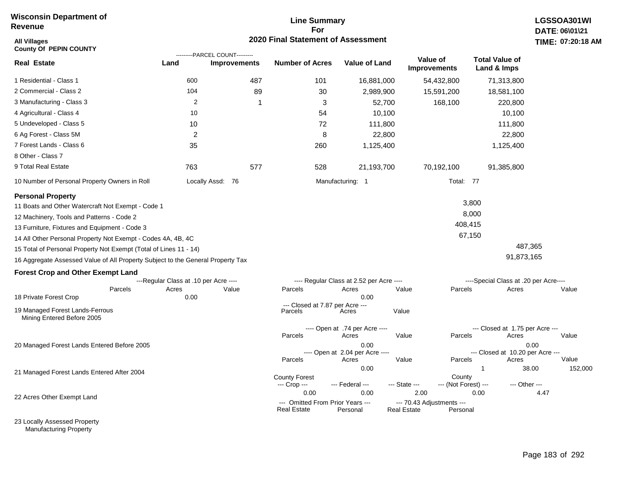## **Line Summary For 2020 Final Statement of Assessment**

| <b>All Villages</b><br><b>County Of PEPIN COUNTY</b>                            |                                       |                                                       | <b>2020 Final Statement of Assessment</b>              |                                          |                                                 |                                      |                                          | TIME: 07:20:18 |
|---------------------------------------------------------------------------------|---------------------------------------|-------------------------------------------------------|--------------------------------------------------------|------------------------------------------|-------------------------------------------------|--------------------------------------|------------------------------------------|----------------|
| <b>Real Estate</b>                                                              | Land                                  | ---------PARCEL COUNT---------<br><b>Improvements</b> | <b>Number of Acres</b>                                 | <b>Value of Land</b>                     | Value of<br>Improvements                        | <b>Total Value of</b><br>Land & Imps |                                          |                |
| 1 Residential - Class 1                                                         | 600                                   | 487                                                   | 101                                                    | 16,881,000                               | 54,432,800                                      |                                      | 71,313,800                               |                |
| 2 Commercial - Class 2                                                          | 104                                   | 89                                                    | 30                                                     | 2,989,900                                | 15,591,200                                      |                                      | 18,581,100                               |                |
| 3 Manufacturing - Class 3                                                       | $\overline{2}$                        | -1                                                    | 3                                                      | 52,700                                   |                                                 | 168,100                              | 220,800                                  |                |
| 4 Agricultural - Class 4                                                        | 10                                    |                                                       | 54                                                     | 10,100                                   |                                                 |                                      | 10,100                                   |                |
| 5 Undeveloped - Class 5                                                         | 10                                    |                                                       | 72                                                     | 111,800                                  |                                                 |                                      | 111,800                                  |                |
| 6 Ag Forest - Class 5M                                                          | $\overline{c}$                        |                                                       | 8                                                      | 22,800                                   |                                                 |                                      | 22,800                                   |                |
| 7 Forest Lands - Class 6                                                        | 35                                    |                                                       | 260                                                    | 1,125,400                                |                                                 |                                      | 1,125,400                                |                |
| 8 Other - Class 7                                                               |                                       |                                                       |                                                        |                                          |                                                 |                                      |                                          |                |
| 9 Total Real Estate                                                             | 763                                   | 577                                                   | 528                                                    | 21,193,700                               | 70,192,100                                      |                                      | 91,385,800                               |                |
| 10 Number of Personal Property Owners in Roll                                   |                                       | Locally Assd: 76                                      |                                                        | Manufacturing: 1                         |                                                 | Total: 77                            |                                          |                |
| <b>Personal Property</b>                                                        |                                       |                                                       |                                                        |                                          |                                                 |                                      |                                          |                |
| 11 Boats and Other Watercraft Not Exempt - Code 1                               |                                       |                                                       |                                                        |                                          |                                                 | 3,800                                |                                          |                |
| 12 Machinery, Tools and Patterns - Code 2                                       |                                       |                                                       |                                                        |                                          |                                                 | 8,000                                |                                          |                |
| 13 Furniture, Fixtures and Equipment - Code 3                                   |                                       |                                                       |                                                        |                                          |                                                 | 408,415                              |                                          |                |
| 14 All Other Personal Property Not Exempt - Codes 4A, 4B, 4C                    |                                       |                                                       |                                                        |                                          |                                                 | 67,150                               |                                          |                |
| 15 Total of Personal Property Not Exempt (Total of Lines 11 - 14)               |                                       |                                                       |                                                        |                                          |                                                 |                                      | 487,365                                  |                |
| 16 Aggregate Assessed Value of All Property Subject to the General Property Tax |                                       |                                                       |                                                        |                                          |                                                 |                                      | 91,873,165                               |                |
| <b>Forest Crop and Other Exempt Land</b>                                        |                                       |                                                       |                                                        |                                          |                                                 |                                      |                                          |                |
|                                                                                 | ---Regular Class at .10 per Acre ---- |                                                       |                                                        | ---- Regular Class at 2.52 per Acre ---- |                                                 |                                      | ----Special Class at .20 per Acre----    |                |
| Parcels                                                                         | Acres                                 | Value                                                 | Parcels                                                | Acres                                    | Value                                           | Parcels                              | Acres                                    | Value          |
| 18 Private Forest Crop                                                          | 0.00                                  |                                                       | --- Closed at 7.87 per Acre ---                        | 0.00                                     |                                                 |                                      |                                          |                |
| 19 Managed Forest Lands-Ferrous<br>Mining Entered Before 2005                   |                                       |                                                       | Parcels                                                | Acres                                    | Value                                           |                                      |                                          |                |
|                                                                                 |                                       |                                                       |                                                        | ---- Open at .74 per Acre ----           |                                                 |                                      | --- Closed at 1.75 per Acre ---          |                |
|                                                                                 |                                       |                                                       | Parcels                                                | Acres                                    | Value                                           | Parcels                              | Acres                                    | Value          |
| 20 Managed Forest Lands Entered Before 2005                                     |                                       |                                                       |                                                        | 0.00<br>---- Open at 2.04 per Acre ----  |                                                 |                                      | 0.00<br>--- Closed at 10.20 per Acre --- |                |
|                                                                                 |                                       |                                                       | Parcels                                                | Acres                                    | Value                                           | Parcels                              | Acres                                    | Value          |
| 21 Managed Forest Lands Entered After 2004                                      |                                       |                                                       |                                                        | 0.00                                     |                                                 | 1                                    | 38.00                                    | 152,000        |
|                                                                                 |                                       |                                                       | <b>County Forest</b><br>--- Crop ---                   | --- Federal ---                          | --- State ---                                   | County<br>--- (Not Forest) ---       | --- Other ---                            |                |
|                                                                                 |                                       |                                                       | 0.00                                                   | 0.00                                     | 2.00                                            | 0.00                                 | 4.47                                     |                |
| 22 Acres Other Exempt Land                                                      |                                       |                                                       | --- Omitted From Prior Years ---<br><b>Real Estate</b> | Personal                                 | --- 70.43 Adjustments ---<br><b>Real Estate</b> | Personal                             |                                          |                |

23 Locally Assessed Property Manufacturing Property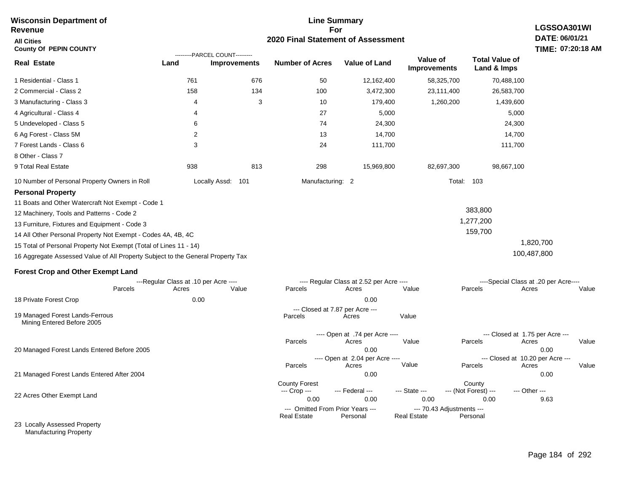### **For 2020 Final Statement of Assessment Revenue All Cities County Of PEPIN COUNTY LGSSOA301WI DATE: 06/01/21 TIME: 07:20:18 AM Real Estate** 1 Residential - Class 1 2 Commercial - Class 2 3 Manufacturing - Class 3 4 Agricultural - Class 4 5 Undeveloped - Class 5 6 Ag Forest - Class 5M 7 Forest Lands - Class 6 8 Other - Class 7 9 Total Real Estate 10 Number of Personal Property Owners in Roll 761 676 50 12,162,400 58,325,700 70,488,100 **Land Improvements Number of Acres Value of Land Value of Improvements Total Value of Land & Imps** 158 4 4 6 2 3 938 134 3 813 100 10 27 74 13 24 298 3,472,300 179,400 5,000 24,300 14,700 111,700 15,969,800 23,111,400 1,260,200 82,697,300 26,583,700 1,439,600 5,000 24,300 14,700 111,700 98,667,100 Locally Assd: 101 Manufacturing: 2 Total: 103 **Personal Property** 11 Boats and Other Watercraft Not Exempt - Code 1 12 Machinery, Tools and Patterns - Code 2 13 Furniture, Fixtures and Equipment - Code 3 14 All Other Personal Property Not Exempt - Codes 4A, 4B, 4C 15 Total of Personal Property Not Exempt (Total of Lines 11 - 14) 16 Aggregate Assessed Value of All Property Subject to the General Property Tax 383,800 1,277,200 159,700 1,820,700 100,487,800 **Forest Crop and Other Exempt Land** ---Regular Class at .10 per Acre ---- ---- Regular Class at 2.52 per Acre ---- ----Special Class at .20 per Acre---- 18 Private Forest Crop 20 Managed Forest Lands Entered Before 2005 21 Managed Forest Lands Entered After 2004 Parcels 0.00 0.00 Acres Value Parcels Acres Value Parcels Acres Value ---- Open at .74 per Acre<br>Acres Parcels 0.00 0.00 Acres Value Parcels Acres Value --- Closed at 1.75 per Acre --- ---- Open at 2.04 per Acre ---- --- Closed at 10.20 per Acre --- Parcels 0.00 0.00 Acres **Value Parcels Acres Value** County Forest County County --- Crop --- 0.00 0.00 0.00 0.00 9.63 --- Federal --- - --- State --- --- (Not Forest) --- --- Other ---22 Acres Other Exempt Land 23 Locally Assessed Property --- Omitted From Prior Years ---<br>Real Estate Personal Personal Real Estate Personal **Real Estate** ---------PARCEL COUNT--------- 19 Managed Forest Lands-Ferrous Mining Entered Before 2005 --- Closed at 7.87 per Acre ---<br>rcels Acres Parcels **Acres** Value

**Line Summary**

Manufacturing Property

**Wisconsin Department of**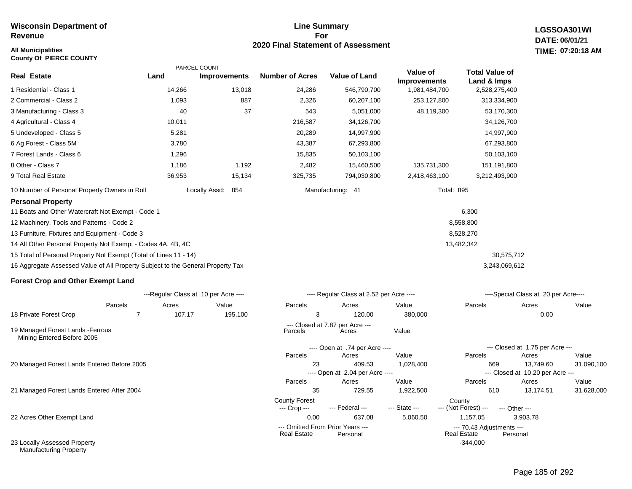### **All Municipalities TIME:**

**County Of PIERCE COUNTY**

### **Line Summary For 2020 Final Statement of Assessment**

**LGSSOA301WI DATE: 06/01/21 07:20:18 AM**

|                                                                                 |             | ---------PARCEL COUNT---------        |                                      |                                           |                          |                                      |                                               |            |
|---------------------------------------------------------------------------------|-------------|---------------------------------------|--------------------------------------|-------------------------------------------|--------------------------|--------------------------------------|-----------------------------------------------|------------|
| <b>Real Estate</b>                                                              | Land        | <b>Improvements</b>                   | <b>Number of Acres</b>               | <b>Value of Land</b>                      | Value of<br>Improvements | <b>Total Value of</b><br>Land & Imps |                                               |            |
| 1 Residential - Class 1                                                         | 14,266      | 13,018                                | 24,286                               | 546,790,700                               | 1,981,484,700            | 2,528,275,400                        |                                               |            |
| 2 Commercial - Class 2                                                          | 1,093       | 887                                   | 2,326                                | 60,207,100                                | 253,127,800              | 313,334,900                          |                                               |            |
| 3 Manufacturing - Class 3                                                       | 40          | 37                                    | 543                                  | 5,051,000                                 | 48,119,300               | 53,170,300                           |                                               |            |
| 4 Agricultural - Class 4                                                        | 10,011      |                                       | 216,587                              | 34,126,700                                |                          | 34,126,700                           |                                               |            |
| 5 Undeveloped - Class 5                                                         | 5,281       |                                       | 20,289                               | 14,997,900                                |                          | 14,997,900                           |                                               |            |
| 6 Ag Forest - Class 5M                                                          | 3,780       |                                       | 43,387                               | 67,293,800                                |                          | 67,293,800                           |                                               |            |
| 7 Forest Lands - Class 6                                                        | 1,296       |                                       | 15,835                               | 50,103,100                                |                          | 50,103,100                           |                                               |            |
| 8 Other - Class 7                                                               | 1,186       | 1,192                                 | 2,482                                | 15,460,500                                | 135,731,300              | 151,191,800                          |                                               |            |
| 9 Total Real Estate                                                             | 36,953      | 15,134                                | 325,735                              | 794,030,800                               | 2,418,463,100            | 3,212,493,900                        |                                               |            |
| 10 Number of Personal Property Owners in Roll                                   |             | 854<br>Locally Assd:                  |                                      | Manufacturing: 41                         | <b>Total: 895</b>        |                                      |                                               |            |
| <b>Personal Property</b>                                                        |             |                                       |                                      |                                           |                          |                                      |                                               |            |
| 11 Boats and Other Watercraft Not Exempt - Code 1                               |             |                                       |                                      |                                           |                          | 6,300                                |                                               |            |
| 12 Machinery, Tools and Patterns - Code 2                                       |             |                                       |                                      |                                           |                          | 8,558,800                            |                                               |            |
| 13 Furniture, Fixtures and Equipment - Code 3                                   |             |                                       |                                      |                                           |                          | 8,528,270                            |                                               |            |
| 14 All Other Personal Property Not Exempt - Codes 4A, 4B, 4C                    |             |                                       |                                      |                                           |                          | 13,482,342                           |                                               |            |
| 15 Total of Personal Property Not Exempt (Total of Lines 11 - 14)               |             |                                       |                                      |                                           |                          | 30,575,712                           |                                               |            |
| 16 Aggregate Assessed Value of All Property Subject to the General Property Tax |             |                                       |                                      |                                           |                          | 3,243,069,612                        |                                               |            |
| <b>Forest Crop and Other Exempt Land</b>                                        |             |                                       |                                      |                                           |                          |                                      |                                               |            |
|                                                                                 |             | ---Regular Class at .10 per Acre ---- |                                      | ---- Regular Class at 2.52 per Acre ----  |                          |                                      | ----Special Class at .20 per Acre----         |            |
| Parcels                                                                         | Acres       | Value                                 | Parcels                              | Acres                                     | Value                    | Parcels                              | Acres                                         | Value      |
| 18 Private Forest Crop                                                          | 107.17<br>7 | 195,100                               | 3                                    | 120.00                                    | 380,000                  |                                      | 0.00                                          |            |
| 19 Managed Forest Lands - Ferrous<br>Mining Entered Before 2005                 |             |                                       | Parcels                              | --- Closed at 7.87 per Acre ---<br>Acres  | Value                    |                                      |                                               |            |
|                                                                                 |             |                                       |                                      | ---- Open at .74 per Acre ----            |                          |                                      | --- Closed at 1.75 per Acre ---               |            |
|                                                                                 |             |                                       | Parcels                              | Acres                                     | Value                    | Parcels                              | Acres                                         | Value      |
| 20 Managed Forest Lands Entered Before 2005                                     |             |                                       | 23                                   | 409.53<br>---- Open at 2.04 per Acre ---- | 1,028,400                | 669                                  | 13,749.60<br>--- Closed at 10.20 per Acre --- | 31,090,100 |
|                                                                                 |             |                                       | Parcels                              | Acres                                     | Value                    | Parcels                              | Acres                                         | Value      |
| 21 Managed Forest Lands Entered After 2004                                      |             |                                       | 35                                   | 729.55                                    | 1,922,500                | 610                                  | 13,174.51                                     | 31,628,000 |
|                                                                                 |             |                                       | <b>County Forest</b><br>--- Crop --- | --- Federal ---                           | --- State ---            | County<br>--- (Not Forest) ---       | --- Other ---                                 |            |

22 Acres Other Exempt Land

23 Locally Assessed Property Manufacturing Property

### Page 185 of 292

0.00 637.08 5,060.50 1,157.05 3,903.78

--- Omitted From Prior Years --- --- 70.43 Adjustments ---

-344,000

Real Estate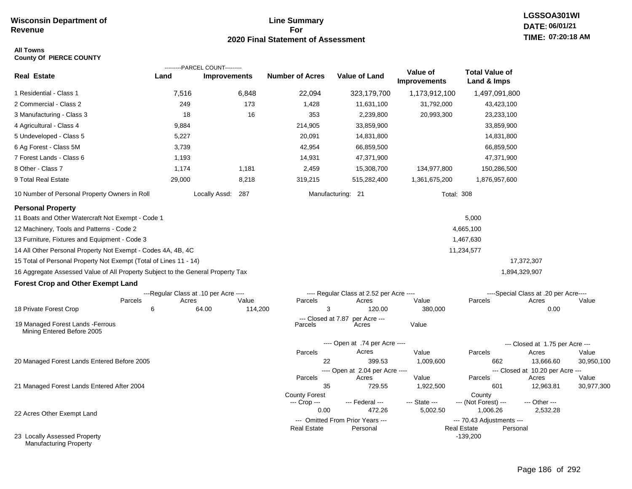## **Line Summary For 2020 Final Statement of Assessment**

### **All Towns County Of PIERCE COUNTY**

|                                                                                 |                                       | ---------PARCEL COUNT--------- |         |                               |                                              |                                 |                                                 |                                           |            |
|---------------------------------------------------------------------------------|---------------------------------------|--------------------------------|---------|-------------------------------|----------------------------------------------|---------------------------------|-------------------------------------------------|-------------------------------------------|------------|
| <b>Real Estate</b>                                                              | Land                                  | <b>Improvements</b>            |         | <b>Number of Acres</b>        | <b>Value of Land</b>                         | Value of<br><b>Improvements</b> | <b>Total Value of</b><br>Land & Imps            |                                           |            |
| 1 Residential - Class 1                                                         | 7,516                                 |                                | 6,848   | 22,094                        | 323,179,700                                  | 1,173,912,100                   | 1,497,091,800                                   |                                           |            |
| 2 Commercial - Class 2                                                          | 249                                   |                                | 173     | 1,428                         | 11,631,100                                   | 31,792,000                      | 43,423,100                                      |                                           |            |
| 3 Manufacturing - Class 3                                                       | 18                                    |                                | 16      | 353                           | 2,239,800                                    | 20,993,300                      | 23,233,100                                      |                                           |            |
| 4 Agricultural - Class 4                                                        | 9,884                                 |                                |         | 214,905                       | 33,859,900                                   |                                 | 33,859,900                                      |                                           |            |
| 5 Undeveloped - Class 5                                                         | 5,227                                 |                                |         | 20,091                        | 14,831,800                                   |                                 | 14,831,800                                      |                                           |            |
| 6 Ag Forest - Class 5M                                                          | 3,739                                 |                                |         | 42,954                        | 66,859,500                                   |                                 | 66,859,500                                      |                                           |            |
| 7 Forest Lands - Class 6                                                        | 1,193                                 |                                |         | 14,931                        | 47,371,900                                   |                                 | 47,371,900                                      |                                           |            |
| 8 Other - Class 7                                                               | 1,174                                 |                                | 1,181   | 2,459                         | 15,308,700                                   | 134,977,800                     | 150,286,500                                     |                                           |            |
| 9 Total Real Estate                                                             | 29,000                                |                                | 8,218   | 319,215                       | 515,282,400                                  | 1,361,675,200                   | 1,876,957,600                                   |                                           |            |
| 10 Number of Personal Property Owners in Roll                                   |                                       | Locally Assd: 287              |         |                               | Manufacturing: 21                            |                                 | <b>Total: 308</b>                               |                                           |            |
| <b>Personal Property</b>                                                        |                                       |                                |         |                               |                                              |                                 |                                                 |                                           |            |
| 11 Boats and Other Watercraft Not Exempt - Code 1                               |                                       |                                |         |                               |                                              |                                 | 5,000                                           |                                           |            |
| 12 Machinery, Tools and Patterns - Code 2                                       |                                       |                                |         |                               |                                              |                                 | 4,665,100                                       |                                           |            |
| 13 Furniture, Fixtures and Equipment - Code 3                                   |                                       |                                |         |                               |                                              |                                 | 1,467,630                                       |                                           |            |
| 14 All Other Personal Property Not Exempt - Codes 4A, 4B, 4C                    |                                       |                                |         |                               |                                              |                                 | 11,234,577                                      |                                           |            |
| 15 Total of Personal Property Not Exempt (Total of Lines 11 - 14)               |                                       |                                |         |                               |                                              |                                 |                                                 | 17,372,307                                |            |
| 16 Aggregate Assessed Value of All Property Subject to the General Property Tax |                                       |                                |         |                               |                                              |                                 |                                                 | 1,894,329,907                             |            |
| <b>Forest Crop and Other Exempt Land</b>                                        |                                       |                                |         |                               |                                              |                                 |                                                 |                                           |            |
|                                                                                 | ---Regular Class at .10 per Acre ---- |                                |         |                               | ---- Regular Class at 2.52 per Acre ----     |                                 |                                                 | ----Special Class at .20 per Acre----     |            |
| Parcels                                                                         | Acres                                 |                                | Value   | Parcels                       | Acres                                        | Value                           | Parcels                                         | Acres                                     | Value      |
| 18 Private Forest Crop                                                          | 6                                     | 64.00                          | 114,200 | 3                             | 120.00                                       | 380,000                         |                                                 | 0.00                                      |            |
| 19 Managed Forest Lands - Ferrous<br>Mining Entered Before 2005                 |                                       |                                |         | --- Closed at 7.87<br>Parcels | per Acre ---<br>Acres                        | Value                           |                                                 |                                           |            |
|                                                                                 |                                       |                                |         |                               | ---- Open at .74 per Acre ----               |                                 |                                                 | --- Closed at 1.75 per Acre ---           |            |
|                                                                                 |                                       |                                |         | Parcels                       | Acres                                        | Value                           | Parcels                                         | Acres                                     | Value      |
| 20 Managed Forest Lands Entered Before 2005                                     |                                       |                                |         | 22                            | 399.53                                       | 1,009,600                       | 662                                             | 13,666.60                                 | 30,950,100 |
|                                                                                 |                                       |                                |         | Parcels                       | ---- Open at 2.04 per Acre ----<br>Acres     | Value                           | Parcels                                         | --- Closed at 10.20 per Acre ---<br>Acres | Value      |
| 21 Managed Forest Lands Entered After 2004                                      |                                       |                                |         | 35                            | 729.55                                       | 1,922,500                       | 601                                             | 12,963.81                                 | 30,977,300 |
|                                                                                 |                                       |                                |         | <b>County Forest</b>          |                                              |                                 | County                                          |                                           |            |
|                                                                                 |                                       |                                |         | --- Crop ---                  | --- Federal ---                              | --- State ---                   | --- (Not Forest) ---                            | --- Other ---                             |            |
| 22 Acres Other Exempt Land                                                      |                                       |                                |         | 0.00                          | 472.26                                       | 5,002.50                        | 1,006.26                                        | 2,532.28                                  |            |
|                                                                                 |                                       |                                |         | <b>Real Estate</b>            | --- Omitted From Prior Years ---<br>Personal |                                 | --- 70.43 Adjustments ---<br><b>Real Estate</b> | Personal                                  |            |
| 23 Locally Assessed Property<br>Manufacturing Property                          |                                       |                                |         |                               |                                              |                                 | $-139,200$                                      |                                           |            |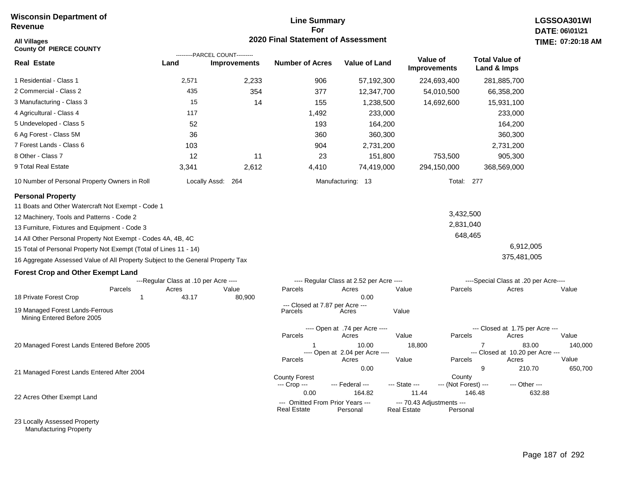## **Line Summary For 2020 Final Statement of Assessment**

| <b>All Villages</b><br><b>County Of PIERCE COUNTY</b>                           |                                       |                                                       | <b>2020 Final Statement of Assessment</b>              |                                          |                                                             |                                                    | TIME: 07:20:18            |
|---------------------------------------------------------------------------------|---------------------------------------|-------------------------------------------------------|--------------------------------------------------------|------------------------------------------|-------------------------------------------------------------|----------------------------------------------------|---------------------------|
| <b>Real Estate</b>                                                              | Land                                  | ---------PARCEL COUNT---------<br><b>Improvements</b> | <b>Number of Acres</b>                                 | <b>Value of Land</b>                     | Value of<br><b>Improvements</b>                             | <b>Total Value of</b><br>Land & Imps               |                           |
| 1 Residential - Class 1                                                         | 2,571                                 | 2,233                                                 | 906                                                    | 57,192,300                               | 224,693,400                                                 | 281,885,700                                        |                           |
| 2 Commercial - Class 2                                                          | 435                                   | 354                                                   | 377                                                    | 12,347,700                               | 54,010,500                                                  | 66,358,200                                         |                           |
| 3 Manufacturing - Class 3                                                       | 15                                    | 14                                                    | 155                                                    | 1,238,500                                | 14,692,600                                                  | 15,931,100                                         |                           |
| 4 Agricultural - Class 4                                                        | 117                                   |                                                       | 1,492                                                  | 233,000                                  |                                                             | 233,000                                            |                           |
| 5 Undeveloped - Class 5                                                         | 52                                    |                                                       | 193                                                    | 164,200                                  |                                                             | 164,200                                            |                           |
| 6 Ag Forest - Class 5M                                                          | 36                                    |                                                       | 360                                                    | 360,300                                  |                                                             | 360,300                                            |                           |
| 7 Forest Lands - Class 6                                                        | 103                                   |                                                       | 904                                                    | 2,731,200                                |                                                             | 2,731,200                                          |                           |
| 8 Other - Class 7                                                               | 12                                    | 11                                                    | 23                                                     | 151,800                                  | 753,500                                                     | 905,300                                            |                           |
| 9 Total Real Estate                                                             | 3,341                                 | 2,612                                                 | 4,410                                                  | 74,419,000                               | 294,150,000                                                 | 368,569,000                                        |                           |
| 10 Number of Personal Property Owners in Roll                                   |                                       | Locally Assd: 264                                     |                                                        | Manufacturing: 13                        |                                                             | Total: 277                                         |                           |
| <b>Personal Property</b>                                                        |                                       |                                                       |                                                        |                                          |                                                             |                                                    |                           |
| 11 Boats and Other Watercraft Not Exempt - Code 1                               |                                       |                                                       |                                                        |                                          |                                                             |                                                    |                           |
| 12 Machinery, Tools and Patterns - Code 2                                       |                                       |                                                       |                                                        |                                          |                                                             | 3,432,500                                          |                           |
| 13 Furniture, Fixtures and Equipment - Code 3                                   |                                       |                                                       |                                                        |                                          |                                                             | 2,831,040                                          |                           |
| 14 All Other Personal Property Not Exempt - Codes 4A, 4B, 4C                    |                                       |                                                       |                                                        |                                          |                                                             | 648,465                                            |                           |
| 15 Total of Personal Property Not Exempt (Total of Lines 11 - 14)               |                                       |                                                       |                                                        |                                          |                                                             | 6,912,005                                          |                           |
| 16 Aggregate Assessed Value of All Property Subject to the General Property Tax |                                       |                                                       |                                                        |                                          |                                                             | 375,481,005                                        |                           |
| <b>Forest Crop and Other Exempt Land</b>                                        |                                       |                                                       |                                                        |                                          |                                                             |                                                    |                           |
|                                                                                 | ---Regular Class at .10 per Acre ---- |                                                       |                                                        | ---- Regular Class at 2.52 per Acre ---- |                                                             | ----Special Class at .20 per Acre----              |                           |
| Parcels<br>$\mathbf{1}$                                                         | Acres<br>43.17                        | Value                                                 | Parcels                                                | Acres<br>0.00                            | Value<br>Parcels                                            | Acres                                              | Value                     |
| 18 Private Forest Crop                                                          |                                       | 80,900                                                | --- Closed at 7.87 per Acre ---                        |                                          |                                                             |                                                    |                           |
| 19 Managed Forest Lands-Ferrous<br>Mining Entered Before 2005                   |                                       |                                                       | Parcels                                                | Acres                                    | Value                                                       |                                                    |                           |
|                                                                                 |                                       |                                                       |                                                        | ---- Open at .74 per Acre ----           |                                                             | --- Closed at 1.75 per Acre ---                    |                           |
|                                                                                 |                                       |                                                       | Parcels                                                | Acres                                    | Value<br>Parcels                                            | Acres                                              | Value                     |
| 20 Managed Forest Lands Entered Before 2005                                     |                                       |                                                       | Parcels                                                | 10.00<br>---- Open at 2.04 per Acre ---- | 18,800                                                      | $\overline{7}$<br>--- Closed at 10.20 per Acre --- | 83.00<br>140,000<br>Value |
|                                                                                 |                                       |                                                       |                                                        | Acres<br>0.00                            | Value<br>Parcels                                            | Acres<br>9<br>210.70                               | 650,700                   |
| 21 Managed Forest Lands Entered After 2004                                      |                                       |                                                       | <b>County Forest</b><br>--- Crop ---                   | --- Federal ---                          | --- State ---                                               | County<br>--- (Not Forest) ---<br>--- Other ---    |                           |
| 22 Acres Other Exempt Land                                                      |                                       |                                                       | 0.00                                                   | 164.82                                   | 11.44                                                       | 146.48                                             | 632.88                    |
|                                                                                 |                                       |                                                       | --- Omitted From Prior Years ---<br><b>Real Estate</b> | Personal                                 | --- 70.43 Adjustments ---<br><b>Real Estate</b><br>Personal |                                                    |                           |

23 Locally Assessed Property Manufacturing Property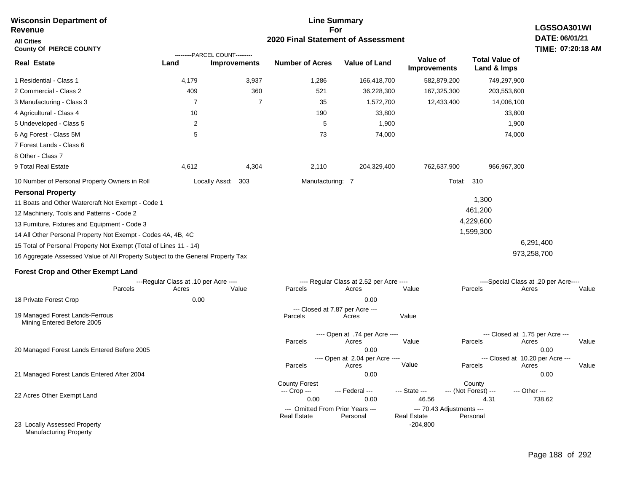| <b>Wisconsin Department of</b><br><b>Revenue</b>                                |                                       |                                                       |                                  | <b>Line Summary</b><br>For               |                                  |                                            | LGSSOA301WI                           |  |  |
|---------------------------------------------------------------------------------|---------------------------------------|-------------------------------------------------------|----------------------------------|------------------------------------------|----------------------------------|--------------------------------------------|---------------------------------------|--|--|
| <b>All Cities</b><br><b>County Of PIERCE COUNTY</b>                             |                                       | 2020 Final Statement of Assessment                    |                                  |                                          |                                  |                                            |                                       |  |  |
| <b>Real Estate</b>                                                              | Land                                  | ---------PARCEL COUNT---------<br><b>Improvements</b> | <b>Number of Acres</b>           | <b>Value of Land</b>                     | Value of<br><b>Improvements</b>  | <b>Total Value of</b><br>Land & Imps       |                                       |  |  |
| 1 Residential - Class 1                                                         | 4,179                                 | 3,937                                                 | 1,286                            | 166,418,700                              | 582,879,200                      | 749,297,900                                |                                       |  |  |
| 2 Commercial - Class 2                                                          | 409                                   | 360                                                   | 521                              | 36,228,300                               | 167,325,300                      | 203,553,600                                |                                       |  |  |
| 3 Manufacturing - Class 3                                                       | 7                                     | 7                                                     | 35                               | 1,572,700                                | 12,433,400                       | 14,006,100                                 |                                       |  |  |
| 4 Agricultural - Class 4                                                        | 10                                    |                                                       | 190                              | 33,800                                   |                                  | 33,800                                     |                                       |  |  |
| 5 Undeveloped - Class 5                                                         | 2                                     |                                                       | 5                                | 1,900                                    |                                  | 1,900                                      |                                       |  |  |
| 6 Ag Forest - Class 5M                                                          | 5                                     |                                                       | 73                               | 74,000                                   |                                  | 74,000                                     |                                       |  |  |
| 7 Forest Lands - Class 6                                                        |                                       |                                                       |                                  |                                          |                                  |                                            |                                       |  |  |
| 8 Other - Class 7                                                               |                                       |                                                       |                                  |                                          |                                  |                                            |                                       |  |  |
| 9 Total Real Estate                                                             | 4,612                                 | 4,304                                                 | 2,110                            | 204,329,400                              | 762,637,900                      | 966, 967, 300                              |                                       |  |  |
| 10 Number of Personal Property Owners in Roll                                   |                                       | Locally Assd:<br>303                                  | Manufacturing: 7                 |                                          | Total:                           | 310                                        |                                       |  |  |
| <b>Personal Property</b>                                                        |                                       |                                                       |                                  |                                          |                                  |                                            |                                       |  |  |
| 11 Boats and Other Watercraft Not Exempt - Code 1                               |                                       |                                                       |                                  |                                          |                                  | 1,300                                      |                                       |  |  |
| 12 Machinery, Tools and Patterns - Code 2                                       |                                       |                                                       |                                  |                                          |                                  | 461,200                                    |                                       |  |  |
| 13 Furniture, Fixtures and Equipment - Code 3                                   |                                       |                                                       |                                  |                                          |                                  | 4,229,600                                  |                                       |  |  |
| 14 All Other Personal Property Not Exempt - Codes 4A, 4B, 4C                    |                                       |                                                       |                                  |                                          |                                  | 1,599,300                                  |                                       |  |  |
| 15 Total of Personal Property Not Exempt (Total of Lines 11 - 14)               |                                       |                                                       |                                  |                                          |                                  |                                            | 6,291,400                             |  |  |
| 16 Aggregate Assessed Value of All Property Subject to the General Property Tax |                                       |                                                       |                                  |                                          |                                  |                                            | 973,258,700                           |  |  |
| <b>Forest Crop and Other Exempt Land</b>                                        |                                       |                                                       |                                  |                                          |                                  |                                            |                                       |  |  |
|                                                                                 | ---Regular Class at .10 per Acre ---- |                                                       |                                  | ---- Regular Class at 2.52 per Acre ---- |                                  |                                            | ----Special Class at .20 per Acre---- |  |  |
| Parcels                                                                         | Acres                                 | Value                                                 | Parcels                          | Acres                                    | Value                            | Parcels                                    | Acres<br>Value                        |  |  |
| 18 Private Forest Crop                                                          | 0.00                                  |                                                       |                                  | 0.00<br>--- Closed at 7.87 per Acre ---  |                                  |                                            |                                       |  |  |
| 19 Managed Forest Lands-Ferrous<br>Mining Entered Before 2005                   |                                       |                                                       | Parcels                          | Acres                                    | Value                            |                                            |                                       |  |  |
|                                                                                 |                                       |                                                       | Parcels                          | ---- Open at .74 per Acre ----<br>Acres  | Value                            | --- Closed at 1.75 per Acre ---<br>Parcels | Acres<br>Value                        |  |  |
| 20 Managed Forest Lands Entered Before 2005                                     |                                       |                                                       |                                  | 0.00                                     |                                  |                                            | 0.00                                  |  |  |
|                                                                                 |                                       |                                                       |                                  | ---- Open at 2.04 per Acre ----          |                                  | --- Closed at 10.20 per Acre ---           |                                       |  |  |
|                                                                                 |                                       |                                                       | Parcels                          | Acres                                    | Value                            | Parcels                                    | Acres<br>Value                        |  |  |
| 21 Managed Forest Lands Entered After 2004                                      |                                       |                                                       | <b>County Forest</b>             | 0.00                                     |                                  | County                                     | 0.00                                  |  |  |
|                                                                                 |                                       |                                                       | --- Crop ---                     | --- Federal ---                          | --- State ---                    | --- (Not Forest) ---                       | --- Other ---                         |  |  |
| 22 Acres Other Exempt Land                                                      |                                       |                                                       | 0.00                             | 0.00                                     | 46.56                            | 4.31                                       | 738.62                                |  |  |
|                                                                                 |                                       |                                                       | --- Omitted From Prior Years --- |                                          | --- 70.43 Adjustments ---        |                                            |                                       |  |  |
| 23 Locally Assessed Property                                                    |                                       |                                                       | <b>Real Estate</b>               | Personal                                 | <b>Real Estate</b><br>$-204,800$ | Personal                                   |                                       |  |  |
| <b>Manufacturing Property</b>                                                   |                                       |                                                       |                                  |                                          |                                  |                                            |                                       |  |  |

Page 188 of 292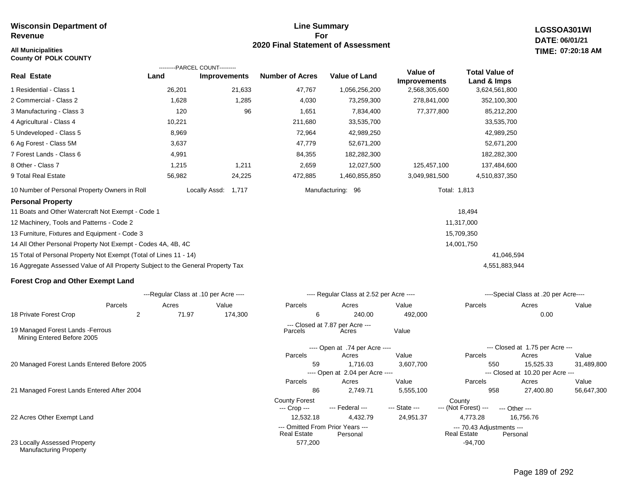### **All Municipalities TIME: County Of POLK COUNTY**

### **Line Summary For 2020 Final Statement of Assessment**

577,200 -94,700

**LGSSOA301WI DATE: 06/01/21 07:20:18 AM**

|                                                                                 |                         | ---------PARCEL COUNT---------        |                                      |                                          |                                 |                                      |                                           |            |
|---------------------------------------------------------------------------------|-------------------------|---------------------------------------|--------------------------------------|------------------------------------------|---------------------------------|--------------------------------------|-------------------------------------------|------------|
| <b>Real Estate</b>                                                              | Land                    | Improvements                          | <b>Number of Acres</b>               | <b>Value of Land</b>                     | Value of<br><b>Improvements</b> | <b>Total Value of</b><br>Land & Imps |                                           |            |
| 1 Residential - Class 1                                                         | 26,201                  | 21,633                                | 47,767                               | 1,056,256,200                            | 2,568,305,600                   | 3,624,561,800                        |                                           |            |
| 2 Commercial - Class 2                                                          | 1,628                   | 1,285                                 | 4,030                                | 73,259,300                               | 278,841,000                     | 352,100,300                          |                                           |            |
| 3 Manufacturing - Class 3                                                       | 120                     | 96                                    | 1,651                                | 7,834,400                                | 77,377,800                      | 85,212,200                           |                                           |            |
| 4 Agricultural - Class 4                                                        | 10,221                  |                                       | 211,680                              | 33,535,700                               |                                 | 33,535,700                           |                                           |            |
| 5 Undeveloped - Class 5                                                         | 8,969                   |                                       | 72,964                               | 42,989,250                               |                                 | 42,989,250                           |                                           |            |
| 6 Ag Forest - Class 5M                                                          | 3,637                   |                                       | 47,779                               | 52,671,200                               |                                 | 52,671,200                           |                                           |            |
| 7 Forest Lands - Class 6                                                        | 4,991                   |                                       | 84,355                               | 182,282,300                              |                                 | 182,282,300                          |                                           |            |
| 8 Other - Class 7                                                               | 1,215                   | 1,211                                 | 2,659                                | 12,027,500                               | 125,457,100                     | 137,484,600                          |                                           |            |
| 9 Total Real Estate                                                             | 56,982                  | 24,225                                | 472,885                              | 1,460,855,850                            | 3,049,981,500                   | 4,510,837,350                        |                                           |            |
| 10 Number of Personal Property Owners in Roll                                   |                         | Locally Assd:<br>1,717                |                                      | Manufacturing: 96                        |                                 | Total: 1,813                         |                                           |            |
| <b>Personal Property</b>                                                        |                         |                                       |                                      |                                          |                                 |                                      |                                           |            |
| 11 Boats and Other Watercraft Not Exempt - Code 1                               |                         |                                       |                                      |                                          |                                 | 18,494                               |                                           |            |
| 12 Machinery, Tools and Patterns - Code 2                                       |                         |                                       |                                      |                                          |                                 | 11,317,000                           |                                           |            |
| 13 Furniture, Fixtures and Equipment - Code 3                                   |                         |                                       |                                      |                                          |                                 | 15,709,350                           |                                           |            |
| 14 All Other Personal Property Not Exempt - Codes 4A, 4B, 4C                    |                         |                                       |                                      |                                          |                                 | 14,001,750                           |                                           |            |
| 15 Total of Personal Property Not Exempt (Total of Lines 11 - 14)               |                         |                                       |                                      |                                          |                                 | 41,046,594                           |                                           |            |
| 16 Aggregate Assessed Value of All Property Subject to the General Property Tax |                         |                                       |                                      |                                          |                                 | 4,551,883,944                        |                                           |            |
| <b>Forest Crop and Other Exempt Land</b>                                        |                         |                                       |                                      |                                          |                                 |                                      |                                           |            |
|                                                                                 |                         | ---Regular Class at .10 per Acre ---- |                                      | ---- Regular Class at 2.52 per Acre ---- |                                 |                                      | ----Special Class at .20 per Acre----     |            |
| Parcels                                                                         | Acres                   | Value                                 | Parcels                              | Acres                                    | Value                           | Parcels                              | Acres                                     | Value      |
| 18 Private Forest Crop                                                          | $\overline{c}$<br>71.97 | 174,300                               | 6                                    | 240.00                                   | 492,000                         |                                      | 0.00                                      |            |
| 19 Managed Forest Lands - Ferrous<br>Mining Entered Before 2005                 |                         |                                       | Parcels                              | --- Closed at 7.87 per Acre ---<br>Acres | Value                           |                                      |                                           |            |
|                                                                                 |                         |                                       |                                      | ---- Open at .74 per Acre ----           |                                 |                                      | --- Closed at 1.75 per Acre ---           |            |
|                                                                                 |                         |                                       | Parcels                              | Acres                                    | Value                           | Parcels                              | Acres                                     | Value      |
| 20 Managed Forest Lands Entered Before 2005                                     |                         |                                       | 59                                   | 1,716.03                                 | 3,607,700                       | 550                                  | 15,525.33                                 | 31,489,800 |
|                                                                                 |                         |                                       | Parcels                              | ---- Open at 2.04 per Acre ----<br>Acres | Value                           | Parcels                              | --- Closed at 10.20 per Acre ---<br>Acres | Value      |
| 21 Managed Forest Lands Entered After 2004                                      |                         |                                       | 86                                   | 2,749.71                                 | 5,555,100                       | 958                                  | 27,400.80                                 | 56,647,300 |
|                                                                                 |                         |                                       | <b>County Forest</b><br>--- Crop --- | --- Federal ---                          | --- State ---                   | County<br>--- (Not Forest) ---       | --- Other ---                             |            |

22 Acres Other Exempt Land

23 Locally Assessed Property Manufacturing Property

| 6                  | 240.00                                       | 492,000   |                                                 | 0.00                             |            |
|--------------------|----------------------------------------------|-----------|-------------------------------------------------|----------------------------------|------------|
| Parcels            | --- Closed at 7.87 per Acre ---<br>Acres     | Value     |                                                 |                                  |            |
|                    | ---- Open at .74 per Acre ----               |           |                                                 | --- Closed at 1.75 per Acre ---  |            |
| Parcels            | Acres                                        | Value     | Parcels                                         | Acres                            | Value      |
| 59                 | 1.716.03                                     | 3,607,700 | 550                                             | 15.525.33                        | 31,489,800 |
|                    | ---- Open at 2.04 per Acre ----              |           |                                                 | --- Closed at 10.20 per Acre --- |            |
| Parcels            | Acres                                        | Value     | <b>Parcels</b>                                  | Acres                            | Value      |
| 86                 | 2.749.71                                     | 5,555,100 | 958                                             | 27.400.80                        | 56,647,300 |
| County Forest      |                                              |           | County                                          |                                  |            |
| --- Crop ---       | --- Federal --- The State ---                |           | --- (Not Forest) --- --- Other ---              |                                  |            |
| 12.532.18          | 4.432.79                                     | 24,951.37 | 4.773.28                                        | 16.756.76                        |            |
| <b>Real Estate</b> | --- Omitted From Prior Years ---<br>Personal |           | --- 70.43 Adjustments ---<br><b>Real Estate</b> | Personal                         |            |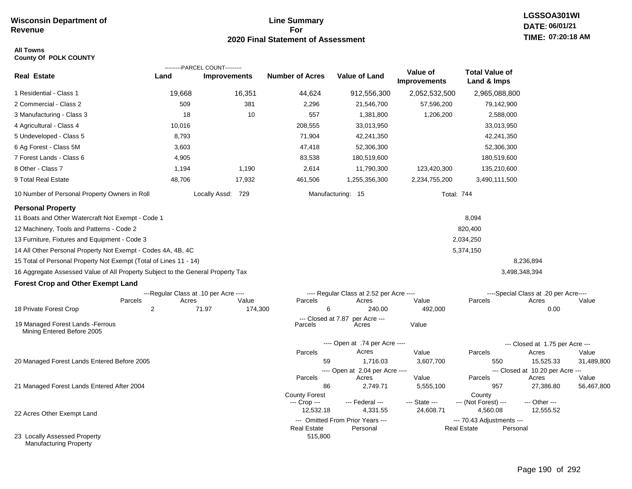### **Line Summary For 2020 Final Statement of Assessment**

### **All Towns County Of POLK COUNTY**

|                                                                                 |                         | ---------PARCEL COUNT---------        |                        |                                              |                                 |                                          |                                           |            |
|---------------------------------------------------------------------------------|-------------------------|---------------------------------------|------------------------|----------------------------------------------|---------------------------------|------------------------------------------|-------------------------------------------|------------|
| <b>Real Estate</b>                                                              | Land                    | <b>Improvements</b>                   | <b>Number of Acres</b> | <b>Value of Land</b>                         | Value of<br><b>Improvements</b> | <b>Total Value of</b><br>Land & Imps     |                                           |            |
| 1 Residential - Class 1                                                         | 19,668                  | 16,351                                | 44,624                 | 912,556,300                                  | 2,052,532,500                   | 2,965,088,800                            |                                           |            |
| 2 Commercial - Class 2                                                          | 509                     | 381                                   | 2,296                  | 21,546,700                                   | 57,596,200                      | 79,142,900                               |                                           |            |
| 3 Manufacturing - Class 3                                                       | 18                      | 10                                    | 557                    | 1,381,800                                    | 1,206,200                       | 2,588,000                                |                                           |            |
| 4 Agricultural - Class 4                                                        | 10,016                  |                                       | 208,555                | 33,013,950                                   |                                 | 33,013,950                               |                                           |            |
| 5 Undeveloped - Class 5                                                         | 8,793                   |                                       | 71,904                 | 42,241,350                                   |                                 | 42,241,350                               |                                           |            |
| 6 Ag Forest - Class 5M                                                          | 3,603                   |                                       | 47,418                 | 52,306,300                                   |                                 | 52,306,300                               |                                           |            |
| 7 Forest Lands - Class 6                                                        | 4,905                   |                                       | 83,538                 | 180,519,600                                  |                                 | 180,519,600                              |                                           |            |
| 8 Other - Class 7                                                               | 1,194                   | 1,190                                 | 2,614                  | 11,790,300                                   | 123,420,300                     | 135,210,600                              |                                           |            |
| 9 Total Real Estate                                                             | 48,706                  | 17,932                                | 461,506                | 1,255,356,300                                | 2,234,755,200                   | 3,490,111,500                            |                                           |            |
| 10 Number of Personal Property Owners in Roll                                   |                         | Locally Assd: 729                     |                        | Manufacturing: 15                            |                                 | <b>Total: 744</b>                        |                                           |            |
| <b>Personal Property</b>                                                        |                         |                                       |                        |                                              |                                 |                                          |                                           |            |
| 11 Boats and Other Watercraft Not Exempt - Code 1                               |                         |                                       |                        |                                              |                                 | 8,094                                    |                                           |            |
| 12 Machinery, Tools and Patterns - Code 2                                       |                         |                                       |                        |                                              |                                 | 820,400                                  |                                           |            |
| 13 Furniture, Fixtures and Equipment - Code 3                                   |                         |                                       |                        |                                              |                                 | 2,034,250                                |                                           |            |
| 14 All Other Personal Property Not Exempt - Codes 4A, 4B, 4C                    |                         |                                       |                        |                                              |                                 | 5,374,150                                |                                           |            |
| 15 Total of Personal Property Not Exempt (Total of Lines 11 - 14)               |                         |                                       |                        |                                              |                                 |                                          | 8,236,894                                 |            |
| 16 Aggregate Assessed Value of All Property Subject to the General Property Tax |                         |                                       |                        |                                              |                                 |                                          | 3,498,348,394                             |            |
| <b>Forest Crop and Other Exempt Land</b>                                        |                         |                                       |                        |                                              |                                 |                                          |                                           |            |
|                                                                                 |                         | ---Regular Class at .10 per Acre ---- |                        | ---- Regular Class at 2.52 per Acre ----     |                                 |                                          | ----Special Class at .20 per Acre----     |            |
| Parcels<br>18 Private Forest Crop                                               | Acres<br>$\overline{2}$ | Value<br>71.97<br>174,300             | Parcels<br>6           | Acres<br>240.00                              | Value<br>492,000                | Parcels                                  | Acres<br>0.00                             | Value      |
|                                                                                 |                         |                                       | --- Closed at 7.87     | per Acre ---                                 |                                 |                                          |                                           |            |
| 19 Managed Forest Lands - Ferrous<br>Mining Entered Before 2005                 |                         |                                       | Parcels                | Acres                                        | Value                           |                                          |                                           |            |
|                                                                                 |                         |                                       |                        | ---- Open at .74 per Acre ----               |                                 |                                          | --- Closed at 1.75 per Acre ---           |            |
|                                                                                 |                         |                                       | Parcels                | Acres                                        | Value                           | Parcels                                  | Acres                                     | Value      |
| 20 Managed Forest Lands Entered Before 2005                                     |                         |                                       | 59                     | 1,716.03                                     | 3,607,700                       | 550                                      | 15,525.33                                 | 31,489,800 |
|                                                                                 |                         |                                       | Parcels                | ---- Open at 2.04 per Acre ----<br>Acres     | Value                           | Parcels                                  | --- Closed at 10.20 per Acre ---<br>Acres | Value      |
| 21 Managed Forest Lands Entered After 2004                                      |                         |                                       | 86                     | 2,749.71                                     | 5,555,100                       | 957                                      | 27,386.80                                 | 56,467,800 |
|                                                                                 |                         |                                       | <b>County Forest</b>   |                                              |                                 | County                                   |                                           |            |
|                                                                                 |                         |                                       | --- Crop ---           | --- Federal ---                              | --- State ---                   | --- (Not Forest) ---                     | --- Other ---                             |            |
| 22 Acres Other Exempt Land                                                      |                         |                                       | 12,532.18              | 4,331.55                                     | 24,608.71                       | 4,560.08                                 | 12,555.52                                 |            |
|                                                                                 |                         |                                       | <b>Real Estate</b>     | --- Omitted From Prior Years ---<br>Personal |                                 | --- 70.43 Adjustments ---<br>Real Estate | Personal                                  |            |
| 23 Locally Assessed Property<br><b>Manufacturing Property</b>                   |                         |                                       | 515,800                |                                              |                                 |                                          |                                           |            |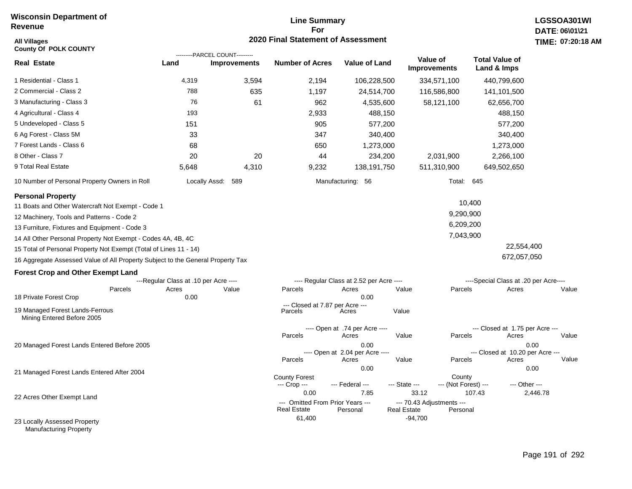# **Line Summary For 2020 Final Statement of Assessment All Villages TIME:**

| <b>All Villages</b><br><b>County Of POLK COUNTY</b>                                                                        |                                       |                                                       | 2020 Final Statement of Assessment                             |                                                  |                                                                      |                                           | <b>TIME: 07:20</b> |
|----------------------------------------------------------------------------------------------------------------------------|---------------------------------------|-------------------------------------------------------|----------------------------------------------------------------|--------------------------------------------------|----------------------------------------------------------------------|-------------------------------------------|--------------------|
| <b>Real Estate</b>                                                                                                         | Land                                  | ---------PARCEL COUNT---------<br><b>Improvements</b> | <b>Number of Acres</b>                                         | <b>Value of Land</b>                             | Value of<br><b>Improvements</b>                                      | <b>Total Value of</b><br>Land & Imps      |                    |
| 1 Residential - Class 1                                                                                                    | 4,319                                 | 3,594                                                 | 2,194                                                          | 106,228,500                                      | 334,571,100                                                          | 440,799,600                               |                    |
| 2 Commercial - Class 2                                                                                                     | 788                                   | 635                                                   | 1,197                                                          | 24,514,700                                       | 116,586,800                                                          | 141,101,500                               |                    |
| 3 Manufacturing - Class 3                                                                                                  | 76                                    | 61                                                    | 962                                                            | 4,535,600                                        | 58,121,100                                                           | 62,656,700                                |                    |
| 4 Agricultural - Class 4                                                                                                   | 193                                   |                                                       | 2,933                                                          | 488,150                                          |                                                                      | 488,150                                   |                    |
| 5 Undeveloped - Class 5                                                                                                    | 151                                   |                                                       | 905                                                            | 577,200                                          |                                                                      | 577,200                                   |                    |
| 6 Ag Forest - Class 5M                                                                                                     | 33                                    |                                                       | 347                                                            | 340,400                                          |                                                                      | 340,400                                   |                    |
| 7 Forest Lands - Class 6                                                                                                   | 68                                    |                                                       | 650                                                            | 1,273,000                                        |                                                                      | 1,273,000                                 |                    |
| 8 Other - Class 7                                                                                                          | 20                                    | 20                                                    | 44                                                             | 234,200                                          | 2,031,900                                                            | 2,266,100                                 |                    |
| 9 Total Real Estate                                                                                                        | 5,648                                 | 4,310                                                 | 9,232                                                          | 138,191,750                                      | 511,310,900                                                          | 649,502,650                               |                    |
| 10 Number of Personal Property Owners in Roll                                                                              |                                       | Locally Assd: 589                                     |                                                                | Manufacturing: 56                                | Total: 645                                                           |                                           |                    |
| <b>Personal Property</b><br>11 Boats and Other Watercraft Not Exempt - Code 1<br>12 Machinery, Tools and Patterns - Code 2 |                                       |                                                       |                                                                |                                                  | 9,290,900                                                            | 10,400                                    |                    |
| 13 Furniture, Fixtures and Equipment - Code 3                                                                              |                                       |                                                       |                                                                |                                                  | 6,209,200                                                            |                                           |                    |
| 14 All Other Personal Property Not Exempt - Codes 4A, 4B, 4C                                                               |                                       |                                                       |                                                                |                                                  | 7,043,900                                                            |                                           |                    |
| 15 Total of Personal Property Not Exempt (Total of Lines 11 - 14)                                                          |                                       |                                                       |                                                                |                                                  |                                                                      | 22,554,400                                |                    |
| 16 Aggregate Assessed Value of All Property Subject to the General Property Tax                                            |                                       |                                                       |                                                                |                                                  |                                                                      | 672,057,050                               |                    |
| <b>Forest Crop and Other Exempt Land</b>                                                                                   |                                       |                                                       |                                                                |                                                  |                                                                      |                                           |                    |
|                                                                                                                            | ---Regular Class at .10 per Acre ---- |                                                       |                                                                | ---- Regular Class at 2.52 per Acre ----         |                                                                      | ----Special Class at .20 per Acre----     |                    |
| Parcels<br>18 Private Forest Crop                                                                                          | Acres<br>0.00                         | Value                                                 | Parcels                                                        | Acres<br>0.00                                    | Parcels<br>Value                                                     | Acres                                     | Value              |
| 19 Managed Forest Lands-Ferrous<br>Mining Entered Before 2005                                                              |                                       |                                                       | --- Closed at 7.87 per Acre ---<br>Parcels                     | Acres                                            | Value                                                                |                                           |                    |
|                                                                                                                            |                                       |                                                       | Parcels                                                        | ---- Open at .74 per Acre ----<br>Acres          | Value<br>Parcels                                                     | --- Closed at 1.75 per Acre ---<br>Acres  | Value              |
| 20 Managed Forest Lands Entered Before 2005                                                                                |                                       |                                                       | Parcels                                                        | 0.00<br>---- Open at 2.04 per Acre ----<br>Acres | Value<br>Parcels                                                     | --- Closed at 10.20 per Acre ---<br>Acres | 0.00<br>Value      |
| 21 Managed Forest Lands Entered After 2004                                                                                 |                                       |                                                       | <b>County Forest</b><br>--- Crop ---                           | 0.00<br>--- Federal ---                          | County<br>--- State ---<br>--- (Not Forest) ---                      | --- Other ---                             | 0.00               |
| 22 Acres Other Exempt Land                                                                                                 |                                       |                                                       | 0.00<br>--- Omitted From Prior Years ---<br><b>Real Estate</b> | 7.85<br>Personal                                 | 33.12<br>--- 70.43 Adjustments ---<br><b>Real Estate</b><br>Personal | 107.43                                    | 2,446.78           |
| 23 Locally Assessed Property                                                                                               |                                       |                                                       | 61,400                                                         |                                                  | $-94,700$                                                            |                                           |                    |

Manufacturing Property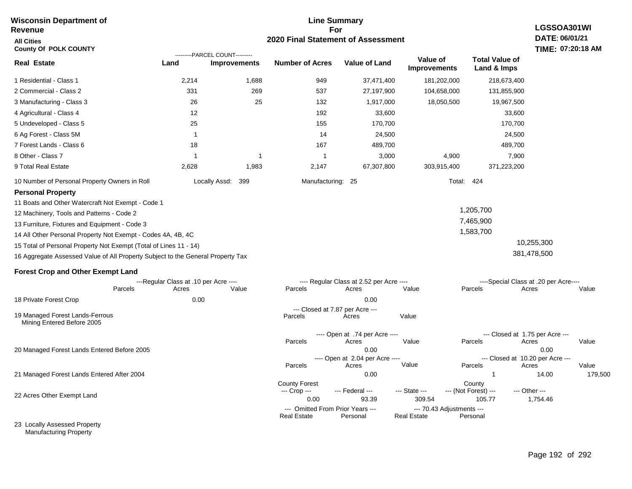### **Line Summary For 2020 Final Statement of Assessment Wisconsin Department of Revenue All Cities County Of POLK COUNTY LGSSOA301WI DATE: 06/01/21 TIME: 07:20:18 AM Real Estate** 1 Residential - Class 1 2 Commercial - Class 2 3 Manufacturing - Class 3 4 Agricultural - Class 4 5 Undeveloped - Class 5 6 Ag Forest - Class 5M 7 Forest Lands - Class 6 8 Other - Class 7 9 Total Real Estate 10 Number of Personal Property Owners in Roll 2,214 1,688 949 37,471,400 181,202,000 218,673,400 **Land Improvements Number of Acres Value of Land Value of Improvements Total Value of Land & Imps** 331 26 12 25 1 18 1 2,628 269 25 1 1,983 537 132 192 155 14 167 1 2,147 27,197,900 1,917,000 33,600 170,700 24,500 489,700 3,000 67,307,800 104,658,000 18,050,500 4,900 303,915,400 131,855,900 19,967,500 33,600 170,700 24,500 489,700 7,900 371,223,200 Locally Assd: 399 Manufacturing: 25 Total: 424 **Personal Property** 11 Boats and Other Watercraft Not Exempt - Code 1 12 Machinery, Tools and Patterns - Code 2 13 Furniture, Fixtures and Equipment - Code 3 14 All Other Personal Property Not Exempt - Codes 4A, 4B, 4C 15 Total of Personal Property Not Exempt (Total of Lines 11 - 14) 16 Aggregate Assessed Value of All Property Subject to the General Property Tax 1,205,700 7,465,900 1,583,700 10,255,300 381,478,500 **Forest Crop and Other Exempt Land** ---Regular Class at .10 per Acre ---- ---- Regular Class at 2.52 per Acre ---- ----Special Class at .20 per Acre---- 18 Private Forest Crop 20 Managed Forest Lands Entered Before 2005 21 Managed Forest Lands Entered After 2004 Parcels 0.00 0.00 Acres Value Parcels Acres Value Parcels Acres Value ---- Open at .74 per Acre ----<br>Acres Parcels 0.00 0.00 Acres Value Parcels Acres Value --- Closed at 1.75 per Acre --- ---- Open at 2.04 per Acre ---- --- Closed at 10.20 per Acre --- Parcels 0.00 1 1 14.00 179,500 Acres **Value Parcels Acres Value** County Forest County County --- Crop --- 0.00 93.39 309.54 105.77 1,754.46 --- Federal --- - --- State --- --- (Not Forest) --- --- Other ---22 Acres Other Exempt Land --- Omitted From Prior Years ---<br>Real Estate Personal Personal Real Estate Personal ---------PARCEL COUNT--------- 19 Managed Forest Lands-Ferrous Mining Entered Before 2005 --- Closed at 7.87 per Acre ---<br>rcels Acres Parcels **Acres** Value

**Real Estate** 

23 Locally Assessed Property Manufacturing Property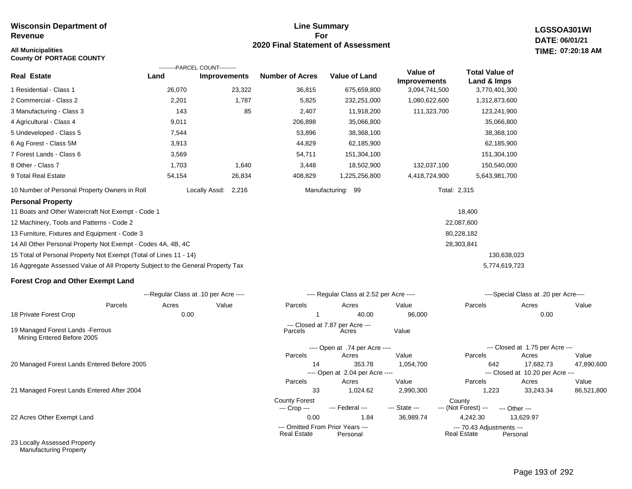**LGSSOA301WI DATE: 06/01/21 07:20:18 AM**

### **All Municipalities TIME: County Of PORTAGE COUNTY**

|                                                                                 | ---------PARCEL COUNT--------- |                        |                        |                      |                                 |                                      |
|---------------------------------------------------------------------------------|--------------------------------|------------------------|------------------------|----------------------|---------------------------------|--------------------------------------|
| <b>Real Estate</b>                                                              | Land                           | <b>Improvements</b>    | <b>Number of Acres</b> | <b>Value of Land</b> | Value of<br><b>Improvements</b> | <b>Total Value of</b><br>Land & Imps |
| 1 Residential - Class 1                                                         | 26,070                         | 23,322                 | 36,815                 | 675,659,800          | 3,094,741,500                   | 3,770,401,300                        |
| 2 Commercial - Class 2                                                          | 2,201                          | 1,787                  | 5,825                  | 232,251,000          | 1,080,622,600                   | 1,312,873,600                        |
| 3 Manufacturing - Class 3                                                       | 143                            | 85                     | 2,407                  | 11,918,200           | 111,323,700                     | 123,241,900                          |
| 4 Agricultural - Class 4                                                        | 9,011                          |                        | 206,898                | 35,066,800           |                                 | 35,066,800                           |
| 5 Undeveloped - Class 5                                                         | 7,544                          |                        | 53,896                 | 38,368,100           |                                 | 38,368,100                           |
| 6 Ag Forest - Class 5M                                                          | 3,913                          |                        | 44,829                 | 62,185,900           |                                 | 62,185,900                           |
| 7 Forest Lands - Class 6                                                        | 3,569                          |                        | 54,711                 | 151,304,100          |                                 | 151,304,100                          |
| 8 Other - Class 7                                                               | 1,703                          | 1,640                  | 3,448                  | 18,502,900           | 132,037,100                     | 150,540,000                          |
| 9 Total Real Estate                                                             | 54,154                         | 26,834                 | 408,829                | 1,225,256,800        | 4,418,724,900                   | 5,643,981,700                        |
| 10 Number of Personal Property Owners in Roll                                   |                                | 2,216<br>Locally Assd: |                        | Manufacturing: 99    |                                 | Total: 2,315                         |
| <b>Personal Property</b>                                                        |                                |                        |                        |                      |                                 |                                      |
| 11 Boats and Other Watercraft Not Exempt - Code 1                               |                                |                        |                        |                      |                                 | 18,400                               |
| 12 Machinery, Tools and Patterns - Code 2                                       |                                |                        |                        |                      |                                 | 22,087,600                           |
| 13 Furniture, Fixtures and Equipment - Code 3                                   |                                |                        |                        |                      |                                 | 80,228,182                           |
| 14 All Other Personal Property Not Exempt - Codes 4A, 4B, 4C                    |                                |                        |                        |                      |                                 | 28,303,841                           |
| 15 Total of Personal Property Not Exempt (Total of Lines 11 - 14)               |                                |                        |                        |                      |                                 | 130,638,023                          |
| 16 Aggregate Assessed Value of All Property Subject to the General Property Tax |                                |                        |                        |                      |                                 | 5,774,619,723                        |

### **Forest Crop and Other Exempt Land**

Manufacturing Property

|                                                                 |         | ---Regular Class at .10 per Acre ---- |       |                                      | ---- Regular Class at 2.52 per Acre ----     |               | ----Special Class at .20 per Acre----    |                                  |            |  |
|-----------------------------------------------------------------|---------|---------------------------------------|-------|--------------------------------------|----------------------------------------------|---------------|------------------------------------------|----------------------------------|------------|--|
|                                                                 | Parcels | Acres                                 | Value | Parcels                              | Acres                                        | Value         | Parcels                                  | Acres                            | Value      |  |
| 18 Private Forest Crop                                          |         | 0.00                                  |       |                                      | 40.00                                        | 96,000        |                                          | 0.00                             |            |  |
| 19 Managed Forest Lands - Ferrous<br>Mining Entered Before 2005 |         |                                       |       | Parcels                              | --- Closed at 7.87 per Acre ---<br>Acres     | Value         |                                          |                                  |            |  |
|                                                                 |         |                                       |       |                                      | ---- Open at .74 per Acre ----               |               |                                          | --- Closed at 1.75 per Acre ---  |            |  |
|                                                                 |         |                                       |       | Parcels                              | Acres                                        | Value         | Parcels                                  | Acres                            | Value      |  |
| 20 Managed Forest Lands Entered Before 2005                     |         |                                       |       | 14                                   | 353.78                                       | 1,054,700     | 642                                      | 17,682.73                        | 47,890,600 |  |
|                                                                 |         |                                       |       |                                      | ---- Open at 2.04 per Acre ----              |               |                                          | --- Closed at 10.20 per Acre --- |            |  |
|                                                                 |         |                                       |       | Parcels                              | Acres                                        | Value         | Parcels                                  | Acres                            | Value      |  |
| 21 Managed Forest Lands Entered After 2004                      |         |                                       |       | 33                                   | 1,024.62                                     | 2,990,300     | 1,223                                    | 33,243.34                        | 86,521,800 |  |
|                                                                 |         |                                       |       | <b>County Forest</b><br>--- Crop --- | --- Federal ---                              | --- State --- | County<br>--- (Not Forest) ---           | --- Other ---                    |            |  |
| 22 Acres Other Exempt Land                                      |         |                                       |       | 0.00                                 | 1.84                                         | 36,989.74     | 4,242.30                                 | 13,629.97                        |            |  |
|                                                                 |         |                                       |       | <b>Real Estate</b>                   | --- Omitted From Prior Years ---<br>Personal |               | --- 70.43 Adjustments ---<br>Real Estate | Personal                         |            |  |
| 23 Locally Assessed Property                                    |         |                                       |       |                                      |                                              |               |                                          |                                  |            |  |

**Line Summary For 2020 Final Statement of Assessment**

### Page 193 of 292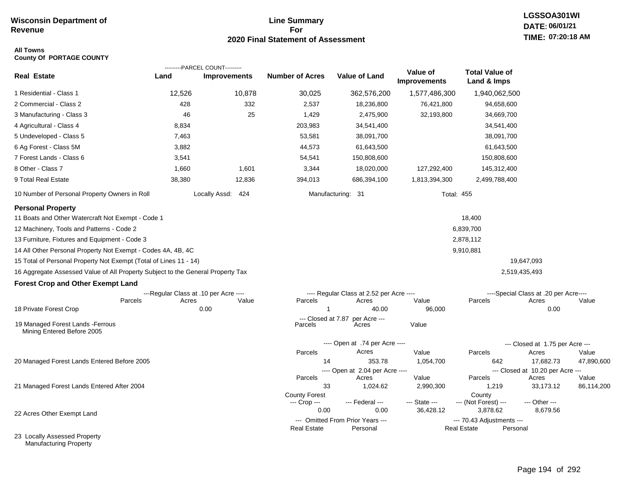## **Line Summary For 2020 Final Statement of Assessment**

### **All Towns County Of PORTAGE COUNTY**

|                                                                                 |                                                           | ---------PARCEL COUNT--------- |                        |                                                   |                          |                                                 |                                                |            |
|---------------------------------------------------------------------------------|-----------------------------------------------------------|--------------------------------|------------------------|---------------------------------------------------|--------------------------|-------------------------------------------------|------------------------------------------------|------------|
| <b>Real Estate</b>                                                              | Land                                                      | <b>Improvements</b>            | <b>Number of Acres</b> | <b>Value of Land</b>                              | Value of<br>Improvements | <b>Total Value of</b><br>Land & Imps            |                                                |            |
| 1 Residential - Class 1                                                         | 12,526                                                    | 10,878                         | 30,025                 | 362,576,200                                       | 1,577,486,300            | 1,940,062,500                                   |                                                |            |
| 2 Commercial - Class 2                                                          | 428                                                       | 332                            | 2,537                  | 18,236,800                                        | 76,421,800               | 94,658,600                                      |                                                |            |
| 3 Manufacturing - Class 3                                                       | 46                                                        | 25                             | 1,429                  | 2,475,900                                         | 32,193,800               | 34,669,700                                      |                                                |            |
| 4 Agricultural - Class 4                                                        | 8,834                                                     |                                | 203,983                | 34,541,400                                        |                          | 34,541,400                                      |                                                |            |
| 5 Undeveloped - Class 5                                                         | 7,463                                                     |                                | 53,581                 | 38,091,700                                        |                          | 38,091,700                                      |                                                |            |
| 6 Ag Forest - Class 5M                                                          | 3,882                                                     |                                | 44,573                 | 61,643,500                                        |                          | 61,643,500                                      |                                                |            |
| 7 Forest Lands - Class 6                                                        | 3,541                                                     |                                | 54,541                 | 150,808,600                                       |                          | 150,808,600                                     |                                                |            |
| 8 Other - Class 7                                                               | 1,660                                                     | 1,601                          | 3,344                  | 18,020,000                                        | 127,292,400              | 145,312,400                                     |                                                |            |
| 9 Total Real Estate                                                             | 38,380                                                    | 12,836                         | 394,013                | 686,394,100                                       | 1,813,394,300            | 2,499,788,400                                   |                                                |            |
| 10 Number of Personal Property Owners in Roll                                   |                                                           | Locally Assd: 424              |                        | Manufacturing: 31                                 |                          | <b>Total: 455</b>                               |                                                |            |
| <b>Personal Property</b>                                                        |                                                           |                                |                        |                                                   |                          |                                                 |                                                |            |
| 11 Boats and Other Watercraft Not Exempt - Code 1                               |                                                           |                                |                        |                                                   |                          | 18,400                                          |                                                |            |
| 12 Machinery, Tools and Patterns - Code 2                                       |                                                           |                                |                        |                                                   |                          | 6,839,700                                       |                                                |            |
| 13 Furniture, Fixtures and Equipment - Code 3                                   |                                                           |                                |                        |                                                   |                          | 2,878,112                                       |                                                |            |
| 14 All Other Personal Property Not Exempt - Codes 4A, 4B, 4C                    |                                                           |                                |                        |                                                   |                          | 9,910,881                                       |                                                |            |
| 15 Total of Personal Property Not Exempt (Total of Lines 11 - 14)               |                                                           |                                |                        |                                                   |                          |                                                 | 19,647,093                                     |            |
| 16 Aggregate Assessed Value of All Property Subject to the General Property Tax |                                                           |                                |                        |                                                   |                          |                                                 | 2,519,435,493                                  |            |
| <b>Forest Crop and Other Exempt Land</b>                                        |                                                           |                                |                        |                                                   |                          |                                                 |                                                |            |
|                                                                                 | ---Regular Class at .10 per Acre ----<br>Parcels<br>Acres | Value                          | Parcels                | ---- Regular Class at 2.52 per Acre ----<br>Acres | Value                    | Parcels                                         | ----Special Class at .20 per Acre----<br>Acres | Value      |
| 18 Private Forest Crop                                                          |                                                           | 0.00                           | -1                     | 40.00                                             | 96,000                   |                                                 | 0.00                                           |            |
|                                                                                 |                                                           |                                | --- Closed at 7.87     | per Acre ---                                      |                          |                                                 |                                                |            |
| 19 Managed Forest Lands - Ferrous<br>Mining Entered Before 2005                 |                                                           |                                | Parcels                | Acres                                             | Value                    |                                                 |                                                |            |
|                                                                                 |                                                           |                                |                        | ---- Open at .74 per Acre ----                    |                          |                                                 | --- Closed at 1.75 per Acre ---                |            |
|                                                                                 |                                                           |                                | Parcels                | Acres                                             | Value                    | Parcels                                         | Acres                                          | Value      |
| 20 Managed Forest Lands Entered Before 2005                                     |                                                           |                                | 14                     | 353.78                                            | 1,054,700                | 642                                             | 17,682.73                                      | 47,890,600 |
|                                                                                 |                                                           |                                | Parcels                | ---- Open at 2.04 per Acre ----<br>Acres          | Value                    | Parcels                                         | --- Closed at 10.20 per Acre ---<br>Acres      | Value      |
| 21 Managed Forest Lands Entered After 2004                                      |                                                           |                                | 33                     | 1,024.62                                          | 2,990,300                | 1,219                                           | 33,173.12                                      | 86,114,200 |
|                                                                                 |                                                           |                                | <b>County Forest</b>   |                                                   |                          | County                                          |                                                |            |
|                                                                                 |                                                           |                                | --- Crop ---           | --- Federal ---                                   | --- State ---            | --- (Not Forest) ---                            | --- Other ---                                  |            |
| 22 Acres Other Exempt Land                                                      |                                                           |                                | 0.00                   | 0.00                                              | 36,428.12                | 3,878.62                                        | 8,679.56                                       |            |
|                                                                                 |                                                           |                                | <b>Real Estate</b>     | --- Omitted From Prior Years ---<br>Personal      |                          | --- 70.43 Adjustments ---<br><b>Real Estate</b> | Personal                                       |            |
| 23 Locally Assessed Property                                                    |                                                           |                                |                        |                                                   |                          |                                                 |                                                |            |

Manufacturing Property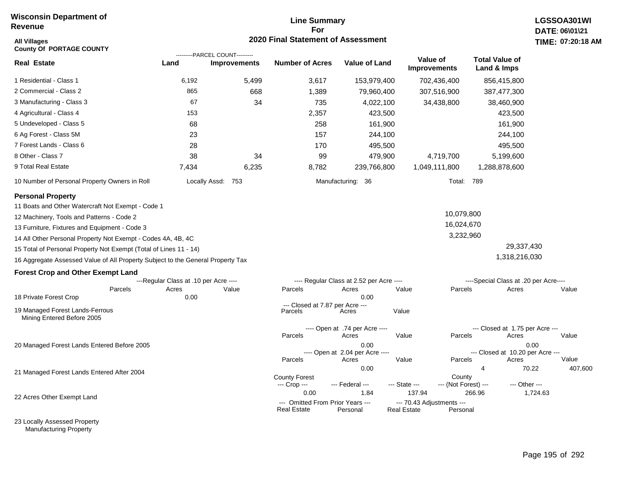# **Line Summary For 2020 Final Statement of Assessment All Villages TIME:**

| <b>All Villages</b><br><b>County Of PORTAGE COUNTY</b>                          |                                       | ---------PARCEL COUNT--------- | 2020 Final Statement of Assessment                             |                                          |                                                           |                                |                                      |                                          | TIME: 07:20:18 |
|---------------------------------------------------------------------------------|---------------------------------------|--------------------------------|----------------------------------------------------------------|------------------------------------------|-----------------------------------------------------------|--------------------------------|--------------------------------------|------------------------------------------|----------------|
| <b>Real Estate</b>                                                              | Land                                  | <b>Improvements</b>            | <b>Number of Acres</b>                                         | <b>Value of Land</b>                     | Value of<br><b>Improvements</b>                           |                                | <b>Total Value of</b><br>Land & Imps |                                          |                |
| 1 Residential - Class 1                                                         | 6,192                                 | 5,499                          | 3,617                                                          | 153,979,400                              |                                                           | 702,436,400                    |                                      | 856,415,800                              |                |
| 2 Commercial - Class 2                                                          | 865                                   | 668                            | 1,389                                                          | 79,960,400                               |                                                           | 307,516,900                    |                                      | 387,477,300                              |                |
| 3 Manufacturing - Class 3                                                       | 67                                    | 34                             | 735                                                            | 4,022,100                                |                                                           | 34,438,800                     |                                      | 38,460,900                               |                |
| 4 Agricultural - Class 4                                                        | 153                                   |                                | 2,357                                                          | 423,500                                  |                                                           |                                |                                      | 423,500                                  |                |
| 5 Undeveloped - Class 5                                                         | 68                                    |                                | 258                                                            | 161,900                                  |                                                           |                                |                                      | 161,900                                  |                |
| 6 Ag Forest - Class 5M                                                          | 23                                    |                                | 157                                                            | 244,100                                  |                                                           |                                |                                      | 244,100                                  |                |
| 7 Forest Lands - Class 6                                                        | 28                                    |                                | 170                                                            | 495,500                                  |                                                           |                                |                                      | 495,500                                  |                |
| 8 Other - Class 7                                                               | 38                                    | 34                             | 99                                                             | 479,900                                  |                                                           | 4,719,700                      |                                      | 5,199,600                                |                |
| 9 Total Real Estate                                                             | 7,434                                 | 6,235                          | 8,782                                                          | 239,766,800                              |                                                           | 1,049,111,800                  |                                      | 1,288,878,600                            |                |
| 10 Number of Personal Property Owners in Roll                                   |                                       | Locally Assd: 753              |                                                                | Manufacturing: 36                        |                                                           | Total: 789                     |                                      |                                          |                |
| <b>Personal Property</b>                                                        |                                       |                                |                                                                |                                          |                                                           |                                |                                      |                                          |                |
| 11 Boats and Other Watercraft Not Exempt - Code 1                               |                                       |                                |                                                                |                                          |                                                           |                                |                                      |                                          |                |
| 12 Machinery, Tools and Patterns - Code 2                                       |                                       |                                |                                                                |                                          |                                                           | 10,079,800                     |                                      |                                          |                |
| 13 Furniture, Fixtures and Equipment - Code 3                                   |                                       |                                |                                                                |                                          |                                                           | 16,024,670                     |                                      |                                          |                |
| 14 All Other Personal Property Not Exempt - Codes 4A, 4B, 4C                    |                                       |                                |                                                                |                                          |                                                           | 3,232,960                      |                                      |                                          |                |
| 15 Total of Personal Property Not Exempt (Total of Lines 11 - 14)               |                                       |                                |                                                                |                                          |                                                           |                                |                                      | 29,337,430                               |                |
| 16 Aggregate Assessed Value of All Property Subject to the General Property Tax |                                       |                                |                                                                |                                          |                                                           |                                |                                      | 1,318,216,030                            |                |
| <b>Forest Crop and Other Exempt Land</b>                                        |                                       |                                |                                                                |                                          |                                                           |                                |                                      |                                          |                |
|                                                                                 | ---Regular Class at .10 per Acre ---- |                                |                                                                | ---- Regular Class at 2.52 per Acre ---- |                                                           |                                |                                      | ----Special Class at .20 per Acre----    |                |
| Parcels                                                                         | Acres                                 | Value                          | Parcels                                                        | Acres                                    | Value                                                     | Parcels                        |                                      | Acres                                    | Value          |
| 18 Private Forest Crop                                                          | 0.00                                  |                                | --- Closed at 7.87 per Acre ---                                | 0.00                                     |                                                           |                                |                                      |                                          |                |
| 19 Managed Forest Lands-Ferrous<br>Mining Entered Before 2005                   |                                       |                                | Parcels                                                        | Acres                                    | Value                                                     |                                |                                      |                                          |                |
|                                                                                 |                                       |                                |                                                                | ---- Open at .74 per Acre ----           |                                                           |                                |                                      | --- Closed at 1.75 per Acre ---          |                |
|                                                                                 |                                       |                                | Parcels                                                        | Acres                                    | Value                                                     | Parcels                        |                                      | Acres                                    | Value          |
| 20 Managed Forest Lands Entered Before 2005                                     |                                       |                                |                                                                | 0.00<br>---- Open at 2.04 per Acre ----  |                                                           |                                |                                      | 0.00<br>--- Closed at 10.20 per Acre --- |                |
|                                                                                 |                                       |                                | Parcels                                                        | Acres                                    | Value                                                     | Parcels                        |                                      | Acres                                    | Value          |
| 21 Managed Forest Lands Entered After 2004                                      |                                       |                                |                                                                | 0.00                                     |                                                           |                                | $\overline{4}$                       | 70.22                                    | 407,600        |
|                                                                                 |                                       |                                | <b>County Forest</b><br>--- Crop ---                           | --- Federal ---                          | --- State ---                                             | County<br>--- (Not Forest) --- |                                      | --- Other ---                            |                |
| 22 Acres Other Exempt Land                                                      |                                       |                                | 0.00<br>--- Omitted From Prior Years ---<br><b>Real Estate</b> | 1.84<br>Personal                         | 137.94<br>--- 70.43 Adjustments ---<br><b>Real Estate</b> | Personal                       | 266.96                               | 1,724.63                                 |                |

23 Locally Assessed Property Manufacturing Property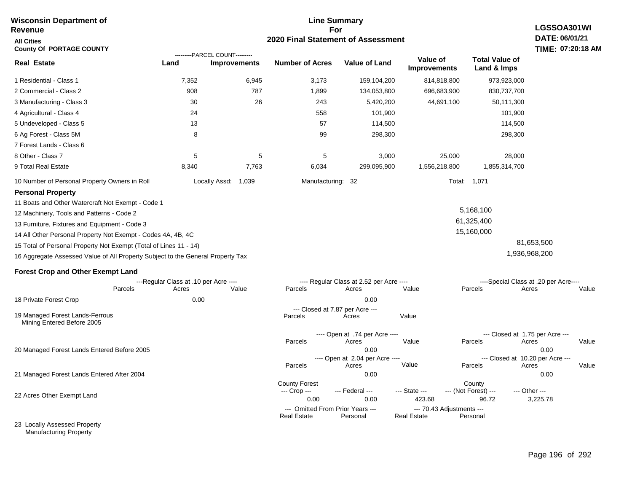### **For 2020 Final Statement of Assessment Revenue All Cities County Of PORTAGE COUNTY LGSSOA301WI DATE: 06/01/21 TIME: 07:20:18 AM Real Estate** 1 Residential - Class 1 2 Commercial - Class 2 3 Manufacturing - Class 3 4 Agricultural - Class 4 5 Undeveloped - Class 5 6 Ag Forest - Class 5M 7 Forest Lands - Class 6 8 Other - Class 7 9 Total Real Estate 10 Number of Personal Property Owners in Roll 7,352 6,945 3,173 159,104,200 814,818,800 973,923,000 **Land Improvements Number of Acres Value of Land Value of Improvements Total Value of Land & Imps** 908 30 24 13 8 5 8,340 787 26 5 7,763 1,899 243 558 57 99 5 6,034 134,053,800 5,420,200 101,900 114,500 298,300 3,000 299,095,900 696,683,900 44,691,100 25,000 1,556,218,800 830,737,700 50,111,300 101,900 114,500 298,300 28,000 1,855,314,700 Locally Assd: 1,039 Manufacturing: 32 Total: 1,071 **Personal Property** 11 Boats and Other Watercraft Not Exempt - Code 1 12 Machinery, Tools and Patterns - Code 2 13 Furniture, Fixtures and Equipment - Code 3 14 All Other Personal Property Not Exempt - Codes 4A, 4B, 4C 15 Total of Personal Property Not Exempt (Total of Lines 11 - 14) 16 Aggregate Assessed Value of All Property Subject to the General Property Tax 5,168,100 61,325,400 15,160,000 81,653,500 1,936,968,200 **Forest Crop and Other Exempt Land** ---Regular Class at .10 per Acre ---- ---- Regular Class at 2.52 per Acre ---- ----Special Class at .20 per Acre---- 18 Private Forest Crop 20 Managed Forest Lands Entered Before 2005 21 Managed Forest Lands Entered After 2004 Parcels 0.00 0.00 Acres Value Parcels Acres Value Parcels Acres Value ---- Open at .74 per Acre<br>Acres Parcels 0.00 0.00 Acres Value Parcels Acres Value --- Closed at 1.75 per Acre --- ---- Open at 2.04 per Acre ---- --- Closed at 10.20 per Acre --- Parcels 0.00 0.00 Acres **Value Parcels Acres Value** County Forest County County --- Crop --- 0.00 0.00 423.68 96.72 3,225.78 --- Federal --- - --- State --- --- (Not Forest) --- --- Other ---22 Acres Other Exempt Land 23 Locally Assessed Property --- Omitted From Prior Years --- --- --- 70.43 Adjustments ---<br>eal Estate --- --- --- Real Estate --- Personal **Real Estate** ---------PARCEL COUNT--------- 19 Managed Forest Lands-Ferrous Mining Entered Before 2005 --- Closed at 7.87 per Acre ---<br>rcels Acres Parcels **Acres** Value

**Line Summary**

Manufacturing Property

**Wisconsin Department of**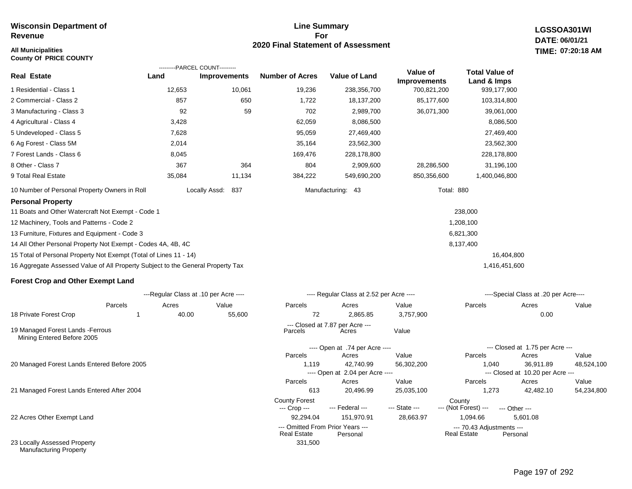### **All Municipalities TIME:**

**County Of PRICE COUNTY**

### **Line Summary For 2020 Final Statement of Assessment**

**LGSSOA301WI DATE: 06/01/21 07:20:18 AM**

|                                                                                 |        | ---------PARCEL COUNT---------        |                        |                                          |                                 |                                      |                                       |       |
|---------------------------------------------------------------------------------|--------|---------------------------------------|------------------------|------------------------------------------|---------------------------------|--------------------------------------|---------------------------------------|-------|
| <b>Real Estate</b>                                                              | Land   | <b>Improvements</b>                   | <b>Number of Acres</b> | <b>Value of Land</b>                     | Value of<br><b>Improvements</b> | <b>Total Value of</b><br>Land & Imps |                                       |       |
| 1 Residential - Class 1                                                         | 12,653 | 10,061                                | 19,236                 | 238,356,700                              | 700,821,200                     | 939,177,900                          |                                       |       |
| 2 Commercial - Class 2                                                          | 857    | 650                                   | 1,722                  | 18,137,200                               | 85,177,600                      | 103,314,800                          |                                       |       |
| 3 Manufacturing - Class 3                                                       | 92     | 59                                    | 702                    | 2,989,700                                | 36,071,300                      | 39,061,000                           |                                       |       |
| 4 Agricultural - Class 4                                                        | 3,428  |                                       | 62,059                 | 8,086,500                                |                                 | 8,086,500                            |                                       |       |
| 5 Undeveloped - Class 5                                                         | 7,628  |                                       | 95,059                 | 27,469,400                               |                                 | 27,469,400                           |                                       |       |
| 6 Ag Forest - Class 5M                                                          | 2,014  |                                       | 35,164                 | 23,562,300                               |                                 | 23,562,300                           |                                       |       |
| 7 Forest Lands - Class 6                                                        | 8,045  |                                       | 169,476                | 228,178,800                              |                                 | 228,178,800                          |                                       |       |
| 8 Other - Class 7                                                               | 367    | 364                                   | 804                    | 2,909,600                                | 28,286,500                      | 31,196,100                           |                                       |       |
| 9 Total Real Estate                                                             | 35,084 | 11,134                                | 384,222                | 549,690,200                              | 850,356,600                     | 1,400,046,800                        |                                       |       |
| 10 Number of Personal Property Owners in Roll                                   |        | Locally Assd:<br>837                  |                        | Manufacturing: 43                        | Total: 880                      |                                      |                                       |       |
| <b>Personal Property</b>                                                        |        |                                       |                        |                                          |                                 |                                      |                                       |       |
| 11 Boats and Other Watercraft Not Exempt - Code 1                               |        |                                       |                        |                                          |                                 | 238,000                              |                                       |       |
| 12 Machinery, Tools and Patterns - Code 2                                       |        |                                       |                        |                                          |                                 | 1,208,100                            |                                       |       |
| 13 Furniture, Fixtures and Equipment - Code 3                                   |        |                                       |                        |                                          |                                 | 6,821,300                            |                                       |       |
| 14 All Other Personal Property Not Exempt - Codes 4A, 4B, 4C                    |        |                                       |                        |                                          |                                 | 8,137,400                            |                                       |       |
| 15 Total of Personal Property Not Exempt (Total of Lines 11 - 14)               |        |                                       |                        |                                          |                                 |                                      | 16,404,800                            |       |
| 16 Aggregate Assessed Value of All Property Subject to the General Property Tax |        |                                       |                        |                                          |                                 | 1,416,451,600                        |                                       |       |
| <b>Forest Crop and Other Exempt Land</b>                                        |        |                                       |                        |                                          |                                 |                                      |                                       |       |
|                                                                                 |        | ---Regular Class at .10 per Acre ---- |                        | ---- Regular Class at 2.52 per Acre ---- |                                 |                                      | ----Special Class at .20 per Acre---- |       |
| Parcels                                                                         | Acres  | Value                                 | Parcels                | Acres                                    | Value                           | Parcels                              | Acres                                 | Value |
| 18 Private Forest Crop                                                          | 40.00  | 55,600                                | 72                     | 2,865.85                                 | 3,757,900                       |                                      | 0.00                                  |       |

19 Managed Forest Lands -Ferrous Mining Entered Before 2005

20 Managed Forest Lands Entered Before 2005

21 Managed Forest Lands Entered After 2004

22 Acres Other Exempt Land

23 Locally Assessed Property Manufacturing Property

| 1    | 40.00 | 55,600 | 72                                                     | 2,865.85                                 | 3,757,900     |                                                 | 0.00                             |            |
|------|-------|--------|--------------------------------------------------------|------------------------------------------|---------------|-------------------------------------------------|----------------------------------|------------|
|      |       |        | Parcels                                                | --- Closed at 7.87 per Acre ---<br>Acres | Value         |                                                 |                                  |            |
|      |       |        |                                                        | ---- Open at .74 per Acre ----           |               |                                                 | --- Closed at 1.75 per Acre ---  |            |
|      |       |        | Parcels                                                | Acres                                    | Value         | Parcels                                         | Acres                            | Value      |
| :005 |       |        | 1.119                                                  | 42.740.99                                | 56,302,200    | 1.040                                           | 36,911.89                        | 48,524,100 |
|      |       |        |                                                        | ---- Open at 2.04 per Acre ----          |               |                                                 | --- Closed at 10.20 per Acre --- |            |
|      |       |        | Parcels                                                | Acres                                    | Value         | Parcels                                         | Acres                            | Value      |
| 04   |       |        | 613                                                    | 20.496.99                                | 25,035,100    | 1.273                                           | 42.482.10                        | 54,234,800 |
|      |       |        | <b>County Forest</b><br>--- Crop ---                   | --- Federal ---                          | --- State --- | County<br>--- (Not Forest) ---                  | --- Other ---                    |            |
|      |       |        | 92.294.04                                              | 151.970.91                               | 28,663.97     | 1.094.66                                        | 5.601.08                         |            |
|      |       |        | --- Omitted From Prior Years ---<br><b>Real Estate</b> | Personal                                 |               | --- 70.43 Adjustments ---<br><b>Real Estate</b> | Personal                         |            |
|      |       |        | 331,500                                                |                                          |               |                                                 |                                  |            |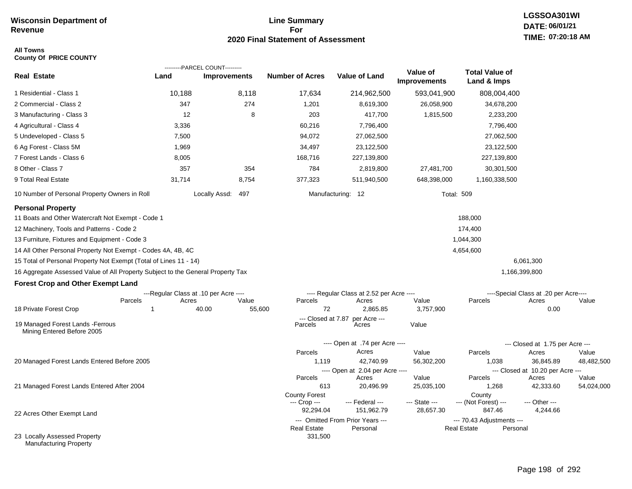## **Line Summary For 2020 Final Statement of Assessment**

### **All Towns County Of PRICE COUNTY**

|                                                                                                               |                                       | ---------PARCEL COUNT--------- |                               |                                          |                                 |                                      |                                           |            |
|---------------------------------------------------------------------------------------------------------------|---------------------------------------|--------------------------------|-------------------------------|------------------------------------------|---------------------------------|--------------------------------------|-------------------------------------------|------------|
| <b>Real Estate</b>                                                                                            | Land                                  | <b>Improvements</b>            | <b>Number of Acres</b>        | <b>Value of Land</b>                     | Value of<br><b>Improvements</b> | <b>Total Value of</b><br>Land & Imps |                                           |            |
| 1 Residential - Class 1                                                                                       | 10,188                                | 8,118                          | 17,634                        | 214,962,500                              | 593,041,900                     | 808,004,400                          |                                           |            |
| 2 Commercial - Class 2                                                                                        | 347                                   | 274                            | 1,201                         | 8,619,300                                | 26,058,900                      | 34,678,200                           |                                           |            |
| 3 Manufacturing - Class 3                                                                                     | 12                                    | 8                              | 203                           | 417,700                                  | 1,815,500                       | 2,233,200                            |                                           |            |
| 4 Agricultural - Class 4                                                                                      | 3,336                                 |                                | 60,216                        | 7,796,400                                |                                 | 7,796,400                            |                                           |            |
| 5 Undeveloped - Class 5                                                                                       | 7,500                                 |                                | 94,072                        | 27,062,500                               |                                 | 27,062,500                           |                                           |            |
| 6 Ag Forest - Class 5M                                                                                        | 1,969                                 |                                | 34,497                        | 23,122,500                               |                                 | 23,122,500                           |                                           |            |
| 7 Forest Lands - Class 6                                                                                      | 8,005                                 |                                | 168,716                       | 227,139,800                              |                                 | 227,139,800                          |                                           |            |
| 8 Other - Class 7                                                                                             | 357                                   | 354                            | 784                           | 2,819,800                                | 27,481,700                      | 30,301,500                           |                                           |            |
| 9 Total Real Estate                                                                                           | 31,714                                | 8,754                          | 377,323                       | 511,940,500                              | 648,398,000                     | 1,160,338,500                        |                                           |            |
| 10 Number of Personal Property Owners in Roll                                                                 |                                       | Locally Assd:<br>497           |                               | Manufacturing: 12                        | <b>Total: 509</b>               |                                      |                                           |            |
| <b>Personal Property</b>                                                                                      |                                       |                                |                               |                                          |                                 |                                      |                                           |            |
| 11 Boats and Other Watercraft Not Exempt - Code 1<br>12 Machinery, Tools and Patterns - Code 2                |                                       |                                |                               |                                          |                                 | 188,000                              |                                           |            |
|                                                                                                               |                                       |                                |                               |                                          |                                 | 174,400                              |                                           |            |
| 13 Furniture, Fixtures and Equipment - Code 3<br>14 All Other Personal Property Not Exempt - Codes 4A, 4B, 4C |                                       |                                |                               |                                          |                                 | 1,044,300<br>4,654,600               |                                           |            |
| 15 Total of Personal Property Not Exempt (Total of Lines 11 - 14)                                             |                                       |                                |                               |                                          |                                 |                                      | 6,061,300                                 |            |
| 16 Aggregate Assessed Value of All Property Subject to the General Property Tax                               |                                       |                                |                               |                                          |                                 |                                      | 1,166,399,800                             |            |
|                                                                                                               |                                       |                                |                               |                                          |                                 |                                      |                                           |            |
| <b>Forest Crop and Other Exempt Land</b>                                                                      | ---Regular Class at .10 per Acre ---- |                                |                               | ---- Regular Class at 2.52 per Acre ---- |                                 |                                      | ----Special Class at .20 per Acre----     |            |
| Parcels                                                                                                       | Acres                                 | Value                          | Parcels                       | Acres                                    | Value                           | Parcels                              | Acres                                     | Value      |
| 18 Private Forest Crop                                                                                        | 1                                     | 40.00<br>55,600                | 72                            | 2,865.85                                 | 3,757,900                       |                                      | 0.00                                      |            |
| 19 Managed Forest Lands - Ferrous<br>Mining Entered Before 2005                                               |                                       |                                | --- Closed at 7.87<br>Parcels | per Acre ---<br>Acres                    | Value                           |                                      |                                           |            |
|                                                                                                               |                                       |                                |                               | ---- Open at .74 per Acre ----           |                                 |                                      | --- Closed at 1.75 per Acre ---           |            |
|                                                                                                               |                                       |                                | Parcels                       | Acres                                    | Value                           | Parcels                              | Acres                                     | Value      |
| 20 Managed Forest Lands Entered Before 2005                                                                   |                                       |                                | 1,119                         | 42,740.99                                | 56,302,200                      | 1,038                                | 36,845.89                                 | 48,482,500 |
|                                                                                                               |                                       |                                | Parcels                       | ---- Open at 2.04 per Acre ----<br>Acres | Value                           | Parcels                              | --- Closed at 10.20 per Acre ---<br>Acres | Value      |
| 21 Managed Forest Lands Entered After 2004                                                                    |                                       |                                | 613                           | 20,496.99                                | 25,035,100                      | 1,268                                | 42,333.60                                 | 54,024,000 |
|                                                                                                               |                                       |                                | <b>County Forest</b>          |                                          |                                 | County                               |                                           |            |
|                                                                                                               |                                       |                                | --- Crop ---<br>92,294.04     | --- Federal ---<br>151,962.79            | --- State ---<br>28,657.30      | --- (Not Forest) ---<br>847.46       | --- Other ---                             |            |
| 22 Acres Other Exempt Land                                                                                    |                                       |                                |                               | --- Omitted From Prior Years ---         |                                 | --- 70.43 Adjustments ---            | 4,244.66                                  |            |
|                                                                                                               |                                       |                                | <b>Real Estate</b>            | Personal                                 |                                 | <b>Real Estate</b>                   | Personal                                  |            |
| 23 Locally Assessed Property<br><b>Manufacturing Property</b>                                                 |                                       |                                | 331,500                       |                                          |                                 |                                      |                                           |            |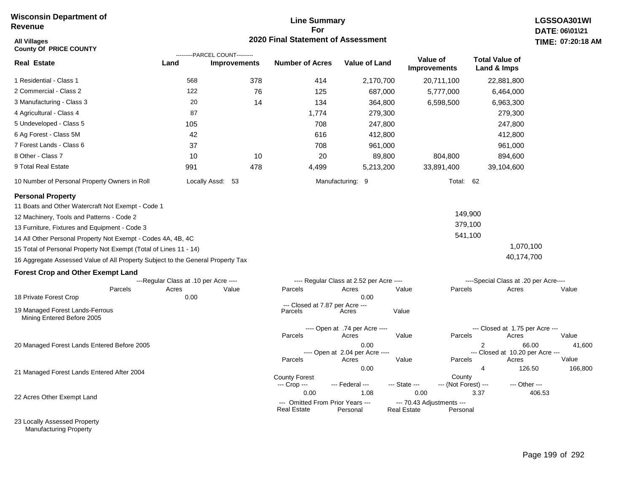## **Line Summary For 2020 Final Statement of Assessment**

| <b>All Villages</b><br><b>County Of PRICE COUNTY</b>                            |                                       | ---------PARCEL COUNT--------- | 2020 Final Statement of Assessment   |                                          |               |                                 |                                       | TIME: 07:20:18    |
|---------------------------------------------------------------------------------|---------------------------------------|--------------------------------|--------------------------------------|------------------------------------------|---------------|---------------------------------|---------------------------------------|-------------------|
| <b>Real Estate</b>                                                              | Land                                  | <b>Improvements</b>            | <b>Number of Acres</b>               | <b>Value of Land</b>                     |               | Value of<br><b>Improvements</b> | <b>Total Value of</b><br>Land & Imps  |                   |
| 1 Residential - Class 1                                                         | 568                                   | 378                            | 414                                  | 2,170,700                                |               | 20,711,100                      | 22,881,800                            |                   |
| 2 Commercial - Class 2                                                          | 122                                   | 76                             | 125                                  | 687,000                                  |               | 5,777,000                       | 6,464,000                             |                   |
| 3 Manufacturing - Class 3                                                       | 20                                    | 14                             | 134                                  | 364,800                                  |               | 6,598,500                       | 6,963,300                             |                   |
| 4 Agricultural - Class 4                                                        | 87                                    |                                | 1,774                                | 279,300                                  |               |                                 | 279,300                               |                   |
| 5 Undeveloped - Class 5                                                         | 105                                   |                                | 708                                  | 247,800                                  |               |                                 | 247,800                               |                   |
| 6 Ag Forest - Class 5M                                                          | 42                                    |                                | 616                                  | 412,800                                  |               |                                 | 412,800                               |                   |
| 7 Forest Lands - Class 6                                                        | 37                                    |                                | 708                                  | 961,000                                  |               |                                 | 961,000                               |                   |
| 8 Other - Class 7                                                               | 10                                    | 10                             | 20                                   | 89,800                                   |               | 804,800                         | 894,600                               |                   |
| 9 Total Real Estate                                                             | 991                                   | 478                            | 4,499                                | 5,213,200                                |               | 33,891,400                      | 39,104,600                            |                   |
| 10 Number of Personal Property Owners in Roll                                   |                                       | Locally Assd: 53               |                                      | Manufacturing: 9                         |               | Total: 62                       |                                       |                   |
| <b>Personal Property</b>                                                        |                                       |                                |                                      |                                          |               |                                 |                                       |                   |
| 11 Boats and Other Watercraft Not Exempt - Code 1                               |                                       |                                |                                      |                                          |               |                                 |                                       |                   |
| 12 Machinery, Tools and Patterns - Code 2                                       |                                       |                                |                                      |                                          |               |                                 | 149,900                               |                   |
| 13 Furniture, Fixtures and Equipment - Code 3                                   |                                       |                                |                                      |                                          |               |                                 | 379,100                               |                   |
| 14 All Other Personal Property Not Exempt - Codes 4A, 4B, 4C                    |                                       |                                |                                      |                                          |               |                                 | 541,100                               |                   |
| 15 Total of Personal Property Not Exempt (Total of Lines 11 - 14)               |                                       |                                |                                      |                                          |               |                                 |                                       | 1,070,100         |
| 16 Aggregate Assessed Value of All Property Subject to the General Property Tax |                                       |                                |                                      |                                          |               |                                 | 40,174,700                            |                   |
| <b>Forest Crop and Other Exempt Land</b>                                        |                                       |                                |                                      |                                          |               |                                 |                                       |                   |
|                                                                                 | ---Regular Class at .10 per Acre ---- |                                |                                      | ---- Regular Class at 2.52 per Acre ---- |               |                                 | ----Special Class at .20 per Acre---- |                   |
| Parcels<br>18 Private Forest Crop                                               | Acres<br>0.00                         | Value                          | Parcels                              | Acres<br>0.00                            | Value         | Parcels                         | Acres                                 | Value             |
|                                                                                 |                                       |                                | --- Closed at 7.87 per Acre ---      |                                          |               |                                 |                                       |                   |
| 19 Managed Forest Lands-Ferrous<br>Mining Entered Before 2005                   |                                       |                                | Parcels                              | Acres                                    | Value         |                                 |                                       |                   |
|                                                                                 |                                       |                                |                                      | ---- Open at .74 per Acre ----           |               |                                 | --- Closed at 1.75 per Acre ---       |                   |
|                                                                                 |                                       |                                | Parcels                              | Acres                                    | Value         | Parcels                         | Acres                                 | Value             |
| 20 Managed Forest Lands Entered Before 2005                                     |                                       |                                |                                      | 0.00<br>---- Open at 2.04 per Acre ----  |               |                                 | 2<br>--- Closed at 10.20 per Acre --- | 66.00<br>41,600   |
|                                                                                 |                                       |                                | Parcels                              | Acres                                    | Value         | Parcels                         | Acres                                 | Value             |
| 21 Managed Forest Lands Entered After 2004                                      |                                       |                                |                                      | 0.00                                     |               |                                 | $\overline{4}$                        | 126.50<br>166,800 |
|                                                                                 |                                       |                                | <b>County Forest</b><br>--- Crop --- | --- Federal ---                          | --- State --- | County<br>--- (Not Forest) ---  |                                       | --- Other ---     |
|                                                                                 |                                       |                                | 0.00                                 | 1.08                                     | 0.00          |                                 | 3.37                                  | 406.53            |
| 22 Acres Other Exempt Land                                                      |                                       |                                | --- Omitted From Prior Years ---     |                                          |               | --- 70.43 Adjustments ---       |                                       |                   |

23 Locally Assessed Property Manufacturing Property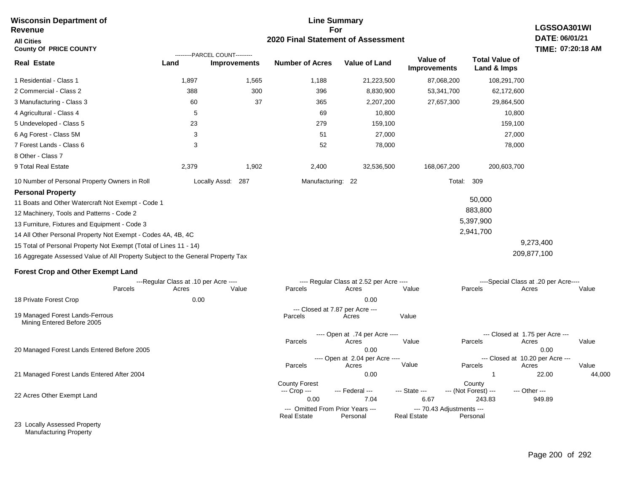### **For 2020 Final Statement of Assessment Revenue All Cities County Of PRICE COUNTY LGSSOA301WI DATE: 06/01/21 TIME: 07:20:18 AM Real Estate** 1 Residential - Class 1 2 Commercial - Class 2 3 Manufacturing - Class 3 4 Agricultural - Class 4 5 Undeveloped - Class 5 6 Ag Forest - Class 5M 7 Forest Lands - Class 6 8 Other - Class 7 9 Total Real Estate 10 Number of Personal Property Owners in Roll 1,897 1,565 1,188 21,223,500 87,068,200 108,291,700 **Land Improvements Number of Acres Value of Land Value of Improvements Total Value of Land & Imps** 388 60 5 23 3 3 2,379 300 37 1,902 396 365 69 279 51 52 2,400 8,830,900 2,207,200 10,800 159,100 27,000 78,000 32,536,500 53,341,700 27,657,300 168,067,200 62,172,600 29,864,500 10,800 159,100 27,000 78,000 200,603,700 Locally Assd: 287 Manufacturing: 22 Total: 309 **Personal Property** 11 Boats and Other Watercraft Not Exempt - Code 1 12 Machinery, Tools and Patterns - Code 2 13 Furniture, Fixtures and Equipment - Code 3 14 All Other Personal Property Not Exempt - Codes 4A, 4B, 4C 15 Total of Personal Property Not Exempt (Total of Lines 11 - 14) 16 Aggregate Assessed Value of All Property Subject to the General Property Tax 50,000 883,800 5,397,900 2,941,700 9,273,400 209,877,100 **Forest Crop and Other Exempt Land** ---Regular Class at .10 per Acre ---- ---- Regular Class at 2.52 per Acre ---- ----Special Class at .20 per Acre---- 18 Private Forest Crop 20 Managed Forest Lands Entered Before 2005 21 Managed Forest Lands Entered After 2004 Parcels 0.00 0.00 Acres Value Parcels Acres Value Parcels Acres Value ---- Open at .74 per Acre<br>Acres Parcels 0.00 0.00 Acres Value Parcels Acres Value --- Closed at 1.75 per Acre --- ---- Open at 2.04 per Acre ---- --- Closed at 10.20 per Acre --- Parcels 0.00 1 22.00 44,000 Acres **Value Parcels Acres Value** County Forest County County --- Crop --- 0.00 7.04 6.67 243.83 949.89 --- Federal --- - --- State --- --- (Not Forest) --- --- Other ---22 Acres Other Exempt Land 23 Locally Assessed Property --- Omitted From Prior Years --- --- --- 70.43 Adjustments ---<br>eal Estate --- --- --- Real Estate --- Personal **Real Estate** ---------PARCEL COUNT--------- 19 Managed Forest Lands-Ferrous Mining Entered Before 2005 --- Closed at 7.87 per Acre ---<br>rcels Acres Parcels **Acres** Value

**Line Summary**

Manufacturing Property

**Wisconsin Department of**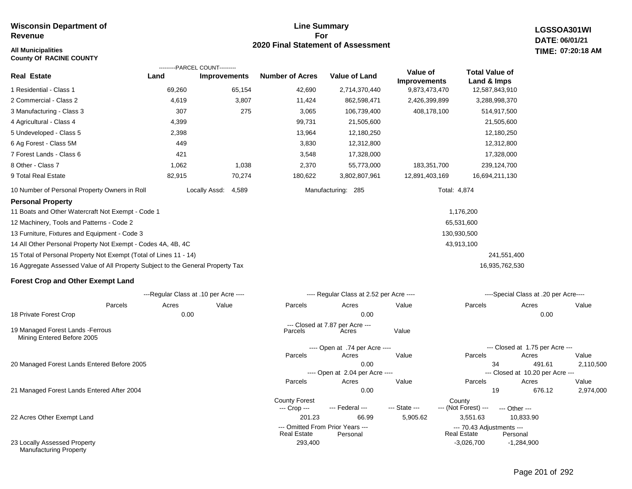### **All Municipalities TIME:**

**County Of RACINE COUNTY**

### **Line Summary For 2020 Final Statement of Assessment**

293,400 -3,026,700

**LGSSOA301WI DATE: 06/01/21 07:20:18 AM**

| <b>Real Estate</b>                                                              | ---------PARCEL COUNT---------<br>Land | <b>Improvements</b>    | <b>Number of Acres</b>                                 | Value of Land                            | Value of<br><b>Improvements</b> | <b>Total Value of</b><br>Land & Imps            |                                           |       |
|---------------------------------------------------------------------------------|----------------------------------------|------------------------|--------------------------------------------------------|------------------------------------------|---------------------------------|-------------------------------------------------|-------------------------------------------|-------|
| 1 Residential - Class 1                                                         | 69,260                                 | 65,154                 | 42,690                                                 | 2,714,370,440                            | 9,873,473,470                   | 12,587,843,910                                  |                                           |       |
| 2 Commercial - Class 2                                                          | 4,619                                  | 3,807                  | 11,424                                                 | 862,598,471                              | 2,426,399,899                   | 3,288,998,370                                   |                                           |       |
| 3 Manufacturing - Class 3                                                       | 307                                    | 275                    | 3,065                                                  | 106,739,400                              | 408,178,100                     | 514,917,500                                     |                                           |       |
| 4 Agricultural - Class 4                                                        | 4,399                                  |                        | 99,731                                                 | 21,505,600                               |                                 |                                                 | 21,505,600                                |       |
| 5 Undeveloped - Class 5                                                         | 2,398                                  |                        | 13,964                                                 | 12,180,250                               |                                 |                                                 | 12,180,250                                |       |
| 6 Ag Forest - Class 5M                                                          | 449                                    |                        | 3,830                                                  | 12,312,800                               |                                 |                                                 | 12,312,800                                |       |
| 7 Forest Lands - Class 6                                                        | 421                                    |                        | 3,548                                                  | 17,328,000                               |                                 |                                                 | 17,328,000                                |       |
| 8 Other - Class 7                                                               | 1,062                                  | 1,038                  | 2,370                                                  | 55,773,000                               | 183,351,700                     | 239,124,700                                     |                                           |       |
| 9 Total Real Estate                                                             | 82,915                                 | 70,274                 | 180,622                                                | 3,802,807,961                            | 12,891,403,169                  | 16,694,211,130                                  |                                           |       |
| 10 Number of Personal Property Owners in Roll                                   |                                        | Locally Assd:<br>4,589 |                                                        | Manufacturing: 285                       |                                 | Total: 4,874                                    |                                           |       |
| <b>Personal Property</b>                                                        |                                        |                        |                                                        |                                          |                                 |                                                 |                                           |       |
| 11 Boats and Other Watercraft Not Exempt - Code 1                               |                                        |                        |                                                        |                                          |                                 | 1,176,200                                       |                                           |       |
| 12 Machinery, Tools and Patterns - Code 2                                       |                                        |                        |                                                        |                                          |                                 | 65,531,600                                      |                                           |       |
| 13 Furniture, Fixtures and Equipment - Code 3                                   |                                        |                        |                                                        |                                          |                                 | 130,930,500                                     |                                           |       |
| 14 All Other Personal Property Not Exempt - Codes 4A, 4B, 4C                    |                                        |                        |                                                        |                                          |                                 | 43,913,100                                      |                                           |       |
| 15 Total of Personal Property Not Exempt (Total of Lines 11 - 14)               |                                        |                        |                                                        |                                          |                                 |                                                 | 241,551,400                               |       |
| 16 Aggregate Assessed Value of All Property Subject to the General Property Tax |                                        |                        |                                                        |                                          |                                 |                                                 | 16,935,762,530                            |       |
| <b>Forest Crop and Other Exempt Land</b>                                        |                                        |                        |                                                        |                                          |                                 |                                                 |                                           |       |
|                                                                                 | ---Regular Class at .10 per Acre ----  |                        |                                                        | ---- Regular Class at 2.52 per Acre ---- |                                 |                                                 | ----Special Class at .20 per Acre----     |       |
| Parcels                                                                         | Acres                                  | Value                  | Parcels                                                | Acres                                    | Value                           | Parcels                                         | Acres                                     | Value |
| 18 Private Forest Crop                                                          | 0.00                                   |                        |                                                        | 0.00                                     |                                 |                                                 | 0.00                                      |       |
| 19 Managed Forest Lands - Ferrous<br>Mining Entered Before 2005                 |                                        |                        | Parcels                                                | --- Closed at 7.87 per Acre ---<br>Acres | Value                           |                                                 |                                           |       |
|                                                                                 |                                        |                        |                                                        | ---- Open at .74 per Acre ----           |                                 |                                                 | --- Closed at 1.75 per Acre ---           |       |
|                                                                                 |                                        |                        | Parcels                                                | Acres                                    | Value                           | Parcels                                         | Acres                                     | Value |
| 20 Managed Forest Lands Entered Before 2005                                     |                                        |                        |                                                        | 0.00                                     |                                 | 34                                              | 491.61                                    | 2,11  |
|                                                                                 |                                        |                        | Parcels                                                | ---- Open at 2.04 per Acre ----<br>Acres | Value                           | Parcels                                         | --- Closed at 10.20 per Acre ---<br>Acres | Value |
| 21 Managed Forest Lands Entered After 2004                                      |                                        |                        |                                                        | 0.00                                     |                                 | 19                                              | 676.12                                    | 2,97  |
|                                                                                 |                                        |                        | <b>County Forest</b><br>--- Crop ---                   | --- Federal ---                          | --- State ---                   | County<br>--- (Not Forest) ---                  | --- Other ---                             |       |
| 22 Acres Other Exempt Land                                                      |                                        |                        | 201.23                                                 | 66.99                                    | 5,905.62                        | 3,551.63                                        | 10,833.90                                 |       |
|                                                                                 |                                        |                        | --- Omitted From Prior Years ---<br><b>Real Estate</b> | Personal                                 |                                 | --- 70.43 Adjustments ---<br><b>Real Estate</b> | Personal                                  |       |

23 Locally Assessed Property Manufacturing Property

-1,284,900

2,110,500

2,974,000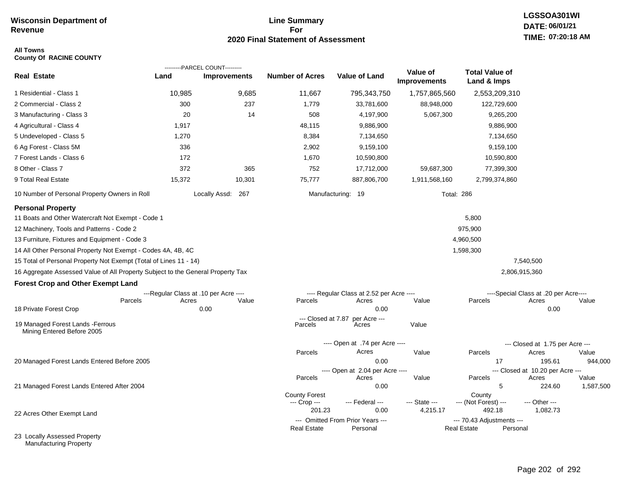### **Line Summary For 2020 Final Statement of Assessment**

---------PARCEL COUNT---------

### **All Towns County Of RACINE COUNTY**

|                                                                                 |                                       | ---------PARCEL COUNT--------- |                                                |                                              |                                 |                                                 |                                           |       |
|---------------------------------------------------------------------------------|---------------------------------------|--------------------------------|------------------------------------------------|----------------------------------------------|---------------------------------|-------------------------------------------------|-------------------------------------------|-------|
| <b>Real Estate</b>                                                              | Land                                  | <b>Improvements</b>            | <b>Number of Acres</b>                         | <b>Value of Land</b>                         | Value of<br><b>Improvements</b> | <b>Total Value of</b><br>Land & Imps            |                                           |       |
| 1 Residential - Class 1                                                         | 10,985                                | 9,685                          | 11,667                                         | 795,343,750                                  | 1,757,865,560                   | 2,553,209,310                                   |                                           |       |
| 2 Commercial - Class 2                                                          | 300                                   | 237                            | 1,779                                          | 33,781,600                                   | 88,948,000                      | 122,729,600                                     |                                           |       |
| 3 Manufacturing - Class 3                                                       | 20                                    | 14                             | 508                                            | 4,197,900                                    | 5,067,300                       | 9,265,200                                       |                                           |       |
| 4 Agricultural - Class 4                                                        | 1,917                                 |                                | 48,115                                         | 9,886,900                                    |                                 | 9,886,900                                       |                                           |       |
| 5 Undeveloped - Class 5                                                         | 1,270                                 |                                | 8,384                                          | 7,134,650                                    |                                 | 7,134,650                                       |                                           |       |
| 6 Ag Forest - Class 5M                                                          | 336                                   |                                | 2,902                                          | 9,159,100                                    |                                 | 9,159,100                                       |                                           |       |
| 7 Forest Lands - Class 6                                                        | 172                                   |                                | 1,670                                          | 10,590,800                                   |                                 | 10,590,800                                      |                                           |       |
| 8 Other - Class 7                                                               | 372                                   | 365                            | 752                                            | 17,712,000                                   | 59,687,300                      | 77,399,300                                      |                                           |       |
| 9 Total Real Estate                                                             | 15,372                                | 10,301                         | 75,777                                         | 887,806,700                                  | 1,911,568,160                   | 2,799,374,860                                   |                                           |       |
| 10 Number of Personal Property Owners in Roll                                   |                                       | Locally Assd: 267              |                                                | Manufacturing: 19                            |                                 | <b>Total: 286</b>                               |                                           |       |
| <b>Personal Property</b>                                                        |                                       |                                |                                                |                                              |                                 |                                                 |                                           |       |
| 11 Boats and Other Watercraft Not Exempt - Code 1                               |                                       |                                |                                                |                                              |                                 | 5,800                                           |                                           |       |
| 12 Machinery, Tools and Patterns - Code 2                                       |                                       |                                |                                                |                                              |                                 | 975,900                                         |                                           |       |
| 13 Furniture, Fixtures and Equipment - Code 3                                   |                                       |                                |                                                |                                              |                                 | 4,960,500                                       |                                           |       |
| 14 All Other Personal Property Not Exempt - Codes 4A, 4B, 4C                    |                                       |                                |                                                |                                              |                                 | 1,598,300                                       |                                           |       |
| 15 Total of Personal Property Not Exempt (Total of Lines 11 - 14)               |                                       |                                |                                                |                                              |                                 |                                                 | 7,540,500                                 |       |
| 16 Aggregate Assessed Value of All Property Subject to the General Property Tax |                                       |                                |                                                |                                              |                                 |                                                 | 2,806,915,360                             |       |
| <b>Forest Crop and Other Exempt Land</b>                                        |                                       |                                |                                                |                                              |                                 |                                                 |                                           |       |
|                                                                                 | ---Regular Class at .10 per Acre ---- |                                |                                                | ---- Regular Class at 2.52 per Acre ----     |                                 |                                                 | ----Special Class at .20 per Acre----     |       |
| Parcels                                                                         | Acres                                 | Value                          | Parcels                                        | Acres                                        | Value                           | Parcels                                         | Acres                                     | Value |
| 18 Private Forest Crop                                                          |                                       | 0.00                           |                                                | 0.00                                         |                                 |                                                 | 0.00                                      |       |
| 19 Managed Forest Lands - Ferrous<br>Mining Entered Before 2005                 |                                       |                                | --- Closed at 7.87<br>Parcels                  | per Acre ---<br>Acres                        | Value                           |                                                 |                                           |       |
|                                                                                 |                                       |                                |                                                | ---- Open at .74 per Acre ----               |                                 |                                                 | --- Closed at 1.75 per Acre ---           |       |
|                                                                                 |                                       |                                | Parcels                                        | Acres                                        | Value                           | Parcels                                         | Acres                                     | Value |
| 20 Managed Forest Lands Entered Before 2005                                     |                                       |                                |                                                | 0.00                                         |                                 | 17                                              | 195.61                                    | 944   |
|                                                                                 |                                       |                                | Parcels                                        | ---- Open at 2.04 per Acre ----<br>Acres     | Value                           | Parcels                                         | --- Closed at 10.20 per Acre ---<br>Acres | Value |
| 21 Managed Forest Lands Entered After 2004                                      |                                       |                                |                                                | 0.00                                         |                                 | 5                                               | 224.60                                    | 1,587 |
|                                                                                 |                                       |                                | <b>County Forest</b><br>--- Crop ---<br>201.23 | --- Federal ---<br>0.00                      | --- State ---<br>4,215.17       | County<br>--- (Not Forest) ---<br>492.18        | --- Other ---<br>1,082.73                 |       |
| 22 Acres Other Exempt Land                                                      |                                       |                                | <b>Real Estate</b>                             | --- Omitted From Prior Years ---<br>Personal |                                 | --- 70.43 Adjustments ---<br><b>Real Estate</b> | Personal                                  |       |

23 Locally Assessed Property Manufacturing Property

17 195.61 944,000

5 224.60 1,587,500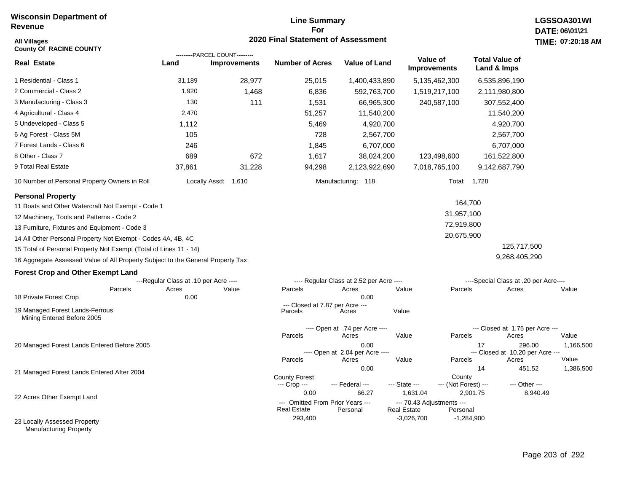# **Line Summary For 2020 Final Statement of Assessment All Villages TIME:**

| <b>County Of RACINE COUNTY</b>                                                  |                                       | ---------PARCEL COUNT--------- |                                                        |                                          |                                                 |                                  |                                            |       |
|---------------------------------------------------------------------------------|---------------------------------------|--------------------------------|--------------------------------------------------------|------------------------------------------|-------------------------------------------------|----------------------------------|--------------------------------------------|-------|
| <b>Real Estate</b>                                                              | Land                                  | <b>Improvements</b>            | <b>Number of Acres</b>                                 | <b>Value of Land</b>                     | Value of<br><b>Improvements</b>                 |                                  | <b>Total Value of</b><br>Land & Imps       |       |
| 1 Residential - Class 1                                                         | 31,189                                | 28,977                         | 25,015                                                 | 1,400,433,890                            | 5,135,462,300                                   |                                  | 6,535,896,190                              |       |
| 2 Commercial - Class 2                                                          | 1,920                                 | 1,468                          | 6,836                                                  | 592,763,700                              | 1,519,217,100                                   |                                  | 2,111,980,800                              |       |
| 3 Manufacturing - Class 3                                                       | 130                                   | 111                            | 1,531                                                  | 66,965,300                               | 240,587,100                                     |                                  | 307,552,400                                |       |
| 4 Agricultural - Class 4                                                        | 2,470                                 |                                | 51,257                                                 | 11,540,200                               |                                                 |                                  | 11,540,200                                 |       |
| 5 Undeveloped - Class 5                                                         | 1,112                                 |                                | 5,469                                                  | 4,920,700                                |                                                 |                                  | 4,920,700                                  |       |
| 6 Ag Forest - Class 5M                                                          | 105                                   |                                | 728                                                    | 2,567,700                                |                                                 |                                  | 2,567,700                                  |       |
| 7 Forest Lands - Class 6                                                        | 246                                   |                                | 1,845                                                  | 6,707,000                                |                                                 |                                  | 6,707,000                                  |       |
| 8 Other - Class 7                                                               | 689                                   | 672                            | 1,617                                                  | 38,024,200                               | 123,498,600                                     |                                  | 161,522,800                                |       |
| 9 Total Real Estate                                                             | 37,861                                | 31,228                         | 94,298                                                 | 2,123,922,690                            | 7,018,765,100                                   |                                  | 9,142,687,790                              |       |
| 10 Number of Personal Property Owners in Roll                                   |                                       | Locally Assd:<br>1,610         |                                                        | Manufacturing: 118                       |                                                 | Total: 1,728                     |                                            |       |
| <b>Personal Property</b><br>11 Boats and Other Watercraft Not Exempt - Code 1   |                                       |                                |                                                        |                                          |                                                 | 164,700                          |                                            |       |
| 12 Machinery, Tools and Patterns - Code 2                                       |                                       |                                |                                                        |                                          |                                                 | 31,957,100                       |                                            |       |
| 13 Furniture, Fixtures and Equipment - Code 3                                   |                                       |                                |                                                        |                                          |                                                 | 72,919,800                       |                                            |       |
| 14 All Other Personal Property Not Exempt - Codes 4A, 4B, 4C                    |                                       |                                |                                                        |                                          |                                                 | 20,675,900                       |                                            |       |
| 15 Total of Personal Property Not Exempt (Total of Lines 11 - 14)               |                                       |                                |                                                        |                                          |                                                 |                                  | 125,717,500                                |       |
| 16 Aggregate Assessed Value of All Property Subject to the General Property Tax |                                       |                                |                                                        |                                          |                                                 |                                  | 9,268,405,290                              |       |
|                                                                                 |                                       |                                |                                                        |                                          |                                                 |                                  |                                            |       |
| <b>Forest Crop and Other Exempt Land</b>                                        | ---Regular Class at .10 per Acre ---- |                                |                                                        | ---- Regular Class at 2.52 per Acre ---- |                                                 |                                  | ----Special Class at .20 per Acre----      |       |
| Parcels                                                                         | Acres                                 | Value                          | Parcels                                                | Acres                                    | Value                                           | Parcels                          | Acres                                      | Value |
| 18 Private Forest Crop                                                          | 0.00                                  |                                |                                                        | 0.00                                     |                                                 |                                  |                                            |       |
| 19 Managed Forest Lands-Ferrous<br>Mining Entered Before 2005                   |                                       |                                | --- Closed at 7.87 per Acre ---<br>Parcels             | Acres                                    | Value                                           |                                  |                                            |       |
|                                                                                 |                                       |                                |                                                        | ---- Open at .74 per Acre ----           |                                                 |                                  | --- Closed at 1.75 per Acre ---            |       |
|                                                                                 |                                       |                                | Parcels                                                | Acres                                    | Value                                           | Parcels                          | Acres                                      | Value |
| 20 Managed Forest Lands Entered Before 2005                                     |                                       |                                |                                                        | 0.00<br>---- Open at 2.04 per Acre ----  |                                                 | 17                               | 296.00<br>--- Closed at 10.20 per Acre --- | 1,16  |
|                                                                                 |                                       |                                | Parcels                                                | Acres                                    | Value                                           | Parcels                          | Acres                                      | Value |
| 21 Managed Forest Lands Entered After 2004                                      |                                       |                                | <b>County Forest</b>                                   | 0.00                                     |                                                 | 14<br>County                     | 451.52                                     | 1,38  |
|                                                                                 |                                       |                                | --- Crop ---<br>0.00                                   | --- Federal ---<br>66.27                 | --- State ---<br>1,631.04                       | --- (Not Forest) ---<br>2,901.75 | --- Other ---<br>8,940.49                  |       |
| 22 Acres Other Exempt Land                                                      |                                       |                                | --- Omitted From Prior Years ---<br><b>Real Estate</b> | Personal                                 | --- 70.43 Adjustments ---<br><b>Real Estate</b> | Personal                         |                                            |       |
| 23 Locally Assessed Property                                                    |                                       |                                | 293,400                                                |                                          | $-3,026,700$                                    | $-1,284,900$                     |                                            |       |

Manufacturing Property

1,166,500

1,386,500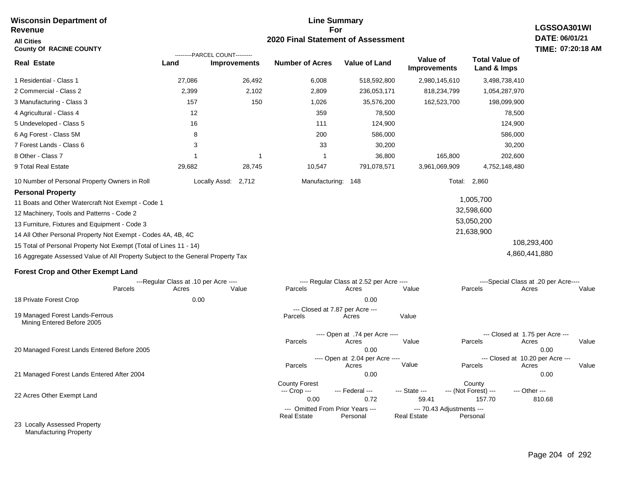### **Line Summary For 2020 Final Statement of Assessment Wisconsin Department of Revenue All Cities County Of RACINE COUNTY Real Estate** 1 Residential - Class 1 2 Commercial - Class 2 3 Manufacturing - Class 3 4 Agricultural - Class 4 5 Undeveloped - Class 5 6 Ag Forest - Class 5M 7 Forest Lands - Class 6 8 Other - Class 7 9 Total Real Estate 27,086 26,492 6,008 518,592,800 2,980,145,610 3,498,738,410 **Land Improvements Number of Acres Value of Land Value of Improvements Total Value of Land & Imps** 2,399 157 12 16 8 3 1 29,682 2,102 150 1 28,745 2,809 1,026 359 111 200 33 1 10,547 236,053,171 35,576,200 78,500 124,900 586,000 30,200 36,800 791,078,571 818,234,799 162,523,700 165,800 3,961,069,909 1,054,287,970 198,099,900 78,500 124,900 586,000 30,200 202,600 4,752,148,480 ---------PARCEL COUNT---------

10 Number of Personal Property Owners in Roll Locally Assd: 2,712 Manufacturing: 148 Total: 2,860

### **Personal Property**

11 Boats and Other Watercraft Not Exempt - Code 1

12 Machinery, Tools and Patterns - Code 2

13 Furniture, Fixtures and Equipment - Code 3

14 All Other Personal Property Not Exempt - Codes 4A, 4B, 4C

15 Total of Personal Property Not Exempt (Total of Lines 11 - 14)

16 Aggregate Assessed Value of All Property Subject to the General Property Tax

### **Forest Crop and Other Exempt Land**

|                                                               |         | ---Regular Class at .10 per Acre ---- |       |                      | ---- Regular Class at 2.52 per Acre ---- |                    | ----Special Class at .20 per Acre---- |                                  |       |
|---------------------------------------------------------------|---------|---------------------------------------|-------|----------------------|------------------------------------------|--------------------|---------------------------------------|----------------------------------|-------|
|                                                               | Parcels | Acres                                 | Value | Parcels              | Acres                                    | Value              | Parcels                               | Acres                            | Value |
| 18 Private Forest Crop                                        |         | 0.00                                  |       |                      | 0.00                                     |                    |                                       |                                  |       |
|                                                               |         |                                       |       |                      | --- Closed at 7.87 per Acre ---          |                    |                                       |                                  |       |
| 19 Managed Forest Lands-Ferrous<br>Mining Entered Before 2005 |         |                                       |       | Parcels              | Acres                                    | Value              |                                       |                                  |       |
|                                                               |         |                                       |       |                      | ---- Open at .74 per Acre ----           |                    |                                       | --- Closed at 1.75 per Acre ---  |       |
|                                                               |         |                                       |       | Parcels              | Acres                                    | Value              | Parcels                               | Acres                            | Value |
| 20 Managed Forest Lands Entered Before 2005                   |         |                                       |       |                      | 0.00                                     |                    |                                       | 0.00                             |       |
|                                                               |         |                                       |       |                      | ---- Open at 2.04 per Acre ----          |                    |                                       | --- Closed at 10.20 per Acre --- |       |
|                                                               |         |                                       |       | Parcels              | Acres                                    | Value              | Parcels                               | Acres                            | Value |
| 21 Managed Forest Lands Entered After 2004                    |         |                                       |       |                      | 0.00                                     |                    |                                       | 0.00                             |       |
|                                                               |         |                                       |       | <b>County Forest</b> |                                          |                    | County                                |                                  |       |
|                                                               |         |                                       |       | --- Crop ---         | --- Federal ---                          | --- State ---      | --- (Not Forest) ---                  | --- Other ---                    |       |
| 22 Acres Other Exempt Land                                    |         |                                       |       | 0.00                 | 0.72                                     | 59.41              | 157.70                                | 810.68                           |       |
|                                                               |         |                                       |       |                      | --- Omitted From Prior Years ---         |                    | --- 70.43 Adjustments ---             |                                  |       |
|                                                               |         |                                       |       | <b>Real Estate</b>   | Personal                                 | <b>Real Estate</b> | Personal                              |                                  |       |
| 23 Locally Assessed Property                                  |         |                                       |       |                      |                                          |                    |                                       |                                  |       |

Manufacturing Property

# **LGSSOA301WI DATE: 06/01/21 TIME: 07:20:18 AM**

# 108,293,400

 1,005,700 32,598,600 53,050,200 21,638,900

4,860,441,880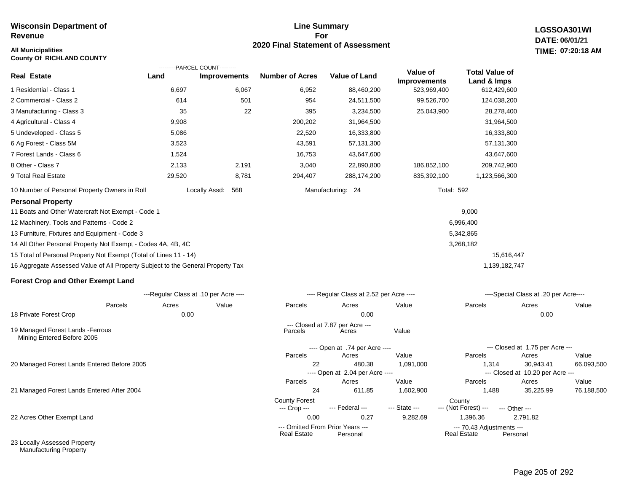### **Line Summary For 2020 Final Statement of Assessment**

**LGSSOA301WI DATE: 06/01/21 All Municipalities TIME: 07:20:18 AM**

| <b>County Of RICHLAND COUNTY</b>                                                |                                       |                                |       |                        |                                          |                     |                       |                                           |            |
|---------------------------------------------------------------------------------|---------------------------------------|--------------------------------|-------|------------------------|------------------------------------------|---------------------|-----------------------|-------------------------------------------|------------|
|                                                                                 |                                       | ---------PARCEL COUNT--------- |       |                        |                                          | Value of            | <b>Total Value of</b> |                                           |            |
| <b>Real Estate</b>                                                              | Land                                  | Improvements                   |       | <b>Number of Acres</b> | Value of Land                            | <b>Improvements</b> | Land & Imps           |                                           |            |
| 1 Residential - Class 1                                                         | 6,697                                 |                                | 6,067 | 6,952                  | 88,460,200                               | 523,969,400         | 612,429,600           |                                           |            |
| 2 Commercial - Class 2                                                          | 614                                   |                                | 501   | 954                    | 24,511,500                               | 99,526,700          | 124,038,200           |                                           |            |
| 3 Manufacturing - Class 3                                                       | 35                                    |                                | 22    | 395                    | 3,234,500                                | 25,043,900          | 28,278,400            |                                           |            |
| 4 Agricultural - Class 4                                                        | 9,908                                 |                                |       | 200,202                | 31,964,500                               |                     | 31,964,500            |                                           |            |
| 5 Undeveloped - Class 5                                                         | 5,086                                 |                                |       | 22,520                 | 16,333,800                               |                     | 16,333,800            |                                           |            |
| 6 Ag Forest - Class 5M                                                          | 3,523                                 |                                |       | 43,591                 | 57,131,300                               |                     | 57,131,300            |                                           |            |
| 7 Forest Lands - Class 6                                                        | 1,524                                 |                                |       | 16,753                 | 43,647,600                               |                     | 43,647,600            |                                           |            |
| 8 Other - Class 7                                                               | 2,133                                 |                                | 2,191 | 3,040                  | 22,890,800                               | 186,852,100         | 209,742,900           |                                           |            |
| 9 Total Real Estate                                                             | 29,520                                |                                | 8,781 | 294,407                | 288,174,200                              | 835,392,100         | 1,123,566,300         |                                           |            |
| 10 Number of Personal Property Owners in Roll                                   |                                       | Locally Assd:                  | 568   |                        | Manufacturing: 24                        | <b>Total: 592</b>   |                       |                                           |            |
| <b>Personal Property</b>                                                        |                                       |                                |       |                        |                                          |                     |                       |                                           |            |
| 11 Boats and Other Watercraft Not Exempt - Code 1                               |                                       |                                |       |                        |                                          |                     | 9,000                 |                                           |            |
| 12 Machinery, Tools and Patterns - Code 2                                       |                                       |                                |       |                        |                                          |                     | 6,996,400             |                                           |            |
| 13 Furniture, Fixtures and Equipment - Code 3                                   |                                       |                                |       |                        |                                          |                     | 5,342,865             |                                           |            |
| 14 All Other Personal Property Not Exempt - Codes 4A, 4B, 4C                    |                                       |                                |       |                        |                                          |                     | 3,268,182             |                                           |            |
| 15 Total of Personal Property Not Exempt (Total of Lines 11 - 14)               |                                       |                                |       |                        |                                          |                     | 15,616,447            |                                           |            |
| 16 Aggregate Assessed Value of All Property Subject to the General Property Tax |                                       |                                |       |                        |                                          |                     | 1,139,182,747         |                                           |            |
| <b>Forest Crop and Other Exempt Land</b>                                        |                                       |                                |       |                        |                                          |                     |                       |                                           |            |
|                                                                                 | ---Regular Class at .10 per Acre ---- |                                |       |                        | ---- Regular Class at 2.52 per Acre ---- |                     |                       | ----Special Class at .20 per Acre----     |            |
| Parcels                                                                         | Acres                                 | Value                          |       | Parcels                | Acres                                    | Value               | Parcels               | Acres                                     | Value      |
| 18 Private Forest Crop                                                          | 0.00                                  |                                |       |                        | 0.00                                     |                     |                       | 0.00                                      |            |
| 19 Managed Forest Lands - Ferrous<br>Mining Entered Before 2005                 |                                       |                                |       | Parcels                | --- Closed at 7.87 per Acre ---<br>Acres | Value               |                       |                                           |            |
|                                                                                 |                                       |                                |       |                        | ---- Open at .74 per Acre ----           |                     |                       | --- Closed at 1.75 per Acre ---           |            |
|                                                                                 |                                       |                                |       | Parcels                | Acres                                    | Value               | Parcels               | Acres                                     | Value      |
| 20 Managed Forest Lands Entered Before 2005                                     |                                       |                                |       | 22                     | 480.38                                   | 1,091,000           | 1,314                 | 30,943.41                                 | 66,093,500 |
|                                                                                 |                                       |                                |       | Parcels                | ---- Open at 2.04 per Acre ----<br>Acres | Value               | Parcels               | --- Closed at 10.20 per Acre ---<br>Acres | Value      |
| 21 Managed Forest Lands Entered After 2004                                      |                                       |                                |       | 24                     | 611.85                                   | 1,602,900           | 1,488                 | 35,225.99                                 | 76,188,500 |

22 Acres Other Exempt Land

23 Locally Assessed Property Manufacturing Property

0.00 0.27 9,282.69 1,396.36 2,791.82

--- Omitted From Prior Years ---<br>Real Estate Personal Real Estate Personal Real Estate Personal

--- (Not Forest) --- --- Other ---

Real Estate

County Forest County<br>--- Crop --- --- Federal --- --- State --- --- (Not Fore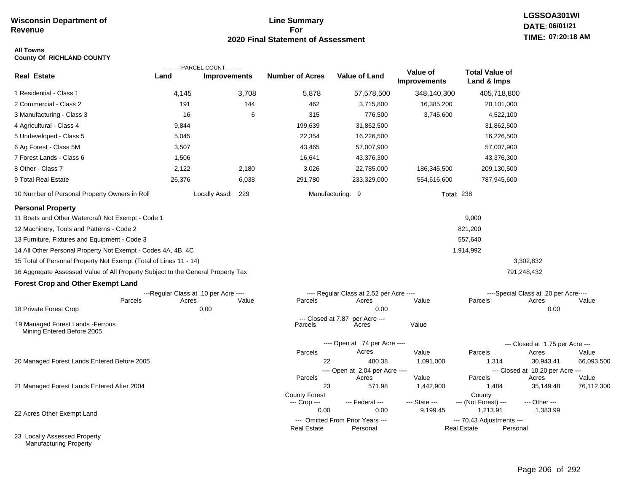### **Line Summary For 2020 Final Statement of Assessment**

# **LGSSOA301WI DATE: 06/01/21 TIME: 07:20:18 AM**

### **All Towns County Of RICHLAND COUNTY**

|                                                                                 |                                       | ---------PARCEL COUNT--------- |                        |                                              |                          |                                                 |                                           |            |
|---------------------------------------------------------------------------------|---------------------------------------|--------------------------------|------------------------|----------------------------------------------|--------------------------|-------------------------------------------------|-------------------------------------------|------------|
| <b>Real Estate</b>                                                              | Land                                  | <b>Improvements</b>            | <b>Number of Acres</b> | <b>Value of Land</b>                         | Value of<br>Improvements | <b>Total Value of</b><br>Land & Imps            |                                           |            |
| 1 Residential - Class 1                                                         | 4,145                                 | 3,708                          | 5,878                  | 57,578,500                                   | 348,140,300              | 405,718,800                                     |                                           |            |
| 2 Commercial - Class 2                                                          | 191                                   | 144                            | 462                    | 3,715,800                                    | 16,385,200               | 20,101,000                                      |                                           |            |
| 3 Manufacturing - Class 3                                                       | 16                                    | 6                              | 315                    | 776,500                                      | 3,745,600                | 4,522,100                                       |                                           |            |
| 4 Agricultural - Class 4                                                        | 9,844                                 |                                | 199,639                | 31,862,500                                   |                          | 31,862,500                                      |                                           |            |
| 5 Undeveloped - Class 5                                                         | 5,045                                 |                                | 22,354                 | 16,226,500                                   |                          | 16,226,500                                      |                                           |            |
| 6 Ag Forest - Class 5M                                                          | 3,507                                 |                                | 43,465                 | 57,007,900                                   |                          | 57,007,900                                      |                                           |            |
| 7 Forest Lands - Class 6                                                        | 1,506                                 |                                | 16,641                 | 43,376,300                                   |                          | 43,376,300                                      |                                           |            |
| 8 Other - Class 7                                                               | 2,122                                 | 2,180                          | 3,026                  | 22,785,000                                   | 186,345,500              | 209,130,500                                     |                                           |            |
| 9 Total Real Estate                                                             | 26,376                                | 6,038                          | 291,780                | 233,329,000                                  | 554,616,600              | 787,945,600                                     |                                           |            |
| 10 Number of Personal Property Owners in Roll                                   |                                       | Locally Assd: 229              |                        | Manufacturing: 9                             |                          | <b>Total: 238</b>                               |                                           |            |
| <b>Personal Property</b><br>11 Boats and Other Watercraft Not Exempt - Code 1   |                                       |                                |                        |                                              |                          | 9,000                                           |                                           |            |
| 12 Machinery, Tools and Patterns - Code 2                                       |                                       |                                |                        |                                              |                          | 821,200                                         |                                           |            |
| 13 Furniture, Fixtures and Equipment - Code 3                                   |                                       |                                |                        |                                              |                          | 557,640                                         |                                           |            |
| 14 All Other Personal Property Not Exempt - Codes 4A, 4B, 4C                    |                                       |                                |                        |                                              |                          | 1,914,992                                       |                                           |            |
| 15 Total of Personal Property Not Exempt (Total of Lines 11 - 14)               |                                       |                                |                        |                                              |                          |                                                 | 3,302,832                                 |            |
| 16 Aggregate Assessed Value of All Property Subject to the General Property Tax |                                       |                                |                        |                                              |                          |                                                 | 791,248,432                               |            |
| <b>Forest Crop and Other Exempt Land</b>                                        |                                       |                                |                        |                                              |                          |                                                 |                                           |            |
|                                                                                 | ---Regular Class at .10 per Acre ---- |                                |                        | ---- Regular Class at 2.52 per Acre ----     |                          |                                                 | ----Special Class at .20 per Acre----     |            |
| Parcels                                                                         | Acres                                 | Value                          | Parcels                | Acres                                        | Value                    | Parcels                                         | Acres                                     | Value      |
| 18 Private Forest Crop                                                          |                                       | 0.00                           |                        | 0.00                                         |                          |                                                 | 0.00                                      |            |
| 19 Managed Forest Lands - Ferrous<br>Mining Entered Before 2005                 |                                       |                                | Parcels                | --- Closed at 7.87 per Acre ---<br>Acres     | Value                    |                                                 |                                           |            |
|                                                                                 |                                       |                                |                        | ---- Open at .74 per Acre ----               |                          |                                                 | --- Closed at 1.75 per Acre ---           |            |
|                                                                                 |                                       |                                | Parcels                | Acres                                        | Value                    | Parcels                                         | Acres                                     | Value      |
| 20 Managed Forest Lands Entered Before 2005                                     |                                       |                                | 22                     | 480.38                                       | 1,091,000                | 1,314                                           | 30,943.41                                 | 66,093,500 |
|                                                                                 |                                       |                                | Parcels                | ---- Open at 2.04 per Acre ----<br>Acres     | Value                    | Parcels                                         | --- Closed at 10.20 per Acre ---<br>Acres | Value      |
| 21 Managed Forest Lands Entered After 2004                                      |                                       |                                | 23                     | 571.98                                       | 1,442,900                | 1,484                                           | 35,149.48                                 | 76,112,300 |
|                                                                                 |                                       |                                | <b>County Forest</b>   |                                              |                          | County                                          |                                           |            |
|                                                                                 |                                       |                                | --- Crop ---           | --- Federal ---                              | --- State ---            | --- (Not Forest) ---                            | --- Other ---                             |            |
| 22 Acres Other Exempt Land                                                      |                                       |                                | 0.00                   | 0.00                                         | 9,199.45                 | 1,213.91                                        | 1,383.99                                  |            |
|                                                                                 |                                       |                                | <b>Real Estate</b>     | --- Omitted From Prior Years ---<br>Personal |                          | --- 70.43 Adjustments ---<br><b>Real Estate</b> | Personal                                  |            |
| 23 Locally Assessed Property                                                    |                                       |                                |                        |                                              |                          |                                                 |                                           |            |

Manufacturing Property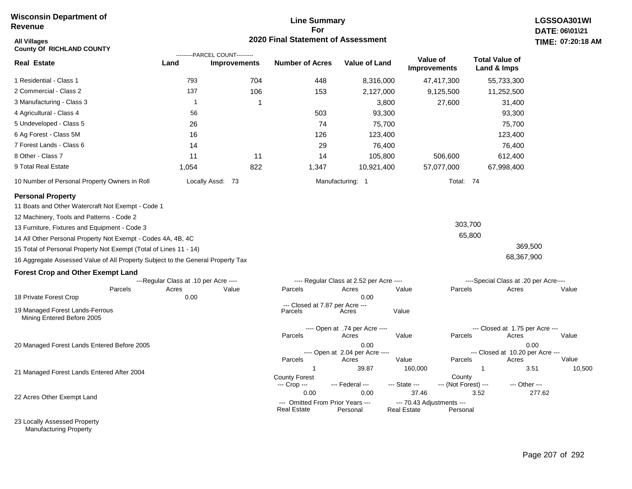### **Line Summary For 2020 Final Statement of Assessment**

| All Villages<br><b>County Of RICHLAND COUNTY</b>                                |                                       | ---------PARCEL COUNT--------- | 2020 Final Statement of Assessment              |                                          |                                          |                      |                                          | TIME: 07:20:18 |
|---------------------------------------------------------------------------------|---------------------------------------|--------------------------------|-------------------------------------------------|------------------------------------------|------------------------------------------|----------------------|------------------------------------------|----------------|
| <b>Real Estate</b>                                                              | Land                                  | <b>Improvements</b>            | <b>Number of Acres</b>                          | Value of Land                            | Value of<br><b>Improvements</b>          |                      | <b>Total Value of</b><br>Land & Imps     |                |
| 1 Residential - Class 1                                                         | 793                                   | 704                            | 448                                             | 8,316,000                                |                                          | 47,417,300           | 55,733,300                               |                |
| 2 Commercial - Class 2                                                          | 137                                   | 106                            | 153                                             | 2,127,000                                |                                          | 9,125,500            | 11,252,500                               |                |
| 3 Manufacturing - Class 3                                                       | $\overline{1}$                        | 1                              |                                                 | 3,800                                    |                                          | 27,600               | 31,400                                   |                |
| 4 Agricultural - Class 4                                                        | 56                                    |                                | 503                                             | 93,300                                   |                                          |                      | 93,300                                   |                |
| 5 Undeveloped - Class 5                                                         | 26                                    |                                | 74                                              | 75,700                                   |                                          |                      | 75,700                                   |                |
| 6 Ag Forest - Class 5M                                                          | 16                                    |                                | 126                                             | 123,400                                  |                                          |                      | 123,400                                  |                |
| 7 Forest Lands - Class 6                                                        | 14                                    |                                | 29                                              | 76,400                                   |                                          |                      | 76,400                                   |                |
| 8 Other - Class 7                                                               | 11                                    | 11                             | 14                                              | 105,800                                  |                                          | 506,600              | 612,400                                  |                |
| 9 Total Real Estate                                                             | 1,054                                 | 822                            | 1,347                                           | 10,921,400                               |                                          | 57,077,000           | 67,998,400                               |                |
| 10 Number of Personal Property Owners in Roll                                   |                                       | Locally Assd: 73               |                                                 | Manufacturing: 1                         |                                          | Total: 74            |                                          |                |
| <b>Personal Property</b>                                                        |                                       |                                |                                                 |                                          |                                          |                      |                                          |                |
| 11 Boats and Other Watercraft Not Exempt - Code 1                               |                                       |                                |                                                 |                                          |                                          |                      |                                          |                |
| 12 Machinery, Tools and Patterns - Code 2                                       |                                       |                                |                                                 |                                          |                                          |                      |                                          |                |
| 13 Furniture, Fixtures and Equipment - Code 3                                   |                                       |                                |                                                 |                                          |                                          | 303,700              |                                          |                |
| 14 All Other Personal Property Not Exempt - Codes 4A, 4B, 4C                    |                                       |                                |                                                 |                                          |                                          | 65,800               |                                          |                |
| 15 Total of Personal Property Not Exempt (Total of Lines 11 - 14)               |                                       |                                |                                                 |                                          |                                          |                      | 369,500                                  |                |
| 16 Aggregate Assessed Value of All Property Subject to the General Property Tax |                                       |                                |                                                 |                                          |                                          |                      | 68,367,900                               |                |
| <b>Forest Crop and Other Exempt Land</b>                                        |                                       |                                |                                                 |                                          |                                          |                      |                                          |                |
|                                                                                 | ---Regular Class at .10 per Acre ---- |                                |                                                 | ---- Regular Class at 2.52 per Acre ---- |                                          |                      | ----Special Class at .20 per Acre----    |                |
| Parcels                                                                         | Acres                                 | Value                          | Parcels                                         | Acres<br>0.00                            | Value                                    | Parcels              | Acres                                    | Value          |
| 18 Private Forest Crop                                                          | 0.00                                  |                                | --- Closed at 7.87 per Acre ---                 |                                          |                                          |                      |                                          |                |
| 19 Managed Forest Lands-Ferrous<br>Mining Entered Before 2005                   |                                       |                                | Parcels                                         | Acres                                    | Value                                    |                      |                                          |                |
|                                                                                 |                                       |                                | Parcels                                         | ---- Open at .74 per Acre ----<br>Acres  | Value                                    | Parcels              | --- Closed at 1.75 per Acre ---<br>Acres | Value          |
| 20 Managed Forest Lands Entered Before 2005                                     |                                       |                                |                                                 | 0.00                                     |                                          |                      | 0.00                                     |                |
|                                                                                 |                                       |                                |                                                 | ---- Open at 2.04 per Acre ----          |                                          |                      | --- Closed at 10.20 per Acre ---         |                |
|                                                                                 |                                       |                                | Parcels                                         | Acres                                    | Value                                    | Parcels              | Acres                                    | Value          |
| 21 Managed Forest Lands Entered After 2004                                      |                                       |                                | $\mathbf{1}$<br><b>County Forest</b>            | 39.87                                    | 160,000                                  | County               | $\mathbf{1}$<br>3.51                     | 10,500         |
|                                                                                 |                                       |                                | --- Crop ---                                    | --- Federal ---                          | --- State ---                            | --- (Not Forest) --- | --- Other ---                            |                |
| 22 Acres Other Exempt Land                                                      |                                       |                                | 0.00                                            | 0.00                                     | 37.46                                    | 3.52                 |                                          | 277.62         |
|                                                                                 |                                       |                                | --- Omitted From Prior Years ---<br>Real Estate | Personal                                 | --- 70.43 Adjustments ---<br>Real Estate | Personal             |                                          |                |

23 Locally Assessed Property Manufacturing Property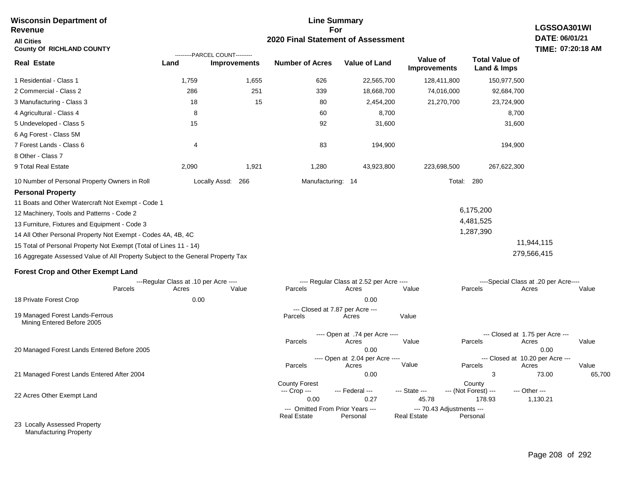| <b>Wisconsin Department of</b>                                                  |                                       |                                           | <b>Line Summary</b>                        |                                          |                           |                                | LGSSOA301WI                              |        |  |
|---------------------------------------------------------------------------------|---------------------------------------|-------------------------------------------|--------------------------------------------|------------------------------------------|---------------------------|--------------------------------|------------------------------------------|--------|--|
| <b>Revenue</b>                                                                  |                                       | For<br>2020 Final Statement of Assessment |                                            |                                          |                           |                                |                                          |        |  |
| <b>All Cities</b><br><b>County Of RICHLAND COUNTY</b>                           |                                       | DATE: 06/01/21<br>TIME: 07:20:18 AM       |                                            |                                          |                           |                                |                                          |        |  |
|                                                                                 |                                       | ---------PARCEL COUNT---------            |                                            |                                          | Value of                  | <b>Total Value of</b>          |                                          |        |  |
| <b>Real Estate</b>                                                              | Land                                  | <b>Improvements</b>                       | <b>Number of Acres</b>                     | <b>Value of Land</b>                     | <b>Improvements</b>       | Land & Imps                    |                                          |        |  |
| 1 Residential - Class 1                                                         | 1,759                                 | 1,655                                     | 626                                        | 22,565,700                               | 128,411,800               | 150,977,500                    |                                          |        |  |
| 2 Commercial - Class 2                                                          | 286                                   | 251                                       | 339                                        | 18,668,700                               | 74,016,000                | 92,684,700                     |                                          |        |  |
| 3 Manufacturing - Class 3                                                       | 18                                    | 15                                        | 80                                         | 2,454,200                                | 21,270,700                | 23,724,900                     |                                          |        |  |
| 4 Agricultural - Class 4                                                        | 8                                     |                                           | 60                                         | 8,700                                    |                           |                                | 8,700                                    |        |  |
| 5 Undeveloped - Class 5                                                         | 15                                    |                                           | 92                                         | 31,600                                   |                           |                                | 31,600                                   |        |  |
| 6 Ag Forest - Class 5M                                                          |                                       |                                           |                                            |                                          |                           |                                |                                          |        |  |
| 7 Forest Lands - Class 6                                                        | 4                                     |                                           | 83                                         | 194,900                                  |                           | 194,900                        |                                          |        |  |
| 8 Other - Class 7                                                               |                                       |                                           |                                            |                                          |                           |                                |                                          |        |  |
| 9 Total Real Estate                                                             | 2,090                                 | 1,921                                     | 1,280                                      | 43,923,800                               | 223,698,500               | 267,622,300                    |                                          |        |  |
| 10 Number of Personal Property Owners in Roll                                   |                                       | Locally Assd: 266                         | Manufacturing: 14                          |                                          |                           | Total: 280                     |                                          |        |  |
| <b>Personal Property</b>                                                        |                                       |                                           |                                            |                                          |                           |                                |                                          |        |  |
| 11 Boats and Other Watercraft Not Exempt - Code 1                               |                                       |                                           |                                            |                                          |                           |                                |                                          |        |  |
| 12 Machinery, Tools and Patterns - Code 2                                       |                                       |                                           |                                            |                                          |                           | 6,175,200                      |                                          |        |  |
| 13 Furniture, Fixtures and Equipment - Code 3                                   |                                       |                                           |                                            |                                          |                           | 4,481,525                      |                                          |        |  |
| 14 All Other Personal Property Not Exempt - Codes 4A, 4B, 4C                    |                                       |                                           |                                            |                                          |                           | 1,287,390                      |                                          |        |  |
| 15 Total of Personal Property Not Exempt (Total of Lines 11 - 14)               |                                       |                                           |                                            |                                          |                           |                                | 11,944,115                               |        |  |
| 16 Aggregate Assessed Value of All Property Subject to the General Property Tax |                                       |                                           |                                            |                                          |                           |                                | 279,566,415                              |        |  |
| <b>Forest Crop and Other Exempt Land</b>                                        |                                       |                                           |                                            |                                          |                           |                                |                                          |        |  |
|                                                                                 | ---Regular Class at .10 per Acre ---- |                                           |                                            | ---- Regular Class at 2.52 per Acre ---- |                           |                                | ----Special Class at .20 per Acre----    |        |  |
| Parcels                                                                         | Acres                                 | Value                                     | Parcels                                    | Acres                                    | Value                     | Parcels                        | Acres                                    | Value  |  |
| 18 Private Forest Crop                                                          | 0.00                                  |                                           |                                            | 0.00                                     |                           |                                |                                          |        |  |
| 19 Managed Forest Lands-Ferrous<br>Mining Entered Before 2005                   |                                       |                                           | --- Closed at 7.87 per Acre ---<br>Parcels | Acres                                    | Value                     |                                |                                          |        |  |
|                                                                                 |                                       |                                           |                                            | ---- Open at .74 per Acre ----           |                           |                                | --- Closed at 1.75 per Acre ---          |        |  |
|                                                                                 |                                       |                                           | Parcels                                    | Acres<br>0.00                            | Value                     | Parcels                        | Acres                                    | Value  |  |
| 20 Managed Forest Lands Entered Before 2005                                     |                                       |                                           |                                            | ---- Open at 2.04 per Acre ----          |                           |                                | 0.00<br>--- Closed at 10.20 per Acre --- |        |  |
|                                                                                 |                                       |                                           | Parcels                                    | Acres                                    | Value                     | Parcels                        | Acres                                    | Value  |  |
| 21 Managed Forest Lands Entered After 2004                                      |                                       |                                           |                                            | 0.00                                     |                           | 3                              | 73.00                                    | 65,700 |  |
|                                                                                 |                                       |                                           | <b>County Forest</b><br>--- Crop ---       | --- Federal ---                          | --- State ---             | County<br>--- (Not Forest) --- | --- Other ---                            |        |  |
| 22 Acres Other Exempt Land                                                      |                                       |                                           | 0.00                                       | 0.27                                     | 45.78                     | 178.93                         | 1,130.21                                 |        |  |
|                                                                                 |                                       |                                           | --- Omitted From Prior Years ---           |                                          | --- 70.43 Adjustments --- |                                |                                          |        |  |
| 23 Locally Assessed Property                                                    |                                       |                                           | <b>Real Estate</b>                         | Personal                                 | <b>Real Estate</b>        | Personal                       |                                          |        |  |
|                                                                                 |                                       |                                           |                                            |                                          |                           |                                |                                          |        |  |

Manufacturing Property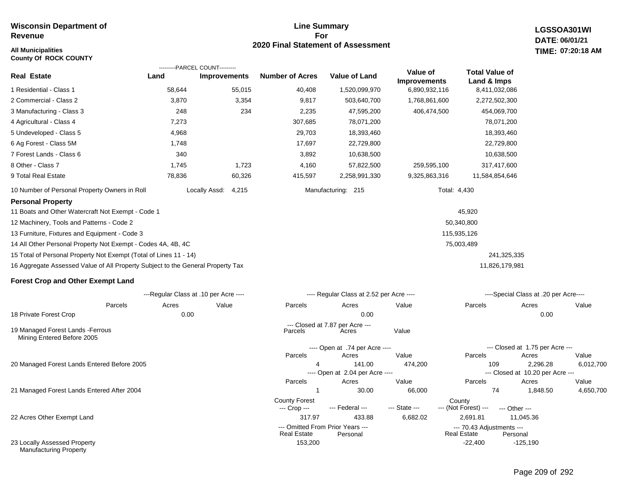### **All Municipalities TIME:**

**County Of ROCK COUNTY**

### **Line Summary For 2020 Final Statement of Assessment**

**LGSSOA301WI DATE: 06/01/21 07:20:18 AM**

|                                                                                 |                                       | ---------PARCEL COUNT--------- |                        |                                           |                                 |                                      |                                              |           |
|---------------------------------------------------------------------------------|---------------------------------------|--------------------------------|------------------------|-------------------------------------------|---------------------------------|--------------------------------------|----------------------------------------------|-----------|
| <b>Real Estate</b>                                                              | Land                                  | <b>Improvements</b>            | <b>Number of Acres</b> | <b>Value of Land</b>                      | Value of<br><b>Improvements</b> | <b>Total Value of</b><br>Land & Imps |                                              |           |
| 1 Residential - Class 1                                                         | 58,644                                | 55,015                         | 40,408                 | 1,520,099,970                             | 6,890,932,116                   | 8,411,032,086                        |                                              |           |
| 2 Commercial - Class 2                                                          | 3,870                                 | 3,354                          | 9,817                  | 503,640,700                               | 1,768,861,600                   | 2,272,502,300                        |                                              |           |
| 3 Manufacturing - Class 3                                                       | 248                                   | 234                            | 2,235                  | 47,595,200                                | 406,474,500                     | 454,069,700                          |                                              |           |
| 4 Agricultural - Class 4                                                        | 7,273                                 |                                | 307,685                | 78,071,200                                |                                 | 78,071,200                           |                                              |           |
| 5 Undeveloped - Class 5                                                         | 4,968                                 |                                | 29,703                 | 18,393,460                                |                                 | 18,393,460                           |                                              |           |
| 6 Ag Forest - Class 5M                                                          | 1,748                                 |                                | 17,697                 | 22,729,800                                |                                 | 22,729,800                           |                                              |           |
| 7 Forest Lands - Class 6                                                        | 340                                   |                                | 3,892                  | 10,638,500                                |                                 | 10,638,500                           |                                              |           |
| 8 Other - Class 7                                                               | 1,745                                 | 1,723                          | 4,160                  | 57,822,500                                | 259,595,100                     | 317,417,600                          |                                              |           |
| 9 Total Real Estate                                                             | 78,836                                | 60,326                         | 415,597                | 2,258,991,330                             | 9,325,863,316                   | 11,584,854,646                       |                                              |           |
| 10 Number of Personal Property Owners in Roll                                   |                                       | Locally Assd:<br>4,215         |                        | Manufacturing: 215                        |                                 | Total: 4,430                         |                                              |           |
| <b>Personal Property</b>                                                        |                                       |                                |                        |                                           |                                 |                                      |                                              |           |
| 11 Boats and Other Watercraft Not Exempt - Code 1                               |                                       |                                |                        |                                           |                                 | 45,920                               |                                              |           |
| 12 Machinery, Tools and Patterns - Code 2                                       |                                       |                                |                        |                                           |                                 | 50,340,800                           |                                              |           |
| 13 Furniture, Fixtures and Equipment - Code 3                                   |                                       |                                |                        |                                           |                                 | 115,935,126                          |                                              |           |
| 14 All Other Personal Property Not Exempt - Codes 4A, 4B, 4C                    |                                       |                                |                        |                                           |                                 | 75,003,489                           |                                              |           |
| 15 Total of Personal Property Not Exempt (Total of Lines 11 - 14)               |                                       |                                |                        |                                           |                                 | 241,325,335                          |                                              |           |
| 16 Aggregate Assessed Value of All Property Subject to the General Property Tax |                                       |                                |                        |                                           |                                 | 11,826,179,981                       |                                              |           |
| <b>Forest Crop and Other Exempt Land</b>                                        |                                       |                                |                        |                                           |                                 |                                      |                                              |           |
|                                                                                 | ---Regular Class at .10 per Acre ---- |                                |                        | ---- Regular Class at 2.52 per Acre ----  |                                 |                                      | ----Special Class at .20 per Acre----        |           |
| Parcels                                                                         | Acres                                 | Value                          | Parcels                | Acres                                     | Value                           | Parcels                              | Acres                                        | Value     |
| 18 Private Forest Crop                                                          | 0.00                                  |                                |                        | 0.00                                      |                                 |                                      | 0.00                                         |           |
| 19 Managed Forest Lands - Ferrous<br>Mining Entered Before 2005                 |                                       |                                | Parcels                | --- Closed at 7.87 per Acre ---<br>Acres  | Value                           |                                      |                                              |           |
|                                                                                 |                                       |                                |                        | ---- Open at .74 per Acre ----            |                                 |                                      | --- Closed at 1.75 per Acre ---              |           |
|                                                                                 |                                       |                                | Parcels                | Acres                                     | Value                           | Parcels                              | Acres                                        | Value     |
| 20 Managed Forest Lands Entered Before 2005                                     |                                       |                                |                        | 141.00<br>---- Open at 2.04 per Acre ---- | 474,200                         | 109                                  | 2,296.28<br>--- Closed at 10.20 per Acre --- | 6,012,700 |

21 Managed Forest Lands Entered After 2004

22 Acres Other Exempt Land

23 Locally Assessed Property Manufacturing Property

|            | ---- Regular Class at 2.52 per Acre ---- |         |                | ----Special Class at .20 per Acre---- |           |
|------------|------------------------------------------|---------|----------------|---------------------------------------|-----------|
| Parcels    | Acres                                    | Value   | <b>Parcels</b> | Acres                                 | Value     |
|            | 0.00                                     |         |                | 0.00                                  |           |
| Parcels    | --- Closed at 7.87 per Acre ---<br>Acres | Value   |                |                                       |           |
|            | ---- Open at .74 per Acre ----           |         |                | --- Closed at 1.75 per Acre ---       |           |
| Parcels    | Acres                                    | Value   | Parcels        | Acres                                 | Value     |
| 4          | 141.00                                   | 474.200 | 109            | 2.296.28                              | 6.012.700 |
|            | ---- Open at 2.04 per Acre ----          |         |                | --- Closed at 10.20 per Acre ---      |           |
| Parcels    | Acres                                    | Value   | Parcels        | Acres                                 | Value     |
|            | 30.00                                    | 66,000  | 74             | 1.848.50                              | 4.650.700 |
| nty Forest |                                          |         | County         |                                       |           |

 317.97 433.88 6,682.02 2,691.81 11,045.36 County Forest County<br>--- Crop --- --- Federal --- --- State --- --- (Not Fore --- (Not Forest) --- --- Other ------ Omitted From Prior Years ---<br>Real Estate Personal Real Estate Personal Real Estate Personal Real Estate

153,200 -22,400 -125,190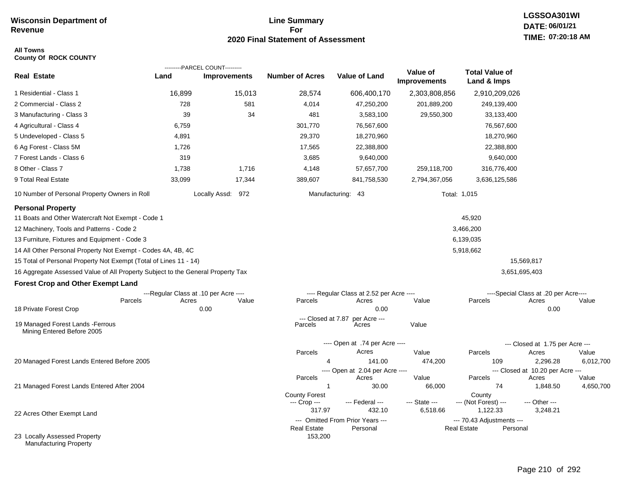### **Line Summary For 2020 Final Statement of Assessment**

### **All Towns County Of ROCK COUNTY**

|                                                                                 |        | ---------PARCEL COUNT---------        |                        |                                          |                                 |                                      |                                           |       |
|---------------------------------------------------------------------------------|--------|---------------------------------------|------------------------|------------------------------------------|---------------------------------|--------------------------------------|-------------------------------------------|-------|
| <b>Real Estate</b>                                                              | Land   | <b>Improvements</b>                   | <b>Number of Acres</b> | Value of Land                            | Value of<br><b>Improvements</b> | <b>Total Value of</b><br>Land & Imps |                                           |       |
| 1 Residential - Class 1                                                         | 16,899 | 15,013                                | 28,574                 | 606,400,170                              | 2,303,808,856                   | 2,910,209,026                        |                                           |       |
| 2 Commercial - Class 2                                                          | 728    | 581                                   | 4,014                  | 47,250,200                               | 201,889,200                     | 249,139,400                          |                                           |       |
| 3 Manufacturing - Class 3                                                       | 39     | 34                                    | 481                    | 3,583,100                                | 29,550,300                      | 33,133,400                           |                                           |       |
| 4 Agricultural - Class 4                                                        | 6,759  |                                       | 301,770                | 76,567,600                               |                                 | 76,567,600                           |                                           |       |
| 5 Undeveloped - Class 5                                                         | 4,891  |                                       | 29,370                 | 18,270,960                               |                                 | 18,270,960                           |                                           |       |
| 6 Ag Forest - Class 5M                                                          | 1,726  |                                       | 17,565                 | 22,388,800                               |                                 | 22,388,800                           |                                           |       |
| 7 Forest Lands - Class 6                                                        | 319    |                                       | 3,685                  | 9,640,000                                |                                 | 9,640,000                            |                                           |       |
| 8 Other - Class 7                                                               | 1,738  | 1,716                                 | 4,148                  | 57,657,700                               | 259,118,700                     | 316,776,400                          |                                           |       |
| 9 Total Real Estate                                                             | 33,099 | 17,344                                | 389,607                | 841,758,530                              | 2,794,367,056                   | 3,636,125,586                        |                                           |       |
| 10 Number of Personal Property Owners in Roll                                   |        | Locally Assd: 972                     |                        | Manufacturing: 43                        |                                 | Total: 1,015                         |                                           |       |
| <b>Personal Property</b>                                                        |        |                                       |                        |                                          |                                 |                                      |                                           |       |
| 11 Boats and Other Watercraft Not Exempt - Code 1                               |        |                                       |                        |                                          |                                 | 45,920                               |                                           |       |
| 12 Machinery, Tools and Patterns - Code 2                                       |        |                                       |                        |                                          |                                 | 3,466,200                            |                                           |       |
| 13 Furniture, Fixtures and Equipment - Code 3                                   |        |                                       |                        |                                          |                                 | 6,139,035                            |                                           |       |
| 14 All Other Personal Property Not Exempt - Codes 4A, 4B, 4C                    |        |                                       |                        |                                          |                                 | 5,918,662                            |                                           |       |
| 15 Total of Personal Property Not Exempt (Total of Lines 11 - 14)               |        |                                       |                        |                                          |                                 |                                      | 15,569,817                                |       |
| 16 Aggregate Assessed Value of All Property Subject to the General Property Tax |        |                                       |                        |                                          |                                 |                                      | 3,651,695,403                             |       |
| <b>Forest Crop and Other Exempt Land</b>                                        |        |                                       |                        |                                          |                                 |                                      |                                           |       |
|                                                                                 |        | ---Regular Class at .10 per Acre ---- |                        | ---- Regular Class at 2.52 per Acre ---- |                                 |                                      | ----Special Class at .20 per Acre----     |       |
| Parcels                                                                         | Acres  | Value                                 | Parcels                | Acres                                    | Value                           | Parcels                              | Acres                                     | Value |
| 18 Private Forest Crop                                                          |        | 0.00                                  | --- Closed at 7.87     | 0.00<br>per Acre ---                     |                                 |                                      | 0.00                                      |       |
| 19 Managed Forest Lands - Ferrous<br>Mining Entered Before 2005                 |        |                                       | Parcels                | Acres                                    | Value                           |                                      |                                           |       |
|                                                                                 |        |                                       |                        | ---- Open at .74 per Acre ----           |                                 |                                      | --- Closed at 1.75 per Acre ---           |       |
|                                                                                 |        |                                       | Parcels                | Acres                                    | Value                           | Parcels                              | Acres                                     | Value |
| 20 Managed Forest Lands Entered Before 2005                                     |        |                                       | 4                      | 141.00                                   | 474,200                         | 109                                  | 2,296.28                                  | 6,01  |
|                                                                                 |        |                                       | Parcels                | ---- Open at 2.04 per Acre ----<br>Acres | Value                           | Parcels                              | --- Closed at 10.20 per Acre ---<br>Acres | Value |
| 21 Managed Forest Lands Entered After 2004                                      |        |                                       | $\mathbf{1}$           | 30.00                                    | 66,000                          | 74                                   | 1,848.50                                  | 4,65  |
|                                                                                 |        |                                       | <b>County Forest</b>   |                                          |                                 | County                               |                                           |       |
|                                                                                 |        |                                       | --- Crop ---<br>317.97 | --- Federal ---<br>432.10                | --- State ---<br>6,518.66       | --- (Not Forest) ---<br>1,122.33     | --- Other ---<br>3,248.21                 |       |
| 22 Acres Other Exempt Land                                                      |        |                                       |                        | --- Omitted From Prior Years ---         |                                 | --- 70.43 Adjustments ---            |                                           |       |
|                                                                                 |        |                                       | <b>Real Estate</b>     | Personal                                 |                                 | <b>Real Estate</b>                   | Personal                                  |       |
| 23 Locally Assessed Property<br><b>Manufacturing Property</b>                   |        |                                       | 153,200                |                                          |                                 |                                      |                                           |       |

6,012,700

4,650,700 Value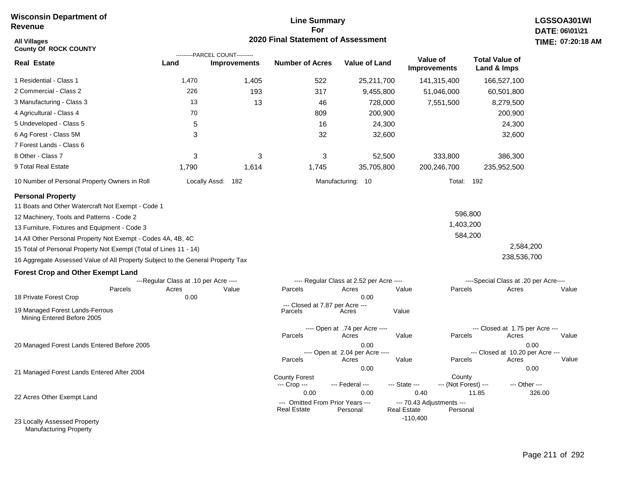# **Line Summary For 2020 Final Statement of Assessment All Villages TIME:**

| <b>All Villages</b><br><b>County Of ROCK COUNTY</b>                             |                                       |                                                       | 2020 Final Statement of Assessment                             |                                                  |                                                         |                                |                                                   | <b>TIME: 07:20</b> |
|---------------------------------------------------------------------------------|---------------------------------------|-------------------------------------------------------|----------------------------------------------------------------|--------------------------------------------------|---------------------------------------------------------|--------------------------------|---------------------------------------------------|--------------------|
| <b>Real Estate</b>                                                              | Land                                  | ---------PARCEL COUNT---------<br><b>Improvements</b> | <b>Number of Acres</b>                                         | <b>Value of Land</b>                             | Value of<br><b>Improvements</b>                         |                                | <b>Total Value of</b><br>Land & Imps              |                    |
| 1 Residential - Class 1                                                         | 1,470                                 | 1,405                                                 | 522                                                            | 25,211,700                                       | 141,315,400                                             |                                | 166,527,100                                       |                    |
| 2 Commercial - Class 2                                                          | 226                                   | 193                                                   | 317                                                            | 9,455,800                                        | 51,046,000                                              |                                | 60,501,800                                        |                    |
| 3 Manufacturing - Class 3                                                       | 13                                    | 13                                                    | 46                                                             | 728,000                                          | 7,551,500                                               |                                | 8,279,500                                         |                    |
| 4 Agricultural - Class 4                                                        | 70                                    |                                                       | 809                                                            | 200,900                                          |                                                         |                                | 200,900                                           |                    |
| 5 Undeveloped - Class 5                                                         | 5                                     |                                                       | 16                                                             | 24,300                                           |                                                         |                                | 24,300                                            |                    |
| 6 Ag Forest - Class 5M                                                          | 3                                     |                                                       | 32                                                             | 32,600                                           |                                                         |                                | 32,600                                            |                    |
| 7 Forest Lands - Class 6                                                        |                                       |                                                       |                                                                |                                                  |                                                         |                                |                                                   |                    |
| 8 Other - Class 7                                                               | 3                                     | 3                                                     | 3                                                              | 52,500                                           |                                                         | 333,800                        | 386,300                                           |                    |
| 9 Total Real Estate                                                             | 1,790                                 | 1,614                                                 | 1,745                                                          | 35,705,800                                       | 200,246,700                                             |                                | 235,952,500                                       |                    |
| 10 Number of Personal Property Owners in Roll                                   |                                       | Locally Assd: 182                                     |                                                                | Manufacturing: 10                                |                                                         | Total:<br>192                  |                                                   |                    |
| <b>Personal Property</b><br>11 Boats and Other Watercraft Not Exempt - Code 1   |                                       |                                                       |                                                                |                                                  |                                                         |                                |                                                   |                    |
| 12 Machinery, Tools and Patterns - Code 2                                       |                                       |                                                       |                                                                |                                                  |                                                         | 596,800                        |                                                   |                    |
| 13 Furniture, Fixtures and Equipment - Code 3                                   |                                       |                                                       |                                                                |                                                  |                                                         | 1,403,200                      |                                                   |                    |
| 14 All Other Personal Property Not Exempt - Codes 4A, 4B, 4C                    |                                       |                                                       |                                                                |                                                  |                                                         | 584,200                        |                                                   |                    |
| 15 Total of Personal Property Not Exempt (Total of Lines 11 - 14)               |                                       |                                                       |                                                                |                                                  |                                                         |                                | 2,584,200                                         |                    |
| 16 Aggregate Assessed Value of All Property Subject to the General Property Tax |                                       |                                                       |                                                                |                                                  |                                                         |                                | 238,536,700                                       |                    |
| <b>Forest Crop and Other Exempt Land</b>                                        |                                       |                                                       |                                                                |                                                  |                                                         |                                |                                                   |                    |
|                                                                                 | ---Regular Class at .10 per Acre ---- |                                                       |                                                                | ---- Regular Class at 2.52 per Acre ----         |                                                         |                                | ----Special Class at .20 per Acre----             |                    |
| Parcels<br>18 Private Forest Crop                                               | Acres<br>0.00                         | Value                                                 | Parcels                                                        | Acres<br>0.00                                    | Value                                                   | Parcels                        | Acres                                             | Value              |
| 19 Managed Forest Lands-Ferrous<br>Mining Entered Before 2005                   |                                       |                                                       | --- Closed at 7.87 per Acre ---<br>Parcels                     | Acres                                            | Value                                                   |                                |                                                   |                    |
|                                                                                 |                                       |                                                       |                                                                | ---- Open at .74 per Acre ----                   |                                                         |                                | --- Closed at 1.75 per Acre ---                   |                    |
| 20 Managed Forest Lands Entered Before 2005                                     |                                       |                                                       | Parcels                                                        | Acres<br>0.00<br>---- Open at 2.04 per Acre ---- | Value                                                   | Parcels                        | Acres<br>0.00<br>--- Closed at 10.20 per Acre --- | Value              |
|                                                                                 |                                       |                                                       | Parcels                                                        | Acres                                            | Value                                                   | Parcels                        | Acres                                             | Value              |
| 21 Managed Forest Lands Entered After 2004                                      |                                       |                                                       | <b>County Forest</b><br>--- Crop ---                           | 0.00<br>--- Federal ---                          | --- State ---                                           | County<br>--- (Not Forest) --- | 0.00<br>--- Other ---                             |                    |
| 22 Acres Other Exempt Land                                                      |                                       |                                                       | 0.00<br>--- Omitted From Prior Years ---<br><b>Real Estate</b> | 0.00<br>Personal                                 | 0.40<br>--- 70.43 Adjustments ---<br><b>Real Estate</b> | 11.85<br>Personal              |                                                   | 326.00             |
| 23 Locally Assessed Property                                                    |                                       |                                                       |                                                                |                                                  | $-110,400$                                              |                                |                                                   |                    |

Manufacturing Property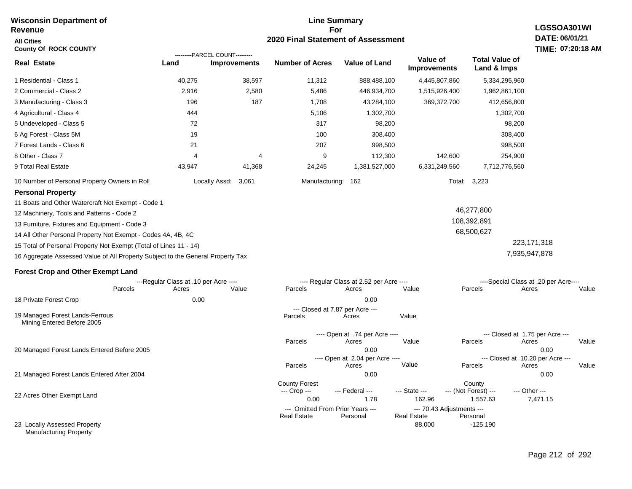### **For 2020 Final Statement of Assessment Revenue All Cities County Of ROCK COUNTY LGSSOA301WI DATE: 06/01/21 TIME: 07:20:18 AM Real Estate** 1 Residential - Class 1 2 Commercial - Class 2 3 Manufacturing - Class 3 4 Agricultural - Class 4 5 Undeveloped - Class 5 6 Ag Forest - Class 5M 7 Forest Lands - Class 6 8 Other - Class 7 9 Total Real Estate 10 Number of Personal Property Owners in Roll 40,275 38,597 11,312 888,488,100 4,445,807,860 5,334,295,960 **Land Improvements Number of Acres Value of Land Value of Improvements Total Value of Land & Imps** 2,916 196 444 72 19 21 4 43,947 2,580 187 4 41,368 5,486 1,708 5,106 317 100 207 9 24,245 446,934,700 43,284,100 1,302,700 98,200 308,400 998,500 112,300 1,381,527,000 1,515,926,400 369,372,700 142,600 6,331,249,560 1,962,861,100 412,656,800 1,302,700 98,200 308,400 998,500 254,900 7,712,776,560 Locally Assd: 3,061 Manufacturing: 162 Total: 3,223 **Personal Property** 11 Boats and Other Watercraft Not Exempt - Code 1 12 Machinery, Tools and Patterns - Code 2 13 Furniture, Fixtures and Equipment - Code 3 14 All Other Personal Property Not Exempt - Codes 4A, 4B, 4C 15 Total of Personal Property Not Exempt (Total of Lines 11 - 14) 16 Aggregate Assessed Value of All Property Subject to the General Property Tax 46,277,800 108,392,891 68,500,627 223,171,318 7,935,947,878 **Forest Crop and Other Exempt Land** ---Regular Class at .10 per Acre ---- ---- Regular Class at 2.52 per Acre ---- ----Special Class at .20 per Acre---- 18 Private Forest Crop 20 Managed Forest Lands Entered Before 2005 21 Managed Forest Lands Entered After 2004 Parcels 0.00 0.00 Acres Value Parcels Acres Value Parcels Acres Value ---- Open at .74 per Acre<br>Acres Parcels 0.00 0.00 Acres Value Parcels Acres Value --- Closed at 1.75 per Acre --- ---- Open at 2.04 per Acre ---<br>Acres Value Parcels Parcels Acres Acres Parcels 0.00 0.00 Acres **Value Parcels Acres Value** County Forest County County --- Crop --- 0.00 1.78 162.96 1,557.63 7,471.15 --- Federal --- - --- State --- --- (Not Forest) --- --- Other ---22 Acres Other Exempt Land --- Omitted From Prior Years ---<br>Real Estate Personal Personal Real Estate Personal 88,000 -125,190 **Real Estate** ---------PARCEL COUNT--------- 19 Managed Forest Lands-Ferrous Mining Entered Before 2005 --- Closed at 7.87 per Acre ---<br>cels Acres Parcels **Acres** Value

**Line Summary**

23 Locally Assessed Property Manufacturing Property

**Wisconsin Department of**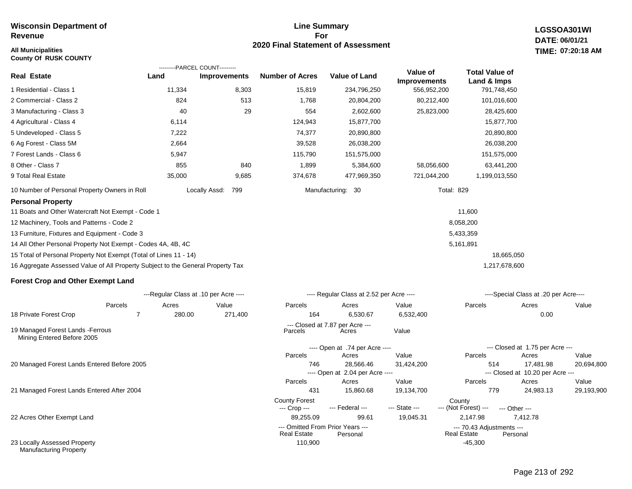### **All Municipalities TIME:**

**County Of RUSK COUNTY**

### **Line Summary For 2020 Final Statement of Assessment**

**LGSSOA301WI DATE: 06/01/21 07:20:18 AM**

| <b>Real Estate</b>                                                              | Land   | ---------PARCEL COUNT---------<br><b>Improvements</b> | <b>Number of Acres</b>               | <b>Value of Land</b>                     | Value of<br><b>Improvements</b> | <b>Total Value of</b><br>Land & Imps |                                           |            |
|---------------------------------------------------------------------------------|--------|-------------------------------------------------------|--------------------------------------|------------------------------------------|---------------------------------|--------------------------------------|-------------------------------------------|------------|
| 1 Residential - Class 1                                                         | 11,334 | 8,303                                                 | 15,819                               | 234,796,250                              | 556,952,200                     | 791,748,450                          |                                           |            |
| 2 Commercial - Class 2                                                          | 824    | 513                                                   | 1,768                                | 20,804,200                               | 80,212,400                      | 101,016,600                          |                                           |            |
| 3 Manufacturing - Class 3                                                       | 40     | 29                                                    | 554                                  | 2,602,600                                | 25,823,000                      | 28,425,600                           |                                           |            |
| 4 Agricultural - Class 4                                                        | 6,114  |                                                       | 124,943                              | 15,877,700                               |                                 | 15,877,700                           |                                           |            |
| 5 Undeveloped - Class 5                                                         | 7,222  |                                                       | 74,377                               | 20,890,800                               |                                 | 20,890,800                           |                                           |            |
| 6 Ag Forest - Class 5M                                                          | 2,664  |                                                       | 39,528                               | 26,038,200                               |                                 | 26,038,200                           |                                           |            |
| 7 Forest Lands - Class 6                                                        | 5,947  |                                                       | 115,790                              | 151,575,000                              |                                 | 151,575,000                          |                                           |            |
| 8 Other - Class 7                                                               | 855    | 840                                                   | 1,899                                | 5,384,600                                | 58,056,600                      | 63,441,200                           |                                           |            |
| 9 Total Real Estate                                                             | 35,000 | 9,685                                                 | 374,678                              | 477,969,350                              | 721,044,200                     | 1,199,013,550                        |                                           |            |
| 10 Number of Personal Property Owners in Roll                                   |        | Locally Assd:<br>799                                  |                                      | Manufacturing: 30                        |                                 | <b>Total: 829</b>                    |                                           |            |
| <b>Personal Property</b>                                                        |        |                                                       |                                      |                                          |                                 |                                      |                                           |            |
| 11 Boats and Other Watercraft Not Exempt - Code 1                               |        |                                                       |                                      |                                          |                                 | 11,600                               |                                           |            |
| 12 Machinery, Tools and Patterns - Code 2                                       |        |                                                       |                                      |                                          |                                 | 8,058,200                            |                                           |            |
| 13 Furniture, Fixtures and Equipment - Code 3                                   |        |                                                       |                                      |                                          |                                 | 5,433,359                            |                                           |            |
| 14 All Other Personal Property Not Exempt - Codes 4A, 4B, 4C                    |        |                                                       |                                      |                                          |                                 | 5,161,891                            |                                           |            |
| 15 Total of Personal Property Not Exempt (Total of Lines 11 - 14)               |        |                                                       |                                      |                                          |                                 | 18,665,050                           |                                           |            |
| 16 Aggregate Assessed Value of All Property Subject to the General Property Tax |        |                                                       |                                      |                                          |                                 | 1,217,678,600                        |                                           |            |
| <b>Forest Crop and Other Exempt Land</b>                                        |        |                                                       |                                      |                                          |                                 |                                      |                                           |            |
|                                                                                 |        | ---Regular Class at .10 per Acre ----                 |                                      | ---- Regular Class at 2.52 per Acre ---- |                                 |                                      | ----Special Class at .20 per Acre----     |            |
| Parcels                                                                         | Acres  | Value                                                 | Parcels                              | Acres                                    | Value                           | Parcels                              | Acres                                     | Value      |
| 18 Private Forest Crop<br>$\overline{7}$                                        | 280.00 | 271,400                                               | 164                                  | 6,530.67                                 | 6,532,400                       |                                      | 0.00                                      |            |
| 19 Managed Forest Lands - Ferrous<br>Mining Entered Before 2005                 |        |                                                       | Parcels                              | --- Closed at 7.87 per Acre ---<br>Acres | Value                           |                                      |                                           |            |
|                                                                                 |        |                                                       |                                      | ---- Open at .74 per Acre ----           |                                 |                                      | --- Closed at 1.75 per Acre ---           |            |
|                                                                                 |        |                                                       | Parcels                              | Acres                                    | Value                           | Parcels                              | Acres                                     | Value      |
| 20 Managed Forest Lands Entered Before 2005                                     |        |                                                       | 746                                  | 28,566.46                                | 31,424,200                      | 514                                  | 17,481.98                                 | 20,694,800 |
|                                                                                 |        |                                                       | Parcels                              | ---- Open at 2.04 per Acre ----<br>Acres | Value                           | Parcels                              | --- Closed at 10.20 per Acre ---<br>Acres | Value      |
| 21 Managed Forest Lands Entered After 2004                                      |        |                                                       | 431                                  | 15,860.68                                | 19,134,700                      | 779                                  | 24,983.13                                 | 29,193,900 |
|                                                                                 |        |                                                       | <b>County Forest</b><br>--- Crop --- | --- Federal ---                          | --- State ---                   | County<br>--- (Not Forest) ---       | --- Other ---                             |            |

22 Acres Other Exempt Land

23 Locally Assessed Property Manufacturing Property

# Page 213 of 292

89,255.09 99.61 19,045.31 2,147.98 7,412.78

110,900 -45,300

--- Omitted From Prior Years --- ---- ---- ----- ---- ---- 70.43 Adjustments ---

Real Estate Personal **Real Estate** Personal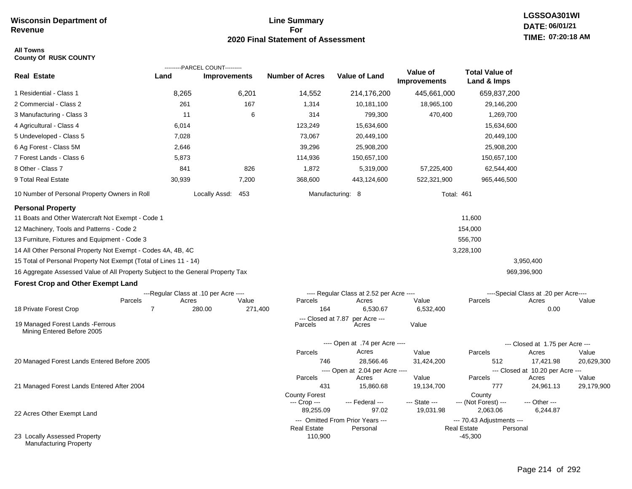## **Line Summary For 2020 Final Statement of Assessment**

### **All Towns County Of RUSK COUNTY**

|                                                                                 |                                       | ---------PARCEL COUNT--------- |                               |                                              |                          |                                                 |                                       |                     |
|---------------------------------------------------------------------------------|---------------------------------------|--------------------------------|-------------------------------|----------------------------------------------|--------------------------|-------------------------------------------------|---------------------------------------|---------------------|
| <b>Real Estate</b>                                                              | Land                                  | <b>Improvements</b>            | <b>Number of Acres</b>        | <b>Value of Land</b>                         | Value of<br>Improvements | <b>Total Value of</b><br>Land & Imps            |                                       |                     |
| 1 Residential - Class 1                                                         | 8,265                                 | 6,201                          | 14,552                        | 214,176,200                                  | 445,661,000              | 659,837,200                                     |                                       |                     |
| 2 Commercial - Class 2                                                          | 261                                   | 167                            | 1,314                         | 10,181,100                                   | 18,965,100               | 29,146,200                                      |                                       |                     |
| 3 Manufacturing - Class 3                                                       | 11                                    | 6                              | 314                           | 799,300                                      | 470,400                  | 1,269,700                                       |                                       |                     |
| 4 Agricultural - Class 4                                                        | 6,014                                 |                                | 123,249                       | 15,634,600                                   |                          | 15,634,600                                      |                                       |                     |
| 5 Undeveloped - Class 5                                                         | 7,028                                 |                                | 73,067                        | 20,449,100                                   |                          | 20,449,100                                      |                                       |                     |
| 6 Ag Forest - Class 5M                                                          | 2,646                                 |                                | 39,296                        | 25,908,200                                   |                          | 25,908,200                                      |                                       |                     |
| 7 Forest Lands - Class 6                                                        | 5,873                                 |                                | 114,936                       | 150,657,100                                  |                          | 150,657,100                                     |                                       |                     |
| 8 Other - Class 7                                                               | 841                                   | 826                            | 1,872                         | 5,319,000                                    | 57,225,400               | 62,544,400                                      |                                       |                     |
| 9 Total Real Estate                                                             | 30,939                                | 7,200                          | 368,600                       | 443,124,600                                  | 522,321,900              | 965,446,500                                     |                                       |                     |
| 10 Number of Personal Property Owners in Roll                                   |                                       | Locally Assd: 453              |                               | Manufacturing: 8                             | <b>Total: 461</b>        |                                                 |                                       |                     |
| <b>Personal Property</b>                                                        |                                       |                                |                               |                                              |                          |                                                 |                                       |                     |
| 11 Boats and Other Watercraft Not Exempt - Code 1                               |                                       |                                |                               |                                              |                          | 11,600                                          |                                       |                     |
| 12 Machinery, Tools and Patterns - Code 2                                       |                                       |                                |                               |                                              |                          | 154,000                                         |                                       |                     |
| 13 Furniture, Fixtures and Equipment - Code 3                                   |                                       |                                |                               |                                              |                          | 556,700                                         |                                       |                     |
| 14 All Other Personal Property Not Exempt - Codes 4A, 4B, 4C                    |                                       |                                |                               |                                              |                          | 3,228,100                                       |                                       |                     |
| 15 Total of Personal Property Not Exempt (Total of Lines 11 - 14)               |                                       |                                |                               |                                              |                          |                                                 | 3,950,400                             |                     |
| 16 Aggregate Assessed Value of All Property Subject to the General Property Tax |                                       |                                |                               |                                              |                          |                                                 | 969,396,900                           |                     |
| <b>Forest Crop and Other Exempt Land</b>                                        |                                       |                                |                               |                                              |                          |                                                 |                                       |                     |
|                                                                                 | ---Regular Class at .10 per Acre ---- |                                |                               | ---- Regular Class at 2.52 per Acre ----     |                          |                                                 | ----Special Class at .20 per Acre---- |                     |
|                                                                                 | Parcels<br>Acres                      | Value                          | Parcels                       | Acres                                        | Value                    | Parcels                                         | Acres                                 | Value               |
| 18 Private Forest Crop                                                          | $\overline{7}$                        | 280.00<br>271,400              | 164                           | 6,530.67                                     | 6,532,400                |                                                 | 0.00                                  |                     |
| 19 Managed Forest Lands - Ferrous<br>Mining Entered Before 2005                 |                                       |                                | --- Closed at 7.87<br>Parcels | per Acre ---<br>Acres                        | Value                    |                                                 |                                       |                     |
|                                                                                 |                                       |                                |                               | ---- Open at .74 per Acre ----               |                          |                                                 | --- Closed at 1.75 per Acre ---       |                     |
|                                                                                 |                                       |                                | Parcels                       | Acres                                        | Value                    | Parcels                                         | Acres                                 | Value               |
| 20 Managed Forest Lands Entered Before 2005                                     |                                       |                                | 746                           | 28,566.46                                    | 31,424,200               | 512                                             | 17,421.98                             | 20,629,300          |
|                                                                                 |                                       |                                |                               | ---- Open at 2.04 per Acre ----              |                          |                                                 | --- Closed at 10.20 per Acre ---      |                     |
| 21 Managed Forest Lands Entered After 2004                                      |                                       |                                | Parcels<br>431                | Acres<br>15,860.68                           | Value<br>19,134,700      | Parcels<br>777                                  | Acres<br>24,961.13                    | Value<br>29,179,900 |
|                                                                                 |                                       |                                | <b>County Forest</b>          |                                              |                          | County                                          |                                       |                     |
|                                                                                 |                                       |                                | --- Crop ---                  | --- Federal ---                              | --- State ---            | --- (Not Forest) ---                            | --- Other ---                         |                     |
| 22 Acres Other Exempt Land                                                      |                                       |                                | 89,255.09                     | 97.02                                        | 19,031.98                | 2,063.06                                        | 6,244.87                              |                     |
|                                                                                 |                                       |                                | <b>Real Estate</b>            | --- Omitted From Prior Years ---<br>Personal |                          | --- 70.43 Adjustments ---<br><b>Real Estate</b> | Personal                              |                     |
| 23 Locally Assessed Property<br><b>Manufacturing Property</b>                   |                                       |                                | 110,900                       |                                              |                          | $-45,300$                                       |                                       |                     |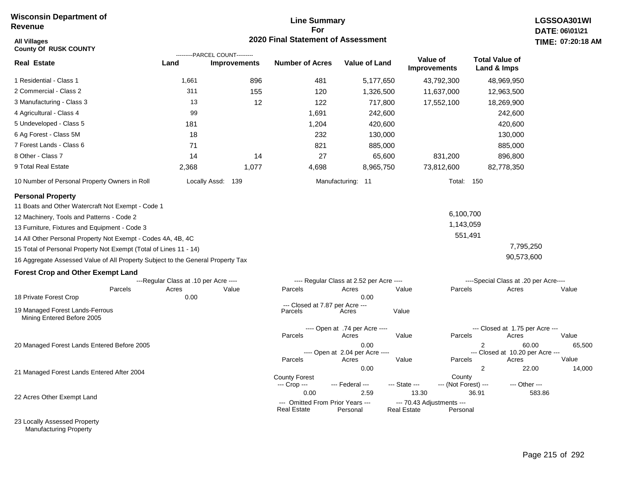# **Line Summary For 2020 Final Statement of Assessment All Villages TIME:**

| <b>All Villages</b><br><b>County Of RUSK COUNTY</b>                             |                                       |                                                       | 2020 Final Statement of Assessment                     |                                          |                        |                                       |                                          |                         | TIME: 07:20:18 |
|---------------------------------------------------------------------------------|---------------------------------------|-------------------------------------------------------|--------------------------------------------------------|------------------------------------------|------------------------|---------------------------------------|------------------------------------------|-------------------------|----------------|
| <b>Real Estate</b>                                                              | Land                                  | ---------PARCEL COUNT---------<br><b>Improvements</b> | <b>Number of Acres</b>                                 | <b>Value of Land</b>                     |                        | Value of<br><b>Improvements</b>       | <b>Total Value of</b><br>Land & Imps     |                         |                |
| 1 Residential - Class 1                                                         | 1,661                                 | 896                                                   | 481                                                    | 5,177,650                                |                        | 43,792,300                            | 48,969,950                               |                         |                |
| 2 Commercial - Class 2                                                          | 311                                   | 155                                                   | 120                                                    | 1,326,500                                |                        | 11,637,000                            | 12,963,500                               |                         |                |
| 3 Manufacturing - Class 3                                                       | 13                                    | 12                                                    | 122                                                    | 717,800                                  |                        | 17,552,100                            | 18,269,900                               |                         |                |
| 4 Agricultural - Class 4                                                        | 99                                    |                                                       | 1,691                                                  | 242,600                                  |                        |                                       | 242,600                                  |                         |                |
| 5 Undeveloped - Class 5                                                         | 181                                   |                                                       | 1,204                                                  | 420,600                                  |                        |                                       | 420,600                                  |                         |                |
| 6 Ag Forest - Class 5M                                                          | 18                                    |                                                       | 232                                                    | 130,000                                  |                        |                                       | 130,000                                  |                         |                |
| 7 Forest Lands - Class 6                                                        | 71                                    |                                                       | 821                                                    | 885,000                                  |                        |                                       | 885,000                                  |                         |                |
| 8 Other - Class 7                                                               | 14                                    | 14                                                    | 27                                                     | 65,600                                   |                        | 831,200                               | 896,800                                  |                         |                |
| 9 Total Real Estate                                                             | 2,368                                 | 1,077                                                 | 4,698                                                  | 8,965,750                                |                        | 73,812,600                            | 82,778,350                               |                         |                |
| 10 Number of Personal Property Owners in Roll                                   |                                       | Locally Assd: 139                                     |                                                        | Manufacturing: 11                        |                        | <b>Total: 150</b>                     |                                          |                         |                |
| <b>Personal Property</b>                                                        |                                       |                                                       |                                                        |                                          |                        |                                       |                                          |                         |                |
| 11 Boats and Other Watercraft Not Exempt - Code 1                               |                                       |                                                       |                                                        |                                          |                        |                                       |                                          |                         |                |
| 12 Machinery, Tools and Patterns - Code 2                                       |                                       |                                                       |                                                        |                                          |                        | 6,100,700                             |                                          |                         |                |
| 13 Furniture, Fixtures and Equipment - Code 3                                   |                                       |                                                       |                                                        |                                          |                        | 1,143,059                             |                                          |                         |                |
| 14 All Other Personal Property Not Exempt - Codes 4A, 4B, 4C                    |                                       |                                                       |                                                        |                                          |                        | 551,491                               |                                          |                         |                |
| 15 Total of Personal Property Not Exempt (Total of Lines 11 - 14)               |                                       |                                                       |                                                        |                                          |                        |                                       |                                          | 7,795,250               |                |
| 16 Aggregate Assessed Value of All Property Subject to the General Property Tax |                                       |                                                       |                                                        |                                          |                        |                                       |                                          | 90,573,600              |                |
| <b>Forest Crop and Other Exempt Land</b>                                        |                                       |                                                       |                                                        |                                          |                        |                                       |                                          |                         |                |
|                                                                                 | ---Regular Class at .10 per Acre ---- |                                                       |                                                        | ---- Regular Class at 2.52 per Acre ---- |                        |                                       | ----Special Class at .20 per Acre----    |                         |                |
| Parcels<br>18 Private Forest Crop                                               | Acres<br>0.00                         | Value                                                 | Parcels                                                | Acres<br>0.00                            | Value                  | Parcels                               | Acres                                    |                         | Value          |
| 19 Managed Forest Lands-Ferrous<br>Mining Entered Before 2005                   |                                       |                                                       | --- Closed at 7.87 per Acre ---<br>Parcels             | Acres                                    | Value                  |                                       |                                          |                         |                |
|                                                                                 |                                       |                                                       | Parcels                                                | ---- Open at .74 per Acre ----<br>Acres  | Value                  | Parcels                               | --- Closed at 1.75 per Acre ---<br>Acres |                         | Value          |
| 20 Managed Forest Lands Entered Before 2005                                     |                                       |                                                       |                                                        | 0.00                                     |                        |                                       | 2                                        | 60.00                   | 65,500         |
|                                                                                 |                                       |                                                       |                                                        | ---- Open at 2.04 per Acre ----          |                        |                                       | --- Closed at 10.20 per Acre ---         |                         |                |
|                                                                                 |                                       |                                                       | Parcels                                                | Acres                                    | Value                  | Parcels                               | Acres                                    |                         | Value          |
| 21 Managed Forest Lands Entered After 2004                                      |                                       |                                                       | <b>County Forest</b>                                   | 0.00                                     |                        | County                                | 2                                        | 22.00                   | 14,000         |
|                                                                                 |                                       |                                                       | --- Crop ---<br>0.00                                   | --- Federal ---<br>2.59                  | --- State ---<br>13.30 | --- (Not Forest) ---                  | 36.91                                    | --- Other ---<br>583.86 |                |
| 22 Acres Other Exempt Land                                                      |                                       |                                                       | --- Omitted From Prior Years ---<br><b>Real Estate</b> | Personal                                 | <b>Real Estate</b>     | --- 70.43 Adjustments ---<br>Personal |                                          |                         |                |

23 Locally Assessed Property Manufacturing Property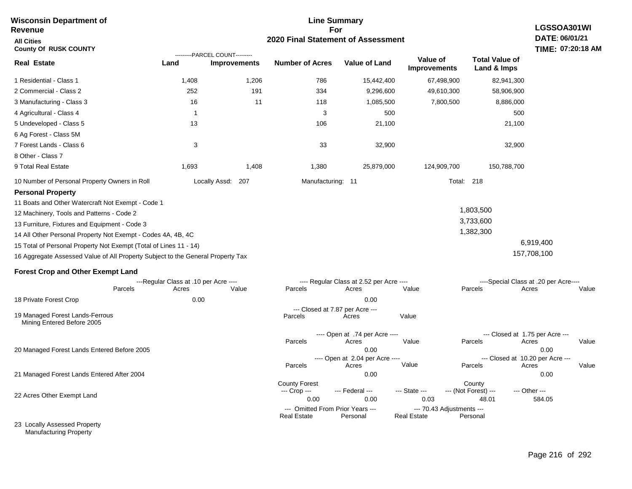| <b>Wisconsin Department of</b><br>Revenue                                                                                                                                                                                                                                                                                                                                                                                                       |                                       |                                                       |                                              | <b>Line Summary</b><br>For                       |                                 |                                         | LGSSOA301WI                                                |  |  |
|-------------------------------------------------------------------------------------------------------------------------------------------------------------------------------------------------------------------------------------------------------------------------------------------------------------------------------------------------------------------------------------------------------------------------------------------------|---------------------------------------|-------------------------------------------------------|----------------------------------------------|--------------------------------------------------|---------------------------------|-----------------------------------------|------------------------------------------------------------|--|--|
| <b>All Cities</b><br><b>County Of RUSK COUNTY</b>                                                                                                                                                                                                                                                                                                                                                                                               | 2020 Final Statement of Assessment    |                                                       |                                              |                                                  |                                 |                                         |                                                            |  |  |
| <b>Real Estate</b>                                                                                                                                                                                                                                                                                                                                                                                                                              | Land                                  | ---------PARCEL COUNT---------<br><b>Improvements</b> | <b>Number of Acres</b>                       | <b>Value of Land</b>                             | Value of<br><b>Improvements</b> | <b>Total Value of</b><br>Land & Imps    |                                                            |  |  |
| 1 Residential - Class 1                                                                                                                                                                                                                                                                                                                                                                                                                         | 1,408                                 | 1,206                                                 | 786                                          | 15,442,400                                       | 67,498,900                      | 82,941,300                              |                                                            |  |  |
| 2 Commercial - Class 2                                                                                                                                                                                                                                                                                                                                                                                                                          | 252                                   | 191                                                   | 334                                          | 9,296,600                                        | 49,610,300                      | 58,906,900                              |                                                            |  |  |
| 3 Manufacturing - Class 3                                                                                                                                                                                                                                                                                                                                                                                                                       | 16                                    | 11                                                    | 118                                          | 1,085,500                                        | 7,800,500                       | 8,886,000                               |                                                            |  |  |
| 4 Agricultural - Class 4                                                                                                                                                                                                                                                                                                                                                                                                                        | $\overline{1}$                        |                                                       | 3                                            | 500                                              |                                 | 500                                     |                                                            |  |  |
| 5 Undeveloped - Class 5                                                                                                                                                                                                                                                                                                                                                                                                                         | 13                                    |                                                       | 106                                          | 21,100                                           |                                 | 21,100                                  |                                                            |  |  |
| 6 Ag Forest - Class 5M<br>7 Forest Lands - Class 6<br>8 Other - Class 7                                                                                                                                                                                                                                                                                                                                                                         | 3                                     |                                                       | 33                                           | 32,900                                           |                                 | 32,900                                  |                                                            |  |  |
| 9 Total Real Estate                                                                                                                                                                                                                                                                                                                                                                                                                             | 1,693                                 | 1,408                                                 | 1,380                                        | 25,879,000                                       | 124,909,700                     | 150,788,700                             |                                                            |  |  |
| 10 Number of Personal Property Owners in Roll                                                                                                                                                                                                                                                                                                                                                                                                   |                                       | Locally Assd: 207                                     | Manufacturing: 11                            |                                                  |                                 | <b>Total: 218</b>                       |                                                            |  |  |
| <b>Personal Property</b><br>11 Boats and Other Watercraft Not Exempt - Code 1<br>12 Machinery, Tools and Patterns - Code 2<br>13 Furniture, Fixtures and Equipment - Code 3<br>14 All Other Personal Property Not Exempt - Codes 4A, 4B, 4C<br>15 Total of Personal Property Not Exempt (Total of Lines 11 - 14)<br>16 Aggregate Assessed Value of All Property Subject to the General Property Tax<br><b>Forest Crop and Other Exempt Land</b> |                                       |                                                       |                                              |                                                  |                                 | 1,803,500<br>3,733,600<br>1,382,300     | 6,919,400<br>157,708,100                                   |  |  |
|                                                                                                                                                                                                                                                                                                                                                                                                                                                 | ---Regular Class at .10 per Acre ---- |                                                       |                                              | ---- Regular Class at 2.52 per Acre ----         |                                 |                                         | ----Special Class at .20 per Acre----                      |  |  |
| Parcels                                                                                                                                                                                                                                                                                                                                                                                                                                         | Acres                                 | Value                                                 | Parcels                                      | Acres                                            | Value                           | Parcels                                 | Acres<br>Value                                             |  |  |
| 18 Private Forest Crop                                                                                                                                                                                                                                                                                                                                                                                                                          | 0.00                                  |                                                       |                                              | 0.00                                             |                                 |                                         |                                                            |  |  |
| 19 Managed Forest Lands-Ferrous<br>Mining Entered Before 2005                                                                                                                                                                                                                                                                                                                                                                                   |                                       |                                                       | Parcels                                      | --- Closed at 7.87 per Acre ---<br>Acres         | Value                           |                                         |                                                            |  |  |
|                                                                                                                                                                                                                                                                                                                                                                                                                                                 |                                       |                                                       | Parcels                                      | ---- Open at .74 per Acre ----<br>Acres          | Value                           | Parcels                                 | --- Closed at 1.75 per Acre ---<br>Acres<br>Value          |  |  |
| 20 Managed Forest Lands Entered Before 2005                                                                                                                                                                                                                                                                                                                                                                                                     |                                       |                                                       | Parcels                                      | 0.00<br>---- Open at 2.04 per Acre ----<br>Acres | Value                           | Parcels                                 | 0.00<br>--- Closed at 10.20 per Acre ---<br>Acres<br>Value |  |  |
| 21 Managed Forest Lands Entered After 2004                                                                                                                                                                                                                                                                                                                                                                                                      |                                       |                                                       |                                              | 0.00                                             |                                 |                                         | 0.00                                                       |  |  |
| 22 Acres Other Exempt Land                                                                                                                                                                                                                                                                                                                                                                                                                      |                                       |                                                       | <b>County Forest</b><br>--- Crop ---<br>0.00 | --- Federal ---<br>0.00                          | --- State ---<br>0.03           | County<br>--- (Not Forest) ---<br>48.01 | --- Other ---<br>584.05                                    |  |  |
|                                                                                                                                                                                                                                                                                                                                                                                                                                                 |                                       |                                                       | --- Omitted From Prior Years ---             |                                                  | --- 70.43 Adjustments ---       |                                         |                                                            |  |  |
| 23 Locally Assessed Property                                                                                                                                                                                                                                                                                                                                                                                                                    |                                       |                                                       | <b>Real Estate</b>                           | Personal                                         | <b>Real Estate</b>              | Personal                                |                                                            |  |  |

Manufacturing Property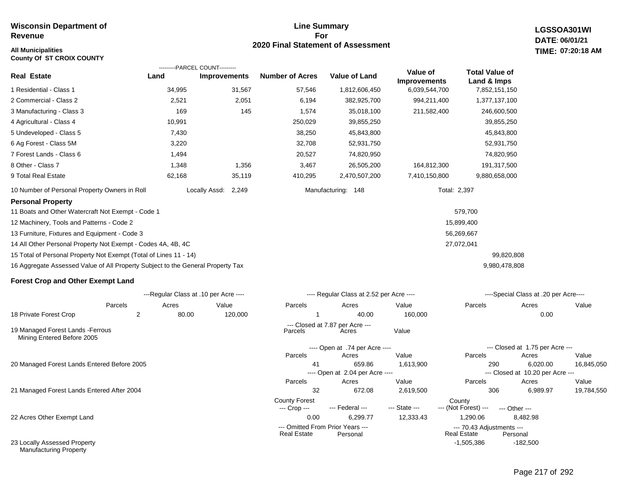# **All Municipalities TIME:**

**County Of ST CROIX COUNTY**

### **Line Summary For 2020 Final Statement of Assessment**

**LGSSOA301WI DATE: 06/01/21 07:20:18 AM**

|                                                                                 | ---------PARCEL COUNT---------        |                     |                        |                                           |                                 |                                      |                                              |            |
|---------------------------------------------------------------------------------|---------------------------------------|---------------------|------------------------|-------------------------------------------|---------------------------------|--------------------------------------|----------------------------------------------|------------|
| <b>Real Estate</b>                                                              | Land                                  | <b>Improvements</b> | <b>Number of Acres</b> | <b>Value of Land</b>                      | Value of<br><b>Improvements</b> | <b>Total Value of</b><br>Land & Imps |                                              |            |
| 1 Residential - Class 1                                                         | 34,995                                | 31,567              | 57,546                 | 1,812,606,450                             | 6,039,544,700                   | 7,852,151,150                        |                                              |            |
| 2 Commercial - Class 2                                                          | 2,521                                 | 2,051               | 6,194                  | 382,925,700                               | 994,211,400                     | 1,377,137,100                        |                                              |            |
| 3 Manufacturing - Class 3                                                       | 169                                   | 145                 | 1,574                  | 35,018,100                                | 211,582,400                     | 246,600,500                          |                                              |            |
| 4 Agricultural - Class 4                                                        | 10,991                                |                     | 250,029                | 39,855,250                                |                                 | 39,855,250                           |                                              |            |
| 5 Undeveloped - Class 5                                                         | 7,430                                 |                     | 38,250                 | 45,843,800                                |                                 | 45,843,800                           |                                              |            |
| 6 Ag Forest - Class 5M                                                          | 3,220                                 |                     | 32,708                 | 52,931,750                                |                                 | 52,931,750                           |                                              |            |
| 7 Forest Lands - Class 6                                                        | 1,494                                 |                     | 20,527                 | 74,820,950                                |                                 | 74,820,950                           |                                              |            |
| 8 Other - Class 7                                                               | 1,348                                 | 1,356               | 3,467                  | 26,505,200                                | 164,812,300                     | 191,317,500                          |                                              |            |
| 9 Total Real Estate                                                             | 62,168                                | 35,119              | 410,295                | 2,470,507,200                             | 7,410,150,800                   | 9,880,658,000                        |                                              |            |
| 10 Number of Personal Property Owners in Roll                                   | Locally Assd:                         | 2,249               |                        | Manufacturing: 148                        | Total: 2,397                    |                                      |                                              |            |
| <b>Personal Property</b>                                                        |                                       |                     |                        |                                           |                                 |                                      |                                              |            |
| 11 Boats and Other Watercraft Not Exempt - Code 1                               |                                       |                     |                        |                                           |                                 | 579,700                              |                                              |            |
| 12 Machinery, Tools and Patterns - Code 2                                       |                                       |                     |                        |                                           |                                 | 15,899,400                           |                                              |            |
| 13 Furniture, Fixtures and Equipment - Code 3                                   |                                       |                     |                        |                                           |                                 | 56,269,667                           |                                              |            |
| 14 All Other Personal Property Not Exempt - Codes 4A, 4B, 4C                    |                                       |                     |                        |                                           |                                 | 27,072,041                           |                                              |            |
| 15 Total of Personal Property Not Exempt (Total of Lines 11 - 14)               |                                       |                     |                        |                                           |                                 | 99,820,808                           |                                              |            |
| 16 Aggregate Assessed Value of All Property Subject to the General Property Tax |                                       |                     |                        |                                           |                                 | 9,980,478,808                        |                                              |            |
| <b>Forest Crop and Other Exempt Land</b>                                        |                                       |                     |                        |                                           |                                 |                                      |                                              |            |
|                                                                                 | ---Regular Class at .10 per Acre ---- |                     |                        | ---- Regular Class at 2.52 per Acre ----  |                                 |                                      | ----Special Class at .20 per Acre----        |            |
| Parcels                                                                         | Acres                                 | Value               | Parcels                | Acres                                     | Value                           | Parcels                              | Acres                                        | Value      |
| 18 Private Forest Crop<br>2                                                     | 80.00                                 | 120,000             | 1                      | 40.00                                     | 160,000                         |                                      | 0.00                                         |            |
| 19 Managed Forest Lands - Ferrous<br>Mining Entered Before 2005                 |                                       |                     | Parcels                | --- Closed at 7.87 per Acre ---<br>Acres  | Value                           |                                      |                                              |            |
|                                                                                 |                                       |                     |                        | ---- Open at .74 per Acre ----            |                                 |                                      | --- Closed at 1.75 per Acre ---              |            |
|                                                                                 |                                       |                     | Parcels                | Acres                                     | Value                           | Parcels                              | Acres                                        | Value      |
| 20 Managed Forest Lands Entered Before 2005                                     |                                       |                     | 41                     | 659.86<br>---- Open at 2.04 per Acre ---- | 1,613,900                       | 290                                  | 6,020.00<br>--- Closed at 10.20 per Acre --- | 16,845,050 |
|                                                                                 |                                       |                     | Parcels                | Acres                                     | Value                           | Parcels                              | Acres                                        | Value      |

21 Managed Forest Lands Entered After 2004

22 Acres Other Exempt Land

23 Locally Assessed Property Manufacturing Property

-182,500

32 672.08 2,619,500 306 6,989.97 19,784,550

-1,505,386

Real Estate

--- (Not Forest) --- --- Other ---

0.00 6,299.77 12,333.43 1,290.06 8,482.98

--- Omitted From Prior Years --- --- 70.43 Adjustments ---

County Forest<br>--- Crop --- --- Federal --- --- State --- --- (Not Fore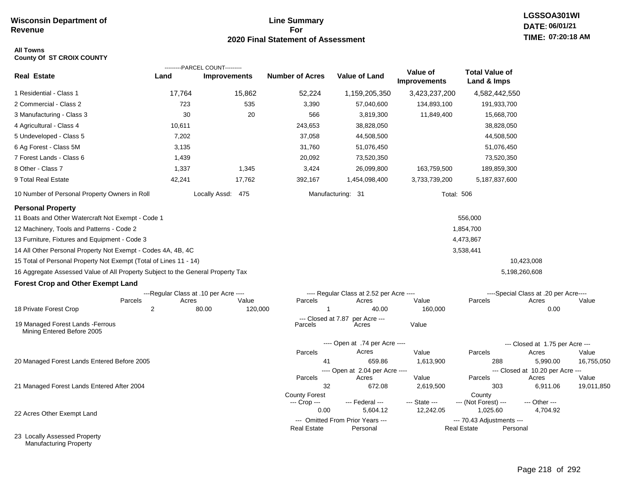## **Line Summary For 2020 Final Statement of Assessment**

# **LGSSOA301WI DATE: 06/01/21 TIME: 07:20:18 AM**

### **All Towns County Of ST CROIX COUNTY**

|                                                                                 |                                       | ---------PARCEL COUNT--------- |                               |                                              |                          |                                                 |                                           |            |
|---------------------------------------------------------------------------------|---------------------------------------|--------------------------------|-------------------------------|----------------------------------------------|--------------------------|-------------------------------------------------|-------------------------------------------|------------|
| <b>Real Estate</b>                                                              | Land                                  | <b>Improvements</b>            | <b>Number of Acres</b>        | <b>Value of Land</b>                         | Value of<br>Improvements | <b>Total Value of</b><br>Land & Imps            |                                           |            |
| 1 Residential - Class 1                                                         | 17,764                                | 15,862                         | 52,224                        | 1,159,205,350                                | 3,423,237,200            | 4,582,442,550                                   |                                           |            |
| 2 Commercial - Class 2                                                          | 723                                   | 535                            | 3,390                         | 57,040,600                                   | 134,893,100              | 191,933,700                                     |                                           |            |
| 3 Manufacturing - Class 3                                                       | 30                                    | 20                             | 566                           | 3,819,300                                    | 11,849,400               | 15,668,700                                      |                                           |            |
| 4 Agricultural - Class 4                                                        | 10,611                                |                                | 243,653                       | 38,828,050                                   |                          | 38,828,050                                      |                                           |            |
| 5 Undeveloped - Class 5                                                         | 7,202                                 |                                | 37,058                        | 44,508,500                                   |                          | 44,508,500                                      |                                           |            |
| 6 Ag Forest - Class 5M                                                          | 3,135                                 |                                | 31,760                        | 51,076,450                                   |                          | 51,076,450                                      |                                           |            |
| 7 Forest Lands - Class 6                                                        | 1,439                                 |                                | 20,092                        | 73,520,350                                   |                          | 73,520,350                                      |                                           |            |
| 8 Other - Class 7                                                               | 1,337                                 | 1,345                          | 3,424                         | 26,099,800                                   | 163,759,500              | 189,859,300                                     |                                           |            |
| 9 Total Real Estate                                                             | 42,241                                | 17,762                         | 392,167                       | 1,454,098,400                                | 3,733,739,200            | 5,187,837,600                                   |                                           |            |
| 10 Number of Personal Property Owners in Roll                                   |                                       | Locally Assd: 475              |                               | Manufacturing: 31                            | <b>Total: 506</b>        |                                                 |                                           |            |
| <b>Personal Property</b><br>11 Boats and Other Watercraft Not Exempt - Code 1   |                                       |                                |                               |                                              |                          | 556,000                                         |                                           |            |
| 12 Machinery, Tools and Patterns - Code 2                                       |                                       |                                |                               |                                              |                          | 1,854,700                                       |                                           |            |
| 13 Furniture, Fixtures and Equipment - Code 3                                   |                                       |                                |                               |                                              |                          | 4,473,867                                       |                                           |            |
| 14 All Other Personal Property Not Exempt - Codes 4A, 4B, 4C                    |                                       |                                |                               |                                              |                          | 3,538,441                                       |                                           |            |
| 15 Total of Personal Property Not Exempt (Total of Lines 11 - 14)               |                                       |                                |                               |                                              |                          |                                                 | 10,423,008                                |            |
| 16 Aggregate Assessed Value of All Property Subject to the General Property Tax |                                       |                                |                               |                                              |                          |                                                 | 5,198,260,608                             |            |
| <b>Forest Crop and Other Exempt Land</b>                                        |                                       |                                |                               |                                              |                          |                                                 |                                           |            |
|                                                                                 | ---Regular Class at .10 per Acre ---- |                                |                               | ---- Regular Class at 2.52 per Acre ----     |                          |                                                 | ----Special Class at .20 per Acre----     |            |
|                                                                                 | Acres<br>Parcels                      | Value                          | Parcels                       | Acres                                        | Value                    | Parcels                                         | Acres                                     | Value      |
| 18 Private Forest Crop                                                          | 2                                     | 80.00<br>120,000               | $\overline{1}$                | 40.00                                        | 160,000                  |                                                 | 0.00                                      |            |
| 19 Managed Forest Lands - Ferrous<br>Mining Entered Before 2005                 |                                       |                                | --- Closed at 7.87<br>Parcels | per Acre ---<br>Acres                        | Value                    |                                                 |                                           |            |
|                                                                                 |                                       |                                |                               | ---- Open at .74 per Acre ----               |                          |                                                 | --- Closed at 1.75 per Acre ---           |            |
|                                                                                 |                                       |                                | Parcels                       | Acres                                        | Value                    | Parcels                                         | Acres                                     | Value      |
| 20 Managed Forest Lands Entered Before 2005                                     |                                       |                                | 41                            | 659.86                                       | 1,613,900                | 288                                             | 5,990.00                                  | 16,755,050 |
|                                                                                 |                                       |                                | Parcels                       | ---- Open at 2.04 per Acre ----<br>Acres     | Value                    | Parcels                                         | --- Closed at 10.20 per Acre ---<br>Acres | Value      |
| 21 Managed Forest Lands Entered After 2004                                      |                                       |                                | 32                            | 672.08                                       | 2,619,500                | 303                                             | 6,911.06                                  | 19,011,850 |
|                                                                                 |                                       |                                | <b>County Forest</b>          |                                              |                          | County                                          |                                           |            |
|                                                                                 |                                       |                                | --- Crop ---                  | --- Federal ---                              | --- State ---            | --- (Not Forest) ---                            | --- Other ---                             |            |
| 22 Acres Other Exempt Land                                                      |                                       |                                | 0.00                          | 5,604.12<br>--- Omitted From Prior Years --- | 12,242.05                | 1,025.60                                        | 4,704.92                                  |            |
|                                                                                 |                                       |                                | <b>Real Estate</b>            | Personal                                     |                          | --- 70.43 Adjustments ---<br><b>Real Estate</b> | Personal                                  |            |
| 23 Locally Assessed Property                                                    |                                       |                                |                               |                                              |                          |                                                 |                                           |            |

Manufacturing Property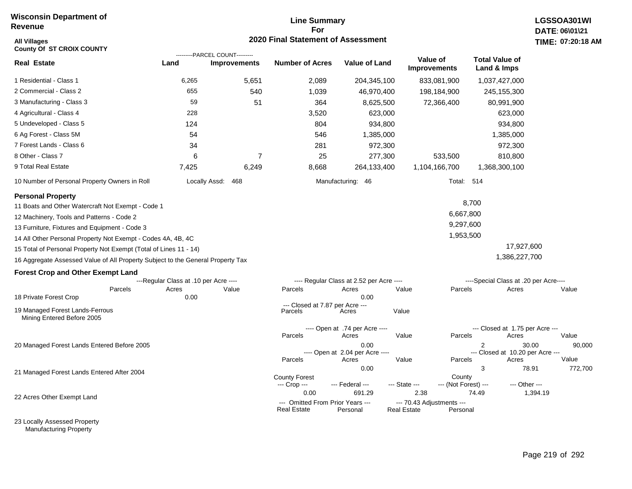### **Line Summary For 2020 Final Statement of Assessment**

| <b>All Villages</b><br><b>County Of ST CROIX COUNTY</b>                         |                                       | ---------PARCEL COUNT--------- | <b>2020 Final Statement of Assessment</b>                      |                                                  |                                                         |                                      |                                                    | TIME: 07:20:18  |
|---------------------------------------------------------------------------------|---------------------------------------|--------------------------------|----------------------------------------------------------------|--------------------------------------------------|---------------------------------------------------------|--------------------------------------|----------------------------------------------------|-----------------|
| <b>Real Estate</b>                                                              | Land                                  | <b>Improvements</b>            | <b>Number of Acres</b>                                         | <b>Value of Land</b>                             | Value of<br><b>Improvements</b>                         | <b>Total Value of</b><br>Land & Imps |                                                    |                 |
| 1 Residential - Class 1                                                         | 6,265                                 | 5,651                          | 2,089                                                          | 204,345,100                                      | 833,081,900                                             | 1,037,427,000                        |                                                    |                 |
| 2 Commercial - Class 2                                                          | 655                                   | 540                            | 1,039                                                          | 46,970,400                                       | 198,184,900                                             | 245,155,300                          |                                                    |                 |
| 3 Manufacturing - Class 3                                                       | 59                                    | 51                             | 364                                                            | 8,625,500                                        | 72,366,400                                              |                                      | 80,991,900                                         |                 |
| 4 Agricultural - Class 4                                                        | 228                                   |                                | 3,520                                                          | 623,000                                          |                                                         |                                      | 623,000                                            |                 |
| 5 Undeveloped - Class 5                                                         | 124                                   |                                | 804                                                            | 934,800                                          |                                                         |                                      | 934,800                                            |                 |
| 6 Ag Forest - Class 5M                                                          | 54                                    |                                | 546                                                            | 1,385,000                                        |                                                         |                                      | 1,385,000                                          |                 |
| 7 Forest Lands - Class 6                                                        | 34                                    |                                | 281                                                            | 972,300                                          |                                                         |                                      | 972,300                                            |                 |
| 8 Other - Class 7                                                               | 6                                     | 7                              | 25                                                             | 277,300                                          | 533,500                                                 |                                      | 810,800                                            |                 |
| 9 Total Real Estate                                                             | 7,425                                 | 6,249                          | 8,668                                                          | 264,133,400                                      | 1,104,166,700                                           | 1,368,300,100                        |                                                    |                 |
| 10 Number of Personal Property Owners in Roll                                   |                                       | Locally Assd: 468              |                                                                | Manufacturing: 46                                |                                                         | Total: 514                           |                                                    |                 |
| <b>Personal Property</b>                                                        |                                       |                                |                                                                |                                                  |                                                         |                                      |                                                    |                 |
| 11 Boats and Other Watercraft Not Exempt - Code 1                               |                                       |                                |                                                                |                                                  |                                                         | 8,700                                |                                                    |                 |
| 12 Machinery, Tools and Patterns - Code 2                                       |                                       |                                |                                                                |                                                  |                                                         | 6,667,800                            |                                                    |                 |
| 13 Furniture, Fixtures and Equipment - Code 3                                   |                                       |                                |                                                                |                                                  |                                                         | 9,297,600                            |                                                    |                 |
| 14 All Other Personal Property Not Exempt - Codes 4A, 4B, 4C                    |                                       |                                |                                                                |                                                  |                                                         | 1,953,500                            |                                                    |                 |
| 15 Total of Personal Property Not Exempt (Total of Lines 11 - 14)               |                                       |                                |                                                                |                                                  |                                                         |                                      | 17,927,600                                         |                 |
| 16 Aggregate Assessed Value of All Property Subject to the General Property Tax |                                       |                                |                                                                |                                                  |                                                         |                                      | 1,386,227,700                                      |                 |
| <b>Forest Crop and Other Exempt Land</b>                                        |                                       |                                |                                                                |                                                  |                                                         |                                      |                                                    |                 |
|                                                                                 | ---Regular Class at .10 per Acre ---- |                                |                                                                | ---- Regular Class at 2.52 per Acre ----         |                                                         |                                      | ----Special Class at .20 per Acre----              |                 |
| Parcels<br>18 Private Forest Crop                                               | Acres<br>0.00                         | Value                          | Parcels                                                        | Acres<br>0.00                                    | Value                                                   | Parcels                              | Acres                                              | Value           |
|                                                                                 |                                       |                                | --- Closed at 7.87 per Acre ---                                |                                                  |                                                         |                                      |                                                    |                 |
| 19 Managed Forest Lands-Ferrous<br>Mining Entered Before 2005                   |                                       |                                | Parcels                                                        | Acres                                            | Value                                                   |                                      |                                                    |                 |
|                                                                                 |                                       |                                |                                                                | ---- Open at .74 per Acre ----                   |                                                         |                                      | --- Closed at 1.75 per Acre ---                    |                 |
|                                                                                 |                                       |                                | Parcels                                                        | Acres                                            | Value                                                   | Parcels                              | Acres                                              | Value           |
| 20 Managed Forest Lands Entered Before 2005                                     |                                       |                                | Parcels                                                        | 0.00<br>---- Open at 2.04 per Acre ----<br>Acres | Value                                                   | 2<br>Parcels                         | 30.00<br>--- Closed at 10.20 per Acre ---<br>Acres | 90,000<br>Value |
| 21 Managed Forest Lands Entered After 2004                                      |                                       |                                |                                                                | 0.00                                             |                                                         | 3                                    | 78.91                                              | 772,700         |
|                                                                                 |                                       |                                | <b>County Forest</b><br>--- Crop ---                           | --- Federal ---                                  | --- State ---                                           | County<br>--- (Not Forest) ---       | --- Other ---                                      |                 |
| 22 Acres Other Exempt Land                                                      |                                       |                                | 0.00<br>--- Omitted From Prior Years ---<br><b>Real Estate</b> | 691.29<br>Personal                               | 2.38<br>--- 70.43 Adjustments ---<br><b>Real Estate</b> | 74.49<br>Personal                    | 1,394.19                                           |                 |

23 Locally Assessed Property Manufacturing Property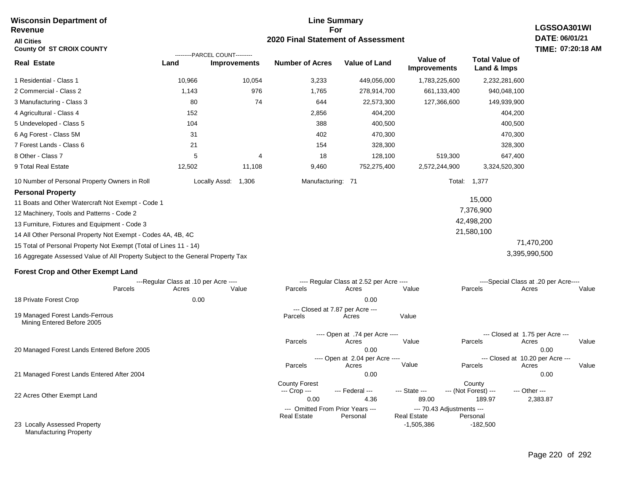#### **Line Summary For 2020 Final Statement of Assessment Wisconsin Department of Revenue All Cities County Of ST CROIX COUNTY LGSSOA301WI DATE: 06/01/21 TIME: 07:20:18 AM Real Estate** 1 Residential - Class 1 2 Commercial - Class 2 3 Manufacturing - Class 3 4 Agricultural - Class 4 5 Undeveloped - Class 5 6 Ag Forest - Class 5M 7 Forest Lands - Class 6 8 Other - Class 7 9 Total Real Estate 10 Number of Personal Property Owners in Roll 10,966 10,054 3,233 449,056,000 1,783,225,600 2,232,281,600 **Land Improvements Number of Acres Value of Land Value of Improvements Total Value of Land & Imps** 1,143 80 152 104 31 21 5 12,502 976 74 4 11,108 1,765 644 2,856 388 402 154 18 9,460 278,914,700 22,573,300 404,200 400,500 470,300 328,300 128,100 752,275,400 661,133,400 127,366,600 519,300 2,572,244,900 940,048,100 149,939,900 404,200 400,500 470,300 328,300 647,400 3,324,520,300 Locally Assd: 1,306 Manufacturing: 71 Total: 1,377 **Personal Property** 11 Boats and Other Watercraft Not Exempt - Code 1 12 Machinery, Tools and Patterns - Code 2 13 Furniture, Fixtures and Equipment - Code 3 14 All Other Personal Property Not Exempt - Codes 4A, 4B, 4C 15 Total of Personal Property Not Exempt (Total of Lines 11 - 14) 16 Aggregate Assessed Value of All Property Subject to the General Property Tax 15,000 7,376,900 42,498,200 21,580,100 71,470,200 3,395,990,500 **Forest Crop and Other Exempt Land** ---Regular Class at .10 per Acre ---- ---- Regular Class at 2.52 per Acre ---- ----Special Class at .20 per Acre---- 18 Private Forest Crop 20 Managed Forest Lands Entered Before 2005 21 Managed Forest Lands Entered After 2004 Parcels 0.00 0.00 Acres Value Parcels Acres Value Parcels Acres Value ---- Open at .74 per Acre<br>Acres Parcels 0.00 0.00 Acres Value Parcels Acres Value --- Closed at 1.75 per Acre --- ---- Open at 2.04 per Acre ---- --- Closed at 10.20 per Acre --- Parcels 0.00 0.00 Acres **Value Parcels Acres Value** County Forest **County** County --- Crop --- 0.00 4.36 89.00 189.97 2,383.87 --- Federal --- - --- State --- --- (Not Forest) --- --- Other ---22 Acres Other Exempt Land --- Omitted From Prior Years ---<br>Real Estate Personal Personal Real Estate Personal **Real Estate** ---------PARCEL COUNT--------- 19 Managed Forest Lands-Ferrous Mining Entered Before 2005 --- Closed at 7.87 per Acre ---<br>rcels Acres Parcels **Acres** Value

23 Locally Assessed Property Manufacturing Property

-1,505,386 -182,500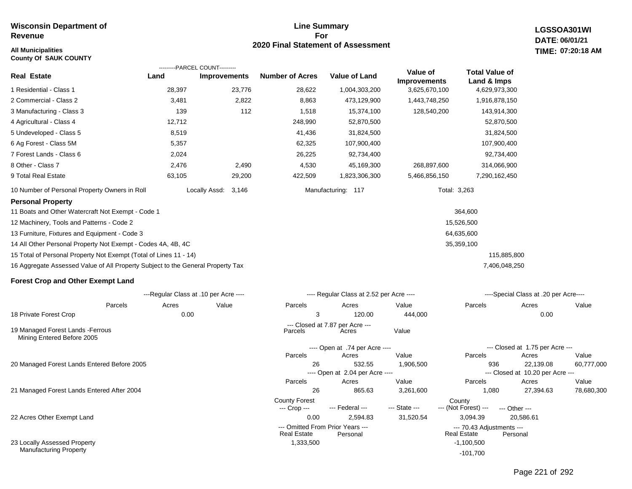### **All Municipalities TIME:**

**County Of SAUK COUNTY**

### **Line Summary For 2020 Final Statement of Assessment**

**LGSSOA301WI DATE: 06/01/21 07:20:18 AM**

|                                                                                 | ---------PARCEL COUNT---------        |                     |                        |                                           |                                 |                                      |                                               |            |
|---------------------------------------------------------------------------------|---------------------------------------|---------------------|------------------------|-------------------------------------------|---------------------------------|--------------------------------------|-----------------------------------------------|------------|
| <b>Real Estate</b>                                                              | Land                                  | <b>Improvements</b> | <b>Number of Acres</b> | <b>Value of Land</b>                      | Value of<br><b>Improvements</b> | <b>Total Value of</b><br>Land & Imps |                                               |            |
| 1 Residential - Class 1                                                         | 28,397                                | 23,776              | 28,622                 | 1,004,303,200                             | 3,625,670,100                   | 4,629,973,300                        |                                               |            |
| 2 Commercial - Class 2                                                          | 3,481                                 | 2,822               | 8,863                  | 473,129,900                               | 1,443,748,250                   | 1,916,878,150                        |                                               |            |
| 3 Manufacturing - Class 3                                                       | 139                                   | 112                 | 1,518                  | 15,374,100                                | 128,540,200                     | 143,914,300                          |                                               |            |
| 4 Agricultural - Class 4                                                        | 12,712                                |                     | 248,990                | 52,870,500                                |                                 | 52,870,500                           |                                               |            |
| 5 Undeveloped - Class 5                                                         | 8,519                                 |                     | 41,436                 | 31,824,500                                |                                 | 31,824,500                           |                                               |            |
| 6 Ag Forest - Class 5M                                                          | 5,357                                 |                     | 62,325                 | 107,900,400                               |                                 | 107,900,400                          |                                               |            |
| 7 Forest Lands - Class 6                                                        | 2,024                                 |                     | 26,225                 | 92,734,400                                |                                 | 92,734,400                           |                                               |            |
| 8 Other - Class 7                                                               | 2,476                                 | 2,490               | 4,530                  | 45,169,300                                | 268,897,600                     | 314,066,900                          |                                               |            |
| 9 Total Real Estate                                                             | 63,105                                | 29,200              | 422,509                | 1,823,306,300                             | 5,466,856,150                   | 7,290,162,450                        |                                               |            |
| 10 Number of Personal Property Owners in Roll                                   |                                       | Locally Assd: 3,146 |                        | Manufacturing: 117                        | Total: 3,263                    |                                      |                                               |            |
| <b>Personal Property</b>                                                        |                                       |                     |                        |                                           |                                 |                                      |                                               |            |
| 11 Boats and Other Watercraft Not Exempt - Code 1                               |                                       |                     |                        |                                           |                                 | 364,600                              |                                               |            |
| 12 Machinery, Tools and Patterns - Code 2                                       |                                       |                     |                        |                                           |                                 | 15,526,500                           |                                               |            |
| 13 Furniture, Fixtures and Equipment - Code 3                                   |                                       |                     |                        |                                           |                                 | 64,635,600                           |                                               |            |
| 14 All Other Personal Property Not Exempt - Codes 4A, 4B, 4C                    |                                       |                     |                        |                                           |                                 | 35,359,100                           |                                               |            |
| 15 Total of Personal Property Not Exempt (Total of Lines 11 - 14)               |                                       |                     |                        |                                           |                                 | 115,885,800                          |                                               |            |
| 16 Aggregate Assessed Value of All Property Subject to the General Property Tax |                                       |                     |                        |                                           |                                 | 7,406,048,250                        |                                               |            |
| <b>Forest Crop and Other Exempt Land</b>                                        |                                       |                     |                        |                                           |                                 |                                      |                                               |            |
|                                                                                 | ---Regular Class at .10 per Acre ---- |                     |                        | ---- Regular Class at 2.52 per Acre ----  |                                 |                                      | ----Special Class at .20 per Acre----         |            |
| Parcels                                                                         | Acres                                 | Value               | Parcels                | Acres                                     | Value                           | Parcels                              | Acres                                         | Value      |
| 18 Private Forest Crop                                                          | 0.00                                  |                     | 3                      | 120.00                                    | 444,000                         |                                      | 0.00                                          |            |
| 19 Managed Forest Lands - Ferrous<br>Mining Entered Before 2005                 |                                       |                     | Parcels                | --- Closed at 7.87 per Acre ---<br>Acres  | Value                           |                                      |                                               |            |
|                                                                                 |                                       |                     |                        | ---- Open at .74 per Acre ----            |                                 |                                      | --- Closed at 1.75 per Acre ---               |            |
|                                                                                 |                                       |                     | Parcels                | Acres                                     | Value                           | Parcels                              | Acres                                         | Value      |
| 20 Managed Forest Lands Entered Before 2005                                     |                                       |                     | 26                     | 532.55<br>---- Open at 2.04 per Acre ---- | 1,906,500                       | 936                                  | 22,139.08<br>--- Closed at 10.20 per Acre --- | 60,777,000 |
|                                                                                 |                                       |                     | Parcels                | Acres                                     | Value                           | Parcels                              | Acres                                         | Value      |
| 21 Managed Forest Lands Entered After 2004                                      |                                       |                     | 26                     | 865.63                                    | 3,261,600                       | 1,080                                | 27,394.63                                     | 78,680,300 |
|                                                                                 |                                       |                     | <b>County Forest</b>   |                                           |                                 | County                               |                                               |            |

22 Acres Other Exempt Land

23 Locally Assessed Property Manufacturing Property

Page 221 of 292

0.00 2,594.83 31,520.54 3,094.39 20,586.61

--- Crop --- --- Federal --- --- State --- --- (Not Forest) --- --- Other ---

--- Omitted From Prior Years --- --- 70.43 Adjustments ---

-101,700

**Real Estate** 

1,333,500 -1,100,500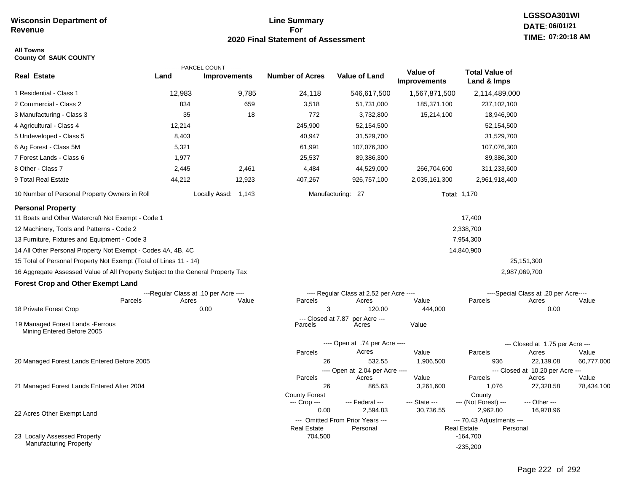## **Line Summary For 2020 Final Statement of Assessment**

### **All Towns County Of SAUK COUNTY**

|                                                                                 |        | ---------PARCEL COUNT---------        |                                      |                                              |                                 |                                                             |                                           |            |
|---------------------------------------------------------------------------------|--------|---------------------------------------|--------------------------------------|----------------------------------------------|---------------------------------|-------------------------------------------------------------|-------------------------------------------|------------|
| <b>Real Estate</b>                                                              | Land   | Improvements                          | <b>Number of Acres</b>               | <b>Value of Land</b>                         | Value of<br><b>Improvements</b> | <b>Total Value of</b><br>Land & Imps                        |                                           |            |
| 1 Residential - Class 1                                                         | 12,983 | 9,785                                 | 24,118                               | 546,617,500                                  | 1,567,871,500                   | 2,114,489,000                                               |                                           |            |
| 2 Commercial - Class 2                                                          | 834    | 659                                   | 3,518                                | 51,731,000                                   | 185,371,100                     | 237,102,100                                                 |                                           |            |
| 3 Manufacturing - Class 3                                                       | 35     | 18                                    | 772                                  | 3,732,800                                    | 15,214,100                      | 18,946,900                                                  |                                           |            |
| 4 Agricultural - Class 4                                                        | 12,214 |                                       | 245,900                              | 52,154,500                                   |                                 | 52,154,500                                                  |                                           |            |
| 5 Undeveloped - Class 5                                                         | 8,403  |                                       | 40,947                               | 31,529,700                                   |                                 | 31,529,700                                                  |                                           |            |
| 6 Ag Forest - Class 5M                                                          | 5,321  |                                       | 61,991                               | 107,076,300                                  |                                 | 107,076,300                                                 |                                           |            |
| 7 Forest Lands - Class 6                                                        | 1,977  |                                       | 25,537                               | 89,386,300                                   |                                 | 89,386,300                                                  |                                           |            |
| 8 Other - Class 7                                                               | 2,445  | 2,461                                 | 4,484                                | 44,529,000                                   | 266,704,600                     | 311,233,600                                                 |                                           |            |
| 9 Total Real Estate                                                             | 44,212 | 12,923                                | 407,267                              | 926,757,100                                  | 2,035,161,300                   | 2,961,918,400                                               |                                           |            |
| 10 Number of Personal Property Owners in Roll                                   |        | Locally Assd: 1,143                   |                                      | Manufacturing: 27                            |                                 | Total: 1,170                                                |                                           |            |
| <b>Personal Property</b>                                                        |        |                                       |                                      |                                              |                                 |                                                             |                                           |            |
| 11 Boats and Other Watercraft Not Exempt - Code 1                               |        |                                       |                                      |                                              |                                 | 17,400                                                      |                                           |            |
| 12 Machinery, Tools and Patterns - Code 2                                       |        |                                       |                                      |                                              |                                 | 2,338,700                                                   |                                           |            |
| 13 Furniture, Fixtures and Equipment - Code 3                                   |        |                                       |                                      |                                              |                                 | 7,954,300                                                   |                                           |            |
| 14 All Other Personal Property Not Exempt - Codes 4A, 4B, 4C                    |        |                                       |                                      |                                              |                                 | 14,840,900                                                  |                                           |            |
| 15 Total of Personal Property Not Exempt (Total of Lines 11 - 14)               |        |                                       |                                      |                                              |                                 |                                                             | 25,151,300                                |            |
| 16 Aggregate Assessed Value of All Property Subject to the General Property Tax |        |                                       |                                      |                                              |                                 |                                                             | 2,987,069,700                             |            |
| <b>Forest Crop and Other Exempt Land</b>                                        |        |                                       |                                      |                                              |                                 |                                                             |                                           |            |
|                                                                                 |        | ---Regular Class at .10 per Acre ---- |                                      | ---- Regular Class at 2.52 per Acre ----     |                                 |                                                             | ----Special Class at .20 per Acre----     |            |
| Parcels<br>18 Private Forest Crop                                               | Acres  | Value<br>0.00                         | Parcels<br>3                         | Acres<br>120.00                              | Value<br>444,000                | Parcels                                                     | Acres<br>0.00                             | Value      |
|                                                                                 |        |                                       | --- Closed at 7.87                   | per Acre ---                                 |                                 |                                                             |                                           |            |
| 19 Managed Forest Lands - Ferrous<br>Mining Entered Before 2005                 |        |                                       | Parcels                              | Acres                                        | Value                           |                                                             |                                           |            |
|                                                                                 |        |                                       |                                      | ---- Open at .74 per Acre ----               |                                 |                                                             | --- Closed at 1.75 per Acre ---           |            |
|                                                                                 |        |                                       | Parcels                              | Acres                                        | Value                           | Parcels                                                     | Acres                                     | Value      |
| 20 Managed Forest Lands Entered Before 2005                                     |        |                                       | 26                                   | 532.55                                       | 1,906,500                       | 936                                                         | 22,139.08                                 | 60,777,000 |
|                                                                                 |        |                                       | Parcels                              | ---- Open at 2.04 per Acre ----<br>Acres     | Value                           | Parcels                                                     | --- Closed at 10.20 per Acre ---<br>Acres | Value      |
| 21 Managed Forest Lands Entered After 2004                                      |        |                                       | 26                                   | 865.63                                       | 3,261,600                       | 1,076                                                       | 27,328.58                                 | 78,434,100 |
|                                                                                 |        |                                       | <b>County Forest</b><br>--- Crop --- | --- Federal ---                              | --- State ---                   | County<br>--- (Not Forest) ---                              | --- Other ---                             |            |
| 22 Acres Other Exempt Land                                                      |        |                                       | 0.00                                 | 2.594.83                                     | 30,736.55                       | 2,962.80                                                    | 16,978.96                                 |            |
|                                                                                 |        |                                       | Real Estate                          | --- Omitted From Prior Years ---<br>Personal |                                 | --- 70.43 Adjustments ---<br><b>Real Estate</b><br>Personal |                                           |            |
| 23 Locally Assessed Property                                                    |        |                                       | 704,500                              |                                              |                                 | $-164,700$                                                  |                                           |            |
| Manufacturing Property                                                          |        |                                       |                                      |                                              |                                 | $-235,200$                                                  |                                           |            |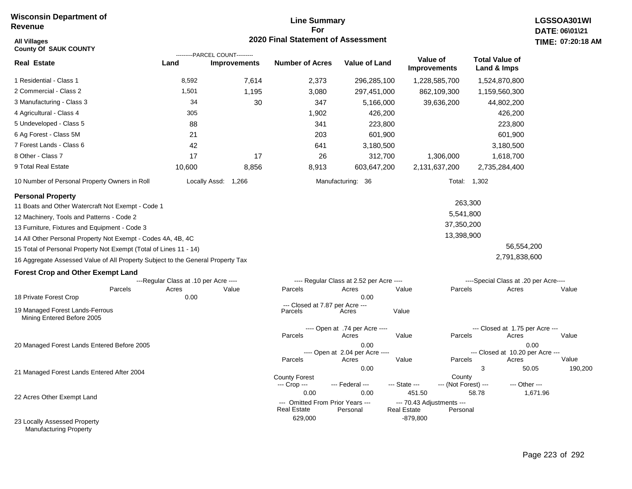# **Line Summary For 2020 Final Statement of Assessment All Villages TIME:**

| <b>All Villages</b><br><b>County Of SAUK COUNTY</b>                                                                                                                                                                                                                                                                                                                                                                                                        |                                                |                                                  | 2020 Final Statement of Assessment                      |                                                                                             |                                                           |                                                             |                                                                                               | <b>TIME: 07:20</b> |
|------------------------------------------------------------------------------------------------------------------------------------------------------------------------------------------------------------------------------------------------------------------------------------------------------------------------------------------------------------------------------------------------------------------------------------------------------------|------------------------------------------------|--------------------------------------------------|---------------------------------------------------------|---------------------------------------------------------------------------------------------|-----------------------------------------------------------|-------------------------------------------------------------|-----------------------------------------------------------------------------------------------|--------------------|
| <b>Real Estate</b>                                                                                                                                                                                                                                                                                                                                                                                                                                         | Land                                           | ----PARCEL COUNT---------<br><b>Improvements</b> | <b>Number of Acres</b>                                  | <b>Value of Land</b>                                                                        | Value of<br><b>Improvements</b>                           |                                                             | <b>Total Value of</b><br>Land & Imps                                                          |                    |
| 1 Residential - Class 1                                                                                                                                                                                                                                                                                                                                                                                                                                    | 8,592                                          | 7,614                                            | 2,373                                                   | 296,285,100                                                                                 | 1,228,585,700                                             |                                                             | 1,524,870,800                                                                                 |                    |
| 2 Commercial - Class 2                                                                                                                                                                                                                                                                                                                                                                                                                                     | 1,501                                          | 1,195                                            | 3,080                                                   | 297,451,000                                                                                 | 862,109,300                                               |                                                             | 1,159,560,300                                                                                 |                    |
| 3 Manufacturing - Class 3                                                                                                                                                                                                                                                                                                                                                                                                                                  | 34                                             | 30                                               | 347                                                     | 5,166,000                                                                                   | 39,636,200                                                |                                                             | 44,802,200                                                                                    |                    |
| 4 Agricultural - Class 4                                                                                                                                                                                                                                                                                                                                                                                                                                   | 305                                            |                                                  | 1,902                                                   | 426,200                                                                                     |                                                           |                                                             | 426,200                                                                                       |                    |
| 5 Undeveloped - Class 5                                                                                                                                                                                                                                                                                                                                                                                                                                    | 88                                             |                                                  | 341                                                     | 223,800                                                                                     |                                                           |                                                             | 223,800                                                                                       |                    |
| 6 Ag Forest - Class 5M                                                                                                                                                                                                                                                                                                                                                                                                                                     | 21                                             |                                                  | 203                                                     | 601,900                                                                                     |                                                           |                                                             | 601,900                                                                                       |                    |
| 7 Forest Lands - Class 6                                                                                                                                                                                                                                                                                                                                                                                                                                   | 42                                             |                                                  | 641                                                     | 3,180,500                                                                                   |                                                           |                                                             | 3,180,500                                                                                     |                    |
| 8 Other - Class 7                                                                                                                                                                                                                                                                                                                                                                                                                                          | 17                                             | 17                                               | 26                                                      | 312,700                                                                                     | 1,306,000                                                 |                                                             | 1,618,700                                                                                     |                    |
| 9 Total Real Estate                                                                                                                                                                                                                                                                                                                                                                                                                                        | 10,600                                         | 8,856                                            | 8,913                                                   | 603,647,200                                                                                 | 2,131,637,200                                             |                                                             | 2,735,284,400                                                                                 |                    |
| 10 Number of Personal Property Owners in Roll                                                                                                                                                                                                                                                                                                                                                                                                              |                                                | Locally Assd: 1,266                              |                                                         | Manufacturing: 36                                                                           |                                                           | Total: 1,302                                                |                                                                                               |                    |
| <b>Personal Property</b><br>11 Boats and Other Watercraft Not Exempt - Code 1<br>12 Machinery, Tools and Patterns - Code 2<br>13 Furniture, Fixtures and Equipment - Code 3<br>14 All Other Personal Property Not Exempt - Codes 4A, 4B, 4C<br>15 Total of Personal Property Not Exempt (Total of Lines 11 - 14)<br>16 Aggregate Assessed Value of All Property Subject to the General Property Tax<br><b>Forest Crop and Other Exempt Land</b><br>Parcels | ---Regular Class at .10 per Acre ----<br>Acres | Value                                            | Parcels                                                 | ---- Regular Class at 2.52 per Acre ----<br>Acres                                           | Value                                                     | 263,300<br>5,541,800<br>37,350,200<br>13,398,900<br>Parcels | 56,554,200<br>2,791,838,600<br>----Special Class at .20 per Acre----<br>Acres                 | Value              |
| 18 Private Forest Crop<br>19 Managed Forest Lands-Ferrous<br>Mining Entered Before 2005                                                                                                                                                                                                                                                                                                                                                                    | 0.00                                           |                                                  | --- Closed at 7.87 per Acre ---<br>Parcels              | 0.00<br>Acres                                                                               | Value                                                     |                                                             |                                                                                               |                    |
| 20 Managed Forest Lands Entered Before 2005                                                                                                                                                                                                                                                                                                                                                                                                                |                                                |                                                  | Parcels<br>Parcels                                      | ---- Open at .74 per Acre ----<br>Acres<br>0.00<br>---- Open at 2.04 per Acre ----<br>Acres | Value<br>Value                                            | Parcels<br>Parcels                                          | --- Closed at 1.75 per Acre ---<br>Acres<br>0.00<br>--- Closed at 10.20 per Acre ---<br>Acres | Value<br>Value     |
| 21 Managed Forest Lands Entered After 2004                                                                                                                                                                                                                                                                                                                                                                                                                 |                                                |                                                  | <b>County Forest</b><br>--- Crop ---                    | 0.00<br>--- Federal ---                                                                     | --- State ---                                             | 3<br>County<br>--- (Not Forest) ---                         | 50.05<br>--- Other ---                                                                        | 19                 |
| 22 Acres Other Exempt Land                                                                                                                                                                                                                                                                                                                                                                                                                                 |                                                |                                                  | 0.00<br>--- Omitted From Prior Years ---<br>Real Estate | 0.00<br>Personal                                                                            | 451.50<br>--- 70.43 Adjustments ---<br><b>Real Estate</b> | 58.78<br>Personal                                           | 1,671.96                                                                                      |                    |
| 23 Locally Assessed Property                                                                                                                                                                                                                                                                                                                                                                                                                               |                                                |                                                  | 629,000                                                 |                                                                                             | $-879,800$                                                |                                                             |                                                                                               |                    |

Manufacturing Property

190,200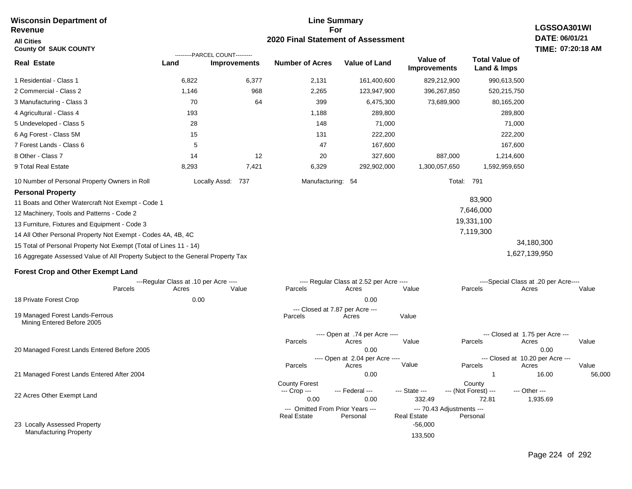#### **For 2020 Final Statement of Assessment Revenue All Cities County Of SAUK COUNTY LGSSOA301WI DATE: 06/01/21 TIME: 07:20:18 AM Real Estate** 1 Residential - Class 1 2 Commercial - Class 2 3 Manufacturing - Class 3 4 Agricultural - Class 4 5 Undeveloped - Class 5 6 Ag Forest - Class 5M 7 Forest Lands - Class 6 8 Other - Class 7 9 Total Real Estate 10 Number of Personal Property Owners in Roll 6,822 6,377 2,131 161,400,600 829,212,900 990,613,500 **Land Improvements Number of Acres Value of Land Value of Improvements Total Value of Land & Imps** 1,146 70 193 28 15 5 14 8,293 968 64 12 7,421 2,265 399 1,188 148 131 47 20 6,329 123,947,900 6,475,300 289,800 71,000 222,200 167,600 327,600 292,902,000 396,267,850 73,689,900 887,000 1,300,057,650 520,215,750 80,165,200 289,800 71,000 222,200 167,600 1,214,600 1,592,959,650 Locally Assd: 737 Manufacturing: 54 Total: 791 **Personal Property** 11 Boats and Other Watercraft Not Exempt - Code 1 12 Machinery, Tools and Patterns - Code 2 13 Furniture, Fixtures and Equipment - Code 3 14 All Other Personal Property Not Exempt - Codes 4A, 4B, 4C 15 Total of Personal Property Not Exempt (Total of Lines 11 - 14) 16 Aggregate Assessed Value of All Property Subject to the General Property Tax 83,900 7,646,000 19,331,100 7,119,300 34,180,300 1,627,139,950 **Forest Crop and Other Exempt Land** ---Regular Class at .10 per Acre ---- ---- Regular Class at 2.52 per Acre ---- ----Special Class at .20 per Acre---- 18 Private Forest Crop 20 Managed Forest Lands Entered Before 2005 21 Managed Forest Lands Entered After 2004 Parcels 0.00 0.00 Acres Value Parcels Acres Value Parcels Acres Value ---- Open at .74 per Acre<br>Acres Parcels 0.00 0.00 Acres Value Parcels Acres Value --- Closed at 1.75 per Acre --- ---- Open at 2.04 per Acre ---<br>Acres Value Parcels Parcels Acres Acres Parcels 0.00 0.00 1 16.00 56,000 Acres **Value Parcels Acres Value** County Forest **County** County --- Crop --- 0.00 0.00 332.49 72.81 1,935.69 --- Federal --- - --- State --- --- (Not Forest) --- --- Other ---22 Acres Other Exempt Land 23 Locally Assessed Property Manufacturing Property --- Omitted From Prior Years ---<br>Real Estate Personal Personal Real Estate Personal -56,000 133,500 **Real Estate** ---------PARCEL COUNT--------- 19 Managed Forest Lands-Ferrous Mining Entered Before 2005 --- Closed at 7.87 per Acre ---<br>rcels Acres Parcels **Acres** Value

**Line Summary**

**Wisconsin Department of**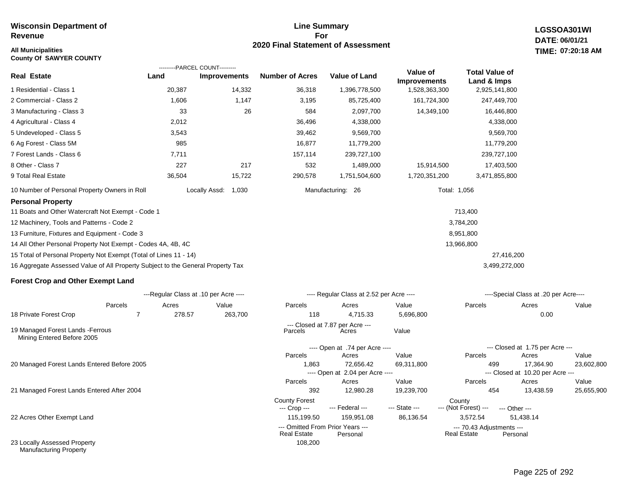## **All Municipalities TIME:**

**County Of SAWYER COUNTY**

### **Line Summary For 2020 Final Statement of Assessment**

**LGSSOA301WI DATE: 06/01/21 07:20:18 AM**

|                                                                                 |        | ---------PARCEL COUNT---------        |                        |                                          |                                 |                                      |                                       |       |
|---------------------------------------------------------------------------------|--------|---------------------------------------|------------------------|------------------------------------------|---------------------------------|--------------------------------------|---------------------------------------|-------|
| <b>Real Estate</b>                                                              | Land   | <b>Improvements</b>                   | <b>Number of Acres</b> | <b>Value of Land</b>                     | Value of<br><b>Improvements</b> | <b>Total Value of</b><br>Land & Imps |                                       |       |
| 1 Residential - Class 1                                                         | 20,387 | 14,332                                | 36,318                 | 1,396,778,500                            | 1,528,363,300                   | 2,925,141,800                        |                                       |       |
| 2 Commercial - Class 2                                                          | 1,606  | 1,147                                 | 3,195                  | 85,725,400                               | 161,724,300                     | 247,449,700                          |                                       |       |
| 3 Manufacturing - Class 3                                                       | 33     | 26                                    | 584                    | 2,097,700                                | 14,349,100                      | 16,446,800                           |                                       |       |
| 4 Agricultural - Class 4                                                        | 2,012  |                                       | 36,496                 | 4,338,000                                |                                 | 4,338,000                            |                                       |       |
| 5 Undeveloped - Class 5                                                         | 3,543  |                                       | 39,462                 | 9,569,700                                |                                 | 9,569,700                            |                                       |       |
| 6 Ag Forest - Class 5M                                                          | 985    |                                       | 16,877                 | 11,779,200                               |                                 | 11,779,200                           |                                       |       |
| 7 Forest Lands - Class 6                                                        | 7,711  |                                       | 157,114                | 239,727,100                              |                                 | 239,727,100                          |                                       |       |
| 8 Other - Class 7                                                               | 227    | 217                                   | 532                    | 1,489,000                                | 15,914,500                      | 17,403,500                           |                                       |       |
| 9 Total Real Estate                                                             | 36,504 | 15,722                                | 290,578                | 1,751,504,600                            | 1,720,351,200                   | 3,471,855,800                        |                                       |       |
| 10 Number of Personal Property Owners in Roll                                   |        | Locally Assd:<br>1,030                |                        | Manufacturing: 26                        |                                 | Total: 1,056                         |                                       |       |
| <b>Personal Property</b>                                                        |        |                                       |                        |                                          |                                 |                                      |                                       |       |
| 11 Boats and Other Watercraft Not Exempt - Code 1                               |        |                                       |                        |                                          |                                 | 713,400                              |                                       |       |
| 12 Machinery, Tools and Patterns - Code 2                                       |        |                                       |                        |                                          |                                 | 3,784,200                            |                                       |       |
| 13 Furniture, Fixtures and Equipment - Code 3                                   |        |                                       |                        |                                          |                                 | 8,951,800                            |                                       |       |
| 14 All Other Personal Property Not Exempt - Codes 4A, 4B, 4C                    |        |                                       |                        |                                          |                                 | 13,966,800                           |                                       |       |
| 15 Total of Personal Property Not Exempt (Total of Lines 11 - 14)               |        |                                       |                        |                                          |                                 | 27,416,200                           |                                       |       |
| 16 Aggregate Assessed Value of All Property Subject to the General Property Tax |        |                                       |                        |                                          |                                 | 3,499,272,000                        |                                       |       |
| <b>Forest Crop and Other Exempt Land</b>                                        |        |                                       |                        |                                          |                                 |                                      |                                       |       |
|                                                                                 |        | ---Regular Class at .10 per Acre ---- |                        | ---- Regular Class at 2.52 per Acre ---- |                                 |                                      | ----Special Class at .20 per Acre---- |       |
| Parcels                                                                         | Acres  | Value                                 | Parcels                | Acres                                    | Value                           | Parcels                              | Acres                                 | Value |
| 18 Private Forest Crop<br>7                                                     | 278.57 | 263,700                               | 118                    | 4,715.33                                 | 5,696,800                       |                                      | 0.00                                  |       |
| 19 Managed Forest Lands - Ferrous<br>Mining Entered Before 2005                 |        |                                       | Parcels                | --- Closed at 7.87 per Acre ---<br>Acres | Value                           |                                      |                                       |       |
|                                                                                 |        |                                       |                        | ---- Open at .74 per Acre ----           |                                 |                                      | --- Closed at 1.75 per Acre ---       |       |
|                                                                                 |        |                                       | Parcels                | Acres                                    | Value                           | Parcels                              | Acres                                 | Value |
| 20 Managed Forest Lands Entered Before 2005                                     |        |                                       | 1,863                  | 72,656.42                                | 69,311,800                      | 499                                  | 17,364.90                             | 23,60 |

21 Managed Forest Lands Entered After 2004

22 Acres Other Exempt Land

23 Locally Assessed Property Manufacturing Property

| 27.416.200                           |       |
|--------------------------------------|-------|
| ,499,272,000                         |       |
|                                      |       |
|                                      |       |
| ---Special Class at .20 per Acre---- |       |
| Acres                                | Value |
| 0.00                                 |       |
|                                      |       |
|                                      |       |
| --- Closed at 1.75 per Acre ---      |       |

| Parcels                          | Acres                           | Value         | Parcels                            | Acres                            | Value      |
|----------------------------------|---------------------------------|---------------|------------------------------------|----------------------------------|------------|
| 1.863                            | 72,656.42                       | 69,311,800    | 499                                | 17.364.90                        | 23,602,800 |
|                                  | ---- Open at 2.04 per Acre ---- |               |                                    | --- Closed at 10.20 per Acre --- |            |
| Parcels                          | Acres                           | Value         | Parcels                            | Acres                            | Value      |
| 392                              | 12.980.28                       | 19,239,700    | 454                                | 13.438.59                        | 25,655,900 |
| <b>County Forest</b>             |                                 |               | County                             |                                  |            |
| --- Crop ---                     | --- Federal ---                 | --- State --- | --- (Not Forest) --- --- Other --- |                                  |            |
| 115,199.50                       | 159.951.08                      | 86,136.54     | 3.572.54                           | 51.438.14                        |            |
| --- Omitted From Prior Years --- |                                 |               | --- 70.43 Adjustments ---          |                                  |            |
| <b>Real Estate</b>               | Personal                        |               | <b>Real Estate</b>                 | Personal                         |            |
| 108,200                          |                                 |               |                                    |                                  |            |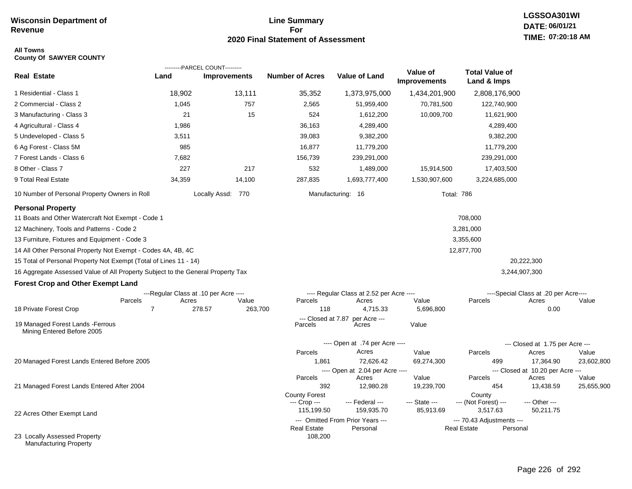## **Line Summary For 2020 Final Statement of Assessment**

### **All Towns County Of SAWYER COUNTY**

|                                                                                                                                                                                                                                                                                                                                                                                                                                                            |                                                | ---------PARCEL COUNT--------- |                                      |                                                   |                                 |                                                             |                                                                               |            |
|------------------------------------------------------------------------------------------------------------------------------------------------------------------------------------------------------------------------------------------------------------------------------------------------------------------------------------------------------------------------------------------------------------------------------------------------------------|------------------------------------------------|--------------------------------|--------------------------------------|---------------------------------------------------|---------------------------------|-------------------------------------------------------------|-------------------------------------------------------------------------------|------------|
| <b>Real Estate</b>                                                                                                                                                                                                                                                                                                                                                                                                                                         | Land                                           | <b>Improvements</b>            | <b>Number of Acres</b>               | <b>Value of Land</b>                              | Value of<br><b>Improvements</b> | <b>Total Value of</b><br>Land & Imps                        |                                                                               |            |
| 1 Residential - Class 1                                                                                                                                                                                                                                                                                                                                                                                                                                    | 18,902                                         | 13,111                         | 35,352                               | 1,373,975,000                                     | 1,434,201,900                   | 2,808,176,900                                               |                                                                               |            |
| 2 Commercial - Class 2                                                                                                                                                                                                                                                                                                                                                                                                                                     | 1,045                                          | 757                            | 2,565                                | 51,959,400                                        | 70,781,500                      | 122,740,900                                                 |                                                                               |            |
| 3 Manufacturing - Class 3                                                                                                                                                                                                                                                                                                                                                                                                                                  | 21                                             | 15                             | 524                                  | 1,612,200                                         | 10,009,700                      | 11,621,900                                                  |                                                                               |            |
| 4 Agricultural - Class 4                                                                                                                                                                                                                                                                                                                                                                                                                                   | 1,986                                          |                                | 36,163                               | 4,289,400                                         |                                 | 4,289,400                                                   |                                                                               |            |
| 5 Undeveloped - Class 5                                                                                                                                                                                                                                                                                                                                                                                                                                    | 3,511                                          |                                | 39,083                               | 9,382,200                                         |                                 | 9,382,200                                                   |                                                                               |            |
| 6 Ag Forest - Class 5M                                                                                                                                                                                                                                                                                                                                                                                                                                     | 985                                            |                                | 16,877                               | 11,779,200                                        |                                 | 11,779,200                                                  |                                                                               |            |
| 7 Forest Lands - Class 6                                                                                                                                                                                                                                                                                                                                                                                                                                   | 7,682                                          |                                | 156,739                              | 239,291,000                                       |                                 | 239,291,000                                                 |                                                                               |            |
| 8 Other - Class 7                                                                                                                                                                                                                                                                                                                                                                                                                                          | 227                                            | 217                            | 532                                  | 1,489,000                                         | 15,914,500                      | 17,403,500                                                  |                                                                               |            |
| 9 Total Real Estate                                                                                                                                                                                                                                                                                                                                                                                                                                        | 34,359                                         | 14,100                         | 287,835                              | 1,693,777,400                                     | 1,530,907,600                   | 3,224,685,000                                               |                                                                               |            |
| 10 Number of Personal Property Owners in Roll                                                                                                                                                                                                                                                                                                                                                                                                              |                                                | Locally Assd: 770              |                                      | Manufacturing: 16                                 | Total: 786                      |                                                             |                                                                               |            |
| <b>Personal Property</b><br>11 Boats and Other Watercraft Not Exempt - Code 1<br>12 Machinery, Tools and Patterns - Code 2<br>13 Furniture, Fixtures and Equipment - Code 3<br>14 All Other Personal Property Not Exempt - Codes 4A, 4B, 4C<br>15 Total of Personal Property Not Exempt (Total of Lines 11 - 14)<br>16 Aggregate Assessed Value of All Property Subject to the General Property Tax<br><b>Forest Crop and Other Exempt Land</b><br>Parcels | ---Regular Class at .10 per Acre ----<br>Acres | Value                          | Parcels                              | ---- Regular Class at 2.52 per Acre ----<br>Acres | Value                           | 708,000<br>3,281,000<br>3,355,600<br>12,877,700<br>Parcels  | 20,222,300<br>3,244,907,300<br>----Special Class at .20 per Acre----<br>Acres | Value      |
| 18 Private Forest Crop                                                                                                                                                                                                                                                                                                                                                                                                                                     | 7                                              | 263,700<br>278.57              | 118<br>--- Closed at 7.87            | 4,715.33<br>per Acre ---                          | 5,696,800                       |                                                             | 0.00                                                                          |            |
| 19 Managed Forest Lands - Ferrous<br>Mining Entered Before 2005                                                                                                                                                                                                                                                                                                                                                                                            |                                                |                                | Parcels                              | Acres                                             | Value                           |                                                             |                                                                               |            |
|                                                                                                                                                                                                                                                                                                                                                                                                                                                            |                                                |                                |                                      | ---- Open at .74 per Acre ----                    |                                 |                                                             | --- Closed at 1.75 per Acre ---                                               |            |
|                                                                                                                                                                                                                                                                                                                                                                                                                                                            |                                                |                                | Parcels                              | Acres                                             | Value                           | Parcels                                                     | Acres                                                                         | Value      |
| 20 Managed Forest Lands Entered Before 2005                                                                                                                                                                                                                                                                                                                                                                                                                |                                                |                                | 1,861                                | 72,626.42                                         | 69,274,300                      | 499                                                         | 17,364.90                                                                     | 23,602,800 |
|                                                                                                                                                                                                                                                                                                                                                                                                                                                            |                                                |                                | Parcels                              | ---- Open at 2.04 per Acre ----<br>Acres          | Value                           | Parcels                                                     | --- Closed at 10.20 per Acre ---<br>Acres                                     | Value      |
| 21 Managed Forest Lands Entered After 2004                                                                                                                                                                                                                                                                                                                                                                                                                 |                                                |                                | 392                                  | 12,980.28                                         | 19,239,700                      | 454                                                         | 13,438.59                                                                     | 25,655,900 |
|                                                                                                                                                                                                                                                                                                                                                                                                                                                            |                                                |                                | <b>County Forest</b><br>--- Crop --- | --- Federal ---                                   | --- State ---                   | County<br>--- (Not Forest) ---                              | --- Other ---                                                                 |            |
| 22 Acres Other Exempt Land                                                                                                                                                                                                                                                                                                                                                                                                                                 |                                                |                                | 115,199.50                           | 159,935.70<br>--- Omitted From Prior Years ---    | 85,913.69                       | 3,517.63                                                    | 50,211.75                                                                     |            |
|                                                                                                                                                                                                                                                                                                                                                                                                                                                            |                                                |                                | <b>Real Estate</b>                   | Personal                                          |                                 | --- 70.43 Adjustments ---<br><b>Real Estate</b><br>Personal |                                                                               |            |
| 23 Locally Assessed Property<br><b>Manufacturing Property</b>                                                                                                                                                                                                                                                                                                                                                                                              |                                                |                                | 108,200                              |                                                   |                                 |                                                             |                                                                               |            |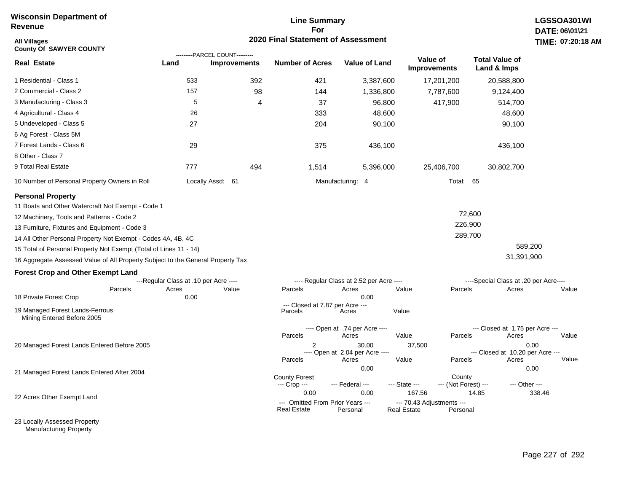### **Line Summary For 2020 Final Statement of Assessment**

| <b>All Villages</b><br><b>County Of SAWYER COUNTY</b>                           |                                       | TIME: 07:20                                           |                                                        |                                          |                                                 |                                |                                       |        |
|---------------------------------------------------------------------------------|---------------------------------------|-------------------------------------------------------|--------------------------------------------------------|------------------------------------------|-------------------------------------------------|--------------------------------|---------------------------------------|--------|
| <b>Real Estate</b>                                                              | Land                                  | ---------PARCEL COUNT---------<br><b>Improvements</b> | <b>Number of Acres</b>                                 | <b>Value of Land</b>                     | Value of<br><b>Improvements</b>                 |                                | <b>Total Value of</b><br>Land & Imps  |        |
| 1 Residential - Class 1                                                         | 533                                   | 392                                                   | 421                                                    | 3,387,600                                |                                                 | 17,201,200                     | 20,588,800                            |        |
| 2 Commercial - Class 2                                                          | 157                                   | 98                                                    | 144                                                    | 1,336,800                                |                                                 | 7,787,600                      | 9,124,400                             |        |
| 3 Manufacturing - Class 3                                                       | 5                                     | 4                                                     | 37                                                     | 96,800                                   |                                                 | 417,900                        | 514,700                               |        |
| 4 Agricultural - Class 4                                                        | 26                                    |                                                       | 333                                                    | 48,600                                   |                                                 |                                | 48,600                                |        |
| 5 Undeveloped - Class 5                                                         | 27                                    |                                                       | 204                                                    | 90,100                                   |                                                 |                                | 90,100                                |        |
| 6 Ag Forest - Class 5M                                                          |                                       |                                                       |                                                        |                                          |                                                 |                                |                                       |        |
| 7 Forest Lands - Class 6                                                        | 29                                    |                                                       | 375                                                    | 436,100                                  |                                                 |                                | 436,100                               |        |
| 8 Other - Class 7                                                               |                                       |                                                       |                                                        |                                          |                                                 |                                |                                       |        |
| 9 Total Real Estate                                                             | 777                                   | 494                                                   | 1,514                                                  | 5,396,000                                |                                                 | 25,406,700                     | 30,802,700                            |        |
| 10 Number of Personal Property Owners in Roll                                   |                                       | Locally Assd: 61                                      |                                                        | Manufacturing: 4                         |                                                 | Total: 65                      |                                       |        |
| <b>Personal Property</b>                                                        |                                       |                                                       |                                                        |                                          |                                                 |                                |                                       |        |
| 11 Boats and Other Watercraft Not Exempt - Code 1                               |                                       |                                                       |                                                        |                                          |                                                 |                                |                                       |        |
| 12 Machinery, Tools and Patterns - Code 2                                       |                                       |                                                       |                                                        |                                          |                                                 | 72,600                         |                                       |        |
| 13 Furniture, Fixtures and Equipment - Code 3                                   |                                       |                                                       |                                                        |                                          |                                                 | 226,900                        |                                       |        |
| 14 All Other Personal Property Not Exempt - Codes 4A, 4B, 4C                    |                                       |                                                       |                                                        |                                          |                                                 | 289,700                        |                                       |        |
| 15 Total of Personal Property Not Exempt (Total of Lines 11 - 14)               |                                       |                                                       |                                                        |                                          |                                                 |                                | 589,200                               |        |
| 16 Aggregate Assessed Value of All Property Subject to the General Property Tax |                                       |                                                       |                                                        |                                          |                                                 |                                | 31,391,900                            |        |
| <b>Forest Crop and Other Exempt Land</b>                                        |                                       |                                                       |                                                        |                                          |                                                 |                                |                                       |        |
|                                                                                 | ---Regular Class at .10 per Acre ---- |                                                       |                                                        | ---- Regular Class at 2.52 per Acre ---- |                                                 |                                | ----Special Class at .20 per Acre---- |        |
| Parcels                                                                         | Acres                                 | Value                                                 | Parcels                                                | Acres                                    | Value                                           | Parcels                        | Acres                                 | Value  |
| 18 Private Forest Crop                                                          | 0.00                                  |                                                       | --- Closed at 7.87 per Acre ---                        | 0.00                                     |                                                 |                                |                                       |        |
| 19 Managed Forest Lands-Ferrous<br>Mining Entered Before 2005                   |                                       |                                                       | Parcels                                                | Acres                                    | Value                                           |                                |                                       |        |
|                                                                                 |                                       |                                                       |                                                        | ---- Open at .74 per Acre ----           |                                                 |                                | --- Closed at 1.75 per Acre ---       |        |
|                                                                                 |                                       |                                                       | Parcels                                                | Acres<br>30.00                           | Value                                           | Parcels                        | Acres<br>0.00                         | Value  |
| 20 Managed Forest Lands Entered Before 2005                                     |                                       |                                                       |                                                        | ---- Open at 2.04 per Acre ----          | 37,500                                          |                                | --- Closed at 10.20 per Acre ---      |        |
|                                                                                 |                                       |                                                       | Parcels                                                | Acres                                    | Value                                           | Parcels                        | Acres                                 | Value  |
| 21 Managed Forest Lands Entered After 2004                                      |                                       |                                                       |                                                        | 0.00                                     |                                                 |                                | 0.00                                  |        |
|                                                                                 |                                       |                                                       | <b>County Forest</b><br>--- Crop ---                   | --- Federal ---                          | --- State ---                                   | County<br>--- (Not Forest) --- | --- Other ---                         |        |
|                                                                                 |                                       |                                                       | 0.00                                                   | 0.00                                     | 167.56                                          | 14.85                          |                                       | 338.46 |
| 22 Acres Other Exempt Land                                                      |                                       |                                                       | --- Omitted From Prior Years ---<br><b>Real Estate</b> | Personal                                 | --- 70.43 Adjustments ---<br><b>Real Estate</b> | Personal                       |                                       |        |

23 Locally Assessed Property Manufacturing Property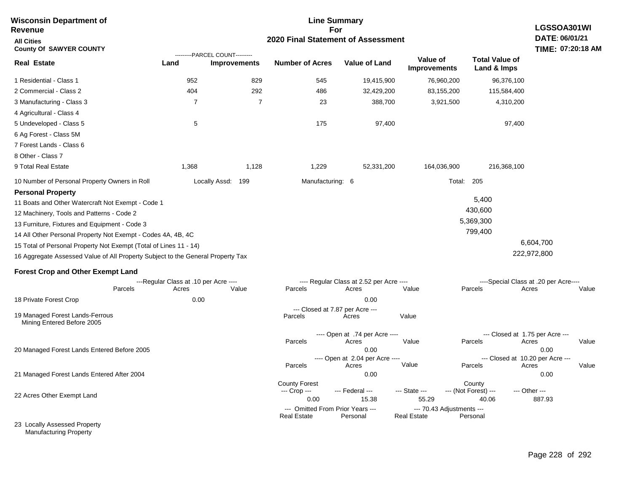| <b>Wisconsin Department of</b><br>Revenue                                                                                                                                                                                                   |                                       | <b>Line Summary</b><br>For                            |                                                        |                                                 |                                                 |                                          |                                                           |  |  |
|---------------------------------------------------------------------------------------------------------------------------------------------------------------------------------------------------------------------------------------------|---------------------------------------|-------------------------------------------------------|--------------------------------------------------------|-------------------------------------------------|-------------------------------------------------|------------------------------------------|-----------------------------------------------------------|--|--|
| <b>All Cities</b><br><b>County Of SAWYER COUNTY</b>                                                                                                                                                                                         | 2020 Final Statement of Assessment    |                                                       |                                                        |                                                 |                                                 |                                          |                                                           |  |  |
| <b>Real Estate</b>                                                                                                                                                                                                                          | Land                                  | ---------PARCEL COUNT---------<br><b>Improvements</b> | <b>Number of Acres</b>                                 | <b>Value of Land</b>                            | Value of<br><b>Improvements</b>                 | <b>Total Value of</b><br>Land & Imps     |                                                           |  |  |
| 1 Residential - Class 1                                                                                                                                                                                                                     | 952                                   | 829                                                   | 545                                                    | 19,415,900                                      | 76,960,200                                      | 96,376,100                               |                                                           |  |  |
| 2 Commercial - Class 2                                                                                                                                                                                                                      | 404                                   | 292                                                   | 486                                                    | 32,429,200                                      | 83,155,200                                      | 115,584,400                              |                                                           |  |  |
| 3 Manufacturing - Class 3                                                                                                                                                                                                                   | $\overline{7}$                        | $\overline{7}$                                        | 23                                                     | 388,700                                         | 3,921,500                                       | 4,310,200                                |                                                           |  |  |
| 4 Agricultural - Class 4                                                                                                                                                                                                                    |                                       |                                                       |                                                        |                                                 |                                                 |                                          |                                                           |  |  |
| 5 Undeveloped - Class 5                                                                                                                                                                                                                     | 5                                     |                                                       | 175                                                    | 97,400                                          |                                                 | 97,400                                   |                                                           |  |  |
| 6 Ag Forest - Class 5M                                                                                                                                                                                                                      |                                       |                                                       |                                                        |                                                 |                                                 |                                          |                                                           |  |  |
| 7 Forest Lands - Class 6                                                                                                                                                                                                                    |                                       |                                                       |                                                        |                                                 |                                                 |                                          |                                                           |  |  |
| 8 Other - Class 7                                                                                                                                                                                                                           |                                       |                                                       |                                                        |                                                 |                                                 |                                          |                                                           |  |  |
| 9 Total Real Estate                                                                                                                                                                                                                         | 1,368                                 | 1,128                                                 | 1,229                                                  | 52,331,200                                      | 164,036,900                                     | 216,368,100                              |                                                           |  |  |
| 10 Number of Personal Property Owners in Roll                                                                                                                                                                                               |                                       | Locally Assd: 199                                     | Manufacturing: 6                                       |                                                 |                                                 | Total:<br>205                            |                                                           |  |  |
| <b>Personal Property</b><br>11 Boats and Other Watercraft Not Exempt - Code 1<br>12 Machinery, Tools and Patterns - Code 2<br>13 Furniture, Fixtures and Equipment - Code 3<br>14 All Other Personal Property Not Exempt - Codes 4A, 4B, 4C |                                       |                                                       |                                                        |                                                 |                                                 | 5,400<br>430,600<br>5,369,300<br>799,400 |                                                           |  |  |
| 15 Total of Personal Property Not Exempt (Total of Lines 11 - 14)                                                                                                                                                                           |                                       |                                                       |                                                        |                                                 |                                                 |                                          | 6,604,700                                                 |  |  |
| 16 Aggregate Assessed Value of All Property Subject to the General Property Tax                                                                                                                                                             |                                       |                                                       |                                                        |                                                 |                                                 |                                          | 222,972,800                                               |  |  |
| <b>Forest Crop and Other Exempt Land</b>                                                                                                                                                                                                    |                                       |                                                       |                                                        |                                                 |                                                 |                                          |                                                           |  |  |
|                                                                                                                                                                                                                                             | ---Regular Class at .10 per Acre ---- |                                                       |                                                        | ---- Regular Class at 2.52 per Acre ----        |                                                 |                                          | ----Special Class at .20 per Acre----                     |  |  |
| Parcels                                                                                                                                                                                                                                     | Acres                                 | Value                                                 | Parcels                                                | Acres                                           | Value                                           | Parcels                                  | Value<br>Acres                                            |  |  |
| 18 Private Forest Crop                                                                                                                                                                                                                      | 0.00                                  |                                                       |                                                        | 0.00                                            |                                                 |                                          |                                                           |  |  |
| 19 Managed Forest Lands-Ferrous<br>Mining Entered Before 2005                                                                                                                                                                               |                                       |                                                       | Parcels                                                | --- Closed at 7.87 per Acre ---<br>Acres        | Value                                           |                                          |                                                           |  |  |
| 20 Managed Forest Lands Entered Before 2005                                                                                                                                                                                                 |                                       |                                                       | Parcels                                                | ---- Open at .74 per Acre ----<br>Acres<br>0.00 | Value                                           | Parcels                                  | --- Closed at 1.75 per Acre ---<br>Acres<br>Value<br>0.00 |  |  |
|                                                                                                                                                                                                                                             |                                       |                                                       | Parcels                                                | ---- Open at 2.04 per Acre ----<br>Acres        | Value                                           | Parcels                                  | --- Closed at 10.20 per Acre ---<br>Acres<br>Value        |  |  |
| 21 Managed Forest Lands Entered After 2004                                                                                                                                                                                                  |                                       |                                                       |                                                        | 0.00                                            |                                                 |                                          | 0.00                                                      |  |  |
| 22 Acres Other Exempt Land                                                                                                                                                                                                                  |                                       |                                                       | <b>County Forest</b><br>--- Crop ---<br>0.00           | --- Federal ---<br>15.38                        | --- State ---<br>55.29                          | County<br>--- (Not Forest) ---<br>40.06  | --- Other ---<br>887.93                                   |  |  |
|                                                                                                                                                                                                                                             |                                       |                                                       | --- Omitted From Prior Years ---<br><b>Real Estate</b> | Personal                                        | --- 70.43 Adjustments ---<br><b>Real Estate</b> | Personal                                 |                                                           |  |  |
| 23 Locally Assessed Property                                                                                                                                                                                                                |                                       |                                                       |                                                        |                                                 |                                                 |                                          |                                                           |  |  |

Manufacturing Property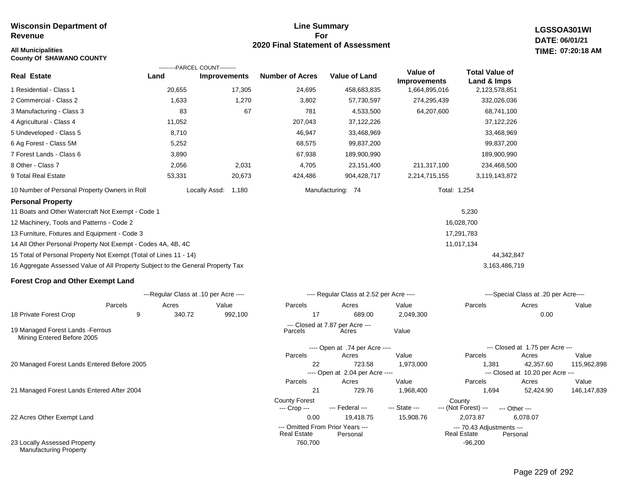# **All Municipalities TIME:**

**County Of SHAWANO COUNTY**

### **Line Summary For 2020 Final Statement of Assessment**

**LGSSOA301WI DATE: 06/01/21 07:20:18 AM**

| Real Estate                                                                     | ---------PARCEL COUNT---------<br>Land | <b>Improvements</b> | <b>Number of Acres</b>                                 | Value of Land                            | Value of<br><b>Improvements</b> | <b>Total Value of</b><br>Land & Imps     |                                           |        |
|---------------------------------------------------------------------------------|----------------------------------------|---------------------|--------------------------------------------------------|------------------------------------------|---------------------------------|------------------------------------------|-------------------------------------------|--------|
| 1 Residential - Class 1                                                         | 20,655                                 | 17,305              | 24,695                                                 | 458,683,835                              | 1,664,895,016                   | 2,123,578,851                            |                                           |        |
| 2 Commercial - Class 2                                                          | 1,633                                  | 1,270               | 3,802                                                  | 57,730,597                               | 274,295,439                     | 332,026,036                              |                                           |        |
| 3 Manufacturing - Class 3                                                       | 83                                     | 67                  | 781                                                    | 4,533,500                                | 64,207,600                      | 68,741,100                               |                                           |        |
| 4 Agricultural - Class 4                                                        | 11,052                                 |                     | 207,043                                                | 37,122,226                               |                                 | 37,122,226                               |                                           |        |
| 5 Undeveloped - Class 5                                                         | 8,710                                  |                     | 46,947                                                 | 33,468,969                               |                                 | 33,468,969                               |                                           |        |
| 6 Ag Forest - Class 5M                                                          | 5,252                                  |                     | 68,575                                                 | 99,837,200                               |                                 | 99,837,200                               |                                           |        |
| 7 Forest Lands - Class 6                                                        | 3,890                                  |                     | 67,938                                                 | 189,900,990                              |                                 | 189,900,990                              |                                           |        |
| 8 Other - Class 7                                                               | 2,056                                  | 2,031               | 4,705                                                  | 23,151,400                               | 211,317,100                     | 234,468,500                              |                                           |        |
| 9 Total Real Estate                                                             | 53,331                                 | 20,673              | 424,486                                                | 904,428,717                              | 2,214,715,155                   | 3,119,143,872                            |                                           |        |
| 10 Number of Personal Property Owners in Roll                                   |                                        | Locally Assd: 1,180 |                                                        | Manufacturing: 74                        |                                 | Total: 1,254                             |                                           |        |
| <b>Personal Property</b>                                                        |                                        |                     |                                                        |                                          |                                 |                                          |                                           |        |
| 11 Boats and Other Watercraft Not Exempt - Code 1                               |                                        |                     |                                                        |                                          |                                 | 5,230                                    |                                           |        |
| 12 Machinery, Tools and Patterns - Code 2                                       |                                        |                     |                                                        |                                          |                                 | 16,028,700                               |                                           |        |
| 13 Furniture, Fixtures and Equipment - Code 3                                   |                                        |                     |                                                        |                                          |                                 | 17,291,783                               |                                           |        |
| 14 All Other Personal Property Not Exempt - Codes 4A, 4B, 4C                    |                                        |                     |                                                        |                                          |                                 | 11,017,134                               |                                           |        |
| 15 Total of Personal Property Not Exempt (Total of Lines 11 - 14)               |                                        |                     |                                                        |                                          |                                 |                                          | 44,342,847                                |        |
| 16 Aggregate Assessed Value of All Property Subject to the General Property Tax |                                        |                     |                                                        |                                          |                                 | 3,163,486,719                            |                                           |        |
| <b>Forest Crop and Other Exempt Land</b>                                        |                                        |                     |                                                        |                                          |                                 |                                          |                                           |        |
|                                                                                 | ---Regular Class at .10 per Acre ----  |                     |                                                        | ---- Regular Class at 2.52 per Acre ---- |                                 |                                          | ----Special Class at .20 per Acre----     |        |
| Parcels                                                                         | Acres                                  | Value               | Parcels                                                | Acres                                    | Value                           | Parcels                                  | Acres                                     | Value  |
| 18 Private Forest Crop<br>9                                                     | 340.72                                 | 992,100             | 17                                                     | 689.00                                   | 2,049,300                       |                                          | 0.00                                      |        |
| 19 Managed Forest Lands - Ferrous<br>Mining Entered Before 2005                 |                                        |                     | Parcels                                                | --- Closed at 7.87 per Acre ---<br>Acres | Value                           |                                          |                                           |        |
|                                                                                 |                                        |                     |                                                        | ---- Open at .74 per Acre ----           |                                 |                                          | --- Closed at 1.75 per Acre ---           |        |
|                                                                                 |                                        |                     | Parcels                                                | Acres                                    | Value                           | Parcels                                  | Acres                                     | Value  |
| 20 Managed Forest Lands Entered Before 2005                                     |                                        |                     | 22                                                     | 723.58                                   | 1,973,000                       | 1,381                                    | 42,357.60                                 | 115,96 |
|                                                                                 |                                        |                     | Parcels                                                | ---- Open at 2.04 per Acre ----<br>Acres | Value                           | Parcels                                  | --- Closed at 10.20 per Acre ---<br>Acres | Value  |
| 21 Managed Forest Lands Entered After 2004                                      |                                        |                     | 21                                                     | 729.76                                   | 1,968,400                       | 1,694                                    | 52,424.90                                 | 146,14 |
|                                                                                 |                                        |                     | <b>County Forest</b>                                   |                                          |                                 | County                                   |                                           |        |
|                                                                                 |                                        |                     | --- Crop ---                                           | --- Federal ---                          | --- State ---                   | --- (Not Forest) ---                     | --- Other ---                             |        |
| 22 Acres Other Exempt Land                                                      |                                        |                     | 0.00                                                   | 19,418.75                                | 15,908.76                       | 2,073.87                                 | 6,078.07                                  |        |
|                                                                                 |                                        |                     | --- Omitted From Prior Years ---<br><b>Real Estate</b> | Personal                                 |                                 | --- 70.43 Adjustments ---<br>Real Estate | Personal                                  |        |

760,700 -96,200

23 Locally Assessed Property Manufacturing Property

115,962,898

146,147,839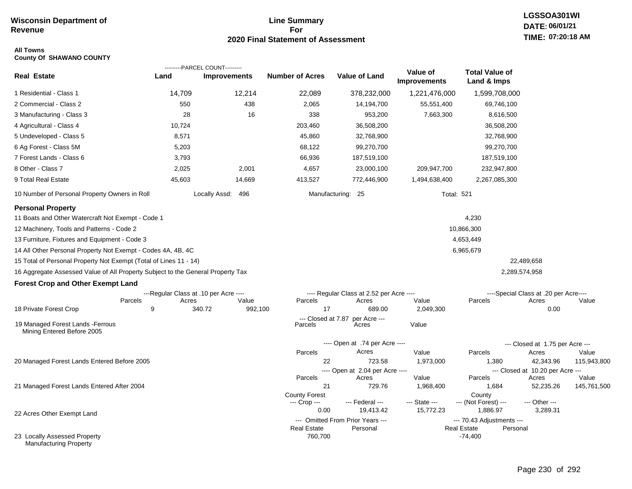## **Line Summary For 2020 Final Statement of Assessment**

### **All Towns County Of SHAWANO COUNTY**

|                                                                                 |                                       | ---------PARCEL COUNT--------- |                          |                                              |                                 |                                                             |                                       |             |
|---------------------------------------------------------------------------------|---------------------------------------|--------------------------------|--------------------------|----------------------------------------------|---------------------------------|-------------------------------------------------------------|---------------------------------------|-------------|
| <b>Real Estate</b>                                                              | Land                                  | <b>Improvements</b>            | <b>Number of Acres</b>   | <b>Value of Land</b>                         | Value of<br><b>Improvements</b> | <b>Total Value of</b><br>Land & Imps                        |                                       |             |
| 1 Residential - Class 1                                                         | 14,709                                | 12,214                         | 22,089                   | 378,232,000                                  | 1,221,476,000                   | 1,599,708,000                                               |                                       |             |
| 2 Commercial - Class 2                                                          | 550                                   | 438                            | 2,065                    | 14,194,700                                   | 55,551,400                      | 69,746,100                                                  |                                       |             |
| 3 Manufacturing - Class 3                                                       | 28                                    | 16                             | 338                      | 953,200                                      | 7,663,300                       | 8,616,500                                                   |                                       |             |
| 4 Agricultural - Class 4                                                        | 10,724                                |                                | 203,460                  | 36,508,200                                   |                                 | 36,508,200                                                  |                                       |             |
| 5 Undeveloped - Class 5                                                         | 8,571                                 |                                | 45,860                   | 32,768,900                                   |                                 | 32,768,900                                                  |                                       |             |
| 6 Ag Forest - Class 5M                                                          | 5,203                                 |                                | 68,122                   | 99,270,700                                   |                                 | 99,270,700                                                  |                                       |             |
| 7 Forest Lands - Class 6                                                        | 3,793                                 |                                | 66,936                   | 187,519,100                                  |                                 | 187,519,100                                                 |                                       |             |
| 8 Other - Class 7                                                               | 2,025                                 | 2,001                          | 4,657                    | 23,000,100                                   | 209,947,700                     | 232,947,800                                                 |                                       |             |
| 9 Total Real Estate                                                             | 45,603                                | 14,669                         | 413,527                  | 772,446,900                                  | 1,494,638,400                   | 2,267,085,300                                               |                                       |             |
| 10 Number of Personal Property Owners in Roll                                   |                                       | Locally Assd: 496              |                          | Manufacturing: 25                            | <b>Total: 521</b>               |                                                             |                                       |             |
| <b>Personal Property</b>                                                        |                                       |                                |                          |                                              |                                 |                                                             |                                       |             |
| 11 Boats and Other Watercraft Not Exempt - Code 1                               |                                       |                                |                          |                                              |                                 | 4,230                                                       |                                       |             |
| 12 Machinery, Tools and Patterns - Code 2                                       |                                       |                                |                          |                                              |                                 | 10,866,300                                                  |                                       |             |
| 13 Furniture, Fixtures and Equipment - Code 3                                   |                                       |                                |                          |                                              |                                 | 4,653,449                                                   |                                       |             |
| 14 All Other Personal Property Not Exempt - Codes 4A, 4B, 4C                    |                                       |                                |                          |                                              |                                 | 6,965,679                                                   |                                       |             |
| 15 Total of Personal Property Not Exempt (Total of Lines 11 - 14)               |                                       |                                |                          |                                              |                                 |                                                             | 22,489,658                            |             |
| 16 Aggregate Assessed Value of All Property Subject to the General Property Tax |                                       |                                |                          |                                              |                                 |                                                             | 2,289,574,958                         |             |
| <b>Forest Crop and Other Exempt Land</b>                                        |                                       |                                |                          |                                              |                                 |                                                             |                                       |             |
|                                                                                 | ---Regular Class at .10 per Acre ---- |                                |                          | ---- Regular Class at 2.52 per Acre ----     |                                 |                                                             | ----Special Class at .20 per Acre---- |             |
|                                                                                 | Parcels<br>Acres                      | Value                          | Parcels                  | Acres                                        | Value                           | Parcels                                                     | Acres                                 | Value       |
| 18 Private Forest Crop                                                          | 9                                     | 340.72<br>992,100              | 17<br>--- Closed at 7.87 | 689.00<br>per Acre ---                       | 2,049,300                       |                                                             | 0.00                                  |             |
| 19 Managed Forest Lands - Ferrous<br>Mining Entered Before 2005                 |                                       |                                | Parcels                  | Acres                                        | Value                           |                                                             |                                       |             |
|                                                                                 |                                       |                                |                          | ---- Open at .74 per Acre ----               |                                 |                                                             | --- Closed at 1.75 per Acre ---       |             |
|                                                                                 |                                       |                                | Parcels                  | Acres                                        | Value                           | Parcels                                                     | Acres                                 | Value       |
| 20 Managed Forest Lands Entered Before 2005                                     |                                       |                                | 22                       | 723.58                                       | 1,973,000                       | 1,380                                                       | 42,343.96                             | 115,943,800 |
|                                                                                 |                                       |                                | Parcels                  | ---- Open at 2.04 per Acre ----<br>Acres     | Value                           | Parcels                                                     | --- Closed at 10.20 per Acre ---      | Value       |
| 21 Managed Forest Lands Entered After 2004                                      |                                       |                                | 21                       | 729.76                                       | 1,968,400                       | 1,684                                                       | Acres<br>52,235.26                    | 145,761,500 |
|                                                                                 |                                       |                                | <b>County Forest</b>     |                                              |                                 | County                                                      |                                       |             |
|                                                                                 |                                       |                                | --- Crop ---             | --- Federal ---                              | --- State ---                   | --- (Not Forest) ---                                        | --- Other ---                         |             |
| 22 Acres Other Exempt Land                                                      |                                       |                                | 0.00                     | 19,413.42                                    | 15,772.23                       | 1,886.97                                                    | 3,289.31                              |             |
|                                                                                 |                                       |                                | <b>Real Estate</b>       | --- Omitted From Prior Years ---<br>Personal |                                 | --- 70.43 Adjustments ---<br><b>Real Estate</b><br>Personal |                                       |             |
| 23 Locally Assessed Property<br><b>Manufacturing Property</b>                   |                                       |                                | 760,700                  |                                              |                                 | $-74,400$                                                   |                                       |             |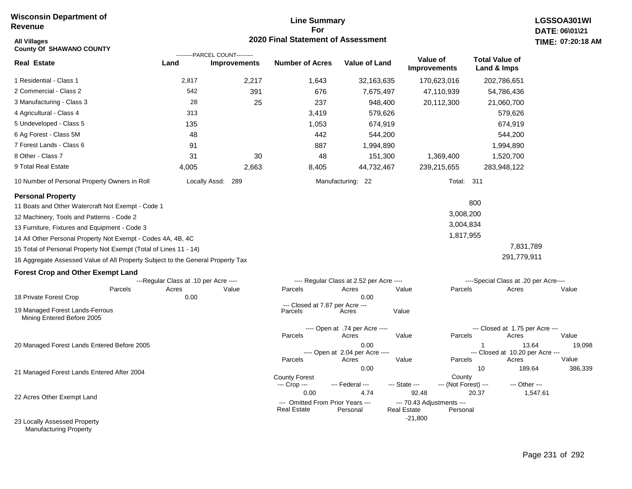## **Line Summary For 2020 Final Statement of Assessment**

| <b>All Villages</b><br><b>County Of SHAWANO COUNTY</b>                                                                                                                                                                                                                                                                                                                                                                                                     |                                                |                                                       | 2020 Final Statement of Assessment                             |                                                                                             |                                                                      |                                                                                                                          | TIME: 07:20:18                    |
|------------------------------------------------------------------------------------------------------------------------------------------------------------------------------------------------------------------------------------------------------------------------------------------------------------------------------------------------------------------------------------------------------------------------------------------------------------|------------------------------------------------|-------------------------------------------------------|----------------------------------------------------------------|---------------------------------------------------------------------------------------------|----------------------------------------------------------------------|--------------------------------------------------------------------------------------------------------------------------|-----------------------------------|
| <b>Real Estate</b>                                                                                                                                                                                                                                                                                                                                                                                                                                         | Land                                           | ---------PARCEL COUNT---------<br><b>Improvements</b> | <b>Number of Acres</b>                                         | <b>Value of Land</b>                                                                        | Value of<br><b>Improvements</b>                                      | <b>Total Value of</b><br>Land & Imps                                                                                     |                                   |
| 1 Residential - Class 1                                                                                                                                                                                                                                                                                                                                                                                                                                    | 2,817                                          | 2,217                                                 | 1,643                                                          | 32,163,635                                                                                  | 170,623,016                                                          | 202,786,651                                                                                                              |                                   |
| 2 Commercial - Class 2                                                                                                                                                                                                                                                                                                                                                                                                                                     | 542                                            | 391                                                   | 676                                                            | 7,675,497                                                                                   | 47,110,939                                                           | 54,786,436                                                                                                               |                                   |
| 3 Manufacturing - Class 3                                                                                                                                                                                                                                                                                                                                                                                                                                  | 28                                             | 25                                                    | 237                                                            | 948,400                                                                                     | 20,112,300                                                           | 21,060,700                                                                                                               |                                   |
| 4 Agricultural - Class 4                                                                                                                                                                                                                                                                                                                                                                                                                                   | 313                                            |                                                       | 3,419                                                          | 579,626                                                                                     |                                                                      | 579,626                                                                                                                  |                                   |
| 5 Undeveloped - Class 5                                                                                                                                                                                                                                                                                                                                                                                                                                    | 135                                            |                                                       | 1,053                                                          | 674,919                                                                                     |                                                                      | 674,919                                                                                                                  |                                   |
| 6 Ag Forest - Class 5M                                                                                                                                                                                                                                                                                                                                                                                                                                     | 48                                             |                                                       | 442                                                            | 544,200                                                                                     |                                                                      | 544,200                                                                                                                  |                                   |
| 7 Forest Lands - Class 6                                                                                                                                                                                                                                                                                                                                                                                                                                   | 91                                             |                                                       | 887                                                            | 1,994,890                                                                                   |                                                                      | 1,994,890                                                                                                                |                                   |
| 8 Other - Class 7                                                                                                                                                                                                                                                                                                                                                                                                                                          | 31                                             | 30                                                    | 48                                                             | 151,300                                                                                     | 1,369,400                                                            | 1,520,700                                                                                                                |                                   |
| 9 Total Real Estate                                                                                                                                                                                                                                                                                                                                                                                                                                        | 4,005                                          | 2,663                                                 | 8,405                                                          | 44,732,467                                                                                  | 239,215,655                                                          | 283,948,122                                                                                                              |                                   |
| 10 Number of Personal Property Owners in Roll                                                                                                                                                                                                                                                                                                                                                                                                              |                                                | Locally Assd: 289                                     |                                                                | Manufacturing: 22                                                                           |                                                                      | <b>Total: 311</b>                                                                                                        |                                   |
| <b>Personal Property</b><br>11 Boats and Other Watercraft Not Exempt - Code 1<br>12 Machinery, Tools and Patterns - Code 2<br>13 Furniture, Fixtures and Equipment - Code 3<br>14 All Other Personal Property Not Exempt - Codes 4A, 4B, 4C<br>15 Total of Personal Property Not Exempt (Total of Lines 11 - 14)<br>16 Aggregate Assessed Value of All Property Subject to the General Property Tax<br><b>Forest Crop and Other Exempt Land</b><br>Parcels | ---Regular Class at .10 per Acre ----<br>Acres | Value                                                 | Parcels                                                        | ---- Regular Class at 2.52 per Acre ----<br>Acres                                           | Parcels<br>Value                                                     | 800<br>3,008,200<br>3,004,834<br>1,817,955<br>7,831,789<br>291,779,911<br>----Special Class at .20 per Acre----<br>Acres | Value                             |
| 18 Private Forest Crop<br>19 Managed Forest Lands-Ferrous<br>Mining Entered Before 2005                                                                                                                                                                                                                                                                                                                                                                    | 0.00                                           |                                                       | --- Closed at 7.87 per Acre ---<br>Parcels                     | 0.00<br>Acres                                                                               | Value                                                                |                                                                                                                          |                                   |
| 20 Managed Forest Lands Entered Before 2005                                                                                                                                                                                                                                                                                                                                                                                                                |                                                |                                                       | Parcels<br>Parcels                                             | ---- Open at .74 per Acre ----<br>Acres<br>0.00<br>---- Open at 2.04 per Acre ----<br>Acres | Value<br>Parcels<br>Value<br>Parcels                                 | --- Closed at 1.75 per Acre ---<br>Acres<br>--- Closed at 10.20 per Acre ---<br>Acres                                    | Value<br>19,098<br>13.64<br>Value |
| 21 Managed Forest Lands Entered After 2004                                                                                                                                                                                                                                                                                                                                                                                                                 |                                                |                                                       | <b>County Forest</b><br>--- Crop ---                           | 0.00<br>--- Federal ---                                                                     | County<br>--- State ---                                              | 10<br>--- (Not Forest) ---<br>--- Other ---                                                                              | 189.64<br>386,339                 |
| 22 Acres Other Exempt Land                                                                                                                                                                                                                                                                                                                                                                                                                                 |                                                |                                                       | 0.00<br>--- Omitted From Prior Years ---<br><b>Real Estate</b> | 4.74<br>Personal                                                                            | 92.48<br>--- 70.43 Adjustments ---<br><b>Real Estate</b><br>Personal | 20.37                                                                                                                    | 1,547.61                          |
| 23 Locally Assessed Property                                                                                                                                                                                                                                                                                                                                                                                                                               |                                                |                                                       |                                                                |                                                                                             | $-21,800$                                                            |                                                                                                                          |                                   |

Manufacturing Property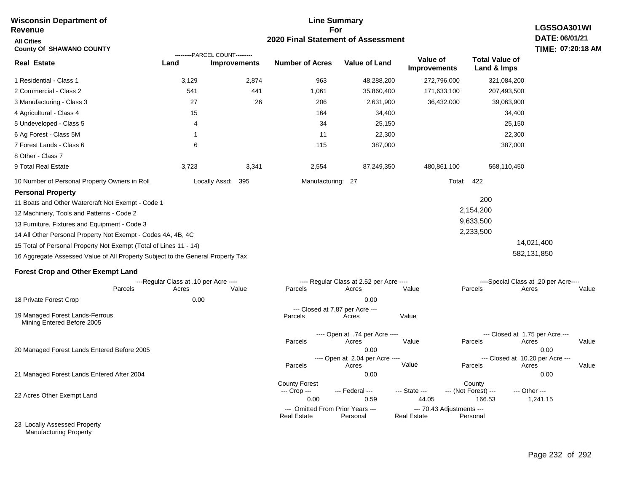| Revenue                                                                         |                                       |                                |                                      | For                                      |                                 |                                      | LGSSOA301WI                              |
|---------------------------------------------------------------------------------|---------------------------------------|--------------------------------|--------------------------------------|------------------------------------------|---------------------------------|--------------------------------------|------------------------------------------|
| <b>All Cities</b>                                                               |                                       |                                |                                      | 2020 Final Statement of Assessment       |                                 |                                      | DATE: 06/01/21                           |
| <b>County Of SHAWANO COUNTY</b>                                                 |                                       | ---------PARCEL COUNT--------- |                                      |                                          |                                 |                                      | TIME: 07:20:18 AM                        |
| <b>Real Estate</b>                                                              | Land                                  | <b>Improvements</b>            | <b>Number of Acres</b>               | <b>Value of Land</b>                     | Value of<br><b>Improvements</b> | <b>Total Value of</b><br>Land & Imps |                                          |
| 1 Residential - Class 1                                                         | 3,129                                 | 2,874                          | 963                                  | 48,288,200                               | 272,796,000                     | 321,084,200                          |                                          |
| 2 Commercial - Class 2                                                          | 541                                   | 441                            | 1,061                                | 35,860,400                               | 171,633,100                     | 207,493,500                          |                                          |
| 3 Manufacturing - Class 3                                                       | 27                                    | 26                             | 206                                  | 2,631,900                                | 36,432,000                      | 39,063,900                           |                                          |
| 4 Agricultural - Class 4                                                        | 15                                    |                                | 164                                  | 34,400                                   |                                 | 34,400                               |                                          |
| 5 Undeveloped - Class 5                                                         | 4                                     |                                | 34                                   | 25,150                                   |                                 | 25,150                               |                                          |
| 6 Ag Forest - Class 5M                                                          | -1                                    |                                | 11                                   | 22,300                                   |                                 | 22,300                               |                                          |
| 7 Forest Lands - Class 6                                                        | 6                                     |                                | 115                                  | 387,000                                  |                                 | 387,000                              |                                          |
| 8 Other - Class 7                                                               |                                       |                                |                                      |                                          |                                 |                                      |                                          |
| 9 Total Real Estate                                                             | 3,723                                 | 3,341                          | 2,554                                | 87,249,350                               | 480,861,100                     | 568,110,450                          |                                          |
| 10 Number of Personal Property Owners in Roll                                   |                                       | Locally Assd: 395              |                                      | Manufacturing: 27                        |                                 | Total: 422                           |                                          |
| <b>Personal Property</b>                                                        |                                       |                                |                                      |                                          |                                 |                                      |                                          |
| 11 Boats and Other Watercraft Not Exempt - Code 1                               |                                       |                                |                                      |                                          |                                 | 200                                  |                                          |
| 12 Machinery, Tools and Patterns - Code 2                                       |                                       |                                |                                      |                                          |                                 | 2,154,200                            |                                          |
| 13 Furniture, Fixtures and Equipment - Code 3                                   |                                       |                                |                                      |                                          |                                 | 9,633,500                            |                                          |
| 14 All Other Personal Property Not Exempt - Codes 4A, 4B, 4C                    |                                       |                                |                                      |                                          |                                 | 2,233,500                            |                                          |
| 15 Total of Personal Property Not Exempt (Total of Lines 11 - 14)               |                                       |                                |                                      |                                          |                                 |                                      | 14,021,400                               |
| 16 Aggregate Assessed Value of All Property Subject to the General Property Tax |                                       |                                |                                      |                                          |                                 |                                      | 582,131,850                              |
| <b>Forest Crop and Other Exempt Land</b>                                        |                                       |                                |                                      |                                          |                                 |                                      |                                          |
|                                                                                 | ---Regular Class at .10 per Acre ---- |                                |                                      | ---- Regular Class at 2.52 per Acre ---- |                                 |                                      | ----Special Class at .20 per Acre----    |
| Parcels                                                                         | Acres                                 | Value                          | Parcels                              | Acres                                    | Value                           | Parcels                              | Acres<br>Value                           |
| 18 Private Forest Crop                                                          | 0.00                                  |                                |                                      | 0.00                                     |                                 |                                      |                                          |
| 19 Managed Forest Lands-Ferrous<br>Mining Entered Before 2005                   |                                       |                                | Parcels                              | --- Closed at 7.87 per Acre ---<br>Acres | Value                           |                                      |                                          |
|                                                                                 |                                       |                                |                                      | ---- Open at .74 per Acre ----           |                                 |                                      | --- Closed at 1.75 per Acre ---          |
|                                                                                 |                                       |                                | Parcels                              | Acres                                    | Value                           | Parcels                              | Acres<br>Value                           |
| 20 Managed Forest Lands Entered Before 2005                                     |                                       |                                |                                      | 0.00<br>---- Open at 2.04 per Acre ----  |                                 |                                      | 0.00<br>--- Closed at 10.20 per Acre --- |
|                                                                                 |                                       |                                | Parcels                              | Acres                                    | Value                           | Parcels                              | Acres<br>Value                           |
| 21 Managed Forest Lands Entered After 2004                                      |                                       |                                |                                      | 0.00                                     |                                 |                                      | 0.00                                     |
|                                                                                 |                                       |                                | <b>County Forest</b><br>--- Crop --- | --- Federal ---                          | --- State ---                   | County<br>--- (Not Forest) ---       | --- Other ---                            |
| 22 Acres Other Exempt Land                                                      |                                       |                                | 0.00                                 | 0.59                                     | 44.05                           | 166.53                               | 1,241.15                                 |
|                                                                                 |                                       |                                |                                      | --- Omitted From Prior Years ---         | --- 70.43 Adjustments ---       |                                      |                                          |
|                                                                                 |                                       |                                | <b>Real Estate</b>                   | Personal                                 | <b>Real Estate</b>              | Personal                             |                                          |
| 23 Locally Assessed Property                                                    |                                       |                                |                                      |                                          |                                 |                                      |                                          |

**Line Summary**

Manufacturing Property

**Wisconsin Department of**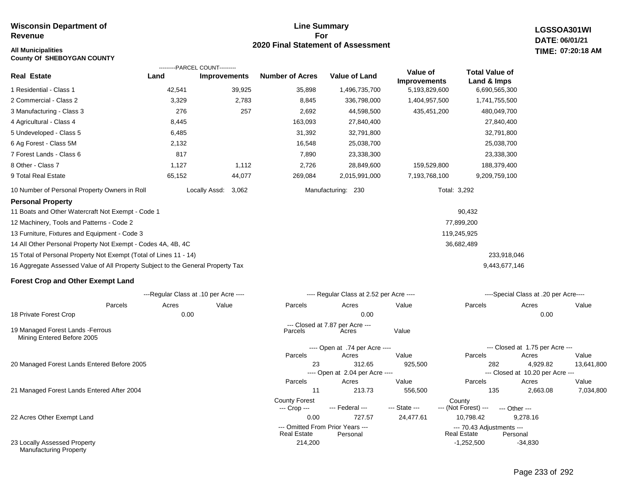### **Line Summary For 2020 Final Statement of Assessment**

**LGSSOA301WI DATE: 06/01/21 All Municipalities TIME: 07:20:18 AM**

| <b>County Of SHEBOYGAN COUNTY</b>                                               |        |                                |                        |                      |                     |                       |
|---------------------------------------------------------------------------------|--------|--------------------------------|------------------------|----------------------|---------------------|-----------------------|
|                                                                                 |        | ---------PARCEL COUNT--------- |                        |                      | Value of            | <b>Total Value of</b> |
| <b>Real Estate</b>                                                              | Land   | <b>Improvements</b>            | <b>Number of Acres</b> | <b>Value of Land</b> | <b>Improvements</b> | Land & Imps           |
| 1 Residential - Class 1                                                         | 42,541 | 39,925                         | 35,898                 | 1,496,735,700        | 5,193,829,600       | 6,690,565,300         |
| 2 Commercial - Class 2                                                          | 3,329  | 2,783                          | 8,845                  | 336,798,000          | 1,404,957,500       | 1,741,755,500         |
| 3 Manufacturing - Class 3                                                       | 276    | 257                            | 2,692                  | 44,598,500           | 435,451,200         | 480,049,700           |
| 4 Agricultural - Class 4                                                        | 8,445  |                                | 163,093                | 27,840,400           |                     | 27,840,400            |
| 5 Undeveloped - Class 5                                                         | 6,485  |                                | 31,392                 | 32,791,800           |                     | 32,791,800            |
| 6 Ag Forest - Class 5M                                                          | 2,132  |                                | 16,548                 | 25,038,700           |                     | 25,038,700            |
| 7 Forest Lands - Class 6                                                        | 817    |                                | 7,890                  | 23,338,300           |                     | 23,338,300            |
| 8 Other - Class 7                                                               | 1,127  | 1,112                          | 2,726                  | 28,849,600           | 159,529,800         | 188,379,400           |
| 9 Total Real Estate                                                             | 65,152 | 44,077                         | 269,084                | 2,015,991,000        | 7,193,768,100       | 9,209,759,100         |
| 10 Number of Personal Property Owners in Roll                                   |        | 3,062<br>Locally Assd:         |                        | Manufacturing: 230   | Total: 3,292        |                       |
| <b>Personal Property</b>                                                        |        |                                |                        |                      |                     |                       |
| 11 Boats and Other Watercraft Not Exempt - Code 1                               |        |                                |                        |                      |                     | 90,432                |
| 12 Machinery, Tools and Patterns - Code 2                                       |        |                                |                        |                      |                     | 77,899,200            |
| 13 Furniture, Fixtures and Equipment - Code 3                                   |        |                                |                        |                      |                     | 119,245,925           |
| 14 All Other Personal Property Not Exempt - Codes 4A, 4B, 4C                    |        |                                |                        |                      |                     | 36,682,489            |
| 15 Total of Personal Property Not Exempt (Total of Lines 11 - 14)               |        |                                |                        |                      |                     | 233,918,046           |
| 16 Aggregate Assessed Value of All Property Subject to the General Property Tax |        |                                |                        |                      |                     | 9,443,677,146         |
| <b>Forest Crop and Other Exempt Land</b>                                        |        |                                |                        |                      |                     |                       |

|                                                                 |         |       | ---Regular Class at .10 per Acre ---- |                                      | ---- Regular Class at 2.52 per Acre ---- |               | ----Special Class at .20 per Acre----           |                                  |            |  |
|-----------------------------------------------------------------|---------|-------|---------------------------------------|--------------------------------------|------------------------------------------|---------------|-------------------------------------------------|----------------------------------|------------|--|
|                                                                 | Parcels | Acres | Value                                 | Parcels                              | Acres                                    | Value         | Parcels                                         | Acres                            | Value      |  |
| 18 Private Forest Crop                                          |         | 0.00  |                                       |                                      | 0.00                                     |               |                                                 | 0.00                             |            |  |
|                                                                 |         |       |                                       |                                      | --- Closed at 7.87 per Acre ---          |               |                                                 |                                  |            |  |
| 19 Managed Forest Lands - Ferrous<br>Mining Entered Before 2005 |         |       |                                       | Parcels                              | Acres                                    | Value         |                                                 |                                  |            |  |
|                                                                 |         |       |                                       |                                      | ---- Open at .74 per Acre ----           |               |                                                 | --- Closed at 1.75 per Acre ---  |            |  |
|                                                                 |         |       |                                       | Parcels                              | Acres                                    | Value         | Parcels                                         | Acres                            | Value      |  |
| 20 Managed Forest Lands Entered Before 2005                     |         |       |                                       | 23                                   | 312.65                                   | 925,500       |                                                 | 4,929.82<br>282                  | 13,641,800 |  |
|                                                                 |         |       |                                       |                                      | ---- Open at 2.04 per Acre ----          |               |                                                 | --- Closed at 10.20 per Acre --- |            |  |
|                                                                 |         |       |                                       | Parcels                              | Acres                                    | Value         | Parcels                                         | Acres                            | Value      |  |
| 21 Managed Forest Lands Entered After 2004                      |         |       |                                       | 11                                   | 213.73                                   | 556,500       |                                                 | 135<br>2,663.08                  | 7,034,800  |  |
|                                                                 |         |       |                                       | <b>County Forest</b><br>--- Crop --- | --- Federal ---                          | --- State --- | County<br>--- (Not Forest) ---                  | $-$ Other $-$                    |            |  |
| 22 Acres Other Exempt Land                                      |         |       |                                       | 0.00                                 | 727.57                                   | 24,477.61     | 10,798.42                                       | 9,278.16                         |            |  |
|                                                                 |         |       |                                       |                                      | --- Omitted From Prior Years ---         |               |                                                 |                                  |            |  |
|                                                                 |         |       |                                       | <b>Real Estate</b>                   | Personal                                 |               | --- 70.43 Adjustments ---<br><b>Real Estate</b> | Personal                         |            |  |
| 23 Locally Assessed Property<br><b>Manufacturing Property</b>   |         |       |                                       | 214,200                              |                                          |               | $-1,252,500$                                    | $-34,830$                        |            |  |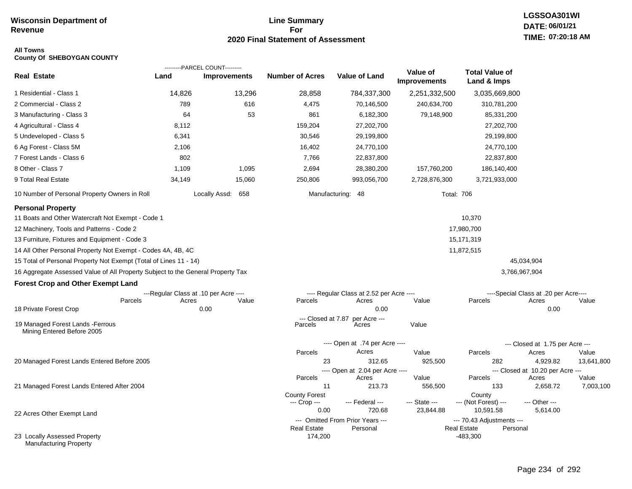## **Line Summary For 2020 Final Statement of Assessment**

### **All Towns County Of SHEBOYGAN COUNTY**

|                                                                                 |        | ---------PARCEL COUNT---------        |                               |                                              |                                 |                                                 |                                       |                    |
|---------------------------------------------------------------------------------|--------|---------------------------------------|-------------------------------|----------------------------------------------|---------------------------------|-------------------------------------------------|---------------------------------------|--------------------|
| <b>Real Estate</b>                                                              | Land   | <b>Improvements</b>                   | <b>Number of Acres</b>        | Value of Land                                | Value of<br><b>Improvements</b> | <b>Total Value of</b><br>Land & Imps            |                                       |                    |
| 1 Residential - Class 1                                                         | 14,826 | 13,296                                | 28,858                        | 784,337,300                                  | 2,251,332,500                   | 3,035,669,800                                   |                                       |                    |
| 2 Commercial - Class 2                                                          | 789    | 616                                   | 4,475                         | 70,146,500                                   | 240,634,700                     | 310,781,200                                     |                                       |                    |
| 3 Manufacturing - Class 3                                                       | 64     | 53                                    | 861                           | 6,182,300                                    | 79,148,900                      | 85,331,200                                      |                                       |                    |
| 4 Agricultural - Class 4                                                        | 8,112  |                                       | 159,204                       | 27,202,700                                   |                                 | 27,202,700                                      |                                       |                    |
| 5 Undeveloped - Class 5                                                         | 6,341  |                                       | 30,546                        | 29,199,800                                   |                                 | 29,199,800                                      |                                       |                    |
| 6 Ag Forest - Class 5M                                                          | 2,106  |                                       | 16,402                        | 24,770,100                                   |                                 | 24,770,100                                      |                                       |                    |
| 7 Forest Lands - Class 6                                                        | 802    |                                       | 7,766                         | 22,837,800                                   |                                 | 22,837,800                                      |                                       |                    |
| 8 Other - Class 7                                                               | 1,109  | 1,095                                 | 2,694                         | 28,380,200                                   | 157,760,200                     | 186,140,400                                     |                                       |                    |
| 9 Total Real Estate                                                             | 34,149 | 15,060                                | 250,806                       | 993,056,700                                  | 2,728,876,300                   | 3,721,933,000                                   |                                       |                    |
| 10 Number of Personal Property Owners in Roll                                   |        | Locally Assd: 658                     |                               | Manufacturing: 48                            | <b>Total: 706</b>               |                                                 |                                       |                    |
| <b>Personal Property</b>                                                        |        |                                       |                               |                                              |                                 |                                                 |                                       |                    |
| 11 Boats and Other Watercraft Not Exempt - Code 1                               |        |                                       |                               |                                              |                                 | 10,370                                          |                                       |                    |
| 12 Machinery, Tools and Patterns - Code 2                                       |        |                                       |                               |                                              |                                 | 17,980,700                                      |                                       |                    |
| 13 Furniture, Fixtures and Equipment - Code 3                                   |        |                                       |                               |                                              |                                 | 15,171,319                                      |                                       |                    |
| 14 All Other Personal Property Not Exempt - Codes 4A, 4B, 4C                    |        |                                       |                               |                                              |                                 | 11,872,515                                      |                                       |                    |
| 15 Total of Personal Property Not Exempt (Total of Lines 11 - 14)               |        |                                       |                               |                                              |                                 |                                                 | 45,034,904                            |                    |
| 16 Aggregate Assessed Value of All Property Subject to the General Property Tax |        |                                       |                               |                                              |                                 |                                                 | 3,766,967,904                         |                    |
| <b>Forest Crop and Other Exempt Land</b>                                        |        |                                       |                               |                                              |                                 |                                                 |                                       |                    |
|                                                                                 |        | ---Regular Class at .10 per Acre ---- |                               | ---- Regular Class at 2.52 per Acre ----     |                                 |                                                 | ----Special Class at .20 per Acre---- |                    |
| Parcels                                                                         | Acres  | Value                                 | Parcels                       | Acres                                        | Value                           | Parcels                                         | Acres                                 | Value              |
| 18 Private Forest Crop                                                          |        | 0.00                                  |                               | 0.00                                         |                                 |                                                 | 0.00                                  |                    |
| 19 Managed Forest Lands - Ferrous<br>Mining Entered Before 2005                 |        |                                       | --- Closed at 7.87<br>Parcels | per Acre ---<br>Acres                        | Value                           |                                                 |                                       |                    |
|                                                                                 |        |                                       |                               | ---- Open at .74 per Acre ----               |                                 |                                                 | --- Closed at 1.75 per Acre ---       |                    |
|                                                                                 |        |                                       | Parcels                       | Acres                                        | Value                           | Parcels                                         | Acres                                 | Value              |
| 20 Managed Forest Lands Entered Before 2005                                     |        |                                       | 23                            | 312.65                                       | 925,500                         | 282                                             | 4,929.82                              | 13,641,800         |
|                                                                                 |        |                                       |                               | ---- Open at 2.04 per Acre ----              |                                 |                                                 | --- Closed at 10.20 per Acre ---      |                    |
| 21 Managed Forest Lands Entered After 2004                                      |        |                                       | Parcels<br>11                 | Acres<br>213.73                              | Value<br>556,500                | Parcels<br>133                                  | Acres<br>2,658.72                     | Value<br>7,003,100 |
|                                                                                 |        |                                       | <b>County Forest</b>          |                                              |                                 | County                                          |                                       |                    |
|                                                                                 |        |                                       | --- Crop ---                  | --- Federal ---                              | --- State ---                   | --- (Not Forest) ---                            | --- Other ---                         |                    |
| 22 Acres Other Exempt Land                                                      |        |                                       | 0.00                          | 720.68                                       | 23,844.88                       | 10,591.58                                       | 5,614.00                              |                    |
|                                                                                 |        |                                       | <b>Real Estate</b>            | --- Omitted From Prior Years ---<br>Personal |                                 | --- 70.43 Adjustments ---<br><b>Real Estate</b> | Personal                              |                    |
| 23 Locally Assessed Property<br><b>Manufacturing Property</b>                   |        |                                       | 174,200                       |                                              |                                 | $-483,300$                                      |                                       |                    |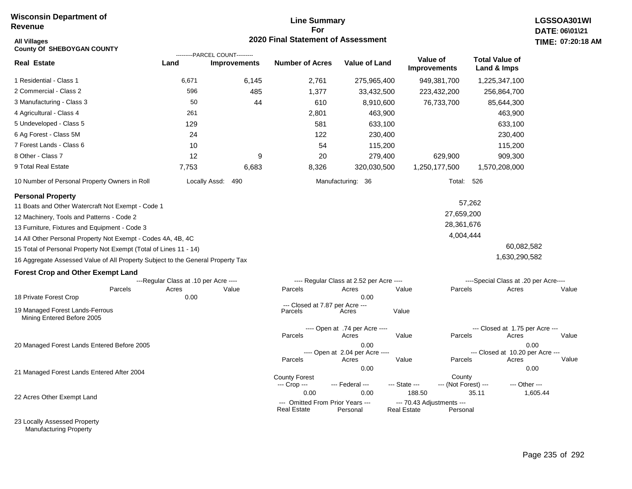### **Line Summary For 2020 Final Statement of Assessment**

| <b>All Villages</b><br><b>County Of SHEBOYGAN COUNTY</b>                        |                                       |                                                       | 2020 Final Statement of Assessment                     |                                          |                                                 |                                |                                          | <b>TIME: 07:20</b> |
|---------------------------------------------------------------------------------|---------------------------------------|-------------------------------------------------------|--------------------------------------------------------|------------------------------------------|-------------------------------------------------|--------------------------------|------------------------------------------|--------------------|
| <b>Real Estate</b>                                                              | Land                                  | ---------PARCEL COUNT---------<br><b>Improvements</b> | <b>Number of Acres</b>                                 | Value of Land                            | Value of<br><b>Improvements</b>                 |                                | <b>Total Value of</b><br>Land & Imps     |                    |
| 1 Residential - Class 1                                                         | 6,671                                 | 6,145                                                 | 2,761                                                  | 275,965,400                              | 949,381,700                                     |                                | 1,225,347,100                            |                    |
| 2 Commercial - Class 2                                                          | 596                                   | 485                                                   | 1,377                                                  | 33,432,500                               | 223,432,200                                     |                                | 256,864,700                              |                    |
| 3 Manufacturing - Class 3                                                       | 50                                    | 44                                                    | 610                                                    | 8,910,600                                | 76,733,700                                      |                                | 85,644,300                               |                    |
| 4 Agricultural - Class 4                                                        | 261                                   |                                                       | 2,801                                                  | 463,900                                  |                                                 |                                | 463,900                                  |                    |
| 5 Undeveloped - Class 5                                                         | 129                                   |                                                       | 581                                                    | 633,100                                  |                                                 |                                | 633,100                                  |                    |
| 6 Ag Forest - Class 5M                                                          | 24                                    |                                                       | 122                                                    | 230,400                                  |                                                 |                                | 230,400                                  |                    |
| 7 Forest Lands - Class 6                                                        | 10                                    |                                                       | 54                                                     | 115,200                                  |                                                 |                                | 115,200                                  |                    |
| 8 Other - Class 7                                                               | 12                                    | 9                                                     | 20                                                     | 279,400                                  |                                                 | 629,900                        | 909,300                                  |                    |
| 9 Total Real Estate                                                             | 7,753                                 | 6,683                                                 | 8,326                                                  | 320,030,500                              | 1,250,177,500                                   |                                | 1,570,208,000                            |                    |
| 10 Number of Personal Property Owners in Roll                                   |                                       | Locally Assd:<br>490                                  |                                                        | Manufacturing: 36                        |                                                 | Total: 526                     |                                          |                    |
| <b>Personal Property</b>                                                        |                                       |                                                       |                                                        |                                          |                                                 |                                |                                          |                    |
| 11 Boats and Other Watercraft Not Exempt - Code 1                               |                                       |                                                       |                                                        |                                          |                                                 | 57,262                         |                                          |                    |
| 12 Machinery, Tools and Patterns - Code 2                                       |                                       |                                                       |                                                        |                                          |                                                 | 27,659,200                     |                                          |                    |
| 13 Furniture, Fixtures and Equipment - Code 3                                   |                                       |                                                       |                                                        |                                          |                                                 | 28,361,676                     |                                          |                    |
| 14 All Other Personal Property Not Exempt - Codes 4A, 4B, 4C                    |                                       |                                                       |                                                        |                                          |                                                 | 4,004,444                      |                                          |                    |
| 15 Total of Personal Property Not Exempt (Total of Lines 11 - 14)               |                                       |                                                       |                                                        |                                          |                                                 |                                | 60,082,582                               |                    |
| 16 Aggregate Assessed Value of All Property Subject to the General Property Tax |                                       |                                                       |                                                        |                                          |                                                 |                                | 1,630,290,582                            |                    |
| <b>Forest Crop and Other Exempt Land</b>                                        |                                       |                                                       |                                                        |                                          |                                                 |                                |                                          |                    |
|                                                                                 | ---Regular Class at .10 per Acre ---- |                                                       |                                                        | ---- Regular Class at 2.52 per Acre ---- |                                                 |                                | ----Special Class at .20 per Acre----    |                    |
| Parcels<br>18 Private Forest Crop                                               | Acres<br>0.00                         | Value                                                 | Parcels                                                | Acres<br>0.00                            | Value                                           | Parcels                        | Acres                                    | Value              |
|                                                                                 |                                       |                                                       | --- Closed at 7.87 per Acre ---                        |                                          |                                                 |                                |                                          |                    |
| 19 Managed Forest Lands-Ferrous<br>Mining Entered Before 2005                   |                                       |                                                       | Parcels                                                | Acres                                    | Value                                           |                                |                                          |                    |
|                                                                                 |                                       |                                                       |                                                        | ---- Open at .74 per Acre ----           |                                                 |                                | --- Closed at 1.75 per Acre ---          |                    |
|                                                                                 |                                       |                                                       | Parcels                                                | Acres                                    | Value                                           | Parcels                        | Acres                                    | Value              |
| 20 Managed Forest Lands Entered Before 2005                                     |                                       |                                                       |                                                        | 0.00<br>---- Open at 2.04 per Acre ----  |                                                 |                                | 0.00<br>--- Closed at 10.20 per Acre --- |                    |
|                                                                                 |                                       |                                                       | Parcels                                                | Acres                                    | Value                                           | Parcels                        | Acres                                    | Value              |
| 21 Managed Forest Lands Entered After 2004                                      |                                       |                                                       |                                                        | 0.00                                     |                                                 |                                | 0.00                                     |                    |
|                                                                                 |                                       |                                                       | <b>County Forest</b><br>--- Crop ---                   | --- Federal ---                          | --- State ---                                   | County<br>--- (Not Forest) --- | --- Other ---                            |                    |
| 22 Acres Other Exempt Land                                                      |                                       |                                                       | 0.00                                                   | 0.00                                     | 188.50                                          | 35.11                          | 1,605.44                                 |                    |
|                                                                                 |                                       |                                                       | --- Omitted From Prior Years ---<br><b>Real Estate</b> | Personal                                 | --- 70.43 Adjustments ---<br><b>Real Estate</b> | Personal                       |                                          |                    |

23 Locally Assessed Property Manufacturing Property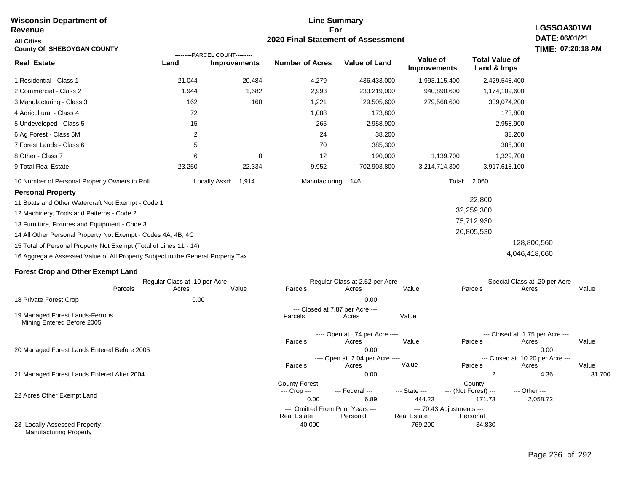#### **Line Summary For 2020 Final Statement of Assessment Wisconsin Department of Revenue All Cities County Of SHEBOYGAN COUNTY LGSSOA301WI DATE: 06/01/21 TIME: 07:20:18 AM Real Estate** 1 Residential - Class 1 2 Commercial - Class 2 3 Manufacturing - Class 3 4 Agricultural - Class 4 5 Undeveloped - Class 5 6 Ag Forest - Class 5M 7 Forest Lands - Class 6 8 Other - Class 7 9 Total Real Estate 10 Number of Personal Property Owners in Roll 21,044 20,484 4,279 436,433,000 1,993,115,400 2,429,548,400 **Land Improvements Number of Acres Value of Land Value of Improvements Total Value of Land & Imps** 1,944 162 72 15 2 5 6 23,250 1,682 160 8 22,334 2,993 1,221 1,088 265 24 70 12 9,952 233,219,000 29,505,600 173,800 2,958,900 38,200 385,300 190,000 702,903,800 940,890,600 279,568,600 1,139,700 3,214,714,300 1,174,109,600 309,074,200 173,800 2,958,900 38,200 385,300 1,329,700 3,917,618,100 Locally Assd: 1,914 Manufacturing: 146 Total: 2,060 **Personal Property** 11 Boats and Other Watercraft Not Exempt - Code 1 12 Machinery, Tools and Patterns - Code 2 13 Furniture, Fixtures and Equipment - Code 3 14 All Other Personal Property Not Exempt - Codes 4A, 4B, 4C 15 Total of Personal Property Not Exempt (Total of Lines 11 - 14) 16 Aggregate Assessed Value of All Property Subject to the General Property Tax 22,800 32,259,300 75,712,930 20,805,530 128,800,560 4,046,418,660 **Forest Crop and Other Exempt Land** ---Regular Class at .10 per Acre ---- ---- Regular Class at 2.52 per Acre ---- ----Special Class at .20 per Acre---- 18 Private Forest Crop 20 Managed Forest Lands Entered Before 2005 21 Managed Forest Lands Entered After 2004 Parcels 0.00 0.00 Acres Value Parcels Acres Value Parcels Acres Value ---- Open at .74 per Acre<br>Acres Parcels 0.00 0.00 Acres Value Parcels Acres Value --- Closed at 1.75 per Acre --- ---- Open at 2.04 per Acre ---<br>Acres Value Parcels Parcels Acres Acres Parcels 0.00 2 4.36 31,700 Acres **Value Parcels Acres Value** County Forest **County** County --- Crop --- 0.00 6.89 444.23 171.73 2,058.72 --- Federal --- - --- State --- --- (Not Forest) --- --- Other ---22 Acres Other Exempt Land 23 Locally Assessed Property --- Omitted From Prior Years ---<br>Real Estate Personal Personal Real Estate Personal 40,000 -34,830 -769,200 -34,830 **Real Estate** ---------PARCEL COUNT--------- 19 Managed Forest Lands-Ferrous Mining Entered Before 2005 --- Closed at 7.87 per Acre ---<br>cels Acres Parcels **Acres** Value

Manufacturing Property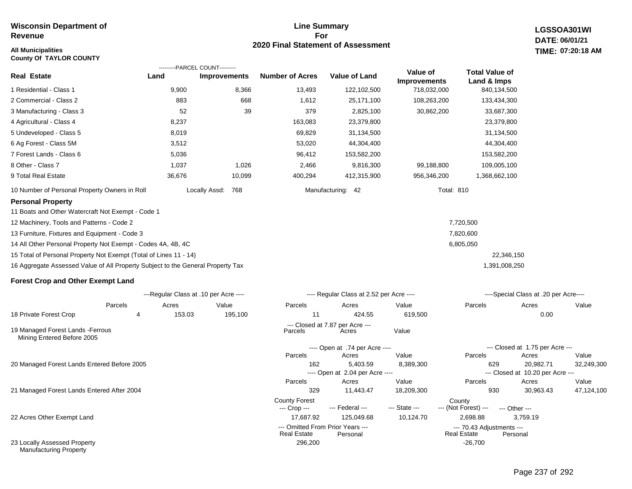### **All Municipalities TIME:**

**County Of TAYLOR COUNTY**

### **Line Summary For 2020 Final Statement of Assessment**

---- Open at 2.04 per Acre ----

**LGSSOA301WI DATE: 06/01/21 07:20:18 AM**

|                                                                                 |        | ---------PARCEL COUNT---------        |                        |                                          |                                 |                                      |                                       |            |
|---------------------------------------------------------------------------------|--------|---------------------------------------|------------------------|------------------------------------------|---------------------------------|--------------------------------------|---------------------------------------|------------|
| <b>Real Estate</b>                                                              | Land   | <b>Improvements</b>                   | <b>Number of Acres</b> | <b>Value of Land</b>                     | Value of<br><b>Improvements</b> | <b>Total Value of</b><br>Land & Imps |                                       |            |
| 1 Residential - Class 1                                                         | 9,900  | 8,366                                 | 13,493                 | 122,102,500                              | 718,032,000                     | 840,134,500                          |                                       |            |
| 2 Commercial - Class 2                                                          | 883    | 668                                   | 1,612                  | 25,171,100                               | 108,263,200                     | 133,434,300                          |                                       |            |
| 3 Manufacturing - Class 3                                                       | 52     | 39                                    | 379                    | 2,825,100                                | 30,862,200                      | 33,687,300                           |                                       |            |
| 4 Agricultural - Class 4                                                        | 8,237  |                                       | 163,083                | 23,379,800                               |                                 | 23,379,800                           |                                       |            |
| 5 Undeveloped - Class 5                                                         | 8,019  |                                       | 69,829                 | 31,134,500                               |                                 | 31,134,500                           |                                       |            |
| 6 Ag Forest - Class 5M                                                          | 3,512  |                                       | 53,020                 | 44,304,400                               |                                 | 44,304,400                           |                                       |            |
| 7 Forest Lands - Class 6                                                        | 5,036  |                                       | 96,412                 | 153,582,200                              |                                 | 153,582,200                          |                                       |            |
| 8 Other - Class 7                                                               | 1,037  | 1,026                                 | 2,466                  | 9,816,300                                | 99,188,800                      | 109,005,100                          |                                       |            |
| 9 Total Real Estate                                                             | 36,676 | 10,099                                | 400,294                | 412,315,900                              | 956,346,200                     | 1,368,662,100                        |                                       |            |
| 10 Number of Personal Property Owners in Roll                                   |        | Locally Assd:<br>768                  |                        | Manufacturing: 42                        | <b>Total: 810</b>               |                                      |                                       |            |
| <b>Personal Property</b>                                                        |        |                                       |                        |                                          |                                 |                                      |                                       |            |
| 11 Boats and Other Watercraft Not Exempt - Code 1                               |        |                                       |                        |                                          |                                 |                                      |                                       |            |
| 12 Machinery, Tools and Patterns - Code 2                                       |        |                                       |                        |                                          |                                 | 7,720,500                            |                                       |            |
| 13 Furniture, Fixtures and Equipment - Code 3                                   |        |                                       |                        |                                          |                                 | 7,820,600                            |                                       |            |
| 14 All Other Personal Property Not Exempt - Codes 4A, 4B, 4C                    |        |                                       |                        |                                          |                                 | 6,805,050                            |                                       |            |
| 15 Total of Personal Property Not Exempt (Total of Lines 11 - 14)               |        |                                       |                        |                                          |                                 | 22,346,150                           |                                       |            |
| 16 Aggregate Assessed Value of All Property Subject to the General Property Tax |        |                                       |                        |                                          |                                 | 1,391,008,250                        |                                       |            |
| <b>Forest Crop and Other Exempt Land</b>                                        |        |                                       |                        |                                          |                                 |                                      |                                       |            |
|                                                                                 |        | ---Regular Class at .10 per Acre ---- |                        | ---- Regular Class at 2.52 per Acre ---- |                                 |                                      | ----Special Class at .20 per Acre---- |            |
| Parcels                                                                         | Acres  | Value                                 | Parcels                | Acres                                    | Value                           | Parcels                              | Acres                                 | Value      |
| 18 Private Forest Crop<br>4                                                     | 153.03 | 195,100                               | 11                     | 424.55                                   | 619,500                         |                                      | 0.00                                  |            |
| 19 Managed Forest Lands - Ferrous<br>Mining Entered Before 2005                 |        |                                       | Parcels                | --- Closed at 7.87 per Acre ---<br>Acres | Value                           |                                      |                                       |            |
|                                                                                 |        |                                       |                        | ---- Open at .74 per Acre ----           |                                 |                                      | --- Closed at 1.75 per Acre ---       |            |
|                                                                                 |        |                                       | Parcels                | Acres                                    | Value                           | Parcels                              | Acres                                 | Value      |
| 20 Managed Forest Lands Entered Before 2005                                     |        |                                       | 162                    | 5,403.59                                 | 8,389,300                       | 629                                  | 20,982.71                             | 32,249,300 |

21 Managed Forest Lands Entered After 2004

22 Acres Other Exempt Land

23 Locally Assessed Property Manufacturing Property

--- Closed at 10.20 per Acre ---

329 11,443.47 18,209,300 930 30,963.43 47,124,100

**Real Estate** 

Parcels Acres Value Parcels Acres Value

--- (Not Forest) --- --- Other ---

17,687.92 125,049.68 10,124.70 2,698.88 3,759.19

--- Omitted From Prior Years --- --- 70.43 Adjustments ---

296,200 -26,700 -26,700

County Forest<br>
--- Crop --- --- Federal --- --- State --- --- (Not Fore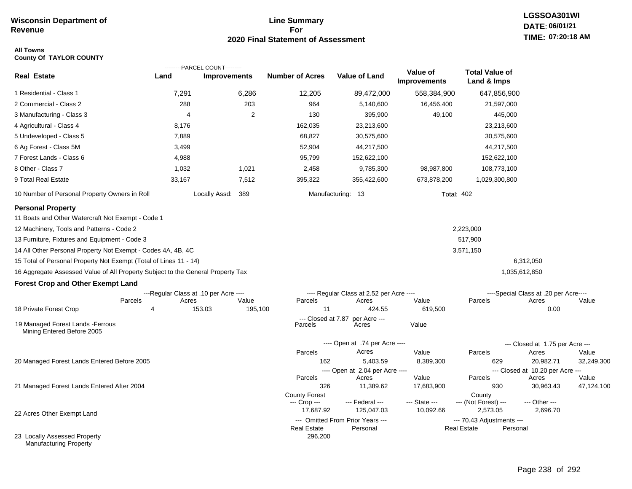## **Line Summary For 2020 Final Statement of Assessment**

### **All Towns County Of TAYLOR COUNTY**

|                                                                                 |                | ---------PARCEL COUNT---------        |                |                               |                                              |                                 |                                                 |                                           |            |
|---------------------------------------------------------------------------------|----------------|---------------------------------------|----------------|-------------------------------|----------------------------------------------|---------------------------------|-------------------------------------------------|-------------------------------------------|------------|
| <b>Real Estate</b>                                                              | Land           | <b>Improvements</b>                   |                | <b>Number of Acres</b>        | <b>Value of Land</b>                         | Value of<br><b>Improvements</b> | <b>Total Value of</b><br>Land & Imps            |                                           |            |
| 1 Residential - Class 1                                                         | 7,291          | 6,286                                 |                | 12,205                        | 89,472,000                                   | 558,384,900                     | 647,856,900                                     |                                           |            |
| 2 Commercial - Class 2                                                          | 288            | 203                                   |                | 964                           | 5,140,600                                    | 16,456,400                      | 21,597,000                                      |                                           |            |
| 3 Manufacturing - Class 3                                                       | 4              |                                       | $\overline{2}$ | 130                           | 395,900                                      | 49,100                          |                                                 | 445,000                                   |            |
| 4 Agricultural - Class 4                                                        | 8,176          |                                       |                | 162,035                       | 23,213,600                                   |                                 | 23,213,600                                      |                                           |            |
| 5 Undeveloped - Class 5                                                         | 7,889          |                                       |                | 68,827                        | 30,575,600                                   |                                 | 30,575,600                                      |                                           |            |
| 6 Ag Forest - Class 5M                                                          | 3,499          |                                       |                | 52,904                        | 44,217,500                                   |                                 | 44,217,500                                      |                                           |            |
| 7 Forest Lands - Class 6                                                        | 4,988          |                                       |                | 95,799                        | 152,622,100                                  |                                 | 152,622,100                                     |                                           |            |
| 8 Other - Class 7                                                               | 1,032          | 1,021                                 |                | 2,458                         | 9,785,300                                    | 98,987,800                      | 108,773,100                                     |                                           |            |
| 9 Total Real Estate                                                             | 33,167         | 7,512                                 |                | 395,322                       | 355,422,600                                  | 673,878,200                     | 1,029,300,800                                   |                                           |            |
| 10 Number of Personal Property Owners in Roll                                   |                | Locally Assd: 389                     |                |                               | Manufacturing: 13                            |                                 | <b>Total: 402</b>                               |                                           |            |
| <b>Personal Property</b>                                                        |                |                                       |                |                               |                                              |                                 |                                                 |                                           |            |
| 11 Boats and Other Watercraft Not Exempt - Code 1                               |                |                                       |                |                               |                                              |                                 |                                                 |                                           |            |
| 12 Machinery, Tools and Patterns - Code 2                                       |                |                                       |                |                               |                                              |                                 | 2,223,000                                       |                                           |            |
| 13 Furniture, Fixtures and Equipment - Code 3                                   |                |                                       |                |                               |                                              |                                 | 517,900                                         |                                           |            |
| 14 All Other Personal Property Not Exempt - Codes 4A, 4B, 4C                    |                |                                       |                |                               |                                              |                                 | 3,571,150                                       |                                           |            |
| 15 Total of Personal Property Not Exempt (Total of Lines 11 - 14)               |                |                                       |                |                               |                                              |                                 |                                                 | 6,312,050                                 |            |
| 16 Aggregate Assessed Value of All Property Subject to the General Property Tax |                |                                       |                |                               |                                              |                                 |                                                 | 1,035,612,850                             |            |
| <b>Forest Crop and Other Exempt Land</b>                                        |                |                                       |                |                               |                                              |                                 |                                                 |                                           |            |
|                                                                                 |                | ---Regular Class at .10 per Acre ---- |                |                               | ---- Regular Class at 2.52 per Acre ----     |                                 |                                                 | ----Special Class at .20 per Acre----     |            |
| Parcels                                                                         | Acres          | Value                                 |                | Parcels                       | Acres                                        | Value                           | Parcels                                         | Acres                                     | Value      |
| 18 Private Forest Crop                                                          | $\overline{4}$ | 153.03                                | 195,100        | 11                            | 424.55                                       | 619,500                         |                                                 | 0.00                                      |            |
| 19 Managed Forest Lands - Ferrous<br>Mining Entered Before 2005                 |                |                                       |                | --- Closed at 7.87<br>Parcels | per Acre ---<br>Acres                        | Value                           |                                                 |                                           |            |
|                                                                                 |                |                                       |                |                               | ---- Open at .74 per Acre ----               |                                 |                                                 | --- Closed at 1.75 per Acre ---           |            |
|                                                                                 |                |                                       |                | Parcels                       | Acres                                        | Value                           | Parcels                                         | Acres                                     | Value      |
| 20 Managed Forest Lands Entered Before 2005                                     |                |                                       |                | 162                           | 5,403.59                                     | 8,389,300                       | 629                                             | 20,982.71                                 | 32,249,300 |
|                                                                                 |                |                                       |                | Parcels                       | ---- Open at 2.04 per Acre ----              | Value                           | Parcels                                         | --- Closed at 10.20 per Acre ---<br>Acres | Value      |
| 21 Managed Forest Lands Entered After 2004                                      |                |                                       |                | 326                           | Acres<br>11,389.62                           | 17,683,900                      | 930                                             | 30,963.43                                 | 47,124,100 |
|                                                                                 |                |                                       |                | <b>County Forest</b>          |                                              |                                 | County                                          |                                           |            |
|                                                                                 |                |                                       |                | --- Crop ---                  | --- Federal ---                              | --- State ---                   | --- (Not Forest) ---                            | --- Other ---                             |            |
| 22 Acres Other Exempt Land                                                      |                |                                       |                | 17,687.92                     | 125,047.03                                   | 10,092.66                       | 2,573.05                                        | 2,696.70                                  |            |
|                                                                                 |                |                                       |                | <b>Real Estate</b>            | --- Omitted From Prior Years ---<br>Personal |                                 | --- 70.43 Adjustments ---<br><b>Real Estate</b> | Personal                                  |            |
| 23 Locally Assessed Property<br><b>Manufacturing Property</b>                   |                |                                       |                | 296,200                       |                                              |                                 |                                                 |                                           |            |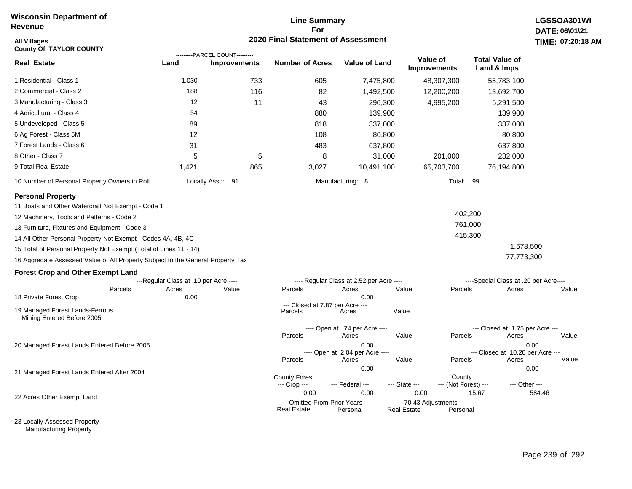### **Line Summary For 2020 Final Statement of Assessment**

| All Villages<br><b>County Of TAYLOR COUNTY</b>                                  |                                       | ---------PARCEL COUNT--------- | 2020 Final Statement of Assessment |                                          |                                 |                                       | <b>TIME: 07:20</b>      |
|---------------------------------------------------------------------------------|---------------------------------------|--------------------------------|------------------------------------|------------------------------------------|---------------------------------|---------------------------------------|-------------------------|
| <b>Real Estate</b>                                                              | Land                                  | <b>Improvements</b>            | <b>Number of Acres</b>             | <b>Value of Land</b>                     | Value of<br><b>Improvements</b> | <b>Total Value of</b><br>Land & Imps  |                         |
| 1 Residential - Class 1                                                         | 1,030                                 | 733                            | 605                                | 7,475,800                                | 48,307,300                      | 55,783,100                            |                         |
| 2 Commercial - Class 2                                                          | 188                                   | 116                            | 82                                 | 1,492,500                                | 12,200,200                      | 13,692,700                            |                         |
| 3 Manufacturing - Class 3                                                       | 12                                    | 11                             | 43                                 | 296,300                                  | 4,995,200                       | 5,291,500                             |                         |
| 4 Agricultural - Class 4                                                        | 54                                    |                                | 880                                | 139,900                                  |                                 | 139,900                               |                         |
| 5 Undeveloped - Class 5                                                         | 89                                    |                                | 818                                | 337,000                                  |                                 | 337,000                               |                         |
| 6 Ag Forest - Class 5M                                                          | 12                                    |                                | 108                                | 80,800                                   |                                 | 80,800                                |                         |
| 7 Forest Lands - Class 6                                                        | 31                                    |                                | 483                                | 637,800                                  |                                 | 637,800                               |                         |
| 8 Other - Class 7                                                               | 5                                     | 5                              | 8                                  | 31,000                                   | 201,000                         | 232,000                               |                         |
| 9 Total Real Estate                                                             | 1,421                                 | 865                            | 3,027                              | 10,491,100                               | 65,703,700                      | 76,194,800                            |                         |
| 10 Number of Personal Property Owners in Roll                                   |                                       | Locally Assd: 91               |                                    | Manufacturing: 8                         |                                 | Total: 99                             |                         |
| <b>Personal Property</b>                                                        |                                       |                                |                                    |                                          |                                 |                                       |                         |
| 11 Boats and Other Watercraft Not Exempt - Code 1                               |                                       |                                |                                    |                                          |                                 |                                       |                         |
| 12 Machinery, Tools and Patterns - Code 2                                       |                                       |                                |                                    |                                          |                                 | 402,200                               |                         |
| 13 Furniture, Fixtures and Equipment - Code 3                                   |                                       |                                |                                    |                                          |                                 | 761,000                               |                         |
| 14 All Other Personal Property Not Exempt - Codes 4A, 4B, 4C                    |                                       |                                |                                    |                                          |                                 | 415,300                               |                         |
| 15 Total of Personal Property Not Exempt (Total of Lines 11 - 14)               |                                       |                                |                                    |                                          |                                 |                                       | 1,578,500               |
| 16 Aggregate Assessed Value of All Property Subject to the General Property Tax |                                       |                                |                                    |                                          |                                 | 77,773,300                            |                         |
| <b>Forest Crop and Other Exempt Land</b>                                        |                                       |                                |                                    |                                          |                                 |                                       |                         |
|                                                                                 | ---Regular Class at .10 per Acre ---- |                                |                                    | ---- Regular Class at 2.52 per Acre ---- |                                 | ----Special Class at .20 per Acre---- |                         |
| Parcels<br>18 Private Forest Crop                                               | Acres<br>0.00                         | Value                          | Parcels                            | Acres<br>0.00                            | Value                           | Parcels<br>Acres                      | Value                   |
|                                                                                 |                                       |                                | --- Closed at 7.87 per Acre ---    |                                          |                                 |                                       |                         |
| 19 Managed Forest Lands-Ferrous<br>Mining Entered Before 2005                   |                                       |                                | Parcels                            | Acres                                    | Value                           |                                       |                         |
|                                                                                 |                                       |                                |                                    | ---- Open at .74 per Acre ----           |                                 | --- Closed at 1.75 per Acre ---       |                         |
|                                                                                 |                                       |                                | Parcels                            | Acres                                    | Value                           | Parcels<br>Acres                      | Value                   |
| 20 Managed Forest Lands Entered Before 2005                                     |                                       |                                |                                    | 0.00<br>---- Open at 2.04 per Acre ----  |                                 | --- Closed at 10.20 per Acre ---      | 0.00                    |
|                                                                                 |                                       |                                | Parcels                            | Acres                                    | Value                           | Parcels<br>Acres                      | Value                   |
| 21 Managed Forest Lands Entered After 2004                                      |                                       |                                | <b>County Forest</b>               | 0.00                                     |                                 | County                                | 0.00                    |
|                                                                                 |                                       |                                | --- Crop ---<br>0.00               | --- Federal ---<br>0.00                  | --- State ---<br>0.00           | --- (Not Forest) ---<br>15.67         | --- Other ---<br>584.46 |
| 22 Acres Other Exempt Land                                                      |                                       |                                | --- Omitted From Prior Years ---   |                                          | --- 70.43 Adjustments ---       |                                       |                         |
|                                                                                 |                                       |                                | <b>Real Estate</b>                 | Personal                                 | <b>Real Estate</b>              | Personal                              |                         |

23 Locally Assessed Property Manufacturing Property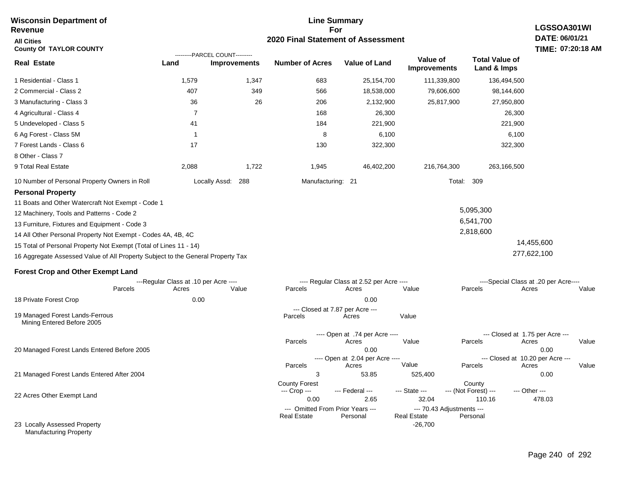#### **For 2020 Final Statement of Assessment Revenue All Cities County Of TAYLOR COUNTY LGSSOA301WI DATE: 06/01/21 TIME: 07:20:18 AM Real Estate** 1 Residential - Class 1 2 Commercial - Class 2 3 Manufacturing - Class 3 4 Agricultural - Class 4 5 Undeveloped - Class 5 6 Ag Forest - Class 5M 7 Forest Lands - Class 6 8 Other - Class 7 9 Total Real Estate 10 Number of Personal Property Owners in Roll 1,579 1,347 683 25,154,700 111,339,800 136,494,500 **Land Improvements Number of Acres Value of Land Value of Improvements Total Value of Land & Imps** 407 36 7 41 1 17 2,088 349 26 1,722 566 206 168 184 8 130 1,945 18,538,000 2,132,900 26,300 221,900 6,100 322,300 46,402,200 79,606,600 25,817,900 216,764,300 98,144,600 27,950,800 26,300 221,900 6,100 322,300 263,166,500 Locally Assd: 288 Manufacturing: 21 Total: 309 **Personal Property** 11 Boats and Other Watercraft Not Exempt - Code 1 12 Machinery, Tools and Patterns - Code 2 13 Furniture, Fixtures and Equipment - Code 3 14 All Other Personal Property Not Exempt - Codes 4A, 4B, 4C 15 Total of Personal Property Not Exempt (Total of Lines 11 - 14) 16 Aggregate Assessed Value of All Property Subject to the General Property Tax 5,095,300 6,541,700 2,818,600 14,455,600 277,622,100 **Forest Crop and Other Exempt Land** ---Regular Class at .10 per Acre ---- ---- Regular Class at 2.52 per Acre ---- ----Special Class at .20 per Acre---- 18 Private Forest Crop 20 Managed Forest Lands Entered Before 2005 21 Managed Forest Lands Entered After 2004 Parcels 0.00 0.00 Acres Value Parcels Acres Value Parcels Acres Value ---- Open at .74 per Acre ----<br>Acres Parcels 0.00 0.00 Acres Value Parcels Acres Value --- Closed at 1.75 per Acre --- ---- Open at 2.04 per Acre ---- --- Closed at 10.20 per Acre --- Parcels 3 53.85 525,400 0.00 Acres **Value Parcels Acres Value** County Forest **County** County --- Crop --- 0.00 2.65 32.04 110.16 478.03 --- Federal --- - --- State --- --- (Not Forest) --- --- Other ---22 Acres Other Exempt Land 23 Locally Assessed Property Manufacturing Property --- Omitted From Prior Years ---<br>Real Estate Personal Personal Real Estate Personal -26,700 **Real Estate** ---------PARCEL COUNT--------- 19 Managed Forest Lands-Ferrous Mining Entered Before 2005 --- Closed at 7.87 per Acre ---<br>rcels Acres Parcels **Acres** Value

**Line Summary**

**Wisconsin Department of**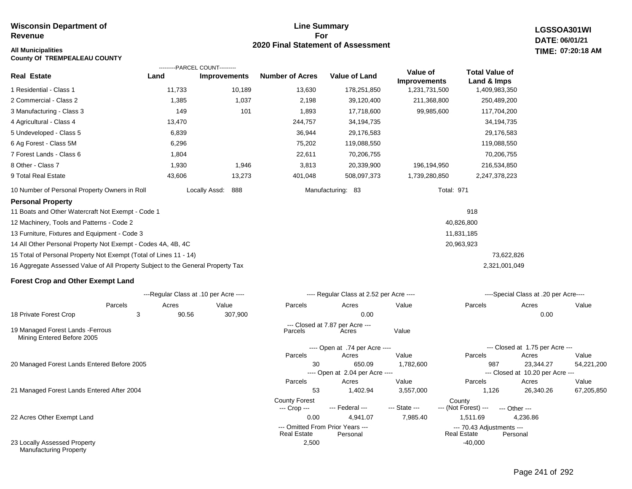### **Line Summary For 2020 Final Statement of Assessment**

**LGSSOA301WI DATE: 06/01/21 All Municipalities TIME: 07:20:18 AM**

| <b>County Of TREMPEALEAU COUNTY</b>                                             |        |                                       |                        |                                          |                     |                       |
|---------------------------------------------------------------------------------|--------|---------------------------------------|------------------------|------------------------------------------|---------------------|-----------------------|
|                                                                                 |        | ---------PARCEL COUNT---------        |                        |                                          | Value of            | <b>Total Value of</b> |
| <b>Real Estate</b>                                                              | Land   | <b>Improvements</b>                   | <b>Number of Acres</b> | <b>Value of Land</b>                     | <b>Improvements</b> | Land & Imps           |
| 1 Residential - Class 1                                                         | 11,733 | 10,189                                | 13,630                 | 178,251,850                              | 1,231,731,500       | 1,409,983,350         |
| 2 Commercial - Class 2                                                          | 1,385  | 1,037                                 | 2,198                  | 39,120,400                               | 211,368,800         | 250,489,200           |
| 3 Manufacturing - Class 3                                                       | 149    | 101                                   | 1,893                  | 17,718,600                               | 99,985,600          | 117,704,200           |
| 4 Agricultural - Class 4                                                        | 13,470 |                                       | 244,757                | 34,194,735                               |                     | 34,194,735            |
| 5 Undeveloped - Class 5                                                         | 6,839  |                                       | 36,944                 | 29,176,583                               |                     | 29,176,583            |
| 6 Ag Forest - Class 5M                                                          | 6,296  |                                       | 75,202                 | 119,088,550                              |                     | 119,088,550           |
| 7 Forest Lands - Class 6                                                        | 1,804  |                                       | 22,611                 | 70,206,755                               |                     | 70,206,755            |
| 8 Other - Class 7                                                               | 1,930  | 1,946                                 | 3,813                  | 20,339,900                               | 196,194,950         | 216,534,850           |
| 9 Total Real Estate                                                             | 43,606 | 13,273                                | 401,048                | 508,097,373                              | 1,739,280,850       | 2,247,378,223         |
| 10 Number of Personal Property Owners in Roll                                   |        | Locally Assd:<br>888                  |                        | Manufacturing: 83                        | <b>Total: 971</b>   |                       |
| <b>Personal Property</b>                                                        |        |                                       |                        |                                          |                     |                       |
| 11 Boats and Other Watercraft Not Exempt - Code 1                               |        |                                       |                        |                                          |                     | 918                   |
| 12 Machinery, Tools and Patterns - Code 2                                       |        |                                       |                        |                                          |                     | 40,826,800            |
| 13 Furniture, Fixtures and Equipment - Code 3                                   |        |                                       |                        |                                          |                     | 11,831,185            |
| 14 All Other Personal Property Not Exempt - Codes 4A, 4B, 4C                    |        |                                       |                        |                                          |                     | 20,963,923            |
| 15 Total of Personal Property Not Exempt (Total of Lines 11 - 14)               |        |                                       |                        |                                          |                     | 73,622,826            |
| 16 Aggregate Assessed Value of All Property Subject to the General Property Tax |        |                                       |                        |                                          |                     | 2,321,001,049         |
| <b>Forest Crop and Other Exempt Land</b>                                        |        |                                       |                        |                                          |                     |                       |
|                                                                                 |        | ---Regular Class at .10 per Acre ---- |                        | ---- Regular Class at 2.52 per Acre ---- |                     | ----Special Cla       |

|                                                                 |         | ---Regular Class at .10 per Acre ---- |         |                                                        | ---- Regular Class at 2.52 per Acre ---- |               |                                                 | ----Special Class at .20 per Acre---- |            |  |  |
|-----------------------------------------------------------------|---------|---------------------------------------|---------|--------------------------------------------------------|------------------------------------------|---------------|-------------------------------------------------|---------------------------------------|------------|--|--|
|                                                                 | Parcels | Acres                                 | Value   | Parcels                                                | Acres                                    | Value         | Parcels                                         | Acres                                 | Value      |  |  |
| 18 Private Forest Crop                                          | 3       | 90.56                                 | 307,900 |                                                        | 0.00                                     |               |                                                 | 0.00                                  |            |  |  |
|                                                                 |         |                                       |         |                                                        | --- Closed at 7.87 per Acre ---          |               |                                                 |                                       |            |  |  |
| 19 Managed Forest Lands - Ferrous<br>Mining Entered Before 2005 |         |                                       |         | Parcels                                                | Acres                                    | Value         |                                                 |                                       |            |  |  |
|                                                                 |         |                                       |         | ---- Open at .74 per Acre ----                         |                                          |               |                                                 | --- Closed at 1.75 per Acre ---       |            |  |  |
|                                                                 |         |                                       |         | Parcels                                                | Acres                                    | Value         | Parcels                                         | Acres                                 | Value      |  |  |
| 20 Managed Forest Lands Entered Before 2005                     |         |                                       |         | 30                                                     | 650.09                                   | 1,782,600     | 987                                             | 23,344.27                             | 54,221,200 |  |  |
|                                                                 |         |                                       |         |                                                        | ---- Open at 2.04 per Acre ----          |               |                                                 | --- Closed at 10.20 per Acre ---      |            |  |  |
|                                                                 |         |                                       |         | Parcels                                                | Acres                                    | Value         | Parcels                                         | Acres                                 | Value      |  |  |
| 21 Managed Forest Lands Entered After 2004                      |         |                                       |         | 53                                                     | 1,402.94                                 | 3,557,000     | 1,126                                           | 26,340.26                             | 67,205,850 |  |  |
|                                                                 |         |                                       |         | <b>County Forest</b>                                   |                                          |               | County                                          |                                       |            |  |  |
|                                                                 |         |                                       |         | --- Crop ---                                           | --- Federal ---                          | --- State --- | --- (Not Forest) ---                            | --- Other ---                         |            |  |  |
| 22 Acres Other Exempt Land                                      |         |                                       |         | 0.00                                                   | 4,941.07                                 | 7,985.40      | 1,511.69                                        | 4,236.86                              |            |  |  |
|                                                                 |         |                                       |         | --- Omitted From Prior Years ---<br><b>Real Estate</b> | Personal                                 |               | --- 70.43 Adjustments ---<br><b>Real Estate</b> | Personal                              |            |  |  |
| 23 Locally Assessed Property<br><b>Manufacturing Property</b>   |         |                                       |         | 2,500                                                  |                                          |               | $-40,000$                                       |                                       |            |  |  |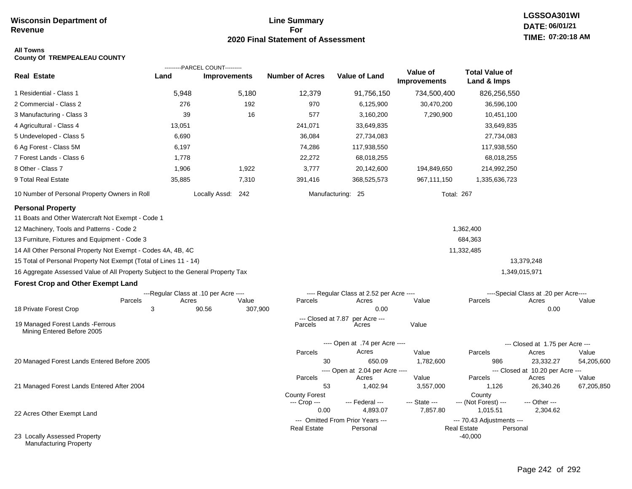## **Line Summary For 2020 Final Statement of Assessment**

# **LGSSOA301WI DATE: 06/01/21 TIME: 07:20:18 AM**

### **All Towns County Of TREMPEALEAU COUNTY**

|                                                                                 |        | ---------PARCEL COUNT---------        |         |                               |                                              |                          |                                                             |                                           |            |
|---------------------------------------------------------------------------------|--------|---------------------------------------|---------|-------------------------------|----------------------------------------------|--------------------------|-------------------------------------------------------------|-------------------------------------------|------------|
| <b>Real Estate</b>                                                              | Land   | <b>Improvements</b>                   |         | <b>Number of Acres</b>        | <b>Value of Land</b>                         | Value of<br>Improvements | <b>Total Value of</b><br>Land & Imps                        |                                           |            |
| 1 Residential - Class 1                                                         | 5,948  | 5,180                                 |         | 12,379                        | 91,756,150                                   | 734,500,400              | 826,256,550                                                 |                                           |            |
| 2 Commercial - Class 2                                                          | 276    |                                       | 192     | 970                           | 6,125,900                                    | 30,470,200               | 36,596,100                                                  |                                           |            |
| 3 Manufacturing - Class 3                                                       | 39     |                                       | 16      | 577                           | 3,160,200                                    | 7,290,900                | 10,451,100                                                  |                                           |            |
| 4 Agricultural - Class 4                                                        | 13,051 |                                       |         | 241,071                       | 33,649,835                                   |                          | 33,649,835                                                  |                                           |            |
| 5 Undeveloped - Class 5                                                         | 6,690  |                                       |         | 36,084                        | 27,734,083                                   |                          | 27,734,083                                                  |                                           |            |
| 6 Ag Forest - Class 5M                                                          | 6,197  |                                       |         | 74,286                        | 117,938,550                                  |                          | 117,938,550                                                 |                                           |            |
| 7 Forest Lands - Class 6                                                        | 1,778  |                                       |         | 22,272                        | 68,018,255                                   |                          | 68,018,255                                                  |                                           |            |
| 8 Other - Class 7                                                               | 1,906  | 1,922                                 |         | 3,777                         | 20,142,600                                   | 194,849,650              | 214,992,250                                                 |                                           |            |
| 9 Total Real Estate                                                             | 35,885 | 7,310                                 |         | 391,416                       | 368,525,573                                  | 967,111,150              | 1,335,636,723                                               |                                           |            |
| 10 Number of Personal Property Owners in Roll                                   |        | Locally Assd: 242                     |         |                               | Manufacturing: 25                            |                          | <b>Total: 267</b>                                           |                                           |            |
| <b>Personal Property</b><br>11 Boats and Other Watercraft Not Exempt - Code 1   |        |                                       |         |                               |                                              |                          |                                                             |                                           |            |
| 12 Machinery, Tools and Patterns - Code 2                                       |        |                                       |         |                               |                                              |                          | 1,362,400                                                   |                                           |            |
| 13 Furniture, Fixtures and Equipment - Code 3                                   |        |                                       |         |                               |                                              |                          | 684,363                                                     |                                           |            |
| 14 All Other Personal Property Not Exempt - Codes 4A, 4B, 4C                    |        |                                       |         |                               |                                              |                          | 11,332,485                                                  |                                           |            |
| 15 Total of Personal Property Not Exempt (Total of Lines 11 - 14)               |        |                                       |         |                               |                                              |                          |                                                             | 13,379,248                                |            |
| 16 Aggregate Assessed Value of All Property Subject to the General Property Tax |        |                                       |         |                               |                                              |                          |                                                             | 1,349,015,971                             |            |
| <b>Forest Crop and Other Exempt Land</b>                                        |        |                                       |         |                               |                                              |                          |                                                             |                                           |            |
|                                                                                 |        | ---Regular Class at .10 per Acre ---- |         |                               | ---- Regular Class at 2.52 per Acre ----     |                          |                                                             | ----Special Class at .20 per Acre----     |            |
| Parcels                                                                         | Acres  | Value                                 |         | Parcels                       | Acres                                        | Value                    | Parcels                                                     | Acres                                     | Value      |
| 18 Private Forest Crop                                                          | 3      | 90.56                                 | 307,900 |                               | 0.00                                         |                          |                                                             | 0.00                                      |            |
| 19 Managed Forest Lands - Ferrous<br>Mining Entered Before 2005                 |        |                                       |         | --- Closed at 7.87<br>Parcels | per Acre ---<br>Acres                        | Value                    |                                                             |                                           |            |
|                                                                                 |        |                                       |         |                               | ---- Open at .74 per Acre ----               |                          |                                                             | --- Closed at 1.75 per Acre ---           |            |
|                                                                                 |        |                                       |         | Parcels                       | Acres                                        | Value                    | Parcels                                                     | Acres                                     | Value      |
| 20 Managed Forest Lands Entered Before 2005                                     |        |                                       |         | 30                            | 650.09                                       | 1,782,600                | 986                                                         | 23,332.27                                 | 54,205,600 |
|                                                                                 |        |                                       |         | Parcels                       | ---- Open at 2.04 per Acre ----<br>Acres     | Value                    | Parcels                                                     | --- Closed at 10.20 per Acre ---<br>Acres | Value      |
| 21 Managed Forest Lands Entered After 2004                                      |        |                                       |         | 53                            | 1,402.94                                     | 3,557,000                | 1,126                                                       | 26,340.26                                 | 67,205,850 |
|                                                                                 |        |                                       |         | <b>County Forest</b>          |                                              |                          | County                                                      |                                           |            |
|                                                                                 |        |                                       |         | --- Crop ---                  | --- Federal ---                              | --- State ---            | --- (Not Forest) ---                                        | --- Other ---                             |            |
| 22 Acres Other Exempt Land                                                      |        |                                       |         | 0.00                          | 4,893.07                                     | 7,857.80                 | 1,015.51                                                    | 2,304.62                                  |            |
|                                                                                 |        |                                       |         | <b>Real Estate</b>            | --- Omitted From Prior Years ---<br>Personal |                          | --- 70.43 Adjustments ---<br><b>Real Estate</b><br>Personal |                                           |            |
| 23 Locally Assessed Property<br><b>Manufacturing Property</b>                   |        |                                       |         |                               |                                              |                          | $-40,000$                                                   |                                           |            |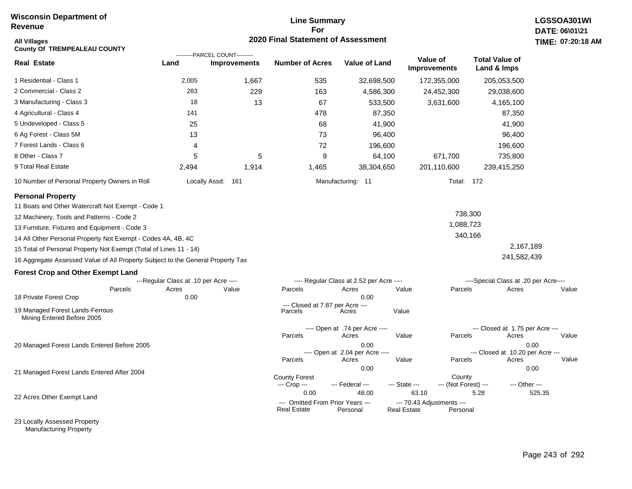## **Line Summary For 2020 Final Statement of Assessment**

| All Villages<br><b>County Of TREMPEALEAU COUNTY</b>                             |                                       | ---------PARCEL COUNT--------- | <b>2020 Final Statement of Assessment</b>              |                                          |                                                 |                                |                                       | <b>TIME: 07:20</b> |
|---------------------------------------------------------------------------------|---------------------------------------|--------------------------------|--------------------------------------------------------|------------------------------------------|-------------------------------------------------|--------------------------------|---------------------------------------|--------------------|
| <b>Real Estate</b>                                                              | Land                                  | <b>Improvements</b>            | <b>Number of Acres</b>                                 | <b>Value of Land</b>                     | Value of<br><b>Improvements</b>                 |                                | <b>Total Value of</b><br>Land & Imps  |                    |
| 1 Residential - Class 1                                                         | 2,005                                 | 1,667                          | 535                                                    | 32,698,500                               |                                                 | 172,355,000                    | 205,053,500                           |                    |
| 2 Commercial - Class 2                                                          | 283                                   | 229                            | 163                                                    | 4,586,300                                |                                                 | 24,452,300                     | 29,038,600                            |                    |
| 3 Manufacturing - Class 3                                                       | 18                                    | 13                             | 67                                                     | 533,500                                  |                                                 | 3,631,600                      | 4,165,100                             |                    |
| 4 Agricultural - Class 4                                                        | 141                                   |                                | 478                                                    | 87,350                                   |                                                 |                                | 87,350                                |                    |
| 5 Undeveloped - Class 5                                                         | 25                                    |                                | 68                                                     | 41,900                                   |                                                 |                                | 41,900                                |                    |
| 6 Ag Forest - Class 5M                                                          | 13                                    |                                | 73                                                     | 96,400                                   |                                                 |                                | 96,400                                |                    |
| 7 Forest Lands - Class 6                                                        | 4                                     |                                | 72                                                     | 196,600                                  |                                                 |                                | 196,600                               |                    |
| 8 Other - Class 7                                                               | 5                                     | 5                              | 9                                                      | 64,100                                   |                                                 | 671,700                        | 735,800                               |                    |
| 9 Total Real Estate                                                             | 2,494                                 | 1,914                          | 1,465                                                  | 38,304,650                               |                                                 | 201,110,600                    | 239,415,250                           |                    |
| 10 Number of Personal Property Owners in Roll                                   |                                       | Locally Assd: 161              |                                                        | Manufacturing: 11                        |                                                 | Total: 172                     |                                       |                    |
| <b>Personal Property</b>                                                        |                                       |                                |                                                        |                                          |                                                 |                                |                                       |                    |
| 11 Boats and Other Watercraft Not Exempt - Code 1                               |                                       |                                |                                                        |                                          |                                                 |                                |                                       |                    |
| 12 Machinery, Tools and Patterns - Code 2                                       |                                       |                                |                                                        |                                          |                                                 | 738,300                        |                                       |                    |
| 13 Furniture, Fixtures and Equipment - Code 3                                   |                                       |                                |                                                        |                                          |                                                 | 1,088,723                      |                                       |                    |
| 14 All Other Personal Property Not Exempt - Codes 4A, 4B, 4C                    |                                       |                                |                                                        |                                          |                                                 | 340,166                        |                                       |                    |
| 15 Total of Personal Property Not Exempt (Total of Lines 11 - 14)               |                                       |                                |                                                        |                                          |                                                 |                                | 2,167,189                             |                    |
| 16 Aggregate Assessed Value of All Property Subject to the General Property Tax |                                       |                                |                                                        |                                          |                                                 |                                | 241,582,439                           |                    |
| <b>Forest Crop and Other Exempt Land</b>                                        |                                       |                                |                                                        |                                          |                                                 |                                |                                       |                    |
|                                                                                 | ---Regular Class at .10 per Acre ---- |                                |                                                        | ---- Regular Class at 2.52 per Acre ---- |                                                 |                                | ----Special Class at .20 per Acre---- |                    |
| Parcels<br>18 Private Forest Crop                                               | Acres<br>0.00                         | Value                          | Parcels                                                | Acres<br>0.00                            | Value                                           | Parcels                        | Acres                                 | Value              |
|                                                                                 |                                       |                                | --- Closed at 7.87 per Acre ---                        |                                          |                                                 |                                |                                       |                    |
| 19 Managed Forest Lands-Ferrous<br>Mining Entered Before 2005                   |                                       |                                | Parcels                                                | Acres                                    | Value                                           |                                |                                       |                    |
|                                                                                 |                                       |                                |                                                        | ---- Open at .74 per Acre ----           |                                                 |                                | --- Closed at 1.75 per Acre ---       |                    |
| 20 Managed Forest Lands Entered Before 2005                                     |                                       |                                | Parcels                                                | Acres<br>0.00                            | Value                                           | Parcels                        | Acres<br>0.00                         | Value              |
|                                                                                 |                                       |                                |                                                        | ---- Open at 2.04 per Acre ----          |                                                 |                                | --- Closed at 10.20 per Acre ---      |                    |
|                                                                                 |                                       |                                | Parcels                                                | Acres                                    | Value                                           | Parcels                        | Acres                                 | Value              |
| 21 Managed Forest Lands Entered After 2004                                      |                                       |                                |                                                        | 0.00                                     |                                                 |                                | 0.00                                  |                    |
|                                                                                 |                                       |                                | <b>County Forest</b><br>--- Crop ---                   | --- Federal ---                          | --- State ---                                   | County<br>--- (Not Forest) --- | --- Other ---                         |                    |
| 22 Acres Other Exempt Land                                                      |                                       |                                | 0.00                                                   | 48.00                                    | 63.10                                           |                                | 5.28                                  | 525.35             |
|                                                                                 |                                       |                                | --- Omitted From Prior Years ---<br><b>Real Estate</b> | Personal                                 | --- 70.43 Adjustments ---<br><b>Real Estate</b> | Personal                       |                                       |                    |

23 Locally Assessed Property Manufacturing Property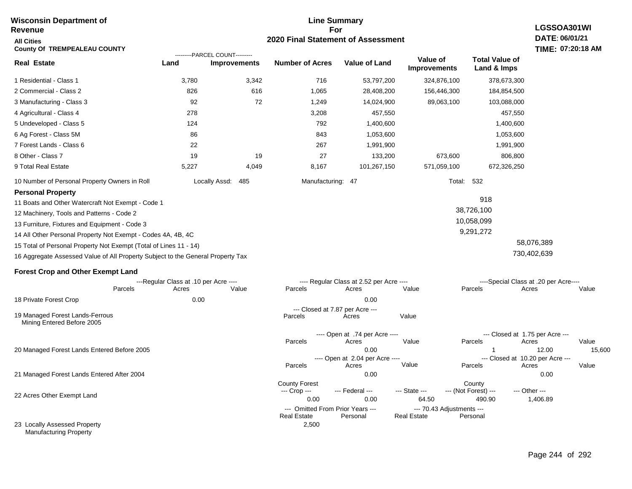#### **Line Summary For 2020 Final Statement of Assessment Wisconsin Department of Revenue All Cities County Of TREMPEALEAU COUNTY LGSSOA301WI DATE: 06/01/21 TIME: 07:20:18 AM Real Estate** 1 Residential - Class 1 2 Commercial - Class 2 3 Manufacturing - Class 3 4 Agricultural - Class 4 5 Undeveloped - Class 5 6 Ag Forest - Class 5M 7 Forest Lands - Class 6 8 Other - Class 7 9 Total Real Estate 10 Number of Personal Property Owners in Roll 3,780 3,342 716 53,797,200 324,876,100 378,673,300 **Land Improvements Number of Acres Value of Land Value of Improvements Total Value of Land & Imps** 826 92 278 124 86 22 19 5,227 616 72 19 4,049 1,065 1,249 3,208 792 843 267 27 8,167 28,408,200 14,024,900 457,550 1,400,600 1,053,600 1,991,900 133,200 101,267,150 156,446,300 89,063,100 673,600 571,059,100 184,854,500 103,088,000 457,550 1,400,600 1,053,600 1,991,900 806,800 672,326,250 Locally Assd: 485 Manufacturing: 47 Total: 532 **Personal Property** 11 Boats and Other Watercraft Not Exempt - Code 1 12 Machinery, Tools and Patterns - Code 2 13 Furniture, Fixtures and Equipment - Code 3 14 All Other Personal Property Not Exempt - Codes 4A, 4B, 4C 15 Total of Personal Property Not Exempt (Total of Lines 11 - 14) 16 Aggregate Assessed Value of All Property Subject to the General Property Tax 918 38,726,100 10,058,099 9,291,272 58,076,389 730,402,639 **Forest Crop and Other Exempt Land** ---Regular Class at .10 per Acre ---- ---- Regular Class at 2.52 per Acre ---- ----Special Class at .20 per Acre---- 18 Private Forest Crop 20 Managed Forest Lands Entered Before 2005 21 Managed Forest Lands Entered After 2004 Parcels 0.00 0.00 Acres Value Parcels Acres Value Parcels Acres Value ---- Open at .74 per Acre<br>Acres Parcels 0.00 1 1 12.00 15,600 Acres Value Parcels Acres Value --- Closed at 1.75 per Acre --- ---- Open at 2.04 per Acre ---<br>Acres Value Parcels Parcels Acres Acres Parcels 0.00 0.00 Acres **Value Parcels Acres Value** County Forest County County --- Crop --- 0.00 0.00 64.50 490.90 1,406.89 --- Federal --- - --- State --- --- (Not Forest) --- --- Other ---22 Acres Other Exempt Land 23 Locally Assessed Property Manufacturing Property --- Omitted From Prior Years ---<br>Real Estate Personal Personal Real Estate Personal 2,500 **Real Estate** ---------PARCEL COUNT--------- 19 Managed Forest Lands-Ferrous Mining Entered Before 2005 --- Closed at 7.87 per Acre ---<br>rcels Acres Parcels **Acres** Value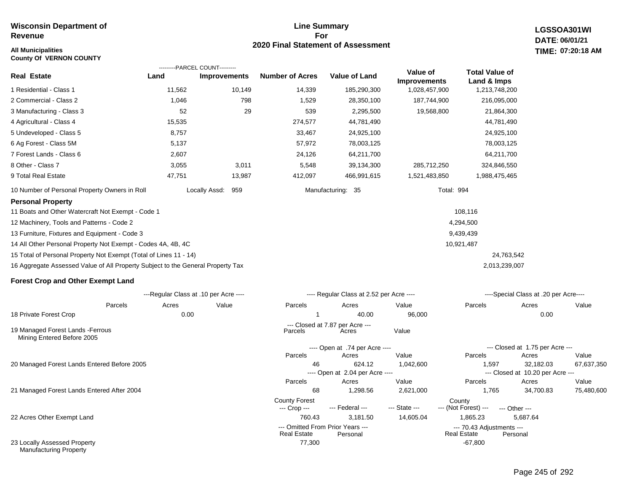### **All Municipalities TIME:**

**County Of VERNON COUNTY**

23 Locally Assessed Property Manufacturing Property

### **Line Summary For 2020 Final Statement of Assessment**

**LGSSOA301WI DATE: 06/01/21 07:20:18 AM**

|                                                                                 | ---------PARCEL COUNT---------        |                      |                                                 |                                           |                                 |                                                 |                                              |       |
|---------------------------------------------------------------------------------|---------------------------------------|----------------------|-------------------------------------------------|-------------------------------------------|---------------------------------|-------------------------------------------------|----------------------------------------------|-------|
| <b>Real Estate</b>                                                              | Land                                  | <b>Improvements</b>  | <b>Number of Acres</b>                          | <b>Value of Land</b>                      | Value of<br><b>Improvements</b> | <b>Total Value of</b><br>Land & Imps            |                                              |       |
| 1 Residential - Class 1                                                         | 11,562                                | 10,149               | 14,339                                          | 185,290,300                               | 1,028,457,900                   | 1,213,748,200                                   |                                              |       |
| 2 Commercial - Class 2                                                          | 1,046                                 | 798                  | 1,529                                           | 28,350,100                                | 187,744,900                     | 216,095,000                                     |                                              |       |
| 3 Manufacturing - Class 3                                                       | 52                                    | 29                   | 539                                             | 2,295,500                                 | 19,568,800                      | 21,864,300                                      |                                              |       |
| 4 Agricultural - Class 4                                                        | 15,535                                |                      | 274,577                                         | 44,781,490                                |                                 | 44,781,490                                      |                                              |       |
| 5 Undeveloped - Class 5                                                         | 8,757                                 |                      | 33,467                                          | 24,925,100                                |                                 | 24,925,100                                      |                                              |       |
| 6 Ag Forest - Class 5M                                                          | 5,137                                 |                      | 57,972                                          | 78,003,125                                |                                 | 78,003,125                                      |                                              |       |
| 7 Forest Lands - Class 6                                                        | 2,607                                 |                      | 24,126                                          | 64,211,700                                |                                 | 64,211,700                                      |                                              |       |
| 8 Other - Class 7                                                               | 3,055                                 | 3,011                | 5,548                                           | 39,134,300                                | 285,712,250                     | 324,846,550                                     |                                              |       |
| 9 Total Real Estate                                                             | 47,751                                | 13,987               | 412,097                                         | 466,991,615                               | 1,521,483,850                   | 1,988,475,465                                   |                                              |       |
| 10 Number of Personal Property Owners in Roll                                   |                                       | Locally Assd:<br>959 |                                                 | Manufacturing: 35                         |                                 | Total: 994                                      |                                              |       |
| <b>Personal Property</b>                                                        |                                       |                      |                                                 |                                           |                                 |                                                 |                                              |       |
| 11 Boats and Other Watercraft Not Exempt - Code 1                               |                                       |                      |                                                 |                                           |                                 | 108,116                                         |                                              |       |
| 12 Machinery, Tools and Patterns - Code 2                                       |                                       |                      |                                                 |                                           |                                 | 4,294,500                                       |                                              |       |
| 13 Furniture, Fixtures and Equipment - Code 3                                   |                                       |                      |                                                 |                                           |                                 | 9,439,439                                       |                                              |       |
| 14 All Other Personal Property Not Exempt - Codes 4A, 4B, 4C                    |                                       |                      |                                                 |                                           |                                 | 10,921,487                                      |                                              |       |
| 15 Total of Personal Property Not Exempt (Total of Lines 11 - 14)               |                                       |                      |                                                 |                                           |                                 |                                                 | 24,763,542                                   |       |
| 16 Aggregate Assessed Value of All Property Subject to the General Property Tax |                                       |                      |                                                 |                                           |                                 | 2,013,239,007                                   |                                              |       |
| <b>Forest Crop and Other Exempt Land</b>                                        |                                       |                      |                                                 |                                           |                                 |                                                 |                                              |       |
|                                                                                 | ---Regular Class at .10 per Acre ---- |                      |                                                 | ---- Regular Class at 2.52 per Acre ----  |                                 |                                                 | ----Special Class at .20 per Acre----        |       |
| Parcels                                                                         | Acres                                 | Value                | Parcels                                         | Acres                                     | Value                           | Parcels                                         | Acres                                        | Value |
| 18 Private Forest Crop                                                          | 0.00                                  |                      | 1                                               | 40.00                                     | 96,000                          |                                                 | 0.00                                         |       |
| 19 Managed Forest Lands - Ferrous<br>Mining Entered Before 2005                 |                                       |                      | Parcels                                         | --- Closed at 7.87 per Acre ---<br>Acres  | Value                           |                                                 |                                              |       |
|                                                                                 |                                       |                      |                                                 | ---- Open at .74 per Acre ----            |                                 |                                                 | --- Closed at 1.75 per Acre ---              |       |
|                                                                                 |                                       |                      | Parcels                                         | Acres                                     | Value                           | Parcels                                         | Acres                                        | Value |
| 20 Managed Forest Lands Entered Before 2005                                     |                                       |                      | 46                                              | 624.12<br>---- Open at 2.04 per Acre ---- | 1,042,600                       | 1,597                                           | 32,182.03<br>--- Closed at 10.20 per Acre -- | 67,63 |
|                                                                                 |                                       |                      | Parcels                                         | Acres                                     | Value                           | Parcels                                         | Acres                                        | Value |
| 21 Managed Forest Lands Entered After 2004                                      |                                       |                      | 68                                              | 1,298.56                                  | 2,621,000                       | 1,765                                           | 34,700.83                                    | 75,48 |
|                                                                                 |                                       |                      | <b>County Forest</b><br>--- Crop ---            | --- Federal ---                           | --- State ---                   | County<br>--- (Not Forest) ---                  | --- Other ---                                |       |
| 22 Acres Other Exempt Land                                                      |                                       |                      | 760.43                                          | 3,181.50                                  | 14,605.04                       | 1,865.23                                        | 5,687.64                                     |       |
|                                                                                 |                                       |                      | --- Omitted From Prior Years ---<br>Real Estate | Personal                                  |                                 | --- 70.43 Adjustments ---<br><b>Real Estate</b> | Personal                                     |       |

67,637,350

 $75,480,600$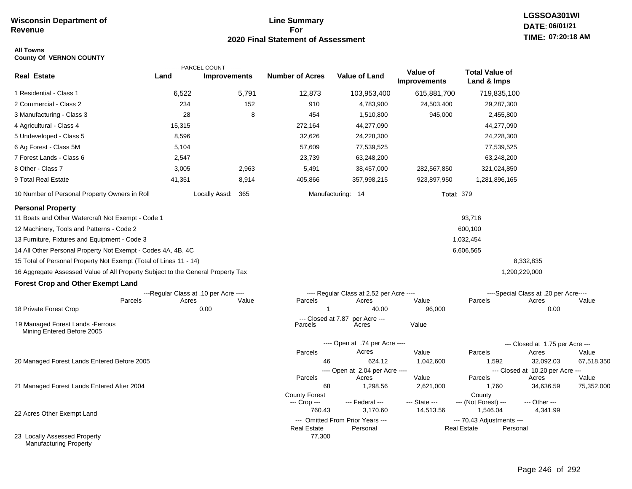## **Line Summary For 2020 Final Statement of Assessment**

# **All Towns**

| <b>County Of VERNON COUNTY</b> |  |  |
|--------------------------------|--|--|
|--------------------------------|--|--|

|                                                                                 |        | ---------PARCEL COUNT---------        |                        |                                              |                                 |                                                 |                                           |            |
|---------------------------------------------------------------------------------|--------|---------------------------------------|------------------------|----------------------------------------------|---------------------------------|-------------------------------------------------|-------------------------------------------|------------|
| <b>Real Estate</b>                                                              | Land   | <b>Improvements</b>                   | <b>Number of Acres</b> | <b>Value of Land</b>                         | Value of<br><b>Improvements</b> | <b>Total Value of</b><br>Land & Imps            |                                           |            |
| 1 Residential - Class 1                                                         | 6,522  | 5,791                                 | 12,873                 | 103,953,400                                  | 615,881,700                     | 719,835,100                                     |                                           |            |
| 2 Commercial - Class 2                                                          | 234    | 152                                   | 910                    | 4,783,900                                    | 24,503,400                      | 29,287,300                                      |                                           |            |
| 3 Manufacturing - Class 3                                                       | 28     | 8                                     | 454                    | 1,510,800                                    | 945,000                         | 2,455,800                                       |                                           |            |
| 4 Agricultural - Class 4                                                        | 15,315 |                                       | 272,164                | 44,277,090                                   |                                 | 44,277,090                                      |                                           |            |
| 5 Undeveloped - Class 5                                                         | 8,596  |                                       | 32,626                 | 24,228,300                                   |                                 | 24,228,300                                      |                                           |            |
| 6 Ag Forest - Class 5M                                                          | 5,104  |                                       | 57,609                 | 77,539,525                                   |                                 | 77,539,525                                      |                                           |            |
| 7 Forest Lands - Class 6                                                        | 2,547  |                                       | 23,739                 | 63,248,200                                   |                                 | 63,248,200                                      |                                           |            |
| 8 Other - Class 7                                                               | 3,005  | 2,963                                 | 5,491                  | 38,457,000                                   | 282,567,850                     | 321,024,850                                     |                                           |            |
| 9 Total Real Estate                                                             | 41,351 | 8,914                                 | 405,866                | 357,998,215                                  | 923,897,950                     | 1,281,896,165                                   |                                           |            |
| 10 Number of Personal Property Owners in Roll                                   |        | Locally Assd: 365                     |                        | Manufacturing: 14                            |                                 | <b>Total: 379</b>                               |                                           |            |
| <b>Personal Property</b>                                                        |        |                                       |                        |                                              |                                 |                                                 |                                           |            |
| 11 Boats and Other Watercraft Not Exempt - Code 1                               |        |                                       |                        |                                              |                                 | 93,716                                          |                                           |            |
| 12 Machinery, Tools and Patterns - Code 2                                       |        |                                       |                        |                                              |                                 | 600,100                                         |                                           |            |
| 13 Furniture, Fixtures and Equipment - Code 3                                   |        |                                       |                        |                                              |                                 | 1,032,454                                       |                                           |            |
| 14 All Other Personal Property Not Exempt - Codes 4A, 4B, 4C                    |        |                                       |                        |                                              |                                 | 6,606,565                                       |                                           |            |
| 15 Total of Personal Property Not Exempt (Total of Lines 11 - 14)               |        |                                       |                        |                                              |                                 |                                                 | 8,332,835                                 |            |
| 16 Aggregate Assessed Value of All Property Subject to the General Property Tax |        |                                       |                        |                                              |                                 |                                                 | 1,290,229,000                             |            |
| <b>Forest Crop and Other Exempt Land</b>                                        |        |                                       |                        |                                              |                                 |                                                 |                                           |            |
|                                                                                 |        | ---Regular Class at .10 per Acre ---- |                        | ---- Regular Class at 2.52 per Acre ----     |                                 |                                                 | ----Special Class at .20 per Acre----     |            |
| Parcels                                                                         | Acres  | Value                                 | Parcels                | Acres                                        | Value                           | Parcels                                         | Acres                                     | Value      |
| 18 Private Forest Crop                                                          |        | 0.00                                  | 1                      | 40.00                                        | 96,000                          |                                                 | 0.00                                      |            |
| 19 Managed Forest Lands - Ferrous<br>Mining Entered Before 2005                 |        |                                       | Parcels                | --- Closed at 7.87 per Acre ---<br>Acres     | Value                           |                                                 |                                           |            |
|                                                                                 |        |                                       |                        | ---- Open at .74 per Acre ----               |                                 |                                                 | --- Closed at 1.75 per Acre ---           |            |
|                                                                                 |        |                                       | Parcels                | Acres                                        | Value                           | Parcels                                         | Acres                                     | Value      |
| 20 Managed Forest Lands Entered Before 2005                                     |        |                                       | 46                     | 624.12                                       | 1,042,600                       | 1,592                                           | 32,092.03                                 | 67,518,350 |
|                                                                                 |        |                                       | Parcels                | ---- Open at 2.04 per Acre ----<br>Acres     | Value                           | Parcels                                         | --- Closed at 10.20 per Acre ---<br>Acres | Value      |
| 21 Managed Forest Lands Entered After 2004                                      |        |                                       | 68                     | 1,298.56                                     | 2,621,000                       | 1,760                                           | 34,636.59                                 | 75,352,000 |
|                                                                                 |        |                                       | <b>County Forest</b>   |                                              |                                 | County                                          |                                           |            |
|                                                                                 |        |                                       | --- Crop ---           | --- Federal ---                              | --- State ---                   | --- (Not Forest) ---                            | --- Other ---                             |            |
| 22 Acres Other Exempt Land                                                      |        |                                       | 760.43                 | 3,170.60                                     | 14,513.56                       | 1,546.04                                        | 4,341.99                                  |            |
|                                                                                 |        |                                       | <b>Real Estate</b>     | --- Omitted From Prior Years ---<br>Personal |                                 | --- 70.43 Adjustments ---<br><b>Real Estate</b> | Personal                                  |            |
| 23 Locally Assessed Property<br>Manufacturing Property                          |        |                                       | 77,300                 |                                              |                                 |                                                 |                                           |            |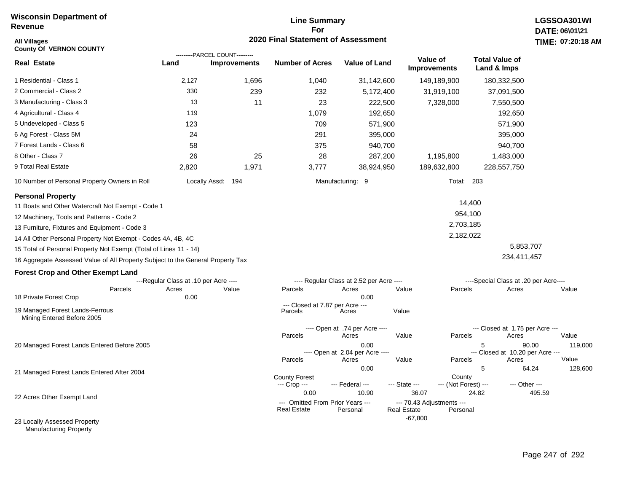## **Line Summary For 2020 Final Statement of Assessment**

| <b>All Villages</b><br><b>County Of VERNON COUNTY</b>                           |                                       |                                                       | 2020 Final Statement of Assessment         |                                          |                                    |                                |                                                | TIME: 07:20:18 |
|---------------------------------------------------------------------------------|---------------------------------------|-------------------------------------------------------|--------------------------------------------|------------------------------------------|------------------------------------|--------------------------------|------------------------------------------------|----------------|
| <b>Real Estate</b>                                                              | Land                                  | ---------PARCEL COUNT---------<br><b>Improvements</b> | <b>Number of Acres</b>                     | <b>Value of Land</b>                     | Value of<br><b>Improvements</b>    |                                | <b>Total Value of</b><br>Land & Imps           |                |
| 1 Residential - Class 1                                                         | 2,127                                 | 1,696                                                 | 1,040                                      | 31,142,600                               | 149,189,900                        |                                | 180,332,500                                    |                |
| 2 Commercial - Class 2                                                          | 330                                   | 239                                                   | 232                                        | 5,172,400                                | 31,919,100                         |                                | 37,091,500                                     |                |
| 3 Manufacturing - Class 3                                                       | 13                                    | 11                                                    | 23                                         | 222,500                                  | 7,328,000                          |                                | 7,550,500                                      |                |
| 4 Agricultural - Class 4                                                        | 119                                   |                                                       | 1,079                                      | 192,650                                  |                                    |                                | 192,650                                        |                |
| 5 Undeveloped - Class 5                                                         | 123                                   |                                                       | 709                                        | 571,900                                  |                                    |                                | 571,900                                        |                |
| 6 Ag Forest - Class 5M                                                          | 24                                    |                                                       | 291                                        | 395,000                                  |                                    |                                | 395,000                                        |                |
| 7 Forest Lands - Class 6                                                        | 58                                    |                                                       | 375                                        | 940,700                                  |                                    |                                | 940,700                                        |                |
| 8 Other - Class 7                                                               | 26                                    | 25                                                    | 28                                         | 287,200                                  | 1,195,800                          |                                | 1,483,000                                      |                |
| 9 Total Real Estate                                                             | 2,820                                 | 1,971                                                 | 3,777                                      | 38,924,950                               | 189,632,800                        |                                | 228,557,750                                    |                |
| 10 Number of Personal Property Owners in Roll                                   |                                       | Locally Assd: 194                                     |                                            | Manufacturing: 9                         |                                    | Total: 203                     |                                                |                |
| <b>Personal Property</b><br>11 Boats and Other Watercraft Not Exempt - Code 1   |                                       |                                                       |                                            |                                          |                                    | 14,400                         |                                                |                |
| 12 Machinery, Tools and Patterns - Code 2                                       |                                       |                                                       |                                            |                                          |                                    | 954,100                        |                                                |                |
| 13 Furniture, Fixtures and Equipment - Code 3                                   |                                       |                                                       |                                            |                                          |                                    | 2,703,185                      |                                                |                |
| 14 All Other Personal Property Not Exempt - Codes 4A, 4B, 4C                    |                                       |                                                       |                                            |                                          |                                    | 2,182,022                      |                                                |                |
| 15 Total of Personal Property Not Exempt (Total of Lines 11 - 14)               |                                       |                                                       |                                            |                                          |                                    |                                | 5,853,707                                      |                |
| 16 Aggregate Assessed Value of All Property Subject to the General Property Tax |                                       |                                                       |                                            |                                          |                                    |                                | 234,411,457                                    |                |
| <b>Forest Crop and Other Exempt Land</b>                                        |                                       |                                                       |                                            |                                          |                                    |                                |                                                |                |
|                                                                                 | ---Regular Class at .10 per Acre ---- |                                                       |                                            | ---- Regular Class at 2.52 per Acre ---- |                                    |                                | ----Special Class at .20 per Acre----          |                |
| Parcels<br>18 Private Forest Crop                                               | Acres<br>0.00                         | Value                                                 | Parcels                                    | Acres<br>0.00                            | Value                              | Parcels                        | Acres                                          | Value          |
| 19 Managed Forest Lands-Ferrous<br>Mining Entered Before 2005                   |                                       |                                                       | --- Closed at 7.87 per Acre ---<br>Parcels | Acres                                    | Value                              |                                |                                                |                |
|                                                                                 |                                       |                                                       |                                            | ---- Open at .74 per Acre ----           |                                    |                                | --- Closed at 1.75 per Acre ---                |                |
|                                                                                 |                                       |                                                       | Parcels                                    | Acres                                    | Value                              | Parcels                        | Acres                                          | Value          |
| 20 Managed Forest Lands Entered Before 2005                                     |                                       |                                                       |                                            | 0.00<br>---- Open at 2.04 per Acre ----  |                                    |                                | 5<br>90.00<br>--- Closed at 10.20 per Acre --- | 119,000        |
|                                                                                 |                                       |                                                       | Parcels                                    | Acres                                    | Value                              | Parcels                        | Acres                                          | Value          |
| 21 Managed Forest Lands Entered After 2004                                      |                                       |                                                       | <b>County Forest</b><br>--- Crop ---       | 0.00<br>--- Federal ---                  | --- State ---                      | County<br>--- (Not Forest) --- | 5<br>64.24<br>--- Other ---                    | 128,600        |
| 22 Acres Other Exempt Land                                                      |                                       |                                                       | 0.00<br>--- Omitted From Prior Years ---   | 10.90                                    | 36.07<br>--- 70.43 Adjustments --- | 24.82                          |                                                | 495.59         |
| 23 Locally Assessed Property                                                    |                                       |                                                       | <b>Real Estate</b>                         | Personal                                 | <b>Real Estate</b><br>$-67,800$    | Personal                       |                                                |                |

Manufacturing Property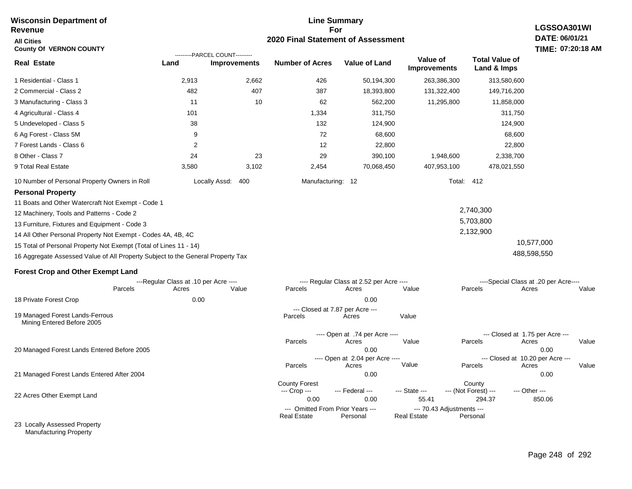#### **For 2020 Final Statement of Assessment Revenue All Cities County Of VERNON COUNTY LGSSOA301WI DATE: 06/01/21 TIME: 07:20:18 AM Real Estate** 1 Residential - Class 1 2 Commercial - Class 2 3 Manufacturing - Class 3 4 Agricultural - Class 4 5 Undeveloped - Class 5 6 Ag Forest - Class 5M 7 Forest Lands - Class 6 8 Other - Class 7 9 Total Real Estate 10 Number of Personal Property Owners in Roll 2,913 2,662 426 50,194,300 263,386,300 313,580,600 **Land Improvements Number of Acres Value of Land Value of Improvements Total Value of Land & Imps** 482 11 101 38 9 2 24 3,580 407 10 23 3,102 387 62 1,334 132 72 12 29 2,454 18,393,800 562,200 311,750 124,900 68,600 22,800 390,100 70,068,450 131,322,400 11,295,800 1,948,600 407,953,100 149,716,200 11,858,000 311,750 124,900 68,600 22,800 2,338,700 478,021,550 Locally Assd: 400 Manufacturing: 12 Total: 412 **Personal Property** 11 Boats and Other Watercraft Not Exempt - Code 1 12 Machinery, Tools and Patterns - Code 2 13 Furniture, Fixtures and Equipment - Code 3 14 All Other Personal Property Not Exempt - Codes 4A, 4B, 4C 15 Total of Personal Property Not Exempt (Total of Lines 11 - 14) 16 Aggregate Assessed Value of All Property Subject to the General Property Tax 2,740,300 5,703,800 2,132,900 10,577,000 488,598,550 **Forest Crop and Other Exempt Land** ---Regular Class at .10 per Acre ---- ---- Regular Class at 2.52 per Acre ---- ----Special Class at .20 per Acre---- 18 Private Forest Crop 20 Managed Forest Lands Entered Before 2005 21 Managed Forest Lands Entered After 2004 Parcels 0.00 0.00 Acres Value Parcels Acres Value Parcels Acres Value ---- Open at .74 per Acre<br>Acres Parcels 0.00 0.00 Acres Value Parcels Acres Value --- Closed at 1.75 per Acre --- ---- Open at 2.04 per Acre ---- --- Closed at 10.20 per Acre --- Parcels 0.00 0.00 Acres **Value Parcels Acres Value** County Forest County County --- Crop --- 0.00 0.00 55.41 294.37 850.06 --- Federal --- - --- State --- --- (Not Forest) --- --- Other ---22 Acres Other Exempt Land 23 Locally Assessed Property --- Omitted From Prior Years --- --- --- 70.43 Adjustments ---<br>eal Estate --- --- --- Real Estate --- Personal **Real Estate** ---------PARCEL COUNT--------- 19 Managed Forest Lands-Ferrous Mining Entered Before 2005 --- Closed at 7.87 per Acre ---<br>rcels Acres Parcels **Acres** Value

**Line Summary**

Manufacturing Property

**Wisconsin Department of**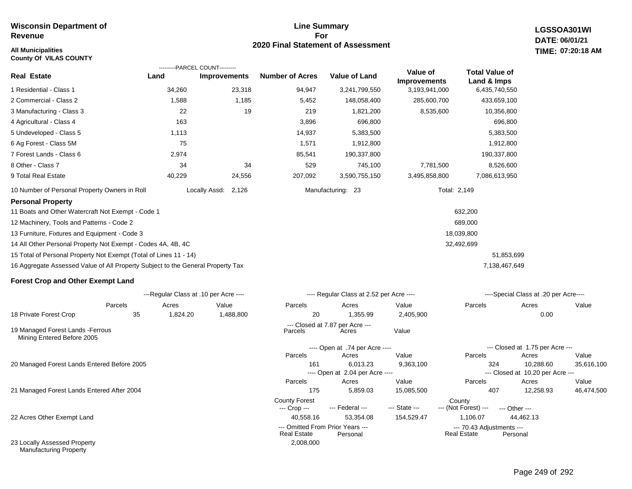## **All Municipalities TIME:**

**County Of VILAS COUNTY**

### **Line Summary For 2020 Final Statement of Assessment**

**LGSSOA301WI DATE: 06/01/21 07:20:18 AM**

|                                                                                 |        | ---------PARCEL COUNT--------- |                        |                      |                                 |                                      |
|---------------------------------------------------------------------------------|--------|--------------------------------|------------------------|----------------------|---------------------------------|--------------------------------------|
| <b>Real Estate</b>                                                              | Land   | <b>Improvements</b>            | <b>Number of Acres</b> | <b>Value of Land</b> | Value of<br><b>Improvements</b> | <b>Total Value of</b><br>Land & Imps |
| 1 Residential - Class 1                                                         | 34,260 | 23,318                         | 94,947                 | 3,241,799,550        | 3,193,941,000                   | 6,435,740,550                        |
| 2 Commercial - Class 2                                                          | 1,588  | 1,185                          | 5,452                  | 148,058,400          | 285,600,700                     | 433,659,100                          |
| 3 Manufacturing - Class 3                                                       | 22     | 19                             | 219                    | 1,821,200            | 8,535,600                       | 10,356,800                           |
| 4 Agricultural - Class 4                                                        | 163    |                                | 3,896                  | 696,800              |                                 | 696,800                              |
| 5 Undeveloped - Class 5                                                         | 1,113  |                                | 14,937                 | 5,383,500            |                                 | 5,383,500                            |
| 6 Ag Forest - Class 5M                                                          | 75     |                                | 1,571                  | 1,912,800            |                                 | 1,912,800                            |
| 7 Forest Lands - Class 6                                                        | 2,974  |                                | 85,541                 | 190,337,800          |                                 | 190,337,800                          |
| 8 Other - Class 7                                                               | 34     | 34                             | 529                    | 745,100              | 7,781,500                       | 8,526,600                            |
| 9 Total Real Estate                                                             | 40,229 | 24,556                         | 207,092                | 3,590,755,150        | 3,495,858,800                   | 7,086,613,950                        |
| 10 Number of Personal Property Owners in Roll                                   |        | Locally Assd:<br>2,126         |                        | Manufacturing: 23    | Total: 2,149                    |                                      |
| <b>Personal Property</b>                                                        |        |                                |                        |                      |                                 |                                      |
| 11 Boats and Other Watercraft Not Exempt - Code 1                               |        |                                |                        |                      |                                 | 632,200                              |
| 12 Machinery, Tools and Patterns - Code 2                                       |        |                                |                        |                      |                                 | 689,000                              |
| 13 Furniture, Fixtures and Equipment - Code 3                                   |        |                                |                        |                      |                                 | 18,039,800                           |
| 14 All Other Personal Property Not Exempt - Codes 4A, 4B, 4C                    |        |                                |                        |                      |                                 | 32,492,699                           |
| 15 Total of Personal Property Not Exempt (Total of Lines 11 - 14)               |        |                                |                        |                      |                                 | 51,853,699                           |
| 16 Aggregate Assessed Value of All Property Subject to the General Property Tax |        |                                |                        |                      |                                 | 7,138,467,649                        |

## **Forest Crop and Other Exempt Land**

|                                                                 |         | ---Regular Class at .10 per Acre ---- |           |                                      | ---- Regular Class at 2.52 per Acre ----     |               | ----Special Class at .20 per Acre----           |                                  |            |  |
|-----------------------------------------------------------------|---------|---------------------------------------|-----------|--------------------------------------|----------------------------------------------|---------------|-------------------------------------------------|----------------------------------|------------|--|
|                                                                 | Parcels | Acres                                 | Value     | Parcels                              | Acres                                        | Value         | Parcels                                         | Acres                            | Value      |  |
| 18 Private Forest Crop                                          | 35      | 1,824.20                              | 1,488,800 | 20                                   | 1,355.99                                     | 2,405,900     |                                                 | 0.00                             |            |  |
| 19 Managed Forest Lands - Ferrous<br>Mining Entered Before 2005 |         |                                       |           | Parcels                              | --- Closed at 7.87 per Acre ---<br>Acres     | Value         |                                                 |                                  |            |  |
|                                                                 |         |                                       |           | ---- Open at .74 per Acre ----       |                                              |               |                                                 | --- Closed at 1.75 per Acre ---  |            |  |
|                                                                 |         |                                       |           | Parcels                              | Acres                                        | Value         | Parcels                                         | Acres                            | Value      |  |
| 20 Managed Forest Lands Entered Before 2005                     |         | 161                                   | 6,013.23  | 9,363,100                            | 324                                          | 10,288.60     | 35,616,100                                      |                                  |            |  |
|                                                                 |         |                                       |           |                                      | ---- Open at 2.04 per Acre ----              |               |                                                 | --- Closed at 10.20 per Acre --- |            |  |
|                                                                 |         |                                       |           | Parcels                              | Acres                                        | Value         | Parcels                                         | Acres                            | Value      |  |
| 21 Managed Forest Lands Entered After 2004                      |         |                                       |           | 175                                  | 5,859.03                                     | 15,085,500    | 407                                             | 12,258.93                        | 46,474,500 |  |
|                                                                 |         |                                       |           | <b>County Forest</b><br>--- Crop --- | --- Federal ---                              | --- State --- | County<br>--- (Not Forest) ---                  | $-$ Other $-$                    |            |  |
| 22 Acres Other Exempt Land                                      |         |                                       |           | 40,558.16                            | 53,354.08                                    | 154,529.47    | 1,106.07                                        | 44,462.13                        |            |  |
|                                                                 |         |                                       |           |                                      | --- Omitted From Prior Years ---<br>Personal |               | --- 70.43 Adjustments ---<br><b>Real Estate</b> | Personal                         |            |  |
| 23 Locally Assessed Property<br><b>Manufacturing Property</b>   |         |                                       |           | 2,008,000                            |                                              |               |                                                 |                                  |            |  |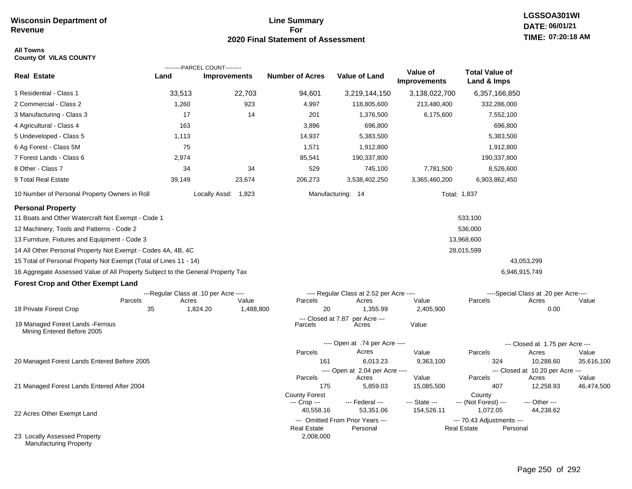## **Line Summary For 2020 Final Statement of Assessment**

### **All Towns County Of VILAS COUNTY**

|                                                                                 |                                       | ---------PARCEL COUNT--------- |                           |                                          |                                 |                                      |                                           |            |
|---------------------------------------------------------------------------------|---------------------------------------|--------------------------------|---------------------------|------------------------------------------|---------------------------------|--------------------------------------|-------------------------------------------|------------|
| <b>Real Estate</b>                                                              | Land                                  | <b>Improvements</b>            | <b>Number of Acres</b>    | Value of Land                            | Value of<br><b>Improvements</b> | <b>Total Value of</b><br>Land & Imps |                                           |            |
| 1 Residential - Class 1                                                         | 33,513                                | 22,703                         | 94,601                    | 3,219,144,150                            | 3,138,022,700                   | 6,357,166,850                        |                                           |            |
| 2 Commercial - Class 2                                                          | 1,260                                 | 923                            | 4,997                     | 118,805,600                              | 213,480,400                     | 332,286,000                          |                                           |            |
| 3 Manufacturing - Class 3                                                       | 17                                    | 14                             | 201                       | 1,376,500                                | 6,175,600                       | 7,552,100                            |                                           |            |
| 4 Agricultural - Class 4                                                        | 163                                   |                                | 3,896                     | 696,800                                  |                                 | 696,800                              |                                           |            |
| 5 Undeveloped - Class 5                                                         | 1,113                                 |                                | 14,937                    | 5,383,500                                |                                 | 5,383,500                            |                                           |            |
| 6 Ag Forest - Class 5M                                                          | 75                                    |                                | 1,571                     | 1,912,800                                |                                 | 1,912,800                            |                                           |            |
| 7 Forest Lands - Class 6                                                        | 2,974                                 |                                | 85,541                    | 190,337,800                              |                                 | 190,337,800                          |                                           |            |
| 8 Other - Class 7                                                               | 34                                    | 34                             | 529                       | 745,100                                  | 7,781,500                       | 8,526,600                            |                                           |            |
| 9 Total Real Estate                                                             | 39,149                                | 23,674                         | 206,273                   | 3,538,402,250                            | 3,365,460,200                   | 6,903,862,450                        |                                           |            |
| 10 Number of Personal Property Owners in Roll                                   |                                       | Locally Assd: 1,823            |                           | Manufacturing: 14                        |                                 | Total: 1,837                         |                                           |            |
| <b>Personal Property</b>                                                        |                                       |                                |                           |                                          |                                 |                                      |                                           |            |
| 11 Boats and Other Watercraft Not Exempt - Code 1                               |                                       |                                |                           |                                          |                                 | 533,100                              |                                           |            |
| 12 Machinery, Tools and Patterns - Code 2                                       |                                       |                                |                           |                                          |                                 | 536,000                              |                                           |            |
| 13 Furniture, Fixtures and Equipment - Code 3                                   |                                       |                                |                           |                                          |                                 | 13,968,600                           |                                           |            |
| 14 All Other Personal Property Not Exempt - Codes 4A, 4B, 4C                    |                                       |                                |                           |                                          |                                 | 28,015,599                           |                                           |            |
| 15 Total of Personal Property Not Exempt (Total of Lines 11 - 14)               |                                       |                                |                           |                                          |                                 |                                      | 43,053,299                                |            |
| 16 Aggregate Assessed Value of All Property Subject to the General Property Tax |                                       |                                |                           |                                          |                                 |                                      | 6,946,915,749                             |            |
| <b>Forest Crop and Other Exempt Land</b>                                        |                                       |                                |                           |                                          |                                 |                                      |                                           |            |
|                                                                                 | ---Regular Class at .10 per Acre ---- |                                |                           | ---- Regular Class at 2.52 per Acre ---- |                                 |                                      | ----Special Class at .20 per Acre----     |            |
| Parcels                                                                         | Acres                                 | Value                          | Parcels                   | Acres                                    | Value                           | Parcels                              | Acres                                     | Value      |
| 18 Private Forest Crop                                                          | 35                                    | 1,824.20<br>1,488,800          | 20<br>--- Closed at 7.87  | 1,355.99<br>per Acre ---                 | 2,405,900                       |                                      | 0.00                                      |            |
| 19 Managed Forest Lands - Ferrous<br>Mining Entered Before 2005                 |                                       |                                | Parcels                   | Acres                                    | Value                           |                                      |                                           |            |
|                                                                                 |                                       |                                |                           | ---- Open at .74 per Acre ----           |                                 |                                      | --- Closed at 1.75 per Acre ---           |            |
|                                                                                 |                                       |                                | Parcels                   | Acres                                    | Value                           | Parcels                              | Acres                                     | Value      |
| 20 Managed Forest Lands Entered Before 2005                                     |                                       |                                | 161                       | 6,013.23                                 | 9,363,100                       | 324                                  | 10,288.60                                 | 35,616,100 |
|                                                                                 |                                       |                                | Parcels                   | ---- Open at 2.04 per Acre ----<br>Acres | Value                           | Parcels                              | --- Closed at 10.20 per Acre ---<br>Acres | Value      |
| 21 Managed Forest Lands Entered After 2004                                      |                                       |                                | 175                       | 5,859.03                                 | 15,085,500                      | 407                                  | 12,258.93                                 | 46,474,500 |
|                                                                                 |                                       |                                | <b>County Forest</b>      |                                          |                                 | County                               |                                           |            |
|                                                                                 |                                       |                                | --- Crop ---<br>40,558.16 | --- Federal ---<br>53,351.06             | --- State ---<br>154,526.11     | --- (Not Forest) ---<br>1,072.05     | --- Other ---<br>44,238.62                |            |
| 22 Acres Other Exempt Land                                                      |                                       |                                |                           | --- Omitted From Prior Years ---         |                                 | --- 70.43 Adjustments ---            |                                           |            |
|                                                                                 |                                       |                                | <b>Real Estate</b>        | Personal                                 |                                 | <b>Real Estate</b><br>Personal       |                                           |            |
| 23 Locally Assessed Property<br><b>Manufacturing Property</b>                   |                                       |                                | 2,008,000                 |                                          |                                 |                                      |                                           |            |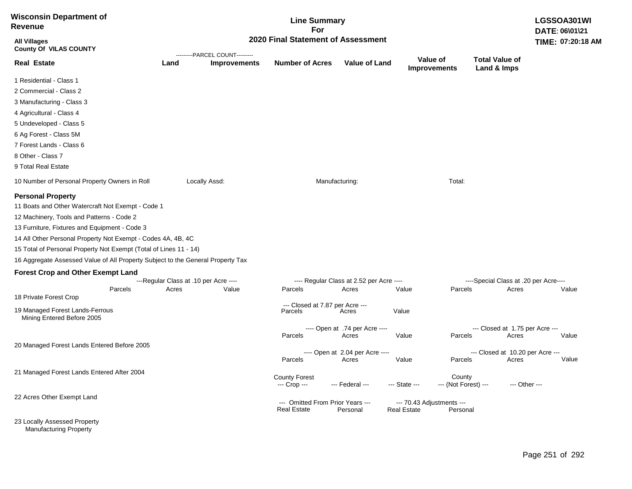| <b>Wisconsin Department of</b><br>Revenue                                                                                                                                                                                                                                                                                                                                                                                                                                                                                                             |                                                |                                | <b>Line Summary</b><br>For                             |                                                                                              |                                                 |                                |                                                                                   | LGSSOA301WI<br>DATE: 06\01\21 |  |
|-------------------------------------------------------------------------------------------------------------------------------------------------------------------------------------------------------------------------------------------------------------------------------------------------------------------------------------------------------------------------------------------------------------------------------------------------------------------------------------------------------------------------------------------------------|------------------------------------------------|--------------------------------|--------------------------------------------------------|----------------------------------------------------------------------------------------------|-------------------------------------------------|--------------------------------|-----------------------------------------------------------------------------------|-------------------------------|--|
| <b>All Villages</b><br><b>County Of VILAS COUNTY</b>                                                                                                                                                                                                                                                                                                                                                                                                                                                                                                  |                                                | ---------PARCEL COUNT--------- | 2020 Final Statement of Assessment                     |                                                                                              |                                                 |                                |                                                                                   | TIME: 07:20:18 AM             |  |
| <b>Real Estate</b>                                                                                                                                                                                                                                                                                                                                                                                                                                                                                                                                    | Land                                           | <b>Improvements</b>            | <b>Number of Acres</b>                                 | <b>Value of Land</b>                                                                         | Value of                                        | <b>Improvements</b>            | <b>Total Value of</b><br>Land & Imps                                              |                               |  |
| 1 Residential - Class 1                                                                                                                                                                                                                                                                                                                                                                                                                                                                                                                               |                                                |                                |                                                        |                                                                                              |                                                 |                                |                                                                                   |                               |  |
| 2 Commercial - Class 2                                                                                                                                                                                                                                                                                                                                                                                                                                                                                                                                |                                                |                                |                                                        |                                                                                              |                                                 |                                |                                                                                   |                               |  |
| 3 Manufacturing - Class 3                                                                                                                                                                                                                                                                                                                                                                                                                                                                                                                             |                                                |                                |                                                        |                                                                                              |                                                 |                                |                                                                                   |                               |  |
| 4 Agricultural - Class 4                                                                                                                                                                                                                                                                                                                                                                                                                                                                                                                              |                                                |                                |                                                        |                                                                                              |                                                 |                                |                                                                                   |                               |  |
| 5 Undeveloped - Class 5                                                                                                                                                                                                                                                                                                                                                                                                                                                                                                                               |                                                |                                |                                                        |                                                                                              |                                                 |                                |                                                                                   |                               |  |
| 6 Ag Forest - Class 5M                                                                                                                                                                                                                                                                                                                                                                                                                                                                                                                                |                                                |                                |                                                        |                                                                                              |                                                 |                                |                                                                                   |                               |  |
| 7 Forest Lands - Class 6                                                                                                                                                                                                                                                                                                                                                                                                                                                                                                                              |                                                |                                |                                                        |                                                                                              |                                                 |                                |                                                                                   |                               |  |
| 8 Other - Class 7                                                                                                                                                                                                                                                                                                                                                                                                                                                                                                                                     |                                                |                                |                                                        |                                                                                              |                                                 |                                |                                                                                   |                               |  |
| 9 Total Real Estate                                                                                                                                                                                                                                                                                                                                                                                                                                                                                                                                   |                                                |                                |                                                        |                                                                                              |                                                 |                                |                                                                                   |                               |  |
| 10 Number of Personal Property Owners in Roll                                                                                                                                                                                                                                                                                                                                                                                                                                                                                                         |                                                | Locally Assd:                  |                                                        | Manufacturing:                                                                               |                                                 | Total:                         |                                                                                   |                               |  |
| <b>Personal Property</b><br>11 Boats and Other Watercraft Not Exempt - Code 1<br>12 Machinery, Tools and Patterns - Code 2<br>13 Furniture, Fixtures and Equipment - Code 3<br>14 All Other Personal Property Not Exempt - Codes 4A, 4B, 4C<br>15 Total of Personal Property Not Exempt (Total of Lines 11 - 14)<br>16 Aggregate Assessed Value of All Property Subject to the General Property Tax<br><b>Forest Crop and Other Exempt Land</b><br>Parcels<br>18 Private Forest Crop<br>19 Managed Forest Lands-Ferrous<br>Mining Entered Before 2005 | ---Regular Class at .10 per Acre ----<br>Acres | Value                          | Parcels<br>--- Closed at 7.87 per Acre ---<br>Parcels  | ---- Regular Class at 2.52 per Acre ----<br>Acres<br>Acres<br>---- Open at .74 per Acre ---- | Value<br>Value                                  | Parcels                        | ----Special Class at .20 per Acre----<br>Acres<br>--- Closed at 1.75 per Acre --- | Value                         |  |
|                                                                                                                                                                                                                                                                                                                                                                                                                                                                                                                                                       |                                                |                                | Parcels                                                | Acres                                                                                        | Value                                           | Parcels                        | Acres                                                                             | Value                         |  |
| 20 Managed Forest Lands Entered Before 2005                                                                                                                                                                                                                                                                                                                                                                                                                                                                                                           |                                                |                                | Parcels                                                | ---- Open at 2.04 per Acre ----<br>Acres                                                     | Value                                           | Parcels                        | --- Closed at 10.20 per Acre ---<br>Acres                                         | Value                         |  |
| 21 Managed Forest Lands Entered After 2004                                                                                                                                                                                                                                                                                                                                                                                                                                                                                                            |                                                |                                | <b>County Forest</b><br>--- Crop ---                   | --- Federal ---                                                                              | --- State ---                                   | County<br>--- (Not Forest) --- |                                                                                   | --- Other ---                 |  |
| 22 Acres Other Exempt Land                                                                                                                                                                                                                                                                                                                                                                                                                                                                                                                            |                                                |                                | --- Omitted From Prior Years ---<br><b>Real Estate</b> | Personal                                                                                     | --- 70.43 Adjustments ---<br><b>Real Estate</b> | Personal                       |                                                                                   |                               |  |
| 23 Locally Assessed Property                                                                                                                                                                                                                                                                                                                                                                                                                                                                                                                          |                                                |                                |                                                        |                                                                                              |                                                 |                                |                                                                                   |                               |  |

Manufacturing Property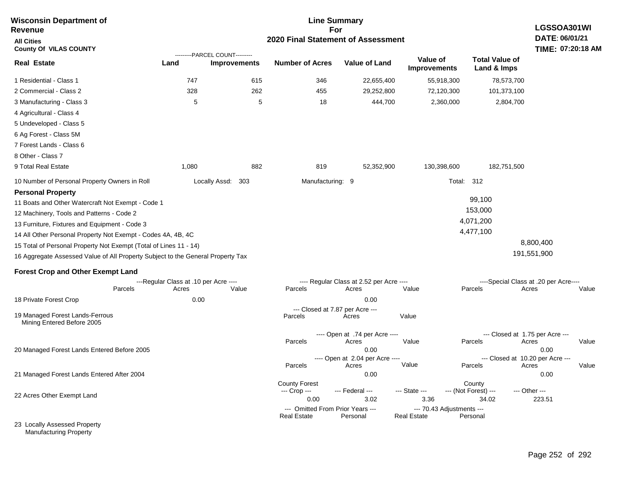| <b>Wisconsin Department of</b><br><b>Revenue</b>                                                                                                                                                                                                                                                                                                                                                                                                                                     |                                                        | <b>Line Summary</b><br>For                            |                                              |                                                           |                                 |                                                        |                                                                            |       |  |
|--------------------------------------------------------------------------------------------------------------------------------------------------------------------------------------------------------------------------------------------------------------------------------------------------------------------------------------------------------------------------------------------------------------------------------------------------------------------------------------|--------------------------------------------------------|-------------------------------------------------------|----------------------------------------------|-----------------------------------------------------------|---------------------------------|--------------------------------------------------------|----------------------------------------------------------------------------|-------|--|
| <b>All Cities</b><br><b>County Of VILAS COUNTY</b>                                                                                                                                                                                                                                                                                                                                                                                                                                   |                                                        |                                                       | 2020 Final Statement of Assessment           |                                                           |                                 |                                                        | DATE: 06/01/21<br>TIME: 07:20:18 AM                                        |       |  |
| <b>Real Estate</b>                                                                                                                                                                                                                                                                                                                                                                                                                                                                   | Land                                                   | ---------PARCEL COUNT---------<br><b>Improvements</b> | <b>Number of Acres</b>                       | <b>Value of Land</b>                                      | Value of<br><b>Improvements</b> | <b>Total Value of</b><br>Land & Imps                   |                                                                            |       |  |
| 1 Residential - Class 1                                                                                                                                                                                                                                                                                                                                                                                                                                                              | 747                                                    | 615                                                   | 346                                          | 22,655,400                                                | 55,918,300                      |                                                        | 78,573,700                                                                 |       |  |
| 2 Commercial - Class 2                                                                                                                                                                                                                                                                                                                                                                                                                                                               | 328                                                    | 262                                                   | 455                                          | 29,252,800                                                | 72,120,300                      | 101,373,100                                            |                                                                            |       |  |
| 3 Manufacturing - Class 3                                                                                                                                                                                                                                                                                                                                                                                                                                                            | 5                                                      | 5                                                     | 18                                           | 444,700                                                   | 2,360,000                       |                                                        | 2,804,700                                                                  |       |  |
| 4 Agricultural - Class 4                                                                                                                                                                                                                                                                                                                                                                                                                                                             |                                                        |                                                       |                                              |                                                           |                                 |                                                        |                                                                            |       |  |
| 5 Undeveloped - Class 5                                                                                                                                                                                                                                                                                                                                                                                                                                                              |                                                        |                                                       |                                              |                                                           |                                 |                                                        |                                                                            |       |  |
| 6 Ag Forest - Class 5M                                                                                                                                                                                                                                                                                                                                                                                                                                                               |                                                        |                                                       |                                              |                                                           |                                 |                                                        |                                                                            |       |  |
| 7 Forest Lands - Class 6                                                                                                                                                                                                                                                                                                                                                                                                                                                             |                                                        |                                                       |                                              |                                                           |                                 |                                                        |                                                                            |       |  |
| 8 Other - Class 7                                                                                                                                                                                                                                                                                                                                                                                                                                                                    |                                                        |                                                       |                                              |                                                           |                                 |                                                        |                                                                            |       |  |
| 9 Total Real Estate                                                                                                                                                                                                                                                                                                                                                                                                                                                                  | 1,080                                                  | 882                                                   | 819                                          | 52,352,900                                                | 130,398,600                     | 182,751,500                                            |                                                                            |       |  |
| 10 Number of Personal Property Owners in Roll                                                                                                                                                                                                                                                                                                                                                                                                                                        |                                                        | Locally Assd: 303                                     | Manufacturing: 9                             |                                                           |                                 | <b>Total: 312</b>                                      |                                                                            |       |  |
| <b>Personal Property</b><br>11 Boats and Other Watercraft Not Exempt - Code 1<br>12 Machinery, Tools and Patterns - Code 2<br>13 Furniture, Fixtures and Equipment - Code 3<br>14 All Other Personal Property Not Exempt - Codes 4A, 4B, 4C<br>15 Total of Personal Property Not Exempt (Total of Lines 11 - 14)<br>16 Aggregate Assessed Value of All Property Subject to the General Property Tax<br><b>Forest Crop and Other Exempt Land</b><br>Parcels<br>18 Private Forest Crop | ---Regular Class at .10 per Acre ----<br>Acres<br>0.00 | Value                                                 | Parcels                                      | ---- Regular Class at 2.52 per Acre ----<br>Acres<br>0.00 | Value                           | 99,100<br>153,000<br>4,071,200<br>4,477,100<br>Parcels | 8,800,400<br>191,551,900<br>----Special Class at .20 per Acre----<br>Acres | Value |  |
|                                                                                                                                                                                                                                                                                                                                                                                                                                                                                      |                                                        |                                                       |                                              | --- Closed at 7.87 per Acre ---                           |                                 |                                                        |                                                                            |       |  |
| 19 Managed Forest Lands-Ferrous<br>Mining Entered Before 2005                                                                                                                                                                                                                                                                                                                                                                                                                        |                                                        |                                                       | Parcels                                      | Acres                                                     | Value                           |                                                        |                                                                            |       |  |
|                                                                                                                                                                                                                                                                                                                                                                                                                                                                                      |                                                        |                                                       |                                              | ---- Open at .74 per Acre ----                            |                                 |                                                        | --- Closed at 1.75 per Acre ---                                            |       |  |
|                                                                                                                                                                                                                                                                                                                                                                                                                                                                                      |                                                        |                                                       | Parcels                                      | Acres                                                     | Value                           | Parcels                                                | Acres                                                                      | Value |  |
| 20 Managed Forest Lands Entered Before 2005                                                                                                                                                                                                                                                                                                                                                                                                                                          |                                                        |                                                       |                                              | 0.00                                                      |                                 |                                                        | 0.00                                                                       |       |  |
|                                                                                                                                                                                                                                                                                                                                                                                                                                                                                      |                                                        |                                                       | Parcels                                      | ---- Open at 2.04 per Acre ----<br>Acres                  | Value                           | Parcels                                                | --- Closed at 10.20 per Acre ---<br>Acres                                  | Value |  |
| 21 Managed Forest Lands Entered After 2004                                                                                                                                                                                                                                                                                                                                                                                                                                           |                                                        |                                                       |                                              | 0.00                                                      |                                 |                                                        | 0.00                                                                       |       |  |
| 22 Acres Other Exempt Land                                                                                                                                                                                                                                                                                                                                                                                                                                                           |                                                        |                                                       | <b>County Forest</b><br>--- Crop ---<br>0.00 | --- Federal ---<br>3.02                                   | --- State ---<br>3.36           | County<br>--- (Not Forest) ---<br>34.02                | --- Other ---<br>223.51                                                    |       |  |
|                                                                                                                                                                                                                                                                                                                                                                                                                                                                                      |                                                        |                                                       | <b>Real Estate</b>                           | --- Omitted From Prior Years ---                          |                                 | --- 70.43 Adjustments ---                              |                                                                            |       |  |
| 23 Locally Assessed Property                                                                                                                                                                                                                                                                                                                                                                                                                                                         |                                                        |                                                       |                                              | Personal                                                  | <b>Real Estate</b>              | Personal                                               |                                                                            |       |  |

Manufacturing Property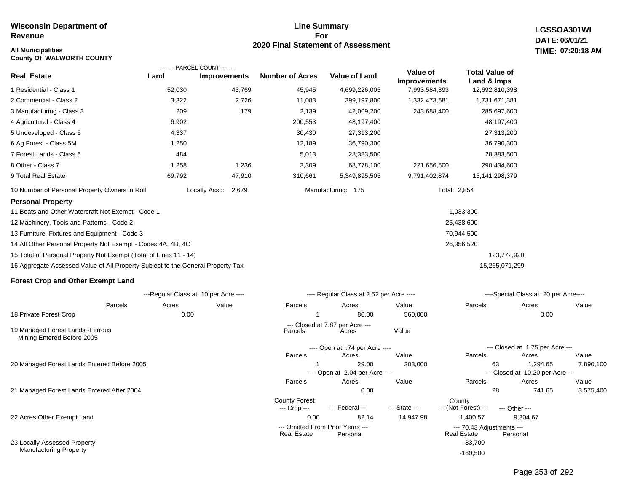# **Line Summary For 2020 Final Statement of Assessment**

**LGSSOA301WI DATE: 06/01/21 07:20:18 AM**

| <b>All Municipalities</b><br><b>County Of WALWORTH COUNTY</b>                   |                                       |                                                       |                                      |                                          |                                 |                                                 |                                           | TIME: 07:20:18 AM |
|---------------------------------------------------------------------------------|---------------------------------------|-------------------------------------------------------|--------------------------------------|------------------------------------------|---------------------------------|-------------------------------------------------|-------------------------------------------|-------------------|
| <b>Real Estate</b>                                                              | Land                                  | ---------PARCEL COUNT---------<br><b>Improvements</b> | <b>Number of Acres</b>               | <b>Value of Land</b>                     | Value of<br><b>Improvements</b> | <b>Total Value of</b><br>Land & Imps            |                                           |                   |
| 1 Residential - Class 1                                                         | 52,030                                | 43,769                                                | 45,945                               | 4,699,226,005                            | 7,993,584,393                   | 12,692,810,398                                  |                                           |                   |
| 2 Commercial - Class 2                                                          | 3,322                                 | 2,726                                                 | 11,083                               | 399,197,800                              | 1,332,473,581                   | 1,731,671,381                                   |                                           |                   |
| 3 Manufacturing - Class 3                                                       | 209                                   | 179                                                   | 2,139                                | 42,009,200                               | 243,688,400                     | 285,697,600                                     |                                           |                   |
| 4 Agricultural - Class 4                                                        | 6,902                                 |                                                       | 200,553                              | 48,197,400                               |                                 | 48,197,400                                      |                                           |                   |
| 5 Undeveloped - Class 5                                                         | 4,337                                 |                                                       | 30,430                               | 27,313,200                               |                                 | 27,313,200                                      |                                           |                   |
| 6 Ag Forest - Class 5M                                                          | 1,250                                 |                                                       | 12,189                               | 36,790,300                               |                                 | 36,790,300                                      |                                           |                   |
| 7 Forest Lands - Class 6                                                        | 484                                   |                                                       | 5,013                                | 28,383,500                               |                                 | 28,383,500                                      |                                           |                   |
| 8 Other - Class 7                                                               | 1,258                                 | 1,236                                                 | 3,309                                | 68,778,100                               | 221,656,500                     | 290,434,600                                     |                                           |                   |
| 9 Total Real Estate                                                             | 69,792                                | 47,910                                                | 310,661                              | 5,349,895,505                            | 9,791,402,874                   | 15, 141, 298, 379                               |                                           |                   |
| 10 Number of Personal Property Owners in Roll                                   |                                       | Locally Assd: 2,679                                   |                                      | Manufacturing: 175                       |                                 | Total: 2,854                                    |                                           |                   |
| <b>Personal Property</b>                                                        |                                       |                                                       |                                      |                                          |                                 |                                                 |                                           |                   |
| 11 Boats and Other Watercraft Not Exempt - Code 1                               |                                       |                                                       |                                      |                                          |                                 | 1,033,300                                       |                                           |                   |
| 12 Machinery, Tools and Patterns - Code 2                                       |                                       |                                                       |                                      |                                          |                                 | 25,438,600                                      |                                           |                   |
| 13 Furniture, Fixtures and Equipment - Code 3                                   |                                       |                                                       |                                      |                                          |                                 | 70,944,500                                      |                                           |                   |
| 14 All Other Personal Property Not Exempt - Codes 4A, 4B, 4C                    |                                       |                                                       |                                      |                                          |                                 | 26,356,520                                      |                                           |                   |
| 15 Total of Personal Property Not Exempt (Total of Lines 11 - 14)               |                                       |                                                       |                                      |                                          |                                 | 123,772,920                                     |                                           |                   |
| 16 Aggregate Assessed Value of All Property Subject to the General Property Tax |                                       |                                                       |                                      |                                          |                                 | 15,265,071,299                                  |                                           |                   |
| <b>Forest Crop and Other Exempt Land</b>                                        |                                       |                                                       |                                      |                                          |                                 |                                                 |                                           |                   |
|                                                                                 | ---Regular Class at .10 per Acre ---- |                                                       |                                      | ---- Regular Class at 2.52 per Acre ---- |                                 |                                                 | ----Special Class at .20 per Acre----     |                   |
| Parcels                                                                         | Acres                                 | Value                                                 | Parcels                              | Acres                                    | Value                           | Parcels                                         | Acres                                     | Value             |
| 18 Private Forest Crop                                                          | 0.00                                  |                                                       |                                      | 80.00                                    | 560,000                         |                                                 | 0.00                                      |                   |
| 19 Managed Forest Lands - Ferrous<br>Mining Entered Before 2005                 |                                       |                                                       | Parcels                              | --- Closed at 7.87 per Acre ---<br>Acres | Value                           |                                                 |                                           |                   |
|                                                                                 |                                       |                                                       |                                      | ---- Open at .74 per Acre ----           |                                 |                                                 | --- Closed at 1.75 per Acre ---           |                   |
|                                                                                 |                                       |                                                       | Parcels                              | Acres                                    | Value                           | Parcels                                         | Acres                                     | Value             |
| 20 Managed Forest Lands Entered Before 2005                                     |                                       |                                                       |                                      | 29.00                                    | 203,000                         | 63                                              | 1,294.65                                  | 7,890,100         |
|                                                                                 |                                       |                                                       | Parcels                              | ---- Open at 2.04 per Acre ----<br>Acres | Value                           | Parcels                                         | --- Closed at 10.20 per Acre ---<br>Acres | Value             |
| 21 Managed Forest Lands Entered After 2004                                      |                                       |                                                       |                                      | 0.00                                     |                                 | 28                                              | 741.65                                    | 3,575,400         |
|                                                                                 |                                       |                                                       | <b>County Forest</b><br>--- Crop --- | --- Federal ---                          | --- State ---                   | County<br>--- (Not Forest) ---<br>--- Other --- |                                           |                   |

22 Acres Other Exempt Land

23 Locally Assessed Property Manufacturing Property

Page 253 of 292

0.00 82.14 14,947.98 1,400.57 9,304.67

--- Omitted From Prior Years --- --- 70.43 Adjustments ---

-83,700 -160,500

Real Estate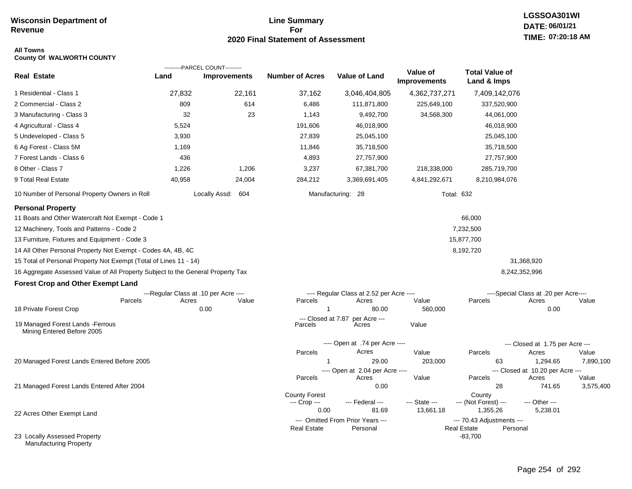# **Line Summary For 2020 Final Statement of Assessment**

# **LGSSOA301WI DATE: 06/01/21 TIME: 07:20:18 AM**

#### **All Towns County Of WALWORTH COUNTY**

|                                                                                                                                                                                                                                                                                                                  |        | ---------PARCEL COUNT---------                 |                                              |                                                   |                                 |                                                |                                                |           |
|------------------------------------------------------------------------------------------------------------------------------------------------------------------------------------------------------------------------------------------------------------------------------------------------------------------|--------|------------------------------------------------|----------------------------------------------|---------------------------------------------------|---------------------------------|------------------------------------------------|------------------------------------------------|-----------|
| <b>Real Estate</b>                                                                                                                                                                                                                                                                                               | Land   | <b>Improvements</b>                            | <b>Number of Acres</b>                       | <b>Value of Land</b>                              | Value of<br><b>Improvements</b> | <b>Total Value of</b><br>Land & Imps           |                                                |           |
| 1 Residential - Class 1                                                                                                                                                                                                                                                                                          | 27,832 | 22,161                                         | 37,162                                       | 3,046,404,805                                     | 4,362,737,271                   | 7,409,142,076                                  |                                                |           |
| 2 Commercial - Class 2                                                                                                                                                                                                                                                                                           | 809    | 614                                            | 6,486                                        | 111,871,800                                       | 225,649,100                     | 337,520,900                                    |                                                |           |
| 3 Manufacturing - Class 3                                                                                                                                                                                                                                                                                        | 32     | 23                                             | 1,143                                        | 9,492,700                                         | 34,568,300                      | 44,061,000                                     |                                                |           |
| 4 Agricultural - Class 4                                                                                                                                                                                                                                                                                         | 5,524  |                                                | 191,606                                      | 46,018,900                                        |                                 | 46,018,900                                     |                                                |           |
| 5 Undeveloped - Class 5                                                                                                                                                                                                                                                                                          | 3,930  |                                                | 27,839                                       | 25,045,100                                        |                                 | 25,045,100                                     |                                                |           |
| 6 Ag Forest - Class 5M                                                                                                                                                                                                                                                                                           | 1,169  |                                                | 11,846                                       | 35,718,500                                        |                                 | 35,718,500                                     |                                                |           |
| 7 Forest Lands - Class 6                                                                                                                                                                                                                                                                                         | 436    |                                                | 4,893                                        | 27,757,900                                        |                                 | 27,757,900                                     |                                                |           |
| 8 Other - Class 7                                                                                                                                                                                                                                                                                                | 1,226  | 1,206                                          | 3,237                                        | 67,381,700                                        | 218,338,000                     | 285,719,700                                    |                                                |           |
| 9 Total Real Estate                                                                                                                                                                                                                                                                                              | 40,958 | 24,004                                         | 284,212                                      | 3,369,691,405                                     | 4,841,292,671                   | 8,210,984,076                                  |                                                |           |
| 10 Number of Personal Property Owners in Roll                                                                                                                                                                                                                                                                    |        | Locally Assd: 604                              |                                              | Manufacturing: 28                                 |                                 | <b>Total: 632</b>                              |                                                |           |
| <b>Personal Property</b><br>11 Boats and Other Watercraft Not Exempt - Code 1<br>12 Machinery, Tools and Patterns - Code 2<br>13 Furniture, Fixtures and Equipment - Code 3<br>14 All Other Personal Property Not Exempt - Codes 4A, 4B, 4C<br>15 Total of Personal Property Not Exempt (Total of Lines 11 - 14) |        |                                                |                                              |                                                   |                                 | 66,000<br>7,232,500<br>15,877,700<br>8,192,720 | 31,368,920                                     |           |
|                                                                                                                                                                                                                                                                                                                  |        |                                                |                                              |                                                   |                                 |                                                |                                                |           |
| 16 Aggregate Assessed Value of All Property Subject to the General Property Tax                                                                                                                                                                                                                                  |        |                                                |                                              |                                                   |                                 |                                                | 8,242,352,996                                  |           |
| <b>Forest Crop and Other Exempt Land</b>                                                                                                                                                                                                                                                                         |        |                                                |                                              |                                                   |                                 |                                                |                                                |           |
| Parcels                                                                                                                                                                                                                                                                                                          | Acres  | ---Regular Class at .10 per Acre ----<br>Value | Parcels                                      | ---- Regular Class at 2.52 per Acre ----<br>Acres | Value                           | Parcels                                        | ----Special Class at .20 per Acre----<br>Acres | Value     |
| 18 Private Forest Crop                                                                                                                                                                                                                                                                                           |        | 0.00                                           | $\mathbf{1}$                                 | 80.00                                             | 560,000                         |                                                | 0.00                                           |           |
| 19 Managed Forest Lands - Ferrous<br>Mining Entered Before 2005                                                                                                                                                                                                                                                  |        |                                                | Parcels                                      | --- Closed at 7.87 per Acre ---<br>Acres          | Value                           |                                                |                                                |           |
|                                                                                                                                                                                                                                                                                                                  |        |                                                |                                              | ---- Open at .74 per Acre ----                    |                                 |                                                | --- Closed at 1.75 per Acre ---                |           |
|                                                                                                                                                                                                                                                                                                                  |        |                                                | Parcels                                      | Acres                                             | Value                           | Parcels                                        | Acres                                          | Value     |
| 20 Managed Forest Lands Entered Before 2005                                                                                                                                                                                                                                                                      |        |                                                | 1                                            | 29.00                                             | 203,000                         | 63                                             | 1,294.65                                       | 7,890,100 |
|                                                                                                                                                                                                                                                                                                                  |        |                                                | Parcels                                      | ---- Open at 2.04 per Acre ----<br>Acres          | Value                           | Parcels                                        | --- Closed at 10.20 per Acre ---<br>Acres      | Value     |
| 21 Managed Forest Lands Entered After 2004                                                                                                                                                                                                                                                                       |        |                                                |                                              | 0.00                                              |                                 | 28                                             | 741.65                                         | 3,575,400 |
|                                                                                                                                                                                                                                                                                                                  |        |                                                | <b>County Forest</b><br>--- Crop ---<br>0.00 | --- Federal ---<br>81.69                          | --- State ---<br>13,661.18      | County<br>--- (Not Forest) ---<br>1,355.26     | --- Other ---<br>5,238.01                      |           |
| 22 Acres Other Exempt Land                                                                                                                                                                                                                                                                                       |        |                                                |                                              | --- Omitted From Prior Years ---                  |                                 | --- 70.43 Adjustments ---                      |                                                |           |
|                                                                                                                                                                                                                                                                                                                  |        |                                                | <b>Real Estate</b>                           | Personal                                          |                                 | <b>Real Estate</b>                             | Personal                                       |           |
| 23 Locally Assessed Property<br><b>Manufacturing Property</b>                                                                                                                                                                                                                                                    |        |                                                |                                              |                                                   |                                 | $-83,700$                                      |                                                |           |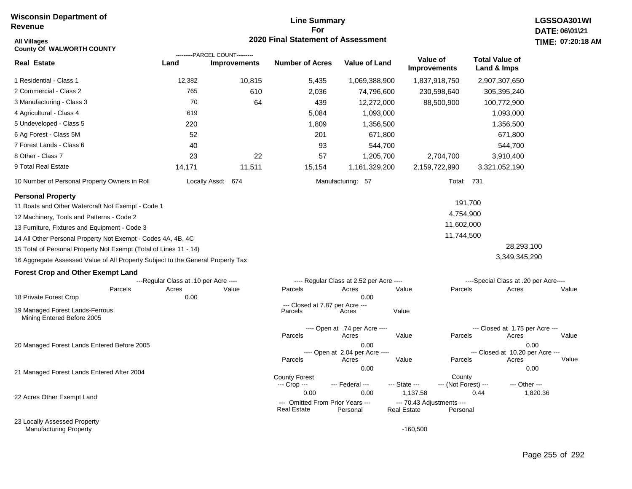# **Line Summary For 2020 Final Statement of Assessment**

| <b>All Villages</b><br><b>County Of WALWORTH COUNTY</b>                         |                                       |                                | 2020 Final Statement of Assessment |                                          |                           |                              |                                          | TIME: 07:20 |
|---------------------------------------------------------------------------------|---------------------------------------|--------------------------------|------------------------------------|------------------------------------------|---------------------------|------------------------------|------------------------------------------|-------------|
|                                                                                 |                                       | ---------PARCEL COUNT--------- |                                    |                                          | Value of                  |                              | <b>Total Value of</b>                    |             |
| <b>Real Estate</b>                                                              | Land                                  | <b>Improvements</b>            | <b>Number of Acres</b>             | <b>Value of Land</b>                     | <b>Improvements</b>       |                              | Land & Imps                              |             |
| 1 Residential - Class 1                                                         | 12,382                                | 10,815                         | 5,435                              | 1,069,388,900                            | 1,837,918,750             |                              | 2,907,307,650                            |             |
| 2 Commercial - Class 2                                                          | 765                                   | 610                            | 2,036                              | 74,796,600                               | 230,598,640               |                              | 305,395,240                              |             |
| 3 Manufacturing - Class 3                                                       | 70                                    | 64                             | 439                                | 12,272,000                               | 88,500,900                |                              | 100,772,900                              |             |
| 4 Agricultural - Class 4                                                        | 619                                   |                                | 5,084                              | 1,093,000                                |                           |                              | 1,093,000                                |             |
| 5 Undeveloped - Class 5                                                         | 220                                   |                                | 1,809                              | 1,356,500                                |                           |                              | 1,356,500                                |             |
| 6 Ag Forest - Class 5M                                                          | 52                                    |                                | 201                                | 671,800                                  |                           |                              | 671,800                                  |             |
| 7 Forest Lands - Class 6                                                        | 40                                    |                                | 93                                 | 544,700                                  |                           |                              | 544,700                                  |             |
| 8 Other - Class 7                                                               | 23                                    | 22                             | 57                                 | 1,205,700                                |                           | 2,704,700                    | 3,910,400                                |             |
| 9 Total Real Estate                                                             | 14,171                                | 11,511                         | 15,154                             | 1,161,329,200                            | 2,159,722,990             |                              | 3,321,052,190                            |             |
| 10 Number of Personal Property Owners in Roll                                   |                                       | Locally Assd: 674              |                                    | Manufacturing: 57                        |                           | Total: 731                   |                                          |             |
| <b>Personal Property</b>                                                        |                                       |                                |                                    |                                          |                           |                              |                                          |             |
| 11 Boats and Other Watercraft Not Exempt - Code 1                               |                                       |                                |                                    |                                          |                           | 191,700                      |                                          |             |
| 12 Machinery, Tools and Patterns - Code 2                                       |                                       |                                |                                    |                                          |                           | 4,754,900                    |                                          |             |
| 13 Furniture, Fixtures and Equipment - Code 3                                   |                                       |                                |                                    |                                          |                           | 11,602,000                   |                                          |             |
| 14 All Other Personal Property Not Exempt - Codes 4A, 4B, 4C                    |                                       |                                |                                    |                                          |                           | 11,744,500                   |                                          |             |
| 15 Total of Personal Property Not Exempt (Total of Lines 11 - 14)               |                                       |                                |                                    |                                          |                           |                              | 28,293,100                               |             |
| 16 Aggregate Assessed Value of All Property Subject to the General Property Tax |                                       |                                |                                    |                                          |                           |                              | 3,349,345,290                            |             |
| <b>Forest Crop and Other Exempt Land</b>                                        |                                       |                                |                                    |                                          |                           |                              |                                          |             |
|                                                                                 | ---Regular Class at .10 per Acre ---- |                                |                                    | ---- Regular Class at 2.52 per Acre ---- |                           |                              | ----Special Class at .20 per Acre----    |             |
| Parcels<br>18 Private Forest Crop                                               | Acres<br>0.00                         | Value                          | Parcels                            | Acres<br>0.00                            | Value                     | Parcels                      | Acres                                    | Value       |
|                                                                                 |                                       |                                | --- Closed at 7.87 per Acre ---    |                                          |                           |                              |                                          |             |
| 19 Managed Forest Lands-Ferrous<br>Mining Entered Before 2005                   |                                       |                                | Parcels                            | Acres                                    | Value                     |                              |                                          |             |
|                                                                                 |                                       |                                |                                    | ---- Open at .74 per Acre ----           |                           |                              | --- Closed at 1.75 per Acre ---          |             |
|                                                                                 |                                       |                                | Parcels                            | Acres                                    | Value                     | Parcels                      | Acres                                    | Value       |
| 20 Managed Forest Lands Entered Before 2005                                     |                                       |                                |                                    | 0.00<br>---- Open at 2.04 per Acre ----  |                           |                              | 0.00<br>--- Closed at 10.20 per Acre --- |             |
|                                                                                 |                                       |                                | Parcels                            | Acres                                    | Value                     | Parcels                      | Acres                                    | Value       |
| 21 Managed Forest Lands Entered After 2004                                      |                                       |                                |                                    | 0.00                                     |                           |                              | 0.00                                     |             |
|                                                                                 |                                       |                                | <b>County Forest</b>               |                                          |                           | County                       |                                          |             |
|                                                                                 |                                       |                                | --- Crop ---<br>0.00               | --- Federal ---<br>0.00                  | --- State ---<br>1,137.58 | --- (Not Forest) ---<br>0.44 | --- Other ---                            | 1,820.36    |
| 22 Acres Other Exempt Land                                                      |                                       |                                | --- Omitted From Prior Years ---   |                                          | --- 70.43 Adjustments --- |                              |                                          |             |
|                                                                                 |                                       |                                | <b>Real Estate</b>                 | Personal                                 | <b>Real Estate</b>        | Personal                     |                                          |             |
| 23 Locally Assessed Property                                                    |                                       |                                |                                    |                                          |                           |                              |                                          |             |

Manufacturing Property

-160,500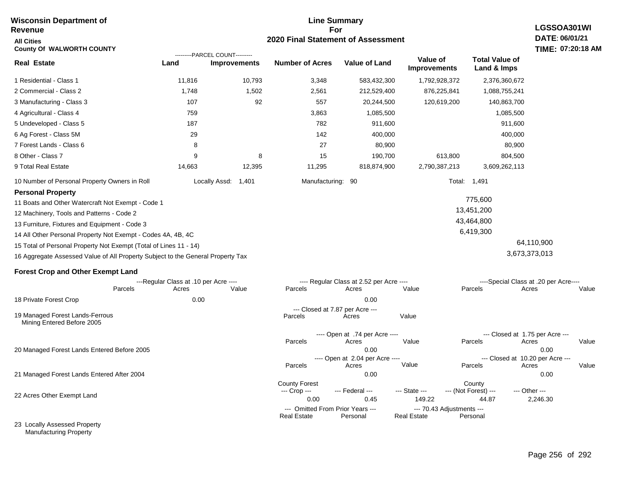#### **For 2020 Final Statement of Assessment Revenue All Cities County Of WALWORTH COUNTY LGSSOA301WI DATE: 06/01/21 TIME: 07:20:18 AM Real Estate** 1 Residential - Class 1 2 Commercial - Class 2 3 Manufacturing - Class 3 4 Agricultural - Class 4 5 Undeveloped - Class 5 6 Ag Forest - Class 5M 7 Forest Lands - Class 6 8 Other - Class 7 9 Total Real Estate 10 Number of Personal Property Owners in Roll 11,816 10,793 3,348 583,432,300 1,792,928,372 2,376,360,672 **Land Improvements Number of Acres Value of Land Value of Improvements Total Value of Land & Imps** 1,748 107 759 187 29 8 9 14,663 1,502 92 8 12,395 2,561 557 3,863 782 142 27 15 11,295 212,529,400 20,244,500 1,085,500 911,600 400,000 80,900 190,700 818,874,900 876,225,841 120,619,200 613,800 2,790,387,213 1,088,755,241 140,863,700 1,085,500 911,600 400,000 80,900 804,500 3,609,262,113 Locally Assd: 1,401 Manufacturing: 90 Total: 1,491 **Personal Property** 11 Boats and Other Watercraft Not Exempt - Code 1 12 Machinery, Tools and Patterns - Code 2 13 Furniture, Fixtures and Equipment - Code 3 14 All Other Personal Property Not Exempt - Codes 4A, 4B, 4C 15 Total of Personal Property Not Exempt (Total of Lines 11 - 14) 16 Aggregate Assessed Value of All Property Subject to the General Property Tax 775,600 13,451,200 43,464,800 6,419,300 64,110,900 3,673,373,013 **Forest Crop and Other Exempt Land** ---Regular Class at .10 per Acre ---- ---- Regular Class at 2.52 per Acre ---- ----Special Class at .20 per Acre---- 18 Private Forest Crop 20 Managed Forest Lands Entered Before 2005 21 Managed Forest Lands Entered After 2004 Parcels 0.00 0.00 Acres Value Parcels Acres Value Parcels Acres Value ---- Open at .74 per Acre<br>Acres Parcels 0.00 0.00 Acres Value Parcels Acres Value --- Closed at 1.75 per Acre --- ---- Open at 2.04 per Acre ---- --- Closed at 10.20 per Acre --- Parcels 0.00 0.00 Acres **Value Parcels Acres Value** County Forest County County --- Crop --- 0.00 0.45 149.22 44.87 2,246.30 --- Federal --- - --- State --- --- (Not Forest) --- --- Other ---22 Acres Other Exempt Land 23 Locally Assessed Property --- Omitted From Prior Years ---<br>Real Estate Personal Personal Real Estate Personal **Real Estate** ---------PARCEL COUNT--------- 19 Managed Forest Lands-Ferrous Mining Entered Before 2005 --- Closed at 7.87 per Acre ---<br>rcels Acres Parcels **Acres** Value

**Line Summary**

Manufacturing Property

**Wisconsin Department of**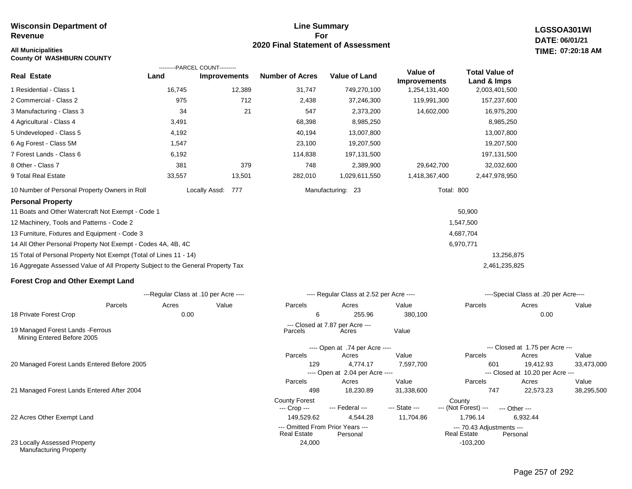# **Line Summary For 2020 Final Statement of Assessment**

**LGSSOA301WI DATE: 06/01/21 All Municipalities TIME: 07:20:18 AM**

| <b>County Of WASHBURN COUNTY</b>                                                |        |                                                       |                        |                                              |                     |                                                 |                                           |            |
|---------------------------------------------------------------------------------|--------|-------------------------------------------------------|------------------------|----------------------------------------------|---------------------|-------------------------------------------------|-------------------------------------------|------------|
| <b>Real Estate</b>                                                              | Land   | ---------PARCEL COUNT---------<br><b>Improvements</b> | <b>Number of Acres</b> | <b>Value of Land</b>                         | Value of            | <b>Total Value of</b>                           |                                           |            |
|                                                                                 |        |                                                       |                        |                                              | <b>Improvements</b> | Land & Imps                                     |                                           |            |
| 1 Residential - Class 1                                                         | 16,745 | 12,389                                                | 31,747                 | 749,270,100                                  | 1,254,131,400       | 2,003,401,500                                   |                                           |            |
| 2 Commercial - Class 2                                                          | 975    | 712                                                   | 2,438                  | 37,246,300                                   | 119,991,300         | 157,237,600                                     |                                           |            |
| 3 Manufacturing - Class 3                                                       | 34     | 21                                                    | 547                    | 2,373,200                                    | 14,602,000          | 16,975,200                                      |                                           |            |
| 4 Agricultural - Class 4                                                        | 3,491  |                                                       | 68,398                 | 8,985,250                                    |                     | 8,985,250                                       |                                           |            |
| 5 Undeveloped - Class 5                                                         | 4,192  |                                                       | 40,194                 | 13,007,800                                   |                     | 13,007,800                                      |                                           |            |
| 6 Ag Forest - Class 5M                                                          | 1,547  |                                                       | 23,100                 | 19,207,500                                   |                     | 19,207,500                                      |                                           |            |
| 7 Forest Lands - Class 6                                                        | 6,192  |                                                       | 114,838                | 197,131,500                                  |                     | 197,131,500                                     |                                           |            |
| 8 Other - Class 7                                                               | 381    | 379                                                   | 748                    | 2,389,900                                    | 29,642,700          | 32,032,600                                      |                                           |            |
| 9 Total Real Estate                                                             | 33,557 | 13,501                                                | 282,010                | 1,029,611,550                                | 1,418,367,400       | 2,447,978,950                                   |                                           |            |
| 10 Number of Personal Property Owners in Roll                                   |        | Locally Assd: 777                                     |                        | Manufacturing: 23                            |                     | Total: 800                                      |                                           |            |
| <b>Personal Property</b>                                                        |        |                                                       |                        |                                              |                     |                                                 |                                           |            |
| 11 Boats and Other Watercraft Not Exempt - Code 1                               |        |                                                       |                        |                                              |                     | 50,900                                          |                                           |            |
| 12 Machinery, Tools and Patterns - Code 2                                       |        |                                                       |                        |                                              |                     | 1,547,500                                       |                                           |            |
| 13 Furniture, Fixtures and Equipment - Code 3                                   |        |                                                       |                        |                                              |                     | 4,687,704                                       |                                           |            |
| 14 All Other Personal Property Not Exempt - Codes 4A, 4B, 4C                    |        |                                                       |                        |                                              |                     | 6,970,771                                       |                                           |            |
| 15 Total of Personal Property Not Exempt (Total of Lines 11 - 14)               |        |                                                       |                        |                                              |                     |                                                 | 13,256,875                                |            |
| 16 Aggregate Assessed Value of All Property Subject to the General Property Tax |        |                                                       |                        |                                              |                     | 2,461,235,825                                   |                                           |            |
| <b>Forest Crop and Other Exempt Land</b>                                        |        |                                                       |                        |                                              |                     |                                                 |                                           |            |
|                                                                                 |        | ---Regular Class at .10 per Acre ----                 |                        | ---- Regular Class at 2.52 per Acre ----     |                     |                                                 | ----Special Class at .20 per Acre----     |            |
| Parcels                                                                         | Acres  | Value                                                 | Parcels                | Acres                                        | Value               | Parcels                                         | Acres                                     | Value      |
| 18 Private Forest Crop                                                          | 0.00   |                                                       | 6                      | 255.96                                       | 380,100             |                                                 | 0.00                                      |            |
| 19 Managed Forest Lands - Ferrous<br>Mining Entered Before 2005                 |        |                                                       | Parcels                | --- Closed at 7.87 per Acre ---<br>Acres     | Value               |                                                 |                                           |            |
|                                                                                 |        |                                                       |                        | ---- Open at .74 per Acre ----               |                     |                                                 | --- Closed at 1.75 per Acre ---           |            |
|                                                                                 |        |                                                       | Parcels                | Acres                                        | Value               | Parcels                                         | Acres                                     | Value      |
| 20 Managed Forest Lands Entered Before 2005                                     |        |                                                       | 129                    | 4.774.17                                     | 7,597,700           | 601                                             | 19,412.93                                 | 33,473,000 |
|                                                                                 |        |                                                       | Parcels                | ---- Open at 2.04 per Acre ----<br>Acres     | Value               | Parcels                                         | --- Closed at 10.20 per Acre ---<br>Acres | Value      |
| 21 Managed Forest Lands Entered After 2004                                      |        |                                                       | 498                    | 18,230.89                                    | 31,338,600          | 747                                             | 22,573.23                                 | 38,295,500 |
|                                                                                 |        |                                                       | <b>County Forest</b>   |                                              |                     | County                                          |                                           |            |
|                                                                                 |        |                                                       | --- Crop ---           | --- Federal ---                              | --- State ---       | --- (Not Forest) ---                            | --- Other ---                             |            |
| 22 Acres Other Exempt Land                                                      |        |                                                       | 149,529.62             | 4,544.28                                     | 11,704.86           | 1,796.14                                        | 6,932.44                                  |            |
|                                                                                 |        |                                                       | <b>Real Estate</b>     | --- Omitted From Prior Years ---<br>Personal |                     | --- 70.43 Adjustments ---<br><b>Real Estate</b> | Personal                                  |            |
| 23 Locally Assessed Property                                                    |        |                                                       | 24,000                 |                                              |                     | $-103.200$                                      |                                           |            |

Manufacturing Property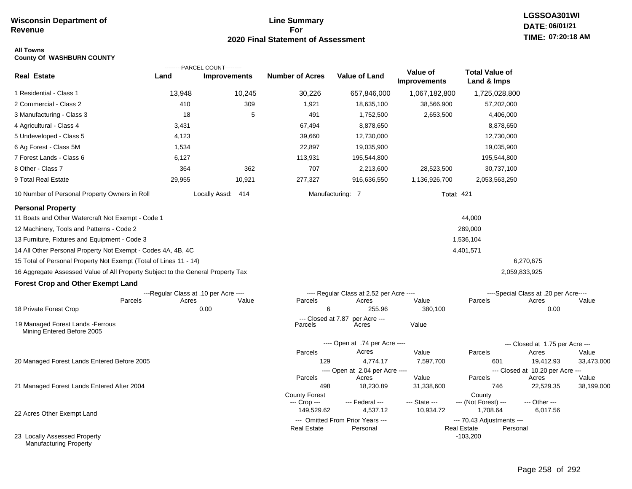# **Line Summary For 2020 Final Statement of Assessment**

# **LGSSOA301WI DATE: 06/01/21 TIME: 07:20:18 AM**

### **All Towns County Of WASHBURN COUNTY**

|                                                                                 |        | ---------PARCEL COUNT---------        |                               |                                          |                                 |                                              |                                       |                     |
|---------------------------------------------------------------------------------|--------|---------------------------------------|-------------------------------|------------------------------------------|---------------------------------|----------------------------------------------|---------------------------------------|---------------------|
| <b>Real Estate</b>                                                              | Land   | <b>Improvements</b>                   | <b>Number of Acres</b>        | Value of Land                            | Value of<br><b>Improvements</b> | <b>Total Value of</b><br>Land & Imps         |                                       |                     |
| 1 Residential - Class 1                                                         | 13,948 | 10,245                                | 30,226                        | 657,846,000                              | 1,067,182,800                   | 1,725,028,800                                |                                       |                     |
| 2 Commercial - Class 2                                                          | 410    | 309                                   | 1,921                         | 18,635,100                               | 38,566,900                      | 57,202,000                                   |                                       |                     |
| 3 Manufacturing - Class 3                                                       | 18     | 5                                     | 491                           | 1,752,500                                | 2,653,500                       | 4,406,000                                    |                                       |                     |
| 4 Agricultural - Class 4                                                        | 3,431  |                                       | 67,494                        | 8,878,650                                |                                 | 8,878,650                                    |                                       |                     |
| 5 Undeveloped - Class 5                                                         | 4,123  |                                       | 39,660                        | 12,730,000                               |                                 | 12,730,000                                   |                                       |                     |
| 6 Ag Forest - Class 5M                                                          | 1,534  |                                       | 22,897                        | 19,035,900                               |                                 | 19,035,900                                   |                                       |                     |
| 7 Forest Lands - Class 6                                                        | 6,127  |                                       | 113,931                       | 195,544,800                              |                                 | 195,544,800                                  |                                       |                     |
| 8 Other - Class 7                                                               | 364    | 362                                   | 707                           | 2,213,600                                | 28,523,500                      | 30,737,100                                   |                                       |                     |
| 9 Total Real Estate                                                             | 29,955 | 10,921                                | 277,327                       | 916,636,550                              | 1,136,926,700                   | 2,053,563,250                                |                                       |                     |
| 10 Number of Personal Property Owners in Roll                                   |        | Locally Assd: 414                     |                               | Manufacturing: 7                         | <b>Total: 421</b>               |                                              |                                       |                     |
| <b>Personal Property</b>                                                        |        |                                       |                               |                                          |                                 |                                              |                                       |                     |
| 11 Boats and Other Watercraft Not Exempt - Code 1                               |        |                                       |                               |                                          |                                 | 44,000                                       |                                       |                     |
| 12 Machinery, Tools and Patterns - Code 2                                       |        |                                       |                               |                                          |                                 | 289,000                                      |                                       |                     |
| 13 Furniture, Fixtures and Equipment - Code 3                                   |        |                                       |                               |                                          |                                 | 1,536,104                                    |                                       |                     |
| 14 All Other Personal Property Not Exempt - Codes 4A, 4B, 4C                    |        |                                       |                               |                                          |                                 | 4,401,571                                    |                                       |                     |
| 15 Total of Personal Property Not Exempt (Total of Lines 11 - 14)               |        |                                       |                               |                                          |                                 |                                              | 6,270,675                             |                     |
| 16 Aggregate Assessed Value of All Property Subject to the General Property Tax |        |                                       |                               |                                          |                                 |                                              | 2,059,833,925                         |                     |
| <b>Forest Crop and Other Exempt Land</b>                                        |        |                                       |                               |                                          |                                 |                                              |                                       |                     |
|                                                                                 |        | ---Regular Class at .10 per Acre ---- |                               | ---- Regular Class at 2.52 per Acre ---- |                                 |                                              | ----Special Class at .20 per Acre---- |                     |
| Parcels                                                                         | Acres  | Value                                 | Parcels                       | Acres                                    | Value                           | Parcels                                      | Acres                                 | Value               |
| 18 Private Forest Crop                                                          |        | 0.00                                  | 6                             | 255.96                                   | 380,100                         |                                              | 0.00                                  |                     |
| 19 Managed Forest Lands - Ferrous<br>Mining Entered Before 2005                 |        |                                       | --- Closed at 7.87<br>Parcels | per Acre ---<br>Acres                    | Value                           |                                              |                                       |                     |
|                                                                                 |        |                                       |                               | ---- Open at .74 per Acre ----           |                                 |                                              | --- Closed at 1.75 per Acre ---       |                     |
|                                                                                 |        |                                       | Parcels                       | Acres                                    | Value                           | Parcels                                      | Acres                                 | Value               |
| 20 Managed Forest Lands Entered Before 2005                                     |        |                                       | 129                           | 4,774.17                                 | 7,597,700                       | 601                                          | 19,412.93                             | 33,473,000          |
|                                                                                 |        |                                       |                               | ---- Open at 2.04 per Acre ----          |                                 |                                              | --- Closed at 10.20 per Acre ---      |                     |
|                                                                                 |        |                                       | Parcels<br>498                | Acres<br>18,230.89                       | Value<br>31,338,600             | Parcels<br>746                               | Acres<br>22,529.35                    | Value<br>38,199,000 |
| 21 Managed Forest Lands Entered After 2004                                      |        |                                       | <b>County Forest</b>          |                                          |                                 | County                                       |                                       |                     |
|                                                                                 |        |                                       | --- Crop ---                  | --- Federal ---                          | --- State ---                   | --- (Not Forest) ---                         | --- Other ---                         |                     |
| 22 Acres Other Exempt Land                                                      |        |                                       | 149,529.62                    | 4,537.12                                 | 10,934.72                       | 1,708.64                                     | 6,017.56                              |                     |
|                                                                                 |        |                                       |                               | --- Omitted From Prior Years ---         |                                 | --- 70.43 Adjustments ---                    |                                       |                     |
| 23 Locally Assessed Property<br>Manufacturing Property                          |        |                                       | <b>Real Estate</b>            | Personal                                 |                                 | <b>Real Estate</b><br>Personal<br>$-103,200$ |                                       |                     |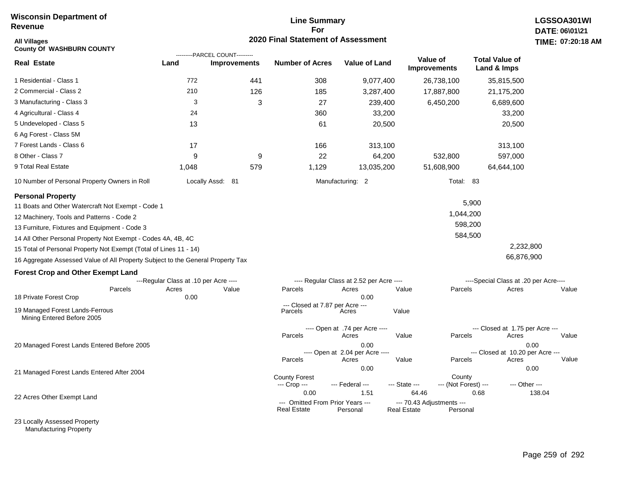# **Line Summary For 2020 Final Statement of Assessment**

| All Villages<br><b>County Of WASHBURN COUNTY</b>                                |                                       | ---------PARCEL COUNT--------- | <b>2020 Final Statement of Assessment</b>              |                                          |                                          |                                 |                                       | <b>TIME: 07:20</b> |
|---------------------------------------------------------------------------------|---------------------------------------|--------------------------------|--------------------------------------------------------|------------------------------------------|------------------------------------------|---------------------------------|---------------------------------------|--------------------|
| <b>Real Estate</b>                                                              | Land                                  | <b>Improvements</b>            | <b>Number of Acres</b>                                 | <b>Value of Land</b>                     |                                          | Value of<br><b>Improvements</b> | <b>Total Value of</b><br>Land & Imps  |                    |
| 1 Residential - Class 1                                                         | 772                                   | 441                            | 308                                                    | 9,077,400                                |                                          | 26,738,100                      | 35,815,500                            |                    |
| 2 Commercial - Class 2                                                          | 210                                   | 126                            | 185                                                    | 3,287,400                                |                                          | 17,887,800                      | 21,175,200                            |                    |
| 3 Manufacturing - Class 3                                                       | 3                                     | 3                              | 27                                                     | 239,400                                  |                                          | 6,450,200                       | 6,689,600                             |                    |
| 4 Agricultural - Class 4                                                        | 24                                    |                                | 360                                                    | 33,200                                   |                                          |                                 | 33,200                                |                    |
| 5 Undeveloped - Class 5                                                         | 13                                    |                                | 61                                                     | 20,500                                   |                                          |                                 | 20,500                                |                    |
| 6 Ag Forest - Class 5M                                                          |                                       |                                |                                                        |                                          |                                          |                                 |                                       |                    |
| 7 Forest Lands - Class 6                                                        | 17                                    |                                | 166                                                    | 313,100                                  |                                          |                                 | 313,100                               |                    |
| 8 Other - Class 7                                                               | 9                                     | 9                              | 22                                                     | 64,200                                   |                                          | 532,800                         | 597,000                               |                    |
| 9 Total Real Estate                                                             | 1,048                                 | 579                            | 1,129                                                  | 13,035,200                               |                                          | 51,608,900                      | 64,644,100                            |                    |
| 10 Number of Personal Property Owners in Roll                                   |                                       | Locally Assd: 81               |                                                        | Manufacturing: 2                         |                                          | Total: 83                       |                                       |                    |
| <b>Personal Property</b>                                                        |                                       |                                |                                                        |                                          |                                          |                                 |                                       |                    |
| 11 Boats and Other Watercraft Not Exempt - Code 1                               |                                       |                                |                                                        |                                          |                                          |                                 | 5,900                                 |                    |
| 12 Machinery, Tools and Patterns - Code 2                                       |                                       |                                |                                                        |                                          |                                          | 1,044,200                       |                                       |                    |
| 13 Furniture, Fixtures and Equipment - Code 3                                   |                                       |                                |                                                        |                                          |                                          | 598,200                         |                                       |                    |
| 14 All Other Personal Property Not Exempt - Codes 4A, 4B, 4C                    |                                       |                                |                                                        |                                          |                                          | 584,500                         |                                       |                    |
| 15 Total of Personal Property Not Exempt (Total of Lines 11 - 14)               |                                       |                                |                                                        |                                          |                                          |                                 | 2,232,800                             |                    |
| 16 Aggregate Assessed Value of All Property Subject to the General Property Tax |                                       |                                |                                                        |                                          |                                          |                                 | 66,876,900                            |                    |
| <b>Forest Crop and Other Exempt Land</b>                                        |                                       |                                |                                                        |                                          |                                          |                                 |                                       |                    |
|                                                                                 | ---Regular Class at .10 per Acre ---- |                                |                                                        | ---- Regular Class at 2.52 per Acre ---- |                                          |                                 | ----Special Class at .20 per Acre---- |                    |
| Parcels<br>18 Private Forest Crop                                               | Acres<br>0.00                         | Value                          | Parcels                                                | Acres<br>0.00                            | Value                                    | Parcels                         | Acres                                 | Value              |
|                                                                                 |                                       |                                | --- Closed at 7.87 per Acre ---                        |                                          |                                          |                                 |                                       |                    |
| 19 Managed Forest Lands-Ferrous<br>Mining Entered Before 2005                   |                                       |                                | Parcels                                                | Acres                                    | Value                                    |                                 |                                       |                    |
|                                                                                 |                                       |                                |                                                        | ---- Open at .74 per Acre ----           |                                          |                                 | --- Closed at 1.75 per Acre ---       |                    |
|                                                                                 |                                       |                                | Parcels                                                | Acres<br>0.00                            | Value                                    | Parcels                         | Acres                                 | Value<br>0.00      |
| 20 Managed Forest Lands Entered Before 2005                                     |                                       |                                |                                                        | ---- Open at 2.04 per Acre ----          |                                          |                                 | --- Closed at 10.20 per Acre ---      |                    |
|                                                                                 |                                       |                                | Parcels                                                | Acres                                    | Value                                    | Parcels                         | Acres                                 | Value              |
| 21 Managed Forest Lands Entered After 2004                                      |                                       |                                |                                                        | 0.00                                     |                                          |                                 |                                       | 0.00               |
|                                                                                 |                                       |                                | <b>County Forest</b><br>--- Crop ---                   | --- Federal ---                          | --- State ---                            | County<br>--- (Not Forest) ---  | --- Other ---                         |                    |
| 22 Acres Other Exempt Land                                                      |                                       |                                | 0.00                                                   | 1.51                                     | 64.46                                    |                                 | 0.68                                  | 138.04             |
|                                                                                 |                                       |                                | --- Omitted From Prior Years ---<br><b>Real Estate</b> | Personal                                 | --- 70.43 Adjustments ---<br>Real Estate | Personal                        |                                       |                    |

23 Locally Assessed Property Manufacturing Property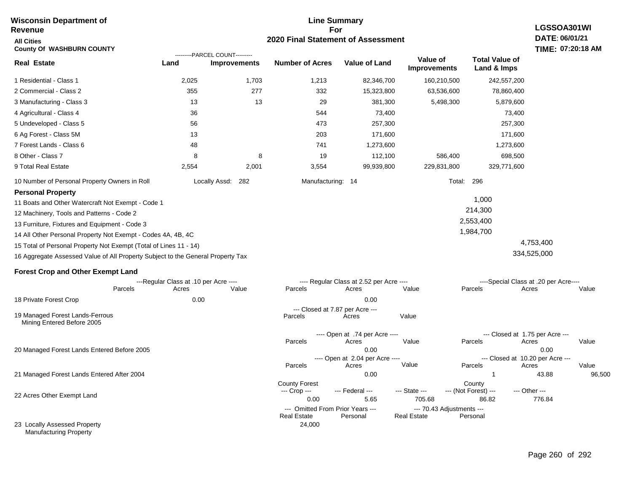#### **Line Summary For 2020 Final Statement of Assessment Wisconsin Department of Revenue All Cities County Of WASHBURN COUNTY LGSSOA301WI DATE: 06/01/21 TIME: 07:20:18 AM Real Estate** 1 Residential - Class 1 2 Commercial - Class 2 3 Manufacturing - Class 3 4 Agricultural - Class 4 5 Undeveloped - Class 5 6 Ag Forest - Class 5M 7 Forest Lands - Class 6 8 Other - Class 7 9 Total Real Estate 10 Number of Personal Property Owners in Roll 2,025 1,703 1,213 82,346,700 160,210,500 242,557,200 **Land Improvements Number of Acres Value of Land Value of Improvements Total Value of Land & Imps** 355 13 36 56 13 48 8 2,554 277 13 8 2,001 332 29 544 473 203 741 19 3,554 15,323,800 381,300 73,400 257,300 171,600 1,273,600 112,100 99,939,800 63,536,600 5,498,300 586,400 229,831,800 78,860,400 5,879,600 73,400 257,300 171,600 1,273,600 698,500 329,771,600 Locally Assd: 282 Manufacturing: 14 Total: 296 **Personal Property** 11 Boats and Other Watercraft Not Exempt - Code 1 12 Machinery, Tools and Patterns - Code 2 13 Furniture, Fixtures and Equipment - Code 3 14 All Other Personal Property Not Exempt - Codes 4A, 4B, 4C 15 Total of Personal Property Not Exempt (Total of Lines 11 - 14) 16 Aggregate Assessed Value of All Property Subject to the General Property Tax 1,000 214,300 2,553,400 1,984,700 4,753,400 334,525,000 **Forest Crop and Other Exempt Land** ---Regular Class at .10 per Acre ---- ---- Regular Class at 2.52 per Acre ---- ----Special Class at .20 per Acre---- 18 Private Forest Crop 20 Managed Forest Lands Entered Before 2005 21 Managed Forest Lands Entered After 2004 Parcels 0.00 0.00 Acres Value Parcels Acres Value Parcels Acres Value ---- Open at .74 per Acre<br>Acres Parcels 0.00 0.00 Acres Value Parcels Acres Value --- Closed at 1.75 per Acre --- ---- Open at 2.04 per Acre ---- --- Closed at 10.20 per Acre --- Parcels 0.00 1 43.88 96,500 Acres **Value Parcels Acres Value** County Forest County County --- Crop --- 0.00 5.65 705.68 86.82 776.84 --- Federal --- - --- State --- --- (Not Forest) --- --- Other ---22 Acres Other Exempt Land --- Omitted From Prior Years ---<br>Real Estate Personal Personal Real Estate Personal **Real Estate** ---------PARCEL COUNT--------- 19 Managed Forest Lands-Ferrous Mining Entered Before 2005 --- Closed at 7.87 per Acre ---<br>rcels Acres Parcels **Acres** Value

24,000

23 Locally Assessed Property Manufacturing Property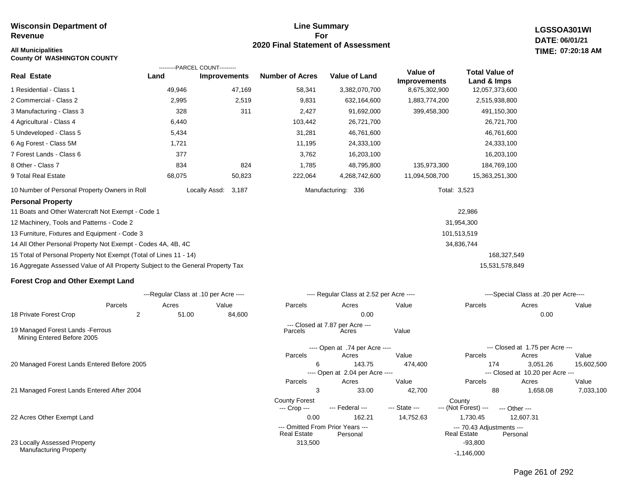# **Line Summary For 2020 Final Statement of Assessment**

**LGSSOA301WI DATE: 06/01/21 07:20:18 AM**

# **All Municipalities TIME:**

**County Of WASHINGTON COUNTY**

|                                                                                 |        | ---------PARCEL COUNT--------- |                        |                      |                                 |                                      |
|---------------------------------------------------------------------------------|--------|--------------------------------|------------------------|----------------------|---------------------------------|--------------------------------------|
| <b>Real Estate</b>                                                              | Land   | <b>Improvements</b>            | <b>Number of Acres</b> | <b>Value of Land</b> | Value of<br><b>Improvements</b> | <b>Total Value of</b><br>Land & Imps |
| 1 Residential - Class 1                                                         | 49,946 | 47,169                         | 58,341                 | 3,382,070,700        | 8,675,302,900                   | 12,057,373,600                       |
| 2 Commercial - Class 2                                                          | 2,995  | 2,519                          | 9,831                  | 632,164,600          | 1,883,774,200                   | 2,515,938,800                        |
| 3 Manufacturing - Class 3                                                       | 328    | 311                            | 2,427                  | 91,692,000           | 399,458,300                     | 491,150,300                          |
| 4 Agricultural - Class 4                                                        | 6,440  |                                | 103,442                | 26,721,700           |                                 | 26,721,700                           |
| 5 Undeveloped - Class 5                                                         | 5,434  |                                | 31,281                 | 46,761,600           |                                 | 46,761,600                           |
| 6 Ag Forest - Class 5M                                                          | 1,721  |                                | 11,195                 | 24,333,100           |                                 | 24,333,100                           |
| 7 Forest Lands - Class 6                                                        | 377    |                                | 3,762                  | 16,203,100           |                                 | 16,203,100                           |
| 8 Other - Class 7                                                               | 834    | 824                            | 1,785                  | 48,795,800           | 135,973,300                     | 184,769,100                          |
| 9 Total Real Estate                                                             | 68,075 | 50,823                         | 222,064                | 4,268,742,600        | 11,094,508,700                  | 15,363,251,300                       |
| 10 Number of Personal Property Owners in Roll                                   |        | Locally Assd:<br>3,187         |                        | Manufacturing: 336   |                                 | Total: 3,523                         |
| <b>Personal Property</b>                                                        |        |                                |                        |                      |                                 |                                      |
| 11 Boats and Other Watercraft Not Exempt - Code 1                               |        |                                |                        |                      |                                 | 22,986                               |
| 12 Machinery, Tools and Patterns - Code 2                                       |        |                                |                        |                      |                                 | 31,954,300                           |
| 13 Furniture, Fixtures and Equipment - Code 3                                   |        |                                |                        |                      |                                 | 101,513,519                          |
| 14 All Other Personal Property Not Exempt - Codes 4A, 4B, 4C                    |        |                                |                        |                      |                                 | 34,836,744                           |
| 15 Total of Personal Property Not Exempt (Total of Lines 11 - 14)               |        |                                |                        |                      |                                 | 168,327,549                          |
| 16 Aggregate Assessed Value of All Property Subject to the General Property Tax |        |                                |                        |                      |                                 | 15,531,578,849                       |

# **Forest Crop and Other Exempt Land**

|                                                                 |         | ---Regular Class at .10 per Acre ---- |        |                                                        | ---- Regular Class at 2.52 per Acre ---- |               |                                                 | ----Special Class at .20 per Acre---- |            |  |
|-----------------------------------------------------------------|---------|---------------------------------------|--------|--------------------------------------------------------|------------------------------------------|---------------|-------------------------------------------------|---------------------------------------|------------|--|
|                                                                 | Parcels | Acres                                 | Value  | Parcels                                                | Acres                                    | Value         | Parcels                                         | Acres                                 | Value      |  |
| 18 Private Forest Crop                                          | 2       | 51.00                                 | 84,600 |                                                        | 0.00                                     |               |                                                 | 0.00                                  |            |  |
|                                                                 |         |                                       |        |                                                        | --- Closed at 7.87 per Acre ---          |               |                                                 |                                       |            |  |
| 19 Managed Forest Lands - Ferrous<br>Mining Entered Before 2005 |         |                                       |        | Parcels                                                | Acres                                    | Value         |                                                 |                                       |            |  |
|                                                                 |         |                                       |        |                                                        | ---- Open at .74 per Acre ----           |               |                                                 | --- Closed at 1.75 per Acre ---       |            |  |
|                                                                 |         |                                       |        | Parcels                                                | Acres                                    | Value         | Parcels                                         | Acres                                 | Value      |  |
| 20 Managed Forest Lands Entered Before 2005                     |         |                                       |        | 6                                                      | 143.75                                   | 474,400       | 174                                             | 3,051.26                              | 15,602,500 |  |
|                                                                 |         |                                       |        |                                                        | ---- Open at 2.04 per Acre ----          |               |                                                 | --- Closed at 10.20 per Acre ---      |            |  |
|                                                                 |         |                                       |        | Parcels                                                | Acres                                    | Value         | Parcels                                         | Acres                                 | Value      |  |
| 21 Managed Forest Lands Entered After 2004                      |         |                                       |        | 3                                                      | 33.00                                    | 42,700        | 88                                              | 1,658.08                              | 7,033,100  |  |
|                                                                 |         |                                       |        | <b>County Forest</b>                                   |                                          |               | County                                          |                                       |            |  |
|                                                                 |         |                                       |        | --- Crop ---                                           | --- Federal ---                          | --- State --- | --- (Not Forest) ---                            | --- Other ---                         |            |  |
| 22 Acres Other Exempt Land                                      |         |                                       |        | 0.00                                                   | 162.21                                   | 14,752.63     | 1,730.45                                        | 12,607.31                             |            |  |
|                                                                 |         |                                       |        | --- Omitted From Prior Years ---<br><b>Real Estate</b> | Personal                                 |               | --- 70.43 Adjustments ---<br><b>Real Estate</b> | Personal                              |            |  |
| 23 Locally Assessed Property                                    |         |                                       |        | 313,500                                                |                                          |               | $-93,800$                                       |                                       |            |  |
| <b>Manufacturing Property</b>                                   |         |                                       |        |                                                        |                                          |               | $-1,146,000$                                    |                                       |            |  |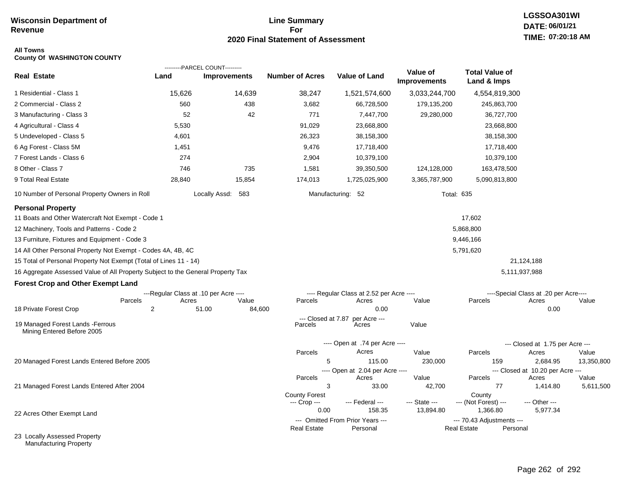# **Line Summary For 2020 Final Statement of Assessment**

# **LGSSOA301WI DATE: 06/01/21 TIME: 07:20:18 AM**

#### **All Towns County Of WASHINGTON COUNTY**

| <b>Real Estate</b>                                                                                                                                                                                                                                                                                                                                                                                                                                                                                                        | Land                                                | ---------PARCEL COUNT---------<br><b>Improvements</b> | <b>Number of Acres</b>                   | Value of Land                                                                      | Value of            | <b>Total Value of</b>                                    |                                                                                       |            |
|---------------------------------------------------------------------------------------------------------------------------------------------------------------------------------------------------------------------------------------------------------------------------------------------------------------------------------------------------------------------------------------------------------------------------------------------------------------------------------------------------------------------------|-----------------------------------------------------|-------------------------------------------------------|------------------------------------------|------------------------------------------------------------------------------------|---------------------|----------------------------------------------------------|---------------------------------------------------------------------------------------|------------|
|                                                                                                                                                                                                                                                                                                                                                                                                                                                                                                                           |                                                     |                                                       |                                          |                                                                                    | <b>Improvements</b> | Land & Imps                                              |                                                                                       |            |
| 1 Residential - Class 1                                                                                                                                                                                                                                                                                                                                                                                                                                                                                                   | 15,626                                              | 14,639                                                | 38,247                                   | 1,521,574,600                                                                      | 3,033,244,700       | 4,554,819,300                                            |                                                                                       |            |
| 2 Commercial - Class 2                                                                                                                                                                                                                                                                                                                                                                                                                                                                                                    | 560                                                 | 438                                                   | 3,682                                    | 66,728,500                                                                         | 179,135,200         | 245,863,700                                              |                                                                                       |            |
| 3 Manufacturing - Class 3                                                                                                                                                                                                                                                                                                                                                                                                                                                                                                 | 52                                                  | 42                                                    | 771                                      | 7,447,700                                                                          | 29,280,000          | 36,727,700                                               |                                                                                       |            |
| 4 Agricultural - Class 4                                                                                                                                                                                                                                                                                                                                                                                                                                                                                                  | 5,530                                               |                                                       | 91,029                                   | 23,668,800                                                                         |                     | 23,668,800                                               |                                                                                       |            |
| 5 Undeveloped - Class 5                                                                                                                                                                                                                                                                                                                                                                                                                                                                                                   | 4,601                                               |                                                       | 26,323                                   | 38,158,300                                                                         |                     | 38,158,300                                               |                                                                                       |            |
| 6 Ag Forest - Class 5M                                                                                                                                                                                                                                                                                                                                                                                                                                                                                                    | 1,451                                               |                                                       | 9,476                                    | 17,718,400                                                                         |                     | 17,718,400                                               |                                                                                       |            |
| 7 Forest Lands - Class 6                                                                                                                                                                                                                                                                                                                                                                                                                                                                                                  | 274                                                 |                                                       | 2,904                                    | 10,379,100                                                                         |                     | 10,379,100                                               |                                                                                       |            |
| 8 Other - Class 7                                                                                                                                                                                                                                                                                                                                                                                                                                                                                                         | 746                                                 | 735                                                   | 1,581                                    | 39,350,500                                                                         | 124,128,000         | 163,478,500                                              |                                                                                       |            |
| 9 Total Real Estate                                                                                                                                                                                                                                                                                                                                                                                                                                                                                                       | 28,840                                              | 15,854                                                | 174,013                                  | 1,725,025,900                                                                      | 3,365,787,900       | 5,090,813,800                                            |                                                                                       |            |
| 10 Number of Personal Property Owners in Roll                                                                                                                                                                                                                                                                                                                                                                                                                                                                             |                                                     | Locally Assd: 583                                     |                                          | Manufacturing: 52                                                                  | <b>Total: 635</b>   |                                                          |                                                                                       |            |
| <b>Personal Property</b><br>11 Boats and Other Watercraft Not Exempt - Code 1<br>12 Machinery, Tools and Patterns - Code 2<br>13 Furniture, Fixtures and Equipment - Code 3<br>14 All Other Personal Property Not Exempt - Codes 4A, 4B, 4C<br>15 Total of Personal Property Not Exempt (Total of Lines 11 - 14)<br>16 Aggregate Assessed Value of All Property Subject to the General Property Tax<br><b>Forest Crop and Other Exempt Land</b><br>Parcels<br>18 Private Forest Crop<br>19 Managed Forest Lands - Ferrous | ---Regular Class at .10 per Acre ----<br>Acres<br>2 | Value<br>51.00<br>84,600                              | Parcels<br>--- Closed at 7.87<br>Parcels | ---- Regular Class at 2.52 per Acre ----<br>Acres<br>0.00<br>per Acre ---<br>Acres | Value<br>Value      | 17,602<br>5,868,800<br>9,446,166<br>5,791,620<br>Parcels | 21,124,188<br>5,111,937,988<br>----Special Class at .20 per Acre----<br>Acres<br>0.00 | Value      |
| Mining Entered Before 2005                                                                                                                                                                                                                                                                                                                                                                                                                                                                                                |                                                     |                                                       |                                          |                                                                                    |                     |                                                          |                                                                                       |            |
|                                                                                                                                                                                                                                                                                                                                                                                                                                                                                                                           |                                                     |                                                       | Parcels                                  | ---- Open at .74 per Acre ----<br>Acres                                            | Value               | Parcels                                                  | --- Closed at 1.75 per Acre ---<br>Acres                                              | Value      |
| 20 Managed Forest Lands Entered Before 2005                                                                                                                                                                                                                                                                                                                                                                                                                                                                               |                                                     |                                                       | 5                                        | 115.00                                                                             | 230,000             | 159                                                      | 2,684.95                                                                              | 13,350,800 |
|                                                                                                                                                                                                                                                                                                                                                                                                                                                                                                                           |                                                     |                                                       |                                          | ---- Open at 2.04 per Acre ----                                                    |                     |                                                          | --- Closed at 10.20 per Acre ---                                                      |            |
|                                                                                                                                                                                                                                                                                                                                                                                                                                                                                                                           |                                                     |                                                       | Parcels                                  | Acres                                                                              | Value               | Parcels                                                  | Acres                                                                                 | Value      |
| 21 Managed Forest Lands Entered After 2004                                                                                                                                                                                                                                                                                                                                                                                                                                                                                |                                                     |                                                       | 3                                        | 33.00                                                                              | 42,700              | 77                                                       | 1,414.80                                                                              | 5,611,500  |
|                                                                                                                                                                                                                                                                                                                                                                                                                                                                                                                           |                                                     |                                                       | <b>County Forest</b><br>--- Crop ---     | --- Federal ---                                                                    | --- State ---       | County<br>--- (Not Forest) ---                           | --- Other ---                                                                         |            |
| 22 Acres Other Exempt Land                                                                                                                                                                                                                                                                                                                                                                                                                                                                                                |                                                     |                                                       | 0.00                                     | 158.35                                                                             | 13,894.80           | 1,366.80                                                 | 5,977.34                                                                              |            |
|                                                                                                                                                                                                                                                                                                                                                                                                                                                                                                                           |                                                     |                                                       |                                          | --- Omitted From Prior Years ---                                                   |                     | --- 70.43 Adjustments ---                                |                                                                                       |            |
| 23 Locally Assessed Property                                                                                                                                                                                                                                                                                                                                                                                                                                                                                              |                                                     |                                                       | <b>Real Estate</b>                       | Personal                                                                           |                     | <b>Real Estate</b><br>Personal                           |                                                                                       |            |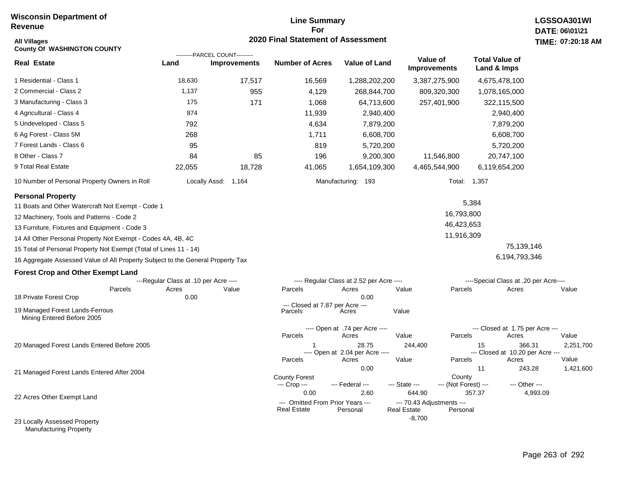# **Line Summary For 2020 Final Statement of Assessment**

| <b>All Villages</b><br><b>County Of WASHINGTON COUNTY</b>                       |                                                |                                                       |                                      | 2020 Final Statement of Assessment                   |                                                           |                                |                                      |                                                     | TIME: 07:20:18     |
|---------------------------------------------------------------------------------|------------------------------------------------|-------------------------------------------------------|--------------------------------------|------------------------------------------------------|-----------------------------------------------------------|--------------------------------|--------------------------------------|-----------------------------------------------------|--------------------|
| <b>Real Estate</b>                                                              | Land                                           | ---------PARCEL COUNT---------<br><b>Improvements</b> | <b>Number of Acres</b>               | <b>Value of Land</b>                                 | Value of<br><b>Improvements</b>                           |                                | <b>Total Value of</b><br>Land & Imps |                                                     |                    |
| 1 Residential - Class 1                                                         | 18,630                                         | 17,517                                                | 16,569                               | 1,288,202,200                                        |                                                           | 3,387,275,900                  |                                      | 4,675,478,100                                       |                    |
| 2 Commercial - Class 2                                                          | 1,137                                          | 955                                                   | 4,129                                | 268,844,700                                          |                                                           | 809,320,300                    |                                      | 1,078,165,000                                       |                    |
| 3 Manufacturing - Class 3                                                       | 175                                            | 171                                                   | 1,068                                | 64,713,600                                           |                                                           | 257,401,900                    |                                      | 322,115,500                                         |                    |
| 4 Agricultural - Class 4                                                        | 874                                            |                                                       | 11,939                               | 2,940,400                                            |                                                           |                                |                                      | 2,940,400                                           |                    |
| 5 Undeveloped - Class 5                                                         | 792                                            |                                                       | 4,634                                | 7,879,200                                            |                                                           |                                |                                      | 7,879,200                                           |                    |
| 6 Ag Forest - Class 5M                                                          | 268                                            |                                                       | 1,711                                | 6,608,700                                            |                                                           |                                |                                      | 6,608,700                                           |                    |
| 7 Forest Lands - Class 6                                                        | 95                                             |                                                       | 819                                  | 5,720,200                                            |                                                           |                                |                                      | 5,720,200                                           |                    |
| 8 Other - Class 7                                                               | 84                                             | 85                                                    | 196                                  | 9,200,300                                            |                                                           | 11,546,800                     |                                      | 20,747,100                                          |                    |
| 9 Total Real Estate                                                             | 22,055                                         | 18,728                                                | 41,065                               | 1,654,109,300                                        |                                                           | 4,465,544,900                  |                                      | 6,119,654,200                                       |                    |
| 10 Number of Personal Property Owners in Roll                                   |                                                | Locally Assd: 1,164                                   |                                      | Manufacturing: 193                                   |                                                           |                                | Total: 1,357                         |                                                     |                    |
| <b>Personal Property</b>                                                        |                                                |                                                       |                                      |                                                      |                                                           |                                | 5,384                                |                                                     |                    |
| 11 Boats and Other Watercraft Not Exempt - Code 1                               |                                                |                                                       |                                      |                                                      |                                                           | 16,793,800                     |                                      |                                                     |                    |
| 12 Machinery, Tools and Patterns - Code 2                                       |                                                |                                                       |                                      |                                                      |                                                           | 46,423,653                     |                                      |                                                     |                    |
| 13 Furniture, Fixtures and Equipment - Code 3                                   |                                                |                                                       |                                      |                                                      |                                                           | 11,916,309                     |                                      |                                                     |                    |
| 14 All Other Personal Property Not Exempt - Codes 4A, 4B, 4C                    |                                                |                                                       |                                      |                                                      |                                                           |                                |                                      | 75,139,146                                          |                    |
| 15 Total of Personal Property Not Exempt (Total of Lines 11 - 14)               |                                                |                                                       |                                      |                                                      |                                                           |                                |                                      | 6,194,793,346                                       |                    |
| 16 Aggregate Assessed Value of All Property Subject to the General Property Tax |                                                |                                                       |                                      |                                                      |                                                           |                                |                                      |                                                     |                    |
| <b>Forest Crop and Other Exempt Land</b>                                        |                                                |                                                       |                                      |                                                      |                                                           |                                |                                      |                                                     |                    |
| Parcels                                                                         | ---Regular Class at .10 per Acre ----<br>Acres | Value                                                 | Parcels                              | ---- Regular Class at 2.52 per Acre ----<br>Acres    | Value                                                     | Parcels                        |                                      | ----Special Class at .20 per Acre----<br>Acres      | Value              |
| 18 Private Forest Crop                                                          | 0.00                                           |                                                       |                                      | 0.00                                                 |                                                           |                                |                                      |                                                     |                    |
| 19 Managed Forest Lands-Ferrous<br>Mining Entered Before 2005                   |                                                |                                                       | Parcels                              | --- Closed at 7.87 per Acre ---<br>Acres             | Value                                                     |                                |                                      |                                                     |                    |
|                                                                                 |                                                |                                                       |                                      | ---- Open at .74 per Acre ----                       |                                                           |                                |                                      | --- Closed at 1.75 per Acre ---                     |                    |
|                                                                                 |                                                |                                                       | Parcels                              | Acres                                                | Value                                                     | Parcels                        |                                      | Acres                                               | Value              |
| 20 Managed Forest Lands Entered Before 2005                                     |                                                |                                                       | Parcels                              | 28.75<br>---- Open at 2.04 per Acre ----<br>Acres    | 244,400<br>Value                                          | Parcels                        | 15                                   | 366.31<br>--- Closed at 10.20 per Acre ---<br>Acres | 2,251,700<br>Value |
|                                                                                 |                                                |                                                       |                                      | 0.00                                                 |                                                           |                                | 11                                   | 243.28                                              | 1,421,600          |
| 21 Managed Forest Lands Entered After 2004                                      |                                                |                                                       | <b>County Forest</b><br>--- Crop --- | --- Federal ---                                      | --- State ---                                             | County<br>--- (Not Forest) --- |                                      | --- Other ---                                       |                    |
| 22 Acres Other Exempt Land                                                      |                                                |                                                       | 0.00<br><b>Real Estate</b>           | 2.60<br>--- Omitted From Prior Years ---<br>Personal | 644.90<br>--- 70.43 Adjustments ---<br><b>Real Estate</b> | Personal                       | 357.37                               | 4,993.09                                            |                    |
| 23 Locally Assessed Property                                                    |                                                |                                                       |                                      |                                                      | $-8,700$                                                  |                                |                                      |                                                     |                    |

Manufacturing Property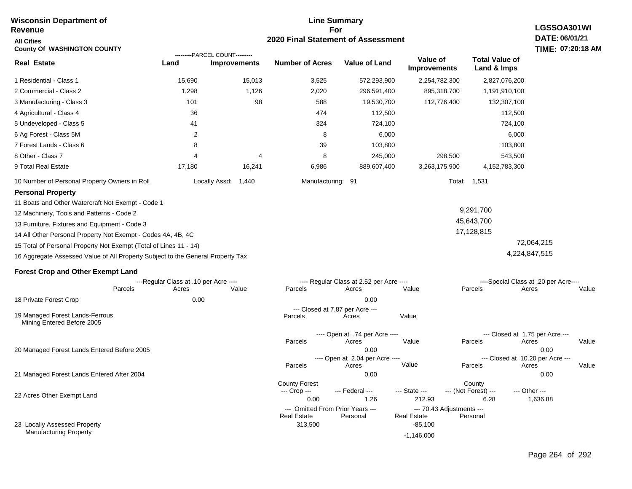| <b>Wisconsin Department of</b><br><b>Revenue</b>                                | <b>Line Summary</b><br>LGSSOA301WI<br>For      |                     |                                            |                                                   |                                 |                                            |                                                         |
|---------------------------------------------------------------------------------|------------------------------------------------|---------------------|--------------------------------------------|---------------------------------------------------|---------------------------------|--------------------------------------------|---------------------------------------------------------|
| <b>All Cities</b><br><b>County Of WASHINGTON COUNTY</b>                         |                                                |                     | 2020 Final Statement of Assessment         |                                                   |                                 |                                            | DATE: 06/01/21<br>TIME: 07:20:18 AM                     |
| <b>Real Estate</b>                                                              | ---------PARCEL COUNT---------<br>Land         | <b>Improvements</b> | <b>Number of Acres</b>                     | <b>Value of Land</b>                              | Value of<br><b>Improvements</b> | <b>Total Value of</b><br>Land & Imps       |                                                         |
| 1 Residential - Class 1                                                         | 15,690                                         | 15,013              | 3,525                                      | 572,293,900                                       | 2,254,782,300                   | 2,827,076,200                              |                                                         |
| 2 Commercial - Class 2                                                          | 1,298                                          | 1,126               | 2,020                                      | 296,591,400                                       | 895,318,700                     | 1,191,910,100                              |                                                         |
| 3 Manufacturing - Class 3                                                       | 101                                            | 98                  | 588                                        | 19,530,700                                        | 112,776,400                     | 132,307,100                                |                                                         |
| 4 Agricultural - Class 4                                                        | 36                                             |                     | 474                                        | 112,500                                           |                                 | 112,500                                    |                                                         |
| 5 Undeveloped - Class 5                                                         | 41                                             |                     | 324                                        | 724,100                                           |                                 | 724,100                                    |                                                         |
| 6 Ag Forest - Class 5M                                                          | $\overline{2}$                                 |                     | 8                                          | 6,000                                             |                                 | 6,000                                      |                                                         |
| 7 Forest Lands - Class 6                                                        | 8                                              |                     | 39                                         | 103,800                                           |                                 | 103,800                                    |                                                         |
| 8 Other - Class 7                                                               | 4                                              | 4                   | 8                                          | 245,000                                           | 298,500                         | 543,500                                    |                                                         |
| 9 Total Real Estate                                                             | 17,180                                         | 16,241              | 6,986                                      | 889,607,400                                       | 3,263,175,900                   | 4,152,783,300                              |                                                         |
| 10 Number of Personal Property Owners in Roll                                   | Locally Assd:                                  | 1,440               | Manufacturing: 91                          |                                                   |                                 | Total: 1,531                               |                                                         |
| <b>Personal Property</b>                                                        |                                                |                     |                                            |                                                   |                                 |                                            |                                                         |
| 11 Boats and Other Watercraft Not Exempt - Code 1                               |                                                |                     |                                            |                                                   |                                 |                                            |                                                         |
| 12 Machinery, Tools and Patterns - Code 2                                       |                                                |                     |                                            |                                                   |                                 | 9,291,700                                  |                                                         |
| 13 Furniture, Fixtures and Equipment - Code 3                                   |                                                |                     |                                            |                                                   |                                 | 45,643,700                                 |                                                         |
| 14 All Other Personal Property Not Exempt - Codes 4A, 4B, 4C                    |                                                |                     |                                            |                                                   |                                 | 17,128,815                                 |                                                         |
| 15 Total of Personal Property Not Exempt (Total of Lines 11 - 14)               |                                                |                     |                                            |                                                   |                                 |                                            | 72,064,215                                              |
| 16 Aggregate Assessed Value of All Property Subject to the General Property Tax |                                                |                     |                                            |                                                   |                                 |                                            | 4,224,847,515                                           |
| <b>Forest Crop and Other Exempt Land</b>                                        |                                                |                     |                                            |                                                   |                                 |                                            |                                                         |
| Parcels                                                                         | ---Regular Class at .10 per Acre ----<br>Acres | Value               | Parcels                                    | ---- Regular Class at 2.52 per Acre ----<br>Acres | Value                           | Parcels                                    | ----Special Class at .20 per Acre----<br>Acres<br>Value |
| 18 Private Forest Crop                                                          | 0.00                                           |                     |                                            | 0.00                                              |                                 |                                            |                                                         |
| 19 Managed Forest Lands-Ferrous<br>Mining Entered Before 2005                   |                                                |                     | --- Closed at 7.87 per Acre ---<br>Parcels | Acres                                             | Value                           |                                            |                                                         |
|                                                                                 |                                                |                     | Parcels                                    | ---- Open at .74 per Acre ----<br>Acres           | Value                           | --- Closed at 1.75 per Acre ---<br>Parcels | Acres<br>Value                                          |
| 20 Managed Forest Lands Entered Before 2005                                     |                                                |                     |                                            | 0.00<br>---- Open at 2.04 per Acre ----           |                                 | --- Closed at 10.20 per Acre ---           | 0.00                                                    |
|                                                                                 |                                                |                     | Parcels                                    | Acres                                             | Value                           | Parcels                                    | Value<br>Acres                                          |
| 21 Managed Forest Lands Entered After 2004                                      |                                                |                     |                                            | 0.00                                              |                                 |                                            | 0.00                                                    |
|                                                                                 |                                                |                     | <b>County Forest</b><br>--- Crop ---       | --- Federal ---                                   | --- State ---                   | County<br>--- (Not Forest) ---             | --- Other ---                                           |
| 22 Acres Other Exempt Land                                                      |                                                |                     | 0.00                                       | 1.26                                              | 212.93                          | 6.28                                       | 1,636.88                                                |
|                                                                                 |                                                |                     | --- Omitted From Prior Years ---           |                                                   | --- 70.43 Adjustments ---       |                                            |                                                         |
| 23 Locally Assessed Property                                                    |                                                |                     | <b>Real Estate</b><br>313,500              | Personal                                          | Real Estate<br>$-85,100$        | Personal                                   |                                                         |
| <b>Manufacturing Property</b>                                                   |                                                |                     |                                            |                                                   | $-1,146,000$                    |                                            |                                                         |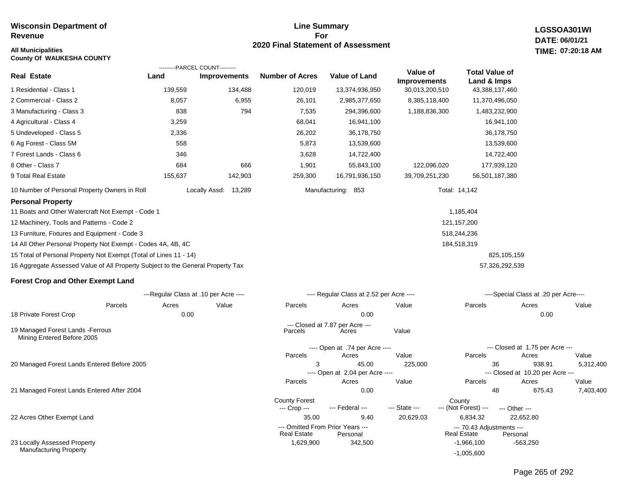### **Line Summary For 2020 Final Statement of Assessment All Municipalities TIME:**

**LGSSOA301WI DATE: 06/01/21 07:20:18 AM**

| <b>County Of WAUKESHA COUNTY</b>                                                |         |                                                       |                        |                                          |                                 |                                      |                                            |           |
|---------------------------------------------------------------------------------|---------|-------------------------------------------------------|------------------------|------------------------------------------|---------------------------------|--------------------------------------|--------------------------------------------|-----------|
| <b>Real Estate</b>                                                              | Land    | ---------PARCEL COUNT---------<br><b>Improvements</b> | <b>Number of Acres</b> | Value of Land                            | Value of<br><b>Improvements</b> | <b>Total Value of</b><br>Land & Imps |                                            |           |
| 1 Residential - Class 1                                                         | 139,559 | 134,488                                               | 120,019                | 13,374,936,950                           | 30,013,200,510                  | 43,388,137,460                       |                                            |           |
| 2 Commercial - Class 2                                                          | 8,057   | 6,955                                                 | 26,101                 | 2,985,377,650                            | 8,385,118,400                   | 11,370,496,050                       |                                            |           |
| 3 Manufacturing - Class 3                                                       | 838     | 794                                                   | 7,535                  | 294,396,600                              | 1,188,836,300                   | 1,483,232,900                        |                                            |           |
| 4 Agricultural - Class 4                                                        | 3,259   |                                                       | 68,041                 | 16,941,100                               |                                 | 16,941,100                           |                                            |           |
| 5 Undeveloped - Class 5                                                         | 2,336   |                                                       | 26,202                 | 36,178,750                               |                                 | 36,178,750                           |                                            |           |
| 6 Ag Forest - Class 5M                                                          | 558     |                                                       | 5,873                  | 13,539,600                               |                                 | 13,539,600                           |                                            |           |
| 7 Forest Lands - Class 6                                                        | 346     |                                                       | 3,628                  | 14,722,400                               |                                 | 14,722,400                           |                                            |           |
| 8 Other - Class 7                                                               | 684     | 666                                                   | 1,901                  | 55,843,100                               | 122,096,020                     | 177,939,120                          |                                            |           |
| 9 Total Real Estate                                                             | 155,637 | 142,903                                               | 259,300                | 16,791,936,150                           | 39,709,251,230                  | 56,501,187,380                       |                                            |           |
| 10 Number of Personal Property Owners in Roll                                   |         | Locally Assd: 13,289                                  |                        | Manufacturing: 853                       |                                 | Total: 14,142                        |                                            |           |
| <b>Personal Property</b>                                                        |         |                                                       |                        |                                          |                                 |                                      |                                            |           |
| 11 Boats and Other Watercraft Not Exempt - Code 1                               |         |                                                       |                        |                                          |                                 | 1,185,404                            |                                            |           |
| 12 Machinery, Tools and Patterns - Code 2                                       |         |                                                       |                        |                                          |                                 | 121,157,200                          |                                            |           |
| 13 Furniture, Fixtures and Equipment - Code 3                                   |         |                                                       |                        |                                          |                                 | 518,244,236                          |                                            |           |
| 14 All Other Personal Property Not Exempt - Codes 4A, 4B, 4C                    |         |                                                       |                        |                                          |                                 | 184,518,319                          |                                            |           |
| 15 Total of Personal Property Not Exempt (Total of Lines 11 - 14)               |         |                                                       |                        |                                          |                                 |                                      | 825,105,159                                |           |
| 16 Aggregate Assessed Value of All Property Subject to the General Property Tax |         |                                                       |                        |                                          |                                 |                                      | 57,326,292,539                             |           |
| <b>Forest Crop and Other Exempt Land</b>                                        |         |                                                       |                        |                                          |                                 |                                      |                                            |           |
|                                                                                 |         | ---Regular Class at .10 per Acre ----                 |                        | ---- Regular Class at 2.52 per Acre ---- |                                 |                                      | ----Special Class at .20 per Acre----      |           |
| Parcels                                                                         | Acres   | Value                                                 | Parcels                | Acres                                    | Value                           | Parcels                              | Acres                                      | Value     |
| 18 Private Forest Crop                                                          | 0.00    |                                                       |                        | 0.00                                     |                                 |                                      | 0.00                                       |           |
| 19 Managed Forest Lands - Ferrous<br>Mining Entered Before 2005                 |         |                                                       | Parcels                | --- Closed at 7.87 per Acre ---<br>Acres | Value                           |                                      |                                            |           |
|                                                                                 |         |                                                       |                        | ---- Open at .74 per Acre ----           |                                 |                                      | --- Closed at 1.75 per Acre ---            |           |
|                                                                                 |         |                                                       | Parcels                | Acres                                    | Value                           | Parcels                              | Acres                                      | Value     |
| 20 Managed Forest Lands Entered Before 2005                                     |         |                                                       | 3                      | 45.00<br>---- Open at 2.04 per Acre ---- | 225,000                         | 36                                   | 938.91<br>--- Closed at 10.20 per Acre --- | 5,312,400 |
|                                                                                 |         |                                                       | Parcels                | Acres                                    | Value                           | Parcels                              | Acres                                      | Value     |
| 21 Managed Forest Lands Entered After 2004                                      |         |                                                       |                        | 0.00                                     |                                 | 48                                   | 675.43                                     | 7,403,400 |
|                                                                                 |         |                                                       | <b>County Forest</b>   |                                          |                                 | County                               |                                            |           |
| 22 Acres Other Exempt Land                                                      |         |                                                       | --- Crop ---<br>35.00  | --- Federal ---<br>9.40                  | --- State ---<br>20,629.03      | --- (Not Forest) ---<br>6,834.32     | --- Other ---<br>22,652.80                 |           |
|                                                                                 |         |                                                       |                        | --- Omitted From Prior Years ---         |                                 | --- 70.43 Adjustments ---            |                                            |           |
|                                                                                 |         |                                                       | <b>Real Estate</b>     | Personal                                 |                                 | <b>Real Estate</b>                   | Personal                                   |           |
| 23 Locally Assessed Property                                                    |         |                                                       | 1,629,900              | 342,500                                  |                                 | $-1,966,100$                         | $-563,250$                                 |           |

Manufacturing Property

-1,005,600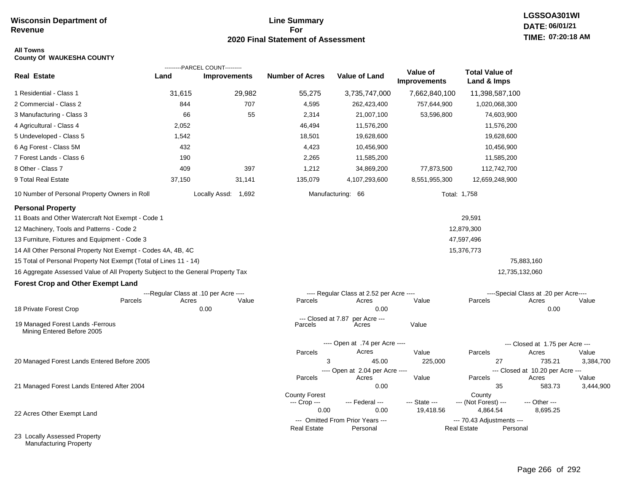# **Line Summary For 2020 Final Statement of Assessment**

# **LGSSOA301WI DATE: 06/01/21 TIME: 07:20:18 AM**

### **All Towns County Of WAUKESHA COUNTY**

|                                                                                 |                                       | ---------PARCEL COUNT--------- |                               |                                              |                                 |                                                 |                                           |           |
|---------------------------------------------------------------------------------|---------------------------------------|--------------------------------|-------------------------------|----------------------------------------------|---------------------------------|-------------------------------------------------|-------------------------------------------|-----------|
| <b>Real Estate</b>                                                              | Land                                  | Improvements                   | <b>Number of Acres</b>        | <b>Value of Land</b>                         | Value of<br><b>Improvements</b> | <b>Total Value of</b><br>Land & Imps            |                                           |           |
| 1 Residential - Class 1                                                         | 31,615                                | 29,982                         | 55,275                        | 3,735,747,000                                | 7,662,840,100                   | 11,398,587,100                                  |                                           |           |
| 2 Commercial - Class 2                                                          | 844                                   | 707                            | 4,595                         | 262,423,400                                  | 757,644,900                     | 1,020,068,300                                   |                                           |           |
| 3 Manufacturing - Class 3                                                       | 66                                    | 55                             | 2,314                         | 21,007,100                                   | 53,596,800                      | 74,603,900                                      |                                           |           |
| 4 Agricultural - Class 4                                                        | 2,052                                 |                                | 46,494                        | 11,576,200                                   |                                 | 11,576,200                                      |                                           |           |
| 5 Undeveloped - Class 5                                                         | 1,542                                 |                                | 18,501                        | 19,628,600                                   |                                 | 19,628,600                                      |                                           |           |
| 6 Ag Forest - Class 5M                                                          | 432                                   |                                | 4,423                         | 10,456,900                                   |                                 | 10,456,900                                      |                                           |           |
| 7 Forest Lands - Class 6                                                        | 190                                   |                                | 2,265                         | 11,585,200                                   |                                 | 11,585,200                                      |                                           |           |
| 8 Other - Class 7                                                               | 409                                   | 397                            | 1,212                         | 34,869,200                                   | 77,873,500                      | 112,742,700                                     |                                           |           |
| 9 Total Real Estate                                                             | 37,150                                | 31,141                         | 135,079                       | 4,107,293,600                                | 8,551,955,300                   | 12,659,248,900                                  |                                           |           |
| 10 Number of Personal Property Owners in Roll                                   |                                       | Locally Assd: 1,692            |                               | Manufacturing: 66                            |                                 | Total: 1,758                                    |                                           |           |
| <b>Personal Property</b>                                                        |                                       |                                |                               |                                              |                                 |                                                 |                                           |           |
| 11 Boats and Other Watercraft Not Exempt - Code 1                               |                                       |                                |                               |                                              |                                 | 29,591                                          |                                           |           |
| 12 Machinery, Tools and Patterns - Code 2                                       |                                       |                                |                               |                                              |                                 | 12,879,300                                      |                                           |           |
| 13 Furniture, Fixtures and Equipment - Code 3                                   |                                       |                                |                               |                                              |                                 | 47,597,496                                      |                                           |           |
| 14 All Other Personal Property Not Exempt - Codes 4A, 4B, 4C                    |                                       |                                |                               |                                              |                                 | 15,376,773                                      |                                           |           |
| 15 Total of Personal Property Not Exempt (Total of Lines 11 - 14)               |                                       |                                |                               |                                              |                                 |                                                 | 75,883,160                                |           |
| 16 Aggregate Assessed Value of All Property Subject to the General Property Tax |                                       |                                |                               |                                              |                                 |                                                 | 12,735,132,060                            |           |
| <b>Forest Crop and Other Exempt Land</b>                                        |                                       |                                |                               |                                              |                                 |                                                 |                                           |           |
|                                                                                 | ---Regular Class at .10 per Acre ---- |                                |                               | ---- Regular Class at 2.52 per Acre ----     |                                 |                                                 | ----Special Class at .20 per Acre----     |           |
| Parcels                                                                         | Acres                                 | Value                          | Parcels                       | Acres                                        | Value                           | Parcels                                         | Acres                                     | Value     |
| 18 Private Forest Crop                                                          |                                       | 0.00                           |                               | 0.00                                         |                                 |                                                 | 0.00                                      |           |
| 19 Managed Forest Lands - Ferrous<br>Mining Entered Before 2005                 |                                       |                                | --- Closed at 7.87<br>Parcels | per Acre ---<br>Acres                        | Value                           |                                                 |                                           |           |
|                                                                                 |                                       |                                |                               | ---- Open at .74 per Acre ----               |                                 |                                                 | --- Closed at 1.75 per Acre ---           |           |
|                                                                                 |                                       |                                | Parcels                       | Acres                                        | Value                           | Parcels                                         | Acres                                     | Value     |
| 20 Managed Forest Lands Entered Before 2005                                     |                                       |                                | 3                             | 45.00                                        | 225,000                         | 27                                              | 735.21                                    | 3,384,700 |
|                                                                                 |                                       |                                | Parcels                       | ---- Open at 2.04 per Acre ----<br>Acres     | Value                           | Parcels                                         | --- Closed at 10.20 per Acre ---<br>Acres | Value     |
| 21 Managed Forest Lands Entered After 2004                                      |                                       |                                |                               | 0.00                                         |                                 | 35                                              | 583.73                                    | 3,444,900 |
|                                                                                 |                                       |                                | <b>County Forest</b>          |                                              |                                 | County                                          |                                           |           |
|                                                                                 |                                       |                                | --- Crop ---                  | --- Federal ---                              | --- State ---                   | --- (Not Forest) ---                            | --- Other ---                             |           |
| 22 Acres Other Exempt Land                                                      |                                       |                                | 0.00                          | 0.00                                         | 19,418.56                       | 4,864.54                                        | 8,695.25                                  |           |
|                                                                                 |                                       |                                | <b>Real Estate</b>            | --- Omitted From Prior Years ---<br>Personal |                                 | --- 70.43 Adjustments ---<br><b>Real Estate</b> | Personal                                  |           |
| 23 Locally Assessed Property                                                    |                                       |                                |                               |                                              |                                 |                                                 |                                           |           |

Manufacturing Property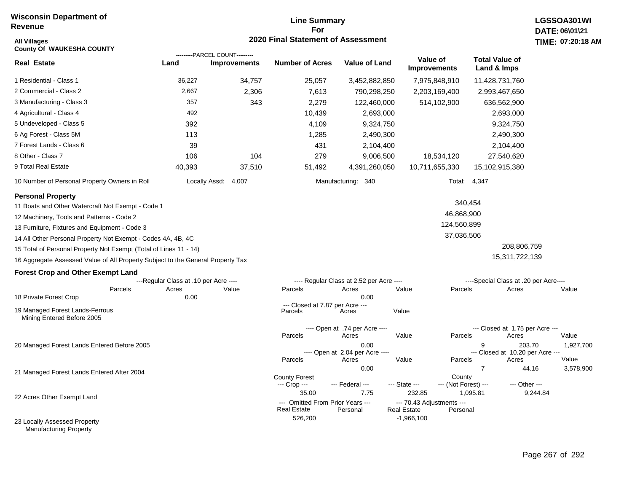# **Line Summary For 2020 Final Statement of Assessment**

| <b>All Villages</b>                                                             |                                       |                                | <b>2020 Final Statement of Assessment</b>              |                                          |                                                             |                                       | TIME: 07:20:18      |
|---------------------------------------------------------------------------------|---------------------------------------|--------------------------------|--------------------------------------------------------|------------------------------------------|-------------------------------------------------------------|---------------------------------------|---------------------|
| <b>County Of WAUKESHA COUNTY</b>                                                |                                       | ---------PARCEL COUNT--------- |                                                        |                                          | Value of                                                    | <b>Total Value of</b>                 |                     |
| <b>Real Estate</b>                                                              | Land                                  | <b>Improvements</b>            | <b>Number of Acres</b>                                 | <b>Value of Land</b>                     | <b>Improvements</b>                                         | Land & Imps                           |                     |
| 1 Residential - Class 1                                                         | 36,227                                | 34,757                         | 25,057                                                 | 3,452,882,850                            | 7,975,848,910                                               | 11,428,731,760                        |                     |
| 2 Commercial - Class 2                                                          | 2,667                                 | 2,306                          | 7,613                                                  | 790,298,250                              | 2,203,169,400                                               | 2,993,467,650                         |                     |
| 3 Manufacturing - Class 3                                                       | 357                                   | 343                            | 2,279                                                  | 122,460,000                              | 514,102,900                                                 | 636,562,900                           |                     |
| 4 Agricultural - Class 4                                                        | 492                                   |                                | 10,439                                                 | 2,693,000                                |                                                             | 2,693,000                             |                     |
| 5 Undeveloped - Class 5                                                         | 392                                   |                                | 4,109                                                  | 9,324,750                                |                                                             | 9,324,750                             |                     |
| 6 Ag Forest - Class 5M                                                          | 113                                   |                                | 1,285                                                  | 2,490,300                                |                                                             | 2,490,300                             |                     |
| 7 Forest Lands - Class 6                                                        | 39                                    |                                | 431                                                    | 2,104,400                                |                                                             | 2,104,400                             |                     |
| 8 Other - Class 7                                                               | 106                                   | 104                            | 279                                                    | 9,006,500                                | 18,534,120                                                  | 27,540,620                            |                     |
| 9 Total Real Estate                                                             | 40,393                                | 37,510                         | 51,492                                                 | 4,391,260,050                            | 10,711,655,330                                              | 15,102,915,380                        |                     |
| 10 Number of Personal Property Owners in Roll                                   |                                       | Locally Assd:<br>4,007         |                                                        | Manufacturing: 340                       |                                                             | Total: 4,347                          |                     |
| <b>Personal Property</b>                                                        |                                       |                                |                                                        |                                          |                                                             | 340,454                               |                     |
| 11 Boats and Other Watercraft Not Exempt - Code 1                               |                                       |                                |                                                        |                                          |                                                             |                                       |                     |
| 12 Machinery, Tools and Patterns - Code 2                                       |                                       |                                |                                                        |                                          | 46,868,900<br>124,560,899                                   |                                       |                     |
| 13 Furniture, Fixtures and Equipment - Code 3                                   |                                       |                                |                                                        |                                          |                                                             |                                       |                     |
| 14 All Other Personal Property Not Exempt - Codes 4A, 4B, 4C                    |                                       |                                |                                                        |                                          | 37,036,506                                                  |                                       |                     |
| 15 Total of Personal Property Not Exempt (Total of Lines 11 - 14)               |                                       |                                |                                                        |                                          |                                                             | 208,806,759                           |                     |
| 16 Aggregate Assessed Value of All Property Subject to the General Property Tax |                                       |                                |                                                        |                                          |                                                             | 15,311,722,139                        |                     |
| <b>Forest Crop and Other Exempt Land</b>                                        |                                       |                                |                                                        |                                          |                                                             |                                       |                     |
|                                                                                 | ---Regular Class at .10 per Acre ---- |                                |                                                        | ---- Regular Class at 2.52 per Acre ---- |                                                             | ----Special Class at .20 per Acre---- |                     |
| Parcels<br>18 Private Forest Crop                                               | Acres<br>0.00                         | Value                          | Parcels                                                | Acres<br>0.00                            | Value<br>Parcels                                            | Acres                                 | Value               |
|                                                                                 |                                       |                                | --- Closed at 7.87 per Acre ---                        |                                          |                                                             |                                       |                     |
| 19 Managed Forest Lands-Ferrous<br>Mining Entered Before 2005                   |                                       |                                | Parcels                                                | Acres                                    | Value                                                       |                                       |                     |
|                                                                                 |                                       |                                |                                                        | ---- Open at .74 per Acre ----           |                                                             | --- Closed at 1.75 per Acre ---       |                     |
|                                                                                 |                                       |                                | Parcels                                                | Acres                                    | Parcels<br>Value                                            | Acres                                 | Value               |
| 20 Managed Forest Lands Entered Before 2005                                     |                                       |                                |                                                        | 0.00<br>---- Open at 2.04 per Acre ----  |                                                             | 9<br>--- Closed at 10.20 per Acre --- | 1,927,700<br>203.70 |
|                                                                                 |                                       |                                | Parcels                                                | Acres                                    | Value<br>Parcels                                            | Acres                                 | Value               |
| 21 Managed Forest Lands Entered After 2004                                      |                                       |                                |                                                        | 0.00                                     |                                                             | $\overline{7}$                        | 44.16<br>3,578,900  |
|                                                                                 |                                       |                                | <b>County Forest</b><br>--- Crop ---                   | --- Federal ---                          | County<br>--- State ---<br>--- (Not Forest) ---             | --- Other ---                         |                     |
| 22 Acres Other Exempt Land                                                      |                                       |                                | 35.00                                                  | 7.75                                     | 232.85                                                      | 1,095.81                              | 9,244.84            |
|                                                                                 |                                       |                                | --- Omitted From Prior Years ---<br><b>Real Estate</b> | Personal                                 | --- 70.43 Adjustments ---<br><b>Real Estate</b><br>Personal |                                       |                     |
| 23 Locally Assessed Property                                                    |                                       |                                | 526,200                                                |                                          | $-1,966,100$                                                |                                       |                     |
| <b>Manufacturing Property</b>                                                   |                                       |                                |                                                        |                                          |                                                             |                                       |                     |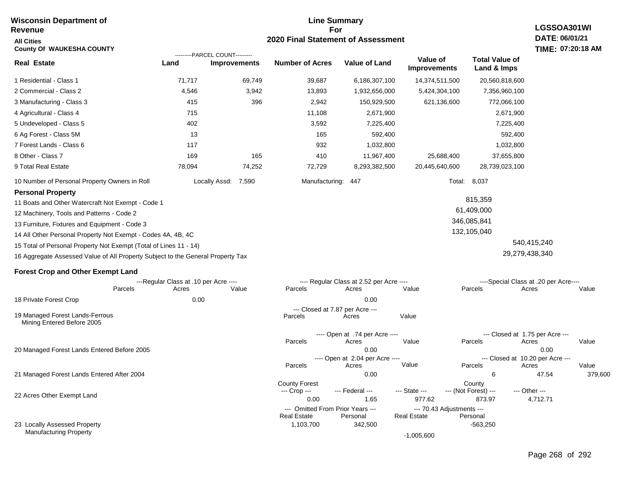#### **Line Summary For 2020 Final Statement of Assessment Wisconsin Department of Revenue All Cities County Of WAUKESHA COUNTY LGSSOA301WI DATE: 06/01/21 TIME: 07:20:18 AM Real Estate** 1 Residential - Class 1 2 Commercial - Class 2 3 Manufacturing - Class 3 4 Agricultural - Class 4 5 Undeveloped - Class 5 6 Ag Forest - Class 5M 7 Forest Lands - Class 6 8 Other - Class 7 9 Total Real Estate 10 Number of Personal Property Owners in Roll 71,717 69,749 39,687 6,186,307,100 14,374,511,500 20,560,818,600 **Land Improvements Number of Acres Value of Land Value of Improvements Total Value of Land & Imps** 4,546 415 715 402 13 117 169 78,094 3,942 396 165 74,252 13,893 2,942 11,108 3,592 165 932 410 72,729 1,932,656,000 150,929,500 2,671,900 7,225,400 592,400 1,032,800 11,967,400 8,293,382,500 5,424,304,100 621,136,600 25,688,400 20,445,640,600 7,356,960,100 772,066,100 2,671,900 7,225,400 592,400 1,032,800 37,655,800 28,739,023,100 Locally Assd: 7,590 Manufacturing: 447 Total: 8,037 **Personal Property** 11 Boats and Other Watercraft Not Exempt - Code 1 12 Machinery, Tools and Patterns - Code 2 13 Furniture, Fixtures and Equipment - Code 3 14 All Other Personal Property Not Exempt - Codes 4A, 4B, 4C 15 Total of Personal Property Not Exempt (Total of Lines 11 - 14) 16 Aggregate Assessed Value of All Property Subject to the General Property Tax 815,359 61,409,000 346,085,841 132,105,040 540,415,240 29,279,438,340 **Forest Crop and Other Exempt Land** ---Regular Class at .10 per Acre ---- ---- Regular Class at 2.52 per Acre ---- ----Special Class at .20 per Acre---- 18 Private Forest Crop 20 Managed Forest Lands Entered Before 2005 21 Managed Forest Lands Entered After 2004 Parcels 0.00 0.00 Acres Value Parcels Acres Value Parcels Acres Value ---- Open at .74 per Acre<br>Acres Parcels 0.00 0.00 Acres Value Parcels Acres Value --- Closed at 1.75 per Acre --- ---- Open at 2.04 per Acre ---<br>Acres Value Parcels Parcels Acres Acres Parcels 0.00 6 47.54 379,600 Acres **Value Parcels Acres Value** County Forest County County --- Crop --- 0.00 1.65 977.62 873.97 4,712.71 --- Federal --- - --- State --- --- (Not Forest) --- --- Other ---22 Acres Other Exempt Land ---------PARCEL COUNT--------- 19 Managed Forest Lands-Ferrous Mining Entered Before 2005 --- Closed at 7.87 per Acre ---<br>rcels Acres Parcels **Acres** Value

--- Omitted From Prior Years ---<br>Real Estate Personal Personal Real Estate Personal

1,103,700 342,500 -563,250

-1,005,600

**Real Estate** 

23 Locally Assessed Property Manufacturing Property

Page 268 of 292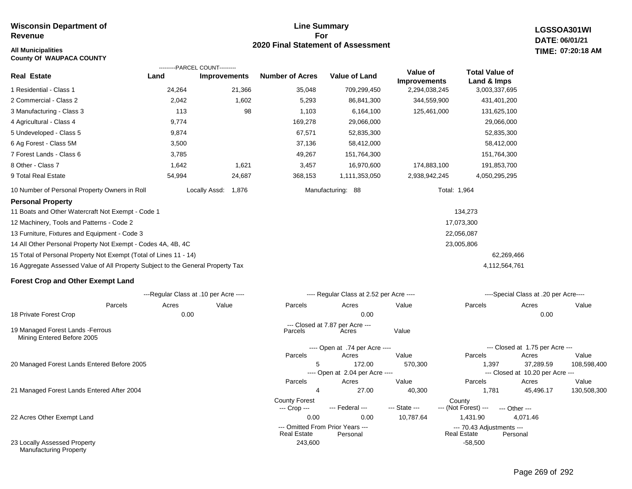### **Line Summary For 2020 Final Statement of Assessment All Municipalities TIME:**

**LGSSOA301WI DATE: 06/01/21 07:20:18 AM**

| <b>County Of WAUPACA COUNTY</b>                                                 |                                        |                     |                                      |                                              |                                        |                                                 |                                              |        |
|---------------------------------------------------------------------------------|----------------------------------------|---------------------|--------------------------------------|----------------------------------------------|----------------------------------------|-------------------------------------------------|----------------------------------------------|--------|
| <b>Real Estate</b>                                                              | ---------PARCEL COUNT---------<br>Land | <b>Improvements</b> | <b>Number of Acres</b>               | <b>Value of Land</b>                         | <b>Value of</b><br><b>Improvements</b> | <b>Total Value of</b><br>Land & Imps            |                                              |        |
| 1 Residential - Class 1                                                         | 24,264                                 | 21,366              | 35,048                               | 709,299,450                                  | 2,294,038,245                          | 3,003,337,695                                   |                                              |        |
| 2 Commercial - Class 2                                                          | 2,042                                  | 1,602               | 5,293                                | 86,841,300                                   | 344,559,900                            | 431,401,200                                     |                                              |        |
| 3 Manufacturing - Class 3                                                       | 113                                    | 98                  | 1,103                                | 6,164,100                                    | 125,461,000                            | 131,625,100                                     |                                              |        |
| 4 Agricultural - Class 4                                                        | 9,774                                  |                     | 169,278                              | 29,066,000                                   |                                        | 29,066,000                                      |                                              |        |
| 5 Undeveloped - Class 5                                                         | 9,874                                  |                     | 67,571                               | 52,835,300                                   |                                        | 52,835,300                                      |                                              |        |
| 6 Ag Forest - Class 5M                                                          | 3,500                                  |                     | 37,136                               | 58,412,000                                   |                                        | 58,412,000                                      |                                              |        |
| 7 Forest Lands - Class 6                                                        | 3,785                                  |                     | 49,267                               | 151,764,300                                  |                                        | 151,764,300                                     |                                              |        |
| 8 Other - Class 7                                                               | 1,642                                  | 1,621               | 3,457                                | 16,970,600                                   | 174,883,100                            | 191,853,700                                     |                                              |        |
| 9 Total Real Estate                                                             | 54,994                                 | 24,687              | 368,153                              | 1,111,353,050                                | 2,938,942,245                          | 4,050,295,295                                   |                                              |        |
| 10 Number of Personal Property Owners in Roll                                   |                                        | Locally Assd: 1,876 |                                      | Manufacturing: 88                            |                                        | Total: 1,964                                    |                                              |        |
| <b>Personal Property</b>                                                        |                                        |                     |                                      |                                              |                                        |                                                 |                                              |        |
| 11 Boats and Other Watercraft Not Exempt - Code 1                               |                                        |                     |                                      |                                              |                                        | 134,273                                         |                                              |        |
| 12 Machinery, Tools and Patterns - Code 2                                       |                                        |                     |                                      |                                              |                                        | 17,073,300                                      |                                              |        |
| 13 Furniture, Fixtures and Equipment - Code 3                                   |                                        |                     |                                      |                                              | 22,056,087                             |                                                 |                                              |        |
| 14 All Other Personal Property Not Exempt - Codes 4A, 4B, 4C                    |                                        |                     |                                      |                                              |                                        | 23,005,806                                      |                                              |        |
| 15 Total of Personal Property Not Exempt (Total of Lines 11 - 14)               |                                        |                     |                                      |                                              |                                        |                                                 | 62,269,466                                   |        |
| 16 Aggregate Assessed Value of All Property Subject to the General Property Tax |                                        |                     |                                      |                                              |                                        | 4,112,564,761                                   |                                              |        |
| <b>Forest Crop and Other Exempt Land</b>                                        |                                        |                     |                                      |                                              |                                        |                                                 |                                              |        |
|                                                                                 | ---Regular Class at .10 per Acre ----  |                     |                                      | ---- Regular Class at 2.52 per Acre ----     |                                        |                                                 | ----Special Class at .20 per Acre----        |        |
| Parcels                                                                         | Acres                                  | Value               | Parcels                              | Acres                                        | Value                                  | Parcels                                         | Acres                                        | Value  |
| 18 Private Forest Crop                                                          | 0.00                                   |                     |                                      | 0.00                                         |                                        |                                                 | 0.00                                         |        |
| 19 Managed Forest Lands - Ferrous<br>Mining Entered Before 2005                 |                                        |                     | Parcels                              | --- Closed at 7.87 per Acre ---<br>Acres     | Value                                  |                                                 |                                              |        |
|                                                                                 |                                        |                     |                                      | ---- Open at .74 per Acre ----               |                                        |                                                 | --- Closed at 1.75 per Acre ---              |        |
|                                                                                 |                                        |                     | Parcels                              | Acres                                        | Value                                  | Parcels                                         | Acres                                        | Value  |
| 20 Managed Forest Lands Entered Before 2005                                     |                                        |                     | 5                                    | 172.00<br>---- Open at 2.04 per Acre ----    | 570,300                                | 1,397                                           | 37,289.59<br>--- Closed at 10.20 per Acre -- | 108,59 |
|                                                                                 |                                        |                     | Parcels                              | Acres                                        | Value                                  | Parcels                                         | Acres                                        | Value  |
| 21 Managed Forest Lands Entered After 2004                                      |                                        |                     | 4                                    | 27.00                                        | 40,300                                 | 1,781                                           | 45,496.17                                    | 130,50 |
|                                                                                 |                                        |                     | <b>County Forest</b><br>--- Crop --- | --- Federal ---                              | --- State ---                          | County<br>--- (Not Forest) ---                  | --- Other ---                                |        |
| 22 Acres Other Exempt Land                                                      |                                        |                     | 0.00                                 | 0.00                                         | 10,787.64                              | 1,431.90                                        | 4,071.46                                     |        |
|                                                                                 |                                        |                     | <b>Real Estate</b>                   | --- Omitted From Prior Years ---<br>Personal |                                        | --- 70.43 Adjustments ---<br><b>Real Estate</b> | Personal                                     |        |
| 23 Locally Assessed Property<br><b>Manufacturing Property</b>                   |                                        |                     | 243,600                              |                                              |                                        | $-58,500$                                       |                                              |        |

108,598,400

130,508,300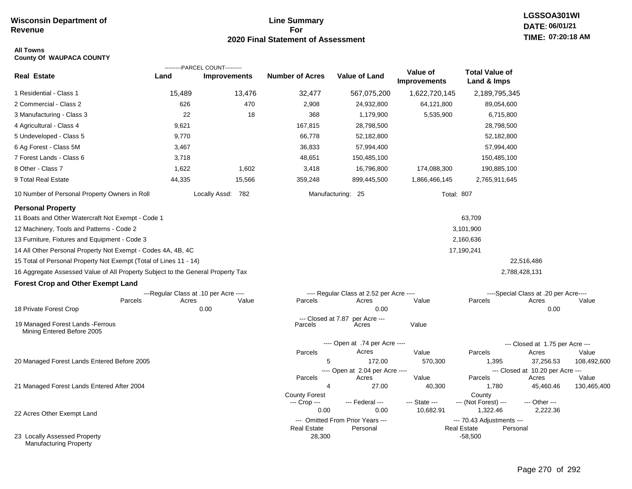# **Line Summary For 2020 Final Statement of Assessment**

# **LGSSOA301WI DATE: 06/01/21 TIME: 07:20:18 AM**

#### **All Towns County Of WAUPACA COUNTY**

|                                                                                 |        | ---------PARCEL COUNT---------        |                               |                                              | Value of            | <b>Total Value of</b>                    |                                       |                      |
|---------------------------------------------------------------------------------|--------|---------------------------------------|-------------------------------|----------------------------------------------|---------------------|------------------------------------------|---------------------------------------|----------------------|
| <b>Real Estate</b>                                                              | Land   | <b>Improvements</b>                   | <b>Number of Acres</b>        | <b>Value of Land</b>                         | <b>Improvements</b> | Land & Imps                              |                                       |                      |
| 1 Residential - Class 1                                                         | 15,489 | 13,476                                | 32,477                        | 567,075,200                                  | 1,622,720,145       | 2,189,795,345                            |                                       |                      |
| 2 Commercial - Class 2                                                          | 626    | 470                                   | 2,908                         | 24,932,800                                   | 64,121,800          | 89,054,600                               |                                       |                      |
| 3 Manufacturing - Class 3                                                       | 22     | 18                                    | 368                           | 1,179,900                                    | 5,535,900           | 6,715,800                                |                                       |                      |
| 4 Agricultural - Class 4                                                        | 9,621  |                                       | 167,815                       | 28,798,500                                   |                     | 28,798,500                               |                                       |                      |
| 5 Undeveloped - Class 5                                                         | 9,770  |                                       | 66,778                        | 52,182,800                                   |                     | 52,182,800                               |                                       |                      |
| 6 Ag Forest - Class 5M                                                          | 3,467  |                                       | 36,833                        | 57,994,400                                   |                     | 57,994,400                               |                                       |                      |
| 7 Forest Lands - Class 6                                                        | 3,718  |                                       | 48,651                        | 150,485,100                                  |                     | 150,485,100                              |                                       |                      |
| 8 Other - Class 7                                                               | 1,622  | 1,602                                 | 3,418                         | 16,796,800                                   | 174,088,300         | 190,885,100                              |                                       |                      |
| 9 Total Real Estate                                                             | 44,335 | 15,566                                | 359,248                       | 899,445,500                                  | 1,866,466,145       | 2,765,911,645                            |                                       |                      |
| 10 Number of Personal Property Owners in Roll                                   |        | Locally Assd: 782                     |                               | Manufacturing: 25                            | <b>Total: 807</b>   |                                          |                                       |                      |
| <b>Personal Property</b><br>11 Boats and Other Watercraft Not Exempt - Code 1   |        |                                       |                               |                                              |                     | 63,709                                   |                                       |                      |
| 12 Machinery, Tools and Patterns - Code 2                                       |        |                                       |                               |                                              |                     | 3,101,900                                |                                       |                      |
| 13 Furniture, Fixtures and Equipment - Code 3                                   |        |                                       |                               |                                              |                     | 2,160,636                                |                                       |                      |
| 14 All Other Personal Property Not Exempt - Codes 4A, 4B, 4C                    |        |                                       |                               |                                              |                     | 17,190,241                               |                                       |                      |
| 15 Total of Personal Property Not Exempt (Total of Lines 11 - 14)               |        |                                       |                               |                                              |                     |                                          | 22,516,486                            |                      |
| 16 Aggregate Assessed Value of All Property Subject to the General Property Tax |        |                                       |                               |                                              |                     |                                          | 2,788,428,131                         |                      |
| <b>Forest Crop and Other Exempt Land</b>                                        |        |                                       |                               |                                              |                     |                                          |                                       |                      |
|                                                                                 |        | ---Regular Class at .10 per Acre ---- |                               | ---- Regular Class at 2.52 per Acre ----     |                     |                                          | ----Special Class at .20 per Acre---- |                      |
| Parcels                                                                         | Acres  | Value                                 | Parcels                       | Acres                                        | Value               | Parcels                                  | Acres                                 | Value                |
| 18 Private Forest Crop                                                          |        | 0.00                                  |                               | 0.00                                         |                     |                                          | 0.00                                  |                      |
| 19 Managed Forest Lands - Ferrous<br>Mining Entered Before 2005                 |        |                                       | --- Closed at 7.87<br>Parcels | per Acre ---<br>Acres                        | Value               |                                          |                                       |                      |
|                                                                                 |        |                                       |                               | ---- Open at .74 per Acre ----               |                     |                                          | --- Closed at 1.75 per Acre ---       |                      |
|                                                                                 |        |                                       | Parcels                       | Acres                                        | Value               | Parcels                                  | Acres                                 | Value                |
| 20 Managed Forest Lands Entered Before 2005                                     |        |                                       | 5                             | 172.00                                       | 570,300             | 1,395                                    | 37,256.53                             | 108,492,600          |
|                                                                                 |        |                                       |                               | ---- Open at 2.04 per Acre ----              |                     |                                          | --- Closed at 10.20 per Acre ---      |                      |
| 21 Managed Forest Lands Entered After 2004                                      |        |                                       | Parcels<br>4                  | Acres<br>27.00                               | Value<br>40,300     | Parcels<br>1,780                         | Acres<br>45,460.46                    | Value<br>130,465,400 |
|                                                                                 |        |                                       | <b>County Forest</b>          |                                              |                     | County                                   |                                       |                      |
|                                                                                 |        |                                       | --- Crop ---                  | --- Federal ---                              | --- State ---       | --- (Not Forest) ---                     | --- Other ---                         |                      |
| 22 Acres Other Exempt Land                                                      |        |                                       | 0.00                          | 0.00                                         | 10,682.91           | 1,322.46                                 | 2,222.36                              |                      |
|                                                                                 |        |                                       | <b>Real Estate</b>            | --- Omitted From Prior Years ---<br>Personal |                     | --- 70.43 Adjustments ---<br>Real Estate | Personal                              |                      |
| 23 Locally Assessed Property<br>Manufacturing Property                          |        |                                       | 28,300                        |                                              |                     | $-58,500$                                |                                       |                      |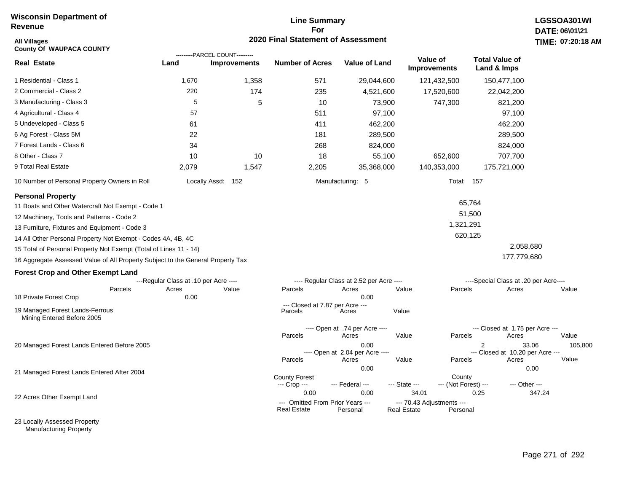# **Line Summary For 2020 Final Statement of Assessment**

| <b>All Villages</b><br><b>County Of WAUPACA COUNTY</b>                          |                                       | ---------PARCEL COUNT--------- | 2020 Final Statement of Assessment       |                                          |                                    |                      |                                                    | TIME: 07:20:18 A |
|---------------------------------------------------------------------------------|---------------------------------------|--------------------------------|------------------------------------------|------------------------------------------|------------------------------------|----------------------|----------------------------------------------------|------------------|
| <b>Real Estate</b>                                                              | Land                                  | <b>Improvements</b>            | <b>Number of Acres</b>                   | <b>Value of Land</b>                     | Value of<br><b>Improvements</b>    |                      | <b>Total Value of</b><br>Land & Imps               |                  |
| 1 Residential - Class 1                                                         | 1,670                                 | 1,358                          | 571                                      | 29,044,600                               |                                    | 121,432,500          | 150,477,100                                        |                  |
| 2 Commercial - Class 2                                                          | 220                                   | 174                            | 235                                      | 4,521,600                                |                                    | 17,520,600           | 22,042,200                                         |                  |
| 3 Manufacturing - Class 3                                                       | 5                                     | 5                              | 10                                       | 73,900                                   |                                    | 747,300              | 821,200                                            |                  |
| 4 Agricultural - Class 4                                                        | 57                                    |                                | 511                                      | 97,100                                   |                                    |                      | 97,100                                             |                  |
| 5 Undeveloped - Class 5                                                         | 61                                    |                                | 411                                      | 462,200                                  |                                    |                      | 462,200                                            |                  |
| 6 Ag Forest - Class 5M                                                          | 22                                    |                                | 181                                      | 289,500                                  |                                    |                      | 289,500                                            |                  |
| 7 Forest Lands - Class 6                                                        | 34                                    |                                | 268                                      | 824,000                                  |                                    |                      | 824,000                                            |                  |
| 8 Other - Class 7                                                               | 10                                    | 10                             | 18                                       | 55,100                                   |                                    | 652,600              | 707,700                                            |                  |
| 9 Total Real Estate                                                             | 2,079                                 | 1,547                          | 2,205                                    | 35,368,000                               |                                    | 140,353,000          | 175,721,000                                        |                  |
| 10 Number of Personal Property Owners in Roll                                   |                                       | Locally Assd: 152              |                                          | Manufacturing: 5                         |                                    | <b>Total: 157</b>    |                                                    |                  |
| <b>Personal Property</b>                                                        |                                       |                                |                                          |                                          |                                    |                      |                                                    |                  |
| 11 Boats and Other Watercraft Not Exempt - Code 1                               |                                       |                                |                                          |                                          |                                    | 65,764               |                                                    |                  |
| 12 Machinery, Tools and Patterns - Code 2                                       |                                       |                                |                                          |                                          |                                    | 51,500               |                                                    |                  |
| 13 Furniture, Fixtures and Equipment - Code 3                                   |                                       |                                |                                          |                                          |                                    | 1,321,291            |                                                    |                  |
| 14 All Other Personal Property Not Exempt - Codes 4A, 4B, 4C                    |                                       |                                |                                          |                                          |                                    | 620,125              |                                                    |                  |
| 15 Total of Personal Property Not Exempt (Total of Lines 11 - 14)               |                                       |                                |                                          |                                          |                                    |                      | 2,058,680                                          |                  |
| 16 Aggregate Assessed Value of All Property Subject to the General Property Tax |                                       |                                |                                          |                                          |                                    |                      | 177,779,680                                        |                  |
| <b>Forest Crop and Other Exempt Land</b>                                        |                                       |                                |                                          |                                          |                                    |                      |                                                    |                  |
|                                                                                 | ---Regular Class at .10 per Acre ---- |                                |                                          | ---- Regular Class at 2.52 per Acre ---- |                                    |                      | ----Special Class at .20 per Acre----              |                  |
| Parcels                                                                         | Acres                                 | Value                          | Parcels                                  | Acres                                    | Value                              | Parcels              | Acres                                              | Value            |
| 18 Private Forest Crop                                                          | 0.00                                  |                                | --- Closed at 7.87 per Acre ---          | 0.00                                     |                                    |                      |                                                    |                  |
| 19 Managed Forest Lands-Ferrous<br>Mining Entered Before 2005                   |                                       |                                | Parcels                                  | Acres                                    | Value                              |                      |                                                    |                  |
|                                                                                 |                                       |                                |                                          | ---- Open at .74 per Acre ----           |                                    |                      | --- Closed at 1.75 per Acre ---                    |                  |
|                                                                                 |                                       |                                | Parcels                                  | Acres                                    | Value                              | Parcels              | Acres                                              | Value            |
| 20 Managed Forest Lands Entered Before 2005                                     |                                       |                                |                                          | 0.00<br>---- Open at 2.04 per Acre ----  |                                    |                      | $\overline{2}$<br>--- Closed at 10.20 per Acre --- | 33.06<br>105,800 |
|                                                                                 |                                       |                                | Parcels                                  | Acres                                    | Value                              | Parcels              | Acres                                              | Value            |
| 21 Managed Forest Lands Entered After 2004                                      |                                       |                                | <b>County Forest</b>                     | 0.00                                     |                                    | County               |                                                    | 0.00             |
|                                                                                 |                                       |                                | --- Crop ---                             | --- Federal ---                          | --- State ---                      | --- (Not Forest) --- | --- Other ---                                      |                  |
| 22 Acres Other Exempt Land                                                      |                                       |                                | 0.00<br>--- Omitted From Prior Years --- | 0.00                                     | 34.01<br>--- 70.43 Adjustments --- |                      | 0.25                                               | 347.24           |
|                                                                                 |                                       |                                | <b>Real Estate</b>                       | Personal                                 | <b>Real Estate</b>                 | Personal             |                                                    |                  |

23 Locally Assessed Property Manufacturing Property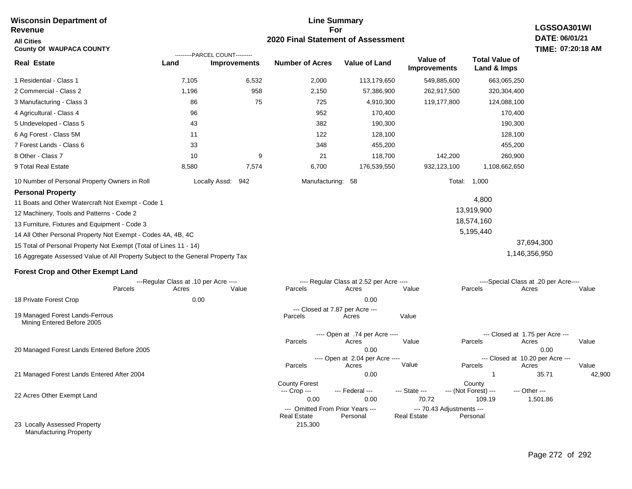#### **Line Summary For 2020 Final Statement of Assessment Wisconsin Department of Revenue All Cities County Of WAUPACA COUNTY LGSSOA301WI DATE: 06/01/21 TIME: 07:20:18 AM Real Estate** 1 Residential - Class 1 2 Commercial - Class 2 3 Manufacturing - Class 3 4 Agricultural - Class 4 5 Undeveloped - Class 5 6 Ag Forest - Class 5M 7 Forest Lands - Class 6 8 Other - Class 7 9 Total Real Estate 10 Number of Personal Property Owners in Roll 7,105 6,532 2,000 113,179,650 549,885,600 663,065,250 **Land Improvements Number of Acres Value of Land Value of Improvements Total Value of Land & Imps** 1,196 86 96 43 11 33 10 8,580 958 75 9 7,574 2,150 725 952 382 122 348 21 6,700 57,386,900 4,910,300 170,400 190,300 128,100 455,200 118,700 176,539,550 262,917,500 119,177,800 142,200 932,123,100 320,304,400 124,088,100 170,400 190,300 128,100 455,200 260,900 1,108,662,650 Locally Assd: 942 Manufacturing: 58 Total: 1,000 **Personal Property** 11 Boats and Other Watercraft Not Exempt - Code 1 12 Machinery, Tools and Patterns - Code 2 13 Furniture, Fixtures and Equipment - Code 3 14 All Other Personal Property Not Exempt - Codes 4A, 4B, 4C 15 Total of Personal Property Not Exempt (Total of Lines 11 - 14) 16 Aggregate Assessed Value of All Property Subject to the General Property Tax 4,800 13,919,900 18,574,160 5,195,440 37,694,300 1,146,356,950 **Forest Crop and Other Exempt Land** ---Regular Class at .10 per Acre ---- ---- Regular Class at 2.52 per Acre ---- ----Special Class at .20 per Acre---- 18 Private Forest Crop 20 Managed Forest Lands Entered Before 2005 21 Managed Forest Lands Entered After 2004 Parcels 0.00 0.00 Acres Value Parcels Acres Value Parcels Acres Value ---- Open at .74 per Acre<br>Acres Parcels 0.00 0.00 Acres Value Parcels Acres Value --- Closed at 1.75 per Acre --- ---- Open at 2.04 per Acre ---<br>Acres Value Parcels Parcels Acres Acres Parcels 0.00 1 35.71 42,900 Acres **Value Parcels Acres Value** County Forest County County ---------PARCEL COUNT--------- 19 Managed Forest Lands-Ferrous Mining Entered Before 2005 --- Closed at 7.87 per Acre ---<br>rcels Acres Parcels **Acres** Value

--- Crop ---

215,300

 0.00 0.00 70.72 109.19 1,501.86 --- Federal --- - --- State --- --- (Not Forest) --- --- Other ---

**Real Estate** 

--- Omitted From Prior Years ---<br>Real Estate Personal Personal Real Estate Personal

22 Acres Other Exempt Land

23 Locally Assessed Property Manufacturing Property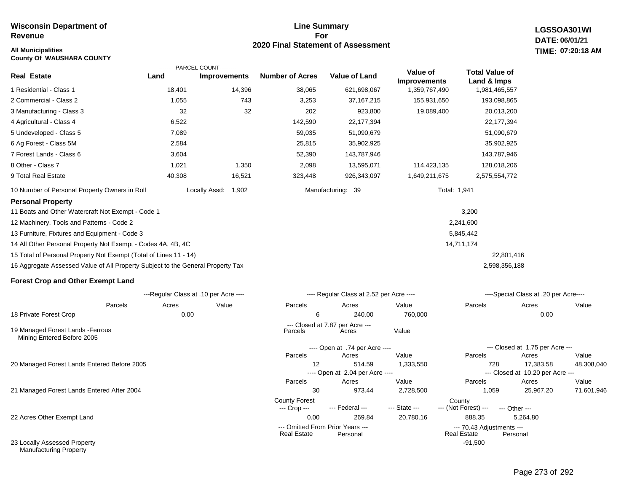# **Line Summary For 2020 Final Statement of Assessment**

**LGSSOA301WI DATE: 06/01/21 All Municipalities TIME: 07:20:18 AM**

| <b>County Of WAUSHARA COUNTY</b>                                                |                                       |                     |                                                 |                                          |                     |                                          |                                       |                     |
|---------------------------------------------------------------------------------|---------------------------------------|---------------------|-------------------------------------------------|------------------------------------------|---------------------|------------------------------------------|---------------------------------------|---------------------|
|                                                                                 | ---------PARCEL COUNT---------        |                     |                                                 |                                          | Value of            | <b>Total Value of</b>                    |                                       |                     |
| <b>Real Estate</b>                                                              | Land                                  | <b>Improvements</b> | <b>Number of Acres</b>                          | <b>Value of Land</b>                     | <b>Improvements</b> | Land & Imps                              |                                       |                     |
| 1 Residential - Class 1                                                         | 18,401                                | 14,396              | 38,065                                          | 621,698,067                              | 1,359,767,490       | 1,981,465,557                            |                                       |                     |
| 2 Commercial - Class 2                                                          | 1,055                                 | 743                 | 3,253                                           | 37, 167, 215                             | 155,931,650         | 193,098,865                              |                                       |                     |
| 3 Manufacturing - Class 3                                                       | 32                                    | 32                  | 202                                             | 923,800                                  | 19,089,400          | 20,013,200                               |                                       |                     |
| 4 Agricultural - Class 4                                                        | 6,522                                 |                     | 142,590                                         | 22,177,394                               |                     | 22,177,394                               |                                       |                     |
| 5 Undeveloped - Class 5                                                         | 7,089                                 |                     | 59,035                                          | 51,090,679                               |                     | 51,090,679                               |                                       |                     |
| 6 Ag Forest - Class 5M                                                          | 2,584                                 |                     | 25,815                                          | 35,902,925                               |                     | 35,902,925                               |                                       |                     |
| 7 Forest Lands - Class 6                                                        | 3,604                                 |                     | 52,390                                          | 143,787,946                              |                     | 143,787,946                              |                                       |                     |
| 8 Other - Class 7                                                               | 1,021                                 | 1,350               | 2,098                                           | 13,595,071                               | 114,423,135         | 128,018,206                              |                                       |                     |
| 9 Total Real Estate                                                             | 40,308                                | 16,521              | 323,448                                         | 926,343,097                              | 1,649,211,675       | 2,575,554,772                            |                                       |                     |
| 10 Number of Personal Property Owners in Roll                                   | Locally Assd:                         | 1,902               |                                                 | Manufacturing: 39                        |                     | Total: 1,941                             |                                       |                     |
| <b>Personal Property</b>                                                        |                                       |                     |                                                 |                                          |                     |                                          |                                       |                     |
| 11 Boats and Other Watercraft Not Exempt - Code 1                               |                                       |                     |                                                 |                                          |                     | 3,200                                    |                                       |                     |
| 12 Machinery, Tools and Patterns - Code 2                                       |                                       |                     |                                                 |                                          |                     | 2,241,600                                |                                       |                     |
| 13 Furniture, Fixtures and Equipment - Code 3                                   |                                       |                     |                                                 |                                          |                     | 5,845,442                                |                                       |                     |
| 14 All Other Personal Property Not Exempt - Codes 4A, 4B, 4C                    |                                       |                     |                                                 |                                          |                     | 14,711,174                               |                                       |                     |
| 15 Total of Personal Property Not Exempt (Total of Lines 11 - 14)               |                                       |                     |                                                 |                                          |                     | 22,801,416                               |                                       |                     |
| 16 Aggregate Assessed Value of All Property Subject to the General Property Tax |                                       |                     |                                                 |                                          |                     | 2,598,356,188                            |                                       |                     |
| <b>Forest Crop and Other Exempt Land</b>                                        |                                       |                     |                                                 |                                          |                     |                                          |                                       |                     |
|                                                                                 | ---Regular Class at .10 per Acre ---- |                     |                                                 | ---- Regular Class at 2.52 per Acre ---- |                     |                                          | ----Special Class at .20 per Acre---- |                     |
| Parcels                                                                         | Acres                                 | Value               | Parcels                                         | Acres                                    | Value               | Parcels                                  | Acres                                 | Value               |
| 18 Private Forest Crop                                                          | 0.00                                  |                     | 6                                               | 240.00                                   | 760,000             |                                          | 0.00                                  |                     |
| 19 Managed Forest Lands - Ferrous<br>Mining Entered Before 2005                 |                                       |                     | Parcels                                         | --- Closed at 7.87 per Acre ---<br>Acres | Value               |                                          |                                       |                     |
|                                                                                 |                                       |                     |                                                 | ---- Open at .74 per Acre ----           |                     |                                          | --- Closed at 1.75 per Acre ---       |                     |
|                                                                                 |                                       |                     | Parcels                                         | Acres                                    | Value               | Parcels                                  | Acres                                 | Value               |
| 20 Managed Forest Lands Entered Before 2005                                     |                                       |                     | 12                                              | 514.59                                   | 1,333,550           | 728                                      | 17,383.58                             | 48,308,040          |
|                                                                                 |                                       |                     |                                                 | ---- Open at 2.04 per Acre ----          |                     |                                          | --- Closed at 10.20 per Acre ---      |                     |
| 21 Managed Forest Lands Entered After 2004                                      |                                       |                     | Parcels<br>30                                   | Acres<br>973.44                          | Value<br>2,728,500  | Parcels<br>1,059                         | Acres<br>25,967.20                    | Value<br>71,601,946 |
|                                                                                 |                                       |                     | <b>County Forest</b>                            |                                          |                     | County                                   |                                       |                     |
|                                                                                 |                                       |                     | --- Crop ---                                    | --- Federal ---                          | --- State ---       | --- (Not Forest) ---                     | --- Other ---                         |                     |
| 22 Acres Other Exempt Land                                                      |                                       |                     | 0.00                                            | 269.84                                   | 20,780.16           | 888.35                                   | 5,264.80                              |                     |
|                                                                                 |                                       |                     | --- Omitted From Prior Years ---<br>Real Estate | Personal                                 |                     | --- 70.43 Adjustments ---<br>Real Estate | Personal                              |                     |

23 Locally Assessed Property Manufacturing Property

Page 273 of 292

-91,500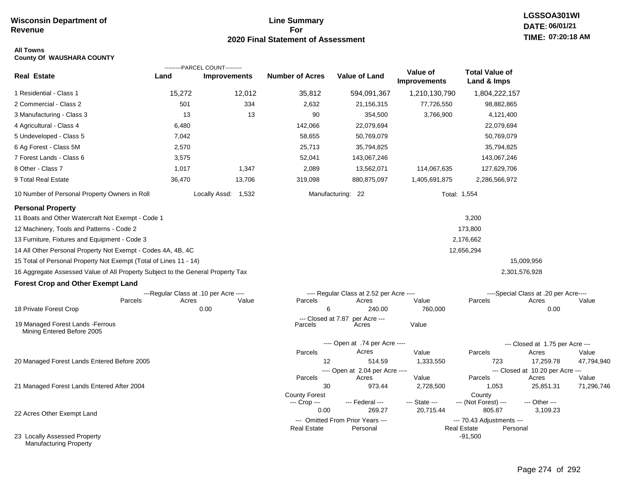# **Line Summary For 2020 Final Statement of Assessment**

# **LGSSOA301WI DATE: 06/01/21 TIME: 07:20:18 AM**

### **All Towns County Of WAUSHARA COUNTY**

|                                                                                 |        | ---------PARCEL COUNT---------        |                               |                                              |                                 |                                                             |                                           |            |
|---------------------------------------------------------------------------------|--------|---------------------------------------|-------------------------------|----------------------------------------------|---------------------------------|-------------------------------------------------------------|-------------------------------------------|------------|
| <b>Real Estate</b>                                                              | Land   | <b>Improvements</b>                   | <b>Number of Acres</b>        | Value of Land                                | Value of<br><b>Improvements</b> | <b>Total Value of</b><br>Land & Imps                        |                                           |            |
| 1 Residential - Class 1                                                         | 15,272 | 12,012                                | 35,812                        | 594,091,367                                  | 1,210,130,790                   | 1,804,222,157                                               |                                           |            |
| 2 Commercial - Class 2                                                          | 501    | 334                                   | 2,632                         | 21,156,315                                   | 77,726,550                      | 98,882,865                                                  |                                           |            |
| 3 Manufacturing - Class 3                                                       | 13     | 13                                    | 90                            | 354,500                                      | 3,766,900                       | 4,121,400                                                   |                                           |            |
| 4 Agricultural - Class 4                                                        | 6,480  |                                       | 142,066                       | 22,079,694                                   |                                 | 22,079,694                                                  |                                           |            |
| 5 Undeveloped - Class 5                                                         | 7,042  |                                       | 58,655                        | 50,769,079                                   |                                 | 50,769,079                                                  |                                           |            |
| 6 Ag Forest - Class 5M                                                          | 2,570  |                                       | 25,713                        | 35,794,825                                   |                                 | 35,794,825                                                  |                                           |            |
| 7 Forest Lands - Class 6                                                        | 3,575  |                                       | 52,041                        | 143,067,246                                  |                                 | 143,067,246                                                 |                                           |            |
| 8 Other - Class 7                                                               | 1,017  | 1,347                                 | 2,089                         | 13,562,071                                   | 114,067,635                     | 127,629,706                                                 |                                           |            |
| 9 Total Real Estate                                                             | 36,470 | 13,706                                | 319,098                       | 880,875,097                                  | 1,405,691,875                   | 2,286,566,972                                               |                                           |            |
| 10 Number of Personal Property Owners in Roll                                   |        | Locally Assd: 1,532                   |                               | Manufacturing: 22                            |                                 | Total: 1,554                                                |                                           |            |
| <b>Personal Property</b>                                                        |        |                                       |                               |                                              |                                 |                                                             |                                           |            |
| 11 Boats and Other Watercraft Not Exempt - Code 1                               |        |                                       |                               |                                              |                                 | 3,200                                                       |                                           |            |
| 12 Machinery, Tools and Patterns - Code 2                                       |        |                                       |                               |                                              |                                 | 173,800                                                     |                                           |            |
| 13 Furniture, Fixtures and Equipment - Code 3                                   |        |                                       |                               |                                              |                                 | 2,176,662                                                   |                                           |            |
| 14 All Other Personal Property Not Exempt - Codes 4A, 4B, 4C                    |        |                                       |                               |                                              |                                 | 12,656,294                                                  |                                           |            |
| 15 Total of Personal Property Not Exempt (Total of Lines 11 - 14)               |        |                                       |                               |                                              |                                 |                                                             | 15,009,956                                |            |
| 16 Aggregate Assessed Value of All Property Subject to the General Property Tax |        |                                       |                               |                                              |                                 |                                                             | 2,301,576,928                             |            |
| <b>Forest Crop and Other Exempt Land</b>                                        |        |                                       |                               |                                              |                                 |                                                             |                                           |            |
|                                                                                 |        | ---Regular Class at .10 per Acre ---- |                               | ---- Regular Class at 2.52 per Acre ----     |                                 |                                                             | ----Special Class at .20 per Acre----     |            |
| Parcels                                                                         | Acres  | Value                                 | Parcels                       | Acres                                        | Value                           | Parcels                                                     | Acres                                     | Value      |
| 18 Private Forest Crop                                                          |        | 0.00                                  | 6                             | 240.00                                       | 760,000                         |                                                             | 0.00                                      |            |
| 19 Managed Forest Lands - Ferrous<br>Mining Entered Before 2005                 |        |                                       | --- Closed at 7.87<br>Parcels | per Acre ---<br>Acres                        | Value                           |                                                             |                                           |            |
|                                                                                 |        |                                       |                               | ---- Open at .74 per Acre ----               |                                 |                                                             | --- Closed at 1.75 per Acre ---           |            |
|                                                                                 |        |                                       | Parcels                       | Acres                                        | Value                           | Parcels                                                     | Acres                                     | Value      |
| 20 Managed Forest Lands Entered Before 2005                                     |        |                                       | 12                            | 514.59                                       | 1,333,550                       | 723                                                         | 17,259.78                                 | 47,794,940 |
|                                                                                 |        |                                       | Parcels                       | ---- Open at 2.04 per Acre ----<br>Acres     | Value                           | Parcels                                                     | --- Closed at 10.20 per Acre ---<br>Acres | Value      |
| 21 Managed Forest Lands Entered After 2004                                      |        |                                       | 30                            | 973.44                                       | 2,728,500                       | 1,053                                                       | 25,851.31                                 | 71,296,746 |
|                                                                                 |        |                                       | <b>County Forest</b>          |                                              |                                 | County                                                      |                                           |            |
|                                                                                 |        |                                       | --- Crop ---                  | --- Federal ---                              | --- State ---                   | --- (Not Forest) ---                                        | --- Other ---                             |            |
| 22 Acres Other Exempt Land                                                      |        |                                       | 0.00                          | 269.27                                       | 20,715.44                       | 805.87                                                      | 3,109.23                                  |            |
|                                                                                 |        |                                       | <b>Real Estate</b>            | --- Omitted From Prior Years ---<br>Personal |                                 | --- 70.43 Adjustments ---<br><b>Real Estate</b><br>Personal |                                           |            |
| 23 Locally Assessed Property<br><b>Manufacturing Property</b>                   |        |                                       |                               |                                              |                                 | $-91,500$                                                   |                                           |            |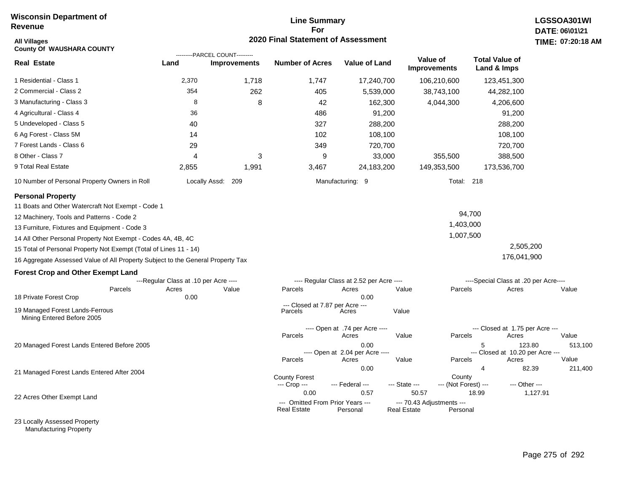# **Line Summary For 2020 Final Statement of Assessment**

| All Villages<br><b>County Of WAUSHARA COUNTY</b>                                |                                       |                                                       | 2020 Final Statement of Assessment                     |                                                  |                                                 |                                 |                                                |               | TIME: 07:20:18   |
|---------------------------------------------------------------------------------|---------------------------------------|-------------------------------------------------------|--------------------------------------------------------|--------------------------------------------------|-------------------------------------------------|---------------------------------|------------------------------------------------|---------------|------------------|
| <b>Real Estate</b>                                                              | Land                                  | ---------PARCEL COUNT---------<br><b>Improvements</b> | <b>Number of Acres</b>                                 | Value of Land                                    |                                                 | Value of<br><b>Improvements</b> | <b>Total Value of</b><br>Land & Imps           |               |                  |
| 1 Residential - Class 1                                                         | 2,370                                 | 1,718                                                 | 1,747                                                  | 17,240,700                                       |                                                 | 106,210,600                     | 123,451,300                                    |               |                  |
| 2 Commercial - Class 2                                                          | 354                                   | 262                                                   | 405                                                    | 5,539,000                                        |                                                 | 38,743,100                      | 44,282,100                                     |               |                  |
| 3 Manufacturing - Class 3                                                       | 8                                     | 8                                                     | 42                                                     | 162,300                                          |                                                 | 4,044,300                       | 4,206,600                                      |               |                  |
| 4 Agricultural - Class 4                                                        | 36                                    |                                                       | 486                                                    | 91,200                                           |                                                 |                                 | 91,200                                         |               |                  |
| 5 Undeveloped - Class 5                                                         | 40                                    |                                                       | 327                                                    | 288,200                                          |                                                 |                                 | 288,200                                        |               |                  |
| 6 Ag Forest - Class 5M                                                          | 14                                    |                                                       | 102                                                    | 108,100                                          |                                                 |                                 | 108,100                                        |               |                  |
| 7 Forest Lands - Class 6                                                        | 29                                    |                                                       | 349                                                    | 720,700                                          |                                                 |                                 | 720,700                                        |               |                  |
| 8 Other - Class 7                                                               | 4                                     | 3                                                     | 9                                                      | 33,000                                           |                                                 | 355,500                         | 388,500                                        |               |                  |
| 9 Total Real Estate                                                             | 2,855                                 | 1,991                                                 | 3,467                                                  | 24,183,200                                       |                                                 | 149,353,500                     | 173,536,700                                    |               |                  |
| 10 Number of Personal Property Owners in Roll                                   |                                       | Locally Assd: 209                                     |                                                        | Manufacturing: 9                                 |                                                 | <b>Total: 218</b>               |                                                |               |                  |
| <b>Personal Property</b>                                                        |                                       |                                                       |                                                        |                                                  |                                                 |                                 |                                                |               |                  |
| 11 Boats and Other Watercraft Not Exempt - Code 1                               |                                       |                                                       |                                                        |                                                  |                                                 |                                 |                                                |               |                  |
| 12 Machinery, Tools and Patterns - Code 2                                       |                                       |                                                       |                                                        |                                                  |                                                 |                                 | 94,700                                         |               |                  |
| 13 Furniture, Fixtures and Equipment - Code 3                                   |                                       |                                                       |                                                        |                                                  |                                                 | 1,403,000                       |                                                |               |                  |
| 14 All Other Personal Property Not Exempt - Codes 4A, 4B, 4C                    |                                       |                                                       |                                                        |                                                  |                                                 | 1,007,500                       |                                                |               |                  |
| 15 Total of Personal Property Not Exempt (Total of Lines 11 - 14)               |                                       |                                                       |                                                        |                                                  |                                                 |                                 |                                                | 2,505,200     |                  |
| 16 Aggregate Assessed Value of All Property Subject to the General Property Tax |                                       |                                                       |                                                        |                                                  |                                                 |                                 |                                                | 176,041,900   |                  |
| <b>Forest Crop and Other Exempt Land</b>                                        |                                       |                                                       |                                                        |                                                  |                                                 |                                 |                                                |               |                  |
|                                                                                 | ---Regular Class at .10 per Acre ---- |                                                       |                                                        | ---- Regular Class at 2.52 per Acre ----         |                                                 |                                 | ----Special Class at .20 per Acre----          |               |                  |
| Parcels                                                                         | Acres                                 | Value                                                 | Parcels                                                | Acres                                            | Value                                           | Parcels                         | Acres                                          |               | Value            |
| 18 Private Forest Crop                                                          | 0.00                                  |                                                       | --- Closed at 7.87 per Acre ---                        | 0.00                                             |                                                 |                                 |                                                |               |                  |
| 19 Managed Forest Lands-Ferrous<br>Mining Entered Before 2005                   |                                       |                                                       | Parcels                                                | Acres                                            | Value                                           |                                 |                                                |               |                  |
|                                                                                 |                                       |                                                       | Parcels                                                | ---- Open at .74 per Acre ----<br>Acres          | Value                                           | Parcels                         | --- Closed at 1.75 per Acre ---<br>Acres       |               | Value            |
| 20 Managed Forest Lands Entered Before 2005                                     |                                       |                                                       | Parcels                                                | 0.00<br>---- Open at 2.04 per Acre ----<br>Acres | Value                                           | Parcels                         | 5<br>--- Closed at 10.20 per Acre ---<br>Acres | 123.80        | 513,100<br>Value |
| 21 Managed Forest Lands Entered After 2004                                      |                                       |                                                       |                                                        | 0.00                                             |                                                 |                                 | 4                                              | 82.39         | 211,400          |
|                                                                                 |                                       |                                                       | <b>County Forest</b><br>--- Crop ---                   | --- Federal ---                                  | --- State ---                                   | County<br>--- (Not Forest) ---  |                                                | --- Other --- |                  |
| 22 Acres Other Exempt Land                                                      |                                       |                                                       | 0.00                                                   | 0.57                                             | 50.57                                           |                                 | 18.99                                          | 1,127.91      |                  |
|                                                                                 |                                       |                                                       | --- Omitted From Prior Years ---<br><b>Real Estate</b> | Personal                                         | --- 70.43 Adjustments ---<br><b>Real Estate</b> | Personal                        |                                                |               |                  |

23 Locally Assessed Property Manufacturing Property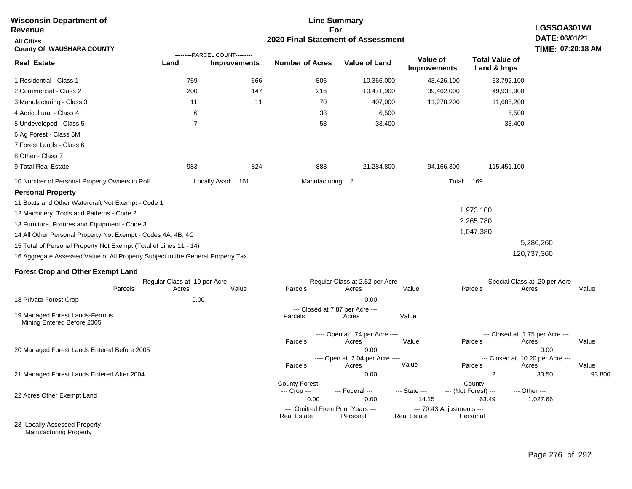| <b>Wisconsin Department of</b><br>Revenue                                       |                                                |                     |                                                        | <b>Line Summary</b><br>For                        |                                                 |                                      | <b>LGSSOA301WI</b>                             |                 |
|---------------------------------------------------------------------------------|------------------------------------------------|---------------------|--------------------------------------------------------|---------------------------------------------------|-------------------------------------------------|--------------------------------------|------------------------------------------------|-----------------|
| <b>All Cities</b><br><b>County Of WAUSHARA COUNTY</b>                           |                                                |                     | 2020 Final Statement of Assessment                     |                                                   |                                                 |                                      | DATE: 06/01/21<br>TIME: 07:20:18 AM            |                 |
| <b>Real Estate</b>                                                              | ---------PARCEL COUNT---------<br>Land         | <b>Improvements</b> | <b>Number of Acres</b>                                 | <b>Value of Land</b>                              | Value of<br><b>Improvements</b>                 | <b>Total Value of</b><br>Land & Imps |                                                |                 |
| 1 Residential - Class 1                                                         | 759                                            | 666                 | 506                                                    | 10,366,000                                        | 43,426,100                                      | 53,792,100                           |                                                |                 |
| 2 Commercial - Class 2                                                          | 200                                            | 147                 | 216                                                    | 10,471,900                                        | 39,462,000                                      | 49,933,900                           |                                                |                 |
| 3 Manufacturing - Class 3                                                       | 11                                             | 11                  | 70                                                     | 407,000                                           | 11,278,200                                      | 11,685,200                           |                                                |                 |
| 4 Agricultural - Class 4                                                        | 6                                              |                     | 38                                                     | 6,500                                             |                                                 | 6,500                                |                                                |                 |
| 5 Undeveloped - Class 5                                                         | $\overline{7}$                                 |                     | 53                                                     | 33,400                                            |                                                 | 33,400                               |                                                |                 |
| 6 Ag Forest - Class 5M                                                          |                                                |                     |                                                        |                                                   |                                                 |                                      |                                                |                 |
| 7 Forest Lands - Class 6                                                        |                                                |                     |                                                        |                                                   |                                                 |                                      |                                                |                 |
| 8 Other - Class 7                                                               |                                                |                     |                                                        |                                                   |                                                 |                                      |                                                |                 |
| 9 Total Real Estate                                                             | 983                                            | 824                 | 883                                                    | 21,284,800                                        | 94,166,300                                      | 115,451,100                          |                                                |                 |
| 10 Number of Personal Property Owners in Roll                                   |                                                | Locally Assd: 161   | Manufacturing: 8                                       |                                                   |                                                 | Total: 169                           |                                                |                 |
| <b>Personal Property</b><br>11 Boats and Other Watercraft Not Exempt - Code 1   |                                                |                     |                                                        |                                                   |                                                 |                                      |                                                |                 |
| 12 Machinery, Tools and Patterns - Code 2                                       |                                                |                     |                                                        |                                                   |                                                 | 1,973,100                            |                                                |                 |
| 13 Furniture, Fixtures and Equipment - Code 3                                   |                                                |                     |                                                        |                                                   |                                                 | 2,265,780                            |                                                |                 |
| 14 All Other Personal Property Not Exempt - Codes 4A, 4B, 4C                    |                                                |                     |                                                        |                                                   |                                                 | 1,047,380                            |                                                |                 |
| 15 Total of Personal Property Not Exempt (Total of Lines 11 - 14)               |                                                |                     |                                                        |                                                   |                                                 |                                      | 5,286,260                                      |                 |
| 16 Aggregate Assessed Value of All Property Subject to the General Property Tax |                                                |                     |                                                        |                                                   |                                                 |                                      | 120,737,360                                    |                 |
| <b>Forest Crop and Other Exempt Land</b>                                        |                                                |                     |                                                        |                                                   |                                                 |                                      |                                                |                 |
| Parcels                                                                         | ---Regular Class at .10 per Acre ----<br>Acres | Value               | Parcels                                                | ---- Regular Class at 2.52 per Acre ----<br>Acres | Value                                           | Parcels                              | ----Special Class at .20 per Acre----<br>Acres | Value           |
| 18 Private Forest Crop                                                          | 0.00                                           |                     |                                                        | 0.00                                              |                                                 |                                      |                                                |                 |
| 19 Managed Forest Lands-Ferrous<br>Mining Entered Before 2005                   |                                                |                     | --- Closed at 7.87 per Acre ---<br>Parcels             | Acres                                             | Value                                           |                                      |                                                |                 |
|                                                                                 |                                                |                     | Parcels                                                | ---- Open at .74 per Acre ----<br>Acres           | Value                                           | Parcels                              | --- Closed at 1.75 per Acre ---<br>Acres       | Value           |
| 20 Managed Forest Lands Entered Before 2005                                     |                                                |                     |                                                        | 0.00<br>---- Open at 2.04 per Acre ----           |                                                 |                                      | 0.00<br>--- Closed at 10.20 per Acre ---       |                 |
|                                                                                 |                                                |                     | Parcels                                                | Acres                                             | Value                                           | Parcels<br>$\overline{2}$            | Acres                                          | Value<br>93,800 |
| 21 Managed Forest Lands Entered After 2004                                      |                                                |                     | <b>County Forest</b>                                   | 0.00                                              |                                                 | County                               | 33.50                                          |                 |
|                                                                                 |                                                |                     | --- Crop ---                                           | --- Federal ---                                   | --- State ---                                   | --- (Not Forest) ---                 | --- Other ---                                  |                 |
| 22 Acres Other Exempt Land                                                      |                                                |                     | 0.00                                                   | 0.00                                              | 14.15                                           | 63.49                                | 1,027.66                                       |                 |
|                                                                                 |                                                |                     | --- Omitted From Prior Years ---<br><b>Real Estate</b> | Personal                                          | --- 70.43 Adjustments ---<br><b>Real Estate</b> | Personal                             |                                                |                 |
| 23 Locally Assessed Property                                                    |                                                |                     |                                                        |                                                   |                                                 |                                      |                                                |                 |

Manufacturing Property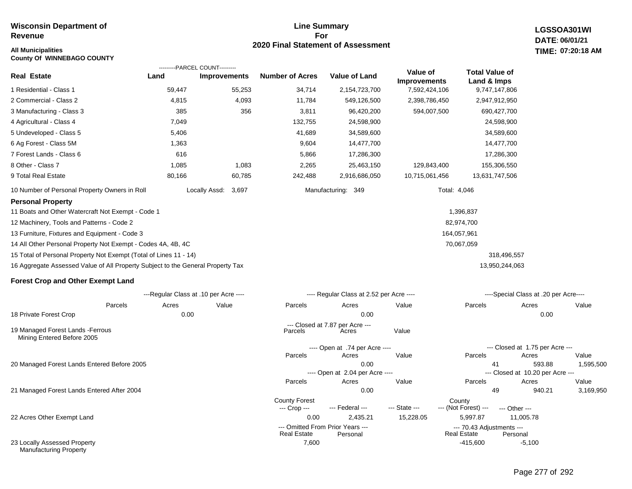# **Line Summary For 2020 Final Statement of Assessment**

7,600 -415,600

**LGSSOA301WI DATE: 06/01/21 07:20:18 AM**

| <b>All Municipalities</b><br><b>County Of WINNEBAGO COUNTY</b>                  |                                        |                     |                        |                                              |                                 |                                                 |                                           | TIME: 07:20:18 AM |
|---------------------------------------------------------------------------------|----------------------------------------|---------------------|------------------------|----------------------------------------------|---------------------------------|-------------------------------------------------|-------------------------------------------|-------------------|
| Real Estate                                                                     | ---------PARCEL COUNT---------<br>Land | <b>Improvements</b> | <b>Number of Acres</b> | <b>Value of Land</b>                         | Value of<br><b>Improvements</b> | <b>Total Value of</b><br>Land & Imps            |                                           |                   |
| 1 Residential - Class 1                                                         | 59,447                                 | 55,253              | 34,714                 | 2,154,723,700                                | 7,592,424,106                   | 9,747,147,806                                   |                                           |                   |
| 2 Commercial - Class 2                                                          | 4,815                                  | 4,093               | 11,784                 | 549,126,500                                  | 2,398,786,450                   | 2,947,912,950                                   |                                           |                   |
| 3 Manufacturing - Class 3                                                       | 385                                    | 356                 | 3,811                  | 96,420,200                                   | 594,007,500                     | 690,427,700                                     |                                           |                   |
| 4 Agricultural - Class 4                                                        | 7,049                                  |                     | 132,755                | 24,598,900                                   |                                 | 24,598,900                                      |                                           |                   |
| 5 Undeveloped - Class 5                                                         | 5,406                                  |                     | 41,689                 | 34,589,600                                   |                                 | 34,589,600                                      |                                           |                   |
| 6 Ag Forest - Class 5M                                                          | 1,363                                  |                     | 9,604                  | 14,477,700                                   |                                 | 14,477,700                                      |                                           |                   |
| 7 Forest Lands - Class 6                                                        | 616                                    |                     | 5,866                  | 17,286,300                                   |                                 | 17,286,300                                      |                                           |                   |
| 8 Other - Class 7                                                               | 1,085                                  | 1,083               | 2,265                  | 25,463,150                                   | 129,843,400                     | 155,306,550                                     |                                           |                   |
| 9 Total Real Estate                                                             | 80,166                                 | 60,785              | 242,488                | 2,916,686,050                                | 10,715,061,456                  | 13,631,747,506                                  |                                           |                   |
| 10 Number of Personal Property Owners in Roll                                   |                                        | Locally Assd: 3,697 |                        | Manufacturing: 349                           |                                 | Total: 4,046                                    |                                           |                   |
| <b>Personal Property</b>                                                        |                                        |                     |                        |                                              |                                 |                                                 |                                           |                   |
| 11 Boats and Other Watercraft Not Exempt - Code 1                               |                                        |                     |                        |                                              |                                 | 1,396,837                                       |                                           |                   |
| 12 Machinery, Tools and Patterns - Code 2                                       |                                        |                     |                        |                                              |                                 | 82,974,700                                      |                                           |                   |
| 13 Furniture, Fixtures and Equipment - Code 3                                   |                                        |                     |                        |                                              |                                 | 164,057,961                                     |                                           |                   |
| 14 All Other Personal Property Not Exempt - Codes 4A, 4B, 4C                    |                                        |                     |                        |                                              |                                 | 70,067,059                                      |                                           |                   |
| 15 Total of Personal Property Not Exempt (Total of Lines 11 - 14)               |                                        |                     |                        |                                              |                                 |                                                 | 318,496,557                               |                   |
| 16 Aggregate Assessed Value of All Property Subject to the General Property Tax |                                        |                     |                        |                                              |                                 | 13,950,244,063                                  |                                           |                   |
| <b>Forest Crop and Other Exempt Land</b>                                        |                                        |                     |                        |                                              |                                 |                                                 |                                           |                   |
|                                                                                 | ---Regular Class at .10 per Acre ----  |                     |                        | ---- Regular Class at 2.52 per Acre ----     |                                 |                                                 | ----Special Class at .20 per Acre----     |                   |
| Parcels                                                                         | Acres                                  | Value               | Parcels                | Acres                                        | Value                           | Parcels                                         | Acres                                     | Value             |
| 18 Private Forest Crop                                                          | 0.00                                   |                     |                        | 0.00                                         |                                 |                                                 | 0.00                                      |                   |
| 19 Managed Forest Lands - Ferrous<br>Mining Entered Before 2005                 |                                        |                     | Parcels                | --- Closed at 7.87 per Acre ---<br>Acres     | Value                           |                                                 |                                           |                   |
|                                                                                 |                                        |                     |                        | ---- Open at .74 per Acre ----               |                                 |                                                 | --- Closed at 1.75 per Acre ---           |                   |
|                                                                                 |                                        |                     | Parcels                | Acres                                        | Value                           | Parcels                                         | Acres                                     | Value             |
| 20 Managed Forest Lands Entered Before 2005                                     |                                        |                     |                        | 0.00                                         |                                 | 41                                              | 593.88                                    | 1,595,500         |
|                                                                                 |                                        |                     | Parcels                | ---- Open at 2.04 per Acre ----<br>Acres     | Value                           | Parcels                                         | --- Closed at 10.20 per Acre ---<br>Acres | Value             |
| 21 Managed Forest Lands Entered After 2004                                      |                                        |                     |                        | 0.00                                         |                                 | 49                                              | 940.21                                    | 3,169,950         |
|                                                                                 |                                        |                     | <b>County Forest</b>   |                                              |                                 | County                                          |                                           |                   |
|                                                                                 |                                        |                     | --- Crop ---           | --- Federal ---                              | --- State ---                   | --- (Not Forest) ---                            | --- Other ---                             |                   |
| 22 Acres Other Exempt Land                                                      |                                        |                     | 0.00                   | 2,435.21                                     | 15,228.05                       | 5,997.87                                        | 11,005.78                                 |                   |
|                                                                                 |                                        |                     | <b>Real Estate</b>     | --- Omitted From Prior Years ---<br>Personal |                                 | --- 70.43 Adjustments ---<br><b>Real Estate</b> | Personal                                  |                   |

23 Locally Assessed Property Manufacturing Property

Page 277 of 292

-5,100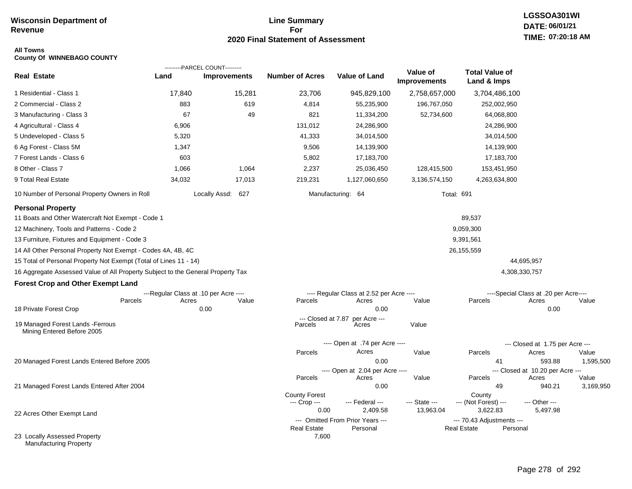# **Line Summary For 2020 Final Statement of Assessment**

# **LGSSOA301WI DATE: 06/01/21 TIME: 07:20:18 AM**

#### **All Towns County Of WINNEBAGO COUNTY**

| <b>Real Estate</b>                                                              |                                       | ---------PARCEL COUNT--------- |                        |                                          | Value of                   | <b>Total Value of</b>            |                                           |           |
|---------------------------------------------------------------------------------|---------------------------------------|--------------------------------|------------------------|------------------------------------------|----------------------------|----------------------------------|-------------------------------------------|-----------|
|                                                                                 | Land                                  | <b>Improvements</b>            | <b>Number of Acres</b> | <b>Value of Land</b>                     | <b>Improvements</b>        | Land & Imps                      |                                           |           |
| 1 Residential - Class 1                                                         | 17,840                                | 15,281                         | 23,706                 | 945,829,100                              | 2,758,657,000              | 3,704,486,100                    |                                           |           |
| 2 Commercial - Class 2                                                          | 883                                   | 619                            | 4,814                  | 55,235,900                               | 196,767,050                | 252,002,950                      |                                           |           |
| 3 Manufacturing - Class 3                                                       | 67                                    | 49                             | 821                    | 11,334,200                               | 52,734,600                 | 64,068,800                       |                                           |           |
| 4 Agricultural - Class 4                                                        | 6,906                                 |                                | 131,012                | 24,286,900                               |                            | 24,286,900                       |                                           |           |
| 5 Undeveloped - Class 5                                                         | 5,320                                 |                                | 41,333                 | 34,014,500                               |                            | 34,014,500                       |                                           |           |
| 6 Ag Forest - Class 5M                                                          | 1,347                                 |                                | 9,506                  | 14,139,900                               |                            | 14,139,900                       |                                           |           |
| 7 Forest Lands - Class 6                                                        | 603                                   |                                | 5,802                  | 17,183,700                               |                            | 17,183,700                       |                                           |           |
| 8 Other - Class 7                                                               | 1,066                                 | 1,064                          | 2,237                  | 25,036,450                               | 128,415,500                | 153,451,950                      |                                           |           |
| 9 Total Real Estate                                                             | 34,032                                | 17,013                         | 219,231                | 1,127,060,650                            | 3,136,574,150              | 4,263,634,800                    |                                           |           |
| 10 Number of Personal Property Owners in Roll                                   |                                       | Locally Assd: 627              |                        | Manufacturing: 64                        |                            | <b>Total: 691</b>                |                                           |           |
| <b>Personal Property</b>                                                        |                                       |                                |                        |                                          |                            |                                  |                                           |           |
| 11 Boats and Other Watercraft Not Exempt - Code 1                               |                                       |                                |                        |                                          |                            | 89,537                           |                                           |           |
| 12 Machinery, Tools and Patterns - Code 2                                       |                                       |                                |                        |                                          |                            | 9,059,300                        |                                           |           |
| 13 Furniture, Fixtures and Equipment - Code 3                                   |                                       |                                |                        |                                          |                            | 9,391,561                        |                                           |           |
| 14 All Other Personal Property Not Exempt - Codes 4A, 4B, 4C                    |                                       |                                |                        |                                          |                            | 26,155,559                       |                                           |           |
| 15 Total of Personal Property Not Exempt (Total of Lines 11 - 14)               |                                       |                                |                        |                                          |                            |                                  | 44,695,957                                |           |
| 16 Aggregate Assessed Value of All Property Subject to the General Property Tax |                                       |                                |                        |                                          |                            |                                  | 4,308,330,757                             |           |
| <b>Forest Crop and Other Exempt Land</b>                                        |                                       |                                |                        |                                          |                            |                                  |                                           |           |
|                                                                                 | ---Regular Class at .10 per Acre ---- |                                |                        | ---- Regular Class at 2.52 per Acre ---- |                            |                                  | ----Special Class at .20 per Acre----     |           |
| Parcels<br>18 Private Forest Crop                                               | Acres                                 | Value<br>0.00                  | Parcels                | Acres<br>0.00                            | Value                      | Parcels                          | Acres<br>0.00                             | Value     |
|                                                                                 |                                       |                                | --- Closed at 7.87     | per Acre ---                             |                            |                                  |                                           |           |
| 19 Managed Forest Lands - Ferrous<br>Mining Entered Before 2005                 |                                       |                                | Parcels                | Acres                                    | Value                      |                                  |                                           |           |
|                                                                                 |                                       |                                |                        | ---- Open at .74 per Acre ----           |                            |                                  | --- Closed at 1.75 per Acre ---           |           |
|                                                                                 |                                       |                                | Parcels                | Acres                                    | Value                      | Parcels                          | Acres                                     | Value     |
| 20 Managed Forest Lands Entered Before 2005                                     |                                       |                                |                        | 0.00                                     |                            | 41                               | 593.88                                    | 1,595,500 |
|                                                                                 |                                       |                                | Parcels                | ---- Open at 2.04 per Acre ----<br>Acres | Value                      | Parcels                          | --- Closed at 10.20 per Acre ---<br>Acres | Value     |
| 21 Managed Forest Lands Entered After 2004                                      |                                       |                                |                        | 0.00                                     |                            | 49                               | 940.21                                    | 3,169,950 |
|                                                                                 |                                       |                                | <b>County Forest</b>   |                                          |                            | County                           |                                           |           |
|                                                                                 |                                       |                                | --- Crop ---<br>0.00   | --- Federal ---<br>2,409.58              | --- State ---<br>13,963.04 | --- (Not Forest) ---<br>3,622.83 | --- Other ---<br>5,497.98                 |           |
| 22 Acres Other Exempt Land                                                      |                                       |                                |                        | --- Omitted From Prior Years ---         |                            | --- 70.43 Adjustments ---        |                                           |           |
|                                                                                 |                                       |                                | <b>Real Estate</b>     | Personal                                 |                            | Real Estate                      | Personal                                  |           |
| 23 Locally Assessed Property<br><b>Manufacturing Property</b>                   |                                       |                                | 7,600                  |                                          |                            |                                  |                                           |           |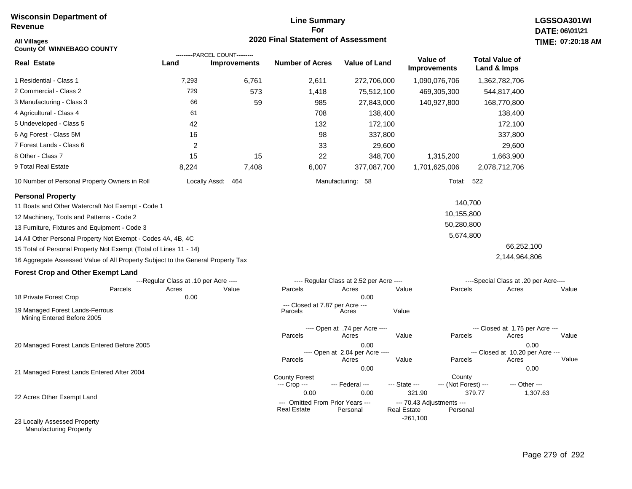# **Line Summary For 2020 Final Statement of Assessment**

| <b>All Villages</b><br><b>County Of WINNEBAGO COUNTY</b>                        |                                       |                                                       | 2020 Final Statement of Assessment                             |                                          |                                                           |                                |                                          | TIME: 07:20 |
|---------------------------------------------------------------------------------|---------------------------------------|-------------------------------------------------------|----------------------------------------------------------------|------------------------------------------|-----------------------------------------------------------|--------------------------------|------------------------------------------|-------------|
| <b>Real Estate</b>                                                              | Land                                  | ---------PARCEL COUNT---------<br><b>Improvements</b> | <b>Number of Acres</b>                                         | <b>Value of Land</b>                     | Value of<br><b>Improvements</b>                           |                                | <b>Total Value of</b><br>Land & Imps     |             |
| 1 Residential - Class 1                                                         | 7,293                                 | 6,761                                                 | 2,611                                                          | 272,706,000                              |                                                           | 1,090,076,706                  | 1,362,782,706                            |             |
| 2 Commercial - Class 2                                                          | 729                                   | 573                                                   | 1,418                                                          | 75,512,100                               |                                                           | 469,305,300                    | 544,817,400                              |             |
| 3 Manufacturing - Class 3                                                       | 66                                    | 59                                                    | 985                                                            | 27,843,000                               |                                                           | 140,927,800                    | 168,770,800                              |             |
| 4 Agricultural - Class 4                                                        | 61                                    |                                                       | 708                                                            | 138,400                                  |                                                           |                                | 138,400                                  |             |
| 5 Undeveloped - Class 5                                                         | 42                                    |                                                       | 132                                                            | 172,100                                  |                                                           |                                | 172,100                                  |             |
| 6 Ag Forest - Class 5M                                                          | 16                                    |                                                       | 98                                                             | 337,800                                  |                                                           |                                | 337,800                                  |             |
| 7 Forest Lands - Class 6                                                        | $\overline{c}$                        |                                                       | 33                                                             | 29,600                                   |                                                           |                                | 29,600                                   |             |
| 8 Other - Class 7                                                               | 15                                    | 15                                                    | 22                                                             | 348,700                                  |                                                           | 1,315,200                      | 1,663,900                                |             |
| 9 Total Real Estate                                                             | 8,224                                 | 7,408                                                 | 6,007                                                          | 377,087,700                              |                                                           | 1,701,625,006                  | 2,078,712,706                            |             |
| 10 Number of Personal Property Owners in Roll                                   |                                       | Locally Assd:<br>464                                  |                                                                | Manufacturing: 58                        |                                                           | Total: 522                     |                                          |             |
| <b>Personal Property</b>                                                        |                                       |                                                       |                                                                |                                          |                                                           |                                |                                          |             |
| 11 Boats and Other Watercraft Not Exempt - Code 1                               |                                       |                                                       |                                                                |                                          |                                                           | 140,700                        |                                          |             |
| 12 Machinery, Tools and Patterns - Code 2                                       |                                       |                                                       |                                                                |                                          |                                                           | 10,155,800                     |                                          |             |
| 13 Furniture, Fixtures and Equipment - Code 3                                   |                                       |                                                       |                                                                |                                          |                                                           | 50,280,800                     |                                          |             |
| 14 All Other Personal Property Not Exempt - Codes 4A, 4B, 4C                    |                                       |                                                       |                                                                |                                          |                                                           | 5,674,800                      |                                          |             |
| 15 Total of Personal Property Not Exempt (Total of Lines 11 - 14)               |                                       |                                                       |                                                                |                                          |                                                           |                                | 66,252,100                               |             |
| 16 Aggregate Assessed Value of All Property Subject to the General Property Tax |                                       |                                                       |                                                                |                                          |                                                           |                                | 2,144,964,806                            |             |
| <b>Forest Crop and Other Exempt Land</b>                                        |                                       |                                                       |                                                                |                                          |                                                           |                                |                                          |             |
|                                                                                 | ---Regular Class at .10 per Acre ---- |                                                       |                                                                | ---- Regular Class at 2.52 per Acre ---- |                                                           |                                | ----Special Class at .20 per Acre----    |             |
| Parcels<br>18 Private Forest Crop                                               | Acres<br>0.00                         | Value                                                 | Parcels                                                        | Acres<br>0.00                            | Value                                                     | Parcels                        | Acres                                    | Value       |
| 19 Managed Forest Lands-Ferrous<br>Mining Entered Before 2005                   |                                       |                                                       | --- Closed at 7.87 per Acre ---<br>Parcels                     | Acres                                    | Value                                                     |                                |                                          |             |
|                                                                                 |                                       |                                                       | Parcels                                                        | ---- Open at .74 per Acre ----<br>Acres  | Value                                                     | Parcels                        | --- Closed at 1.75 per Acre ---<br>Acres | Value       |
| 20 Managed Forest Lands Entered Before 2005                                     |                                       |                                                       |                                                                | 0.00<br>---- Open at 2.04 per Acre ----  |                                                           |                                | --- Closed at 10.20 per Acre ---         | 0.00        |
|                                                                                 |                                       |                                                       | Parcels                                                        | Acres                                    | Value                                                     | Parcels                        | Acres                                    | Value       |
| 21 Managed Forest Lands Entered After 2004                                      |                                       |                                                       | <b>County Forest</b><br>--- Crop ---                           | 0.00<br>--- Federal ---                  | --- State ---                                             | County<br>--- (Not Forest) --- | --- Other ---                            | 0.00        |
| 22 Acres Other Exempt Land                                                      |                                       |                                                       | 0.00<br>--- Omitted From Prior Years ---<br><b>Real Estate</b> | 0.00<br>Personal                         | 321.90<br>--- 70.43 Adjustments ---<br><b>Real Estate</b> | Personal                       | 379.77                                   | 1,307.63    |
| 23 Locally Assessed Property                                                    |                                       |                                                       |                                                                |                                          | $-261,100$                                                |                                |                                          |             |

Manufacturing Property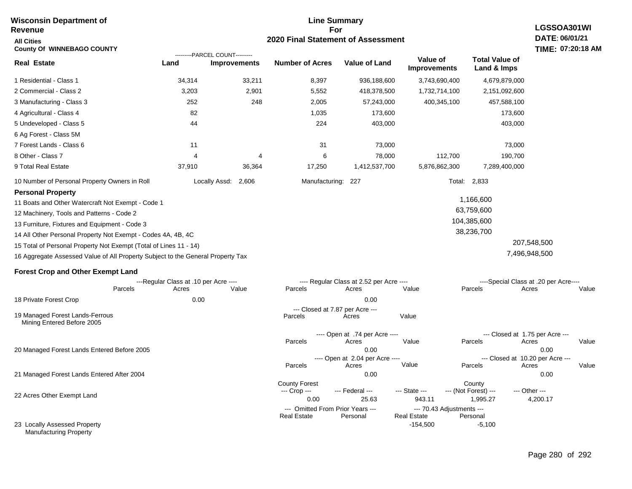| <b>Wisconsin Department of</b><br><b>Revenue</b>                                                                                                                                                                                                                                                                                                                                                                                                | <b>Line Summary</b><br>LGSSOA301WI<br>For |                                                       |                                                                                |                                          |                                                                            |                                                      |                                                                       |
|-------------------------------------------------------------------------------------------------------------------------------------------------------------------------------------------------------------------------------------------------------------------------------------------------------------------------------------------------------------------------------------------------------------------------------------------------|-------------------------------------------|-------------------------------------------------------|--------------------------------------------------------------------------------|------------------------------------------|----------------------------------------------------------------------------|------------------------------------------------------|-----------------------------------------------------------------------|
| <b>All Cities</b><br><b>County Of WINNEBAGO COUNTY</b>                                                                                                                                                                                                                                                                                                                                                                                          |                                           |                                                       | DATE: 06/01/21<br>TIME: 07:20:18 AM                                            |                                          |                                                                            |                                                      |                                                                       |
| <b>Real Estate</b>                                                                                                                                                                                                                                                                                                                                                                                                                              | Land                                      | ---------PARCEL COUNT---------<br><b>Improvements</b> | <b>Number of Acres</b>                                                         | <b>Value of Land</b>                     | Value of<br><b>Improvements</b>                                            | <b>Total Value of</b><br>Land & Imps                 |                                                                       |
| 1 Residential - Class 1                                                                                                                                                                                                                                                                                                                                                                                                                         | 34,314                                    | 33,211                                                | 8,397                                                                          | 936,188,600                              | 3,743,690,400                                                              | 4,679,879,000                                        |                                                                       |
| 2 Commercial - Class 2                                                                                                                                                                                                                                                                                                                                                                                                                          | 3,203                                     | 2,901                                                 | 5,552                                                                          | 418,378,500                              | 1,732,714,100                                                              | 2,151,092,600                                        |                                                                       |
| 3 Manufacturing - Class 3                                                                                                                                                                                                                                                                                                                                                                                                                       | 252                                       | 248                                                   | 2,005                                                                          | 57,243,000                               | 400,345,100                                                                | 457,588,100                                          |                                                                       |
| 4 Agricultural - Class 4                                                                                                                                                                                                                                                                                                                                                                                                                        | 82                                        |                                                       | 1,035                                                                          | 173,600                                  |                                                                            | 173,600                                              |                                                                       |
| 5 Undeveloped - Class 5                                                                                                                                                                                                                                                                                                                                                                                                                         | 44                                        |                                                       | 224                                                                            | 403,000                                  |                                                                            | 403,000                                              |                                                                       |
| 6 Ag Forest - Class 5M                                                                                                                                                                                                                                                                                                                                                                                                                          |                                           |                                                       |                                                                                |                                          |                                                                            |                                                      |                                                                       |
| 7 Forest Lands - Class 6                                                                                                                                                                                                                                                                                                                                                                                                                        | 11                                        |                                                       | 31                                                                             | 73,000                                   |                                                                            | 73,000                                               |                                                                       |
| 8 Other - Class 7                                                                                                                                                                                                                                                                                                                                                                                                                               | 4                                         | 4                                                     | 6                                                                              | 78,000                                   | 112,700                                                                    | 190,700                                              |                                                                       |
| 9 Total Real Estate                                                                                                                                                                                                                                                                                                                                                                                                                             | 37,910                                    | 36,364                                                | 17,250                                                                         | 1,412,537,700                            | 5,876,862,300                                                              | 7,289,400,000                                        |                                                                       |
| 10 Number of Personal Property Owners in Roll                                                                                                                                                                                                                                                                                                                                                                                                   |                                           | Locally Assd:<br>2,606                                | Manufacturing:                                                                 | 227                                      |                                                                            | Total: 2,833                                         |                                                                       |
| <b>Personal Property</b><br>11 Boats and Other Watercraft Not Exempt - Code 1<br>12 Machinery, Tools and Patterns - Code 2<br>13 Furniture, Fixtures and Equipment - Code 3<br>14 All Other Personal Property Not Exempt - Codes 4A, 4B, 4C<br>15 Total of Personal Property Not Exempt (Total of Lines 11 - 14)<br>16 Aggregate Assessed Value of All Property Subject to the General Property Tax<br><b>Forest Crop and Other Exempt Land</b> | ---Regular Class at .10 per Acre ----     |                                                       |                                                                                | ---- Regular Class at 2.52 per Acre ---- |                                                                            | 1,166,600<br>63,759,600<br>104,385,600<br>38,236,700 | 207,548,500<br>7,496,948,500<br>----Special Class at .20 per Acre---- |
| Parcels                                                                                                                                                                                                                                                                                                                                                                                                                                         | Acres                                     | Value                                                 | Parcels                                                                        | Acres                                    | Value                                                                      | Parcels                                              | Acres<br>Value                                                        |
| 18 Private Forest Crop                                                                                                                                                                                                                                                                                                                                                                                                                          | 0.00                                      |                                                       |                                                                                | 0.00                                     |                                                                            |                                                      |                                                                       |
| 19 Managed Forest Lands-Ferrous<br>Mining Entered Before 2005                                                                                                                                                                                                                                                                                                                                                                                   |                                           |                                                       | Parcels                                                                        | --- Closed at 7.87 per Acre ---<br>Acres | Value                                                                      |                                                      |                                                                       |
|                                                                                                                                                                                                                                                                                                                                                                                                                                                 |                                           |                                                       |                                                                                | ---- Open at .74 per Acre ----           |                                                                            | --- Closed at 1.75 per Acre ---                      |                                                                       |
| 20 Managed Forest Lands Entered Before 2005                                                                                                                                                                                                                                                                                                                                                                                                     |                                           |                                                       | Parcels                                                                        | Acres<br>0.00                            | Value                                                                      | Parcels                                              | Acres<br>Value<br>0.00                                                |
|                                                                                                                                                                                                                                                                                                                                                                                                                                                 |                                           |                                                       | Parcels                                                                        | ---- Open at 2.04 per Acre ----<br>Acres | Value                                                                      | --- Closed at 10.20 per Acre ---<br>Parcels          | Acres<br>Value                                                        |
| 21 Managed Forest Lands Entered After 2004                                                                                                                                                                                                                                                                                                                                                                                                      |                                           |                                                       | <b>County Forest</b>                                                           | 0.00                                     |                                                                            | County                                               | 0.00                                                                  |
| 22 Acres Other Exempt Land                                                                                                                                                                                                                                                                                                                                                                                                                      |                                           |                                                       | --- Crop ---<br>0.00<br>--- Omitted From Prior Years ---<br><b>Real Estate</b> | --- Federal ---<br>25.63<br>Personal     | --- State ---<br>943.11<br>--- 70.43 Adjustments ---<br><b>Real Estate</b> | --- (Not Forest) ---<br>1,995.27<br>Personal         | --- Other ---<br>4,200.17                                             |
| 23 Locally Assessed Property<br><b>Manufacturing Property</b>                                                                                                                                                                                                                                                                                                                                                                                   |                                           |                                                       |                                                                                |                                          | $-154,500$                                                                 | $-5,100$                                             |                                                                       |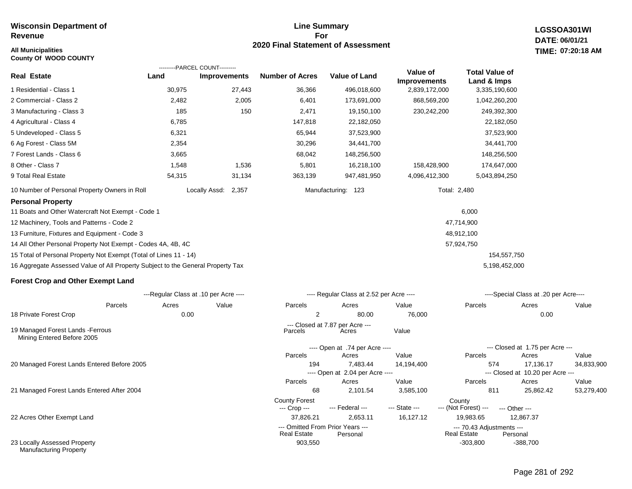# **All Municipalities TIME:**

**County Of WOOD COUNTY**

# **Line Summary For 2020 Final Statement of Assessment**

**LGSSOA301WI DATE: 06/01/21 07:20:18 AM**

|                                                                                 |        | ---------PARCEL COUNT---------        |                                      |                                              |                                 |                                                 |                                               |            |  |
|---------------------------------------------------------------------------------|--------|---------------------------------------|--------------------------------------|----------------------------------------------|---------------------------------|-------------------------------------------------|-----------------------------------------------|------------|--|
| Real Estate                                                                     | Land   | <b>Improvements</b>                   | <b>Number of Acres</b>               | <b>Value of Land</b>                         | Value of<br><b>Improvements</b> | <b>Total Value of</b><br>Land & Imps            |                                               |            |  |
| 1 Residential - Class 1                                                         | 30,975 | 27,443                                | 36,366                               | 496,018,600                                  | 2,839,172,000                   | 3,335,190,600                                   |                                               |            |  |
| 2 Commercial - Class 2                                                          | 2,482  | 2,005                                 | 6,401                                | 173,691,000                                  | 868,569,200                     | 1,042,260,200                                   |                                               |            |  |
| 3 Manufacturing - Class 3                                                       | 185    | 150                                   | 2,471                                | 19,150,100                                   | 230,242,200                     | 249,392,300                                     |                                               |            |  |
| 4 Agricultural - Class 4                                                        | 6,785  |                                       | 147,818                              | 22,182,050                                   |                                 | 22,182,050                                      |                                               |            |  |
| 5 Undeveloped - Class 5                                                         | 6,321  |                                       | 65,944                               | 37,523,900                                   |                                 | 37,523,900                                      |                                               |            |  |
| 6 Ag Forest - Class 5M                                                          | 2,354  |                                       | 30,296                               | 34,441,700                                   |                                 | 34,441,700                                      |                                               |            |  |
| 7 Forest Lands - Class 6                                                        | 3,665  |                                       | 68,042                               | 148,256,500                                  |                                 | 148,256,500                                     |                                               |            |  |
| 8 Other - Class 7                                                               | 1,548  | 1,536                                 | 5,801                                | 16,218,100                                   | 158,428,900                     | 174,647,000                                     |                                               |            |  |
| 9 Total Real Estate                                                             | 54,315 | 31,134                                | 363,139                              | 947,481,950                                  | 4,096,412,300                   | 5,043,894,250                                   |                                               |            |  |
| 10 Number of Personal Property Owners in Roll                                   |        | Locally Assd: 2,357                   |                                      | Manufacturing: 123                           |                                 | Total: 2,480                                    |                                               |            |  |
| <b>Personal Property</b>                                                        |        |                                       |                                      |                                              |                                 |                                                 |                                               |            |  |
| 11 Boats and Other Watercraft Not Exempt - Code 1                               |        |                                       |                                      |                                              |                                 | 6,000                                           |                                               |            |  |
| 12 Machinery, Tools and Patterns - Code 2                                       |        |                                       |                                      |                                              |                                 | 47,714,900                                      |                                               |            |  |
| 13 Furniture, Fixtures and Equipment - Code 3                                   |        |                                       |                                      |                                              |                                 | 48,912,100                                      |                                               |            |  |
| 14 All Other Personal Property Not Exempt - Codes 4A, 4B, 4C                    |        |                                       |                                      |                                              |                                 | 57,924,750                                      |                                               |            |  |
| 15 Total of Personal Property Not Exempt (Total of Lines 11 - 14)               |        |                                       |                                      |                                              |                                 | 154,557,750                                     |                                               |            |  |
| 16 Aggregate Assessed Value of All Property Subject to the General Property Tax |        |                                       |                                      |                                              |                                 | 5,198,452,000                                   |                                               |            |  |
| <b>Forest Crop and Other Exempt Land</b>                                        |        |                                       |                                      |                                              |                                 |                                                 |                                               |            |  |
|                                                                                 |        | ---Regular Class at .10 per Acre ---- |                                      | ---- Regular Class at 2.52 per Acre ----     |                                 |                                                 | ----Special Class at .20 per Acre----         |            |  |
| Parcels                                                                         | Acres  | Value                                 | Parcels                              | Acres                                        | Value                           | Parcels                                         | Acres                                         | Value      |  |
| 18 Private Forest Crop                                                          | 0.00   |                                       | 2                                    | 80.00                                        | 76,000                          |                                                 | 0.00                                          |            |  |
| 19 Managed Forest Lands - Ferrous<br>Mining Entered Before 2005                 |        |                                       | Parcels                              | --- Closed at 7.87 per Acre ---<br>Acres     | Value                           |                                                 |                                               |            |  |
|                                                                                 |        |                                       |                                      | ---- Open at .74 per Acre ----               |                                 |                                                 | --- Closed at 1.75 per Acre ---               |            |  |
|                                                                                 |        |                                       | Parcels                              | Acres                                        | Value                           | Parcels                                         | Acres                                         | Value      |  |
| 20 Managed Forest Lands Entered Before 2005                                     |        |                                       | 194                                  | 7,483.44<br>---- Open at 2.04 per Acre ----  | 14,194,400                      | 574                                             | 17,136.17<br>--- Closed at 10.20 per Acre --- | 34,833,900 |  |
|                                                                                 |        |                                       | Parcels                              | Acres                                        | Value                           | Parcels                                         | Acres                                         | Value      |  |
| 21 Managed Forest Lands Entered After 2004                                      |        |                                       | 68                                   | 2,101.54                                     | 3,585,100                       | 811                                             | 25,862.42                                     | 53,279,400 |  |
|                                                                                 |        |                                       | <b>County Forest</b><br>--- Crop --- | --- Federal ---                              | --- State ---                   | County<br>--- (Not Forest) ---                  | --- Other ---                                 |            |  |
| 22 Acres Other Exempt Land                                                      |        |                                       | 37.826.21                            | 2,653.11                                     | 16,127.12                       | 19,983.65                                       | 12,867.37                                     |            |  |
|                                                                                 |        |                                       | <b>Real Estate</b>                   | --- Omitted From Prior Years ---<br>Personal |                                 | --- 70.43 Adjustments ---<br><b>Real Estate</b> | Personal                                      |            |  |

903,550 -303,800 -303,800

23 Locally Assessed Property Manufacturing Property

-388,700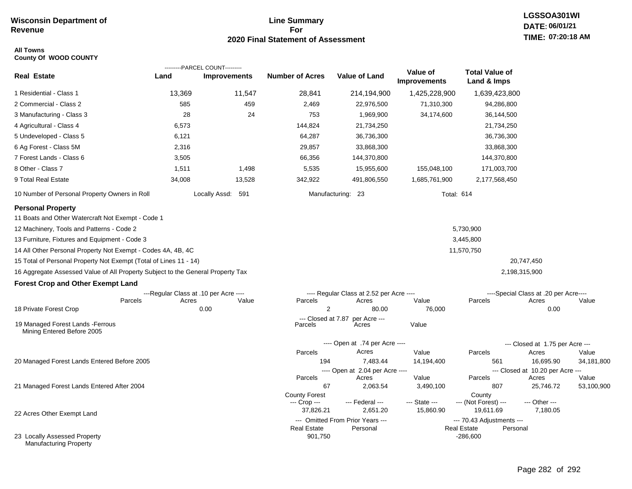# **Line Summary For 2020 Final Statement of Assessment**

### **All Towns County Of WOOD COUNTY**

|                                                                                                                                                                                                                                                                                                                                                                                                                                                                                                                           |        | ---------PARCEL COUNT---------                         |                                                            |                                                                                     |                                 |                                                 |                                                                                       |            |
|---------------------------------------------------------------------------------------------------------------------------------------------------------------------------------------------------------------------------------------------------------------------------------------------------------------------------------------------------------------------------------------------------------------------------------------------------------------------------------------------------------------------------|--------|--------------------------------------------------------|------------------------------------------------------------|-------------------------------------------------------------------------------------|---------------------------------|-------------------------------------------------|---------------------------------------------------------------------------------------|------------|
| <b>Real Estate</b>                                                                                                                                                                                                                                                                                                                                                                                                                                                                                                        | Land   | <b>Improvements</b>                                    | <b>Number of Acres</b>                                     | Value of Land                                                                       | Value of<br><b>Improvements</b> | <b>Total Value of</b><br>Land & Imps            |                                                                                       |            |
| 1 Residential - Class 1                                                                                                                                                                                                                                                                                                                                                                                                                                                                                                   | 13,369 | 11,547                                                 | 28,841                                                     | 214,194,900                                                                         | 1,425,228,900                   | 1,639,423,800                                   |                                                                                       |            |
| 2 Commercial - Class 2                                                                                                                                                                                                                                                                                                                                                                                                                                                                                                    | 585    | 459                                                    | 2,469                                                      | 22,976,500                                                                          | 71,310,300                      | 94,286,800                                      |                                                                                       |            |
| 3 Manufacturing - Class 3                                                                                                                                                                                                                                                                                                                                                                                                                                                                                                 | 28     | 24                                                     | 753                                                        | 1,969,900                                                                           | 34,174,600                      | 36,144,500                                      |                                                                                       |            |
| 4 Agricultural - Class 4                                                                                                                                                                                                                                                                                                                                                                                                                                                                                                  | 6,573  |                                                        | 144,824                                                    | 21,734,250                                                                          |                                 | 21,734,250                                      |                                                                                       |            |
| 5 Undeveloped - Class 5                                                                                                                                                                                                                                                                                                                                                                                                                                                                                                   | 6,121  |                                                        | 64,287                                                     | 36,736,300                                                                          |                                 | 36,736,300                                      |                                                                                       |            |
| 6 Ag Forest - Class 5M                                                                                                                                                                                                                                                                                                                                                                                                                                                                                                    | 2,316  |                                                        | 29,857                                                     | 33,868,300                                                                          |                                 | 33,868,300                                      |                                                                                       |            |
| 7 Forest Lands - Class 6                                                                                                                                                                                                                                                                                                                                                                                                                                                                                                  | 3,505  |                                                        | 66,356                                                     | 144,370,800                                                                         |                                 | 144,370,800                                     |                                                                                       |            |
| 8 Other - Class 7                                                                                                                                                                                                                                                                                                                                                                                                                                                                                                         | 1,511  | 1,498                                                  | 5,535                                                      | 15,955,600                                                                          | 155,048,100                     | 171,003,700                                     |                                                                                       |            |
| 9 Total Real Estate                                                                                                                                                                                                                                                                                                                                                                                                                                                                                                       | 34,008 | 13,528                                                 | 342,922                                                    | 491,806,550                                                                         | 1,685,761,900                   | 2,177,568,450                                   |                                                                                       |            |
| 10 Number of Personal Property Owners in Roll                                                                                                                                                                                                                                                                                                                                                                                                                                                                             |        | Locally Assd: 591                                      |                                                            | Manufacturing: 23                                                                   | <b>Total: 614</b>               |                                                 |                                                                                       |            |
| <b>Personal Property</b><br>11 Boats and Other Watercraft Not Exempt - Code 1<br>12 Machinery, Tools and Patterns - Code 2<br>13 Furniture, Fixtures and Equipment - Code 3<br>14 All Other Personal Property Not Exempt - Codes 4A, 4B, 4C<br>15 Total of Personal Property Not Exempt (Total of Lines 11 - 14)<br>16 Aggregate Assessed Value of All Property Subject to the General Property Tax<br><b>Forest Crop and Other Exempt Land</b><br>Parcels<br>18 Private Forest Crop<br>19 Managed Forest Lands - Ferrous | Acres  | ---Regular Class at .10 per Acre ----<br>Value<br>0.00 | Parcels<br>$\overline{2}$<br>--- Closed at 7.87<br>Parcels | ---- Regular Class at 2.52 per Acre ----<br>Acres<br>80.00<br>per Acre ---<br>Acres | Value<br>76,000<br>Value        | 5,730,900<br>3,445,800<br>11,570,750<br>Parcels | 20,747,450<br>2,198,315,900<br>----Special Class at .20 per Acre----<br>Acres<br>0.00 | Value      |
| Mining Entered Before 2005                                                                                                                                                                                                                                                                                                                                                                                                                                                                                                |        |                                                        |                                                            |                                                                                     |                                 |                                                 |                                                                                       |            |
|                                                                                                                                                                                                                                                                                                                                                                                                                                                                                                                           |        |                                                        |                                                            | ---- Open at .74 per Acre ----                                                      |                                 |                                                 | --- Closed at 1.75 per Acre ---                                                       |            |
|                                                                                                                                                                                                                                                                                                                                                                                                                                                                                                                           |        |                                                        | Parcels                                                    | Acres                                                                               | Value                           | Parcels                                         | Acres                                                                                 | Value      |
| 20 Managed Forest Lands Entered Before 2005                                                                                                                                                                                                                                                                                                                                                                                                                                                                               |        |                                                        | 194                                                        | 7,483.44<br>---- Open at 2.04 per Acre ----                                         | 14,194,400                      | 561                                             | 16,695.90<br>--- Closed at 10.20 per Acre ---                                         | 34,181,800 |
|                                                                                                                                                                                                                                                                                                                                                                                                                                                                                                                           |        |                                                        | Parcels                                                    | Acres                                                                               | Value                           | Parcels                                         | Acres                                                                                 | Value      |
| 21 Managed Forest Lands Entered After 2004                                                                                                                                                                                                                                                                                                                                                                                                                                                                                |        |                                                        | 67                                                         | 2,063.54                                                                            | 3,490,100                       | 807                                             | 25,746.72                                                                             | 53,100,900 |
|                                                                                                                                                                                                                                                                                                                                                                                                                                                                                                                           |        |                                                        | <b>County Forest</b>                                       |                                                                                     | --- State ---                   | County<br>--- (Not Forest) ---                  | --- Other ---                                                                         |            |
|                                                                                                                                                                                                                                                                                                                                                                                                                                                                                                                           |        |                                                        | --- Crop ---<br>37,826.21                                  | --- Federal ---<br>2,651.20                                                         | 15,860.90                       | 19,611.69                                       | 7,180.05                                                                              |            |
| 22 Acres Other Exempt Land                                                                                                                                                                                                                                                                                                                                                                                                                                                                                                |        |                                                        |                                                            | --- Omitted From Prior Years ---                                                    |                                 | --- 70.43 Adjustments ---                       |                                                                                       |            |
|                                                                                                                                                                                                                                                                                                                                                                                                                                                                                                                           |        |                                                        | <b>Real Estate</b>                                         | Personal                                                                            |                                 | <b>Real Estate</b><br>Personal                  |                                                                                       |            |
| 23 Locally Assessed Property<br><b>Manufacturing Property</b>                                                                                                                                                                                                                                                                                                                                                                                                                                                             |        |                                                        | 901,750                                                    |                                                                                     |                                 | $-286,600$                                      |                                                                                       |            |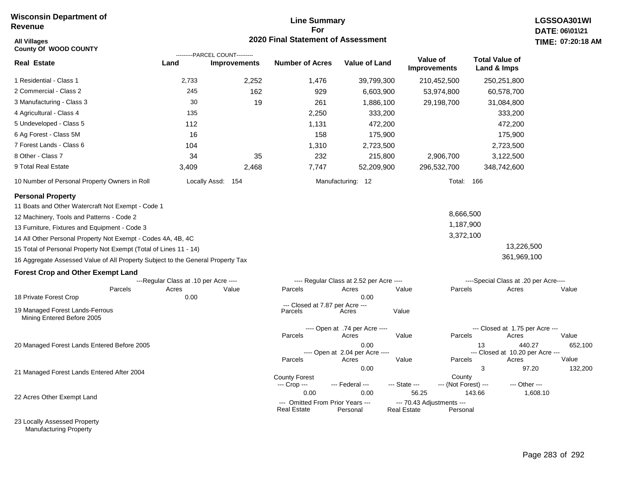# **Line Summary For 2020 Final Statement of Assessment**

| <b>All Villages</b><br><b>County Of WOOD COUNTY</b>                             |                                       | ---------PARCEL COUNT--------- | <b>2020 Final Statement of Assessment</b>              |                                          |                                                 |                                |                                        | TIME: 07:20:18    |  |
|---------------------------------------------------------------------------------|---------------------------------------|--------------------------------|--------------------------------------------------------|------------------------------------------|-------------------------------------------------|--------------------------------|----------------------------------------|-------------------|--|
| <b>Real Estate</b>                                                              | Land                                  | <b>Improvements</b>            | <b>Number of Acres</b>                                 | <b>Value of Land</b>                     | Value of<br><b>Improvements</b>                 |                                | <b>Total Value of</b><br>Land & Imps   |                   |  |
| 1 Residential - Class 1                                                         | 2,733                                 | 2,252                          | 1,476                                                  | 39,799,300                               |                                                 | 210,452,500                    | 250,251,800                            |                   |  |
| 2 Commercial - Class 2                                                          | 245                                   | 162                            | 929                                                    | 6,603,900                                |                                                 | 53,974,800                     | 60,578,700                             |                   |  |
| 3 Manufacturing - Class 3                                                       | 30                                    | 19                             | 261                                                    | 1,886,100                                |                                                 | 29,198,700                     | 31,084,800                             |                   |  |
| 4 Agricultural - Class 4                                                        | 135                                   |                                | 2,250                                                  | 333,200                                  |                                                 |                                | 333,200                                |                   |  |
| 5 Undeveloped - Class 5                                                         | 112                                   |                                | 1,131                                                  | 472,200                                  |                                                 |                                | 472,200                                |                   |  |
| 6 Ag Forest - Class 5M                                                          | 16                                    |                                | 158                                                    | 175,900                                  |                                                 |                                | 175,900                                |                   |  |
| 7 Forest Lands - Class 6                                                        | 104                                   |                                | 1,310                                                  | 2,723,500                                |                                                 |                                | 2,723,500                              |                   |  |
| 8 Other - Class 7                                                               | 34                                    | 35                             | 232                                                    | 215,800                                  |                                                 | 2,906,700                      | 3,122,500                              |                   |  |
| 9 Total Real Estate                                                             | 3,409                                 | 2,468                          | 7,747                                                  | 52,209,900                               |                                                 | 296,532,700                    | 348,742,600                            |                   |  |
| 10 Number of Personal Property Owners in Roll                                   |                                       | Locally Assd: 154              |                                                        | Manufacturing: 12                        |                                                 | <b>Total: 166</b>              |                                        |                   |  |
| <b>Personal Property</b>                                                        |                                       |                                |                                                        |                                          |                                                 |                                |                                        |                   |  |
| 11 Boats and Other Watercraft Not Exempt - Code 1                               |                                       |                                |                                                        |                                          |                                                 |                                |                                        |                   |  |
| 12 Machinery, Tools and Patterns - Code 2                                       |                                       |                                |                                                        |                                          |                                                 | 8,666,500                      |                                        |                   |  |
| 13 Furniture, Fixtures and Equipment - Code 3                                   |                                       |                                |                                                        |                                          |                                                 | 1,187,900                      |                                        |                   |  |
| 14 All Other Personal Property Not Exempt - Codes 4A, 4B, 4C                    |                                       |                                |                                                        |                                          |                                                 | 3,372,100                      |                                        |                   |  |
| 15 Total of Personal Property Not Exempt (Total of Lines 11 - 14)               |                                       |                                |                                                        |                                          |                                                 |                                | 13,226,500                             |                   |  |
| 16 Aggregate Assessed Value of All Property Subject to the General Property Tax |                                       |                                |                                                        |                                          |                                                 |                                | 361,969,100                            |                   |  |
| <b>Forest Crop and Other Exempt Land</b>                                        |                                       |                                |                                                        |                                          |                                                 |                                |                                        |                   |  |
|                                                                                 | ---Regular Class at .10 per Acre ---- |                                |                                                        | ---- Regular Class at 2.52 per Acre ---- |                                                 |                                | ----Special Class at .20 per Acre----  |                   |  |
| Parcels                                                                         | Acres                                 | Value                          | Parcels                                                | Acres                                    | Value                                           | Parcels                        | Acres                                  | Value             |  |
| 18 Private Forest Crop                                                          | 0.00                                  |                                | --- Closed at 7.87 per Acre ---                        | 0.00                                     |                                                 |                                |                                        |                   |  |
| 19 Managed Forest Lands-Ferrous<br>Mining Entered Before 2005                   |                                       |                                | Parcels                                                | Acres                                    | Value                                           |                                |                                        |                   |  |
|                                                                                 |                                       |                                |                                                        | ---- Open at .74 per Acre ----           |                                                 |                                | --- Closed at 1.75 per Acre ---        |                   |  |
|                                                                                 |                                       |                                | Parcels                                                | Acres                                    | Value                                           | Parcels                        | Acres                                  | Value             |  |
| 20 Managed Forest Lands Entered Before 2005                                     |                                       |                                |                                                        | 0.00<br>---- Open at 2.04 per Acre ----  |                                                 |                                | 13<br>--- Closed at 10.20 per Acre --- | 440.27<br>652,100 |  |
|                                                                                 |                                       |                                | Parcels                                                | Acres                                    | Value                                           | Parcels                        | Acres                                  | Value             |  |
| 21 Managed Forest Lands Entered After 2004                                      |                                       |                                |                                                        | 0.00                                     |                                                 |                                | 3                                      | 97.20<br>132,200  |  |
|                                                                                 |                                       |                                | <b>County Forest</b><br>--- Crop ---                   | --- Federal ---                          | --- State ---                                   | County<br>--- (Not Forest) --- | --- Other ---                          |                   |  |
|                                                                                 |                                       |                                | 0.00                                                   | 0.00                                     | 56.25                                           |                                | 143.66                                 | 1,608.10          |  |
| 22 Acres Other Exempt Land                                                      |                                       |                                | --- Omitted From Prior Years ---<br><b>Real Estate</b> | Personal                                 | --- 70.43 Adjustments ---<br><b>Real Estate</b> | Personal                       |                                        |                   |  |

23 Locally Assessed Property Manufacturing Property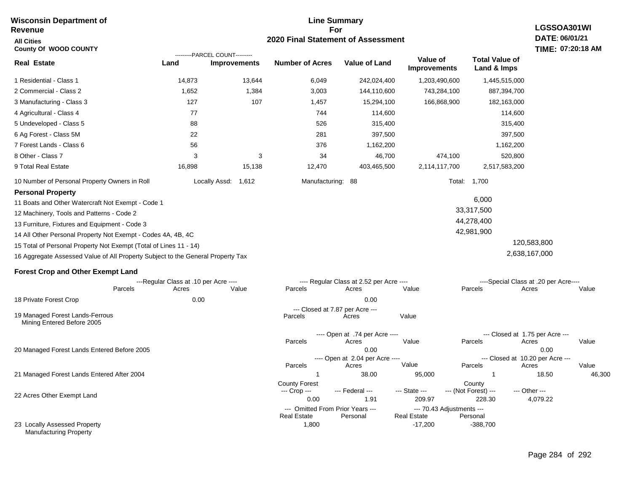#### **Line Summary For 2020 Final Statement of Assessment Wisconsin Department of Revenue All Cities County Of WOOD COUNTY Real Estate** 1 Residential - Class 1 2 Commercial - Class 2 14,873 13,644 6,049 242,024,400 1,203,490,600 1,445,515,000 **Land Improvements Number of Acres Value of Land Value of Improvements Total Value of Land & Imps** 1,652 1,384 3,003 144,110,600 743,284,100 ---------PARCEL COUNT---------

| 3 Manufacturing - Class 3                                    | 127           | 107    | 1,457             | 15,294,100  | 166,868,900   | 182,163,000   |
|--------------------------------------------------------------|---------------|--------|-------------------|-------------|---------------|---------------|
| 4 Agricultural - Class 4                                     | 77            |        | 744               | 114,600     |               | 114,600       |
| 5 Undeveloped - Class 5                                      | 88            |        | 526               | 315,400     |               | 315,400       |
| 6 Ag Forest - Class 5M                                       | 22            |        | 281               | 397,500     |               | 397,500       |
| 7 Forest Lands - Class 6                                     | 56            |        | 376               | 1,162,200   |               | 1,162,200     |
| 8 Other - Class 7                                            | 3             | 3      | 34                | 46,700      | 474,100       | 520,800       |
| 9 Total Real Estate                                          | 16,898        | 15,138 | 12.470            | 403.465.500 | 2,114,117,700 | 2,517,583,200 |
| 10 Number of Personal Property Owners in Roll                | Locally Assd: | 1,612  | Manufacturing: 88 |             | Total:        | 1,700         |
| <b>Personal Property</b>                                     |               |        |                   |             |               |               |
| 11 Boats and Other Watercraft Not Exempt - Code 1            |               |        |                   |             |               | 6,000         |
| 12 Machinery, Tools and Patterns - Code 2                    |               |        |                   |             |               | 33,317,500    |
| 13 Furniture, Fixtures and Equipment - Code 3                |               |        |                   |             |               | 44,278,400    |
| 14 All Other Personal Property Not Exempt - Codes 4A, 4B, 4C |               |        |                   |             |               | 42,981,900    |

15 Total of Personal Property Not Exempt (Total of Lines 11 - 14) 16 Aggregate Assessed Value of All Property Subject to the General Property Tax

### **Forest Crop and Other Exempt Land**

|                                                               |         | ---Regular Class at .10 per Acre ---- |       |                      | ---- Regular Class at 2.52 per Acre ---- |                    |                           | ----Special Class at .20 per Acre---- |        |  |  |
|---------------------------------------------------------------|---------|---------------------------------------|-------|----------------------|------------------------------------------|--------------------|---------------------------|---------------------------------------|--------|--|--|
|                                                               | Parcels | Acres                                 | Value | Parcels              | Acres                                    | Value              | Parcels                   | Acres                                 | Value  |  |  |
| 18 Private Forest Crop                                        |         | 0.00                                  |       |                      | 0.00                                     |                    |                           |                                       |        |  |  |
|                                                               |         |                                       |       |                      | --- Closed at 7.87 per Acre ---          |                    |                           |                                       |        |  |  |
| 19 Managed Forest Lands-Ferrous<br>Mining Entered Before 2005 |         |                                       |       | Parcels              | Acres                                    | Value              |                           |                                       |        |  |  |
|                                                               |         |                                       |       |                      | ---- Open at .74 per Acre ----           |                    |                           | --- Closed at 1.75 per Acre ---       |        |  |  |
|                                                               |         |                                       |       | Parcels              | Acres                                    | Value              | Parcels                   | Acres                                 | Value  |  |  |
| 20 Managed Forest Lands Entered Before 2005                   |         |                                       |       | 0.00                 |                                          |                    | 0.00                      |                                       |        |  |  |
|                                                               |         |                                       |       |                      | ---- Open at 2.04 per Acre ----          |                    |                           | --- Closed at 10.20 per Acre ---      |        |  |  |
|                                                               |         |                                       |       | Parcels              | Acres                                    | Value              | Parcels                   | Acres                                 | Value  |  |  |
| 21 Managed Forest Lands Entered After 2004                    |         |                                       |       |                      | 38.00                                    | 95,000             |                           | 18.50                                 | 46,300 |  |  |
|                                                               |         |                                       |       | <b>County Forest</b> |                                          |                    | County                    |                                       |        |  |  |
|                                                               |         |                                       |       | --- Crop ---         | --- Federal ---                          | --- State ---      | --- (Not Forest) ---      | --- Other ---                         |        |  |  |
| 22 Acres Other Exempt Land                                    |         |                                       |       | 0.00                 | 1.91                                     | 209.97             | 228.30                    | 4,079.22                              |        |  |  |
|                                                               |         |                                       |       |                      | --- Omitted From Prior Years ---         |                    | --- 70.43 Adjustments --- |                                       |        |  |  |
|                                                               |         |                                       |       | <b>Real Estate</b>   | Personal                                 | <b>Real Estate</b> | Personal                  |                                       |        |  |  |
| 23 Locally Assessed Property<br><b>Manufacturing Property</b> |         |                                       |       | 1,800                |                                          | $-17,200$          | $-388,700$                |                                       |        |  |  |

# **LGSSOA301WI DATE: 06/01/21 TIME: 07:20:18 AM**

887,394,700

 120,583,800 2,638,167,000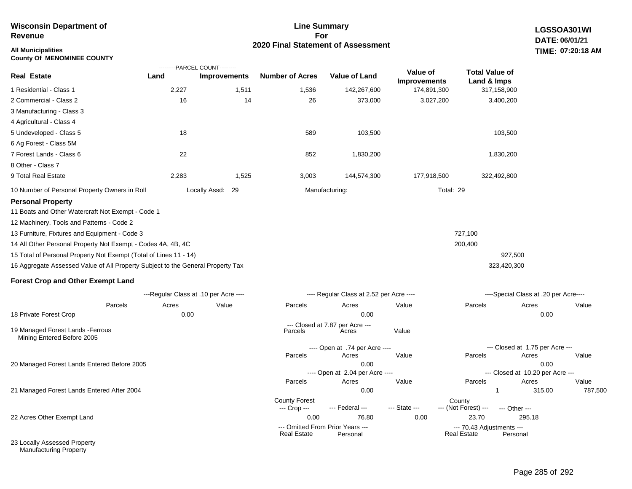| All Municipalities<br><b>County Of MENOMINEE COUNTY</b>                         |       |                                                       |                        |                                          |                                 |                                      |                                       | TIME: 07:20:18 AM |
|---------------------------------------------------------------------------------|-------|-------------------------------------------------------|------------------------|------------------------------------------|---------------------------------|--------------------------------------|---------------------------------------|-------------------|
| Real Estate                                                                     | Land  | ---------PARCEL COUNT---------<br><b>Improvements</b> | <b>Number of Acres</b> | <b>Value of Land</b>                     | Value of<br><b>Improvements</b> | <b>Total Value of</b><br>Land & Imps |                                       |                   |
| 1 Residential - Class 1                                                         | 2,227 | 1,511                                                 | 1,536                  | 142,267,600                              | 174,891,300                     | 317,158,900                          |                                       |                   |
| 2 Commercial - Class 2                                                          | 16    | 14                                                    | 26                     | 373,000                                  | 3,027,200                       | 3,400,200                            |                                       |                   |
| 3 Manufacturing - Class 3                                                       |       |                                                       |                        |                                          |                                 |                                      |                                       |                   |
| 4 Agricultural - Class 4                                                        |       |                                                       |                        |                                          |                                 |                                      |                                       |                   |
| 5 Undeveloped - Class 5                                                         | 18    |                                                       | 589                    | 103,500                                  |                                 | 103,500                              |                                       |                   |
| 6 Ag Forest - Class 5M                                                          |       |                                                       |                        |                                          |                                 |                                      |                                       |                   |
| 7 Forest Lands - Class 6                                                        | 22    |                                                       | 852                    | 1,830,200                                |                                 | 1,830,200                            |                                       |                   |
| 8 Other - Class 7                                                               |       |                                                       |                        |                                          |                                 |                                      |                                       |                   |
| 9 Total Real Estate                                                             | 2,283 | 1,525                                                 | 3,003                  | 144,574,300                              | 177,918,500                     | 322,492,800                          |                                       |                   |
| 10 Number of Personal Property Owners in Roll                                   |       | Locally Assd: 29                                      |                        | Manufacturing:                           | Total: 29                       |                                      |                                       |                   |
| <b>Personal Property</b>                                                        |       |                                                       |                        |                                          |                                 |                                      |                                       |                   |
| 11 Boats and Other Watercraft Not Exempt - Code 1                               |       |                                                       |                        |                                          |                                 |                                      |                                       |                   |
| 12 Machinery, Tools and Patterns - Code 2                                       |       |                                                       |                        |                                          |                                 |                                      |                                       |                   |
| 13 Furniture, Fixtures and Equipment - Code 3                                   |       |                                                       |                        |                                          |                                 | 727,100                              |                                       |                   |
| 14 All Other Personal Property Not Exempt - Codes 4A, 4B, 4C                    |       |                                                       |                        |                                          |                                 | 200,400                              |                                       |                   |
| 15 Total of Personal Property Not Exempt (Total of Lines 11 - 14)               |       |                                                       |                        |                                          |                                 | 927,500                              |                                       |                   |
| 16 Aggregate Assessed Value of All Property Subject to the General Property Tax |       |                                                       |                        |                                          |                                 | 323,420,300                          |                                       |                   |
| <b>Forest Crop and Other Exempt Land</b>                                        |       |                                                       |                        |                                          |                                 |                                      |                                       |                   |
|                                                                                 |       | ---Regular Class at .10 per Acre ----                 |                        | ---- Regular Class at 2.52 per Acre ---- |                                 |                                      | ----Special Class at .20 per Acre---- |                   |
| Parcels                                                                         | Acres | Value                                                 | Parcels                | Acres                                    | Value                           | Parcels                              | Acres                                 | Value             |
| 18 Private Forest Crop                                                          | 0.00  |                                                       |                        | 0.00                                     |                                 |                                      | 0.00                                  |                   |
| 19 Managed Forest Lands - Ferrous<br>Mining Entered Before 2005                 |       |                                                       | Parcels                | --- Closed at 7.87 per Acre ---<br>Acres | Value                           |                                      |                                       |                   |
|                                                                                 |       |                                                       |                        | ---- Open at .74 per Acre ----           |                                 |                                      | --- Closed at 1.75 per Acre ---       |                   |
|                                                                                 |       |                                                       | Parcels                | Acres                                    | Value                           | Parcels                              | Acres                                 | Value             |
| 20 Managed Forest Lands Entered Before 2005                                     |       |                                                       |                        | 0.00                                     |                                 |                                      | 0.00                                  |                   |

---- Open at 2.04 per Acre ----

County Forest County<br>--- Crop --- --- Federal --- --- State --- --- (Not Fore

21 Managed Forest Lands Entered After 2004

22 Acres Other Exempt Land

**Wisconsin Department of** 

**Revenue**

23 Locally Assessed Property Manufacturing Property

# **Line Summary For 2020 Final Statement of Assessment**

Page 285 of 292

--- Closed at 10.20 per Acre ---

0.00 1 315.00 787,500

--- (Not Forest) --- --- Other ---

Real Estate

0.00 76.80 0.00 23.70 295.18

Parcels Acres Value Parcels Acres Value

--- Omitted From Prior Years --- --- 70.43 Adjustments ---

**LGSSOA301WI DATE: 06/01/21**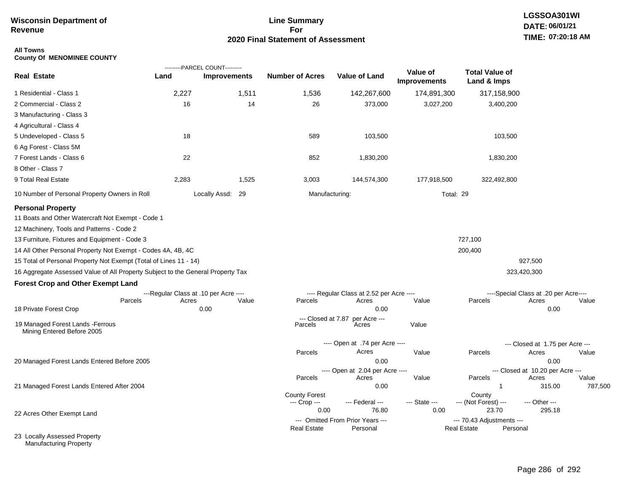# **Line Summary For 2020 Final Statement of Assessment**

### **All Towns County Of MENOMINEE COUNTY**

|                                                                                 |                                       | ---------PARCEL COUNT--------- |                               |                                              |                                 |                                                             |                                       |                  |
|---------------------------------------------------------------------------------|---------------------------------------|--------------------------------|-------------------------------|----------------------------------------------|---------------------------------|-------------------------------------------------------------|---------------------------------------|------------------|
| <b>Real Estate</b>                                                              | Land                                  | <b>Improvements</b>            | <b>Number of Acres</b>        | <b>Value of Land</b>                         | Value of<br><b>Improvements</b> | <b>Total Value of</b><br>Land & Imps                        |                                       |                  |
| 1 Residential - Class 1                                                         | 2,227                                 | 1,511                          | 1,536                         | 142,267,600                                  | 174,891,300                     | 317,158,900                                                 |                                       |                  |
| 2 Commercial - Class 2                                                          | 16                                    | 14                             | 26                            | 373,000                                      | 3,027,200                       | 3,400,200                                                   |                                       |                  |
| 3 Manufacturing - Class 3                                                       |                                       |                                |                               |                                              |                                 |                                                             |                                       |                  |
| 4 Agricultural - Class 4                                                        |                                       |                                |                               |                                              |                                 |                                                             |                                       |                  |
| 5 Undeveloped - Class 5                                                         | 18                                    |                                | 589                           | 103,500                                      |                                 | 103,500                                                     |                                       |                  |
| 6 Ag Forest - Class 5M                                                          |                                       |                                |                               |                                              |                                 |                                                             |                                       |                  |
| 7 Forest Lands - Class 6                                                        | 22                                    |                                | 852                           | 1,830,200                                    |                                 | 1,830,200                                                   |                                       |                  |
| 8 Other - Class 7                                                               |                                       |                                |                               |                                              |                                 |                                                             |                                       |                  |
| 9 Total Real Estate                                                             | 2,283                                 | 1,525                          | 3,003                         | 144,574,300                                  | 177,918,500                     | 322,492,800                                                 |                                       |                  |
| 10 Number of Personal Property Owners in Roll                                   |                                       | Locally Assd: 29               | Manufacturing:                |                                              |                                 | Total: 29                                                   |                                       |                  |
| <b>Personal Property</b>                                                        |                                       |                                |                               |                                              |                                 |                                                             |                                       |                  |
| 11 Boats and Other Watercraft Not Exempt - Code 1                               |                                       |                                |                               |                                              |                                 |                                                             |                                       |                  |
| 12 Machinery, Tools and Patterns - Code 2                                       |                                       |                                |                               |                                              |                                 |                                                             |                                       |                  |
| 13 Furniture, Fixtures and Equipment - Code 3                                   |                                       |                                |                               |                                              |                                 | 727,100                                                     |                                       |                  |
| 14 All Other Personal Property Not Exempt - Codes 4A, 4B, 4C                    |                                       |                                |                               |                                              |                                 | 200,400                                                     |                                       |                  |
| 15 Total of Personal Property Not Exempt (Total of Lines 11 - 14)               |                                       |                                |                               |                                              |                                 |                                                             | 927,500                               |                  |
| 16 Aggregate Assessed Value of All Property Subject to the General Property Tax |                                       |                                |                               |                                              |                                 |                                                             | 323,420,300                           |                  |
| <b>Forest Crop and Other Exempt Land</b>                                        |                                       |                                |                               |                                              |                                 |                                                             |                                       |                  |
|                                                                                 | ---Regular Class at .10 per Acre ---- |                                |                               | ---- Regular Class at 2.52 per Acre ----     |                                 |                                                             | ----Special Class at .20 per Acre---- |                  |
| Parcels                                                                         | Acres                                 | Value                          | Parcels                       | Acres                                        | Value                           | Parcels                                                     | Acres                                 | Value            |
| 18 Private Forest Crop                                                          |                                       | 0.00                           |                               | 0.00                                         |                                 |                                                             | 0.00                                  |                  |
| 19 Managed Forest Lands - Ferrous<br>Mining Entered Before 2005                 |                                       |                                | --- Closed at 7.87<br>Parcels | per Acre ---<br>Acres                        | Value                           |                                                             |                                       |                  |
|                                                                                 |                                       |                                |                               | ---- Open at .74 per Acre ----               |                                 |                                                             | --- Closed at 1.75 per Acre ---       |                  |
|                                                                                 |                                       |                                | Parcels                       | Acres                                        | Value                           | Parcels                                                     | Acres                                 | Value            |
| 20 Managed Forest Lands Entered Before 2005                                     |                                       |                                |                               | 0.00                                         |                                 |                                                             | 0.00                                  |                  |
|                                                                                 |                                       |                                |                               | ---- Open at 2.04 per Acre ----              |                                 |                                                             | --- Closed at 10.20 per Acre ---      |                  |
| 21 Managed Forest Lands Entered After 2004                                      |                                       |                                | Parcels                       | Acres<br>0.00                                | Value                           | Parcels<br>-1                                               | Acres<br>315.00                       | Value<br>787,500 |
|                                                                                 |                                       |                                | <b>County Forest</b>          |                                              |                                 | County                                                      |                                       |                  |
|                                                                                 |                                       |                                | --- Crop ---                  | --- Federal ---                              | --- State ---                   | --- (Not Forest) ---                                        | --- Other ---                         |                  |
| 22 Acres Other Exempt Land                                                      |                                       |                                | 0.00                          | 76.80                                        | 0.00                            | 23.70                                                       | 295.18                                |                  |
|                                                                                 |                                       |                                | <b>Real Estate</b>            | --- Omitted From Prior Years ---<br>Personal |                                 | --- 70.43 Adjustments ---<br><b>Real Estate</b><br>Personal |                                       |                  |
| 23 Locally Assessed Property<br><b>Manufacturing Property</b>                   |                                       |                                |                               |                                              |                                 |                                                             |                                       |                  |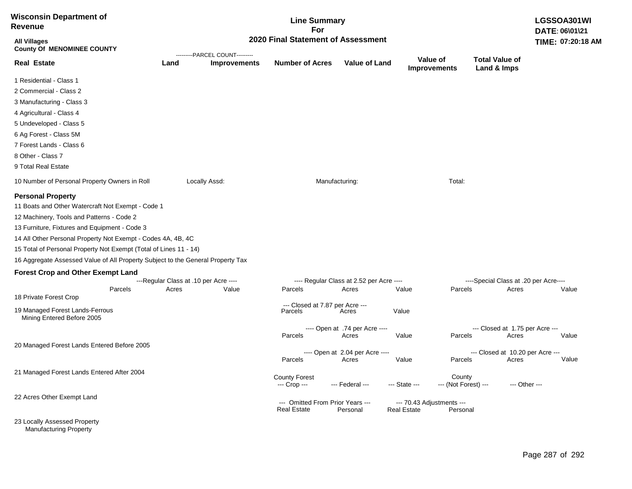| <b>Wisconsin Department of</b><br><b>Revenue</b>                                                                                                                                                                                                                                                                                                                                                                                                |         |       | LGSSOA301WI<br>DATE: 06\01\21                                        |                                                 |                                                   |                    |                                       |                                                |               |
|-------------------------------------------------------------------------------------------------------------------------------------------------------------------------------------------------------------------------------------------------------------------------------------------------------------------------------------------------------------------------------------------------------------------------------------------------|---------|-------|----------------------------------------------------------------------|-------------------------------------------------|---------------------------------------------------|--------------------|---------------------------------------|------------------------------------------------|---------------|
| <b>All Villages</b><br><b>County Of MENOMINEE COUNTY</b>                                                                                                                                                                                                                                                                                                                                                                                        |         |       | 2020 Final Statement of Assessment<br>---------PARCEL COUNT--------- |                                                 |                                                   |                    |                                       |                                                |               |
| <b>Real Estate</b>                                                                                                                                                                                                                                                                                                                                                                                                                              |         | Land  | <b>Improvements</b>                                                  | <b>Number of Acres</b>                          | <b>Value of Land</b>                              |                    | Value of<br><b>Improvements</b>       | <b>Total Value of</b><br>Land & Imps           |               |
| 1 Residential - Class 1                                                                                                                                                                                                                                                                                                                                                                                                                         |         |       |                                                                      |                                                 |                                                   |                    |                                       |                                                |               |
| 2 Commercial - Class 2                                                                                                                                                                                                                                                                                                                                                                                                                          |         |       |                                                                      |                                                 |                                                   |                    |                                       |                                                |               |
| 3 Manufacturing - Class 3                                                                                                                                                                                                                                                                                                                                                                                                                       |         |       |                                                                      |                                                 |                                                   |                    |                                       |                                                |               |
| 4 Agricultural - Class 4                                                                                                                                                                                                                                                                                                                                                                                                                        |         |       |                                                                      |                                                 |                                                   |                    |                                       |                                                |               |
| 5 Undeveloped - Class 5                                                                                                                                                                                                                                                                                                                                                                                                                         |         |       |                                                                      |                                                 |                                                   |                    |                                       |                                                |               |
| 6 Ag Forest - Class 5M                                                                                                                                                                                                                                                                                                                                                                                                                          |         |       |                                                                      |                                                 |                                                   |                    |                                       |                                                |               |
| 7 Forest Lands - Class 6                                                                                                                                                                                                                                                                                                                                                                                                                        |         |       |                                                                      |                                                 |                                                   |                    |                                       |                                                |               |
| 8 Other - Class 7                                                                                                                                                                                                                                                                                                                                                                                                                               |         |       |                                                                      |                                                 |                                                   |                    |                                       |                                                |               |
| 9 Total Real Estate                                                                                                                                                                                                                                                                                                                                                                                                                             |         |       |                                                                      |                                                 |                                                   |                    |                                       |                                                |               |
| 10 Number of Personal Property Owners in Roll                                                                                                                                                                                                                                                                                                                                                                                                   |         |       | Locally Assd:                                                        |                                                 | Manufacturing:                                    |                    | Total:                                |                                                |               |
| <b>Personal Property</b><br>11 Boats and Other Watercraft Not Exempt - Code 1<br>12 Machinery, Tools and Patterns - Code 2<br>13 Furniture, Fixtures and Equipment - Code 3<br>14 All Other Personal Property Not Exempt - Codes 4A, 4B, 4C<br>15 Total of Personal Property Not Exempt (Total of Lines 11 - 14)<br>16 Aggregate Assessed Value of All Property Subject to the General Property Tax<br><b>Forest Crop and Other Exempt Land</b> |         |       |                                                                      |                                                 |                                                   |                    |                                       |                                                |               |
|                                                                                                                                                                                                                                                                                                                                                                                                                                                 | Parcels | Acres | ---Regular Class at .10 per Acre ----<br>Value                       | Parcels                                         | ---- Regular Class at 2.52 per Acre ----<br>Acres | Value              | Parcels                               | ----Special Class at .20 per Acre----<br>Acres | Value         |
| 18 Private Forest Crop                                                                                                                                                                                                                                                                                                                                                                                                                          |         |       |                                                                      |                                                 |                                                   |                    |                                       |                                                |               |
| 19 Managed Forest Lands-Ferrous<br>Mining Entered Before 2005                                                                                                                                                                                                                                                                                                                                                                                   |         |       |                                                                      | --- Closed at 7.87 per Acre ---<br>Parcels      | Acres                                             | Value              |                                       |                                                |               |
|                                                                                                                                                                                                                                                                                                                                                                                                                                                 |         |       |                                                                      |                                                 | ---- Open at .74 per Acre ----                    |                    |                                       | --- Closed at 1.75 per Acre ---                |               |
|                                                                                                                                                                                                                                                                                                                                                                                                                                                 |         |       |                                                                      | Parcels                                         | Acres                                             | Value              | Parcels                               | Acres                                          | Value         |
| 20 Managed Forest Lands Entered Before 2005                                                                                                                                                                                                                                                                                                                                                                                                     |         |       |                                                                      | Parcels                                         | ---- Open at 2.04 per Acre ----<br>Acres          | Value              | Parcels                               | --- Closed at 10.20 per Acre ---<br>Acres      | Value         |
| 21 Managed Forest Lands Entered After 2004                                                                                                                                                                                                                                                                                                                                                                                                      |         |       |                                                                      |                                                 |                                                   |                    |                                       |                                                |               |
|                                                                                                                                                                                                                                                                                                                                                                                                                                                 |         |       |                                                                      | <b>County Forest</b><br>--- Crop ---            | --- Federal ---                                   | --- State ---      | County<br>--- (Not Forest) ---        |                                                | --- Other --- |
| 22 Acres Other Exempt Land                                                                                                                                                                                                                                                                                                                                                                                                                      |         |       |                                                                      | --- Omitted From Prior Years ---<br>Real Estate | Personal                                          | <b>Real Estate</b> | --- 70.43 Adjustments ---<br>Personal |                                                |               |
| 23 Locally Assessed Property                                                                                                                                                                                                                                                                                                                                                                                                                    |         |       |                                                                      |                                                 |                                                   |                    |                                       |                                                |               |

Manufacturing Property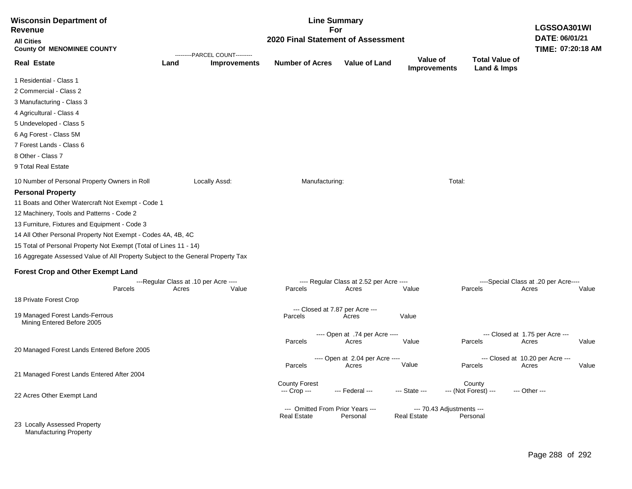| <b>Wisconsin Department of</b><br>Revenue                                       |                                                | <b>Line Summary</b><br>For     |                                                        |                                                   |                                                 |                                      |                                                         |  |
|---------------------------------------------------------------------------------|------------------------------------------------|--------------------------------|--------------------------------------------------------|---------------------------------------------------|-------------------------------------------------|--------------------------------------|---------------------------------------------------------|--|
| <b>All Cities</b><br><b>County Of MENOMINEE COUNTY</b>                          |                                                | ---------PARCEL COUNT--------- | 2020 Final Statement of Assessment                     |                                                   |                                                 |                                      | DATE: 06/01/21<br>TIME: 07:20:18 AM                     |  |
| <b>Real Estate</b>                                                              | Land                                           | <b>Improvements</b>            | <b>Number of Acres</b>                                 | <b>Value of Land</b>                              | Value of<br><b>Improvements</b>                 | <b>Total Value of</b><br>Land & Imps |                                                         |  |
| 1 Residential - Class 1                                                         |                                                |                                |                                                        |                                                   |                                                 |                                      |                                                         |  |
| 2 Commercial - Class 2                                                          |                                                |                                |                                                        |                                                   |                                                 |                                      |                                                         |  |
| 3 Manufacturing - Class 3                                                       |                                                |                                |                                                        |                                                   |                                                 |                                      |                                                         |  |
| 4 Agricultural - Class 4                                                        |                                                |                                |                                                        |                                                   |                                                 |                                      |                                                         |  |
| 5 Undeveloped - Class 5                                                         |                                                |                                |                                                        |                                                   |                                                 |                                      |                                                         |  |
| 6 Ag Forest - Class 5M                                                          |                                                |                                |                                                        |                                                   |                                                 |                                      |                                                         |  |
| 7 Forest Lands - Class 6                                                        |                                                |                                |                                                        |                                                   |                                                 |                                      |                                                         |  |
| 8 Other - Class 7                                                               |                                                |                                |                                                        |                                                   |                                                 |                                      |                                                         |  |
| 9 Total Real Estate                                                             |                                                |                                |                                                        |                                                   |                                                 |                                      |                                                         |  |
| 10 Number of Personal Property Owners in Roll                                   |                                                | Locally Assd:                  | Manufacturing:                                         |                                                   | Total:                                          |                                      |                                                         |  |
| <b>Personal Property</b>                                                        |                                                |                                |                                                        |                                                   |                                                 |                                      |                                                         |  |
| 11 Boats and Other Watercraft Not Exempt - Code 1                               |                                                |                                |                                                        |                                                   |                                                 |                                      |                                                         |  |
| 12 Machinery, Tools and Patterns - Code 2                                       |                                                |                                |                                                        |                                                   |                                                 |                                      |                                                         |  |
| 13 Furniture, Fixtures and Equipment - Code 3                                   |                                                |                                |                                                        |                                                   |                                                 |                                      |                                                         |  |
| 14 All Other Personal Property Not Exempt - Codes 4A, 4B, 4C                    |                                                |                                |                                                        |                                                   |                                                 |                                      |                                                         |  |
| 15 Total of Personal Property Not Exempt (Total of Lines 11 - 14)               |                                                |                                |                                                        |                                                   |                                                 |                                      |                                                         |  |
| 16 Aggregate Assessed Value of All Property Subject to the General Property Tax |                                                |                                |                                                        |                                                   |                                                 |                                      |                                                         |  |
| <b>Forest Crop and Other Exempt Land</b>                                        |                                                |                                |                                                        |                                                   |                                                 |                                      |                                                         |  |
| Parcels                                                                         | ---Regular Class at .10 per Acre ----<br>Acres | Value                          | Parcels                                                | ---- Regular Class at 2.52 per Acre ----<br>Acres | Value                                           | Parcels                              | ----Special Class at .20 per Acre----<br>Acres<br>Value |  |
| 18 Private Forest Crop                                                          |                                                |                                |                                                        |                                                   |                                                 |                                      |                                                         |  |
|                                                                                 |                                                |                                | --- Closed at 7.87 per Acre ---                        |                                                   |                                                 |                                      |                                                         |  |
| 19 Managed Forest Lands-Ferrous<br>Mining Entered Before 2005                   |                                                |                                | Parcels                                                | Acres                                             | Value                                           |                                      |                                                         |  |
|                                                                                 |                                                |                                |                                                        | ---- Open at .74 per Acre ----                    |                                                 |                                      | --- Closed at 1.75 per Acre ---                         |  |
|                                                                                 |                                                |                                | Parcels                                                | Acres                                             | Value                                           | Parcels                              | Value<br>Acres                                          |  |
| 20 Managed Forest Lands Entered Before 2005                                     |                                                |                                |                                                        | ---- Open at 2.04 per Acre ----                   |                                                 |                                      | --- Closed at 10.20 per Acre ---                        |  |
|                                                                                 |                                                |                                | Parcels                                                | Acres                                             | Value                                           | Parcels                              | Value<br>Acres                                          |  |
| 21 Managed Forest Lands Entered After 2004                                      |                                                |                                | <b>County Forest</b>                                   |                                                   |                                                 | County                               |                                                         |  |
| 22 Acres Other Exempt Land                                                      |                                                |                                | --- Crop ---                                           | --- Federal ---                                   | --- State ---                                   | --- (Not Forest) ---                 | --- Other ---                                           |  |
|                                                                                 |                                                |                                |                                                        |                                                   |                                                 |                                      |                                                         |  |
|                                                                                 |                                                |                                | --- Omitted From Prior Years ---<br><b>Real Estate</b> | Personal                                          | --- 70.43 Adjustments ---<br><b>Real Estate</b> | Personal                             |                                                         |  |
| 23 Locally Assessed Property<br><b>Manufacturing Property</b>                   |                                                |                                |                                                        |                                                   |                                                 |                                      |                                                         |  |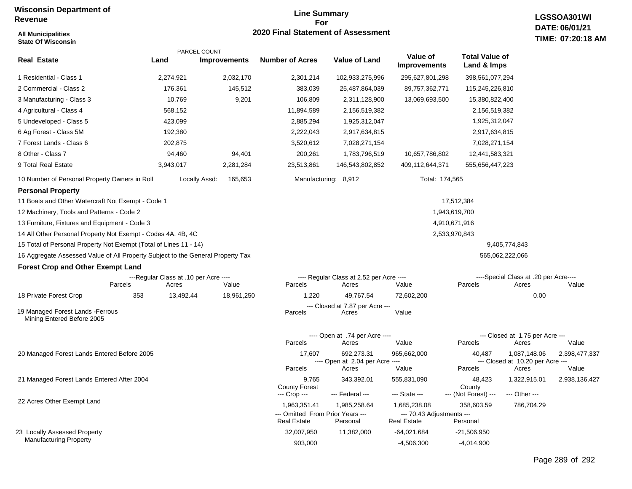**All Municipalities**

#### **Line Summary For 2020 Final Statement of Assessment**

| <b>State Of Wisconsin</b>                                                       |                                                |                     |                                                        |                                                   |                                                 |                                          |                                                  | TIME: 07:20:18 A |
|---------------------------------------------------------------------------------|------------------------------------------------|---------------------|--------------------------------------------------------|---------------------------------------------------|-------------------------------------------------|------------------------------------------|--------------------------------------------------|------------------|
| <b>Real Estate</b>                                                              | ---------PARCEL COUNT---------<br>Land         | <b>Improvements</b> | <b>Number of Acres</b>                                 | <b>Value of Land</b>                              | Value of<br><b>Improvements</b>                 | <b>Total Value of</b><br>Land & Imps     |                                                  |                  |
| 1 Residential - Class 1                                                         | 2,274,921                                      | 2,032,170           | 2,301,214                                              | 102,933,275,996                                   | 295,627,801,298                                 | 398, 561, 077, 294                       |                                                  |                  |
| 2 Commercial - Class 2                                                          | 176,361                                        | 145,512             | 383,039                                                | 25,487,864,039                                    | 89,757,362,771                                  | 115,245,226,810                          |                                                  |                  |
| 3 Manufacturing - Class 3                                                       | 10,769                                         | 9,201               | 106,809                                                | 2,311,128,900                                     | 13,069,693,500                                  | 15,380,822,400                           |                                                  |                  |
| 4 Agricultural - Class 4                                                        | 568,152                                        |                     | 11,894,589                                             | 2,156,519,382                                     |                                                 | 2,156,519,382                            |                                                  |                  |
| 5 Undeveloped - Class 5                                                         | 423,099                                        |                     | 2,885,294                                              | 1,925,312,047                                     |                                                 | 1,925,312,047                            |                                                  |                  |
| 6 Ag Forest - Class 5M                                                          | 192,380                                        |                     | 2,222,043                                              | 2,917,634,815                                     |                                                 | 2,917,634,815                            |                                                  |                  |
| 7 Forest Lands - Class 6                                                        | 202,875                                        |                     | 3,520,612                                              | 7,028,271,154                                     |                                                 | 7,028,271,154                            |                                                  |                  |
| 8 Other - Class 7                                                               | 94,460                                         | 94,401              | 200,261                                                | 1,783,796,519                                     | 10,657,786,802                                  | 12,441,583,321                           |                                                  |                  |
| 9 Total Real Estate                                                             | 3,943,017                                      | 2,281,284           | 23,513,861                                             | 146,543,802,852                                   | 409,112,644,371                                 | 555,656,447,223                          |                                                  |                  |
| 10 Number of Personal Property Owners in Roll                                   | Locally Assd:                                  | 165,653             |                                                        | Manufacturing: 8,912                              | Total: 174,565                                  |                                          |                                                  |                  |
| <b>Personal Property</b>                                                        |                                                |                     |                                                        |                                                   |                                                 |                                          |                                                  |                  |
| 11 Boats and Other Watercraft Not Exempt - Code 1                               |                                                |                     |                                                        |                                                   |                                                 | 17,512,384                               |                                                  |                  |
| 12 Machinery, Tools and Patterns - Code 2                                       |                                                |                     |                                                        |                                                   |                                                 | 1,943,619,700                            |                                                  |                  |
| 13 Furniture, Fixtures and Equipment - Code 3                                   |                                                |                     |                                                        |                                                   |                                                 | 4,910,671,916                            |                                                  |                  |
| 14 All Other Personal Property Not Exempt - Codes 4A, 4B, 4C                    |                                                |                     |                                                        |                                                   |                                                 | 2,533,970,843                            |                                                  |                  |
| 15 Total of Personal Property Not Exempt (Total of Lines 11 - 14)               |                                                |                     |                                                        |                                                   |                                                 |                                          | 9,405,774,843                                    |                  |
| 16 Aggregate Assessed Value of All Property Subject to the General Property Tax |                                                |                     |                                                        |                                                   |                                                 |                                          | 565,062,222,066                                  |                  |
| <b>Forest Crop and Other Exempt Land</b>                                        |                                                |                     |                                                        |                                                   |                                                 |                                          |                                                  |                  |
| Parcels                                                                         | ---Regular Class at .10 per Acre ----<br>Acres | Value               | Parcels                                                | ---- Regular Class at 2.52 per Acre ----<br>Acres | Value                                           | Parcels                                  | ----Special Class at .20 per Acre----<br>Acres   | Value            |
| 18 Private Forest Crop<br>353                                                   | 13,492.44                                      | 18,961,250          | 1,220                                                  | 49,767.54                                         | 72,602,200                                      |                                          | 0.00                                             |                  |
| 19 Managed Forest Lands - Ferrous<br>Mining Entered Before 2005                 |                                                |                     | Parcels                                                | --- Closed at 7.87 per Acre ---<br>Acres          | Value                                           |                                          |                                                  |                  |
|                                                                                 |                                                |                     |                                                        | ---- Open at .74 per Acre ----                    |                                                 |                                          | --- Closed at 1.75 per Acre ---                  |                  |
|                                                                                 |                                                |                     | Parcels                                                | Acres                                             | Value                                           | Parcels                                  | Acres                                            | Value            |
| 20 Managed Forest Lands Entered Before 2005                                     |                                                |                     | 17,607                                                 | 692,273.31<br>---- Open at 2.04 per Acre ----     | 965,662,000                                     | 40,487                                   | 1,087,148.06<br>--- Closed at 10.20 per Acre --- | 2,398,477,337    |
|                                                                                 |                                                |                     | Parcels                                                | Acres                                             | Value                                           | Parcels                                  | Acres                                            | Value            |
| 21 Managed Forest Lands Entered After 2004                                      |                                                |                     | 9,765<br><b>County Forest</b><br>--- Crop ---          | 343,392.01<br>--- Federal ---                     | 555,831,090<br>--- State ---                    | 48,423<br>County<br>--- (Not Forest) --- | 1,322,915.01<br>--- Other ---                    | 2,938,136,427    |
| 22 Acres Other Exempt Land                                                      |                                                |                     | 1,963,351.41                                           | 1,985,258.64                                      | 1,685,238.08                                    | 358,603.59                               | 786,704.29                                       |                  |
|                                                                                 |                                                |                     | --- Omitted From Prior Years ---<br><b>Real Estate</b> | Personal                                          | --- 70.43 Adjustments ---<br><b>Real Estate</b> | Personal                                 |                                                  |                  |
| 23 Locally Assessed Property                                                    |                                                |                     | 32,007,950                                             | 11,382,000                                        | $-64,021,684$                                   | $-21,506,950$                            |                                                  |                  |
| <b>Manufacturing Property</b>                                                   |                                                |                     | 903,000                                                |                                                   | $-4,506,300$                                    | $-4,014,900$                             |                                                  |                  |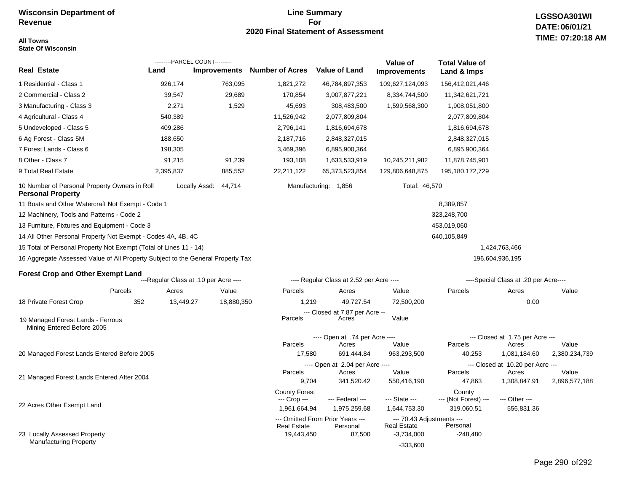#### **Line Summary For 2020 Final Statement of Assessment TIME: All Towns**

## **LGSSOA301WI DATE: 06/01/21 07:20:18 AM**

**State Of Wisconsin**

|                                                                                 |           | ---------PARCEL COUNT---------        |                     |                                      |                                              |                                                 |                                      |                                           |               |  |
|---------------------------------------------------------------------------------|-----------|---------------------------------------|---------------------|--------------------------------------|----------------------------------------------|-------------------------------------------------|--------------------------------------|-------------------------------------------|---------------|--|
| Real Estate                                                                     | Land      |                                       | <b>Improvements</b> | <b>Number of Acres</b>               | <b>Value of Land</b>                         | Value of<br><b>Improvements</b>                 | <b>Total Value of</b><br>Land & Imps |                                           |               |  |
| 1 Residential - Class 1                                                         |           | 926,174                               | 763,095             | 1,821,272                            | 46,784,897,353                               | 109,627,124,093                                 | 156,412,021,446                      |                                           |               |  |
| 2 Commercial - Class 2                                                          |           | 39,547                                | 29,689              | 170,854                              | 3,007,877,221                                | 8,334,744,500                                   | 11,342,621,721                       |                                           |               |  |
| 3 Manufacturing - Class 3                                                       |           | 2,271                                 | 1,529               | 45,693                               | 308,483,500                                  | 1,599,568,300                                   | 1,908,051,800                        |                                           |               |  |
| 4 Agricultural - Class 4                                                        |           | 540,389                               |                     | 11,526,942                           | 2,077,809,804                                |                                                 | 2,077,809,804                        |                                           |               |  |
| 5 Undeveloped - Class 5                                                         |           | 409,286                               |                     | 2,796,141                            | 1,816,694,678                                |                                                 | 1,816,694,678                        |                                           |               |  |
| 6 Ag Forest - Class 5M                                                          |           | 188,650                               |                     | 2,187,716                            | 2,848,327,015                                |                                                 | 2,848,327,015                        |                                           |               |  |
| 7 Forest Lands - Class 6                                                        |           | 198,305                               |                     | 3,469,396                            | 6,895,900,364                                |                                                 | 6,895,900,364                        |                                           |               |  |
| 8 Other - Class 7                                                               |           | 91,215                                | 91,239              | 193,108                              | 1,633,533,919                                | 10,245,211,982                                  | 11,878,745,901                       |                                           |               |  |
| 9 Total Real Estate                                                             | 2,395,837 |                                       | 885,552             | 22,211,122                           | 65,373,523,854                               | 129,806,648,875                                 | 195, 180, 172, 729                   |                                           |               |  |
| 10 Number of Personal Property Owners in Roll<br><b>Personal Property</b>       |           | Locally Assd:                         | 44,714              |                                      | Manufacturing: 1,856                         | Total: 46,570                                   |                                      |                                           |               |  |
| 11 Boats and Other Watercraft Not Exempt - Code 1                               |           |                                       |                     |                                      |                                              |                                                 | 8,389,857                            |                                           |               |  |
| 12 Machinery, Tools and Patterns - Code 2                                       |           |                                       |                     |                                      |                                              |                                                 | 323,248,700                          |                                           |               |  |
| 13 Furniture, Fixtures and Equipment - Code 3                                   |           |                                       |                     |                                      |                                              |                                                 | 453,019,060                          |                                           |               |  |
| 14 All Other Personal Property Not Exempt - Codes 4A, 4B, 4C                    |           |                                       |                     |                                      |                                              |                                                 | 640,105,849                          |                                           |               |  |
| 15 Total of Personal Property Not Exempt (Total of Lines 11 - 14)               |           |                                       |                     |                                      |                                              |                                                 |                                      | 1,424,763,466                             |               |  |
| 16 Aggregate Assessed Value of All Property Subject to the General Property Tax |           |                                       |                     |                                      |                                              |                                                 |                                      | 196,604,936,195                           |               |  |
| Forest Crop and Other Exempt Land                                               |           | ---Regular Class at .10 per Acre ---- |                     |                                      | ---- Regular Class at 2.52 per Acre ----     |                                                 |                                      | ----Special Class at .20 per Acre----     |               |  |
|                                                                                 |           |                                       |                     |                                      |                                              |                                                 |                                      |                                           |               |  |
|                                                                                 | Parcels   | Acres                                 | Value               | Parcels                              | Acres                                        | Value                                           | Parcels                              | Acres                                     | Value         |  |
| 18 Private Forest Crop                                                          | 352       | 13,449.27                             | 18,880,350          | 1,219                                | 49,727.54                                    | 72,500,200                                      |                                      | 0.00                                      |               |  |
| 19 Managed Forest Lands - Ferrous<br>Mining Entered Before 2005                 |           |                                       |                     | Parcels                              | --- Closed at 7.87 per Acre --<br>Acres      | Value                                           |                                      |                                           |               |  |
|                                                                                 |           |                                       |                     |                                      | ---- Open at .74 per Acre ----               |                                                 |                                      | --- Closed at 1.75 per Acre ---           |               |  |
|                                                                                 |           |                                       |                     | Parcels                              | Acres                                        | Value                                           | Parcels                              | Acres                                     | Value         |  |
| 20 Managed Forest Lands Entered Before 2005                                     |           |                                       |                     | 17,580                               | 691,444.84                                   | 963,293,500                                     | 40,253                               | 1,081,184.60                              | 2,380,234,739 |  |
|                                                                                 |           |                                       |                     | Parcels                              | ---- Open at 2.04 per Acre ----<br>Acres     | Value                                           | Parcels                              | --- Closed at 10.20 per Acre ---<br>Acres | Value         |  |
| 21 Managed Forest Lands Entered After 2004                                      |           |                                       |                     | 9,704                                | 341,520.42                                   | 550,416,190                                     | 47,863                               | 1,308,847.91                              | 2,896,577,188 |  |
|                                                                                 |           |                                       |                     | <b>County Forest</b><br>--- Crop --- | --- Federal ---                              | --- State ---                                   | County<br>--- (Not Forest) ---       | --- Other ---                             |               |  |
| 22 Acres Other Exempt Land                                                      |           |                                       |                     | 1,961,664.94                         | 1,975,259.68                                 | 1,644,753.30                                    | 319,060.51                           | 556,831.36                                |               |  |
| 23 Locally Assessed Property                                                    |           |                                       |                     | <b>Real Estate</b>                   | --- Omitted From Prior Years ---<br>Personal | --- 70.43 Adjustments ---<br><b>Real Estate</b> | Personal                             |                                           |               |  |
| <b>Manufacturing Property</b>                                                   |           |                                       |                     | 19,443,450                           | 87,500                                       | $-3,734,000$<br>$-333,600$                      | $-248,480$                           |                                           |               |  |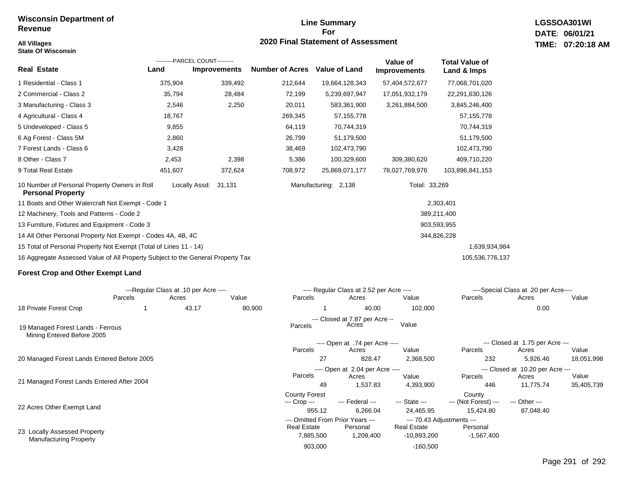**State Of Wisconsin**

## **Line Summary For 2020 Final Statement of Assessment All Villages TIME:**

**LGSSOA301WI DATE: 06/01/21 07:20:18 AM**

|                                                                                                    |         | ---------PARCEL COUNT--------- |                        |                      | Value of            | <b>Total Value of</b> |  |  |
|----------------------------------------------------------------------------------------------------|---------|--------------------------------|------------------------|----------------------|---------------------|-----------------------|--|--|
| <b>Real Estate</b>                                                                                 | Land    | <b>Improvements</b>            | <b>Number of Acres</b> | <b>Value of Land</b> | <b>Improvements</b> | Land & Imps           |  |  |
| 1 Residential - Class 1                                                                            | 375,904 | 339,492                        | 212,644                | 19,664,128,343       | 57,404,572,677      | 77,068,701,020        |  |  |
| 2 Commercial - Class 2                                                                             | 35,794  | 28,484                         | 72,199                 | 5,239,697,947        | 17,051,932,179      | 22,291,630,126        |  |  |
| 3 Manufacturing - Class 3                                                                          | 2,546   | 2,250                          | 20,011                 | 583,361,900          | 3,261,884,500       | 3,845,246,400         |  |  |
| 4 Agricultural - Class 4                                                                           | 18,767  |                                | 269,345                | 57, 155, 778         |                     | 57, 155, 778          |  |  |
| 5 Undeveloped - Class 5                                                                            | 9,855   |                                | 64,119                 | 70,744,319           |                     | 70,744,319            |  |  |
| 6 Ag Forest - Class 5M                                                                             | 2,860   |                                | 26,799                 | 51,179,500           |                     | 51,179,500            |  |  |
| 7 Forest Lands - Class 6                                                                           | 3,428   |                                | 38,469                 | 102,473,790          |                     | 102,473,790           |  |  |
| 8 Other - Class 7                                                                                  | 2,453   | 2,398                          | 5,386                  | 100,329,600          | 309,380,620         | 409,710,220           |  |  |
| 9 Total Real Estate                                                                                | 451,607 | 372,624                        | 708,972                | 25,869,071,177       | 78,027,769,976      | 103,896,841,153       |  |  |
| 10 Number of Personal Property Owners in Roll<br><b>Personal Property</b>                          |         | Locally Assd:<br>31,131        |                        | Manufacturing: 2,138 | Total: 33,269       |                       |  |  |
| 11 Boats and Other Watercraft Not Exempt - Code 1                                                  |         |                                |                        |                      |                     | 2,303,401             |  |  |
| 12 Machinery, Tools and Patterns - Code 2                                                          |         |                                | 389,211,400            |                      |                     |                       |  |  |
| 13 Furniture, Fixtures and Equipment - Code 3                                                      |         |                                |                        |                      | 903,593,955         |                       |  |  |
| 14 All Other Personal Property Not Exempt - Codes 4A, 4B, 4C                                       |         |                                |                        |                      | 344,826,228         |                       |  |  |
| 15 Total of Personal Property Not Exempt (Total of Lines 11 - 14)<br>1,639,934,984                 |         |                                |                        |                      |                     |                       |  |  |
| 16 Aggregate Assessed Value of All Property Subject to the General Property Tax<br>105,536,776,137 |         |                                |                        |                      |                     |                       |  |  |

#### **Forest Crop and Other Exempt Land**

|                                                                 | ---Regular Class at .10 per Acre ---- |       |        |                      | ---- Regular Class at 2.52 per Acre ---- |                    |                                  | ----Special Class at .20 per Acre---- |            |  |
|-----------------------------------------------------------------|---------------------------------------|-------|--------|----------------------|------------------------------------------|--------------------|----------------------------------|---------------------------------------|------------|--|
|                                                                 | Parcels                               | Acres | Value  | Parcels              | Acres                                    | Value              | Parcels                          | Acres                                 | Value      |  |
| 18 Private Forest Crop                                          |                                       | 43.17 | 80,900 |                      | 40.00                                    | 102,000            |                                  | 0.00                                  |            |  |
|                                                                 |                                       |       |        |                      | --- Closed at 7.87 per Acre --           |                    |                                  |                                       |            |  |
| 19 Managed Forest Lands - Ferrous<br>Mining Entered Before 2005 |                                       |       |        | Parcels              | Acres                                    | Value              |                                  |                                       |            |  |
|                                                                 |                                       |       |        |                      | ---- Open at .74 per Acre ----           |                    | --- Closed at 1.75 per Acre ---  |                                       |            |  |
|                                                                 |                                       |       |        | Parcels              | Acres                                    | Value              | Parcels                          | Acres                                 | Value      |  |
| 20 Managed Forest Lands Entered Before 2005                     |                                       |       |        | 27                   | 828.47                                   | 2,368,500          | 232                              | 5,926.46                              | 18,051,998 |  |
|                                                                 |                                       |       |        |                      | ---- Open at 2.04 per Acre ----          |                    | --- Closed at 10.20 per Acre --- |                                       |            |  |
|                                                                 |                                       |       |        | Parcels              | Acres                                    | Value              | Parcels                          | Acres                                 | Value      |  |
| 21 Managed Forest Lands Entered After 2004                      |                                       |       |        | 49                   | 1,537.83                                 | 4,393,900          | 446                              | 11,775.74                             | 35,405,739 |  |
|                                                                 |                                       |       |        | <b>County Forest</b> |                                          |                    | County                           |                                       |            |  |
| 22 Acres Other Exempt Land                                      |                                       |       |        | --- Crop ---         | --- Federal ---                          | --- State ---      | --- (Not Forest) ---             | --- Other ---                         |            |  |
|                                                                 |                                       |       |        | 955.12               | 6,266.04                                 | 24,465.95          | 15,424.80                        | 87,048.40                             |            |  |
|                                                                 |                                       |       |        |                      | --- Omitted From Prior Years ---         |                    | --- 70.43 Adjustments ---        |                                       |            |  |
|                                                                 |                                       |       |        | <b>Real Estate</b>   | Personal                                 | <b>Real Estate</b> | Personal                         |                                       |            |  |
| 23 Locally Assessed Property<br><b>Manufacturing Property</b>   |                                       |       |        | 7,885,500            | 1,209,400                                | $-10,893,200$      | $-1,567,400$                     |                                       |            |  |
|                                                                 |                                       |       |        | 903,000              |                                          | $-160,500$         |                                  |                                       |            |  |